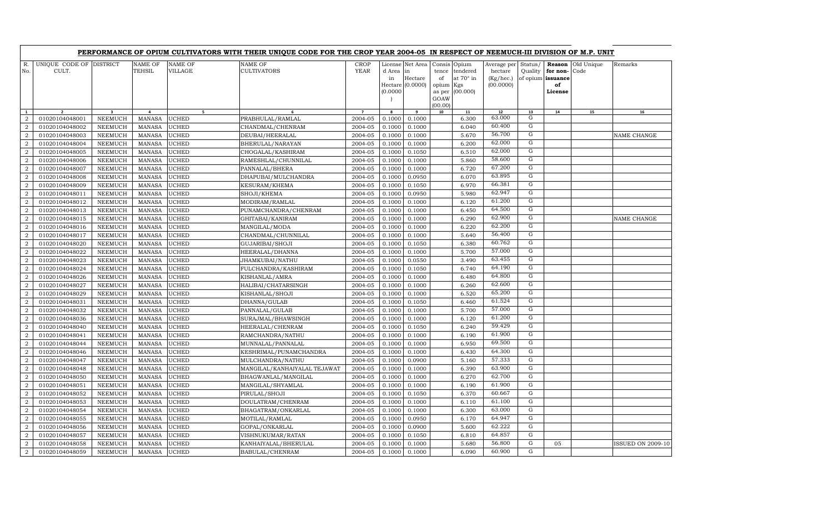|                                  |                                  |                           |                                |                                  | PERFORMANCE OF OPIUM CULTIVATORS WITH THEIR UNIQUE CODE FOR THE CROP YEAR 2004-05 IN RESPECT OF NEEMUCH-III DIVISION OF M.P. UNIT |                     |                                     |                                               |                                                                   |                                                 |                                                  |                             |                                                          |                    |                          |
|----------------------------------|----------------------------------|---------------------------|--------------------------------|----------------------------------|-----------------------------------------------------------------------------------------------------------------------------------|---------------------|-------------------------------------|-----------------------------------------------|-------------------------------------------------------------------|-------------------------------------------------|--------------------------------------------------|-----------------------------|----------------------------------------------------------|--------------------|--------------------------|
| R.<br>No.                        | UNIQUE CODE OF DISTRICT<br>CULT. |                           | <b>NAME OF</b><br>TEHSIL       | <b>NAME OF</b><br><b>VILLAGE</b> | NAME OF<br><b>CULTIVATORS</b>                                                                                                     | <b>CROP</b><br>YEAR | d Area<br>in<br>Hectare<br>(0.0000) | License Net Area<br>in<br>Hectare<br>(0.0000) | Consis Opium<br>tence<br>of<br>opium<br>as per<br>GOAW<br>(00.00) | tendered<br>at $70^\circ$ in<br>Kgs<br>(00.000) | Average per<br>hectare<br>(Kg/hec.)<br>(00.0000) | Status/<br>Quality          | Reason<br>for non-<br>of opium issuance<br>of<br>License | Old Unique<br>Code | Remarks                  |
| $\mathbf{1}$                     | $\overline{2}$                   | $\overline{\mathbf{3}}$   | $\overline{a}$                 | 5                                |                                                                                                                                   | $\overline{7}$      | 8                                   | 9                                             | 10                                                                | 11                                              | 12                                               | 13                          | 14                                                       | 15                 | 16                       |
| $\overline{2}$                   | 01020104048001                   | <b>NEEMUCH</b>            | <b>MANASA</b>                  | <b>UCHED</b>                     | PRABHULAL/RAMLAL                                                                                                                  | 2004-05             | 0.1000                              | 0.1000                                        |                                                                   | 6.300                                           | 63.000                                           | G                           |                                                          |                    |                          |
| $\overline{2}$                   | 01020104048002                   | <b>NEEMUCH</b>            | <b>MANASA</b>                  | UCHED                            | CHANDMAL/CHENRAM                                                                                                                  | 2004-05             | 0.1000                              | 0.1000                                        |                                                                   | 6.040                                           | 60.400                                           | G                           |                                                          |                    |                          |
| $\overline{2}$                   | 01020104048003                   | <b>NEEMUCH</b>            | <b>MANASA</b>                  | UCHED                            | DEUBAI/HEERALAL                                                                                                                   | 2004-05             | 0.1000                              | 0.1000                                        |                                                                   | 5.670                                           | 56.700                                           | G                           |                                                          |                    | NAME CHANGE              |
| $\overline{2}$                   | 01020104048004                   | NEEMUCH                   | <b>MANASA</b>                  | <b>UCHED</b>                     | BHERULAL/NARAYAN                                                                                                                  | 2004-05             | 0.1000                              | 0.1000                                        |                                                                   | 6.200                                           | 62.000<br>62.000                                 | ${\bf G}$<br>$\overline{G}$ |                                                          |                    |                          |
| $\overline{2}$                   | 01020104048005                   | NEEMUCH                   | <b>MANASA</b>                  | <b>UCHED</b>                     | CHOGALAL/KASHIRAM                                                                                                                 | 2004-05             | 0.1000                              | 0.1050                                        |                                                                   | 6.510                                           | 58.600                                           | G                           |                                                          |                    |                          |
| $\overline{2}$                   | 01020104048006                   | NEEMUCH                   | <b>MANASA</b>                  | <b>UCHED</b>                     | RAMESHLAL/CHUNNILAL                                                                                                               | 2004-05             | 0.1000                              | 0.1000                                        |                                                                   | 5.860                                           | 67.200                                           | G                           |                                                          |                    |                          |
| $\overline{2}$<br>$\overline{a}$ | 01020104048007<br>01020104048008 | <b>NEEMUCH</b><br>NEEMUCH | <b>MANASA</b><br><b>MANASA</b> | <b>UCHED</b><br><b>UCHED</b>     | PANNALAL/BHERA<br>DHAPUBAI/MULCHANDRA                                                                                             | 2004-05<br>2004-05  | 0.1000<br>0.1000                    | 0.1000<br>0.0950                              |                                                                   | 6.720<br>6.070                                  | 63.895                                           | G                           |                                                          |                    |                          |
| $\overline{2}$                   | 01020104048009                   | NEEMUCH                   | <b>MANASA</b>                  | UCHED                            | KESURAM/KHEMA                                                                                                                     | 2004-05             | 0.1000                              | 0.1050                                        |                                                                   | 6.970                                           | 66.381                                           | G                           |                                                          |                    |                          |
| $\overline{a}$                   | 01020104048011                   | NEEMUCH                   | <b>MANASA</b>                  | <b>UCHED</b>                     | SHOJI/KHEMA                                                                                                                       | 2004-05             | 0.1000                              | 0.0950                                        |                                                                   | 5.980                                           | 62.947                                           | G                           |                                                          |                    |                          |
| $\overline{2}$                   | 01020104048012                   | <b>NEEMUCH</b>            | <b>MANASA</b>                  | UCHED                            | MODIRAM/RAMLAL                                                                                                                    | 2004-05             | 0.1000                              | 0.1000                                        |                                                                   | 6.120                                           | 61.200                                           | $\mathbf G$                 |                                                          |                    |                          |
| $\overline{a}$                   | 01020104048013                   | NEEMUCH                   | <b>MANASA</b>                  | UCHED                            | PUNAMCHANDRA/CHENRAM                                                                                                              | 2004-05             | 0.1000                              | 0.1000                                        |                                                                   | 6.450                                           | 64.500                                           | G                           |                                                          |                    |                          |
| $\overline{2}$                   | 01020104048015                   | NEEMUCH                   | <b>MANASA</b>                  | UCHED                            | GHITABAI/KANIRAM                                                                                                                  | 2004-05             | 0.1000                              | 0.1000                                        |                                                                   | 6.290                                           | 62.900                                           | $\mathbf G$                 |                                                          |                    | NAME CHANGE              |
| $\overline{a}$                   | 01020104048016                   | NEEMUCH                   | <b>MANASA</b>                  | UCHED                            | MANGILAL/MODA                                                                                                                     | 2004-05             | 0.1000                              | 0.1000                                        |                                                                   | 6.220                                           | 62.200                                           | G                           |                                                          |                    |                          |
| $\overline{2}$                   | 01020104048017                   | NEEMUCH                   | <b>MANASA</b>                  | <b>UCHED</b>                     | CHANDMAL/CHUNNILAL                                                                                                                | 2004-05             | 0.1000                              | 0.1000                                        |                                                                   | 5.640                                           | 56.400                                           | G                           |                                                          |                    |                          |
| 2                                | 01020104048020                   | <b>NEEMUCH</b>            | <b>MANASA</b>                  | <b>UCHED</b>                     | GUJARIBAI/SHOJI                                                                                                                   | 2004-05             | 0.1000                              | 0.1050                                        |                                                                   | 6.380                                           | 60.762                                           | G                           |                                                          |                    |                          |
| $\overline{2}$                   | 01020104048022                   | <b>NEEMUCH</b>            | <b>MANASA</b>                  | UCHED                            | HEERALAL/DHANNA                                                                                                                   | 2004-05             | 0.1000                              | 0.1000                                        |                                                                   | 5.700                                           | 57.000                                           | G                           |                                                          |                    |                          |
| $\overline{2}$                   | 01020104048023                   | NEEMUCH                   | <b>MANASA</b>                  | <b>UCHED</b>                     | JHAMKUBAI/NATHU                                                                                                                   | 2004-05             | 0.1000                              | 0.0550                                        |                                                                   | 3.490                                           | 63.455                                           | G                           |                                                          |                    |                          |
| $\overline{2}$                   | 01020104048024                   | <b>NEEMUCH</b>            | <b>MANASA</b>                  | <b>UCHED</b>                     | FULCHANDRA/KASHIRAM                                                                                                               | 2004-05             | 0.1000                              | 0.1050                                        |                                                                   | 6.740                                           | 64.190                                           | $\mathbf G$                 |                                                          |                    |                          |
| $\overline{2}$                   | 01020104048026                   | NEEMUCH                   | <b>MANASA</b>                  | <b>UCHED</b>                     | KISHANLAL/AMRA                                                                                                                    | 2004-05             | 0.1000                              | 0.1000                                        |                                                                   | 6.480                                           | 64.800                                           | G                           |                                                          |                    |                          |
| $\overline{2}$                   | 01020104048027                   | <b>NEEMUCH</b>            | <b>MANASA</b>                  | UCHED                            | HALIBAI/CHATARSINGH                                                                                                               | 2004-05             | 0.1000                              | 0.1000                                        |                                                                   | 6.260                                           | 62.600                                           | $\mathbf G$                 |                                                          |                    |                          |
| $\overline{2}$                   | 01020104048029                   | <b>NEEMUCH</b>            | <b>MANASA</b>                  | UCHED                            | KISHANLAL/SHOJI                                                                                                                   | 2004-05             | 0.1000                              | 0.1000                                        |                                                                   | 6.520                                           | 65.200                                           | G                           |                                                          |                    |                          |
| $\overline{2}$                   | 01020104048031                   | NEEMUCH                   | <b>MANASA</b>                  | <b>UCHED</b>                     | DHANNA/GULAB                                                                                                                      | 2004-05             | 0.1000                              | 0.1050                                        |                                                                   | 6.460                                           | 61.524                                           | G                           |                                                          |                    |                          |
| $\overline{2}$                   | 01020104048032                   | <b>NEEMUCH</b>            | <b>MANASA</b>                  | <b>UCHED</b>                     | PANNALAL/GULAB                                                                                                                    | 2004-05             | 0.1000                              | 0.1000                                        |                                                                   | 5.700                                           | 57.000                                           | G                           |                                                          |                    |                          |
| $\overline{2}$                   | 01020104048036                   | NEEMUCH                   | <b>MANASA</b>                  | <b>UCHED</b>                     | SURAJMAL/BHAWSINGH                                                                                                                | 2004-05             | 0.1000                              | 0.1000                                        |                                                                   | 6.120                                           | 61.200                                           | G                           |                                                          |                    |                          |
| $\overline{2}$                   | 01020104048040                   | <b>NEEMUCH</b>            | <b>MANASA</b>                  | <b>UCHED</b>                     | HEERALAL/CHENRAM                                                                                                                  | 2004-05             | 0.1000                              | 0.1050                                        |                                                                   | 6.240                                           | 59.429                                           | G                           |                                                          |                    |                          |
| $\overline{a}$                   | 01020104048041                   | NEEMUCH                   | <b>MANASA</b>                  | <b>UCHED</b>                     | RAMCHANDRA/NATHU                                                                                                                  | 2004-05             | 0.1000                              | 0.1000                                        |                                                                   | 6.190                                           | 61.900                                           | $\overline{G}$              |                                                          |                    |                          |
| $\overline{2}$                   | 01020104048044                   | <b>NEEMUCH</b>            | <b>MANASA</b>                  | <b>UCHED</b>                     | MUNNALAL/PANNALAL                                                                                                                 | 2004-05             | 0.1000                              | 0.1000                                        |                                                                   | 6.950                                           | 69.500                                           | ${\rm G}$                   |                                                          |                    |                          |
| $\overline{a}$                   | 01020104048046                   | NEEMUCH                   | <b>MANASA</b>                  | <b>UCHED</b>                     | KESHRIMAL/PUNAMCHANDRA                                                                                                            | 2004-05             | 0.1000                              | 0.1000                                        |                                                                   | 6.430                                           | 64.300                                           | G                           |                                                          |                    |                          |
| $\overline{2}$                   | 01020104048047                   | <b>NEEMUCH</b>            | <b>MANASA</b>                  | UCHED                            | MULCHANDRA/NATHU                                                                                                                  | 2004-05             | 0.1000                              | 0.0900                                        |                                                                   | 5.160                                           | 57.333                                           | G                           |                                                          |                    |                          |
| $\overline{a}$                   | 01020104048048                   | <b>NEEMUCH</b>            | <b>MANASA</b>                  | <b>UCHED</b>                     | MANGILAL/KANHAIYALAL TEJAWAT                                                                                                      | 2004-05             | 0.1000                              | 0.1000                                        |                                                                   | 6.390                                           | 63.900                                           | ${\rm G}$                   |                                                          |                    |                          |
| $\overline{2}$                   | 01020104048050                   | <b>NEEMUCH</b>            | <b>MANASA</b>                  | UCHED                            | BHAGWANLAL/MANGILAL                                                                                                               | 2004-05             | 0.1000                              | 0.1000                                        |                                                                   | 6.270                                           | 62.700                                           | G                           |                                                          |                    |                          |
| $\overline{a}$                   | 01020104048051                   | <b>NEEMUCH</b>            | <b>MANASA</b>                  | UCHED                            | MANGILAL/SHYAMLAL                                                                                                                 | 2004-05             | 0.1000                              | 0.1000                                        |                                                                   | 6.190                                           | 61.900                                           | G                           |                                                          |                    |                          |
| $\overline{a}$                   | 01020104048052                   | <b>NEEMUCH</b>            | <b>MANASA</b>                  | <b>UCHED</b>                     | PIRULAL/SHOJI                                                                                                                     | 2004-05             | 0.1000                              | 0.1050                                        |                                                                   | 6.370                                           | 60.667                                           | G                           |                                                          |                    |                          |
| $\overline{a}$                   | 01020104048053                   | NEEMUCH                   | <b>MANASA</b>                  | <b>UCHED</b>                     | DOULATRAM/CHENRAM                                                                                                                 | 2004-05             | 0.1000                              | 0.1000                                        |                                                                   | 6.110                                           | 61.100                                           | G                           |                                                          |                    |                          |
| $\overline{2}$                   | 01020104048054                   | NEEMUCH                   | <b>MANASA</b>                  | <b>UCHED</b>                     | BHAGATRAM/ONKARLAL                                                                                                                | 2004-05             | 0.1000                              | 0.1000                                        |                                                                   | 6.300                                           | 63.000                                           | $\overline{G}$              |                                                          |                    |                          |
| $\overline{2}$                   | 01020104048055                   | <b>NEEMUCH</b>            | <b>MANASA</b>                  | <b>UCHED</b>                     | MOTILAL/RAMLAL                                                                                                                    | 2004-05             | 0.1000                              | 0.0950                                        |                                                                   | 6.170                                           | 64.947                                           | G                           |                                                          |                    |                          |
| $\overline{2}$                   | 01020104048056                   | <b>NEEMUCH</b>            | <b>MANASA</b>                  | <b>UCHED</b>                     | GOPAL/ONKARLAL                                                                                                                    | 2004-05             | 0.1000                              | 0.0900                                        |                                                                   | 5.600                                           | 62.222                                           | ${\rm G}$                   |                                                          |                    |                          |
| $\overline{2}$                   | 01020104048057                   | <b>NEEMUCH</b>            | <b>MANASA</b>                  | <b>UCHED</b>                     | VISHNUKUMAR/RATAN                                                                                                                 | 2004-05             | 0.1000                              | 0.1050                                        |                                                                   | 6.810                                           | 64.857                                           | G<br>G                      |                                                          |                    |                          |
| $\overline{2}$                   | 01020104048058                   | <b>NEEMUCH</b>            | <b>MANASA</b>                  | UCHED                            | KANHAIYALAL/BHERULAL                                                                                                              | 2004-05             | 0.1000                              | 0.1000                                        |                                                                   | 5.680                                           | 56.800<br>60.900                                 | G                           | 05                                                       |                    | <b>ISSUED ON 2009-10</b> |
| $\boldsymbol{2}$                 | 01020104048059                   | <b>NEEMUCH</b>            | <b>MANASA</b>                  | <b>UCHED</b>                     | BABULAL/CHENRAM                                                                                                                   | 2004-05             | 0.1000                              | 0.1000                                        |                                                                   | 6.090                                           |                                                  |                             |                                                          |                    |                          |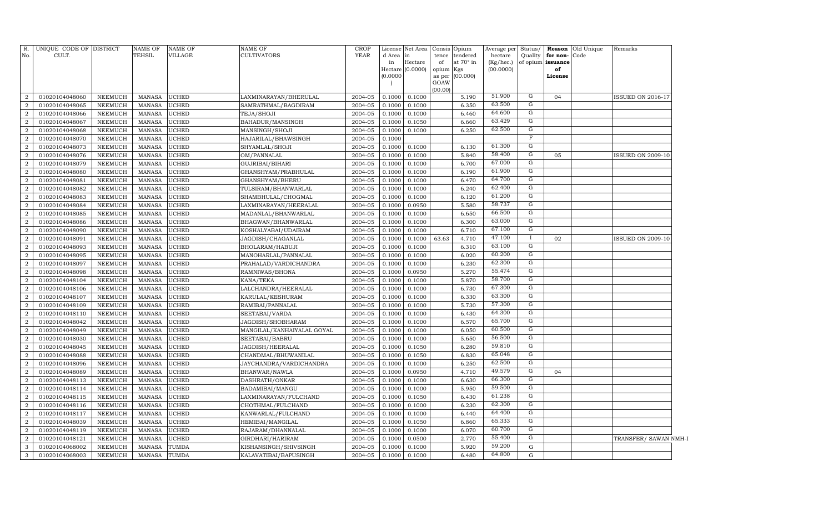|                                  | CULT.                            |                                  | TEHSIL                         | VILLAGE               | <b>CULTIVATORS</b>                | YEAR               | d Area in<br>in<br>(0.0000) | License Net Area<br>Hectare<br>Hectare (0.0000) | Consis<br>tence<br>of<br>opium Kgs<br>as per<br>GOAW<br>(00.00) | Opium<br>tendered<br>at 70° in<br>(00.000) | Average per<br>hectare<br>(Kg/hec.)<br>(00.0000) | Status/<br>Quality  | for non-Code<br>of opium issuance<br>of<br>License | <b>Reason</b> Old Unique | Remarks                  |  |
|----------------------------------|----------------------------------|----------------------------------|--------------------------------|-----------------------|-----------------------------------|--------------------|-----------------------------|-------------------------------------------------|-----------------------------------------------------------------|--------------------------------------------|--------------------------------------------------|---------------------|----------------------------------------------------|--------------------------|--------------------------|--|
| 2                                | 01020104048060                   | NEEMUCH                          | <b>MANASA</b>                  | <b>UCHED</b>          | LAXMINARAYAN/BHERULAL             | 2004-05            | 0.1000                      | 0.1000                                          |                                                                 | 5.190                                      | 51.900                                           | G                   | 04                                                 |                          | <b>ISSUED ON 2016-17</b> |  |
| 2                                | 01020104048065                   | NEEMUCH                          | <b>MANASA</b>                  | <b>UCHED</b>          | SAMRATHMAL/BAGDIRAM               | 2004-05            | 0.1000                      | 0.1000                                          |                                                                 | 6.350                                      | 63.500                                           | G                   |                                                    |                          |                          |  |
| $\overline{2}$                   | 01020104048066                   | <b>NEEMUCH</b>                   | <b>MANASA</b>                  | <b>UCHED</b>          | TEJA/SHOJI                        | 2004-05            | 0.1000                      | 0.1000                                          |                                                                 | 6.460                                      | 64.600                                           | G                   |                                                    |                          |                          |  |
| $\overline{2}$                   | 01020104048067                   | <b>NEEMUCH</b>                   | <b>MANASA</b>                  | <b>UCHED</b>          | BAHADUR/MANSINGH                  | 2004-05            | 0.1000                      | 0.1050                                          |                                                                 | 6.660                                      | 63.429                                           | $\overline{G}$      |                                                    |                          |                          |  |
| $\overline{2}$                   | 01020104048068                   | <b>NEEMUCH</b>                   | <b>MANASA</b>                  | <b>UCHED</b>          | MANSINGH/SHOJI                    | 2004-05            | 0.1000                      | 0.1000                                          |                                                                 | 6.250                                      | 62.500                                           | $\overline{G}$      |                                                    |                          |                          |  |
| $\overline{2}$                   | 01020104048070                   | <b>NEEMUCH</b>                   | <b>MANASA</b>                  | <b>UCHED</b>          | HAJARILAL/BHAWSINGH               | 2004-05            | 0.1000                      |                                                 |                                                                 |                                            |                                                  | $\mathbb F$         |                                                    |                          |                          |  |
| $\overline{2}$                   | 01020104048073                   | <b>NEEMUCH</b>                   | <b>MANASA</b>                  | <b>UCHED</b>          | SHYAMLAL/SHOJI                    | 2004-05            | 0.1000                      | 0.1000                                          |                                                                 | 6.130                                      | 61.300                                           | $\overline{G}$      |                                                    |                          |                          |  |
| $\overline{2}$                   | 01020104048076                   | <b>NEEMUCH</b>                   | <b>MANASA</b>                  | <b>UCHED</b>          | OM/PANNALAL                       | 2004-05            | 0.1000                      | 0.1000                                          |                                                                 | 5.840                                      | 58.400                                           | $\overline{G}$      | 05                                                 |                          | <b>ISSUED ON 2009-10</b> |  |
| $\overline{2}$                   | 01020104048079                   | <b>NEEMUCH</b>                   | <b>MANASA</b>                  | <b>UCHED</b>          | GUJRIBAI/BIHARI                   | 2004-05            | 0.1000                      | 0.1000                                          |                                                                 | 6.700                                      | 67.000                                           | G                   |                                                    |                          |                          |  |
| $\overline{2}$                   | 01020104048080                   | <b>NEEMUCH</b>                   | <b>MANASA</b>                  | <b>UCHED</b>          | GHANSHYAM/PRABHULAL               | 2004-05            | 0.1000                      | 0.1000                                          |                                                                 | 6.190                                      | 61.900                                           | G                   |                                                    |                          |                          |  |
| $\overline{2}$                   | 01020104048081                   | <b>NEEMUCH</b>                   | <b>MANASA</b>                  | <b>UCHED</b>          | GHANSHYAM/BHERU                   | 2004-05            | 0.1000                      | 0.1000                                          |                                                                 | 6.470                                      | 64.700                                           | G                   |                                                    |                          |                          |  |
| 2                                | 01020104048082                   | <b>NEEMUCH</b>                   | <b>MANASA</b>                  | <b>UCHED</b>          | TULSIRAM/BHANWARLAL               | 2004-05            | 0.1000                      | 0.1000                                          |                                                                 | 6.240                                      | 62.400                                           | G                   |                                                    |                          |                          |  |
| 2                                | 01020104048083                   | <b>NEEMUCH</b>                   | <b>MANASA</b>                  | <b>UCHED</b>          | SHAMBHULAL/CHOGMAL                | 2004-05            | 0.1000                      | 0.1000                                          |                                                                 | 6.120                                      | 61.200                                           | G                   |                                                    |                          |                          |  |
| 2                                | 01020104048084                   | <b>NEEMUCH</b>                   | <b>MANASA</b>                  | <b>UCHED</b>          | LAXMINARAYAN/HEERALAL             | 2004-05            | 0.1000                      | 0.0950                                          |                                                                 | 5.580                                      | 58.737                                           | G                   |                                                    |                          |                          |  |
| $\overline{2}$                   | 01020104048085                   | <b>NEEMUCH</b>                   | <b>MANASA</b>                  | <b>UCHED</b>          | MADANLAL/BHANWARLAL               | 2004-05            | 0.1000                      | 0.1000                                          |                                                                 | 6.650                                      | 66.500                                           | G                   |                                                    |                          |                          |  |
| $\overline{2}$                   | 01020104048086                   | <b>NEEMUCH</b>                   | <b>MANASA</b>                  | <b>UCHED</b>          | BHAGWAN/BHANWARLAL                | 2004-05            | 0.1000                      | 0.1000                                          |                                                                 | 6.300                                      | 63.000                                           | G                   |                                                    |                          |                          |  |
| $\overline{a}$                   | 01020104048090                   | <b>NEEMUCH</b>                   | <b>MANASA</b>                  | <b>UCHED</b>          | KOSHALYABAI/UDAIRAM               | 2004-05            | 0.1000                      | 0.1000                                          |                                                                 | 6.710                                      | 67.100                                           | G                   |                                                    |                          |                          |  |
| $\overline{a}$                   | 01020104048091                   | <b>NEEMUCH</b>                   | <b>MANASA</b>                  | UCHED                 | JAGDISH/CHAGANLAL                 | 2004-05            | 0.1000                      | 0.1000                                          | 63.63                                                           | 4.710                                      | 47.100                                           | $\mathbf{I}$        | 02                                                 |                          | <b>ISSUED ON 2009-10</b> |  |
| $\overline{a}$                   | 01020104048093                   | <b>NEEMUCH</b>                   | <b>MANASA</b>                  | UCHED                 | BHOLARAM/HABUJI                   | 2004-05            | 0.1000                      | 0.1000                                          |                                                                 | 6.310                                      | 63.100                                           | ${\rm G}$           |                                                    |                          |                          |  |
| $\overline{a}$                   | 01020104048095                   | <b>NEEMUCH</b>                   | <b>MANASA</b>                  | UCHED                 | MANOHARLAL/PANNALAL               | 2004-05            | 0.1000                      | 0.1000                                          |                                                                 | 6.020                                      | 60.200                                           | G                   |                                                    |                          |                          |  |
| $\overline{a}$                   | 01020104048097                   | <b>NEEMUCH</b>                   | <b>MANASA</b>                  | UCHED                 | PRAHALAD/VARDICHANDRA             | 2004-05            | 0.1000                      | 0.1000                                          |                                                                 | 6.230                                      | 62.300                                           | ${\rm G}$           |                                                    |                          |                          |  |
| $\overline{a}$                   | 01020104048098                   | <b>NEEMUCH</b>                   | <b>MANASA</b>                  | UCHED                 | RAMNIWAS/BHONA                    | 2004-05            | 0.1000                      | 0.0950                                          |                                                                 | 5.270                                      | 55.474                                           | G                   |                                                    |                          |                          |  |
| $\overline{a}$                   | 01020104048104                   | <b>NEEMUCH</b>                   | <b>MANASA</b>                  | UCHED                 | KANA/TEKA                         | 2004-05            | 0.1000                      | 0.1000                                          |                                                                 | 5.870                                      | 58.700                                           | G                   |                                                    |                          |                          |  |
| $\overline{2}$                   | 01020104048106                   | <b>NEEMUCH</b>                   | <b>MANASA</b>                  | UCHED                 | LALCHANDRA/HEERALAL               | 2004-05            | 0.1000                      | 0.1000                                          |                                                                 | 6.730                                      | 67.300                                           | G                   |                                                    |                          |                          |  |
| $\overline{a}$                   | 01020104048107                   | <b>NEEMUCH</b>                   | <b>MANASA</b>                  | UCHED                 | KARULAL/KESHURAM                  | 2004-05            | 0.1000                      | 0.1000                                          |                                                                 | 6.330                                      | 63.300                                           | G                   |                                                    |                          |                          |  |
| $\overline{2}$                   | 01020104048109                   | <b>NEEMUCH</b>                   | <b>MANASA</b>                  | UCHED                 | RAMIBAI/PANNALAL                  | 2004-05            | 0.1000                      | 0.1000                                          |                                                                 | 5.730                                      | 57.300                                           | G                   |                                                    |                          |                          |  |
| $\overline{2}$                   | 01020104048110                   | <b>NEEMUCH</b>                   | <b>MANASA</b>                  | <b>UCHED</b>          | SEETABAI/VARDA                    | 2004-05            | 0.1000                      | 0.1000                                          |                                                                 | 6.430                                      | 64.300                                           | G                   |                                                    |                          |                          |  |
| $\overline{2}$                   | 01020104048042                   | <b>NEEMUCH</b>                   | <b>MANASA</b>                  | <b>UCHED</b>          | JAGDISH/SHOBHARAM                 | 2004-05            | 0.1000                      | 0.1000                                          |                                                                 | 6.570                                      | 65.700                                           | G                   |                                                    |                          |                          |  |
| $\overline{2}$                   | 01020104048049                   | <b>NEEMUCH</b>                   | <b>MANASA</b>                  | UCHED                 | MANGILAL/KANHAIYALAL GOYAL        | 2004-05            | 0.1000                      | 0.1000                                          |                                                                 | 6.050                                      | 60.500                                           | G                   |                                                    |                          |                          |  |
| $\overline{2}$                   | 01020104048030                   | <b>NEEMUCH</b>                   | <b>MANASA</b>                  | <b>UCHED</b>          | SEETABAI/BABRU                    | 2004-05            | 0.1000                      | 0.1000                                          |                                                                 | 5.650                                      | 56.500<br>59.810                                 | G                   |                                                    |                          |                          |  |
| $\overline{2}$                   | 01020104048045                   | <b>NEEMUCH</b>                   | <b>MANASA</b>                  | UCHED                 | JAGDISH/HEERALAL                  | 2004-05            | 0.1000                      | 0.1050                                          |                                                                 | 6.280                                      | 65.048                                           | G<br>$\overline{G}$ |                                                    |                          |                          |  |
| $\overline{2}$<br>$\overline{2}$ | 01020104048088                   | <b>NEEMUCH</b>                   | <b>MANASA</b>                  | <b>UCHED</b>          | CHANDMAL/BHUWANILAL               | 2004-05            | 0.1000                      | 0.1050                                          |                                                                 | 6.830                                      | 62.500                                           | G                   |                                                    |                          |                          |  |
| $\overline{2}$                   | 01020104048096<br>01020104048089 | <b>NEEMUCH</b><br><b>NEEMUCH</b> | <b>MANASA</b><br><b>MANASA</b> | UCHED<br><b>UCHED</b> | JAYCHANDRA/VARDICHANDRA           | 2004-05<br>2004-05 | 0.1000<br>0.1000            | 0.1000<br>0.0950                                |                                                                 | 6.250<br>4.710                             | 49.579                                           | $\overline{G}$      | 04                                                 |                          |                          |  |
| 2                                | 01020104048113                   | <b>NEEMUCH</b>                   | <b>MANASA</b>                  | <b>UCHED</b>          | BHANWAR/NAWLA                     | 2004-05            | 0.1000                      | 0.1000                                          |                                                                 | 6.630                                      | 66.300                                           | G                   |                                                    |                          |                          |  |
| 2                                | 01020104048114                   | <b>NEEMUCH</b>                   | <b>MANASA</b>                  | <b>UCHED</b>          | DASHRATH/ONKAR<br>BADAMIBAI/MANGU | 2004-05            | 0.1000                      | 0.1000                                          |                                                                 | 5.950                                      | 59.500                                           | G                   |                                                    |                          |                          |  |
| 2                                | 01020104048115                   | <b>NEEMUCH</b>                   | <b>MANASA</b>                  | <b>UCHED</b>          | LAXMINARAYAN/FULCHAND             | 2004-05            | 0.1000                      | 0.1050                                          |                                                                 | 6.430                                      | 61.238                                           | $\mathbf G$         |                                                    |                          |                          |  |
| $\overline{2}$                   | 01020104048116                   | <b>NEEMUCH</b>                   | <b>MANASA</b>                  | <b>UCHED</b>          | CHOTHMAL/FULCHAND                 | 2004-05            | 0.1000                      | 0.1000                                          |                                                                 | 6.230                                      | 62.300                                           | G                   |                                                    |                          |                          |  |
| 2                                | 01020104048117                   | <b>NEEMUCH</b>                   | <b>MANASA</b>                  | <b>UCHED</b>          | KANWARLAL/FULCHAND                | 2004-05            | 0.1000                      | 0.1000                                          |                                                                 | 6.440                                      | 64.400                                           | $\mathbf G$         |                                                    |                          |                          |  |
| 2                                | 01020104048039                   | <b>NEEMUCH</b>                   | <b>MANASA</b>                  | <b>UCHED</b>          | HEMIBAI/MANGILAL                  | 2004-05            | 0.1000                      | 0.1050                                          |                                                                 | 6.860                                      | 65.333                                           | G                   |                                                    |                          |                          |  |
| 2                                | 01020104048119                   | <b>NEEMUCH</b>                   | <b>MANASA</b>                  | <b>UCHED</b>          | RAJARAM/DHANNALAL                 | 2004-05            | 0.1000                      | 0.1000                                          |                                                                 | 6.070                                      | 60.700                                           | $\overline{G}$      |                                                    |                          |                          |  |
| 2                                | 01020104048121                   | <b>NEEMUCH</b>                   | <b>MANASA</b>                  | <b>UCHED</b>          | GIRDHARI/HARIRAM                  | 2004-05            | 0.1000                      | 0.0500                                          |                                                                 | 2.770                                      | 55.400                                           | G                   |                                                    |                          | TRANSFER/ SAWAN NMH-I    |  |
| 3                                | 01020104068002                   | <b>NEEMUCH</b>                   | <b>MANASA</b>                  | TUMDA                 | KISHANSINGH/SHIVSINGH             | 2004-05            | 0.1000                      | 0.1000                                          |                                                                 | 5.920                                      | 59.200                                           | $\mathbf G$         |                                                    |                          |                          |  |
| $\mathbf{3}$                     | 01020104068003                   | <b>NEEMUCH</b>                   | <b>MANASA</b>                  | <b>TUMDA</b>          | KALAVATIBAI/BAPUSINGH             | 2004-05            | 0.1000                      | 0.1000                                          |                                                                 | 6.480                                      | 64.800                                           | $\mathbf G$         |                                                    |                          |                          |  |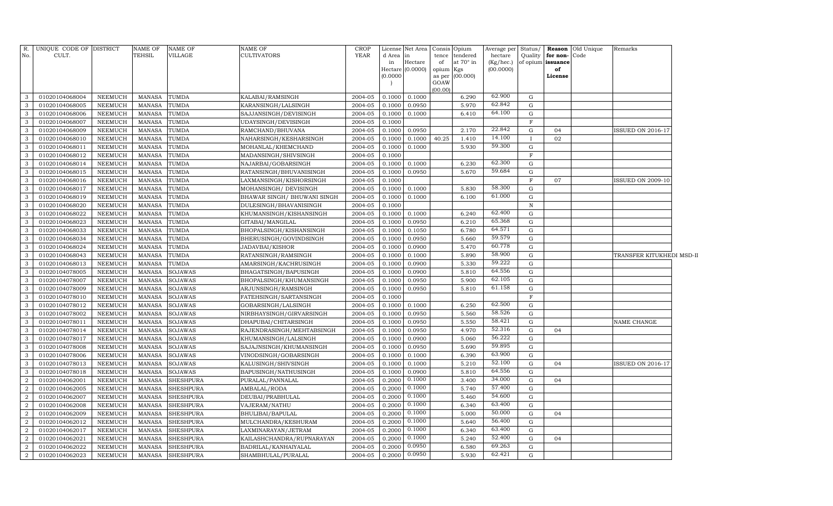| R.<br>No.      | UNIQUE CODE OF DISTRICT<br>CULT. |                | <b>NAME OF</b><br>TEHSIL | <b>NAME OF</b><br><b>VILLAGE</b> | <b>NAME OF</b><br><b>CULTIVATORS</b> | <b>CROP</b><br><b>YEAR</b> | License<br>d Area<br>in<br>Hectare<br>(0.0000) | Net Area<br>in<br>Hectare<br>(0.0000) | tence<br>of<br>opium Kgs<br>GOAW | Consis Opium<br>tendered<br>at 70° in<br>as per (00.000) | hectare<br>(Kg/hec.)<br>(00.0000) |              | Quality for non-Code<br>of opium issuance<br>of<br>License | Average per Status/ <b>Reason</b> Old Unique | Remarks                   |  |
|----------------|----------------------------------|----------------|--------------------------|----------------------------------|--------------------------------------|----------------------------|------------------------------------------------|---------------------------------------|----------------------------------|----------------------------------------------------------|-----------------------------------|--------------|------------------------------------------------------------|----------------------------------------------|---------------------------|--|
|                |                                  |                |                          |                                  |                                      |                            |                                                |                                       | (00.00)                          |                                                          |                                   |              |                                                            |                                              |                           |  |
| 3              | 01020104068004                   | NEEMUCH        | MANASA                   | <b>TUMDA</b>                     | KALABAI/RAMSINGH                     | 2004-05                    | 0.1000                                         | 0.1000                                |                                  | 6.290                                                    | 62.900                            | G            |                                                            |                                              |                           |  |
| 3              | 01020104068005                   | NEEMUCH        | MANASA                   | <b>TUMDA</b>                     | KARANSINGH/LALSINGH                  | 2004-05                    | 0.1000                                         | 0.0950                                |                                  | 5.970                                                    | 62.842                            | G            |                                                            |                                              |                           |  |
| 3              | 01020104068006                   | NEEMUCH        | <b>MANASA</b>            | <b>TUMDA</b>                     | SAJJANSINGH/DEVISINGH                | 2004-05                    | 0.1000                                         | 0.1000                                |                                  | 6.410                                                    | 64.100                            | G            |                                                            |                                              |                           |  |
| 3              | 01020104068007                   | NEEMUCH        | MANASA                   | <b>TUMDA</b>                     | UDAYSINGH/DEVISINGH                  | 2004-05                    | 0.1000                                         |                                       |                                  |                                                          | 22.842                            | $\mathbf F$  |                                                            |                                              |                           |  |
| 3              | 01020104068009                   | NEEMUCH        | <b>MANASA</b>            | <b>TUMDA</b>                     | RAMCHAND/BHUVANA                     | 2004-05                    | 0.1000                                         | 0.0950                                |                                  | 2.170                                                    | 14.100                            | G            | 04                                                         |                                              | <b>ISSUED ON 2016-17</b>  |  |
| 3              | 01020104068010                   | <b>NEEMUCH</b> | <b>MANASA</b>            | <b>TUMDA</b>                     | NAHARSINGH/KESHARSINGH               | 2004-05                    | 0.1000                                         | 0.1000                                | 40.25                            | 1.410                                                    | 59.300                            | П            | 02                                                         |                                              |                           |  |
| 3              | 01020104068011                   | <b>NEEMUCH</b> | <b>MANASA</b>            | <b>TUMDA</b>                     | MOHANLAL/KHEMCHAND                   | 2004-05                    | 0.1000                                         | 0.1000                                |                                  | 5.930                                                    |                                   | G            |                                                            |                                              |                           |  |
| 3              | 01020104068012                   | <b>NEEMUCH</b> | <b>MANASA</b>            | TUMDA                            | MADANSINGH/SHIVSINGH                 | 2004-05                    | 0.1000                                         |                                       |                                  |                                                          |                                   | F            |                                                            |                                              |                           |  |
| 3              | 01020104068014                   | <b>NEEMUCH</b> | <b>MANASA</b>            | TUMDA                            | NAJARBAI/GOBARSINGH                  | 2004-05                    | 0.1000                                         | 0.1000                                |                                  | 6.230                                                    | 62.300                            | G            |                                                            |                                              |                           |  |
| 3              | 01020104068015                   | <b>NEEMUCH</b> | <b>MANASA</b>            | TUMDA                            | RATANSINGH/BHUVANISINGH              | 2004-05                    | 0.1000                                         | 0.0950                                |                                  | 5.670                                                    | 59.684                            | G            |                                                            |                                              |                           |  |
| 3              | 01020104068016                   | <b>NEEMUCH</b> | <b>MANASA</b>            | TUMDA                            | LAXMANSINGH/KISHORSINGH              | 2004-05                    | 0.1000                                         |                                       |                                  |                                                          |                                   | $\mathbf F$  | 07                                                         |                                              | <b>ISSUED ON 2009-10</b>  |  |
| 3              | 01020104068017                   | <b>NEEMUCH</b> | <b>MANASA</b>            | TUMDA                            | MOHANSINGH/ DEVISINGH                | 2004-05                    | 0.1000                                         | 0.1000                                |                                  | 5.830                                                    | 58.300                            | G            |                                                            |                                              |                           |  |
| 3              | 01020104068019                   | <b>NEEMUCH</b> | <b>MANASA</b>            | TUMDA                            | BHAWAR SINGH/ BHUWANI SINGH          | 2004-05                    | 0.1000                                         | 0.1000                                |                                  | 6.100                                                    | 61.000                            | G            |                                                            |                                              |                           |  |
| 3              | 01020104068020                   | <b>NEEMUCH</b> | <b>MANASA</b>            | TUMDA                            | DULESINGH/BHAVANISINGH               | 2004-05                    | 0.1000                                         |                                       |                                  |                                                          |                                   | $\, {\bf N}$ |                                                            |                                              |                           |  |
| 3              | 01020104068022                   | <b>NEEMUCH</b> | MANASA                   | TUMDA                            | KHUMANSINGH/KISHANSINGH              | 2004-05                    | 0.1000                                         | 0.1000                                |                                  | 6.240                                                    | 62.400                            | G            |                                                            |                                              |                           |  |
| 3              | 01020104068023                   | <b>NEEMUCH</b> | MANASA                   | TUMDA                            | GITABAI/MANGILAL                     | 2004-05                    | 0.1000                                         | 0.0950                                |                                  | 6.210                                                    | 65.368                            | G            |                                                            |                                              |                           |  |
| 3              | 01020104068033                   | <b>NEEMUCH</b> | <b>MANASA</b>            | TUMDA                            | BHOPALSINGH/KISHANSINGH              | 2004-05                    | 0.1000                                         | 0.1050                                |                                  | 6.780                                                    | 64.571                            | G            |                                                            |                                              |                           |  |
| 3              | 01020104068034                   | NEEMUCH        | MANASA                   | TUMDA                            | BHERUSINGH/GOVINDSINGH               | 2004-05                    | 0.1000                                         | 0.0950                                |                                  | 5.660                                                    | 59.579                            | G            |                                                            |                                              |                           |  |
| 3              | 01020104068024                   | NEEMUCH        | MANASA                   | TUMDA                            | JADAVBAI/KISHOR                      | 2004-05                    | 0.1000                                         | 0.0900                                |                                  | 5.470                                                    | 60.778                            | G            |                                                            |                                              |                           |  |
| 3              | 01020104068043                   | <b>NEEMUCH</b> | MANASA                   | TUMDA                            | RATANSINGH/RAMSINGH                  | 2004-05                    | 0.1000                                         | 0.1000                                |                                  | 5.890                                                    | 58.900                            | G            |                                                            |                                              | TRANSFER KITUKHEDI MSD-II |  |
| 3              | 01020104068013                   | <b>NEEMUCH</b> | MANASA                   | TUMDA                            | AMARSINGH/KACHRUSINGH                | 2004-05                    | 0.1000                                         | 0.0900                                |                                  | 5.330                                                    | 59.222                            | G            |                                                            |                                              |                           |  |
| 3              | 01020104078005                   | <b>NEEMUCH</b> | <b>MANASA</b>            | <b>SOJAWAS</b>                   | BHAGATSINGH/BAPUSINGH                | 2004-05                    | 0.1000                                         | 0.0900                                |                                  | 5.810                                                    | 64.556                            | G            |                                                            |                                              |                           |  |
| 3              | 01020104078007                   | <b>NEEMUCH</b> | MANASA                   | <b>SOJAWAS</b>                   | BHOPALSINGH/KHUMANSINGH              | 2004-05                    | 0.100C                                         | 0.0950                                |                                  | 5.900                                                    | 62.105                            | $\mathbf G$  |                                                            |                                              |                           |  |
| 3              | 01020104078009                   | <b>NEEMUCH</b> | <b>MANASA</b>            | <b>SOJAWAS</b>                   | ARJUNSINGH/RAMSINGH                  | 2004-05                    | 0.1000                                         | 0.0950                                |                                  | 5.810                                                    | 61.158                            | G            |                                                            |                                              |                           |  |
| 3              | 01020104078010                   | <b>NEEMUCH</b> | <b>MANASA</b>            | <b>SOJAWAS</b>                   | FATEHSINGH/SARTANSINGH               | 2004-05                    | 0.1000                                         |                                       |                                  |                                                          |                                   | F            |                                                            |                                              |                           |  |
| 3              | 01020104078012                   | NEEMUCH        | <b>MANASA</b>            | <b>SOJAWAS</b>                   | GOBARSINGH/LALSINGH                  | 2004-05                    | 0.1000                                         | 0.1000                                |                                  | 6.250                                                    | 62.500                            | G            |                                                            |                                              |                           |  |
| 3              | 01020104078002                   | NEEMUCH        | <b>MANASA</b>            | <b>SOJAWAS</b>                   | NIRBHAYSINGH/GIRVARSINGH             | 2004-05                    | 0.1000                                         | 0.0950                                |                                  | 5.560                                                    | 58.526                            | $\mathbf G$  |                                                            |                                              |                           |  |
| 3              | 01020104078011                   | <b>NEEMUCH</b> | MANASA                   | <b>SOJAWAS</b>                   | DHAPUBAI/CHITARSINGH                 | 2004-05                    | 0.1000                                         | 0.0950                                |                                  | 5.550                                                    | 58.421                            | $\mathbf G$  |                                                            |                                              | NAME CHANGE               |  |
| 3              | 01020104078014                   | <b>NEEMUCH</b> | <b>MANASA</b>            | <b>SOJAWAS</b>                   | RAJENDRASINGH/MEHTABSINGH            | 2004-05                    | 0.1000                                         | 0.0950                                |                                  | 4.970                                                    | 52.316                            | $\mathbf G$  | 04                                                         |                                              |                           |  |
| 3              | 01020104078017                   | <b>NEEMUCH</b> | <b>MANASA</b>            | <b>SOJAWAS</b>                   | KHUMANSINGH/LALSINGH                 | 2004-05                    | 0.1000                                         | 0.0900                                |                                  | 5.060                                                    | 56.222                            | G            |                                                            |                                              |                           |  |
| 3              | 01020104078008                   | <b>NEEMUCH</b> | <b>MANASA</b>            | <b>SOJAWAS</b>                   | SAJAJNSINGH/KHUMANSINGH              | 2004-05                    | 0.1000                                         | 0.0950                                |                                  | 5.690                                                    | 59.895                            | $\mathbf G$  |                                                            |                                              |                           |  |
| 3              | 01020104078006                   | <b>NEEMUCH</b> | <b>MANASA</b>            | <b>SOJAWAS</b>                   | VINODSINGH/GOBARSINGH                | 2004-05                    | 0.1000                                         | 0.1000                                |                                  | 6.390                                                    | 63.900                            | G            |                                                            |                                              |                           |  |
| 3              | 01020104078013                   | <b>NEEMUCH</b> | <b>MANASA</b>            | <b>SOJAWAS</b>                   | KALUSINGH/SHIVSINGH                  | 2004-05                    | 0.1000                                         | 0.1000                                |                                  | 5.210                                                    | 52.100                            | $\mathbf G$  | 04                                                         |                                              | <b>ISSUED ON 2016-17</b>  |  |
| 3              | 01020104078018                   | <b>NEEMUCH</b> | <b>MANASA</b>            | <b>SOJAWAS</b>                   | BAPUSINGH/NATHUSINGH                 | 2004-05                    | 0.1000                                         | 0.0900                                |                                  | 5.810                                                    | 64.556                            | G            |                                                            |                                              |                           |  |
| $\overline{2}$ | 01020104062001                   | <b>NEEMUCH</b> | <b>MANASA</b>            | <b>SHESHPURA</b>                 | PURALAL/PANNALAL                     | 2004-05                    | 0.2000                                         | 0.1000                                |                                  | 3.400                                                    | 34.000                            | $\mathbf G$  | 04                                                         |                                              |                           |  |
| $\overline{2}$ | 01020104062005                   | NEEMUCH        | <b>MANASA</b>            | <b>SHESHPURA</b>                 | AMBALAL/RODA                         | 2004-05                    | 0.2000                                         | 0.1000                                |                                  | 5.740                                                    | 57.400                            | G            |                                                            |                                              |                           |  |
| $\overline{2}$ | 01020104062007                   | <b>NEEMUCH</b> | MANASA                   | <b>SHESHPURA</b>                 | DEUBAI/PRABHULAL                     | 2004-05                    | 0.2000                                         | 0.1000                                |                                  | 5.460                                                    | 54.600                            | $\mathbf G$  |                                                            |                                              |                           |  |
| $\overline{2}$ | 01020104062008                   | <b>NEEMUCH</b> | <b>MANASA</b>            | <b>SHESHPURA</b>                 | VAJERAM/NATHU                        | 2004-05                    | 0.2000                                         | 0.1000                                |                                  | 6.340                                                    | 63.400                            | G            |                                                            |                                              |                           |  |
| $\overline{2}$ | 01020104062009                   | <b>NEEMUCH</b> | <b>MANASA</b>            | SHESHPURA                        | BHULIBAI/BAPULAL                     | 2004-05                    | 0.2000                                         | 0.1000                                |                                  | 5.000                                                    | 50.000                            | G            | 04                                                         |                                              |                           |  |
| $\overline{2}$ | 01020104062012                   | NEEMUCH        | <b>MANASA</b>            | <b>SHESHPURA</b>                 | MULCHANDRA/KESHURAM                  | 2004-05                    | 0.2000                                         | 0.1000                                |                                  | 5.640                                                    | 56.400                            | G            |                                                            |                                              |                           |  |
| $\overline{2}$ | 01020104062017                   | NEEMUCH        | MANASA                   | SHESHPURA                        | LAXMINARAYAN/JETRAM                  | 2004-05                    | 0.2000                                         | 0.1000                                |                                  | 6.340                                                    | 63.400                            | G            |                                                            |                                              |                           |  |
| $\overline{2}$ | 01020104062021                   | <b>NEEMUCH</b> | <b>MANASA</b>            | <b>SHESHPURA</b>                 | KAILASHCHANDRA/RUPNARAYAN            | 2004-05                    | 0.2000                                         | 0.1000                                |                                  | 5.240                                                    | 52.400                            | G            | 04                                                         |                                              |                           |  |
| $\overline{2}$ | 01020104062022                   | <b>NEEMUCH</b> | MANASA                   | <b>SHESHPURA</b>                 | BADRILAL/KANHAIYALAL                 | 2004-05                    | 0.2000                                         | 0.0950                                |                                  | 6.580                                                    | 69.263                            | G            |                                                            |                                              |                           |  |
| $\overline{a}$ | 01020104062023                   | NEEMUCH        | MANASA                   | <b>SHESHPURA</b>                 | SHAMBHULAL/PURALAL                   | 2004-05                    | 0.2000                                         | 0.0950                                |                                  | 5.930                                                    | 62.421                            | G            |                                                            |                                              |                           |  |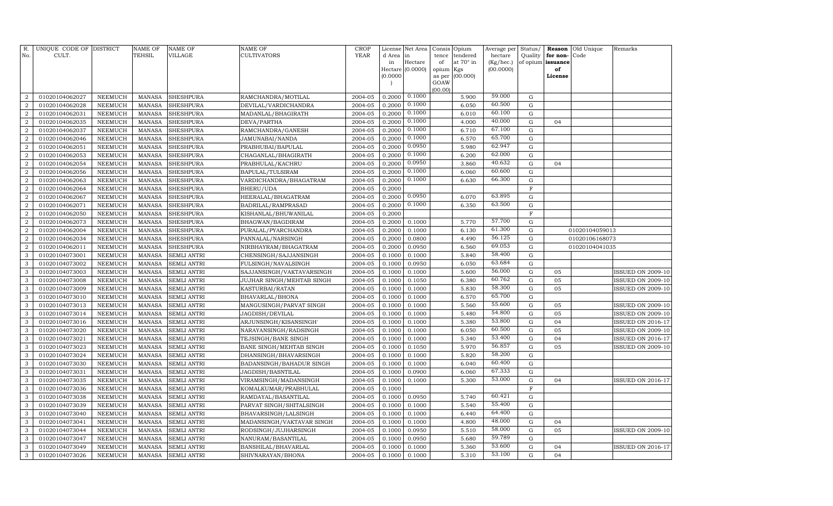| R.<br>No.                        | UNIQUE CODE OF DISTRICT<br>CULT. |                                  | <b>NAME OF</b><br>TEHSIL | <b>NAME OF</b><br>VILLAGE            | NAME OF<br>CULTIVATORS                     | <b>CROP</b><br><b>YEAR</b> | d Area in        | License Net Area            | Consis<br>tence | Opium<br>tendered | Average per<br>hectare | Status/<br>Quality         | Reason<br>for non- | Old Unique<br>Code | Remarks                  |
|----------------------------------|----------------------------------|----------------------------------|--------------------------|--------------------------------------|--------------------------------------------|----------------------------|------------------|-----------------------------|-----------------|-------------------|------------------------|----------------------------|--------------------|--------------------|--------------------------|
|                                  |                                  |                                  |                          |                                      |                                            |                            | in               | Hectare<br>Hectare (0.0000) | of<br>opium     | at 70° in<br>Kgs  | (Kg/hec.)<br>(00.0000) | of opium                   | issuance<br>of     |                    |                          |
|                                  |                                  |                                  |                          |                                      |                                            |                            | (0.0000)         |                             | as per          | (00.000)          |                        |                            | License            |                    |                          |
|                                  |                                  |                                  |                          |                                      |                                            |                            |                  |                             | GOAW            |                   |                        |                            |                    |                    |                          |
|                                  |                                  |                                  |                          |                                      |                                            |                            |                  | 0.1000                      | (00.00)         |                   | 59.000                 |                            |                    |                    |                          |
| $\overline{a}$<br>$\overline{2}$ | 01020104062027<br>01020104062028 | <b>NEEMUCH</b><br><b>NEEMUCH</b> | <b>MANASA</b>            | <b>SHESHPURA</b>                     | RAMCHANDRA/MOTILAL                         | 2004-05<br>2004-05         | 0.2000<br>0.2000 | 0.1000                      |                 | 5.900<br>6.050    | 60.500                 | $\mathbf G$<br>$\mathbf G$ |                    |                    |                          |
| $\overline{a}$                   | 01020104062031                   | NEEMUCH                          | <b>MANASA</b><br>MANASA  | <b>SHESHPURA</b><br><b>SHESHPURA</b> | DEVILAL/VARDICHANDRA<br>MADANLAL/BHAGIRATH | 2004-05                    | 0.2000           | 0.1000                      |                 | 6.010             | 60.100                 | G                          |                    |                    |                          |
| $\overline{a}$                   | 01020104062035                   | NEEMUCH                          | <b>MANASA</b>            | <b>SHESHPURA</b>                     | DEVA/PARTHA                                | 2004-05                    | 0.2000           | 0.1000                      |                 | 4.000             | 40.000                 | G                          | 04                 |                    |                          |
| $\overline{2}$                   | 01020104062037                   | <b>NEEMUCH</b>                   | <b>MANASA</b>            | <b>SHESHPURA</b>                     | RAMCHANDRA/GANESH                          | 2004-05                    | 0.2000           | 0.1000                      |                 | 6.710             | 67.100                 | ${\rm G}$                  |                    |                    |                          |
| $\overline{2}$                   | 01020104062046                   | <b>NEEMUCH</b>                   | <b>MANASA</b>            | <b>SHESHPURA</b>                     | JAMUNABAI/NANDA                            | 2004-05                    | 0.2000           | 0.1000                      |                 | 6.570             | 65.700                 | G                          |                    |                    |                          |
| 2                                | 01020104062051                   | <b>NEEMUCH</b>                   | <b>MANASA</b>            | <b>SHESHPURA</b>                     | PRABHUBAI/BAPULAL                          | 2004-05                    | 0.2000           | 0.0950                      |                 | 5.980             | 62.947                 | G                          |                    |                    |                          |
| $\overline{2}$                   | 01020104062053                   | <b>NEEMUCH</b>                   | <b>MANASA</b>            | <b>SHESHPURA</b>                     | CHAGANLAL/BHAGIRATH                        | 2004-05                    | 0.2000           | 0.1000                      |                 | 6.200             | 62.000                 | G                          |                    |                    |                          |
| $\overline{2}$                   | 01020104062054                   | <b>NEEMUCH</b>                   | <b>MANASA</b>            | <b>SHESHPURA</b>                     | PRABHULAL/KACHRU                           | 2004-05                    | 0.2000           | 0.0950                      |                 | 3.860             | 40.632                 | $\mathbf G$                | 04                 |                    |                          |
| $\overline{2}$                   | 01020104062056                   | <b>NEEMUCH</b>                   | MANASA                   | <b>SHESHPURA</b>                     | BAPULAL/TULSIRAM                           | 2004-05                    | 0.2000           | 0.1000                      |                 | 6.060             | 60.600                 | G                          |                    |                    |                          |
| $\overline{2}$                   | 01020104062063                   | <b>NEEMUCH</b>                   | <b>MANASA</b>            | <b>SHESHPURA</b>                     | VARDICHANDRA/BHAGATRAM                     | 2004-05                    | 0.2000           | 0.1000                      |                 | 6.630             | 66.300                 | $\mathbf G$                |                    |                    |                          |
| $\overline{a}$                   | 01020104062064                   | <b>NEEMUCH</b>                   | <b>MANASA</b>            | <b>SHESHPURA</b>                     | BHERU/UDA                                  | 2004-05                    | 0.2000           |                             |                 |                   |                        | $\mathbf F$                |                    |                    |                          |
| $\overline{2}$                   | 01020104062067                   | <b>NEEMUCH</b>                   | <b>MANASA</b>            | <b>SHESHPURA</b>                     | HEERALAL/BHAGATRAM                         | 2004-05                    | 0.2000           | 0.0950                      |                 | 6.070             | 63.895                 | ${\rm G}$                  |                    |                    |                          |
| $\overline{2}$                   | 01020104062071                   | <b>NEEMUCH</b>                   | <b>MANASA</b>            | <b>SHESHPURA</b>                     | BADRILAL/RAMPRASAD                         | 2004-05                    | 0.2000           | 0.1000                      |                 | 6.350             | 63.500                 | $\mathbf G$                |                    |                    |                          |
| $\overline{2}$                   | 01020104062050                   | <b>NEEMUCH</b>                   | <b>MANASA</b>            | <b>SHESHPURA</b>                     | KISHANLAL/BHUWANILAL                       | 2004-05                    | 0.2000           |                             |                 |                   |                        | $\mathbf F$                |                    |                    |                          |
| $\overline{a}$                   | 01020104062073                   | <b>NEEMUCH</b>                   | <b>MANASA</b>            | <b>SHESHPURA</b>                     | BHAGWAN/BAGDIRAM                           | 2004-05                    | 0.2000           | 0.1000                      |                 | 5.770             | 57.700                 | G                          |                    |                    |                          |
| $\overline{2}$                   | 01020104062004                   | <b>NEEMUCH</b>                   | <b>MANASA</b>            | <b>SHESHPURA</b>                     | PURALAL/PYARCHANDRA                        | 2004-05                    | 0.2000           | 0.1000                      |                 | 6.130             | 61.300                 | ${\rm G}$                  |                    | 01020104059013     |                          |
| $\boldsymbol{2}$                 | 01020104062034                   | <b>NEEMUCH</b>                   | <b>MANASA</b>            | <b>SHESHPURA</b>                     | PANNALAL/NARSINGH                          | 2004-05                    | 0.2000           | 0.0800                      |                 | 4.490             | 56.125                 | ${\rm G}$                  |                    | 01020106168073     |                          |
| $\overline{2}$                   | 01020104062011                   | <b>NEEMUCH</b>                   | <b>MANASA</b>            | <b>SHESHPURA</b>                     | NIRBHAYRAM/BHAGATRAM                       | 2004-05                    | 0.2000           | 0.0950                      |                 | 6.560             | 69.053                 | ${\rm G}$                  |                    | 01020104041035     |                          |
| $\mathbf{3}$                     | 01020104073001                   | <b>NEEMUCH</b>                   | <b>MANASA</b>            | <b>SEMLI ANTRI</b>                   | CHENSINGH/SAJJANSINGH                      | 2004-05                    | 0.1000           | 0.1000                      |                 | 5.840             | 58.400                 | ${\rm G}$                  |                    |                    |                          |
| 3                                | 01020104073002                   | NEEMUCH                          | <b>MANASA</b>            | <b>SEMLI ANTRI</b>                   | FULSINGH/NAVALSINGH                        | 2004-05                    | 0.1000           | 0.0950                      |                 | 6.050             | 63.684                 | $\mathbf G$                |                    |                    |                          |
| 3                                | 01020104073003                   | <b>NEEMUCH</b>                   | <b>MANASA</b>            | <b>SEMLI ANTRI</b>                   | SAJJANSINGH/VAKTAVARSINGH                  | 2004-05                    | 0.1000           | 0.1000                      |                 | 5.600             | 56.000                 | $\mathbf G$                | 05                 |                    | <b>ISSUED ON 2009-10</b> |
| 3                                | 01020104073008                   | NEEMUCH                          | <b>MANASA</b>            | <b>SEMLI ANTRI</b>                   | JUJHAR SINGH/MEHTAB SINGH                  | 2004-05                    | 0.1000           | 0.1050                      |                 | 6.380             | 60.762                 | ${\bf G}$                  | 05                 |                    | <b>ISSUED ON 2009-10</b> |
| 3                                | 01020104073009                   | <b>NEEMUCH</b>                   | MANASA                   | <b>SEMLI ANTRI</b>                   | KASTURBAI/RATAN                            | 2004-05                    | 0.1000           | 0.1000                      |                 | 5.830             | 58.300                 | $\mathbf G$                | 05                 |                    | <b>ISSUED ON 2009-10</b> |
| 3                                | 01020104073010                   | <b>NEEMUCH</b>                   | <b>MANASA</b>            | <b>SEMLI ANTRI</b>                   | BHAVARLAL/BHONA                            | 2004-05                    | 0.1000           | 0.1000                      |                 | 6.570             | 65.700                 | $\mathbf G$                |                    |                    |                          |
| 3                                | 01020104073013                   | <b>NEEMUCH</b>                   | <b>MANASA</b>            | <b>SEMLI ANTRI</b>                   | MANGUSINGH/PARVAT SINGH                    | 2004-05                    | 0.1000           | 0.1000                      |                 | 5.560             | 55.600                 | ${\rm G}$                  | 05                 |                    | <b>ISSUED ON 2009-10</b> |
| 3                                | 01020104073014                   | NEEMUCH                          | <b>MANASA</b>            | <b>SEMLI ANTRI</b>                   | JAGDISH/DEVILAL                            | 2004-05                    | 0.1000           | 0.1000                      |                 | 5.480             | 54.800                 | $\mathbf G$                | 05                 |                    | <b>ISSUED ON 2009-10</b> |
| $\mathbf{3}$                     | 01020104073016                   | NEEMUCH                          | <b>MANASA</b>            | <b>SEMLI ANTRI</b>                   | ARJUNSINGH/KISANSINGH'                     | 2004-05                    | 0.1000           | 0.1000                      |                 | 5.380             | 53.800                 | G                          | 04                 |                    | <b>ISSUED ON 2016-17</b> |
| 3                                | 01020104073020                   | NEEMUCH                          | <b>MANASA</b>            | <b>SEMLI ANTRI</b>                   | NARAYANSINGH/RADSINGH                      | 2004-05                    | 0.1000           | 0.1000                      |                 | 6.050             | 60.500                 | $\mathbf G$                | 05                 |                    | <b>ISSUED ON 2009-10</b> |
| $\mathbf{3}$                     | 01020104073021                   | NEEMUCH                          | <b>MANASA</b>            | SEMLI ANTRI                          | TEJSINGH/BANE SINGH                        | 2004-05                    | 0.1000           | 0.1000                      |                 | 5.340             | 53.400                 | ${\rm G}$                  | 04                 |                    | <b>ISSUED ON 2016-17</b> |
| 3                                | 01020104073023                   | NEEMUCH                          | <b>MANASA</b>            | <b>SEMLI ANTRI</b>                   | BANE SINGH/MEHTAB SINGH                    | 2004-05                    | 0.1000           | 0.1050                      |                 | 5.970             | 56.857                 | ${\rm G}$                  | 05                 |                    | <b>ISSUED ON 2009-10</b> |
| 3                                | 01020104073024                   | <b>NEEMUCH</b>                   | <b>MANASA</b>            | <b>SEMLI ANTRI</b>                   | DHANSINGH/BHAVARSINGH                      | 2004-05                    | 0.1000           | 0.1000                      |                 | 5.820             | 58.200                 | $\mathbf G$                |                    |                    |                          |
| 3                                | 01020104073030                   | NEEMUCH                          | MANASA                   | <b>SEMLI ANTRI</b>                   | BADANSINGH/BAHADUR SINGH                   | 2004-05                    | 0.1000           | 0.1000                      |                 | 6.040             | 60.400                 | ${\rm G}$                  |                    |                    |                          |
| 3                                | 01020104073031                   | <b>NEEMUCH</b>                   | MANASA                   | <b>SEMLI ANTRI</b>                   | JAGDISH/BASNTILAL                          | 2004-05                    | 0.1000           | 0.0900                      |                 | 6.060             | 67.333                 | $\mathbf G$                |                    |                    |                          |
| 3                                | 01020104073035                   | NEEMUCH                          | <b>MANASA</b>            | <b>SEMLI ANTRI</b>                   | VIRAMSINGH/MADANSINGH                      | 2004-05                    | 0.1000           | 0.1000                      |                 | 5.300             | 53.000                 | $\mathbf G$                | 04                 |                    | <b>ISSUED ON 2016-17</b> |
| 3                                | 01020104073036                   | <b>NEEMUCH</b>                   | <b>MANASA</b>            | <b>SEMLI ANTRI</b>                   | KOMALKUMAR/PRABHULAL                       | 2004-05                    | 0.1000           |                             |                 |                   |                        | F                          |                    |                    |                          |
| 3                                | 01020104073038                   | <b>NEEMUCH</b>                   | <b>MANASA</b>            | <b>SEMLI ANTRI</b>                   | RAMDAYAL/BASANTILAL                        | 2004-05                    | 0.1000           | 0.0950                      |                 | 5.740             | 60.421                 | $\mathbf G$                |                    |                    |                          |
| 3                                | 01020104073039                   | <b>NEEMUCH</b>                   | <b>MANASA</b>            | <b>SEMLI ANTRI</b>                   | PARVAT SINGH/SHITALSINGH                   | 2004-05                    | 0.1000           | 0.1000                      |                 | 5.540             | 55.400                 | $\mathbf G$                |                    |                    |                          |
| 3                                | 01020104073040                   | <b>NEEMUCH</b>                   | <b>MANASA</b>            | <b>SEMLI ANTRI</b>                   | BHAVARSINGH/LALSINGH                       | 2004-05                    | 0.1000           | 0.1000                      |                 | 6.440             | 64.400<br>48.000       | $\mathbf G$                |                    |                    |                          |
| 3                                | 01020104073041                   | <b>NEEMUCH</b>                   | <b>MANASA</b>            | <b>SEMLI ANTRI</b>                   | MADANSINGH/VAKTAVAR SINGH                  | 2004-05                    | 0.1000           | 0.1000                      |                 | 4.800             | 58.000                 | $\mathbf G$                | 04                 |                    |                          |
| 3                                | 01020104073044                   | NEEMUCH                          | <b>MANASA</b>            | <b>SEMLI ANTRI</b>                   | RODSINGH/JUJHARSINGH                       | 2004-05                    | 0.1000           | 0.0950                      |                 | 5.510             | 59.789                 | ${\rm G}$                  | 05                 |                    | <b>ISSUED ON 2009-10</b> |
| $\mathbf{3}$<br>3                | 01020104073047                   | <b>NEEMUCH</b>                   | <b>MANASA</b>            | <b>SEMLI ANTRI</b>                   | NANURAM/BASANTILAL                         | 2004-05                    | 0.1000           | 0.0950                      |                 | 5.680             | 53.600                 | $\mathbf G$<br>$\mathbf G$ | 04                 |                    |                          |
|                                  | 01020104073049                   | <b>NEEMUCH</b>                   | <b>MANASA</b>            | SEMLI ANTRI                          | BANSHILAL/BHAVARLAL                        | 2004-05                    | 0.1000           | 0.1000                      |                 | 5.360             | 53.100                 | G                          | 04                 |                    | <b>ISSUED ON 2016-17</b> |
| $\mathbf{3}$                     | 01020104073026                   | NEEMUCH                          | <b>MANASA</b>            | <b>SEMLI ANTRI</b>                   | SHIVNARAYAN/BHONA                          | 2004-05                    | 0.1000           | 0.1000                      |                 | 5.310             |                        |                            |                    |                    |                          |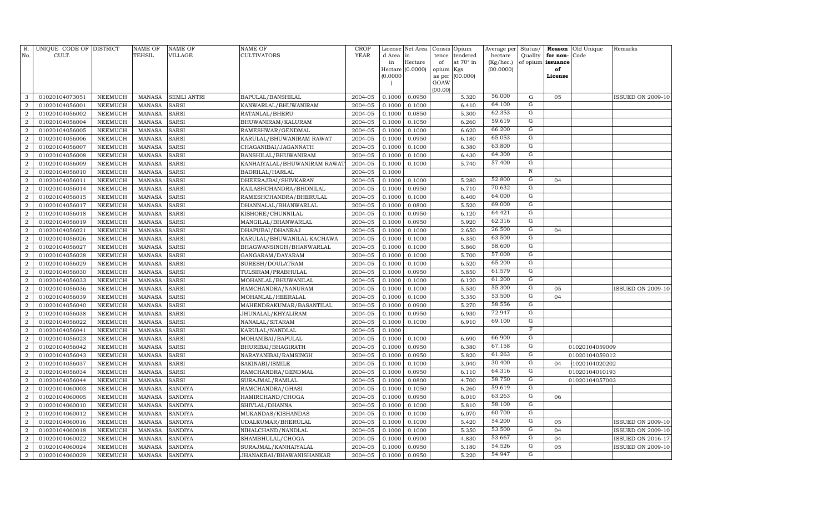| R.<br>No.        | UNIQUE CODE OF DISTRICT<br>CULT. |                | <b>NAME OF</b><br>TEHSIL | <b>NAME OF</b><br><b>VILLAGE</b> | NAME OF<br><b>CULTIVATORS</b> | <b>CROP</b><br><b>YEAR</b> | License<br>d Area | Net Area<br>in   | Consis<br>tence | Opium<br>tendered | Average per<br>hectare | Status/<br>Quality  | Reason<br>for non-   | Old Unique<br>Code | Remarks                  |
|------------------|----------------------------------|----------------|--------------------------|----------------------------------|-------------------------------|----------------------------|-------------------|------------------|-----------------|-------------------|------------------------|---------------------|----------------------|--------------------|--------------------------|
|                  |                                  |                |                          |                                  |                               |                            | in                | Hectare          | of              | at 70° in         | (Kg/hec.)              |                     | of opium issuance    |                    |                          |
|                  |                                  |                |                          |                                  |                               |                            |                   | Hectare (0.0000) | opium           | Kgs               | (00.0000)              |                     | of                   |                    |                          |
|                  |                                  |                |                          |                                  |                               |                            | (0.0000)          |                  | as per          | (00.000)          |                        |                     | License              |                    |                          |
|                  |                                  |                |                          |                                  |                               |                            |                   |                  | GOAW<br>(00.00) |                   |                        |                     |                      |                    |                          |
| 3                | 01020104073051                   | <b>NEEMUCH</b> | <b>MANASA</b>            | <b>SEMLI ANTRI</b>               | BAPULAL/BANSHILAL             | 2004-05                    | 0.1000            | 0.0950           |                 | 5.320             | 56.000                 | ${\bf G}$           | 05                   |                    | <b>ISSUED ON 2009-10</b> |
| $\overline{2}$   | 01020104056001                   | <b>NEEMUCH</b> | <b>MANASA</b>            | <b>SARSI</b>                     | KANWARLAL/BHUWANIRAM          | 2004-05                    | 0.1000            | 0.1000           |                 | 6.410             | 64.100                 | ${\rm G}$           |                      |                    |                          |
| $\overline{2}$   | 01020104056002                   | <b>NEEMUCH</b> | <b>MANASA</b>            | <b>SARSI</b>                     | RATANLAL/BHERU                | 2004-05                    | 0.1000            | 0.0850           |                 | 5.300             | 62.353                 | $\overline{G}$      |                      |                    |                          |
| $\overline{2}$   | 01020104056004                   | <b>NEEMUCH</b> | <b>MANASA</b>            | <b>SARSI</b>                     | BHUWANIRAM / KALURAM          | 2004-05                    | 0.1000            | 0.1050           |                 | 6.260             | 59.619                 | G                   |                      |                    |                          |
| $\overline{2}$   | 01020104056005                   | <b>NEEMUCH</b> | <b>MANASA</b>            | <b>SARSI</b>                     | RAMESHWAR/GENDMAL             | 2004-05                    | 0.1000            | 0.1000           |                 | 6.620             | 66.200                 | G                   |                      |                    |                          |
| $\overline{a}$   | 01020104056006                   | <b>NEEMUCH</b> | <b>MANASA</b>            | <b>SARSI</b>                     | KARULAL/BHUWANIRAM RAWAT      | 2004-05                    | 0.1000            | 0.0950           |                 | 6.180             | 65.053                 | $\overline{G}$      |                      |                    |                          |
| $\overline{2}$   | 01020104056007                   | <b>NEEMUCH</b> | <b>MANASA</b>            | <b>SARSI</b>                     | CHAGANIBAI/JAGANNATH          | 2004-05                    | 0.1000            | 0.1000           |                 | 6.380             | 63.800                 | $\overline{G}$      |                      |                    |                          |
| $\overline{a}$   | 01020104056008                   | <b>NEEMUCH</b> | <b>MANASA</b>            | <b>SARSI</b>                     | BANSHILAL/BHUWANIRAM          | 2004-05                    | 0.1000            | 0.1000           |                 | 6.430             | 64.300                 | $\overline{G}$      |                      |                    |                          |
| $\overline{2}$   | 01020104056009                   | <b>NEEMUCH</b> | <b>MANASA</b>            | <b>SARSI</b>                     | KANHAIYALAL/BHUWANIRAM RAWAT  | 2004-05                    | 0.1000            | 0.1000           |                 | 5.740             | 57.400                 | $\overline{G}$      |                      |                    |                          |
| $\overline{2}$   | 01020104056010                   | <b>NEEMUCH</b> | <b>MANASA</b>            | <b>SARSI</b>                     | BADRILAL/HARLAL               | 2004-05                    | 0.1000            |                  |                 |                   |                        | $\overline{N}$      |                      |                    |                          |
| $\overline{2}$   | 01020104056011                   | <b>NEEMUCH</b> | <b>MANASA</b>            | <b>SARSI</b>                     | DHEERAJBAI/SHIVKARAN          | 2004-05                    | 0.1000            | 0.1000           |                 | 5.280             | 52.800                 | $\overline{G}$      | 04                   |                    |                          |
| $\overline{2}$   | 01020104056014                   | <b>NEEMUCH</b> | <b>MANASA</b>            | <b>SARSI</b>                     | KAILASHCHANDRA/BHONILAL       | 2004-05                    | 0.1000            | 0.0950           |                 | 6.710             | 70.632                 | $\mathbf G$         |                      |                    |                          |
| $\overline{2}$   | 01020104056015                   | <b>NEEMUCH</b> | <b>MANASA</b>            | <b>SARSI</b>                     | RAMESHCHANDRA/BHERULAL        | 2004-05                    | 0.1000            | 0.1000           |                 | 6.400             | 64.000                 | G                   |                      |                    |                          |
| $\boldsymbol{2}$ | 01020104056017                   | <b>NEEMUCH</b> | <b>MANASA</b>            | <b>SARSI</b>                     | DHANNALAL/BHANWARLAL          | 2004-05                    | 0.1000            | 0.0800           |                 | 5.520             | 69.000                 | G                   |                      |                    |                          |
| $\overline{2}$   | 01020104056018                   | <b>NEEMUCH</b> | <b>MANASA</b>            | <b>SARSI</b>                     | KISHORE/CHUNNILAL             | 2004-05                    | 0.1000            | 0.0950           |                 | 6.120             | 64.421                 | G                   |                      |                    |                          |
| $\overline{a}$   | 01020104056019                   | <b>NEEMUCH</b> | <b>MANASA</b>            | <b>SARSI</b>                     | MANGILAL/BHANWARLAL           | 2004-05                    | 0.1000            | 0.0950           |                 | 5.920             | 62.316                 | G                   |                      |                    |                          |
| $\overline{2}$   | 01020104056021                   | <b>NEEMUCH</b> | <b>MANASA</b>            | <b>SARSI</b>                     | DHAPUBAI/DHANRAJ              | 2004-05                    | 0.1000            | 0.1000           |                 | 2.650             | 26.500                 | G                   | 04                   |                    |                          |
| $\overline{2}$   | 01020104056026                   | <b>NEEMUCH</b> | <b>MANASA</b>            | <b>SARSI</b>                     | KARULAL/BHUWANILAL KACHAWA    | 2004-05                    | 0.1000            | 0.1000           |                 | 6.350             | 63.500                 | G                   |                      |                    |                          |
| $\boldsymbol{2}$ | 01020104056027                   | <b>NEEMUCH</b> | <b>MANASA</b>            | <b>SARSI</b>                     | BHAGWANSINGH/BHANWARLAL       | 2004-05                    | 0.1000            | 0.1000           |                 | 5.860             | 58.600                 | $\overline{G}$      |                      |                    |                          |
| $\boldsymbol{2}$ | 01020104056028                   | <b>NEEMUCH</b> | <b>MANASA</b>            | <b>SARSI</b>                     | GANGARAM/DAYARAM              | 2004-05                    | 0.1000            | 0.1000           |                 | 5.700             | 57.000                 | $\overline{G}$      |                      |                    |                          |
| $\overline{2}$   | 01020104056029                   | NEEMUCH        | <b>MANASA</b>            | <b>SARSI</b>                     | SURESH/DOULATRAM              | 2004-05                    | 0.1000            | 0.1000           |                 | 6.520             | 65.200                 | $\overline{G}$      |                      |                    |                          |
| $\overline{2}$   | 01020104056030                   | <b>NEEMUCH</b> | <b>MANASA</b>            | <b>SARSI</b>                     | TULSIRAM/PRABHULAL            | 2004-05                    | 0.1000            | 0.0950           |                 | 5.850             | 61.579                 | G                   |                      |                    |                          |
| $\overline{2}$   | 01020104056033                   | NEEMUCH        | <b>MANASA</b>            | <b>SARSI</b>                     | MOHANLAL/BHUWANILAL           | 2004-05                    | 0.1000            | 0.1000           |                 | 6.120             | 61.200                 | G                   |                      |                    |                          |
| $\overline{2}$   | 01020104056036                   | <b>NEEMUCH</b> | <b>MANASA</b>            | <b>SARSI</b>                     | RAMCHANDRA/NANURAM            | 2004-05                    | 0.1000            | 0.1000           |                 | 5.530             | 55.300                 | G                   | 05                   |                    | <b>ISSUED ON 2009-10</b> |
| $\overline{2}$   | 01020104056039                   | <b>NEEMUCH</b> | <b>MANASA</b>            | <b>SARSI</b>                     | MOHANLAL/HEERALAL             | 2004-05                    | 0.1000            | 0.1000           |                 | 5.350             | 53.500                 | G                   | 04                   |                    |                          |
| $\overline{2}$   | 01020104056040                   | <b>NEEMUCH</b> | <b>MANASA</b>            | <b>SARSI</b>                     | MAHENDRAKUMAR/BASANTILAL      | 2004-05                    | 0.1000            | 0.0900           |                 | 5.270             | 58.556                 | G                   |                      |                    |                          |
| $\overline{2}$   | 01020104056038                   | <b>NEEMUCH</b> | <b>MANASA</b>            | <b>SARSI</b>                     | JHUNALAL/KHYALIRAM            | 2004-05                    | 0.1000            | 0.0950           |                 | 6.930             | 72.947                 | G                   |                      |                    |                          |
| $\overline{2}$   | 01020104056022                   | <b>NEEMUCH</b> | <b>MANASA</b>            | <b>SARSI</b>                     | NANALAL/SITARAM               | 2004-05                    | 0.1000            | 0.1000           |                 | 6.910             | 69.100                 | ${\rm G}$           |                      |                    |                          |
| $\overline{2}$   | 01020104056041                   | <b>NEEMUCH</b> | <b>MANASA</b>            | <b>SARSI</b>                     | KARULAL/NANDLAL               | 2004-05                    | 0.1000            |                  |                 |                   |                        | F                   |                      |                    |                          |
| $\boldsymbol{2}$ | 01020104056023                   | <b>NEEMUCH</b> | <b>MANASA</b>            | <b>SARSI</b>                     | MOHANIBAI/BAPULAL             | 2004-05                    | 0.1000            | 0.1000           |                 | 6.690             | 66.900                 | G                   |                      |                    |                          |
| $\overline{2}$   | 01020104056042                   | <b>NEEMUCH</b> | <b>MANASA</b>            | <b>SARSI</b>                     | BHURIBAI/BHAGIRATH            | 2004-05                    | 0.1000            | 0.0950           |                 | 6.380             | 67.158                 | G<br>$\overline{G}$ |                      | 01020104059009     |                          |
| $\overline{2}$   | 01020104056043                   | NEEMUCH        | <b>MANASA</b>            | <b>SARSI</b>                     | NARAYANIBAI/RAMSINGH          | 2004-05                    | 0.1000            | 0.0950           |                 | 5.820             | 61.263<br>30.400       | G                   |                      | 01020104059012     |                          |
| $\overline{2}$   | 01020104056037                   | NEEMUCH        | <b>MANASA</b>            | <b>SARSI</b>                     | SAKINABI/ISMILE               | 2004-05                    | 0.1000            | 0.1000           |                 | 3.040             | 64.316                 | $\overline{G}$      | 04                   | 1020104020202      |                          |
| $\overline{2}$   | 01020104056034                   | <b>NEEMUCH</b> | <b>MANASA</b>            | <b>SARSI</b>                     | RAMCHANDRA/GENDMAL            | 2004-05                    | 0.1000            | 0.0950           |                 | 6.110             | 58.750                 | $\overline{G}$      |                      | 01020104010193     |                          |
| $\overline{2}$   | 01020104056044                   | <b>NEEMUCH</b> | <b>MANASA</b>            | <b>SARSI</b>                     | SURAJMAL/RAMLAL               | 2004-05                    | 0.1000            | 0.0800           |                 | 4.700             | 59.619                 | G                   |                      | 01020104057003     |                          |
| $\overline{2}$   | 01020104060003                   | <b>NEEMUCH</b> | <b>MANASA</b>            | <b>SANDIYA</b>                   | RAMCHANDRA/GHASI              | 2004-05                    | 0.1000            | 0.1050           |                 | 6.260             | 63.263                 | G                   |                      |                    |                          |
| $\overline{2}$   | 01020104060005                   | <b>NEEMUCH</b> | <b>MANASA</b>            | <b>SANDIYA</b>                   | HAMIRCHAND/CHOGA              | 2004-05                    | 0.1000            | 0.0950           |                 | 6.010             | 58.100                 | G                   | 06                   |                    |                          |
| $\overline{2}$   | 01020104060010                   | <b>NEEMUCH</b> | <b>MANASA</b>            | <b>SANDIYA</b>                   | SHIVLAL/DHANNA                | 2004-05                    | 0.1000            | 0.1000           |                 | 5.810             | 60.700                 | G                   |                      |                    |                          |
| $\overline{2}$   | 01020104060012                   | <b>NEEMUCH</b> | <b>MANASA</b>            | <b>SANDIYA</b>                   | MUKANDAS/KISHANDAS            | 2004-05                    | 0.1000            | 0.1000           |                 | 6.070             | 54.200                 | G                   |                      |                    |                          |
| $\boldsymbol{2}$ | 01020104060016                   | <b>NEEMUCH</b> | <b>MANASA</b>            | <b>SANDIYA</b>                   | UDALKUMAR/BHERULAL            | 2004-05                    | 0.1000            | 0.1000           |                 | 5.420             | 53.500                 | G                   | 05                   |                    | <b>ISSUED ON 2009-10</b> |
| $\overline{2}$   | 01020104060018                   | NEEMUCH        | <b>MANASA</b>            | SANDIYA                          | NIHALCHAND/NANDLAL            | 2004-05                    | 0.1000            | 0.1000           |                 | 5.350             | 53.667                 | G                   | 04<br>0 <sub>4</sub> |                    | <b>ISSUED ON 2009-10</b> |
| $\boldsymbol{2}$ | 01020104060022                   | <b>NEEMUCH</b> | <b>MANASA</b>            | <b>SANDIYA</b>                   | SHAMBHULAL/CHOGA              | 2004-05                    | 0.1000            | 0.0900           |                 | 4.830             | 54.526                 | G                   | 05                   |                    | ISSUED ON 2016-17        |
| $\boldsymbol{2}$ | 01020104060024                   | NEEMUCH        | <b>MANASA</b>            | <b>SANDIYA</b>                   | SURAJMAL/KANHAIYALAL          | 2004-05                    | 0.1000            | 0.0950           |                 | 5.180             | 54.947                 | $\overline{G}$      |                      |                    | <b>ISSUED ON 2009-10</b> |
| $\overline{a}$   | 01020104060029                   | NEEMUCH        | MANASA                   | <b>SANDIYA</b>                   | JHANAKBAI/BHAWANISHANKAR      | 2004-05                    | 0.1000            | 0.0950           |                 | 5.220             |                        |                     |                      |                    |                          |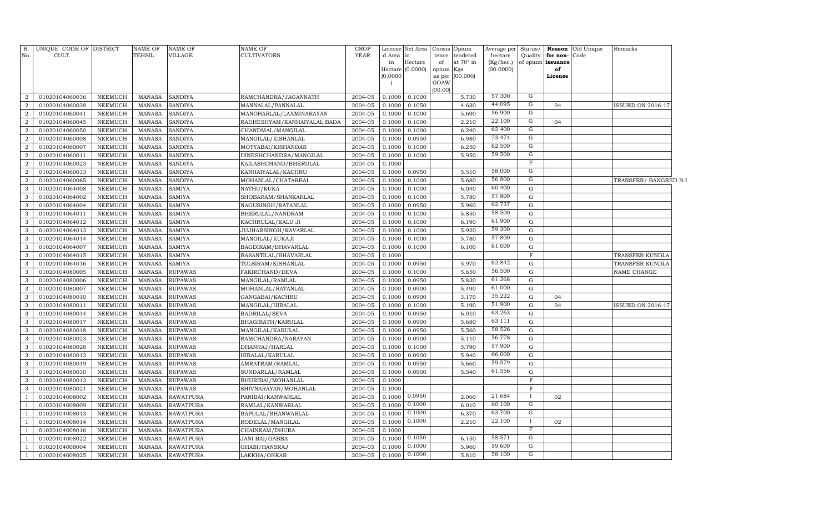| R.<br>No.      | UNIQUE CODE OF DISTRICT<br>CULT. |                | <b>NAME OF</b><br>TEHSIL | <b>NAME OF</b><br>VILLAGE | <b>NAME OF</b><br>CULTIVATORS | <b>CROP</b><br><b>YEAR</b> | d Area<br>in | License Net Area<br>in<br>Hectare<br>Hectare $(0.0000)$ | Consis<br>tence<br>of<br>opium Kgs | Opium<br>tendered<br>at $70^\circ$ in | Average per<br>hectare<br>(Kg/hec.)<br>(00.0000) | Status/<br>Quality | for non-Code<br>of opium issuance<br>of | <b>Reason</b> Old Unique | Remarks                  |  |
|----------------|----------------------------------|----------------|--------------------------|---------------------------|-------------------------------|----------------------------|--------------|---------------------------------------------------------|------------------------------------|---------------------------------------|--------------------------------------------------|--------------------|-----------------------------------------|--------------------------|--------------------------|--|
|                |                                  |                |                          |                           |                               |                            | (0.0000)     |                                                         | as per<br>GOAW                     | (00.000)                              |                                                  |                    | License                                 |                          |                          |  |
|                |                                  |                |                          |                           |                               |                            |              |                                                         | (00.00)                            |                                       |                                                  |                    |                                         |                          |                          |  |
| $\overline{2}$ | 01020104060036                   | <b>NEEMUCH</b> | <b>MANASA</b>            | <b>SANDIYA</b>            | RAMCHANDRA/JAGANNATH          | 2004-05                    | 0.1000       | 0.1000                                                  |                                    | 5.730                                 | 57.300                                           | G                  |                                         |                          |                          |  |
| $\overline{a}$ | 01020104060038                   | <b>NEEMUCH</b> | <b>MANASA</b>            | <b>SANDIYA</b>            | MANNALAL/PANNALAL             | 2004-05                    | 0.1000       | 0.1050                                                  |                                    | 4.630                                 | 44.095                                           | G                  | 04                                      |                          | <b>ISSUED ON 2016-17</b> |  |
| $\overline{a}$ | 01020104060041                   | <b>NEEMUCH</b> | <b>MANASA</b>            | <b>SANDIYA</b>            | MANOHARLAL/LAXMINARAYAN       | 2004-05                    | 0.1000       | 0.1000                                                  |                                    | 5.690                                 | 56.900                                           | G                  |                                         |                          |                          |  |
| $\overline{a}$ | 01020104060045                   | <b>NEEMUCH</b> | <b>MANASA</b>            | <b>SANDIYA</b>            | RADHESHYAM/KANHAIYALAL BADA   | 2004-05                    | 0.1000       | 0.1000                                                  |                                    | 2.210                                 | 22.100                                           | $\overline{G}$     | 04                                      |                          |                          |  |
| 2              | 01020104060050                   | <b>NEEMUCH</b> | <b>MANASA</b>            | <b>SANDIYA</b>            | CHANDMAL/MANGILAL             | 2004-05                    | 0.1000       | 0.1000                                                  |                                    | 6.240                                 | 62.400                                           | G                  |                                         |                          |                          |  |
| $\overline{2}$ | 01020104060008                   | <b>NEEMUCH</b> | <b>MANASA</b>            | <b>SANDIYA</b>            | MANGILAL/KISHANLAL            | 2004-05                    | 0.1000       | 0.0950                                                  |                                    | 6.980                                 | 73.474                                           | G                  |                                         |                          |                          |  |
| 2              | 01020104060007                   | <b>NEEMUCH</b> | <b>MANASA</b>            | <b>SANDIYA</b>            | MOTYABAI/KISHANDAS            | 2004-05                    | 0.1000       | 0.1000                                                  |                                    | 6.250                                 | 62.500                                           | G                  |                                         |                          |                          |  |
| $\overline{2}$ | 01020104060011                   | <b>NEEMUCH</b> | <b>MANASA</b>            | <b>SANDIYA</b>            | DINESHCHANDRA/MANGILAL        | 2004-05                    | 0.1000       | 0.1000                                                  |                                    | 5.950                                 | 59.500                                           | $\overline{G}$     |                                         |                          |                          |  |
| $\overline{2}$ | 01020104060023                   | <b>NEEMUCH</b> | <b>MANASA</b>            | <b>SANDIYA</b>            | KAILASHCHAND/BHERULAL         | 2004-05                    | 0.1000       |                                                         |                                    |                                       |                                                  | $\mathbf F$        |                                         |                          |                          |  |
| $\overline{2}$ | 01020104060033                   | <b>NEEMUCH</b> | <b>MANASA</b>            | <b>SANDIYA</b>            | KANHAIYALAL/KACHRU            | 2004-05                    | 0.1000       | 0.0950                                                  |                                    | 5.510                                 | 58.000                                           | G                  |                                         |                          |                          |  |
| $\overline{a}$ | 01020104060065                   | <b>NEEMUCH</b> | <b>MANASA</b>            | <b>SANDIYA</b>            | MOHANLAL/CHATARBAI            | 2004-05                    | 0.1000       | 0.1000                                                  |                                    | 5.680                                 | 56.800                                           | G                  |                                         |                          | TRANSFER/ BANGRED N-I    |  |
| 3              | 01020104064008                   | <b>NEEMUCH</b> | <b>MANASA</b>            | <b>SAMIYA</b>             | NATHU/KUKA                    | 2004-05                    | 0.1000       | 0.1000                                                  |                                    | 6.040                                 | 60.400                                           | G                  |                                         |                          |                          |  |
| 3              | 01020104064002                   | <b>NEEMUCH</b> | <b>MANASA</b>            | <b>SAMIYA</b>             | SHOBARAM/SHANKARLAL           | 2004-05                    | 0.1000       | 0.1000                                                  |                                    | 5.780                                 | 57.800                                           | G                  |                                         |                          |                          |  |
| 3              | 01020104064004                   | <b>NEEMUCH</b> | <b>MANASA</b>            | <b>SAMIYA</b>             | NAGUSINGH/RATANLAL            | 2004-05                    | 0.1000       | 0.0950                                                  |                                    | 5.960                                 | 62.737                                           | G                  |                                         |                          |                          |  |
| 3              | 01020104064011                   | <b>NEEMUCH</b> | <b>MANASA</b>            | <b>SAMIYA</b>             | BHERULAL/NANDRAM              | 2004-05                    | 0.1000       | 0.1000                                                  |                                    | 5.850                                 | 58.500                                           | G                  |                                         |                          |                          |  |
| 3              | 01020104064012                   | <b>NEEMUCH</b> | <b>MANASA</b>            | <b>SAMIYA</b>             | KACHRULAL/KALU JI             | 2004-05                    | 0.1000       | 0.1000                                                  |                                    | 6.190                                 | 61.900                                           | G                  |                                         |                          |                          |  |
| 3              | 01020104064013                   | <b>NEEMUCH</b> | <b>MANASA</b>            | <b>SAMIYA</b>             | <b>JUJHARSINGH/KAVARLAL</b>   | 2004-05                    | 0.1000       | 0.1000                                                  |                                    | 5.920                                 | 59.200                                           | G                  |                                         |                          |                          |  |
| 3              | 01020104064014                   | <b>NEEMUCH</b> | <b>MANASA</b>            | <b>SAMIYA</b>             | MANGILAL/KUKAJI               | 2004-05                    | 0.1000       | 0.1000                                                  |                                    | 5.780                                 | 57.800                                           | $\mathbf G$        |                                         |                          |                          |  |
| 3              | 01020104064007                   | <b>NEEMUCH</b> | <b>MANASA</b>            | <b>SAMIYA</b>             | BAGDIRAM/BHAVARLAL            | 2004-05                    | 0.1000       | 0.1000                                                  |                                    | 6.100                                 | 61.000                                           | $\mathbf G$        |                                         |                          |                          |  |
| 3              | 01020104064015                   | <b>NEEMUCH</b> | <b>MANASA</b>            | <b>SAMIYA</b>             | BASANTILAL/BHAVARLAL          | 2004-05                    | 0.1000       |                                                         |                                    |                                       |                                                  | $\mathbf F$        |                                         |                          | TRANSFER KUNDLA          |  |
| 3              | 01020104064016                   | <b>NEEMUCH</b> | <b>MANASA</b>            | <b>SAMIYA</b>             | TULSIRAM/KISHANLAL            | 2004-05                    | 0.1000       | 0.0950                                                  |                                    | 5.970                                 | 62.842                                           | G                  |                                         |                          | TRANSFER KUNDLA          |  |
| 3              | 01020104080005                   | <b>NEEMUCH</b> | <b>MANASA</b>            | <b>RUPAWAS</b>            | FAKIRCHAND/DEVA               | 2004-05                    | 0.1000       | 0.1000                                                  |                                    | 5.650                                 | 56.500                                           | G                  |                                         |                          | NAME CHANGE              |  |
| 3              | 01020104080006                   | <b>NEEMUCH</b> | <b>MANASA</b>            | <b>RUPAWAS</b>            | MANGILAL/RAMLAL               | 2004-05                    | 0.1000       | 0.0950                                                  |                                    | 5.830                                 | 61.368                                           | G                  |                                         |                          |                          |  |
| 3              | 01020104080007                   | <b>NEEMUCH</b> | <b>MANASA</b>            | <b>RUPAWAS</b>            | MOHANLAL/RATANLAL             | 2004-05                    | 0.1000       | 0.0900                                                  |                                    | 5.490                                 | 61.000                                           | G                  |                                         |                          |                          |  |
| 3              | 01020104080010                   | <b>NEEMUCH</b> | <b>MANASA</b>            | <b>RUPAWAS</b>            | GANGABAI/KACHRU               | 2004-05                    | 0.1000       | 0.0900                                                  |                                    | 3.170                                 | 35.222                                           | G                  | 04                                      |                          |                          |  |
| 3              | 01020104080011                   | <b>NEEMUCH</b> | <b>MANASA</b>            | <b>RUPAWAS</b>            | MANGILAL/HIRALAL              | 2004-05                    | 0.1000       | 0.1000                                                  |                                    | 5.190                                 | 51.900                                           | G                  | 04                                      |                          | <b>ISSUED ON 2016-17</b> |  |
| 3              | 01020104080014                   | <b>NEEMUCH</b> | <b>MANASA</b>            | <b>RUPAWAS</b>            | <b>BADRILAL/SEVA</b>          | 2004-05                    | 0.1000       | 0.0950                                                  |                                    | 6.010                                 | 63.263                                           | G                  |                                         |                          |                          |  |
| 3              | 01020104080017                   | NEEMUCH        | <b>MANASA</b>            | <b>RUPAWAS</b>            | BHAGIRATH/KARULAL             | 2004-05                    | 0.1000       | 0.0900                                                  |                                    | 5.680                                 | 63.111                                           | $\mathbf G$        |                                         |                          |                          |  |
| 3              | 01020104080018                   | <b>NEEMUCH</b> | <b>MANASA</b>            | <b>RUPAWAS</b>            | MANGILAL/KARULAL              | 2004-05                    | 0.1000       | 0.0950                                                  |                                    | 5.560                                 | 58.526                                           | $\mathbf G$        |                                         |                          |                          |  |
| 3              | 01020104080023                   | <b>NEEMUCH</b> | <b>MANASA</b>            | <b>RUPAWAS</b>            | RAMCHANDRA/NARAYAN            | 2004-05                    | 0.1000       | 0.0900                                                  |                                    | 5.110                                 | 56.778                                           | G                  |                                         |                          |                          |  |
| 3              | 01020104080028                   | <b>NEEMUCH</b> | <b>MANASA</b>            | <b>RUPAWAS</b>            | DHANRAJ/HARLAL                | 2004-05                    | 0.1000       | 0.1000                                                  |                                    | 5.790                                 | 57.900                                           | G                  |                                         |                          |                          |  |
| 3              | 01020104080012                   | <b>NEEMUCH</b> | <b>MANASA</b>            | <b>RUPAWAS</b>            | HIRALAL/KARULAL               | 2004-05                    | 0.1000       | 0.0900                                                  |                                    | 5.940                                 | 66.000                                           | G                  |                                         |                          |                          |  |
| 3              | 01020104080019                   | <b>NEEMUCH</b> | <b>MANASA</b>            | <b>RUPAWAS</b>            | AMRATRAM/RAMLAL               | 2004-05                    | 0.1000       | 0.0950                                                  |                                    | 5.660                                 | 59.579                                           | G                  |                                         |                          |                          |  |
| 3              | 01020104080030                   | <b>NEEMUCH</b> | <b>MANASA</b>            | <b>RUPAWAS</b>            | SUNDARLAL/RAMLAL              | 2004-05                    | 0.1000       | 0.0900                                                  |                                    | 5.540                                 | 61.556                                           | G                  |                                         |                          |                          |  |
| 3              | 01020104080013                   | NEEMUCH        | <b>MANASA</b>            | <b>RUPAWAS</b>            | BHURIBAI/MOHANLAL             | 2004-05                    | 0.1000       |                                                         |                                    |                                       |                                                  | $\mathbf F$        |                                         |                          |                          |  |
| 3              | 01020104080021                   | NEEMUCH        | MANASA                   | <b>RUPAWAS</b>            | SHIVNARAYAN/MOHANLAL          | 2004-05                    | 0.1000       |                                                         |                                    |                                       |                                                  | $\mathbf F$        |                                         |                          |                          |  |
|                | 01020104008002                   | <b>NEEMUCH</b> | <b>MANASA</b>            | <b>RAWATPURA</b>          | PANIBAI/KANWARLAL             | 2004-05                    | 0.1000       | 0.0950                                                  |                                    | 2.060                                 | 21.684                                           | $\bf{I}$           | 02                                      |                          |                          |  |
| $\overline{1}$ | 01020104008009                   | <b>NEEMUCH</b> | <b>MANASA</b>            | <b>RAWATPURA</b>          | RAMLAL/KANWARLAL              | 2004-05                    | 0.1000       | 0.1000                                                  |                                    | 6.010                                 | 60.100                                           | G                  |                                         |                          |                          |  |
| $\overline{1}$ | 01020104008013                   | <b>NEEMUCH</b> | <b>MANASA</b>            | <b>RAWATPURA</b>          | BAPULAL/BHANWARLAL            | 2004-05                    | 0.1000       | 0.1000                                                  |                                    | 6.370                                 | 63.700                                           | G                  |                                         |                          |                          |  |
| -1             | 01020104008014                   | <b>NEEMUCH</b> | <b>MANASA</b>            | <b>RAWATPURA</b>          | RODELAL/MANGILAL              | 2004-05                    | 0.1000       | 0.1000                                                  |                                    | 2.210                                 | 22.100                                           | $\bf{I}$           | 02                                      |                          |                          |  |
| $\overline{1}$ | 01020104008016                   | <b>NEEMUCH</b> | <b>MANASA</b>            | <b>RAWATPURA</b>          | CHAINRAM/DHURA                | 2004-05                    | 0.1000       |                                                         |                                    |                                       |                                                  | $\overline{F}$     |                                         |                          |                          |  |
| -1             | 01020104008022                   | <b>NEEMUCH</b> | <b>MANASA</b>            | <b>RAWATPURA</b>          | JANI BAI/GABBA                | 2004-05                    | 0.1000       | 0.1050                                                  |                                    | 6.150                                 | 58.571                                           | G                  |                                         |                          |                          |  |
| $\overline{1}$ | 01020104008004                   | <b>NEEMUCH</b> | <b>MANASA</b>            | <b>RAWATPURA</b>          | GHASI/HANSRAJ                 | 2004-05                    | 0.1000       | 0.1000                                                  |                                    | 5.960                                 | 59.600                                           | G                  |                                         |                          |                          |  |
| $\mathbf{1}$   | 01020104008025                   | <b>NEEMUCH</b> | MANASA                   | <b>RAWATPURA</b>          | LAKKHA/ONKAR                  | 2004-05                    | 0.1000       | 0.1000                                                  |                                    | 5.810                                 | 58.100                                           | $\overline{G}$     |                                         |                          |                          |  |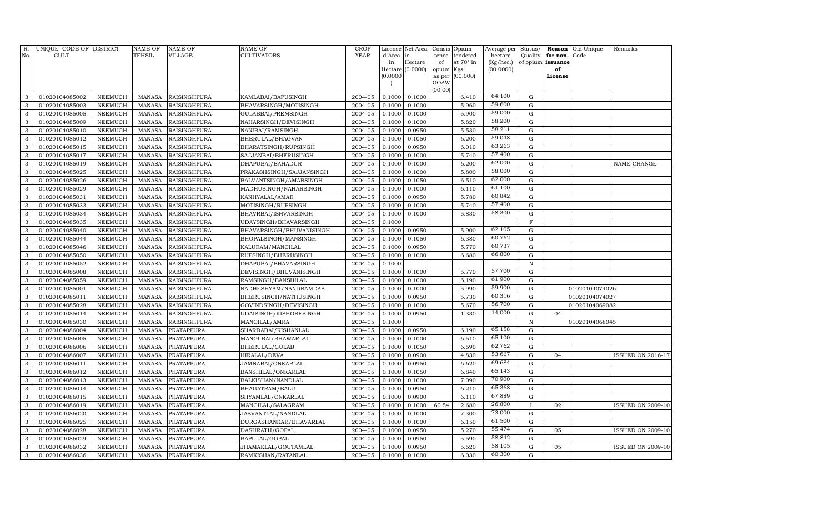| R.<br>No.    | UNIQUE CODE OF DISTRICT<br>CULT. |                                  | <b>NAME OF</b><br>TEHSIL       | <b>NAME OF</b><br><b>VILLAGE</b> | NAME OF<br>CULTIVATORS                 | <b>CROP</b><br>YEAR | d Area           | License Net Area<br>in<br>Hectare | Consis<br>tence | Opium<br>tendered<br>at 70° in | Average per<br>hectare | Status/<br>Quality | Reason<br>for non- | Old Unique<br>Code | Remarks                  |
|--------------|----------------------------------|----------------------------------|--------------------------------|----------------------------------|----------------------------------------|---------------------|------------------|-----------------------------------|-----------------|--------------------------------|------------------------|--------------------|--------------------|--------------------|--------------------------|
|              |                                  |                                  |                                |                                  |                                        |                     | in<br>Hectare    | (0.0000)                          | of<br>opium     | Kgs                            | (Kg/hec.)<br>(00.0000) | of opium           | issuance<br>of     |                    |                          |
|              |                                  |                                  |                                |                                  |                                        |                     | (0.0000)         |                                   | as per          | (00.000)                       |                        |                    | License            |                    |                          |
|              |                                  |                                  |                                |                                  |                                        |                     |                  |                                   | GOAW            |                                |                        |                    |                    |                    |                          |
| 3            | 01020104085002                   | NEEMUCH                          | <b>MANASA</b>                  | <b>RAISINGHPURA</b>              | KAMLABAI/BAPUSINGH                     | 2004-05             | 0.1000           | 0.1000                            | (00.00)         | 6.410                          | 64.100                 | G                  |                    |                    |                          |
| 3            | 01020104085003                   | <b>NEEMUCH</b>                   | <b>MANASA</b>                  | <b>RAISINGHPURA</b>              | BHAVARSINGH/MOTISINGH                  | 2004-05             | 0.1000           | 0.1000                            |                 | 5.960                          | 59.600                 | G                  |                    |                    |                          |
| 3            | 01020104085005                   | NEEMUCH                          | <b>MANASA</b>                  | <b>RAISINGHPURA</b>              | GULABBAI/PREMSINGH                     | 2004-05             | 0.1000           | 0.1000                            |                 | 5.900                          | 59.000                 | G                  |                    |                    |                          |
| 3            | 01020104085009                   | NEEMUCH                          | <b>MANASA</b>                  | <b>RAISINGHPURA</b>              | NAHARSINGH/DEVISINGH                   | 2004-05             | 0.1000           | 0.1000                            |                 | 5.820                          | 58.200                 | G                  |                    |                    |                          |
| 3            | 01020104085010                   | NEEMUCH                          | <b>MANASA</b>                  | <b>RAISINGHPURA</b>              | NANIBAI/RAMSINGH                       | 2004-05             | 0.1000           | 0.0950                            |                 | 5.530                          | 58.211                 | ${\rm G}$          |                    |                    |                          |
| 3            | 01020104085012                   | NEEMUCH                          | <b>MANASA</b>                  | <b>RAISINGHPURA</b>              | BHERULAL/BHAGVAN                       | 2004-05             | 0.1000           | 0.1050                            |                 | 6.200                          | 59.048                 | G                  |                    |                    |                          |
| 3            | 01020104085015                   | NEEMUCH                          | <b>MANASA</b>                  | <b>RAISINGHPURA</b>              | BHARATSINGH/RUPSINGH                   | 2004-05             | 0.1000           | 0.0950                            |                 | 6.010                          | 63.263                 | G                  |                    |                    |                          |
| 3            | 01020104085017                   | NEEMUCH                          | <b>MANASA</b>                  | RAISINGHPURA                     | SAJJANBAI/BHERUSINGH                   | 2004-05             | 0.1000           | 0.1000                            |                 | 5.740                          | 57.400                 | ${\rm G}$          |                    |                    |                          |
| 3            | 01020104085019                   | <b>NEEMUCH</b>                   | <b>MANASA</b>                  | RAISINGHPURA                     | DHAPUBAI/BAHADUR                       | 2004-05             | 0.1000           | 0.1000                            |                 | 6.200                          | 62.000                 | ${\rm G}$          |                    |                    | NAME CHANGE              |
| $\mathbf{3}$ | 01020104085025                   | <b>NEEMUCH</b>                   | <b>MANASA</b>                  | RAISINGHPURA                     | PRAKASHSINGH/SAJJANSINGH               | 2004-05             | 0.1000           | 0.1000                            |                 | 5.800                          | 58.000                 | G                  |                    |                    |                          |
| 3            | 01020104085026                   | NEEMUCH                          | <b>MANASA</b>                  | RAISINGHPURA                     | BALVANTSINGH/AMARSINGH                 | 2004-05             | 0.1000           | 0.1050                            |                 | 6.510                          | 62.000                 | ${\rm G}$          |                    |                    |                          |
| 3            | 01020104085029                   | NEEMUCH                          | <b>MANASA</b>                  | RAISINGHPURA                     | MADHUSINGH/NAHARSINGH                  | 2004-05             | 0.1000           | 0.1000                            |                 | 6.110                          | 61.100                 | G                  |                    |                    |                          |
| 3            | 01020104085031                   | NEEMUCH                          | <b>MANASA</b>                  | RAISINGHPURA                     | KANHYALAL/AMAR                         | 2004-05             | 0.1000           | 0.0950                            |                 | 5.780                          | 60.842                 | ${\bf G}$          |                    |                    |                          |
| 3            | 01020104085033                   | NEEMUCH                          | <b>MANASA</b>                  | <b>RAISINGHPURA</b>              | MOTISINGH/RUPSINGH                     | 2004-05             | 0.1000           | 0.1000                            |                 | 5.740                          | 57.400                 | G                  |                    |                    |                          |
| 3            | 01020104085034                   | NEEMUCH                          | <b>MANASA</b>                  | RAISINGHPURA                     | BHAVRBAI/ISHVARSINGH                   | 2004-05             | 0.1000           | 0.1000                            |                 | 5.830                          | 58.300                 | G                  |                    |                    |                          |
| 3            | 01020104085035                   | <b>NEEMUCH</b>                   | <b>MANASA</b>                  | <b>RAISINGHPURA</b>              | UDAYSINGH/BHAVARSINGH                  | 2004-05             | 0.1000           |                                   |                 |                                |                        | $\mathbf F$        |                    |                    |                          |
| 3            | 01020104085040                   | <b>NEEMUCH</b>                   | <b>MANASA</b>                  | <b>RAISINGHPURA</b>              | BHAVARSINGH/BHUVANISINGH               | 2004-05             | 0.1000           | 0.0950                            |                 | 5.900                          | 62.105                 | G                  |                    |                    |                          |
| 3            | 01020104085044                   | <b>NEEMUCH</b>                   | <b>MANASA</b>                  | <b>RAISINGHPURA</b>              | BHOPALSINGH/MANSINGH                   | 2004-05             | 0.1000           | 0.1050                            |                 | 6.380                          | 60.762                 | G                  |                    |                    |                          |
| 3            | 01020104085046                   | <b>NEEMUCH</b>                   | <b>MANASA</b>                  | RAISINGHPURA                     | KALURAM / MANGILAL                     | 2004-05             | 0.1000           | 0.0950                            |                 | 5.770                          | 60.737                 | ${\rm G}$          |                    |                    |                          |
| 3            | 01020104085050                   | <b>NEEMUCH</b>                   | <b>MANASA</b>                  | RAISINGHPURA                     | RUPSINGH/BHERUSINGH                    | 2004-05             | 0.1000           | 0.1000                            |                 | 6.680                          | 66.800                 | ${\rm G}$          |                    |                    |                          |
| 3            | 01020104085052                   | NEEMUCH                          | <b>MANASA</b>                  | RAISINGHPURA                     | DHAPUBAI/BHAVARSINGH                   | 2004-05             | 0.1000           |                                   |                 |                                |                        | $\, {\bf N}$       |                    |                    |                          |
| 3            | 01020104085008                   | <b>NEEMUCH</b>                   | <b>MANASA</b>                  | RAISINGHPURA                     | DEVISINGH/BHUVANISINGH                 | 2004-05             | 0.1000           | 0.1000                            |                 | 5.770                          | 57.700                 | ${\rm G}$          |                    |                    |                          |
| 3            | 01020104085059                   | NEEMUCH                          | <b>MANASA</b>                  | RAISINGHPURA                     | RAMSINGH/BANSHILAL                     | 2004-05             | 0.1000           | 0.1000                            |                 | 6.190                          | 61.900                 | ${\rm G}$          |                    |                    |                          |
| 3            | 01020104085001                   | <b>NEEMUCH</b>                   | <b>MANASA</b>                  | RAISINGHPURA                     | RADHESHYAM/NANDRAMDAS                  | 2004-05             | 0.1000           | 0.1000                            |                 | 5.990                          | 59.900                 | G                  |                    | 01020104074026     |                          |
| 3            | 01020104085011                   | <b>NEEMUCH</b>                   | <b>MANASA</b>                  | RAISINGHPURA                     | BHERUSINGH/NATHUSINGH                  | 2004-05             | 0.1000           | 0.0950                            |                 | 5.730                          | 60.316                 | ${\rm G}$          |                    | 01020104074027     |                          |
| $\mathbf{3}$ | 01020104085028                   | <b>NEEMUCH</b>                   | <b>MANASA</b>                  | RAISINGHPURA                     | GOVINDSINGH/DEVISINGH                  | 2004-05             | 0.1000           | 0.1000                            |                 | 5.670                          | 56.700                 | G                  |                    | 01020104069082     |                          |
| 3            | 01020104085014                   | NEEMUCH                          | <b>MANASA</b>                  | RAISINGHPURA                     | UDAISINGH/KISHORESINGH                 | 2004-05             | 0.1000           | 0.0950                            |                 | 1.330                          | 14.000                 | ${\rm G}$          | 04                 |                    |                          |
| 3            | 01020104085030                   | <b>NEEMUCH</b>                   | <b>MANASA</b>                  | RAISINGHPURA                     | MANGILAL/AMRA                          | 2004-05             | 0.1000           |                                   |                 |                                |                        | $\mathbb N$        |                    | 01020104068045     |                          |
| 3            | 01020104086004                   | NEEMUCH                          | <b>MANASA</b>                  | PRATAPPURA                       | SHARDABAI/KISHANLAL                    | 2004-05             | 0.1000           | 0.0950                            |                 | 6.190                          | 65.158                 | G                  |                    |                    |                          |
| 3            | 01020104086005                   | <b>NEEMUCH</b>                   | <b>MANASA</b>                  | PRATAPPURA                       | MANGI BAI/BHAWARLAL                    | 2004-05             | 0.1000           | 0.1000                            |                 | 6.510                          | 65.100                 | ${\rm G}$          |                    |                    |                          |
| 3            | 01020104086006                   | <b>NEEMUCH</b>                   | <b>MANASA</b>                  | PRATAPPURA                       | BHERULAL/GULAB                         | 2004-05             | 0.1000           | 0.1050                            |                 | 6.590                          | 62.762                 | ${\rm G}$          |                    |                    |                          |
| 3            | 01020104086007                   | <b>NEEMUCH</b>                   | MANASA                         | PRATAPPURA                       | HIRALAL/DEVA                           | 2004-05             | 0.1000           | 0.0900                            |                 | 4.830                          | 53.667                 | G                  | 04                 |                    | ISSUED ON 2016-17        |
| 3            | 01020104086011                   | <b>NEEMUCH</b>                   | <b>MANASA</b>                  | PRATAPPURA                       | JAMNABAI/ONKARLAL                      | 2004-05             | 0.1000           | 0.0950                            |                 | 6.620                          | 69.684<br>65.143       | ${\rm G}$          |                    |                    |                          |
| 3            | 01020104086012                   | <b>NEEMUCH</b>                   | <b>MANASA</b>                  | PRATAPPURA                       | BANSHILAL/ONKARLAL                     | 2004-05             | 0.1000           | 0.1050                            |                 | 6.840                          | 70.900                 | G                  |                    |                    |                          |
| 3            | 01020104086013                   | <b>NEEMUCH</b>                   | <b>MANASA</b>                  | PRATAPPURA                       | BALKISHAN/NANDLAL                      | 2004-05             | 0.1000           | 0.1000                            |                 | 7.090                          | 65.368                 | ${\rm G}$<br>G     |                    |                    |                          |
| 3<br>3       | 01020104086014                   | <b>NEEMUCH</b>                   | <b>MANASA</b>                  | PRATAPPURA                       | BHAGATRAM/BALU                         | 2004-05             | 0.1000           | 0.0950                            |                 | 6.210                          | 67.889                 |                    |                    |                    |                          |
| 3            | 01020104086015<br>01020104086019 | <b>NEEMUCH</b><br><b>NEEMUCH</b> | <b>MANASA</b><br><b>MANASA</b> | PRATAPPURA<br>PRATAPPURA         | SHYAMLAL/ONKARLAL<br>MANGILAL/SALAGRAM | 2004-05<br>2004-05  | 0.1000<br>0.1000 | 0.0900<br>0.1000                  | 60.54           | 6.110<br>2.680                 | 26.800                 | ${\rm G}$          | 02                 |                    | <b>SSUED ON 2009-10</b>  |
| 3            | 01020104086020                   | <b>NEEMUCH</b>                   | <b>MANASA</b>                  | PRATAPPURA                       | JASVANTLAL/NANDLAL                     | 2004-05             | 0.1000           | 0.1000                            |                 | 7.300                          | 73.000                 | ${\rm G}$          |                    |                    |                          |
| 3            | 01020104086025                   | <b>NEEMUCH</b>                   | <b>MANASA</b>                  | PRATAPPURA                       | DURGASHANKAR/BHAVARLAL                 | 2004-05             | 0.1000           | 0.1000                            |                 | 6.150                          | 61.500                 | G                  |                    |                    |                          |
| 3            | 01020104086028                   | <b>NEEMUCH</b>                   | <b>MANASA</b>                  | PRATAPPURA                       | DASHRATH/GOPAL                         | 2004-05             | 0.1000           | 0.0950                            |                 | 5.270                          | 55.474                 | G                  | 05                 |                    | <b>ISSUED ON 2009-10</b> |
| $\mathbf{3}$ | 01020104086029                   | <b>NEEMUCH</b>                   | <b>MANASA</b>                  | PRATAPPURA                       | BAPULAL/GOPAL                          | 2004-05             | 0.1000           | 0.0950                            |                 | 5.590                          | 58.842                 | G                  |                    |                    |                          |
| 3            | 01020104086032                   | <b>NEEMUCH</b>                   | <b>MANASA</b>                  | PRATAPPURA                       | JHAMAKLAL/GOUTAMLAL                    | 2004-05             | 0.1000           | 0.0950                            |                 | 5.520                          | 58.105                 | G                  | 05                 |                    | <b>ISSUED ON 2009-10</b> |
| $\mathbf{3}$ | 01020104086036                   | <b>NEEMUCH</b>                   | MANASA                         | <b>PRATAPPURA</b>                | RAMKISHAN/RATANLAL                     | 2004-05             | 0.1000           | 0.1000                            |                 | 6.030                          | 60.300                 | G                  |                    |                    |                          |
|              |                                  |                                  |                                |                                  |                                        |                     |                  |                                   |                 |                                |                        |                    |                    |                    |                          |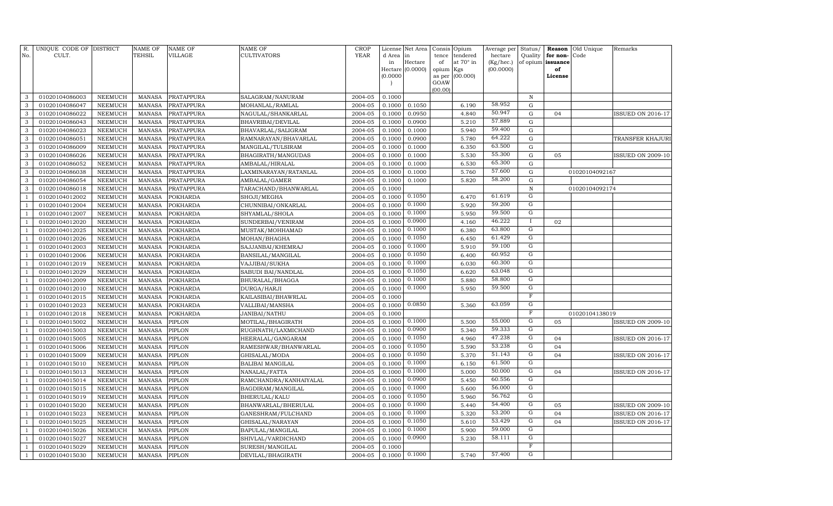| R.             | UNIQUE CODE OF DISTRICT          |                           | <b>NAME OF</b>                 | <b>NAME OF</b>   | <b>NAME OF</b>                     | <b>CROP</b>        |                  | License Net Area   | Consis      | Opium                 | Average per          | Status/          | Reason                        | Old Unique     | Remarks                  |
|----------------|----------------------------------|---------------------------|--------------------------------|------------------|------------------------------------|--------------------|------------------|--------------------|-------------|-----------------------|----------------------|------------------|-------------------------------|----------------|--------------------------|
| No.            | CULT.                            |                           | <b>TEHSIL</b>                  | VILLAGE          | CULTIVATORS                        | <b>YEAR</b>        | d Area<br>in     | in<br>Hectare      | tence<br>of | tendered<br>at 70° in | hectare<br>(Kg/hec.) | Quality          | for non-<br>of opium issuance | Code           |                          |
|                |                                  |                           |                                |                  |                                    |                    |                  | Hectare $(0.0000)$ | opium       | Kgs                   | (00.0000)            |                  | of                            |                |                          |
|                |                                  |                           |                                |                  |                                    |                    | (0.0000)         |                    | as per      | (00.000)              |                      |                  | License                       |                |                          |
|                |                                  |                           |                                |                  |                                    |                    |                  |                    | GOAW        |                       |                      |                  |                               |                |                          |
| 3              | 01020104086003                   | NEEMUCH                   | <b>MANASA</b>                  | PRATAPPURA       | SALAGRAM/NANURAM                   | 2004-05            | 0.1000           |                    | (00.00)     |                       |                      | $\,$ N           |                               |                |                          |
| 3              | 01020104086047                   | NEEMUCH                   | <b>MANASA</b>                  | PRATAPPURA       | MOHANLAL/RAMLAL                    | 2004-05            | 0.1000           | 0.1050             |             | 6.190                 | 58.952               | $\mathbf G$      |                               |                |                          |
| $\mathbf{3}$   | 01020104086022                   | NEEMUCH                   | <b>MANASA</b>                  | PRATAPPURA       | NAGULAL/SHANKARLAL                 | 2004-05            | 0.1000           | 0.0950             |             | 4.840                 | 50.947               | ${\rm G}$        | 04                            |                | ISSUED ON 2016-17        |
| 3              | 01020104086043                   | NEEMUCH                   | <b>MANASA</b>                  | PRATAPPURA       | BHAVRIBAI/DEVILAL                  | 2004-05            | 0.1000           | 0.0900             |             | 5.210                 | 57.889               | G                |                               |                |                          |
| 3              | 01020104086023                   | NEEMUCH                   | <b>MANASA</b>                  | PRATAPPURA       | BHAVARLAL/SALIGRAM                 | 2004-05            | 0.1000           | 0.1000             |             | 5.940                 | 59.400               | G                |                               |                |                          |
| 3              | 01020104086051                   | <b>NEEMUCH</b>            | <b>MANASA</b>                  | PRATAPPURA       | RAMNARAYAN/BHAVARLAL               | 2004-05            | 0.1000           | 0.0900             |             | 5.780                 | 64.222               | $\mathbf G$      |                               |                | TRANSFER KHAJUR          |
| 3              | 01020104086009                   | NEEMUCH                   | <b>MANASA</b>                  | PRATAPPURA       | MANGILAL/TULSIRAM                  | 2004-05            | 0.1000           | 0.1000             |             | 6.350                 | 63.500               | ${\rm G}$        |                               |                |                          |
| $\mathbf{3}$   | 01020104086026                   | NEEMUCH                   | <b>MANASA</b>                  | PRATAPPURA       | BHAGIRATH/MANGUDAS                 | 2004-05            | 0.1000           | 0.1000             |             | 5.530                 | 55.300               | $\mathbf G$      | 05                            |                | <b>ISSUED ON 2009-10</b> |
| $\sqrt{3}$     | 01020104086052                   | NEEMUCH                   | <b>MANASA</b>                  | PRATAPPURA       | AMBALAL/HIRALAL                    | 2004-05            | 0.1000           | 0.1000             |             | 6.530                 | 65.300               | ${\rm G}$        |                               |                |                          |
| 3              | 01020104086038                   | NEEMUCH                   | <b>MANASA</b>                  | PRATAPPURA       | LAXMINARAYAN / RATANLAL            | 2004-05            | 0.1000           | 0.1000             |             | 5.760                 | 57.600               | G                |                               | 01020104092167 |                          |
| $\mathbf{3}$   | 01020104086054                   | NEEMUCH                   | <b>MANASA</b>                  | PRATAPPURA       | AMBALAL/GAMER                      | 2004-05            | 0.1000           | 0.1000             |             | 5.820                 | 58.200               | ${\rm G}$        |                               |                |                          |
| 3              | 01020104086018                   | NEEMUCH                   | <b>MANASA</b>                  | PRATAPPURA       | TARACHAND/BHANWARLAL               | 2004-05            | 0.1000           |                    |             |                       |                      | $\mathbb N$      |                               | 01020104092174 |                          |
| $\overline{1}$ | 01020104012002                   | NEEMUCH                   | <b>MANASA</b>                  | <b>POKHARDA</b>  | SHOJI/MEGHA                        | 2004-05            | 0.1000           | 0.1050             |             | 6.470                 | 61.619               | G                |                               |                |                          |
|                | 01020104012004                   | <b>NEEMUCH</b>            | <b>MANASA</b>                  | <b>POKHARDA</b>  | CHUNNIBAI/ONKARLAL                 | 2004-05            | 0.1000           | 0.1000             |             | 5.920                 | 59.200               | G                |                               |                |                          |
| -1             | 01020104012007                   | NEEMUCH                   | <b>MANASA</b>                  | <b>POKHARDA</b>  | SHYAMLAL/SHOLA                     | 2004-05            | 0.1000           | 0.1000             |             | 5.950                 | 59.500               | G                |                               |                |                          |
| -1             | 01020104012020                   | NEEMUCH                   | <b>MANASA</b>                  | <b>POKHARDA</b>  | SUNDERBAI/VENIRAM                  | 2004-05            | 0.1000           | 0.0900             |             | 4.160                 | 46.222               | <sup>1</sup>     | 02                            |                |                          |
|                | 01020104012025                   | NEEMUCH                   | <b>MANASA</b>                  | <b>POKHARDA</b>  | MUSTAK/MOHHAMAD                    | 2004-05            | 0.1000           | 0.1000             |             | 6.380                 | 63.800               | G                |                               |                |                          |
|                | 01020104012026                   | NEEMUCH                   | <b>MANASA</b>                  | <b>POKHARDA</b>  | MOHAN/BHAGHA                       | 2004-05            | 0.1000           | 0.1050             |             | 6.450                 | 61.429               | G                |                               |                |                          |
| $\overline{1}$ | 01020104012003                   | NEEMUCH                   | <b>MANASA</b>                  | <b>POKHARDA</b>  | SAJJANBAI/KHEMRAJ                  | 2004-05            | 0.1000           | 0.1000             |             | 5.910                 | 59.100               | $\mathbf G$      |                               |                |                          |
| -1             | 01020104012006                   | NEEMUCH                   | <b>MANASA</b>                  | <b>POKHARDA</b>  | BANSILAL/MANGILAL                  | 2004-05            | 0.1000           | 0.1050             |             | 6.400                 | 60.952               | G                |                               |                |                          |
| $\overline{1}$ | 01020104012019                   | NEEMUCH                   | <b>MANASA</b>                  | <b>POKHARDA</b>  | VAJJIBAI/SUKHA                     | 2004-05            | 0.1000           | 0.1000             |             | 6.030                 | 60.300               | G                |                               |                |                          |
|                | 01020104012029                   | <b>NEEMUCH</b>            | <b>MANASA</b>                  | <b>POKHARDA</b>  | SABUDI BAI/NANDLAL                 | 2004-05            | 0.1000           | 0.1050             |             | 6.620                 | 63.048               | G                |                               |                |                          |
|                | 01020104012009                   | NEEMUCH                   | <b>MANASA</b>                  | <b>POKHARDA</b>  | BHURALAL/BHAGGA                    | 2004-05            | 0.1000           | 0.1000             |             | 5.880                 | 58.800               | G                |                               |                |                          |
|                | 01020104012010                   | NEEMUCH                   | <b>MANASA</b>                  | <b>POKHARDA</b>  | DURGA/HARJI                        | 2004-05            | 0.1000           | 0.1000             |             | 5.950                 | 59.500               | G                |                               |                |                          |
|                | 01020104012015                   | <b>NEEMUCH</b>            | <b>MANASA</b>                  | <b>POKHARDA</b>  | KAILASIBAI/BHAWRLAL                | 2004-05            | 0.1000           |                    |             |                       |                      | $\mathbf F$      |                               |                |                          |
|                | 01020104012023                   | NEEMUCH                   | <b>MANASA</b>                  | <b>POKHARDA</b>  | VALLIBAI/MANSHA                    | 2004-05            | 0.1000           | 0.0850             |             | 5.360                 | 63.059               | G                |                               |                |                          |
| $\overline{1}$ | 01020104012018                   | NEEMUCH                   | <b>MANASA</b>                  | <b>POKHARDA</b>  | JANIBAI/NATHU                      | 2004-05            | 0.1000           |                    |             |                       |                      | $\mathbf F$      |                               | 01020104138019 |                          |
| $\overline{1}$ | 01020104015002                   | NEEMUCH                   | <b>MANASA</b>                  | PIPLON           | MOTILAL/BHAGIRATH                  | 2004-05            | 0.1000           | 0.1000             |             | 5.500                 | 55.000               | G                | 05                            |                | <b>ISSUED ON 2009-10</b> |
|                | 01020104015003                   | NEEMUCH                   | <b>MANASA</b>                  | PIPLON           | RUGHNATH/LAXMICHAND                | 2004-05            | 0.1000           | 0.0900             |             | 5.340                 | 59.333               | G<br>$\mathbf G$ |                               |                |                          |
| $\overline{1}$ | 01020104015005                   | NEEMUCH                   | <b>MANASA</b>                  | PIPLON           | HEERALAL/GANGARAM                  | 2004-05            | 0.1000           | 0.1050             |             | 4.960                 | 47.238<br>53.238     | G                | 04                            |                | <b>ISSUED ON 2016-17</b> |
|                | 01020104015006                   | <b>NEEMUCH</b>            | <b>MANASA</b>                  | PIPLON           | RAMESHWAR/BHANWARLAL               | 2004-05            | 0.1000           | 0.1050<br>0.1050   |             | 5.590<br>5.370        | 51.143               | G                | 04<br>04                      |                |                          |
|                | 01020104015009                   | <b>NEEMUCH</b>            | <b>MANASA</b><br><b>MANASA</b> | PIPLON<br>PIPLON | GHISALAL/MODA                      | 2004-05<br>2004-05 | 0.1000<br>0.1000 | 0.1000             |             | 6.150                 | 61.500               | G                |                               |                | ISSUED ON 2016-17        |
|                | 01020104015010                   | NEEMUCH                   |                                |                  | <b>BALIBAI MANGILAL</b>            |                    |                  | 0.1000             |             |                       | 50.000               | G                | 04                            |                |                          |
|                | 01020104015013<br>01020104015014 | <b>NEEMUCH</b><br>NEEMUCH | <b>MANASA</b><br><b>MANASA</b> | PIPLON<br>PIPLON | NANALAL/FATTA                      | 2004-05<br>2004-05 | 0.1000<br>0.1000 | 0.0900             |             | 5.000<br>5.450        | 60.556               | G                |                               |                | ISSUED ON 2016-17        |
| $\overline{1}$ | 01020104015015                   | NEEMUCH                   | <b>MANASA</b>                  | PIPLON           | RAMCHANDRA/KANHAIYALAL             | 2004-05            | 0.1000           | 0.1000             |             | 5.600                 | 56.000               | G                |                               |                |                          |
|                | 01020104015019                   | NEEMUCH                   | <b>MANASA</b>                  | PIPLON           | BAGDIRAM/MANGILAL<br>BHERULAL/KALU | 2004-05            | 0.1000           | 0.1050             |             | 5.960                 | 56.762               | G                |                               |                |                          |
|                | 01020104015020                   | <b>NEEMUCH</b>            | <b>MANASA</b>                  | PIPLON           | BHANWARLAL/BHERULAL                | 2004-05            | 0.1000           | 0.1000             |             | 5.440                 | 54.400               | ${\rm G}$        | 05                            |                | <b>ISSUED ON 2009-10</b> |
| -1             | 01020104015023                   | NEEMUCH                   | <b>MANASA</b>                  | PIPLON           | GANESHRAM/FULCHAND                 | 2004-05            | 0.1000           | 0.1000             |             | 5.320                 | 53.200               | $\overline{G}$   | 04                            |                | <b>ISSUED ON 2016-17</b> |
|                | 01020104015025                   | <b>NEEMUCH</b>            | <b>MANASA</b>                  | PIPLON           | GHISALAL/NARAYAN                   | 2004-05            | 0.1000           | 0.1050             |             | 5.610                 | 53.429               | G                | 04                            |                | ISSUED ON 2016-17        |
| -1             | 01020104015026                   | <b>NEEMUCH</b>            | <b>MANASA</b>                  | PIPLON           | BAPULAL/MANGILAL                   | 2004-05            | 0.1000           | 0.1000             |             | 5.900                 | 59.000               | G                |                               |                |                          |
|                | 01020104015027                   | NEEMUCH                   | <b>MANASA</b>                  | PIPLON           | SHIVLAL/VARDICHAND                 | 2004-05            | 0.1000           | 0.0900             |             | 5.230                 | 58.111               | G                |                               |                |                          |
| $\overline{1}$ | 01020104015029                   | NEEMUCH                   | <b>MANASA</b>                  | PIPLON           | SURESH/MANGILAL                    | 2004-05            | 0.1000           |                    |             |                       |                      | $_{\rm F}$       |                               |                |                          |
| $\mathbf{1}$   | 01020104015030                   | NEEMUCH                   | MANASA                         | <b>PIPLON</b>    | DEVILAL/BHAGIRATH                  | 2004-05            | 0.1000           | 0.1000             |             | 5.740                 | 57.400               | G                |                               |                |                          |
|                |                                  |                           |                                |                  |                                    |                    |                  |                    |             |                       |                      |                  |                               |                |                          |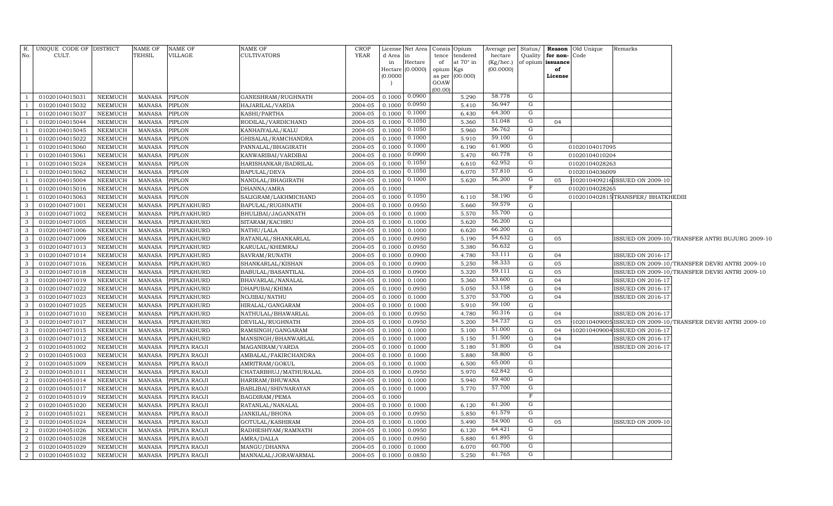| No.                          | R. UNIQUE CODE OF DISTRICT<br>CULT. |                    | NAME OF<br>TEHSIL              | NAME OF<br>VILLAGE           | NAME OF<br><b>CULTIVATORS</b>          | CROP<br>YEAR       | License Net Area<br>d Area<br>$\mathop{\text{in}}$<br>in<br>Hectare $(0.0000)$<br>(0.0000) | Hectare          | of<br>opium Kgs<br>GOAW<br>(00.00) | Consis Opium<br>tence tendered<br>at $70^\circ$ in<br>as per (00.000) | Average per Status/<br>hectare<br>(Kg/hec.)<br>(00.0000) | Quality | for non-Code<br>of opium issuance<br>of<br>License | <b>Reason</b> Old Unique | Remarks                           |                                                             |
|------------------------------|-------------------------------------|--------------------|--------------------------------|------------------------------|----------------------------------------|--------------------|--------------------------------------------------------------------------------------------|------------------|------------------------------------|-----------------------------------------------------------------------|----------------------------------------------------------|---------|----------------------------------------------------|--------------------------|-----------------------------------|-------------------------------------------------------------|
| $\overline{1}$               | 01020104015031                      | NEEMUCH            | <b>MANASA</b>                  | PIPLON                       | GANESHRAM/RUGHNATH                     | 2004-05            | 0.1000                                                                                     | 0.0900           |                                    | 5.290                                                                 | 58.778                                                   | G       |                                                    |                          |                                   |                                                             |
|                              | 01020104015032                      | NEEMUCH            | <b>MANASA</b>                  | PIPLON                       | HAJARILAL/VARDA                        | 2004-05            | 0.1000                                                                                     | 0.0950           |                                    | 5.410                                                                 | 56.947                                                   | G       |                                                    |                          |                                   |                                                             |
| -1                           | 01020104015037                      | NEEMUCH            | <b>MANASA</b>                  | PIPLON                       | KASHI/PARTHA                           | 2004-05            | 0.1000                                                                                     | 0.1000           |                                    | 6.430                                                                 | 64.300                                                   | G       |                                                    |                          |                                   |                                                             |
| -1                           | 01020104015044                      | NEEMUCH            | <b>MANASA</b>                  | PIPLON                       | RODILAL/VARDICHAND                     | 2004-05            | 0.1000                                                                                     | 0.1050           |                                    | 5.360                                                                 | 51.048                                                   | G       | 04                                                 |                          |                                   |                                                             |
| -1                           | 01020104015045                      | NEEMUCH            | <b>MANASA</b>                  | PIPLON                       | KANHAIYALAL/KALU                       | 2004-05            | 0.1000                                                                                     | 0.1050           |                                    | 5.960                                                                 | 56.762                                                   | G       |                                                    |                          |                                   |                                                             |
|                              | 01020104015022                      | NEEMUCH            | <b>MANASA</b>                  | PIPLON                       | GHISALAL/RAMCHANDRA                    | 2004-05            | 0.1000                                                                                     | 0.1000           |                                    | 5.910                                                                 | 59.100                                                   | G       |                                                    |                          |                                   |                                                             |
| $\overline{1}$               | 01020104015060                      | NEEMUCH            | <b>MANASA</b>                  | PIPLON                       | PANNALAL/BHAGIRATH                     | 2004-05            | 0.1000                                                                                     | 0.1000           |                                    | 6.190                                                                 | 61.900                                                   | G       |                                                    | 01020104017095           |                                   |                                                             |
| $\overline{1}$               | 01020104015061                      | NEEMUCH            | <b>MANASA</b>                  | PIPLON                       | KANWARIBAI/VARDIBAI                    | 2004-05            | 0.1000                                                                                     | 0.0900           |                                    | 5.470                                                                 | 60.778                                                   | G       |                                                    | 01020104010204           |                                   |                                                             |
| $\overline{1}$               | 01020104015024                      | <b>NEEMUCH</b>     | <b>MANASA</b>                  | PIPLON                       | HARISHANKAR/BADRILAL                   | 2004-05            | 0.1000                                                                                     | 0.1050           |                                    | 6.610                                                                 | 62.952                                                   | G       |                                                    | 01020104028263           |                                   |                                                             |
|                              | 01020104015062                      | NEEMUCH            | <b>MANASA</b>                  | PIPLON                       | BAPULAL/DEVA                           | 2004-05            | 0.1000                                                                                     | 0.1050           |                                    | 6.070                                                                 | 57.810                                                   | G       |                                                    | 01020104036009           |                                   |                                                             |
| -1                           | 01020104015004                      | NEEMUCH            | <b>MANASA</b>                  | PIPLON                       | NANDLAL/BHAGIRATH                      | 2004-05            | 0.1000                                                                                     | 0.1000           |                                    | 5.620                                                                 | 56.200                                                   | G       | 05                                                 |                          | 102010409216 ISSUED ON 2009-10    |                                                             |
| <sup>1</sup>                 | 01020104015016                      | NEEMUCH            | <b>MANASA</b>                  | PIPLON                       | DHANNA/AMRA                            | 2004-05            | 0.1000                                                                                     |                  |                                    |                                                                       |                                                          | F       |                                                    | 01020104028265           |                                   |                                                             |
| $\overline{1}$               | 01020104015063                      | NEEMUCH            | <b>MANASA</b>                  | PIPLON                       | SALIGRAM/LAKHMICHAND                   | 2004-05            | 0.1000                                                                                     | 0.1050           |                                    | 6.110                                                                 | 58.190                                                   | G       |                                                    |                          | 0102010402815TRANSFER/BHATKHEDIII |                                                             |
| $\mathbf{3}$                 | 01020104071001                      | NEEMUCH            | <b>MANASA</b>                  | PIPLIYAKHURD                 | BAPULAL/RUGHNATH                       | 2004-05            | 0.1000                                                                                     | 0.0950           |                                    | 5.660                                                                 | 59.579<br>55.700                                         | G       |                                                    |                          |                                   |                                                             |
| $\mathbf{3}$                 | 01020104071002                      | NEEMUCH            | <b>MANASA</b>                  | PIPLIYAKHURD                 | BHULIBAI/JAGANNATH                     | 2004-05            | 0.1000                                                                                     | 0.1000           |                                    | 5.570                                                                 | 56.200                                                   | G       |                                                    |                          |                                   |                                                             |
| $\mathbf{3}$<br>$\mathbf{3}$ | 01020104071005                      | NEEMUCH            | <b>MANASA</b>                  | PIPLIYAKHURD                 | SITARAM/KACHRU                         | 2004-05<br>2004-05 | 0.1000                                                                                     | 0.1000           |                                    | 5.620                                                                 | 66.200                                                   | G<br>G  |                                                    |                          |                                   |                                                             |
| $\mathbf{3}$                 | 01020104071006                      | NEEMUCH            | <b>MANASA</b>                  | PIPLIYAKHURD                 | NATHU/LALA                             |                    | $0.1000$ 0.1000                                                                            | 0.0950           |                                    | 6.620                                                                 | 54.632                                                   | G       | 05                                                 |                          |                                   |                                                             |
| $\mathbf{3}$                 | 01020104071009                      | NEEMUCH            | <b>MANASA</b>                  | PIPLIYAKHURD                 | RATANLAL/SHANKARLAL<br>KARULAL/KHEMRAJ | 2004-05<br>2004-05 | 0.1000                                                                                     |                  |                                    | 5.190                                                                 | 56.632                                                   | G       |                                                    |                          |                                   | ISSUED ON 2009-10/TRANSFER ANTRI BUJURG 2009-10             |
| $\mathbf{3}$                 | 01020104071013                      | NEEMUCH<br>NEEMUCH | <b>MANASA</b>                  | PIPLIYAKHURD                 |                                        | 2004-05 0.1000     | 0.1000                                                                                     | 0.0950<br>0.0900 |                                    | 5.380<br>4.780                                                        | 53.111                                                   | G       | 04                                                 |                          |                                   |                                                             |
| $\mathbf{3}$                 | 01020104071014<br>01020104071016    | NEEMUCH            | <b>MANASA</b><br><b>MANASA</b> | PIPLIYAKHURD<br>PIPLIYAKHURD | SAVRAM/RUNATH<br>SHANKARLAL/KISHAN     | 2004-05            | 0.1000                                                                                     | 0.0900           |                                    | 5.250                                                                 | 58.333                                                   | G       | 05                                                 |                          | <b>ISSUED ON 2016-17</b>          | ISSUED ON 2009-10/TRANSFER DEVRI ANTRI 2009-10              |
| $\mathbf{3}$                 | 01020104071018                      | NEEMUCH            | <b>MANASA</b>                  | PIPLIYAKHURD                 | BABULAL/BASANTILAL                     | 2004-05            | 0.1000                                                                                     | 0.0900           |                                    | 5.320                                                                 | 59.111                                                   | G       | 05                                                 |                          |                                   | ISSUED ON 2009-10/TRANSFER DEVRI ANTRI 2009-10              |
| $\mathbf{3}$                 | 01020104071019                      | NEEMUCH            | <b>MANASA</b>                  | PIPLIYAKHURD                 | BHAVARLAL/NANALAL                      | 2004-05            | 0.1000                                                                                     | 0.1000           |                                    | 5.360                                                                 | 53.600                                                   | G       | 04                                                 |                          | <b>ISSUED ON 2016-17</b>          |                                                             |
| $\mathbf{3}$                 | 01020104071022                      | NEEMUCH            | <b>MANASA</b>                  | PIPLIYAKHURD                 | DHAPUBAI/KHIMA                         | 2004-05            | 0.1000                                                                                     | 0.0950           |                                    | 5.050                                                                 | 53.158                                                   | G       | 04                                                 |                          | <b>ISSUED ON 2016-17</b>          |                                                             |
| $\mathbf{3}$                 | 01020104071023                      | NEEMUCH            | <b>MANASA</b>                  | PIPLIYAKHURD                 | NOJIBAI/NATHU                          | 2004-05            | 0.1000                                                                                     | 0.1000           |                                    | 5.370                                                                 | 53.700                                                   | G       | 04                                                 |                          | <b>ISSUED ON 2016-17</b>          |                                                             |
| 3                            | 01020104071025                      | NEEMUCH            | <b>MANASA</b>                  | PIPLIYAKHURD                 | HIRALAL/GANGARAM                       | 2004-05            | 0.1000                                                                                     | 0.1000           |                                    | 5.910                                                                 | 59.100                                                   | G       |                                                    |                          |                                   |                                                             |
| $\mathbf{3}$                 | 01020104071010                      | NEEMUCH            | <b>MANASA</b>                  | PIPLIYAKHURD                 | NATHULAL/BHAWARLAL                     | 2004-05            | 0.1000                                                                                     | 0.0950           |                                    | 4.780                                                                 | 50.316                                                   | G       | 04                                                 |                          | <b>ISSUED ON 2016-17</b>          |                                                             |
| $\mathbf{3}$                 | 01020104071017                      | NEEMUCH            | <b>MANASA</b>                  | PIPLIYAKHURD                 | DEVILAL/RUGHNATH                       | 2004-05            | 0.1000                                                                                     | 0.0950           |                                    | 5.200                                                                 | 54.737                                                   | G       | 05                                                 |                          |                                   | 102010409005 ISSUED ON 2009-10/TRANSFER DEVRI ANTRI 2009-10 |
| $\overline{3}$               | 01020104071015                      | NEEMUCH            | <b>MANASA</b>                  | PIPLIYAKHURD                 | RAMSINGH/GANGARAM                      | 2004-05            | 0.1000                                                                                     | 0.1000           |                                    | 5.100                                                                 | 51.000                                                   | G       | 04                                                 |                          | 102010409004 ISSUED ON 2016-17    |                                                             |
| -3                           | 01020104071012                      | NEEMUCH            | <b>MANASA</b>                  | PIPLIYAKHURD                 | MANSINGH/BHANWARLAL                    | 2004-05            | 0.1000                                                                                     | 0.1000           |                                    | 5.150                                                                 | 51.500                                                   | G       | 04                                                 |                          | <b>ISSUED ON 2016-17</b>          |                                                             |
| $\overline{2}$               | 01020104051002                      | NEEMUCH            | <b>MANASA</b>                  | PIPLIYA RAOJI                | MAGANIRAM/VARDA                        | 2004-05            | 0.1000                                                                                     | 0.1000           |                                    | 5.180                                                                 | 51.800                                                   | G       | 04                                                 |                          | ISSUED ON 2016-17                 |                                                             |
| $\overline{2}$               | 01020104051003                      | NEEMUCH            | <b>MANASA</b>                  | PIPLIYA RAOJI                | AMBALAL/FAKIRCHANDRA                   | 2004-05            | 0.1000                                                                                     | 0.1000           |                                    | 5.880                                                                 | 58.800                                                   | G       |                                                    |                          |                                   |                                                             |
| $\overline{2}$               | 01020104051009                      | NEEMUCH            | <b>MANASA</b>                  | PIPLIYA RAOJI                | AMRITRAM/GOKUL                         | 2004-05            | 0.1000                                                                                     | 0.1000           |                                    | 6.500                                                                 | 65.000                                                   | G       |                                                    |                          |                                   |                                                             |
| $\overline{2}$               | 01020104051011                      | NEEMUCH            | <b>MANASA</b>                  | PIPLIYA RAOJI                | CHATARBHUJ/MATHURALAL                  | 2004-05            | 0.1000                                                                                     | 0.0950           |                                    | 5.970                                                                 | 62.842                                                   | G       |                                                    |                          |                                   |                                                             |
| $\overline{2}$               | 01020104051014                      | NEEMUCH            | <b>MANASA</b>                  | PIPLIYA RAOJI                | HARIRAM/BHUWANA                        | 2004-05            | 0.1000                                                                                     | 0.1000           |                                    | 5.940                                                                 | 59.400                                                   | G       |                                                    |                          |                                   |                                                             |
| $\overline{2}$               | 01020104051017                      | NEEMUCH            | <b>MANASA</b>                  | PIPLIYA RAOJI                | BABLIBAI/SHIVNARAYAN                   | 2004-05            | 0.1000                                                                                     | 0.1000           |                                    | 5.770                                                                 | 57.700                                                   | G       |                                                    |                          |                                   |                                                             |
| $\overline{2}$               | 01020104051019                      | NEEMUCH            | <b>MANASA</b>                  | PIPLIYA RAOJI                | <b>BAGDIRAM/PEMA</b>                   | 2004-05            | 0.1000                                                                                     |                  |                                    |                                                                       |                                                          | F       |                                                    |                          |                                   |                                                             |
| $\overline{2}$               | 01020104051020                      | <b>NEEMUCH</b>     | <b>MANASA</b>                  | PIPLIYA RAOJI                | RATANLAL/NANALAL                       | 2004-05            | 0.1000                                                                                     | 0.1000           |                                    | 6.120                                                                 | 61.200                                                   | G       |                                                    |                          |                                   |                                                             |
| $\overline{2}$               | 01020104051021                      | NEEMUCH            | <b>MANASA</b>                  | PIPLIYA RAOJI                | JANKILAL/BHONA                         | 2004-05            | 0.1000                                                                                     | 0.0950           |                                    | 5.850                                                                 | 61.579                                                   | G       |                                                    |                          |                                   |                                                             |
| $\overline{2}$               | 01020104051024                      | NEEMUCH            | <b>MANASA</b>                  | PIPLIYA RAOJI                | GOTULAL/KASHIRAM                       | 2004-05            | 0.1000                                                                                     | 0.1000           |                                    | 5.490                                                                 | 54.900                                                   | G       | 05                                                 |                          | <b>ISSUED ON 2009-10</b>          |                                                             |
| $\overline{2}$               | 01020104051026                      | NEEMUCH            | <b>MANASA</b>                  | PIPLIYA RAOJI                | RADHESHYAM/RAMNATH                     | 2004-05            | 0.1000                                                                                     | 0.0950           |                                    | 6.120                                                                 | 64.421                                                   | G       |                                                    |                          |                                   |                                                             |
| $\overline{2}$               | 01020104051028                      | NEEMUCH            | <b>MANASA</b>                  | PIPLIYA RAOJI                | AMRA/DALLA                             | 2004-05            | 0.1000                                                                                     | 0.0950           |                                    | 5.880                                                                 | 61.895                                                   | G       |                                                    |                          |                                   |                                                             |
| $\overline{2}$               | 01020104051029                      | NEEMUCH            | <b>MANASA</b>                  | PIPLIYA RAOJI                | MANGU/DHANNA                           | 2004-05            | 0.1000                                                                                     | 0.1000           |                                    | 6.070                                                                 | 60.700                                                   | G       |                                                    |                          |                                   |                                                             |
| 2                            | 01020104051032                      | NEEMUCH            | MANASA                         | PIPLIYA RAOJI                | MANNALAL/JORAWARMAL                    | 2004-05            | 0.1000                                                                                     | 0.0850           |                                    | 5.250                                                                 | 61.765                                                   | G       |                                                    |                          |                                   |                                                             |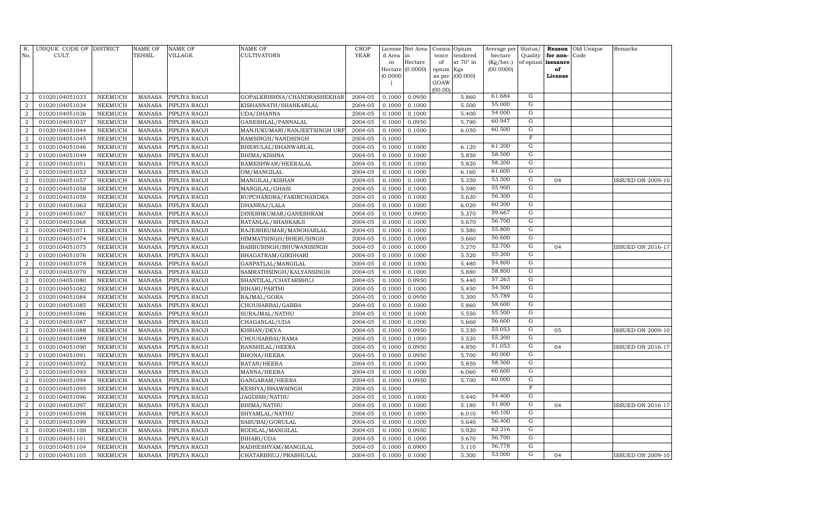| R.<br>No.        | UNIQUE CODE OF DISTRICT<br>CULT. |                | <b>NAME OF</b><br>TEHSIL | <b>NAME OF</b><br><b>VILLAGE</b> | NAME OF<br><b>CULTIVATORS</b> | <b>CROP</b><br><b>YEAR</b> | License<br>d Area | Net Area<br>in   | Consis<br>tence | Opium<br>tendered | Average per<br>hectare | Status/<br>Quality | Reason<br>for non- | Old Unique<br>Code | Remarks                  |
|------------------|----------------------------------|----------------|--------------------------|----------------------------------|-------------------------------|----------------------------|-------------------|------------------|-----------------|-------------------|------------------------|--------------------|--------------------|--------------------|--------------------------|
|                  |                                  |                |                          |                                  |                               |                            | in                | Hectare          | of              | at 70° in         | (Kg/hec.)              |                    | of opium issuance  |                    |                          |
|                  |                                  |                |                          |                                  |                               |                            |                   | Hectare (0.0000) | opium           | Kgs               | (00.0000)              |                    | of                 |                    |                          |
|                  |                                  |                |                          |                                  |                               |                            | (0.0000)          |                  | as per<br>GOAW  | (00.000)          |                        |                    | License            |                    |                          |
|                  |                                  |                |                          |                                  |                               |                            |                   |                  | (00.00)         |                   |                        |                    |                    |                    |                          |
| $\overline{a}$   | 01020104051033                   | <b>NEEMUCH</b> | <b>MANASA</b>            | PIPLIYA RAOJI                    | GOPALKRISHNA/CHANDRASHEKHAR   | 2004-05                    | 0.1000            | 0.0950           |                 | 5.860             | 61.684                 | G                  |                    |                    |                          |
| $\overline{2}$   | 01020104051034                   | <b>NEEMUCH</b> | <b>MANASA</b>            | PIPLIYA RAOJI                    | KISHANNATH/SHANKARLAL         | 2004-05                    | 0.1000            | 0.1000           |                 | 5.500             | 55.000                 | G                  |                    |                    |                          |
| $\overline{2}$   | 01020104051036                   | <b>NEEMUCH</b> | <b>MANASA</b>            | PIPLIYA RAOJI                    | UDA/DHANNA                    | 2004-05                    | 0.1000            | 0.1000           |                 | 5.400             | 54.000                 | $\overline{G}$     |                    |                    |                          |
| $\overline{2}$   | 01020104051037                   | <b>NEEMUCH</b> | <b>MANASA</b>            | PIPLIYA RAOJI                    | GANESHLAL/PANNALAL            | 2004-05                    | 0.1000            | 0.0950           |                 | 5.790             | 60.947                 | $\overline{G}$     |                    |                    |                          |
| $\overline{a}$   | 01020104051044                   | <b>NEEMUCH</b> | <b>MANASA</b>            | PIPLIYA RAOJI                    | MANJUKUMARI/RANJEETSINGH URF  | 2004-05                    | 0.1000            | 0.1000           |                 | 6.050             | 60.500                 | G                  |                    |                    |                          |
| $\overline{a}$   | 01020104051045                   | <b>NEEMUCH</b> | <b>MANASA</b>            | PIPLIYA RAOJI                    | RAMSINGH/NANDSINGH            | 2004-05                    | 0.1000            |                  |                 |                   |                        | $\overline{F}$     |                    |                    |                          |
| 2                | 01020104051046                   | <b>NEEMUCH</b> | <b>MANASA</b>            | PIPLIYA RAOJI                    | BHERULAL/BHANWARLAL           | 2004-05                    | 0.1000            | 0.1000           |                 | 6.120             | 61.200                 | $\overline{G}$     |                    |                    |                          |
| $\overline{a}$   | 01020104051049                   | <b>NEEMUCH</b> | <b>MANASA</b>            | PIPLIYA RAOJI                    | BHIMA/KISHNA                  | 2004-05                    | 0.1000            | 0.1000           |                 | 5.850             | 58.500                 | $\overline{G}$     |                    |                    |                          |
| $\overline{2}$   | 01020104051051                   | <b>NEEMUCH</b> | <b>MANASA</b>            | PIPLIYA RAOJI                    | RAMESHWAR/HEERALAL            | 2004-05                    | 0.1000            | 0.1000           |                 | 5.820             | 58.200                 | $\overline{G}$     |                    |                    |                          |
| $\overline{2}$   | 01020104051053                   | <b>NEEMUCH</b> | <b>MANASA</b>            | PIPLIYA RAOJI                    | OM/MANGILAL                   | 2004-05                    | 0.1000            | 0.1000           |                 | 6.160             | 61.600                 | $\mathbf G$        |                    |                    |                          |
| $\overline{a}$   | 01020104051057                   | <b>NEEMUCH</b> | <b>MANASA</b>            | PIPLIYA RAOJI                    | MANGILAL/KISHAN               | 2004-05                    | 0.1000            | 0.1000           |                 | 5.350             | 53.500                 | $\overline{G}$     | 04                 |                    | <b>ISSUED ON 2009-10</b> |
| $\overline{2}$   | 01020104051058                   | <b>NEEMUCH</b> | <b>MANASA</b>            | PIPLIYA RAOJI                    | MANGILAL/GHASI                | 2004-05                    | 0.1000            | 0.1000           |                 | 5.590             | 55.900                 | $\mathbf G$        |                    |                    |                          |
| $\overline{2}$   | 01020104051059                   | <b>NEEMUCH</b> | <b>MANASA</b>            | PIPLIYA RAOJI                    | RUPCHANDRA/FAKIRCHANDRA       | 2004-05                    | 0.1000            | 0.1000           |                 | 5.630             | 56.300                 | G                  |                    |                    |                          |
| $\overline{a}$   | 01020104051063                   | <b>NEEMUCH</b> | <b>MANASA</b>            | PIPLIYA RAOJI                    | DHANRAJ/LALA                  | 2004-05                    | 0.1000            | 0.1000           |                 | 6.020             | 60.200                 | G                  |                    |                    |                          |
| $\overline{a}$   | 01020104051067                   | <b>NEEMUCH</b> | <b>MANASA</b>            | PIPLIYA RAOJI                    | DINESHKUMAR/GANESHRAM         | 2004-05                    | 0.1000            | 0.0900           |                 | 5.370             | 59.667                 | G                  |                    |                    |                          |
| $\overline{a}$   | 01020104051068                   | <b>NEEMUCH</b> | <b>MANASA</b>            | PIPLIYA RAOJI                    | RATANLAL/SHANKARJI            | 2004-05                    | 0.1000            | 0.1000           |                 | 5.670             | 56.700                 | G                  |                    |                    |                          |
| $\overline{2}$   | 01020104051071                   | <b>NEEMUCH</b> | <b>MANASA</b>            | PIPLIYA RAOJI                    | RAJESHKUMAR/MANOHARLAL        | 2004-05                    | 0.1000            | 0.1000           |                 | 5.580             | 55.800                 | $\overline{G}$     |                    |                    |                          |
| $\overline{2}$   | 01020104051074                   | <b>NEEMUCH</b> | <b>MANASA</b>            | PIPLIYA RAOJI                    | HIMMATSINGH/BHERUSINGH        | 2004-05                    | 0.1000            | 0.1000           |                 | 5.660             | 56.600                 | $\mathbf G$        |                    |                    |                          |
| $\overline{a}$   | 01020104051075                   | <b>NEEMUCH</b> | <b>MANASA</b>            | PIPLIYA RAOJI                    | BABBUSINGH/BHUWANISINGH       | 2004-05                    | 0.1000            | 0.1000           |                 | 5.270             | 52.700                 | $\overline{G}$     | 04                 |                    | ISSUED ON 2016-17        |
| $\boldsymbol{2}$ | 01020104051076                   | <b>NEEMUCH</b> | <b>MANASA</b>            | PIPLIYA RAOJI                    | BHAGATRAM/GIRDHARI            | 2004-05                    | 0.1000            | 0.1000           |                 | 5.520             | 55.200                 | $\overline{G}$     |                    |                    |                          |
| $\overline{2}$   | 01020104051078                   | NEEMUCH        | <b>MANASA</b>            | PIPLIYA RAOJI                    | GANPATLAL/MANGILAL            | 2004-05                    | 0.1000            | 0.1000           |                 | 5.480             | 54.800                 | $\overline{G}$     |                    |                    |                          |
| $\overline{2}$   | 01020104051079                   | <b>NEEMUCH</b> | <b>MANASA</b>            | PIPLIYA RAOJI                    | SAMRATHSINGH/KALYANSINGH      | 2004-05                    | 0.1000            | 0.1000           |                 | 5.880             | 58.800                 | $\overline{G}$     |                    |                    |                          |
| $\overline{2}$   | 01020104051080                   | NEEMUCH        | <b>MANASA</b>            | PIPLIYA RAOJI                    | SHANTILAL/CHATARBHUJ          | 2004-05                    | 0.1000            | 0.0950           |                 | 5.440             | 57.263                 | G                  |                    |                    |                          |
| $\overline{2}$   | 01020104051082                   | <b>NEEMUCH</b> | <b>MANASA</b>            | PIPLIYA RAOJI                    | BIHARI/PARTHI                 | 2004-05                    | 0.1000            | 0.1000           |                 | 5.450             | 54.500                 | $\overline{G}$     |                    |                    |                          |
| $\overline{2}$   | 01020104051084                   | <b>NEEMUCH</b> | <b>MANASA</b>            | PIPLIYA RAOJI                    | RAJMAL/GORA                   | 2004-05                    | 0.1000            | 0.0950           |                 | 5.300             | 55.789                 | G                  |                    |                    |                          |
| $\overline{2}$   | 01020104051085                   | <b>NEEMUCH</b> | <b>MANASA</b>            | PIPLIYA RAOJI                    | CHOUSARBAI/GABBA              | 2004-05                    | 0.1000            | 0.1000           |                 | 5.860             | 58.600                 | $\overline{G}$     |                    |                    |                          |
| $\overline{2}$   | 01020104051086                   | <b>NEEMUCH</b> | <b>MANASA</b>            | PIPLIYA RAOJI                    | SURAJMAL/NATHU                | 2004-05                    | 0.1000            | 0.1000           |                 | 5.550             | 55.500                 | ${\rm G}$          |                    |                    |                          |
| $\overline{2}$   | 01020104051087                   | <b>NEEMUCH</b> | <b>MANASA</b>            | PIPLIYA RAOJI                    | CHAGANLAL/UDA                 | 2004-05                    | 0.1000            | 0.1000           |                 | 5.660             | 56.600                 | G                  |                    |                    |                          |
| $\overline{2}$   | 01020104051088                   | <b>NEEMUCH</b> | <b>MANASA</b>            | PIPLIYA RAOJI                    | KISHAN/DEVA                   | 2004-05                    | 0.1000            | 0.0950           |                 | 5.230             | 55.053                 | $\mathbf G$        | 05                 |                    | <b>ISSUED ON 2009-10</b> |
| $\boldsymbol{2}$ | 01020104051089                   | <b>NEEMUCH</b> | <b>MANASA</b>            | PIPLIYA RAOJI                    | CHOUSARBAI/RAMA               | 2004-05                    | 0.1000            | 0.1000           |                 | 5.520             | 55.200                 | $\mathbf G$        |                    |                    |                          |
| $\overline{2}$   | 01020104051090                   | <b>NEEMUCH</b> | <b>MANASA</b>            | PIPLIYA RAOJI                    | BANSHILAL/HEERA               | 2004-05                    | 0.1000            | 0.0950           |                 | 4.850             | 51.053                 | G                  | 04                 |                    | ISSUED ON 2016-17        |
| $\overline{2}$   | 01020104051091                   | NEEMUCH        | <b>MANASA</b>            | PIPLIYA RAOJI                    | <b>BHONA/HEERA</b>            | 2004-05                    | 0.1000            | 0.0950           |                 | 5.700             | 60.000                 | $\overline{G}$     |                    |                    |                          |
| $\overline{2}$   | 01020104051092                   | NEEMUCH        | <b>MANASA</b>            | PIPLIYA RAOJI                    | RATAN/HEERA                   | 2004-05                    | 0.1000            | 0.1000           |                 | 5.850             | 58.500                 | G                  |                    |                    |                          |
| $\overline{2}$   | 01020104051093                   | <b>NEEMUCH</b> | <b>MANASA</b>            | PIPLIYA RAOJI                    | MANNA/HEERA                   | 2004-05                    | 0.1000            | 0.1000           |                 | 6.060             | 60.600                 | $\overline{G}$     |                    |                    |                          |
| $\overline{2}$   | 01020104051094                   | <b>NEEMUCH</b> | <b>MANASA</b>            | PIPLIYA RAOJI                    | GANGARAM/HEERA                | 2004-05                    | 0.1000            | 0.0950           |                 | 5.700             | 60.000                 | G                  |                    |                    |                          |
| $\overline{2}$   | 01020104051095                   | <b>NEEMUCH</b> | <b>MANASA</b>            | PIPLIYA RAOJI                    | KESHYA/BHAWSINGH              | 2004-05                    | 0.1000            |                  |                 |                   |                        | F                  |                    |                    |                          |
| $\overline{2}$   | 01020104051096                   | <b>NEEMUCH</b> | <b>MANASA</b>            | PIPLIYA RAOJI                    | JAGDISH/NATHU                 | 2004-05                    | 0.1000            | 0.1000           |                 | 5.440             | 54.400                 | $\mathbf G$        |                    |                    |                          |
| $\overline{2}$   | 01020104051097                   | <b>NEEMUCH</b> | <b>MANASA</b>            | PIPLIYA RAOJI                    | BHIMA/NATHU                   | 2004-05                    | 0.1000            | 0.1000           |                 | 5.180             | 51.800                 | $\mathbf G$        | 04                 |                    | <b>ISSUED ON 2016-17</b> |
| $\overline{2}$   | 01020104051098                   | <b>NEEMUCH</b> | <b>MANASA</b>            | PIPLIYA RAOJI                    | SHYAMLAL/NATHU                | 2004-05                    | 0.1000            | 0.1000           |                 | 6.010             | 60.100                 | $\mathbf G$        |                    |                    |                          |
| $\boldsymbol{2}$ | 01020104051099                   | <b>NEEMUCH</b> | <b>MANASA</b>            | PIPLIYA RAOJI                    | SABUBAI/GORULAL               | 2004-05                    | 0.1000            | 0.1000           |                 | 5.640             | 56.400                 | G                  |                    |                    |                          |
| $\overline{2}$   | 01020104051100                   | <b>NEEMUCH</b> | <b>MANASA</b>            | PIPLIYA RAOJI                    | RODILAL/MANGILAL              | 2004-05                    | 0.1000            | 0.0950           |                 | 5.920             | 62.316                 | G                  |                    |                    |                          |
| $\boldsymbol{2}$ | 01020104051101                   | <b>NEEMUCH</b> | <b>MANASA</b>            | PIPLIYA RAOJI                    | BIHARI/UDA                    | 2004-05                    | 0.1000            | 0.1000           |                 | 5.670             | 56.700                 | G                  |                    |                    |                          |
| $\overline{a}$   | 01020104051104                   | NEEMUCH        | <b>MANASA</b>            | PIPLIYA RAOJI                    | RADHESHYAM/MANGILAL           | 2004-05                    | 0.1000            | 0.0900           |                 | 5.110             | 56.778                 | G                  |                    |                    |                          |
| $\overline{a}$   | 01020104051105                   | NEEMUCH        | MANASA                   | PIPLIYA RAOJI                    | CHATARBHUJ/PRABHULAL          | 2004-05                    | 0.1000            | 0.1000           |                 | 5.300             | 53.000                 | $\mathbf G$        | 04                 |                    | <b>ISSUED ON 2009-10</b> |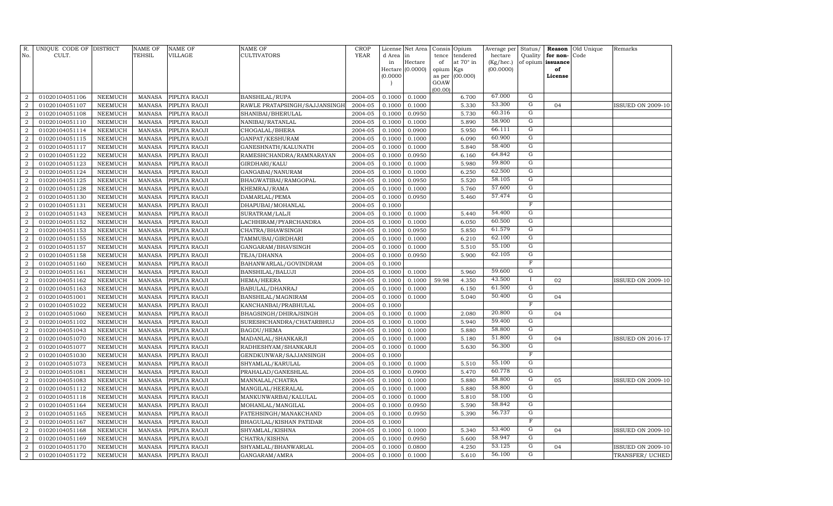| R.<br>No.                        | UNIQUE CODE OF DISTRICT<br>CULT. |                                  | <b>NAME OF</b><br><b>TEHSIL</b> | <b>NAME OF</b><br>VILLAGE      | NAME OF<br>CULTIVATORS                | <b>CROP</b><br><b>YEAR</b> | d Area in<br>in<br>(0.0000) | License Net Area<br>Hectare<br>Hectare (0.0000) | Consis<br>tence<br>of<br>opium<br>as per | Opium<br>tendered<br>at $70^\circ$ in<br>Kgs<br>(00.000) | Average per<br>hectare<br>(Kg/hec.)<br>(00.0000) | Status/<br>Quality<br>of opium issuance | for non-<br>of<br>License | <b>Reason</b> Old Unique<br>Code | Remarks                  |
|----------------------------------|----------------------------------|----------------------------------|---------------------------------|--------------------------------|---------------------------------------|----------------------------|-----------------------------|-------------------------------------------------|------------------------------------------|----------------------------------------------------------|--------------------------------------------------|-----------------------------------------|---------------------------|----------------------------------|--------------------------|
|                                  |                                  |                                  |                                 |                                |                                       |                            | $\overline{ }$              |                                                 | GOAW<br>(00.00)                          |                                                          |                                                  |                                         |                           |                                  |                          |
| $\overline{2}$                   | 01020104051106                   | NEEMUCH                          | <b>MANASA</b>                   | PIPLIYA RAOJI                  | BANSHILAL/RUPA                        | 2004-05                    | 0.1000                      | 0.1000                                          |                                          | 6.700                                                    | 67.000                                           | G                                       |                           |                                  |                          |
| $\overline{2}$                   | 01020104051107                   | <b>NEEMUCH</b>                   | MANASA                          | PIPLIYA RAOJI                  | RAWLE PRATAPSINGH/SAJJANSINGH         | 2004-05                    | 0.1000                      | 0.1000                                          |                                          | 5.330                                                    | 53.300                                           | $\mathbf G$                             | 04                        |                                  | <b>ISSUED ON 2009-10</b> |
| $\overline{2}$                   | 01020104051108                   | <b>NEEMUCH</b>                   | <b>MANASA</b>                   | PIPLIYA RAOJI                  | SHANIBAI/BHERULAL                     | 2004-05                    | 0.1000                      | 0.0950                                          |                                          | 5.730                                                    | 60.316                                           | $\overline{G}$                          |                           |                                  |                          |
| $\overline{2}$                   | 01020104051110                   | <b>NEEMUCH</b>                   | MANASA                          | PIPLIYA RAOJI                  | NANIBAI/RATANLAL                      | 2004-05                    | 0.1000                      | 0.1000                                          |                                          | 5.890                                                    | 58.900                                           | G                                       |                           |                                  |                          |
| $\overline{a}$                   | 01020104051114                   | <b>NEEMUCH</b>                   | MANASA                          | PIPLIYA RAOJI                  | CHOGALAL/BHERA                        | 2004-05                    | 0.1000                      | 0.0900                                          |                                          | 5.950                                                    | 66.111                                           | G                                       |                           |                                  |                          |
| $\boldsymbol{2}$                 | 01020104051115                   | <b>NEEMUCH</b>                   | <b>MANASA</b>                   | PIPLIYA RAOJI                  | GANPAT/KESHURAM                       | 2004-05                    | 0.1000                      | 0.1000                                          |                                          | 6.090                                                    | 60.900                                           | G                                       |                           |                                  |                          |
| $\overline{2}$                   | 01020104051117                   | <b>NEEMUCH</b>                   | <b>MANASA</b>                   | PIPLIYA RAOJI                  | GANESHNATH/KALUNATH                   | 2004-05                    | 0.1000                      | 0.1000                                          |                                          | 5.840                                                    | 58.400                                           | G                                       |                           |                                  |                          |
| $\overline{2}$                   | 01020104051122                   | <b>NEEMUCH</b>                   | <b>MANASA</b>                   | PIPLIYA RAOJI                  | RAMESHCHANDRA/RAMNARAYAN              | 2004-05                    | 0.1000                      | 0.0950                                          |                                          | 6.160                                                    | 64.842                                           | G                                       |                           |                                  |                          |
| $\overline{2}$                   | 01020104051123                   | <b>NEEMUCH</b>                   | <b>MANASA</b>                   | PIPLIYA RAOJI                  | GIRDHARI/KALU                         | 2004-05                    | 0.1000                      | 0.1000                                          |                                          | 5.980                                                    | 59.800                                           | ${\rm G}$                               |                           |                                  |                          |
| $\overline{2}$                   | 01020104051124                   | <b>NEEMUCH</b>                   | <b>MANASA</b>                   | PIPLIYA RAOJI                  | GANGABAI/NANURAM                      | 2004-05                    | 0.1000                      | 0.1000                                          |                                          | 6.250                                                    | 62.500                                           | $\mathbf G$                             |                           |                                  |                          |
| $\overline{2}$                   | 01020104051125                   | <b>NEEMUCH</b>                   | <b>MANASA</b>                   | PIPLIYA RAOJI                  | BHAGWATIBAI/RAMGOPAL                  | 2004-05                    | 0.1000                      | 0.0950                                          |                                          | 5.520                                                    | 58.105                                           | ${\rm G}$                               |                           |                                  |                          |
| $\boldsymbol{2}$                 | 01020104051128                   | NEEMUCH                          | <b>MANASA</b>                   | PIPLIYA RAOJI                  | KHEMRAJ/RAMA                          | 2004-05                    | 0.1000                      | 0.1000                                          |                                          | 5.760                                                    | 57.600                                           | ${\rm G}$                               |                           |                                  |                          |
| $\overline{2}$                   | 01020104051130                   | <b>NEEMUCH</b>                   | <b>MANASA</b>                   | PIPLIYA RAOJI                  | DAMARLAL/PEMA                         | 2004-05                    | 0.1000                      | 0.0950                                          |                                          | 5.460                                                    | 57.474                                           | G                                       |                           |                                  |                          |
| $\boldsymbol{2}$                 | 01020104051131                   | NEEMUCH                          | <b>MANASA</b>                   | PIPLIYA RAOJI                  | DHAPUBAI/MOHANLAL                     | 2004-05                    | 0.1000                      |                                                 |                                          |                                                          |                                                  | F                                       |                           |                                  |                          |
| $\overline{2}$                   | 01020104051143                   | NEEMUCH                          | <b>MANASA</b>                   | PIPLIYA RAOJI                  | SURATRAM/LALJI                        | 2004-05                    | 0.1000                      | 0.1000                                          |                                          | 5.440                                                    | 54.400                                           | G                                       |                           |                                  |                          |
| $\boldsymbol{2}$                 | 01020104051152                   | NEEMUCH                          | <b>MANASA</b>                   | PIPLIYA RAOJI                  | LACHHIRAM/PYARCHANDRA                 | 2004-05                    | 0.1000                      | 0.1000                                          |                                          | 6.050                                                    | 60.500                                           | G                                       |                           |                                  |                          |
| $\overline{2}$                   | 01020104051153                   | NEEMUCH                          | <b>MANASA</b>                   | PIPLIYA RAOJI                  | CHATRA/BHAWSINGH                      | 2004-05                    | 0.1000                      | 0.0950                                          |                                          | 5.850                                                    | 61.579                                           | $\overline{G}$                          |                           |                                  |                          |
| $\overline{2}$                   | 01020104051155                   | NEEMUCH                          | <b>MANASA</b>                   | PIPLIYA RAOJI                  | TAMMUBAI/GIRDHARI                     | 2004-05                    | 0.1000                      | 0.1000                                          |                                          | 6.210                                                    | 62.100                                           | $\mathbf G$                             |                           |                                  |                          |
| $\overline{2}$                   | 01020104051157                   | NEEMUCH                          | <b>MANASA</b>                   | PIPLIYA RAOJI                  | GANGARAM/BHAVSINGH                    | 2004-05                    | 0.1000                      | 0.1000                                          |                                          | 5.510                                                    | 55.100                                           | $\mathbf G$                             |                           |                                  |                          |
| $\overline{2}$                   | 01020104051158                   | <b>NEEMUCH</b>                   | MANASA                          | PIPLIYA RAOJI                  | TEJA/DHANNA                           | 2004-05                    | 0.1000                      | 0.0950                                          |                                          | 5.900                                                    | 62.105                                           | $\mathbf G$                             |                           |                                  |                          |
| $\overline{2}$                   | 01020104051160                   | NEEMUCH                          | MANASA                          | PIPLIYA RAOJI                  | BAHANWARLAL/GOVINDRAM                 | 2004-05                    | 0.1000                      |                                                 |                                          |                                                          |                                                  | $\mathbf F$                             |                           |                                  |                          |
| $\overline{2}$                   | 01020104051161                   | <b>NEEMUCH</b>                   | MANASA                          | PIPLIYA RAOJI                  | BANSHILAL/BALUJI                      | 2004-05                    | 0.1000                      | 0.1000                                          |                                          | 5.960                                                    | 59.600                                           | G                                       |                           |                                  |                          |
| $\overline{2}$                   | 01020104051162                   | <b>NEEMUCH</b>                   | <b>MANASA</b>                   | PIPLIYA RAOJI                  | HEMA/HEERA                            | 2004-05                    | 0.1000                      | 0.1000                                          | 59.98                                    | 4.350                                                    | 43.500                                           |                                         | 02                        |                                  | <b>ISSUED ON 2009-10</b> |
| $\overline{2}$                   | 01020104051163                   | NEEMUCH                          | MANASA                          | PIPLIYA RAOJI                  | BABULAL/DHANRAJ                       | 2004-05                    | 0.1000                      | 0.1000                                          |                                          | 6.150                                                    | 61.500                                           | G                                       |                           |                                  |                          |
| $\overline{2}$                   | 01020104051001                   | NEEMUCH                          | <b>MANASA</b>                   | PIPLIYA RAOJI                  | BANSHILAL/MAGNIRAM                    | 2004-05                    | 0.1000                      | 0.1000                                          |                                          | 5.040                                                    | 50.400                                           | G                                       | 04                        |                                  |                          |
| $\overline{2}$                   | 01020104051022                   | <b>NEEMUCH</b>                   | MANASA                          | PIPLIYA RAOJI                  | KANCHANBAI/PRABHULAL                  | 2004-05                    | 0.1000                      |                                                 |                                          |                                                          |                                                  | F                                       |                           |                                  |                          |
| $\overline{2}$                   | 01020104051060                   | <b>NEEMUCH</b>                   | <b>MANASA</b>                   | PIPLIYA RAOJI                  | BHAGSINGH/DHIRAJSINGH                 | 2004-05                    | 0.1000                      | 0.1000                                          |                                          | 2.080                                                    | 20.800                                           | G                                       | 04                        |                                  |                          |
| $\overline{2}$                   | 01020104051102                   | <b>NEEMUCH</b>                   | <b>MANASA</b>                   | PIPLIYA RAOJI                  | SURESHCHANDRA/CHATARBHUJ              | 2004-05                    | 0.1000                      | 0.1000                                          |                                          | 5.940                                                    | 59.400                                           | G                                       |                           |                                  |                          |
| $\overline{2}$                   | 01020104051043                   | <b>NEEMUCH</b>                   | <b>MANASA</b>                   | PIPLIYA RAOJI                  | BAGDU/HEMA                            | 2004-05                    | 0.1000                      | 0.1000                                          |                                          | 5.880                                                    | 58.800                                           | G                                       |                           |                                  |                          |
| $\overline{2}$                   | 01020104051070                   | <b>NEEMUCH</b>                   | <b>MANASA</b>                   | PIPLIYA RAOJI                  | MADANLAL/SHANKARJI                    | 2004-05                    | 0.1000                      | 0.1000                                          |                                          | 5.180                                                    | 51.800<br>56.300                                 | G<br>G                                  | 04                        |                                  | <b>ISSUED ON 2016-17</b> |
| $\overline{2}$                   | 01020104051077                   | <b>NEEMUCH</b>                   | <b>MANASA</b>                   | PIPLIYA RAOJI                  | RADHESHYAM / SHANKARJI                | 2004-05                    | 0.1000                      | 0.1000                                          |                                          | 5.630                                                    |                                                  | F                                       |                           |                                  |                          |
| $\boldsymbol{2}$                 | 01020104051030                   | <b>NEEMUCH</b>                   | <b>MANASA</b>                   | PIPLIYA RAOJI                  | GENDKUNWAR/SAJJANSINGH                | 2004-05                    | 0.1000                      |                                                 |                                          |                                                          | 55.100                                           | G                                       |                           |                                  |                          |
| $\overline{2}$<br>$\overline{2}$ | 01020104051073<br>01020104051081 | <b>NEEMUCH</b><br><b>NEEMUCH</b> | <b>MANASA</b><br>MANASA         | PIPLIYA RAOJI                  | SHYAMLAL/KARULAL                      | 2004-05<br>2004-05         | 0.1000<br>0.1000            | 0.1000<br>0.0900                                |                                          | 5.510<br>5.470                                           | 60.778                                           | G                                       |                           |                                  |                          |
| $\overline{2}$                   | 01020104051083                   | <b>NEEMUCH</b>                   | <b>MANASA</b>                   | PIPLIYA RAOJI<br>PIPLIYA RAOJI | PRAHALAD/GANESHLAL<br>MANNALAL/CHATRA | 2004-05                    | 0.1000                      | 0.1000                                          |                                          | 5.880                                                    | 58.800                                           | G                                       | 05                        |                                  | <b>ISSUED ON 2009-10</b> |
| $\overline{2}$                   | 01020104051112                   | <b>NEEMUCH</b>                   | <b>MANASA</b>                   | PIPLIYA RAOJI                  | MANGILAL/HEERALAL                     | 2004-05                    | 0.1000                      | 0.1000                                          |                                          | 5.880                                                    | 58.800                                           | G                                       |                           |                                  |                          |
| $\overline{2}$                   | 01020104051118                   | <b>NEEMUCH</b>                   | <b>MANASA</b>                   | PIPLIYA RAOJI                  | MANKUNWARBAI/KALULAL                  | 2004-05                    | 0.1000                      | 0.1000                                          |                                          | 5.810                                                    | 58.100                                           | G                                       |                           |                                  |                          |
| $\boldsymbol{2}$                 | 01020104051164                   | <b>NEEMUCH</b>                   | <b>MANASA</b>                   | PIPLIYA RAOJI                  | MOHANLAL/MANGILAL                     | 2004-05                    | 0.1000                      | 0.0950                                          |                                          | 5.590                                                    | 58.842                                           | G                                       |                           |                                  |                          |
| $\overline{2}$                   | 01020104051165                   | <b>NEEMUCH</b>                   | <b>MANASA</b>                   | PIPLIYA RAOJI                  | FATEHSINGH/MANAKCHAND                 | 2004-05                    | 0.1000                      | 0.0950                                          |                                          | 5.390                                                    | 56.737                                           | $\mathbf G$                             |                           |                                  |                          |
| $\overline{2}$                   | 01020104051167                   | <b>NEEMUCH</b>                   | <b>MANASA</b>                   | PIPLIYA RAOJI                  | BHAGULAL/KISHAN PATIDAR               | 2004-05                    | 0.1000                      |                                                 |                                          |                                                          |                                                  | $_{\rm F}$                              |                           |                                  |                          |
| $\overline{2}$                   | 01020104051168                   | NEEMUCH                          | <b>MANASA</b>                   | PIPLIYA RAOJI                  | SHYAMLAL/KISHNA                       | 2004-05                    | 0.1000                      | 0.1000                                          |                                          | 5.340                                                    | 53.400                                           | G                                       | 04                        |                                  | <b>ISSUED ON 2009-10</b> |
| $\overline{2}$                   | 01020104051169                   | <b>NEEMUCH</b>                   | <b>MANASA</b>                   | PIPLIYA RAOJI                  | CHATRA/KISHNA                         | 2004-05                    | 0.1000                      | 0.0950                                          |                                          | 5.600                                                    | 58.947                                           | G                                       |                           |                                  |                          |
| $\overline{2}$                   | 01020104051170                   | <b>NEEMUCH</b>                   | <b>MANASA</b>                   | PIPLIYA RAOJI                  | SHYAMLAL/BHANWARLAL                   | 2004-05                    | 0.1000                      | 0.0800                                          |                                          | 4.250                                                    | 53.125                                           | G                                       | 04                        |                                  | <b>ISSUED ON 2009-10</b> |
| $\overline{a}$                   | 01020104051172                   | <b>NEEMUCH</b>                   |                                 | MANASA PIPLIYA RAOJI           | GANGARAM/AMRA                         | 2004-05                    | 0.1000                      | 0.1000                                          |                                          | 5.610                                                    | 56.100                                           | G                                       |                           |                                  | TRANSFER/UCHED           |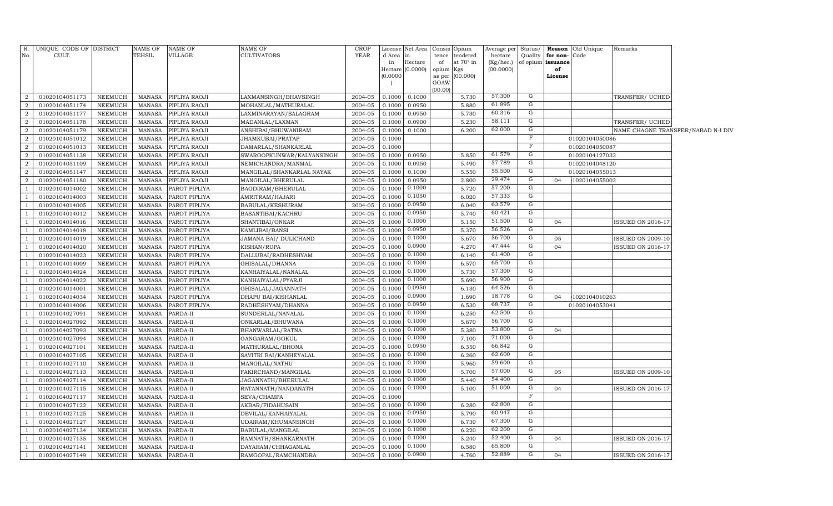| R.<br>No.      | UNIQUE CODE OF DISTRICT<br>CULT. |                                  | NAME OF<br>TEHSIL       | <b>NAME OF</b><br>VILLAGE | NAME OF<br>CULTIVATORS                  | <b>CROP</b><br><b>YEAR</b> | License<br>d Area<br>in | Net Area<br>in<br>Hectare | Consis<br>tence<br>of | Opium<br>tendered<br>at $70^\circ$ in | Average per<br>hectare<br>(Kg/hec.) | Status/     | Quality for non-Code<br>of opium issuance | <b>Reason</b> Old Unique | Remarks                  |                                    |
|----------------|----------------------------------|----------------------------------|-------------------------|---------------------------|-----------------------------------------|----------------------------|-------------------------|---------------------------|-----------------------|---------------------------------------|-------------------------------------|-------------|-------------------------------------------|--------------------------|--------------------------|------------------------------------|
|                |                                  |                                  |                         |                           |                                         |                            | Hectare                 | (0.0000)                  | opium Kgs             |                                       | (00.0000)                           |             | of                                        |                          |                          |                                    |
|                |                                  |                                  |                         |                           |                                         |                            | (0.0000)                |                           | as per<br>GOAW        | (00.000)                              |                                     |             | License                                   |                          |                          |                                    |
|                |                                  |                                  |                         |                           |                                         |                            |                         |                           | (00.00)               |                                       |                                     |             |                                           |                          |                          |                                    |
| $\overline{2}$ | 01020104051173                   | <b>NEEMUCH</b>                   | MANASA                  | PIPLIYA RAOJI             | LAXMANSINGH/BHAVSINGH                   | 2004-05                    | 0.1000                  | 0.1000                    |                       | 5.730                                 | 57.300                              | $\mathbf G$ |                                           |                          | TRANSFER/ UCHED          |                                    |
| $\overline{2}$ | 01020104051174                   | <b>NEEMUCH</b>                   | MANASA                  | PIPLIYA RAOJI             | MOHANLAL/MATHURALAL                     | 2004-05                    | 0.1000                  | 0.0950                    |                       | 5.880                                 | 61.895                              | $\mathbf G$ |                                           |                          |                          |                                    |
| $\overline{a}$ | 01020104051177                   | <b>NEEMUCH</b>                   | <b>MANASA</b>           | PIPLIYA RAOJI             | LAXMINARAYAN/SALAGRAM                   | 2004-05                    | 0.1000                  | 0.0950                    |                       | 5.730                                 | 60.316                              | $\mathbf G$ |                                           |                          |                          |                                    |
| $\overline{a}$ | 01020104051178                   | <b>NEEMUCH</b>                   | MANASA                  | PIPLIYA RAOJI             | MADANLAL/LAXMAN                         | 2004-05                    | 0.1000                  | 0.0900                    |                       | 5.230                                 | 58.111                              | G           |                                           |                          | TRANSFER/ UCHED          |                                    |
| $\overline{a}$ | 01020104051179                   | <b>NEEMUCH</b>                   | <b>MANASA</b>           | PIPLIYA RAOJI             | ANSHIBAI/BHUWANIRAM                     | 2004-05                    | 0.1000                  | 0.1000                    |                       | 6.200                                 | 62.000                              | G           |                                           |                          |                          | NAME CHAGNE TRANSFER/NABAD N-I DIV |
| $\overline{a}$ | 01020104051012                   | <b>NEEMUCH</b>                   | MANASA                  | PIPLIYA RAOJI             | JHAMKUBAI/PRATAP                        | 2004-05                    | 0.1000                  |                           |                       |                                       |                                     | $\mathbf F$ |                                           | 01020104050086           |                          |                                    |
| $\overline{2}$ | 01020104051013                   | <b>NEEMUCH</b>                   | <b>MANASA</b>           | PIPLIYA RAOJI             | DAMARLAL/SHANKARLAL                     | 2004-05                    | 0.1000                  |                           |                       |                                       |                                     | $\mathbf F$ |                                           | 01020104050087           |                          |                                    |
| $\overline{a}$ | 01020104051138                   | <b>NEEMUCH</b>                   | MANASA                  | PIPLIYA RAOJI             | SWAROOPKUNWAR/KALYANSINGH               | 2004-05                    | 0.1000                  | 0.0950                    |                       | 5.850                                 | 61.579                              | G           |                                           | 01020104127032           |                          |                                    |
| $\overline{2}$ | 01020104051109                   | <b>NEEMUCH</b>                   | <b>MANASA</b>           | PIPLIYA RAOJI             | NEMICHANDRA/MANMAL                      | 2004-05                    | 0.1000                  | 0.0950                    |                       | 5.490                                 | 57.789                              | G           |                                           | 01020104048120           |                          |                                    |
| $\overline{2}$ | 01020104051147                   | <b>NEEMUCH</b>                   | MANASA                  | PIPLIYA RAOJI             | MANGILAL/SHANKARLAL NAYAK               | 2004-05                    | 0.1000                  | 0.1000                    |                       | 5.550                                 | 55.500                              | G           |                                           | 01020104055013           |                          |                                    |
| $\overline{2}$ | 01020104051180                   | <b>NEEMUCH</b>                   | <b>MANASA</b>           | PIPLIYA RAOJI             | MANGILAL/BHERULAL                       | 2004-05                    | 0.1000                  | 0.0950                    |                       | 2.800                                 | 29.474                              | ${\rm G}$   | 04                                        | 1020104055002            |                          |                                    |
|                | 01020104014002                   | <b>NEEMUCH</b>                   | MANASA                  | PAROT PIPLIYA             | BAGDIRAM/BHERULAL                       | 2004-05                    | 0.1000                  | 0.1000                    |                       | 5.720                                 | 57.200                              | G           |                                           |                          |                          |                                    |
|                | 01020104014003                   | <b>NEEMUCH</b>                   | MANASA                  | PAROT PIPLIYA             | AMRITRAM/HAJARI                         | 2004-05                    | 0.1000                  | 0.1050                    |                       | 6.020                                 | 57.333                              | G           |                                           |                          |                          |                                    |
|                | 01020104014005                   | <b>NEEMUCH</b>                   | MANASA                  | PAROT PIPLIYA             | BABULAL/KESHURAM                        | 2004-05                    | 0.1000                  | 0.0950                    |                       | 6.040                                 | 63.579                              | G           |                                           |                          |                          |                                    |
|                | 01020104014012                   | <b>NEEMUCH</b>                   | MANASA                  | PAROT PIPLIYA             | BASANTIBAI/KACHRU                       | 2004-05                    | 0.1000                  | 0.0950                    |                       | 5.740                                 | 60.421                              | G           |                                           |                          |                          |                                    |
|                | 01020104014016                   | <b>NEEMUCH</b>                   | MANASA                  | PAROT PIPLIYA             | SHANTIBAI/ONKAR                         | 2004-05                    | 0.1000                  | 0.1000                    |                       | 5.150                                 | 51.500                              | G           | 04                                        |                          | <b>ISSUED ON 2016-17</b> |                                    |
|                | 01020104014018                   | <b>NEEMUCH</b>                   | MANASA                  | PAROT PIPLIYA             | KAMLIBAI/BANSI                          | 2004-05                    | 0.1000                  | 0.0950                    |                       | 5.370                                 | 56.526                              | G           |                                           |                          |                          |                                    |
|                | 01020104014019                   | <b>NEEMUCH</b>                   | MANASA                  | PAROT PIPLIYA             | JAMANA BAI/ DULICHAND                   | 2004-05                    | 0.1000                  | 0.1000                    |                       | 5.670                                 | 56.700                              | G           | 05                                        |                          | ISSUED ON 2009-10        |                                    |
|                | 01020104014020                   | <b>NEEMUCH</b>                   | MANASA                  | PAROT PIPLIYA             | KISHAN/RUPA                             | 2004-05                    | 0.1000                  | 0.0900                    |                       | 4.270                                 | 47.444                              | G           | 04                                        |                          | ISSUED ON 2016-17        |                                    |
|                | 01020104014023                   | <b>NEEMUCH</b>                   | MANASA                  | PAROT PIPLIYA             | DALLUBAI/RADHESHYAM                     | 2004-05                    | 0.1000                  | 0.1000                    |                       | 6.140                                 | 61.400                              | G           |                                           |                          |                          |                                    |
|                | 01020104014009                   | <b>NEEMUCH</b>                   | MANASA                  | PAROT PIPLIYA             | GHISALAL/DHANNA                         | 2004-05                    | 0.1000                  | 0.1000                    |                       | 6.570                                 | 65.700                              | G           |                                           |                          |                          |                                    |
|                | 01020104014024                   | <b>NEEMUCH</b>                   | MANASA                  | PAROT PIPLIYA             | KANHAIYALAL/NANALAL                     | 2004-05                    | 0.1000                  | 0.1000                    |                       | 5.730                                 | 57.300                              | G           |                                           |                          |                          |                                    |
|                | 01020104014022                   | <b>NEEMUCH</b>                   | MANASA                  | PAROT PIPLIYA             | KANHAIYALAL/PYARJI                      | 2004-05                    | 0.1000                  | 0.1000                    |                       | 5.690                                 | 56.900                              | G           |                                           |                          |                          |                                    |
|                | 01020104014001                   | <b>NEEMUCH</b>                   | MANASA                  | PAROT PIPLIYA             | GHISALAL/JAGANNATH                      | 2004-05                    | 0.1000                  | 0.0950                    |                       | 6.130                                 | 64.526                              | G           |                                           |                          |                          |                                    |
|                | 01020104014034                   | <b>NEEMUCH</b>                   | MANASA                  | PAROT PIPLIYA             | DHAPU BAI/KISHANLAL                     | 2004-05                    | 0.1000                  | 0.0900                    |                       | 1.690                                 | 18.778                              | G           | 04                                        | 1020104010263            |                          |                                    |
|                | 01020104014006                   | <b>NEEMUCH</b>                   | MANASA                  | PAROT PIPLIYA             | RADHESHYAM/DHANNA                       | 2004-05                    | 0.1000                  | 0.0950                    |                       | 6.530                                 | 68.737                              | G           |                                           | 01020104053041           |                          |                                    |
|                | 01020104027091                   | <b>NEEMUCH</b>                   | MANASA                  | PARDA-II                  | SUNDERLAL/NANALAL                       | 2004-05                    | 0.1000                  | 0.1000                    |                       | 6.250                                 | 62.500                              | G           |                                           |                          |                          |                                    |
|                | 01020104027092                   | <b>NEEMUCH</b>                   | MANASA                  | PARDA-II                  | ONKARLAL/BHUWANA                        | 2004-05                    | 0.1000                  | 0.1000                    |                       | 5.670                                 | 56.700                              | G           |                                           |                          |                          |                                    |
|                | 01020104027093                   | <b>NEEMUCH</b>                   | <b>MANASA</b>           | PARDA-II                  | BHANWARLAL/RATNA                        | 2004-05                    | 0.1000                  | 0.1000                    |                       | 5.380                                 | 53.800                              | G           | 04                                        |                          |                          |                                    |
|                | 01020104027094                   | <b>NEEMUCH</b>                   | MANASA                  | PARDA-II                  | GANGARAM/GOKUL                          | 2004-05                    | 0.1000                  | 0.1000                    |                       | 7.100                                 | 71.000                              | G<br>G      |                                           |                          |                          |                                    |
|                | 01020104027101                   | <b>NEEMUCH</b>                   | <b>MANASA</b>           | PARDA-II                  | MATHURALAL/BHONA                        | 2004-05                    | 0.1000                  | 0.0950                    |                       | 6.350                                 | 66.842                              |             |                                           |                          |                          |                                    |
|                | 01020104027105                   | <b>NEEMUCH</b>                   | <b>MANASA</b>           | PARDA-II                  | SAVITRI BAI/KANHEYALAL                  | 2004-05                    | 0.1000                  | 0.1000                    |                       | 6.260                                 | 62.600<br>59.600                    | G<br>G      |                                           |                          |                          |                                    |
|                | 01020104027110                   | <b>NEEMUCH</b>                   | <b>MANASA</b>           | PARDA-II                  | MANGILAL/NATHU                          | 2004-05                    | 0.1000                  | 0.1000<br>0.1000          |                       | 5.960                                 | 57.000                              | G           |                                           |                          |                          |                                    |
|                | 01020104027113                   | <b>NEEMUCH</b>                   | MANASA                  | PARDA-II                  | FAKIRCHAND/MANGILAL                     | 2004-05                    | 0.1000                  | 0.1000                    |                       | 5.700                                 | 54.400                              | G           | 05                                        |                          | <b>ISSUED ON 2009-10</b> |                                    |
|                | 01020104027114                   | <b>NEEMUCH</b>                   | <b>MANASA</b>           | PARDA-II                  | JAGANNATH/BHERULAL                      | 2004-05                    | 0.1000                  | 0.1000                    |                       | 5.440                                 | 51.000                              | G           |                                           |                          |                          |                                    |
|                | 01020104027115                   | <b>NEEMUCH</b>                   | MANASA                  | PARDA-II                  | RATANNATH/NANDANATH                     | 2004-05                    | 0.1000                  |                           |                       | 5.100                                 |                                     | $_{\rm F}$  | 04                                        |                          | <b>ISSUED ON 2016-17</b> |                                    |
|                | 01020104027117                   | <b>NEEMUCH</b>                   | <b>MANASA</b>           | PARDA-II                  | SEVA/CHAMPA                             | 2004-05                    | 0.1000                  | 0.1000                    |                       |                                       | 62.800                              | G           |                                           |                          |                          |                                    |
|                | 01020104027122                   | <b>NEEMUCH</b><br><b>NEEMUCH</b> | MANASA<br><b>MANASA</b> | PARDA-II                  | AKBAR/FIDAHUSAIN                        | 2004-05<br>2004-05         | 0.1000<br>0.1000        | 0.0950                    |                       | 6.280<br>5.790                        | 60.947                              | G           |                                           |                          |                          |                                    |
|                | 01020104027125                   | <b>NEEMUCH</b>                   | <b>MANASA</b>           | PARDA-II                  | DEVILAL/KANHAIYALAL                     |                            | 0.1000                  | 0.1000                    |                       | 6.730                                 | 67.300                              | G           |                                           |                          |                          |                                    |
|                | 01020104027127                   |                                  | <b>MANASA</b>           | PARDA-II                  | UDAIRAM/KHUMANSINGH                     | 2004-05<br>2004-05         | 0.1000                  | 0.1000                    |                       | 6.220                                 | 62.200                              | G           |                                           |                          |                          |                                    |
|                | 01020104027134<br>01020104027135 | NEEMUCH<br><b>NEEMUCH</b>        | <b>MANASA</b>           | PARDA-II                  | BABULAL/MANGILAL<br>RAMNATH/SHANKARNATH | 2004-05                    | 0.1000                  | 0.1000                    |                       | 5.240                                 | 52.400                              | G           | 04                                        |                          | ISSUED ON 2016-17        |                                    |
|                | 01020104027141                   | NEEMUCH                          | <b>MANASA</b>           | PARDA-II<br>PARDA-II      | DAYARAM / CHHAGANLAL                    | 2004-05                    | 0.1000                  | 0.1000                    |                       | 6.580                                 | 65.800                              | G           |                                           |                          |                          |                                    |
| $\mathbf{1}$   | 01020104027149                   | NEEMUCH                          | MANASA                  | PARDA-II                  | RAMGOPAL/RAMCHANDRA                     | 2004-05                    | 0.1000                  | 0.0900                    |                       | 4.760                                 | 52.889                              | G           | 04                                        |                          | <b>ISSUED ON 2016-17</b> |                                    |
|                |                                  |                                  |                         |                           |                                         |                            |                         |                           |                       |                                       |                                     |             |                                           |                          |                          |                                    |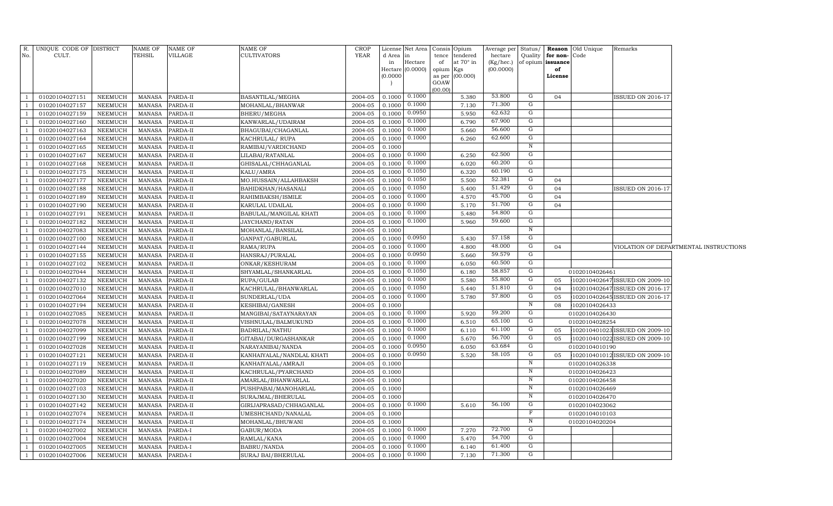|                | R. UNIQUE CODE OF DISTRICT<br>CULT. |                    | NAME OF<br>TEHSIL       | NAME OF                                          | NAME OF<br><b>CULTIVATORS</b>                | <b>CROP</b><br>YEAR |                  | License Net Area     |             | Consis Opium                 | Average per          |                |                                   | Status/ <b>Reason</b> Old Unique | Remarks                        |                                        |
|----------------|-------------------------------------|--------------------|-------------------------|--------------------------------------------------|----------------------------------------------|---------------------|------------------|----------------------|-------------|------------------------------|----------------------|----------------|-----------------------------------|----------------------------------|--------------------------------|----------------------------------------|
| No.            |                                     |                    |                         | VILLAGE                                          |                                              |                     | d Area<br>in     | in<br>$\rm{Hectare}$ | tence<br>of | tendered<br>at $70^\circ$ in | hectare<br>(Kg/hec.) | Quality        | for non-Code<br>of opium issuance |                                  |                                |                                        |
|                |                                     |                    |                         |                                                  |                                              |                     | Hectare          | (0.0000)             | opium Kgs   |                              | (00.0000)            |                | of                                |                                  |                                |                                        |
|                |                                     |                    |                         |                                                  |                                              |                     | (0.0000)         |                      | as per      | (00.000)                     |                      |                | License                           |                                  |                                |                                        |
|                |                                     |                    |                         |                                                  |                                              |                     |                  |                      | GOAW        |                              |                      |                |                                   |                                  |                                |                                        |
|                | 01020104027151                      | NEEMUCH            | MANASA                  | PARDA-II                                         | BASANTILAL/MEGHA                             | 2004-05             | 0.1000           | 0.1000               | (00.00)     | 5.380                        | 53.800               | G              | 04                                |                                  | ISSUED ON 2016-17              |                                        |
|                | 01020104027157                      | <b>NEEMUCH</b>     | MANASA                  | PARDA-II                                         | MOHANLAL/BHANWAR                             | 2004-05             | 0.1000           | 0.1000               |             | 7.130                        | 71.300               | G              |                                   |                                  |                                |                                        |
|                | 01020104027159                      | <b>NEEMUCH</b>     | <b>MANASA</b>           | PARDA-II                                         | BHERU/MEGHA                                  | 2004-05             | 0.1000           | 0.0950               |             | 5.950                        | 62.632               | G              |                                   |                                  |                                |                                        |
|                | 01020104027160                      | <b>NEEMUCH</b>     | <b>MANASA</b>           | PARDA-II                                         | KANWARLAL/UDAIRAM                            | 2004-05             | 0.1000           | 0.1000               |             | 6.790                        | 67.900               | G              |                                   |                                  |                                |                                        |
|                | 01020104027163                      | NEEMUCH            | <b>MANASA</b>           | PARDA-II                                         | BHAGUBAI/CHAGANLAL                           | 2004-05             | 0.1000           | 0.1000               |             | 5.660                        | 56.600               | G              |                                   |                                  |                                |                                        |
|                | 01020104027164                      | NEEMUCH            | <b>MANASA</b>           | PARDA-II                                         | KACHRULAL/RUPA                               | 2004-05             | 0.1000           | 0.1000               |             | 6.260                        | 62.600               | G              |                                   |                                  |                                |                                        |
|                | 01020104027165                      | <b>NEEMUCH</b>     | <b>MANASA</b>           | PARDA-II                                         | RAMIBAI/VARDICHAND                           | 2004-05             | 0.1000           |                      |             |                              |                      | N              |                                   |                                  |                                |                                        |
| $\overline{1}$ | 01020104027167                      | <b>NEEMUCH</b>     | <b>MANASA</b>           | PARDA-II                                         | LILABAI/RATANLAL                             | 2004-05             | 0.1000           | 0.1000               |             | 6.250                        | 62.500               | G              |                                   |                                  |                                |                                        |
|                | 01020104027168                      | <b>NEEMUCH</b>     | MANASA                  | PARDA-II                                         | GHISALAL/CHHAGANLAL                          | 2004-05             | 0.1000           | 0.1000               |             | 6.020                        | 60.200               | G              |                                   |                                  |                                |                                        |
| <sup>1</sup>   | 01020104027175                      | NEEMUCH            | <b>MANASA</b>           | PARDA-II                                         | KALU/AMRA                                    | 2004-05             | 0.1000           | 0.1050               |             | 6.320                        | 60.190               | G              |                                   |                                  |                                |                                        |
|                | 01020104027177                      | <b>NEEMUCH</b>     | MANASA                  | PARDA-II                                         | MO.HUSSAIN/ALLAHBAKSH                        | 2004-05             | 0.1000           | 0.1050               |             | 5.500                        | 52.381               | G              | 04                                |                                  |                                |                                        |
| $\overline{1}$ | 01020104027188                      | NEEMUCH            | MANASA                  | PARDA-II                                         | BAHIDKHAN/HASANALI                           | 2004-05             | 0.1000           | 0.1050               |             | 5.400                        | 51.429               | G              | 04                                |                                  | ISSUED ON 2016-17              |                                        |
|                | 01020104027189                      | NEEMUCH            | MANASA                  | PARDA-II                                         | RAHIMBAKSH/ISMILE                            | 2004-05             | 0.1000           | 0.1000               |             | 4.570                        | 45.700               | G              | 04                                |                                  |                                |                                        |
| <sup>1</sup>   | 01020104027190                      | <b>NEEMUCH</b>     | MANASA                  | PARDA-II                                         | KARULAL UDAILAL                              | 2004-05             | 0.1000           | 0.1000               |             | 5.170                        | 51.700               | G              | 04                                |                                  |                                |                                        |
| $\overline{1}$ | 01020104027191                      | NEEMUCH            | MANASA                  | PARDA-II                                         | BABULAL/MANGILAL KHATI                       | 2004-05             | 0.1000           | 0.1000               |             | 5.480                        | 54.800               | G              |                                   |                                  |                                |                                        |
| $\overline{1}$ | 01020104027182                      | NEEMUCH            | MANASA                  | PARDA-II                                         | JAYCHAND/RATAN                               | 2004-05             | 0.1000           | 0.1000               |             | 5.960                        | 59.600               | G              |                                   |                                  |                                |                                        |
|                | 01020104027083                      | NEEMUCH            | MANASA                  | PARDA-II                                         | MOHANLAL/BANSILAL                            | 2004-05             | 0.1000           |                      |             |                              |                      | N              |                                   |                                  |                                |                                        |
| $\overline{1}$ | 01020104027100                      | NEEMUCH            | <b>MANASA</b>           | PARDA-II                                         | GANPAT/GABURLAL                              | 2004-05             | 0.1000           | 0.0950               |             | 5.430                        | 57.158               | G              |                                   |                                  |                                |                                        |
| $\overline{1}$ | 01020104027144                      | NEEMUCH            | MANASA                  | $\ensuremath{\mathsf{PARDA}\text{-}\mathrm{II}}$ | RAMA/RUPA                                    | 2004-05             | 0.1000           | 0.1000               |             | 4.800                        | 48.000               | G              | 04                                |                                  |                                | VIOLATION OF DEPARTMENTAL INSTRUCTIONS |
|                | 01020104027155                      | NEEMUCH            | MANASA                  | PARDA-II                                         | HANSRAJ/PURALAL                              | 2004-05             | 0.1000           | 0.0950               |             | 5.660                        | 59.579               | G              |                                   |                                  |                                |                                        |
| $\overline{1}$ | 01020104027102                      | NEEMUCH            | MANASA                  | PARDA-II                                         | ONKAR/KESHURAM                               | 2004-05             | 0.1000           | 0.1000               |             | 6.050                        | 60.500               | G              |                                   |                                  |                                |                                        |
|                | 01020104027044                      | NEEMUCH            | MANASA                  | PARDA-II                                         | SHYAMLAL/SHANKARLAL                          | 2004-05             | 0.1000           | 0.1050               |             | 6.180                        | 58.857               | G              |                                   | 01020104026461                   |                                |                                        |
|                | 01020104027132                      | NEEMUCH            | MANASA                  | PARDA-II                                         | RUPA/GULAB                                   | 2004-05             | 0.1000           | 0.1000               |             | 5.580                        | 55.800               | G              | 05                                |                                  | 102010402647 ISSUED ON 2009-10 |                                        |
|                | 01020104027010                      | NEEMUCH            | MANASA                  | PARDA-II                                         | KACHRULAL/BHANWARLAL                         | 2004-05             | 0.1000           | 0.1050               |             | 5.440                        | 51.810               | G              | 04                                |                                  | 102010402647 ISSUED ON 2016-17 |                                        |
|                | 01020104027064                      | NEEMUCH            | MANASA                  | PARDA-II                                         | SUNDERLAL/UDA                                | 2004-05             | 0.1000           | 0.1000               |             | 5.780                        | 57.800               | G              | 05                                |                                  | 102010402645 ISSUED ON 2016-17 |                                        |
|                | 01020104027194                      | NEEMUCH            | MANASA                  | PARDA-II                                         | KESHIBAI/GANESH                              | 2004-05             | 0.1000           |                      |             |                              |                      | $\overline{N}$ | 08                                | 1020104026433                    |                                |                                        |
|                | 01020104027085                      | NEEMUCH            | MANASA                  | PARDA-II                                         | MANGIBAI/SATAYNARAYAN                        | 2004-05             | 0.1000           | 0.1000               |             | 5.920                        | 59.200               | G              |                                   | 01020104026430                   |                                |                                        |
|                | 01020104027078                      | NEEMUCH            | <b>MANASA</b>           | PARDA-II                                         | VISHNULAL/BALMUKUND                          | 2004-05             | 0.1000           | 0.1000               |             | 6.510                        | 65.100               | G              |                                   | 01020104028254                   |                                |                                        |
|                | 01020104027099                      | NEEMUCH            | MANASA                  | PARDA-II                                         | BADRILAL/NATHU                               | 2004-05             | 0.1000           | 0.1000               |             | 6.110                        | 61.100               | G              | 05                                |                                  | 102010401023 ISSUED ON 2009-10 |                                        |
|                | 01020104027199                      | NEEMUCH            | <b>MANASA</b>           | PARDA-II                                         | GITABAI/DURGASHANKAR                         | 2004-05             | 0.1000           | 0.1000               |             | 5.670                        | 56.700<br>63.684     | G<br>G         | 05                                |                                  | 102010401022 ISSUED ON 2009-10 |                                        |
|                | 01020104027028                      | NEEMUCH            | <b>MANASA</b>           | PARDA-II                                         | NARAYANIBAI/NANDA                            | 2004-05             | 0.1000           | 0.0950<br>0.0950     |             | 6.050                        | 58.105               | G              |                                   | 01020104010190                   |                                |                                        |
|                | 01020104027121                      | <b>NEEMUCH</b>     | <b>MANASA</b>           | PARDA-II                                         | KANHAIYALAL/NANDLAL KHATI                    | 2004-05             | 0.1000           |                      |             | 5.520                        |                      | $\,$ N         | 05                                |                                  | 102010401012 ISSUED ON 2009-10 |                                        |
|                | 01020104027119                      | NEEMUCH            | MANASA                  | PARDA-II                                         | KANHAIYALAL/AMRAJI                           | 2004-05<br>2004-05  | 0.1000           |                      |             |                              |                      | $\,$ N         |                                   | 01020104026338                   |                                |                                        |
|                | 01020104027089<br>01020104027020    | NEEMUCH            | <b>MANASA</b>           | PARDA-II                                         | KACHRULAL/PYARCHAND                          | 2004-05             | 0.1000           |                      |             |                              |                      | $\,$ N         |                                   | 01020104026423                   |                                |                                        |
|                |                                     | NEEMUCH            | <b>MANASA</b>           | PARDA-II                                         | AMARLAL/BHANWARLAL                           |                     | 0.1000           |                      |             |                              |                      | $\,$ N         |                                   | 01020104026458                   |                                |                                        |
|                | 01020104027103                      | <b>NEEMUCH</b>     | <b>MANASA</b>           | PARDA-II                                         | PUSHPABAI/MANOHARLAL                         | 2004-05<br>2004-05  | 0.1000<br>0.1000 |                      |             |                              |                      | $\,$ N         |                                   | 01020104026469                   |                                |                                        |
|                | 01020104027130<br>01020104027142    | NEEMUCH<br>NEEMUCH | MANASA<br><b>MANASA</b> | PARDA-II<br>PARDA-II                             | SURAJMAL/BHERULAL<br>GIRIJAPRASAD/CHHAGANLAL | 2004-05             | 0.1000           | 0.1000               |             | 5.610                        | 56.100               | G              |                                   | 01020104026470<br>01020104023062 |                                |                                        |
|                | 01020104027074                      | <b>NEEMUCH</b>     | <b>MANASA</b>           | PARDA-II                                         | UMESHCHAND/NANALAL                           | 2004-05             | 0.1000           |                      |             |                              |                      | $_{\rm F}$     |                                   | 01020104010103                   |                                |                                        |
|                | 01020104027174                      | <b>NEEMUCH</b>     | <b>MANASA</b>           | PARDA-II                                         | MOHANLAL/BHUWANI                             | 2004-05             | 0.1000           |                      |             |                              |                      | $\,$ N         |                                   | 01020104020204                   |                                |                                        |
|                | 01020104027002                      | <b>NEEMUCH</b>     | <b>MANASA</b>           | PARDA-I                                          | GABUR/MODA                                   | 2004-05             | 0.1000           | 0.1000               |             | 7.270                        | 72.700               | G              |                                   |                                  |                                |                                        |
|                | 01020104027004                      | <b>NEEMUCH</b>     | <b>MANASA</b>           | PARDA-I                                          | RAMLAL/KANA                                  | 2004-05             | 0.1000           | 0.1000               |             | 5.470                        | 54.700               | G              |                                   |                                  |                                |                                        |
| <sup>1</sup>   | 01020104027005                      | <b>NEEMUCH</b>     | <b>MANASA</b>           | PARDA-I                                          | BABRU/NANDA                                  | 2004-05             | 0.1000           | 0.1000               |             | 6.140                        | 61.400               | G              |                                   |                                  |                                |                                        |
| $\mathbf{1}$   | 01020104027006                      | NEEMUCH            | <b>MANASA</b>           | PARDA-I                                          | SURAJ BAI/BHERULAL                           | 2004-05             | 0.1000           | 0.1000               |             | 7.130                        | 71.300               | G              |                                   |                                  |                                |                                        |
|                |                                     |                    |                         |                                                  |                                              |                     |                  |                      |             |                              |                      |                |                                   |                                  |                                |                                        |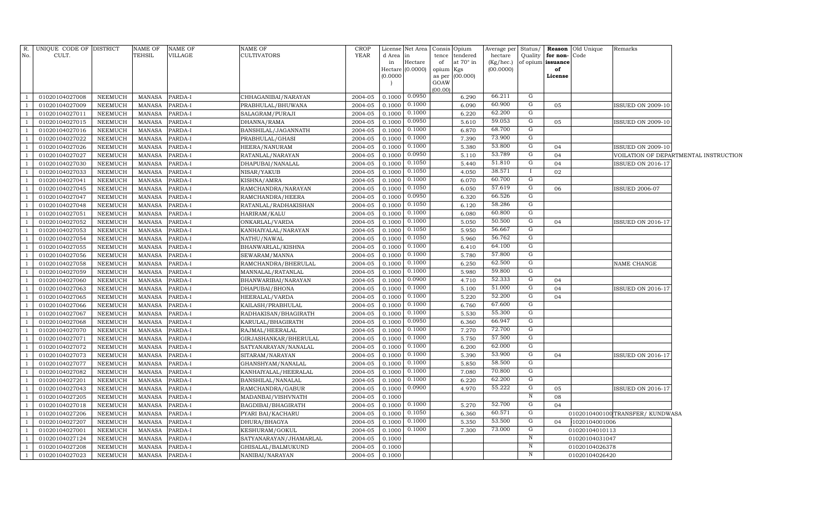| R.<br>No. | UNIQUE CODE OF DISTRICT<br>CULT. |                | <b>NAME OF</b><br>TEHSIL | NAME OF<br>VILLAGE | <b>NAME OF</b><br><b>CULTIVATORS</b> | <b>CROP</b><br><b>YEAR</b> | d Area           | License Net Area<br>$\ln$ |                 | Consis Opium<br>tence tendered | Average per<br>hectare | Status/<br>Quality | Reason<br>for non- | Old Unique<br>Code | Remarks                         |                                       |
|-----------|----------------------------------|----------------|--------------------------|--------------------|--------------------------------------|----------------------------|------------------|---------------------------|-----------------|--------------------------------|------------------------|--------------------|--------------------|--------------------|---------------------------------|---------------------------------------|
|           |                                  |                |                          |                    |                                      |                            | in               | Hectare                   | of              | at 70° in                      | (Kg/hec.)              | of opium           | issuance           |                    |                                 |                                       |
|           |                                  |                |                          |                    |                                      |                            | Hectare (0.0000) |                           | opium Kgs       |                                | (00.0000)              |                    | of                 |                    |                                 |                                       |
|           |                                  |                |                          |                    |                                      |                            | (0.0000)         |                           |                 | as per (00.000)                |                        |                    | License            |                    |                                 |                                       |
|           |                                  |                |                          |                    |                                      |                            |                  |                           | GOAW<br>(00.00) |                                |                        |                    |                    |                    |                                 |                                       |
|           | 01020104027008                   | NEEMUCH        | MANASA                   | PARDA-I            | CHHAGANIBAI/NARAYAN                  | 2004-05                    | 0.1000           | 0.0950                    |                 | 6.290                          | 66.211                 | G                  |                    |                    |                                 |                                       |
|           | 01020104027009                   | <b>NEEMUCH</b> | MANASA                   | PARDA-I            | PRABHULAL/BHUWANA                    | 2004-05                    | 0.1000           | 0.1000                    |                 | 6.090                          | 60.900                 | G                  | 05                 |                    | ISSUED ON 2009-10               |                                       |
|           | 01020104027011                   | NEEMUCH        | MANASA                   | PARDA-I            | SALAGRAM/PURAJI                      | 2004-05                    | 0.1000           | 0.1000                    |                 | 6.220                          | 62.200                 | G                  |                    |                    |                                 |                                       |
|           | 01020104027015                   | <b>NEEMUCH</b> | <b>MANASA</b>            | PARDA-I            | DHANNA/RAMA                          | 2004-05                    | 0.1000           | 0.0950                    |                 | 5.610                          | 59.053                 | $\mathbf{G}$       | 05                 |                    | <b>ISSUED ON 2009-10</b>        |                                       |
|           | 01020104027016                   | NEEMUCH        | <b>MANASA</b>            | PARDA-I            | BANSHILAL/JAGANNATH                  | 2004-05                    | 0.1000           | 0.1000                    |                 | 6.870                          | 68.700                 | G                  |                    |                    |                                 |                                       |
|           | 01020104027022                   | <b>NEEMUCH</b> | <b>MANASA</b>            | PARDA-I            | PRABHULAL/GHASI                      | 2004-05                    | 0.1000           | 0.1000                    |                 | 7.390                          | 73.900                 | G                  |                    |                    |                                 |                                       |
|           | 01020104027026                   | NEEMUCH        | <b>MANASA</b>            | PARDA-I            | HEERA/NANURAM                        | 2004-05                    | 0.1000           | 0.1000                    |                 | 5.380                          | 53.800                 | G                  | 04                 |                    | <b>ISSUED ON 2009-10</b>        |                                       |
|           | 01020104027027                   | <b>NEEMUCH</b> | <b>MANASA</b>            | PARDA-I            | RATANLAL/NARAYAN                     | 2004-05                    | 0.1000           | 0.0950                    |                 | 5.110                          | 53.789                 | G                  | 04                 |                    |                                 | VOILATION OF DEPARTMENTAL INSTRUCTION |
|           | 01020104027030                   | NEEMUCH        | <b>MANASA</b>            | PARDA-I            | DHAPUBAI/NANALAL                     | 2004-05                    | 0.1000           | 0.1050                    |                 | 5.440                          | 51.810                 | G                  | 04                 |                    | <b>ISSUED ON 2016-17</b>        |                                       |
|           | 01020104027033                   | NEEMUCH        | <b>MANASA</b>            | PARDA-I            | NISAR/YAKUB                          | 2004-05                    | 0.1000           | 0.1050                    |                 | 4.050                          | 38.571                 |                    | 02                 |                    |                                 |                                       |
|           | 01020104027041                   | NEEMUCH        | <b>MANASA</b>            | PARDA-I            | KISHNA/AMRA                          | 2004-05                    | 0.1000           | 0.1000                    |                 | 6.070                          | 60.700                 | G                  |                    |                    |                                 |                                       |
|           | 01020104027045                   | NEEMUCH        | <b>MANASA</b>            | PARDA-I            | RAMCHANDRA/NARAYAN                   | 2004-05                    | 0.1000           | 0.1050                    |                 | 6.050                          | 57.619                 | G                  | 06                 |                    | <b>ISSUED 2006-07</b>           |                                       |
|           | 01020104027047                   | NEEMUCH        | MANASA                   | PARDA-I            | RAMCHANDRA/HEERA                     | 2004-05                    | 0.100            | 0.0950                    |                 | 6.320                          | 66.526                 | G                  |                    |                    |                                 |                                       |
|           | 01020104027048                   | NEEMUCH        | <b>MANASA</b>            | PARDA-I            | RATANLAL/RADHAKISHAN                 | 2004-05                    | 0.1000           | 0.1050                    |                 | 6.120                          | 58.286                 | G                  |                    |                    |                                 |                                       |
|           | 01020104027051                   | NEEMUCH        | MANASA                   | PARDA-I            | HARIRAM/KALU                         | 2004-05                    | 0.1000           | 0.1000                    |                 | 6.080                          | 60.800                 | G                  |                    |                    |                                 |                                       |
|           | 01020104027052                   | <b>NEEMUCH</b> | <b>MANASA</b>            | PARDA-I            | ONKARLAL/VARDA                       | 2004-05                    | 0.1000           | 0.1000                    |                 | 5.050                          | 50.500                 | G                  | 04                 |                    | <b>ISSUED ON 2016-17</b>        |                                       |
|           | 01020104027053                   | NEEMUCH        | MANASA                   | PARDA-I            | KANHAIYALAL/NARAYAN                  | 2004-05                    | 0.1000           | 0.1050                    |                 | 5.950                          | 56.667                 | G                  |                    |                    |                                 |                                       |
|           | 01020104027054                   | NEEMUCH        | MANASA                   | PARDA-I            | NATHU/NAWAL                          | 2004-05                    | 0.1000           | 0.1050                    |                 | 5.960                          | 56.762                 | G                  |                    |                    |                                 |                                       |
|           | 01020104027055                   | NEEMUCH        | MANASA                   | PARDA-I            | BHANWARLAL/KISHNA                    | 2004-05                    | 0.1000           | 0.1000                    |                 | 6.410                          | 64.100                 | G                  |                    |                    |                                 |                                       |
|           | 01020104027056                   | NEEMUCH        | <b>MANASA</b>            | PARDA-I            | SEWARAM/MANNA                        | 2004-05                    | 0.1000           | 0.1000                    |                 | 5.780                          | 57.800                 | G                  |                    |                    |                                 |                                       |
|           | 01020104027058                   | NEEMUCH        | <b>MANASA</b>            | PARDA-I            | RAMCHANDRA/BHERULAL                  | 2004-05                    | 0.1000           | 0.1000                    |                 | 6.250                          | 62.500                 | G                  |                    |                    | NAME CHANGE                     |                                       |
|           | 01020104027059                   | NEEMUCH        | <b>MANASA</b>            | PARDA-I            | MANNALAL/RATANLAL                    | 2004-05                    | 0.100            | 0.1000                    |                 | 5.980                          | 59.800                 | $\overline{G}$     |                    |                    |                                 |                                       |
|           | 01020104027060                   | NEEMUCH        | <b>MANASA</b>            | PARDA-I            | BHANWARIBAI/NARAYAN                  | 2004-05                    | 0.1000           | 0.0900                    |                 | 4.710                          | 52.333                 | G                  | 04                 |                    |                                 |                                       |
|           | 01020104027063                   | <b>NEEMUCH</b> | <b>MANASA</b>            | PARDA-I            | DHAPUBAI/BHONA                       | 2004-05                    | 0.1000           | 0.1000                    |                 | 5.100                          | 51.000                 | G                  | 04                 |                    | <b>ISSUED ON 2016-17</b>        |                                       |
|           | 01020104027065                   | NEEMUCH        | <b>MANASA</b>            | PARDA-I            | HEERALAL/VARDA                       | 2004-05                    | 0.1000           | 0.1000                    |                 | 5.220                          | 52.200                 | G                  | 04                 |                    |                                 |                                       |
|           | 01020104027066                   | NEEMUCH        | MANASA                   | PARDA-I            | KAILASH/PRABHULAL                    | 2004-05                    | 0.1000           | 0.1000                    |                 | 6.760                          | 67.600                 | G                  |                    |                    |                                 |                                       |
|           | 01020104027067                   | <b>NEEMUCH</b> | <b>MANASA</b>            | PARDA-I            | RADHAKISAN/BHAGIRATH                 | 2004-05                    | 0.1000           | 0.1000                    |                 | 5.530                          | 55.300                 | G                  |                    |                    |                                 |                                       |
|           | 01020104027068                   | NEEMUCH        | <b>MANASA</b>            | PARDA-I            | KARULAL/BHAGIRATH                    | 2004-05                    | 0.1000           | 0.0950                    |                 | 6.360                          | 66.947                 | G                  |                    |                    |                                 |                                       |
|           | 01020104027070                   | NEEMUCH        | <b>MANASA</b>            | PARDA-I            | RAJMAL/HEERALAL                      | 2004-05                    | 0.100            | 0.1000                    |                 | 7.270                          | 72.700                 | G                  |                    |                    |                                 |                                       |
|           | 01020104027071                   | <b>NEEMUCH</b> | <b>MANASA</b>            | PARDA-I            | GIRJASHANKAR/BHERULAL                | 2004-05                    | 0.1000           | 0.1000                    |                 | 5.750                          | 57.500                 | G                  |                    |                    |                                 |                                       |
|           | 01020104027072                   | <b>NEEMUCH</b> | <b>MANASA</b>            | PARDA-I            | SATYANARAYAN/NANALAL                 | 2004-05                    | 0.1000           | 0.1000                    |                 | 6.200                          | 62.000                 | G                  |                    |                    |                                 |                                       |
|           | 01020104027073                   | NEEMUCH        | <b>MANASA</b>            | PARDA-I            | SITARAM/NARAYAN                      | 2004-05                    | 0.100            | 0.1000                    |                 | 5.390                          | 53.900                 | G                  | 04                 |                    | <b>ISSUED ON 2016-17</b>        |                                       |
|           | 01020104027077                   | <b>NEEMUCH</b> | <b>MANASA</b>            | PARDA-I            | GHANSHYAM/NANALAL                    | 2004-05                    | 0.1000           | 0.1000                    |                 | 5.850                          | 58.500<br>70.800       | G<br>G             |                    |                    |                                 |                                       |
|           | 01020104027082                   | NEEMUCH        | <b>MANASA</b>            | PARDA-I            | KANHAIYALAL/HEERALAL                 | 2004-05                    | 0.1000           | 0.1000                    |                 | 7.080                          | 62.200                 | G                  |                    |                    |                                 |                                       |
|           | 01020104027201                   | <b>NEEMUCH</b> | <b>MANASA</b>            | PARDA-I            | BANSHILAL/NANALAL                    | 2004-05                    | 0.1000           | 0.1000                    |                 | 6.220                          | 55.222                 | G                  |                    |                    |                                 |                                       |
|           | 01020104027043                   | NEEMUCH        | <b>MANASA</b>            | PARDA-I            | RAMCHANDRA/GABUR                     | 2004-05                    | 0.1000           | 0.0900                    |                 | 4.970                          |                        |                    | 05                 |                    | <b>ISSUED ON 2016-17</b>        |                                       |
|           | 01020104027205                   | <b>NEEMUCH</b> | <b>MANASA</b>            | PARDA-I            | MADANBAI/VISHVNATH                   | 2004-05                    | 0.1000           |                           |                 |                                | 52.700                 | N<br>G             | 08                 |                    |                                 |                                       |
|           | 01020104027018                   | NEEMUCH        | <b>MANASA</b>            | PARDA-I            | BAGDIBAI/BHAGIRATH                   | 2004-05                    | 0.1000           | 0.1000<br>0.1050          |                 | 5.270                          | 60.571                 |                    | 04                 |                    |                                 |                                       |
|           | 01020104027206                   | NEEMUCH        | <b>MANASA</b>            | PARDA-I            | PYARI BAI/KACHARU                    | 2004-05                    | 0.1000           | 0.1000                    |                 | 6.360                          | 53.500                 | G<br>G             |                    |                    | 0102010400100 TRANSFER/KUNDWASA |                                       |
|           | 01020104027207                   | <b>NEEMUCH</b> | <b>MANASA</b>            | PARDA-I            | DHURA/BHAGYA                         | 2004-05                    | 0.1000           | 0.1000                    |                 | 5.350                          | 73.000                 | G                  | 04                 | 1020104001006      |                                 |                                       |
|           | 01020104027001                   | NEEMUCH        | <b>MANASA</b>            | PARDA-I            | KESHURAM/GOKUL                       | 2004-05                    | 0.1000           |                           |                 | 7.300                          |                        | $\mathbb N$        |                    | 01020104010113     |                                 |                                       |
|           | 01020104027124                   | <b>NEEMUCH</b> | <b>MANASA</b>            | PARDA-I            | SATYANARAYAN/JHAMARLAL               | 2004-05                    | 0.1000           |                           |                 |                                |                        | N                  |                    | 01020104031047     |                                 |                                       |
|           | 01020104027208                   | NEEMUCH        | <b>MANASA</b>            | PARDA-I            | GHISALAL/BALMUKUND                   | 2004-05                    | 0.1000           |                           |                 |                                |                        | N                  |                    | 01020104026378     |                                 |                                       |
|           | 01020104027023                   | NEEMUCH        | <b>MANASA</b>            | PARDA-I            | NANIBAI/NARAYAN                      | 2004-05                    | 0.1000           |                           |                 |                                |                        |                    |                    | 01020104026420     |                                 |                                       |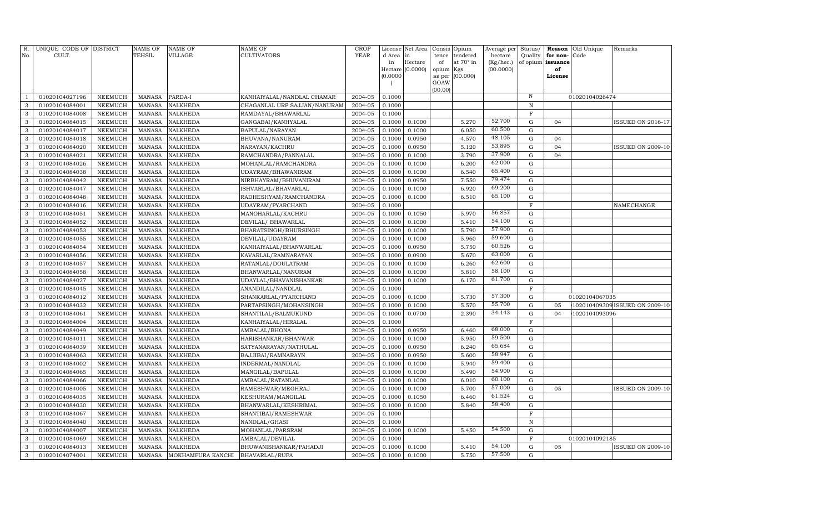| R.<br>No.    | UNIQUE CODE OF DISTRICT<br>CULT. |                | <b>NAME OF</b><br>TEHSIL | <b>NAME OF</b><br>VILLAGE | NAME OF<br>CULTIVATORS       | <b>CROP</b><br><b>YEAR</b> | d Area in<br>in<br>(0.0000) | License Net Area<br>Hectare<br>Hectare (0.0000) | Consis<br>tence<br>of<br>opium<br>as per | Opium<br>tendered<br>at 70° in<br>Kgs<br>(00.000) | Average per<br>hectare<br>(Kg/hec.)<br>(00.0000) | Status/<br>Quality | Reason<br>for non-<br>of opium issuance<br>of<br>License | Old Unique<br>Code | Remarks                        |
|--------------|----------------------------------|----------------|--------------------------|---------------------------|------------------------------|----------------------------|-----------------------------|-------------------------------------------------|------------------------------------------|---------------------------------------------------|--------------------------------------------------|--------------------|----------------------------------------------------------|--------------------|--------------------------------|
|              |                                  |                |                          |                           |                              |                            | $\overline{\phantom{a}}$    |                                                 | GOAW<br>(00.00)                          |                                                   |                                                  |                    |                                                          |                    |                                |
| 1            | 01020104027196                   | <b>NEEMUCH</b> | <b>MANASA</b>            | PARDA-I                   | KANHAIYALAL/NANDLAL CHAMAR   | 2004-05                    | 0.1000                      |                                                 |                                          |                                                   |                                                  | $\, {\rm N}$       |                                                          | 01020104026474     |                                |
| 3            | 01020104084001                   | <b>NEEMUCH</b> | <b>MANASA</b>            | <b>NALKHEDA</b>           | CHAGANLAL URF SAJJAN/NANURAM | 2004-05                    | 0.1000                      |                                                 |                                          |                                                   |                                                  | $\mathbb N$        |                                                          |                    |                                |
| 3            | 01020104084008                   | <b>NEEMUCH</b> | <b>MANASA</b>            | <b>NALKHEDA</b>           | RAMDAYAL/BHAWARLAL           | 2004-05                    | 0.1000                      |                                                 |                                          |                                                   |                                                  | $\mathbf F$        |                                                          |                    |                                |
| 3            | 01020104084015                   | <b>NEEMUCH</b> | <b>MANASA</b>            | <b>NALKHEDA</b>           | GANGABAI/KANHYALAL           | 2004-05                    | 0.1000                      | 0.1000                                          |                                          | 5.270                                             | 52.700                                           | G                  | 04                                                       |                    | <b>ISSUED ON 2016-17</b>       |
| 3            | 01020104084017                   | <b>NEEMUCH</b> | <b>MANASA</b>            | NALKHEDA                  | BAPULAL/NARAYAN              | 2004-05                    | 0.1000                      | 0.1000                                          |                                          | 6.050                                             | 60.500                                           | ${\rm G}$          |                                                          |                    |                                |
| 3            | 01020104084018                   | <b>NEEMUCH</b> | <b>MANASA</b>            | <b>NALKHEDA</b>           | BHUVANA/NANURAM              | 2004-05                    | 0.1000                      | 0.0950                                          |                                          | 4.570                                             | 48.105                                           | G                  | 04                                                       |                    |                                |
| 3            | 01020104084020                   | <b>NEEMUCH</b> | <b>MANASA</b>            | NALKHEDA                  | NARAYAN/KACHRU               | 2004-05                    | 0.1000                      | 0.0950                                          |                                          | 5.120                                             | 53.895                                           | ${\rm G}$          | 04                                                       |                    | <b>ISSUED ON 2009-10</b>       |
| 3            | 01020104084021                   | <b>NEEMUCH</b> | <b>MANASA</b>            | <b>NALKHEDA</b>           | RAMCHANDRA/PANNALAL          | 2004-05                    | 0.1000                      | 0.1000                                          |                                          | 3.790                                             | 37.900                                           | ${\rm G}$          | 04                                                       |                    |                                |
| 3            | 01020104084026                   | NEEMUCH        | <b>MANASA</b>            | NALKHEDA                  | MOHANLAL/RAMCHANDRA          | 2004-05                    | 0.1000                      | 0.1000                                          |                                          | 6.200                                             | 62.000                                           | $\mathbf G$        |                                                          |                    |                                |
| 3            | 01020104084038                   | <b>NEEMUCH</b> | <b>MANASA</b>            | NALKHEDA                  | UDAYRAM / BHAWANIRAM         | 2004-05                    | 0.1000                      | 0.1000                                          |                                          | 6.540                                             | 65.400                                           | $\mathbf G$        |                                                          |                    |                                |
| 3            | 01020104084042                   | <b>NEEMUCH</b> | <b>MANASA</b>            | <b>NALKHEDA</b>           | NIRBHAYRAM/BHUVANIRAM        | 2004-05                    | 0.1000                      | 0.0950                                          |                                          | 7.550                                             | 79.474                                           | $\mathbf G$        |                                                          |                    |                                |
| 3            | 01020104084047                   | <b>NEEMUCH</b> | <b>MANASA</b>            | <b>NALKHEDA</b>           | ISHVARLAL/BHAVARLAL          | 2004-05                    | 0.1000                      | 0.1000                                          |                                          | 6.920                                             | 69.200                                           | ${\rm G}$          |                                                          |                    |                                |
| 3            | 01020104084048                   | <b>NEEMUCH</b> | <b>MANASA</b>            | <b>NALKHEDA</b>           | RADHESHYAM/RAMCHANDRA        | 2004-05                    | 0.1000                      | 0.1000                                          |                                          | 6.510                                             | 65.100                                           | $\mathbf G$        |                                                          |                    |                                |
| 3            | 01020104084016                   | <b>NEEMUCH</b> | <b>MANASA</b>            | NALKHEDA                  | UDAYRAM/PYARCHAND            | 2004-05                    | 0.1000                      |                                                 |                                          |                                                   |                                                  | $\mathbf F$        |                                                          |                    | NAMECHANGE                     |
| 3            | 01020104084051                   | <b>NEEMUCH</b> | <b>MANASA</b>            | <b>NALKHEDA</b>           | MANOHARLAL/KACHRU            | 2004-05                    | 0.1000                      | 0.1050                                          |                                          | 5.970                                             | 56.857                                           | $\mathbf G$        |                                                          |                    |                                |
| 3            | 01020104084052                   | <b>NEEMUCH</b> | <b>MANASA</b>            | <b>NALKHEDA</b>           | DEVILAL/ BHAWARLAL           | 2004-05                    | 0.1000                      | 0.1000                                          |                                          | 5.410                                             | 54.100                                           | ${\rm G}$          |                                                          |                    |                                |
| 3            | 01020104084053                   | <b>NEEMUCH</b> | <b>MANASA</b>            | NALKHEDA                  | BHARATSINGH/BHURSINGH        | 2004-05                    | 0.1000                      | 0.1000                                          |                                          | 5.790                                             | 57.900                                           | ${\rm G}$          |                                                          |                    |                                |
| 3            | 01020104084055                   | <b>NEEMUCH</b> | <b>MANASA</b>            | NALKHEDA                  | DEVILAL/UDAYRAM              | 2004-05                    | 0.1000                      | 0.1000                                          |                                          | 5.960                                             | 59.600                                           | ${\rm G}$          |                                                          |                    |                                |
| 3            | 01020104084054                   | <b>NEEMUCH</b> | <b>MANASA</b>            | NALKHEDA                  | KANHAIYALAL/BHANWARLAL       | 2004-05                    | 0.1000                      | 0.0950                                          |                                          | 5.750                                             | 60.526                                           | ${\bf G}$          |                                                          |                    |                                |
| $\mathbf{3}$ | 01020104084056                   | <b>NEEMUCH</b> | <b>MANASA</b>            | <b>NALKHEDA</b>           | KAVARLAL/RAMNARAYAN          | 2004-05                    | 0.1000                      | 0.0900                                          |                                          | 5.670                                             | 63.000                                           | ${\rm G}$          |                                                          |                    |                                |
| 3            | 01020104084057                   | NEEMUCH        | <b>MANASA</b>            | NALKHEDA                  | RATANLAL/DOULATRAM           | 2004-05                    | 0.1000                      | 0.1000                                          |                                          | 6.260                                             | 62.600                                           | $\mathbf G$        |                                                          |                    |                                |
| 3            | 01020104084058                   | <b>NEEMUCH</b> | <b>MANASA</b>            | <b>NALKHEDA</b>           | BHANWARLAL/NANURAM           | 2004-05                    | 0.1000                      | 0.1000                                          |                                          | 5.810                                             | 58.100                                           | $\mathbf G$        |                                                          |                    |                                |
| 3            | 01020104084027                   | <b>NEEMUCH</b> | <b>MANASA</b>            | <b>NALKHEDA</b>           | UDAYLAL/BHAVANISHANKAR       | 2004-05                    | 0.1000                      | 0.1000                                          |                                          | 6.170                                             | 61.700                                           | $\mathbf G$        |                                                          |                    |                                |
| 3            | 01020104084045                   | <b>NEEMUCH</b> | <b>MANASA</b>            | <b>NALKHEDA</b>           | ANANDILAL/NANDLAL            | 2004-05                    | 0.1000                      |                                                 |                                          |                                                   |                                                  | $\mathbf F$        |                                                          |                    |                                |
| 3            | 01020104084012                   | <b>NEEMUCH</b> | <b>MANASA</b>            | <b>NALKHEDA</b>           | SHANKARLAL/PYARCHAND         | 2004-05                    | 0.1000                      | 0.1000                                          |                                          | 5.730                                             | 57.300                                           | $\mathbf G$        |                                                          | 01020104067035     |                                |
| 3            | 01020104084032                   | <b>NEEMUCH</b> | <b>MANASA</b>            | NALKHEDA                  | PARTAPSINGH/MOHANSINGH       | 2004-05                    | 0.1000                      | 0.1000                                          |                                          | 5.570                                             | 55.700                                           | $\mathbf G$        | 05                                                       |                    | 102010409309 ISSUED ON 2009-10 |
| 3            | 01020104084061                   | <b>NEEMUCH</b> | <b>MANASA</b>            | NALKHEDA                  | SHANTILAL/BALMUKUND          | 2004-05                    | 0.1000                      | 0.0700                                          |                                          | 2.390                                             | 34.143                                           | $\mathbf G$        | 04                                                       | 1020104093096      |                                |
| 3            | 01020104084004                   | <b>NEEMUCH</b> | <b>MANASA</b>            | NALKHEDA                  | KANHAIYALAL/HIRALAL          | 2004-05                    | 0.1000                      |                                                 |                                          |                                                   |                                                  | $\mathbf F$        |                                                          |                    |                                |
| 3            | 01020104084049                   | <b>NEEMUCH</b> | <b>MANASA</b>            | NALKHEDA                  | AMBALAL/BHONA                | 2004-05                    | 0.1000                      | 0.0950                                          |                                          | 6.460                                             | 68.000                                           | $\mathbf G$        |                                                          |                    |                                |
| 3            | 01020104084011                   | NEEMUCH        | <b>MANASA</b>            | NALKHEDA                  | HARISHANKAR/BHANWAR          | 2004-05                    | 0.1000                      | 0.1000                                          |                                          | 5.950                                             | 59.500                                           | $\mathbf G$        |                                                          |                    |                                |
| 3            | 01020104084039                   | NEEMUCH        | <b>MANASA</b>            | NALKHEDA                  | SATYANARAYAN/NATHULAL        | 2004-05                    | 0.1000                      | 0.0950                                          |                                          | 6.240                                             | 65.684                                           | ${\bf G}$          |                                                          |                    |                                |
| 3            | 01020104084063                   | <b>NEEMUCH</b> | <b>MANASA</b>            | NALKHEDA                  | BAJJIBAI/RAMNARAYN           | 2004-05                    | 0.1000                      | 0.0950                                          |                                          | 5.600                                             | 58.947                                           | $\mathbf G$        |                                                          |                    |                                |
| 3            | 01020104084002                   | NEEMUCH        | <b>MANASA</b>            | NALKHEDA                  | INDERMAL/NANDLAL             | 2004-05                    | 0.1000                      | 0.1000                                          |                                          | 5.940                                             | 59.400                                           | $\mathbf G$        |                                                          |                    |                                |
| 3            | 01020104084065                   | NEEMUCH        | <b>MANASA</b>            | NALKHEDA                  | MANGILAL/BAPULAL             | 2004-05                    | 0.1000                      | 0.1000                                          |                                          | 5.490                                             | 54.900                                           | $\mathbf G$        |                                                          |                    |                                |
| 3            | 01020104084066                   | <b>NEEMUCH</b> | <b>MANASA</b>            | <b>NALKHEDA</b>           | AMBALAL/RATANLAL             | 2004-05                    | 0.1000                      | 0.1000                                          |                                          | 6.010                                             | 60.100                                           | $\mathbf G$        |                                                          |                    |                                |
| 3            | 01020104084005                   | <b>NEEMUCH</b> | <b>MANASA</b>            | NALKHEDA                  | RAMESHWAR/MEGHRAJ            | 2004-05                    | 0.1000                      | 0.1000                                          |                                          | 5.700                                             | 57.000                                           | G                  | 05                                                       |                    | <b>ISSUED ON 2009-10</b>       |
| 3            | 01020104084035                   | <b>NEEMUCH</b> | <b>MANASA</b>            | NALKHEDA                  | KESHURAM/MANGILAL            | 2004-05                    | 0.1000                      | 0.1050                                          |                                          | 6.460                                             | 61.524                                           | $\mathbf G$        |                                                          |                    |                                |
| 3            | 01020104084030                   | <b>NEEMUCH</b> | <b>MANASA</b>            | NALKHEDA                  | BHANWARLAL/KESHRIMAL         | 2004-05                    | 0.1000                      | 0.1000                                          |                                          | 5.840                                             | 58.400                                           | $\mathbf G$        |                                                          |                    |                                |
| 3            | 01020104084067                   | <b>NEEMUCH</b> | <b>MANASA</b>            | <b>NALKHEDA</b>           | SHANTIBAI/RAMESHWAR          | 2004-05                    | 0.1000                      |                                                 |                                          |                                                   |                                                  | $\overline{F}$     |                                                          |                    |                                |
| 3            | 01020104084040                   | <b>NEEMUCH</b> | <b>MANASA</b>            | NALKHEDA                  | NANDLAL/GHASI                | 2004-05                    | 0.1000                      |                                                 |                                          |                                                   |                                                  | $\, {\rm N}$       |                                                          |                    |                                |
| 3            | 01020104084007                   | <b>NEEMUCH</b> | <b>MANASA</b>            | NALKHEDA                  | MOHANLAL/PARSRAM             | 2004-05                    | 0.1000                      | 0.1000                                          |                                          | 5.450                                             | 54.500                                           | $\mathbf G$        |                                                          |                    |                                |
| 3            | 01020104084069                   | <b>NEEMUCH</b> | <b>MANASA</b>            | NALKHEDA                  | AMBALAL/DEVILAL              | 2004-05                    | 0.1000                      |                                                 |                                          |                                                   |                                                  | F                  |                                                          | 01020104092185     |                                |
| 3            | 01020104084013                   | <b>NEEMUCH</b> | <b>MANASA</b>            | NALKHEDA                  | BHUWANISHANKAR/PAHADJI       | 2004-05                    | 0.1000                      | 0.1000                                          |                                          | 5.410                                             | 54.100                                           | G                  | 05                                                       |                    | <b>SSUED ON 2009-10</b>        |
| $\mathbf{3}$ | 01020104074001                   | NEEMUCH        | MANASA                   | MOKHAMPURA KANCHI         | BHAVARLAL/RUPA               | 2004-05                    | 0.1000                      | 0.1000                                          |                                          | 5.750                                             | 57.500                                           | G                  |                                                          |                    |                                |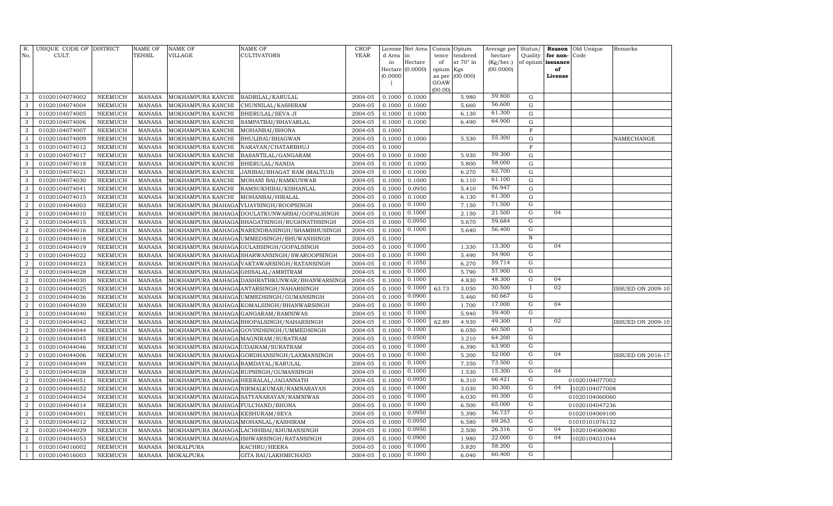| R.<br>No.                        | UNIQUE CODE OF DISTRICT<br>CULT. |                                  | NAME OF<br>TEHSIL       | <b>NAME OF</b><br>VILLAGE             | <b>NAME OF</b><br>CULTIVATORS                                                         | <b>CROP</b><br><b>YEAR</b> | d Area           | License Net Area<br>in | Consis<br>tence | Opium<br>tendered | Average per<br>hectare | Status/<br>Quality | Reason<br>for non- | Old Unique<br>Code              | Remarks                  |
|----------------------------------|----------------------------------|----------------------------------|-------------------------|---------------------------------------|---------------------------------------------------------------------------------------|----------------------------|------------------|------------------------|-----------------|-------------------|------------------------|--------------------|--------------------|---------------------------------|--------------------------|
|                                  |                                  |                                  |                         |                                       |                                                                                       |                            | in               | Hectare                | of              | at 70° in         | (Kg/hec.)              | of opium           | issuance           |                                 |                          |
|                                  |                                  |                                  |                         |                                       |                                                                                       |                            |                  | Hectare $(0.0000)$     | opium Kgs       |                   | (00.0000)              |                    | of                 |                                 |                          |
|                                  |                                  |                                  |                         |                                       |                                                                                       |                            | (0.0000)         |                        | as per          | (00.000)          |                        |                    | License            |                                 |                          |
|                                  |                                  |                                  |                         |                                       |                                                                                       |                            |                  |                        | GOAW            |                   |                        |                    |                    |                                 |                          |
| 3                                | 01020104074002                   | NEEMUCH                          | <b>MANASA</b>           | MOKHAMPURA KANCHI                     | <b>BADRILAL/KARULAL</b>                                                               | 2004-05                    | 0.1000           | 0.1000                 | (00.00)         | 5.980             | 59.800                 | G                  |                    |                                 |                          |
| 3                                | 01020104074004                   | <b>NEEMUCH</b>                   | <b>MANASA</b>           | MOKHAMPURA KANCHI                     | CHUNNILAL/KASHIRAM                                                                    | 2004-05                    | 0.1000           | 0.1000                 |                 | 5.660             | 56.600                 | G                  |                    |                                 |                          |
| 3                                | 01020104074005                   | <b>NEEMUCH</b>                   | <b>MANASA</b>           | MOKHAMPURA KANCHI                     | <b>BHERULAL/SEVA JI</b>                                                               | 2004-05                    | 0.1000           | 0.1000                 |                 | 6.130             | 61.300                 | G                  |                    |                                 |                          |
| 3                                | 01020104074006                   | <b>NEEMUCH</b>                   | MANASA                  | MOKHAMPURA KANCHI                     | SAMPATBAI/BHAVARLAL                                                                   | 2004-05                    | 0.1000           | 0.1000                 |                 | 6.490             | 64.900                 | ${\rm G}$          |                    |                                 |                          |
| 3                                | 01020104074007                   | <b>NEEMUCH</b>                   | <b>MANASA</b>           | MOKHAMPURA KANCHI                     | MOHANBAI/BHONA                                                                        | 2004-05                    | 0.1000           |                        |                 |                   |                        | $\mathbf F$        |                    |                                 |                          |
| 3                                | 01020104074009                   | <b>NEEMUCH</b>                   | <b>MANASA</b>           | MOKHAMPURA KANCHI                     | BHULIBAI/BHAGWAN                                                                      | 2004-05                    | 0.1000           | 0.1000                 |                 | 5.530             | 55.300                 | G                  |                    |                                 | NAMECHANGE               |
| 3                                | 01020104074012                   | <b>NEEMUCH</b>                   | <b>MANASA</b>           | MOKHAMPURA KANCHI                     | NARAYAN/CHATARBHUJ                                                                    | 2004-05                    | 0.1000           |                        |                 |                   |                        | $\mathbf F$        |                    |                                 |                          |
| 3                                | 01020104074017                   | <b>NEEMUCH</b>                   | MANASA                  | MOKHAMPURA KANCHI                     | BASANTILAL/GANGARAM                                                                   | 2004-05                    | 0.1000           | 0.1000                 |                 | 5.930             | 59.300                 | G                  |                    |                                 |                          |
| 3                                | 01020104074018                   | <b>NEEMUCH</b>                   | MANASA                  | MOKHAMPURA KANCHI                     | BHERULAL/NANDA                                                                        | 2004-05                    | 0.1000           | 0.1000                 |                 | 5.800             | 58.000                 | ${\rm G}$          |                    |                                 |                          |
| 3                                | 01020104074021                   | <b>NEEMUCH</b>                   | <b>MANASA</b>           | MOKHAMPURA KANCHI                     | JANIBAI/BHAGAT RAM (MALTUJI)                                                          | 2004-05                    | 0.1000           | 0.1000                 |                 | 6.270             | 62.700                 | G                  |                    |                                 |                          |
| 3                                | 01020104074030                   | <b>NEEMUCH</b>                   | <b>MANASA</b>           | MOKHAMPURA KANCHI                     | MOHANI BAI/RAMKUNWAR                                                                  | 2004-05                    | 0.1000           | 0.1000                 |                 | 6.110             | 61.100                 | ${\rm G}$          |                    |                                 |                          |
| 3                                | 01020104074041                   | <b>NEEMUCH</b>                   | MANASA                  | MOKHAMPURA KANCHI                     | RAMSUKHIBAI/KISHANLAL                                                                 | 2004-05                    | 0.1000           | 0.0950                 |                 | 5.410             | 56.947                 | ${\rm G}$          |                    |                                 |                          |
| 3                                | 01020104074015                   | <b>NEEMUCH</b>                   | <b>MANASA</b>           | MOKHAMPURA KANCHI                     | MOHANBAI/HIRALAL                                                                      | 2004-05                    | 0.1000           | 0.1000                 |                 | 6.130             | 61.300                 | G                  |                    |                                 |                          |
| $\overline{2}$                   | 01020104044003                   | <b>NEEMUCH</b>                   | <b>MANASA</b>           |                                       | MOKHAMPURA (MAHAGA VIJAYSINGH/ROOPSINGH                                               | 2004-05                    | 0.1000           | 0.1000                 |                 | 7.150             | 71.500                 | G                  |                    |                                 |                          |
| 2                                | 01020104044010                   | <b>NEEMUCH</b>                   | <b>MANASA</b>           |                                       | MOKHAMPURA (MAHAGA DOULATKUNWARBAI/GOPALSINGH                                         | 2004-05                    | 0.1000           | 0.1000                 |                 | 2.150             | 21.500                 | G                  | 04                 |                                 |                          |
| $\overline{2}$                   | 01020104044015                   | <b>NEEMUCH</b>                   | <b>MANASA</b>           |                                       | MOKHAMPURA (MAHAGA BHAGATSINGH/RUGHNATHSINGH                                          | 2004-05                    | 0.1000           | 0.0950                 |                 | 5.670             | 59.684                 | G                  |                    |                                 |                          |
| $\overline{a}$                   | 01020104044016                   | NEEMUCH                          | <b>MANASA</b>           |                                       | MOKHAMPURA (MAHAGA NARENDRASINGH / SHAMBHUSINGH                                       | 2004-05                    | 0.1000           | 0.1000                 |                 | 5.640             | 56.400                 | G                  |                    |                                 |                          |
| $\overline{2}$                   | 01020104044018                   | <b>NEEMUCH</b>                   | MANASA                  |                                       | MOKHAMPURA (MAHAGA UMMEDSINGH/BHUWANISINGH                                            | 2004-05                    | 0.1000           |                        |                 |                   |                        | $\, {\bf N}$       |                    |                                 |                          |
| $\overline{2}$                   | 01020104044019                   | <b>NEEMUCH</b>                   | <b>MANASA</b>           |                                       | MOKHAMPURA (MAHAGA GULABSINGH/GOPALSINGH                                              | 2004-05                    | 0.1000           | 0.1000                 |                 | 1.330             | 13.300                 | $\overline{G}$     | 04                 |                                 |                          |
| $\overline{2}$                   | 01020104044022                   | NEEMUCH                          | <b>MANASA</b>           |                                       | MOKHAMPURA (MAHAGA SHARWANSINGH/SWAROOPSINGH                                          | 2004-05                    | 0.1000           | 0.1000                 |                 | 5.490             | 54.900                 | ${\rm G}$          |                    |                                 |                          |
| $\overline{2}$                   | 01020104044023                   | <b>NEEMUCH</b>                   | <b>MANASA</b>           |                                       | MOKHAMPURA (MAHAGA VAKTAWARSINGH / RATANSINGH                                         | 2004-05                    | 0.1000           | 0.1050                 |                 | 6.270             | 59.714                 | $\mathbf G$        |                    |                                 |                          |
| $\overline{2}$                   | 01020104044028                   | <b>NEEMUCH</b>                   | <b>MANASA</b>           | MOKHAMPURA (MAHAGA GHISALAL/AMRITRAM  |                                                                                       | 2004-05                    | 0.1000           | 0.1000                 |                 | 5.790             | 57.900                 | G                  |                    |                                 |                          |
| $\overline{2}$                   | 01020104044030                   | <b>NEEMUCH</b>                   | <b>MANASA</b>           |                                       | MOKHAMPURA (MAHAGA DASHRATHKUNWAR/BHANWARSING)                                        | 2004-05                    | 0.1000           | 0.1000                 |                 | 4.830             | 48.300                 | G                  | 04                 |                                 |                          |
| $\overline{2}$                   | 01020104044025                   | <b>NEEMUCH</b>                   | <b>MANASA</b>           |                                       | MOKHAMPURA (MAHAGA ANTARSINGH/NAHARSINGH                                              | 2004-05                    | 0.1000           | 0.1000                 | 63.73           | 3.050             | 30.500                 |                    | 02                 |                                 | <b>ISSUED ON 2009-10</b> |
| $\boldsymbol{2}$                 | 01020104044036                   | <b>NEEMUCH</b>                   | <b>MANASA</b>           |                                       | MOKHAMPURA (MAHAGA UMMEDSINGH/GUMANSINGH                                              | 2004-05                    | 0.1000           | 0.0900                 |                 | 5.460             | 60.667                 | G                  |                    |                                 |                          |
| $\overline{2}$                   | 01020104044039                   | <b>NEEMUCH</b>                   | <b>MANASA</b>           |                                       | MOKHAMPURA (MAHAGA KOMALSINGH/BHANWARSINGH                                            | 2004-05                    | 0.1000           | 0.1000                 |                 | 1.700             | 17.000                 | G                  | 04                 |                                 |                          |
| $\overline{2}$                   | 01020104044040                   | <b>NEEMUCH</b>                   | <b>MANASA</b>           | MOKHAMPURA (MAHAGA GANGARAM/RAMNIWAS  |                                                                                       | 2004-05                    | 0.1000           | 0.1000                 |                 | 5.940             | 59.400                 | $\overline{G}$     |                    |                                 |                          |
| $\boldsymbol{2}$                 | 01020104044042                   | <b>NEEMUCH</b>                   | <b>MANASA</b>           |                                       | MOKHAMPURA (MAHAGA BHOPALSINGH / NAHARSINGH                                           | 2004-05                    | 0.1000           | 0.1000                 | 62.89           | 4.930             | 49.300                 |                    | 02                 |                                 | ISSUED ON 2009-10        |
| $\overline{a}$                   | 01020104044044                   | <b>NEEMUCH</b>                   | <b>MANASA</b>           |                                       | MOKHAMPURA (MAHAGA GOVINDSINGH/UMMEDSINGH                                             | 2004-05                    | 0.1000           | 0.1000                 |                 | 6.050             | 60.500                 | $\mathbf G$        |                    |                                 |                          |
| $\boldsymbol{2}$                 | 01020104044045                   | <b>NEEMUCH</b>                   | <b>MANASA</b>           | MOKHAMPURA (MAHAGA MAGNIRAM/SURATRAM  |                                                                                       | 2004-05                    | 0.1000           | 0.0500                 |                 | 3.210             | 64.200                 | $\mathbf G$        |                    |                                 |                          |
| $\overline{2}$                   | 01020104044046                   | <b>NEEMUCH</b>                   | <b>MANASA</b>           | MOKHAMPURA (MAHAGA UDAIRAM/SURATRAM   |                                                                                       | 2004-05                    | 0.1000           | 0.1000                 |                 | 6.390             | 63.900                 | G                  |                    |                                 |                          |
| $\boldsymbol{2}$                 | 01020104044006                   | <b>NEEMUCH</b>                   | <b>MANASA</b>           |                                       | MOKHAMPURA (MAHAGA GORDHANSINGH/LAXMANSINGH                                           | 2004-05                    | 0.1000           | 0.1000                 |                 | 5.200             | 52.000                 | G                  | 04                 |                                 | <b>ISSUED ON 2016-17</b> |
| $\overline{a}$                   | 01020104044049                   | <b>NEEMUCH</b>                   | <b>MANASA</b>           | MOKHAMPURA (MAHAGA RAMDAYAL/KARULAL   |                                                                                       | 2004-05                    | 0.1000           | 0.1000                 |                 | 7.350             | 73.500                 | G                  |                    |                                 |                          |
| $\boldsymbol{2}$                 | 01020104044038                   | <b>NEEMUCH</b>                   | <b>MANASA</b>           |                                       | MOKHAMPURA (MAHAGA RUPSINGH/GUMANSINGH                                                | 2004-05                    | 0.1000           | 0.1000                 |                 | 1.530             | 15.300<br>66.421       | G<br>G             | 04                 |                                 |                          |
| 2                                | 01020104044051                   | <b>NEEMUCH</b>                   | <b>MANASA</b>           | MOKHAMPURA (MAHAGA HEERALAL/JAGANNATH |                                                                                       | 2004-05                    | 0.1000           | 0.0950<br>0.1000       |                 | 6.310             | 30.300                 | $\overline{G}$     |                    | 01020104077002                  |                          |
| $\overline{2}$                   | 01020104044052                   | <b>NEEMUCH</b>                   | MANASA                  |                                       | MOKHAMPURA (MAHAGA NIRMALKUMAR/RAMNARAYAN                                             | 2004-05                    | 0.1000           | 0.1000                 |                 | 3.030             | 60.300                 | $\overline{G}$     | 04                 | 1020104077008                   |                          |
| 2                                | 01020104044034<br>01020104044014 | <b>NEEMUCH</b><br><b>NEEMUCH</b> | <b>MANASA</b>           |                                       | MOKHAMPURA (MAHAGA SATYANARAYAN/RAMNIWAS                                              | 2004-05<br>2004-05         | 0.1000           | 0.1000                 |                 | 6.030             | 65.000                 | ${\rm G}$          |                    | 01020104060060                  |                          |
| $\overline{2}$                   |                                  |                                  | <b>MANASA</b>           | MOKHAMPURA (MAHAGA FULCHAND/BHONA     |                                                                                       |                            | 0.1000           | 0.0950                 |                 | 6.500             | 56.737                 | $\overline{G}$     |                    | 01020104047236                  |                          |
| $\overline{2}$<br>$\overline{2}$ | 01020104044001                   | <b>NEEMUCH</b>                   | <b>MANASA</b>           | MOKHAMPURA (MAHAGA KESHURAM/SEVA      |                                                                                       | 2004-05                    | 0.1000           | 0.0950                 |                 | 5.390<br>6.580    | 69.263                 | G                  |                    | 01020104069100                  |                          |
| $\overline{a}$                   | 01020104044012<br>01020104044029 | <b>NEEMUCH</b><br><b>NEEMUCH</b> | MANASA<br><b>MANASA</b> | MOKHAMPURA (MAHAGA MOHANLAL/KASHIRAM  |                                                                                       | 2004-05<br>2004-05         | 0.1000<br>0.1000 | 0.0950                 |                 | 2.500             | 26.316                 | G                  | 04                 | 01010101076132<br>1020104069080 |                          |
| $\boldsymbol{2}$                 | 01020104044053                   | <b>NEEMUCH</b>                   | <b>MANASA</b>           |                                       | MOKHAMPURA (MAHAGA LACHHIBAI/KHUMANSINGH<br>MOKHAMPURA (MAHAGA ISHWARSINGH/RATANSINGH | 2004-05                    | 0.1000           | 0.0900                 |                 | 1.980             | 22.000                 | G                  | 04                 | 1020104031044                   |                          |
| $\overline{1}$                   | 01020104016002                   | <b>NEEMUCH</b>                   | <b>MANASA</b>           | MOKALPURA                             | KACHRU/HEERA                                                                          | 2004-05                    | 0.1000           | 0.1000                 |                 | 5.820             | 58.200                 | G                  |                    |                                 |                          |
| $\mathbf{1}$                     | 01020104016003                   | NEEMUCH                          | MANASA                  | <b>MOKALPURA</b>                      | GITA BAI/LAKHMICHAND                                                                  | 2004-05                    | 0.1000           | 0.1000                 |                 | 6.040             | 60.400                 | $\overline{G}$     |                    |                                 |                          |
|                                  |                                  |                                  |                         |                                       |                                                                                       |                            |                  |                        |                 |                   |                        |                    |                    |                                 |                          |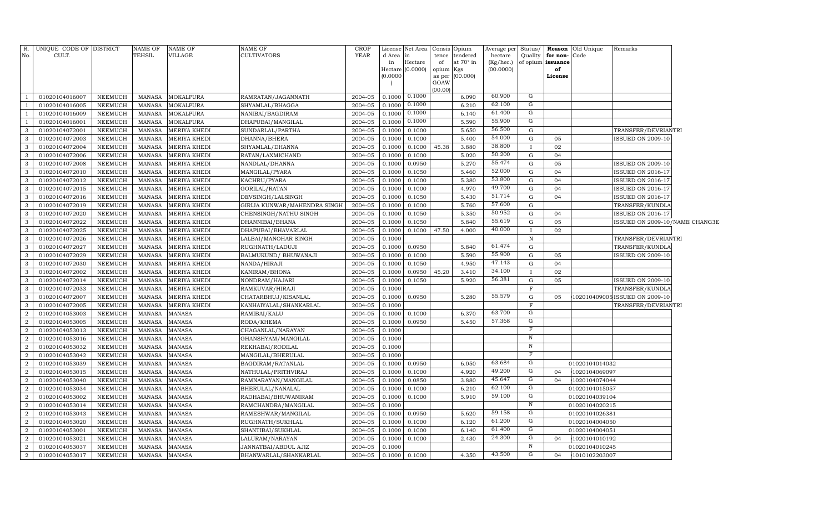| R.<br>No.           | UNIQUE CODE OF DISTRICT<br>CULT. |                           | NAME OF<br>TEHSIL              | <b>NAME OF</b><br>VILLAGE      | <b>NAME OF</b><br><b>CULTIVATORS</b>    | CROP<br><b>YEAR</b> | d Area<br>in<br>(0.0000) | License Net Area   Consis   Opium<br>in<br>Hectare<br>Hectare $(0.0000)$ | tence<br>of<br>opium Kgs<br>as per | tendered<br>at 70° in<br>(00.000) | Average per<br>hectare<br>(Kg/hec.)<br>(00.0000) | Status/<br>Quality            | for non-Code<br>of opium issuance<br>of<br>License | <b>Reason</b> Old Unique | Remarks                        |  |
|---------------------|----------------------------------|---------------------------|--------------------------------|--------------------------------|-----------------------------------------|---------------------|--------------------------|--------------------------------------------------------------------------|------------------------------------|-----------------------------------|--------------------------------------------------|-------------------------------|----------------------------------------------------|--------------------------|--------------------------------|--|
|                     |                                  |                           |                                |                                |                                         |                     |                          |                                                                          | GOAW<br>(00.00)                    |                                   |                                                  |                               |                                                    |                          |                                |  |
| $\mathbf{1}$        | 01020104016007                   | NEEMUCH                   | MANASA                         | <b>MOKALPURA</b>               | RAMRATAN/JAGANNATH                      | 2004-05             | 0.1000                   | 0.1000                                                                   |                                    | 6.090                             | 60.900                                           | $\overline{G}$                |                                                    |                          |                                |  |
|                     | 01020104016005                   | NEEMUCH                   | MANASA                         | <b>MOKALPURA</b>               | SHYAMLAL/BHAGGA                         | 2004-05             | 0.1000                   | 0.1000                                                                   |                                    | 6.210                             | 62.100                                           | $\mathbf G$                   |                                                    |                          |                                |  |
| $\overline{1}$      | 01020104016009                   | NEEMUCH                   | <b>MANASA</b>                  | <b>MOKALPURA</b>               | NANIBAI/BAGDIRAM                        | 2004-05             | 0.1000                   | 0.1000                                                                   |                                    | 6.140                             | 61.400                                           | G                             |                                                    |                          |                                |  |
| <sup>1</sup>        | 01020104016001                   | NEEMUCH                   | <b>MANASA</b>                  | <b>MOKALPURA</b>               | DHAPUBAI/MANGILAL                       | 2004-05             | 0.1000                   | 0.1000                                                                   |                                    | 5.590                             | 55.900                                           | $\overline{G}$                |                                                    |                          |                                |  |
| $\mathbf{3}$        | 01020104072001                   | <b>NEEMUCH</b>            | <b>MANASA</b>                  | <b>MERIYA KHEDI</b>            | SUNDARLAL/PARTHA                        | 2004-05             | 0.1000                   | 0.1000                                                                   |                                    | 5.650                             | 56.500                                           | G                             |                                                    |                          | TRANSFER/DEVRIANTRI            |  |
| $\mathbf{3}$        | 01020104072003                   | NEEMUCH                   | <b>MANASA</b>                  | MERIYA KHEDI                   | DHANNA/BHERA                            | 2004-05             | 0.1000                   | 0.1000                                                                   |                                    | 5.400                             | 54.000                                           | G                             | 05                                                 |                          | <b>ISSUED ON 2009-10</b>       |  |
| $\mathbf{3}$        | 01020104072004                   | NEEMUCH                   | <b>MANASA</b>                  | MERIYA KHEDI                   | SHYAMLAL/DHANNA                         | 2004-05             | 0.1000                   | 0.1000                                                                   | 45.38                              | 3.880                             | 38.800                                           | $\mathbf{I}$                  | 02                                                 |                          |                                |  |
| $\mathbf{3}$        | 01020104072006                   | NEEMUCH                   | <b>MANASA</b>                  | MERIYA KHEDI                   | RATAN/LAXMICHAND                        | 2004-05             | 0.1000                   | 0.1000                                                                   |                                    | 5.020                             | 50.200                                           | G                             | 04                                                 |                          |                                |  |
| $\mathbf{3}$        | 01020104072008                   | NEEMUCH                   | <b>MANASA</b>                  | MERIYA KHEDI                   | NANDLAL/DHANNA                          | 2004-05             | 0.1000                   | 0.0950                                                                   |                                    | 5.270                             | 55.474                                           | $\mathbf G$                   | 05                                                 |                          | <b>ISSUED ON 2009-10</b>       |  |
| $\mathbf{3}$        | 01020104072010                   | NEEMUCH                   | <b>MANASA</b>                  | MERIYA KHEDI                   | MANGILAL/PYARA                          | 2004-05             | 0.1000                   | 0.1050                                                                   |                                    | 5.460                             | 52.000                                           | G                             | 04                                                 |                          | <b>ISSUED ON 2016-17</b>       |  |
| $\mathbf{3}$        | 01020104072012                   | NEEMUCH                   | <b>MANASA</b>                  | MERIYA KHEDI                   | KACHRU/PYARA                            | 2004-05             | 0.1000                   | 0.1000                                                                   |                                    | 5.380                             | 53.800                                           | G                             | 04                                                 |                          | <b>ISSUED ON 2016-17</b>       |  |
| 3                   | 01020104072015                   | NEEMUCH                   | <b>MANASA</b>                  | MERIYA KHEDI                   | GORILAL/RATAN                           | 2004-05             | 0.1000                   | 0.1000                                                                   |                                    | 4.970                             | 49.700                                           | G                             | 04                                                 |                          | <b>ISSUED ON 2016-17</b>       |  |
| $\mathbf{3}$        | 01020104072016                   | NEEMUCH                   | <b>MANASA</b>                  | MERIYA KHEDI                   | DEVSINGH/LALSINGH                       | 2004-05             | 0.1000                   | 0.1050                                                                   |                                    | 5.430                             | 51.714                                           | G                             | 04                                                 |                          | <b>ISSUED ON 2016-17</b>       |  |
| 3                   | 01020104072019                   | NEEMUCH                   | <b>MANASA</b>                  | MERIYA KHEDI                   | GIRIJA KUNWAR/MAHENDRA SINGH            | 2004-05             | 0.1000                   | 0.1000                                                                   |                                    | 5.760                             | 57.600                                           | G                             |                                                    |                          | TRANSFER/KUNDLA                |  |
| 3                   | 01020104072020                   | NEEMUCH                   | <b>MANASA</b>                  | MERIYA KHEDI                   | CHENSINGH/NATHU SINGH                   | 2004-05             | 0.1000                   | 0.1050                                                                   |                                    | 5.350                             | 50.952                                           | G                             | 04                                                 |                          | <b>ISSUED ON 2016-17</b>       |  |
| 3                   | 01020104072022                   | <b>NEEMUCH</b>            | <b>MANASA</b>                  | MERIYA KHEDI                   | DHANNIBAI/BHANA                         | 2004-05             | 0.1000                   | 0.1050                                                                   |                                    | 5.840                             | 55.619                                           | $\mathbf G$                   | 05                                                 |                          | ISSUED ON 2009-10/NAME CHANG3E |  |
| $\mathbf{3}$        | 01020104072025                   | <b>NEEMUCH</b>            | <b>MANASA</b>                  | MERIYA KHEDI                   | DHAPUBAI/BHAVARLAL                      | 2004-05             | 0.1000                   | 0.1000                                                                   | 47.50                              | 4.000                             | 40.000                                           | $\mathbf{I}$                  | 02                                                 |                          |                                |  |
| $\mathbf{3}$        | 01020104072026                   | NEEMUCH                   | <b>MANASA</b>                  | MERIYA KHEDI                   | LALBAI/MANOHAR SINGH                    | 2004-05             | 0.1000                   |                                                                          |                                    |                                   |                                                  | ${\bf N}$                     |                                                    |                          | TRANSFER/DEVRIANTRI            |  |
| $\mathbf{3}$        | 01020104072027                   | NEEMUCH                   | <b>MANASA</b>                  | MERIYA KHEDI                   | RUGHNATH/LADUJI                         | 2004-05             | 0.1000                   | 0.0950                                                                   |                                    | 5.840                             | 61.474                                           | $\mathbf G$                   |                                                    |                          | TRANSFER/KUNDLA                |  |
| $\mathbf{3}$        | 01020104072029                   | NEEMUCH                   | <b>MANASA</b>                  | MERIYA KHEDI                   | BALMUKUND/ BHUWANAJI                    | 2004-05             | 0.1000                   | 0.1000                                                                   |                                    | 5.590                             | 55.900                                           | $\mathbf G$                   | 05                                                 |                          | <b>ISSUED ON 2009-10</b>       |  |
| $\mathbf{3}$        | 01020104072030                   | NEEMUCH                   | <b>MANASA</b>                  | MERIYA KHEDI                   | NANDA/HIRAJI                            | 2004-05             | 0.1000                   | 0.1050                                                                   |                                    | 4.950                             | 47.143                                           | G                             | 04                                                 |                          |                                |  |
| 3                   | 01020104072002                   | <b>NEEMUCH</b>            | <b>MANASA</b>                  | MERIYA KHEDI                   | KANIRAM/BHONA                           | 2004-05             | 0.1000                   | 0.0950                                                                   | 45.20                              | 3.410                             | 34.100                                           | $\mathbf{I}$                  | 02                                                 |                          |                                |  |
| $\mathbf{3}$        | 01020104072014                   | NEEMUCH                   | <b>MANASA</b>                  | MERIYA KHEDI                   | NONDRAM/HAJARI                          | 2004-05             | 0.1000                   | 0.1050                                                                   |                                    | 5.920                             | 56.381                                           | G                             | 05                                                 |                          | <b>ISSUED ON 2009-10</b>       |  |
| $\mathbf{3}$        | 01020104072033                   | NEEMUCH                   | <b>MANASA</b>                  | MERIYA KHEDI                   | RAMKUVAR/HIRAJI                         | 2004-05             | 0.1000                   |                                                                          |                                    |                                   |                                                  | $\mathbf F$                   |                                                    |                          | TRANSFER/KUNDLA                |  |
| $\mathbf{3}$        | 01020104072007                   | NEEMUCH                   | <b>MANASA</b>                  | MERIYA KHEDI                   | CHATARBHUJ/KISANLAL                     | 2004-05             | 0.1000                   | 0.0950                                                                   |                                    | 5.280                             | 55.579                                           | G                             | 05                                                 | 102010409005             | <b>ISSUED ON 2009-10</b>       |  |
| $\mathbf{3}$        | 01020104072005                   | NEEMUCH                   | <b>MANASA</b>                  | MERIYA KHEDI                   | KANHAIYALAL/SHANKARLAL                  | 2004-05             | 0.1000                   |                                                                          |                                    |                                   | 63.700                                           | $\mathbf F$<br>$\overline{G}$ |                                                    |                          | TRANSFER/DEVRIANTRI            |  |
| $\boldsymbol{2}$    | 01020104053003                   | <b>NEEMUCH</b>            | <b>MANASA</b>                  | <b>MANASA</b>                  | RAMIBAI/KALU                            | 2004-05             | 0.1000                   | 0.1000                                                                   |                                    | 6.370                             | 57.368                                           | $\overline{G}$                |                                                    |                          |                                |  |
| $\boldsymbol{2}$    | 01020104053005                   | NEEMUCH                   | MANASA                         | MANASA                         | RODA/KHEMA                              | 2004-05             | 0.1000                   | 0.0950                                                                   |                                    | 5.450                             |                                                  | $\mathbf F$                   |                                                    |                          |                                |  |
| 2<br>$\overline{2}$ | 01020104053013<br>01020104053016 | NEEMUCH<br><b>NEEMUCH</b> | <b>MANASA</b><br><b>MANASA</b> | <b>MANASA</b><br><b>MANASA</b> | CHAGANLAL/NARAYAN<br>GHANSHYAM/MANGILAL | 2004-05<br>2004-05  | 0.1000<br>0.1000         |                                                                          |                                    |                                   |                                                  | $\, {\rm N}$                  |                                                    |                          |                                |  |
| $\overline{2}$      | 01020104053032                   | <b>NEEMUCH</b>            | <b>MANASA</b>                  | <b>MANASA</b>                  |                                         | 2004-05             |                          |                                                                          |                                    |                                   |                                                  | $\overline{N}$                |                                                    |                          |                                |  |
| $\overline{2}$      | 01020104053042                   | NEEMUCH                   | <b>MANASA</b>                  | <b>MANASA</b>                  | REKHABAI/RODILAL<br>MANGILAL/BHERULAL   | 2004-05             | 0.1000<br>0.1000         |                                                                          |                                    |                                   |                                                  | $\mathbb F$                   |                                                    |                          |                                |  |
| 2                   | 01020104053039                   | NEEMUCH                   | <b>MANASA</b>                  | <b>MANASA</b>                  | BAGDIRAM/RATANLAL                       | 2004-05             | 0.1000                   | 0.0950                                                                   |                                    | 6.050                             | 63.684                                           | G                             |                                                    | 01020104014032           |                                |  |
| $\overline{2}$      | 01020104053015                   | <b>NEEMUCH</b>            | <b>MANASA</b>                  | <b>MANASA</b>                  | NATHULAL/PRITHVIRAJ                     | 2004-05             | 0.1000                   | 0.1000                                                                   |                                    | 4.920                             | 49.200                                           | G                             | 04                                                 | 1020104069097            |                                |  |
| $\overline{2}$      | 01020104053040                   | <b>NEEMUCH</b>            | <b>MANASA</b>                  | <b>MANASA</b>                  | RAMNARAYAN/MANGILAL                     | 2004-05             | 0.1000                   | 0.0850                                                                   |                                    | 3.880                             | 45.647                                           | G                             | 04                                                 | 1020104074044            |                                |  |
| $\boldsymbol{2}$    | 01020104053034                   | <b>NEEMUCH</b>            | <b>MANASA</b>                  | <b>MANASA</b>                  | BHERULAL/NANALAL                        | 2004-05             | 0.1000                   | 0.1000                                                                   |                                    | 6.210                             | 62.100                                           | ${\rm G}$                     |                                                    | 01020104015057           |                                |  |
| $\overline{2}$      | 01020104053002                   | <b>NEEMUCH</b>            | <b>MANASA</b>                  | <b>MANASA</b>                  | RADHABAI/BHUWANIRAM                     | 2004-05             | 0.1000                   | 0.1000                                                                   |                                    | 5.910                             | 59.100                                           | ${\rm G}$                     |                                                    | 01020104039104           |                                |  |
| $\overline{2}$      | 01020104053014                   | NEEMUCH                   | <b>MANASA</b>                  | <b>MANASA</b>                  | RAMCHANDRA/MANGILAL                     | 2004-05             | 0.1000                   |                                                                          |                                    |                                   |                                                  | $\, {\bf N}$                  |                                                    | 01020104020215           |                                |  |
| $\overline{2}$      | 01020104053043                   | NEEMUCH                   | <b>MANASA</b>                  | MANASA                         | RAMESHWAR/MANGILAL                      | 2004-05             | 0.1000                   | 0.0950                                                                   |                                    | 5.620                             | 59.158                                           | G                             |                                                    | 01020104026381           |                                |  |
| $\overline{a}$      | 01020104053020                   | NEEMUCH                   | <b>MANASA</b>                  | <b>MANASA</b>                  | RUGHNATH/SUKHLAL                        | 2004-05             | 0.1000                   | 0.1000                                                                   |                                    | 6.120                             | 61.200                                           | G                             |                                                    | 01020104004050           |                                |  |
| $\boldsymbol{2}$    | 01020104053001                   | NEEMUCH                   | MANASA                         | MANASA                         | SHANTIBAI/SUKHLAL                       | 2004-05             | 0.1000                   | 0.1000                                                                   |                                    | 6.140                             | 61.400                                           | G                             |                                                    | 01020104004051           |                                |  |
| $\boldsymbol{2}$    | 01020104053021                   | NEEMUCH                   | <b>MANASA</b>                  | MANASA                         | LALURAM/NARAYAN                         | 2004-05             | 0.1000                   | 0.1000                                                                   |                                    | 2.430                             | 24.300                                           | G                             | 04                                                 | 1020104010192            |                                |  |
| $\boldsymbol{2}$    | 01020104053037                   | NEEMUCH                   | <b>MANASA</b>                  | MANASA                         | JANNATBAI/ABDUL AJIZ                    | 2004-05             | 0.1000                   |                                                                          |                                    |                                   |                                                  | $\overline{N}$                |                                                    | 01020104010245           |                                |  |
| $\overline{a}$      | 01020104053017                   | <b>NEEMUCH</b>            | <b>MANASA</b>                  | <b>MANASA</b>                  | BHANWARLAL/SHANKARLAL                   | 2004-05             | 0.1000                   | 0.1000                                                                   |                                    | 4.350                             | 43.500                                           | G                             | 04                                                 | 1010102203007            |                                |  |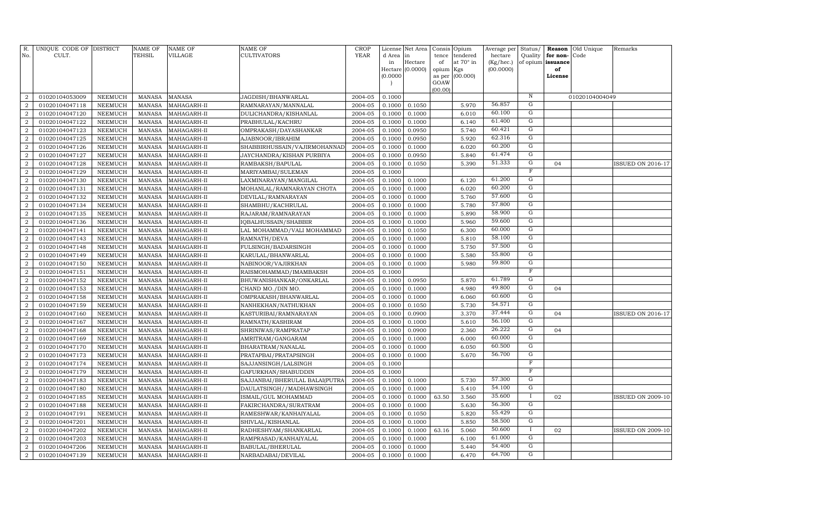| R.<br>No.                        | UNIQUE CODE OF DISTRICT<br>CULT. |                                  | <b>NAME OF</b><br>TEHSIL       | <b>NAME OF</b><br><b>VILLAGE</b> | <b>NAME OF</b><br>CULTIVATORS                | <b>CROP</b><br>YEAR | License<br>d Area | Net Area<br>in   | Consis<br>tence | Opium<br>tendered | Average per<br>hectare | Status/<br>Quality      | Reason<br>for non- | Old Unique<br>Code | Remarks                  |
|----------------------------------|----------------------------------|----------------------------------|--------------------------------|----------------------------------|----------------------------------------------|---------------------|-------------------|------------------|-----------------|-------------------|------------------------|-------------------------|--------------------|--------------------|--------------------------|
|                                  |                                  |                                  |                                |                                  |                                              |                     | in                | Hectare          | of              | at 70° in         | (Kg/hec.)              |                         | of opium issuance  |                    |                          |
|                                  |                                  |                                  |                                |                                  |                                              |                     |                   | Hectare (0.0000) | opium           | Kgs               | (00.0000)              |                         | of                 |                    |                          |
|                                  |                                  |                                  |                                |                                  |                                              |                     | (0.0000)          |                  | as per          | (00.000)          |                        |                         | License            |                    |                          |
|                                  |                                  |                                  |                                |                                  |                                              |                     |                   |                  | GOAW<br>(00.00) |                   |                        |                         |                    |                    |                          |
| 2                                | 01020104053009                   | <b>NEEMUCH</b>                   | <b>MANASA</b>                  | <b>MANASA</b>                    | JAGDISH/BHANWARLAL                           | 2004-05             | 0.1000            |                  |                 |                   |                        | $\,$ N                  |                    | 01020104004049     |                          |
| $\overline{2}$                   | 01020104047118                   | NEEMUCH                          | MANASA                         | MAHAGARH-II                      | RAMNARAYAN/MANNALAL                          | 2004-05             | 0.1000            | 0.1050           |                 | 5.970             | 56.857                 | G                       |                    |                    |                          |
| 2                                | 01020104047120                   | <b>NEEMUCH</b>                   | <b>MANASA</b>                  | MAHAGARH-II                      | DULICHANDRA/KISHANLAL                        | 2004-05             | 0.1000            | 0.1000           |                 | 6.010             | 60.100                 | $\mathbf G$             |                    |                    |                          |
| $\overline{2}$                   | 01020104047122                   | <b>NEEMUCH</b>                   | <b>MANASA</b>                  | MAHAGARH-II                      | PRABHULAL/KACHRU                             | 2004-05             | 0.1000            | 0.1000           |                 | 6.140             | 61.400                 | G                       |                    |                    |                          |
| $\overline{a}$                   | 01020104047123                   | <b>NEEMUCH</b>                   | <b>MANASA</b>                  | MAHAGARH-II                      | OMPRAKASH/DAYASHANKAR                        | 2004-05             | 0.1000            | 0.0950           |                 | 5.740             | 60.421                 | G                       |                    |                    |                          |
| $\overline{2}$                   | 01020104047125                   | <b>NEEMUCH</b>                   | <b>MANASA</b>                  | MAHAGARH-II                      | AJABNOOR/IBRAHIM                             | 2004-05             | 0.1000            | 0.0950           |                 | 5.920             | 62.316                 | G                       |                    |                    |                          |
| $\overline{a}$                   | 01020104047126                   | <b>NEEMUCH</b>                   | <b>MANASA</b>                  | MAHAGARH-II                      | SHABBIRHUSSAIN/VAJIRMOHANNAD                 | 2004-05             | 0.1000            | 0.1000           |                 | 6.020             | 60.200                 | G                       |                    |                    |                          |
| $\overline{a}$                   | 01020104047127                   | <b>NEEMUCH</b>                   | <b>MANASA</b>                  | MAHAGARH-II                      | JAYCHANDRA/KISHAN PURBIYA                    | 2004-05             | 0.1000            | 0.0950           |                 | 5.840             | 61.474                 | G                       |                    |                    |                          |
| $\overline{a}$                   | 01020104047128                   | <b>NEEMUCH</b>                   | <b>MANASA</b>                  | MAHAGARH-II                      | RAMBAKSH/BAPULAL                             | 2004-05             | 0.1000            | 0.1050           |                 | 5.390             | 51.333                 | $\mathbf G$             | 04                 |                    | <b>ISSUED ON 2016-17</b> |
| $\overline{a}$                   | 01020104047129                   | <b>NEEMUCH</b>                   | <b>MANASA</b>                  | MAHAGARH-II                      | MARIYAMBAI/SULEMAN                           | 2004-05             | 0.1000            |                  |                 |                   |                        | F                       |                    |                    |                          |
| $\overline{a}$                   | 01020104047130                   | <b>NEEMUCH</b>                   | <b>MANASA</b>                  | MAHAGARH-II                      | LAXMINARAYAN/MANGILAL                        | 2004-05             | 0.1000            | 0.1000           |                 | 6.120             | 61.200                 | $\mathbf G$             |                    |                    |                          |
| $\overline{2}$                   | 01020104047131                   | <b>NEEMUCH</b>                   | <b>MANASA</b>                  | MAHAGARH-II                      | MOHANLAL/RAMNARAYAN CHOTA                    | 2004-05             | 0.1000            | 0.1000           |                 | 6.020             | 60.200                 | $\overline{G}$          |                    |                    |                          |
| 2                                | 01020104047132                   | <b>NEEMUCH</b>                   | <b>MANASA</b>                  | MAHAGARH-II                      | DEVILAL/RAMNARAYAN                           | 2004-05             | 0.1000            | 0.1000           |                 | 5.760             | 57.600                 | G                       |                    |                    |                          |
| $\overline{2}$                   | 01020104047134                   | <b>NEEMUCH</b>                   | <b>MANASA</b>                  | MAHAGARH-II                      | SHAMBHU/KACHRULAL                            | 2004-05             | 0.1000            | 0.1000           |                 | 5.780             | 57.800                 | $\overline{G}$          |                    |                    |                          |
| $\overline{a}$                   | 01020104047135                   | <b>NEEMUCH</b>                   | <b>MANASA</b>                  | MAHAGARH-II                      | RAJARAM/RAMNARAYAN                           | 2004-05             | 0.1000            | 0.1000           |                 | 5.890             | 58.900                 | $\overline{G}$          |                    |                    |                          |
| $\overline{2}$                   | 01020104047136                   | <b>NEEMUCH</b>                   | <b>MANASA</b>                  | MAHAGARH-II                      | IQBALHUSSAIN/SHABBIR                         | 2004-05             | 0.1000            | 0.1000           |                 | 5.960             | 59.600                 | G                       |                    |                    |                          |
| $\overline{2}$                   | 01020104047141                   | <b>NEEMUCH</b>                   | <b>MANASA</b>                  | MAHAGARH-II                      | LAL MOHAMMAD/VALI MOHAMMAD                   | 2004-05             | 0.1000            | 0.1050           |                 | 6.300             | 60.000                 | G                       |                    |                    |                          |
| $\overline{a}$                   | 01020104047143                   | <b>NEEMUCH</b>                   | <b>MANASA</b>                  | MAHAGARH-II                      | RAMNATH/DEVA                                 | 2004-05             | 0.1000            | 0.1000           |                 | 5.810             | 58.100                 | ${\rm G}$               |                    |                    |                          |
| $\overline{a}$                   | 01020104047148                   | <b>NEEMUCH</b>                   | <b>MANASA</b>                  | MAHAGARH-II                      | FULSINGH/BADARSINGH                          | 2004-05             | 0.1000            | 0.1000           |                 | 5.750             | 57.500                 | ${\rm G}$               |                    |                    |                          |
| $\overline{2}$                   | 01020104047149                   | <b>NEEMUCH</b>                   | <b>MANASA</b>                  | MAHAGARH-II                      | KARULAL/BHANWARLAL                           | 2004-05             | 0.1000            | 0.1000           |                 | 5.580             | 55.800                 | ${\rm G}$               |                    |                    |                          |
| $\overline{2}$                   | 01020104047150                   | <b>NEEMUCH</b>                   | <b>MANASA</b>                  | MAHAGARH-II                      | NABINOOR/VAJIRKHAN                           | 2004-05             | 0.1000            | 0.1000           |                 | 5.980             | 59.800                 | $\overline{G}$          |                    |                    |                          |
| $\overline{2}$                   | 01020104047151                   | <b>NEEMUCH</b>                   | <b>MANASA</b>                  | MAHAGARH-II                      | RAISMOHAMMAD/IMAMBAKSH                       | 2004-05             | 0.1000            |                  |                 |                   |                        | $_{\rm F}$              |                    |                    |                          |
| $\overline{a}$                   | 01020104047152                   | <b>NEEMUCH</b>                   | <b>MANASA</b>                  | MAHAGARH-II                      | BHUWANISHANKAR/ONKARLAL                      | 2004-05             | 0.1000            | 0.0950           |                 | 5.870             | 61.789                 | G                       |                    |                    |                          |
| $\overline{a}$                   | 01020104047153                   | <b>NEEMUCH</b>                   | <b>MANASA</b>                  | MAHAGARH-II                      | CHAND MO./DIN MO.                            | 2004-05             | 0.1000            | 0.1000           |                 | 4.980             | 49.800                 | G                       | 04                 |                    |                          |
| $\overline{2}$                   | 01020104047158                   | <b>NEEMUCH</b>                   | <b>MANASA</b>                  | MAHAGARH-II                      | OMPRAKASH/BHANWARLAL                         | 2004-05             | 0.1000            | 0.1000           |                 | 6.060             | 60.600                 | G                       |                    |                    |                          |
| $\overline{a}$                   | 01020104047159                   | <b>NEEMUCH</b>                   | <b>MANASA</b>                  | MAHAGARH-II                      | NANHEKHAN/NATHUKHAN                          | 2004-05             | 0.1000            | 0.1050           |                 | 5.730             | 54.571                 | G                       |                    |                    |                          |
| $\overline{2}$                   | 01020104047160                   | <b>NEEMUCH</b>                   | <b>MANASA</b>                  | MAHAGARH-II                      | KASTURIBAI/RAMNARAYAN                        | 2004-05             | 0.1000            | 0.0900           |                 | 3.370             | 37.444                 | $\overline{G}$          | 04                 |                    | ISSUED ON 2016-17        |
| $\boldsymbol{2}$                 | 01020104047167                   | <b>NEEMUCH</b>                   | <b>MANASA</b>                  | MAHAGARH-II                      | RAMNATH/KASHIRAM                             | 2004-05             | 0.1000            | 0.1000           |                 | 5.610             | 56.100                 | $\overline{G}$          |                    |                    |                          |
| $\overline{2}$                   | 01020104047168                   | <b>NEEMUCH</b>                   | <b>MANASA</b>                  | MAHAGARH-II                      | SHRINIWAS/RAMPRATAP                          | 2004-05             | 0.1000            | 0.0900           |                 | 2.360             | 26.222                 | $\overline{G}$          | 04                 |                    |                          |
| $\overline{2}$                   | 01020104047169                   | <b>NEEMUCH</b>                   | <b>MANASA</b>                  | MAHAGARH-II                      | AMRITRAM/GANGARAM                            | 2004-05             | 0.1000            | 0.1000           |                 | 6.000             | 60.000<br>60.500       | $\mathbf G$<br>G        |                    |                    |                          |
| $\overline{2}$                   | 01020104047170                   | NEEMUCH                          | MANASA                         | MAHAGARH-II                      | BHARATRAM/NANALAL                            | 2004-05             | 0.1000            | 0.1000           |                 | 6.050             | 56.700                 | G                       |                    |                    |                          |
| $\overline{2}$                   | 01020104047173                   | <b>NEEMUCH</b>                   | <b>MANASA</b>                  | MAHAGARH-II                      | PRATAPBAI/PRATAPSINGH                        | 2004-05             | 0.1000            | 0.1000           |                 | 5.670             |                        | $\overline{\mathrm{F}}$ |                    |                    |                          |
| $\overline{2}$                   | 01020104047174                   | <b>NEEMUCH</b>                   | <b>MANASA</b>                  | MAHAGARH-II                      | SAJJANSINGH/LALSINGH                         | 2004-05             | 0.1000            |                  |                 |                   |                        | $\mathbf F$             |                    |                    |                          |
| $\overline{2}$<br>$\overline{2}$ | 01020104047179                   | <b>NEEMUCH</b>                   | <b>MANASA</b>                  | MAHAGARH-II                      | GAFURKHAN/SHABUDDIN                          | 2004-05             | 0.1000            |                  |                 |                   | 57.300                 | G                       |                    |                    |                          |
| $\overline{2}$                   | 01020104047183                   | <b>NEEMUCH</b>                   | <b>MANASA</b>                  | MAHAGARH-II                      | SAJJANBAI/BHERULAL BALAI(PUTRA               | 2004-05             | 0.1000            | 0.1000<br>0.1000 |                 | 5.730<br>5.410    | 54.100                 | G                       |                    |                    |                          |
| $\overline{2}$                   | 01020104047180                   | <b>NEEMUCH</b>                   | <b>MANASA</b>                  | MAHAGARH-II                      | DAULATSINGH / / MADHAWSINGH                  | 2004-05             | 0.1000            |                  |                 |                   | 35.600                 | $\mathbf{I}$            |                    |                    | <b>ISSUED ON 2009-10</b> |
| $\boldsymbol{2}$                 | 01020104047185<br>01020104047188 | <b>NEEMUCH</b><br><b>NEEMUCH</b> | <b>MANASA</b><br><b>MANASA</b> | MAHAGARH-II<br>MAHAGARH-II       | ISMAIL/GUL MOHAMMAD<br>FAKIRCHANDRA/SURATRAM | 2004-05<br>2004-05  | 0.1000<br>0.1000  | 0.1000<br>0.1000 | 63.50           | 3.560<br>5.630    | 56.300                 | $\mathbf G$             | 02                 |                    |                          |
| $\overline{2}$                   | 01020104047191                   | <b>NEEMUCH</b>                   | <b>MANASA</b>                  | MAHAGARH-II                      | RAMESHWAR/KANHAIYALAL                        | 2004-05             | 0.1000            | 0.1050           |                 | 5.820             | 55.429                 | ${\rm G}$               |                    |                    |                          |
| $\boldsymbol{2}$                 | 01020104047201                   | <b>NEEMUCH</b>                   | <b>MANASA</b>                  | MAHAGARH-II                      | SHIVLAL/KISHANLAL                            | 2004-05             | 0.1000            | 0.1000           |                 | 5.850             | 58.500                 | G                       |                    |                    |                          |
| $\overline{2}$                   | 01020104047202                   | NEEMUCH                          | <b>MANASA</b>                  | MAHAGARH-II                      | RADHESHYAM/SHANKARLAL                        | 2004-05             | 0.1000            | 0.1000           | 63.16           | 5.060             | 50.600                 | $\bf{I}$                | 02                 |                    | <b>ISSUED ON 2009-10</b> |
| $\boldsymbol{2}$                 | 01020104047203                   | <b>NEEMUCH</b>                   | <b>MANASA</b>                  | MAHAGARH-II                      | RAMPRASAD/KANHAIYALAL                        | 2004-05             | 0.1000            | 0.1000           |                 | 6.100             | 61.000                 | G                       |                    |                    |                          |
| $\boldsymbol{2}$                 | 01020104047206                   | NEEMUCH                          | <b>MANASA</b>                  | MAHAGARH-II                      | BABULAL/BHERULAL                             | 2004-05             | 0.1000            | 0.1000           |                 | 5.440             | 54.400                 | G                       |                    |                    |                          |
| $\overline{a}$                   | 01020104047139                   | NEEMUCH                          | MANASA                         | MAHAGARH-II                      | NARBADABAI/DEVILAL                           | 2004-05             | 0.1000            | 0.1000           |                 | 6.470             | 64.700                 | G                       |                    |                    |                          |
|                                  |                                  |                                  |                                |                                  |                                              |                     |                   |                  |                 |                   |                        |                         |                    |                    |                          |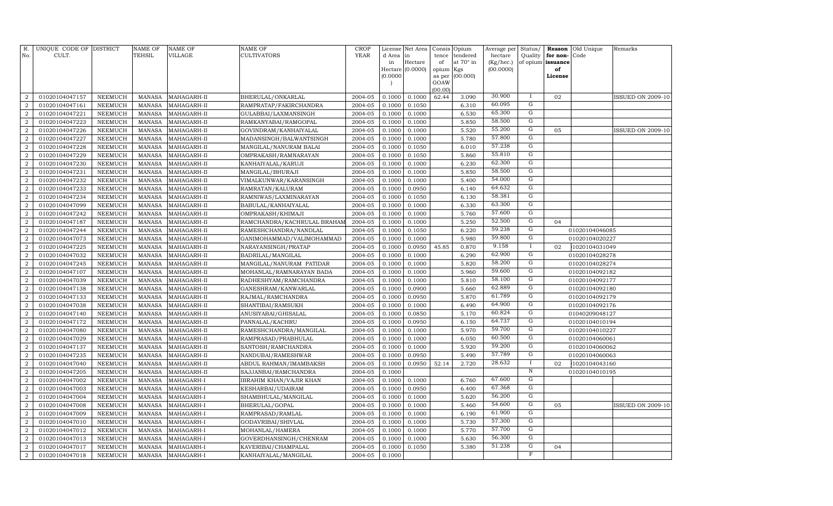| R.<br>No.                        | UNIQUE CODE OF DISTRICT<br>CULT. |                                  | <b>NAME OF</b><br>TEHSIL       | <b>NAME OF</b><br><b>VILLAGE</b> | NAME OF<br><b>CULTIVATORS</b>                 | <b>CROP</b><br>YEAR | License<br>d Area | Net Area<br>in   | Consis<br>tence | Opium<br>tendered | Average per<br>hectare | Status/<br>Quality | Reason<br>for non- | Old Unique<br>Code | Remarks                  |
|----------------------------------|----------------------------------|----------------------------------|--------------------------------|----------------------------------|-----------------------------------------------|---------------------|-------------------|------------------|-----------------|-------------------|------------------------|--------------------|--------------------|--------------------|--------------------------|
|                                  |                                  |                                  |                                |                                  |                                               |                     | in                | Hectare          | of              | at 70° in         | (Kg/hec.)              |                    | of opium issuance  |                    |                          |
|                                  |                                  |                                  |                                |                                  |                                               |                     |                   | Hectare (0.0000) | opium           | Kgs               | (00.0000)              |                    | of                 |                    |                          |
|                                  |                                  |                                  |                                |                                  |                                               |                     | (0.0000)          |                  | as per          | (00.000)          |                        |                    | License            |                    |                          |
|                                  |                                  |                                  |                                |                                  |                                               |                     |                   |                  | GOAW<br>(00.00) |                   |                        |                    |                    |                    |                          |
| $\overline{2}$                   | 01020104047157                   | <b>NEEMUCH</b>                   | <b>MANASA</b>                  | MAHAGARH-II                      | BHERULAL/ONKARLAL                             | 2004-05             | 0.1000            | 0.1000           | 62.44           | 3.090             | 30.900                 | $\bf{I}$           | 02                 |                    | <b>ISSUED ON 2009-10</b> |
| $\overline{2}$                   | 01020104047161                   | <b>NEEMUCH</b>                   | <b>MANASA</b>                  | MAHAGARH-II                      | RAMPRATAP/FAKIRCHANDRA                        | 2004-05             | 0.1000            | 0.1050           |                 | 6.310             | 60.095                 | $\mathbf G$        |                    |                    |                          |
| $\overline{2}$                   | 01020104047221                   | <b>NEEMUCH</b>                   | <b>MANASA</b>                  | MAHAGARH-II                      | GULABBAI/LAXMANSINGH                          | 2004-05             | 0.1000            | 0.1000           |                 | 6.530             | 65.300                 | $\mathbf G$        |                    |                    |                          |
| $\overline{2}$                   | 01020104047223                   | <b>NEEMUCH</b>                   | <b>MANASA</b>                  | MAHAGARH-II                      | RAMKANYABAI/RAMGOPAL                          | 2004-05             | 0.1000            | 0.1000           |                 | 5.850             | 58.500                 | $\overline{G}$     |                    |                    |                          |
| $\overline{2}$                   | 01020104047226                   | <b>NEEMUCH</b>                   | <b>MANASA</b>                  | MAHAGARH-II                      | GOVINDRAM/KANHAIYALAL                         | 2004-05             | 0.1000            | 0.1000           |                 | 5.520             | 55.200                 | G                  | 05                 |                    | <b>ISSUED ON 2009-10</b> |
| $\overline{2}$                   | 01020104047227                   | <b>NEEMUCH</b>                   | <b>MANASA</b>                  | MAHAGARH-II                      | MADANSINGH/BALWANTSINGH                       | 2004-05             | 0.1000            | 0.1000           |                 | 5.780             | 57.800                 | G                  |                    |                    |                          |
| 2                                | 01020104047228                   | <b>NEEMUCH</b>                   | <b>MANASA</b>                  | MAHAGARH-II                      | MANGILAL/NANURAM BALAI                        | 2004-05             | 0.1000            | 0.1050           |                 | 6.010             | 57.238                 | G                  |                    |                    |                          |
| $\overline{2}$                   | 01020104047229                   | <b>NEEMUCH</b>                   | <b>MANASA</b>                  | MAHAGARH-II                      | OMPRAKASH/RAMNARAYAN                          | 2004-05             | 0.1000            | 0.1050           |                 | 5.860             | 55.810                 | G                  |                    |                    |                          |
| $\overline{a}$                   | 01020104047230                   | <b>NEEMUCH</b>                   | <b>MANASA</b>                  | MAHAGARH-II                      | KANHAIYALAL/KARUJI                            | 2004-05             | 0.1000            | 0.1000           |                 | 6.230             | 62.300                 | ${\rm G}$          |                    |                    |                          |
| $\overline{2}$                   | 01020104047231                   | <b>NEEMUCH</b>                   | <b>MANASA</b>                  | MAHAGARH-II                      | MANGILAL/BHURAJI                              | 2004-05             | 0.1000            | 0.1000           |                 | 5.850             | 58.500                 | ${\rm G}$          |                    |                    |                          |
| $\overline{a}$                   | 01020104047232                   | <b>NEEMUCH</b>                   | <b>MANASA</b>                  | MAHAGARH-II                      | VIMALKUNWAR/KARANSINGH                        | 2004-05             | 0.1000            | 0.1000           |                 | 5.400             | 54.000                 | $\mathbf G$        |                    |                    |                          |
| $\overline{2}$                   | 01020104047233                   | <b>NEEMUCH</b>                   | <b>MANASA</b>                  | MAHAGARH-II                      | RAMRATAN/KALURAM                              | 2004-05             | 0.1000            | 0.0950           |                 | 6.140             | 64.632                 | G                  |                    |                    |                          |
| $\overline{2}$                   | 01020104047234                   | <b>NEEMUCH</b>                   | <b>MANASA</b>                  | MAHAGARH-II                      | RAMNIWAS/LAXMINARAYAN                         | 2004-05             | 0.1000            | 0.1050           |                 | 6.130             | 58.381                 | $\overline{G}$     |                    |                    |                          |
| $\overline{2}$                   | 01020104047099                   | <b>NEEMUCH</b>                   | <b>MANASA</b>                  | MAHAGARH-II                      | BABULAL/KANHAIYALAL                           | 2004-05             | 0.1000            | 0.1000           |                 | 6.330             | 63.300                 | G                  |                    |                    |                          |
| $\overline{2}$                   | 01020104047242                   | <b>NEEMUCH</b>                   | <b>MANASA</b>                  | MAHAGARH-II                      | OMPRAKASH/KHIMAJI                             | 2004-05             | 0.1000            | 0.1000           |                 | 5.760             | 57.600                 | G                  |                    |                    |                          |
| $\overline{2}$                   | 01020104047187                   | <b>NEEMUCH</b>                   | <b>MANASA</b>                  | MAHAGARH-II                      | RAMCHANDRA/KACHRULAL BRAHAN                   | 2004-05             | 0.1000            | 0.1000           |                 | 5.250             | 52.500                 | G                  | 04                 |                    |                          |
| $\overline{a}$                   | 01020104047244                   | <b>NEEMUCH</b>                   | <b>MANASA</b>                  | MAHAGARH-II                      | RAMESHCHANDRA/NANDLAL                         | 2004-05             | 0.1000            | 0.1050           |                 | 6.220             | 59.238                 | G                  |                    | 01020104046085     |                          |
| $\overline{2}$                   | 01020104047073                   | <b>NEEMUCH</b>                   | <b>MANASA</b>                  | MAHAGARH-II                      | GANIMOHAMMAD/VALIMOHAMMAD                     | 2004-05             | 0.1000            | 0.1000           |                 | 5.980             | 59.800                 | ${\rm G}$          |                    | 01020104020227     |                          |
| $\overline{a}$                   | 01020104047225                   | <b>NEEMUCH</b>                   | <b>MANASA</b>                  | MAHAGARH-II                      | NARAYANSINGH/PRATAP                           | 2004-05             | 0.1000            | 0.0950           | 45.85           | 0.870             | 9.158                  | $\bf{I}$           | 02                 | 1020104031049      |                          |
| $\overline{2}$                   | 01020104047032                   | <b>NEEMUCH</b>                   | <b>MANASA</b>                  | MAHAGARH-II                      | BADRILAL/MANGILAL                             | 2004-05             | 0.1000            | 0.1000           |                 | 6.290             | 62.900                 | G                  |                    | 01020104028278     |                          |
| $\overline{2}$                   | 01020104047245                   | <b>NEEMUCH</b>                   | <b>MANASA</b>                  | MAHAGARH-II                      | MANGILAL/NANURAM PATIDAR                      | 2004-05             | 0.1000            | 0.1000           |                 | 5.820             | 58.200                 | $\overline{G}$     |                    | 01020104028274     |                          |
| $\overline{2}$                   | 01020104047107                   | <b>NEEMUCH</b>                   | <b>MANASA</b>                  | MAHAGARH-II                      | MOHANLAL/RAMNARAYAN BADA                      | 2004-05             | 0.1000            | 0.1000           |                 | 5.960             | 59.600                 | G                  |                    | 01020104092182     |                          |
| $\overline{2}$                   | 01020104047039                   | <b>NEEMUCH</b>                   | <b>MANASA</b>                  | MAHAGARH-II                      | RADHESHYAM/RAMCHANDRA                         | 2004-05             | 0.1000            | 0.1000           |                 | 5.810             | 58.100                 | G                  |                    | 01020104092177     |                          |
| $\overline{2}$                   | 01020104047138                   | <b>NEEMUCH</b>                   | <b>MANASA</b>                  | MAHAGARH-II                      | GANESHRAM/KANWARLAL                           | 2004-05             | 0.1000            | 0.0900           |                 | 5.660             | 62.889                 | G                  |                    | 01020104092180     |                          |
| $\overline{2}$                   | 01020104047133                   | <b>NEEMUCH</b>                   | <b>MANASA</b>                  | MAHAGARH-II                      | RAJMAL/RAMCHANDRA                             | 2004-05             | 0.1000            | 0.0950           |                 | 5.870             | 61.789                 | G                  |                    | 01020104092179     |                          |
| $\overline{2}$                   | 01020104047038                   | <b>NEEMUCH</b>                   | <b>MANASA</b>                  | MAHAGARH-II                      | SHANTIBAI/RAMSUKH                             | 2004-05             | 0.1000            | 0.1000           |                 | 6.490             | 64.900                 | G                  |                    | 01020104092176     |                          |
| $\overline{a}$                   | 01020104047140                   | <b>NEEMUCH</b>                   | <b>MANASA</b>                  | MAHAGARH-II                      | ANUSIYABAI/GHISALAL                           | 2004-05             | 0.1000            | 0.0850           |                 | 5.170             | 60.824                 | ${\rm G}$          |                    | 01040209048127     |                          |
| $\overline{2}$                   | 01020104047172                   | <b>NEEMUCH</b>                   | <b>MANASA</b>                  | MAHAGARH-II                      | PANNALAL/KACHRU                               | 2004-05             | 0.1000            | 0.0950           |                 | 6.150             | 64.737                 | G                  |                    | 01020104010194     |                          |
| 2                                | 01020104047080                   | NEEMUCH                          | <b>MANASA</b>                  | MAHAGARH-II                      | RAMESHCHANDRA/MANGILAL                        | 2004-05             | 0.1000            | 0.1000           |                 | 5.970             | 59.700                 | $\overline{G}$     |                    | 01020104010227     |                          |
| $\overline{2}$                   | 01020104047029                   | <b>NEEMUCH</b>                   | <b>MANASA</b>                  | MAHAGARH-II                      | RAMPRASAD/PRABHULAL                           | 2004-05             | 0.1000            | 0.1000           |                 | 6.050             | 60.500                 | G                  |                    | 01020104060061     |                          |
| $\overline{2}$                   | 01020104047137                   | NEEMUCH                          | <b>MANASA</b>                  | MAHAGARH-II                      | SANTOSH/RAMCHANDRA                            | 2004-05             | 0.1000            | 0.1000           |                 | 5.920             | 59.200                 | G                  |                    | 01020104060062     |                          |
| $\overline{2}$                   | 01020104047235                   | <b>NEEMUCH</b>                   | <b>MANASA</b>                  | MAHAGARH-II                      | NANDUBAI/RAMESHWAR                            | 2004-05             | 0.1000            | 0.0950           |                 | 5.490             | 57.789                 | G                  |                    | 01020104060063     |                          |
| $\overline{2}$                   | 01020104047040                   | <b>NEEMUCH</b>                   | <b>MANASA</b>                  | MAHAGARH-II                      | ABDUL RAHMAN/IMAMBAKSH                        | 2004-05             | 0.1000            | 0.0950           | 52.14           | 2.720             | 28.632                 | $\bf{I}$           | 02                 | 1020104043160      |                          |
| $\overline{2}$                   | 01020104047205                   | <b>NEEMUCH</b>                   | <b>MANASA</b>                  | MAHAGARH-II                      | SAJJANBAI/RAMCHANDRA                          | 2004-05             | 0.1000            |                  |                 |                   |                        | $\, {\rm N}$       |                    | 01020104010195     |                          |
| $\overline{a}$                   | 01020104047002                   | <b>NEEMUCH</b>                   | <b>MANASA</b>                  | MAHAGARH-I                       | IBRAHIM KHAN/VAJIR KHAN                       | 2004-05             | 0.1000            | 0.1000           |                 | 6.760             | 67.600                 | G<br>G             |                    |                    |                          |
| $\overline{2}$                   | 01020104047003                   | <b>NEEMUCH</b>                   | <b>MANASA</b>                  | MAHAGARH-I                       | KESHARBAI/UDAIRAM                             | 2004-05             | 0.1000            | 0.0950           |                 | 6.400             | 67.368                 | $\overline{G}$     |                    |                    |                          |
| $\overline{a}$                   | 01020104047004                   | <b>NEEMUCH</b>                   | <b>MANASA</b>                  | MAHAGARH-I                       | SHAMBHULAL/MANGILAL                           | 2004-05             | 0.1000            | 0.1000           |                 | 5.620             | 56.200<br>54.600       | G                  |                    |                    |                          |
| $\overline{2}$                   | 01020104047008                   | <b>NEEMUCH</b>                   | <b>MANASA</b>                  | MAHAGARH-I                       | BHERULAL/GOPAL                                | 2004-05             | 0.1000            | 0.1000           |                 | 5.460             | 61.900                 | $\mathbf G$        | 05                 |                    | ISSUED ON 2009-10        |
| $\overline{2}$<br>$\overline{2}$ | 01020104047009                   | NEEMUCH                          | <b>MANASA</b>                  | MAHAGARH-I                       | RAMPRASAD/RAMLAL                              | 2004-05<br>2004-05  | 0.1000            | 0.1000<br>0.1000 |                 | 6.190<br>5.730    | 57.300                 | G                  |                    |                    |                          |
| $\overline{2}$                   | 01020104047010                   | <b>NEEMUCH</b>                   | <b>MANASA</b>                  | MAHAGARH-I                       | GODAVRIBAI/SHIVLAL                            | 2004-05             | 0.1000<br>0.1000  |                  |                 | 5.770             | 57.700                 | G                  |                    |                    |                          |
| $\overline{2}$                   | 01020104047012                   | <b>NEEMUCH</b>                   | <b>MANASA</b>                  | MAHAGARH-I                       | MOHANLAL/HAMERA                               | 2004-05             | 0.1000            | 0.1000           |                 | 5.630             | 56.300                 | G                  |                    |                    |                          |
| $\overline{2}$                   | 01020104047013<br>01020104047017 | <b>NEEMUCH</b><br><b>NEEMUCH</b> | <b>MANASA</b><br><b>MANASA</b> | MAHAGARH-I<br>MAHAGARH-I         | GOVERDHANSINGH/CHENRAM<br>KAVERIBAI/CHAMPALAL | 2004-05             | 0.1000            | 0.1000<br>0.1050 |                 | 5.380             | 51.238                 | G                  | 04                 |                    |                          |
| $\overline{a}$                   | 01020104047018                   | NEEMUCH                          | MANASA                         |                                  | KANHAIYALAL/MANGILAL                          | 2004-05             | 0.1000            |                  |                 |                   |                        | $_{\rm F}$         |                    |                    |                          |
|                                  |                                  |                                  |                                | MAHAGARH-I                       |                                               |                     |                   |                  |                 |                   |                        |                    |                    |                    |                          |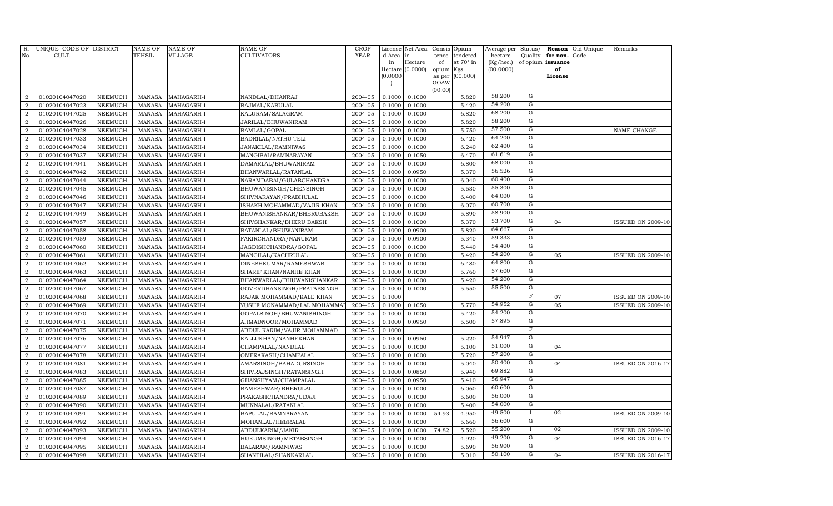| R.<br>No.        | UNIQUE CODE OF DISTRICT<br>CULT. |                | <b>NAME OF</b><br>TEHSIL | <b>NAME OF</b><br><b>VILLAGE</b> | <b>NAME OF</b><br><b>CULTIVATORS</b> | <b>CROP</b><br>YEAR | License<br>d Area | Net Area<br>in   | Consis<br>tence | Opium<br>tendered | Average per<br>hectare | Status/<br>Quality | Reason<br>for non- | Old Unique<br>Code | Remarks                  |
|------------------|----------------------------------|----------------|--------------------------|----------------------------------|--------------------------------------|---------------------|-------------------|------------------|-----------------|-------------------|------------------------|--------------------|--------------------|--------------------|--------------------------|
|                  |                                  |                |                          |                                  |                                      |                     | in                | Hectare          | of              | at 70° in         | $(Kg/$ hec. $)$        |                    | of opium issuance  |                    |                          |
|                  |                                  |                |                          |                                  |                                      |                     |                   | Hectare (0.0000) | opium Kgs       |                   | (00.0000)              |                    | of                 |                    |                          |
|                  |                                  |                |                          |                                  |                                      |                     | (0.0000)          |                  | as per<br>GOAW  | (00.000)          |                        |                    | License            |                    |                          |
|                  |                                  |                |                          |                                  |                                      |                     |                   |                  | (00.00)         |                   |                        |                    |                    |                    |                          |
| $\overline{2}$   | 01020104047020                   | <b>NEEMUCH</b> | <b>MANASA</b>            | MAHAGARH-I                       | NANDLAL/DHANRAJ                      | 2004-05             | 0.1000            | 0.1000           |                 | 5.820             | 58.200                 | G                  |                    |                    |                          |
| $\overline{2}$   | 01020104047023                   | <b>NEEMUCH</b> | <b>MANASA</b>            | MAHAGARH-I                       | RAJMAL/KARULAL                       | 2004-05             | 0.1000            | 0.1000           |                 | 5.420             | 54.200                 | $\mathbf G$        |                    |                    |                          |
| $\overline{2}$   | 01020104047025                   | <b>NEEMUCH</b> | <b>MANASA</b>            | MAHAGARH-I                       | KALURAM/SALAGRAM                     | 2004-05             | 0.1000            | 0.1000           |                 | 6.820             | 68.200                 | $\overline{G}$     |                    |                    |                          |
| $\overline{2}$   | 01020104047026                   | NEEMUCH        | <b>MANASA</b>            | MAHAGARH-I                       | JARILAL/BHUWANIRAM                   | 2004-05             | 0.1000            | 0.1000           |                 | 5.820             | 58.200                 | G                  |                    |                    |                          |
| $\overline{2}$   | 01020104047028                   | <b>NEEMUCH</b> | <b>MANASA</b>            | MAHAGARH-I                       | RAMLAL/GOPAL                         | 2004-05             | 0.1000            | 0.1000           |                 | 5.750             | 57.500                 | G                  |                    |                    | NAME CHANGE              |
| $\boldsymbol{2}$ | 01020104047033                   | <b>NEEMUCH</b> | <b>MANASA</b>            | MAHAGARH-I                       | <b>BADRILAL/NATHU TELI</b>           | 2004-05             | 0.1000            | 0.1000           |                 | 6.420             | 64.200                 | G                  |                    |                    |                          |
| $\overline{2}$   | 01020104047034                   | <b>NEEMUCH</b> | <b>MANASA</b>            | MAHAGARH-I                       | JANAKILAL/RAMNIWAS                   | 2004-05             | 0.1000            | 0.1000           |                 | 6.240             | 62.400                 | G                  |                    |                    |                          |
| $\overline{2}$   | 01020104047037                   | <b>NEEMUCH</b> | <b>MANASA</b>            | MAHAGARH-I                       | MANGIBAI/RAMNARAYAN                  | 2004-05             | 0.1000            | 0.1050           |                 | 6.470             | 61.619                 | $\overline{G}$     |                    |                    |                          |
| $\overline{2}$   | 01020104047041                   | <b>NEEMUCH</b> | <b>MANASA</b>            | MAHAGARH-I                       | DAMARLAL/BHUWANIRAM                  | 2004-05             | 0.1000            | 0.1000           |                 | 6.800             | 68.000                 | ${\rm G}$          |                    |                    |                          |
| $\overline{2}$   | 01020104047042                   | <b>NEEMUCH</b> | <b>MANASA</b>            | MAHAGARH-I                       | BHANWARLAL/RATANLAL                  | 2004-05             | 0.1000            | 0.0950           |                 | 5.370             | 56.526                 | G                  |                    |                    |                          |
| $\overline{2}$   | 01020104047044                   | <b>NEEMUCH</b> | <b>MANASA</b>            | MAHAGARH-I                       | NARAMDABAI/GULABCHANDRA              | 2004-05             | 0.1000            | 0.1000           |                 | 6.040             | 60.400                 | ${\rm G}$          |                    |                    |                          |
| $\boldsymbol{2}$ | 01020104047045                   | <b>NEEMUCH</b> | <b>MANASA</b>            | MAHAGARH-I                       | BHUWANISINGH/CHENSINGH               | 2004-05             | 0.1000            | 0.1000           |                 | 5.530             | 55.300                 | ${\rm G}$          |                    |                    |                          |
| $\overline{2}$   | 01020104047046                   | NEEMUCH        | <b>MANASA</b>            | MAHAGARH-I                       | SHIVNARAYAN/PRABHULAL                | 2004-05             | 0.1000            | 0.1000           |                 | 6.400             | 64.000                 | $\overline{G}$     |                    |                    |                          |
| $\boldsymbol{2}$ | 01020104047047                   | <b>NEEMUCH</b> | <b>MANASA</b>            | MAHAGARH-I                       | ISHAKH MOHAMMAD/VAJIR KHAN           | 2004-05             | 0.1000            | 0.1000           |                 | 6.070             | 60.700                 | G                  |                    |                    |                          |
| $\overline{2}$   | 01020104047049                   | <b>NEEMUCH</b> | <b>MANASA</b>            | MAHAGARH-I                       | BHUWANISHANKAR/BHERUBAKSH            | 2004-05             | 0.1000            | 0.1000           |                 | 5.890             | 58.900                 | G                  |                    |                    |                          |
| $\boldsymbol{2}$ | 01020104047057                   | <b>NEEMUCH</b> | <b>MANASA</b>            | MAHAGARH-I                       | SHIVSHANKAR/BHERU BAKSH              | 2004-05             | 0.1000            | 0.1000           |                 | 5.370             | 53.700                 | G                  | 04                 |                    | <b>ISSUED ON 2009-10</b> |
| $\boldsymbol{2}$ | 01020104047058                   | NEEMUCH        | <b>MANASA</b>            | MAHAGARH-I                       | RATANLAL/BHUWANIRAM                  | 2004-05             | 0.1000            | 0.0900           |                 | 5.820             | 64.667                 | G                  |                    |                    |                          |
| $\boldsymbol{2}$ | 01020104047059                   | NEEMUCH        | <b>MANASA</b>            | MAHAGARH-I                       | FAKIRCHANDRA/NANURAM                 | 2004-05             | 0.1000            | 0.0900           |                 | 5.340             | 59.333                 | $\mathbf G$        |                    |                    |                          |
| $\boldsymbol{2}$ | 01020104047060                   | NEEMUCH        | <b>MANASA</b>            | MAHAGARH-I                       | JAGDISHCHANDRA/GOPAL                 | 2004-05             | 0.1000            | 0.1000           |                 | 5.440             | 54.400                 | $\mathbf G$        |                    |                    |                          |
| $\overline{2}$   | 01020104047061                   | <b>NEEMUCH</b> | <b>MANASA</b>            | MAHAGARH-I                       | MANGILAL/KACHRULAL                   | 2004-05             | 0.1000            | 0.1000           |                 | 5.420             | 54.200                 | $\mathbf G$        | 05                 |                    | <b>ISSUED ON 2009-10</b> |
| $\overline{2}$   | 01020104047062                   | NEEMUCH        | <b>MANASA</b>            | MAHAGARH-I                       | DINESHKUMAR/RAMESHWAR                | 2004-05             | 0.1000            | 0.1000           |                 | 6.480             | 64.800                 | $\mathbf G$        |                    |                    |                          |
| $\overline{2}$   | 01020104047063                   | NEEMUCH        | MANASA                   | MAHAGARH-I                       | SHARIF KHAN/NANHE KHAN               | 2004-05             | 0.1000            | 0.1000           |                 | 5.760             | 57.600                 | G                  |                    |                    |                          |
| 2                | 01020104047064                   | NEEMUCH        | <b>MANASA</b>            | MAHAGARH-I                       | BHANWARLAL/BHUWANISHANKAR            | 2004-05             | 0.1000            | 0.1000           |                 | 5.420             | 54.200                 | G                  |                    |                    |                          |
| $\overline{2}$   | 01020104047067                   | <b>NEEMUCH</b> | <b>MANASA</b>            | MAHAGARH-I                       | GOVERDHANSINGH/PRATAPSINGH           | 2004-05             | 0.1000            | 0.1000           |                 | 5.550             | 55.500                 | G                  |                    |                    |                          |
| $\overline{2}$   | 01020104047068                   | <b>NEEMUCH</b> | <b>MANASA</b>            | MAHAGARH-I                       | RAJAK MOHAMMAD/KALE KHAN             | 2004-05             | 0.1000            |                  |                 |                   |                        | $_{\rm F}$         | 07                 |                    | ISSUED ON 2009-10        |
| $\overline{2}$   | 01020104047069                   | <b>NEEMUCH</b> | <b>MANASA</b>            | MAHAGARH-I                       | YUSUF MONAMMAD/LAL MOHAMMA           | 2004-05             | 0.1000            | 0.1050           |                 | 5.770             | 54.952                 | G                  | 05                 |                    | <b>ISSUED ON 2009-10</b> |
| $\overline{2}$   | 01020104047070                   | <b>NEEMUCH</b> | <b>MANASA</b>            | MAHAGARH-I                       | GOPALSINGH/BHUWANISHINGH             | 2004-05             | 0.1000            | 0.1000           |                 | 5.420             | 54.200                 | $\mathbf G$        |                    |                    |                          |
| $\overline{2}$   | 01020104047071                   | <b>NEEMUCH</b> | <b>MANASA</b>            | MAHAGARH-I                       | AHMADNOOR/MOHAMMAD                   | 2004-05             | 0.1000            | 0.0950           |                 | 5.500             | 57.895                 | $\mathbf G$        |                    |                    |                          |
| $\overline{2}$   | 01020104047075                   | <b>NEEMUCH</b> | <b>MANASA</b>            | MAHAGARH-I                       | ABDUL KARIM/VAJIR MOHAMMAD           | 2004-05             | 0.1000            |                  |                 |                   |                        | F                  |                    |                    |                          |
| $\boldsymbol{2}$ | 01020104047076                   | <b>NEEMUCH</b> | <b>MANASA</b>            | MAHAGARH-I                       | KALLUKHAN/NANHEKHAN                  | 2004-05             | 0.1000            | 0.0950           |                 | 5.220             | 54.947                 | $\mathbf G$        |                    |                    |                          |
| $\overline{2}$   | 01020104047077                   | <b>NEEMUCH</b> | <b>MANASA</b>            | MAHAGARH-I                       | CHAMPALAL/NANDLAL                    | 2004-05             | 0.1000            | 0.1000           |                 | 5.100             | 51.000                 | G                  | 04                 |                    |                          |
| $\boldsymbol{2}$ | 01020104047078                   | <b>NEEMUCH</b> | <b>MANASA</b>            | MAHAGARH-I                       | OMPRAKASH/CHAMPALAL                  | 2004-05             | 0.1000            | 0.1000           |                 | 5.720             | 57.200                 | G                  |                    |                    |                          |
| $\overline{2}$   | 01020104047081                   | <b>NEEMUCH</b> | <b>MANASA</b>            | MAHAGARH-I                       | AMARSINGH/BAHADURSINGH               | 2004-05             | 0.1000            | 0.1000           |                 | 5.040             | 50.400                 | G                  | 04                 |                    | <b>ISSUED ON 2016-17</b> |
| $\overline{2}$   | 01020104047083                   | <b>NEEMUCH</b> | <b>MANASA</b>            | MAHAGARH-I                       | SHIVRAJSINGH/RATANSINGH              | 2004-05             | 0.1000            | 0.0850           |                 | 5.940             | 69.882                 | G                  |                    |                    |                          |
| $\overline{2}$   | 01020104047085                   | <b>NEEMUCH</b> | <b>MANASA</b>            | MAHAGARH-I                       | GHANSHYAM/CHAMPALAL                  | 2004-05             | 0.1000            | 0.0950           |                 | 5.410             | 56.947                 | G                  |                    |                    |                          |
| $\overline{2}$   | 01020104047087                   | <b>NEEMUCH</b> | <b>MANASA</b>            | MAHAGARH-I                       | RAMESHWAR/BHERULAL                   | 2004-05             | 0.1000            | 0.1000           |                 | 6.060             | 60.600                 | G                  |                    |                    |                          |
| $\overline{2}$   | 01020104047089                   | <b>NEEMUCH</b> | <b>MANASA</b>            | MAHAGARH-I                       | PRAKASHCHANDRA/UDAJI                 | 2004-05             | 0.1000            | 0.1000           |                 | 5.600             | 56.000                 | G                  |                    |                    |                          |
| $\boldsymbol{2}$ | 01020104047090                   | <b>NEEMUCH</b> | <b>MANASA</b>            | MAHAGARH-I                       | MUNNALAL/RATANLAL                    | 2004-05             | 0.1000            | 0.1000           |                 | 5.400             | 54.000                 | G                  |                    |                    |                          |
| $\overline{2}$   | 01020104047091                   | <b>NEEMUCH</b> | <b>MANASA</b>            | MAHAGARH-I                       | BAPULAL/RAMNARAYAN                   | 2004-05             | 0.1000            | 0.1000           | 54.93           | 4.950             | 49.500                 | $\bf{I}$           | 02                 |                    | <b>ISSUED ON 2009-10</b> |
| $\overline{2}$   | 01020104047092                   | <b>NEEMUCH</b> | <b>MANASA</b>            | MAHAGARH-I                       | MOHANLAL/HEERALAL                    | 2004-05             | 0.1000            | 0.1000           |                 | 5.660             | 56.600                 | G                  |                    |                    |                          |
| $\overline{2}$   | 01020104047093                   | NEEMUCH        | <b>MANASA</b>            | MAHAGARH-I                       | ABDULKARIM/JAKIR                     | 2004-05             | 0.1000            | 0.1000           | 74.82           | 5.520             | 55.200                 | $\bf{I}$           | 02                 |                    | <b>ISSUED ON 2009-10</b> |
| $\overline{2}$   | 01020104047094                   | <b>NEEMUCH</b> | <b>MANASA</b>            | MAHAGARH-I                       | HUKUMSINGH/METABSINGH                | 2004-05             | 0.1000            | 0.1000           |                 | 4.920             | 49.200                 | G<br>G             | 04                 |                    | <b>ISSUED ON 2016-17</b> |
| $\overline{2}$   | 01020104047095                   | <b>NEEMUCH</b> | <b>MANASA</b>            | MAHAGARH-I                       | <b>BALARAM/RAMNIWAS</b>              | 2004-05             | 0.1000            | 0.1000           |                 | 5.690             | 56.900<br>50.100       | G                  |                    |                    |                          |
| $\boldsymbol{2}$ | 01020104047098                   | <b>NEEMUCH</b> | MANASA                   | MAHAGARH-I                       | SHANTILAL/SHANKARLAL                 | 2004-05             | 0.1000            | 0.1000           |                 | 5.010             |                        |                    | 04                 |                    | <b>ISSUED ON 2016-17</b> |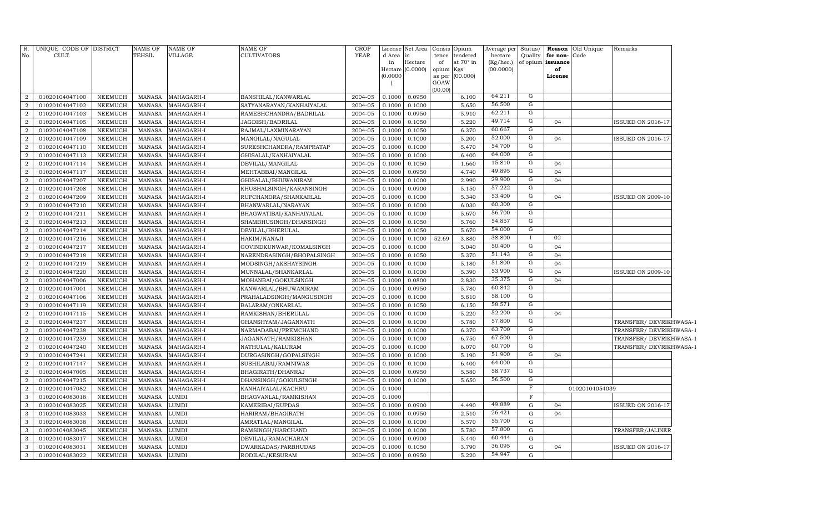| $R_{\cdot}$                      | UNIQUE CODE OF DISTRICT          |                                  | <b>NAME OF</b>                 | <b>NAME OF</b>           | NAME OF                                        | <b>CROP</b>        |                  | License Net Area            |                 | Consis Opium     | Average per Status/    |                |                         | <b>Reason</b> Old Unique | Remarks                  |
|----------------------------------|----------------------------------|----------------------------------|--------------------------------|--------------------------|------------------------------------------------|--------------------|------------------|-----------------------------|-----------------|------------------|------------------------|----------------|-------------------------|--------------------------|--------------------------|
| No.                              | CULT.                            |                                  | <b>TEHSIL</b>                  | VILLAGE                  | CULTIVATORS                                    | <b>YEAR</b>        | d Area in        |                             | tence           | tendered         | hectare                |                | Quality for non-Code    |                          |                          |
|                                  |                                  |                                  |                                |                          |                                                |                    | in               | Hectare<br>Hectare (0.0000) | of<br>opium Kgs | at $70^\circ$ in | (Kg/hec.)<br>(00.0000) |                | of opium issuance<br>of |                          |                          |
|                                  |                                  |                                  |                                |                          |                                                |                    | (0.0000)         |                             |                 | as per (00.000)  |                        |                | License                 |                          |                          |
|                                  |                                  |                                  |                                |                          |                                                |                    |                  |                             | GOAW            |                  |                        |                |                         |                          |                          |
|                                  |                                  |                                  |                                |                          |                                                |                    |                  |                             | (00.00)         |                  | 64.211                 | G              |                         |                          |                          |
| $\overline{2}$                   | 01020104047100                   | NEEMUCH                          | MANASA                         | MAHAGARH-I               | BANSHILAL/KANWARLAL                            | 2004-05            | 0.1000           | 0.0950                      |                 | 6.100            | 56.500                 | G              |                         |                          |                          |
| $\overline{2}$<br>$\overline{2}$ | 01020104047102<br>01020104047103 | NEEMUCH                          | <b>MANASA</b><br>MANASA        | MAHAGARH-I               | SATYANARAYAN/KANHAIYALAL                       | 2004-05            | 0.1000<br>0.1000 | 0.1000                      |                 | 5.650<br>5.910   | 62.211                 | G              |                         |                          |                          |
| $\overline{2}$                   | 01020104047105                   | NEEMUCH<br>NEEMUCH               | MANASA                         | MAHAGARH-I<br>MAHAGARH-I | RAMESHCHANDRA/BADRILAL                         | 2004-05            |                  | 0.0950                      |                 | 5.220            | 49.714                 | G              | 04                      |                          | <b>ISSUED ON 2016-17</b> |
| $\overline{2}$                   | 01020104047108                   | NEEMUCH                          | MANASA                         | MAHAGARH-I               | JAGDISH/BADRILAL                               | 2004-05<br>2004-05 | 0.1000<br>0.1000 | 0.1050<br>0.1050            |                 | 6.370            | 60.667                 | $\overline{G}$ |                         |                          |                          |
| $\overline{2}$                   | 01020104047109                   | NEEMUCH                          | MANASA                         | MAHAGARH-I               | RAJMAL/LAXMINARAYAN<br>MANGILAL/NAGULAL        | 2004-05            | 0.1000           | 0.1000                      |                 | 5.200            | 52.000                 | $\overline{G}$ | 04                      |                          | <b>ISSUED ON 2016-17</b> |
| $\overline{2}$                   | 01020104047110                   | NEEMUCH                          | <b>MANASA</b>                  | MAHAGARH-I               | SURESHCHANDRA/RAMPRATAP                        | 2004-05            | 0.1000           | 0.1000                      |                 | 5.470            | 54.700                 | $\overline{G}$ |                         |                          |                          |
| $\overline{2}$                   | 01020104047113                   | <b>NEEMUCH</b>                   | MANASA                         | MAHAGARH-I               | GHISALAL/KANHAIYALAL                           | 2004-05            | 0.1000           | 0.1000                      |                 | 6.400            | 64.000                 | G              |                         |                          |                          |
| $\overline{2}$                   | 01020104047114                   | <b>NEEMUCH</b>                   | <b>MANASA</b>                  | MAHAGARH-I               | DEVILAL/MANGILAL                               | 2004-05            | 0.1000           | 0.1050                      |                 | 1.660            | 15.810                 | G              | 04                      |                          |                          |
| $\overline{2}$                   | 01020104047117                   | <b>NEEMUCH</b>                   | <b>MANASA</b>                  | MAHAGARH-I               |                                                | 2004-05            | 0.1000           | 0.0950                      |                 | 4.740            | 49.895                 | G              | 04                      |                          |                          |
| $\overline{2}$                   | 01020104047207                   |                                  |                                | MAHAGARH-I               | MEHTABBAI/MANGILAL                             | 2004-05            |                  |                             |                 | 2.990            | 29.900                 | $\overline{G}$ | 04                      |                          |                          |
| $\overline{2}$                   | 01020104047208                   | NEEMUCH<br>NEEMUCH               | <b>MANASA</b><br><b>MANASA</b> | MAHAGARH-I               | GHISALAL/BHUWANIRAM<br>KHUSHALSINGH/KARANSINGH | 2004-05            | 0.1000<br>0.1000 | 0.1000<br>0.0900            |                 | 5.150            | 57.222                 | G              |                         |                          |                          |
| $\overline{2}$                   | 01020104047209                   | <b>NEEMUCH</b>                   | <b>MANASA</b>                  | MAHAGARH-I               | RUPCHANDRA/SHANKARLAL                          | 2004-05            | 0.1000           | 0.1000                      |                 | 5.340            | 53.400                 | $\overline{G}$ | 04                      |                          | <b>ISSUED ON 2009-10</b> |
| $\overline{2}$                   | 01020104047210                   | <b>NEEMUCH</b>                   | <b>MANASA</b>                  | MAHAGARH-I               |                                                | 2004-05            | 0.1000           | 0.1000                      |                 | 6.030            | 60.300                 | $\overline{G}$ |                         |                          |                          |
| $\overline{2}$                   | 01020104047211                   | <b>NEEMUCH</b>                   | <b>MANASA</b>                  | MAHAGARH-I               | BHANWARLAL/NARAYAN<br>BHAGWATIBAI/KANHAIYALAL  | 2004-05            | 0.1000           | 0.1000                      |                 | 5.670            | 56.700                 | $\overline{G}$ |                         |                          |                          |
| $\overline{2}$                   | 01020104047213                   | NEEMUCH                          | <b>MANASA</b>                  | MAHAGARH-I               | SHAMBHUSINGH/DHANSINGH                         | 2004-05            | 0.1000           | 0.1050                      |                 | 5.760            | 54.857                 | G              |                         |                          |                          |
| $\overline{2}$                   | 01020104047214                   | <b>NEEMUCH</b>                   | <b>MANASA</b>                  | MAHAGARH-I               |                                                | 2004-05            | 0.1000           | 0.1050                      |                 | 5.670            | 54.000                 | G              |                         |                          |                          |
| $\overline{a}$                   |                                  |                                  |                                |                          | DEVILAL/BHERULAL                               |                    |                  |                             |                 |                  | 38.800                 |                | 02                      |                          |                          |
| $\overline{2}$                   | 01020104047216                   | <b>NEEMUCH</b>                   | <b>MANASA</b>                  | MAHAGARH-I               | HAKIM/NANAJI                                   | 2004-05            | 0.1000           | 0.1000                      | 52.69           | 3.880            | 50.400                 | G              | 04                      |                          |                          |
|                                  | 01020104047217                   | <b>NEEMUCH</b>                   | <b>MANASA</b>                  | MAHAGARH-I               | GOVINDKUNWAR/KOMALSINGH                        | 2004-05            | 0.1000           | 0.1000                      |                 | 5.040            | 51.143                 | G              | 04                      |                          |                          |
| $\overline{2}$<br>$\overline{2}$ | 01020104047218<br>01020104047219 | <b>NEEMUCH</b><br><b>NEEMUCH</b> | <b>MANASA</b><br><b>MANASA</b> | MAHAGARH-I<br>MAHAGARH-I | NARENDRASINGH/BHOPALSINGH                      | 2004-05<br>2004-05 | 0.1000<br>0.1000 | 0.1050<br>0.1000            |                 | 5.370<br>5.180   | 51.800                 | G              | 04                      |                          |                          |
| $\overline{2}$                   | 01020104047220                   | <b>NEEMUCH</b>                   | <b>MANASA</b>                  | MAHAGARH-I               | MODSINGH/AKSHAYSINGH                           | 2004-05            | 0.1000           | 0.1000                      |                 | 5.390            | 53.900                 | G              | 04                      |                          | <b>ISSUED ON 2009-10</b> |
| $\overline{2}$                   | 01020104047006                   | <b>NEEMUCH</b>                   | <b>MANASA</b>                  | MAHAGARH-I               | MUNNALAL/SHANKARLAL                            | 2004-05            | 0.1000           | 0.0800                      |                 | 2.830            | 35.375                 | G              | 04                      |                          |                          |
| $\overline{2}$                   | 01020104047001                   | <b>NEEMUCH</b>                   | <b>MANASA</b>                  | MAHAGARH-I               | MOHANBAI/GOKULSINGH<br>KANWARLAL/BHUWANIRAM    | 2004-05            | 0.1000           | 0.0950                      |                 | 5.780            | 60.842                 | G              |                         |                          |                          |
| $\overline{2}$                   | 01020104047106                   | <b>NEEMUCH</b>                   | <b>MANASA</b>                  | MAHAGARH-I               | PRAHALADSINGH/MANGUSINGH                       | 2004-05            | 0.1000           | 0.1000                      |                 | 5.810            | 58.100                 | G              |                         |                          |                          |
| $\overline{2}$                   | 01020104047119                   | <b>NEEMUCH</b>                   | <b>MANASA</b>                  | MAHAGARH-I               | BALARAM/ONKARLAL                               | 2004-05            | 0.1000           | 0.1050                      |                 | 6.150            | 58.571                 | G              |                         |                          |                          |
| $\overline{2}$                   | 01020104047115                   | <b>NEEMUCH</b>                   | <b>MANASA</b>                  | MAHAGARH-I               | RAMKISHAN/BHERULAL                             | 2004-05            | 0.1000           | 0.1000                      |                 | 5.220            | 52.200                 | G              | 04                      |                          |                          |
| $\overline{2}$                   | 01020104047237                   | <b>NEEMUCH</b>                   | <b>MANASA</b>                  | MAHAGARH-I               | GHANSHYAM/JAGANNATH                            | 2004-05            | 0.1000           | 0.1000                      |                 | 5.780            | 57.800                 | G              |                         |                          | TRANSFER/DEVRIKHWASA-1   |
| $\overline{a}$                   | 01020104047238                   | <b>NEEMUCH</b>                   | <b>MANASA</b>                  | MAHAGARH-I               | NARMADABAI/PREMCHAND                           | 2004-05            | 0.1000           | 0.1000                      |                 | 6.370            | 63.700                 | G              |                         |                          | TRANSFER/DEVRIKHWASA-1   |
| $\overline{2}$                   | 01020104047239                   | <b>NEEMUCH</b>                   | <b>MANASA</b>                  | MAHAGARH-I               | JAGANNATH/RAMKISHAN                            | 2004-05            | 0.1000           | 0.1000                      |                 | 6.750            | 67.500                 | G              |                         |                          | TRANSFER/DEVRIKHWASA-1   |
| $\overline{2}$                   | 01020104047240                   | <b>NEEMUCH</b>                   | <b>MANASA</b>                  | MAHAGARH-I               | NATHULAL/KALURAM                               | 2004-05            | 0.1000           | 0.1000                      |                 | 6.070            | 60.700                 | G              |                         |                          | TRANSFER/DEVRIKHWASA-1   |
| $\overline{2}$                   | 01020104047241                   | <b>NEEMUCH</b>                   | <b>MANASA</b>                  | MAHAGARH-I               | DURGASINGH/GOPALSINGH                          | 2004-05            | 0.1000           | 0.1000                      |                 | 5.190            | 51.900                 | G              | 04                      |                          |                          |
| $\overline{2}$                   | 01020104047147                   | <b>NEEMUCH</b>                   | <b>MANASA</b>                  | MAHAGARH-I               | SUSHILABAI/RAMNIWAS                            | 2004-05            | 0.1000           | 0.1000                      |                 | 6.400            | 64.000                 | G              |                         |                          |                          |
| $\overline{2}$                   | 01020104047005                   | <b>NEEMUCH</b>                   | <b>MANASA</b>                  | MAHAGARH-I               | BHAGIRATH/DHANRAJ                              | 2004-05            | 0.1000           | 0.0950                      |                 | 5.580            | 58.737                 | G              |                         |                          |                          |
| $\overline{2}$                   | 01020104047215                   | <b>NEEMUCH</b>                   | <b>MANASA</b>                  | MAHAGARH-I               | DHANSINGH/GOKULSINGH                           | 2004-05            | 0.1000           | 0.1000                      |                 | 5.650            | 56.500                 | G              |                         |                          |                          |
| $\overline{2}$                   | 01020104047082                   | <b>NEEMUCH</b>                   | <b>MANASA</b>                  | MAHAGARH-I               | KANHAIYALAL/KACHRU                             | 2004-05            | 0.1000           |                             |                 |                  |                        | F              |                         | 01020104054039           |                          |
| $\mathbf{3}$                     | 01020104083018                   | <b>NEEMUCH</b>                   | <b>MANASA</b>                  | LUMDI                    | BHAGVANLAL/RAMKISHAN                           | 2004-05            | 0.1000           |                             |                 |                  |                        | $\mathbf F$    |                         |                          |                          |
| $\mathbf{3}$                     | 01020104083025                   | <b>NEEMUCH</b>                   | <b>MANASA</b>                  | LUMDI                    | KAMERIBAI/RUPDAS                               | 2004-05            | 0.1000           | 0.0900                      |                 | 4.490            | 49.889                 | G              | 04                      |                          | <b>ISSUED ON 2016-17</b> |
| $\mathbf{3}$                     | 01020104083033                   | <b>NEEMUCH</b>                   | <b>MANASA</b>                  | LUMDI                    | HARIRAM/BHAGIRATH                              | 2004-05            | 0.1000           | 0.0950                      |                 | 2.510            | 26.421                 | G              | 04                      |                          |                          |
| $\mathbf{3}$                     | 01020104083038                   | <b>NEEMUCH</b>                   | <b>MANASA</b>                  | LUMDI                    | AMRATLAL/MANGILAL                              | 2004-05            | 0.1000           | 0.1000                      |                 | 5.570            | 55.700                 | G              |                         |                          |                          |
| $\overline{3}$                   | 01020104083045                   | <b>NEEMUCH</b>                   | <b>MANASA</b>                  | LUMDI                    | RAMSINGH/HARCHAND                              | 2004-05            | 0.1000           | 0.1000                      |                 | 5.780            | 57.800                 | G              |                         |                          | TRANSFER/JALINER         |
| $\mathbf{3}$                     | 01020104083017                   | <b>NEEMUCH</b>                   | <b>MANASA</b>                  | LUMDI                    | DEVILAL/RAMACHARAN                             | 2004-05            | 0.1000           | 0.0900                      |                 | 5.440            | 60.444                 | G              |                         |                          |                          |
| $\mathbf{3}$                     | 01020104083031                   | <b>NEEMUCH</b>                   | <b>MANASA</b>                  | LUMDI                    | DWARKADAS/PARBHUDAS                            | 2004-05            | 0.1000           | 0.1050                      |                 | 3.790            | 36.095                 | G              | 04                      |                          | <b>ISSUED ON 2016-17</b> |
| $\mathbf{3}$                     | 01020104083022                   | NEEMUCH                          | <b>MANASA</b>                  | <b>LUMDI</b>             | RODILAL/KESURAM                                | 2004-05            | 0.1000           | 0.0950                      |                 | 5.220            | 54.947                 | G              |                         |                          |                          |
|                                  |                                  |                                  |                                |                          |                                                |                    |                  |                             |                 |                  |                        |                |                         |                          |                          |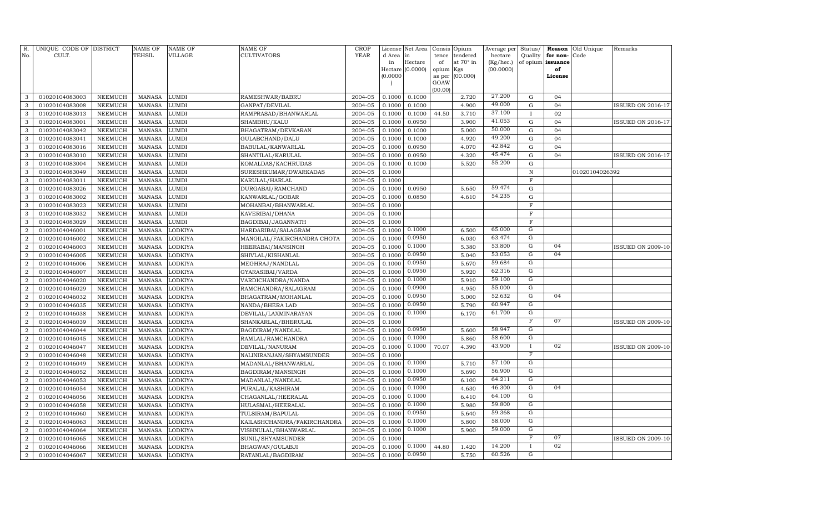| R.<br>No.        | UNIQUE CODE OF DISTRICT<br>CULT. |                | <b>NAME OF</b><br>TEHSIL | <b>NAME OF</b><br><b>VILLAGE</b> | NAME OF<br><b>CULTIVATORS</b> | <b>CROP</b><br><b>YEAR</b> | License<br>d Area | Net Area<br>in   | Consis<br>tence | Opium<br>tendered | Average per<br>hectare | Status/<br>Quality | Reason<br>for non- | Old Unique<br>Code | Remarks                  |
|------------------|----------------------------------|----------------|--------------------------|----------------------------------|-------------------------------|----------------------------|-------------------|------------------|-----------------|-------------------|------------------------|--------------------|--------------------|--------------------|--------------------------|
|                  |                                  |                |                          |                                  |                               |                            | in                | Hectare          | of              | at 70° in         | (Kg/hec.)              |                    | of opium issuance  |                    |                          |
|                  |                                  |                |                          |                                  |                               |                            | (0.0000)          | Hectare (0.0000) | opium           | Kgs               | (00.0000)              |                    | of                 |                    |                          |
|                  |                                  |                |                          |                                  |                               |                            |                   |                  | as per<br>GOAW  | (00.000)          |                        |                    | License            |                    |                          |
|                  |                                  |                |                          |                                  |                               |                            |                   |                  | (00.00)         |                   |                        |                    |                    |                    |                          |
| 3                | 01020104083003                   | <b>NEEMUCH</b> | <b>MANASA</b>            | LUMDI                            | RAMESHWAR/BABRU               | 2004-05                    | 0.1000            | 0.1000           |                 | 2.720             | 27.200                 | ${\rm G}$          | 04                 |                    |                          |
| 3                | 01020104083008                   | <b>NEEMUCH</b> | <b>MANASA</b>            | LUMDI                            | GANPAT/DEVILAL                | 2004-05                    | 0.1000            | 0.1000           |                 | 4.900             | 49.000                 | ${\rm G}$          | 04                 |                    | <b>ISSUED ON 2016-17</b> |
| 3                | 01020104083013                   | <b>NEEMUCH</b> | <b>MANASA</b>            | LUMDI                            | RAMPRASAD/BHANWARLAL          | 2004-05                    | 0.1000            | 0.1000           | 44.50           | 3.710             | 37.100                 | $\mathbf{I}$       | 02                 |                    |                          |
| 3                | 01020104083001                   | <b>NEEMUCH</b> | <b>MANASA</b>            | LUMDI                            | SHAMBHU/KALU                  | 2004-05                    | 0.1000            | 0.0950           |                 | 3.900             | 41.053                 | ${\rm G}$          | 04                 |                    | <b>ISSUED ON 2016-17</b> |
| 3                | 01020104083042                   | <b>NEEMUCH</b> | <b>MANASA</b>            | LUMDI                            | BHAGATRAM/DEVKARAN            | 2004-05                    | 0.1000            | 0.1000           |                 | 5.000             | 50.000                 | ${\bf G}$          | 04                 |                    |                          |
| 3                | 01020104083041                   | <b>NEEMUCH</b> | <b>MANASA</b>            | LUMDI                            | GULABCHAND/DALU               | 2004-05                    | 0.1000            | 0.1000           |                 | 4.920             | 49.200                 | ${\rm G}$          | 04                 |                    |                          |
| 3                | 01020104083016                   | <b>NEEMUCH</b> | <b>MANASA</b>            | LUMDI                            | BABULAL/KANWARLAL             | 2004-05                    | 0.1000            | 0.0950           |                 | 4.070             | 42.842                 | ${\rm G}$          | 04                 |                    |                          |
| 3                | 01020104083010                   | <b>NEEMUCH</b> | <b>MANASA</b>            | LUMDI                            | SHANTILAL/KARULAL             | 2004-05                    | 0.1000            | 0.0950           |                 | 4.320             | 45.474                 | ${\rm G}$          | 04                 |                    | <b>ISSUED ON 2016-17</b> |
| 3                | 01020104083004                   | <b>NEEMUCH</b> | <b>MANASA</b>            | LUMDI                            | KOMALDAS/KACHRUDAS            | 2004-05                    | 0.1000            | 0.1000           |                 | 5.520             | 55.200                 | $\mathbf G$        |                    |                    |                          |
| 3                | 01020104083049                   | <b>NEEMUCH</b> | <b>MANASA</b>            | LUMDI                            | SURESHKUMAR/DWARKADAS         | 2004-05                    | 0.1000            |                  |                 |                   |                        | $\, {\bf N}$       |                    | 01020104026392     |                          |
| 3                | 01020104083011                   | <b>NEEMUCH</b> | <b>MANASA</b>            | LUMDI                            | KARULAL/HARLAL                | 2004-05                    | 0.1000            |                  |                 |                   |                        | $\mathbf F$        |                    |                    |                          |
| 3                | 01020104083026                   | <b>NEEMUCH</b> | <b>MANASA</b>            | LUMDI                            | DURGABAI/RAMCHAND             | 2004-05                    | 0.1000            | 0.0950           |                 | 5.650             | 59.474                 | $\mathbf G$        |                    |                    |                          |
| 3                | 01020104083002                   | <b>NEEMUCH</b> | <b>MANASA</b>            | LUMDI                            | KANWARLAL/GOBAR               | 2004-05                    | 0.1000            | 0.0850           |                 | 4.610             | 54.235                 | $\mathbf G$        |                    |                    |                          |
| 3                | 01020104083023                   | <b>NEEMUCH</b> | <b>MANASA</b>            | LUMDI                            | MOHANBAI/BHANWARLAL           | 2004-05                    | 0.1000            |                  |                 |                   |                        | $\mathbf F$        |                    |                    |                          |
| 3                | 01020104083032                   | <b>NEEMUCH</b> | <b>MANASA</b>            | LUMDI                            | KAVERIBAI/DHANA               | 2004-05                    | 0.1000            |                  |                 |                   |                        | $\mathbf F$        |                    |                    |                          |
| 3                | 01020104083029                   | <b>NEEMUCH</b> | <b>MANASA</b>            | LUMDI                            | BAGDIBAI/JAGANNATH            | 2004-05                    | 0.1000            |                  |                 |                   |                        | $\mathbf F$        |                    |                    |                          |
| $\overline{2}$   | 01020104046001                   | <b>NEEMUCH</b> | <b>MANASA</b>            | LODKIYA                          | HARDARIBAI/SALAGRAM           | 2004-05                    | 0.1000            | 0.1000           |                 | 6.500             | 65.000                 | G                  |                    |                    |                          |
| $\overline{2}$   | 01020104046002                   | <b>NEEMUCH</b> | <b>MANASA</b>            | <b>ODKIYA</b>                    | MANGILAL/FAKIRCHANDRA CHOTA   | 2004-05                    | 0.1000            | 0.0950           |                 | 6.030             | 63.474                 | G                  |                    |                    |                          |
| $\overline{2}$   | 01020104046003                   | <b>NEEMUCH</b> | <b>MANASA</b>            | LODKIYA                          | HEERABAI/MANSINGH             | 2004-05                    | 0.1000            | 0.1000           |                 | 5.380             | 53.800                 | $\overline{G}$     | 04                 |                    | <b>ISSUED ON 2009-10</b> |
| $\boldsymbol{2}$ | 01020104046005                   | <b>NEEMUCH</b> | <b>MANASA</b>            | LODKIYA                          | SHIVLAL/KISHANLAL             | 2004-05                    | 0.1000            | 0.0950           |                 | 5.040             | 53.053                 | $\overline{G}$     | 04                 |                    |                          |
| $\overline{2}$   | 01020104046006                   | NEEMUCH        | <b>MANASA</b>            | LODKIYA                          | MEGHRAJ/NANDLAL               | 2004-05                    | 0.1000            | 0.0950           |                 | 5.670             | 59.684                 | $\overline{G}$     |                    |                    |                          |
| $\overline{2}$   | 01020104046007                   | <b>NEEMUCH</b> | <b>MANASA</b>            | LODKIYA                          | GYARASIBAI/VARDA              | 2004-05                    | 0.1000            | 0.0950           |                 | 5.920             | 62.316                 | $\overline{G}$     |                    |                    |                          |
| $\overline{2}$   | 01020104046020                   | NEEMUCH        | <b>MANASA</b>            | LODKIYA                          | VARDICHANDRA/NANDA            | 2004-05                    | 0.1000            | 0.1000           |                 | 5.910             | 59.100                 | G                  |                    |                    |                          |
| $\overline{2}$   | 01020104046029                   | <b>NEEMUCH</b> | <b>MANASA</b>            | LODKIYA                          | RAMCHANDRA/SALAGRAM           | 2004-05                    | 0.1000            | 0.0900           |                 | 4.950             | 55.000                 | G                  |                    |                    |                          |
| $\overline{2}$   | 01020104046032                   | <b>NEEMUCH</b> | <b>MANASA</b>            | LODKIYA                          | BHAGATRAM/MOHANLAL            | 2004-05                    | 0.1000            | 0.0950           |                 | 5.000             | 52.632                 | G                  | 04                 |                    |                          |
| $\overline{2}$   | 01020104046035                   | <b>NEEMUCH</b> | <b>MANASA</b>            | LODKIYA                          | NANDA/BHERA LAD               | 2004-05                    | 0.1000            | 0.0950           |                 | 5.790             | 60.947                 | $\overline{G}$     |                    |                    |                          |
| $\overline{2}$   | 01020104046038                   | <b>NEEMUCH</b> | <b>MANASA</b>            | <b>ODKIYA</b>                    | DEVILAL/LAXMINARAYAN          | 2004-05                    | 0.1000            | 0.1000           |                 | 6.170             | 61.700                 | $\mathbf G$        |                    |                    |                          |
| $\overline{2}$   | 01020104046039                   | <b>NEEMUCH</b> | <b>MANASA</b>            | <b>ODKIYA</b>                    | SHANKARLAL/BHERULAL           | 2004-05                    | 0.1000            |                  |                 |                   |                        | F                  | 07                 |                    | <b>ISSUED ON 2009-10</b> |
| $\overline{2}$   | 01020104046044                   | <b>NEEMUCH</b> | <b>MANASA</b>            | LODKIYA                          | BAGDIRAM/NANDLAL              | 2004-05                    | 0.1000            | 0.0950           |                 | 5.600             | 58.947                 | G                  |                    |                    |                          |
| $\boldsymbol{2}$ | 01020104046045                   | <b>NEEMUCH</b> | <b>MANASA</b>            | LODKIYA                          | RAMLAL/RAMCHANDRA             | 2004-05                    | 0.1000            | 0.1000           |                 | 5.860             | 58.600                 | $\mathbf G$        |                    |                    |                          |
| 2                | 01020104046047                   | <b>NEEMUCH</b> | <b>MANASA</b>            | <b>ODKIYA</b>                    | DEVILAL/NANURAM               | 2004-05                    | 0.1000            | 0.1000           | 70.07           | 4.390             | 43.900                 | $\mathbf I$        | 02                 |                    | <b>ISSUED ON 2009-10</b> |
| $\overline{2}$   | 01020104046048                   | <b>NEEMUCH</b> | <b>MANASA</b>            | <b>ODKIYA</b>                    | NALINIRANJAN/SHYAMSUNDER      | 2004-05                    | 0.1000            |                  |                 |                   |                        | $\overline{F}$     |                    |                    |                          |
| $\overline{2}$   | 01020104046049                   | NEEMUCH        | <b>MANASA</b>            | LODKIYA                          | MADANLAL/BHANWARLAL           | 2004-05                    | 0.1000            | 0.1000           |                 | 5.710             | 57.100                 | G                  |                    |                    |                          |
| $\overline{2}$   | 01020104046052                   | <b>NEEMUCH</b> | <b>MANASA</b>            | LODKIYA                          | BAGDIRAM/MANSINGH             | 2004-05                    | 0.1000            | 0.1000           |                 | 5.690             | 56.900                 | $\overline{G}$     |                    |                    |                          |
| $\overline{2}$   | 01020104046053                   | <b>NEEMUCH</b> | <b>MANASA</b>            | <b>ODKIYA</b>                    | MADANLAL/NANDLAL              | 2004-05                    | 0.1000            | 0.0950           |                 | 6.100             | 64.211                 | $\overline{G}$     |                    |                    |                          |
| $\overline{2}$   | 01020104046054                   | <b>NEEMUCH</b> | <b>MANASA</b>            | ODKIYA                           | PURALAL/KASHIRAM              | 2004-05                    | 0.1000            | 0.1000           |                 | 4.630             | 46.300                 | G                  | 04                 |                    |                          |
| $\overline{2}$   | 01020104046056                   | <b>NEEMUCH</b> | <b>MANASA</b>            | LODKIYA                          | CHAGANLAL/HEERALAL            | 2004-05                    | 0.1000            | 0.1000           |                 | 6.410             | 64.100                 | $\mathbf G$        |                    |                    |                          |
| $\overline{2}$   | 01020104046058                   | <b>NEEMUCH</b> | <b>MANASA</b>            | <b>ODKIYA</b>                    | HULASMAL/HEERALAL             | 2004-05                    | 0.1000            | 0.1000           |                 | 5.980             | 59.800                 | G                  |                    |                    |                          |
| $\overline{2}$   | 01020104046060                   | <b>NEEMUCH</b> | <b>MANASA</b>            | ODKIYA                           | TULSIRAM/BAPULAL              | 2004-05                    | 0.1000            | 0.0950           |                 | 5.640             | 59.368                 | $\mathbf G$        |                    |                    |                          |
| $\boldsymbol{2}$ | 01020104046063                   | <b>NEEMUCH</b> | <b>MANASA</b>            | <b>ODKIYA</b>                    | KAILASHCHANDRA/FAKIRCHANDRA   | 2004-05                    | 0.1000            | 0.1000           |                 | 5.800             | 58.000                 | G                  |                    |                    |                          |
| $\overline{2}$   | 01020104046064                   | <b>NEEMUCH</b> | <b>MANASA</b>            | <b>ODKIYA</b>                    | VISHNULAL/BHANWARLAL          | 2004-05                    | 0.1000            | 0.1000           |                 | 5.900             | 59.000                 | G                  |                    |                    |                          |
| $\boldsymbol{2}$ | 01020104046065                   | <b>NEEMUCH</b> | <b>MANASA</b>            | ODKIYA                           | SUNIL/SHYAMSUNDER             | 2004-05                    | 0.1000            |                  |                 |                   |                        | F                  | 07                 |                    | <b>ISSUED ON 2009-10</b> |
| $\boldsymbol{2}$ | 01020104046066                   | NEEMUCH        | <b>MANASA</b>            | ODKIYA                           | BHAGWAN/GULABJI               | 2004-05                    | 0.1000            | 0.1000           | 44.80           | 1.420             | 14.200                 | $\mathbf{I}$       | 02                 |                    |                          |
| $\overline{a}$   | 01020104046067                   | NEEMUCH        | MANASA                   | LODKIYA                          | RATANLAL/BAGDIRAM             | 2004-05                    | 0.1000            | 0.0950           |                 | 5.750             | 60.526                 | G                  |                    |                    |                          |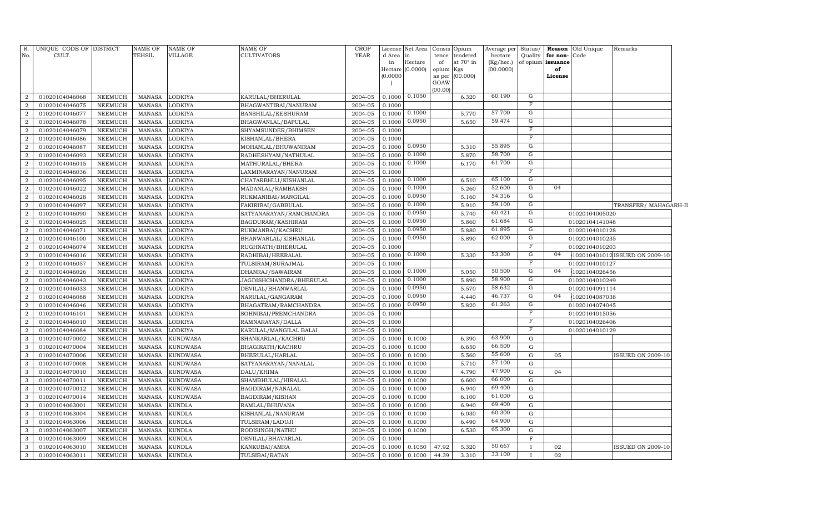| R.<br>No.        | UNIQUE CODE OF DISTRICT<br>CULT. |                    | <b>NAME OF</b><br>TEHSIL       | <b>NAME OF</b><br>VILLAGE      | NAME OF<br>CULTIVATORS             | <b>CROP</b><br><b>YEAR</b> | License<br>d Area<br>in<br>Hectare<br>(0.0000) | Net Area<br>in<br>Hectare<br>(0.0000) | Consis<br>tence<br>of<br>opium<br>as per<br>GOAW<br>(00.00) | Opium<br>tendered<br>at 70° in<br>Kgs<br>(00.000) | Average per<br>hectare<br>(Kg/hec.)<br>(00.0000) | Status/<br>Quality | for non-Code<br>of opium issuance<br>of<br>License | <b>Reason</b> Old Unique | Remarks                        |
|------------------|----------------------------------|--------------------|--------------------------------|--------------------------------|------------------------------------|----------------------------|------------------------------------------------|---------------------------------------|-------------------------------------------------------------|---------------------------------------------------|--------------------------------------------------|--------------------|----------------------------------------------------|--------------------------|--------------------------------|
| $\overline{2}$   | 01020104046068                   | <b>NEEMUCH</b>     | <b>MANASA</b>                  | <b>LODKIYA</b>                 | KARULAL/BHERULAL                   | 2004-05                    | 0.1000                                         | 0.1050                                |                                                             | 6.320                                             | 60.190                                           | G                  |                                                    |                          |                                |
| $\overline{2}$   | 01020104046075                   | <b>NEEMUCH</b>     | <b>MANASA</b>                  | <b>LODKIYA</b>                 | BHAGWANTIBAI/NANURAM               | 2004-05                    | 0.1000                                         |                                       |                                                             |                                                   |                                                  | $\mathbf F$        |                                                    |                          |                                |
| $\overline{2}$   | 01020104046077                   | <b>NEEMUCH</b>     | <b>MANASA</b>                  | <b>LODKIYA</b>                 | BANSHILAL/KESHURAM                 | 2004-05                    | 0.1000                                         | 0.1000                                |                                                             | 5.770                                             | 57.700                                           | G                  |                                                    |                          |                                |
| $\boldsymbol{2}$ | 01020104046078                   | <b>NEEMUCH</b>     | <b>MANASA</b>                  | <b>LODKIYA</b>                 | BHAGWANLAL/BAPULAL                 | 2004-05                    | 0.1000                                         | 0.0950                                |                                                             | 5.650                                             | 59.474                                           | G                  |                                                    |                          |                                |
| $\overline{2}$   | 01020104046079                   | <b>NEEMUCH</b>     | <b>MANASA</b>                  | <b>LODKIYA</b>                 | SHYAMSUNDER/BHIMSEN                | 2004-05                    | 0.1000                                         |                                       |                                                             |                                                   |                                                  | F                  |                                                    |                          |                                |
| $\boldsymbol{2}$ | 01020104046086                   | <b>NEEMUCH</b>     | <b>MANASA</b>                  | <b>LODKIYA</b>                 | KISHANLAL/BHERA                    | 2004-05                    | 0.1000                                         |                                       |                                                             |                                                   |                                                  | $_{\rm F}$         |                                                    |                          |                                |
| $\overline{2}$   | 01020104046087                   | NEEMUCH            | <b>MANASA</b>                  | <b>LODKIYA</b>                 | MOHANLAL/BHUWANIRAM                | 2004-05                    | 0.1000                                         | 0.0950                                |                                                             | 5.310                                             | 55.895                                           | G                  |                                                    |                          |                                |
| $\overline{2}$   | 01020104046093                   | NEEMUCH            | MANASA                         | LODKIYA                        | RADHESHYAM/NATHULAL                | 2004-05                    | 0.1000                                         | 0.1000                                |                                                             | 5.870                                             | 58.700                                           | G                  |                                                    |                          |                                |
| $\overline{2}$   | 01020104046015                   | NEEMUCH            | MANASA                         | LODKIYA                        | MATHURALAL/BHERA                   | 2004-05                    | 0.1000                                         | 0.1000                                |                                                             | 6.170                                             | 61.700                                           | $\mathbf G$        |                                                    |                          |                                |
| $\overline{2}$   | 01020104046036                   | <b>NEEMUCH</b>     | <b>MANASA</b>                  | <b>LODKIYA</b>                 | LAXMINARAYAN/NANURAM               | 2004-05                    | 0.1000                                         |                                       |                                                             |                                                   |                                                  | $\mathbf F$        |                                                    |                          |                                |
| $\overline{2}$   | 01020104046095                   | <b>NEEMUCH</b>     | <b>MANASA</b>                  | LODKIYA                        | CHATARBHUJ/KISHANLAL               | 2004-05                    | 0.1000                                         | 0.1000                                |                                                             | 6.510                                             | 65.100                                           | G                  |                                                    |                          |                                |
| $\overline{2}$   | 01020104046022                   | <b>NEEMUCH</b>     | <b>MANASA</b>                  | <b>LODKIYA</b>                 | MADANLAL/RAMBAKSH                  | 2004-05                    | 0.1000                                         | 0.1000                                |                                                             | 5.260                                             | 52.600                                           | G                  | 04                                                 |                          |                                |
| $\overline{2}$   | 01020104046028                   | <b>NEEMUCH</b>     | MANASA                         | <b>LODKIYA</b>                 | RUKMANIBAI/MANGILAL                | 2004-05                    | 0.1000                                         | 0.0950                                |                                                             | 5.160                                             | 54.316                                           | G                  |                                                    |                          |                                |
| $\overline{2}$   | 01020104046097                   | <b>NEEMUCH</b>     | <b>MANASA</b>                  | <b>LODKIYA</b>                 | FAKIRIBAI/GABBULAL                 | 2004-05                    | 0.1000                                         | 0.1000                                |                                                             | 5.910                                             | 59.100                                           | G                  |                                                    |                          | TRANSFER/ MAHAGARH-II          |
| $\overline{2}$   | 01020104046090                   | <b>NEEMUCH</b>     | <b>MANASA</b>                  | <b>LODKIYA</b>                 | SATYANARAYAN/RAMCHANDRA            | 2004-05                    | 0.1000                                         | 0.0950                                |                                                             | 5.740                                             | 60.421                                           | G                  |                                                    | 01020104005020           |                                |
| $\boldsymbol{2}$ | 01020104046025                   | <b>NEEMUCH</b>     | <b>MANASA</b>                  | <b>LODKIYA</b>                 | BAGDURAM/KASHIRAM                  | 2004-05                    | 0.1000                                         | 0.0950                                |                                                             | 5.860                                             | 61.684                                           | G                  |                                                    | 01020104141048           |                                |
| $\overline{2}$   | 01020104046071                   | <b>NEEMUCH</b>     | <b>MANASA</b>                  | LODKIYA                        | RUKMANBAI/KACHRU                   | 2004-05                    | 0.1000                                         | 0.0950                                |                                                             | 5.880                                             | 61.895                                           | G                  |                                                    | 01020104010128           |                                |
| $\boldsymbol{2}$ | 01020104046100                   | <b>NEEMUCH</b>     | <b>MANASA</b>                  | LODKIYA                        | BHANWARLAL/KISHANLAL               | 2004-05                    | 0.1000                                         | 0.0950                                |                                                             | 5.890                                             | 62.000                                           | $\mathbf G$        |                                                    | 01020104010235           |                                |
| $\overline{2}$   | 01020104046074                   | NEEMUCH            | <b>MANASA</b>                  | LODKIYA                        | RUGHNATH/BHERULAL                  | 2004-05                    | 0.1000                                         |                                       |                                                             |                                                   |                                                  | $\overline{F}$     |                                                    | 01020104010203           |                                |
| $\boldsymbol{2}$ | 01020104046016                   | <b>NEEMUCH</b>     | <b>MANASA</b>                  | LODKIYA                        | RADHIBAI/HEERALAL                  | 2004-05                    | 0.1000                                         | 0.1000                                |                                                             | 5.330                                             | 53.300                                           | $\overline{G}$     | 04                                                 |                          | 102010401012 ISSUED ON 2009-10 |
| $\overline{2}$   | 01020104046057                   | <b>NEEMUCH</b>     | <b>MANASA</b>                  | LODKIYA                        | TULSIRAM/SURAJMAL                  | 2004-05                    | 0.1000                                         |                                       |                                                             |                                                   |                                                  | $\mathbf F$        |                                                    | 01020104010127           |                                |
| $\overline{2}$   | 01020104046026                   | <b>NEEMUCH</b>     | <b>MANASA</b>                  | <b>LODKIYA</b>                 | DHANRAJ/SAWAIRAM                   | 2004-05                    | 0.1000                                         | 0.1000                                |                                                             | 5.050                                             | 50.500                                           | G                  | 04                                                 | 1020104026456            |                                |
| $\overline{2}$   | 01020104046043                   | <b>NEEMUCH</b>     | <b>MANASA</b>                  | <b>LODKIYA</b>                 | JAGDISHCHANDRA/BHERULAL            | 2004-05                    | 0.1000                                         | 0.1000                                |                                                             | 5.890                                             | 58.900                                           | G                  |                                                    | 01020104010249           |                                |
| $\overline{2}$   | 01020104046033                   | <b>NEEMUCH</b>     | <b>MANASA</b>                  | <b>LODKIYA</b>                 | DEVILAL/BHANWARLAL                 | 2004-05                    | 0.1000                                         | 0.0950                                |                                                             | 5.570                                             | 58.632                                           | G                  |                                                    | 01020104091114           |                                |
| $\overline{2}$   | 01020104046088                   | <b>NEEMUCH</b>     | <b>MANASA</b>                  | <b>LODKIYA</b>                 | NARULAL/GANGARAM                   | 2004-05                    | 0.1000                                         | 0.0950                                |                                                             | 4.440                                             | 46.737                                           | G                  | 04                                                 | 1020104087038            |                                |
| $\overline{2}$   | 01020104046046                   | <b>NEEMUCH</b>     | <b>MANASA</b>                  | LODKIYA                        | BHAGATRAM/RAMCHANDRA               | 2004-05                    | 0.1000                                         | 0.0950                                |                                                             | 5.820                                             | 61.263                                           | G                  |                                                    | 01020104074045           |                                |
| $\overline{2}$   | 01020104046101                   | <b>NEEMUCH</b>     | <b>MANASA</b>                  | LODKIYA                        | SOHNIBAI/PREMCHANDRA               | 2004-05                    | 0.1000                                         |                                       |                                                             |                                                   |                                                  | $\mathbf F$        |                                                    | 01020104015056           |                                |
| $\overline{2}$   | 01020104046010                   | <b>NEEMUCH</b>     | <b>MANASA</b>                  | LODKIYA                        | RAMNARAYAN/DALLA                   | 2004-05                    | 0.1000                                         |                                       |                                                             |                                                   |                                                  | $\mathbf F$        |                                                    | 01020104026406           |                                |
| $\overline{2}$   | 01020104046084                   | <b>NEEMUCH</b>     | <b>MANASA</b>                  | LODKIYA                        | KARULAL/MANGILAL BALAI             | 2004-05                    | 0.1000                                         |                                       |                                                             |                                                   |                                                  | $\mathbf F$        |                                                    | 01020104010129           |                                |
| 3                | 01020104070002                   | NEEMUCH            | <b>MANASA</b>                  | <b>KUNDWASA</b>                | SHANKARLAL/KACHRU                  | 2004-05                    | 0.1000                                         | 0.1000                                |                                                             | 6.390                                             | 63.900                                           | G                  |                                                    |                          |                                |
| 3                | 01020104070004                   | <b>NEEMUCH</b>     | <b>MANASA</b>                  | <b>KUNDWASA</b>                | BHAGIRATH/KACHRU                   | 2004-05                    | 0.1000                                         | 0.1000                                |                                                             | 6.650                                             | 66.500                                           | G                  |                                                    |                          |                                |
| 3                | 01020104070006                   | <b>NEEMUCH</b>     | <b>MANASA</b>                  | <b>KUNDWASA</b>                | BHERULAL/HARLAL                    | 2004-05                    | 0.1000                                         | 0.1000                                |                                                             | 5.560                                             | 55.600                                           | G                  | 05                                                 |                          | <b>ISSUED ON 2009-10</b>       |
| 3                | 01020104070008                   | NEEMUCH            | <b>MANASA</b>                  | <b>KUNDWASA</b>                | SATYANARAYAN/NANALAL               | 2004-05                    | 0.1000                                         | 0.1000                                |                                                             | 5.710                                             | 57.100<br>47.900                                 | G                  |                                                    |                          |                                |
| 3                | 01020104070010                   | <b>NEEMUCH</b>     | <b>MANASA</b>                  | <b>KUNDWASA</b>                | DALU/KHIMA                         | 2004-05                    | 0.1000                                         | 0.1000                                |                                                             | 4.790                                             | 66.000                                           | G                  | 04                                                 |                          |                                |
| 3                | 01020104070011                   | NEEMUCH            | <b>MANASA</b>                  | <b>KUNDWASA</b>                | SHAMBHULAL/HIRALAL                 | 2004-05                    | 0.1000                                         | 0.1000                                |                                                             | 6.600                                             | 69.400                                           | G                  |                                                    |                          |                                |
| 3                | 01020104070012                   | NEEMUCH            | <b>MANASA</b>                  | <b>KUNDWASA</b>                | BAGDIRAM/NANALAL                   | 2004-05                    | 0.1000                                         | 0.1000                                |                                                             | 6.940                                             | 61.000                                           | G                  |                                                    |                          |                                |
| 3                | 01020104070014                   | NEEMUCH            | <b>MANASA</b>                  | <b>KUNDWASA</b>                | BAGDIRAM/KISHAN                    | 2004-05                    | 0.1000                                         | 0.1000                                |                                                             | 6.100                                             | 69.400                                           | G                  |                                                    |                          |                                |
| 3<br>3           | 01020104063001<br>01020104063004 | NEEMUCH            | <b>MANASA</b><br><b>MANASA</b> | <b>KUNDLA</b>                  | RAMLAL/BHUVANA                     | 2004-05                    | 0.1000                                         | 0.1000                                |                                                             | 6.940<br>6.030                                    | 60.300                                           | G<br>G             |                                                    |                          |                                |
| 3                | 01020104063006                   | NEEMUCH<br>NEEMUCH | <b>MANASA</b>                  | <b>KUNDLA</b><br><b>KUNDLA</b> | KISHANLAL/NANURAM                  | 2004-05<br>2004-05         | 0.1000<br>0.1000                               | 0.1000<br>0.1000                      |                                                             | 6.490                                             | 64.900                                           | G                  |                                                    |                          |                                |
| 3                | 01020104063007                   | NEEMUCH            | <b>MANASA</b>                  | <b>KUNDLA</b>                  | TULSIRAM/LADUJI                    | 2004-05                    | 0.1000                                         | 0.1000                                |                                                             | 6.530                                             | 65.300                                           | G                  |                                                    |                          |                                |
| 3                |                                  | NEEMUCH            | <b>MANASA</b>                  | <b>KUNDLA</b>                  | RODISINGH/NATHU                    | 2004-05                    | 0.1000                                         |                                       |                                                             |                                                   |                                                  | F                  |                                                    |                          |                                |
| 3                | 01020104063009<br>01020104063010 | NEEMUCH            | <b>MANASA</b>                  | <b>KUNDLA</b>                  | DEVILAL/BHAVARLAL<br>KANKUBAI/AMRA | 2004-05                    | 0.1000                                         | 0.1050                                | 47.92                                                       | 5.320                                             | 50.667                                           | $\mathbf{I}$       | 02                                                 |                          | <b>SSUED ON 2009-10</b>        |
| $\mathbf{3}$     | 01020104063011                   | NEEMUCH            | MANASA                         | <b>KUNDLA</b>                  | TULSIBAI/RATAN                     | 2004-05                    | 0.1000                                         | 0.1000                                | 44.39                                                       | 3.310                                             | 33.100                                           | $\mathbf{I}$       | 02                                                 |                          |                                |
|                  |                                  |                    |                                |                                |                                    |                            |                                                |                                       |                                                             |                                                   |                                                  |                    |                                                    |                          |                                |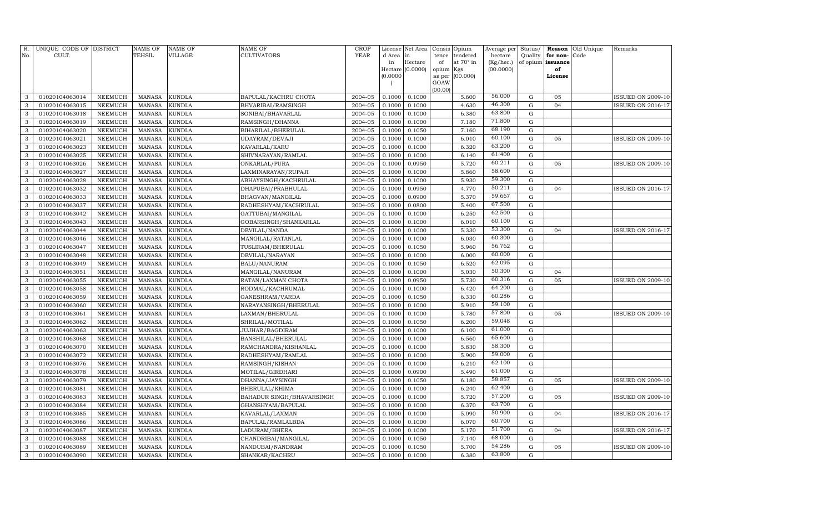| R.<br>No.    | UNIQUE CODE OF DISTRICT<br>CULT. |                | <b>NAME OF</b><br>TEHSIL | <b>NAME OF</b><br>VILLAGE | NAME OF<br>CULTIVATORS    | <b>CROP</b><br><b>YEAR</b> | d Area in<br>in | License Net Area<br>Hectare<br>Hectare (0.0000) | Consis<br>tence<br>of<br>opium | Opium<br>tendered<br>at 70° in<br>Kgs | Average per<br>hectare<br>(Kg/hec.)<br>(00.0000) | Status/<br>Quality<br>of opium | Reason<br>for non-<br>issuance<br>of | Old Unique<br>Code | Remarks                  |
|--------------|----------------------------------|----------------|--------------------------|---------------------------|---------------------------|----------------------------|-----------------|-------------------------------------------------|--------------------------------|---------------------------------------|--------------------------------------------------|--------------------------------|--------------------------------------|--------------------|--------------------------|
|              |                                  |                |                          |                           |                           |                            | (0.0000)        |                                                 | as per<br>GOAW<br>(00.00)      | (00.000)                              |                                                  |                                | License                              |                    |                          |
| 3            | 01020104063014                   | <b>NEEMUCH</b> | <b>MANASA</b>            | <b>KUNDLA</b>             | BAPULAL/KACHRU CHOTA      | 2004-05                    | 0.1000          | 0.1000                                          |                                | 5.600                                 | 56.000                                           | G                              | 05                                   |                    | <b>ISSUED ON 2009-10</b> |
| 3            | 01020104063015                   | <b>NEEMUCH</b> | <b>MANASA</b>            | <b>KUNDLA</b>             | BHVARIBAI/RAMSINGH        | 2004-05                    | 0.1000          | 0.1000                                          |                                | 4.630                                 | 46.300                                           | G                              | 04                                   |                    | <b>ISSUED ON 2016-17</b> |
| 3            | 01020104063018                   | <b>NEEMUCH</b> | <b>MANASA</b>            | <b>KUNDLA</b>             | SONIBAI/BHAVARLAL         | 2004-05                    | 0.1000          | 0.1000                                          |                                | 6.380                                 | 63.800                                           | $\mathbf G$                    |                                      |                    |                          |
| 3            | 01020104063019                   | <b>NEEMUCH</b> | <b>MANASA</b>            | <b>KUNDLA</b>             | RAMSINGH/DHANNA           | 2004-05                    | 0.1000          | 0.1000                                          |                                | 7.180                                 | 71.800                                           | G                              |                                      |                    |                          |
| 3            | 01020104063020                   | <b>NEEMUCH</b> | <b>MANASA</b>            | <b>KUNDLA</b>             | BIHARILAL/BHERULAL        | 2004-05                    | 0.1000          | 0.1050                                          |                                | 7.160                                 | 68.190                                           | $\mathbf G$                    |                                      |                    |                          |
| 3            | 01020104063021                   | <b>NEEMUCH</b> | <b>MANASA</b>            | <b>KUNDLA</b>             | UDAYRAM/DEVAJI            | 2004-05                    | 0.1000          | 0.1000                                          |                                | 6.010                                 | 60.100                                           | ${\rm G}$                      | 05                                   |                    | <b>ISSUED ON 2009-10</b> |
| 3            | 01020104063023                   | <b>NEEMUCH</b> | <b>MANASA</b>            | <b>KUNDLA</b>             | KAVARLAL/KARU             | 2004-05                    | 0.1000          | 0.1000                                          |                                | 6.320                                 | 63.200                                           | ${\rm G}$                      |                                      |                    |                          |
| 3            | 01020104063025                   | <b>NEEMUCH</b> | <b>MANASA</b>            | <b>KUNDLA</b>             | SHIVNARAYAN/RAMLAL        | 2004-05                    | 0.1000          | 0.1000                                          |                                | 6.140                                 | 61.400                                           | ${\rm G}$                      |                                      |                    |                          |
| 3            | 01020104063026                   | NEEMUCH        | <b>MANASA</b>            | <b>KUNDLA</b>             | ONKARLAL/PURA             | 2004-05                    | 0.1000          | 0.0950                                          |                                | 5.720                                 | 60.211                                           | $\mathbf G$                    | 05                                   |                    | ISSUED ON 2009-10        |
| 3            | 01020104063027                   | <b>NEEMUCH</b> | <b>MANASA</b>            | <b>KUNDLA</b>             | LAXMINARAYAN/RUPAJI       | 2004-05                    | 0.1000          | 0.1000                                          |                                | 5.860                                 | 58.600                                           | $\mathbf G$                    |                                      |                    |                          |
| 3            | 01020104063028                   | <b>NEEMUCH</b> | <b>MANASA</b>            | <b>KUNDLA</b>             | ABHAYSINGH/KACHRULAL      | 2004-05                    | 0.1000          | 0.1000                                          |                                | 5.930                                 | 59.300                                           | $\mathbf G$                    |                                      |                    |                          |
| 3            | 01020104063032                   | <b>NEEMUCH</b> | <b>MANASA</b>            | <b>KUNDLA</b>             | DHAPUBAI/PRABHULAL        | 2004-05                    | 0.1000          | 0.0950                                          |                                | 4.770                                 | 50.211                                           | ${\rm G}$                      | 04                                   |                    | <b>ISSUED ON 2016-17</b> |
| 3            | 01020104063033                   | <b>NEEMUCH</b> | <b>MANASA</b>            | <b>KUNDLA</b>             | BHAGVAN/MANGILAL          | 2004-05                    | 0.1000          | 0.0900                                          |                                | 5.370                                 | 59.667                                           | $\mathbf G$                    |                                      |                    |                          |
| 3            | 01020104063037                   | <b>NEEMUCH</b> | <b>MANASA</b>            | <b>KUNDLA</b>             | RADHESHYAM/KACHRULAL      | 2004-05                    | 0.1000          | 0.0800                                          |                                | 5.400                                 | 67.500                                           | $\mathbf G$                    |                                      |                    |                          |
| 3            | 01020104063042                   | <b>NEEMUCH</b> | <b>MANASA</b>            | <b>KUNDLA</b>             | GATTUBAI/MANGILAL         | 2004-05                    | 0.1000          | 0.1000                                          |                                | 6.250                                 | 62.500                                           | $\mathbf G$                    |                                      |                    |                          |
| 3            | 01020104063043                   | <b>NEEMUCH</b> | <b>MANASA</b>            | <b>KUNDLA</b>             | GOBARSINGH/SHANKARLAL     | 2004-05                    | 0.1000          | 0.1000                                          |                                | 6.010                                 | 60.100                                           | G                              |                                      |                    |                          |
| 3            | 01020104063044                   | <b>NEEMUCH</b> | <b>MANASA</b>            | <b>KUNDLA</b>             | DEVILAL/NANDA             | 2004-05                    | 0.1000          | 0.1000                                          |                                | 5.330                                 | 53.300                                           | ${\rm G}$                      | 04                                   |                    | ISSUED ON 2016-17        |
| 3            | 01020104063046                   | <b>NEEMUCH</b> | <b>MANASA</b>            | <b>KUNDLA</b>             | MANGILAL/RATANLAL         | 2004-05                    | 0.1000          | 0.1000                                          |                                | 6.030                                 | 60.300                                           | $\mathbf G$                    |                                      |                    |                          |
| 3            | 01020104063047                   | <b>NEEMUCH</b> | <b>MANASA</b>            | <b>KUNDLA</b>             | TUSLIRAM/BHERULAL         | 2004-05                    | 0.1000          | 0.1050                                          |                                | 5.960                                 | 56.762                                           | ${\bf G}$                      |                                      |                    |                          |
| $\mathbf{3}$ | 01020104063048                   | <b>NEEMUCH</b> | <b>MANASA</b>            | <b>KUNDLA</b>             | DEVILAL/NARAYAN           | 2004-05                    | 0.1000          | 0.1000                                          |                                | 6.000                                 | 60.000                                           | ${\rm G}$                      |                                      |                    |                          |
| 3            | 01020104063049                   | <b>NEEMUCH</b> | <b>MANASA</b>            | <b>KUNDLA</b>             | BALU/NANURAM              | 2004-05                    | 0.1000          | 0.1050                                          |                                | 6.520                                 | 62.095                                           | $\mathbf G$                    |                                      |                    |                          |
| 3            | 01020104063051                   | <b>NEEMUCH</b> | <b>MANASA</b>            | <b>KUNDLA</b>             | MANGILAL/NANURAM          | 2004-05                    | 0.1000          | 0.1000                                          |                                | 5.030                                 | 50.300                                           | $\mathbf G$                    | 04                                   |                    |                          |
| 3            | 01020104063055                   | <b>NEEMUCH</b> | <b>MANASA</b>            | <b>KUNDLA</b>             | RATAN/LAXMAN CHOTA        | 2004-05                    | 0.1000          | 0.0950                                          |                                | 5.730                                 | 60.316                                           | $\mathbf G$                    | 05                                   |                    | <b>ISSUED ON 2009-10</b> |
| 3            | 01020104063058                   | <b>NEEMUCH</b> | <b>MANASA</b>            | <b>KUNDLA</b>             | RODMAL/KACHRUMAL          | 2004-05                    | 0.1000          | 0.1000                                          |                                | 6.420                                 | 64.200                                           | $\mathbf G$                    |                                      |                    |                          |
| 3            | 01020104063059                   | <b>NEEMUCH</b> | <b>MANASA</b>            | <b>KUNDLA</b>             | GANESHRAM/VARDA           | 2004-05                    | 0.1000          | 0.1050                                          |                                | 6.330                                 | 60.286                                           | $\mathbf G$                    |                                      |                    |                          |
| 3            | 01020104063060                   | <b>NEEMUCH</b> | <b>MANASA</b>            | <b>KUNDLA</b>             | NARAYANSINGH/BHERULAL     | 2004-05                    | 0.1000          | 0.1000                                          |                                | 5.910                                 | 59.100                                           | $\mathbf G$                    |                                      |                    |                          |
| 3            | 01020104063061                   | <b>NEEMUCH</b> | <b>MANASA</b>            | <b>KUNDLA</b>             | LAXMAN/BHERULAL           | 2004-05                    | 0.1000          | 0.1000                                          |                                | 5.780                                 | 57.800                                           | $\mathbf G$                    | 05                                   |                    | <b>ISSUED ON 2009-10</b> |
| 3            | 01020104063062                   | <b>NEEMUCH</b> | <b>MANASA</b>            | <b>KUNDLA</b>             | SHRILAL/MOTILAL           | 2004-05                    | 0.1000          | 0.1050                                          |                                | 6.200                                 | 59.048                                           | G                              |                                      |                    |                          |
| 3            | 01020104063063                   | <b>NEEMUCH</b> | <b>MANASA</b>            | <b>KUNDLA</b>             | JUJHAR/BAGDIRAM           | 2004-05                    | 0.1000          | 0.1000                                          |                                | 6.100                                 | 61.000                                           | $\mathbf G$                    |                                      |                    |                          |
| 3            | 01020104063068                   | <b>NEEMUCH</b> | <b>MANASA</b>            | <b>KUNDLA</b>             | BANSHILAL/BHERULAL        | 2004-05                    | 0.1000          | 0.1000                                          |                                | 6.560                                 | 65.600                                           | $\mathbf G$                    |                                      |                    |                          |
| 3            | 01020104063070                   | NEEMUCH        | <b>MANASA</b>            | <b>KUNDLA</b>             | RAMCHANDRA/KISHANLAL      | 2004-05                    | 0.1000          | 0.1000                                          |                                | 5.830                                 | 58.300                                           | ${\bf G}$                      |                                      |                    |                          |
| 3            | 01020104063072                   | <b>NEEMUCH</b> | <b>MANASA</b>            | <b>KUNDLA</b>             | RADHESHYAM/RAMLAL         | 2004-05                    | 0.1000          | 0.1000                                          |                                | 5.900                                 | 59.000                                           | $\mathbf G$                    |                                      |                    |                          |
| 3            | 01020104063076                   | NEEMUCH        | <b>MANASA</b>            | <b>KUNDLA</b>             | RAMSINGH/KISHAN           | 2004-05                    | 0.1000          | 0.1000                                          |                                | 6.210                                 | 62.100                                           | $\mathbf G$                    |                                      |                    |                          |
| 3            | 01020104063078                   | NEEMUCH        | <b>MANASA</b>            | <b>KUNDLA</b>             | MOTILAL/GIRDHARI          | 2004-05                    | 0.1000          | 0.0900                                          |                                | 5.490                                 | 61.000                                           | $\mathbf G$                    |                                      |                    |                          |
| 3            | 01020104063079                   | <b>NEEMUCH</b> | <b>MANASA</b>            | <b>KUNDLA</b>             | DHANNA/JAYSINGH           | 2004-05                    | 0.1000          | 0.1050                                          |                                | 6.180                                 | 58.857                                           | $\mathbf G$                    | 05                                   |                    | <b>ISSUED ON 2009-10</b> |
| 3            | 01020104063081                   | <b>NEEMUCH</b> | <b>MANASA</b>            | <b>KUNDLA</b>             | BHERULAL/KHIMA            | 2004-05                    | 0.1000          | 0.1000                                          |                                | 6.240                                 | 62.400                                           | G                              |                                      |                    |                          |
| 3            | 01020104063083                   | <b>NEEMUCH</b> | <b>MANASA</b>            | <b>KUNDLA</b>             | BAHADUR SINGH/BHAVARSINGH | 2004-05                    | 0.1000          | 0.1000                                          |                                | 5.720                                 | 57.200                                           | $\mathbf G$                    | 05                                   |                    | <b>ISSUED ON 2009-10</b> |
| 3            | 01020104063084                   | <b>NEEMUCH</b> | <b>MANASA</b>            | <b>KUNDLA</b>             | GHANSHYAM/BAPULAL         | 2004-05                    | 0.1000          | 0.1000                                          |                                | 6.370                                 | 63.700                                           | $\mathbf G$                    |                                      |                    |                          |
| 3            | 01020104063085                   | <b>NEEMUCH</b> | <b>MANASA</b>            | <b>KUNDLA</b>             | KAVARLAL/LAXMAN           | 2004-05                    | 0.1000          | 0.1000                                          |                                | 5.090                                 | 50.900                                           | $\mathbf G$                    | 04                                   |                    | <b>SSUED ON 2016-17</b>  |
| 3            | 01020104063086                   | <b>NEEMUCH</b> | <b>MANASA</b>            | <b>KUNDLA</b>             | BAPULAL/RAMLALBDA         | 2004-05                    | 0.1000          | 0.1000                                          |                                | 6.070                                 | 60.700                                           | $\mathbf G$                    |                                      |                    |                          |
| 3            | 01020104063087                   | <b>NEEMUCH</b> | <b>MANASA</b>            | <b>KUNDLA</b>             | LADURAM/BHERA             | 2004-05                    | 0.1000          | 0.1000                                          |                                | 5.170                                 | 51.700                                           | $\mathbf G$                    | 04                                   |                    | <b>ISSUED ON 2016-17</b> |
| 3            | 01020104063088                   | <b>NEEMUCH</b> | <b>MANASA</b>            | <b>KUNDLA</b>             | CHANDRIBAI/MANGILAL       | 2004-05                    | 0.1000          | 0.1050                                          |                                | 7.140                                 | 68.000                                           | $\mathbf G$                    |                                      |                    |                          |
| 3            | 01020104063089                   | <b>NEEMUCH</b> | <b>MANASA</b>            | <b>KUNDLA</b>             | NANDUBAI/NANDRAM          | 2004-05                    | 0.1000          | 0.1050                                          |                                | 5.700                                 | 54.286                                           | G                              | 05                                   |                    | <b>ISSUED ON 2009-10</b> |
| $\mathbf{3}$ | 01020104063090                   | NEEMUCH        | MANASA                   | <b>KUNDLA</b>             | SHANKAR/KACHRU            | 2004-05                    | 0.1000          | 0.1000                                          |                                | 6.380                                 | 63.800                                           | G                              |                                      |                    |                          |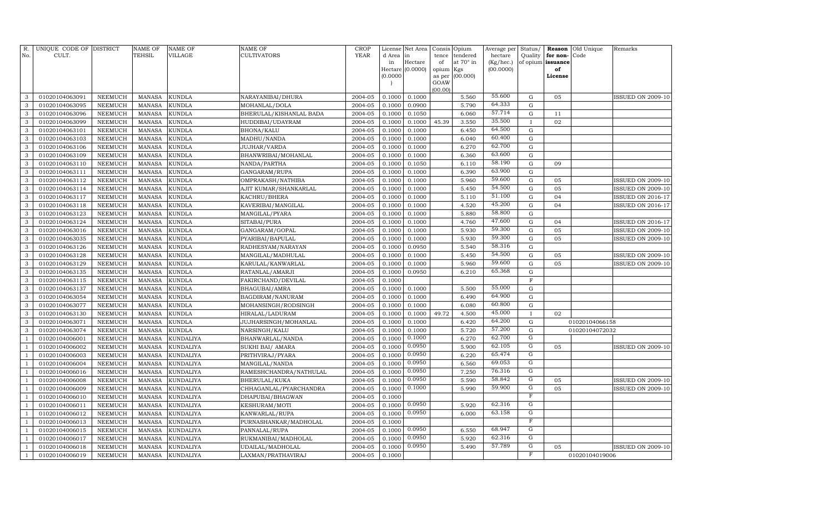| R.<br>No.      | UNIQUE CODE OF DISTRICT<br>CULT. |                                  | <b>NAME OF</b><br>TEHSIL       | <b>NAME OF</b><br><b>VILLAGE</b> | <b>NAME OF</b><br><b>CULTIVATORS</b>   | <b>CROP</b><br>${\tt YEAR}$ | d Area           | License Net Area<br>in | Consis<br>tence     | Opium<br>tendered | Average per<br>hectare | Status/<br>Quality         | Reason<br>for non- | Old Unique<br>Code | Remarks                  |
|----------------|----------------------------------|----------------------------------|--------------------------------|----------------------------------|----------------------------------------|-----------------------------|------------------|------------------------|---------------------|-------------------|------------------------|----------------------------|--------------------|--------------------|--------------------------|
|                |                                  |                                  |                                |                                  |                                        |                             | in               | Hectare                | of                  | at 70° in         | (Kg/hec.)              |                            | of opium issuance  |                    |                          |
|                |                                  |                                  |                                |                                  |                                        |                             | (0.0000)         | Hectare (0.0000)       | opium Kgs<br>as per | (00.000)          | (00.0000)              |                            | of<br>License      |                    |                          |
|                |                                  |                                  |                                |                                  |                                        |                             |                  |                        | GOAW                |                   |                        |                            |                    |                    |                          |
|                |                                  |                                  |                                |                                  |                                        |                             |                  |                        | (00.00)             |                   |                        |                            |                    |                    |                          |
| 3              | 01020104063091                   | <b>NEEMUCH</b>                   | <b>MANASA</b>                  | <b>KUNDLA</b>                    | NARAYANIBAI/DHURA                      | 2004-05                     | 0.1000           | 0.1000                 |                     | 5.560             | 55.600                 | ${\rm G}$                  | 05                 |                    | <b>ISSUED ON 2009-10</b> |
| 3              | 01020104063095                   | <b>NEEMUCH</b>                   | <b>MANASA</b>                  | <b>KUNDLA</b>                    | MOHANLAL/DOLA                          | 2004-05                     | 0.1000           | 0.0900                 |                     | 5.790             | 64.333                 | ${\rm G}$                  |                    |                    |                          |
| 3              | 01020104063096                   | <b>NEEMUCH</b>                   | <b>MANASA</b>                  | <b>KUNDLA</b>                    | BHERULAL/KISHANLAL BADA                | 2004-05                     | 0.1000           | 0.1050                 |                     | 6.060             | 57.714                 | ${\bf G}$                  | 11                 |                    |                          |
| 3              | 01020104063099                   | <b>NEEMUCH</b>                   | <b>MANASA</b>                  | <b>KUNDLA</b>                    | HUDDIBAI/UDAYRAM                       | 2004-05                     | 0.1000           | 0.1000                 | 45.39               | 3.550             | 35.500                 | $\mathbf{I}$               | 02                 |                    |                          |
| 3              | 01020104063101                   | <b>NEEMUCH</b>                   | <b>MANASA</b>                  | <b>KUNDLA</b>                    | BHONA/KALU                             | 2004-05                     | 0.1000           | 0.1000                 |                     | 6.450             | 64.500                 | ${\rm G}$                  |                    |                    |                          |
| 3              | 01020104063103                   | <b>NEEMUCH</b>                   | <b>MANASA</b>                  | <b>KUNDLA</b>                    | MADHU/NANDA                            | 2004-05                     | 0.1000           | 0.1000                 |                     | 6.040             | 60.400                 | ${\rm G}$                  |                    |                    |                          |
| 3              | 01020104063106                   | <b>NEEMUCH</b>                   | <b>MANASA</b>                  | <b>KUNDLA</b>                    | JUJHAR/VARDA                           | 2004-05                     | 0.1000           | 0.1000                 |                     | 6.270             | 62.700                 | ${\rm G}$                  |                    |                    |                          |
| 3              | 01020104063109                   | <b>NEEMUCH</b>                   | <b>MANASA</b>                  | <b>KUNDLA</b>                    | BHANWRIBAI/MOHANLAL                    | 2004-05                     | 0.1000           | 0.1000                 |                     | 6.360             | 63.600                 | ${\rm G}$                  |                    |                    |                          |
| 3              | 01020104063110                   | <b>NEEMUCH</b>                   | <b>MANASA</b>                  | KUNDLA                           | NANDA/PARTHA                           | 2004-05                     | 0.1000           | 0.1050                 |                     | 6.110             | 58.190                 | ${\bf G}$                  | 09                 |                    |                          |
| $\mathbf{3}$   | 01020104063111                   | <b>NEEMUCH</b>                   | <b>MANASA</b>                  | KUNDLA                           | GANGARAM/RUPA                          | 2004-05                     | 0.1000           | 0.1000                 |                     | 6.390             | 63.900<br>59.600       | ${\bf G}$                  |                    |                    |                          |
| 3              | 01020104063112                   | <b>NEEMUCH</b>                   | <b>MANASA</b>                  | <b>KUNDLA</b>                    | OMPRAKASH/NATHIBA                      | 2004-05                     | 0.1000           | 0.1000                 |                     | 5.960             | 54.500                 | ${\bf G}$                  | 05<br>05           |                    | <b>ISSUED ON 2009-10</b> |
| 3<br>3         | 01020104063114                   | <b>NEEMUCH</b>                   | <b>MANASA</b>                  | <b>KUNDLA</b>                    | AJIT KUMAR/SHANKARLAL                  | 2004-05                     | 0.1000           | 0.1000                 |                     | 5.450<br>5.110    | 51.100                 | $\mathbf G$<br>$\mathbf G$ | 04                 |                    | <b>ISSUED ON 2009-10</b> |
|                | 01020104063117                   | NEEMUCH                          | <b>MANASA</b>                  | KUNDLA                           | KACHRU/BHERA                           | 2004-05                     | 0.1000           | 0.1000                 |                     | 4.520             | 45.200                 | ${\bf G}$                  | 04                 |                    | <b>ISSUED ON 2016-17</b> |
| 3<br>3         | 01020104063118<br>01020104063123 | <b>NEEMUCH</b><br><b>NEEMUCH</b> | <b>MANASA</b><br><b>MANASA</b> | <b>KUNDLA</b><br><b>KUNDLA</b>   | KAVERIBAI/MANGILAL                     | 2004-05<br>2004-05          | 0.1000<br>0.1000 | 0.1000<br>0.1000       |                     | 5.880             | 58.800                 | ${\bf G}$                  |                    |                    | ISSUED ON 2016-17        |
| 3              | 01020104063124                   | <b>NEEMUCH</b>                   | <b>MANASA</b>                  | <b>KUNDLA</b>                    | MANGILAL/PYARA<br>SITABAI/PURA         | 2004-05                     | 0.1000           | 0.1000                 |                     | 4.760             | 47.600                 | $\mathbf G$                | 04                 |                    | <b>ISSUED ON 2016-17</b> |
| 3              | 01020104063016                   | <b>NEEMUCH</b>                   | <b>MANASA</b>                  | KUNDLA                           | GANGARAM/GOPAL                         | 2004-05                     | 0.1000           | 0.1000                 |                     | 5.930             | 59.300                 | ${\bf G}$                  | 05                 |                    | <b>ISSUED ON 2009-10</b> |
| 3              | 01020104063035                   | <b>NEEMUCH</b>                   | <b>MANASA</b>                  | KUNDLA                           | PYARIBAI/BAPULAL                       | 2004-05                     | 0.1000           | 0.1000                 |                     | 5.930             | 59.300                 | $\mathbf G$                | 05                 |                    |                          |
| 3              | 01020104063126                   | <b>NEEMUCH</b>                   | <b>MANASA</b>                  | KUNDLA                           | RADHESYAM/NARAYAN                      | 2004-05                     | 0.1000           | 0.0950                 |                     | 5.540             | 58.316                 | $\mathbf G$                |                    |                    | <b>ISSUED ON 2009-10</b> |
| 3              | 01020104063128                   | <b>NEEMUCH</b>                   | <b>MANASA</b>                  | KUNDLA                           |                                        | 2004-05                     | 0.1000           | 0.1000                 |                     | 5.450             | 54.500                 | ${\bf G}$                  | 05                 |                    | <b>ISSUED ON 2009-10</b> |
| 3              | 01020104063129                   | <b>NEEMUCH</b>                   | <b>MANASA</b>                  | KUNDLA                           | MANGILAL/MADHULAL<br>KARULAL/KANWARLAL | 2004-05                     | 0.1000           | 0.1000                 |                     | 5.960             | 59.600                 | $\mathbf G$                | 05                 |                    | <b>ISSUED ON 2009-10</b> |
| 3              | 01020104063135                   | <b>NEEMUCH</b>                   | <b>MANASA</b>                  | KUNDLA                           | RATANLAL/AMARJI                        | 2004-05                     | 0.1000           | 0.0950                 |                     | 6.210             | 65.368                 | ${\bf G}$                  |                    |                    |                          |
| 3              | 01020104063115                   | NEEMUCH                          | <b>MANASA</b>                  | KUNDLA                           | FAKIRCHAND/DEVILAL                     | 2004-05                     | 0.1000           |                        |                     |                   |                        | $\mathbf F$                |                    |                    |                          |
| 3              | 01020104063137                   | <b>NEEMUCH</b>                   | <b>MANASA</b>                  | KUNDLA                           | BHAGUBAI/AMRA                          | 2004-05                     | 0.1000           | 0.1000                 |                     | 5.500             | 55.000                 | $\mathbf G$                |                    |                    |                          |
| 3              | 01020104063054                   | NEEMUCH                          | <b>MANASA</b>                  | KUNDLA                           | BAGDIRAM/NANURAM                       | 2004-05                     | 0.1000           | 0.1000                 |                     | 6.490             | 64.900                 | ${\bf G}$                  |                    |                    |                          |
| 3              | 01020104063077                   | <b>NEEMUCH</b>                   | <b>MANASA</b>                  | KUNDLA                           | MOHANSINGH/RODSINGH                    | 2004-05                     | 0.1000           | 0.1000                 |                     | 6.080             | 60.800                 | ${\bf G}$                  |                    |                    |                          |
| 3              | 01020104063130                   | NEEMUCH                          | <b>MANASA</b>                  | KUNDLA                           | HIRALAL/LADURAM                        | 2004-05                     | 0.1000           | 0.1000                 | 49.72               | 4.500             | 45.000                 | $\mathbf{I}$               | 02                 |                    |                          |
| 3              | 01020104063071                   | NEEMUCH                          | <b>MANASA</b>                  | KUNDLA                           | JUJHARSINGH/MOHANLAL                   | 2004-05                     | 0.1000           | 0.1000                 |                     | 6.420             | 64.200                 | G                          |                    | 01020104066158     |                          |
| 3              | 01020104063074                   | NEEMUCH                          | <b>MANASA</b>                  | KUNDLA                           | NARSINGH/KALU                          | 2004-05                     | 0.1000           | 0.1000                 |                     | 5.720             | 57.200                 | $\mathbf G$                |                    | 01020104072032     |                          |
|                | 01020104006001                   | <b>NEEMUCH</b>                   | <b>MANASA</b>                  | KUNDALIYA                        | BHANWARLAL/NANDA                       | 2004-05                     | 0.1000           | 0.1000                 |                     | 6.270             | 62.700                 | $\overline{G}$             |                    |                    |                          |
| $\mathbf{1}$   | 01020104006002                   | <b>NEEMUCH</b>                   | <b>MANASA</b>                  | KUNDALIYA                        | SUKHI BAI/ AMARA                       | 2004-05                     | 0.1000           | 0.0950                 |                     | 5.900             | 62.105                 | G                          | 05                 |                    | <b>ISSUED ON 2009-10</b> |
| $\mathbf{1}$   | 01020104006003                   | <b>NEEMUCH</b>                   | <b>MANASA</b>                  | KUNDALIYA                        | PRITHVIRAJ/PYARA                       | 2004-05                     | 0.1000           | 0.0950                 |                     | 6.220             | 65.474                 | G                          |                    |                    |                          |
|                | 01020104006004                   | <b>NEEMUCH</b>                   | <b>MANASA</b>                  | KUNDALIYA                        | MANGILAL/NANDA                         | 2004-05                     | 0.1000           | 0.0950                 |                     | 6.560             | 69.053                 | G                          |                    |                    |                          |
| -1             | 01020104006016                   | <b>NEEMUCH</b>                   | <b>MANASA</b>                  | KUNDALIYA                        | RAMESHCHANDRA/NATHULAL                 | 2004-05                     | 0.1000           | 0.0950                 |                     | 7.250             | 76.316                 | G                          |                    |                    |                          |
| $\overline{1}$ | 01020104006008                   | <b>NEEMUCH</b>                   | <b>MANASA</b>                  | KUNDALIYA                        | BHERULAL/KUKA                          | 2004-05                     | 0.1000           | 0.0950                 |                     | 5.590             | 58.842                 | G                          | 05                 |                    | <b>ISSUED ON 2009-10</b> |
|                | 01020104006009                   | <b>NEEMUCH</b>                   | <b>MANASA</b>                  | KUNDALIYA                        | CHHAGANLAL/PYARCHANDRA                 | 2004-05                     | 0.1000           | 0.1000                 |                     | 5.990             | 59.900                 | ${\rm G}$                  | 05                 |                    | ISSUED ON 2009-10        |
|                | 01020104006010                   | <b>NEEMUCH</b>                   | <b>MANASA</b>                  | KUNDALIYA                        | DHAPUBAI/BHAGWAN                       | 2004-05                     | 0.1000           |                        |                     |                   |                        | F                          |                    |                    |                          |
|                | 01020104006011                   | <b>NEEMUCH</b>                   | <b>MANASA</b>                  | KUNDALIYA                        | KESHURAM/MOTI                          | 2004-05                     | 0.1000           | 0.0950                 |                     | 5.920             | 62.316                 | G                          |                    |                    |                          |
|                | 01020104006012                   | <b>NEEMUCH</b>                   | <b>MANASA</b>                  | KUNDALIYA                        | KANWARLAL/RUPA                         | 2004-05                     | 0.1000           | 0.0950                 |                     | 6.000             | 63.158                 | $\mathbf G$                |                    |                    |                          |
|                | 01020104006013                   | <b>NEEMUCH</b>                   | <b>MANASA</b>                  | KUNDALIYA                        | PURNASHANKAR/MADHOLAL                  | 2004-05                     | 0.1000           |                        |                     |                   |                        | F                          |                    |                    |                          |
|                | 01020104006015                   | <b>NEEMUCH</b>                   | <b>MANASA</b>                  | KUNDALIYA                        | PANNALAL/RUPA                          | 2004-05                     | 0.1000           | 0.0950                 |                     | 6.550             | 68.947                 | G                          |                    |                    |                          |
|                | 01020104006017                   | <b>NEEMUCH</b>                   | <b>MANASA</b>                  | KUNDALIYA                        | RUKMANIBAI/MADHOLAL                    | 2004-05                     | 0.1000           | 0.0950                 |                     | 5.920             | 62.316                 | G                          |                    |                    |                          |
| $\mathbf{1}$   | 01020104006018                   | <b>NEEMUCH</b>                   | <b>MANASA</b>                  | KUNDALIYA                        | UDAILAL/MADHOLAL                       | 2004-05                     | 0.1000           | 0.0950                 |                     | 5.490             | 57.789                 | G                          | 05                 |                    | <b>ISSUED ON 2009-10</b> |
| $\mathbf{1}$   | 01020104006019                   | <b>NEEMUCH</b>                   | MANASA                         | <b>KUNDALIYA</b>                 | LAXMAN/PRATHAVIRAJ                     | 2004-05                     | 0.1000           |                        |                     |                   |                        | F                          |                    | 01020104019006     |                          |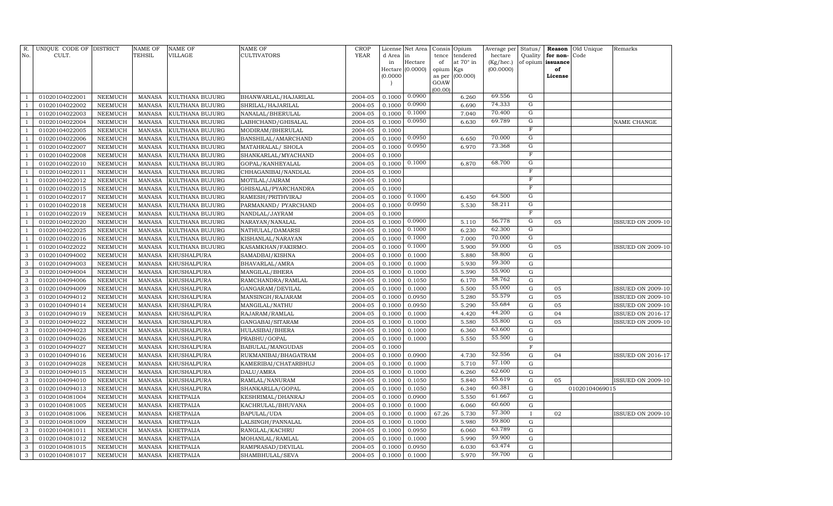| R.<br>No.      | UNIQUE CODE OF DISTRICT<br>CULT. |                | <b>NAME OF</b><br>TEHSIL | <b>NAME OF</b><br><b>VILLAGE</b> | NAME OF<br>CULTIVATORS | <b>CROP</b><br>YEAR | License<br>d Area | Net Area<br>in | Consis<br>tence | Opium<br>tendered | Average per<br>hectare | Status/<br>Quality      | Reason<br>for non- | Old Unique<br>Code | Remarks                  |
|----------------|----------------------------------|----------------|--------------------------|----------------------------------|------------------------|---------------------|-------------------|----------------|-----------------|-------------------|------------------------|-------------------------|--------------------|--------------------|--------------------------|
|                |                                  |                |                          |                                  |                        |                     | in                | Hectare        | of              | at 70° in         | (Kg/hec.)              | of opium                | issuance           |                    |                          |
|                |                                  |                |                          |                                  |                        |                     | Hectare           | (0.0000)       | opium           | Kgs               | (00.0000)              |                         | of                 |                    |                          |
|                |                                  |                |                          |                                  |                        |                     | (0.0000)          |                | as per          | (00.000)          |                        |                         | License            |                    |                          |
|                |                                  |                |                          |                                  |                        |                     |                   |                | GOAW<br>(00.00) |                   |                        |                         |                    |                    |                          |
| $\mathbf{1}$   | 01020104022001                   | NEEMUCH        | MANASA                   | KULTHANA BUJURG                  | BHANWARLAL/HAJARILAL   | 2004-05             | 0.1000            | 0.0900         |                 | 6.260             | 69.556                 | ${\rm G}$               |                    |                    |                          |
| $\mathbf{1}$   | 01020104022002                   | <b>NEEMUCH</b> | <b>MANASA</b>            | KULTHANA BUJURG                  | SHRILAL/HAJARILAL      | 2004-05             | 0.1000            | 0.0900         |                 | 6.690             | 74.333                 | ${\rm G}$               |                    |                    |                          |
| $\mathbf{1}$   | 01020104022003                   | NEEMUCH        | <b>MANASA</b>            | KULTHANA BUJURG                  | NANALAL/BHERULAL       | 2004-05             | 0.1000            | 0.1000         |                 | 7.040             | 70.400                 | $\overline{G}$          |                    |                    |                          |
| $\mathbf{1}$   | 01020104022004                   | NEEMUCH        | <b>MANASA</b>            | KULTHANA BUJURG                  | LABHCHAND/GHISALAL     | 2004-05             | 0.1000            | 0.0950         |                 | 6.630             | 69.789                 | G                       |                    |                    | NAME CHANGE              |
| $\mathbf{1}$   | 01020104022005                   | NEEMUCH        | <b>MANASA</b>            | KULTHANA BUJURG                  | MODIRAM/BHERULAL       | 2004-05             | 0.1000            |                |                 |                   |                        | $\overline{\mathrm{F}}$ |                    |                    |                          |
| $\mathbf{1}$   | 01020104022006                   | NEEMUCH        | <b>MANASA</b>            | KULTHANA BUJURG                  | BANSHILAL/AMARCHAND    | 2004-05             | 0.1000            | 0.0950         |                 | 6.650             | 70.000                 | G                       |                    |                    |                          |
| $\mathbf{1}$   | 01020104022007                   | NEEMUCH        | <b>MANASA</b>            | KULTHANA BUJURG                  | MATAHRALAL/ SHOLA      | 2004-05             | 0.1000            | 0.0950         |                 | 6.970             | 73.368                 | G                       |                    |                    |                          |
| $\mathbf{1}$   | 01020104022008                   | <b>NEEMUCH</b> | <b>MANASA</b>            | KULTHANA BUJURG                  | SHANKARLAL/MYACHAND    | 2004-05             | 0.1000            |                |                 |                   |                        | $_{\rm F}$              |                    |                    |                          |
| $\mathbf{1}$   | 01020104022010                   | NEEMUCH        | <b>MANASA</b>            | KULTHANA BUJURG                  | GOPAL/KANHEYALAL       | 2004-05             | 0.1000            | 0.1000         |                 | 6.870             | 68.700                 | $\overline{G}$          |                    |                    |                          |
| $\mathbf{1}$   | 01020104022011                   | <b>NEEMUCH</b> | <b>MANASA</b>            | KULTHANA BUJURG                  | CHHAGANIBAI/NANDLAL    | 2004-05             | 0.1000            |                |                 |                   |                        | F                       |                    |                    |                          |
| $\mathbf{1}$   | 01020104022012                   | <b>NEEMUCH</b> | <b>MANASA</b>            | KULTHANA BUJURG                  | MOTILAL/JAIRAM         | 2004-05             | 0.1000            |                |                 |                   |                        | $\mathbf F$             |                    |                    |                          |
| $\mathbf{1}$   | 01020104022015                   | <b>NEEMUCH</b> | <b>MANASA</b>            | KULTHANA BUJURG                  | GHISALAL/PYARCHANDRA   | 2004-05             | 0.1000            |                |                 |                   |                        | $\mathbf F$             |                    |                    |                          |
| $\mathbf{1}$   | 01020104022017                   | <b>NEEMUCH</b> | <b>MANASA</b>            | KULTHANA BUJURG                  | RAMESH/PRITHVIRAJ      | 2004-05             | 0.1000            | 0.1000         |                 | 6.450             | 64.500                 | G                       |                    |                    |                          |
| $\mathbf{1}$   | 01020104022018                   | <b>NEEMUCH</b> | <b>MANASA</b>            | KULTHANA BUJURG                  | PARMANAND/ PYARCHAND   | 2004-05             | 0.1000            | 0.0950         |                 | 5.530             | 58.211                 | G                       |                    |                    |                          |
| $\mathbf{1}$   | 01020104022019                   | <b>NEEMUCH</b> | <b>MANASA</b>            | KULTHANA BUJURG                  | NANDLAL/JAYRAM         | 2004-05             | 0.1000            |                |                 |                   |                        | $\overline{F}$          |                    |                    |                          |
| $\mathbf{1}$   | 01020104022020                   | <b>NEEMUCH</b> | <b>MANASA</b>            | KULTHANA BUJURG                  | NARAYAN/NANALAL        | 2004-05             | 0.1000            | 0.0900         |                 | 5.110             | 56.778                 | G                       | 05                 |                    | ISSUED ON 2009-10        |
| $\mathbf{1}$   | 01020104022025                   | <b>NEEMUCH</b> | <b>MANASA</b>            | KULTHANA BUJURG                  | NATHULAL/DAMARSI       | 2004-05             | 0.1000            | 0.1000         |                 | 6.230             | 62.300                 | G                       |                    |                    |                          |
| $\overline{1}$ | 01020104022016                   | <b>NEEMUCH</b> | <b>MANASA</b>            | KULTHANA BUJURG                  | KISHANLAL/NARAYAN      | 2004-05             | 0.1000            | 0.1000         |                 | 7.000             | 70.000                 | $\mathbf G$             |                    |                    |                          |
| $\mathbf{1}$   | 01020104022022                   | NEEMUCH        | <b>MANASA</b>            | KULTHANA BUJURG                  | KASAMKHAN/FAKIRMO.     | 2004-05             | 0.1000            | 0.1000         |                 | 5.900             | 59.000                 | $\overline{G}$          | 05                 |                    | <b>ISSUED ON 2009-10</b> |
| 3              | 01020104094002                   | <b>NEEMUCH</b> | <b>MANASA</b>            | KHUSHALPURA                      | SAMADBAI/KISHNA        | 2004-05             | 0.1000            | 0.1000         |                 | 5.880             | 58.800                 | ${\rm G}$               |                    |                    |                          |
| 3              | 01020104094003                   | NEEMUCH        | <b>MANASA</b>            | KHUSHALPURA                      | BHAVARLAL/AMRA         | 2004-05             | 0.1000            | 0.1000         |                 | 5.930             | 59.300                 | G                       |                    |                    |                          |
| 3              | 01020104094004                   | <b>NEEMUCH</b> | <b>MANASA</b>            | KHUSHALPURA                      | MANGILAL/BHERA         | 2004-05             | 0.1000            | 0.1000         |                 | 5.590             | 55.900                 | ${\rm G}$               |                    |                    |                          |
| 3              | 01020104094006                   | NEEMUCH        | <b>MANASA</b>            | KHUSHALPURA                      | RAMCHANDRA/RAMLAL      | 2004-05             | 0.1000            | 0.1050         |                 | 6.170             | 58.762                 | ${\rm G}$               |                    |                    |                          |
| 3              | 01020104094009                   | <b>NEEMUCH</b> | <b>MANASA</b>            | KHUSHALPURA                      | GANGARAM/DEVILAL       | 2004-05             | 0.1000            | 0.1000         |                 | 5.500             | 55.000                 | ${\rm G}$               | 05                 |                    | <b>ISSUED ON 2009-10</b> |
| 3              | 01020104094012                   | <b>NEEMUCH</b> | <b>MANASA</b>            | KHUSHALPURA                      | MANSINGH/RAJARAM       | 2004-05             | 0.1000            | 0.0950         |                 | 5.280             | 55.579                 | ${\rm G}$               | 05                 |                    | <b>ISSUED ON 2009-10</b> |
| 3              | 01020104094014                   | <b>NEEMUCH</b> | <b>MANASA</b>            | KHUSHALPURA                      | MANGILAL/NATHU         | 2004-05             | 0.1000            | 0.0950         |                 | 5.290             | 55.684                 | ${\rm G}$               | 05                 |                    | <b>ISSUED ON 2009-10</b> |
| 3              | 01020104094019                   | <b>NEEMUCH</b> | <b>MANASA</b>            | KHUSHALPURA                      | RAJARAM/RAMLAL         | 2004-05             | 0.1000            | 0.1000         |                 | 4.420             | 44.200                 | ${\rm G}$               | 04                 |                    | <b>ISSUED ON 2016-17</b> |
| 3              | 01020104094022                   | <b>NEEMUCH</b> | <b>MANASA</b>            | KHUSHALPURA                      | GANGABAI/SITARAM       | 2004-05             | 0.1000            | 0.1000         |                 | 5.580             | 55.800                 | ${\rm G}$               | 05                 |                    | <b>ISSUED ON 2009-10</b> |
| 3              | 01020104094023                   | <b>NEEMUCH</b> | <b>MANASA</b>            | KHUSHALPURA                      | HULASIBAI/BHERA        | 2004-05             | 0.1000            | 0.1000         |                 | 6.360             | 63.600                 | ${\rm G}$               |                    |                    |                          |
| 3              | 01020104094026                   | <b>NEEMUCH</b> | <b>MANASA</b>            | KHUSHALPURA                      | PRABHU/GOPAL           | 2004-05             | 0.1000            | 0.1000         |                 | 5.550             | 55.500                 | G                       |                    |                    |                          |
| 3              | 01020104094027                   | NEEMUCH        | <b>MANASA</b>            | KHUSHALPURA                      | BABULAL/MANGUDAS       | 2004-05             | 0.1000            |                |                 |                   |                        | $\mathbf F$             |                    |                    |                          |
| 3              | 01020104094016                   | NEEMUCH        | <b>MANASA</b>            | KHUSHALPURA                      | RUKMANIBAI/BHAGATRAM   | 2004-05             | 0.1000            | 0.0900         |                 | 4.730             | 52.556                 | G                       | 04                 |                    | <b>ISSUED ON 2016-17</b> |
| 3              | 01020104094028                   | NEEMUCH        | MANASA                   | KHUSHALPURA                      | KAMERIBAI/CHATARBHUJ   | 2004-05             | 0.1000            | 0.1000         |                 | 5.710             | 57.100                 | ${\rm G}$               |                    |                    |                          |
| 3              | 01020104094015                   | <b>NEEMUCH</b> | <b>MANASA</b>            | KHUSHALPURA                      | DALU/AMRA              | 2004-05             | 0.1000            | 0.1000         |                 | 6.260             | 62.600                 | G                       |                    |                    |                          |
| 3              | 01020104094010                   | <b>NEEMUCH</b> | <b>MANASA</b>            | KHUSHALPURA                      | RAMLAL/NANURAM         | 2004-05             | 0.1000            | 0.1050         |                 | 5.840             | 55.619                 | ${\bf G}$               | 05                 |                    | <b>ISSUED ON 2009-10</b> |
| 3              | 01020104094013                   | <b>NEEMUCH</b> | <b>MANASA</b>            | KHUSHALPURA                      | SHANKARLLA/GOPAL       | 2004-05             | 0.1000            | 0.1050         |                 | 6.340             | 60.381                 | ${\rm G}$               |                    | 01020104069015     |                          |
| 3              | 01020104081004                   | <b>NEEMUCH</b> | <b>MANASA</b>            | <b>KHETPALIA</b>                 | KESHRIMAL/DHANRAJ      | 2004-05             | 0.1000            | 0.0900         |                 | 5.550             | 61.667                 | ${\rm G}$               |                    |                    |                          |
| 3              | 01020104081005                   | <b>NEEMUCH</b> | <b>MANASA</b>            | <b>KHETPALIA</b>                 | KACHRULAL/BHUVANA      | 2004-05             | 0.1000            | 0.1000         |                 | 6.060             | 60.600                 | ${\rm G}$               |                    |                    |                          |
| 3              | 01020104081006                   | <b>NEEMUCH</b> | <b>MANASA</b>            | <b>KHETPALIA</b>                 | BAPULAL/UDA            | 2004-05             | 0.1000            | 0.1000         | 67.26           | 5.730             | 57.300                 | $\mathbf{I}$            | 02                 |                    | <b>SSUED ON 2009-10</b>  |
| 3              | 01020104081009                   | <b>NEEMUCH</b> | <b>MANASA</b>            | <b>KHETPALIA</b>                 | LALSINGH/PANNALAL      | 2004-05             | 0.1000            | 0.1000         |                 | 5.980             | 59.800                 | ${\rm G}$               |                    |                    |                          |
| 3              | 01020104081011                   | NEEMUCH        | <b>MANASA</b>            | <b>KHETPALIA</b>                 | RANGLAL/KACHRU         | 2004-05             | 0.1000            | 0.0950         |                 | 6.060             | 63.789                 | ${\rm G}$               |                    |                    |                          |
| $\mathbf{3}$   | 01020104081012                   | <b>NEEMUCH</b> | <b>MANASA</b>            | KHETPALIA                        | MOHANLAL/RAMLAL        | 2004-05             | 0.1000            | 0.1000         |                 | 5.990             | 59.900                 | ${\rm G}$               |                    |                    |                          |
| 3              | 01020104081015                   | <b>NEEMUCH</b> | <b>MANASA</b>            | <b>KHETPALIA</b>                 | RAMPRASAD/DEVILAL      | 2004-05             | 0.1000            | 0.0950         |                 | 6.030             | 63.474                 | ${\rm G}$               |                    |                    |                          |
| $\mathbf{3}$   | 01020104081017                   | NEEMUCH        | MANASA                   | <b>KHETPALIA</b>                 | SHAMBHULAL/SEVA        | 2004-05             | 0.1000            | 0.1000         |                 | 5.970             | 59.700                 | G                       |                    |                    |                          |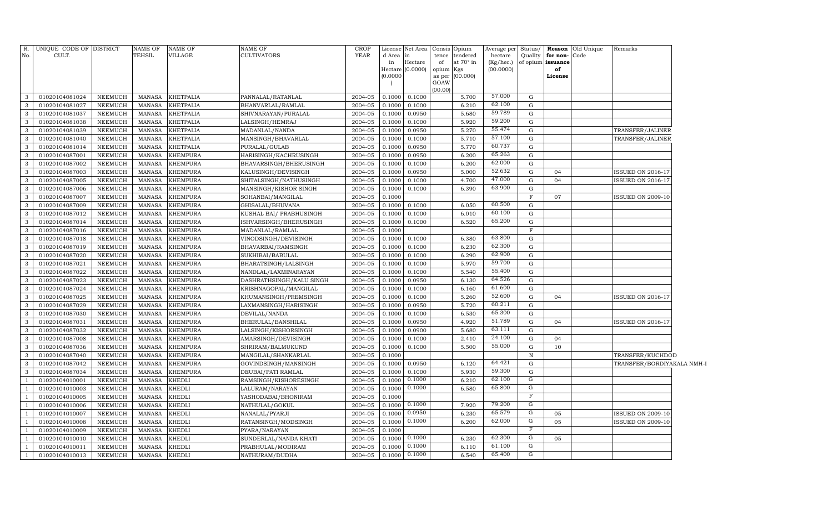| No.            | R. UNIQUE CODE OF DISTRICT<br>CULT. |                           | NAME OF<br>TEHSIL              | <b>NAME OF</b><br>VILLAGE          | <b>NAME OF</b><br><b>CULTIVATORS</b>       | <b>CROP</b><br>YEAR | d Area           | License Net Area<br>in | Consis<br>Opium<br>tendered<br>tence | Average per<br>hectare | Status/<br>Quality | for non- | <b>Reason</b> Old Unique<br>Code | Remarks                                        |
|----------------|-------------------------------------|---------------------------|--------------------------------|------------------------------------|--------------------------------------------|---------------------|------------------|------------------------|--------------------------------------|------------------------|--------------------|----------|----------------------------------|------------------------------------------------|
|                |                                     |                           |                                |                                    |                                            |                     | in               | Hectare                | of<br>at 70° in                      | (Kg/hec.)              | of opium           | issuance |                                  |                                                |
|                |                                     |                           |                                |                                    |                                            |                     |                  | Hectare (0.0000)       | opium<br>Kgs                         | (00.0000)              |                    | of       |                                  |                                                |
|                |                                     |                           |                                |                                    |                                            |                     | (0.0000)         |                        | (00.000)<br>as per                   |                        |                    | License  |                                  |                                                |
|                |                                     |                           |                                |                                    |                                            |                     | $\overline{ }$   |                        | GOAW<br>(00.00)                      |                        |                    |          |                                  |                                                |
| 3              | 01020104081024                      | NEEMUCH                   | MANASA                         | <b>KHETPALIA</b>                   | PANNALAL/RATANLAL                          | 2004-05             | 0.1000           | 0.1000                 | 5.700                                | 57.000                 | G                  |          |                                  |                                                |
| 3              | 01020104081027                      | NEEMUCH                   | MANASA                         | <b>KHETPALIA</b>                   | BHANVARLAL/RAMLAL                          | 2004-05             | 0.1000           | 0.1000                 | 6.210                                | 62.100                 | G                  |          |                                  |                                                |
| 3              | 01020104081037                      | NEEMUCH                   | MANASA                         | <b>KHETPALIA</b>                   | SHIVNARAYAN/PURALAL                        | 2004-05             | 0.1000           | 0.0950                 | 5.680                                | 59.789                 | $\mathbf G$        |          |                                  |                                                |
| 3              | 01020104081038                      | NEEMUCH                   | MANASA                         | <b>KHETPALIA</b>                   | LALSINGH/HEMRAJ                            | 2004-05             | 0.1000           | 0.1000                 | 5.920                                | 59.200                 | $\mathbf G$        |          |                                  |                                                |
| 3              | 01020104081039                      | <b>NEEMUCH</b>            | MANASA                         | <b>KHETPALIA</b>                   | MADANLAL/NANDA                             | 2004-05             | 0.1000           | 0.0950                 | 5.270                                | 55.474                 | $\mathbf G$        |          |                                  | TRANSFER/JALINER                               |
| 3              | 01020104081040                      | NEEMUCH                   | MANASA                         | <b>KHETPALIA</b>                   | MANSINGH/BHAVARLAL                         | 2004-05             | 0.1000           | 0.1000                 | 5.710                                | 57.100                 | $\mathbf G$        |          |                                  | TRANSFER/JALINER                               |
| 3              | 01020104081014                      | <b>NEEMUCH</b>            | MANASA                         | <b>KHETPALIA</b>                   | PURALAL/GULAB                              | 2004-05             | 0.1000           | 0.0950                 | 5.770                                | 60.737                 | $\mathbf G$        |          |                                  |                                                |
| 3              | 01020104087001                      | NEEMUCH                   | <b>MANASA</b>                  | <b>KHEMPURA</b>                    | HARISINGH/KACHRUSINGH                      | 2004-05             | 0.1000           | 0.0950                 | 6.200                                | 65.263                 | $\mathbf G$        |          |                                  |                                                |
| 3              | 01020104087002                      | NEEMUCH                   | <b>MANASA</b>                  | <b>KHEMPURA</b>                    | BHAVARSINGH/BHERUSINGH                     | 2004-05             | 0.1000           | 0.1000                 | 6.200                                | 62.000                 | $\mathbf G$        |          |                                  |                                                |
| 3              | 01020104087003                      | NEEMUCH                   | <b>MANASA</b>                  | <b>KHEMPURA</b>                    | KALUSINGH/DEVISINGH                        | 2004-05             | 0.1000           | 0.0950                 | 5.000                                | 52.632                 | G                  | 04       |                                  | <b>ISSUED ON 2016-17</b>                       |
| 3              | 01020104087005                      | NEEMUCH                   | MANASA                         | <b>KHEMPURA</b>                    | SHITALSINGH/NATHUSINGH                     | 2004-05             | 0.1000           | 0.1000                 | 4.700                                | 47.000                 | $\mathbf G$        | 04       |                                  | ISSUED ON 2016-17                              |
| 3              | 01020104087006                      | NEEMUCH                   | <b>MANASA</b>                  | <b>KHEMPURA</b>                    | MANSINGH/KISHOR SINGH                      | 2004-05             | 0.1000           | 0.1000                 | 6.390                                | 63.900                 | G                  |          |                                  |                                                |
| 3              | 01020104087007                      | NEEMUCH                   | MANASA                         | <b>KHEMPURA</b>                    | SOHANBAI/MANGILAL                          | 2004-05             | 0.1000           |                        |                                      |                        | $\mathbf F$        | 07       |                                  | <b>ISSUED ON 2009-10</b>                       |
| 3              | 01020104087009                      | NEEMUCH                   | MANASA                         | <b>KHEMPURA</b>                    | GHISALAL/BHUVANA                           | 2004-05             | 0.1000           | 0.1000                 | 6.050                                | 60.500                 | G                  |          |                                  |                                                |
| 3              | 01020104087012                      | NEEMUCH                   | MANASA                         | <b>KHEMPURA</b>                    | KUSHAL BAI/ PRABHUSINGH                    | 2004-05             | 0.1000           | 0.1000                 | 6.010                                | 60.100                 | G                  |          |                                  |                                                |
| 3              | 01020104087014                      | NEEMUCH                   | <b>MANASA</b>                  | <b>KHEMPURA</b>                    | ISHVARSINGH/BHERUSINGH                     | 2004-05             | 0.1000           | 0.1000                 | 6.520                                | 65.200                 | G                  |          |                                  |                                                |
| 3              | 01020104087016                      | NEEMUCH                   | MANASA                         | <b>KHEMPURA</b>                    | MADANLAL/RAMLAL                            | 2004-05             | 0.1000           |                        |                                      |                        | $\rm F$            |          |                                  |                                                |
| 3              | 01020104087018                      | NEEMUCH                   | MANASA                         | <b>KHEMPURA</b>                    | VINODSINGH/DEVISINGH                       | 2004-05             | 0.1000           | 0.1000                 | 6.380                                | 63.800                 | G                  |          |                                  |                                                |
| 3              | 01020104087019                      | NEEMUCH                   | MANASA                         | <b>KHEMPURA</b>                    | BHAVARBAI/RAMSINGH                         | 2004-05             | 0.1000           | 0.1000                 | 6.230                                | 62.300                 | $\mathbf G$        |          |                                  |                                                |
| 3              | 01020104087020                      | <b>NEEMUCH</b>            | MANASA                         | <b>KHEMPURA</b>                    | SUKHIBAI/BABULAL                           | 2004-05             | 0.1000           | 0.1000                 | 6.290                                | 62.900                 | $\mathbf G$        |          |                                  |                                                |
| 3              | 01020104087021                      | NEEMUCH                   | MANASA                         | <b>KHEMPURA</b>                    | BHARATSINGH/LALSINGH                       | 2004-05             | 0.1000           | 0.1000                 | 5.970                                | 59.700                 | $\mathbf G$        |          |                                  |                                                |
| 3              | 01020104087022                      | <b>NEEMUCH</b>            | MANASA                         | <b>KHEMPURA</b>                    | NANDLAL/LAXMINARAYAN                       | 2004-05             | 0.1000           | 0.1000                 | 5.540                                | 55.400                 | $\mathbf G$        |          |                                  |                                                |
| 3              | 01020104087023                      | NEEMUCH                   | MANASA                         | <b>KHEMPURA</b>                    | DASHRATHSINGH/KALU SINGH                   | 2004-05             | 0.1000           | 0.0950                 | 6.130                                | 64.526                 | G                  |          |                                  |                                                |
| 3              | 01020104087024                      | NEEMUCH                   | MANASA                         | <b>KHEMPURA</b>                    | KRISHNAGOPAL/MANGILAL                      | 2004-05             | 0.1000           | 0.1000                 | 6.160                                | 61.600                 | $\mathbf G$        |          |                                  |                                                |
| 3              | 01020104087025                      | NEEMUCH                   | MANASA                         | <b>KHEMPURA</b>                    | KHUMANSINGH/PREMSINGH                      | 2004-05             | 0.1000           | 0.1000                 | 5.260                                | 52.600                 | G                  | 04       |                                  | <b>ISSUED ON 2016-17</b>                       |
| 3              | 01020104087029                      | NEEMUCH                   | <b>MANASA</b>                  | <b>KHEMPURA</b>                    | LAXMANSINGH/HARISINGH                      | 2004-05             | 0.1000           | 0.0950                 | 5.720                                | 60.211                 | G                  |          |                                  |                                                |
| 3              | 01020104087030                      | NEEMUCH                   | MANASA                         | <b>KHEMPURA</b>                    | DEVILAL/NANDA                              | 2004-05             | 0.1000           | 0.1000                 | 6.530                                | 65.300                 | G                  |          |                                  |                                                |
| 3              | 01020104087031                      | NEEMUCH                   | <b>MANASA</b>                  | <b>KHEMPURA</b>                    | BHERULAL/BANSHILAL                         | 2004-05             | 0.1000           | 0.0950                 | 4.920                                | 51.789                 | G                  | 04       |                                  | <b>ISSUED ON 2016-17</b>                       |
| 3              | 01020104087032                      | NEEMUCH                   | <b>MANASA</b>                  | <b>KHEMPURA</b>                    | LALSINGH/KISHORSINGH                       | 2004-05             | 0.1000           | 0.0900                 | 5.680                                | 63.111                 | $\mathbf G$        |          |                                  |                                                |
| 3<br>3         | 01020104087008                      | NEEMUCH                   | <b>MANASA</b>                  | <b>KHEMPURA</b>                    | AMARSINGH/DEVISINGH                        | 2004-05             | 0.1000           | 0.1000                 | 2.410                                | 24.100<br>55.000       | G<br>G             | 04       |                                  |                                                |
| 3              | 01020104087036                      | NEEMUCH<br><b>NEEMUCH</b> | <b>MANASA</b><br><b>MANASA</b> | <b>KHEMPURA</b>                    | SHRIRAM/BALMUKUND                          | 2004-05<br>2004-05  | 0.1000<br>0.1000 | 0.1000                 | 5.500                                |                        | $\mathbb N$        | 10       |                                  |                                                |
| 3              | 01020104087040<br>01020104087042    | NEEMUCH                   | <b>MANASA</b>                  | <b>KHEMPURA</b><br><b>KHEMPURA</b> | MANGILAL/SHANKARLAL                        | 2004-05             | 0.1000           | 0.0950                 | 6.120                                | 64.421                 | G                  |          |                                  | TRANSFER/KUCHDOD<br>TRANSFER/BORDIYAKALA NMH-I |
| 3              | 01020104087034                      | <b>NEEMUCH</b>            | <b>MANASA</b>                  | <b>KHEMPURA</b>                    | GOVINDSINGH/MANSINGH<br>DEUBAI/PATI RAMLAL | 2004-05             | 0.1000           | 0.1000                 | 5.930                                | 59.300                 | G                  |          |                                  |                                                |
|                | 01020104010001                      | NEEMUCH                   | <b>MANASA</b>                  | <b>KHEDLI</b>                      | RAMSINGH/KISHORESINGH                      | 2004-05             | 0.1000           | 0.1000                 | 6.210                                | 62.100                 | G                  |          |                                  |                                                |
|                | 01020104010003                      | <b>NEEMUCH</b>            | <b>MANASA</b>                  | <b>KHEDLI</b>                      | LALURAM/NARAYAN                            | 2004-05             | 0.1000           | 0.1000                 | 6.580                                | 65.800                 | $\overline{G}$     |          |                                  |                                                |
|                | 01020104010005                      | NEEMUCH                   | <b>MANASA</b>                  | <b>KHEDLI</b>                      | YASHODABAI/BHONIRAM                        | 2004-05             | 0.1000           |                        |                                      |                        | F                  |          |                                  |                                                |
|                | 01020104010006                      | NEEMUCH                   | <b>MANASA</b>                  | <b>KHEDLI</b>                      | NATHULAL/GOKUL                             | 2004-05             | 0.1000           | 0.1000                 | 7.920                                | 79.200                 | G                  |          |                                  |                                                |
| $\overline{1}$ | 01020104010007                      | <b>NEEMUCH</b>            | <b>MANASA</b>                  | <b>KHEDLI</b>                      | NANALAL/PYARJI                             | 2004-05             | 0.1000           | 0.0950                 | 6.230                                | 65.579                 | ${\rm G}$          | 05       |                                  | <b>ISSUED ON 2009-10</b>                       |
| $\overline{1}$ | 01020104010008                      | <b>NEEMUCH</b>            | <b>MANASA</b>                  | <b>KHEDLI</b>                      | RATANSINGH/MODSINGH                        | 2004-05             | 0.1000           | 0.1000                 | 6.200                                | 62.000                 | G                  | 05       |                                  | <b>ISSUED ON 2009-10</b>                       |
| $\overline{1}$ | 01020104010009                      | <b>NEEMUCH</b>            | <b>MANASA</b>                  | <b>KHEDLI</b>                      | PYARA/NARAYAN                              | 2004-05             | 0.1000           |                        |                                      |                        | $\mathbb{F}$       |          |                                  |                                                |
|                | 01020104010010                      | <b>NEEMUCH</b>            | <b>MANASA</b>                  | <b>KHEDLI</b>                      | SUNDERLAL/NANDA KHATI                      | 2004-05             | 0.1000           | 0.1000                 | 6.230                                | 62.300                 | G                  | 05       |                                  |                                                |
| $\overline{1}$ | 01020104010011                      | <b>NEEMUCH</b>            | <b>MANASA</b>                  | <b>KHEDLI</b>                      | PRABHULAL/MODIRAM                          | 2004-05             | 0.1000           | 0.1000                 | 6.110                                | 61.100                 | G                  |          |                                  |                                                |
| -1             | 01020104010013                      | <b>NEEMUCH</b>            | MANASA                         | <b>KHEDLI</b>                      | NATHURAM/DUDHA                             | 2004-05             | 0.1000           | 0.1000                 | 6.540                                | 65.400                 | $\overline{G}$     |          |                                  |                                                |
|                |                                     |                           |                                |                                    |                                            |                     |                  |                        |                                      |                        |                    |          |                                  |                                                |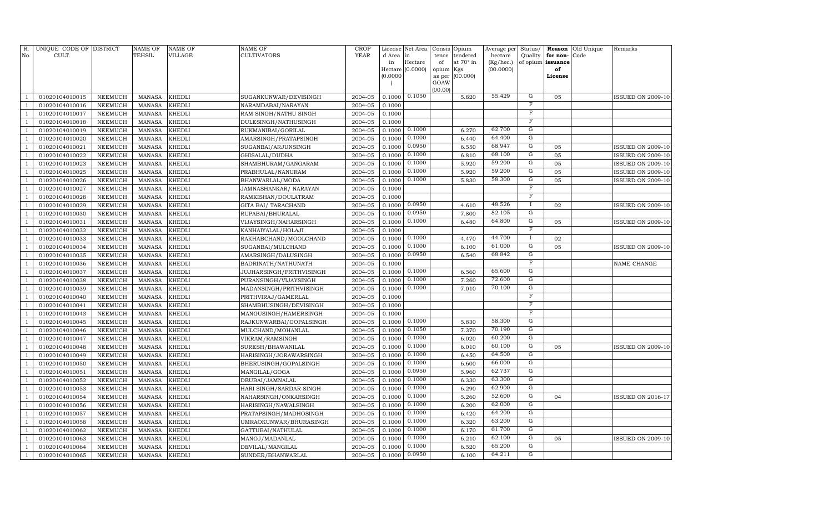| R.<br>No.                        | UNIQUE CODE OF DISTRICT<br>CULT. |                | <b>NAME OF</b><br><b>TEHSIL</b> | <b>NAME OF</b><br><b>VILLAGE</b> | NAME OF<br><b>CULTIVATORS</b> | <b>CROP</b><br><b>YEAR</b> | License<br>d Area | Net Area<br>in   | Consis<br>tence | Opium<br>tendered | Average per<br>hectare | Status/<br>Quality      | Reason<br>for non- | Old Unique<br>Code | Remarks                  |
|----------------------------------|----------------------------------|----------------|---------------------------------|----------------------------------|-------------------------------|----------------------------|-------------------|------------------|-----------------|-------------------|------------------------|-------------------------|--------------------|--------------------|--------------------------|
|                                  |                                  |                |                                 |                                  |                               |                            | in                | Hectare          | of              | at 70° in         | (Kg/hec.)              |                         | of opium issuance  |                    |                          |
|                                  |                                  |                |                                 |                                  |                               |                            |                   | Hectare (0.0000) | opium           | Kgs               | (00.0000)              |                         | of                 |                    |                          |
|                                  |                                  |                |                                 |                                  |                               |                            | (0.0000)          |                  | as per          | (00.000)          |                        |                         | License            |                    |                          |
|                                  |                                  |                |                                 |                                  |                               |                            |                   |                  | GOAW<br>(00.00) |                   |                        |                         |                    |                    |                          |
| 1                                | 01020104010015                   | NEEMUCH        | <b>MANASA</b>                   | <b>KHEDLI</b>                    | SUGANKUNWAR/DEVISINGH         | 2004-05                    | 0.1000            | 0.1050           |                 | 5.820             | 55.429                 | G                       | 05                 |                    | <b>ISSUED ON 2009-10</b> |
| $\mathbf{1}$                     | 01020104010016                   | <b>NEEMUCH</b> | <b>MANASA</b>                   | <b>KHEDLI</b>                    | NARAMDABAI/NARAYAN            | 2004-05                    | 0.1000            |                  |                 |                   |                        | $\mathbf{F}$            |                    |                    |                          |
| $\mathbf{1}$                     | 01020104010017                   | <b>NEEMUCH</b> | <b>MANASA</b>                   | <b>KHEDLI</b>                    | RAM SINGH/NATHU SINGH         | 2004-05                    | 0.1000            |                  |                 |                   |                        | $\mathbf F$             |                    |                    |                          |
| $\mathbf{1}$                     | 01020104010018                   | <b>NEEMUCH</b> | <b>MANASA</b>                   | <b>KHEDLI</b>                    | DULESINGH/NATHUSINGH          | 2004-05                    | 0.1000            |                  |                 |                   |                        | $_{\rm F}$              |                    |                    |                          |
| $\mathbf{1}$                     | 01020104010019                   | <b>NEEMUCH</b> | <b>MANASA</b>                   | <b>KHEDLI</b>                    | RUKMANIBAI/GORILAL            | 2004-05                    | 0.1000            | 0.1000           |                 | 6.270             | 62.700                 | G                       |                    |                    |                          |
| $\mathbf{1}$                     | 01020104010020                   | <b>NEEMUCH</b> | <b>MANASA</b>                   | <b>KHEDLI</b>                    | AMARSINGH/PRATAPSINGH         | 2004-05                    | 0.1000            | 0.1000           |                 | 6.440             | 64.400                 | $\overline{G}$          |                    |                    |                          |
| $\mathbf{1}$                     | 01020104010021                   | <b>NEEMUCH</b> | <b>MANASA</b>                   | <b>KHEDLI</b>                    | SUGANBAI/ARJUNSINGH           | 2004-05                    | 0.1000            | 0.0950           |                 | 6.550             | 68.947                 | $\overline{G}$          | 05                 |                    | <b>ISSUED ON 2009-10</b> |
| $\mathbf{1}$                     | 01020104010022                   | <b>NEEMUCH</b> | <b>MANASA</b>                   | KHEDLI                           | GHISALAL/DUDHA                | 2004-05                    | 0.1000            | 0.1000           |                 | 6.810             | 68.100                 | $\overline{G}$          | 05                 |                    | <b>ISSUED ON 2009-10</b> |
| $\mathbf{1}$                     | 01020104010023                   | <b>NEEMUCH</b> | <b>MANASA</b>                   | KHEDLI                           | SHAMBHURAM/GANGARAM           | 2004-05                    | 0.1000            | 0.1000           |                 | 5.920             | 59.200                 | $\overline{G}$          | 05                 |                    | <b>ISSUED ON 2009-10</b> |
| $\mathbf{1}$                     | 01020104010025                   | <b>NEEMUCH</b> | <b>MANASA</b>                   | <b>KHEDLI</b>                    | PRABHULAL/NANURAM             | 2004-05                    | 0.1000            | 0.1000           |                 | 5.920             | 59.200                 | $\mathbf G$             | 05                 |                    | <b>ISSUED ON 2009-10</b> |
| $\mathbf{1}$                     | 01020104010026                   | <b>NEEMUCH</b> | <b>MANASA</b>                   | <b>KHEDLI</b>                    | BHANWARLAL/MODA               | 2004-05                    | 0.1000            | 0.1000           |                 | 5.830             | 58.300                 | $\overline{G}$          | 05                 |                    | ISSUED ON 2009-10        |
| $\mathbf{1}$                     | 01020104010027                   | <b>NEEMUCH</b> | <b>MANASA</b>                   | <b>KHEDLI</b>                    | JAMNASHANKAR/ NARAYAN         | 2004-05                    | 0.1000            |                  |                 |                   |                        | $\mathbf F$             |                    |                    |                          |
| $\mathbf{1}$                     | 01020104010028                   | <b>NEEMUCH</b> | <b>MANASA</b>                   | KHEDLI                           | RAMKISHAN/DOULATRAM           | 2004-05                    | 0.1000            |                  |                 |                   |                        | $\mathbf F$             |                    |                    |                          |
| $\mathbf{1}$                     | 01020104010029                   | <b>NEEMUCH</b> | <b>MANASA</b>                   | <b>KHEDLI</b>                    | GITA BAI/ TARACHAND           | 2004-05                    | 0.1000            | 0.0950           |                 | 4.610             | 48.526                 | $\mathbf{I}$            | 02                 |                    | <b>ISSUED ON 2009-10</b> |
| $\mathbf{1}$                     | 01020104010030                   | <b>NEEMUCH</b> | <b>MANASA</b>                   | <b>KHEDLI</b>                    | RUPABAI/BHURALAL              | 2004-05                    | 0.1000            | 0.0950           |                 | 7.800             | 82.105                 | G                       |                    |                    |                          |
| $\mathbf{1}$                     | 01020104010031                   | <b>NEEMUCH</b> | <b>MANASA</b>                   | <b>KHEDLI</b>                    | VIJAYSINGH/NAHARSINGH         | 2004-05                    | 0.1000            | 0.1000           |                 | 6.480             | 64.800                 | G                       | 05                 |                    | <b>ISSUED ON 2009-10</b> |
| $\mathbf{1}$                     | 01020104010032                   | <b>NEEMUCH</b> | <b>MANASA</b>                   | KHEDLI                           | KANHAIYALAL/HOLAJI            | 2004-05                    | 0.1000            |                  |                 |                   |                        | $_{\rm F}$              |                    |                    |                          |
| $\overline{1}$                   | 01020104010033                   | <b>NEEMUCH</b> | <b>MANASA</b>                   | KHEDLI                           | RAKHABCHAND/MOOLCHAND         | 2004-05                    | 0.1000            | 0.1000           |                 | 4.470             | 44.700                 | $\mathbf{I}$            | 02                 |                    |                          |
| $\overline{1}$                   | 01020104010034                   | <b>NEEMUCH</b> | <b>MANASA</b>                   | KHEDLI                           | SUGANBAI/MULCHAND             | 2004-05                    | 0.1000            | 0.1000           |                 | 6.100             | 61.000                 | $\overline{G}$          | 05                 |                    | <b>ISSUED ON 2009-10</b> |
| $\mathbf{1}$                     | 01020104010035                   | <b>NEEMUCH</b> | <b>MANASA</b>                   | KHEDLI                           | AMARSINGH/DALUSINGH           | 2004-05                    | 0.1000            | 0.0950           |                 | 6.540             | 68.842                 | $\overline{G}$          |                    |                    |                          |
| $\overline{1}$                   | 01020104010036                   | <b>NEEMUCH</b> | <b>MANASA</b>                   | KHEDLI                           | BADRINATH/NATHUNATH           | 2004-05                    | 0.1000            |                  |                 |                   |                        | $\mathbf{F}$            |                    |                    | NAME CHANGE              |
| $\mathbf{1}$                     | 01020104010037                   | <b>NEEMUCH</b> | <b>MANASA</b>                   | <b>KHEDLI</b>                    | JUJHARSINGH/PRITHVISINGH      | 2004-05                    | 0.1000            | 0.1000           |                 | 6.560             | 65.600                 | $\overline{G}$          |                    |                    |                          |
| $\overline{1}$                   | 01020104010038                   | NEEMUCH        | <b>MANASA</b>                   | KHEDLI                           | PURANSINGH/VIJAYSINGH         | 2004-05                    | 0.1000            | 0.1000           |                 | 7.260             | 72.600                 | $\overline{G}$          |                    |                    |                          |
| $\mathbf{1}$                     | 01020104010039                   | <b>NEEMUCH</b> | <b>MANASA</b>                   | KHEDLI                           | MADANSINGH/PRITHVISINGH       | 2004-05                    | 0.1000            | 0.1000           |                 | 7.010             | 70.100                 | $\overline{G}$          |                    |                    |                          |
| $\mathbf{1}$                     | 01020104010040                   | <b>NEEMUCH</b> | <b>MANASA</b>                   | <b>KHEDLI</b>                    | PRITHVIRAJ/GAMERLAL           | 2004-05                    | 0.1000            |                  |                 |                   |                        | $\overline{\mathrm{F}}$ |                    |                    |                          |
| $\mathbf{1}$                     | 01020104010041                   | <b>NEEMUCH</b> | <b>MANASA</b>                   | <b>KHEDLI</b>                    | SHAMBHUSINGH/DEVISINGH        | 2004-05                    | 0.1000            |                  |                 |                   |                        | $\overline{\mathrm{F}}$ |                    |                    |                          |
| $\overline{1}$                   | 01020104010043                   | <b>NEEMUCH</b> | <b>MANASA</b>                   | KHEDLI                           | MANGUSINGH/HAMERSINGH         | 2004-05                    | 0.1000            |                  |                 |                   |                        | $\mathbf F$             |                    |                    |                          |
| $\mathbf{1}$                     | 01020104010045                   | <b>NEEMUCH</b> | <b>MANASA</b>                   | KHEDLI                           | RAJKUNWARBAI/GOPALSINGH       | 2004-05                    | 0.1000            | 0.1000           |                 | 5.830             | 58.300                 | G                       |                    |                    |                          |
| $\overline{1}$                   | 01020104010046                   | <b>NEEMUCH</b> | <b>MANASA</b>                   | KHEDLI                           | MULCHAND/MOHANLAL             | 2004-05                    | 0.1000            | 0.1050           |                 | 7.370             | 70.190                 | $\mathbf G$             |                    |                    |                          |
| $\mathbf{1}$                     | 01020104010047                   | <b>NEEMUCH</b> | <b>MANASA</b>                   | KHEDLI                           | VIKRAM/RAMSINGH               | 2004-05                    | 0.1000            | 0.1000           |                 | 6.020             | 60.200                 | $\mathbf G$             |                    |                    |                          |
| $\overline{1}$                   | 01020104010048                   | <b>NEEMUCH</b> | <b>MANASA</b>                   | KHEDLI                           | SURESH/BHAWANILAL             | 2004-05                    | 0.1000            | 0.1000           |                 | 6.010             | 60.100                 | $\overline{G}$          | 05                 |                    | <b>ISSUED ON 2009-10</b> |
| $\overline{1}$                   | 01020104010049                   | <b>NEEMUCH</b> | <b>MANASA</b>                   | KHEDLI                           | HARISINGH/JORAWARSINGH        | 2004-05                    | 0.1000            | 0.1000           |                 | 6.450             | 64.500                 | G<br>G                  |                    |                    |                          |
| $\overline{1}$                   | 01020104010050                   | NEEMUCH        | <b>MANASA</b>                   | KHEDLI                           | BHERUSINGH/GOPALSINGH         | 2004-05                    | 0.1000            | 0.1000<br>0.0950 |                 | 6.600             | 66.000<br>62.737       | G                       |                    |                    |                          |
| $\mathbf{1}$                     | 01020104010051                   | <b>NEEMUCH</b> | <b>MANASA</b>                   | KHEDLI                           | MANGILAL/GOGA                 | 2004-05                    | 0.1000            | 0.1000           |                 | 5.960             | 63.300                 | G                       |                    |                    |                          |
|                                  | 01020104010052                   | <b>NEEMUCH</b> | <b>MANASA</b>                   | KHEDLI                           | DEUBAI/JAMNALAL               | 2004-05                    | 0.1000            | 0.1000           |                 | 6.330             | 62.900                 | $\mathbf G$             |                    |                    |                          |
| $\overline{1}$                   | 01020104010053                   | NEEMUCH        | <b>MANASA</b>                   | KHEDLI                           | HARI SINGH/SARDAR SINGH       | 2004-05                    | 0.1000            | 0.1000           |                 | 6.290             | 52.600                 | $\mathbf G$             |                    |                    |                          |
| $\overline{1}$                   | 01020104010054                   | <b>NEEMUCH</b> | <b>MANASA</b>                   | KHEDLI                           | NAHARSINGH/ONKARSINGH         | 2004-05                    | 0.1000            | 0.1000           |                 | 5.260             | 62.000                 | G                       | 04                 |                    | <b>ISSUED ON 2016-17</b> |
| $\overline{1}$<br>$\overline{1}$ | 01020104010056                   | <b>NEEMUCH</b> | <b>MANASA</b>                   | KHEDLI                           | HARISINGH/NAWALSINGH          | 2004-05                    | 0.1000            | 0.1000           |                 | 6.200             | 64.200                 | G                       |                    |                    |                          |
|                                  | 01020104010057                   | <b>NEEMUCH</b> | <b>MANASA</b>                   | KHEDLI                           | PRATAPSINGH/MADHOSINGH        | 2004-05                    | 0.1000            | 0.1000           |                 | 6.420             | 63.200                 | G                       |                    |                    |                          |
|                                  | 01020104010058                   | <b>NEEMUCH</b> | <b>MANASA</b>                   | KHEDLI                           | UMRAOKUNWAR/BHURASINGH        | 2004-05                    | 0.1000            | 0.1000           |                 | 6.320             | 61.700                 | G                       |                    |                    |                          |
| $\mathbf{1}$<br>$\overline{1}$   | 01020104010062                   | <b>NEEMUCH</b> | <b>MANASA</b>                   | KHEDLI                           | GATTUBAI/NATHULAL             | 2004-05                    | 0.1000            | 0.1000           |                 | 6.170             | 62.100                 | G                       | 0 <sub>5</sub>     |                    |                          |
|                                  | 01020104010063                   | <b>NEEMUCH</b> | <b>MANASA</b>                   | KHEDLI                           | MANOJ/MADANLAL                | 2004-05                    | 0.1000<br>0.1000  | 0.1000           |                 | 6.210             | 65.200                 | G                       |                    |                    | <b>ISSUED ON 2009-10</b> |
|                                  | 01020104010064                   | <b>NEEMUCH</b> | <b>MANASA</b>                   | KHEDLI                           | DEVILAL/MANGILAL              | 2004-05                    |                   | 0.0950           |                 | 6.520             | 64.211                 | $\overline{G}$          |                    |                    |                          |
| $\mathbf{1}$                     | 01020104010065                   | NEEMUCH        | MANASA                          | KHEDLI                           | SUNDER/BHANWARLAL             | 2004-05                    | 0.1000            |                  |                 | 6.100             |                        |                         |                    |                    |                          |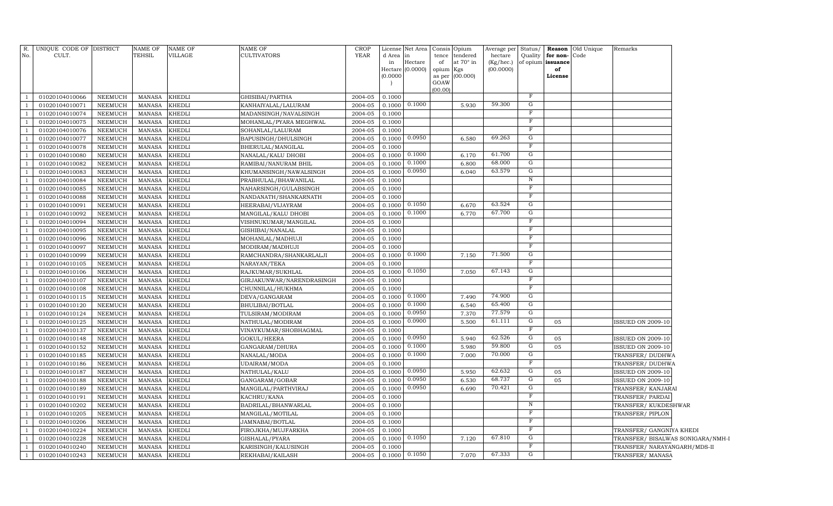| R.                               | UNIQUE CODE OF DISTRICT |                | <b>NAME OF</b> | NAME OF       | <b>NAME OF</b>            | <b>CROP</b> |           | License Net Area      |                | Consis Opium     | Average per      | Status/        |                   | <b>Reason</b> Old Unique | Remarks                           |  |
|----------------------------------|-------------------------|----------------|----------------|---------------|---------------------------|-------------|-----------|-----------------------|----------------|------------------|------------------|----------------|-------------------|--------------------------|-----------------------------------|--|
| No.                              | CULT.                   |                | <b>TEHSIL</b>  | VILLAGE       | CULTIVATORS               | <b>YEAR</b> | d Area in |                       | tence          | tendered         | hectare          | Quality        | for non-          | Code                     |                                   |  |
|                                  |                         |                |                |               |                           |             | in        | Hectare               | of             | at $70^\circ$ in | (Kg/hec.)        |                | of opium issuance |                          |                                   |  |
|                                  |                         |                |                |               |                           |             | (0.0000)  | Hectare (0.0000)      | opium Kgs      |                  | (00.0000)        |                | of                |                          |                                   |  |
|                                  |                         |                |                |               |                           |             |           |                       | as per<br>GOAW | (00.000)         |                  |                | License           |                          |                                   |  |
|                                  |                         |                |                |               |                           |             |           |                       | (00.00)        |                  |                  |                |                   |                          |                                   |  |
| $\overline{1}$                   | 01020104010066          | NEEMUCH        | MANASA         | <b>KHEDLI</b> | GHISIBAI/PARTHA           | 2004-05     | 0.1000    |                       |                |                  |                  | F              |                   |                          |                                   |  |
| $\overline{1}$                   | 01020104010071          | <b>NEEMUCH</b> | MANASA         | <b>KHEDLI</b> | KANHAIYALAL/LALURAM       | 2004-05     |           | $0.1000 \quad 0.1000$ |                | 5.930            | 59.300           | G              |                   |                          |                                   |  |
| $\overline{1}$                   | 01020104010074          | NEEMUCH        | MANASA         | <b>KHEDLI</b> | MADANSINGH/NAVALSINGH     | 2004-05     | 0.1000    |                       |                |                  |                  | F              |                   |                          |                                   |  |
| $\mathbf{1}$                     | 01020104010075          | NEEMUCH        | MANASA         | <b>KHEDLI</b> | MOHANLAL/PYARA MEGHWAL    | 2004-05     | 0.1000    |                       |                |                  |                  | F              |                   |                          |                                   |  |
| -1                               | 01020104010076          | <b>NEEMUCH</b> | MANASA         | <b>KHEDLI</b> | SOHANLAL/LALURAM          | 2004-05     | 0.1000    |                       |                |                  |                  | F              |                   |                          |                                   |  |
| <sup>1</sup>                     | 01020104010077          | <b>NEEMUCH</b> | <b>MANASA</b>  | <b>KHEDLI</b> | BAPUSINGH/DHULSINGH       | 2004-05     |           | 0.1000 0.0950         |                | 6.580            | 69.263           | G              |                   |                          |                                   |  |
| -1                               | 01020104010078          | <b>NEEMUCH</b> | MANASA         | <b>KHEDLI</b> | BHERULAL/MANGILAL         | 2004-05     | 0.1000    |                       |                |                  |                  | F              |                   |                          |                                   |  |
| $\mathbf{1}$                     | 01020104010080          | <b>NEEMUCH</b> | <b>MANASA</b>  | <b>KHEDLI</b> | NANALAL/KALU DHOBI        | 2004-05     |           | $0.1000$ 0.1000       |                | 6.170            | 61.700           | G              |                   |                          |                                   |  |
| $\overline{1}$                   | 01020104010082          | <b>NEEMUCH</b> | <b>MANASA</b>  | <b>KHEDLI</b> | RAMIBAI/NANURAM BHIL      | 2004-05     | 0.1000    | 0.1000                |                | 6.800            | 68.000           | G              |                   |                          |                                   |  |
| $\overline{1}$                   | 01020104010083          | <b>NEEMUCH</b> | <b>MANASA</b>  | <b>KHEDLI</b> | KHUMANSINGH/NAWALSINGH    | 2004-05     | 0.1000    | 0.0950                |                | 6.040            | 63.579           | G              |                   |                          |                                   |  |
| $\overline{1}$                   | 01020104010084          | <b>NEEMUCH</b> | <b>MANASA</b>  | <b>KHEDLI</b> | PRABHULAL/BHAWANILAL      | 2004-05     | 0.1000    |                       |                |                  |                  | $\, {\rm N}$   |                   |                          |                                   |  |
| $\overline{1}$                   | 01020104010085          | <b>NEEMUCH</b> | <b>MANASA</b>  | <b>KHEDLI</b> | NAHARSINGH/GULABSINGH     | 2004-05     | 0.1000    |                       |                |                  |                  | F              |                   |                          |                                   |  |
| $\overline{1}$                   | 01020104010088          | <b>NEEMUCH</b> | <b>MANASA</b>  | <b>KHEDLI</b> | NANDANATH/SHANKARNATH     | 2004-05     | 0.1000    |                       |                |                  |                  | F              |                   |                          |                                   |  |
| $\overline{1}$                   | 01020104010091          | <b>NEEMUCH</b> | <b>MANASA</b>  | <b>KHEDLI</b> | HEERABAI/VIJAYRAM         | 2004-05     |           | $0.1000$ 0.1050       |                | 6.670            | 63.524           | $\overline{G}$ |                   |                          |                                   |  |
| $\overline{1}$                   | 01020104010092          | <b>NEEMUCH</b> | <b>MANASA</b>  | <b>KHEDLI</b> | MANGILAL/KALU DHOBI       | 2004-05     | 0.1000    | 0.1000                |                | 6.770            | 67.700           | G              |                   |                          |                                   |  |
| $\overline{1}$                   | 01020104010094          | <b>NEEMUCH</b> | <b>MANASA</b>  | <b>KHEDLI</b> | VISHNUKUMAR/MANGILAL      | 2004-05     | 0.1000    |                       |                |                  |                  | F              |                   |                          |                                   |  |
| $\overline{1}$                   | 01020104010095          | <b>NEEMUCH</b> | <b>MANASA</b>  | <b>KHEDLI</b> | GISHIBAI/NANALAL          | 2004-05     | 0.1000    |                       |                |                  |                  | F              |                   |                          |                                   |  |
|                                  | 01020104010096          | <b>NEEMUCH</b> | <b>MANASA</b>  | KHEDLI        | MOHANLAL/MADHUJI          | 2004-05     | 0.1000    |                       |                |                  |                  | $_{\rm F}$     |                   |                          |                                   |  |
|                                  | 01020104010097          | <b>NEEMUCH</b> | <b>MANASA</b>  | KHEDLI        | MODIRAM/MADHUJI           | 2004-05     | 0.1000    |                       |                |                  |                  | $_{\rm F}$     |                   |                          |                                   |  |
|                                  | 01020104010099          | <b>NEEMUCH</b> | <b>MANASA</b>  | KHEDLI        | RAMCHANDRA/SHANKARLALJI   | 2004-05     | 0.1000    | 0.1000                |                | 7.150            | 71.500           | G              |                   |                          |                                   |  |
|                                  | 01020104010105          | <b>NEEMUCH</b> | <b>MANASA</b>  | KHEDLI        | NARAYAN/TEKA              | 2004-05     | 0.1000    |                       |                |                  |                  | $\mathbf F$    |                   |                          |                                   |  |
|                                  | 01020104010106          | <b>NEEMUCH</b> | <b>MANASA</b>  | KHEDLI        | RAJKUMAR/SUKHLAL          | 2004-05     | 0.1000    | 0.1050                |                | 7.050            | 67.143           | G              |                   |                          |                                   |  |
|                                  | 01020104010107          | <b>NEEMUCH</b> | <b>MANASA</b>  | KHEDLI        | GIRJAKUNWAR/NARENDRASINGH | 2004-05     | 0.1000    |                       |                |                  |                  | $_{\rm F}$     |                   |                          |                                   |  |
|                                  | 01020104010108          | NEEMUCH        | <b>MANASA</b>  | KHEDLI        | CHUNNILAL/HUKHMA          | 2004-05     | 0.1000    |                       |                |                  |                  | F              |                   |                          |                                   |  |
|                                  | 01020104010115          | <b>NEEMUCH</b> | <b>MANASA</b>  | KHEDLI        | DEVA/GANGARAM             | 2004-05     | 0.1000    | 0.1000                |                | 7.490            | 74.900           | G              |                   |                          |                                   |  |
|                                  | 01020104010120          | NEEMUCH        | <b>MANASA</b>  | KHEDLI        | BHULIBAI/BOTLAL           | 2004-05     | 0.1000    | 0.1000                |                | 6.540            | 65.400           | G              |                   |                          |                                   |  |
|                                  | 01020104010124          | <b>NEEMUCH</b> | <b>MANASA</b>  | KHEDLI        | TULSIRAM/MODIRAM          | 2004-05     | 0.1000    | 0.0950                |                | 7.370            | 77.579           | G              |                   |                          |                                   |  |
|                                  | 01020104010125          | <b>NEEMUCH</b> | <b>MANASA</b>  | KHEDLI        | NATHULAL/MODIRAM          | 2004-05     | 0.1000    | 0.0900                |                | 5.500            | 61.111           | G              | 05                |                          | <b>ISSUED ON 2009-10</b>          |  |
|                                  | 01020104010137          | <b>NEEMUCH</b> | MANASA         | KHEDLI        | VINAYKUMAR/SHOBHAGMAL     | 2004-05     | 0.1000    |                       |                |                  |                  | F              |                   |                          |                                   |  |
| $\overline{1}$                   | 01020104010148          | <b>NEEMUCH</b> | <b>MANASA</b>  | KHEDLI        | GOKUL/HEERA               | 2004-05     | 0.1000    | 0.0950                |                | 5.940            | 62.526           | G              | 05                |                          | <b>ISSUED ON 2009-10</b>          |  |
| $\overline{1}$                   | 01020104010152          | <b>NEEMUCH</b> | <b>MANASA</b>  | KHEDLI        | GANGARAM/DHURA            | 2004-05     | 0.1000    | 0.1000                |                | 5.980            | 59.800           | G              | 05                |                          | <b>ISSUED ON 2009-10</b>          |  |
|                                  | 01020104010185          | <b>NEEMUCH</b> | <b>MANASA</b>  | KHEDLI        | NANALAL/MODA              | 2004-05     | 0.1000    | 0.1000                |                | 7.000            | 70.000           | G              |                   |                          | TRANSFER/DUDHWA                   |  |
| $\overline{1}$                   | 01020104010186          | <b>NEEMUCH</b> | <b>MANASA</b>  | KHEDLI        | <b>UDAIRAM/MODA</b>       | 2004-05     | 0.1000    |                       |                |                  |                  | F              |                   |                          | TRANSFER/DUDHWA                   |  |
|                                  | 01020104010187          | <b>NEEMUCH</b> | <b>MANASA</b>  | KHEDLI        | NATHULAL/KALU             | 2004-05     | 0.1000    | 0.0950                |                | 5.950            | 62.632           | G              | 05                |                          | ISSUED ON 2009-10                 |  |
| $\overline{1}$                   | 01020104010188          | <b>NEEMUCH</b> | <b>MANASA</b>  | KHEDLI        | GANGARAM/GOBAR            | 2004-05     | 0.1000    | 0.0950                |                | 6.530            | 68.737<br>70.421 | G<br>G         | 05                |                          | <b>ISSUED ON 2009-10</b>          |  |
| $\overline{1}$                   | 01020104010189          | <b>NEEMUCH</b> | <b>MANASA</b>  | KHEDLI        | MANGILAL/PARTHVIRAJ       | 2004-05     | 0.1000    | 0.0950                |                | 6.690            |                  | $\mathbf F$    |                   |                          | TRANSFER/ KANJARAI                |  |
| $\overline{1}$                   | 01020104010191          | <b>NEEMUCH</b> | <b>MANASA</b>  | KHEDLI        | KACHRU/KANA               | 2004-05     | 0.1000    |                       |                |                  |                  | $\, {\rm N}$   |                   |                          | TRANSFER/PARDAI                   |  |
| $\overline{1}$<br>$\overline{1}$ | 01020104010202          | <b>NEEMUCH</b> | <b>MANASA</b>  | KHEDLI        | BADRILAL/BHANWARLAL       | 2004-05     | 0.1000    |                       |                |                  |                  | $\mathbf F$    |                   |                          | TRANSFER/KUKDESHWAR               |  |
|                                  | 01020104010205          | <b>NEEMUCH</b> | <b>MANASA</b>  | KHEDLI        | MANGILAL/MOTILAL          | 2004-05     | 0.1000    |                       |                |                  |                  | F              |                   |                          | TRANSFER/PIPLON                   |  |
| $\overline{1}$<br>$\overline{1}$ | 01020104010206          | <b>NEEMUCH</b> | <b>MANASA</b>  | KHEDLI        | JAMNABAI/BOTLAL           | 2004-05     | 0.1000    |                       |                |                  |                  | F              |                   |                          |                                   |  |
|                                  | 01020104010224          | <b>NEEMUCH</b> | <b>MANASA</b>  | KHEDLI        | FIROJKHA/MUJFARKHA        | 2004-05     | 0.1000    | 0.1050                |                |                  | 67.810           | G              |                   |                          | TRANSFER/ GANGNIYA KHEDI          |  |
| $\overline{\phantom{0}}$         | 01020104010228          | <b>NEEMUCH</b> | <b>MANASA</b>  | KHEDLI        | GISHALAL/PYARA            | 2004-05     | 0.1000    |                       |                | 7.120            |                  | F              |                   |                          | TRANSFER/ BISALWAS SONIGARA/NMH-I |  |
| $\overline{1}$                   | 01020104010240          | <b>NEEMUCH</b> | <b>MANASA</b>  | KHEDLI        | KARISINGH/KALUSINGH       | 2004-05     | 0.1000    |                       |                |                  | 67.333           | G              |                   |                          | TRANSFER/ NARAYANGARH/MDS-II      |  |
| <sup>1</sup>                     | 01020104010243          | <b>NEEMUCH</b> | <b>MANASA</b>  | <b>KHEDLI</b> | REKHABAI/KAILASH          | 2004-05     |           | $0.1000 \mid 0.1050$  |                | 7.070            |                  |                |                   |                          | TRANSFER/MANASA                   |  |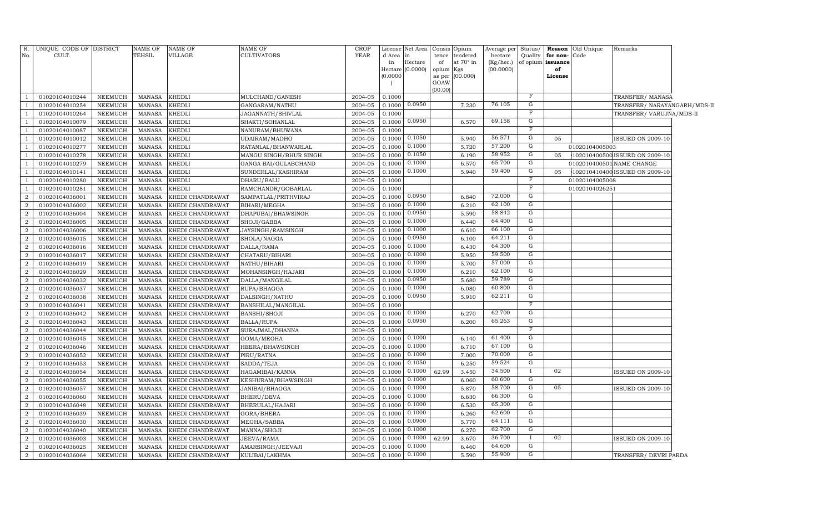| R.             | UNIQUE CODE OF DISTRICT |                | <b>NAME OF</b> | <b>NAME OF</b>   | NAME OF                | CROP    | License            | Net Area           | Consis    | Opium            | Average per | Status/      | Reason            | Old Unique     | Remarks                        |  |
|----------------|-------------------------|----------------|----------------|------------------|------------------------|---------|--------------------|--------------------|-----------|------------------|-------------|--------------|-------------------|----------------|--------------------------------|--|
| No.            | CULT.                   |                | TEHSIL         | VILLAGE          | CULTIVATORS            | YEAR    | d Area             | in                 | tence     | tendered         | hectare     | Quality      | for non-          | Code           |                                |  |
|                |                         |                |                |                  |                        |         | in                 | Hectare            | of        | at $70^\circ$ in | (Kg/hec.)   |              | of opium issuance |                |                                |  |
|                |                         |                |                |                  |                        |         |                    | Hectare $(0.0000)$ | opium Kgs |                  | (00.0000)   |              | of                |                |                                |  |
|                |                         |                |                |                  |                        |         | (0.0000)<br>$\Box$ |                    | GOAW      | as per (00.000)  |             |              | License           |                |                                |  |
|                |                         |                |                |                  |                        |         |                    |                    | (00.00)   |                  |             |              |                   |                |                                |  |
|                | 01020104010244          | NEEMUCH        | <b>MANASA</b>  | <b>KHEDLI</b>    | MULCHAND/GANESH        | 2004-05 | 0.1000             |                    |           |                  |             | F            |                   |                | TRANSFER/MANASA                |  |
|                | 01020104010254          | NEEMUCH        | <b>MANASA</b>  | <b>KHEDLI</b>    | GANGARAM/NATHU         | 2004-05 | 0.1000             | 0.0950             |           | 7.230            | 76.105      | G            |                   |                | TRANSFER/ NARAYANGARH/MDS-II   |  |
|                | 01020104010264          | <b>NEEMUCH</b> | <b>MANASA</b>  | KHEDLI           | JAGANNATH/SHIVLAL      | 2004-05 | 0.1000             |                    |           |                  |             | $\mathbf F$  |                   |                | TRANSFER/VARUJNA/MDS-II        |  |
|                | 01020104010079          | NEEMUCH        | <b>MANASA</b>  | KHEDLI           | SHAKTI/SOHANLAL        | 2004-05 | 0.1000             | 0.0950             |           | 6.570            | 69.158      | G            |                   |                |                                |  |
|                | 01020104010087          | <b>NEEMUCH</b> | <b>MANASA</b>  | KHEDLI           | NANURAM/BHUWANA        | 2004-05 | 0.1000             |                    |           |                  |             | $\mathbf F$  |                   |                |                                |  |
|                | 01020104010012          | <b>NEEMUCH</b> | <b>MANASA</b>  | KHEDLI           | <b>UDAIRAM/MADHO</b>   | 2004-05 | 0.1000             | 0.1050             |           | 5.940            | 56.571      | G            | 05                |                | <b>ISSUED ON 2009-10</b>       |  |
|                | 01020104010277          | NEEMUCH        | <b>MANASA</b>  | <b>KHEDLI</b>    | RATANLAL/BHANWARLAL    | 2004-05 | 0.1000             | 0.1000             |           | 5.720            | 57.200      | G            |                   | 01020104005003 |                                |  |
|                | 01020104010278          | <b>NEEMUCH</b> | <b>MANASA</b>  | <b>KHEDLI</b>    | MANGU SINGH/BHUR SINGH | 2004-05 | 0.1000             | 0.1050             |           | 6.190            | 58.952      | G            | 05                |                | 102010400500 ISSUED ON 2009-10 |  |
|                | 01020104010279          | <b>NEEMUCH</b> | <b>MANASA</b>  | KHEDLI           | GANGA BAI/GULABCHAND   | 2004-05 | 0.1000             | 0.1000             |           | 6.570            | 65.700      | G            |                   |                | 0102010400501 NAME CHANGE      |  |
|                | 01020104010141          | <b>NEEMUCH</b> | <b>MANASA</b>  | KHEDLI           | SUNDERLAL/KASHIRAM     | 2004-05 | 0.1000             | 0.1000             |           | 5.940            | 59.400      | ${\rm G}$    | 05                |                | 102010410400 ISSUED ON 2009-10 |  |
|                | 01020104010280          | <b>NEEMUCH</b> | <b>MANASA</b>  | KHEDLI           | DHARU/BALU             | 2004-05 | 0.1000             |                    |           |                  |             | F            |                   | 01020104005008 |                                |  |
|                | 01020104010281          | <b>NEEMUCH</b> | <b>MANASA</b>  | KHEDLI           | RAMCHANDR/GOBARLAL     | 2004-05 | 0.1000             |                    |           |                  |             | F            |                   | 01020104026251 |                                |  |
| 2              | 01020104036001          | <b>NEEMUCH</b> | <b>MANASA</b>  | KHEDI CHANDRAWAT | SAMPATLAL/PRITHVIRAJ   | 2004-05 | 0.1000             | 0.0950             |           | 6.840            | 72.000      | G            |                   |                |                                |  |
| $\overline{2}$ | 01020104036002          | NEEMUCH        | <b>MANASA</b>  | KHEDI CHANDRAWAT | BIHARI/MEGHA           | 2004-05 | 0.1000             | 0.1000             |           | 6.210            | 62.100      | G            |                   |                |                                |  |
| $\overline{2}$ | 01020104036004          | <b>NEEMUCH</b> | <b>MANASA</b>  | KHEDI CHANDRAWAT | DHAPUBAI/BHAWSINGH     | 2004-05 | 0.1000             | 0.0950             |           | 5.590            | 58.842      | G            |                   |                |                                |  |
| $\overline{2}$ | 01020104036005          | <b>NEEMUCH</b> | <b>MANASA</b>  | KHEDI CHANDRAWAT | SHOJI/GABBA            | 2004-05 | 0.1000             | 0.1000             |           | 6.440            | 64.400      | G            |                   |                |                                |  |
| $\overline{2}$ | 01020104036006          | <b>NEEMUCH</b> | <b>MANASA</b>  | KHEDI CHANDRAWAT | JAYSINGH/RAMSINGH      | 2004-05 | 0.1000             | 0.1000             |           | 6.610            | 66.100      | G            |                   |                |                                |  |
| $\overline{2}$ | 01020104036015          | <b>NEEMUCH</b> | <b>MANASA</b>  | KHEDI CHANDRAWAT | SHOLA/NAGGA            | 2004-05 | 0.1000             | 0.0950             |           | 6.100            | 64.211      | G            |                   |                |                                |  |
| $\overline{2}$ | 01020104036016          | <b>NEEMUCH</b> | <b>MANASA</b>  | KHEDI CHANDRAWAT | DALLA/RAMA             | 2004-05 | 0.1000             | 0.1000             |           | 6.430            | 64.300      | G            |                   |                |                                |  |
| $\overline{2}$ | 01020104036017          | <b>NEEMUCH</b> | <b>MANASA</b>  | KHEDI CHANDRAWAT | CHATARU/BIHARI         | 2004-05 | 0.1000             | 0.1000             |           | 5.950            | 59.500      | G            |                   |                |                                |  |
| $\overline{2}$ | 01020104036019          | <b>NEEMUCH</b> | <b>MANASA</b>  | KHEDI CHANDRAWAT | NATHU/BIHARI           | 2004-05 | 0.1000             | 0.1000             |           | 5.700            | 57.000      | G            |                   |                |                                |  |
| $\overline{2}$ | 01020104036029          | <b>NEEMUCH</b> | <b>MANASA</b>  | KHEDI CHANDRAWAT | MOHANSINGH/HAJARI      | 2004-05 | 0.1000             | 0.1000             |           | 6.210            | 62.100      | G            |                   |                |                                |  |
| 2              | 01020104036032          | <b>NEEMUCH</b> | <b>MANASA</b>  | KHEDI CHANDRAWAT | DALLA/MANGILAL         | 2004-05 | 0.1000             | 0.0950             |           | 5.680            | 59.789      | G            |                   |                |                                |  |
| $\overline{2}$ | 01020104036037          | NEEMUCH        | <b>MANASA</b>  | KHEDI CHANDRAWAT | RUPA/BHAGGA            | 2004-05 | 0.1000             | 0.1000             |           | 6.080            | 60.800      | G            |                   |                |                                |  |
| $\overline{2}$ | 01020104036038          | <b>NEEMUCH</b> | <b>MANASA</b>  | KHEDI CHANDRAWAT | DALSINGH/NATHU         | 2004-05 | 0.1000             | 0.0950             |           | 5.910            | 62.211      | G            |                   |                |                                |  |
| $\overline{2}$ | 01020104036041          | <b>NEEMUCH</b> | <b>MANASA</b>  | KHEDI CHANDRAWAT | BANSHILAL/MANGILAL     | 2004-05 | 0.1000             |                    |           |                  |             | $\mathbf F$  |                   |                |                                |  |
| $\overline{2}$ | 01020104036042          | <b>NEEMUCH</b> | <b>MANASA</b>  | KHEDI CHANDRAWAT | BANSHI/SHOJI           | 2004-05 | 0.1000             | 0.1000             |           | 6.270            | 62.700      | G            |                   |                |                                |  |
| $\overline{2}$ | 01020104036043          | <b>NEEMUCH</b> | <b>MANASA</b>  | KHEDI CHANDRAWAT | <b>BALLA/RUPA</b>      | 2004-05 | 0.1000             | 0.0950             |           | 6.200            | 65.263      | G            |                   |                |                                |  |
| 2              | 01020104036044          | <b>NEEMUCH</b> | <b>MANASA</b>  | KHEDI CHANDRAWAT | SURAJMAL/DHANNA        | 2004-05 | 0.1000             |                    |           |                  |             | F            |                   |                |                                |  |
| $\overline{2}$ | 01020104036045          | <b>NEEMUCH</b> | <b>MANASA</b>  | KHEDI CHANDRAWAT | GOMA/MEGHA             | 2004-05 | 0.1000             | 0.1000             |           | 6.140            | 61.400      | G            |                   |                |                                |  |
| $\overline{2}$ | 01020104036046          | <b>NEEMUCH</b> | <b>MANASA</b>  | KHEDI CHANDRAWAT | HEERA/BHAWSINGH        | 2004-05 | 0.1000             | 0.1000             |           | 6.710            | 67.100      | G            |                   |                |                                |  |
| $\overline{2}$ | 01020104036052          | <b>NEEMUCH</b> | <b>MANASA</b>  | KHEDI CHANDRAWAT | PIRU/RATNA             | 2004-05 | 0.1000             | 0.1000             |           | 7.000            | 70.000      | G            |                   |                |                                |  |
| $\overline{2}$ | 01020104036053          | <b>NEEMUCH</b> | <b>MANASA</b>  | KHEDI CHANDRAWAT | SADDA/TEJA             | 2004-05 | 0.1000             | 0.1050             |           | 6.250            | 59.524      | G            |                   |                |                                |  |
| $\overline{2}$ | 01020104036054          | <b>NEEMUCH</b> | <b>MANASA</b>  | KHEDI CHANDRAWAT | HAGAMIBAI/KANNA        | 2004-05 | 0.1000             | 0.1000             | 62.99     | 3.450            | 34.500      | $\mathbf{I}$ | 02                |                | <b>ISSUED ON 2009-10</b>       |  |
| 2              | 01020104036055          | <b>NEEMUCH</b> | <b>MANASA</b>  | KHEDI CHANDRAWAT | KESHURAM/BHAWSINGH     | 2004-05 | 0.1000             | 0.1000             |           | 6.060            | 60.600      | G            |                   |                |                                |  |
| $\overline{2}$ | 01020104036057          | <b>NEEMUCH</b> | <b>MANASA</b>  | KHEDI CHANDRAWAT | JANIBAI/BHAGGA         | 2004-05 | 0.1000             | 0.1000             |           | 5.870            | 58.700      | G            | 05                |                | <b>ISSUED ON 2009-10</b>       |  |
| $\overline{2}$ | 01020104036060          | <b>NEEMUCH</b> | <b>MANASA</b>  | KHEDI CHANDRAWAT | BHERU/DEVA             | 2004-05 | 0.1000             | 0.1000             |           | 6.630            | 66.300      | G            |                   |                |                                |  |
| $\overline{2}$ | 01020104036048          | <b>NEEMUCH</b> | <b>MANASA</b>  | KHEDI CHANDRAWAT | BHERULAL/HAJARI        | 2004-05 | 0.1000             | 0.1000             |           | 6.530            | 65.300      | G            |                   |                |                                |  |
| $\overline{2}$ | 01020104036039          | <b>NEEMUCH</b> | <b>MANASA</b>  | KHEDI CHANDRAWAT | GORA/BHERA             | 2004-05 | 0.1000             | 0.1000             |           | 6.260            | 62.600      | G            |                   |                |                                |  |
| $\overline{2}$ | 01020104036030          | NEEMUCH        | <b>MANASA</b>  | KHEDI CHANDRAWAT | MEGHA/SABBA            | 2004-05 | 0.1000             | 0.0900             |           | 5.770            | 64.111      | G            |                   |                |                                |  |
| $\overline{2}$ | 01020104036040          | <b>NEEMUCH</b> | <b>MANASA</b>  | KHEDI CHANDRAWAT | MANNA/SHOJI            | 2004-05 | 0.100              | 0.1000             |           | 6.270            | 62.700      | G            |                   |                |                                |  |
| $\overline{2}$ | 01020104036003          | <b>NEEMUCH</b> | <b>MANASA</b>  | KHEDI CHANDRAWAT | JEEVA/RAMA             | 2004-05 | 0.1000             | 0.1000             | 62.99     | 3.670            | 36.700      |              | 02                |                | <b>ISSUED ON 2009-10</b>       |  |
| $\overline{2}$ | 01020104036025          | <b>NEEMUCH</b> | <b>MANASA</b>  | KHEDI CHANDRAWAT | AMARSINGH/JEEVAJI      | 2004-05 | 0.1000             | 0.1000             |           | 6.460            | 64.600      | G            |                   |                |                                |  |
| $\overline{a}$ | 01020104036064          | NEEMUCH        | MANASA         | KHEDI CHANDRAWAT | KULIBAI/LAKHMA         | 2004-05 | 0.1000             | 0.1000             |           | 5.590            | 55.900      | G            |                   |                | TRANSFER/ DEVRI PARDA          |  |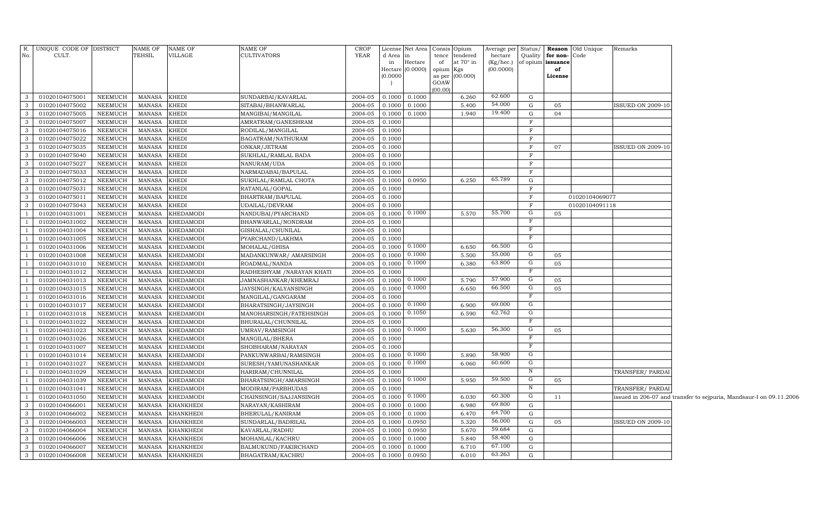|                | R. UNIQUE CODE OF DISTRICT |                | <b>NAME OF</b> | NAME OF          | <b>NAME OF</b>             | CROP    |          | License Net Area Consis Opium |                 |                  | Average per Status/ |              |          | <b>Reason</b> Old Unique | Remarks                  |                                                                     |
|----------------|----------------------------|----------------|----------------|------------------|----------------------------|---------|----------|-------------------------------|-----------------|------------------|---------------------|--------------|----------|--------------------------|--------------------------|---------------------------------------------------------------------|
| No.            | CULT.                      |                | <b>TEHSIL</b>  | <b>VILLAGE</b>   | <b>CULTIVATORS</b>         | YEAR    | d Area   |                               | tence           | tendered         | hectare             | Quality      | for non- | Code                     |                          |                                                                     |
|                |                            |                |                |                  |                            |         | in       | Hectare                       | of              | at $70^\circ$ in | (Kg/hec.)           | of opium     | issuance |                          |                          |                                                                     |
|                |                            |                |                |                  |                            |         |          | Hectare (0.0000)              | opium Kgs       |                  | (00.0000)           |              | of       |                          |                          |                                                                     |
|                |                            |                |                |                  |                            |         | (0.0000) |                               | as per          | (00.000)         |                     |              | License  |                          |                          |                                                                     |
|                |                            |                |                |                  |                            |         |          |                               | GOAW<br>(00.00) |                  |                     |              |          |                          |                          |                                                                     |
| 3              | 01020104075001             | NEEMUCH        | MANASA         | <b>KHEDI</b>     | SUNDARBAI/KAVARLAL         | 2004-05 | 0.1000   | 0.1000                        |                 | 6.260            | 62.600              | G            |          |                          |                          |                                                                     |
| 3              | 01020104075002             | NEEMUCH        | <b>MANASA</b>  | <b>KHEDI</b>     | SITABAI/BHANWARLAL         | 2004-05 | 0.1000   | 0.1000                        |                 | 5.400            | 54.000              | G            | 05       |                          | ISSUED ON 2009-10        |                                                                     |
| 3              | 01020104075005             | NEEMUCH        | MANASA         | <b>KHEDI</b>     | MANGIBAI/MANGILAL          | 2004-05 | 0.1000   | 0.1000                        |                 | 1.940            | 19.400              | G            | 04       |                          |                          |                                                                     |
| 3              | 01020104075007             | NEEMUCH        | <b>MANASA</b>  | <b>KHEDI</b>     | AMRATRAM/GANESHRAM         | 2004-05 | 0.1000   |                               |                 |                  |                     | $\mathbf{F}$ |          |                          |                          |                                                                     |
| 3              | 01020104075016             | NEEMUCH        | MANASA         | <b>KHEDI</b>     | RODILAL/MANGILAL           | 2004-05 | 0.1000   |                               |                 |                  |                     | $\mathbf{F}$ |          |                          |                          |                                                                     |
| $\mathbf{3}$   | 01020104075022             | <b>NEEMUCH</b> | MANASA         | <b>KHEDI</b>     | BAGATRAM/NATHURAM          | 2004-05 | 0.1000   |                               |                 |                  |                     | F            |          |                          |                          |                                                                     |
| $\mathbf{3}$   | 01020104075035             | <b>NEEMUCH</b> | MANASA         | <b>KHEDI</b>     | ONKAR/JETRAM               | 2004-05 | 0.1000   |                               |                 |                  |                     | $_{\rm F}$   | 07       |                          | <b>ISSUED ON 2009-10</b> |                                                                     |
| 3              | 01020104075040             | NEEMUCH        | MANASA         | <b>KHEDI</b>     | SUKHLAL/RAMLAL BADA        | 2004-05 | 0.1000   |                               |                 |                  |                     | $\mathbf{F}$ |          |                          |                          |                                                                     |
| 3              | 01020104075027             | NEEMUCH        | <b>MANASA</b>  | <b>KHEDI</b>     | NANURAM/UDA                | 2004-05 | 0.1000   |                               |                 |                  |                     | $\mathbf{F}$ |          |                          |                          |                                                                     |
| 3              | 01020104075033             | NEEMUCH        | <b>MANASA</b>  | <b>KHEDI</b>     | NARMADABAI/BAPULAL         | 2004-05 | 0.1000   |                               |                 |                  |                     | F            |          |                          |                          |                                                                     |
| 3              | 01020104075012             | NEEMUCH        | MANASA         | <b>KHEDI</b>     | SUKHLAL/RAMLAL CHOTA       | 2004-05 | 0.1000   | 0.0950                        |                 | 6.250            | 65.789              | G            |          |                          |                          |                                                                     |
| 3              | 01020104075031             | NEEMUCH        | <b>MANASA</b>  | <b>KHEDI</b>     | RATANLAL/GOPAL             | 2004-05 | 0.1000   |                               |                 |                  |                     | $\mathbf F$  |          |                          |                          |                                                                     |
| 3              | 01020104075011             | NEEMUCH        | <b>MANASA</b>  | <b>KHEDI</b>     | BHARTRAM/BAPULAL           | 2004-05 | 0.1000   |                               |                 |                  |                     | $\mathbf{F}$ |          | 01020104069077           |                          |                                                                     |
| 3              | 01020104075043             | NEEMUCH        | <b>MANASA</b>  | <b>KHEDI</b>     | UDAILAL/DEVRAM             | 2004-05 | 0.1000   |                               |                 |                  |                     | F            |          | 01020104091118           |                          |                                                                     |
|                | 01020104031001             | NEEMUCH        | <b>MANASA</b>  | KHEDAMODI        | NANDUBAI/PYARCHAND         | 2004-05 | 0.1000   | 0.1000                        |                 | 5.570            | 55.700              | G            | 05       |                          |                          |                                                                     |
|                | 01020104031002             | NEEMUCH        | <b>MANASA</b>  | <b>KHEDAMODI</b> | BHANWARLAL/NONDRAM         | 2004-05 | 0.1000   |                               |                 |                  |                     | $\mathbf{F}$ |          |                          |                          |                                                                     |
|                | 01020104031004             | NEEMUCH        | <b>MANASA</b>  | KHEDAMODI        | GISHALAL/CHUNILAL          | 2004-05 | 0.1000   |                               |                 |                  |                     | F            |          |                          |                          |                                                                     |
|                | 01020104031005             | NEEMUCH        | MANASA         | KHEDAMODI        | PYARCHAND/LAKHMA           | 2004-05 | 0.1000   |                               |                 |                  |                     | $_{\rm F}$   |          |                          |                          |                                                                     |
|                | 01020104031006             | NEEMUCH        | MANASA         | KHEDAMODI        | MOHALAL/GHISA              | 2004-05 | 0.1000   | 0.1000                        |                 | 6.650            | 66.500              | G            |          |                          |                          |                                                                     |
|                | 01020104031008             | NEEMUCH        | <b>MANASA</b>  | KHEDAMODI        | MADANKUNWAR/ AMARSINGH     | 2004-05 | 0.1000   | 0.1000                        |                 | 5.500            | 55.000              | G            | 05       |                          |                          |                                                                     |
|                | 01020104031010             | NEEMUCH        | <b>MANASA</b>  | <b>KHEDAMODI</b> | ROADMAL/NANDA              | 2004-05 | 0.1000   | 0.1000                        |                 | 6.380            | 63.800              | G            | 05       |                          |                          |                                                                     |
|                | 01020104031012             | NEEMUCH        | MANASA         | <b>KHEDAMODI</b> | RADHESHYAM / NARAYAN KHATI | 2004-05 | 0.1000   |                               |                 |                  |                     | $_{\rm F}$   |          |                          |                          |                                                                     |
|                | 01020104031013             | NEEMUCH        | <b>MANASA</b>  | <b>KHEDAMODI</b> | JAMNASHANKAR/KHEMRAJ       | 2004-05 | 0.1000   | 0.1000                        |                 | 5.790            | 57.900              | G            | 05       |                          |                          |                                                                     |
|                | 01020104031015             | <b>NEEMUCH</b> | <b>MANASA</b>  | <b>KHEDAMODI</b> | JAYSINGH/KALYANSINGH       | 2004-05 | 0.1000   | 0.1000                        |                 | 6.650            | 66.500              | G            | 05       |                          |                          |                                                                     |
|                | 01020104031016             | NEEMUCH        | MANASA         | KHEDAMODI        | MANGILAL/GANGARAM          | 2004-05 | 0.1000   |                               |                 |                  |                     | $_{\rm F}$   |          |                          |                          |                                                                     |
|                | 01020104031017             | NEEMUCH        | <b>MANASA</b>  | <b>KHEDAMODI</b> | BHARATSINGH/JAYSINGH       | 2004-05 | 0.1000   | 0.1000                        |                 | 6.900            | 69.000              | G            |          |                          |                          |                                                                     |
| $\overline{1}$ | 01020104031018             | NEEMUCH        | MANASA         | <b>KHEDAMODI</b> | MANOHARSINGH/FATEHSINGH    | 2004-05 | 0.1000   | 0.1050                        |                 | 6.590            | 62.762              | G            |          |                          |                          |                                                                     |
| $\overline{1}$ | 01020104031022             | NEEMUCH        | MANASA         | <b>KHEDAMODI</b> | BHURALAL/CHUNNILAL         | 2004-05 | 0.1000   |                               |                 |                  |                     | $_{\rm F}$   |          |                          |                          |                                                                     |
| $\overline{1}$ | 01020104031023             | NEEMUCH        | MANASA         | <b>KHEDAMODI</b> | UMRAV/RAMSINGH             | 2004-05 | 0.1000   | 0.1000                        |                 | 5.630            | 56.300              | G            | 05       |                          |                          |                                                                     |
|                | 01020104031026             | NEEMUCH        | <b>MANASA</b>  | <b>KHEDAMODI</b> | MANGILAL/BHERA             | 2004-05 | 0.1000   |                               |                 |                  |                     | $_{\rm F}$   |          |                          |                          |                                                                     |
|                | 01020104031007             | NEEMUCH        | <b>MANASA</b>  | <b>KHEDAMODI</b> | SHOBHARAM/NARAYAN          | 2004-05 | 0.1000   |                               |                 |                  |                     | F            |          |                          |                          |                                                                     |
|                | 01020104031014             | NEEMUCH        | MANASA         | <b>KHEDAMODI</b> | PANKUNWARBAI/RAMSINGH      | 2004-05 | 0.1000   | 0.1000                        |                 | 5.890            | 58.900              | G            |          |                          |                          |                                                                     |
|                | 01020104031027             | NEEMUCH        | MANASA         | <b>KHEDAMODI</b> | SURESH/YAMUNASHANKAR       | 2004-05 | 0.1000   | 0.1000                        |                 | 6.060            | 60.600              | G            |          |                          |                          |                                                                     |
|                | 01020104031029             | NEEMUCH        | MANASA         | <b>KHEDAMODI</b> | HARIRAM/CHUNNILAL          | 2004-05 | 0.1000   |                               |                 |                  |                     | $\, {\bf N}$ |          |                          | TRANSFER/PARDAI          |                                                                     |
|                | 01020104031039             | NEEMUCH        | MANASA         | <b>KHEDAMODI</b> | BHARATSINGH/AMARSINGH      | 2004-05 | 0.1000   | 0.1000                        |                 | 5.950            | 59.500              | G            | 05       |                          |                          |                                                                     |
|                | 01020104031041             | NEEMUCH        | MANASA         | <b>KHEDAMODI</b> | MODIRAM/PARBHUDAS          | 2004-05 | 0.1000   |                               |                 |                  |                     | N            |          |                          | TRANSFER/ PARDAI         |                                                                     |
|                | 01020104031050             | NEEMUCH        | <b>MANASA</b>  | <b>KHEDAMODI</b> | CHAINSINGH/SAJJANSINGH     | 2004-05 | 0.1000   | 0.1000                        |                 | 6.030            | 60.300              | G            | 11       |                          |                          | issued in 206-07 and transfer to sejpuria, Mandsaur-I on 09.11.2006 |
| 3              | 01020104066001             | NEEMUCH        | MANASA         | <b>KHANKHEDI</b> | NARAYAN/KASHIRAM           | 2004-05 | 0.1000   | 0.1000                        |                 | 6.980            | 69.800              | G            |          |                          |                          |                                                                     |
| $\mathbf{3}$   | 01020104066002             | NEEMUCH        | MANASA         | <b>KHANKHEDI</b> | BHERULAL/KANIRAM           | 2004-05 | 0.1000   | 0.1000                        |                 | 6.470            | 64.700              | G            |          |                          |                          |                                                                     |
| $\mathbf{3}$   | 01020104066003             | NEEMUCH        | MANASA         | <b>KHANKHEDI</b> | SUNDARLAL/BADRILAL         | 2004-05 | 0.1000   | 0.0950                        |                 | 5.320            | 56.000              | G            | 05       |                          | <b>ISSUED ON 2009-10</b> |                                                                     |
| 3              | 01020104066004             | NEEMUCH        | MANASA         | <b>KHANKHEDI</b> | KAVARLAL/RADHU             | 2004-05 | 0.1000   | 0.0950                        |                 | 5.670            | 59.684              | G            |          |                          |                          |                                                                     |
| $\mathbf{3}$   | 01020104066006             | NEEMUCH        | MANASA         | <b>KHANKHEDI</b> | MOHANLAL/KACHRU            | 2004-05 | 0.1000   | 0.1000                        |                 | 5.840            | 58.400              | G            |          |                          |                          |                                                                     |
| 3              | 01020104066007             | NEEMUCH        | MANASA         | <b>KHANKHEDI</b> | BALMUKUND/FAKIRCHAND       | 2004-05 | 0.1000   | 0.1000                        |                 | 6.710            | 67.100              | G            |          |                          |                          |                                                                     |
| $\mathbf{3}$   | 01020104066008             | NEEMUCH        |                | MANASA KHANKHEDI | BHAGATRAM/KACHRU           | 2004-05 | 0.1000   | 0.0950                        |                 | 6.010            | 63.263              | $\mathbf{G}$ |          |                          |                          |                                                                     |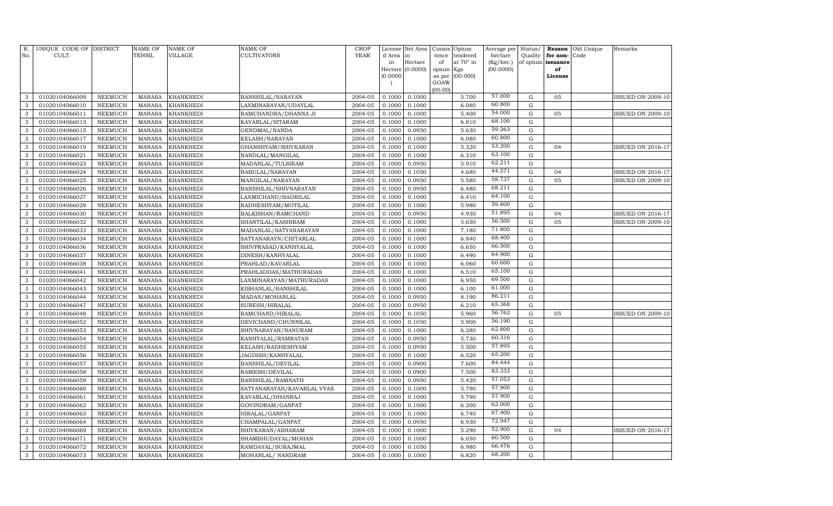| R.<br>No.    | UNIQUE CODE OF DISTRICT<br>CULT. |                | <b>NAME OF</b><br>TEHSIL | <b>NAME OF</b><br><b>VILLAGE</b> | NAME OF<br><b>CULTIVATORS</b> | <b>CROP</b><br><b>YEAR</b> | License<br>d Area | Net Area<br>in   | Consis<br>tence | Opium<br>tendered | Average per<br>hectare | Status/<br>Quality | Reason<br>for non- | Old Unique<br>Code | Remarks                  |
|--------------|----------------------------------|----------------|--------------------------|----------------------------------|-------------------------------|----------------------------|-------------------|------------------|-----------------|-------------------|------------------------|--------------------|--------------------|--------------------|--------------------------|
|              |                                  |                |                          |                                  |                               |                            | in                | Hectare          | of              | at 70° in         | (Kg/hec.)              |                    | of opium issuance  |                    |                          |
|              |                                  |                |                          |                                  |                               |                            |                   | Hectare (0.0000) | opium           | Kgs               | (00.0000)              |                    | of                 |                    |                          |
|              |                                  |                |                          |                                  |                               |                            | (0.0000)          |                  | as per<br>GOAW  | (00.000)          |                        |                    | License            |                    |                          |
|              |                                  |                |                          |                                  |                               |                            |                   |                  | (00.00)         |                   |                        |                    |                    |                    |                          |
| 3            | 01020104066009                   | <b>NEEMUCH</b> | <b>MANASA</b>            | <b>KHANKHEDI</b>                 | BANSHILAL/NARAYAN             | 2004-05                    | 0.1000            | 0.1000           |                 | 5.700             | 57.000                 | ${\bf G}$          | 05                 |                    | <b>ISSUED ON 2009-10</b> |
| 3            | 01020104066010                   | <b>NEEMUCH</b> | <b>MANASA</b>            | <b>KHANKHEDI</b>                 | LAXMINARAYAN/UDAYLAL          | 2004-05                    | 0.1000            | 0.1000           |                 | 6.080             | 60.800                 | ${\rm G}$          |                    |                    |                          |
| 3            | 01020104066011                   | <b>NEEMUCH</b> | <b>MANASA</b>            | <b>KHANKHEDI</b>                 | RAMCHANDRA/DHANNA JI          | 2004-05                    | 0.1000            | 0.1000           |                 | 5.400             | 54.000                 | ${\bf G}$          | 05                 |                    | <b>ISSUED ON 2009-10</b> |
| 3            | 01020104066013                   | <b>NEEMUCH</b> | <b>MANASA</b>            | <b>KHANKHEDI</b>                 | KAVARLAL/SITARAM              | 2004-05                    | 0.1000            | 0.1000           |                 | 6.810             | 68.100                 | ${\rm G}$          |                    |                    |                          |
| 3            | 01020104066015                   | <b>NEEMUCH</b> | <b>MANASA</b>            | <b>KHANKHEDI</b>                 | GENDMAL/NANDA                 | 2004-05                    | 0.1000            | 0.0950           |                 | 5.630             | 59.263                 | ${\rm G}$          |                    |                    |                          |
| 3            | 01020104066017                   | <b>NEEMUCH</b> | <b>MANASA</b>            | <b>KHANKHEDI</b>                 | KELASH/NARAYAN                | 2004-05                    | 0.1000            | 0.1000           |                 | 6.080             | 60.800                 | ${\rm G}$          |                    |                    |                          |
| 3            | 01020104066019                   | <b>NEEMUCH</b> | <b>MANASA</b>            | <b>KHANKHEDI</b>                 | GHANSHYAM/SHIVKARAN           | 2004-05                    | 0.1000            | 0.1000           |                 | 5.320             | 53.200                 | ${\rm G}$          | 04                 |                    | <b>ISSUED ON 2016-17</b> |
| 3            | 01020104066021                   | <b>NEEMUCH</b> | <b>MANASA</b>            | KHANKHEDI                        | NANDLAL/MANGILAL              | 2004-05                    | 0.1000            | 0.1000           |                 | 6.310             | 63.100                 | ${\rm G}$          |                    |                    |                          |
| 3            | 01020104066023                   | <b>NEEMUCH</b> | <b>MANASA</b>            | KHANKHEDI                        | MADANLAL/TULSIRAM             | 2004-05                    | 0.1000            | 0.0950           |                 | 5.910             | 62.211                 | $\mathbf G$        |                    |                    |                          |
| 3            | 01020104066024                   | <b>NEEMUCH</b> | <b>MANASA</b>            | KHANKHEDI                        | BABULAL/NARAYAN               | 2004-05                    | 0.1000            | 0.1050           |                 | 4.680             | 44.571                 | $\mathbf G$        | 04                 |                    | <b>ISSUED ON 2016-17</b> |
| 3            | 01020104066025                   | <b>NEEMUCH</b> | <b>MANASA</b>            | KHANKHEDI                        | MANGILAL/NARAYAN              | 2004-05                    | 0.1000            | 0.0950           |                 | 5.580             | 58.737                 | ${\bf G}$          | 05                 |                    | <b>ISSUED ON 2009-10</b> |
| 3            | 01020104066026                   | <b>NEEMUCH</b> | <b>MANASA</b>            | KHANKHEDI                        | BANSHILAL/SHIVNARAYAN         | 2004-05                    | 0.1000            | 0.0950           |                 | 6.480             | 68.211                 | ${\bf G}$          |                    |                    |                          |
| 3            | 01020104066027                   | <b>NEEMUCH</b> | <b>MANASA</b>            | <b>KHANKHEDI</b>                 | LAXMICHAND/BADRILAL           | 2004-05                    | 0.1000            | 0.1000           |                 | 6.410             | 64.100                 | $\mathbf G$        |                    |                    |                          |
| 3            | 01020104066029                   | <b>NEEMUCH</b> | <b>MANASA</b>            | <b>KHANKHEDI</b>                 | RADHESHYAM/MOTILAL            | 2004-05                    | 0.1000            | 0.1000           |                 | 5.980             | 59.800                 | ${\rm G}$          |                    |                    |                          |
| 3            | 01020104066030                   | <b>NEEMUCH</b> | <b>MANASA</b>            | <b>KHANKHEDI</b>                 | BALKISHAN/RAMCHAND            | 2004-05                    | 0.1000            | 0.0950           |                 | 4.930             | 51.895                 | ${\bf G}$          | 04                 |                    | <b>ISSUED ON 2016-17</b> |
| 3            | 01020104066032                   | <b>NEEMUCH</b> | <b>MANASA</b>            | <b>KHANKHEDI</b>                 | SHANTILAL/KASHIRAM            | 2004-05                    | 0.1000            | 0.1000           |                 | 5.650             | 56.500                 | ${\bf G}$          | 05                 |                    | <b>ISSUED ON 2009-10</b> |
| 3            | 01020104066033                   | <b>NEEMUCH</b> | <b>MANASA</b>            | <b>KHANKHEDI</b>                 | MADANLAL/SATYANARAYAN         | 2004-05                    | 0.1000            | 0.1000           |                 | 7.180             | 71.800                 | ${\bf G}$          |                    |                    |                          |
| $\mathbf{3}$ | 01020104066034                   | <b>NEEMUCH</b> | <b>MANASA</b>            | KHANKHEDI                        | SATYANARAYN/CHITARLAL         | 2004-05                    | 0.1000            | 0.1000           |                 | 6.840             | 68.400                 | ${\rm G}$          |                    |                    |                          |
| $\mathbf{3}$ | 01020104066036                   | NEEMUCH        | <b>MANASA</b>            | KHANKHEDI                        | SHIVPRASAD/KANHYALAL          | 2004-05                    | 0.1000            | 0.1000           |                 | 6.650             | 66.500                 | ${\rm G}$          |                    |                    |                          |
| $\mathbf{3}$ | 01020104066037                   | <b>NEEMUCH</b> | <b>MANASA</b>            | KHANKHEDI                        | DINESH/KANHYALAL              | 2004-05                    | 0.1000            | 0.1000           |                 | 6.490             | 64.900                 | ${\bf G}$          |                    |                    |                          |
| 3            | 01020104066038                   | NEEMUCH        | <b>MANASA</b>            | KHANKHEDI                        | PRAHLAD/KAVARLAL              | 2004-05                    | 0.1000            | 0.1000           |                 | 6.060             | 60.600                 | $\mathbf G$        |                    |                    |                          |
| 3            | 01020104066041                   | <b>NEEMUCH</b> | <b>MANASA</b>            | KHANKHEDI                        | PRAHLADDAS/MATHURADAS         | 2004-05                    | 0.1000            | 0.1000           |                 | 6.510             | 65.100                 | ${\bf G}$          |                    |                    |                          |
| 3            | 01020104066042                   | NEEMUCH        | <b>MANASA</b>            | KHANKHEDI                        | LAXMINARAYAN/MATHURADAS       | 2004-05                    | 0.1000            | 0.1000           |                 | 6.950             | 69.500                 | $\mathbf G$        |                    |                    |                          |
| 3            | 01020104066043                   | <b>NEEMUCH</b> | <b>MANASA</b>            | KHANKHEDI                        | KISHANLAL/BANSHILAL           | 2004-05                    | 0.1000            | 0.1000           |                 | 6.100             | 61.000                 | ${\bf G}$          |                    |                    |                          |
| 3            | 01020104066044                   | <b>NEEMUCH</b> | <b>MANASA</b>            | <b>KHANKHEDI</b>                 | MADAN/MOHANLAL                | 2004-05                    | 0.1000            | 0.0950           |                 | 8.190             | 86.211                 | ${\bf G}$          |                    |                    |                          |
| 3            | 01020104066047                   | <b>NEEMUCH</b> | <b>MANASA</b>            | <b>KHANKHEDI</b>                 | SURESH/HIRALAL                | 2004-05                    | 0.1000            | 0.0950           |                 | 6.210             | 65.368                 | ${\bf G}$          |                    |                    |                          |
| 3            | 01020104066048                   | <b>NEEMUCH</b> | <b>MANASA</b>            | KHANKHEDI                        | RAMCHAND/HIRALAL              | 2004-05                    | 0.1000            | 0.1050           |                 | 5.960             | 56.762                 | ${\bf G}$          | 05                 |                    | <b>ISSUED ON 2009-10</b> |
| 3            | 01020104066052                   | <b>NEEMUCH</b> | <b>MANASA</b>            | KHANKHEDI                        | DEVICHAND/CHUNNILAL           | 2004-05                    | 0.1000            | 0.1050           |                 | 5.900             | 56.190                 | ${\bf G}$          |                    |                    |                          |
| 3            | 01020104066053                   | <b>NEEMUCH</b> | <b>MANASA</b>            | <b>KHANKHEDI</b>                 | SHIVNARAYAN/NANURAM           | 2004-05                    | 0.1000            | 0.1000           |                 | 6.280             | 62.800                 | ${\bf G}$          |                    |                    |                          |
| 3            | 01020104066054                   | <b>NEEMUCH</b> | <b>MANASA</b>            | KHANKHEDI                        | KANHYALAL/RAMRATAN            | 2004-05                    | 0.1000            | 0.0950           |                 | 5.730             | 60.316                 | ${\bf G}$          |                    |                    |                          |
| 3            | 01020104066055                   | NEEMUCH        | <b>MANASA</b>            | KHANKHEDI                        | KELASH/RADHESHYAM             | 2004-05                    | 0.1000            | 0.0950           |                 | 5.500             | 57.895                 | ${\bf G}$          |                    |                    |                          |
| 3            | 01020104066056                   | NEEMUCH        | <b>MANASA</b>            | KHANKHEDI                        | JAGDISH/KANHYALAL             | 2004-05                    | 0.1000            | 0.1000           |                 | 6.520             | 65.200                 | $\mathbf G$        |                    |                    |                          |
| 3            | 01020104066057                   | NEEMUCH        | <b>MANASA</b>            | KHANKHEDI                        | BANSHILAL/DEVILAL             | 2004-05                    | 0.1000            | 0.0900           |                 | 7.600             | 84.444                 | ${\bf G}$          |                    |                    |                          |
| 3            | 01020104066058                   | <b>NEEMUCH</b> | <b>MANASA</b>            | KHANKHEDI                        | RAMESH/DEVILAL                | 2004-05                    | 0.1000            | 0.0900           |                 | 7.500             | 83.333                 | $\mathbf G$        |                    |                    |                          |
| 3            | 01020104066059                   | <b>NEEMUCH</b> | <b>MANASA</b>            | KHANKHEDI                        | BANSHILAL/RAMNATH             | 2004-05                    | 0.1000            | 0.0950           |                 | 5.420             | 57.053                 | $\mathbf G$        |                    |                    |                          |
| 3            | 01020104066060                   | <b>NEEMUCH</b> | <b>MANASA</b>            | KHANKHEDI                        | SATYANARAYAN/KAVARLAL VYAS    | 2004-05                    | 0.1000            | 0.1000           |                 | 5.790             | 57.900                 | $\mathbf G$        |                    |                    |                          |
| 3            | 01020104066061                   | <b>NEEMUCH</b> | <b>MANASA</b>            | KHANKHEDI                        | KAVARLAL/DHANRAJ              | 2004-05                    | 0.1000            | 0.1000           |                 | 5.790             | 57.900                 | ${\bf G}$          |                    |                    |                          |
| 3            | 01020104066062                   | <b>NEEMUCH</b> | <b>MANASA</b>            | KHANKHEDI                        | GOVINDRAM/GANPAT              | 2004-05                    | 0.1000            | 0.1000           |                 | 6.200             | 62.000                 | ${\bf G}$          |                    |                    |                          |
| 3            | 01020104066063                   | <b>NEEMUCH</b> | <b>MANASA</b>            | KHANKHEDI                        | HIRALAL/GANPAT                | 2004-05                    | 0.1000            | 0.1000           |                 | 6.740             | 67.400                 | $\mathbf G$        |                    |                    |                          |
| 3            | 01020104066064                   | <b>NEEMUCH</b> | <b>MANASA</b>            | KHANKHEDI                        | CHAMPALAL/GANPAT              | 2004-05                    | 0.1000            | 0.0950           |                 | 6.930             | 72.947                 | ${\bf G}$          |                    |                    |                          |
| 3            | 01020104066069                   | NEEMUCH        | <b>MANASA</b>            | KHANKHEDI                        | SHIVKARAN/ASHARAM             | 2004-05                    | 0.1000            | 0.1000           |                 | 5.290             | 52.900                 | ${\bf G}$          | 04                 |                    | <b>ISSUED ON 2016-17</b> |
| 3            | 01020104066071                   | <b>NEEMUCH</b> | <b>MANASA</b>            | KHANKHEDI                        | SHAMBHUDAYAL/MOHAN            | 2004-05                    | 0.1000            | 0.1000           |                 | 6.050             | 60.500                 | $\mathbf G$        |                    |                    |                          |
| 3            | 01020104066072                   | NEEMUCH        | <b>MANASA</b>            | KHANKHEDI                        | RAMDAYAL/SURAJMAL             | 2004-05                    | 0.1000            | 0.1050           |                 | 6.980             | 66.476                 | ${\bf G}$          |                    |                    |                          |
| 3            | 01020104066073                   | NEEMUCH        | <b>MANASA</b>            | KHANKHEDI                        | MOHANLAL/ NANDRAM             | 2004-05                    | 0.1000            | 0.1000           |                 | 6.820             | 68.200                 | $\mathbf G$        |                    |                    |                          |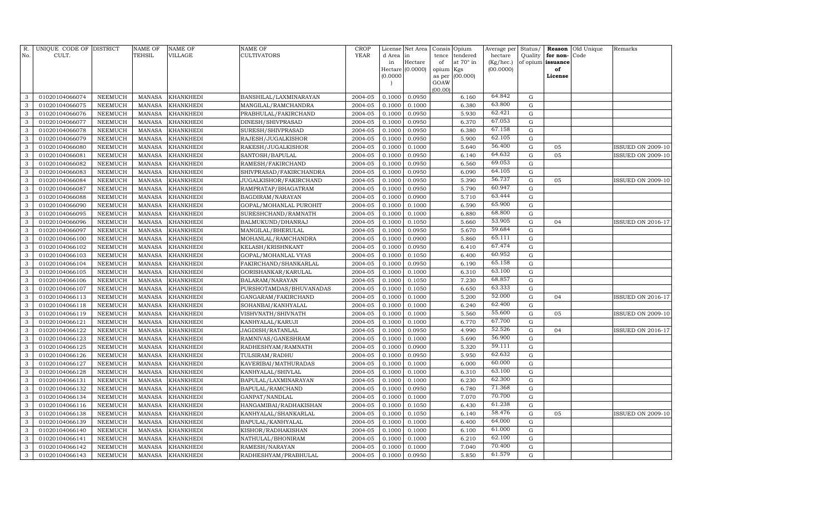| R.<br>No.    | UNIQUE CODE OF DISTRICT<br>CULT. |                                  | <b>NAME OF</b><br>TEHSIL | NAME OF<br>VILLAGE            | NAME OF<br>CULTIVATORS                   | <b>CROP</b><br><b>YEAR</b> | d Area in<br>in  | License Net Area<br>Hectare | Consis<br>tence<br>of | Opium<br>tendered<br>at 70° in | Average per<br>hectare<br>(Kg/hec.) | Status/<br>Quality<br>of opium | Reason<br>for non-<br>issuance | Old Unique<br>Code | Remarks                  |
|--------------|----------------------------------|----------------------------------|--------------------------|-------------------------------|------------------------------------------|----------------------------|------------------|-----------------------------|-----------------------|--------------------------------|-------------------------------------|--------------------------------|--------------------------------|--------------------|--------------------------|
|              |                                  |                                  |                          |                               |                                          |                            |                  | Hectare (0.0000)            | opium                 | Kgs                            | (00.0000)                           |                                | of                             |                    |                          |
|              |                                  |                                  |                          |                               |                                          |                            | (0.0000)         |                             | as per                | (00.000)                       |                                     |                                | License                        |                    |                          |
|              |                                  |                                  |                          |                               |                                          |                            |                  |                             | GOAW                  |                                |                                     |                                |                                |                    |                          |
| 3            | 01020104066074                   | NEEMUCH                          | <b>MANASA</b>            | <b>KHANKHEDI</b>              | BANSHILAL/LAXMINARAYAN                   | 2004-05                    | 0.1000           | 0.0950                      | (00.00)               | 6.160                          | 64.842                              | G                              |                                |                    |                          |
| 3            | 01020104066075                   | <b>NEEMUCH</b>                   | <b>MANASA</b>            | <b>KHANKHEDI</b>              | MANGILAL/RAMCHANDRA                      | 2004-05                    | 0.1000           | 0.1000                      |                       | 6.380                          | 63.800                              | $\mathbf G$                    |                                |                    |                          |
| 3            | 01020104066076                   | NEEMUCH                          | <b>MANASA</b>            | <b>KHANKHEDI</b>              | PRABHULAL/FAKIRCHAND                     | 2004-05                    | 0.1000           | 0.0950                      |                       | 5.930                          | 62.421                              | G                              |                                |                    |                          |
| 3            | 01020104066077                   | NEEMUCH                          | MANASA                   | <b>KHANKHEDI</b>              | DINESH/SHIVPRASAD                        | 2004-05                    | 0.1000           | 0.0950                      |                       | 6.370                          | 67.053                              | G                              |                                |                    |                          |
| 3            | 01020104066078                   | NEEMUCH                          | <b>MANASA</b>            | <b>KHANKHEDI</b>              | SURESH/SHIVPRASAD                        | 2004-05                    | 0.1000           | 0.0950                      |                       | 6.380                          | 67.158                              | G                              |                                |                    |                          |
| 3            | 01020104066079                   | <b>NEEMUCH</b>                   | <b>MANASA</b>            | KHANKHEDI                     | RAJESH/JUGALKISHOR                       | 2004-05                    | 0.1000           | 0.0950                      |                       | 5.900                          | 62.105                              | G                              |                                |                    |                          |
| 3            | 01020104066080                   | <b>NEEMUCH</b>                   | <b>MANASA</b>            | KHANKHEDI                     | RAKESH/JUGALKISHOR                       | 2004-05                    | 0.1000           | 0.1000                      |                       | 5.640                          | 56.400                              | $\mathbf G$                    | 05                             |                    | ISSUED ON 2009-10        |
| 3            | 01020104066081                   | <b>NEEMUCH</b>                   | <b>MANASA</b>            | <b>KHANKHEDI</b>              | SANTOSH/BAPULAL                          | 2004-05                    | 0.1000           | 0.0950                      |                       | 6.140                          | 64.632                              | $\mathbf G$                    | 05                             |                    | <b>ISSUED ON 2009-10</b> |
| 3            | 01020104066082                   | NEEMUCH                          | <b>MANASA</b>            | <b>KHANKHEDI</b>              | RAMESH/FAKIRCHAND                        | 2004-05                    | 0.1000           | 0.0950                      |                       | 6.560                          | 69.053                              | $\mathbf G$                    |                                |                    |                          |
| 3            | 01020104066083                   | <b>NEEMUCH</b>                   | <b>MANASA</b>            | <b>KHANKHEDI</b>              | SHIVPRASAD/FAKIRCHANDRA                  | 2004-05                    | 0.1000           | 0.0950                      |                       | 6.090                          | 64.105                              | $\mathbf G$                    |                                |                    |                          |
| $\mathbf{3}$ | 01020104066084                   | NEEMUCH                          | <b>MANASA</b>            | <b>KHANKHEDI</b>              | JUGALKISHOR/FAKIRCHAND                   | 2004-05                    | 0.1000           | 0.0950                      |                       | 5.390                          | 56.737                              | ${\rm G}$                      | 05                             |                    | <b>ISSUED ON 2009-10</b> |
| 3            | 01020104066087                   | NEEMUCH                          | <b>MANASA</b>            | <b>KHANKHEDI</b>              | RAMPRATAP/BHAGATRAM                      | 2004-05                    | 0.1000           | 0.0950                      |                       | 5.790                          | 60.947                              | G                              |                                |                    |                          |
| 3            | 01020104066088                   | NEEMUCH                          | <b>MANASA</b>            | <b>KHANKHEDI</b>              | BAGDIRAM/NARAYAN                         | 2004-05                    | 0.1000           | 0.0900                      |                       | 5.710                          | 63.444                              | ${\rm G}$                      |                                |                    |                          |
| 3            | 01020104066090                   | <b>NEEMUCH</b>                   | <b>MANASA</b>            | <b>KHANKHEDI</b>              | GOPAL/MOHANLAL PUROHIT                   | 2004-05                    | 0.1000           | 0.1000                      |                       | 6.590                          | 65.900                              | G                              |                                |                    |                          |
| 3            | 01020104066095                   | NEEMUCH                          | <b>MANASA</b>            | <b>KHANKHEDI</b>              | SURESHCHAND/RAMNATH                      | 2004-05                    | 0.1000           | 0.1000                      |                       | 6.880                          | 68.800                              | ${\rm G}$                      |                                |                    |                          |
| 3            | 01020104066096                   | <b>NEEMUCH</b>                   | <b>MANASA</b>            | <b>KHANKHEDI</b>              | BALMUKUND/DHANRAJ                        | 2004-05                    | 0.1000           | 0.1050                      |                       | 5.660                          | 53.905                              | G                              | 04                             |                    | ISSUED ON 2016-17        |
| 3            | 01020104066097                   | <b>NEEMUCH</b>                   | <b>MANASA</b>            | <b>KHANKHEDI</b>              | MANGILAL/BHERULAL                        | 2004-05                    | 0.1000           | 0.0950                      |                       | 5.670                          | 59.684                              | G                              |                                |                    |                          |
| 3            | 01020104066100                   | <b>NEEMUCH</b>                   | <b>MANASA</b>            | <b>KHANKHEDI</b>              | MOHANLAL/RAMCHANDRA                      | 2004-05                    | 0.1000           | 0.0900                      |                       | 5.860                          | 65.111                              | $\mathbf G$                    |                                |                    |                          |
| $\mathbf{3}$ | 01020104066102                   | <b>NEEMUCH</b>                   | <b>MANASA</b>            | <b>KHANKHEDI</b>              | KELASH/KRISHNKANT                        | 2004-05                    | 0.1000           | 0.0950                      |                       | 6.410                          | 67.474                              | $\mathbf G$                    |                                |                    |                          |
| 3            | 01020104066103                   | <b>NEEMUCH</b>                   | <b>MANASA</b>            | <b>KHANKHEDI</b>              | GOPAL/MOHANLAL VYAS                      | 2004-05                    | 0.1000           | 0.1050                      |                       | 6.400                          | 60.952                              | $\mathbf G$                    |                                |                    |                          |
| 3            | 01020104066104                   | <b>NEEMUCH</b>                   | <b>MANASA</b>            | <b>KHANKHEDI</b>              | FAKIRCHAND/SHANKARLAL                    | 2004-05                    | 0.1000           | 0.0950                      |                       | 6.190                          | 65.158                              | ${\rm G}$                      |                                |                    |                          |
| 3            | 01020104066105                   | <b>NEEMUCH</b>                   | <b>MANASA</b>            | <b>KHANKHEDI</b>              | GORISHANKAR/KARULAL                      | 2004-05                    | 0.1000           | 0.1000                      |                       | 6.310                          | 63.100                              | G                              |                                |                    |                          |
| 3            | 01020104066106                   | <b>NEEMUCH</b>                   | <b>MANASA</b>            | <b>KHANKHEDI</b>              | BALARAM/NARAYAN                          | 2004-05                    | 0.1000           | 0.1050                      |                       | 7.230                          | 68.857                              | ${\rm G}$                      |                                |                    |                          |
| 3            | 01020104066107                   | <b>NEEMUCH</b>                   | <b>MANASA</b>            | <b>KHANKHEDI</b>              | PURSHOTAMDAS/BHUVANADAS                  | 2004-05                    | 0.1000           | 0.1050                      |                       | 6.650                          | 63.333                              | G                              |                                |                    |                          |
| 3            | 01020104066113                   | <b>NEEMUCH</b>                   | <b>MANASA</b>            | <b>KHANKHEDI</b>              | GANGARAM/FAKIRCHAND                      | 2004-05                    | 0.1000           | 0.1000                      |                       | 5.200                          | 52.000                              | ${\rm G}$                      | 04                             |                    | <b>ISSUED ON 2016-17</b> |
| 3            | 01020104066118                   | <b>NEEMUCH</b>                   | <b>MANASA</b>            | KHANKHEDI                     | SOHANBAI/KANHYALAL                       | 2004-05                    | 0.1000           | 0.1000                      |                       | 6.240                          | 62.400                              | G                              |                                |                    |                          |
| 3            | 01020104066119                   | NEEMUCH                          | <b>MANASA</b>            | <b>KHANKHEDI</b>              | VISHVNATH/SHIVNATH                       | 2004-05                    | 0.1000           | 0.1000                      |                       | 5.560                          | 55.600                              | $\mathbf G$                    | 05                             |                    | ISSUED ON 2009-10        |
| 3            | 01020104066121                   | <b>NEEMUCH</b>                   | <b>MANASA</b>            | <b>KHANKHEDI</b>              | KANHYALAL/KARUJI                         | 2004-05                    | 0.1000           | 0.1000                      |                       | 6.770                          | 67.700                              | $\mathbf G$                    |                                |                    |                          |
| 3            | 01020104066122                   | <b>NEEMUCH</b>                   | <b>MANASA</b>            | <b>KHANKHEDI</b>              | JAGDISH/RATANLAL                         | 2004-05                    | 0.1000           | 0.0950                      |                       | 4.990                          | 52.526                              | ${\rm G}$                      | 04                             |                    | <b>ISSUED ON 2016-17</b> |
| 3            | 01020104066123                   | <b>NEEMUCH</b>                   | <b>MANASA</b>            | <b>KHANKHEDI</b>              | RAMNIVAS/GANESHRAM                       | 2004-05                    | 0.1000           | 0.1000                      |                       | 5.690                          | 56.900<br>59.111                    | $\mathbf G$                    |                                |                    |                          |
| 3            | 01020104066125                   | NEEMUCH                          | <b>MANASA</b>            | <b>KHANKHEDI</b>              | RADHESHYAM/RAMNATH                       | 2004-05                    | 0.1000           | 0.0900                      |                       | 5.320                          | 62.632                              | $\mathbf G$                    |                                |                    |                          |
| 3            | 01020104066126                   | <b>NEEMUCH</b>                   | <b>MANASA</b>            | <b>KHANKHEDI</b>              | TULSIRAM/RADHU                           | 2004-05                    | 0.1000           | 0.0950                      |                       | 5.950                          | 60.000                              | G                              |                                |                    |                          |
| 3            | 01020104066127                   | <b>NEEMUCH</b>                   | <b>MANASA</b>            | <b>KHANKHEDI</b>              | KAVERIBAI/MATHURADAS                     | 2004-05                    | 0.1000           | 0.1000                      |                       | 6.000                          | 63.100                              | ${\rm G}$                      |                                |                    |                          |
| 3            | 01020104066128                   | <b>NEEMUCH</b>                   | <b>MANASA</b>            | <b>KHANKHEDI</b>              | KANHYALAL/SHIVLAL                        | 2004-05                    | 0.1000           | 0.1000                      |                       | 6.310                          | 62.300                              | G                              |                                |                    |                          |
| 3<br>3       | 01020104066131                   | <b>NEEMUCH</b><br><b>NEEMUCH</b> | <b>MANASA</b><br>MANASA  | <b>KHANKHEDI</b>              | BAPULAL/LAXMINARAYAN                     | 2004-05<br>2004-05         | 0.1000<br>0.1000 | 0.1000                      |                       | 6.230                          | 71.368                              | G<br>G                         |                                |                    |                          |
| 3            | 01020104066132<br>01020104066134 | <b>NEEMUCH</b>                   | <b>MANASA</b>            | KHANKHEDI                     | BAPULAL/RAMCHAND                         | 2004-05                    | 0.1000           | 0.0950<br>0.1000            |                       | 6.780<br>7.070                 | 70.700                              | $\mathbf G$                    |                                |                    |                          |
| 3            | 01020104066116                   | <b>NEEMUCH</b>                   | <b>MANASA</b>            | <b>KHANKHEDI</b><br>KHANKHEDI | GANPAT/NANDLAL<br>HANGAMIBAI/RADHAKISHAN | 2004-05                    | 0.1000           | 0.1050                      |                       | 6.430                          | 61.238                              | $\mathbf G$                    |                                |                    |                          |
| 3            | 01020104066138                   | <b>NEEMUCH</b>                   | <b>MANASA</b>            | <b>KHANKHEDI</b>              | KANHYALAL/SHANKARLAL                     | 2004-05                    | 0.1000           | 0.1050                      |                       | 6.140                          | 58.476                              | ${\bf G}$                      | 05                             |                    | <b>ISSUED ON 2009-10</b> |
| 3            | 01020104066139                   | <b>NEEMUCH</b>                   | <b>MANASA</b>            | <b>KHANKHEDI</b>              | BAPULAL/KANHYALAL                        | 2004-05                    | 0.1000           | 0.1000                      |                       | 6.400                          | 64.000                              | G                              |                                |                    |                          |
| 3            | 01020104066140                   | <b>NEEMUCH</b>                   | <b>MANASA</b>            | <b>KHANKHEDI</b>              | KISHOR/RADHAKISHAN                       | 2004-05                    | 0.1000           | 0.1000                      |                       | 6.100                          | 61.000                              | $\mathbf G$                    |                                |                    |                          |
| $\mathbf{3}$ | 01020104066141                   | <b>NEEMUCH</b>                   | <b>MANASA</b>            | <b>KHANKHEDI</b>              | NATHULAL/BHONIRAM                        | 2004-05                    | 0.1000           | 0.1000                      |                       | 6.210                          | 62.100                              | ${\rm G}$                      |                                |                    |                          |
| 3            | 01020104066142                   | <b>NEEMUCH</b>                   | <b>MANASA</b>            | <b>KHANKHEDI</b>              | RAMESH/NARAYAN                           | 2004-05                    | 0.1000           | 0.1000                      |                       | 7.040                          | 70.400                              | G                              |                                |                    |                          |
| $\mathbf{3}$ | 01020104066143                   | NEEMUCH                          | MANASA                   | <b>KHANKHEDI</b>              | RADHESHYAM/PRABHULAL                     | 2004-05                    | 0.1000           | 0.0950                      |                       | 5.850                          | 61.579                              | G                              |                                |                    |                          |
|              |                                  |                                  |                          |                               |                                          |                            |                  |                             |                       |                                |                                     |                                |                                |                    |                          |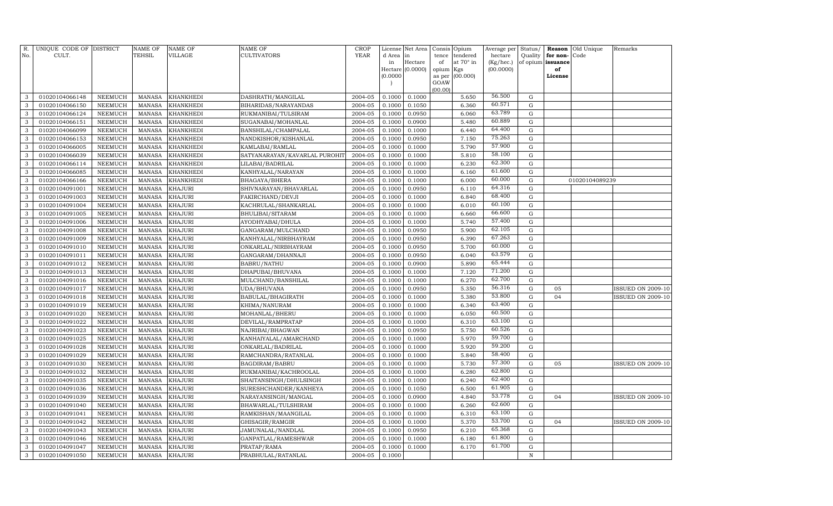| R.<br>No.    | UNIQUE CODE OF DISTRICT<br>CULT. |                | <b>NAME OF</b><br>TEHSIL | <b>NAME OF</b><br>VILLAGE | NAME OF<br>CULTIVATORS        | <b>CROP</b><br><b>YEAR</b> | d Area in | License Net Area | Consis<br>tence | Opium<br>tendered | Average per<br>hectare | Status/<br>Quality | Reason<br>for non- | Old Unique<br>Code | Remarks                  |
|--------------|----------------------------------|----------------|--------------------------|---------------------------|-------------------------------|----------------------------|-----------|------------------|-----------------|-------------------|------------------------|--------------------|--------------------|--------------------|--------------------------|
|              |                                  |                |                          |                           |                               |                            | in        | Hectare          | of              | at 70° in         | (Kg/hec.)              | of opium           | issuance           |                    |                          |
|              |                                  |                |                          |                           |                               |                            |           | Hectare (0.0000) | opium           | Kgs               | (00.0000)              |                    | of                 |                    |                          |
|              |                                  |                |                          |                           |                               |                            | (0.0000)  |                  | as per<br>GOAW  | (00.000)          |                        |                    | License            |                    |                          |
|              |                                  |                |                          |                           |                               |                            |           |                  | (00.00)         |                   |                        |                    |                    |                    |                          |
| 3            | 01020104066148                   | <b>NEEMUCH</b> | <b>MANASA</b>            | <b>KHANKHEDI</b>          | DASHRATH/MANGILAL             | 2004-05                    | 0.1000    | 0.1000           |                 | 5.650             | 56.500                 | $\mathbf G$        |                    |                    |                          |
| 3            | 01020104066150                   | <b>NEEMUCH</b> | <b>MANASA</b>            | KHANKHEDI                 | BIHARIDAS/NARAYANDAS          | 2004-05                    | 0.1000    | 0.1050           |                 | 6.360             | 60.571                 | $\mathbf G$        |                    |                    |                          |
| 3            | 01020104066124                   | NEEMUCH        | MANASA                   | <b>KHANKHEDI</b>          | RUKMANIBAI/TULSIRAM           | 2004-05                    | 0.1000    | 0.0950           |                 | 6.060             | 63.789                 | G                  |                    |                    |                          |
| 3            | 01020104066151                   | NEEMUCH        | MANASA                   | <b>KHANKHEDI</b>          | SUGANABAI/MOHANLAL            | 2004-05                    | 0.1000    | 0.0900           |                 | 5.480             | 60.889                 | G                  |                    |                    |                          |
| 3            | 01020104066099                   | NEEMUCH        | <b>MANASA</b>            | <b>KHANKHEDI</b>          | BANSHILAL/CHAMPALAL           | 2004-05                    | 0.1000    | 0.1000           |                 | 6.440             | 64.400                 | ${\rm G}$          |                    |                    |                          |
| 3            | 01020104066153                   | NEEMUCH        | MANASA                   | <b>KHANKHEDI</b>          | NANDKISHOR/KISHANLAL          | 2004-05                    | 0.1000    | 0.0950           |                 | 7.150             | 75.263                 | G                  |                    |                    |                          |
| 3            | 01020104066005                   | NEEMUCH        | <b>MANASA</b>            | <b>KHANKHEDI</b>          | KAMLABAI/RAMLAL               | 2004-05                    | 0.1000    | 0.1000           |                 | 5.790             | 57.900                 | G                  |                    |                    |                          |
| 3            | 01020104066039                   | NEEMUCH        | <b>MANASA</b>            | <b>KHANKHEDI</b>          | SATYANARAYAN/KAVARLAL PUROHI' | 2004-05                    | 0.1000    | 0.1000           |                 | 5.810             | 58.100                 | ${\rm G}$          |                    |                    |                          |
| 3            | 01020104066114                   | <b>NEEMUCH</b> | <b>MANASA</b>            | KHANKHEDI                 | LILABAI/BADRILAL              | 2004-05                    | 0.1000    | 0.1000           |                 | 6.230             | 62.300                 | $\mathbf G$        |                    |                    |                          |
| 3            | 01020104066085                   | <b>NEEMUCH</b> | <b>MANASA</b>            | <b>KHANKHEDI</b>          | KANHYALAL/NARAYAN             | 2004-05                    | 0.1000    | 0.1000           |                 | 6.160             | 61.600                 | G                  |                    |                    |                          |
| 3            | 01020104066166                   | <b>NEEMUCH</b> | <b>MANASA</b>            | <b>KHANKHEDI</b>          | BHAGAYA/BHERA                 | 2004-05                    | 0.1000    | 0.1000           |                 | 6.000             | 60.000                 | ${\rm G}$          |                    | 01020104089239     |                          |
| 3            | 01020104091001                   | NEEMUCH        | <b>MANASA</b>            | <b>KHAJURI</b>            | SHIVNARAYAN/BHAVARLAL         | 2004-05                    | 0.1000    | 0.0950           |                 | 6.110             | 64.316                 | $\mathbf G$        |                    |                    |                          |
| 3            | 01020104091003                   | NEEMUCH        | <b>MANASA</b>            | <b>KHAJURI</b>            | FAKIRCHAND/DEVJI              | 2004-05                    | 0.1000    | 0.1000           |                 | 6.840             | 68.400                 | ${\rm G}$          |                    |                    |                          |
| 3            | 01020104091004                   | NEEMUCH        | <b>MANASA</b>            | <b>KHAJURI</b>            | KACHRULAL/SHANKARLAL          | 2004-05                    | 0.1000    | 0.1000           |                 | 6.010             | 60.100                 | $\mathbf G$        |                    |                    |                          |
| 3            | 01020104091005                   | NEEMUCH        | <b>MANASA</b>            | <b>KHAJURI</b>            | BHULIBAI/SITARAM              | 2004-05                    | 0.1000    | 0.1000           |                 | 6.660             | 66.600                 | $\mathbf G$        |                    |                    |                          |
| 3            | 01020104091006                   | NEEMUCH        | <b>MANASA</b>            | <b>KHAJURI</b>            | AYODHYABAI/DHULA              | 2004-05                    | 0.1000    | 0.1000           |                 | 5.740             | 57.400                 | ${\rm G}$          |                    |                    |                          |
| 3            | 01020104091008                   | NEEMUCH        | <b>MANASA</b>            | <b>KHAJURI</b>            | GANGARAM/MULCHAND             | 2004-05                    | 0.1000    | 0.0950           |                 | 5.900             | 62.105                 | ${\rm G}$          |                    |                    |                          |
| $\mathbf{3}$ | 01020104091009                   | <b>NEEMUCH</b> | <b>MANASA</b>            | KHAJURI                   | KANHYALAL/NIRBHAYRAM          | 2004-05                    | 0.1000    | 0.0950           |                 | 6.390             | 67.263                 | ${\rm G}$          |                    |                    |                          |
| 3            | 01020104091010                   | NEEMUCH        | <b>MANASA</b>            | <b>KHAJURI</b>            | ONKARLAL/NIRBHAYRAM           | 2004-05                    | 0.1000    | 0.0950           |                 | 5.700             | 60.000                 | ${\rm G}$          |                    |                    |                          |
| $\mathbf{3}$ | 01020104091011                   | NEEMUCH        | <b>MANASA</b>            | <b>KHAJURI</b>            | GANGARAM/DHANNAJI             | 2004-05                    | 0.1000    | 0.0950           |                 | 6.040             | 63.579                 | ${\rm G}$          |                    |                    |                          |
| 3            | 01020104091012                   | NEEMUCH        | <b>MANASA</b>            | <b>KHAJURI</b>            | BABRU/NATHU                   | 2004-05                    | 0.1000    | 0.0900           |                 | 5.890             | 65.444                 | ${\rm G}$          |                    |                    |                          |
| 3            | 01020104091013                   | <b>NEEMUCH</b> | <b>MANASA</b>            | <b>KHAJURI</b>            | DHAPUBAI/BHUVANA              | 2004-05                    | 0.1000    | 0.1000           |                 | 7.120             | 71.200                 | $\mathbf G$        |                    |                    |                          |
| 3            | 01020104091016                   | NEEMUCH        | <b>MANASA</b>            | <b>KHAJURI</b>            | MULCHAND/BANSHILAL            | 2004-05                    | 0.1000    | 0.1000           |                 | 6.270             | 62.700                 | ${\rm G}$          |                    |                    |                          |
| 3            | 01020104091017                   | <b>NEEMUCH</b> | <b>MANASA</b>            | <b>KHAJURI</b>            | UDA/BHUVANA                   | 2004-05                    | 0.1000    | 0.0950           |                 | 5.350             | 56.316                 | $\mathbf G$        | 05                 |                    | <b>ISSUED ON 2009-10</b> |
| 3            | 01020104091018                   | NEEMUCH        | <b>MANASA</b>            | <b>KHAJURI</b>            | BABULAL/BHAGIRATH             | 2004-05                    | 0.1000    | 0.1000           |                 | 5.380             | 53.800                 | $\mathbf G$        | 04                 |                    | <b>ISSUED ON 2009-10</b> |
| 3            | 01020104091019                   | <b>NEEMUCH</b> | <b>MANASA</b>            | <b>KHAJURI</b>            | KHIMA/NANURAM                 | 2004-05                    | 0.1000    | 0.1000           |                 | 6.340             | 63.400                 | $\mathbf G$        |                    |                    |                          |
| 3            | 01020104091020                   | NEEMUCH        | <b>MANASA</b>            | <b>KHAJURI</b>            | MOHANLAL/BHERU                | 2004-05                    | 0.1000    | 0.1000           |                 | 6.050             | 60.500                 | $\mathbf G$        |                    |                    |                          |
| $\mathbf{3}$ | 01020104091022                   | <b>NEEMUCH</b> | <b>MANASA</b>            | <b>KHAJURI</b>            | DEVILAL/RAMPRATAP             | 2004-05                    | 0.1000    | 0.1000           |                 | 6.310             | 63.100                 | ${\rm G}$          |                    |                    |                          |
| 3            | 01020104091023                   | NEEMUCH        | <b>MANASA</b>            | <b>KHAJURI</b>            | NAJRIBAI/BHAGWAN              | 2004-05                    | 0.1000    | 0.0950           |                 | 5.750             | 60.526                 | ${\rm G}$          |                    |                    |                          |
| $\mathbf{3}$ | 01020104091025                   | NEEMUCH        | <b>MANASA</b>            | KHAJURI                   | KANHAIYALAL/AMARCHAND         | 2004-05                    | 0.1000    | 0.1000           |                 | 5.970             | 59.700                 | ${\rm G}$          |                    |                    |                          |
| 3            | 01020104091028                   | NEEMUCH        | MANASA                   | <b>KHAJURI</b>            | ONKARLAL/BADRILAL             | 2004-05                    | 0.1000    | 0.1000           |                 | 5.920             | 59.200                 | ${\rm G}$          |                    |                    |                          |
| 3            | 01020104091029                   | <b>NEEMUCH</b> | <b>MANASA</b>            | <b>KHAJURI</b>            | RAMCHANDRA/RATANLAL           | 2004-05                    | 0.1000    | 0.1000           |                 | 5.840             | 58.400                 | $\mathbf G$        |                    |                    |                          |
| 3            | 01020104091030                   | NEEMUCH        | MANASA                   | KHAJURI                   | BAGDIRAM/BABRU                | 2004-05                    | 0.1000    | 0.1000           |                 | 5.730             | 57.300                 | ${\rm G}$          | 05                 |                    | <b>ISSUED ON 2009-10</b> |
| 3            | 01020104091032                   | <b>NEEMUCH</b> | <b>MANASA</b>            | <b>KHAJURI</b>            | RUKMANIBAI/KACHROOLAL         | 2004-05                    | 0.1000    | 0.1000           |                 | 6.280             | 62.800                 | G                  |                    |                    |                          |
| 3            | 01020104091035                   | NEEMUCH        | <b>MANASA</b>            | <b>KHAJURI</b>            | SHAITANSINGH/DHULSINGH        | 2004-05                    | 0.1000    | 0.1000           |                 | 6.240             | 62.400                 | $\mathbf G$        |                    |                    |                          |
| 3            | 01020104091036                   | <b>NEEMUCH</b> | <b>MANASA</b>            | KHAJURI                   | SURESHCHANDER/KANHEYA         | 2004-05                    | 0.1000    | 0.1050           |                 | 6.500             | 61.905                 | $\mathbf G$        |                    |                    |                          |
| 3            | 01020104091039                   | <b>NEEMUCH</b> | <b>MANASA</b>            | <b>KHAJURI</b>            | NARAYANSINGH/MANGAL           | 2004-05                    | 0.1000    | 0.0900           |                 | 4.840             | 53.778                 | ${\rm G}$          | 04                 |                    | <b>ISSUED ON 2009-10</b> |
| 3            | 01020104091040                   | <b>NEEMUCH</b> | <b>MANASA</b>            | KHAJURI                   | BHAWARLAL/TULSHIRAM           | 2004-05                    | 0.1000    | 0.1000           |                 | 6.260             | 62.600                 | $\mathbf G$        |                    |                    |                          |
| 3            | 01020104091041                   | <b>NEEMUCH</b> | <b>MANASA</b>            | <b>KHAJURI</b>            | RAMKISHAN/MAANGILAL           | 2004-05                    | 0.1000    | 0.1000           |                 | 6.310             | 63.100                 | $\mathbf G$        |                    |                    |                          |
| 3            | 01020104091042                   | <b>NEEMUCH</b> | <b>MANASA</b>            | KHAJURI                   | GHISAGIR/RAMGIR               | 2004-05                    | 0.1000    | 0.1000           |                 | 5.370             | 53.700                 | $\mathbf G$        | 04                 |                    | <b>ISSUED ON 2009-10</b> |
| 3            | 01020104091043                   | NEEMUCH        | MANASA                   | <b>KHAJURI</b>            | JAMUNALAL/NANDLAL             | 2004-05                    | 0.1000    | 0.0950           |                 | 6.210             | 65.368                 | ${\rm G}$          |                    |                    |                          |
| $\mathbf{3}$ | 01020104091046                   | <b>NEEMUCH</b> | <b>MANASA</b>            | KHAJURI                   | GANPATLAL/RAMESHWAR           | 2004-05                    | 0.1000    | 0.1000           |                 | 6.180             | 61.800                 | $\mathbf G$        |                    |                    |                          |
| 3            | 01020104091047                   | <b>NEEMUCH</b> | <b>MANASA</b>            | KHAJURI                   | PRATAP/RAMA                   | 2004-05                    | 0.1000    | 0.1000           |                 | 6.170             | 61.700                 | $\mathbf G$        |                    |                    |                          |
| $\mathbf{3}$ | 01020104091050                   | <b>NEEMUCH</b> | MANASA                   | <b>KHAJURI</b>            | PRABHULAL/RATANLAL            | 2004-05                    | 0.1000    |                  |                 |                   |                        | $\mathbb N$        |                    |                    |                          |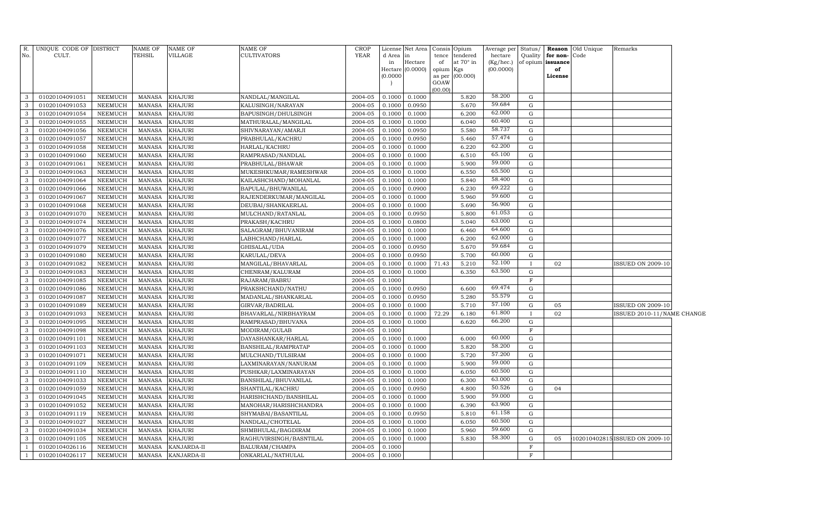| No.            | R. UNIQUE CODE OF DISTRICT<br>CULT. |                 | NAME OF<br>TEHSIL | <b>NAME OF</b><br>VILLAGE | NAME OF<br>CULTIVATORS  | <b>CROP</b><br>YEAR | d Area in | License Net Area   Consis   Opium | tence           | tendered  | Average per<br>hectare | Status/<br>Quality | for non-Code      | <b>Reason</b> Old Unique | Remarks                        |  |
|----------------|-------------------------------------|-----------------|-------------------|---------------------------|-------------------------|---------------------|-----------|-----------------------------------|-----------------|-----------|------------------------|--------------------|-------------------|--------------------------|--------------------------------|--|
|                |                                     |                 |                   |                           |                         |                     | in        | Hectare                           | of              | at 70° in | (Kg/hec.)              |                    | of opium issuance |                          |                                |  |
|                |                                     |                 |                   |                           |                         |                     |           | Hectare $(0.0000)$                | opium           | Kgs       | (00.0000)              |                    | of                |                          |                                |  |
|                |                                     |                 |                   |                           |                         |                     | (0.0000)  |                                   | as per          | (00.000)  |                        |                    | License           |                          |                                |  |
|                |                                     |                 |                   |                           |                         |                     |           |                                   | GOAW<br>(00.00) |           |                        |                    |                   |                          |                                |  |
| 3              | 01020104091051                      | NEEMUCH         | MANASA            | <b>KHAJURI</b>            | NANDLAL/MANGILAL        | 2004-05             | 0.1000    | 0.1000                            |                 | 5.820     | 58.200                 | G                  |                   |                          |                                |  |
| 3              | 01020104091053                      | <b>NEEMUCH</b>  | <b>MANASA</b>     | <b>KHAJURI</b>            | KALUSINGH/NARAYAN       | 2004-05             | 0.1000    | 0.0950                            |                 | 5.670     | 59.684                 | G                  |                   |                          |                                |  |
| 3              | 01020104091054                      | NEEMUCH         | MANASA            | <b>KHAJURI</b>            | BAPUSINGH/DHULSINGH     | 2004-05             | 0.1000    | 0.1000                            |                 | 6.200     | 62.000                 | G                  |                   |                          |                                |  |
| 3              | 01020104091055                      | <b>NEEMUCH</b>  | <b>MANASA</b>     | <b>KHAJURI</b>            | MATHURALAL/MANGILAL     | 2004-05             | 0.1000    | 0.1000                            |                 | 6.040     | 60.400                 | G                  |                   |                          |                                |  |
| 3              | 01020104091056                      | <b>NEEMUCH</b>  | MANASA            | <b>KHAJURI</b>            | SHIVNARAYAN/AMARJI      | 2004-05             | 0.1000    | 0.0950                            |                 | 5.580     | 58.737                 | G                  |                   |                          |                                |  |
| 3              | 01020104091057                      | <b>NEEMUCH</b>  | <b>MANASA</b>     | <b>KHAJURI</b>            | PRABHULAL/KACHRU        | 2004-05             | 0.1000    | 0.0950                            |                 | 5.460     | 57.474                 | $\mathbf G$        |                   |                          |                                |  |
| 3              | 01020104091058                      | NEEMUCH         | MANASA            | <b>KHAJURI</b>            | HARLAL/KACHRU           | 2004-05             | 0.1000    | 0.1000                            |                 | 6.220     | 62.200                 | G                  |                   |                          |                                |  |
| 3              | 01020104091060                      | ${\tt NEEMUCH}$ | MANASA            | <b>KHAJURI</b>            | RAMPRASAD/NANDLAL       | 2004-05             | 0.1000    | 0.1000                            |                 | 6.510     | 65.100                 | G                  |                   |                          |                                |  |
| 3              | 01020104091061                      | NEEMUCH         | <b>MANASA</b>     | <b>KHAJURI</b>            | PRABHULAL/BHAWAR        | 2004-05             | 0.1000    | 0.1000                            |                 | 5.900     | 59.000                 | G                  |                   |                          |                                |  |
| 3              | 01020104091063                      | NEEMUCH         | MANASA            | <b>KHAJURI</b>            | MUKESHKUMAR/RAMESHWAR   | 2004-05             | 0.1000    | 0.1000                            |                 | 6.550     | 65.500                 | ${\rm G}$          |                   |                          |                                |  |
| 3              | 01020104091064                      | <b>NEEMUCH</b>  | MANASA            | <b>KHAJURI</b>            | KAILASHCHAND/MOHANLAL   | 2004-05             | 0.1000    | 0.1000                            |                 | 5.840     | 58.400                 | G                  |                   |                          |                                |  |
| 3              | 01020104091066                      | NEEMUCH         | <b>MANASA</b>     | <b>KHAJURI</b>            | BAPULAL/BHUWANILAL      | 2004-05             | 0.1000    | 0.0900                            |                 | 6.230     | 69.222                 | G                  |                   |                          |                                |  |
| 3              | 01020104091067                      | <b>NEEMUCH</b>  | MANASA            | <b>KHAJURI</b>            | RAJENDERKUMAR/MANGILAL  | 2004-05             | 0.1000    | 0.1000                            |                 | 5.960     | 59.600                 | ${\rm G}$          |                   |                          |                                |  |
| 3              | 01020104091068                      | NEEMUCH         | <b>MANASA</b>     | <b>KHAJURI</b>            | DEUBAI/SHANKAERLAL      | 2004-05             | 0.1000    | 0.1000                            |                 | 5.690     | 56.900                 | ${\rm G}$          |                   |                          |                                |  |
| 3              | 01020104091070                      | <b>NEEMUCH</b>  | <b>MANASA</b>     | <b>KHAJURI</b>            | MULCHAND/RATANLAL       | 2004-05             | 0.1000    | 0.0950                            |                 | 5.800     | 61.053                 | G                  |                   |                          |                                |  |
| 3              | 01020104091074                      | <b>NEEMUCH</b>  | <b>MANASA</b>     | <b>KHAJURI</b>            | PRAKASH/KACHRU          | 2004-05             | 0.1000    | 0.0800                            |                 | 5.040     | 63.000                 | ${\rm G}$          |                   |                          |                                |  |
| 3              | 01020104091076                      | NEEMUCH         | MANASA            | <b>KHAJURI</b>            | SALAGRAM/BHUVANIRAM     | 2004-05             | 0.1000    | 0.1000                            |                 | 6.460     | 64.600                 | G                  |                   |                          |                                |  |
| 3              | 01020104091077                      | <b>NEEMUCH</b>  | <b>MANASA</b>     | <b>KHAJURI</b>            | LABHCHAND/HARLAL        | 2004-05             | 0.1000    | 0.1000                            |                 | 6.200     | 62.000                 | G                  |                   |                          |                                |  |
| 3              | 01020104091079                      | NEEMUCH         | MANASA            | <b>KHAJURI</b>            | GHISALAL/UDA            | 2004-05             | 0.1000    | 0.0950                            |                 | 5.670     | 59.684                 | G                  |                   |                          |                                |  |
| 3              | 01020104091080                      | NEEMUCH         | <b>MANASA</b>     | <b>KHAJURI</b>            | KARULAL/DEVA            | 2004-05             | 0.1000    | 0.0950                            |                 | 5.700     | 60.000                 | G                  |                   |                          |                                |  |
| 3              | 01020104091082                      | <b>NEEMUCH</b>  | <b>MANASA</b>     | <b>KHAJURI</b>            | MANGILAL/BHAVARLAL      | 2004-05             | 0.1000    | 0.1000                            | 71.43           | 5.210     | 52.100                 |                    | 02                |                          | <b>ISSUED ON 2009-10</b>       |  |
| 3              | 01020104091083                      | <b>NEEMUCH</b>  | <b>MANASA</b>     | <b>KHAJURI</b>            | CHENRAM/KALURAM         | 2004-05             | 0.1000    | 0.1000                            |                 | 6.350     | 63.500                 | G                  |                   |                          |                                |  |
| 3              | 01020104091085                      | NEEMUCH         | MANASA            | <b>KHAJURI</b>            | RAJARAM/BABRU           | 2004-05             | 0.1000    |                                   |                 |           |                        | F                  |                   |                          |                                |  |
| 3              | 01020104091086                      | NEEMUCH         | <b>MANASA</b>     | <b>KHAJURI</b>            | PRAKSHCHAND/NATHU       | 2004-05             | 0.1000    | 0.0950                            |                 | 6.600     | 69.474                 | G                  |                   |                          |                                |  |
| 3              | 01020104091087                      | NEEMUCH         | <b>MANASA</b>     | <b>KHAJURI</b>            | MADANLAL/SHANKARLAL     | 2004-05             | 0.1000    | 0.0950                            |                 | 5.280     | 55.579                 | G                  |                   |                          |                                |  |
| 3              | 01020104091089                      | NEEMUCH         | <b>MANASA</b>     | <b>KHAJURI</b>            | GIRVAR/BADRILAL         | 2004-05             | 0.1000    | 0.1000                            |                 | 5.710     | 57.100                 | G                  | 05                |                          | <b>ISSUED ON 2009-10</b>       |  |
| 3              | 01020104091093                      | NEEMUCH         | <b>MANASA</b>     | <b>KHAJURI</b>            | BHAVARLAL/NIRBHAYRAM    | 2004-05             | 0.1000    | 0.1000                            | 72.29           | 6.180     | 61.800                 | $\mathbf{I}$       | 02                |                          | ISSUED 2010-11/NAME CHANGE     |  |
| 3              | 01020104091095                      | NEEMUCH         | <b>MANASA</b>     | <b>KHAJURI</b>            | RAMPRASAD/BHUVANA       | 2004-05             | 0.1000    | 0.1000                            |                 | 6.620     | 66.200                 | ${\rm G}$          |                   |                          |                                |  |
| 3              | 01020104091098                      | NEEMUCH         | <b>MANASA</b>     | <b>KHAJURI</b>            | MODIRAM/GULAB           | 2004-05             | 0.1000    |                                   |                 |           |                        | $\mathbf F$        |                   |                          |                                |  |
| 3              | 01020104091101                      | NEEMUCH         | <b>MANASA</b>     | <b>KHAJURI</b>            | DAYASHANKAR/HARLAL      | 2004-05             | 0.1000    | 0.1000                            |                 | 6.000     | 60.000                 | G                  |                   |                          |                                |  |
| 3              | 01020104091103                      | NEEMUCH         | <b>MANASA</b>     | <b>KHAJURI</b>            | BANSHILAL/RAMPRATAP     | 2004-05             | 0.1000    | 0.1000                            |                 | 5.820     | 58.200                 | G                  |                   |                          |                                |  |
| 3              | 01020104091071                      | <b>NEEMUCH</b>  | <b>MANASA</b>     | <b>KHAJURI</b>            | MULCHAND/TULSIRAM       | 2004-05             | 0.1000    | 0.1000                            |                 | 5.720     | 57.200                 | G                  |                   |                          |                                |  |
| 3              | 01020104091109                      | NEEMUCH         | <b>MANASA</b>     | <b>KHAJURI</b>            | LAXMINARAYAN/NANURAM    | 2004-05             | 0.1000    | 0.1000                            |                 | 5.900     | 59.000                 | G                  |                   |                          |                                |  |
| 3              | 01020104091110                      | <b>NEEMUCH</b>  | <b>MANASA</b>     | <b>KHAJURI</b>            | PUSHKAR/LAXMINARAYAN    | 2004-05             | 0.1000    | 0.1000                            |                 | 6.050     | 60.500                 | G                  |                   |                          |                                |  |
| 3              | 01020104091033                      | <b>NEEMUCH</b>  | <b>MANASA</b>     | <b>KHAJURI</b>            | BANSHILAL/BHUVANILAL    | 2004-05             | 0.1000    | 0.1000                            |                 | 6.300     | 63.000                 | G                  |                   |                          |                                |  |
| 3              | 01020104091059                      | <b>NEEMUCH</b>  | <b>MANASA</b>     | <b>KHAJURI</b>            | SHANTILAL/KACHRU        | 2004-05             | 0.1000    | 0.0950                            |                 | 4.800     | 50.526                 | G                  | 04                |                          |                                |  |
| 3              | 01020104091045                      | <b>NEEMUCH</b>  | <b>MANASA</b>     | <b>KHAJURI</b>            | HARISHCHAND/BANSHILAL   | 2004-05             | 0.1000    | 0.1000                            |                 | 5.900     | 59.000                 | G                  |                   |                          |                                |  |
| 3              | 01020104091052                      | <b>NEEMUCH</b>  | <b>MANASA</b>     | <b>KHAJURI</b>            | MANOHAR/HARISHCHANDRA   | 2004-05             | 0.1000    | 0.1000                            |                 | 6.390     | 63.900                 | G                  |                   |                          |                                |  |
| 3              | 01020104091119                      | <b>NEEMUCH</b>  | <b>MANASA</b>     | <b>KHAJURI</b>            | SHYMABAI/BASANTILAL     | 2004-05             | 0.1000    | 0.0950                            |                 | 5.810     | 61.158                 | G                  |                   |                          |                                |  |
| 3              | 01020104091027                      | NEEMUCH         | <b>MANASA</b>     | <b>KHAJURI</b>            | NANDLAL/CHOTELAL        | 2004-05             | 0.1000    | 0.1000                            |                 | 6.050     | 60.500                 | G                  |                   |                          |                                |  |
| 3              | 01020104091034                      | <b>NEEMUCH</b>  | <b>MANASA</b>     | <b>KHAJURI</b>            | SHMBHULAL/BAGDIRAM      | 2004-05             | 0.1000    | 0.1000                            |                 | 5.960     | 59.600<br>58.300       | G                  |                   |                          |                                |  |
| 3              | 01020104091105                      | NEEMUCH         | <b>MANASA</b>     | <b>KHAJURI</b>            | RAGHUVIRSINGH/BASNTILAL | 2004-05             | 0.1000    | 0.1000                            |                 | 5.830     |                        | $\mathbf G$        | 05                |                          | 102010402815 ISSUED ON 2009-10 |  |
| $\overline{1}$ | 01020104026116                      | NEEMUCH         | <b>MANASA</b>     | KANJARDA-II               | BALURAM/CHAMPA          | 2004-05             | 0.1000    |                                   |                 |           |                        | $\mathbf F$        |                   |                          |                                |  |
| <sup>1</sup>   | 01020104026117                      | NEEMUCH         | MANASA            | KANJARDA-II               | ONKARLAL/NATHULAL       | 2004-05             | 0.1000    |                                   |                 |           |                        | $\mathbf F$        |                   |                          |                                |  |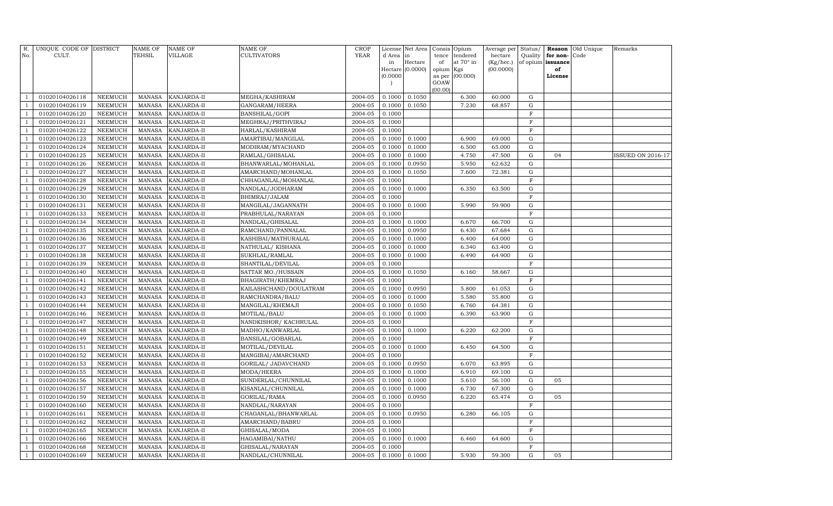| R.<br>No.      | UNIQUE CODE OF DISTRICT<br>CULT. |                 | NAME OF<br>TEHSIL | NAME OF<br>VILLAGE | <b>NAME OF</b><br><b>CULTIVATORS</b> | <b>CROP</b><br><b>YEAR</b> | License<br>d Area | Net Area<br>lin  |             | Consis Opium<br>tendered | Average per<br>hectare | Status/             |                      | Reason Old Unique<br>Code | Remarks           |
|----------------|----------------------------------|-----------------|-------------------|--------------------|--------------------------------------|----------------------------|-------------------|------------------|-------------|--------------------------|------------------------|---------------------|----------------------|---------------------------|-------------------|
|                |                                  |                 |                   |                    |                                      |                            | in                | Hectare          | tence<br>of | at $70^\circ$ in         | (Kg/hec.)              | Quality<br>of opium | for non-<br>issuance |                           |                   |
|                |                                  |                 |                   |                    |                                      |                            |                   | Hectare (0.0000) | opium       | Kgs                      | (00.0000)              |                     | of                   |                           |                   |
|                |                                  |                 |                   |                    |                                      |                            | (0.0000)          |                  | as per      | (00.000)                 |                        |                     | License              |                           |                   |
|                |                                  |                 |                   |                    |                                      |                            |                   |                  | GOAW        |                          |                        |                     |                      |                           |                   |
| -1             | 01020104026118                   | NEEMUCH         | MANASA            | KANJARDA-II        | MEGHA/KASHIRAM                       | 2004-05                    | 0.1000            | 0.1050           | (00.00)     | 6.300                    | 60.000                 | G                   |                      |                           |                   |
| -1             | 01020104026119                   | ${\tt NEEMUCH}$ | MANASA            | KANJARDA-II        | GANGARAM/HEERA                       | 2004-05                    | 0.1000            | 0.1050           |             | 7.230                    | 68.857                 | G                   |                      |                           |                   |
| $\overline{1}$ | 01020104026120                   | NEEMUCH         | MANASA            | KANJARDA-II        | BANSHILAL/GOPI                       | 2004-05                    | 0.1000            |                  |             |                          |                        | $\mathbf F$         |                      |                           |                   |
| $\overline{1}$ | 01020104026121                   | NEEMUCH         | MANASA            | KANJARDA-II        | MEGHRAJ/PRITHVIRAJ                   | 2004-05                    | 0.1000            |                  |             |                          |                        | $\mathbf F$         |                      |                           |                   |
| $\overline{1}$ | 01020104026122                   | NEEMUCH         | MANASA            | KANJARDA-II        | HARLAL/KASHIRAM                      | 2004-05                    | 0.1000            |                  |             |                          |                        | $\mathbf F$         |                      |                           |                   |
| $\overline{1}$ | 01020104026123                   | NEEMUCH         | MANASA            | KANJARDA-II        | AMARTIBAI/MANGILAL                   | 2004-05                    | 0.1000            | 0.1000           |             | 6.900                    | 69.000                 | G                   |                      |                           |                   |
| $\overline{1}$ | 01020104026124                   | NEEMUCH         | MANASA            | KANJARDA-II        | MODIRAM/MYACHAND                     | 2004-05                    | 0.1000            | 0.1000           |             | 6.500                    | 65.000                 | G                   |                      |                           |                   |
| $\overline{1}$ | 01020104026125                   | NEEMUCH         | MANASA            | KANJARDA-II        | RAMLAL/GHISALAL                      | 2004-05                    | 0.1000            | 0.1000           |             | 4.750                    | 47.500                 | G                   | 04                   |                           | ISSUED ON 2016-17 |
| $\overline{1}$ | 01020104026126                   | NEEMUCH         | <b>MANASA</b>     | KANJARDA-II        | BHANWARLAL/MOHANLAL                  | 2004-05                    | 0.1000            | 0.0950           |             | 5.950                    | 62.632                 | G                   |                      |                           |                   |
| $\overline{1}$ | 01020104026127                   | NEEMUCH         | MANASA            | KANJARDA-II        | AMARCHAND/MOHANLAL                   | 2004-05                    | 0.1000            | 0.1050           |             | 7.600                    | 72.381                 | G                   |                      |                           |                   |
| $\overline{1}$ | 01020104026128                   | <b>NEEMUCH</b>  | MANASA            | KANJARDA-II        | CHHAGANLAL/MOHANLAL                  | 2004-05                    | 0.1000            |                  |             |                          |                        | $\mathbf F$         |                      |                           |                   |
| $\overline{1}$ | 01020104026129                   | <b>NEEMUCH</b>  | MANASA            | KANJARDA-II        | NANDLAL/JODHARAM                     | 2004-05                    | 0.1000            | 0.1000           |             | 6.350                    | 63.500                 | G                   |                      |                           |                   |
| -1             | 01020104026130                   | NEEMUCH         | MANASA            | KANJARDA-II        | BHIMRAJ/JALAM                        | 2004-05                    | 0.1000            |                  |             |                          |                        | $\mathbf F$         |                      |                           |                   |
| $\overline{1}$ | 01020104026131                   | NEEMUCH         | MANASA            | KANJARDA-II        | MANGILAL/JAGANNATH                   | 2004-05                    | 0.1000            | 0.1000           |             | 5.990                    | 59.900                 | G                   |                      |                           |                   |
| $\overline{1}$ | 01020104026133                   | NEEMUCH         | <b>MANASA</b>     | KANJARDA-II        | PRABHULAL/NARAYAN                    | 2004-05                    | 0.1000            |                  |             |                          |                        | $\mathbf F$         |                      |                           |                   |
| -1             | 01020104026134                   | NEEMUCH         | MANASA            | KANJARDA-II        | NANDLAL/GHISALAL                     | 2004-05                    | 0.1000            | 0.1000           |             | 6.670                    | 66.700                 | G                   |                      |                           |                   |
| $\overline{1}$ | 01020104026135                   | NEEMUCH         | <b>MANASA</b>     | KANJARDA-II        | RAMCHAND/PANNALAL                    | 2004-05                    | 0.1000            | 0.0950           |             | 6.430                    | 67.684                 | G                   |                      |                           |                   |
| $\overline{1}$ | 01020104026136                   | NEEMUCH         | MANASA            | KANJARDA-II        | KASHIBAI/MATHURALAL                  | 2004-05                    | 0.1000            | 0.1000           |             | 6.400                    | 64.000                 | G                   |                      |                           |                   |
| $\overline{1}$ | 01020104026137                   | NEEMUCH         | MANASA            | KANJARDA-II        | NATHULAL/ KISHANA                    | 2004-05                    | 0.1000            | 0.1000           |             | 6.340                    | 63.400                 | G                   |                      |                           |                   |
| $\overline{1}$ | 01020104026138                   | NEEMUCH         | MANASA            | KANJARDA-II        | SUKHLAL/RAMLAL                       | 2004-05                    | 0.1000            | 0.1000           |             | 6.490                    | 64.900                 | G                   |                      |                           |                   |
| $\overline{1}$ | 01020104026139                   | NEEMUCH         | MANASA            | KANJARDA-II        | SHANTILAL/DEVILAL                    | 2004-05                    | 0.1000            |                  |             |                          |                        | $\mathbf F$         |                      |                           |                   |
| $\overline{1}$ | 01020104026140                   | <b>NEEMUCH</b>  | MANASA            | KANJARDA-II        | SATTAR MO./HUSSAIN                   | 2004-05                    | 0.1000            | 0.1050           |             | 6.160                    | 58.667                 | G                   |                      |                           |                   |
| -1             | 01020104026141                   | NEEMUCH         | <b>MANASA</b>     | KANJARDA-II        | BHAGIRATH/KHEMRAJ                    | 2004-05                    | 0.1000            |                  |             |                          |                        | $\mathbf F$         |                      |                           |                   |
| $\overline{1}$ | 01020104026142                   | NEEMUCH         | MANASA            | KANJARDA-II        | KAILASHCHAND/DOULATRAM               | 2004-05                    | 0.1000            | 0.0950           |             | 5.800                    | 61.053                 | G                   |                      |                           |                   |
| $\overline{1}$ | 01020104026143                   | NEEMUCH         | <b>MANASA</b>     | KANJARDA-II        | RAMCHANDRA/BALU                      | 2004-05                    | 0.1000            | 0.1000           |             | 5.580                    | 55.800                 | G                   |                      |                           |                   |
|                | 01020104026144                   | NEEMUCH         | MANASA            | KANJARDA-II        | MANGILAL/KHEMAJI                     | 2004-05                    | 0.1000            | 0.1050           |             | 6.760                    | 64.381                 | ${\rm G}$           |                      |                           |                   |
| $\overline{1}$ | 01020104026146                   | NEEMUCH         | <b>MANASA</b>     | KANJARDA-II        | MOTILAL/BALU                         | 2004-05                    | 0.1000            | 0.1000           |             | 6.390                    | 63.900                 | G                   |                      |                           |                   |
|                | 01020104026147                   | NEEMUCH         | MANASA            | KANJARDA-II        | NANDKISHOR/KACHRULAL                 | 2004-05                    | 0.1000            |                  |             |                          |                        | $\mathbf F$         |                      |                           |                   |
| $\overline{1}$ | 01020104026148                   | NEEMUCH         | MANASA            | KANJARDA-II        | MADHO/KANWARLAL                      | 2004-05                    | 0.1000            | 0.1000           |             | 6.220                    | 62.200                 | G                   |                      |                           |                   |
|                | 01020104026149                   | NEEMUCH         | MANASA            | KANJARDA-II        | BANSILAL/GOBARLAL                    | 2004-05                    | 0.1000            |                  |             |                          |                        | $\mathbf F$         |                      |                           |                   |
| $\overline{1}$ | 01020104026151                   | NEEMUCH         | MANASA            | KANJARDA-II        | MOTILAL/DEVILAL                      | 2004-05                    | 0.1000            | 0.1000           |             | 6.450                    | 64.500                 | G                   |                      |                           |                   |
| $\overline{1}$ | 01020104026152                   | NEEMUCH         | <b>MANASA</b>     | KANJARDA-II        | MANGIBAI/AMARCHAND                   | 2004-05                    | 0.1000            |                  |             |                          |                        | $\mathbf F$         |                      |                           |                   |
|                | 01020104026153                   | NEEMUCH         | MANASA            | KANJARDA-II        | GORILAL/ JADAVCHAND                  | 2004-05                    | 0.1000            | 0.0950           |             | 6.070                    | 63.895                 | G                   |                      |                           |                   |
| $\overline{1}$ | 01020104026155                   | NEEMUCH         | MANASA            | KANJARDA-II        | MODA/HEERA                           | 2004-05                    | 0.1000            | 0.1000           |             | 6.910                    | 69.100                 | G                   |                      |                           |                   |
|                | 01020104026156                   | NEEMUCH         | <b>MANASA</b>     | KANJARDA-II        | SUNDERLAL/CHUNNILAL                  | 2004-05                    | 0.1000            | 0.1000           |             | 5.610                    | 56.100                 | $\mathbf G$         | 05                   |                           |                   |
|                | 01020104026157                   | NEEMUCH         | <b>MANASA</b>     | KANJARDA-II        | KISANLAL/CHUNNILAL                   | 2004-05                    | 0.1000            | 0.1000           |             | 6.730                    | 67.300                 | G                   |                      |                           |                   |
|                | 01020104026159                   | <b>NEEMUCH</b>  | <b>MANASA</b>     | KANJARDA-II        | GORILAL/RAMA                         | 2004-05                    | 0.1000            | 0.0950           |             | 6.220                    | 65.474                 | $\mathbf G$         | 05                   |                           |                   |
|                | 01020104026160                   | NEEMUCH         | MANASA            | KANJARDA-II        | NANDLAL/NARAYAN                      | 2004-05                    | 0.1000            |                  |             |                          |                        | $\mathbf F$         |                      |                           |                   |
| $\overline{1}$ | 01020104026161                   | NEEMUCH         | MANASA            | KANJARDA-II        | CHAGANLAL/BHANWARLAL                 | 2004-05                    | 0.1000            | 0.0950           |             | 6.280                    | 66.105                 | G                   |                      |                           |                   |
|                | 01020104026162                   | NEEMUCH         | MANASA            | KANJARDA-II        | AMARCHAND/BABRU                      | 2004-05                    | 0.1000            |                  |             |                          |                        | F                   |                      |                           |                   |
| -1             | 01020104026165                   | NEEMUCH         | MANASA            | KANJARDA-II        | GHISALAL/MODA                        | 2004-05                    | 0.1000            |                  |             |                          |                        | $\mathbf F$         |                      |                           |                   |
| $\overline{1}$ | 01020104026166                   | NEEMUCH         | MANASA            | KANJARDA-II        | HAGAMIBAI/NATHU                      | 2004-05                    | 0.1000            | 0.1000           |             | 6.460                    | 64.600                 | G                   |                      |                           |                   |
|                | 01020104026168                   | NEEMUCH         | <b>MANASA</b>     | KANJARDA-II        | GHISALAL/NARAYAN                     | 2004-05                    | 0.1000            |                  |             |                          |                        | $_{\rm F}$          |                      |                           |                   |
| $\mathbf{1}$   | 01020104026169                   | NEEMUCH         | MANASA            | KANJARDA-II        | NANDLAL/CHUNNILAL                    | 2004-05                    | 0.1000            | 0.1000           |             | 5.930                    | 59.300                 | G                   | 05                   |                           |                   |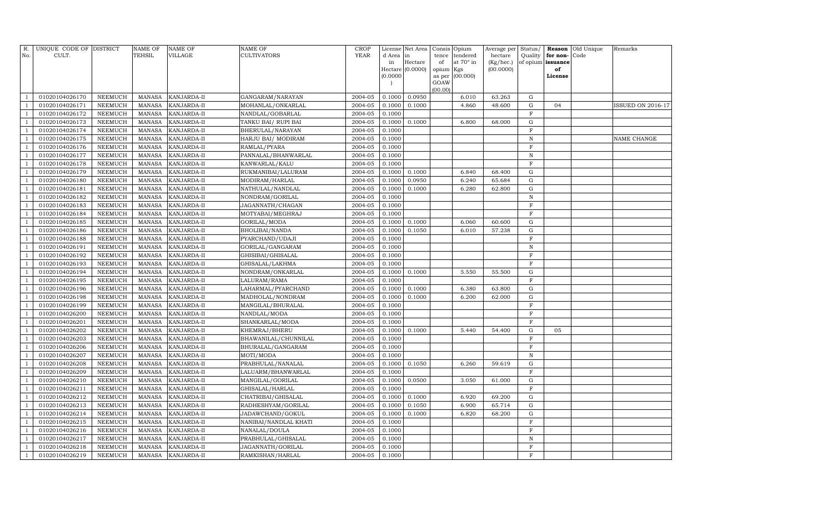| R.             | UNIQUE CODE OF DISTRICT |                | NAME OF       | <b>NAME OF</b> | <b>NAME OF</b>                        | <b>CROP</b>        |              | License Net Area |             | Consis Opium                 | Average per          | Status/                  |                      | <b>Reason</b> Old Unique | Remarks                  |
|----------------|-------------------------|----------------|---------------|----------------|---------------------------------------|--------------------|--------------|------------------|-------------|------------------------------|----------------------|--------------------------|----------------------|--------------------------|--------------------------|
| No.            | CULT.                   |                | TEHSIL        | <b>VILLAGE</b> | <b>CULTIVATORS</b>                    | <b>YEAR</b>        | d Area<br>in | in<br>Hectare    | tence<br>of | tendered<br>at $70^\circ$ in | hectare<br>(Kg/hec.) | Quality<br>of opium      | for non-<br>issuance | Code                     |                          |
|                |                         |                |               |                |                                       |                    |              | Hectare (0.0000) | opium Kgs   |                              | (00.0000)            |                          | of                   |                          |                          |
|                |                         |                |               |                |                                       |                    | (0.0000)     |                  |             | as per (00.000)              |                      |                          | License              |                          |                          |
|                |                         |                |               |                |                                       |                    |              |                  | GOAW        |                              |                      |                          |                      |                          |                          |
| -1             | 01020104026170          | NEEMUCH        | MANASA        | KANJARDA-II    | GANGARAM / NARAYAN                    | 2004-05            | 0.1000       | 0.0950           | (00.00)     | 6.010                        | 63.263               | ${\rm G}$                |                      |                          |                          |
| $\overline{1}$ | 01020104026171          | NEEMUCH        | MANASA        | KANJARDA-II    | MOHANLAL/ONKARLAL                     | 2004-05            | 0.1000       | 0.1000           |             | 4.860                        | 48.600               | ${\rm G}$                | 04                   |                          | <b>ISSUED ON 2016-17</b> |
| $\overline{1}$ | 01020104026172          | NEEMUCH        | MANASA        | KANJARDA-II    | NANDLAL/GOBARLAL                      | 2004-05            | 0.1000       |                  |             |                              |                      | $\mathbf F$              |                      |                          |                          |
| $\overline{1}$ | 01020104026173          | NEEMUCH        | MANASA        | KANJARDA-II    | TANKU BAI/ RUPI BAI                   | 2004-05            | 0.1000       | 0.1000           |             | 6.800                        | 68.000               | ${\rm G}$                |                      |                          |                          |
| $\overline{1}$ | 01020104026174          | NEEMUCH        | MANASA        | KANJARDA-II    | BHERULAL/NARAYAN                      | 2004-05            | 0.1000       |                  |             |                              |                      | $\mathbf F$              |                      |                          |                          |
| $\overline{1}$ | 01020104026175          | NEEMUCH        | MANASA        | KANJARDA-II    | HARJU BAI/ MODIRAM                    | 2004-05            | 0.1000       |                  |             |                              |                      | $\, {\rm N}$             |                      |                          | NAME CHANGE              |
| $\overline{1}$ | 01020104026176          | NEEMUCH        | MANASA        | KANJARDA-II    | RAMLAL/PYARA                          | 2004-05            | 0.1000       |                  |             |                              |                      | $\mathbf F$              |                      |                          |                          |
| $\overline{1}$ | 01020104026177          | NEEMUCH        | MANASA        | KANJARDA-II    | PANNALAL/BHANWARLAL                   | 2004-05            | 0.1000       |                  |             |                              |                      | $\, {\rm N}$             |                      |                          |                          |
| $\overline{1}$ | 01020104026178          | NEEMUCH        | MANASA        | KANJARDA-II    | KANWARLAL/KALU                        | 2004-05            | 0.1000       |                  |             |                              |                      | $\mathbf F$              |                      |                          |                          |
| $\overline{1}$ | 01020104026179          | NEEMUCH        | MANASA        | KANJARDA-II    | RUKMANIBAI/LALURAM                    | 2004-05            | 0.1000       | 0.1000           |             | 6.840                        | 68.400               | G                        |                      |                          |                          |
| $\overline{1}$ | 01020104026180          | <b>NEEMUCH</b> | <b>MANASA</b> | KANJARDA-II    | MODIRAM/HARLAL                        | 2004-05            | 0.1000       | 0.0950           |             | 6.240                        | 65.684               | ${\rm G}$                |                      |                          |                          |
| $\overline{1}$ | 01020104026181          | <b>NEEMUCH</b> | MANASA        | KANJARDA-II    | NATHULAL/NANDLAL                      | 2004-05            | 0.1000       | 0.1000           |             | 6.280                        | 62.800               | ${\rm G}$                |                      |                          |                          |
| $\overline{1}$ | 01020104026182          | NEEMUCH        | <b>MANASA</b> | KANJARDA-II    | NONDRAM/GORILAL                       | 2004-05            | 0.1000       |                  |             |                              |                      | ${\bf N}$                |                      |                          |                          |
| $\overline{1}$ | 01020104026183          | NEEMUCH        | MANASA        | KANJARDA-II    | JAGANNATH/CHAGAN                      | 2004-05            | 0.1000       |                  |             |                              |                      | $\mathbf F$              |                      |                          |                          |
| $\overline{1}$ | 01020104026184          | NEEMUCH        | <b>MANASA</b> | KANJARDA-II    | MOTYABAI/MEGHRAJ                      | 2004-05            | 0.1000       |                  |             |                              |                      | $\mathbf F$              |                      |                          |                          |
| $\overline{1}$ | 01020104026185          | NEEMUCH        | <b>MANASA</b> | KANJARDA-II    | GORILAL/MODA                          | 2004-05            | 0.1000       | 0.1000           |             | 6.060                        | 60.600               | ${\rm G}$                |                      |                          |                          |
| $\overline{1}$ | 01020104026186          | NEEMUCH        | <b>MANASA</b> | KANJARDA-II    | BHOLIBAI/NANDA                        | 2004-05            | 0.1000       | 0.1050           |             | 6.010                        | 57.238               | ${\rm G}$                |                      |                          |                          |
| $\overline{1}$ | 01020104026188          | NEEMUCH        | <b>MANASA</b> | KANJARDA-II    | PYARCHAND/UDAJI                       | 2004-05            | 0.1000       |                  |             |                              |                      | $\mathbf F$              |                      |                          |                          |
| $\overline{1}$ | 01020104026191          | NEEMUCH        | MANASA        | KANJARDA-II    | GORILAL/GANGARAM                      | 2004-05            | 0.1000       |                  |             |                              |                      | $\, {\rm N}$             |                      |                          |                          |
| $\overline{1}$ | 01020104026192          | NEEMUCH        | <b>MANASA</b> | KANJARDA-II    | GHISIBAI/GHISALAL                     | 2004-05            | 0.1000       |                  |             |                              |                      | $\mathbf F$              |                      |                          |                          |
|                | 01020104026193          | NEEMUCH        | <b>MANASA</b> | KANJARDA-II    | GHISALAL/LAKHMA                       | 2004-05            | 0.1000       |                  |             |                              |                      | $\mathbf F$              |                      |                          |                          |
| $\overline{1}$ | 01020104026194          | <b>NEEMUCH</b> | <b>MANASA</b> | KANJARDA-II    | NONDRAM/ONKARLAL                      | 2004-05            | 0.1000       | 0.1000           |             | 5.550                        | 55.500               | ${\rm G}$                |                      |                          |                          |
| $\overline{1}$ | 01020104026195          | NEEMUCH        | <b>MANASA</b> | KANJARDA-II    | LALURAM/RAMA                          | 2004-05            | 0.1000       |                  |             |                              |                      | $\rm F$                  |                      |                          |                          |
| $\overline{1}$ | 01020104026196          | <b>NEEMUCH</b> | <b>MANASA</b> | KANJARDA-II    | LAHARMAL/PYARCHAND                    | 2004-05            | 0.1000       | 0.1000           |             | 6.380                        | 63.800               | ${\rm G}$                |                      |                          |                          |
| -1             | 01020104026198          | NEEMUCH        | <b>MANASA</b> | KANJARDA-II    | MADHOLAL/NONDRAM                      | 2004-05            | 0.1000       | 0.1000           |             | 6.200                        | 62.000               | ${\rm G}$                |                      |                          |                          |
| $\overline{1}$ | 01020104026199          | NEEMUCH        | <b>MANASA</b> | KANJARDA-II    | MANGILAL/BHURALAL                     | 2004-05            | 0.1000       |                  |             |                              |                      | $\mathbf F$              |                      |                          |                          |
|                | 01020104026200          | NEEMUCH        | <b>MANASA</b> | KANJARDA-II    | NANDLAL/MODA                          | 2004-05            | 0.1000       |                  |             |                              |                      | $\mathbf F$              |                      |                          |                          |
| $\overline{1}$ | 01020104026201          | NEEMUCH        | <b>MANASA</b> | KANJARDA-II    | SHANKARLAL/MODA                       | 2004-05            | 0.1000       |                  |             |                              |                      | $\mathbf F$              |                      |                          |                          |
|                | 01020104026202          | <b>NEEMUCH</b> | <b>MANASA</b> | KANJARDA-II    | KHEMRAJ/BHERU                         | 2004-05            | 0.1000       | 0.1000           |             | 5.440                        | 54.400               | ${\rm G}$                | 05                   |                          |                          |
| $\overline{1}$ | 01020104026203          | NEEMUCH        | <b>MANASA</b> | KANJARDA-II    | BHAWANILAL/CHUNNILAL                  | 2004-05            | 0.1000       |                  |             |                              |                      | $\mathbf F$              |                      |                          |                          |
| $\overline{1}$ | 01020104026206          | NEEMUCH        | <b>MANASA</b> | KANJARDA-II    | BHURALAL/GANGARAM                     | 2004-05            | 0.1000       |                  |             |                              |                      | F                        |                      |                          |                          |
|                | 01020104026207          | NEEMUCH        | <b>MANASA</b> | KANJARDA-II    | MOTI/MODA                             | 2004-05            | 0.1000       |                  |             |                              |                      | ${\bf N}$                |                      |                          |                          |
| $\overline{1}$ | 01020104026208          | NEEMUCH        | <b>MANASA</b> | KANJARDA-II    | $\overline{\mbox{PRABHULAL/NANALAL}}$ | 2004-05            | 0.1000       | 0.1050           |             | 6.260                        | 59.619               | G                        |                      |                          |                          |
| $\overline{1}$ | 01020104026209          | NEEMUCH        | <b>MANASA</b> | KANJARDA-II    | LALUARM/BHANWARLAL                    | 2004-05            | 0.1000       |                  |             |                              |                      | $\mathbf F$              |                      |                          |                          |
|                | 01020104026210          | NEEMUCH        | <b>MANASA</b> | KANJARDA-II    | MANGILAL/GORILAL                      | 2004-05            | 0.1000       | 0.0500           |             | 3.050                        | 61.000               | ${\rm G}$                |                      |                          |                          |
|                | 01020104026211          | NEEMUCH        | <b>MANASA</b> | KANJARDA-II    | GHISALAL/HARLAL                       | 2004-05            | 0.1000       |                  |             |                              |                      | $\mathbf F$              |                      |                          |                          |
|                | 01020104026212          | <b>NEEMUCH</b> | <b>MANASA</b> | KANJARDA-II    | CHATRIBAI/GHISALAL                    | 2004-05            | 0.1000       | 0.1000           |             | 6.920                        | 69.200               | ${\rm G}$                |                      |                          |                          |
|                | 01020104026213          | NEEMUCH        | <b>MANASA</b> | KANJARDA-II    | RADHESHYAM/GORILAL                    | 2004-05            | 0.1000       | 0.1050           |             | 6.900                        | 65.714               | ${\rm G}$                |                      |                          |                          |
| $\overline{1}$ | 01020104026214          | NEEMUCH        | <b>MANASA</b> | KANJARDA-II    | JADAWCHAND/GOKUL                      | 2004-05            | 0.1000       | 0.1000           |             | 6.820                        | 68.200               | ${\rm G}$<br>$\mathbf F$ |                      |                          |                          |
| $\overline{1}$ | 01020104026215          | NEEMUCH        | <b>MANASA</b> | KANJARDA-II    | NANIBAI/NANDLAL KHATI                 | 2004-05            | 0.1000       |                  |             |                              |                      |                          |                      |                          |                          |
| $\overline{1}$ | 01020104026216          | NEEMUCH        | <b>MANASA</b> | KANJARDA-II    | NANALAL/DOULA                         | 2004-05            | 0.1000       |                  |             |                              |                      | $\mathbf F$<br>${\bf N}$ |                      |                          |                          |
|                | 01020104026217          | NEEMUCH        | <b>MANASA</b> | KANJARDA-II    | PRABHULAL/GHISALAL                    | 2004-05<br>2004-05 | 0.1000       |                  |             |                              |                      | F                        |                      |                          |                          |
| $\overline{1}$ | 01020104026218          | NEEMUCH        | <b>MANASA</b> | KANJARDA-II    | JAGANNATH/GORILAL                     |                    | 0.1000       |                  |             |                              |                      | F                        |                      |                          |                          |
|                | 01020104026219          | NEEMUCH        | MANASA        | KANJARDA-II    | RAMKISHAN/HARLAL                      | 2004-05            | 0.1000       |                  |             |                              |                      |                          |                      |                          |                          |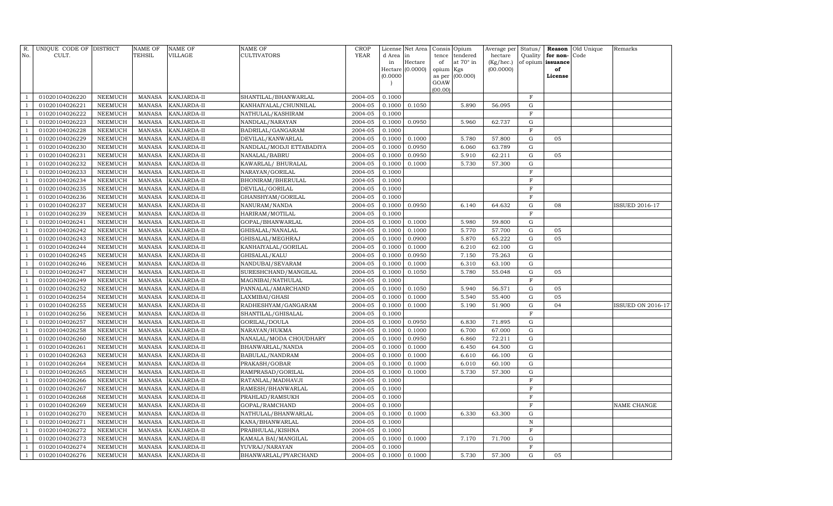| R.<br>No.    | UNIQUE CODE OF DISTRICT<br>CULT. |                           | NAME OF<br>TEHSIL              | <b>NAME OF</b><br>VILLAGE  | <b>NAME OF</b><br>CULTIVATORS     | CROP<br><b>YEAR</b> | d Area           | License Net Area<br>in | tence     | Consis Opium<br>tendered | Average per<br>hectare | Status/<br>Quality         | for non-          | <b>Reason</b> Old Unique<br>Code | Remarks                  |
|--------------|----------------------------------|---------------------------|--------------------------------|----------------------------|-----------------------------------|---------------------|------------------|------------------------|-----------|--------------------------|------------------------|----------------------------|-------------------|----------------------------------|--------------------------|
|              |                                  |                           |                                |                            |                                   |                     | in               | Hectare                | of        | at 70° in                | (Kg/hec.)              |                            | of opium issuance |                                  |                          |
|              |                                  |                           |                                |                            |                                   |                     |                  | Hectare (0.0000)       | opium Kgs |                          | (00.0000)              |                            | of                |                                  |                          |
|              |                                  |                           |                                |                            |                                   |                     | (0.0000)         |                        | as per    | (00.000)                 |                        |                            | License           |                                  |                          |
|              |                                  |                           |                                |                            |                                   |                     |                  |                        | GOAW      |                          |                        |                            |                   |                                  |                          |
|              | 01020104026220                   | NEEMUCH                   | <b>MANASA</b>                  | KANJARDA-II                | SHANTILAL/BHANWARLAL              | 2004-05             | 0.1000           |                        | (00.00)   |                          |                        | $_{\rm F}$                 |                   |                                  |                          |
|              | 01020104026221                   | NEEMUCH                   | <b>MANASA</b>                  | KANJARDA-II                | KANHAIYALAL/CHUNNILAL             | 2004-05             | 0.1000           | 0.1050                 |           | 5.890                    | 56.095                 | G                          |                   |                                  |                          |
|              | 01020104026222                   | NEEMUCH                   | <b>MANASA</b>                  | KANJARDA-II                | NATHULAL/KASHIRAM                 | 2004-05             | 0.1000           |                        |           |                          |                        | $\mathbf F$                |                   |                                  |                          |
|              | 01020104026223                   | NEEMUCH                   | <b>MANASA</b>                  | KANJARDA-II                | NANDLAL/NARAYAN                   | 2004-05             | 0.1000           | 0.0950                 |           | 5.960                    | 62.737                 | G                          |                   |                                  |                          |
|              | 01020104026228                   | <b>NEEMUCH</b>            | <b>MANASA</b>                  | KANJARDA-II                | BADRILAL/GANGARAM                 | 2004-05             | 0.1000           |                        |           |                          |                        | $\mathbf F$                |                   |                                  |                          |
|              | 01020104026229                   | <b>NEEMUCH</b>            | MANASA                         | KANJARDA-II                | DEVILAL/KANWARLAL                 | 2004-05             | 0.1000           | 0.1000                 |           | 5.780                    | 57.800                 | G                          | 05                |                                  |                          |
|              | 01020104026230                   | <b>NEEMUCH</b>            | <b>MANASA</b>                  | KANJARDA-II                | NANDLAL/MODJI ETTABADIYA          | 2004-05             | 0.1000           | 0.0950                 |           | 6.060                    | 63.789                 | G                          |                   |                                  |                          |
|              | 01020104026231                   | <b>NEEMUCH</b>            | <b>MANASA</b>                  | KANJARDA-II                | NANALAL/BABRU                     | 2004-05             | 0.1000           | 0.0950                 |           | 5.910                    | 62.211                 | G                          | 05                |                                  |                          |
|              | 01020104026232                   | NEEMUCH                   | <b>MANASA</b>                  | KANJARDA-II                | KAWARLAL/ BHURALAL                | 2004-05             | 0.1000           | 0.1000                 |           | 5.730                    | 57.300                 | ${\rm G}$                  |                   |                                  |                          |
|              | 01020104026233                   | <b>NEEMUCH</b>            | <b>MANASA</b>                  | KANJARDA-II                | NARAYAN/GORILAL                   | 2004-05             | 0.1000           |                        |           |                          |                        | $\rm F$                    |                   |                                  |                          |
|              | 01020104026234                   | NEEMUCH                   | <b>MANASA</b>                  | KANJARDA-II                | BHONIRAM/BHERULAL                 | 2004-05             | 0.1000           |                        |           |                          |                        | $\mathbf F$                |                   |                                  |                          |
|              | 01020104026235                   | <b>NEEMUCH</b>            | <b>MANASA</b>                  | KANJARDA-II                | DEVILAL/GORILAL                   | 2004-05             | 0.1000           |                        |           |                          |                        | $\mathbf F$                |                   |                                  |                          |
|              | 01020104026236                   | <b>NEEMUCH</b>            | <b>MANASA</b>                  | KANJARDA-II                | GHANSHYAM/GORILAL                 | 2004-05             | 0.1000           |                        |           |                          |                        | $\mathbf F$                |                   |                                  |                          |
|              | 01020104026237                   | <b>NEEMUCH</b>            | MANASA                         | KANJARDA-II                | NANURAM/NANDA                     | 2004-05             | 0.1000           | 0.0950                 |           | 6.140                    | 64.632                 | G                          | 08                |                                  | <b>ISSUED 2016-17</b>    |
|              | 01020104026239                   | <b>NEEMUCH</b>            | <b>MANASA</b>                  | KANJARDA-II                | HARIRAM/MOTILAL                   | 2004-05             | 0.1000           |                        |           |                          |                        | $\mathbf F$                |                   |                                  |                          |
|              | 01020104026241                   | <b>NEEMUCH</b>            | <b>MANASA</b>                  | KANJARDA-II                | GOPAL/BHANWARLAL                  | 2004-05             | 0.1000           | 0.1000                 |           | 5.980                    | 59.800                 | G                          |                   |                                  |                          |
|              | 01020104026242                   | NEEMUCH                   | <b>MANASA</b>                  | KANJARDA-II                | GHISALAL/NANALAL                  | 2004-05             | 0.1000           | 0.1000                 |           | 5.770                    | 57.700                 | G                          | 05                |                                  |                          |
|              | 01020104026243                   | <b>NEEMUCH</b>            | <b>MANASA</b>                  | KANJARDA-II                | GHISALAL/MEGHRAJ                  | 2004-05             | 0.1000           | 0.0900                 |           | 5.870                    | 65.222                 | G                          | 05                |                                  |                          |
|              | 01020104026244                   | <b>NEEMUCH</b>            | <b>MANASA</b>                  | KANJARDA-II                | KANHAIYALAL/GORILAL               | 2004-05             | 0.1000           | 0.1000                 |           | 6.210                    | 62.100                 | G                          |                   |                                  |                          |
|              | 01020104026245                   | <b>NEEMUCH</b>            | <b>MANASA</b>                  | KANJARDA-II                | GHISALAL/KALU                     | 2004-05             | 0.1000           | 0.0950                 |           | 7.150                    | 75.263                 | G                          |                   |                                  |                          |
|              | 01020104026246                   | <b>NEEMUCH</b>            | <b>MANASA</b>                  | KANJARDA-II                | NANDUBAI/SEVARAM                  | 2004-05             | 0.1000           | 0.1000                 |           | 6.310                    | 63.100                 | G                          |                   |                                  |                          |
|              | 01020104026247                   | <b>NEEMUCH</b>            | MANASA                         | KANJARDA-II                | SURESHCHAND/MANGILAL              | 2004-05             | 0.1000           | 0.1050                 |           | 5.780                    | 55.048                 | G                          | 05                |                                  |                          |
|              | 01020104026249                   | <b>NEEMUCH</b>            | <b>MANASA</b>                  | KANJARDA-II                | MAGNIBAI/NATHULAL                 | 2004-05             | 0.1000           |                        |           |                          |                        | $\mathbf F$                |                   |                                  |                          |
|              | 01020104026252                   | <b>NEEMUCH</b>            | <b>MANASA</b>                  | KANJARDA-II                | PANNALAL/AMARCHAND                | 2004-05             | 0.1000           | 0.1050                 |           | 5.940                    | 56.571                 | G                          | 05                |                                  |                          |
|              | 01020104026254                   | <b>NEEMUCH</b>            | <b>MANASA</b>                  | KANJARDA-II                | LAXMIBAI/GHASI                    | 2004-05             | 0.1000           | 0.1000                 |           | 5.540                    | 55.400                 | G                          | 05                |                                  |                          |
|              | 01020104026255                   | <b>NEEMUCH</b>            | <b>MANASA</b>                  | KANJARDA-II                | RADHESHYAM/GANGARAM               | 2004-05             | 0.1000           | 0.1000                 |           | 5.190                    | 51.900                 | G                          | 04                |                                  | <b>ISSUED ON 2016-17</b> |
|              | 01020104026256                   | <b>NEEMUCH</b>            | <b>MANASA</b>                  | KANJARDA-II                | SHANTILAL/GHISALAL                | 2004-05             | 0.1000           |                        |           |                          |                        | $\mathbf F$                |                   |                                  |                          |
|              | 01020104026257                   | <b>NEEMUCH</b>            | <b>MANASA</b>                  | KANJARDA-II                | GORILAL/DOULA                     | 2004-05             | 0.1000           | 0.0950                 |           | 6.830                    | 71.895                 | G                          |                   |                                  |                          |
|              | 01020104026258                   | NEEMUCH                   | <b>MANASA</b>                  | KANJARDA-II                | NARAYAN/HUKMA                     | 2004-05             | 0.1000           | 0.1000                 |           | 6.700                    | 67.000                 | G                          |                   |                                  |                          |
|              | 01020104026260                   | <b>NEEMUCH</b>            | MANASA                         | KANJARDA-II                | NANALAL/MODA CHOUDHARY            | 2004-05             | 0.1000           | 0.0950                 |           | 6.860                    | 72.211                 | G                          |                   |                                  |                          |
|              | 01020104026261                   | <b>NEEMUCH</b>            | <b>MANASA</b>                  | KANJARDA-II                | BHANWARLAL/NANDA                  | 2004-05             | 0.1000           | 0.1000                 |           | 6.450                    | 64.500                 | $\mathbf G$<br>$\mathbf G$ |                   |                                  |                          |
|              | 01020104026263                   | <b>NEEMUCH</b>            | <b>MANASA</b>                  | KANJARDA-II                | BABULAL/NANDRAM                   | 2004-05             | 0.1000           | 0.1000                 |           | 6.610                    | 66.100                 |                            |                   |                                  |                          |
|              | 01020104026264                   | <b>NEEMUCH</b>            | <b>MANASA</b>                  | KANJARDA-II                | PRAKASH/GOBAR                     | 2004-05             | 0.1000           | 0.1000                 |           | 6.010                    | 60.100                 | G                          |                   |                                  |                          |
|              | 01020104026265<br>01020104026266 | <b>NEEMUCH</b><br>NEEMUCH | <b>MANASA</b><br><b>MANASA</b> | KANJARDA-II<br>KANJARDA-II | RAMPRASAD/GORILAL                 | 2004-05<br>2004-05  | 0.1000<br>0.1000 | 0.1000                 |           | 5.730                    | 57.300                 | G<br>$\mathbf F$           |                   |                                  |                          |
|              | 01020104026267                   | <b>NEEMUCH</b>            | <b>MANASA</b>                  | KANJARDA-II                | RATANLAL/MADHAVJI                 | 2004-05             | 0.1000           |                        |           |                          |                        | $\mathbf F$                |                   |                                  |                          |
|              | 01020104026268                   | NEEMUCH                   | <b>MANASA</b>                  | KANJARDA-II                | RAMESH/BHANWARLAL                 | 2004-05             | 0.1000           |                        |           |                          |                        | $_{\rm F}$                 |                   |                                  |                          |
|              | 01020104026269                   | <b>NEEMUCH</b>            | <b>MANASA</b>                  | KANJARDA-II                | PRAHLAD/RAMSUKH<br>GOPAL/RAMCHAND | 2004-05             | 0.1000           |                        |           |                          |                        | $\mathbf F$                |                   |                                  | NAME CHANGE              |
|              | 01020104026270                   | NEEMUCH                   | <b>MANASA</b>                  | KANJARDA-II                | NATHULAL/BHANWARLAL               | 2004-05             | 0.1000           | 0.1000                 |           | 6.330                    | 63.300                 | $\mathbf G$                |                   |                                  |                          |
|              | 01020104026271                   | <b>NEEMUCH</b>            | <b>MANASA</b>                  | KANJARDA-II                | KANA/BHANWARLAL                   | 2004-05             | 0.1000           |                        |           |                          |                        | $\, {\bf N}$               |                   |                                  |                          |
|              | 01020104026272                   | <b>NEEMUCH</b>            | <b>MANASA</b>                  | KANJARDA-II                | PRABHULAL/KISHNA                  | 2004-05             | 0.1000           |                        |           |                          |                        | $\mathbf F$                |                   |                                  |                          |
|              | 01020104026273                   | <b>NEEMUCH</b>            | <b>MANASA</b>                  | KANJARDA-II                | KAMALA BAI/MANGILAL               | 2004-05             | 0.1000           | 0.1000                 |           | 7.170                    | 71.700                 | G                          |                   |                                  |                          |
|              | 01020104026274                   | NEEMUCH                   | <b>MANASA</b>                  | KANJARDA-II                | YUVRAJ/NARAYAN                    | 2004-05             | 0.1000           |                        |           |                          |                        | $\mathbf F$                |                   |                                  |                          |
| $\mathbf{1}$ | 01020104026276                   | NEEMUCH                   | MANASA                         | KANJARDA-II                | BHANWARLAL/PYARCHAND              | 2004-05             |                  | 0.1000 0.1000          |           | 5.730                    | 57.300                 | G                          | 05                |                                  |                          |
|              |                                  |                           |                                |                            |                                   |                     |                  |                        |           |                          |                        |                            |                   |                                  |                          |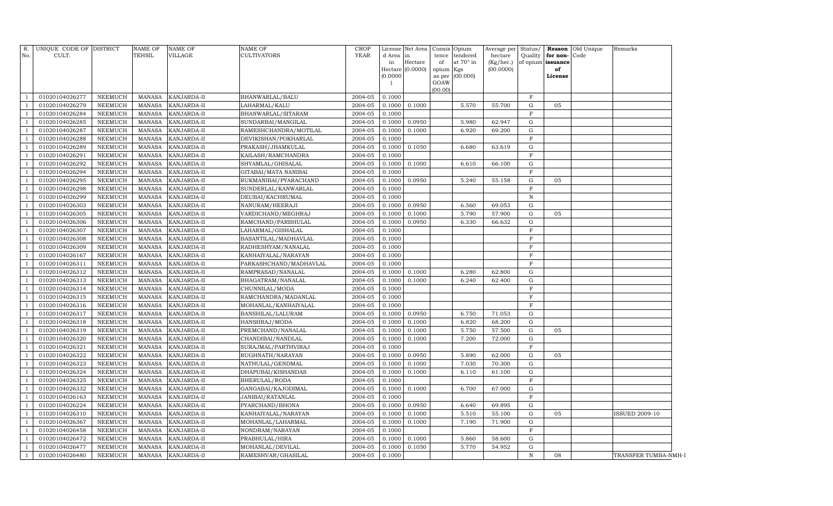| R.<br>No.      | UNIQUE CODE OF DISTRICT<br>CULT. |                                  | <b>NAME OF</b><br>TEHSIL       | NAME OF<br>VILLAGE         | <b>NAME OF</b><br><b>CULTIVATORS</b> | <b>CROP</b><br><b>YEAR</b> | License<br>d Area<br>in<br>(0.0000) | Net Area<br>in<br>Hectare<br>Hectare (0.0000) | Consis<br>tence<br>of<br>opium<br>as per<br>GOAW<br>(00.00) | Opium<br>tendered<br>at 70° in<br>Kgs<br>(00.000) | Average per<br>hectare<br>$(Kg/$ hec.)<br>(00.0000) | Status/      | Quality for non-Code<br>of opium issuance<br>of<br>License | Reason Old Unique | Remarks               |
|----------------|----------------------------------|----------------------------------|--------------------------------|----------------------------|--------------------------------------|----------------------------|-------------------------------------|-----------------------------------------------|-------------------------------------------------------------|---------------------------------------------------|-----------------------------------------------------|--------------|------------------------------------------------------------|-------------------|-----------------------|
| $\overline{1}$ | 01020104026277                   | <b>NEEMUCH</b>                   | MANASA                         | KANJARDA-II                | BHANWARLAL/BALU                      | 2004-05                    | 0.1000                              |                                               |                                                             |                                                   |                                                     | $\mathbf{F}$ |                                                            |                   |                       |
| $\overline{1}$ | 01020104026279                   | <b>NEEMUCH</b>                   | <b>MANASA</b>                  | KANJARDA-II                | LAHARMAL/KALU                        | 2004-05                    | 0.1000                              | 0.1000                                        |                                                             | 5.570                                             | 55.700                                              | G            | 05                                                         |                   |                       |
| $\overline{1}$ | 01020104026284                   | NEEMUCH                          | <b>MANASA</b>                  | KANJARDA-II                | BHANWARLAL/SITARAM                   | 2004-05                    | 0.1000                              |                                               |                                                             |                                                   |                                                     | $_{\rm F}$   |                                                            |                   |                       |
| -1             | 01020104026285                   | NEEMUCH                          | <b>MANASA</b>                  | KANJARDA-II                | SUNDARBAI/MANGILAL                   | 2004-05                    | 0.1000                              | 0.0950                                        |                                                             | 5.980                                             | 62.947                                              | G            |                                                            |                   |                       |
| $\overline{1}$ | 01020104026287                   | NEEMUCH                          | <b>MANASA</b>                  | KANJARDA-II                | RAMESHCHANDRA/MOTILAL                | 2004-05                    | 0.1000                              | 0.1000                                        |                                                             | 6.920                                             | 69.200                                              | G            |                                                            |                   |                       |
| -1             | 01020104026288                   | NEEMUCH                          | <b>MANASA</b>                  | KANJARDA-II                | DEVIKISHAN/POKHARLAL                 | 2004-05                    | 0.1000                              |                                               |                                                             |                                                   |                                                     | $_{\rm F}$   |                                                            |                   |                       |
| $\overline{1}$ | 01020104026289                   | <b>NEEMUCH</b>                   | <b>MANASA</b>                  | KANJARDA-II                | PRAKASH/JHAMKULAL                    | 2004-05                    | 0.1000                              | 0.1050                                        |                                                             | 6.680                                             | 63.619                                              | G            |                                                            |                   |                       |
| $\overline{1}$ | 01020104026291                   | <b>NEEMUCH</b>                   | <b>MANASA</b>                  | KANJARDA-II                | KAILASH/RAMCHANDRA                   | 2004-05                    | 0.1000                              |                                               |                                                             |                                                   |                                                     | F            |                                                            |                   |                       |
| $\overline{1}$ | 01020104026292                   | <b>NEEMUCH</b>                   | <b>MANASA</b>                  | KANJARDA-II                | SHYAMLAL/GHISALAL                    | 2004-05                    | 0.1000                              | 0.1000                                        |                                                             | 6.610                                             | 66.100                                              | ${\rm G}$    |                                                            |                   |                       |
| $\overline{1}$ | 01020104026294                   | <b>NEEMUCH</b>                   | <b>MANASA</b>                  | KANJARDA-II                | GITABAI/MATA NANIBAI                 | 2004-05                    | 0.1000                              |                                               |                                                             |                                                   |                                                     | $_{\rm F}$   |                                                            |                   |                       |
| $\overline{1}$ | 01020104026295                   | <b>NEEMUCH</b>                   | <b>MANASA</b>                  | KANJARDA-II                | RUKMANIBAI/PYARACHAND                | 2004-05                    | 0.1000                              | 0.0950                                        |                                                             | 5.240                                             | 55.158                                              | ${\rm G}$    | 05                                                         |                   |                       |
| $\overline{1}$ | 01020104026298                   | <b>NEEMUCH</b>                   | <b>MANASA</b>                  | KANJARDA-II                | SUNDERLAL/KANWARLAL                  | 2004-05                    | 0.1000                              |                                               |                                                             |                                                   |                                                     | $\mathbf F$  |                                                            |                   |                       |
| $\overline{1}$ | 01020104026299                   | <b>NEEMUCH</b>                   | <b>MANASA</b>                  | KANJARDA-II                | DEUBAI/KACHRUMAL                     | 2004-05                    | 0.1000                              |                                               |                                                             |                                                   |                                                     | $\,$ N       |                                                            |                   |                       |
| $\overline{1}$ | 01020104026303                   | <b>NEEMUCH</b>                   | <b>MANASA</b>                  | KANJARDA-II                | NANURAM/HEERAJI                      | 2004-05                    | 0.1000                              | 0.0950                                        |                                                             | 6.560                                             | 69.053                                              | G            |                                                            |                   |                       |
| $\overline{1}$ | 01020104026305                   | <b>NEEMUCH</b>                   | <b>MANASA</b>                  | KANJARDA-II                | VARDICHAND/MEGHRAJ                   | 2004-05                    | 0.1000                              | 0.1000                                        |                                                             | 5.790                                             | 57.900                                              | G            | 05                                                         |                   |                       |
| $\overline{1}$ | 01020104026306                   | <b>NEEMUCH</b>                   | <b>MANASA</b>                  | KANJARDA-II                | RAMCHAND/PARBHULAL                   | 2004-05                    | 0.1000                              | 0.0950                                        |                                                             | 6.330                                             | 66.632                                              | G            |                                                            |                   |                       |
|                | 01020104026307                   | <b>NEEMUCH</b>                   | <b>MANASA</b>                  | KANJARDA-II                | LAHARMAL/GISHALAL                    | 2004-05                    | 0.1000                              |                                               |                                                             |                                                   |                                                     | $\mathbf F$  |                                                            |                   |                       |
|                | 01020104026308                   | <b>NEEMUCH</b>                   | <b>MANASA</b>                  | KANJARDA-II                | BASANTILAL/MADHAVLAL                 | 2004-05                    | 0.1000                              |                                               |                                                             |                                                   |                                                     | $\mathbf F$  |                                                            |                   |                       |
|                | 01020104026309                   | <b>NEEMUCH</b>                   | <b>MANASA</b>                  | KANJARDA-II                | RADHESHYAM/NANALAL                   | 2004-05                    | 0.1000                              |                                               |                                                             |                                                   |                                                     | $\mathbf F$  |                                                            |                   |                       |
|                | 01020104026167                   | <b>NEEMUCH</b>                   | <b>MANASA</b>                  | KANJARDA-II                | KANHAIYALAL/NARAYAN                  | 2004-05                    | 0.1000                              |                                               |                                                             |                                                   |                                                     | $\mathbf F$  |                                                            |                   |                       |
|                | 01020104026311                   | <b>NEEMUCH</b>                   | <b>MANASA</b>                  | KANJARDA-II                | PARKASHCHAND/MADHAVLAL               | 2004-05                    | 0.1000                              |                                               |                                                             |                                                   |                                                     | $\mathbf F$  |                                                            |                   |                       |
|                | 01020104026312                   | <b>NEEMUCH</b>                   | <b>MANASA</b>                  | KANJARDA-II                | RAMPRASAD/NANALAL                    | 2004-05                    | 0.1000                              | 0.1000                                        |                                                             | 6.280                                             | 62.800                                              | G            |                                                            |                   |                       |
|                | 01020104026313                   | <b>NEEMUCH</b>                   | <b>MANASA</b>                  | KANJARDA-II                | BHAGATRAM/NANALAL                    | 2004-05                    | 0.1000                              | 0.1000                                        |                                                             | 6.240                                             | 62.400                                              | G            |                                                            |                   |                       |
|                | 01020104026314                   | <b>NEEMUCH</b>                   | <b>MANASA</b>                  | KANJARDA-II                | CHUNNILAL/MODA                       | 2004-05                    | 0.1000                              |                                               |                                                             |                                                   |                                                     | $\mathbf F$  |                                                            |                   |                       |
|                | 01020104026315                   | <b>NEEMUCH</b>                   | <b>MANASA</b>                  | KANJARDA-II                | RAMCHANDRA/MADANLAL                  | 2004-05                    | 0.1000                              |                                               |                                                             |                                                   |                                                     | $\mathbf F$  |                                                            |                   |                       |
|                | 01020104026316                   | <b>NEEMUCH</b>                   | <b>MANASA</b>                  | KANJARDA-II                | MOHANLAL/KANHAIYALAL                 | 2004-05                    | 0.1000                              |                                               |                                                             |                                                   |                                                     | $\mathbf F$  |                                                            |                   |                       |
|                | 01020104026317                   | <b>NEEMUCH</b>                   | <b>MANASA</b>                  | KANJARDA-II                | BANSHILAL/LALURAM                    | 2004-05                    | 0.1000                              | 0.0950                                        |                                                             | 6.750                                             | 71.053                                              | G            |                                                            |                   |                       |
|                | 01020104026318                   | <b>NEEMUCH</b>                   | <b>MANASA</b>                  | KANJARDA-II                | HANSHRAJ/MODA                        | 2004-05                    | 0.1000                              | 0.1000                                        |                                                             | 6.820                                             | 68.200                                              | G            |                                                            |                   |                       |
|                | 01020104026319                   | <b>NEEMUCH</b>                   | <b>MANASA</b>                  | KANJARDA-II                | PREMCHAND/NANALAL                    | 2004-05                    | 0.1000                              | 0.1000                                        |                                                             | 5.750                                             | 57.500                                              | G<br>G       | 05                                                         |                   |                       |
|                | 01020104026320                   | <b>NEEMUCH</b>                   | <b>MANASA</b>                  | KANJARDA-II                | CHANDIBAI/NANDLAL                    | 2004-05                    | 0.1000                              | 0.1000                                        |                                                             | 7.200                                             | 72.000                                              | F            |                                                            |                   |                       |
|                | 01020104026321<br>01020104026322 | <b>NEEMUCH</b><br><b>NEEMUCH</b> | <b>MANASA</b><br><b>MANASA</b> | KANJARDA-II<br>KANJARDA-II | SURAJMAL/PARTHVIRAJ                  | 2004-05<br>2004-05         | 0.1000<br>0.1000                    | 0.0950                                        |                                                             | 5.890                                             | 62.000                                              | G            | 05                                                         |                   |                       |
|                | 01020104026323                   | <b>NEEMUCH</b>                   | <b>MANASA</b>                  | KANJARDA-II                | RUGHNATH/NARAYAN<br>NATHULAL/GENDMAL | 2004-05                    | 0.1000                              | 0.1000                                        |                                                             | 7.030                                             | 70.300                                              | G            |                                                            |                   |                       |
|                | 01020104026324                   | <b>NEEMUCH</b>                   | <b>MANASA</b>                  | KANJARDA-II                | DHAPUBAI/KISHANDAS                   | 2004-05                    | 0.1000                              | 0.1000                                        |                                                             | 6.110                                             | 61.100                                              | G            |                                                            |                   |                       |
|                | 01020104026325                   | NEEMUCH                          | <b>MANASA</b>                  | KANJARDA-II                | BHERULAL/RODA                        | 2004-05                    | 0.1000                              |                                               |                                                             |                                                   |                                                     | $\mathbf F$  |                                                            |                   |                       |
|                | 01020104026332                   | <b>NEEMUCH</b>                   | <b>MANASA</b>                  | KANJARDA-II                | GANGABAI/KAJODIMAL                   | 2004-05                    | 0.1000                              | 0.1000                                        |                                                             | 6.700                                             | 67.000                                              | G            |                                                            |                   |                       |
|                | 01020104026163                   | NEEMUCH                          | <b>MANASA</b>                  | KANJARDA-II                | JANIBAI/RATANLAL                     | 2004-05                    | 0.1000                              |                                               |                                                             |                                                   |                                                     | F            |                                                            |                   |                       |
|                | 01020104026224                   | <b>NEEMUCH</b>                   | <b>MANASA</b>                  | KANJARDA-II                | PYARCHAND/BHONA                      | 2004-05                    | 0.1000                              | 0.0950                                        |                                                             | 6.640                                             | 69.895                                              | G            |                                                            |                   |                       |
|                | 01020104026310                   | <b>NEEMUCH</b>                   | <b>MANASA</b>                  | KANJARDA-II                | KANHAIYALAL/NARAYAN                  | 2004-05                    | 0.1000                              | 0.1000                                        |                                                             | 5.510                                             | 55.100                                              | G            | 05                                                         |                   | <b>ISSUED 2009-10</b> |
|                | 01020104026367                   | <b>NEEMUCH</b>                   | <b>MANASA</b>                  | KANJARDA-II                | MOHANLAL/LAHARMAL                    | 2004-05                    | 0.1000                              | 0.1000                                        |                                                             | 7.190                                             | 71.900                                              | G            |                                                            |                   |                       |
|                | 01020104026458                   | NEEMUCH                          | <b>MANASA</b>                  | KANJARDA-II                | NONDRAM/NARAYAN                      | 2004-05                    | 0.1000                              |                                               |                                                             |                                                   |                                                     | $\mathbf F$  |                                                            |                   |                       |
|                | 01020104026472                   | <b>NEEMUCH</b>                   | <b>MANASA</b>                  | KANJARDA-II                | PRABHULAL/HIRA                       | 2004-05                    | 0.1000                              | 0.1000                                        |                                                             | 5.860                                             | 58.600                                              | G            |                                                            |                   |                       |
|                | 01020104026477                   | NEEMUCH                          | <b>MANASA</b>                  | KANJARDA-II                | MOHANLAL/DEVILAL                     | 2004-05                    | 0.1000                              | 0.1050                                        |                                                             | 5.770                                             | 54.952                                              | G            |                                                            |                   |                       |
| -1             | 01020104026480                   | <b>NEEMUCH</b>                   | <b>MANASA</b>                  | KANJARDA-II                | RAMESHVAR/GHASILAL                   | 2004-05                    | 0.1000                              |                                               |                                                             |                                                   |                                                     | ${\bf N}$    | 08                                                         |                   | TRANSFER TUMBA-NMH-I  |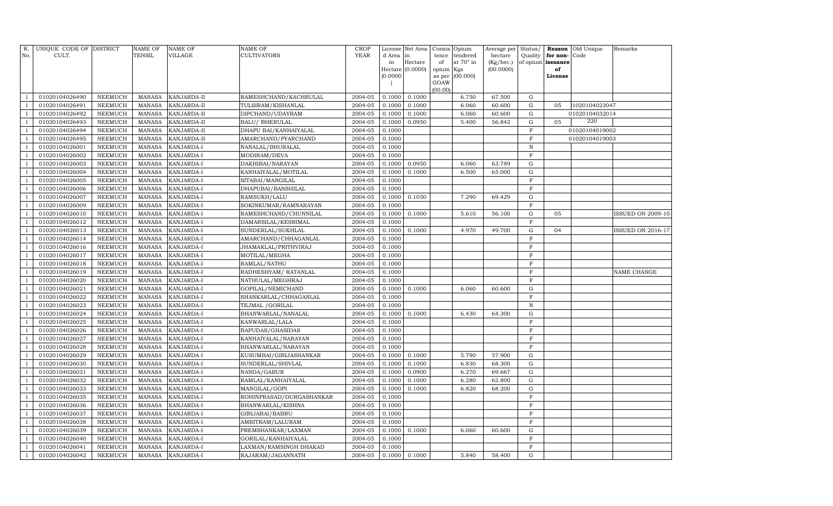| R.<br>No.      | UNIQUE CODE OF DISTRICT<br>CULT. |                                  | <b>NAME OF</b><br>TEHSIL       | <b>NAME OF</b><br>VILLAGE  | <b>NAME OF</b><br>CULTIVATORS               | CROP<br><b>YEAR</b> | d Area           | License Net Area<br>in      | tence           | Consis Opium<br>tendered | Average per<br>hectare | Status/<br>Quality | for non-       | <b>Reason</b> Old Unique<br>Code | Remarks                  |
|----------------|----------------------------------|----------------------------------|--------------------------------|----------------------------|---------------------------------------------|---------------------|------------------|-----------------------------|-----------------|--------------------------|------------------------|--------------------|----------------|----------------------------------|--------------------------|
|                |                                  |                                  |                                |                            |                                             |                     | in               | Hectare<br>Hectare (0.0000) | of<br>opium Kgs | at 70° in                | (Kg/hec.)<br>(00.0000) | of opium           | issuance<br>of |                                  |                          |
|                |                                  |                                  |                                |                            |                                             |                     | (0.0000)         |                             | as per          | (00.000)                 |                        |                    | License        |                                  |                          |
|                |                                  |                                  |                                |                            |                                             |                     |                  |                             | GOAW            |                          |                        |                    |                |                                  |                          |
|                |                                  |                                  |                                |                            |                                             |                     |                  |                             | (00.00)         |                          |                        |                    |                |                                  |                          |
|                | 01020104026490<br>01020104026491 | NEEMUCH<br>NEEMUCH               | <b>MANASA</b>                  | KANJARDA-II<br>KANJARDA-II | RAMESHCHAND/KACHRULAL                       | 2004-05<br>2004-05  | 0.1000<br>0.1000 | 0.1000<br>0.1000            |                 | 6.750<br>6.060           | 67.500                 | G<br>$\mathbf G$   |                |                                  |                          |
|                | 01020104026492                   | NEEMUCH                          | <b>MANASA</b><br><b>MANASA</b> | KANJARDA-II                | TULSIRAM/KISHANLAL<br>DIPCHAND/UDAYRAM      | 2004-05             | 0.1000           | 0.1000                      |                 | 6.060                    | 60.600<br>60.600       | $\mathbf G$        | 05             | 1020104023047<br>01020104032014  |                          |
| $\overline{1}$ | 01020104026493                   | NEEMUCH                          | <b>MANASA</b>                  | KANJARDA-II                | <b>BALU/ BHERULAL</b>                       | 2004-05             | 0.1000           | 0.0950                      |                 | 5.400                    | 56.842                 | G                  | 05             | 220                              |                          |
|                | 01020104026494                   | <b>NEEMUCH</b>                   | <b>MANASA</b>                  | KANJARDA-II                | DHAPU BAI/KANHAIYALAL                       | 2004-05             | 0.1000           |                             |                 |                          |                        | $\mathbf F$        |                | 01020104019002                   |                          |
| -1             | 01020104026495                   | <b>NEEMUCH</b>                   | <b>MANASA</b>                  | KANJARDA-II                | AMARCHAND/PYARCHAND                         | 2004-05             | 0.1000           |                             |                 |                          |                        | $\mathbf F$        |                | 01020104019003                   |                          |
| $\overline{1}$ | 01020104026001                   | <b>NEEMUCH</b>                   | <b>MANASA</b>                  | KANJARDA-I                 | NANALAL/BHURALAL                            | 2004-05             | 0.1000           |                             |                 |                          |                        | $\, {\rm N}$       |                |                                  |                          |
|                | 01020104026002                   | <b>NEEMUCH</b>                   | MANASA                         | KANJARDA-I                 | MODIRAM/DEVA                                | 2004-05             | 0.1000           |                             |                 |                          |                        | $\mathbf F$        |                |                                  |                          |
|                | 01020104026003                   | <b>NEEMUCH</b>                   | <b>MANASA</b>                  | KANJARDA-I                 | DAKHIBAI/NARAYAN                            | 2004-05             | 0.1000           | 0.0950                      |                 | 6.060                    | 63.789                 | G                  |                |                                  |                          |
| -1             | 01020104026004                   | <b>NEEMUCH</b>                   | <b>MANASA</b>                  | KANJARDA-I                 | KANHAIYALAL/MOTILAL                         | 2004-05             | 0.1000           | 0.1000                      |                 | 6.500                    | 65.000                 | G                  |                |                                  |                          |
|                | 01020104026005                   | NEEMUCH                          | <b>MANASA</b>                  | KANJARDA-I                 | SITABAI/MANGILAL                            | 2004-05             | 0.1000           |                             |                 |                          |                        | $\mathbf F$        |                |                                  |                          |
| -1             | 01020104026006                   | <b>NEEMUCH</b>                   | <b>MANASA</b>                  | KANJARDA-I                 | DHAPUBAI/BANSHILAL                          | 2004-05             | 0.1000           |                             |                 |                          |                        | $\mathbf F$        |                |                                  |                          |
|                | 01020104026007                   | <b>NEEMUCH</b>                   | <b>MANASA</b>                  | KANJARDA-I                 | RAMSUKH/LALU                                | 2004-05             | 0.1000           | 0.1050                      |                 | 7.290                    | 69.429                 | $\mathbf G$        |                |                                  |                          |
| -1             | 01020104026009                   | <b>NEEMUCH</b>                   | <b>MANASA</b>                  | KANJARDA-I                 | SOKINKUMAR/RAMNARAYAN                       | 2004-05             | 0.1000           |                             |                 |                          |                        | $\mathbf F$        |                |                                  |                          |
| $\overline{1}$ | 01020104026010                   | NEEMUCH                          | <b>MANASA</b>                  | KANJARDA-I                 | RAMESHCHAND/CHUNNILAL                       | 2004-05             | 0.1000           | 0.1000                      |                 | 5.610                    | 56.100                 | G                  | 05             |                                  | <b>ISSUED ON 2009-10</b> |
|                | 01020104026012                   | <b>NEEMUCH</b>                   | <b>MANASA</b>                  | KANJARDA-I                 | DAMARSILAL/KESRIMAL                         | 2004-05             | 0.1000           |                             |                 |                          |                        | $\mathbf F$        |                |                                  |                          |
|                | 01020104026013                   | <b>NEEMUCH</b>                   | <b>MANASA</b>                  | KANJARDA-I                 | SUNDERLAL/SUKHLAL                           | 2004-05             | 0.1000           | 0.1000                      |                 | 4.970                    | 49.700                 | G                  | 04             |                                  | <b>ISSUED ON 2016-17</b> |
|                | 01020104026014                   | <b>NEEMUCH</b>                   | <b>MANASA</b>                  | KANJARDA-I                 | AMARCHAND/CHHAGANLAL                        | 2004-05             | 0.1000           |                             |                 |                          |                        | $\mathbf F$        |                |                                  |                          |
|                | 01020104026016                   | NEEMUCH                          | <b>MANASA</b>                  | KANJARDA-I                 | JHAMAKLAL/PRITHVIRAJ                        | 2004-05             | 0.1000           |                             |                 |                          |                        | $\mathbf F$        |                |                                  |                          |
|                | 01020104026017                   | <b>NEEMUCH</b>                   | <b>MANASA</b>                  | KANJARDA-I                 | MOTILAL/MEGHA                               | 2004-05             | 0.1000           |                             |                 |                          |                        | F                  |                |                                  |                          |
|                | 01020104026018                   | <b>NEEMUCH</b>                   | <b>MANASA</b>                  | KANJARDA-I                 | RAMLAL/NATHU                                | 2004-05             | 0.1000           |                             |                 |                          |                        | F                  |                |                                  |                          |
|                | 01020104026019                   | <b>NEEMUCH</b>                   | <b>MANASA</b>                  | KANJARDA-I                 | RADHESHYAM / RATANLAL                       | 2004-05             | 0.1000           |                             |                 |                          |                        | $\mathbf F$        |                |                                  | <b>NAME CHANGE</b>       |
| -1             | 01020104026020                   | NEEMUCH                          | <b>MANASA</b>                  | KANJARDA-I                 | NATHULAL/MEGHRAJ                            | 2004-05             | 0.1000           |                             |                 |                          |                        | $\mathbf F$        |                |                                  |                          |
|                | 01020104026021                   | <b>NEEMUCH</b>                   | <b>MANASA</b>                  | KANJARDA-I                 | GOPILAL/NEMICHAND                           | 2004-05             | 0.1000           | 0.1000                      |                 | 6.060                    | 60.600                 | $\mathbf G$        |                |                                  |                          |
|                | 01020104026022                   | <b>NEEMUCH</b>                   | <b>MANASA</b>                  | KANJARDA-I                 | SHANKARLAL/CHHAGANLAL                       | 2004-05             | 0.1000           |                             |                 |                          |                        | $\mathbf F$        |                |                                  |                          |
|                | 01020104026023                   | <b>NEEMUCH</b>                   | <b>MANASA</b>                  | KANJARDA-I                 | TEJMAL / GORILAL                            | 2004-05             | 0.1000           |                             |                 |                          |                        | $\, {\rm N}$       |                |                                  |                          |
|                | 01020104026024                   | <b>NEEMUCH</b>                   | <b>MANASA</b>                  | KANJARDA-I                 | BHANWARLAL/NANALAL                          | 2004-05             | 0.1000           | 0.1000                      |                 | 6.430                    | 64.300                 | G                  |                |                                  |                          |
|                | 01020104026025                   | <b>NEEMUCH</b>                   | <b>MANASA</b>                  | KANJARDA-I                 | KANWARLAL/LALA                              | 2004-05             | 0.1000           |                             |                 |                          |                        | $\mathbf F$        |                |                                  |                          |
|                | 01020104026026                   | <b>NEEMUCH</b>                   | <b>MANASA</b>                  | KANJARDA-I                 | BAPUDAS/GHASIDAS                            | 2004-05             | 0.1000           |                             |                 |                          |                        | $\mathbf F$        |                |                                  |                          |
|                | 01020104026027                   | <b>NEEMUCH</b>                   | <b>MANASA</b>                  | KANJARDA-I                 | KANHAIYALAL/NARAYAN                         | 2004-05             | 0.1000           |                             |                 |                          |                        | F<br>F             |                |                                  |                          |
|                | 01020104026028<br>01020104026029 | <b>NEEMUCH</b><br><b>NEEMUCH</b> | <b>MANASA</b>                  | KANJARDA-I                 | BHANWARLAL/NARAYAN                          | 2004-05             | 0.1000<br>0.1000 |                             |                 | 5.790                    |                        | G                  |                |                                  |                          |
|                | 01020104026030                   | NEEMUCH                          | MANASA<br><b>MANASA</b>        | KANJARDA-I<br>KANJARDA-I   | KUSUMBAI/GIRIJASHANKAR<br>SUNDERLAL/SHIVLAL | 2004-05<br>2004-05  | 0.1000           | 0.1000<br>0.1000            |                 | 6.830                    | 57.900<br>68.300       | G                  |                |                                  |                          |
|                | 01020104026031                   | <b>NEEMUCH</b>                   | MANASA                         | KANJARDA-I                 | NANDA/GABUR                                 | 2004-05             | 0.1000           | 0.0900                      |                 | 6.270                    | 69.667                 | G                  |                |                                  |                          |
|                | 01020104026032                   | <b>NEEMUCH</b>                   | <b>MANASA</b>                  | KANJARDA-I                 | RAMLAL/KANHAIYALAL                          | 2004-05             | 0.1000           | 0.1000                      |                 | 6.280                    | 62.800                 | $\mathbf G$        |                |                                  |                          |
|                | 01020104026033                   | <b>NEEMUCH</b>                   | <b>MANASA</b>                  | KANJARDA-I                 | MANGILAL/GOPI                               | 2004-05             | 0.1000           | 0.1000                      |                 | 6.820                    | 68.200                 | $\mathbf G$        |                |                                  |                          |
|                | 01020104026035                   | <b>NEEMUCH</b>                   | <b>MANASA</b>                  | KANJARDA-I                 | ROHINPRASAD/DURGASHANKAR                    | 2004-05             | 0.1000           |                             |                 |                          |                        | $\mathbf F$        |                |                                  |                          |
|                | 01020104026036                   | <b>NEEMUCH</b>                   | <b>MANASA</b>                  | KANJARDA-I                 | BHANWARLAL/KISHNA                           | 2004-05             | 0.1000           |                             |                 |                          |                        | $\mathbf F$        |                |                                  |                          |
|                | 01020104026037                   | <b>NEEMUCH</b>                   | <b>MANASA</b>                  | KANJARDA-I                 | GIRIJABAI/BABRU                             | 2004-05             | 0.1000           |                             |                 |                          |                        | $\mathbf F$        |                |                                  |                          |
|                | 01020104026038                   | <b>NEEMUCH</b>                   | <b>MANASA</b>                  | KANJARDA-I                 | AMRITRAM/LALURAM                            | 2004-05             | 0.1000           |                             |                 |                          |                        | $\mathbf F$        |                |                                  |                          |
|                | 01020104026039                   | <b>NEEMUCH</b>                   | MANASA                         | KANJARDA-I                 | PREMSHANKAR/LAXMAN                          | 2004-05             | 0.1000           | 0.1000                      |                 | 6.060                    | 60.600                 | G                  |                |                                  |                          |
|                | 01020104026040                   | <b>NEEMUCH</b>                   | <b>MANASA</b>                  | KANJARDA-I                 | GORILAL/KANHAIYALAL                         | 2004-05             | 0.1000           |                             |                 |                          |                        | F                  |                |                                  |                          |
|                | 01020104026041                   | <b>NEEMUCH</b>                   | <b>MANASA</b>                  | KANJARDA-I                 | LAXMAN/RAMSINGH DHAKAD                      | 2004-05             | 0.1000           |                             |                 |                          |                        | F                  |                |                                  |                          |
|                | 01020104026042                   | NEEMUCH                          | MANASA                         | KANJARDA-I                 | RAJARAM/JAGANNATH                           | 2004-05             | 0.1000           | 0.1000                      |                 | 5.840                    | 58.400                 | G                  |                |                                  |                          |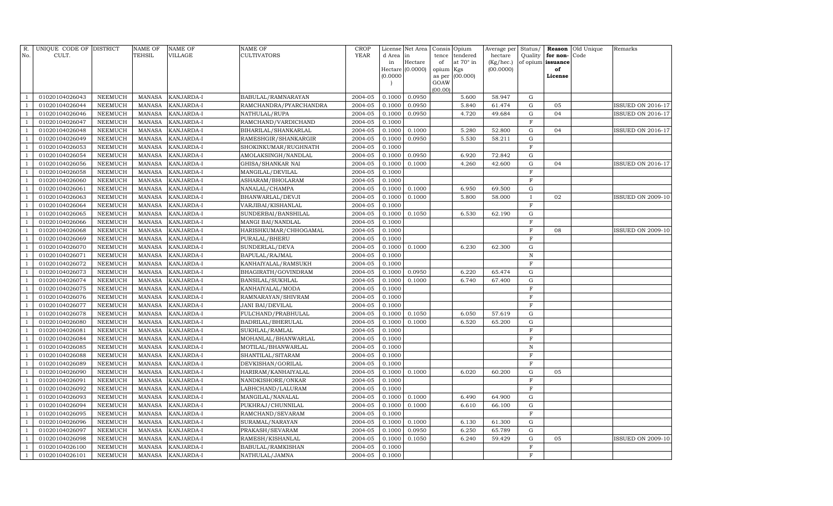| R.<br>No.      | UNIQUE CODE OF DISTRICT<br>CULT. |                                  | <b>NAME OF</b><br>TEHSIL       | NAME OF<br><b>VILLAGE</b> | <b>NAME OF</b><br><b>CULTIVATORS</b> | CROP<br><b>YEAR</b> | d Area           | License Net Area<br>in | Consis          | Opium<br>tendered | Average per<br>hectare | Status/<br>Quality         | Reason<br>for non- | Old Unique<br>Code | Remarks                  |
|----------------|----------------------------------|----------------------------------|--------------------------------|---------------------------|--------------------------------------|---------------------|------------------|------------------------|-----------------|-------------------|------------------------|----------------------------|--------------------|--------------------|--------------------------|
|                |                                  |                                  |                                |                           |                                      |                     | in               | Hectare                | tence<br>of     | at $70^\circ$ in  | (Kg/hec.)              |                            | of opium issuance  |                    |                          |
|                |                                  |                                  |                                |                           |                                      |                     |                  | Hectare (0.0000)       | opium Kgs       |                   | (00.0000)              |                            | of                 |                    |                          |
|                |                                  |                                  |                                |                           |                                      |                     | (0.0000)         |                        | as per          | (00.000)          |                        |                            | License            |                    |                          |
|                |                                  |                                  |                                |                           |                                      |                     |                  |                        | GOAW<br>(00.00) |                   |                        |                            |                    |                    |                          |
| $\mathbf{1}$   | 01020104026043                   | <b>NEEMUCH</b>                   | <b>MANASA</b>                  | KANJARDA-I                | BABULAL/RAMNARAYAN                   | 2004-05             | 0.1000           | 0.0950                 |                 | 5.600             | 58.947                 | G                          |                    |                    |                          |
| $\mathbf{1}$   | 01020104026044                   | <b>NEEMUCH</b>                   | <b>MANASA</b>                  | <b>KANJARDA-I</b>         | RAMCHANDRA/PYARCHANDRA               | 2004-05             | 0.1000           | 0.0950                 |                 | 5.840             | 61.474                 | ${\rm G}$                  | 05                 |                    | <b>ISSUED ON 2016-17</b> |
| $\mathbf{1}$   | 01020104026046                   | <b>NEEMUCH</b>                   | <b>MANASA</b>                  | KANJARDA-I                | NATHULAL/RUPA                        | 2004-05             | 0.1000           | 0.0950                 |                 | 4.720             | 49.684                 | ${\rm G}$                  | 04                 |                    | <b>ISSUED ON 2016-17</b> |
| $\mathbf{1}$   | 01020104026047                   | <b>NEEMUCH</b>                   | <b>MANASA</b>                  | KANJARDA-I                | RAMCHAND/VARDICHAND                  | 2004-05             | 0.1000           |                        |                 |                   |                        | $\mathbf F$                |                    |                    |                          |
| $\mathbf{1}$   | 01020104026048                   | <b>NEEMUCH</b>                   | <b>MANASA</b>                  | KANJARDA-I                | BIHARILAL/SHANKARLAL                 | 2004-05             | 0.1000           | 0.1000                 |                 | 5.280             | 52.800                 | $\mathbf G$                | 04                 |                    | ISSUED ON 2016-17        |
| $\mathbf{1}$   | 01020104026049                   | <b>NEEMUCH</b>                   | <b>MANASA</b>                  | KANJARDA-I                | RAMESHGIR/SHANKARGIR                 | 2004-05             | 0.1000           | 0.0950                 |                 | 5.530             | 58.211                 | ${\rm G}$                  |                    |                    |                          |
| $\mathbf{1}$   | 01020104026053                   | <b>NEEMUCH</b>                   | <b>MANASA</b>                  | KANJARDA-I                | SHOKINKUMAR/RUGHNATH                 | 2004-05             | 0.1000           |                        |                 |                   |                        | $\mathbf F$                |                    |                    |                          |
| $\mathbf{1}$   | 01020104026054                   | <b>NEEMUCH</b>                   | <b>MANASA</b>                  | KANJARDA-I                | AMOLAKSINGH/NANDLAL                  | 2004-05             | 0.1000           | 0.0950                 |                 | 6.920             | 72.842                 | ${\rm G}$                  |                    |                    |                          |
| $\mathbf{1}$   | 01020104026056                   | <b>NEEMUCH</b>                   | <b>MANASA</b>                  | KANJARDA-I                | GHISA/SHANKAR NAI                    | 2004-05             | 0.1000           | 0.1000                 |                 | 4.260             | 42.600                 | ${\bf G}$                  | 04                 |                    | ISSUED ON 2016-17        |
| $\overline{1}$ | 01020104026058                   | <b>NEEMUCH</b>                   | <b>MANASA</b>                  | KANJARDA-I                | MANGILAL/DEVILAL                     | 2004-05             | 0.1000           |                        |                 |                   |                        | $\mathbf F$                |                    |                    |                          |
| $\overline{1}$ | 01020104026060                   | <b>NEEMUCH</b>                   | <b>MANASA</b>                  | KANJARDA-I                | ASHARAM/BHOLARAM                     | 2004-05             | 0.1000           |                        |                 |                   |                        | $\mathbf F$                |                    |                    |                          |
| $\mathbf{1}$   | 01020104026061                   | <b>NEEMUCH</b>                   | <b>MANASA</b>                  | KANJARDA-I                | NANALAL/CHAMPA                       | 2004-05             | 0.1000           | 0.1000                 |                 | 6.950             | 69.500                 | $\mathbf G$                |                    |                    |                          |
|                | 01020104026063                   | NEEMUCH                          | <b>MANASA</b>                  | KANJARDA-I                | BHANWARLAL/DEVJI                     | 2004-05             | 0.1000           | 0.1000                 |                 | 5.800             | 58.000                 |                            | 02                 |                    | <b>ISSUED ON 2009-10</b> |
| $\overline{1}$ | 01020104026064                   | <b>NEEMUCH</b>                   | <b>MANASA</b>                  | KANJARDA-I                | VARJIBAI/KISHANLAL                   | 2004-05             | 0.1000           |                        |                 |                   |                        | $\mathbf F$                |                    |                    |                          |
| $\overline{1}$ | 01020104026065                   | <b>NEEMUCH</b>                   | <b>MANASA</b>                  | KANJARDA-I                | SUNDERBAI/BANSHILAL                  | 2004-05             | 0.1000           | 0.1050                 |                 | 6.530             | 62.190                 | ${\bf G}$                  |                    |                    |                          |
|                | 01020104026066                   | <b>NEEMUCH</b>                   | <b>MANASA</b>                  | KANJARDA-I                | MANGI BAI/NANDLAL                    | 2004-05             | 0.1000           |                        |                 |                   |                        | $\mathbf F$                |                    |                    |                          |
|                | 01020104026068                   | NEEMUCH                          | <b>MANASA</b>                  | KANJARDA-I                | HARISHKUMAR/CHHOGAMAL                | 2004-05             | 0.1000           |                        |                 |                   |                        | $\mathbf F$                | 08                 |                    | <b>ISSUED ON 2009-10</b> |
| $\overline{1}$ | 01020104026069                   | <b>NEEMUCH</b>                   | <b>MANASA</b>                  | KANJARDA-I                | PURALAL/BHERU                        | 2004-05             | 0.1000           |                        |                 |                   |                        | F                          |                    |                    |                          |
|                | 01020104026070                   | NEEMUCH                          | <b>MANASA</b>                  | KANJARDA-I                | SUNDERLAL/DEVA                       | 2004-05             | 0.1000           | 0.1000                 |                 | 6.230             | 62.300                 | ${\rm G}$                  |                    |                    |                          |
|                | 01020104026071                   | <b>NEEMUCH</b>                   | <b>MANASA</b>                  | KANJARDA-I                | BAPULAL/RAJMAL                       | 2004-05             | 0.1000           |                        |                 |                   |                        | $\, {\bf N}$               |                    |                    |                          |
|                | 01020104026072                   | <b>NEEMUCH</b>                   | <b>MANASA</b>                  | KANJARDA-I                | KANHAIYALAL/RAMSUKH                  | 2004-05             | 0.1000           |                        |                 |                   |                        | $\overline{F}$             |                    |                    |                          |
|                | 01020104026073                   | <b>NEEMUCH</b>                   | <b>MANASA</b>                  | KANJARDA-I                | BHAGIRATH/GOVINDRAM                  | 2004-05             | 0.1000           | 0.0950                 |                 | 6.220             | 65.474                 | ${\rm G}$                  |                    |                    |                          |
|                | 01020104026074                   | <b>NEEMUCH</b>                   | <b>MANASA</b>                  | KANJARDA-I                | BANSILAL/SUKHLAL                     | 2004-05             | 0.1000           | 0.1000                 |                 | 6.740             | 67.400                 | $\mathbf G$                |                    |                    |                          |
|                | 01020104026075                   | <b>NEEMUCH</b>                   | <b>MANASA</b>                  | KANJARDA-I                | KANHAIYALAL/MODA                     | 2004-05             | 0.1000           |                        |                 |                   |                        | $\mathbf F$                |                    |                    |                          |
|                | 01020104026076                   | <b>NEEMUCH</b>                   | <b>MANASA</b>                  | KANJARDA-I                | RAMNARAYAN/SHIVRAM                   | 2004-05             | 0.1000           |                        |                 |                   |                        | $\mathbf F$                |                    |                    |                          |
|                | 01020104026077                   | <b>NEEMUCH</b>                   | <b>MANASA</b>                  | KANJARDA-I                | <b>JANI BAI/DEVILAL</b>              | 2004-05             | 0.1000           |                        |                 |                   |                        | $\mathbf F$                |                    |                    |                          |
|                | 01020104026078                   | <b>NEEMUCH</b>                   | <b>MANASA</b>                  | KANJARDA-I                | FULCHAND/PRABHULAL                   | 2004-05             | 0.1000           | 0.1050                 |                 | 6.050             | 57.619                 | $\mathbf G$                |                    |                    |                          |
|                | 01020104026080                   | NEEMUCH                          | <b>MANASA</b>                  | KANJARDA-I                | BADRILAL/BHERULAL                    | 2004-05             | 0.1000           | 0.1000                 |                 | 6.520             | 65.200                 | $\mathbf G$                |                    |                    |                          |
|                | 01020104026081                   | <b>NEEMUCH</b>                   | <b>MANASA</b>                  | KANJARDA-I                | SUKHLAL/RAMLAL                       | 2004-05             | 0.1000           |                        |                 |                   |                        | $\mathbf F$                |                    |                    |                          |
|                | 01020104026084                   | <b>NEEMUCH</b>                   | <b>MANASA</b>                  | KANJARDA-I                | MOHANLAL/BHANWARLAL                  | 2004-05             | 0.1000           |                        |                 |                   |                        | F                          |                    |                    |                          |
|                | 01020104026085                   | <b>NEEMUCH</b>                   | <b>MANASA</b>                  | KANJARDA-I                | MOTILAL/BHANWARLAL                   | 2004-05             | 0.1000           |                        |                 |                   |                        | $\mathbf N$                |                    |                    |                          |
|                | 01020104026088                   | <b>NEEMUCH</b>                   | <b>MANASA</b>                  | KANJARDA-I                | SHANTILAL/SITARAM                    | 2004-05             | 0.1000           |                        |                 |                   |                        | F                          |                    |                    |                          |
|                | 01020104026089                   | <b>NEEMUCH</b>                   | <b>MANASA</b>                  | KANJARDA-I                | DEVKISHAN/GORILAL                    | 2004-05             | 0.1000           |                        |                 |                   |                        | F                          |                    |                    |                          |
|                | 01020104026090                   | <b>NEEMUCH</b>                   | <b>MANASA</b>                  | KANJARDA-I                | HARIRAM/KANHAIYALAL                  | 2004-05             | 0.1000           | 0.1000                 |                 | 6.020             | 60.200                 | $\mathbf G$                | 05                 |                    |                          |
|                | 01020104026091                   | <b>NEEMUCH</b>                   | <b>MANASA</b>                  | KANJARDA-I                | NANDKISHORE/ONKAR                    | 2004-05             | 0.1000           |                        |                 |                   |                        | F                          |                    |                    |                          |
|                | 01020104026092                   | <b>NEEMUCH</b>                   | <b>MANASA</b>                  | KANJARDA-I                | LABHCHAND/LALURAM                    | 2004-05             | 0.1000           |                        |                 |                   |                        | F                          |                    |                    |                          |
|                | 01020104026093                   | <b>NEEMUCH</b>                   | <b>MANASA</b>                  | KANJARDA-I                | MANGILAL/NANALAL                     | 2004-05             | 0.1000           | 0.1000                 |                 | 6.490             | 64.900                 | $\mathbf G$                |                    |                    |                          |
|                | 01020104026094                   | <b>NEEMUCH</b>                   | <b>MANASA</b>                  | KANJARDA-I                | PUKHRAJ/CHUNNILAL                    | 2004-05             | 0.1000           | 0.1000                 |                 | 6.610             | 66.100                 | ${\bf G}$                  |                    |                    |                          |
| $\overline{1}$ | 01020104026095                   | <b>NEEMUCH</b>                   | <b>MANASA</b>                  | KANJARDA-I                | RAMCHAND/SEVARAM                     | 2004-05             | 0.1000           |                        |                 |                   |                        | $\mathbf F$                |                    |                    |                          |
|                | 01020104026096                   | <b>NEEMUCH</b>                   | <b>MANASA</b>                  | KANJARDA-I                | SURAMAL/NARAYAN                      | 2004-05             | 0.1000           | 0.1000                 |                 | 6.130             | 61.300                 | $\mathbf G$                |                    |                    |                          |
| $\overline{1}$ | 01020104026097<br>01020104026098 | NEEMUCH<br><b>NEEMUCH</b>        | <b>MANASA</b><br><b>MANASA</b> | KANJARDA-I<br>KANJARDA-I  | PRAKASH/SEVARAM<br>RAMESH/KISHANLAL  | 2004-05<br>2004-05  | 0.1000<br>0.1000 | 0.0950<br>0.1050       |                 | 6.250<br>6.240    | 65.789<br>59.429       | $\mathbf G$<br>$\mathbf G$ | 05                 |                    | <b>ISSUED ON 2009-10</b> |
|                | 01020104026100                   |                                  | <b>MANASA</b>                  | KANJARDA-I                |                                      | 2004-05             | 0.1000           |                        |                 |                   |                        | $\overline{F}$             |                    |                    |                          |
| $\mathbf{1}$   | 01020104026101                   | <b>NEEMUCH</b><br><b>NEEMUCH</b> | MANASA                         | KANJARDA-I                | BABULAL/RAMKISHAN                    | 2004-05             | 0.1000           |                        |                 |                   |                        | $\overline{F}$             |                    |                    |                          |
|                |                                  |                                  |                                |                           | NATHULAL/JAMNA                       |                     |                  |                        |                 |                   |                        |                            |                    |                    |                          |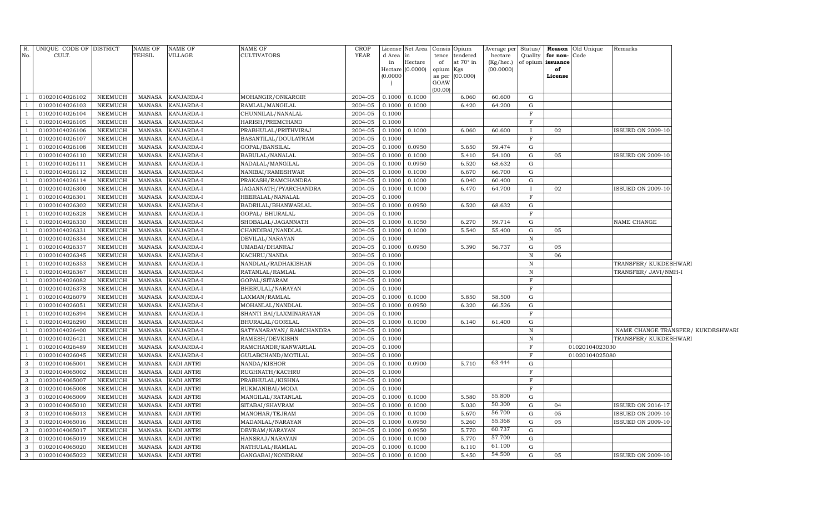| R.<br>No.    | UNIQUE CODE OF DISTRICT<br>CULT. |                | NAME OF<br><b>TEHSIL</b> | NAME OF<br>VILLAGE | <b>NAME OF</b><br><b>CULTIVATORS</b> | <b>CROP</b><br>YEAR | d Area in | License Net Area Consis Opium |           | tence tendered   | Average per<br>hectare | Status/<br>Quality | Reason Old Unique<br>for non-Code | Remarks                  |                                   |
|--------------|----------------------------------|----------------|--------------------------|--------------------|--------------------------------------|---------------------|-----------|-------------------------------|-----------|------------------|------------------------|--------------------|-----------------------------------|--------------------------|-----------------------------------|
|              |                                  |                |                          |                    |                                      |                     | in        | Hectare                       | of        | at $70^\circ$ in | $(Kg/$ hec.)           |                    | of opium issuance                 |                          |                                   |
|              |                                  |                |                          |                    |                                      |                     |           | Hectare (0.0000)              | opium Kgs |                  | (00.0000)              |                    | of                                |                          |                                   |
|              |                                  |                |                          |                    |                                      |                     | (0.0000)  |                               | GOAW      | as per (00.000)  |                        |                    | License                           |                          |                                   |
|              |                                  |                |                          |                    |                                      |                     |           |                               | (00.00)   |                  |                        |                    |                                   |                          |                                   |
|              | 01020104026102                   | NEEMUCH        | MANASA                   | KANJARDA-I         | MOHANGIR/ONKARGIR                    | 2004-05             | 0.1000    | 0.1000                        |           | 6.060            | 60.600                 | G                  |                                   |                          |                                   |
|              | 01020104026103                   | NEEMUCH        | <b>MANASA</b>            | KANJARDA-I         | RAMLAL/MANGILAL                      | 2004-05             | 0.1000    | 0.1000                        |           | 6.420            | 64.200                 | G                  |                                   |                          |                                   |
|              | 01020104026104                   | NEEMUCH        | <b>MANASA</b>            | KANJARDA-I         | CHUNNILAL/NANALAL                    | 2004-05             | 0.1000    |                               |           |                  |                        | $\mathbf F$        |                                   |                          |                                   |
|              | 01020104026105                   | NEEMUCH        | <b>MANASA</b>            | KANJARDA-I         | HARISH/PREMCHAND                     | 2004-05             | 0.1000    |                               |           |                  |                        | $\mathbf F$        |                                   |                          |                                   |
|              | 01020104026106                   | NEEMUCH        | <b>MANASA</b>            | KANJARDA-I         | PRABHULAL/PRITHVIRAJ                 | 2004-05             | 0.1000    | 0.1000                        |           | 6.060            | 60.600                 | $\mathbf{I}$       | 02                                | <b>ISSUED ON 2009-10</b> |                                   |
|              | 01020104026107                   | NEEMUCH        | MANASA                   | KANJARDA-I         | BASANTILAL/DOULATRAM                 | 2004-05             | 0.1000    |                               |           |                  |                        | $_{\rm F}$         |                                   |                          |                                   |
|              | 01020104026108                   | NEEMUCH        | MANASA                   | KANJARDA-I         | GOPAL/BANSILAL                       | 2004-05             | 0.1000    | 0.0950                        |           | 5.650            | 59.474                 | G                  |                                   |                          |                                   |
|              | 01020104026110                   | NEEMUCH        | MANASA                   | KANJARDA-I         | BABULAL/NANALAL                      | 2004-05             | 0.1000    | 0.1000                        |           | 5.410            | 54.100                 | G                  | 05                                | <b>ISSUED ON 2009-10</b> |                                   |
|              | 01020104026111                   | NEEMUCH        | <b>MANASA</b>            | KANJARDA-I         | NADALAL/MANGILAL                     | 2004-05             | 0.1000    | 0.0950                        |           | 6.520            | 68.632                 | G                  |                                   |                          |                                   |
|              | 01020104026112                   | NEEMUCH        | MANASA                   | KANJARDA-I         | NANIBAI/RAMESHWAR                    | 2004-05             | 0.1000    | 0.1000                        |           | 6.670            | 66.700                 | G                  |                                   |                          |                                   |
|              | 01020104026114                   | NEEMUCH        | <b>MANASA</b>            | KANJARDA-I         | PRAKASH/RAMCHANDRA                   | 2004-05             | 0.1000    | 0.1000                        |           | 6.040            | 60.400                 | G                  |                                   |                          |                                   |
|              | 01020104026300                   | NEEMUCH        | <b>MANASA</b>            | KANJARDA-I         | JAGANNATH/PYARCHANDRA                | 2004-05             | 0.1000    | 0.1000                        |           | 6.470            | 64.700                 | $\mathbf{I}$       | 02                                | <b>ISSUED ON 2009-10</b> |                                   |
|              | 01020104026301                   | NEEMUCH        | <b>MANASA</b>            | KANJARDA-I         | HEERALAL/NANALAL                     | 2004-05             | 0.1000    |                               |           |                  |                        | F                  |                                   |                          |                                   |
|              | 01020104026302                   | NEEMUCH        | <b>MANASA</b>            | KANJARDA-I         | BADRILAL/BHANWARLAL                  | 2004-05             | 0.1000    | 0.0950                        |           | 6.520            | 68.632                 | G                  |                                   |                          |                                   |
|              | 01020104026328                   | <b>NEEMUCH</b> | <b>MANASA</b>            | KANJARDA-I         | GOPAL/ BHURALAL                      | 2004-05             | 0.1000    |                               |           |                  |                        | F                  |                                   |                          |                                   |
|              | 01020104026330                   | NEEMUCH        | <b>MANASA</b>            | KANJARDA-I         | SHOBALAL/JAGANNATH                   | 2004-05             | 0.1000    | 0.1050                        |           | 6.270            | 59.714                 | G                  |                                   | NAME CHANGE              |                                   |
|              | 01020104026331                   | NEEMUCH        | <b>MANASA</b>            | KANJARDA-I         | CHANDIBAI/NANDLAL                    | 2004-05             | 0.1000    | 0.1000                        |           | 5.540            | 55.400                 | G                  | 05                                |                          |                                   |
|              | 01020104026334                   | <b>NEEMUCH</b> | <b>MANASA</b>            | KANJARDA-I         | DEVILAL/NARAYAN                      | 2004-05             | 0.1000    |                               |           |                  |                        | $\mathbb N$        |                                   |                          |                                   |
|              | 01020104026337                   | <b>NEEMUCH</b> | <b>MANASA</b>            | KANJARDA-I         | UMABAI/DHANRAJ                       | 2004-05             | 0.1000    | 0.0950                        |           | 5.390            | 56.737                 | G                  | 05                                |                          |                                   |
|              | 01020104026345                   | <b>NEEMUCH</b> | <b>MANASA</b>            | KANJARDA-I         | KACHRU/NANDA                         | 2004-05             | 0.1000    |                               |           |                  |                        | $\mathbb N$        | 06                                |                          |                                   |
|              | 01020104026353                   | <b>NEEMUCH</b> | <b>MANASA</b>            | KANJARDA-I         | NANDLAL/RADHAKISHAN                  | 2004-05             | 0.1000    |                               |           |                  |                        | $\,$ N             |                                   | TRANSFER/KUKDESHWARI     |                                   |
|              | 01020104026367                   | <b>NEEMUCH</b> | <b>MANASA</b>            | KANJARDA-I         | RATANLAL/RAMLAL                      | 2004-05             | 0.1000    |                               |           |                  |                        | $\, {\bf N}$       |                                   | TRANSFER/ JAVI/NMH-I     |                                   |
|              | 01020104026082                   | <b>NEEMUCH</b> | <b>MANASA</b>            | KANJARDA-I         | GOPAL/SITARAM                        | 2004-05             | 0.1000    |                               |           |                  |                        | $\mathbf F$        |                                   |                          |                                   |
|              | 01020104026378                   | NEEMUCH        | <b>MANASA</b>            | KANJARDA-I         | BHERULAL/NARAYAN                     | 2004-05             | 0.1000    |                               |           |                  |                        | $\mathbf F$        |                                   |                          |                                   |
|              | 01020104026079                   | <b>NEEMUCH</b> | <b>MANASA</b>            | KANJARDA-I         | LAXMAN/RAMLAL                        | 2004-05             | 0.1000    | 0.1000                        |           | 5.850            | 58.500                 | G                  |                                   |                          |                                   |
|              | 01020104026051                   | <b>NEEMUCH</b> | <b>MANASA</b>            | KANJARDA-I         | MOHANLAL/NANDLAL                     | 2004-05             | 0.1000    | 0.0950                        |           | 6.320            | 66.526                 | G                  |                                   |                          |                                   |
|              | 01020104026394                   | <b>NEEMUCH</b> | <b>MANASA</b>            | KANJARDA-I         | SHANTI BAI/LAXMINARAYAN              | 2004-05             | 0.1000    |                               |           |                  |                        | $\mathbf F$        |                                   |                          |                                   |
|              | 01020104026290                   | NEEMUCH        | <b>MANASA</b>            | KANJARDA-I         | BHURALAL/GORILAL                     | 2004-05             | 0.1000    | 0.1000                        |           | 6.140            | 61.400                 | G                  |                                   |                          |                                   |
|              | 01020104026400                   | <b>NEEMUCH</b> | <b>MANASA</b>            | KANJARDA-I         | SATYANARAYAN / RAMCHANDRA            | 2004-05             | 0.1000    |                               |           |                  |                        | $\mathbb N$        |                                   |                          | NAME CHANGE TRANSFER/ KUKDESHWARI |
|              | 01020104026421                   | <b>NEEMUCH</b> | <b>MANASA</b>            | KANJARDA-I         | RAMESH/DEVKISHN                      | 2004-05             | 0.1000    |                               |           |                  |                        | $\,$ N             |                                   | TRANSFER/KUKDESHWARI     |                                   |
|              | 01020104026489                   | <b>NEEMUCH</b> | <b>MANASA</b>            | KANJARDA-I         | RAMCHANDR/KANWARLAL                  | 2004-05             | 0.1000    |                               |           |                  |                        | F                  | 01020104023030                    |                          |                                   |
|              | 01020104026045                   | <b>NEEMUCH</b> | <b>MANASA</b>            | KANJARDA-I         | GULABCHAND/MOTILAL                   | 2004-05             | 0.1000    |                               |           |                  |                        | $_{\rm F}$         | 01020104025080                    |                          |                                   |
| 3            | 01020104065001                   | NEEMUCH        | <b>MANASA</b>            | KADI ANTRI         | NANDA/KISHOR                         | 2004-05             | 0.1000    | 0.0900                        |           | 5.710            | 63.444                 | G                  |                                   |                          |                                   |
| 3            | 01020104065002                   | NEEMUCH        | <b>MANASA</b>            | KADI ANTRI         | RUGHNATH/KACHRU                      | 2004-05             | 0.1000    |                               |           |                  |                        | F                  |                                   |                          |                                   |
| 3            | 01020104065007                   | NEEMUCH        | <b>MANASA</b>            | KADI ANTRI         | PRABHULAL/KISHNA                     | 2004-05             | 0.1000    |                               |           |                  |                        | $_{\rm F}$         |                                   |                          |                                   |
| 3            | 01020104065008                   | NEEMUCH        | <b>MANASA</b>            | KADI ANTRI         | RUKMANIBAI/MODA                      | 2004-05             | 0.1000    |                               |           |                  |                        | F                  |                                   |                          |                                   |
| 3            | 01020104065009                   | NEEMUCH        | <b>MANASA</b>            | KADI ANTRI         | MANGILAL/RATANLAL                    | 2004-05             | 0.1000    | 0.1000                        |           | 5.580            | 55.800                 | G                  |                                   |                          |                                   |
| 3            | 01020104065010                   | NEEMUCH        | <b>MANASA</b>            | KADI ANTRI         | SITABAI/SHAVRAM                      | 2004-05             | 0.1000    | 0.1000                        |           | 5.030            | 50.300                 | G                  | 04                                | <b>ISSUED ON 2016-17</b> |                                   |
| 3            | 01020104065013                   | NEEMUCH        | <b>MANASA</b>            | KADI ANTRI         | MANOHAR/TEJRAM                       | 2004-05             | 0.1000    | 0.1000                        |           | 5.670            | 56.700<br>55.368       | G                  | 05                                | <b>ISSUED ON 2009-10</b> |                                   |
| 3            | 01020104065016                   | NEEMUCH        | <b>MANASA</b>            | KADI ANTRI         | MADANLAL/NARAYAN                     | 2004-05             | 0.1000    | 0.0950                        |           | 5.260            |                        | G                  | 05                                | <b>ISSUED ON 2009-10</b> |                                   |
| 3            | 01020104065017                   | NEEMUCH        | <b>MANASA</b>            | KADI ANTRI         | DEVRAM/NARAYAN                       | 2004-05             | 0.1000    | 0.0950                        |           | 5.770            | 60.737<br>57.700       | G                  |                                   |                          |                                   |
| 3            | 01020104065019                   | <b>NEEMUCH</b> | <b>MANASA</b>            | KADI ANTRI         | HANSRAJ/NARAYAN                      | 2004-05             | 0.1000    | 0.1000                        |           | 5.770            | 61.100                 | G                  |                                   |                          |                                   |
| 3            | 01020104065020                   | NEEMUCH        | <b>MANASA</b>            | KADI ANTRI         | NATHULAL/RAMLAL                      | 2004-05             | 0.1000    | 0.1000                        |           | 6.110            | 54.500                 | G                  |                                   |                          |                                   |
| $\mathbf{3}$ | 01020104065022                   | NEEMUCH        | MANASA                   | <b>KADI ANTRI</b>  | GANGABAI/NONDRAM                     | 2004-05             | 0.1000    | 0.1000                        |           | 5.450            |                        | G                  | 05                                | <b>ISSUED ON 2009-10</b> |                                   |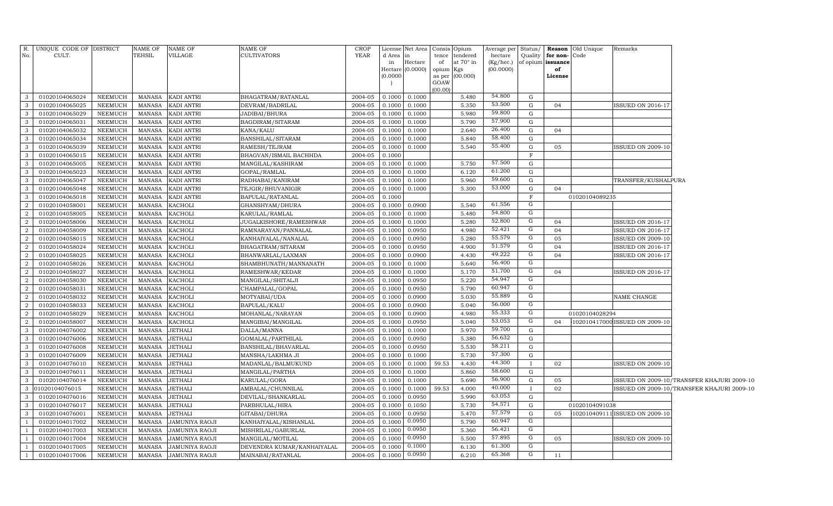| R.                           | UNIQUE CODE OF DISTRICT          |                    | NAME OF                        | <b>NAME OF</b>                   | NAME OF                                | <b>CROP</b>        |                  | License Net Area   |                     | Consis Opium   | Average per Status/ |                     |                   | <b>Reason</b> Old Unique | Remarks                        |                                            |
|------------------------------|----------------------------------|--------------------|--------------------------------|----------------------------------|----------------------------------------|--------------------|------------------|--------------------|---------------------|----------------|---------------------|---------------------|-------------------|--------------------------|--------------------------------|--------------------------------------------|
| No.                          | CULT.                            |                    | TEHSIL                         | VILLAGE                          | <b>CULTIVATORS</b>                     | <b>YEAR</b>        | d Area           | lin                | tence               | tendered       | hectare             | Quality             | for non-Code      |                          |                                |                                            |
|                              |                                  |                    |                                |                                  |                                        |                    | in               | Hectare            | of                  | at 70° in      | $(Kg/$ hec.)        |                     | of opium issuance |                          |                                |                                            |
|                              |                                  |                    |                                |                                  |                                        |                    | (0.0000)         | Hectare $(0.0000)$ | opium Kgs<br>as per | (00.000)       | (00.0000)           |                     | of<br>License     |                          |                                |                                            |
|                              |                                  |                    |                                |                                  |                                        |                    |                  |                    | GOAW                |                |                     |                     |                   |                          |                                |                                            |
|                              |                                  |                    |                                |                                  |                                        |                    |                  |                    | (00.00)             |                |                     |                     |                   |                          |                                |                                            |
| $\mathbf{3}$                 | 01020104065024                   | NEEMUCH            | MANASA                         | KADI ANTRI                       | BHAGATRAM/RATANLAL                     | 2004-05            | 0.1000           | 0.1000             |                     | 5.480          | 54.800              | G                   |                   |                          |                                |                                            |
| $\mathbf{3}$                 | 01020104065025                   | NEEMUCH            | <b>MANASA</b>                  | KADI ANTRI                       | DEVRAM/BADRILAL                        | 2004-05            | 0.1000           | 0.1000             |                     | 5.350          | 53.500              | G                   | 04                |                          | <b>ISSUED ON 2016-17</b>       |                                            |
| $\mathbf{3}$                 | 01020104065029                   | NEEMUCH            | <b>MANASA</b>                  | KADI ANTRI                       | JADIBAI/BHURA                          | 2004-05            | 0.1000           | 0.1000             |                     | 5.980          | 59.800              | G                   |                   |                          |                                |                                            |
| $\mathbf{3}$                 | 01020104065031                   | NEEMUCH            | <b>MANASA</b>                  | KADI ANTRI                       | BAGDIRAM/SITARAM                       | 2004-05            | 0.1000           | 0.1000             |                     | 5.790          | 57.900              | G                   |                   |                          |                                |                                            |
| $\mathbf{3}$                 | 01020104065032                   | NEEMUCH            | <b>MANASA</b>                  | KADI ANTRI                       | KANA/KALU                              | 2004-05            | 0.1000           | 0.1000             |                     | 2.640          | 26.400              | G                   | 04                |                          |                                |                                            |
| $\mathbf{3}$                 | 01020104065034                   | NEEMUCH            | <b>MANASA</b>                  | KADI ANTRI                       | BANSHILAL/SITARAM                      | 2004-05            | 0.1000           | 0.1000             |                     | 5.840          | 58.400              | G                   |                   |                          |                                |                                            |
| $\mathbf{3}$                 | 01020104065039                   | NEEMUCH            | <b>MANASA</b>                  | KADI ANTRI                       | RAMESH/TEJRAM                          | 2004-05            | 0.1000           | 0.1000             |                     | 5.540          | 55.400              | G                   | 05                |                          | <b>ISSUED ON 2009-10</b>       |                                            |
| $\mathbf{3}$                 | 01020104065015                   | NEEMUCH            | MANASA                         | KADI ANTRI                       | BHAGVAN/ISMAIL BACHHDA                 | 2004-05            | 0.1000           |                    |                     |                |                     | $\mathbf F$         |                   |                          |                                |                                            |
| $\mathbf{3}$                 | 01020104065005                   | NEEMUCH            | <b>MANASA</b>                  | KADI ANTRI                       | MANGILAL/KASHIRAM                      | 2004-05            | 0.1000           | 0.1000             |                     | 5.750          | 57.500              | G                   |                   |                          |                                |                                            |
| $\mathbf{3}$                 | 01020104065023                   | NEEMUCH            | MANASA                         | KADI ANTRI                       | GOPAL/RAMLAL                           | 2004-05            | 0.1000           | 0.1000             |                     | 6.120          | 61.200              | G                   |                   |                          |                                |                                            |
| $\mathbf{3}$                 | 01020104065047                   | NEEMUCH            | <b>MANASA</b>                  | KADI ANTRI                       | RADHABAI/KANIRAM                       | 2004-05            | 0.1000           | 0.1000             |                     | 5.960          | 59.600              | $\mathbf G$         |                   |                          | TRANSFER/KUSHALPURA            |                                            |
| $\mathbf{3}$                 | 01020104065048                   | NEEMUCH            | <b>MANASA</b>                  | KADI ANTRI                       | TEJGIR/BHUVANIGIR                      | 2004-05            | 0.1000           | 0.1000             |                     | 5.300          | 53.000              | $\mathbf G$         | 04                |                          |                                |                                            |
| 3                            | 01020104065018                   | NEEMUCH            | <b>MANASA</b>                  | KADI ANTRI                       | BAPULAL/RATANLAL                       | 2004-05            | 0.1000           |                    |                     |                |                     | $\mathbf F$         |                   | 01020104089235           |                                |                                            |
| 2                            | 01020104058001                   | NEEMUCH            | <b>MANASA</b>                  | <b>KACHOLI</b>                   | GHANSHYAM/DHURA                        | 2004-05            | 0.1000           | 0.0900             |                     | 5.540          | 61.556              | G                   |                   |                          |                                |                                            |
| $\overline{2}$               | 01020104058005                   | NEEMUCH            | <b>MANASA</b>                  | <b>KACHOLI</b>                   | KARULAL/RAMLAL                         | 2004-05            | 0.1000           | 0.1000             |                     | 5.480          | 54.800              | $\overline{G}$      |                   |                          |                                |                                            |
| $\overline{2}$               | 01020104058006                   | NEEMUCH            | <b>MANASA</b>                  | <b>KACHOLI</b>                   | JUGALKISHORE/RAMESHWAR                 | 2004-05            | 0.1000           | 0.1000             |                     | 5.280          | 52.800              | G                   | 04                |                          | <b>ISSUED ON 2016-17</b>       |                                            |
| 2                            | 01020104058009                   | NEEMUCH            | <b>MANASA</b>                  | <b>KACHOLI</b>                   | RAMNARAYAN/PANNALAL                    | 2004-05            | 0.1000           | 0.0950             |                     | 4.980          | 52.421              | G                   | 04                |                          | <b>ISSUED ON 2016-17</b>       |                                            |
| $\overline{2}$               | 01020104058015                   | NEEMUCH            | <b>MANASA</b>                  | <b>KACHOLI</b>                   | KANHAIYALAL/NANALAL                    | 2004-05            | 0.1000           | 0.0950             |                     | 5.280          | 55.579              | ${\rm G}$           | 05                |                          | <b>ISSUED ON 2009-10</b>       |                                            |
| $\overline{2}$               | 01020104058024                   | NEEMUCH            | <b>MANASA</b>                  | <b>KACHOLI</b>                   | BHAGATRAM/SITARAM                      | 2004-05            | 0.1000           | 0.0950             |                     | 4.900          | 51.579              | G                   | 04                |                          | <b>ISSUED ON 2016-17</b>       |                                            |
| $\overline{2}$               | 01020104058025                   | NEEMUCH            | <b>MANASA</b>                  | <b>KACHOLI</b>                   | BHANWARLAL/LAXMAN                      | 2004-05            | 0.1000           | 0.0900             |                     | 4.430          | 49.222              | ${\rm G}$           | 04                |                          | <b>ISSUED ON 2016-17</b>       |                                            |
| 2                            | 01020104058026                   | NEEMUCH            | MANASA                         | <b>KACHOLI</b>                   | SHAMBHUNATH/MANNANATH                  | 2004-05            | 0.1000           | 0.1000             |                     | 5.640          | 56.400              | G                   |                   |                          |                                |                                            |
| $\overline{2}$               | 01020104058027                   | NEEMUCH            | MANASA                         | <b>KACHOLI</b>                   | RAMESHWAR/KEDAR                        | 2004-05            | 0.1000           | 0.1000             |                     | 5.170          | 51.700              | G                   | 04                |                          | <b>ISSUED ON 2016-17</b>       |                                            |
| 2                            | 01020104058030                   | NEEMUCH            | MANASA                         | KACHOLI                          | MANGILAL/SHITALJI                      | 2004-05            | 0.1000           | 0.0950             |                     | 5.220          | 54.947              | G<br>$\overline{G}$ |                   |                          |                                |                                            |
| $\overline{2}$               | 01020104058031                   | NEEMUCH            | <b>MANASA</b>                  | KACHOLI                          | CHAMPALAL/GOPAL                        | 2004-05            | 0.1000           | 0.0950             |                     | 5.790          | 60.947              | G                   |                   |                          |                                |                                            |
| $\overline{2}$               | 01020104058032                   | NEEMUCH            | MANASA                         | <b>KACHOLI</b>                   | MOTYABAI/UDA                           | 2004-05            | 0.1000           | 0.0900             |                     | 5.030          | 55.889              | G                   |                   |                          | NAME CHANGE                    |                                            |
| 2                            | 01020104058033                   | NEEMUCH            | <b>MANASA</b>                  | <b>KACHOLI</b>                   | BAPULAL/KALU                           | 2004-05            | 0.1000           | 0.0900             |                     | 5.040          | 56.000<br>55.333    |                     |                   |                          |                                |                                            |
| 2                            | 01020104058029                   | NEEMUCH            | <b>MANASA</b>                  | KACHOLI                          | MOHANLAL/NARAYAN                       | 2004-05            | 0.1000           | 0.0900             |                     | 4.980          | 53.053              | G<br>${\rm G}$      |                   | 01020104028294           |                                |                                            |
| $\overline{2}$               | 01020104058007                   | NEEMUCH            | <b>MANASA</b>                  | KACHOLI                          | MANGIBAI/MANGILAL                      | 2004-05            | 0.1000           | 0.0950             |                     | 5.040          | 59.700              |                     | 04                |                          | 102010417000 ISSUED ON 2009-10 |                                            |
| $\mathbf{3}$<br>$\mathbf{3}$ | 01020104076002                   | NEEMUCH            | MANASA                         | <b>JETHALI</b>                   | DALLA/MANNA                            | 2004-05            | 0.1000           | 0.1000             |                     | 5.970<br>5.380 | 56.632              | G<br>$\mathbf G$    |                   |                          |                                |                                            |
| $\mathbf{3}$                 | 01020104076006                   | NEEMUCH            | <b>MANASA</b><br><b>MANASA</b> | <b>JETHALI</b>                   | GOMALAL/PARTHILAL                      | 2004-05<br>2004-05 | 0.1000           | 0.0950             |                     | 5.530          | 58.211              | G                   |                   |                          |                                |                                            |
| $\mathbf{3}$                 | 01020104076008<br>01020104076009 | NEEMUCH<br>NEEMUCH | <b>MANASA</b>                  | <b>JETHALI</b><br><b>JETHALI</b> | BANSHILAL/BHAVARLAL                    | 2004-05            | 0.1000<br>0.1000 | 0.0950<br>0.1000   |                     | 5.730          | 57.300              | ${\rm G}$           |                   |                          |                                |                                            |
| $\mathbf{3}$                 | 01020104076010                   | NEEMUCH            | <b>MANASA</b>                  | <b>JETHALI</b>                   | MANSHA/LAKHMA JI<br>MADANLAL/BALMUKUND | 2004-05            | 0.1000           | 0.1000             | 59.53               | 4.430          | 44.300              |                     | 02                |                          | <b>ISSUED ON 2009-10</b>       |                                            |
| 3                            | 01020104076011                   | NEEMUCH            | <b>MANASA</b>                  | JETHALI                          | MANGILAL/PARTHA                        | 2004-05            | 0.1000           | 0.1000             |                     | 5.860          | 58.600              | G                   |                   |                          |                                |                                            |
| $\mathbf{3}$                 | 01020104076014                   | NEEMUCH            | <b>MANASA</b>                  | <b>JETHALI</b>                   | KARULAL/GORA                           | 2004-05            | 0.1000           | 0.1000             |                     | 5.690          | 56.900              | ${\rm G}$           | 05                |                          |                                | ISSUED ON 2009-10/TRANSFER KHAJURI 2009-10 |
| $\mathbf{3}$                 | 01020104076015                   | NEEMUCH            | <b>MANASA</b>                  | <b>JETHALI</b>                   | AMBALAL/CHUNNILAL                      | 2004-05            | 0.1000           | 0.1000             | 59.53               | 4.000          | 40.000              | $\mathbf{I}$        | 02                |                          |                                | ISSUED ON 2009-10/TRANSFER KHAJURI 2009-10 |
| $\mathbf{3}$                 | 01020104076016                   | NEEMUCH            | <b>MANASA</b>                  | <b>JETHALI</b>                   | DEVILAL/SHANKARLAL                     | 2004-05            | 0.1000           | 0.0950             |                     | 5.990          | 63.053              | G                   |                   |                          |                                |                                            |
| $\mathbf{3}$                 | 01020104076017                   | <b>NEEMUCH</b>     | <b>MANASA</b>                  | <b>JETHALI</b>                   | PARBHULAL/HIRA                         | 2004-05            | 0.1000           | 0.1050             |                     | 5.730          | 54.571              | G                   |                   | 01020104091038           |                                |                                            |
| $\mathbf{3}$                 | 01020104076001                   | NEEMUCH            | <b>MANASA</b>                  | <b>JETHALI</b>                   | GITABAI/DHURA                          | 2004-05            | 0.1000           | 0.0950             |                     | 5.470          | 57.579              | G                   | 05                |                          | 102010409111 ISSUED ON 2009-10 |                                            |
|                              | 01020104017002                   | NEEMUCH            | MANASA                         | JAMUNIYA RAOJI                   | KANHAIYALAL/KISHANLAL                  | 2004-05            | 0.1000           | 0.0950             |                     | 5.790          | 60.947              | $\overline{G}$      |                   |                          |                                |                                            |
| $\overline{1}$               | 01020104017003                   | NEEMUCH            | MANASA                         | JAMUNIYA RAOJI                   | MISHRILAL/GABURLAL                     | 2004-05            | 0.1000           | 0.0950             |                     | 5.360          | 56.421              | $\overline{G}$      |                   |                          |                                |                                            |
|                              | 01020104017004                   | NEEMUCH            | MANASA                         | <b>JAMUNIYA RAOJI</b>            | MANGILAL/MOTILAL                       | 2004-05            | 0.1000           | 0.0950             |                     | 5.500          | 57.895              | G                   | 05                |                          | <b>ISSUED ON 2009-10</b>       |                                            |
| <sup>1</sup>                 | 01020104017005                   | NEEMUCH            | MANASA                         | JAMUNIYA RAOJI                   | DEVENDRA KUMAR/KANHAIYALAL             | 2004-05            | 0.1000           | 0.1000             |                     | 6.130          | 61.300              | G                   |                   |                          |                                |                                            |
| -1                           | 01020104017006                   | NEEMUCH            | MANASA                         | <b>JAMUNIYA RAOJI</b>            | MAINABAI/RATANLAL                      | 2004-05            | 0.1000           | 0.0950             |                     | 6.210          | 65.368              | $\overline{G}$      | 11                |                          |                                |                                            |
|                              |                                  |                    |                                |                                  |                                        |                    |                  |                    |                     |                |                     |                     |                   |                          |                                |                                            |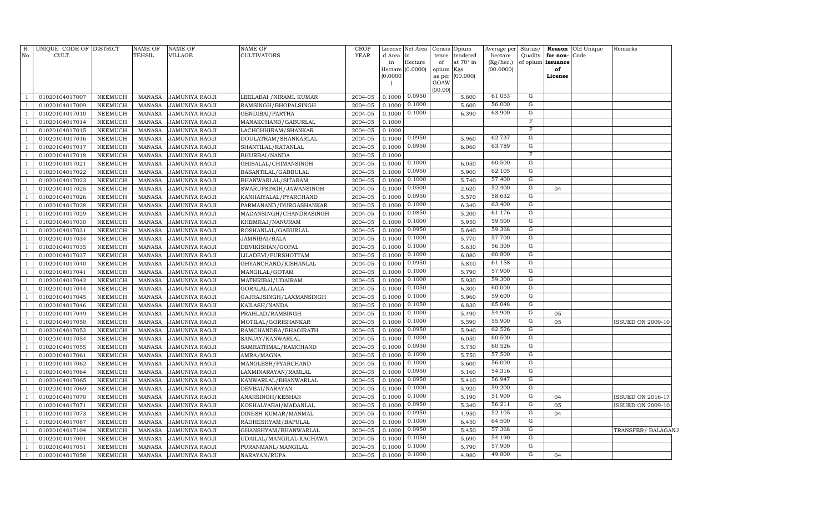| No.                              | R. UNIQUE CODE OF DISTRICT<br>CULT. |                                  | <b>NAME OF</b><br><b>TEHSIL</b> | <b>NAME OF</b><br>VILLAGE                      | <b>NAME OF</b><br><b>CULTIVATORS</b>     | <b>CROP</b><br><b>YEAR</b> | d Area<br>in<br>Hectare (0.0000)<br>(0.0000) | License Net Area<br>in<br>Hectare | Consis<br>tence<br>of<br>opium<br>Kgs<br>as per | Opium<br>tendered<br>at 70° in<br>(00.000) | Average per<br>hectare<br>(Kg/hec.)<br>(00.0000) | Status/<br>Quality<br>of opium issuance | for non-<br>of<br>License | Reason Old Unique<br>Code | Remarks                                              |
|----------------------------------|-------------------------------------|----------------------------------|---------------------------------|------------------------------------------------|------------------------------------------|----------------------------|----------------------------------------------|-----------------------------------|-------------------------------------------------|--------------------------------------------|--------------------------------------------------|-----------------------------------------|---------------------------|---------------------------|------------------------------------------------------|
|                                  |                                     |                                  |                                 |                                                |                                          |                            |                                              |                                   | GOAW<br>(00.00)                                 |                                            |                                                  |                                         |                           |                           |                                                      |
| -1                               | 01020104017007                      | NEEMUCH                          | MANASA                          | <b>JAMUNIYA RAOJI</b>                          | LEELABAI / NIRAML KUMAR                  | 2004-05                    | 0.1000                                       | 0.0950                            |                                                 | 5.800                                      | 61.053                                           | G                                       |                           |                           |                                                      |
| $\mathbf{1}$                     | 01020104017009                      | NEEMUCH                          | <b>MANASA</b>                   | <b>JAMUNIYA RAOJI</b>                          | RAMSINGH/BHOPALSINGH                     | 2004-05                    | 0.1000                                       | 0.1000                            |                                                 | 5.600                                      | 56.000                                           | $\overline{G}$                          |                           |                           |                                                      |
| $\mathbf{1}$                     | 01020104017010                      | NEEMUCH                          | <b>MANASA</b>                   | <b>JAMUNIYA RAOJI</b>                          | GENDIBAI/PARTHA                          | 2004-05                    | 0.1000                                       | 0.1000                            |                                                 | 6.390                                      | 63.900                                           | $\overline{G}$                          |                           |                           |                                                      |
| $\mathbf{1}$                     | 01020104017014                      | NEEMUCH                          | <b>MANASA</b>                   | <b>JAMUNIYA RAOJI</b>                          | MANAKCHAND/GABURLAL                      | 2004-05                    | 0.1000                                       |                                   |                                                 |                                            |                                                  | $\overline{\mathrm{F}}$                 |                           |                           |                                                      |
| $\mathbf{1}$                     | 01020104017015                      | NEEMUCH                          | <b>MANASA</b>                   | <b>JAMUNIYA RAOJI</b>                          | LACHCHHIRAM/SHANKAR                      | 2004-05                    | 0.1000                                       |                                   |                                                 |                                            |                                                  | $\boldsymbol{\mathrm{F}}$               |                           |                           |                                                      |
| $\mathbf{1}$                     | 01020104017016                      | NEEMUCH                          | <b>MANASA</b>                   | <b>JAMUNIYA RAOJI</b>                          | DOULATRAM/SHANKARLAL                     | 2004-05                    | 0.1000                                       | 0.0950                            |                                                 | 5.960                                      | 62.737                                           | $\overline{G}$                          |                           |                           |                                                      |
| $\overline{1}$                   | 01020104017017                      | NEEMUCH                          | <b>MANASA</b>                   | <b>JAMUNIYA RAOJI</b>                          | SHANTILAL/RATANLAL                       | 2004-05                    | 0.1000                                       | 0.0950                            |                                                 | 6.060                                      | 63.789                                           | $\overline{G}$                          |                           |                           |                                                      |
| $\mathbf{1}$                     | 01020104017018                      | NEEMUCH                          | MANASA                          | <b>JAMUNIYA RAOJI</b>                          | BHURBAI/NANDA                            | 2004-05                    | 0.1000                                       |                                   |                                                 |                                            |                                                  | $\overline{F}$                          |                           |                           |                                                      |
| $\overline{1}$                   | 01020104017021                      | NEEMUCH                          | <b>MANASA</b>                   | JAMUNIYA RAOJI                                 | GHISALAL/CHIMANSINGH                     | 2004-05                    | 0.1000                                       | 0.1000                            |                                                 | 6.050                                      | 60.500                                           | $\overline{G}$                          |                           |                           |                                                      |
| $\mathbf{1}$                     | 01020104017022                      | <b>NEEMUCH</b>                   | <b>MANASA</b>                   | <b>JAMUNIYA RAOJI</b>                          | BASANTILAL/GABBULAL                      | 2004-05                    | 0.1000                                       | 0.0950                            |                                                 | 5.900                                      | 62.105                                           | $\overline{G}$                          |                           |                           |                                                      |
| $\mathbf{1}$                     | 01020104017023                      | NEEMUCH                          | <b>MANASA</b>                   | <b>JAMUNIYA RAOJI</b>                          | BHANWARLAL/SITARAM                       | 2004-05                    | 0.1000                                       | 0.1000                            |                                                 | 5.740                                      | 57.400                                           | $\overline{G}$                          |                           |                           |                                                      |
| $\mathbf{1}$                     | 01020104017025                      | <b>NEEMUCH</b>                   | <b>MANASA</b>                   | <b>JAMUNIYA RAOJI</b>                          | SWARUPSINGH/JAWANSINGH                   | 2004-05                    | 0.1000                                       | 0.0500                            |                                                 | 2.620                                      | 52.400                                           | $\overline{G}$                          | 04                        |                           |                                                      |
| $\mathbf{1}$                     | 01020104017026                      | <b>NEEMUCH</b>                   | <b>MANASA</b>                   | <b>JAMUNIYA RAOJI</b>                          | KANHAIYALAL/PYARCHAND                    | 2004-05                    | 0.1000                                       | 0.0950                            |                                                 | 5.570                                      | 58.632                                           | G                                       |                           |                           |                                                      |
| $\mathbf{1}$                     | 01020104017028                      | NEEMUCH                          | <b>MANASA</b>                   | <b>JAMUNIYA RAOJI</b>                          | PARMANAND/DURGASHANKAR                   | 2004-05                    | 0.1000                                       | 0.1000                            |                                                 | 6.340                                      | 63.400                                           | G                                       |                           |                           |                                                      |
| $\mathbf{1}$                     | 01020104017029                      | NEEMUCH                          | <b>MANASA</b>                   | <b>JAMUNIYA RAOJI</b>                          | MADANSINGH/CHANDRASINGH                  | 2004-05                    | 0.1000                                       | 0.0850                            |                                                 | 5.200                                      | 61.176                                           | G                                       |                           |                           |                                                      |
| $\mathbf{1}$                     | 01020104017030                      | <b>NEEMUCH</b>                   | <b>MANASA</b>                   | <b>JAMUNIYA RAOJI</b>                          | KHEMRAJ/NANURAM                          | 2004-05                    | 0.1000                                       | 0.1000                            |                                                 | 5.950                                      | 59.500                                           | G                                       |                           |                           |                                                      |
| -1                               | 01020104017031                      | NEEMUCH                          | <b>MANASA</b>                   | <b>JAMUNIYA RAOJI</b>                          | ROSHANLAL/GABURLAL                       | 2004-05                    | 0.1000                                       | 0.0950                            |                                                 | 5.640                                      | 59.368                                           | G                                       |                           |                           |                                                      |
| $\overline{1}$                   | 01020104017034                      | <b>NEEMUCH</b>                   | <b>MANASA</b>                   | JAMUNIYA RAOJI                                 | JAMNIBAI/BALA                            | 2004-05                    | 0.1000                                       | 0.1000                            |                                                 | 5.770                                      | 57.700                                           | G                                       |                           |                           |                                                      |
| $\overline{1}$                   | 01020104017035                      | <b>NEEMUCH</b>                   | <b>MANASA</b>                   | <b>JAMUNIYA RAOJI</b>                          | DEVIKISHAN/GOPAL                         | 2004-05                    | 0.1000                                       | 0.1000                            |                                                 | 5.630                                      | 56.300                                           | $\overline{G}$                          |                           |                           |                                                      |
| $\mathbf{1}$                     | 01020104017037                      | <b>NEEMUCH</b>                   | <b>MANASA</b>                   | <b>JAMUNIYA RAOJI</b>                          | LILADEVI/PURSHOTTAM                      | 2004-05                    | 0.1000                                       | 0.1000                            |                                                 | 6.080                                      | 60.800                                           | $\overline{G}$                          |                           |                           |                                                      |
| $\overline{1}$                   | 01020104017040                      | <b>NEEMUCH</b>                   | <b>MANASA</b>                   | <b>JAMUNIYA RAOJI</b>                          | GHYANCHAND/KISHANLAL                     | 2004-05                    | 0.1000                                       | 0.0950                            |                                                 | 5.810                                      | 61.158                                           | $\overline{G}$                          |                           |                           |                                                      |
| -1                               | 01020104017041                      | NEEMUCH                          | <b>MANASA</b>                   | <b>JAMUNIYA RAOJI</b>                          | MANGILAL/GOTAM                           | 2004-05                    | 0.1000                                       | 0.1000                            |                                                 | 5.790                                      | 57.900                                           | G                                       |                           |                           |                                                      |
| $\overline{1}$                   | 01020104017042                      | <b>NEEMUCH</b>                   | <b>MANASA</b>                   | JAMUNIYA RAOJI                                 | MATHRIBAI/UDAIRAM                        | 2004-05                    | 0.1000                                       | 0.1000                            |                                                 | 5.930                                      | 59.300                                           | G                                       |                           |                           |                                                      |
| -1                               | 01020104017044                      | <b>NEEMUCH</b>                   | <b>MANASA</b>                   | <b>JAMUNIYA RAOJI</b>                          | GORALAL/LALA                             | 2004-05                    | 0.1000                                       | 0.1050                            |                                                 | 6.300                                      | 60.000                                           | G                                       |                           |                           |                                                      |
| -1                               | 01020104017045                      | <b>NEEMUCH</b>                   | <b>MANASA</b>                   | <b>JAMUNIYA RAOJI</b>                          | GAJRAJSINGH/LAXMANSINGH                  | 2004-05                    | 0.1000                                       | 0.1000                            |                                                 | 5.960                                      | 59.600                                           | G                                       |                           |                           |                                                      |
| -1                               | 01020104017046                      | <b>NEEMUCH</b>                   | <b>MANASA</b>                   | <b>JAMUNIYA RAOJI</b>                          | KAILASH/NANDA                            | 2004-05                    | 0.1000                                       | 0.1050                            |                                                 | 6.830                                      | 65.048                                           | G                                       |                           |                           |                                                      |
| $\overline{1}$                   | 01020104017049                      | <b>NEEMUCH</b>                   | <b>MANASA</b>                   | <b>JAMUNIYA RAOJI</b>                          | PRAHLAD/RAMSINGH                         | 2004-05                    | 0.1000                                       | 0.1000                            |                                                 | 5.490                                      | 54.900                                           | G                                       | 05                        |                           |                                                      |
| $\overline{1}$                   | 01020104017050                      | <b>NEEMUCH</b>                   | <b>MANASA</b>                   | <b>JAMUNIYA RAOJI</b>                          | MOTILAL/GORISHANKAR                      | 2004-05                    | 0.1000                                       | 0.1000                            |                                                 | 5.590                                      | 55.900                                           | G                                       | 05                        |                           | <b>ISSUED ON 2009-10</b>                             |
|                                  | 01020104017052                      | <b>NEEMUCH</b>                   | <b>MANASA</b>                   | <b>JAMUNIYA RAOJI</b>                          | RAMCHANDRA/BHAGIRATH                     | 2004-05                    | 0.1000                                       | 0.0950                            |                                                 | 5.940                                      | 62.526                                           | G                                       |                           |                           |                                                      |
| $\overline{1}$                   | 01020104017054                      | <b>NEEMUCH</b>                   | <b>MANASA</b>                   | <b>JAMUNIYA RAOJI</b>                          | SANJAY/KANWARLAL                         | 2004-05                    | 0.1000                                       | 0.1000                            |                                                 | 6.050                                      | 60.500<br>60.526                                 | G<br>G                                  |                           |                           |                                                      |
| $\overline{1}$                   | 01020104017055                      | <b>NEEMUCH</b>                   | <b>MANASA</b>                   | JAMUNIYA RAOJI                                 | SAMRATHMAL/RAMCHAND                      | 2004-05                    | 0.1000                                       | 0.0950<br>0.1000                  |                                                 | 5.750                                      | 57.500                                           | G                                       |                           |                           |                                                      |
| -1                               | 01020104017061                      | <b>NEEMUCH</b>                   | <b>MANASA</b>                   | JAMUNIYA RAOJI                                 | AMRA/MAGNA                               | 2004-05                    | 0.1000                                       | 0.1000                            |                                                 | 5.750                                      | 56.000                                           | G                                       |                           |                           |                                                      |
| $\overline{1}$                   | 01020104017062                      | NEEMUCH                          | <b>MANASA</b>                   | JAMUNIYA RAOJI                                 | MANGLESH/PYARCHAND                       | 2004-05                    | 0.1000                                       | 0.0950                            |                                                 | 5.600                                      | 54.316                                           | G                                       |                           |                           |                                                      |
| -1                               | 01020104017064                      | <b>NEEMUCH</b>                   | <b>MANASA</b><br><b>MANASA</b>  | <b>JAMUNIYA RAOJI</b>                          | LAXMINARAYAN/RAMLAL                      | 2004-05                    | 0.1000<br>0.1000                             | 0.0950                            |                                                 | 5.160<br>5.410                             | 56.947                                           | G                                       |                           |                           |                                                      |
| $\overline{1}$<br>$\overline{1}$ | 01020104017065                      | <b>NEEMUCH</b>                   | <b>MANASA</b>                   | <b>JAMUNIYA RAOJI</b>                          | KANWARLAL/BHANWARLAL                     | 2004-05                    | 0.1000                                       | 0.1000                            |                                                 | 5.920                                      | 59.200                                           | $\overline{G}$                          |                           |                           |                                                      |
|                                  | 01020104017069                      | <b>NEEMUCH</b>                   | <b>MANASA</b>                   | <b>JAMUNIYA RAOJI</b>                          | DEVBAI/NARAYAN                           | 2004-05<br>2004-05         | 0.1000                                       | 0.1000                            |                                                 | 5.190                                      | 51.900                                           | G                                       | 04                        |                           |                                                      |
|                                  | 01020104017070<br>01020104017071    | <b>NEEMUCH</b><br><b>NEEMUCH</b> | <b>MANASA</b>                   | <b>JAMUNIYA RAOJI</b><br><b>JAMUNIYA RAOJI</b> | ANARSINGH/KESHAR<br>KOSHALYABAI/MADANLAL | 2004-05                    | 0.1000                                       | 0.0950                            |                                                 | 5.340                                      | 56.211                                           | G                                       | 05                        |                           | <b>ISSUED ON 2016-17</b><br><b>ISSUED ON 2009-10</b> |
| $\overline{1}$                   | 01020104017073                      | <b>NEEMUCH</b>                   | <b>MANASA</b>                   | <b>JAMUNIYA RAOJI</b>                          | DINESH KUMAR/MANMAL                      | 2004-05                    | 0.1000                                       | 0.0950                            |                                                 | 4.950                                      | 52.105                                           | G                                       | 04                        |                           |                                                      |
| $\overline{1}$                   | 01020104017087                      | <b>NEEMUCH</b>                   | <b>MANASA</b>                   | <b>JAMUNIYA RAOJI</b>                          | RADHESHYAM/BAPULAL                       | 2004-05                    | 0.1000                                       | 0.1000                            |                                                 | 6.450                                      | 64.500                                           | G                                       |                           |                           |                                                      |
|                                  | 01020104017104                      | <b>NEEMUCH</b>                   | <b>MANASA</b>                   | <b>JAMUNIYA RAOJI</b>                          | GHANSHYAM/BHANWARLAL                     | 2004-05                    | 0.1000                                       | 0.0950                            |                                                 | 5.450                                      | 57.368                                           | G                                       |                           |                           | TRANSFER/ BALAGANJ                                   |
|                                  | 01020104017001                      | <b>NEEMUCH</b>                   | <b>MANASA</b>                   | JAMUNIYA RAOJI                                 | UDAILAL/MANGILAL KACHAWA                 | 2004-05                    | 0.1000                                       | 0.1050                            |                                                 | 5.690                                      | 54.190                                           | G                                       |                           |                           |                                                      |
| $\overline{1}$                   | 01020104017051                      | NEEMUCH                          | <b>MANASA</b>                   | <b>JAMUNIYA RAOJI</b>                          | PURANMANL/MANGILAL                       | 2004-05                    | 0.1000                                       | 0.1000                            |                                                 | 5.790                                      | 57.900                                           | G                                       |                           |                           |                                                      |
| $\mathbf{1}$                     | 01020104017058                      | NEEMUCH                          | MANASA                          | <b>JAMUNIYA RAOJI</b>                          | NARAYAN/RUPA                             | 2004-05                    | 0.1000                                       | 0.1000                            |                                                 | 4.980                                      | 49.800                                           | $\overline{G}$                          | 04                        |                           |                                                      |
|                                  |                                     |                                  |                                 |                                                |                                          |                            |                                              |                                   |                                                 |                                            |                                                  |                                         |                           |                           |                                                      |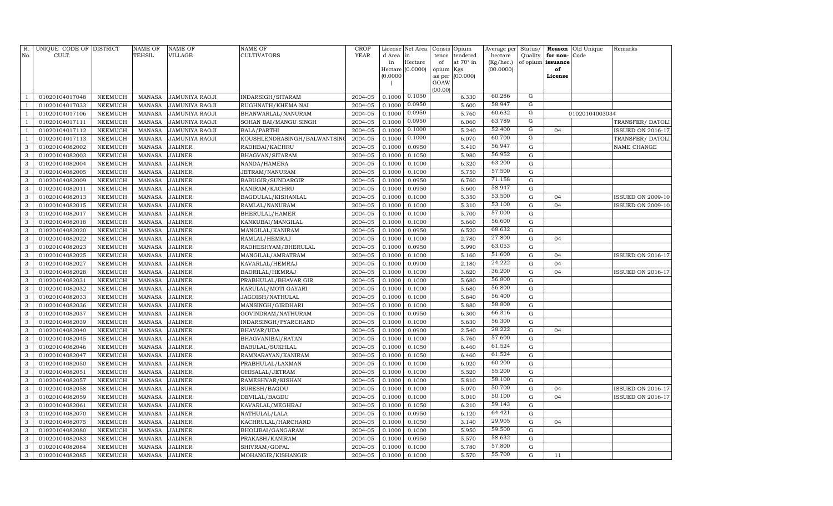| R.<br>No.         | UNIQUE CODE OF DISTRICT<br>CULT. |                                  | <b>NAME OF</b><br>TEHSIL       | <b>NAME OF</b><br><b>VILLAGE</b>               | NAME OF<br>CULTIVATORS                  | CROP<br><b>YEAR</b> | License<br>d Area | Net Area<br>in      | Consis<br>tence | Opium<br>tendered | Average per<br>hectare | Status/<br>Quality     | Reason<br>for non- | Old Unique<br>Code | Remarks                  |
|-------------------|----------------------------------|----------------------------------|--------------------------------|------------------------------------------------|-----------------------------------------|---------------------|-------------------|---------------------|-----------------|-------------------|------------------------|------------------------|--------------------|--------------------|--------------------------|
|                   |                                  |                                  |                                |                                                |                                         |                     | in<br>Hectare     | Hectare<br>(0.0000) | of<br>opium     | at 70° in<br>Kgs  | (Kg/hec.)<br>(00.0000) | of opium               | issuance<br>of     |                    |                          |
|                   |                                  |                                  |                                |                                                |                                         |                     | (0.0000)          |                     | as per          | (00.000)          |                        |                        | License            |                    |                          |
|                   |                                  |                                  |                                |                                                |                                         |                     |                   |                     | GOAW            |                   |                        |                        |                    |                    |                          |
|                   |                                  |                                  |                                |                                                |                                         | 2004-05             | 0.1000            | 0.1050              | (00.00)         |                   | 60.286                 | $\mathbf G$            |                    |                    |                          |
| 1<br>$\mathbf{1}$ | 01020104017048<br>01020104017033 | <b>NEEMUCH</b><br><b>NEEMUCH</b> | <b>MANASA</b><br><b>MANASA</b> | <b>JAMUNIYA RAOJI</b><br><b>JAMUNIYA RAOJI</b> | INDARSIGH/SITARAM<br>RUGHNATH/KHEMA NAI | 2004-05             | 0.1000            | 0.0950              |                 | 6.330<br>5.600    | 58.947                 | ${\rm G}$              |                    |                    |                          |
| $\mathbf{1}$      | 01020104017106                   | NEEMUCH                          | <b>MANASA</b>                  | <b>JAMUNIYA RAOJI</b>                          | BHANWARLAL/NANURAM                      | 2004-05             | 0.1000            | 0.0950              |                 | 5.760             | 60.632                 | $\overline{G}$         |                    | 01020104003034     |                          |
| $\mathbf{1}$      | 01020104017111                   | NEEMUCH                          | <b>MANASA</b>                  | <b>JAMUNIYA RAOJI</b>                          | SOHAN BAI/MANGU SINGH                   | 2004-05             | 0.1000            | 0.0950              |                 | 6.060             | 63.789                 | G                      |                    |                    | TRANSFER/DATOLI          |
| $\mathbf{1}$      | 01020104017112                   | NEEMUCH                          | <b>MANASA</b>                  | <b>JAMUNIYA RAOJI</b>                          | BALA/PARTHI                             | 2004-05             | 0.1000            | 0.1000              |                 | 5.240             | 52.400                 | G                      | 04                 |                    | <b>ISSUED ON 2016-17</b> |
| $\mathbf{1}$      | 01020104017113                   | NEEMUCH                          | <b>MANASA</b>                  | <b>JAMUNIYA RAOJI</b>                          | KOUSHLENDRASINGH/BALWANTSIN             | 2004-05             | 0.1000            | 0.1000              |                 | 6.070             | 60.700                 | G                      |                    |                    | TRANSFER/DATOLI          |
| 3                 | 01020104082002                   | NEEMUCH                          | <b>MANASA</b>                  | <b>JALINER</b>                                 | RADHBAI/KACHRU                          | 2004-05             | 0.1000            | 0.0950              |                 | 5.410             | 56.947                 | G                      |                    |                    | NAME CHANGE              |
| 3                 | 01020104082003                   | NEEMUCH                          | <b>MANASA</b>                  | <b>JALINER</b>                                 | BHAGVAN/SITARAM                         | 2004-05             | 0.1000            | 0.1050              |                 | 5.980             | 56.952                 | G                      |                    |                    |                          |
| 3                 | 01020104082004                   | <b>NEEMUCH</b>                   | <b>MANASA</b>                  | <b>JALINER</b>                                 | NANDA/HAMERA                            | 2004-05             | 0.1000            | 0.1000              |                 | 6.320             | 63.200                 | G                      |                    |                    |                          |
| 3                 | 01020104082005                   | <b>NEEMUCH</b>                   | <b>MANASA</b>                  | <b>JALINER</b>                                 | JETRAM/NANURAM                          | 2004-05             | 0.1000            | 0.1000              |                 | 5.750             | 57.500                 | G                      |                    |                    |                          |
| 3                 | 01020104082009                   | <b>NEEMUCH</b>                   | <b>MANASA</b>                  | <b>JALINER</b>                                 | BABUGIR/SUNDARGIR                       | 2004-05             | 0.1000            | 0.0950              |                 | 6.760             | 71.158                 | ${\rm G}$              |                    |                    |                          |
| 3                 | 01020104082011                   | NEEMUCH                          | <b>MANASA</b>                  | <b>JALINER</b>                                 | KANIRAM/KACHRU                          | 2004-05             | 0.1000            | 0.0950              |                 | 5.600             | 58.947                 | ${\rm G}$              |                    |                    |                          |
| 3                 | 01020104082013                   | <b>NEEMUCH</b>                   | <b>MANASA</b>                  | <b>JALINER</b>                                 | BAGDULAL/KISHANLAL                      | 2004-05             | 0.1000            | 0.1000              |                 | 5.350             | 53.500                 | ${\rm G}$              | 04                 |                    | <b>ISSUED ON 2009-10</b> |
| 3                 | 01020104082015                   | <b>NEEMUCH</b>                   | <b>MANASA</b>                  | <b>JALINER</b>                                 | RAMLAL/NANURAM                          | 2004-05             | 0.1000            | 0.1000              |                 | 5.310             | 53.100                 | ${\rm G}$              | 04                 |                    | <b>ISSUED ON 2009-10</b> |
| 3                 | 01020104082017                   | NEEMUCH                          | <b>MANASA</b>                  | <b>JALINER</b>                                 | BHERULAL/HAMER                          | 2004-05             | 0.1000            | 0.1000              |                 | 5.700             | 57.000                 | ${\rm G}$              |                    |                    |                          |
| 3                 | 01020104082018                   | NEEMUCH                          | <b>MANASA</b>                  | <b>JALINER</b>                                 | KANKUBAI/MANGILAL                       | 2004-05             | 0.1000            | 0.1000              |                 | 5.660             | 56.600                 | G                      |                    |                    |                          |
| 3                 | 01020104082020                   | NEEMUCH                          | <b>MANASA</b>                  | <b>JALINER</b>                                 | MANGILAL/KANIRAM                        | 2004-05             | 0.1000            | 0.0950              |                 | 6.520             | 68.632                 | ${\rm G}$              |                    |                    |                          |
| $\mathbf{3}$      | 01020104082022                   | NEEMUCH                          | <b>MANASA</b>                  | <b>JALINER</b>                                 | RAMLAL/HEMRAJ                           | 2004-05             | 0.1000            | 0.1000              |                 | 2.780             | 27.800                 | ${\rm G}$              | 04                 |                    |                          |
| 3                 | 01020104082023                   | NEEMUCH                          | <b>MANASA</b>                  | <b>JALINER</b>                                 | RADHESHYAM/BHERULAL                     | 2004-05             | 0.1000            | 0.0950              |                 | 5.990             | 63.053                 | ${\rm G}$              |                    |                    |                          |
| $\mathbf{3}$      | 01020104082025                   | NEEMUCH                          | <b>MANASA</b>                  | <b>JALINER</b>                                 | MANGILAL/AMRATRAM                       | 2004-05             | 0.1000            | 0.1000              |                 | 5.160             | 51.600                 | ${\rm G}$              | 04                 |                    | <b>ISSUED ON 2016-17</b> |
| 3                 | 01020104082027                   | <b>NEEMUCH</b>                   | <b>MANASA</b>                  | <b>JALINER</b>                                 | KAVARLAL/HEMRAJ                         | 2004-05             | 0.1000            | 0.0900              |                 | 2.180             | 24.222                 | ${\rm G}$              | 04                 |                    |                          |
| 3                 | 01020104082028                   | <b>NEEMUCH</b>                   | <b>MANASA</b>                  | <b>JALINER</b>                                 | BADRILAL/HEMRAJ                         | 2004-05             | 0.1000            | 0.1000              |                 | 3.620             | 36.200                 | ${\rm G}$              | 04                 |                    | <b>ISSUED ON 2016-17</b> |
| 3                 | 01020104082031                   | NEEMUCH                          | <b>MANASA</b>                  | <b>JALINER</b>                                 | PRABHULAL/BHAVAR GIR                    | 2004-05             | 0.1000            | 0.1000              |                 | 5.680             | 56.800                 | ${\rm G}$              |                    |                    |                          |
| 3                 | 01020104082032                   | <b>NEEMUCH</b>                   | <b>MANASA</b>                  | <b>JALINER</b>                                 | KARULAL/MOTI GAYARI                     | 2004-05             | 0.1000            | 0.1000              |                 | 5.680             | 56.800                 | G                      |                    |                    |                          |
| 3                 | 01020104082033                   | <b>NEEMUCH</b>                   | <b>MANASA</b>                  | <b>JALINER</b>                                 | JAGDISH/NATHULAL                        | 2004-05             | 0.1000            | 0.1000              |                 | 5.640             | 56.400                 | ${\rm G}$              |                    |                    |                          |
| 3                 | 01020104082036                   | NEEMUCH                          | <b>MANASA</b>                  | <b>JALINER</b>                                 | MANSINGH/GIRDHARI                       | 2004-05             | 0.1000            | 0.1000              |                 | 5.880             | 58.800                 | ${\rm G}$              |                    |                    |                          |
| 3                 | 01020104082037                   | <b>NEEMUCH</b>                   | <b>MANASA</b>                  | <b>JALINER</b>                                 | GOVINDRAM/NATHURAM                      | 2004-05             | 0.1000            | 0.0950              |                 | 6.300             | 66.316                 | ${\rm G}$              |                    |                    |                          |
| 3                 | 01020104082039                   | <b>NEEMUCH</b>                   | <b>MANASA</b>                  | <b>JALINER</b>                                 | INDARSINGH/PYARCHAND                    | 2004-05             | 0.1000            | 0.1000              |                 | 5.630             | 56.300                 | ${\rm G}$              |                    |                    |                          |
| 3                 | 01020104082040                   | <b>NEEMUCH</b>                   | <b>MANASA</b>                  | <b>JALINER</b>                                 | BHAVAR/UDA                              | 2004-05             | 0.1000            | 0.0900              |                 | 2.540             | 28.222                 | ${\rm G}$              | 04                 |                    |                          |
| 3                 | 01020104082045                   | <b>NEEMUCH</b>                   | <b>MANASA</b>                  | <b>JALINER</b>                                 | BHAGVANIBAI/RATAN                       | 2004-05             | 0.1000            | 0.1000              |                 | 5.760             | 57.600                 | ${\rm G}$              |                    |                    |                          |
| 3                 | 01020104082046                   | NEEMUCH                          | <b>MANASA</b>                  | <b>JALINER</b>                                 | BABULAL/SUKHLAL                         | 2004-05             | 0.1000            | 0.1050              |                 | 6.460             | 61.524                 | ${\rm G}$              |                    |                    |                          |
| 3                 | 01020104082047                   | NEEMUCH                          | MANASA                         | <b>JALINER</b>                                 | RAMNARAYAN/KANIRAM                      | 2004-05             | 0.1000            | 0.1050              |                 | 6.460             | 61.524                 | G                      |                    |                    |                          |
| 3                 | 01020104082050                   | NEEMUCH                          | MANASA                         | <b>JALINER</b>                                 | PRABHULAL/LAXMAN                        | 2004-05             | 0.1000            | 0.1000              |                 | 6.020             | 60.200                 | ${\rm G}$              |                    |                    |                          |
| 3                 | 01020104082051                   | <b>NEEMUCH</b>                   | <b>MANASA</b>                  | <b>JALINER</b>                                 | GHISALAL/JETRAM                         | 2004-05             | 0.1000            | 0.1000              |                 | 5.520             | 55.200                 | G                      |                    |                    |                          |
| 3                 | 01020104082057                   | <b>NEEMUCH</b>                   | <b>MANASA</b>                  | <b>JALINER</b>                                 | RAMESHVAR/KISHAN                        | 2004-05             | 0.1000            | 0.1000              |                 | 5.810             | 58.100                 | ${\rm G}$              |                    |                    |                          |
| 3                 | 01020104082058                   | <b>NEEMUCH</b>                   | <b>MANASA</b>                  | <b>JALINER</b>                                 | SURESH/BAGDU                            | 2004-05             | 0.1000            | 0.1000              |                 | 5.070             | 50.700                 | ${\rm G}$              | 04                 |                    | <b>ISSUED ON 2016-17</b> |
| 3                 | 01020104082059                   | <b>NEEMUCH</b>                   | <b>MANASA</b>                  | <b>JALINER</b>                                 | DEVILAL/BAGDU                           | 2004-05             | 0.1000            | 0.1000              |                 | 5.010             | 50.100                 | ${\rm G}$              | 04                 |                    | <b>ISSUED ON 2016-17</b> |
| 3                 | 01020104082061                   | <b>NEEMUCH</b>                   | <b>MANASA</b>                  | <b>JALINER</b>                                 | KAVARLAL/MEGHRAJ                        | 2004-05             | 0.1000            | 0.1050              |                 | 6.210             | 59.143<br>64.421       | ${\rm G}$              |                    |                    |                          |
| 3                 | 01020104082070                   | <b>NEEMUCH</b>                   | <b>MANASA</b>                  | <b>JALINER</b>                                 | NATHULAL/LALA                           | 2004-05             | 0.1000            | 0.0950              |                 | 6.120             | 29.905                 | ${\rm G}$              |                    |                    |                          |
| 3                 | 01020104082075                   | <b>NEEMUCH</b>                   | <b>MANASA</b>                  | <b>JALINER</b>                                 | KACHRULAL/HARCHAND                      | 2004-05             | 0.1000            | 0.1050              |                 | 3.140             | 59.500                 | ${\rm G}$              | 04                 |                    |                          |
| 3<br>3            | 01020104082080                   | NEEMUCH                          | <b>MANASA</b>                  | <b>JALINER</b>                                 | BHOLIBAI/GANGARAM                       | 2004-05             | 0.1000            | 0.1000<br>0.0950    |                 | 5.950<br>5.570    | 58.632                 | ${\rm G}$<br>${\rm G}$ |                    |                    |                          |
| 3                 | 01020104082083                   | <b>NEEMUCH</b>                   | <b>MANASA</b>                  | <b>JALINER</b>                                 | PRAKASH/KANIRAM                         | 2004-05             | 0.1000            |                     |                 | 5.780             | 57.800                 | ${\rm G}$              |                    |                    |                          |
|                   | 01020104082084                   | <b>NEEMUCH</b>                   | <b>MANASA</b>                  | <b>JALINER</b>                                 | SHIVRAM/GOPAL                           | 2004-05             | 0.1000            | 0.1000              |                 |                   | 55.700                 | G                      |                    |                    |                          |
| 3                 | 01020104082085                   | <b>NEEMUCH</b>                   | MANASA                         | <b>JALINER</b>                                 | MOHANGIR/KISHANGIR                      | 2004-05             | 0.1000            | 0.1000              |                 | 5.570             |                        |                        | 11                 |                    |                          |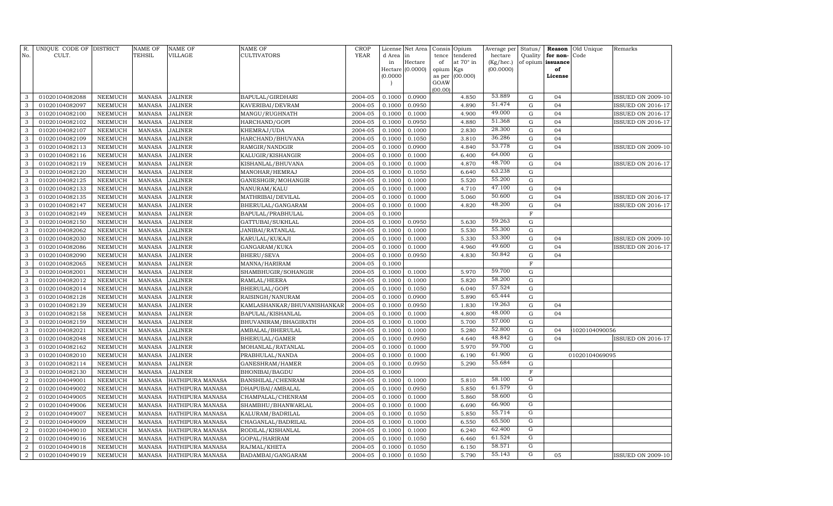| R.               | UNIQUE CODE OF DISTRICT          |                                  | NAME OF                        | <b>NAME OF</b>                   | NAME OF                             | <b>CROP</b>        | License          | Net Area                    | Consis      | Opium                   | Average per            | Status/                    | Reason                      | Old Unique     | Remarks                                              |
|------------------|----------------------------------|----------------------------------|--------------------------------|----------------------------------|-------------------------------------|--------------------|------------------|-----------------------------|-------------|-------------------------|------------------------|----------------------------|-----------------------------|----------------|------------------------------------------------------|
| No.              | CULT.                            |                                  | <b>TEHSIL</b>                  | VILLAGE                          | CULTIVATORS                         | YEAR               | d Area           | in                          | tence       | tendered                | hectare                | Quality                    | for non-                    | Code           |                                                      |
|                  |                                  |                                  |                                |                                  |                                     |                    | in               | Hectare<br>Hectare (0.0000) | of<br>opium | at $70^\circ$ in<br>Kgs | (Kg/hec.)<br>(00.0000) |                            | of opium $\sf{issue}$<br>of |                |                                                      |
|                  |                                  |                                  |                                |                                  |                                     |                    | (0.0000)         |                             | as per      | (00.000)                |                        |                            | License                     |                |                                                      |
|                  |                                  |                                  |                                |                                  |                                     |                    |                  |                             | GOAW        |                         |                        |                            |                             |                |                                                      |
|                  |                                  |                                  |                                |                                  |                                     |                    |                  | 0.0900                      | (00.00)     |                         | 53.889                 |                            | 04                          |                |                                                      |
| 3                | 01020104082088<br>01020104082097 | NEEMUCH                          | <b>MANASA</b>                  | <b>JALINER</b>                   | BAPULAL/GIRDHARI                    | 2004-05<br>2004-05 | 0.1000<br>0.1000 |                             |             | 4.850<br>4.890          | 51.474                 | $\mathbf G$<br>$\mathbf G$ |                             |                | <b>ISSUED ON 2009-10</b>                             |
| 3<br>3           | 01020104082100                   | <b>NEEMUCH</b><br><b>NEEMUCH</b> | <b>MANASA</b><br>MANASA        | <b>JALINER</b><br><b>JALINER</b> | KAVERIBAI/DEVRAM<br>MANGU/RUGHNATH  | 2004-05            | 0.1000           | 0.0950<br>0.1000            |             | 4.900                   | 49.000                 | ${\rm G}$                  | 04<br>04                    |                | <b>ISSUED ON 2016-17</b><br><b>ISSUED ON 2016-17</b> |
| 3                | 01020104082102                   | <b>NEEMUCH</b>                   | MANASA                         | <b>JALINER</b>                   | HARCHAND/GOPI                       | 2004-05            | 0.1000           | 0.0950                      |             | 4.880                   | 51.368                 | $\mathbf G$                | 04                          |                | ISSUED ON 2016-17                                    |
| 3                | 01020104082107                   | <b>NEEMUCH</b>                   | <b>MANASA</b>                  | <b>JALINER</b>                   | KHEMRAJ/UDA                         | 2004-05            | 0.1000           | 0.1000                      |             | 2.830                   | 28.300                 | ${\rm G}$                  | 04                          |                |                                                      |
| 3                | 01020104082109                   | <b>NEEMUCH</b>                   | <b>MANASA</b>                  | <b>JALINER</b>                   | HARCHAND/BHUVANA                    | 2004-05            | 0.1000           | 0.1050                      |             | 3.810                   | 36.286                 | $\mathbf G$                | 04                          |                |                                                      |
| 3                | 01020104082113                   | <b>NEEMUCH</b>                   | <b>MANASA</b>                  | <b>JALINER</b>                   | RAMGIR/NANDGIR                      | 2004-05            | 0.1000           | 0.0900                      |             | 4.840                   | 53.778                 | $\mathbf G$                | 04                          |                | <b>ISSUED ON 2009-10</b>                             |
| 3                | 01020104082116                   | <b>NEEMUCH</b>                   | MANASA                         | <b>JALINER</b>                   | KALUGIR/KISHANGIR                   | 2004-05            | 0.1000           | 0.1000                      |             | 6.400                   | 64.000                 | ${\rm G}$                  |                             |                |                                                      |
| 3                | 01020104082119                   | <b>NEEMUCH</b>                   | <b>MANASA</b>                  | <b>JALINER</b>                   | KISHANLAL/BHUVANA                   | 2004-05            | 0.1000           | 0.1000                      |             | 4.870                   | 48.700                 | $\mathbf G$                | 04                          |                | <b>ISSUED ON 2016-17</b>                             |
| 3                | 01020104082120                   | <b>NEEMUCH</b>                   | MANASA                         | <b>JALINER</b>                   | MANOHAR/HEMRAJ                      | 2004-05            | 0.1000           | 0.1050                      |             | 6.640                   | 63.238                 | ${\rm G}$                  |                             |                |                                                      |
| 3                | 01020104082125                   | <b>NEEMUCH</b>                   | <b>MANASA</b>                  | <b>JALINER</b>                   | GANESHGIR/MOHANGIR                  | 2004-05            | 0.1000           | 0.1000                      |             | 5.520                   | 55.200                 | ${\rm G}$                  |                             |                |                                                      |
| $\mathbf{3}$     | 01020104082133                   | <b>NEEMUCH</b>                   | MANASA                         | <b>JALINER</b>                   | NANURAM/KALU                        | 2004-05            | 0.1000           | 0.1000                      |             | 4.710                   | 47.100                 | ${\rm G}$                  | 04                          |                |                                                      |
| 3                | 01020104082135                   | <b>NEEMUCH</b>                   | <b>MANASA</b>                  | <b>JALINER</b>                   | MATHRIBAI/DEVILAL                   | 2004-05            | 0.1000           | 0.1000                      |             | 5.060                   | 50.600                 | ${\rm G}$                  | 04                          |                | <b>ISSUED ON 2016-17</b>                             |
| 3                | 01020104082147                   | <b>NEEMUCH</b>                   | MANASA                         | <b>JALINER</b>                   | BHERULAL/GANGARAM                   | 2004-05            | 0.1000           | 0.1000                      |             | 4.820                   | 48.200                 | ${\rm G}$                  | 04                          |                | <b>ISSUED ON 2016-17</b>                             |
| 3                | 01020104082149                   | <b>NEEMUCH</b>                   | <b>MANASA</b>                  | <b>JALINER</b>                   | BAPULAL/PRABHULAL                   | 2004-05            | 0.1000           |                             |             |                         |                        | $\mathbf F$                |                             |                |                                                      |
| 3                | 01020104082150                   | <b>NEEMUCH</b>                   | <b>MANASA</b>                  | <b>JALINER</b>                   | GATTUBAI/SUKHLAL                    | 2004-05            | 0.1000           | 0.0950                      |             | 5.630                   | 59.263                 | ${\rm G}$                  |                             |                |                                                      |
| 3                | 01020104082062                   | <b>NEEMUCH</b>                   | <b>MANASA</b>                  | <b>JALINER</b>                   | JANIBAI/RATANLAL                    | 2004-05            | 0.1000           | 0.1000                      |             | 5.530                   | 55.300                 | ${\rm G}$                  |                             |                |                                                      |
| 3                | 01020104082030                   | <b>NEEMUCH</b>                   | <b>MANASA</b>                  | <b>JALINER</b>                   | KARULAL/KUKAJI                      | 2004-05            | 0.1000           | 0.1000                      |             | 5.330                   | 53.300                 | ${\rm G}$                  | 04                          |                | <b>ISSUED ON 2009-10</b>                             |
| 3                | 01020104082086                   | NEEMUCH                          | <b>MANASA</b>                  | <b>JALINER</b>                   | GANGARAM/KUKA                       | 2004-05            | 0.1000           | 0.1000                      |             | 4.960                   | 49.600                 | ${\bf G}$                  | 04                          |                | ISSUED ON 2016-17                                    |
| 3                | 01020104082090                   | <b>NEEMUCH</b>                   | <b>MANASA</b>                  | <b>JALINER</b>                   | BHERU/SEVA                          | 2004-05            | 0.1000           | 0.0950                      |             | 4.830                   | 50.842                 | ${\rm G}$                  | 04                          |                |                                                      |
| 3                | 01020104082065                   | NEEMUCH                          | MANASA                         | <b>JALINER</b>                   | MANNA/HARIRAM                       | 2004-05            | 0.1000           |                             |             |                         |                        | $\mathbf F$                |                             |                |                                                      |
| 3                | 01020104082001                   | <b>NEEMUCH</b>                   | MANASA                         | <b>JALINER</b>                   | SHAMBHUGIR/SOHANGIR                 | 2004-05            | 0.1000           | 0.1000                      |             | 5.970                   | 59.700                 | ${\rm G}$                  |                             |                |                                                      |
| 3                | 01020104082012                   | <b>NEEMUCH</b>                   | <b>MANASA</b>                  | <b>JALINER</b>                   | RAMLAL/HEERA                        | 2004-05            | 0.1000           | 0.1000                      |             | 5.820                   | 58.200                 | $\mathbf G$                |                             |                |                                                      |
| 3                | 01020104082014                   | <b>NEEMUCH</b>                   | MANASA                         | <b>JALINER</b>                   | BHERULAL/GOPI                       | 2004-05            | 0.1000           | 0.1050                      |             | 6.040                   | 57.524                 | ${\rm G}$                  |                             |                |                                                      |
| 3                | 01020104082128                   | NEEMUCH                          | <b>MANASA</b>                  | <b>JALINER</b>                   | RAISINGH/NANURAM                    | 2004-05            | 0.1000           | 0.0900                      |             | 5.890                   | 65.444                 | ${\bf G}$                  |                             |                |                                                      |
| 3                | 01020104082139                   | <b>NEEMUCH</b>                   | <b>MANASA</b>                  | <b>JALINER</b>                   | KAMLASHANKAR/BHUVANISHANKAR         | 2004-05            | 0.1000           | 0.0950                      |             | 1.830                   | 19.263                 | ${\rm G}$                  | 04                          |                |                                                      |
| 3                | 01020104082158                   | <b>NEEMUCH</b>                   | <b>MANASA</b>                  | <b>JALINER</b>                   | BAPULAL/KISHANLAL                   | 2004-05            | 0.1000           | 0.1000                      |             | 4.800                   | 48.000                 | ${\rm G}$                  | 04                          |                |                                                      |
| 3                | 01020104082159                   | <b>NEEMUCH</b>                   | <b>MANASA</b>                  | <b>JALINER</b>                   | BHUVANIRAM/BHAGIRATH                | 2004-05            | 0.1000           | 0.1000                      |             | 5.700                   | 57.000                 | ${\rm G}$                  |                             |                |                                                      |
| 3                | 01020104082021                   | <b>NEEMUCH</b>                   | <b>MANASA</b>                  | <b>JALINER</b>                   | AMBALAL/BHERULAL                    | 2004-05            | 0.1000           | 0.1000                      |             | 5.280                   | 52.800                 | $\mathbf G$                | 04                          | 1020104090056  |                                                      |
| 3                | 01020104082048                   | <b>NEEMUCH</b>                   | <b>MANASA</b>                  | <b>JALINER</b>                   | BHERULAL/GAMER                      | 2004-05            | 0.1000           | 0.0950                      |             | 4.640                   | 48.842                 | ${\rm G}$                  | 04                          |                | <b>ISSUED ON 2016-17</b>                             |
| 3                | 01020104082162                   | <b>NEEMUCH</b>                   | <b>MANASA</b>                  | <b>JALINER</b>                   | MOHANLAL/RATANLAL                   | 2004-05            | 0.1000           | 0.1000                      |             | 5.970                   | 59.700<br>61.900       | ${\bf G}$                  |                             |                |                                                      |
| 3<br>3           | 01020104082010                   | <b>NEEMUCH</b>                   | <b>MANASA</b>                  | <b>JALINER</b>                   | PRABHULAL/NANDA                     | 2004-05            | 0.1000           | 0.1000                      |             | 6.190                   | 55.684                 | $\mathbf G$                |                             | 01020104069095 |                                                      |
| 3                | 01020104082114<br>01020104082130 | <b>NEEMUCH</b><br><b>NEEMUCH</b> | <b>MANASA</b><br><b>MANASA</b> | <b>JALINER</b><br><b>JALINER</b> | GANESHRAM/HAMER                     | 2004-05<br>2004-05 | 0.1000<br>0.1000 | 0.0950                      |             | 5.290                   |                        | ${\bf G}$<br>$\mathbf F$   |                             |                |                                                      |
| $\overline{2}$   | 01020104049001                   | <b>NEEMUCH</b>                   | <b>MANASA</b>                  | HATHIPURA MANASA                 | BHONIBAI/BAGDU<br>BANSHILAL/CHENRAM | 2004-05            | 0.1000           | 0.1000                      |             | 5.810                   | 58.100                 | G                          |                             |                |                                                      |
| $\overline{2}$   | 01020104049002                   | <b>NEEMUCH</b>                   | <b>MANASA</b>                  | HATHIPURA MANASA                 | DHAPUBAI/AMBALAL                    | 2004-05            | 0.1000           | 0.0950                      |             | 5.850                   | 61.579                 | $\mathbf G$                |                             |                |                                                      |
| $\overline{2}$   | 01020104049005                   | NEEMUCH                          | <b>MANASA</b>                  | HATHIPURA MANASA                 | CHAMPALAL/CHENRAM                   | 2004-05            | 0.1000           | 0.1000                      |             | 5.860                   | 58.600                 | G                          |                             |                |                                                      |
| $\overline{2}$   | 01020104049006                   | <b>NEEMUCH</b>                   | <b>MANASA</b>                  | HATHIPURA MANASA                 | SHAMBHU/BHANWARLAL                  | 2004-05            | 0.1000           | 0.1000                      |             | 6.690                   | 66.900                 | G                          |                             |                |                                                      |
| $\overline{2}$   | 01020104049007                   | NEEMUCH                          | <b>MANASA</b>                  | HATHIPURA MANASA                 | KALURAM/BADRILAL                    | 2004-05            | 0.1000           | 0.1050                      |             | 5.850                   | 55.714                 | G                          |                             |                |                                                      |
| $\overline{2}$   | 01020104049009                   | NEEMUCH                          | <b>MANASA</b>                  | HATHIPURA MANASA                 | CHAGANLAL/BADRILAL                  | 2004-05            | 0.1000           | 0.1000                      |             | 6.550                   | 65.500                 | G                          |                             |                |                                                      |
| $\overline{2}$   | 01020104049010                   | NEEMUCH                          | <b>MANASA</b>                  | HATHIPURA MANASA                 | RODILAL/KISHANLAL                   | 2004-05            | 0.1000           | 0.1000                      |             | 6.240                   | 62.400                 | G                          |                             |                |                                                      |
| $\overline{2}$   | 01020104049016                   | NEEMUCH                          | <b>MANASA</b>                  | HATHIPURA MANASA                 | GOPAL/HARIRAM                       | 2004-05            | 0.1000           | 0.1050                      |             | 6.460                   | 61.524                 | G                          |                             |                |                                                      |
| 2                | 01020104049018                   | NEEMUCH                          | <b>MANASA</b>                  | HATHIPURA MANASA                 | RAJMAL/KHETA                        | 2004-05            | 0.1000           | 0.1050                      |             | 6.150                   | 58.571                 | G                          |                             |                |                                                      |
| $\boldsymbol{2}$ | 01020104049019                   | <b>NEEMUCH</b>                   | <b>MANASA</b>                  | HATHIPURA MANASA                 | BADAMBAI/GANGARAM                   | 2004-05            | 0.1000           | 0.1050                      |             | 5.790                   | 55.143                 | $\mathbf G$                | 05                          |                | <b>ISSUED ON 2009-10</b>                             |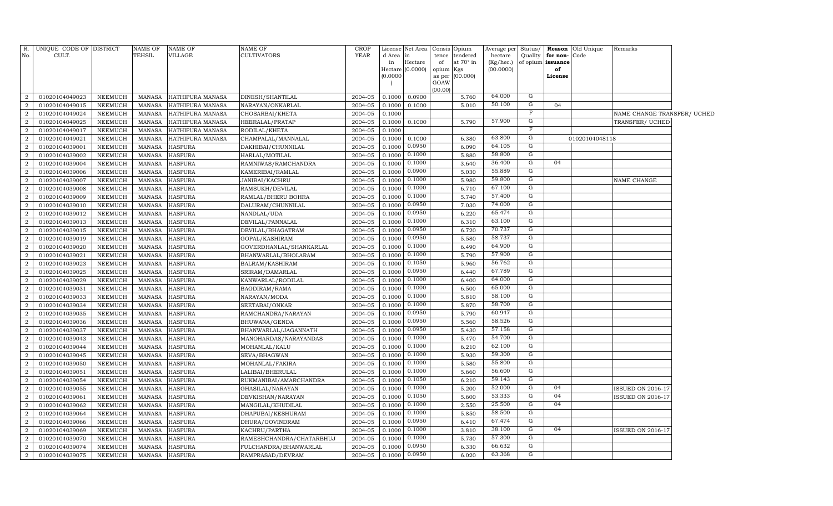| R.             | UNIQUE CODE OF DISTRICT |                | <b>NAME OF</b> | <b>NAME OF</b>   | NAME OF                  | <b>CROP</b> | License      | Net Area      | Consis      | Opium                        | Average per          | Status/        |                               | Reason Old Unique | Remarks                     |  |
|----------------|-------------------------|----------------|----------------|------------------|--------------------------|-------------|--------------|---------------|-------------|------------------------------|----------------------|----------------|-------------------------------|-------------------|-----------------------------|--|
| No.            | CULT.                   |                | TEHSIL         | VILLAGE          | CULTIVATORS              | <b>YEAR</b> | d Area<br>in | in<br>Hectare | tence<br>of | tendered<br>at $70^\circ$ in | hectare<br>(Kg/hec.) | Quality        | for non-<br>of opium issuance | Code              |                             |  |
|                |                         |                |                |                  |                          |             | Hectare      | (0.0000)      | opium       | Kgs                          | (00.0000)            |                | of                            |                   |                             |  |
|                |                         |                |                |                  |                          |             | (0.0000)     |               | as per      | (00.000)                     |                      |                | <b>License</b>                |                   |                             |  |
|                |                         |                |                |                  |                          |             |              |               | GOAW        |                              |                      |                |                               |                   |                             |  |
| $\overline{2}$ | 01020104049023          | NEEMUCH        | MANASA         | HATHIPURA MANASA | DINESH/SHANTILAL         | 2004-05     | 0.1000       | 0.0900        | (00.00)     | 5.760                        | 64.000               | G              |                               |                   |                             |  |
| $\overline{2}$ | 01020104049015          | NEEMUCH        | <b>MANASA</b>  | HATHIPURA MANASA | NARAYAN/ONKARLAL         | 2004-05     | 0.1000       | 0.1000        |             | 5.010                        | 50.100               | G              | 04                            |                   |                             |  |
| 2              | 01020104049024          | NEEMUCH        | <b>MANASA</b>  | HATHIPURA MANASA | CHOSARBAI/KHETA          | 2004-05     | 0.1000       |               |             |                              |                      | $\mathbf F$    |                               |                   | NAME CHANGE TRANSFER/ UCHED |  |
| 2              | 01020104049025          | NEEMUCH        | <b>MANASA</b>  | HATHIPURA MANASA | HEERALAL/PRATAP          | 2004-05     | 0.1000       | 0.1000        |             | 5.790                        | 57.900               | G              |                               |                   | TRANSFER/ UCHED             |  |
| 2              | 01020104049017          | NEEMUCH        | <b>MANASA</b>  | HATHIPURA MANASA | RODILAL/KHETA            | 2004-05     | 0.1000       |               |             |                              |                      | F              |                               |                   |                             |  |
| $\overline{2}$ | 01020104049021          | <b>NEEMUCH</b> | <b>MANASA</b>  | HATHIPURA MANASA | CHAMPALAL/MANNALAL       | 2004-05     | 0.1000       | 0.1000        |             | 6.380                        | 63.800               | G              |                               | 01020104048118    |                             |  |
| 2              | 01020104039001          | NEEMUCH        | <b>MANASA</b>  | <b>HASPURA</b>   | DAKHIBAI/CHUNNILAL       | 2004-05     | 0.1000       | 0.0950        |             | 6.090                        | 64.105               | G              |                               |                   |                             |  |
| $\overline{2}$ | 01020104039002          | NEEMUCH        | <b>MANASA</b>  | <b>HASPURA</b>   | HARLAL/MOTILAL           | 2004-05     | 0.1000       | 0.1000        |             | 5.880                        | 58.800               | G              |                               |                   |                             |  |
| 2              | 01020104039004          | NEEMUCH        | <b>MANASA</b>  | <b>HASPURA</b>   | RAMNIWAS/RAMCHANDRA      | 2004-05     | 0.1000       | 0.1000        |             | 3.640                        | 36.400               | ${\rm G}$      | 04                            |                   |                             |  |
| $\overline{2}$ | 01020104039006          | NEEMUCH        | <b>MANASA</b>  | <b>HASPURA</b>   | KAMERIBAI/RAMLAL         | 2004-05     | 0.1000       | 0.0900        |             | 5.030                        | 55.889               | G              |                               |                   |                             |  |
| $\overline{2}$ | 01020104039007          | NEEMUCH        | <b>MANASA</b>  | <b>HASPURA</b>   | JANIBAI/KACHRU           | 2004-05     | 0.1000       | 0.1000        |             | 5.980                        | 59.800               | G              |                               |                   | NAME CHANGE                 |  |
| $\overline{2}$ | 01020104039008          | NEEMUCH        | <b>MANASA</b>  | <b>HASPURA</b>   | RAMSUKH/DEVILAL          | 2004-05     | 0.1000       | 0.1000        |             | 6.710                        | 67.100               | $\overline{G}$ |                               |                   |                             |  |
| 2              | 01020104039009          | NEEMUCH        | <b>MANASA</b>  | <b>HASPURA</b>   | RAMLAL/BHERU BOHRA       | 2004-05     | 0.1000       | 0.1000        |             | 5.740                        | 57.400               | G              |                               |                   |                             |  |
| $\overline{2}$ | 01020104039010          | <b>NEEMUCH</b> | <b>MANASA</b>  | <b>HASPURA</b>   | DALURAM/CHUNNILAL        | 2004-05     | 0.1000       | 0.0950        |             | 7.030                        | 74.000               | G              |                               |                   |                             |  |
| 2              | 01020104039012          | NEEMUCH        | <b>MANASA</b>  | <b>HASPURA</b>   | NANDLAL/UDA              | 2004-05     | 0.1000       | 0.0950        |             | 6.220                        | 65.474               | G              |                               |                   |                             |  |
| $\overline{2}$ | 01020104039013          | NEEMUCH        | <b>MANASA</b>  | <b>HASPURA</b>   | DEVILAL/PANNALAL         | 2004-05     | 0.1000       | 0.1000        |             | 6.310                        | 63.100               | G              |                               |                   |                             |  |
| $\overline{2}$ | 01020104039015          | NEEMUCH        | <b>MANASA</b>  | <b>HASPURA</b>   | DEVILAL/BHAGATRAM        | 2004-05     | 0.1000       | 0.0950        |             | 6.720                        | 70.737               | G              |                               |                   |                             |  |
| $\overline{2}$ | 01020104039019          | NEEMUCH        | <b>MANASA</b>  | <b>HASPURA</b>   | GOPAL/KASHIRAM           | 2004-05     | 0.1000       | 0.0950        |             | 5.580                        | 58.737               | ${\rm G}$      |                               |                   |                             |  |
| $\overline{2}$ | 01020104039020          | NEEMUCH        | <b>MANASA</b>  | <b>HASPURA</b>   | GOVERDHANLAL/SHANKARLAL  | 2004-05     | 0.1000       | 0.1000        |             | 6.490                        | 64.900               | G              |                               |                   |                             |  |
| $\overline{2}$ | 01020104039021          | NEEMUCH        | <b>MANASA</b>  | <b>HASPURA</b>   | BHANWARLAL/BHOLARAM      | 2004-05     | 0.1000       | 0.1000        |             | 5.790                        | 57.900               | G              |                               |                   |                             |  |
| 2              | 01020104039023          | NEEMUCH        | <b>MANASA</b>  | <b>HASPURA</b>   | BALRAM/KASHIRAM          | 2004-05     | 0.1000       | 0.1050        |             | 5.960                        | 56.762               | G              |                               |                   |                             |  |
| $\overline{2}$ | 01020104039025          | NEEMUCH        | <b>MANASA</b>  | <b>HASPURA</b>   | SRIRAM/DAMARLAL          | 2004-05     | 0.1000       | 0.0950        |             | 6.440                        | 67.789               | $\overline{G}$ |                               |                   |                             |  |
| 2              | 01020104039029          | NEEMUCH        | <b>MANASA</b>  | <b>HASPURA</b>   | KANWARLAL/RODILAL        | 2004-05     | 0.1000       | 0.1000        |             | 6.400                        | 64.000               | G              |                               |                   |                             |  |
| $\overline{2}$ | 01020104039031          | NEEMUCH        | <b>MANASA</b>  | <b>HASPURA</b>   | BAGDIRAM/RAMA            | 2004-05     | 0.1000       | 0.1000        |             | 6.500                        | 65.000               | G              |                               |                   |                             |  |
| 2              | 01020104039033          | NEEMUCH        | <b>MANASA</b>  | <b>HASPURA</b>   | NARAYAN/MODA             | 2004-05     | 0.1000       | 0.1000        |             | 5.810                        | 58.100               | G              |                               |                   |                             |  |
| $\overline{2}$ | 01020104039034          | NEEMUCH        | <b>MANASA</b>  | <b>HASPURA</b>   | SEETABAI/ONKAR           | 2004-05     | 0.1000       | 0.1000        |             | 5.870                        | 58.700               | G              |                               |                   |                             |  |
| $\overline{2}$ | 01020104039035          | NEEMUCH        | <b>MANASA</b>  | <b>HASPURA</b>   | RAMCHANDRA/NARAYAN       | 2004-05     | 0.1000       | 0.0950        |             | 5.790                        | 60.947               | G              |                               |                   |                             |  |
| $\overline{2}$ | 01020104039036          | NEEMUCH        | <b>MANASA</b>  | <b>HASPURA</b>   | BHUWANA/GENDA            | 2004-05     | 0.1000       | 0.0950        |             | 5.560                        | 58.526               | G              |                               |                   |                             |  |
| 2              | 01020104039037          | NEEMUCH        | <b>MANASA</b>  | <b>HASPURA</b>   | BHANWARLAL/JAGANNATH     | 2004-05     | 0.1000       | 0.0950        |             | 5.430                        | 57.158               | $\overline{G}$ |                               |                   |                             |  |
| $\overline{2}$ | 01020104039043          | NEEMUCH        | <b>MANASA</b>  | <b>HASPURA</b>   | MANOHARDAS/NARAYANDAS    | 2004-05     | 0.1000       | 0.1000        |             | 5.470                        | 54.700               | G              |                               |                   |                             |  |
| 2              | 01020104039044          | <b>NEEMUCH</b> | <b>MANASA</b>  | <b>HASPURA</b>   | MOHANLAL/KALU            | 2004-05     | 0.1000       | 0.1000        |             | 6.210                        | 62.100               | G              |                               |                   |                             |  |
| 2              | 01020104039045          | NEEMUCH        | <b>MANASA</b>  | <b>HASPURA</b>   | SEVA/BHAGWAN             | 2004-05     | 0.1000       | 0.1000        |             | 5.930                        | 59.300               | G              |                               |                   |                             |  |
| 2              | 01020104039050          | NEEMUCH        | <b>MANASA</b>  | <b>HASPURA</b>   | MOHANLAL/FAKIRA          | 2004-05     | 0.1000       | 0.1000        |             | 5.580                        | 55.800               | G              |                               |                   |                             |  |
| $\overline{2}$ | 01020104039051          | NEEMUCH        | <b>MANASA</b>  | <b>HASPURA</b>   | LALIBAI/BHERULAL         | 2004-05     | 0.1000       | 0.1000        |             | 5.660                        | 56.600               | G              |                               |                   |                             |  |
| $\overline{2}$ | 01020104039054          | NEEMUCH        | <b>MANASA</b>  | <b>HASPURA</b>   | RUKMANIBAI/AMARCHANDRA   | 2004-05     | 0.1000       | 0.1050        |             | 6.210                        | 59.143               | G              |                               |                   |                             |  |
| $\overline{2}$ | 01020104039055          | NEEMUCH        | <b>MANASA</b>  | <b>HASPURA</b>   | GHASILAL/NARAYAN         | 2004-05     | 0.1000       | 0.1000        |             | 5.200                        | 52.000               | G              | 04                            |                   | ISSUED ON 2016-17           |  |
| $\overline{2}$ | 01020104039061          | NEEMUCH        | <b>MANASA</b>  | <b>HASPURA</b>   | DEVKISHAN/NARAYAN        | 2004-05     | 0.1000       | 0.1050        |             | 5.600                        | 53.333               | $\overline{G}$ | 04                            |                   | <b>ISSUED ON 2016-17</b>    |  |
| $\overline{2}$ | 01020104039062          | NEEMUCH        | <b>MANASA</b>  | <b>HASPURA</b>   | MANGILAL/KHUDILAL        | 2004-05     | 0.1000       | 0.1000        |             | 2.550                        | 25.500               | $\overline{G}$ | 04                            |                   |                             |  |
| 2              | 01020104039064          | NEEMUCH        | <b>MANASA</b>  | <b>HASPURA</b>   | DHAPUBAI/KESHURAM        | 2004-05     | 0.1000       | 0.1000        |             | 5.850                        | 58.500               | G              |                               |                   |                             |  |
| $\overline{2}$ | 01020104039066          | NEEMUCH        | <b>MANASA</b>  | <b>HASPURA</b>   | DHURA/GOVINDRAM          | 2004-05     | 0.1000       | 0.0950        |             | 6.410                        | 67.474               | G              |                               |                   |                             |  |
| 2              | 01020104039069          | NEEMUCH        | <b>MANASA</b>  | <b>HASPURA</b>   | KACHRU/PARTHA            | 2004-05     | 0.1000       | 0.1000        |             | 3.810                        | 38.100               | G              | 04                            |                   | <b>ISSUED ON 2016-17</b>    |  |
| $\overline{2}$ | 01020104039070          | <b>NEEMUCH</b> | <b>MANASA</b>  | <b>HASPURA</b>   | RAMESHCHANDRA/CHATARBHUJ | 2004-05     | 0.1000       | 0.1000        |             | 5.730                        | 57.300               | G              |                               |                   |                             |  |
| 2              | 01020104039074          | NEEMUCH        | <b>MANASA</b>  | <b>HASPURA</b>   | FULCHANDRA/BHANWARLAL    | 2004-05     | 0.1000       | 0.0950        |             | 6.330                        | 66.632               | G              |                               |                   |                             |  |
| $\overline{2}$ | 01020104039075          | NEEMUCH        | MANASA         | <b>HASPURA</b>   | RAMPRASAD/DEVRAM         | 2004-05     | 0.1000       | 0.0950        |             | 6.020                        | 63.368               | G              |                               |                   |                             |  |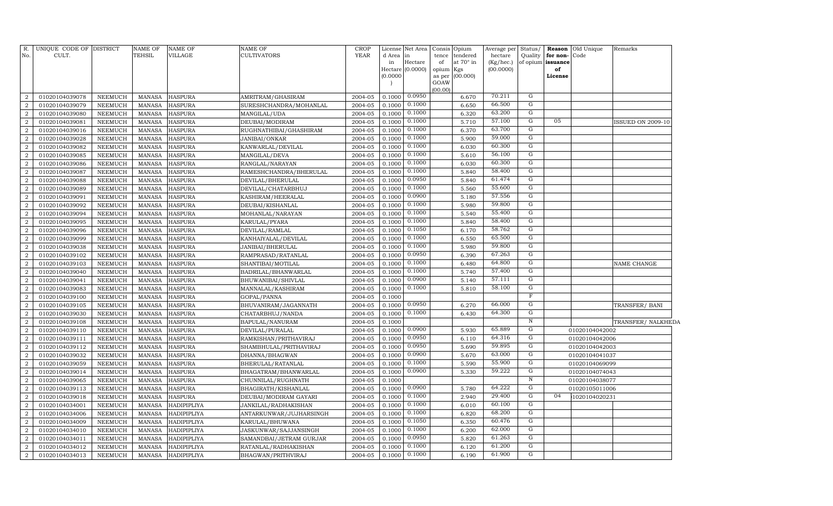| No.              | R. UNIQUE CODE OF DISTRICT<br>CULT. |                | <b>NAME OF</b><br><b>TEHSIL</b> | <b>NAME OF</b><br><b>VILLAGE</b> | <b>NAME OF</b><br><b>CULTIVATORS</b> | <b>CROP</b><br><b>YEAR</b> | License<br>d Area<br>in<br>Hectare<br>(0.0000) | Net Area<br>in<br>Hectare<br>(0.0000) | Consis Opium<br>tence<br>of<br>opium<br>as per<br>GOAW<br>(00.00) | tendered<br>at 70° in<br>Kgs<br>(00.000) | Average per<br>hectare<br>(Kg/hec.)<br>(00.0000) | Status/<br>Quality<br>of opium issuance | for non-<br>of<br>License | <b>Reason</b> Old Unique<br>Code | Remarks            |
|------------------|-------------------------------------|----------------|---------------------------------|----------------------------------|--------------------------------------|----------------------------|------------------------------------------------|---------------------------------------|-------------------------------------------------------------------|------------------------------------------|--------------------------------------------------|-----------------------------------------|---------------------------|----------------------------------|--------------------|
| $\overline{a}$   | 01020104039078                      | NEEMUCH        | <b>MANASA</b>                   | <b>HASPURA</b>                   | AMRITRAM/GHASIRAM                    | 2004-05                    | 0.1000                                         | 0.0950                                |                                                                   | 6.670                                    | 70.211                                           | G                                       |                           |                                  |                    |
| $\overline{a}$   | 01020104039079                      | NEEMUCH        | <b>MANASA</b>                   | <b>HASPURA</b>                   | SURESHCHANDRA/MOHANLAL               | 2004-05                    | 0.1000                                         | 0.1000                                |                                                                   | 6.650                                    | 66.500                                           | G                                       |                           |                                  |                    |
| $\overline{a}$   | 01020104039080                      | NEEMUCH        | <b>MANASA</b>                   | <b>HASPURA</b>                   | MANGILAL/UDA                         | 2004-05                    | 0.1000                                         | 0.1000                                |                                                                   | 6.320                                    | 63.200                                           | G                                       |                           |                                  |                    |
| $\boldsymbol{2}$ | 01020104039081                      | NEEMUCH        | <b>MANASA</b>                   | <b>HASPURA</b>                   | DEUBAI/MODIRAM                       | 2004-05                    | 0.1000                                         | 0.1000                                |                                                                   | 5.710                                    | 57.100                                           | G                                       | 05                        |                                  | ISSUED ON 2009-10  |
| $\overline{a}$   | 01020104039016                      | NEEMUCH        | <b>MANASA</b>                   | <b>HASPURA</b>                   | RUGHNATHIBAI/GHASHIRAM               | 2004-05                    | 0.1000                                         | 0.1000                                |                                                                   | 6.370                                    | 63.700                                           | G                                       |                           |                                  |                    |
| $\overline{a}$   | 01020104039028                      | NEEMUCH        | <b>MANASA</b>                   | <b>HASPURA</b>                   | JANIBAI/ONKAR                        | 2004-05                    | 0.1000                                         | 0.1000                                |                                                                   | 5.900                                    | 59.000                                           | $\overline{G}$                          |                           |                                  |                    |
| $\overline{2}$   | 01020104039082                      | NEEMUCH        | <b>MANASA</b>                   | <b>HASPURA</b>                   | KANWARLAL/DEVILAL                    | 2004-05                    | 0.1000                                         | 0.1000                                |                                                                   | 6.030                                    | 60.300                                           | G                                       |                           |                                  |                    |
| $\overline{a}$   | 01020104039085                      | NEEMUCH        | <b>MANASA</b>                   | <b>HASPURA</b>                   | MANGILAL/DEVA                        | 2004-05                    | 0.1000                                         | 0.1000                                |                                                                   | 5.610                                    | 56.100                                           | G                                       |                           |                                  |                    |
| 2                | 01020104039086                      | NEEMUCH        | <b>MANASA</b>                   | <b>HASPURA</b>                   | RANGLAL/NARAYAN                      | 2004-05                    | 0.1000                                         | 0.1000                                |                                                                   | 6.030                                    | 60.300                                           | $\overline{G}$                          |                           |                                  |                    |
| $\overline{2}$   | 01020104039087                      | NEEMUCH        | <b>MANASA</b>                   | <b>HASPURA</b>                   | RAMESHCHANDRA/BHERULAL               | 2004-05                    | 0.1000                                         | 0.1000                                |                                                                   | 5.840                                    | 58.400                                           | $\overline{G}$                          |                           |                                  |                    |
| $\overline{2}$   | 01020104039088                      | <b>NEEMUCH</b> | <b>MANASA</b>                   | <b>HASPURA</b>                   | DEVILAL/BHERULAL                     | 2004-05                    | 0.1000                                         | 0.0950                                |                                                                   | 5.840                                    | 61.474                                           | G                                       |                           |                                  |                    |
| $\overline{a}$   | 01020104039089                      | NEEMUCH        | <b>MANASA</b>                   | <b>HASPURA</b>                   | DEVILAL/CHATARBHUJ                   | 2004-05                    | 0.1000                                         | 0.1000                                |                                                                   | 5.560                                    | 55.600                                           | $\overline{G}$                          |                           |                                  |                    |
| 2                | 01020104039091                      | NEEMUCH        | <b>MANASA</b>                   | <b>HASPURA</b>                   | KASHIRAM/HEERALAL                    | 2004-05                    | 0.1000                                         | 0.0900                                |                                                                   | 5.180                                    | 57.556                                           | G                                       |                           |                                  |                    |
| $\overline{a}$   | 01020104039092                      | NEEMUCH        | <b>MANASA</b>                   | <b>HASPURA</b>                   | DEUBAI/KISHANLAL                     | 2004-05                    | 0.1000                                         | 0.1000                                |                                                                   | 5.980                                    | 59.800                                           | G                                       |                           |                                  |                    |
| $\overline{a}$   | 01020104039094                      | NEEMUCH        | <b>MANASA</b>                   | <b>HASPURA</b>                   | MOHANLAL/NARAYAN                     | 2004-05                    | 0.1000                                         | 0.1000                                |                                                                   | 5.540                                    | 55.400                                           | G                                       |                           |                                  |                    |
| $\overline{a}$   | 01020104039095                      | NEEMUCH        | <b>MANASA</b>                   | <b>HASPURA</b>                   | KARULAL/PYARA                        | 2004-05                    | 0.1000                                         | 0.1000                                |                                                                   | 5.840                                    | 58.400                                           | G                                       |                           |                                  |                    |
| $\overline{a}$   | 01020104039096                      | NEEMUCH        | <b>MANASA</b>                   | <b>HASPURA</b>                   | DEVILAL/RAMLAL                       | 2004-05                    | 0.1000                                         | 0.1050                                |                                                                   | 6.170                                    | 58.762                                           | G                                       |                           |                                  |                    |
| $\overline{a}$   | 01020104039099                      | NEEMUCH        | <b>MANASA</b>                   | <b>HASPURA</b>                   | KANHAIYALAL/DEVILAL                  | 2004-05                    | 0.1000                                         | 0.1000                                |                                                                   | 6.550                                    | 65.500                                           | G                                       |                           |                                  |                    |
| $\overline{a}$   | 01020104039038                      | NEEMUCH        | <b>MANASA</b>                   | <b>HASPURA</b>                   | JANIBAI/BHERULAL                     | 2004-05                    | 0.1000                                         | 0.1000                                |                                                                   | 5.980                                    | 59.800                                           | $\overline{G}$                          |                           |                                  |                    |
| 2                | 01020104039102                      | NEEMUCH        | <b>MANASA</b>                   | <b>HASPURA</b>                   | RAMPRASAD/RATANLAL                   | 2004-05                    | 0.1000                                         | 0.0950                                |                                                                   | 6.390                                    | 67.263                                           | $\overline{G}$                          |                           |                                  |                    |
| $\overline{2}$   | 01020104039103                      | NEEMUCH        | <b>MANASA</b>                   | <b>HASPURA</b>                   | SHANTIBAI/MOTILAL                    | 2004-05                    | 0.1000                                         | 0.1000                                |                                                                   | 6.480                                    | 64.800                                           | $\overline{G}$                          |                           |                                  | NAME CHANGE        |
| $\overline{2}$   | 01020104039040                      | <b>NEEMUCH</b> | <b>MANASA</b>                   | <b>HASPURA</b>                   | BADRILAL/BHANWARLAL                  | 2004-05                    | 0.1000                                         | 0.1000                                |                                                                   | 5.740                                    | 57.400                                           | G                                       |                           |                                  |                    |
| $\overline{2}$   | 01020104039041                      | NEEMUCH        | <b>MANASA</b>                   | <b>HASPURA</b>                   | BHUWANIBAI/SHIVLAL                   | 2004-05                    | 0.1000                                         | 0.0900                                |                                                                   | 5.140                                    | 57.111                                           | G                                       |                           |                                  |                    |
| $\overline{a}$   | 01020104039083                      | NEEMUCH        | <b>MANASA</b>                   | <b>HASPURA</b>                   | MANNALAL/KASHIRAM                    | 2004-05                    | 0.1000                                         | 0.1000                                |                                                                   | 5.810                                    | 58.100                                           | G                                       |                           |                                  |                    |
| 2                | 01020104039100                      | NEEMUCH        | <b>MANASA</b>                   | <b>HASPURA</b>                   | GOPAL/PANNA                          | 2004-05                    | 0.1000                                         |                                       |                                                                   |                                          |                                                  | $\overline{\mathrm{F}}$                 |                           |                                  |                    |
| $\overline{a}$   | 01020104039105                      | NEEMUCH        | <b>MANASA</b>                   | <b>HASPURA</b>                   | BHUVANIRAM/JAGANNATH                 | 2004-05                    | 0.1000                                         | 0.0950                                |                                                                   | 6.270                                    | 66.000                                           | G                                       |                           |                                  | TRANSFER/BANI      |
| $\overline{a}$   | 01020104039030                      | <b>NEEMUCH</b> | <b>MANASA</b>                   | <b>HASPURA</b>                   | CHATARBHUJ/NANDA                     | 2004-05                    | 0.1000                                         | 0.1000                                |                                                                   | 6.430                                    | 64.300                                           | G                                       |                           |                                  |                    |
| $\overline{a}$   | 01020104039108                      | <b>NEEMUCH</b> | <b>MANASA</b>                   | <b>HASPURA</b>                   | BAPULAL/NANURAM                      | 2004-05                    | 0.1000                                         |                                       |                                                                   |                                          |                                                  | $\, {\rm N}$                            |                           |                                  | TRANSFER/ NALKHEDA |
| $\overline{a}$   | 01020104039110                      | NEEMUCH        | <b>MANASA</b>                   | <b>HASPURA</b>                   | DEVILAL/PURALAL                      | 2004-05                    | 0.1000                                         | 0.0900                                |                                                                   | 5.930                                    | 65.889                                           | G                                       |                           | 01020104042002                   |                    |
| $\overline{2}$   | 01020104039111                      | NEEMUCH        | <b>MANASA</b>                   | <b>HASPURA</b>                   | RAMKISHAN/PRITHAVIRAJ                | 2004-05                    | 0.1000                                         | 0.0950                                |                                                                   | 6.110                                    | 64.316                                           | G                                       |                           | 01020104042006                   |                    |
| $\overline{2}$   | 01020104039112                      | NEEMUCH        | MANASA                          | <b>HASPURA</b>                   | SHAMBHULAL/PRITHAVIRAJ               | 2004-05                    | 0.1000                                         | 0.0950                                |                                                                   | 5.690                                    | 59.895                                           | G                                       |                           | 01020104042003                   |                    |
| $\overline{2}$   | 01020104039032                      | NEEMUCH        | MANASA                          | <b>HASPURA</b>                   | DHANNA/BHAGWAN                       | 2004-05                    | 0.1000                                         | 0.0900                                |                                                                   | 5.670                                    | 63.000                                           | G                                       |                           | 01020104041037                   |                    |
| $\overline{2}$   | 01020104039059                      | NEEMUCH        | <b>MANASA</b>                   | <b>HASPURA</b>                   | BHERULAL/RATANLAL                    | 2004-05                    | 0.1000                                         | 0.1000                                |                                                                   | 5.590                                    | 55.900                                           | G                                       |                           | 01020104069099                   |                    |
| $\overline{2}$   | 01020104039014                      | NEEMUCH        | <b>MANASA</b>                   | <b>HASPURA</b>                   | BHAGATRAM/BHANWARLAL                 | 2004-05                    | 0.1000                                         | 0.0900                                |                                                                   | 5.330                                    | 59.222                                           | G                                       |                           | 01020104074043                   |                    |
| $\overline{2}$   | 01020104039065                      | NEEMUCH        | <b>MANASA</b>                   | <b>HASPURA</b>                   | CHUNNILAL/RUGHNATH                   | 2004-05                    | 0.1000                                         |                                       |                                                                   |                                          |                                                  | $\overline{\text{N}}$                   |                           | 01020104038077                   |                    |
| $\overline{2}$   | 01020104039113                      | NEEMUCH        | <b>MANASA</b>                   | <b>HASPURA</b>                   | BHAGIRATH/KISHANLAL                  | 2004-05                    | 0.1000                                         | 0.0900                                |                                                                   | 5.780                                    | 64.222                                           | G                                       |                           | 01020105011006                   |                    |
| $\overline{2}$   | 01020104039018                      | <b>NEEMUCH</b> | <b>MANASA</b>                   | <b>HASPURA</b>                   | DEUBAI/MODIRAM GAYARI                | 2004-05                    | 0.1000                                         | 0.1000                                |                                                                   | 2.940                                    | 29.400                                           | G<br>G                                  | 04                        | 1020104020231                    |                    |
| $\overline{2}$   | 01020104034001                      | <b>NEEMUCH</b> | <b>MANASA</b>                   | HADIPIPLIYA                      | JANKILAL/RADHAKISHAN                 | 2004-05                    | 0.1000                                         | 0.1000                                |                                                                   | 6.010                                    | 60.100                                           |                                         |                           |                                  |                    |
| $\overline{a}$   | 01020104034006                      | NEEMUCH        | <b>MANASA</b>                   | HADIPIPLIYA                      | ANTARKUNWAR/JUJHARSINGH              | 2004-05                    | 0.1000                                         | 0.1000                                |                                                                   | 6.820                                    | 68.200<br>60.476                                 | G<br>G                                  |                           |                                  |                    |
| $\overline{2}$   | 01020104034009                      | NEEMUCH        | <b>MANASA</b>                   | HADIPIPLIYA                      | KARULAL/BHUWANA                      | 2004-05                    | 0.1000                                         | 0.1050                                |                                                                   | 6.350                                    | 62.000                                           | G                                       |                           |                                  |                    |
| $\overline{2}$   | 01020104034010                      | NEEMUCH        | <b>MANASA</b>                   | HADIPIPLIYA                      | JASKUNWAR/SAJJANSINGH                | 2004-05                    | 0.1000                                         | 0.1000<br>0.0950                      |                                                                   | 6.200                                    | 61.263                                           | G                                       |                           |                                  |                    |
| $\overline{2}$   | 01020104034011                      | NEEMUCH        | <b>MANASA</b>                   | HADIPIPLIYA                      | SAMANDBAI/JETRAM GURJAR              | 2004-05                    | 0.1000                                         | 0.1000                                |                                                                   | 5.820                                    | 61.200                                           | G                                       |                           |                                  |                    |
| $\overline{a}$   | 01020104034012                      | <b>NEEMUCH</b> | <b>MANASA</b>                   | HADIPIPLIYA                      | RATANLAL/RADHAKISHAN                 | 2004-05                    | 0.1000                                         | 0.1000                                |                                                                   | 6.120                                    | 61.900                                           | $\overline{G}$                          |                           |                                  |                    |
| $\boldsymbol{2}$ | 01020104034013                      | NEEMUCH        | MANASA                          | HADIPIPLIYA                      | BHAGWAN/PRITHVIRAJ                   | 2004-05                    | 0.1000                                         |                                       |                                                                   | 6.190                                    |                                                  |                                         |                           |                                  |                    |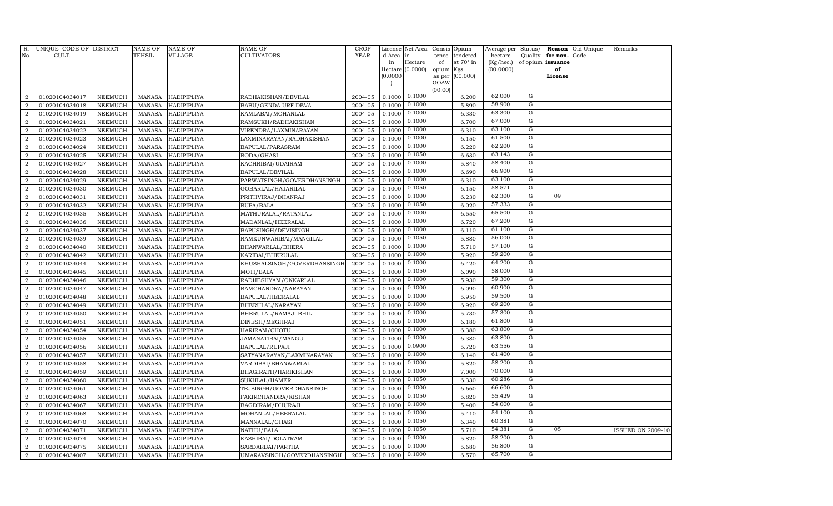| R.<br>No.                        | UNIQUE CODE OF DISTRICT<br>CULT. |                                  | NAME OF<br>TEHSIL              | <b>NAME OF</b><br>VILLAGE  | <b>NAME OF</b><br>CULTIVATORS                   | <b>CROP</b><br><b>YEAR</b> | License<br>d Area | Net Area<br>in   | Consis<br>Opium<br>tence | tendered       | Average per<br>hectare | Status/<br>Quality | Reason<br>for non- | Old Unique<br>Code | Remarks                  |
|----------------------------------|----------------------------------|----------------------------------|--------------------------------|----------------------------|-------------------------------------------------|----------------------------|-------------------|------------------|--------------------------|----------------|------------------------|--------------------|--------------------|--------------------|--------------------------|
|                                  |                                  |                                  |                                |                            |                                                 |                            | in                | Hectare          | of                       | at 70° in      | (Kg/hec.)              | of opium           | issuance           |                    |                          |
|                                  |                                  |                                  |                                |                            |                                                 |                            | (0.0000)          | Hectare (0.0000) | opium<br>Kgs<br>as per   | (00.000)       | (00.0000)              |                    | of<br>License      |                    |                          |
|                                  |                                  |                                  |                                |                            |                                                 |                            |                   |                  | GOAW                     |                |                        |                    |                    |                    |                          |
|                                  |                                  |                                  |                                |                            |                                                 |                            |                   |                  | (00.00)                  |                |                        |                    |                    |                    |                          |
| $\overline{2}$                   | 01020104034017                   | NEEMUCH                          | <b>MANASA</b>                  | HADIPIPLIYA                | RADHAKISHAN/DEVILAL                             | 2004-05                    | 0.1000            | 0.1000           |                          | 6.200          | 62.000                 | G                  |                    |                    |                          |
| $\overline{2}$                   | 01020104034018                   | <b>NEEMUCH</b>                   | <b>MANASA</b>                  | HADIPIPLIYA                | BABU/GENDA URF DEVA                             | 2004-05                    | 0.1000            | 0.1000           |                          | 5.890          | 58.900                 | G                  |                    |                    |                          |
| 2                                | 01020104034019                   | <b>NEEMUCH</b>                   | MANASA                         | HADIPIPLIYA                | KAMLABAI/MOHANLAL                               | 2004-05                    | 0.1000            | 0.1000           |                          | 6.330          | 63.300                 | G                  |                    |                    |                          |
| $\overline{2}$                   | 01020104034021                   | <b>NEEMUCH</b>                   | <b>MANASA</b>                  | HADIPIPLIYA                | RAMSUKH/RADHAKISHAN                             | 2004-05                    | 0.1000            | 0.1000           |                          | 6.700          | 67.000                 | G                  |                    |                    |                          |
| $\overline{a}$                   | 01020104034022                   | NEEMUCH                          | <b>MANASA</b>                  | HADIPIPLIYA                | VIRENDRA/LAXMINARAYAN                           | 2004-05                    | 0.1000            | 0.1000           |                          | 6.310          | 63.100                 | G                  |                    |                    |                          |
| $\overline{2}$                   | 01020104034023                   | <b>NEEMUCH</b>                   | MANASA                         | HADIPIPLIYA                | LAXMINARAYAN/RADHAKISHAN                        | 2004-05                    | 0.1000            | 0.1000           |                          | 6.150          | 61.500                 | G                  |                    |                    |                          |
| $\overline{a}$                   | 01020104034024                   | <b>NEEMUCH</b>                   | <b>MANASA</b>                  | HADIPIPLIYA                | BAPULAL/PARASRAM                                | 2004-05                    | 0.1000            | 0.1000           |                          | 6.220          | 62.200                 | G                  |                    |                    |                          |
| $\overline{a}$                   | 01020104034025                   | NEEMUCH                          | MANASA                         | HADIPIPLIYA                | RODA/GHASI                                      | 2004-05                    | 0.1000            | 0.1050           |                          | 6.630          | 63.143                 | G                  |                    |                    |                          |
| $\overline{a}$                   | 01020104034027                   | NEEMUCH                          | <b>MANASA</b>                  | HADIPIPLIYA                | KACHRIBAI/UDAIRAM                               | 2004-05                    | 0.1000            | 0.1000           |                          | 5.840          | 58.400                 | ${\rm G}$          |                    |                    |                          |
| $\overline{a}$                   | 01020104034028                   | <b>NEEMUCH</b>                   | <b>MANASA</b>                  | HADIPIPLIYA                | BAPULAL/DEVILAL                                 | 2004-05                    | 0.1000            | 0.1000           |                          | 6.690          | 66.900                 | ${\rm G}$<br>G     |                    |                    |                          |
| $\overline{a}$                   | 01020104034029                   | <b>NEEMUCH</b>                   | <b>MANASA</b>                  | HADIPIPLIYA                | PARWATSINGH/GOVERDHANSINGH                      | 2004-05                    | 0.1000            | 0.1000           |                          | 6.310          | 63.100<br>58.571       | $\overline{G}$     |                    |                    |                          |
| $\overline{2}$                   | 01020104034030                   | NEEMUCH                          | <b>MANASA</b>                  | HADIPIPLIYA                | GOBARLAL/HAJARILAL                              | 2004-05                    | 0.1000            | 0.1050<br>0.1000 |                          | 6.150          | 62.300                 | G                  | 09                 |                    |                          |
| $\overline{a}$                   | 01020104034031                   | <b>NEEMUCH</b>                   | <b>MANASA</b>                  | HADIPIPLIYA                | PRITHVIRAJ/DHANRAJ                              | 2004-05                    | 0.1000            | 0.1050           |                          | 6.230          | 57.333                 | G                  |                    |                    |                          |
| $\overline{2}$                   | 01020104034032                   | <b>NEEMUCH</b>                   | MANASA                         | HADIPIPLIYA                | RUPA/BALA                                       | 2004-05                    | 0.1000            | 0.1000           |                          | 6.020          | 65.500                 | G                  |                    |                    |                          |
| $\overline{a}$                   | 01020104034035                   | <b>NEEMUCH</b>                   | <b>MANASA</b>                  | HADIPIPLIYA                | MATHURALAL/RATANLAL                             | 2004-05                    | 0.1000            | 0.1000           |                          | 6.550          | 67.200                 | G                  |                    |                    |                          |
| $\overline{2}$<br>$\overline{a}$ | 01020104034036                   | <b>NEEMUCH</b>                   | <b>MANASA</b>                  | HADIPIPLIYA                | MADANLAL/HEERALAL                               | 2004-05<br>2004-05         | 0.1000<br>0.1000  | 0.1000           |                          | 6.720<br>6.110 | 61.100                 | G                  |                    |                    |                          |
|                                  | 01020104034037                   | NEEMUCH                          | <b>MANASA</b>                  | HADIPIPLIYA                | BAPUSINGH/DEVISINGH                             |                            |                   | 0.1050           |                          | 5.880          | 56.000                 | ${\rm G}$          |                    |                    |                          |
| $\overline{a}$<br>$\overline{a}$ | 01020104034039                   | <b>NEEMUCH</b>                   | <b>MANASA</b>                  | HADIPIPLIYA                | RAMKUNWARIBAI/MANGILAL                          | 2004-05                    | 0.1000            | 0.1000           |                          |                | 57.100                 | G                  |                    |                    |                          |
|                                  | 01020104034040                   | NEEMUCH                          | <b>MANASA</b>                  | HADIPIPLIYA                | BHANWARLAL/BHERA                                | 2004-05                    | 0.1000            | 0.1000           |                          | 5.710          | 59.200                 | G                  |                    |                    |                          |
| $\overline{a}$<br>2              | 01020104034042<br>01020104034044 | <b>NEEMUCH</b><br><b>NEEMUCH</b> | <b>MANASA</b><br><b>MANASA</b> | HADIPIPLIYA<br>HADIPIPLIYA | KARIBAI/BHERULAL<br>KHUSHALSINGH/GOVERDHANSINGH | 2004-05<br>2004-05         | 0.1000<br>0.1000  | 0.1000           |                          | 5.920<br>6.420 | 64.200                 | G                  |                    |                    |                          |
| $\overline{2}$                   | 01020104034045                   | <b>NEEMUCH</b>                   | <b>MANASA</b>                  | HADIPIPLIYA                | MOTI/BALA                                       | 2004-05                    | 0.1000            | 0.1050           |                          | 6.090          | 58.000                 | G                  |                    |                    |                          |
| $\overline{2}$                   | 01020104034046                   | NEEMUCH                          | <b>MANASA</b>                  | HADIPIPLIYA                | RADHESHYAM/ONKARLAL                             | 2004-05                    | 0.1000            | 0.1000           |                          | 5.930          | 59.300                 | G                  |                    |                    |                          |
| $\overline{2}$                   | 01020104034047                   | <b>NEEMUCH</b>                   | <b>MANASA</b>                  | HADIPIPLIYA                | RAMCHANDRA/NARAYAN                              | 2004-05                    | 0.1000            | 0.1000           |                          | 6.090          | 60.900                 | G                  |                    |                    |                          |
| $\overline{a}$                   | 01020104034048                   | NEEMUCH                          | <b>MANASA</b>                  | HADIPIPLIYA                | BAPULAL/HEERALAL                                | 2004-05                    | 0.1000            | 0.1000           |                          | 5.950          | 59.500                 | G                  |                    |                    |                          |
| $\overline{a}$                   | 01020104034049                   | <b>NEEMUCH</b>                   | <b>MANASA</b>                  | HADIPIPLIYA                | BHERULAL/NARAYAN                                | 2004-05                    | 0.1000            | 0.1000           |                          | 6.920          | 69.200                 | G                  |                    |                    |                          |
| $\overline{a}$                   | 01020104034050                   | NEEMUCH                          | <b>MANASA</b>                  | HADIPIPLIYA                | BHERULAL/RAMAJI BHIL                            | 2004-05                    | 0.1000            | 0.1000           |                          | 5.730          | 57.300                 | G                  |                    |                    |                          |
| $\overline{a}$                   | 01020104034051                   | <b>NEEMUCH</b>                   | <b>MANASA</b>                  | HADIPIPLIYA                | DINESH/MEGHRAJ                                  | 2004-05                    | 0.1000            | 0.1000           |                          | 6.180          | 61.800                 | G                  |                    |                    |                          |
| 2                                | 01020104034054                   | NEEMUCH                          | <b>MANASA</b>                  | HADIPIPLIYA                | HARIRAM/CHOTU                                   | 2004-05                    | 0.1000            | 0.1000           |                          | 6.380          | 63.800                 | $\overline{G}$     |                    |                    |                          |
| $\overline{2}$                   | 01020104034055                   | <b>NEEMUCH</b>                   | <b>MANASA</b>                  | HADIPIPLIYA                | JAMANATIBAI/MANGU                               | 2004-05                    | 0.1000            | 0.1000           |                          | 6.380          | 63.800                 | $\overline{G}$     |                    |                    |                          |
| 2                                | 01020104034056                   | <b>NEEMUCH</b>                   | <b>MANASA</b>                  | HADIPIPLIYA                | BAPULAL/RUPAJI                                  | 2004-05                    | 0.1000            | 0.0900           |                          | 5.720          | 63.556                 | G                  |                    |                    |                          |
| $\overline{2}$                   | 01020104034057                   | <b>NEEMUCH</b>                   | <b>MANASA</b>                  | HADIPIPLIYA                | SATYANARAYAN/LAXMINARAYAN                       | 2004-05                    | 0.1000            | 0.1000           |                          | 6.140          | 61.400                 | G                  |                    |                    |                          |
| $\overline{a}$                   | 01020104034058                   | <b>NEEMUCH</b>                   | <b>MANASA</b>                  | HADIPIPLIYA                | VARDIBAI/BHANWARLAL                             | 2004-05                    | 0.1000            | 0.1000           |                          | 5.820          | 58.200                 | G                  |                    |                    |                          |
| $\overline{2}$                   | 01020104034059                   | <b>NEEMUCH</b>                   | <b>MANASA</b>                  | HADIPIPLIYA                | BHAGIRATH/HARIKISHAN                            | 2004-05                    | 0.1000            | 0.1000           |                          | 7.000          | 70.000                 | G                  |                    |                    |                          |
| $\overline{a}$                   | 01020104034060                   | <b>NEEMUCH</b>                   | <b>MANASA</b>                  | HADIPIPLIYA                | SUKHLAL/HAMER                                   | 2004-05                    | 0.1000            | 0.1050           |                          | 6.330          | 60.286                 | G                  |                    |                    |                          |
| $\overline{a}$                   | 01020104034061                   | <b>NEEMUCH</b>                   | <b>MANASA</b>                  | HADIPIPLIYA                | TEJSINGH/GOVERDHANSINGH                         | 2004-05                    | 0.1000            | 0.1000           |                          | 6.660          | 66.600                 | G                  |                    |                    |                          |
| $\overline{a}$                   | 01020104034063                   | <b>NEEMUCH</b>                   | <b>MANASA</b>                  | HADIPIPLIYA                | FAKIRCHANDRA/KISHAN                             | 2004-05                    | 0.1000            | 0.1050           |                          | 5.820          | 55.429                 | $\overline{G}$     |                    |                    |                          |
| $\overline{a}$                   | 01020104034067                   | <b>NEEMUCH</b>                   | <b>MANASA</b>                  | HADIPIPLIYA                | BAGDIRAM/DHURAJI                                | 2004-05                    | 0.1000            | 0.1000           |                          | 5.400          | 54.000                 | G                  |                    |                    |                          |
| $\overline{a}$                   | 01020104034068                   | <b>NEEMUCH</b>                   | <b>MANASA</b>                  | HADIPIPLIYA                | MOHANLAL/HEERALAL                               | 2004-05                    | 0.1000            | 0.1000           |                          | 5.410          | 54.100                 | G                  |                    |                    |                          |
| $\overline{2}$                   | 01020104034070                   | <b>NEEMUCH</b>                   | <b>MANASA</b>                  | HADIPIPLIYA                | MANNALAL/GHASI                                  | 2004-05                    | 0.1000            | 0.1050           |                          | 6.340          | 60.381                 | G                  |                    |                    |                          |
| $\overline{a}$                   | 01020104034071                   | <b>NEEMUCH</b>                   | <b>MANASA</b>                  | HADIPIPLIYA                | NATHU/BALA                                      | 2004-05                    | 0.1000            | 0.1050           |                          | 5.710          | 54.381                 | G                  | 05                 |                    | <b>ISSUED ON 2009-10</b> |
| $\overline{2}$                   | 01020104034074                   | <b>NEEMUCH</b>                   | <b>MANASA</b>                  | HADIPIPLIYA                | KASHIBAI/DOLATRAM                               | 2004-05                    | 0.1000            | 0.1000           |                          | 5.820          | 58.200                 | G                  |                    |                    |                          |
| $\overline{a}$                   | 01020104034075                   | <b>NEEMUCH</b>                   | <b>MANASA</b>                  | HADIPIPLIYA                | SARDARBAI/PARTHA                                | 2004-05                    | 0.1000            | 0.1000           |                          | 5.680          | 56.800                 | G                  |                    |                    |                          |
| $\overline{a}$                   | 01020104034007                   | NEEMUCH                          | MANASA                         | HADIPIPLIYA                | UMARAVSINGH/GOVERDHANSINGH                      | 2004-05                    | 0.1000            | 0.1000           |                          | 6.570          | 65.700                 | G                  |                    |                    |                          |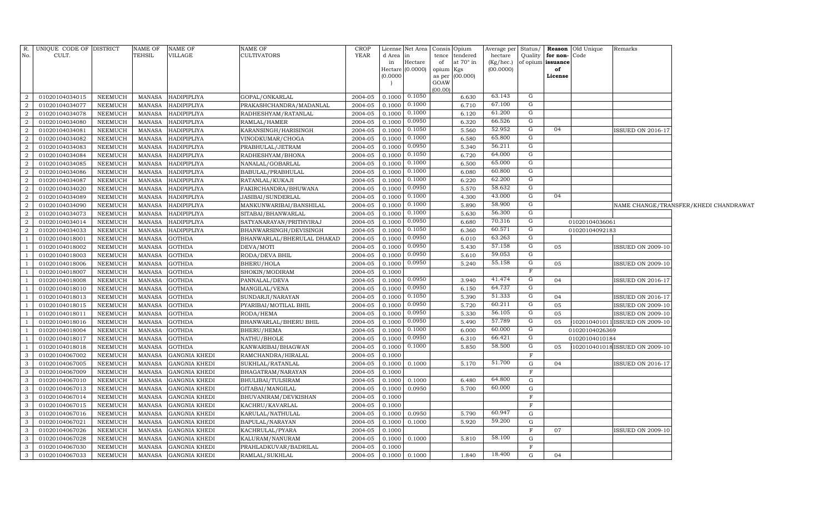| R.                           | UNIQUE CODE OF DISTRICT          |                    | NAME OF                 | NAME OF                                      | NAME OF                                | CROP               |                  | License Net Area   |                 | Consis Opium    | Average per Status/ |                           |                   | <b>Reason</b> Old Unique | Remarks                        |                                       |
|------------------------------|----------------------------------|--------------------|-------------------------|----------------------------------------------|----------------------------------------|--------------------|------------------|--------------------|-----------------|-----------------|---------------------|---------------------------|-------------------|--------------------------|--------------------------------|---------------------------------------|
| No.                          | CULT.                            |                    | TEHSIL                  | VILLAGE                                      | <b>CULTIVATORS</b>                     | <b>YEAR</b>        | d Area           | lin                | tence           | tendered        | hectare             | Quality                   | for non-          | Code                     |                                |                                       |
|                              |                                  |                    |                         |                                              |                                        |                    | in               | Hectare            | of              | at 70° in       | (Kg/hec.)           |                           | of opium issuance |                          |                                |                                       |
|                              |                                  |                    |                         |                                              |                                        |                    | (0.0000)         | Hectare $(0.0000)$ | opium<br>as per | Kgs<br>(00.000) | (00.0000)           |                           | of<br>License     |                          |                                |                                       |
|                              |                                  |                    |                         |                                              |                                        |                    |                  |                    | GOAW            |                 |                     |                           |                   |                          |                                |                                       |
|                              |                                  |                    |                         |                                              |                                        |                    |                  |                    | (00.00)         |                 |                     |                           |                   |                          |                                |                                       |
| 2                            | 01020104034015                   | NEEMUCH            | MANASA                  | HADIPIPLIYA                                  | GOPAL/ONKARLAL                         | 2004-05            | 0.1000           | 0.1050             |                 | 6.630           | 63.143              | G                         |                   |                          |                                |                                       |
| 2                            | 01020104034077                   | NEEMUCH            | <b>MANASA</b>           | HADIPIPLIYA                                  | PRAKASHCHANDRA/MADANLAL                | 2004-05            | 0.1000           | 0.1000             |                 | 6.710           | 67.100              | G                         |                   |                          |                                |                                       |
| 2                            | 01020104034078                   | NEEMUCH            | MANASA                  | HADIPIPLIYA                                  | RADHESHYAM/RATANLAL                    | 2004-05            | 0.1000           | 0.1000             |                 | 6.120           | 61.200              | G                         |                   |                          |                                |                                       |
| $\overline{a}$               | 01020104034080                   | NEEMUCH            | <b>MANASA</b>           | HADIPIPLIYA                                  | RAMLAL/HAMER                           | 2004-05            | 0.1000           | 0.0950             |                 | 6.320           | 66.526              | $\overline{G}$            |                   |                          |                                |                                       |
| $\overline{a}$               | 01020104034081                   | NEEMUCH            | <b>MANASA</b>           | HADIPIPLIYA                                  | KARANSINGH/HARISINGH                   | 2004-05            | 0.1000           | 0.1050             |                 | 5.560           | 52.952              | $\overline{G}$            | 04                |                          | SSUED ON 2016-17               |                                       |
| $\overline{a}$               | 01020104034082                   | NEEMUCH            | <b>MANASA</b>           | HADIPIPLIYA                                  | VINODKUMAR/CHOGA                       | 2004-05            | 0.1000           | 0.1000             |                 | 6.580           | 65.800              | $\overline{G}$            |                   |                          |                                |                                       |
| 2                            | 01020104034083                   | NEEMUCH            | <b>MANASA</b>           | HADIPIPLIYA                                  | PRABHULAL/JETRAM                       | 2004-05            | 0.1000           | 0.0950             |                 | 5.340           | 56.211              | $\overline{G}$            |                   |                          |                                |                                       |
| 2                            | 01020104034084                   | NEEMUCH            | MANASA                  | HADIPIPLIYA                                  | RADHESHYAM/BHONA                       | 2004-05            | 0.1000           | 0.1050             |                 | 6.720           | 64.000              | G                         |                   |                          |                                |                                       |
| 2                            | 01020104034085                   | NEEMUCH            | MANASA                  | HADIPIPLIYA                                  | NANALAL/GOBARLAL                       | 2004-05            | 0.1000           | 0.1000             |                 | 6.500           | 65.000              | G                         |                   |                          |                                |                                       |
| 2                            | 01020104034086                   | NEEMUCH            | MANASA                  | HADIPIPLIYA                                  | BABULAL/PRABHULAL                      | 2004-05            | 0.1000           | 0.1000             |                 | 6.080           | 60.800              | G                         |                   |                          |                                |                                       |
| 2                            | 01020104034087                   | NEEMUCH            | MANASA                  | HADIPIPLIYA                                  | RATANLAL/KUKAJI                        | 2004-05            | 0.1000           | 0.1000             |                 | 6.220           | 62.200              | $\mathbf G$               |                   |                          |                                |                                       |
| 2                            | 01020104034020                   | NEEMUCH            | MANASA                  | HADIPIPLIYA                                  | FAKIRCHANDRA/BHUWANA                   | 2004-05            | 0.1000           | 0.0950             |                 | 5.570           | 58.632              | $\overline{G}$            |                   |                          |                                |                                       |
| 2                            | 01020104034089                   | NEEMUCH            | MANASA                  | HADIPIPLIYA                                  | <b>JASIBAI/SUNDERLAL</b>               | 2004-05            | 0.1000           | 0.1000             |                 | 4.300           | 43.000              | G                         | 04                |                          |                                |                                       |
| 2                            | 01020104034090                   | NEEMUCH            | <b>MANASA</b>           | HADIPIPLIYA                                  | MANKUNWARIBAI/BANSHILAL                | 2004-05            | 0.1000           | 0.1000             |                 | 5.890           | 58.900              | G                         |                   |                          |                                | NAME CHANGE/TRANSFER/KHEDI CHANDRAWAT |
| 2                            | 01020104034073                   | NEEMUCH            | MANASA                  | HADIPIPLIYA                                  | SITABAI/BHANWARLAL                     | 2004-05            | 0.1000           | 0.1000             |                 | 5.630           | 56.300              | $\overline{G}$            |                   |                          |                                |                                       |
| 2                            | 01020104034014                   | NEEMUCH            | MANASA                  | HADIPIPLIYA                                  | SATYANARAYAN/PRITHVIRAJ                | 2004-05            | 0.1000           | 0.0950             |                 | 6.680           | 70.316              | $\overline{G}$            |                   | 01020104036061           |                                |                                       |
| 2                            | 01020104034033                   | NEEMUCH            | MANASA                  | <b>HADIPIPLIYA</b>                           | BHANWARSINGH/DEVISINGH                 | 2004-05            | 0.1000           | 0.1050             |                 | 6.360           | 60.571              | $\overline{G}$            |                   | 01020104092183           |                                |                                       |
| -1                           | 01020104018001                   | NEEMUCH            | <b>MANASA</b>           | <b>GOTHDA</b>                                | BHANWARLAL/BHERULAL DHAKAD             | 2004-05            | 0.1000           | 0.0950             |                 | 6.010           | 63.263              | ${\rm G}$                 |                   |                          |                                |                                       |
| -1                           | 01020104018002                   | NEEMUCH            | <b>MANASA</b>           | <b>GOTHDA</b>                                | DEVA/MOTI                              | 2004-05            | 0.1000           | 0.0950             |                 | 5.430           | 57.158              | $\mathbf G$               | 05                |                          | SSUED ON 2009-10               |                                       |
| -1                           | 01020104018003                   | NEEMUCH            | MANASA                  | <b>GOTHDA</b>                                | RODA/DEVA BHIL                         | 2004-05            | 0.1000           | 0.0950             |                 | 5.610           | 59.053              | $\overline{G}$            |                   |                          |                                |                                       |
| -1                           | 01020104018006                   | NEEMUCH            | MANASA                  | <b>GOTHDA</b>                                | BHERU/HOLA                             | 2004-05            | 0.1000           | 0.0950             |                 | 5.240           | 55.158              | ${\rm G}$                 | 05                |                          | SSUED ON 2009-10               |                                       |
| <sup>1</sup>                 | 01020104018007                   | NEEMUCH            | <b>MANASA</b>           | <b>GOTHDA</b>                                | SHOKIN/MODIRAM                         | 2004-05            | 0.1000           |                    |                 |                 |                     | $\boldsymbol{\mathrm{F}}$ |                   |                          |                                |                                       |
| -1                           | 01020104018008                   | NEEMUCH            | MANASA                  | <b>GOTHDA</b>                                | PANNALAL/DEVA                          | 2004-05            | 0.1000           | 0.0950             |                 | 3.940           | 41.474              | G                         | 04                |                          | <b>ISSUED ON 2016-17</b>       |                                       |
| $\mathbf{1}$                 | 01020104018010                   | NEEMUCH            | MANASA                  | <b>GOTHDA</b>                                | MANGILAL/VENA                          | 2004-05            | 0.1000           | 0.0950             |                 | 6.150           | 64.737              | $\overline{G}$            |                   |                          |                                |                                       |
|                              | 01020104018013                   | NEEMUCH            | MANASA                  | <b>GOTHDA</b>                                | SUNDARJI/NARAYAN                       | 2004-05            | 0.1000           | 0.1050             |                 | 5.390           | 51.333              | G                         | 04                |                          | <b>ISSUED ON 2016-17</b>       |                                       |
| <sup>1</sup>                 | 01020104018015                   | NEEMUCH            | <b>MANASA</b>           | <b>GOTHDA</b>                                | PYARIBAI/MOTILAL BHIL                  | 2004-05            | 0.1000           | 0.0950             |                 | 5.720           | 60.211              | G<br>${\rm G}$            | 05                |                          | <b>ISSUED ON 2009-10</b>       |                                       |
|                              | 01020104018011                   | <b>NEEMUCH</b>     | <b>MANASA</b>           | <b>GOTHDA</b>                                | RODA/HEMA                              | 2004-05            | 0.1000           | 0.0950             |                 | 5.330           | 56.105              | ${\rm G}$                 | 05                |                          | <b>ISSUED ON 2009-10</b>       |                                       |
|                              | 01020104018016                   | NEEMUCH            | <b>MANASA</b>           | <b>GOTHDA</b>                                | BHANWARLAL/BHERU BHIL                  | 2004-05            | 0.1000           | 0.0950             |                 | 5.490           | 57.789<br>60.000    | G                         | 05                |                          | 102010401011 ISSUED ON 2009-10 |                                       |
| $\overline{1}$               | 01020104018004                   | NEEMUCH            | <b>MANASA</b>           | <b>GOTHDA</b>                                | BHERU/HEMA                             | 2004-05            | 0.1000           | 0.1000<br>0.0950   |                 | 6.000           | 66.421              | ${\rm G}$                 |                   | 01020104026369           |                                |                                       |
|                              | 01020104018017                   | NEEMUCH            | <b>MANASA</b>           | <b>GOTHDA</b>                                | NATHU/BHOLE                            | 2004-05            | 0.1000           | 0.1000             |                 | 6.310           | 58.500              | G                         |                   | 01020104010184           |                                |                                       |
| 3                            | 01020104018018                   | NEEMUCH            | MANASA<br><b>MANASA</b> | <b>GOTHDA</b><br><b>GANGNIA KHEDI</b>        | KANWARIBAI/BHAGWAN                     | 2004-05<br>2004-05 | 0.1000<br>0.1000 |                    |                 | 5.850           |                     | F                         | 05                |                          | 102010401018 ISSUED ON 2009-10 |                                       |
| 3                            | 01020104067002<br>01020104067005 | NEEMUCH            | <b>MANASA</b>           | <b>GANGNIA KHEDI</b>                         | RAMCHANDRA/HIRALAL                     | 2004-05            | 0.1000           |                    |                 | 5.170           | 51.700              | G                         | 04                |                          | SSUED ON 2016-17               |                                       |
|                              |                                  | NEEMUCH            | <b>MANASA</b>           |                                              | SUKHLAL/RATANLAL                       | 2004-05            | 0.1000           | 0.1000             |                 |                 |                     | $\mathbf F$               |                   |                          |                                |                                       |
| $\mathbf{3}$<br>$\mathbf{3}$ | 01020104067009<br>01020104067010 | NEEMUCH<br>NEEMUCH | <b>MANASA</b>           | <b>GANGNIA KHEDI</b><br><b>GANGNIA KHEDI</b> | BHAGATRAM/NARAYAN<br>BHULIBAI/TULSIRAM | 2004-05            | 0.1000           | 0.1000             |                 | 6.480           | 64.800              | G                         |                   |                          |                                |                                       |
| $\mathbf{3}$                 | 01020104067013                   | <b>NEEMUCH</b>     | <b>MANASA</b>           | GANGNIA KHEDI                                | GITABAI/MANGILAL                       | 2004-05            | 0.1000           | 0.0950             |                 | 5.700           | 60.000              | G                         |                   |                          |                                |                                       |
| 3                            | 01020104067014                   | NEEMUCH            | MANASA                  | <b>GANGNIA KHEDI</b>                         | BHUVANIRAM/DEVKISHAN                   | 2004-05            | 0.1000           |                    |                 |                 |                     | $\mathbf F$               |                   |                          |                                |                                       |
| $\mathbf{3}$                 | 01020104067015                   | NEEMUCH            | MANASA                  | GANGNIA KHEDI                                |                                        | 2004-05            | 0.1000           |                    |                 |                 |                     | F                         |                   |                          |                                |                                       |
| 3                            | 01020104067016                   | <b>NEEMUCH</b>     | MANASA                  | GANGNIA KHEDI                                | KACHRU/KAVARLAL<br>KARULAL/NATHULAL    | 2004-05            | 0.1000           | 0.0950             |                 | 5.790           | 60.947              | $\mathbf{G}$              |                   |                          |                                |                                       |
| 3                            | 01020104067021                   | <b>NEEMUCH</b>     | <b>MANASA</b>           | GANGNIA KHEDI                                | BAPULAL/NARAYAN                        | 2004-05            | 0.1000           | 0.1000             |                 | 5.920           | 59.200              | G                         |                   |                          |                                |                                       |
| 3                            | 01020104067026                   | NEEMUCH            | <b>MANASA</b>           | GANGNIA KHEDI                                | KACHRULAL/PYARA                        | 2004-05            | 0.1000           |                    |                 |                 |                     | $\mathbf F$               | 07                |                          | <b>SSUED ON 2009-10</b>        |                                       |
| 3                            | 01020104067028                   | NEEMUCH            | <b>MANASA</b>           | GANGNIA KHEDI                                | KALURAM / NANURAM                      | 2004-05            | 0.1000           | 0.1000             |                 | 5.810           | 58.100              | G                         |                   |                          |                                |                                       |
| 3                            | 01020104067030                   | <b>NEEMUCH</b>     | <b>MANASA</b>           | GANGNIA KHEDI                                | PRAHLADKUVAR/BADRILAL                  | 2004-05            | 0.1000           |                    |                 |                 |                     | $_{\rm F}$                |                   |                          |                                |                                       |
| 3                            | 01020104067033                   | NEEMUCH            | MANASA                  | <b>GANGNIA KHEDI</b>                         | RAMLAL/SUKHLAL                         | 2004-05            | 0.1000           | 0.1000             |                 | 1.840           | 18.400              | $\mathbf G$               | 04                |                          |                                |                                       |
|                              |                                  |                    |                         |                                              |                                        |                    |                  |                    |                 |                 |                     |                           |                   |                          |                                |                                       |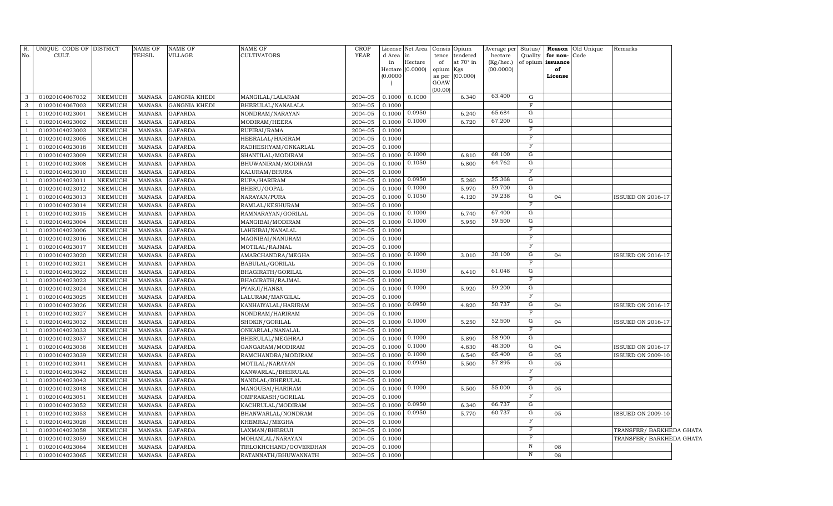| in<br>at 70° in<br>of opium issuance<br>Hectare<br>of<br>(Kg/hec.)<br>in<br>Hectare (0.0000)<br>(00.0000)<br>of<br>opium<br>Kgs<br>(0.0000)<br>(00.000)<br>License<br>as per<br>GOAW<br>(00.00)<br>63.400<br>01020104067032<br>NEEMUCH<br>2004-05<br>0.1000<br>0.1000<br>6.340<br>G<br>3<br>MANASA<br><b>GANGNIA KHEDI</b><br>MANGILAL/LALARAM<br>$\mathbf{3}$<br>01020104067003<br><b>NEEMUCH</b><br>MANASA<br><b>GANGNIA KHEDI</b><br>BHERULAL/NANALALA<br>2004-05<br>0.1000<br>F<br>0.0950<br>65.684<br>$\mathbf G$<br>01020104023001<br><b>NEEMUCH</b><br>MANASA<br><b>GAFARDA</b><br>NONDRAM/NARAYAN<br>2004-05<br>0.1000<br>6.240<br>$\mathbf{1}$<br>0.1000<br>67.200<br>G<br>0.1000<br>6.720<br>$\overline{1}$<br>01020104023002<br><b>NEEMUCH</b><br>MANASA<br><b>GAFARDA</b><br>MODIRAM/HEERA<br>2004-05<br>$\overline{\mathrm{F}}$<br>01020104023003<br><b>NEEMUCH</b><br><b>GAFARDA</b><br>RUPIBAI/RAMA<br>2004-05<br>0.1000<br>MANASA<br>$\mathbf{1}$<br>$\rm F$<br>01020104023005<br><b>NEEMUCH</b><br><b>GAFARDA</b><br>0.1000<br><sup>1</sup><br>MANASA<br>HEERALAL/HARIRAM<br>2004-05<br>$\rm F$<br>2004-05<br>01020104023018<br><b>NEEMUCH</b><br><b>MANASA</b><br><b>GAFARDA</b><br>RADHESHYAM/ONKARLAL<br>0.1000<br>$\mathbf{1}$<br>0.1000<br>G<br>68.100<br><b>NEEMUCH</b><br>0.1000<br>01020104023009<br><b>MANASA</b><br><b>GAFARDA</b><br>SHANTILAL/MODIRAM<br>2004-05<br>6.810<br><sup>1</sup><br>${\rm G}$<br>0.1050<br>64.762<br>2004-05<br>0.1000<br>01020104023008<br><b>NEEMUCH</b><br><b>MANASA</b><br><b>GAFARDA</b><br>BHUWANIRAM/MODIRAM<br>6.800<br>$\overline{1}$<br>F<br>01020104023010<br>NEEMUCH<br><b>MANASA</b><br><b>GAFARDA</b><br>KALURAM/BHURA<br>2004-05<br>0.1000<br>-1<br>0.0950<br>55.368<br>${\rm G}$<br>2004-05<br>01020104023011<br><b>NEEMUCH</b><br><b>MANASA</b><br><b>GAFARDA</b><br>RUPA/HARIRAM<br>0.1000<br>5.260<br>$\overline{1}$<br>0.1000<br>59.700<br>${\rm G}$<br>5.970<br>01020104023012<br>NEEMUCH<br><b>MANASA</b><br><b>GAFARDA</b><br>BHERU/GOPAL<br>2004-05<br>0.1000<br>$\overline{1}$<br>0.1050<br>39.238<br>G<br>2004-05<br>0.1000<br>01020104023013<br>NEEMUCH<br><b>MANASA</b><br><b>GAFARDA</b><br>NARAYAN/PURA<br>4.120<br>04<br><b>ISSUED ON 2016-17</b><br>$\overline{1}$<br>F<br>01020104023014<br>NEEMUCH<br><b>MANASA</b><br><b>GAFARDA</b><br>RAMLAL/KESHURAM<br>2004-05<br>0.1000<br>$\overline{1}$<br>0.1000<br>67.400<br>G<br>01020104023015<br>NEEMUCH<br><b>MANASA</b><br><b>GAFARDA</b><br>RAMNARAYAN/GORILAL<br>2004-05<br>0.1000<br>6.740<br>$\overline{1}$<br>0.1000<br>59.500<br>G<br>0.1000<br>5.950<br>01020104023004<br>NEEMUCH<br><b>MANASA</b><br><b>GAFARDA</b><br>MANGIBAI/MODIRAM<br>2004-05<br>$\overline{1}$<br>$\overline{F}$<br>2004-05<br>01020104023006<br>NEEMUCH<br><b>MANASA</b><br><b>GAFARDA</b><br>LAHRIBAI/NANALAL<br>0.1000<br>$\overline{1}$<br>F<br>NEEMUCH<br>0.1000<br>01020104023016<br><b>MANASA</b><br>GAFARDA<br>MAGNIBAI/NANURAM<br>2004-05<br>$\mathbf{F}$<br>01020104023017<br>NEEMUCH<br><b>MANASA</b><br><b>GAFARDA</b><br>2004-05<br>$\overline{1}$<br>MOTILAL/RAJMAL<br>0.1000<br>0.1000<br>30.100<br>G<br><b>NEEMUCH</b><br>0.1000<br>01020104023020<br>MANASA<br><b>GAFARDA</b><br>AMARCHANDRA/MEGHA<br>2004-05<br>3.010<br>04<br><b>ISSUED ON 2016-17</b><br>$\overline{1}$<br>$\mathbf{F}$<br>01020104023021<br><b>NEEMUCH</b><br>MANASA<br><b>GAFARDA</b><br>BABULAL/GORILAL<br>2004-05<br>0.1000<br>0.1050<br>61.048<br>G<br>0.1000<br>01020104023022<br>NEEMUCH<br>MANASA<br><b>GAFARDA</b><br>BHAGIRATH/GORILAL<br>2004-05<br>6.410<br>$_{\rm F}$<br><b>NEEMUCH</b><br>2004-05<br>01020104023023<br>MANASA<br><b>GAFARDA</b><br>BHAGIRATH/RAJMAL<br>0.1000<br>$\overline{1}$<br>0.1000<br>59.200<br>G<br><b>NEEMUCH</b><br>0.1000<br>5.920<br>$\overline{1}$<br>01020104023024<br><b>MANASA</b><br><b>GAFARDA</b><br>PYARJI/HANSA<br>2004-05<br>$_{\rm F}$<br>01020104023025<br><b>NEEMUCH</b><br><b>MANASA</b><br><b>GAFARDA</b><br>LALURAM/MANGILAL<br>2004-05<br>0.1000<br>0.0950<br>50.737<br>G<br><b>NEEMUCH</b><br><b>GAFARDA</b><br>0.1000<br>04<br>01020104023026<br>MANASA<br>KANHAIYALAL/HARIRAM<br>2004-05<br>4.820<br><b>ISSUED ON 2016-17</b><br>$\overline{1}$<br>F<br>01020104023027<br><b>NEEMUCH</b><br>NONDRAM/HARIRAM<br>2004-05<br>0.1000<br>$\overline{1}$<br><b>MANASA</b><br><b>GAFARDA</b><br>0.1000<br>52.500<br>${\rm G}$<br><b>NEEMUCH</b><br>0.1000<br>5.250<br>04<br>01020104023032<br><b>MANASA</b><br><b>GAFARDA</b><br>SHOKIN/GORILAL<br>2004-05<br><b>ISSUED ON 2016-17</b><br>F<br>01020104023033<br><b>NEEMUCH</b><br><b>MANASA</b><br><b>GAFARDA</b><br>ONKARLAL/NANALAL<br>2004-05<br>0.1000<br>0.1000<br>58.900<br>${\rm G}$<br>01020104023037<br><b>NEEMUCH</b><br><b>MANASA</b><br><b>GAFARDA</b><br>2004-05<br>0.1000<br>5.890<br>BHERULAL/MEGHRAJ<br>0.1000<br>48.300<br>G<br>01020104023038<br>NEEMUCH<br>2004-05<br>4.830<br>$\overline{1}$<br><b>MANASA</b><br><b>GAFARDA</b><br>GANGARAM/MODIRAM<br>0.1000<br>04<br>ISSUED ON 2016-17<br>0.1000<br>G<br>65.400<br><b>NEEMUCH</b><br><b>GAFARDA</b><br>0.1000<br>05<br>01020104023039<br><b>MANASA</b><br>RAMCHANDRA/MODIRAM<br>2004-05<br>6.540<br><b>ISSUED ON 2009-10</b><br>0.0950<br>57.895<br>G<br>01020104023041<br>2004-05<br>0.1000<br>5.500<br>05<br>NEEMUCH<br><b>MANASA</b><br><b>GAFARDA</b><br>MOTILAL/NARAYAN<br>F<br><b>NEEMUCH</b><br>$\overline{1}$<br>01020104023042<br><b>MANASA</b><br><b>GAFARDA</b><br>KANWARLAL/BHERULAL<br>2004-05<br>0.1000<br>F<br>$\overline{1}$<br>01020104023043<br>NEEMUCH<br><b>MANASA</b><br><b>GAFARDA</b><br>NANDLAL/BHERULAL<br>2004-05<br>0.1000<br>0.1000<br>55.000<br>G<br>2004-05<br>0.1000<br>5.500<br>05<br>$\overline{1}$<br>01020104023048<br>NEEMUCH<br><b>MANASA</b><br><b>GAFARDA</b><br>MANGUBAI/HARIRAM<br>F<br>$\overline{1}$<br>01020104023051<br>NEEMUCH<br><b>MANASA</b><br><b>GAFARDA</b><br>OMPRAKASH/GORILAL<br>2004-05<br>0.1000<br>0.0950<br>66.737<br>G<br>0.1000<br>$\overline{1}$<br>01020104023052<br>NEEMUCH<br><b>MANASA</b><br><b>GAFARDA</b><br>KACHRULAL/MODIRAM<br>2004-05<br>6.340<br>0.0950<br>60.737<br>G<br>01020104023053<br><b>NEEMUCH</b><br><b>MANASA</b><br><b>GAFARDA</b><br>BHANWARLAL/NONDRAM<br>2004-05<br>0.1000<br>5.770<br>05<br><b>ISSUED ON 2009-10</b><br>$\overline{1}$<br>F<br>01020104023028<br><b>NEEMUCH</b><br><b>MANASA</b><br><b>GAFARDA</b><br>KHEMRAJ/MEGHA<br>2004-05<br>0.1000<br>$\overline{1}$<br>$\rm F$<br>01020104023058<br><b>NEEMUCH</b><br><b>MANASA</b><br><b>GAFARDA</b><br>LAXMAN/BHERUJI<br>2004-05<br>0.1000<br>TRANSFER/ BARKHEDA GHATA<br>$\mathbf{1}$<br>$_{\rm F}$<br>01020104023059<br><b>NEEMUCH</b><br><b>MANASA</b><br><b>GAFARDA</b><br>2004-05<br>0.1000<br>TRANSFER/ BARKHEDA GHATA<br>$\overline{1}$<br>MOHANLAL/NARAYAN<br>$\, {\rm N}$<br>01020104023064<br><b>NEEMUCH</b><br><b>MANASA</b><br><b>GAFARDA</b><br>2004-05<br>0.1000<br>08<br><sup>1</sup><br>TIRLOKHCHAND/GOVERDHAN<br>$\, {\rm N}$<br>01020104023065<br><b>NEEMUCH</b><br>MANASA<br><b>GAFARDA</b><br>2004-05<br>0.1000<br>08<br>-1<br>RATANNATH/BHUWANNATH | R.  | UNIQUE CODE OF DISTRICT | <b>NAME OF</b> | <b>NAME OF</b> | NAME OF     | <b>CROP</b> |        | License Net Area |       | Consis Opium | Average per Status/ |         |          | <b>Reason</b> Old Unique | Remarks |
|------------------------------------------------------------------------------------------------------------------------------------------------------------------------------------------------------------------------------------------------------------------------------------------------------------------------------------------------------------------------------------------------------------------------------------------------------------------------------------------------------------------------------------------------------------------------------------------------------------------------------------------------------------------------------------------------------------------------------------------------------------------------------------------------------------------------------------------------------------------------------------------------------------------------------------------------------------------------------------------------------------------------------------------------------------------------------------------------------------------------------------------------------------------------------------------------------------------------------------------------------------------------------------------------------------------------------------------------------------------------------------------------------------------------------------------------------------------------------------------------------------------------------------------------------------------------------------------------------------------------------------------------------------------------------------------------------------------------------------------------------------------------------------------------------------------------------------------------------------------------------------------------------------------------------------------------------------------------------------------------------------------------------------------------------------------------------------------------------------------------------------------------------------------------------------------------------------------------------------------------------------------------------------------------------------------------------------------------------------------------------------------------------------------------------------------------------------------------------------------------------------------------------------------------------------------------------------------------------------------------------------------------------------------------------------------------------------------------------------------------------------------------------------------------------------------------------------------------------------------------------------------------------------------------------------------------------------------------------------------------------------------------------------------------------------------------------------------------------------------------------------------------------------------------------------------------------------------------------------------------------------------------------------------------------------------------------------------------------------------------------------------------------------------------------------------------------------------------------------------------------------------------------------------------------------------------------------------------------------------------------------------------------------------------------------------------------------------------------------------------------------------------------------------------------------------------------------------------------------------------------------------------------------------------------------------------------------------------------------------------------------------------------------------------------------------------------------------------------------------------------------------------------------------------------------------------------------------------------------------------------------------------------------------------------------------------------------------------------------------------------------------------------------------------------------------------------------------------------------------------------------------------------------------------------------------------------------------------------------------------------------------------------------------------------------------------------------------------------------------------------------------------------------------------------------------------------------------------------------------------------------------------------------------------------------------------------------------------------------------------------------------------------------------------------------------------------------------------------------------------------------------------------------------------------------------------------------------------------------------------------------------------------------------------------------------------------------------------------------------------------------------------------------------------------------------------------------------------------------------------------------------------------------------------------------------------------------------------------------------------------------------------------------------------------------------------------------------------------------------------------------------------------------------------------------------------------------------------------------------------------------------------------------------------------------------------------------------------------------------------------------------------------------------------------------------------------------------------------------------------------------------------------------------------------------------------------------------------------------------------------------------------------------------------------------------------------------------------------------------------------------------------------------------------------------------------------------------------------------------------------------------------------------------------------------------------------------------------------------------------------------------------------------------------------------------------------------------------------------------------------------------------------------------------------------------------------------------------------------------------------------------------------------------------------------------------------------------------------------------------------------------------------------------------------------------------------------------------------------------|-----|-------------------------|----------------|----------------|-------------|-------------|--------|------------------|-------|--------------|---------------------|---------|----------|--------------------------|---------|
|                                                                                                                                                                                                                                                                                                                                                                                                                                                                                                                                                                                                                                                                                                                                                                                                                                                                                                                                                                                                                                                                                                                                                                                                                                                                                                                                                                                                                                                                                                                                                                                                                                                                                                                                                                                                                                                                                                                                                                                                                                                                                                                                                                                                                                                                                                                                                                                                                                                                                                                                                                                                                                                                                                                                                                                                                                                                                                                                                                                                                                                                                                                                                                                                                                                                                                                                                                                                                                                                                                                                                                                                                                                                                                                                                                                                                                                                                                                                                                                                                                                                                                                                                                                                                                                                                                                                                                                                                                                                                                                                                                                                                                                                                                                                                                                                                                                                                                                                                                                                                                                                                                                                                                                                                                                                                                                                                                                                                                                                                                                                                                                                                                                                                                                                                                                                                                                                                                                                                                                                                                                                                                                                                                                                                                                                                                                                                                                                                                                                                                                                                                                                                                                                                                                                                                                                                                                                                                                                                                                                                                                                                                                  | No. | CULT.                   | <b>TEHSIL</b>  | VILLAGE        | CULTIVATORS | <b>YEAR</b> | d Area |                  | tence | tendered     | hectare             | Quality | for non- | Code                     |         |
|                                                                                                                                                                                                                                                                                                                                                                                                                                                                                                                                                                                                                                                                                                                                                                                                                                                                                                                                                                                                                                                                                                                                                                                                                                                                                                                                                                                                                                                                                                                                                                                                                                                                                                                                                                                                                                                                                                                                                                                                                                                                                                                                                                                                                                                                                                                                                                                                                                                                                                                                                                                                                                                                                                                                                                                                                                                                                                                                                                                                                                                                                                                                                                                                                                                                                                                                                                                                                                                                                                                                                                                                                                                                                                                                                                                                                                                                                                                                                                                                                                                                                                                                                                                                                                                                                                                                                                                                                                                                                                                                                                                                                                                                                                                                                                                                                                                                                                                                                                                                                                                                                                                                                                                                                                                                                                                                                                                                                                                                                                                                                                                                                                                                                                                                                                                                                                                                                                                                                                                                                                                                                                                                                                                                                                                                                                                                                                                                                                                                                                                                                                                                                                                                                                                                                                                                                                                                                                                                                                                                                                                                                                                  |     |                         |                |                |             |             |        |                  |       |              |                     |         |          |                          |         |
|                                                                                                                                                                                                                                                                                                                                                                                                                                                                                                                                                                                                                                                                                                                                                                                                                                                                                                                                                                                                                                                                                                                                                                                                                                                                                                                                                                                                                                                                                                                                                                                                                                                                                                                                                                                                                                                                                                                                                                                                                                                                                                                                                                                                                                                                                                                                                                                                                                                                                                                                                                                                                                                                                                                                                                                                                                                                                                                                                                                                                                                                                                                                                                                                                                                                                                                                                                                                                                                                                                                                                                                                                                                                                                                                                                                                                                                                                                                                                                                                                                                                                                                                                                                                                                                                                                                                                                                                                                                                                                                                                                                                                                                                                                                                                                                                                                                                                                                                                                                                                                                                                                                                                                                                                                                                                                                                                                                                                                                                                                                                                                                                                                                                                                                                                                                                                                                                                                                                                                                                                                                                                                                                                                                                                                                                                                                                                                                                                                                                                                                                                                                                                                                                                                                                                                                                                                                                                                                                                                                                                                                                                                                  |     |                         |                |                |             |             |        |                  |       |              |                     |         |          |                          |         |
|                                                                                                                                                                                                                                                                                                                                                                                                                                                                                                                                                                                                                                                                                                                                                                                                                                                                                                                                                                                                                                                                                                                                                                                                                                                                                                                                                                                                                                                                                                                                                                                                                                                                                                                                                                                                                                                                                                                                                                                                                                                                                                                                                                                                                                                                                                                                                                                                                                                                                                                                                                                                                                                                                                                                                                                                                                                                                                                                                                                                                                                                                                                                                                                                                                                                                                                                                                                                                                                                                                                                                                                                                                                                                                                                                                                                                                                                                                                                                                                                                                                                                                                                                                                                                                                                                                                                                                                                                                                                                                                                                                                                                                                                                                                                                                                                                                                                                                                                                                                                                                                                                                                                                                                                                                                                                                                                                                                                                                                                                                                                                                                                                                                                                                                                                                                                                                                                                                                                                                                                                                                                                                                                                                                                                                                                                                                                                                                                                                                                                                                                                                                                                                                                                                                                                                                                                                                                                                                                                                                                                                                                                                                  |     |                         |                |                |             |             |        |                  |       |              |                     |         |          |                          |         |
|                                                                                                                                                                                                                                                                                                                                                                                                                                                                                                                                                                                                                                                                                                                                                                                                                                                                                                                                                                                                                                                                                                                                                                                                                                                                                                                                                                                                                                                                                                                                                                                                                                                                                                                                                                                                                                                                                                                                                                                                                                                                                                                                                                                                                                                                                                                                                                                                                                                                                                                                                                                                                                                                                                                                                                                                                                                                                                                                                                                                                                                                                                                                                                                                                                                                                                                                                                                                                                                                                                                                                                                                                                                                                                                                                                                                                                                                                                                                                                                                                                                                                                                                                                                                                                                                                                                                                                                                                                                                                                                                                                                                                                                                                                                                                                                                                                                                                                                                                                                                                                                                                                                                                                                                                                                                                                                                                                                                                                                                                                                                                                                                                                                                                                                                                                                                                                                                                                                                                                                                                                                                                                                                                                                                                                                                                                                                                                                                                                                                                                                                                                                                                                                                                                                                                                                                                                                                                                                                                                                                                                                                                                                  |     |                         |                |                |             |             |        |                  |       |              |                     |         |          |                          |         |
|                                                                                                                                                                                                                                                                                                                                                                                                                                                                                                                                                                                                                                                                                                                                                                                                                                                                                                                                                                                                                                                                                                                                                                                                                                                                                                                                                                                                                                                                                                                                                                                                                                                                                                                                                                                                                                                                                                                                                                                                                                                                                                                                                                                                                                                                                                                                                                                                                                                                                                                                                                                                                                                                                                                                                                                                                                                                                                                                                                                                                                                                                                                                                                                                                                                                                                                                                                                                                                                                                                                                                                                                                                                                                                                                                                                                                                                                                                                                                                                                                                                                                                                                                                                                                                                                                                                                                                                                                                                                                                                                                                                                                                                                                                                                                                                                                                                                                                                                                                                                                                                                                                                                                                                                                                                                                                                                                                                                                                                                                                                                                                                                                                                                                                                                                                                                                                                                                                                                                                                                                                                                                                                                                                                                                                                                                                                                                                                                                                                                                                                                                                                                                                                                                                                                                                                                                                                                                                                                                                                                                                                                                                                  |     |                         |                |                |             |             |        |                  |       |              |                     |         |          |                          |         |
|                                                                                                                                                                                                                                                                                                                                                                                                                                                                                                                                                                                                                                                                                                                                                                                                                                                                                                                                                                                                                                                                                                                                                                                                                                                                                                                                                                                                                                                                                                                                                                                                                                                                                                                                                                                                                                                                                                                                                                                                                                                                                                                                                                                                                                                                                                                                                                                                                                                                                                                                                                                                                                                                                                                                                                                                                                                                                                                                                                                                                                                                                                                                                                                                                                                                                                                                                                                                                                                                                                                                                                                                                                                                                                                                                                                                                                                                                                                                                                                                                                                                                                                                                                                                                                                                                                                                                                                                                                                                                                                                                                                                                                                                                                                                                                                                                                                                                                                                                                                                                                                                                                                                                                                                                                                                                                                                                                                                                                                                                                                                                                                                                                                                                                                                                                                                                                                                                                                                                                                                                                                                                                                                                                                                                                                                                                                                                                                                                                                                                                                                                                                                                                                                                                                                                                                                                                                                                                                                                                                                                                                                                                                  |     |                         |                |                |             |             |        |                  |       |              |                     |         |          |                          |         |
|                                                                                                                                                                                                                                                                                                                                                                                                                                                                                                                                                                                                                                                                                                                                                                                                                                                                                                                                                                                                                                                                                                                                                                                                                                                                                                                                                                                                                                                                                                                                                                                                                                                                                                                                                                                                                                                                                                                                                                                                                                                                                                                                                                                                                                                                                                                                                                                                                                                                                                                                                                                                                                                                                                                                                                                                                                                                                                                                                                                                                                                                                                                                                                                                                                                                                                                                                                                                                                                                                                                                                                                                                                                                                                                                                                                                                                                                                                                                                                                                                                                                                                                                                                                                                                                                                                                                                                                                                                                                                                                                                                                                                                                                                                                                                                                                                                                                                                                                                                                                                                                                                                                                                                                                                                                                                                                                                                                                                                                                                                                                                                                                                                                                                                                                                                                                                                                                                                                                                                                                                                                                                                                                                                                                                                                                                                                                                                                                                                                                                                                                                                                                                                                                                                                                                                                                                                                                                                                                                                                                                                                                                                                  |     |                         |                |                |             |             |        |                  |       |              |                     |         |          |                          |         |
|                                                                                                                                                                                                                                                                                                                                                                                                                                                                                                                                                                                                                                                                                                                                                                                                                                                                                                                                                                                                                                                                                                                                                                                                                                                                                                                                                                                                                                                                                                                                                                                                                                                                                                                                                                                                                                                                                                                                                                                                                                                                                                                                                                                                                                                                                                                                                                                                                                                                                                                                                                                                                                                                                                                                                                                                                                                                                                                                                                                                                                                                                                                                                                                                                                                                                                                                                                                                                                                                                                                                                                                                                                                                                                                                                                                                                                                                                                                                                                                                                                                                                                                                                                                                                                                                                                                                                                                                                                                                                                                                                                                                                                                                                                                                                                                                                                                                                                                                                                                                                                                                                                                                                                                                                                                                                                                                                                                                                                                                                                                                                                                                                                                                                                                                                                                                                                                                                                                                                                                                                                                                                                                                                                                                                                                                                                                                                                                                                                                                                                                                                                                                                                                                                                                                                                                                                                                                                                                                                                                                                                                                                                                  |     |                         |                |                |             |             |        |                  |       |              |                     |         |          |                          |         |
|                                                                                                                                                                                                                                                                                                                                                                                                                                                                                                                                                                                                                                                                                                                                                                                                                                                                                                                                                                                                                                                                                                                                                                                                                                                                                                                                                                                                                                                                                                                                                                                                                                                                                                                                                                                                                                                                                                                                                                                                                                                                                                                                                                                                                                                                                                                                                                                                                                                                                                                                                                                                                                                                                                                                                                                                                                                                                                                                                                                                                                                                                                                                                                                                                                                                                                                                                                                                                                                                                                                                                                                                                                                                                                                                                                                                                                                                                                                                                                                                                                                                                                                                                                                                                                                                                                                                                                                                                                                                                                                                                                                                                                                                                                                                                                                                                                                                                                                                                                                                                                                                                                                                                                                                                                                                                                                                                                                                                                                                                                                                                                                                                                                                                                                                                                                                                                                                                                                                                                                                                                                                                                                                                                                                                                                                                                                                                                                                                                                                                                                                                                                                                                                                                                                                                                                                                                                                                                                                                                                                                                                                                                                  |     |                         |                |                |             |             |        |                  |       |              |                     |         |          |                          |         |
|                                                                                                                                                                                                                                                                                                                                                                                                                                                                                                                                                                                                                                                                                                                                                                                                                                                                                                                                                                                                                                                                                                                                                                                                                                                                                                                                                                                                                                                                                                                                                                                                                                                                                                                                                                                                                                                                                                                                                                                                                                                                                                                                                                                                                                                                                                                                                                                                                                                                                                                                                                                                                                                                                                                                                                                                                                                                                                                                                                                                                                                                                                                                                                                                                                                                                                                                                                                                                                                                                                                                                                                                                                                                                                                                                                                                                                                                                                                                                                                                                                                                                                                                                                                                                                                                                                                                                                                                                                                                                                                                                                                                                                                                                                                                                                                                                                                                                                                                                                                                                                                                                                                                                                                                                                                                                                                                                                                                                                                                                                                                                                                                                                                                                                                                                                                                                                                                                                                                                                                                                                                                                                                                                                                                                                                                                                                                                                                                                                                                                                                                                                                                                                                                                                                                                                                                                                                                                                                                                                                                                                                                                                                  |     |                         |                |                |             |             |        |                  |       |              |                     |         |          |                          |         |
|                                                                                                                                                                                                                                                                                                                                                                                                                                                                                                                                                                                                                                                                                                                                                                                                                                                                                                                                                                                                                                                                                                                                                                                                                                                                                                                                                                                                                                                                                                                                                                                                                                                                                                                                                                                                                                                                                                                                                                                                                                                                                                                                                                                                                                                                                                                                                                                                                                                                                                                                                                                                                                                                                                                                                                                                                                                                                                                                                                                                                                                                                                                                                                                                                                                                                                                                                                                                                                                                                                                                                                                                                                                                                                                                                                                                                                                                                                                                                                                                                                                                                                                                                                                                                                                                                                                                                                                                                                                                                                                                                                                                                                                                                                                                                                                                                                                                                                                                                                                                                                                                                                                                                                                                                                                                                                                                                                                                                                                                                                                                                                                                                                                                                                                                                                                                                                                                                                                                                                                                                                                                                                                                                                                                                                                                                                                                                                                                                                                                                                                                                                                                                                                                                                                                                                                                                                                                                                                                                                                                                                                                                                                  |     |                         |                |                |             |             |        |                  |       |              |                     |         |          |                          |         |
|                                                                                                                                                                                                                                                                                                                                                                                                                                                                                                                                                                                                                                                                                                                                                                                                                                                                                                                                                                                                                                                                                                                                                                                                                                                                                                                                                                                                                                                                                                                                                                                                                                                                                                                                                                                                                                                                                                                                                                                                                                                                                                                                                                                                                                                                                                                                                                                                                                                                                                                                                                                                                                                                                                                                                                                                                                                                                                                                                                                                                                                                                                                                                                                                                                                                                                                                                                                                                                                                                                                                                                                                                                                                                                                                                                                                                                                                                                                                                                                                                                                                                                                                                                                                                                                                                                                                                                                                                                                                                                                                                                                                                                                                                                                                                                                                                                                                                                                                                                                                                                                                                                                                                                                                                                                                                                                                                                                                                                                                                                                                                                                                                                                                                                                                                                                                                                                                                                                                                                                                                                                                                                                                                                                                                                                                                                                                                                                                                                                                                                                                                                                                                                                                                                                                                                                                                                                                                                                                                                                                                                                                                                                  |     |                         |                |                |             |             |        |                  |       |              |                     |         |          |                          |         |
|                                                                                                                                                                                                                                                                                                                                                                                                                                                                                                                                                                                                                                                                                                                                                                                                                                                                                                                                                                                                                                                                                                                                                                                                                                                                                                                                                                                                                                                                                                                                                                                                                                                                                                                                                                                                                                                                                                                                                                                                                                                                                                                                                                                                                                                                                                                                                                                                                                                                                                                                                                                                                                                                                                                                                                                                                                                                                                                                                                                                                                                                                                                                                                                                                                                                                                                                                                                                                                                                                                                                                                                                                                                                                                                                                                                                                                                                                                                                                                                                                                                                                                                                                                                                                                                                                                                                                                                                                                                                                                                                                                                                                                                                                                                                                                                                                                                                                                                                                                                                                                                                                                                                                                                                                                                                                                                                                                                                                                                                                                                                                                                                                                                                                                                                                                                                                                                                                                                                                                                                                                                                                                                                                                                                                                                                                                                                                                                                                                                                                                                                                                                                                                                                                                                                                                                                                                                                                                                                                                                                                                                                                                                  |     |                         |                |                |             |             |        |                  |       |              |                     |         |          |                          |         |
|                                                                                                                                                                                                                                                                                                                                                                                                                                                                                                                                                                                                                                                                                                                                                                                                                                                                                                                                                                                                                                                                                                                                                                                                                                                                                                                                                                                                                                                                                                                                                                                                                                                                                                                                                                                                                                                                                                                                                                                                                                                                                                                                                                                                                                                                                                                                                                                                                                                                                                                                                                                                                                                                                                                                                                                                                                                                                                                                                                                                                                                                                                                                                                                                                                                                                                                                                                                                                                                                                                                                                                                                                                                                                                                                                                                                                                                                                                                                                                                                                                                                                                                                                                                                                                                                                                                                                                                                                                                                                                                                                                                                                                                                                                                                                                                                                                                                                                                                                                                                                                                                                                                                                                                                                                                                                                                                                                                                                                                                                                                                                                                                                                                                                                                                                                                                                                                                                                                                                                                                                                                                                                                                                                                                                                                                                                                                                                                                                                                                                                                                                                                                                                                                                                                                                                                                                                                                                                                                                                                                                                                                                                                  |     |                         |                |                |             |             |        |                  |       |              |                     |         |          |                          |         |
|                                                                                                                                                                                                                                                                                                                                                                                                                                                                                                                                                                                                                                                                                                                                                                                                                                                                                                                                                                                                                                                                                                                                                                                                                                                                                                                                                                                                                                                                                                                                                                                                                                                                                                                                                                                                                                                                                                                                                                                                                                                                                                                                                                                                                                                                                                                                                                                                                                                                                                                                                                                                                                                                                                                                                                                                                                                                                                                                                                                                                                                                                                                                                                                                                                                                                                                                                                                                                                                                                                                                                                                                                                                                                                                                                                                                                                                                                                                                                                                                                                                                                                                                                                                                                                                                                                                                                                                                                                                                                                                                                                                                                                                                                                                                                                                                                                                                                                                                                                                                                                                                                                                                                                                                                                                                                                                                                                                                                                                                                                                                                                                                                                                                                                                                                                                                                                                                                                                                                                                                                                                                                                                                                                                                                                                                                                                                                                                                                                                                                                                                                                                                                                                                                                                                                                                                                                                                                                                                                                                                                                                                                                                  |     |                         |                |                |             |             |        |                  |       |              |                     |         |          |                          |         |
|                                                                                                                                                                                                                                                                                                                                                                                                                                                                                                                                                                                                                                                                                                                                                                                                                                                                                                                                                                                                                                                                                                                                                                                                                                                                                                                                                                                                                                                                                                                                                                                                                                                                                                                                                                                                                                                                                                                                                                                                                                                                                                                                                                                                                                                                                                                                                                                                                                                                                                                                                                                                                                                                                                                                                                                                                                                                                                                                                                                                                                                                                                                                                                                                                                                                                                                                                                                                                                                                                                                                                                                                                                                                                                                                                                                                                                                                                                                                                                                                                                                                                                                                                                                                                                                                                                                                                                                                                                                                                                                                                                                                                                                                                                                                                                                                                                                                                                                                                                                                                                                                                                                                                                                                                                                                                                                                                                                                                                                                                                                                                                                                                                                                                                                                                                                                                                                                                                                                                                                                                                                                                                                                                                                                                                                                                                                                                                                                                                                                                                                                                                                                                                                                                                                                                                                                                                                                                                                                                                                                                                                                                                                  |     |                         |                |                |             |             |        |                  |       |              |                     |         |          |                          |         |
|                                                                                                                                                                                                                                                                                                                                                                                                                                                                                                                                                                                                                                                                                                                                                                                                                                                                                                                                                                                                                                                                                                                                                                                                                                                                                                                                                                                                                                                                                                                                                                                                                                                                                                                                                                                                                                                                                                                                                                                                                                                                                                                                                                                                                                                                                                                                                                                                                                                                                                                                                                                                                                                                                                                                                                                                                                                                                                                                                                                                                                                                                                                                                                                                                                                                                                                                                                                                                                                                                                                                                                                                                                                                                                                                                                                                                                                                                                                                                                                                                                                                                                                                                                                                                                                                                                                                                                                                                                                                                                                                                                                                                                                                                                                                                                                                                                                                                                                                                                                                                                                                                                                                                                                                                                                                                                                                                                                                                                                                                                                                                                                                                                                                                                                                                                                                                                                                                                                                                                                                                                                                                                                                                                                                                                                                                                                                                                                                                                                                                                                                                                                                                                                                                                                                                                                                                                                                                                                                                                                                                                                                                                                  |     |                         |                |                |             |             |        |                  |       |              |                     |         |          |                          |         |
|                                                                                                                                                                                                                                                                                                                                                                                                                                                                                                                                                                                                                                                                                                                                                                                                                                                                                                                                                                                                                                                                                                                                                                                                                                                                                                                                                                                                                                                                                                                                                                                                                                                                                                                                                                                                                                                                                                                                                                                                                                                                                                                                                                                                                                                                                                                                                                                                                                                                                                                                                                                                                                                                                                                                                                                                                                                                                                                                                                                                                                                                                                                                                                                                                                                                                                                                                                                                                                                                                                                                                                                                                                                                                                                                                                                                                                                                                                                                                                                                                                                                                                                                                                                                                                                                                                                                                                                                                                                                                                                                                                                                                                                                                                                                                                                                                                                                                                                                                                                                                                                                                                                                                                                                                                                                                                                                                                                                                                                                                                                                                                                                                                                                                                                                                                                                                                                                                                                                                                                                                                                                                                                                                                                                                                                                                                                                                                                                                                                                                                                                                                                                                                                                                                                                                                                                                                                                                                                                                                                                                                                                                                                  |     |                         |                |                |             |             |        |                  |       |              |                     |         |          |                          |         |
|                                                                                                                                                                                                                                                                                                                                                                                                                                                                                                                                                                                                                                                                                                                                                                                                                                                                                                                                                                                                                                                                                                                                                                                                                                                                                                                                                                                                                                                                                                                                                                                                                                                                                                                                                                                                                                                                                                                                                                                                                                                                                                                                                                                                                                                                                                                                                                                                                                                                                                                                                                                                                                                                                                                                                                                                                                                                                                                                                                                                                                                                                                                                                                                                                                                                                                                                                                                                                                                                                                                                                                                                                                                                                                                                                                                                                                                                                                                                                                                                                                                                                                                                                                                                                                                                                                                                                                                                                                                                                                                                                                                                                                                                                                                                                                                                                                                                                                                                                                                                                                                                                                                                                                                                                                                                                                                                                                                                                                                                                                                                                                                                                                                                                                                                                                                                                                                                                                                                                                                                                                                                                                                                                                                                                                                                                                                                                                                                                                                                                                                                                                                                                                                                                                                                                                                                                                                                                                                                                                                                                                                                                                                  |     |                         |                |                |             |             |        |                  |       |              |                     |         |          |                          |         |
|                                                                                                                                                                                                                                                                                                                                                                                                                                                                                                                                                                                                                                                                                                                                                                                                                                                                                                                                                                                                                                                                                                                                                                                                                                                                                                                                                                                                                                                                                                                                                                                                                                                                                                                                                                                                                                                                                                                                                                                                                                                                                                                                                                                                                                                                                                                                                                                                                                                                                                                                                                                                                                                                                                                                                                                                                                                                                                                                                                                                                                                                                                                                                                                                                                                                                                                                                                                                                                                                                                                                                                                                                                                                                                                                                                                                                                                                                                                                                                                                                                                                                                                                                                                                                                                                                                                                                                                                                                                                                                                                                                                                                                                                                                                                                                                                                                                                                                                                                                                                                                                                                                                                                                                                                                                                                                                                                                                                                                                                                                                                                                                                                                                                                                                                                                                                                                                                                                                                                                                                                                                                                                                                                                                                                                                                                                                                                                                                                                                                                                                                                                                                                                                                                                                                                                                                                                                                                                                                                                                                                                                                                                                  |     |                         |                |                |             |             |        |                  |       |              |                     |         |          |                          |         |
|                                                                                                                                                                                                                                                                                                                                                                                                                                                                                                                                                                                                                                                                                                                                                                                                                                                                                                                                                                                                                                                                                                                                                                                                                                                                                                                                                                                                                                                                                                                                                                                                                                                                                                                                                                                                                                                                                                                                                                                                                                                                                                                                                                                                                                                                                                                                                                                                                                                                                                                                                                                                                                                                                                                                                                                                                                                                                                                                                                                                                                                                                                                                                                                                                                                                                                                                                                                                                                                                                                                                                                                                                                                                                                                                                                                                                                                                                                                                                                                                                                                                                                                                                                                                                                                                                                                                                                                                                                                                                                                                                                                                                                                                                                                                                                                                                                                                                                                                                                                                                                                                                                                                                                                                                                                                                                                                                                                                                                                                                                                                                                                                                                                                                                                                                                                                                                                                                                                                                                                                                                                                                                                                                                                                                                                                                                                                                                                                                                                                                                                                                                                                                                                                                                                                                                                                                                                                                                                                                                                                                                                                                                                  |     |                         |                |                |             |             |        |                  |       |              |                     |         |          |                          |         |
|                                                                                                                                                                                                                                                                                                                                                                                                                                                                                                                                                                                                                                                                                                                                                                                                                                                                                                                                                                                                                                                                                                                                                                                                                                                                                                                                                                                                                                                                                                                                                                                                                                                                                                                                                                                                                                                                                                                                                                                                                                                                                                                                                                                                                                                                                                                                                                                                                                                                                                                                                                                                                                                                                                                                                                                                                                                                                                                                                                                                                                                                                                                                                                                                                                                                                                                                                                                                                                                                                                                                                                                                                                                                                                                                                                                                                                                                                                                                                                                                                                                                                                                                                                                                                                                                                                                                                                                                                                                                                                                                                                                                                                                                                                                                                                                                                                                                                                                                                                                                                                                                                                                                                                                                                                                                                                                                                                                                                                                                                                                                                                                                                                                                                                                                                                                                                                                                                                                                                                                                                                                                                                                                                                                                                                                                                                                                                                                                                                                                                                                                                                                                                                                                                                                                                                                                                                                                                                                                                                                                                                                                                                                  |     |                         |                |                |             |             |        |                  |       |              |                     |         |          |                          |         |
|                                                                                                                                                                                                                                                                                                                                                                                                                                                                                                                                                                                                                                                                                                                                                                                                                                                                                                                                                                                                                                                                                                                                                                                                                                                                                                                                                                                                                                                                                                                                                                                                                                                                                                                                                                                                                                                                                                                                                                                                                                                                                                                                                                                                                                                                                                                                                                                                                                                                                                                                                                                                                                                                                                                                                                                                                                                                                                                                                                                                                                                                                                                                                                                                                                                                                                                                                                                                                                                                                                                                                                                                                                                                                                                                                                                                                                                                                                                                                                                                                                                                                                                                                                                                                                                                                                                                                                                                                                                                                                                                                                                                                                                                                                                                                                                                                                                                                                                                                                                                                                                                                                                                                                                                                                                                                                                                                                                                                                                                                                                                                                                                                                                                                                                                                                                                                                                                                                                                                                                                                                                                                                                                                                                                                                                                                                                                                                                                                                                                                                                                                                                                                                                                                                                                                                                                                                                                                                                                                                                                                                                                                                                  |     |                         |                |                |             |             |        |                  |       |              |                     |         |          |                          |         |
|                                                                                                                                                                                                                                                                                                                                                                                                                                                                                                                                                                                                                                                                                                                                                                                                                                                                                                                                                                                                                                                                                                                                                                                                                                                                                                                                                                                                                                                                                                                                                                                                                                                                                                                                                                                                                                                                                                                                                                                                                                                                                                                                                                                                                                                                                                                                                                                                                                                                                                                                                                                                                                                                                                                                                                                                                                                                                                                                                                                                                                                                                                                                                                                                                                                                                                                                                                                                                                                                                                                                                                                                                                                                                                                                                                                                                                                                                                                                                                                                                                                                                                                                                                                                                                                                                                                                                                                                                                                                                                                                                                                                                                                                                                                                                                                                                                                                                                                                                                                                                                                                                                                                                                                                                                                                                                                                                                                                                                                                                                                                                                                                                                                                                                                                                                                                                                                                                                                                                                                                                                                                                                                                                                                                                                                                                                                                                                                                                                                                                                                                                                                                                                                                                                                                                                                                                                                                                                                                                                                                                                                                                                                  |     |                         |                |                |             |             |        |                  |       |              |                     |         |          |                          |         |
|                                                                                                                                                                                                                                                                                                                                                                                                                                                                                                                                                                                                                                                                                                                                                                                                                                                                                                                                                                                                                                                                                                                                                                                                                                                                                                                                                                                                                                                                                                                                                                                                                                                                                                                                                                                                                                                                                                                                                                                                                                                                                                                                                                                                                                                                                                                                                                                                                                                                                                                                                                                                                                                                                                                                                                                                                                                                                                                                                                                                                                                                                                                                                                                                                                                                                                                                                                                                                                                                                                                                                                                                                                                                                                                                                                                                                                                                                                                                                                                                                                                                                                                                                                                                                                                                                                                                                                                                                                                                                                                                                                                                                                                                                                                                                                                                                                                                                                                                                                                                                                                                                                                                                                                                                                                                                                                                                                                                                                                                                                                                                                                                                                                                                                                                                                                                                                                                                                                                                                                                                                                                                                                                                                                                                                                                                                                                                                                                                                                                                                                                                                                                                                                                                                                                                                                                                                                                                                                                                                                                                                                                                                                  |     |                         |                |                |             |             |        |                  |       |              |                     |         |          |                          |         |
|                                                                                                                                                                                                                                                                                                                                                                                                                                                                                                                                                                                                                                                                                                                                                                                                                                                                                                                                                                                                                                                                                                                                                                                                                                                                                                                                                                                                                                                                                                                                                                                                                                                                                                                                                                                                                                                                                                                                                                                                                                                                                                                                                                                                                                                                                                                                                                                                                                                                                                                                                                                                                                                                                                                                                                                                                                                                                                                                                                                                                                                                                                                                                                                                                                                                                                                                                                                                                                                                                                                                                                                                                                                                                                                                                                                                                                                                                                                                                                                                                                                                                                                                                                                                                                                                                                                                                                                                                                                                                                                                                                                                                                                                                                                                                                                                                                                                                                                                                                                                                                                                                                                                                                                                                                                                                                                                                                                                                                                                                                                                                                                                                                                                                                                                                                                                                                                                                                                                                                                                                                                                                                                                                                                                                                                                                                                                                                                                                                                                                                                                                                                                                                                                                                                                                                                                                                                                                                                                                                                                                                                                                                                  |     |                         |                |                |             |             |        |                  |       |              |                     |         |          |                          |         |
|                                                                                                                                                                                                                                                                                                                                                                                                                                                                                                                                                                                                                                                                                                                                                                                                                                                                                                                                                                                                                                                                                                                                                                                                                                                                                                                                                                                                                                                                                                                                                                                                                                                                                                                                                                                                                                                                                                                                                                                                                                                                                                                                                                                                                                                                                                                                                                                                                                                                                                                                                                                                                                                                                                                                                                                                                                                                                                                                                                                                                                                                                                                                                                                                                                                                                                                                                                                                                                                                                                                                                                                                                                                                                                                                                                                                                                                                                                                                                                                                                                                                                                                                                                                                                                                                                                                                                                                                                                                                                                                                                                                                                                                                                                                                                                                                                                                                                                                                                                                                                                                                                                                                                                                                                                                                                                                                                                                                                                                                                                                                                                                                                                                                                                                                                                                                                                                                                                                                                                                                                                                                                                                                                                                                                                                                                                                                                                                                                                                                                                                                                                                                                                                                                                                                                                                                                                                                                                                                                                                                                                                                                                                  |     |                         |                |                |             |             |        |                  |       |              |                     |         |          |                          |         |
|                                                                                                                                                                                                                                                                                                                                                                                                                                                                                                                                                                                                                                                                                                                                                                                                                                                                                                                                                                                                                                                                                                                                                                                                                                                                                                                                                                                                                                                                                                                                                                                                                                                                                                                                                                                                                                                                                                                                                                                                                                                                                                                                                                                                                                                                                                                                                                                                                                                                                                                                                                                                                                                                                                                                                                                                                                                                                                                                                                                                                                                                                                                                                                                                                                                                                                                                                                                                                                                                                                                                                                                                                                                                                                                                                                                                                                                                                                                                                                                                                                                                                                                                                                                                                                                                                                                                                                                                                                                                                                                                                                                                                                                                                                                                                                                                                                                                                                                                                                                                                                                                                                                                                                                                                                                                                                                                                                                                                                                                                                                                                                                                                                                                                                                                                                                                                                                                                                                                                                                                                                                                                                                                                                                                                                                                                                                                                                                                                                                                                                                                                                                                                                                                                                                                                                                                                                                                                                                                                                                                                                                                                                                  |     |                         |                |                |             |             |        |                  |       |              |                     |         |          |                          |         |
|                                                                                                                                                                                                                                                                                                                                                                                                                                                                                                                                                                                                                                                                                                                                                                                                                                                                                                                                                                                                                                                                                                                                                                                                                                                                                                                                                                                                                                                                                                                                                                                                                                                                                                                                                                                                                                                                                                                                                                                                                                                                                                                                                                                                                                                                                                                                                                                                                                                                                                                                                                                                                                                                                                                                                                                                                                                                                                                                                                                                                                                                                                                                                                                                                                                                                                                                                                                                                                                                                                                                                                                                                                                                                                                                                                                                                                                                                                                                                                                                                                                                                                                                                                                                                                                                                                                                                                                                                                                                                                                                                                                                                                                                                                                                                                                                                                                                                                                                                                                                                                                                                                                                                                                                                                                                                                                                                                                                                                                                                                                                                                                                                                                                                                                                                                                                                                                                                                                                                                                                                                                                                                                                                                                                                                                                                                                                                                                                                                                                                                                                                                                                                                                                                                                                                                                                                                                                                                                                                                                                                                                                                                                  |     |                         |                |                |             |             |        |                  |       |              |                     |         |          |                          |         |
|                                                                                                                                                                                                                                                                                                                                                                                                                                                                                                                                                                                                                                                                                                                                                                                                                                                                                                                                                                                                                                                                                                                                                                                                                                                                                                                                                                                                                                                                                                                                                                                                                                                                                                                                                                                                                                                                                                                                                                                                                                                                                                                                                                                                                                                                                                                                                                                                                                                                                                                                                                                                                                                                                                                                                                                                                                                                                                                                                                                                                                                                                                                                                                                                                                                                                                                                                                                                                                                                                                                                                                                                                                                                                                                                                                                                                                                                                                                                                                                                                                                                                                                                                                                                                                                                                                                                                                                                                                                                                                                                                                                                                                                                                                                                                                                                                                                                                                                                                                                                                                                                                                                                                                                                                                                                                                                                                                                                                                                                                                                                                                                                                                                                                                                                                                                                                                                                                                                                                                                                                                                                                                                                                                                                                                                                                                                                                                                                                                                                                                                                                                                                                                                                                                                                                                                                                                                                                                                                                                                                                                                                                                                  |     |                         |                |                |             |             |        |                  |       |              |                     |         |          |                          |         |
|                                                                                                                                                                                                                                                                                                                                                                                                                                                                                                                                                                                                                                                                                                                                                                                                                                                                                                                                                                                                                                                                                                                                                                                                                                                                                                                                                                                                                                                                                                                                                                                                                                                                                                                                                                                                                                                                                                                                                                                                                                                                                                                                                                                                                                                                                                                                                                                                                                                                                                                                                                                                                                                                                                                                                                                                                                                                                                                                                                                                                                                                                                                                                                                                                                                                                                                                                                                                                                                                                                                                                                                                                                                                                                                                                                                                                                                                                                                                                                                                                                                                                                                                                                                                                                                                                                                                                                                                                                                                                                                                                                                                                                                                                                                                                                                                                                                                                                                                                                                                                                                                                                                                                                                                                                                                                                                                                                                                                                                                                                                                                                                                                                                                                                                                                                                                                                                                                                                                                                                                                                                                                                                                                                                                                                                                                                                                                                                                                                                                                                                                                                                                                                                                                                                                                                                                                                                                                                                                                                                                                                                                                                                  |     |                         |                |                |             |             |        |                  |       |              |                     |         |          |                          |         |
|                                                                                                                                                                                                                                                                                                                                                                                                                                                                                                                                                                                                                                                                                                                                                                                                                                                                                                                                                                                                                                                                                                                                                                                                                                                                                                                                                                                                                                                                                                                                                                                                                                                                                                                                                                                                                                                                                                                                                                                                                                                                                                                                                                                                                                                                                                                                                                                                                                                                                                                                                                                                                                                                                                                                                                                                                                                                                                                                                                                                                                                                                                                                                                                                                                                                                                                                                                                                                                                                                                                                                                                                                                                                                                                                                                                                                                                                                                                                                                                                                                                                                                                                                                                                                                                                                                                                                                                                                                                                                                                                                                                                                                                                                                                                                                                                                                                                                                                                                                                                                                                                                                                                                                                                                                                                                                                                                                                                                                                                                                                                                                                                                                                                                                                                                                                                                                                                                                                                                                                                                                                                                                                                                                                                                                                                                                                                                                                                                                                                                                                                                                                                                                                                                                                                                                                                                                                                                                                                                                                                                                                                                                                  |     |                         |                |                |             |             |        |                  |       |              |                     |         |          |                          |         |
|                                                                                                                                                                                                                                                                                                                                                                                                                                                                                                                                                                                                                                                                                                                                                                                                                                                                                                                                                                                                                                                                                                                                                                                                                                                                                                                                                                                                                                                                                                                                                                                                                                                                                                                                                                                                                                                                                                                                                                                                                                                                                                                                                                                                                                                                                                                                                                                                                                                                                                                                                                                                                                                                                                                                                                                                                                                                                                                                                                                                                                                                                                                                                                                                                                                                                                                                                                                                                                                                                                                                                                                                                                                                                                                                                                                                                                                                                                                                                                                                                                                                                                                                                                                                                                                                                                                                                                                                                                                                                                                                                                                                                                                                                                                                                                                                                                                                                                                                                                                                                                                                                                                                                                                                                                                                                                                                                                                                                                                                                                                                                                                                                                                                                                                                                                                                                                                                                                                                                                                                                                                                                                                                                                                                                                                                                                                                                                                                                                                                                                                                                                                                                                                                                                                                                                                                                                                                                                                                                                                                                                                                                                                  |     |                         |                |                |             |             |        |                  |       |              |                     |         |          |                          |         |
|                                                                                                                                                                                                                                                                                                                                                                                                                                                                                                                                                                                                                                                                                                                                                                                                                                                                                                                                                                                                                                                                                                                                                                                                                                                                                                                                                                                                                                                                                                                                                                                                                                                                                                                                                                                                                                                                                                                                                                                                                                                                                                                                                                                                                                                                                                                                                                                                                                                                                                                                                                                                                                                                                                                                                                                                                                                                                                                                                                                                                                                                                                                                                                                                                                                                                                                                                                                                                                                                                                                                                                                                                                                                                                                                                                                                                                                                                                                                                                                                                                                                                                                                                                                                                                                                                                                                                                                                                                                                                                                                                                                                                                                                                                                                                                                                                                                                                                                                                                                                                                                                                                                                                                                                                                                                                                                                                                                                                                                                                                                                                                                                                                                                                                                                                                                                                                                                                                                                                                                                                                                                                                                                                                                                                                                                                                                                                                                                                                                                                                                                                                                                                                                                                                                                                                                                                                                                                                                                                                                                                                                                                                                  |     |                         |                |                |             |             |        |                  |       |              |                     |         |          |                          |         |
|                                                                                                                                                                                                                                                                                                                                                                                                                                                                                                                                                                                                                                                                                                                                                                                                                                                                                                                                                                                                                                                                                                                                                                                                                                                                                                                                                                                                                                                                                                                                                                                                                                                                                                                                                                                                                                                                                                                                                                                                                                                                                                                                                                                                                                                                                                                                                                                                                                                                                                                                                                                                                                                                                                                                                                                                                                                                                                                                                                                                                                                                                                                                                                                                                                                                                                                                                                                                                                                                                                                                                                                                                                                                                                                                                                                                                                                                                                                                                                                                                                                                                                                                                                                                                                                                                                                                                                                                                                                                                                                                                                                                                                                                                                                                                                                                                                                                                                                                                                                                                                                                                                                                                                                                                                                                                                                                                                                                                                                                                                                                                                                                                                                                                                                                                                                                                                                                                                                                                                                                                                                                                                                                                                                                                                                                                                                                                                                                                                                                                                                                                                                                                                                                                                                                                                                                                                                                                                                                                                                                                                                                                                                  |     |                         |                |                |             |             |        |                  |       |              |                     |         |          |                          |         |
|                                                                                                                                                                                                                                                                                                                                                                                                                                                                                                                                                                                                                                                                                                                                                                                                                                                                                                                                                                                                                                                                                                                                                                                                                                                                                                                                                                                                                                                                                                                                                                                                                                                                                                                                                                                                                                                                                                                                                                                                                                                                                                                                                                                                                                                                                                                                                                                                                                                                                                                                                                                                                                                                                                                                                                                                                                                                                                                                                                                                                                                                                                                                                                                                                                                                                                                                                                                                                                                                                                                                                                                                                                                                                                                                                                                                                                                                                                                                                                                                                                                                                                                                                                                                                                                                                                                                                                                                                                                                                                                                                                                                                                                                                                                                                                                                                                                                                                                                                                                                                                                                                                                                                                                                                                                                                                                                                                                                                                                                                                                                                                                                                                                                                                                                                                                                                                                                                                                                                                                                                                                                                                                                                                                                                                                                                                                                                                                                                                                                                                                                                                                                                                                                                                                                                                                                                                                                                                                                                                                                                                                                                                                  |     |                         |                |                |             |             |        |                  |       |              |                     |         |          |                          |         |
|                                                                                                                                                                                                                                                                                                                                                                                                                                                                                                                                                                                                                                                                                                                                                                                                                                                                                                                                                                                                                                                                                                                                                                                                                                                                                                                                                                                                                                                                                                                                                                                                                                                                                                                                                                                                                                                                                                                                                                                                                                                                                                                                                                                                                                                                                                                                                                                                                                                                                                                                                                                                                                                                                                                                                                                                                                                                                                                                                                                                                                                                                                                                                                                                                                                                                                                                                                                                                                                                                                                                                                                                                                                                                                                                                                                                                                                                                                                                                                                                                                                                                                                                                                                                                                                                                                                                                                                                                                                                                                                                                                                                                                                                                                                                                                                                                                                                                                                                                                                                                                                                                                                                                                                                                                                                                                                                                                                                                                                                                                                                                                                                                                                                                                                                                                                                                                                                                                                                                                                                                                                                                                                                                                                                                                                                                                                                                                                                                                                                                                                                                                                                                                                                                                                                                                                                                                                                                                                                                                                                                                                                                                                  |     |                         |                |                |             |             |        |                  |       |              |                     |         |          |                          |         |
|                                                                                                                                                                                                                                                                                                                                                                                                                                                                                                                                                                                                                                                                                                                                                                                                                                                                                                                                                                                                                                                                                                                                                                                                                                                                                                                                                                                                                                                                                                                                                                                                                                                                                                                                                                                                                                                                                                                                                                                                                                                                                                                                                                                                                                                                                                                                                                                                                                                                                                                                                                                                                                                                                                                                                                                                                                                                                                                                                                                                                                                                                                                                                                                                                                                                                                                                                                                                                                                                                                                                                                                                                                                                                                                                                                                                                                                                                                                                                                                                                                                                                                                                                                                                                                                                                                                                                                                                                                                                                                                                                                                                                                                                                                                                                                                                                                                                                                                                                                                                                                                                                                                                                                                                                                                                                                                                                                                                                                                                                                                                                                                                                                                                                                                                                                                                                                                                                                                                                                                                                                                                                                                                                                                                                                                                                                                                                                                                                                                                                                                                                                                                                                                                                                                                                                                                                                                                                                                                                                                                                                                                                                                  |     |                         |                |                |             |             |        |                  |       |              |                     |         |          |                          |         |
|                                                                                                                                                                                                                                                                                                                                                                                                                                                                                                                                                                                                                                                                                                                                                                                                                                                                                                                                                                                                                                                                                                                                                                                                                                                                                                                                                                                                                                                                                                                                                                                                                                                                                                                                                                                                                                                                                                                                                                                                                                                                                                                                                                                                                                                                                                                                                                                                                                                                                                                                                                                                                                                                                                                                                                                                                                                                                                                                                                                                                                                                                                                                                                                                                                                                                                                                                                                                                                                                                                                                                                                                                                                                                                                                                                                                                                                                                                                                                                                                                                                                                                                                                                                                                                                                                                                                                                                                                                                                                                                                                                                                                                                                                                                                                                                                                                                                                                                                                                                                                                                                                                                                                                                                                                                                                                                                                                                                                                                                                                                                                                                                                                                                                                                                                                                                                                                                                                                                                                                                                                                                                                                                                                                                                                                                                                                                                                                                                                                                                                                                                                                                                                                                                                                                                                                                                                                                                                                                                                                                                                                                                                                  |     |                         |                |                |             |             |        |                  |       |              |                     |         |          |                          |         |
|                                                                                                                                                                                                                                                                                                                                                                                                                                                                                                                                                                                                                                                                                                                                                                                                                                                                                                                                                                                                                                                                                                                                                                                                                                                                                                                                                                                                                                                                                                                                                                                                                                                                                                                                                                                                                                                                                                                                                                                                                                                                                                                                                                                                                                                                                                                                                                                                                                                                                                                                                                                                                                                                                                                                                                                                                                                                                                                                                                                                                                                                                                                                                                                                                                                                                                                                                                                                                                                                                                                                                                                                                                                                                                                                                                                                                                                                                                                                                                                                                                                                                                                                                                                                                                                                                                                                                                                                                                                                                                                                                                                                                                                                                                                                                                                                                                                                                                                                                                                                                                                                                                                                                                                                                                                                                                                                                                                                                                                                                                                                                                                                                                                                                                                                                                                                                                                                                                                                                                                                                                                                                                                                                                                                                                                                                                                                                                                                                                                                                                                                                                                                                                                                                                                                                                                                                                                                                                                                                                                                                                                                                                                  |     |                         |                |                |             |             |        |                  |       |              |                     |         |          |                          |         |
|                                                                                                                                                                                                                                                                                                                                                                                                                                                                                                                                                                                                                                                                                                                                                                                                                                                                                                                                                                                                                                                                                                                                                                                                                                                                                                                                                                                                                                                                                                                                                                                                                                                                                                                                                                                                                                                                                                                                                                                                                                                                                                                                                                                                                                                                                                                                                                                                                                                                                                                                                                                                                                                                                                                                                                                                                                                                                                                                                                                                                                                                                                                                                                                                                                                                                                                                                                                                                                                                                                                                                                                                                                                                                                                                                                                                                                                                                                                                                                                                                                                                                                                                                                                                                                                                                                                                                                                                                                                                                                                                                                                                                                                                                                                                                                                                                                                                                                                                                                                                                                                                                                                                                                                                                                                                                                                                                                                                                                                                                                                                                                                                                                                                                                                                                                                                                                                                                                                                                                                                                                                                                                                                                                                                                                                                                                                                                                                                                                                                                                                                                                                                                                                                                                                                                                                                                                                                                                                                                                                                                                                                                                                  |     |                         |                |                |             |             |        |                  |       |              |                     |         |          |                          |         |
|                                                                                                                                                                                                                                                                                                                                                                                                                                                                                                                                                                                                                                                                                                                                                                                                                                                                                                                                                                                                                                                                                                                                                                                                                                                                                                                                                                                                                                                                                                                                                                                                                                                                                                                                                                                                                                                                                                                                                                                                                                                                                                                                                                                                                                                                                                                                                                                                                                                                                                                                                                                                                                                                                                                                                                                                                                                                                                                                                                                                                                                                                                                                                                                                                                                                                                                                                                                                                                                                                                                                                                                                                                                                                                                                                                                                                                                                                                                                                                                                                                                                                                                                                                                                                                                                                                                                                                                                                                                                                                                                                                                                                                                                                                                                                                                                                                                                                                                                                                                                                                                                                                                                                                                                                                                                                                                                                                                                                                                                                                                                                                                                                                                                                                                                                                                                                                                                                                                                                                                                                                                                                                                                                                                                                                                                                                                                                                                                                                                                                                                                                                                                                                                                                                                                                                                                                                                                                                                                                                                                                                                                                                                  |     |                         |                |                |             |             |        |                  |       |              |                     |         |          |                          |         |
|                                                                                                                                                                                                                                                                                                                                                                                                                                                                                                                                                                                                                                                                                                                                                                                                                                                                                                                                                                                                                                                                                                                                                                                                                                                                                                                                                                                                                                                                                                                                                                                                                                                                                                                                                                                                                                                                                                                                                                                                                                                                                                                                                                                                                                                                                                                                                                                                                                                                                                                                                                                                                                                                                                                                                                                                                                                                                                                                                                                                                                                                                                                                                                                                                                                                                                                                                                                                                                                                                                                                                                                                                                                                                                                                                                                                                                                                                                                                                                                                                                                                                                                                                                                                                                                                                                                                                                                                                                                                                                                                                                                                                                                                                                                                                                                                                                                                                                                                                                                                                                                                                                                                                                                                                                                                                                                                                                                                                                                                                                                                                                                                                                                                                                                                                                                                                                                                                                                                                                                                                                                                                                                                                                                                                                                                                                                                                                                                                                                                                                                                                                                                                                                                                                                                                                                                                                                                                                                                                                                                                                                                                                                  |     |                         |                |                |             |             |        |                  |       |              |                     |         |          |                          |         |
|                                                                                                                                                                                                                                                                                                                                                                                                                                                                                                                                                                                                                                                                                                                                                                                                                                                                                                                                                                                                                                                                                                                                                                                                                                                                                                                                                                                                                                                                                                                                                                                                                                                                                                                                                                                                                                                                                                                                                                                                                                                                                                                                                                                                                                                                                                                                                                                                                                                                                                                                                                                                                                                                                                                                                                                                                                                                                                                                                                                                                                                                                                                                                                                                                                                                                                                                                                                                                                                                                                                                                                                                                                                                                                                                                                                                                                                                                                                                                                                                                                                                                                                                                                                                                                                                                                                                                                                                                                                                                                                                                                                                                                                                                                                                                                                                                                                                                                                                                                                                                                                                                                                                                                                                                                                                                                                                                                                                                                                                                                                                                                                                                                                                                                                                                                                                                                                                                                                                                                                                                                                                                                                                                                                                                                                                                                                                                                                                                                                                                                                                                                                                                                                                                                                                                                                                                                                                                                                                                                                                                                                                                                                  |     |                         |                |                |             |             |        |                  |       |              |                     |         |          |                          |         |
|                                                                                                                                                                                                                                                                                                                                                                                                                                                                                                                                                                                                                                                                                                                                                                                                                                                                                                                                                                                                                                                                                                                                                                                                                                                                                                                                                                                                                                                                                                                                                                                                                                                                                                                                                                                                                                                                                                                                                                                                                                                                                                                                                                                                                                                                                                                                                                                                                                                                                                                                                                                                                                                                                                                                                                                                                                                                                                                                                                                                                                                                                                                                                                                                                                                                                                                                                                                                                                                                                                                                                                                                                                                                                                                                                                                                                                                                                                                                                                                                                                                                                                                                                                                                                                                                                                                                                                                                                                                                                                                                                                                                                                                                                                                                                                                                                                                                                                                                                                                                                                                                                                                                                                                                                                                                                                                                                                                                                                                                                                                                                                                                                                                                                                                                                                                                                                                                                                                                                                                                                                                                                                                                                                                                                                                                                                                                                                                                                                                                                                                                                                                                                                                                                                                                                                                                                                                                                                                                                                                                                                                                                                                  |     |                         |                |                |             |             |        |                  |       |              |                     |         |          |                          |         |
|                                                                                                                                                                                                                                                                                                                                                                                                                                                                                                                                                                                                                                                                                                                                                                                                                                                                                                                                                                                                                                                                                                                                                                                                                                                                                                                                                                                                                                                                                                                                                                                                                                                                                                                                                                                                                                                                                                                                                                                                                                                                                                                                                                                                                                                                                                                                                                                                                                                                                                                                                                                                                                                                                                                                                                                                                                                                                                                                                                                                                                                                                                                                                                                                                                                                                                                                                                                                                                                                                                                                                                                                                                                                                                                                                                                                                                                                                                                                                                                                                                                                                                                                                                                                                                                                                                                                                                                                                                                                                                                                                                                                                                                                                                                                                                                                                                                                                                                                                                                                                                                                                                                                                                                                                                                                                                                                                                                                                                                                                                                                                                                                                                                                                                                                                                                                                                                                                                                                                                                                                                                                                                                                                                                                                                                                                                                                                                                                                                                                                                                                                                                                                                                                                                                                                                                                                                                                                                                                                                                                                                                                                                                  |     |                         |                |                |             |             |        |                  |       |              |                     |         |          |                          |         |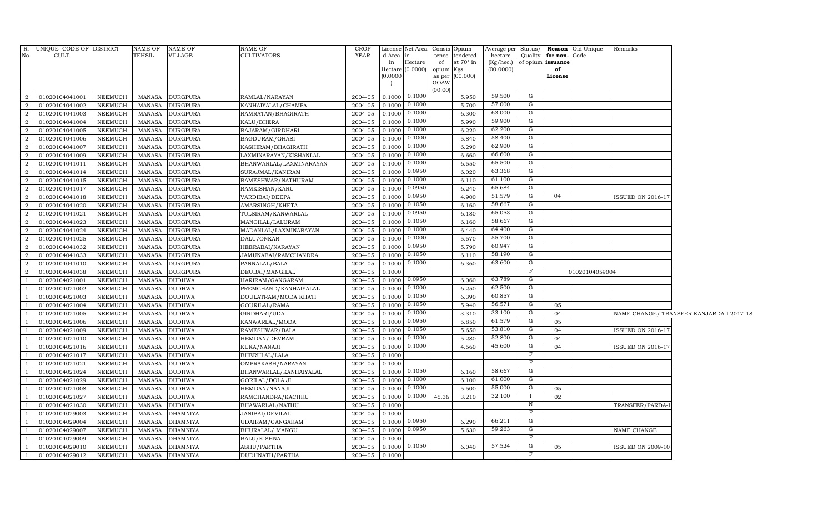|                | R. UNIQUE CODE OF DISTRICT |                | NAME OF       | NAME OF         | <b>NAME OF</b>          | <b>CROP</b> |                 | License Net Area   Consis   Opium |                 |                              | Average per          |                |                               | Status/ <b>Reason</b> Old Unique | Remarks                  |                                          |
|----------------|----------------------------|----------------|---------------|-----------------|-------------------------|-------------|-----------------|-----------------------------------|-----------------|------------------------------|----------------------|----------------|-------------------------------|----------------------------------|--------------------------|------------------------------------------|
| No.            | CULT.                      |                | TEHSIL        | VILLAGE         | <b>CULTIVATORS</b>      | <b>YEAR</b> | d Area in<br>in | Hectare                           | tence<br>of     | tendered<br>at $70^\circ$ in | hectare<br>(Kg/hec.) | Quality        | for non-<br>of opium issuance | Code                             |                          |                                          |
|                |                            |                |               |                 |                         |             |                 | Hectare $(0.0000)$                | opium           | Kgs                          | (00.0000)            |                | of                            |                                  |                          |                                          |
|                |                            |                |               |                 |                         |             | (0.0000)        |                                   | as per          | (00.000)                     |                      |                | License                       |                                  |                          |                                          |
|                |                            |                |               |                 |                         |             |                 |                                   | GOAW<br>(00.00) |                              |                      |                |                               |                                  |                          |                                          |
| $\overline{a}$ | 01020104041001             | NEEMUCH        | MANASA        | <b>DURGPURA</b> | RAMLAL/NARAYAN          | 2004-05     | 0.1000          | 0.1000                            |                 | 5.950                        | 59.500               | G              |                               |                                  |                          |                                          |
| $\overline{2}$ | 01020104041002             | <b>NEEMUCH</b> | MANASA        | <b>DURGPURA</b> | KANHAIYALAL/CHAMPA      | 2004-05     | 0.1000          | 0.1000                            |                 | 5.700                        | 57.000               | G              |                               |                                  |                          |                                          |
| $\overline{2}$ | 01020104041003             | NEEMUCH        | MANASA        | <b>DURGPURA</b> | RAMRATAN/BHAGIRATH      | 2004-05     | 0.1000          | 0.1000                            |                 | 6.300                        | 63.000               | G              |                               |                                  |                          |                                          |
| $\overline{a}$ | 01020104041004             | NEEMUCH        | MANASA        | <b>DURGPURA</b> | KALU/BHERA              | 2004-05     | 0.1000          | 0.1000                            |                 | 5.990                        | 59.900               | G              |                               |                                  |                          |                                          |
| $\overline{2}$ | 01020104041005             | NEEMUCH        | <b>MANASA</b> | <b>DURGPURA</b> | RAJARAM/GIRDHARI        | 2004-05     | 0.1000          | 0.1000                            |                 | 6.220                        | 62.200               | G              |                               |                                  |                          |                                          |
| $\overline{2}$ | 01020104041006             | <b>NEEMUCH</b> | <b>MANASA</b> | <b>DURGPURA</b> | BAGDURAM/GHASI          | 2004-05     | 0.1000          | 0.1000                            |                 | 5.840                        | 58.400               | G              |                               |                                  |                          |                                          |
| 2              | 01020104041007             | NEEMUCH        | MANASA        | <b>DURGPURA</b> | KASHIRAM/BHAGIRATH      | 2004-05     | 0.1000          | 0.1000                            |                 | 6.290                        | 62.900               | G              |                               |                                  |                          |                                          |
| $\overline{a}$ | 01020104041009             | <b>NEEMUCH</b> | MANASA        | <b>DURGPURA</b> | LAXMINARAYAN/KISHANLAL  | 2004-05     | 0.1000          | 0.1000                            |                 | 6.660                        | 66.600               | G              |                               |                                  |                          |                                          |
| 2              | 01020104041011             | NEEMUCH        | <b>MANASA</b> | <b>DURGPURA</b> | BHANWARLAL/LAXMINARAYAN | 2004-05     | 0.1000          | 0.1000                            |                 | 6.550                        | 65.500               | G              |                               |                                  |                          |                                          |
| 2              | 01020104041014             | <b>NEEMUCH</b> | MANASA        | <b>DURGPURA</b> | SURAJMAL/KANIRAM        | 2004-05     | 0.1000          | 0.0950                            |                 | 6.020                        | 63.368               | G              |                               |                                  |                          |                                          |
| 2              | 01020104041015             | <b>NEEMUCH</b> | <b>MANASA</b> | <b>DURGPURA</b> | RAMESHWAR/NATHURAM      | 2004-05     | 0.1000          | 0.1000                            |                 | 6.110                        | 61.100               | G              |                               |                                  |                          |                                          |
| $\overline{a}$ | 01020104041017             | <b>NEEMUCH</b> | <b>MANASA</b> | <b>DURGPURA</b> | RAMKISHAN/KARU          | 2004-05     | 0.1000          | 0.0950                            |                 | 6.240                        | 65.684               | G              |                               |                                  |                          |                                          |
| 2              | 01020104041018             | NEEMUCH        | <b>MANASA</b> | <b>DURGPURA</b> | VARDIBAI/DEEPA          | 2004-05     | 0.1000          | 0.0950                            |                 | 4.900                        | 51.579               | $\overline{G}$ | 04                            |                                  | <b>ISSUED ON 2016-17</b> |                                          |
| $\overline{2}$ | 01020104041020             | <b>NEEMUCH</b> | <b>MANASA</b> | <b>DURGPURA</b> | AMARSINGH/KHETA         | 2004-05     | 0.1000          | 0.1050                            |                 | 6.160                        | 58.667               | $\overline{G}$ |                               |                                  |                          |                                          |
| $\overline{2}$ | 01020104041021             | NEEMUCH        | MANASA        | <b>DURGPURA</b> | TULSIRAM/KANWARLAL      | 2004-05     | 0.1000          | 0.0950                            |                 | 6.180                        | 65.053               | $\overline{G}$ |                               |                                  |                          |                                          |
| $\overline{2}$ | 01020104041023             | NEEMUCH        | <b>MANASA</b> | <b>DURGPURA</b> | MANGILAL/LALURAM        | 2004-05     | 0.1000          | 0.1050                            |                 | 6.160                        | 58.667               | $\overline{G}$ |                               |                                  |                          |                                          |
| $\overline{2}$ | 01020104041024             | <b>NEEMUCH</b> | <b>MANASA</b> | <b>DURGPURA</b> | MADANLAL/LAXMINARAYAN   | 2004-05     | 0.1000          | 0.1000                            |                 | 6.440                        | 64.400               | G              |                               |                                  |                          |                                          |
| $\overline{2}$ | 01020104041025             | <b>NEEMUCH</b> | <b>MANASA</b> | <b>DURGPURA</b> | DALU/ONKAR              | 2004-05     | 0.1000          | 0.1000                            |                 | 5.570                        | 55.700               | G              |                               |                                  |                          |                                          |
| $\overline{2}$ | 01020104041032             | <b>NEEMUCH</b> | <b>MANASA</b> | <b>DURGPURA</b> | HEERABAI/NARAYAN        | 2004-05     | 0.1000          | 0.0950                            |                 | 5.790                        | 60.947               | G              |                               |                                  |                          |                                          |
| $\overline{2}$ | 01020104041033             | <b>NEEMUCH</b> | <b>MANASA</b> | <b>DURGPURA</b> | JAMUNABAI/RAMCHANDRA    | 2004-05     | 0.1000          | 0.1050                            |                 | 6.110                        | 58.190               | G              |                               |                                  |                          |                                          |
| $\overline{2}$ | 01020104041010             | <b>NEEMUCH</b> | <b>MANASA</b> | <b>DURGPURA</b> | PANNALAL/BALA           | 2004-05     | 0.1000          | 0.1000                            |                 | 6.360                        | 63.600               | G              |                               |                                  |                          |                                          |
| $\overline{2}$ | 01020104041038             | NEEMUCH        | <b>MANASA</b> | <b>DURGPURA</b> | DEUBAI/MANGILAL         | 2004-05     | 0.1000          |                                   |                 |                              |                      | $_{\rm F}$     |                               | 01020104059004                   |                          |                                          |
| $\overline{1}$ | 01020104021001             | <b>NEEMUCH</b> | <b>MANASA</b> | <b>DUDHWA</b>   | HARIRAM/GANGARAM        | 2004-05     | 0.1000          | 0.0950                            |                 | 6.060                        | 63.789               | G              |                               |                                  |                          |                                          |
| $\overline{1}$ | 01020104021002             | <b>NEEMUCH</b> | <b>MANASA</b> | <b>DUDHWA</b>   | PREMCHAND/KANHAIYALAL   | 2004-05     | 0.1000          | 0.1000                            |                 | 6.250                        | 62.500               | G              |                               |                                  |                          |                                          |
| -1             | 01020104021003             | <b>NEEMUCH</b> | <b>MANASA</b> | <b>DUDHWA</b>   | DOULATRAM/MODA KHATI    | 2004-05     | 0.1000          | 0.1050                            |                 | 6.390                        | 60.857               | G              |                               |                                  |                          |                                          |
| -1             | 01020104021004             | <b>NEEMUCH</b> | <b>MANASA</b> | <b>DUDHWA</b>   | GOURILAL/RAMA           | 2004-05     | 0.1000          | 0.1050                            |                 | 5.940                        | 56.571               | G              | 05                            |                                  |                          |                                          |
| $\overline{1}$ | 01020104021005             | <b>NEEMUCH</b> | <b>MANASA</b> | <b>DUDHWA</b>   | GIRDHARI/UDA            | 2004-05     | 0.1000          | 0.1000                            |                 | 3.310                        | 33.100               | G              | 04                            |                                  |                          | NAME CHANGE/ TRANSFER KANJARDA-I 2017-18 |
| <sup>1</sup>   | 01020104021006             | NEEMUCH        | <b>MANASA</b> | <b>DUDHWA</b>   | KANWARLAL/MODA          | 2004-05     | 0.1000          | 0.0950                            |                 | 5.850                        | 61.579               | G              | 05                            |                                  |                          |                                          |
| <sup>1</sup>   | 01020104021009             | <b>NEEMUCH</b> | <b>MANASA</b> | <b>DUDHWA</b>   | RAMESHWAR/BALA          | 2004-05     | 0.1000          | 0.1050                            |                 | 5.650                        | 53.810               | G              | 04                            |                                  | <b>ISSUED ON 2016-17</b> |                                          |
| <sup>1</sup>   | 01020104021010             | NEEMUCH        | <b>MANASA</b> | <b>DUDHWA</b>   | HEMDAN/DEVRAM           | 2004-05     | 0.1000          | 0.1000                            |                 | 5.280                        | 52.800               | G              | 04                            |                                  |                          |                                          |
| $\overline{1}$ | 01020104021016             | NEEMUCH        | <b>MANASA</b> | <b>DUDHWA</b>   | KUKA/NANAJI             | 2004-05     | 0.1000          | 0.1000                            |                 | 4.560                        | 45.600               | G              | 04                            |                                  | <b>ISSUED ON 2016-17</b> |                                          |
| -1             | 01020104021017             | NEEMUCH        | <b>MANASA</b> | <b>DUDHWA</b>   | BHERULAL/LALA           | 2004-05     | 0.1000          |                                   |                 |                              |                      | $_{\rm F}$     |                               |                                  |                          |                                          |
| $\overline{1}$ | 01020104021021             | NEEMUCH        | <b>MANASA</b> | <b>DUDHWA</b>   | OMPRAKASH/NARAYAN       | 2004-05     | 0.1000          |                                   |                 |                              |                      | $_{\rm F}$     |                               |                                  |                          |                                          |
| -1             | 01020104021024             | NEEMUCH        | <b>MANASA</b> | <b>DUDHWA</b>   | BHANWARLAL/KANHAIYALAL  | 2004-05     | 0.1000          | 0.1050                            |                 | 6.160                        | 58.667               | G              |                               |                                  |                          |                                          |
| $\overline{1}$ | 01020104021029             | <b>NEEMUCH</b> | <b>MANASA</b> | <b>DUDHWA</b>   | <b>GORILAL/DOLA JI</b>  | 2004-05     | 0.1000          | 0.1000                            |                 | 6.100                        | 61.000               | G              |                               |                                  |                          |                                          |
| <sup>1</sup>   | 01020104021008             | <b>NEEMUCH</b> | <b>MANASA</b> | <b>DUDHWA</b>   | HEMDAN/NANAJI           | 2004-05     | 0.1000          | 0.1000                            |                 | 5.500                        | 55.000               | G              | 05                            |                                  |                          |                                          |
| - 1            | 01020104021027             | <b>NEEMUCH</b> | <b>MANASA</b> | <b>DUDHWA</b>   | RAMCHANDRA/KACHRU       | 2004-05     | 0.1000          | 0.1000                            | 45.36           | 3.210                        | 32.100               | $\mathbf I$    | 02                            |                                  |                          |                                          |
| -1             | 01020104021030             | NEEMUCH        | MANASA        | <b>DUDHWA</b>   | BHAWARLAL/NATHU         | 2004-05     | 0.1000          |                                   |                 |                              |                      | N              |                               |                                  | TRANSFER/PARDA-1         |                                          |
| - 1            | 01020104029003             | <b>NEEMUCH</b> | MANASA        | <b>DHAMNIYA</b> | JANIBAI/DEVILAL         | 2004-05     | 0.1000          |                                   |                 |                              |                      | $_{\rm F}$     |                               |                                  |                          |                                          |
| - 1            | 01020104029004             | NEEMUCH        | MANASA        | DHAMNIYA        | UDAIRAM/GANGARAM        | 2004-05     | 0.1000          | 0.0950                            |                 | 6.290                        | 66.211               | G              |                               |                                  |                          |                                          |
| -1             | 01020104029007             | <b>NEEMUCH</b> | MANASA        | DHAMNIYA        | BHURALAL/ MANGU         | 2004-05     | 0.1000          | 0.0950                            |                 | 5.630                        | 59.263               | G              |                               |                                  | NAME CHANGE              |                                          |
| -1             | 01020104029009             | <b>NEEMUCH</b> | MANASA        | <b>DHAMNIYA</b> | BALU/KISHNA             | 2004-05     | 0.1000          |                                   |                 |                              |                      | F              |                               |                                  |                          |                                          |
| $\overline{1}$ | 01020104029010             | <b>NEEMUCH</b> | MANASA        | <b>DHAMNIYA</b> | ASHU/PARTHA             | 2004-05     | 0.1000          | 0.1050                            |                 | 6.040                        | 57.524               | G              | 05                            |                                  | <b>ISSUED ON 2009-10</b> |                                          |
| $\overline{1}$ | 01020104029012             | NEEMUCH        | MANASA        | <b>DHAMNIYA</b> | DUDHNATH/PARTHA         | 2004-05     | 0.1000          |                                   |                 |                              |                      | F              |                               |                                  |                          |                                          |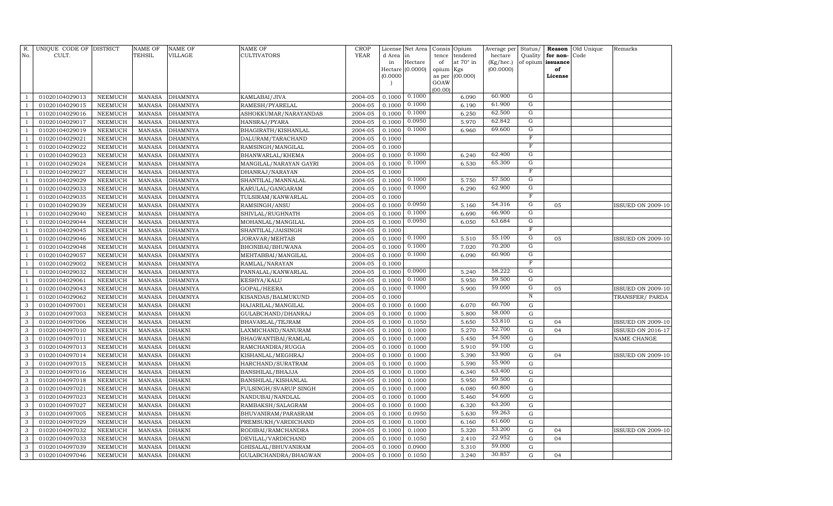| R.<br>No.      | UNIQUE CODE OF DISTRICT<br>CULT. |                | <b>NAME OF</b><br>TEHSIL | <b>NAME OF</b><br>VILLAGE | NAME OF<br>CULTIVATORS | <b>CROP</b><br><b>YEAR</b> | d Area in<br>in | License Net Area<br>Hectare | Consis<br>tence<br>of | Opium<br>tendered<br>at 70° in | Average per<br>hectare<br>(Kg/hec.) | Status/<br>Quality<br>of opium | Reason<br>for non-<br>issuance | Old Unique<br>Code | Remarks                  |
|----------------|----------------------------------|----------------|--------------------------|---------------------------|------------------------|----------------------------|-----------------|-----------------------------|-----------------------|--------------------------------|-------------------------------------|--------------------------------|--------------------------------|--------------------|--------------------------|
|                |                                  |                |                          |                           |                        |                            |                 | Hectare (0.0000)            | opium                 | Kgs                            | (00.0000)                           |                                | of                             |                    |                          |
|                |                                  |                |                          |                           |                        |                            | (0.0000)        |                             | as per                | (00.000)                       |                                     |                                | License                        |                    |                          |
|                |                                  |                |                          |                           |                        |                            |                 |                             | GOAW                  |                                |                                     |                                |                                |                    |                          |
| $\mathbf{1}$   | 01020104029013                   | <b>NEEMUCH</b> | <b>MANASA</b>            | <b>DHAMNIYA</b>           | KAMLABAI/JIVA          | 2004-05                    | 0.1000          | 0.1000                      | (00.00)               | 6.090                          | 60.900                              | G                              |                                |                    |                          |
| $\mathbf{1}$   | 01020104029015                   | <b>NEEMUCH</b> | <b>MANASA</b>            | <b>DHAMNIYA</b>           | RAMESH/PYARELAL        | 2004-05                    | 0.1000          | 0.1000                      |                       | 6.190                          | 61.900                              | ${\rm G}$                      |                                |                    |                          |
| $\mathbf{1}$   | 01020104029016                   | NEEMUCH        | <b>MANASA</b>            | <b>DHAMNIYA</b>           | ASHOKKUMAR/NARAYANDAS  | 2004-05                    | 0.1000          | 0.1000                      |                       | 6.250                          | 62.500                              | ${\rm G}$                      |                                |                    |                          |
| $\mathbf{1}$   | 01020104029017                   | <b>NEEMUCH</b> | <b>MANASA</b>            | <b>DHAMNIYA</b>           | HANSRAJ/PYARA          | 2004-05                    | 0.1000          | 0.0950                      |                       | 5.970                          | 62.842                              | G                              |                                |                    |                          |
| $\mathbf{1}$   | 01020104029019                   | <b>NEEMUCH</b> | <b>MANASA</b>            | <b>DHAMNIYA</b>           | BHAGIRATH / KISHANLAL  | 2004-05                    | 0.1000          | 0.1000                      |                       | 6.960                          | 69.600                              | G                              |                                |                    |                          |
| $\mathbf{1}$   | 01020104029021                   | <b>NEEMUCH</b> | <b>MANASA</b>            | <b>DHAMNIYA</b>           | DALURAM/TARACHAND      | 2004-05                    | 0.1000          |                             |                       |                                |                                     | $\overline{F}$                 |                                |                    |                          |
| $\mathbf{1}$   | 01020104029022                   | <b>NEEMUCH</b> | <b>MANASA</b>            | <b>DHAMNIYA</b>           | RAMSINGH/MANGILAL      | 2004-05                    | 0.1000          |                             |                       |                                |                                     | $\overline{F}$                 |                                |                    |                          |
| $\mathbf{1}$   | 01020104029023                   | <b>NEEMUCH</b> | <b>MANASA</b>            | <b>DHAMNIYA</b>           | BHANWARLAL/KHEMA       | 2004-05                    | 0.1000          | 0.1000                      |                       | 6.240                          | 62.400                              | G                              |                                |                    |                          |
| $\mathbf{1}$   | 01020104029024                   | <b>NEEMUCH</b> | <b>MANASA</b>            | <b>DHAMNIYA</b>           | MANGILAL/NARAYAN GAYRI | 2004-05                    | 0.1000          | 0.1000                      |                       | 6.530                          | 65.300                              | $\overline{G}$                 |                                |                    |                          |
| $\mathbf{1}$   | 01020104029027                   | <b>NEEMUCH</b> | <b>MANASA</b>            | <b>DHAMNIYA</b>           | DHANRAJ/NARAYAN        | 2004-05                    | 0.1000          |                             |                       |                                |                                     | $\overline{F}$                 |                                |                    |                          |
| $\mathbf{1}$   | 01020104029029                   | <b>NEEMUCH</b> | <b>MANASA</b>            | <b>DHAMNIYA</b>           | SHANTILAL/MANNALAL     | 2004-05                    | 0.1000          | 0.1000                      |                       | 5.750                          | 57.500                              | $\overline{G}$                 |                                |                    |                          |
| $\mathbf{1}$   | 01020104029033                   | NEEMUCH        | <b>MANASA</b>            | <b>DHAMNIYA</b>           | KARULAL/GANGARAM       | 2004-05                    | 0.1000          | 0.1000                      |                       | 6.290                          | 62.900                              | G                              |                                |                    |                          |
| $\mathbf{1}$   | 01020104029035                   | NEEMUCH        | <b>MANASA</b>            | <b>DHAMNIYA</b>           | TULSIRAM/KANWARLAL     | 2004-05                    | 0.1000          |                             |                       |                                |                                     | $\overline{F}$                 |                                |                    |                          |
| $\mathbf{1}$   | 01020104029039                   | NEEMUCH        | <b>MANASA</b>            | <b>DHAMNIYA</b>           | RAMSINGH/ANSU          | 2004-05                    | 0.1000          | 0.0950                      |                       | 5.160                          | 54.316                              | G                              | 05                             |                    | <b>ISSUED ON 2009-10</b> |
| $\mathbf{1}$   | 01020104029040                   | NEEMUCH        | <b>MANASA</b>            | <b>DHAMNIYA</b>           | SHIVLAL/RUGHNATH       | 2004-05                    | 0.1000          | 0.1000                      |                       | 6.690                          | 66.900                              | G                              |                                |                    |                          |
| $\mathbf{1}$   | 01020104029044                   | NEEMUCH        | <b>MANASA</b>            | <b>DHAMNIYA</b>           | MOHANLAL/MANGILAL      | 2004-05                    | 0.1000          | 0.0950                      |                       | 6.050                          | 63.684                              | G                              |                                |                    |                          |
| $\overline{1}$ | 01020104029045                   | NEEMUCH        | <b>MANASA</b>            | <b>DHAMNIYA</b>           | SHANTILAL/JAISINGH     | 2004-05                    | 0.1000          |                             |                       |                                |                                     | $\overline{F}$                 |                                |                    |                          |
| $\mathbf{1}$   | 01020104029046                   | <b>NEEMUCH</b> | <b>MANASA</b>            | <b>DHAMNIYA</b>           | JORAVAR/MEHTAB         | 2004-05                    | 0.1000          | 0.1000                      |                       | 5.510                          | 55.100                              | G                              | 05                             |                    | <b>ISSUED ON 2009-10</b> |
| $\mathbf{1}$   | 01020104029048                   | NEEMUCH        | <b>MANASA</b>            | <b>DHAMNIYA</b>           | BHONIBAI/BHUWANA       | 2004-05                    | 0.1000          | 0.1000                      |                       | 7.020                          | 70.200                              | $\overline{G}$                 |                                |                    |                          |
| $\mathbf{1}$   | 01020104029057                   | NEEMUCH        | <b>MANASA</b>            | <b>DHAMNIYA</b>           | MEHTABBAI/MANGILAL     | 2004-05                    | 0.1000          | 0.1000                      |                       | 6.090                          | 60.900                              | $\overline{G}$                 |                                |                    |                          |
| $\mathbf{1}$   | 01020104029002                   | NEEMUCH        | <b>MANASA</b>            | <b>DHAMNIYA</b>           | RAMLAL/NARAYAN         | 2004-05                    | 0.1000          |                             |                       |                                |                                     | $\overline{F}$                 |                                |                    |                          |
| $\mathbf{1}$   | 01020104029032                   | <b>NEEMUCH</b> | <b>MANASA</b>            | <b>DHAMNIYA</b>           | PANNALAL/KANWARLAL     | 2004-05                    | 0.1000          | 0.0900                      |                       | 5.240                          | 58.222                              | G                              |                                |                    |                          |
| $\mathbf{1}$   | 01020104029061                   | NEEMUCH        | <b>MANASA</b>            | <b>DHAMNIYA</b>           | KESHYA/KALU            | 2004-05                    | 0.1000          | 0.1000                      |                       | 5.950                          | 59.500                              | G                              |                                |                    |                          |
| $\mathbf{1}$   | 01020104029043                   | <b>NEEMUCH</b> | <b>MANASA</b>            | <b>DHAMNIYA</b>           | GOPAL/HEERA            | 2004-05                    | 0.1000          | 0.1000                      |                       | 5.900                          | 59.000                              | G                              | 05                             |                    | <b>ISSUED ON 2009-10</b> |
| $\mathbf{1}$   | 01020104029062                   | <b>NEEMUCH</b> | <b>MANASA</b>            | <b>DHAMNIYA</b>           | KISANDAS/BALMUKUND     | 2004-05                    | 0.1000          |                             |                       |                                |                                     | $\overline{N}$                 |                                |                    | TRANSFER/PARDA           |
| 3              | 01020104097001                   | <b>NEEMUCH</b> | <b>MANASA</b>            | <b>DHAKNI</b>             | HAJARILAL/MANGILAL     | 2004-05                    | 0.1000          | 0.1000                      |                       | 6.070                          | 60.700                              | ${\rm G}$                      |                                |                    |                          |
| 3              | 01020104097003                   | NEEMUCH        | <b>MANASA</b>            | <b>DHAKNI</b>             | GULABCHAND/DHANRAJ     | 2004-05                    | 0.1000          | 0.1000                      |                       | 5.800                          | 58.000                              | $\mathbf G$                    |                                |                    |                          |
| 3              | 01020104097006                   | <b>NEEMUCH</b> | <b>MANASA</b>            | DHAKNI                    | BHAVARLAL/TEJRAM       | 2004-05                    | 0.1000          | 0.1050                      |                       | 5.650                          | 53.810                              | ${\rm G}$                      | 04                             |                    | ISSUED ON 2009-10        |
| 3              | 01020104097010                   | NEEMUCH        | <b>MANASA</b>            | <b>DHAKNI</b>             | LAXMICHAND/NANURAM     | 2004-05                    | 0.1000          | 0.1000                      |                       | 5.270                          | 52.700                              | ${\rm G}$                      | 04                             |                    | <b>ISSUED ON 2016-17</b> |
| $\mathbf{3}$   | 01020104097011                   | NEEMUCH        | MANASA                   | DHAKNI                    | BHAGWANTIBAI/RAMLAL    | 2004-05                    | 0.1000          | 0.1000                      |                       | 5.450                          | 54.500                              | ${\rm G}$                      |                                |                    | NAME CHANGE              |
| 3              | 01020104097013                   | NEEMUCH        | MANASA                   | <b>DHAKNI</b>             | RAMCHANDRA/RUGGA       | 2004-05                    | 0.1000          | 0.1000                      |                       | 5.910                          | 59.100                              | ${\rm G}$                      |                                |                    |                          |
| 3              | 01020104097014                   | <b>NEEMUCH</b> | <b>MANASA</b>            | DHAKNI                    | KISHANLAL/MEGHRAJ      | 2004-05                    | 0.1000          | 0.1000                      |                       | 5.390                          | 53.900                              | $\mathbf G$                    | 04                             |                    | <b>ISSUED ON 2009-10</b> |
| 3              | 01020104097015                   | NEEMUCH        | MANASA                   | DHAKNI                    | HARCHAND/SURATRAM      | 2004-05                    | 0.1000          | 0.1000                      |                       | 5.590                          | 55.900                              | ${\rm G}$                      |                                |                    |                          |
| 3              | 01020104097016                   | <b>NEEMUCH</b> | <b>MANASA</b>            | <b>DHAKNI</b>             | BANSHILAL/BHAJJA       | 2004-05                    | 0.1000          | 0.1000                      |                       | 6.340                          | 63.400                              | $\mathbf G$                    |                                |                    |                          |
| 3              | 01020104097018                   | NEEMUCH        | <b>MANASA</b>            | <b>DHAKNI</b>             | BANSHILAL/KISHANLAL    | 2004-05                    | 0.1000          | 0.1000                      |                       | 5.950                          | 59.500                              | $\mathbf G$                    |                                |                    |                          |
| 3              | 01020104097021                   | <b>NEEMUCH</b> | <b>MANASA</b>            | DHAKNI                    | FULSINGH/SVARUP SINGH  | 2004-05                    | 0.1000          | 0.1000                      |                       | 6.080                          | 60.800                              | $\mathbf G$                    |                                |                    |                          |
| 3              | 01020104097023                   | NEEMUCH        | <b>MANASA</b>            | <b>DHAKNI</b>             | NANDUBAI/NANDLAL       | 2004-05                    | 0.1000          | 0.1000                      |                       | 5.460                          | 54.600                              | ${\rm G}$                      |                                |                    |                          |
| 3              | 01020104097027                   | <b>NEEMUCH</b> | <b>MANASA</b>            | <b>DHAKNI</b>             | RAMBAKSH/SALAGRAM      | 2004-05                    | 0.1000          | 0.1000                      |                       | 6.320                          | 63.200                              | $\mathbf G$                    |                                |                    |                          |
| 3              | 01020104097005                   | <b>NEEMUCH</b> | <b>MANASA</b>            | <b>DHAKNI</b>             | BHUVANIRAM/PARASRAM    | 2004-05                    | 0.1000          | 0.0950                      |                       | 5.630                          | 59.263<br>61.600                    | $\mathbf G$                    |                                |                    |                          |
| 3              | 01020104097029                   | <b>NEEMUCH</b> | <b>MANASA</b>            | <b>DHAKNI</b>             | PREMSUKH/VARDICHAND    | 2004-05                    | 0.1000          | 0.1000                      |                       | 6.160                          | 53.200                              | $\mathbf G$                    |                                |                    |                          |
| 3              | 01020104097032                   | NEEMUCH        | MANASA                   | DHAKNI                    | RODIBAI/RAMCHANDRA     | 2004-05                    | 0.1000          | 0.1000                      |                       | 5.320                          | 22.952                              | ${\rm G}$                      | 04<br>04                       |                    | <b>ISSUED ON 2009-10</b> |
| 3<br>3         | 01020104097033                   | <b>NEEMUCH</b> | <b>MANASA</b>            | DHAKNI                    | DEVILAL/VARDICHAND     | 2004-05                    | 0.1000          | 0.1050                      |                       | 2.410                          | 59.000                              | $\mathbf G$<br>$\mathbf G$     |                                |                    |                          |
|                | 01020104097039                   | <b>NEEMUCH</b> | <b>MANASA</b>            | DHAKNI                    | GHISALAL/BHUVANIRAM    | 2004-05                    | 0.1000          | 0.0900                      |                       | 5.310<br>3.240                 | 30.857                              | G                              |                                |                    |                          |
| 3              | 01020104097046                   | <b>NEEMUCH</b> | <b>MANASA</b>            | <b>DHAKNI</b>             | GULABCHANDRA/BHAGWAN   | 2004-05                    | 0.1000          | 0.1050                      |                       |                                |                                     |                                | 04                             |                    |                          |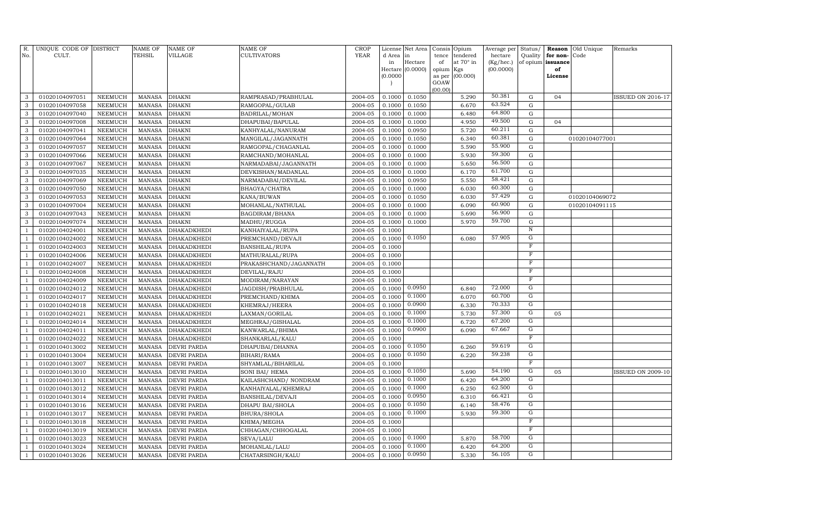| R.                               | UNIQUE CODE OF DISTRICT          |                           | <b>NAME OF</b>                 | <b>NAME OF</b>                           | <b>NAME OF</b>                       | CROP<br><b>YEAR</b> | License          | Net Area         |             | Consis Opium          | Average per          | Status/                              | Reason               | Old Unique     | Remarks                  |
|----------------------------------|----------------------------------|---------------------------|--------------------------------|------------------------------------------|--------------------------------------|---------------------|------------------|------------------|-------------|-----------------------|----------------------|--------------------------------------|----------------------|----------------|--------------------------|
| No.                              | CULT.                            |                           | <b>TEHSIL</b>                  | VILLAGE                                  | <b>CULTIVATORS</b>                   |                     | d Area<br>in     | in<br>Hectare    | tence<br>of | tendered<br>at 70° in | hectare<br>(Kg/hec.) | Quality<br>of opium                  | for non-<br>issuance | Code           |                          |
|                                  |                                  |                           |                                |                                          |                                      |                     |                  | Hectare (0.0000) | opium       | Kgs                   | (00.0000)            |                                      | of                   |                |                          |
|                                  |                                  |                           |                                |                                          |                                      |                     | (0.0000)         |                  | as per      | (00.000)              |                      |                                      | License              |                |                          |
|                                  |                                  |                           |                                |                                          |                                      |                     |                  |                  | GOAW        |                       |                      |                                      |                      |                |                          |
| 3                                | 01020104097051                   | NEEMUCH                   | MANASA                         | <b>DHAKNI</b>                            | RAMPRASAD/PRABHULAL                  | 2004-05             | 0.1000           | 0.1050           | (00.00)     | 5.290                 | 50.381               | G                                    | 04                   |                | <b>ISSUED ON 2016-17</b> |
| $\mathbf{3}$                     | 01020104097058                   | NEEMUCH                   | <b>MANASA</b>                  | <b>DHAKNI</b>                            | RAMGOPAL/GULAB                       | 2004-05             | 0.1000           | 0.1050           |             | 6.670                 | 63.524               | ${\rm G}$                            |                      |                |                          |
| $\mathbf{3}$                     | 01020104097040                   | NEEMUCH                   | <b>MANASA</b>                  | <b>DHAKNI</b>                            | BADRILAL/MOHAN                       | 2004-05             | 0.1000           | 0.1000           |             | 6.480                 | 64.800               | ${\rm G}$                            |                      |                |                          |
| 3                                | 01020104097008                   | NEEMUCH                   | <b>MANASA</b>                  | <b>DHAKNI</b>                            | DHAPUBAI/BAPULAL                     | 2004-05             | 0.1000           | 0.1000           |             | 4.950                 | 49.500               | ${\rm G}$                            | 04                   |                |                          |
| $\mathbf{3}$                     | 01020104097041                   | NEEMUCH                   | <b>MANASA</b>                  | <b>DHAKNI</b>                            | KANHYALAL/NANURAM                    | 2004-05             | 0.1000           | 0.0950           |             | 5.720                 | 60.211               | ${\rm G}$                            |                      |                |                          |
| 3                                | 01020104097064                   | <b>NEEMUCH</b>            | <b>MANASA</b>                  | <b>DHAKNI</b>                            | MANGILAL/JAGANNATH                   | 2004-05             | 0.1000           | 0.1050           |             | 6.340                 | 60.381               | G                                    |                      | 01020104077001 |                          |
| 3                                | 01020104097057                   | NEEMUCH                   | <b>MANASA</b>                  | <b>DHAKNI</b>                            | RAMGOPAL/CHAGANLAL                   | 2004-05             | 0.1000           | 0.1000           |             | 5.590                 | 55.900               | G                                    |                      |                |                          |
| $\sqrt{3}$                       | 01020104097066                   | <b>NEEMUCH</b>            | MANASA                         | <b>DHAKNI</b>                            | RAMCHAND/MOHANLAL                    | 2004-05             | 0.1000           | 0.1000           |             | 5.930                 | 59.300               | ${\rm G}$                            |                      |                |                          |
| $\mathbf{3}$                     | 01020104097067                   | <b>NEEMUCH</b>            | <b>MANASA</b>                  | <b>DHAKNI</b>                            | NARMADABAI/JAGANNATH                 | 2004-05             | 0.1000           | 0.1000           |             | 5.650                 | 56.500               | ${\rm G}$                            |                      |                |                          |
| $\mathbf{3}$                     | 01020104097035                   | NEEMUCH                   | <b>MANASA</b>                  | <b>DHAKNI</b>                            | DEVKISHAN/MADANLAL                   | 2004-05             | 0.1000           | 0.1000           |             | 6.170                 | 61.700               | ${\rm G}$                            |                      |                |                          |
| $\sqrt{3}$                       | 01020104097069                   | <b>NEEMUCH</b>            | <b>MANASA</b>                  | <b>DHAKNI</b>                            | NARMADABAI/DEVILAL                   | 2004-05             | 0.1000           | 0.0950           |             | 5.550                 | 58.421               | ${\rm G}$                            |                      |                |                          |
| 3                                | 01020104097050                   | NEEMUCH                   | <b>MANASA</b>                  | <b>DHAKNI</b>                            | BHAGYA/CHATRA                        | 2004-05             | 0.1000           | 0.1000           |             | 6.030                 | 60.300               | ${\rm G}$                            |                      |                |                          |
| 3                                | 01020104097053                   | NEEMUCH                   | <b>MANASA</b>                  | <b>DHAKNI</b>                            | KANA/BUWAN                           | 2004-05             | 0.1000           | 0.1050           |             | 6.030                 | 57.429               | ${\rm G}$                            |                      | 01020104069072 |                          |
| $\mathbf{3}$                     | 01020104097004                   | NEEMUCH                   | <b>MANASA</b>                  | <b>DHAKNI</b>                            | MOHANLAL/NATHULAL                    | 2004-05             | 0.1000           | 0.1000           |             | 6.090                 | 60.900               | ${\rm G}$                            |                      | 01020104091115 |                          |
| $\mathbf{3}$                     | 01020104097043                   | NEEMUCH                   | <b>MANASA</b>                  | <b>DHAKNI</b>                            | BAGDIRAM/BHANA                       | 2004-05             | 0.1000           | 0.1000           |             | 5.690                 | 56.900               | ${\rm G}$                            |                      |                |                          |
| 3                                | 01020104097074                   | NEEMUCH                   | <b>MANASA</b>                  | <b>DHAKNI</b>                            | MADHU/RUGGA                          | 2004-05             | 0.1000           | 0.1000           |             | 5.970                 | 59.700               | G                                    |                      |                |                          |
| $\overline{1}$                   | 01020104024001                   | NEEMUCH                   | MANASA                         | <b>DHAKADKHEDI</b>                       | KANHAIYALAL/RUPA                     | 2004-05             | 0.1000           |                  |             |                       |                      | $\overline{\mathbf{N}}$              |                      |                |                          |
| $\overline{1}$                   | 01020104024002                   | <b>NEEMUCH</b>            | <b>MANASA</b>                  | <b>DHAKADKHEDI</b>                       | PREMCHAND/DEVAJI                     | 2004-05             | 0.1000           | 0.1050           |             | 6.080                 | 57.905               | ${\rm G}$                            |                      |                |                          |
| $\overline{1}$                   | 01020104024003                   | <b>NEEMUCH</b>            | <b>MANASA</b>                  | <b>DHAKADKHEDI</b>                       | <b>BANSHILAL/RUPA</b>                | 2004-05             | 0.1000           |                  |             |                       |                      | $\overline{F}$                       |                      |                |                          |
| $\overline{1}$                   | 01020104024006                   | <b>NEEMUCH</b>            | <b>MANASA</b>                  | <b>DHAKADKHEDI</b>                       | MATHURALAL/RUPA                      | 2004-05             | 0.1000           |                  |             |                       |                      | $\mathbf F$                          |                      |                |                          |
| $\overline{1}$                   | 01020104024007                   | NEEMUCH                   | <b>MANASA</b>                  | <b>DHAKADKHEDI</b>                       | PRAKASHCHAND/JAGANNATH               | 2004-05             | 0.1000           |                  |             |                       |                      | $\mathbf F$                          |                      |                |                          |
| $\overline{1}$                   | 01020104024008                   | NEEMUCH                   | <b>MANASA</b>                  | <b>DHAKADKHEDI</b>                       | DEVILAL/RAJU                         | 2004-05             | 0.1000           |                  |             |                       |                      | $\overline{F}$                       |                      |                |                          |
| $\overline{1}$                   | 01020104024009                   | NEEMUCH                   | <b>MANASA</b>                  | <b>DHAKADKHEDI</b>                       | MODIRAM/NARAYAN                      | 2004-05             | 0.1000           |                  |             |                       |                      | $\overline{F}$                       |                      |                |                          |
| $\overline{1}$                   | 01020104024012                   | NEEMUCH                   | <b>MANASA</b>                  | <b>DHAKADKHEDI</b>                       | JAGDISH/PRABHULAL                    | 2004-05             | 0.1000           | 0.0950           |             | 6.840                 | 72.000               | G                                    |                      |                |                          |
| $\overline{1}$                   | 01020104024017                   | NEEMUCH                   | <b>MANASA</b>                  | <b>DHAKADKHEDI</b>                       | PREMCHAND/KHIMA                      | 2004-05             | 0.1000           | 0.1000           |             | 6.070                 | 60.700               | $\overline{G}$                       |                      |                |                          |
| $\overline{1}$                   | 01020104024018                   | NEEMUCH                   | <b>MANASA</b>                  | <b>DHAKADKHEDI</b>                       | KHEMRAJ/HEERA                        | 2004-05             | 0.1000           | 0.0900           |             | 6.330                 | 70.333               | G                                    |                      |                |                          |
| $\overline{1}$                   | 01020104024021                   | NEEMUCH                   | <b>MANASA</b>                  | <b>DHAKADKHEDI</b>                       | LAXMAN/GORILAL                       | 2004-05             | 0.1000           | 0.1000           |             | 5.730                 | 57.300               | $\overline{G}$                       | 05                   |                |                          |
| $\overline{1}$                   | 01020104024014                   | <b>NEEMUCH</b>            | <b>MANASA</b>                  | <b>DHAKADKHEDI</b>                       | MEGHRAJ/GISHALAL                     | 2004-05             | 0.1000           | 0.1000           |             | 6.720                 | 67.200               | G                                    |                      |                |                          |
| $\overline{1}$                   | 01020104024011                   | NEEMUCH                   | <b>MANASA</b>                  | <b>DHAKADKHEDI</b>                       | KANWARLAL/BHIMA                      | 2004-05             | 0.1000           | 0.0900           |             | 6.090                 | 67.667               | ${\rm G}$<br>$\overline{\mathrm{F}}$ |                      |                |                          |
| $\overline{1}$                   | 01020104024022                   | NEEMUCH                   | <b>MANASA</b>                  | <b>DHAKADKHEDI</b>                       | SHANKARLAL/KALU                      | 2004-05             | 0.1000           | 0.1050           |             |                       | 59.619               | G                                    |                      |                |                          |
| $\overline{1}$<br>$\overline{1}$ | 01020104013002                   | NEEMUCH                   | <b>MANASA</b>                  | <b>DEVRI PARDA</b>                       | DHAPUBAI/DHANNA                      | 2004-05             | 0.1000           | 0.1050           |             | 6.260<br>6.220        | 59.238               | G                                    |                      |                |                          |
| $\overline{1}$                   | 01020104013004                   | NEEMUCH                   | <b>MANASA</b>                  | <b>DEVRI PARDA</b>                       | BIHARI/RAMA                          | 2004-05             | 0.1000           |                  |             |                       |                      | $\overline{F}$                       |                      |                |                          |
| $\overline{1}$                   | 01020104013007<br>01020104013010 | <b>NEEMUCH</b><br>NEEMUCH | <b>MANASA</b><br><b>MANASA</b> | <b>DEVRI PARDA</b>                       | SHYAMLAL/BIHARILAL<br>SONI BAI/ HEMA | 2004-05<br>2004-05  | 0.1000<br>0.1000 | 0.1050           |             | 5.690                 | 54.190               | G                                    | 05                   |                | <b>ISSUED ON 2009-10</b> |
| $\overline{1}$                   | 01020104013011                   | NEEMUCH                   | <b>MANASA</b>                  | <b>DEVRI PARDA</b><br><b>DEVRI PARDA</b> | KAILASHCHAND/ NONDRAM                | 2004-05             | 0.1000           | 0.1000           |             | 6.420                 | 64.200               | G                                    |                      |                |                          |
| $\overline{1}$                   | 01020104013012                   | NEEMUCH                   | MANASA                         | <b>DEVRI PARDA</b>                       | KANHAIYALAL/KHEMRAJ                  | 2004-05             | 0.1000           | 0.1000           |             | 6.250                 | 62.500               | $\overline{G}$                       |                      |                |                          |
| $\overline{1}$                   | 01020104013014                   | NEEMUCH                   | <b>MANASA</b>                  | <b>DEVRI PARDA</b>                       | BANSHILAL/DEVAJI                     | 2004-05             | 0.1000           | 0.0950           |             | 6.310                 | 66.421               | $\overline{G}$                       |                      |                |                          |
| $\overline{1}$                   | 01020104013016                   | <b>NEEMUCH</b>            | <b>MANASA</b>                  | <b>DEVRI PARDA</b>                       | DHAPU BAI/SHOLA                      | 2004-05             | 0.1000           | 0.1050           |             | 6.140                 | 58.476               | ${\rm G}$                            |                      |                |                          |
| $\overline{1}$                   | 01020104013017                   | NEEMUCH                   | <b>MANASA</b>                  | <b>DEVRI PARDA</b>                       | <b>BHURA/SHOLA</b>                   | 2004-05             | 0.1000           | 0.1000           |             | 5.930                 | 59.300               | $\overline{G}$                       |                      |                |                          |
| $\overline{1}$                   | 01020104013018                   | NEEMUCH                   | <b>MANASA</b>                  | <b>DEVRI PARDA</b>                       | KHIMA/MEGHA                          | 2004-05             | 0.1000           |                  |             |                       |                      | $\overline{\mathrm{F}}$              |                      |                |                          |
| $\overline{1}$                   | 01020104013019                   | <b>NEEMUCH</b>            | <b>MANASA</b>                  | <b>DEVRI PARDA</b>                       | CHHAGAN/CHHOGALAL                    | 2004-05             | 0.1000           |                  |             |                       |                      | $\overline{F}$                       |                      |                |                          |
| -1                               | 01020104013023                   | NEEMUCH                   | <b>MANASA</b>                  | <b>DEVRI PARDA</b>                       | SEVA/LALU                            | 2004-05             | 0.1000           | 0.1000           |             | 5.870                 | 58.700               | G                                    |                      |                |                          |
| $\overline{1}$                   | 01020104013024                   | NEEMUCH                   | <b>MANASA</b>                  | <b>DEVRI PARDA</b>                       | MOHANLAL/LALU                        | 2004-05             | 0.1000           | 0.1000           |             | 6.420                 | 64.200               | G                                    |                      |                |                          |
| $\mathbf{1}$                     | 01020104013026                   | NEEMUCH                   | MANASA                         | <b>DEVRI PARDA</b>                       | CHATARSINGH/KALU                     | 2004-05             | 0.1000           | 0.0950           |             | 5.330                 | 56.105               | G                                    |                      |                |                          |
|                                  |                                  |                           |                                |                                          |                                      |                     |                  |                  |             |                       |                      |                                      |                      |                |                          |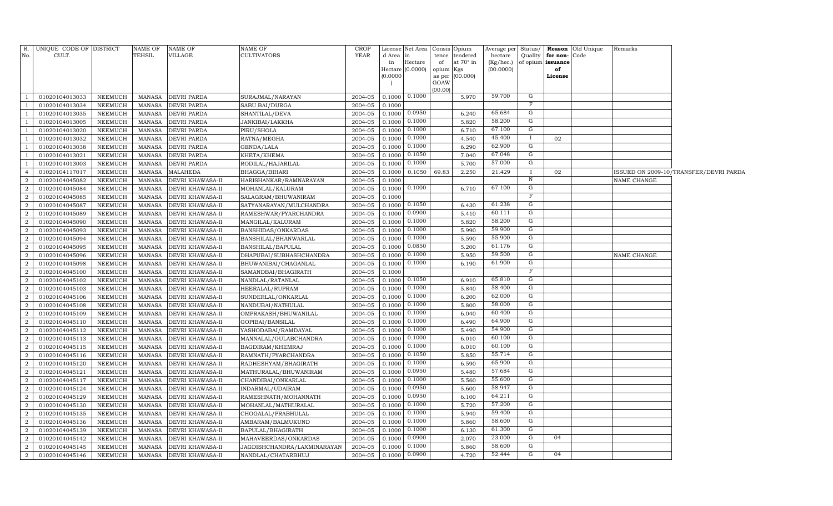|                | R. UNIQUE CODE OF DISTRICT       |                | NAME OF          | <b>NAME OF</b>                           | NAME OF                          | <b>CROP</b>        |           | License Net Area Consis Opium |                 |                 | Average per            |                         |                         | Status/ Reason Old Unique | Remarks     |                                        |
|----------------|----------------------------------|----------------|------------------|------------------------------------------|----------------------------------|--------------------|-----------|-------------------------------|-----------------|-----------------|------------------------|-------------------------|-------------------------|---------------------------|-------------|----------------------------------------|
| No.            | CULT.                            |                | TEHSIL           | VILLAGE                                  | <b>CULTIVATORS</b>               | YEAR               | d Area in |                               | tence           | tendered        | hectare                | Quality                 | for non-Code            |                           |             |                                        |
|                |                                  |                |                  |                                          |                                  |                    | in        | Hectare<br>Hectare (0.0000)   | of<br>opium Kgs | at 70° in       | (Kg/hec.)<br>(00.0000) |                         | of opium issuance<br>of |                           |             |                                        |
|                |                                  |                |                  |                                          |                                  |                    | (0.0000)  |                               |                 | as per (00.000) |                        |                         | License                 |                           |             |                                        |
|                |                                  |                |                  |                                          |                                  |                    |           |                               | GOAW            |                 |                        |                         |                         |                           |             |                                        |
| - 1            | 01020104013033                   | NEEMUCH        | MANASA           | <b>DEVRI PARDA</b>                       |                                  | 2004-05            |           | $0.1000$ $0.1000$             | (00.00)         | 5.970           | 59.700                 | G                       |                         |                           |             |                                        |
| -1             |                                  | <b>NEEMUCH</b> |                  |                                          | SURAJMAL/NARAYAN                 |                    |           |                               |                 |                 |                        | $\mathbf{F}$            |                         |                           |             |                                        |
| <sup>1</sup>   | 01020104013034<br>01020104013035 | NEEMUCH        | MANASA<br>MANASA | <b>DEVRI PARDA</b><br><b>DEVRI PARDA</b> | SABU BAI/DURGA<br>SHANTILAL/DEVA | 2004-05<br>2004-05 | 0.1000    | $0.1000$ 0.0950               |                 | 6.240           | 65.684                 | G                       |                         |                           |             |                                        |
| $\overline{1}$ | 01020104013005                   | <b>NEEMUCH</b> | MANASA           | <b>DEVRI PARDA</b>                       | JANKIBAI/LAKKHA                  | 2004-05            |           | $0.1000$ $0.1000$             |                 | 5.820           | 58.200                 | G                       |                         |                           |             |                                        |
| <sup>1</sup>   | 01020104013020                   | <b>NEEMUCH</b> | MANASA           | <b>DEVRI PARDA</b>                       | PIRU/SHOLA                       | 2004-05            |           | $0.1000$ 0.1000               |                 | 6.710           | 67.100                 | G                       |                         |                           |             |                                        |
| $\overline{1}$ | 01020104013032                   | <b>NEEMUCH</b> | MANASA           | <b>DEVRI PARDA</b>                       | RATNA/MEGHA                      | 2004-05            | 0.1000    | 0.1000                        |                 | 4.540           | 45.400                 | $\mathbf{I}$            | 02                      |                           |             |                                        |
| <sup>1</sup>   | 01020104013038                   | <b>NEEMUCH</b> | MANASA           | <b>DEVRI PARDA</b>                       | GENDA/LALA                       | 2004-05            | 0.1000    | 0.1000                        |                 | 6.290           | 62.900                 | G                       |                         |                           |             |                                        |
| $\overline{1}$ | 01020104013021                   | <b>NEEMUCH</b> | MANASA           | <b>DEVRI PARDA</b>                       | KHETA/KHEMA                      | 2004-05            |           | $0.1000$ $0.1050$             |                 | 7.040           | 67.048                 | G                       |                         |                           |             |                                        |
| <sup>1</sup>   | 01020104013003                   | <b>NEEMUCH</b> | MANASA           | <b>DEVRI PARDA</b>                       | RODILAL/HAJARILAL                | 2004-05            | 0.1000    | 0.1000                        |                 | 5.700           | 57.000                 | G                       |                         |                           |             |                                        |
| $\overline{4}$ | 01020104117017                   | <b>NEEMUCH</b> | MANASA           | MALAHEDA                                 | BHAGGA/BIHARI                    | 2004-05            | 0.1000    | 0.1050                        | 69.83           | 2.250           | 21.429                 | I                       | 02                      |                           |             | ISSUED ON 2009-10/TRANSFER/DEVRI PARDA |
| $\overline{a}$ | 01020104045082                   | <b>NEEMUCH</b> | MANASA           | DEVRI KHAWASA-II                         | HARISHANKAR/RAMNARAYAN           | 2004-05            | 0.1000    |                               |                 |                 |                        | $\, {\rm N}$            |                         |                           | NAME CHANGE |                                        |
| $\overline{a}$ | 01020104045084                   | NEEMUCH        | MANASA           | DEVRI KHAWASA-II                         | MOHANLAL/KALURAM                 | 2004-05            |           | $0.1000 \quad 0.1000$         |                 | 6.710           | 67.100                 | $\overline{G}$          |                         |                           |             |                                        |
| $\overline{a}$ | 01020104045085                   | NEEMUCH        | MANASA           | DEVRI KHAWASA-II                         | SALAGRAM/BHUWANIRAM              | 2004-05            | 0.1000    |                               |                 |                 |                        | $\overline{\mathbf{F}}$ |                         |                           |             |                                        |
| 2              | 01020104045087                   | NEEMUCH        | MANASA           | DEVRI KHAWASA-II                         | SATYANARAYAN/MULCHANDRA          | 2004-05            |           | $0.1000$ 0.1050               |                 | 6.430           | 61.238                 | $\overline{G}$          |                         |                           |             |                                        |
| 2              | 01020104045089                   | NEEMUCH        | MANASA           | DEVRI KHAWASA-II                         | RAMESHWAR/PYARCHANDRA            | 2004-05            |           | $0.1000$ 0.0900               |                 | 5.410           | 60.111                 | G                       |                         |                           |             |                                        |
| 2              | 01020104045090                   | <b>NEEMUCH</b> | MANASA           | <b>DEVRI KHAWASA-II</b>                  | MANGILAL/KALURAM                 | 2004-05            |           | $0.1000$ $0.1000$             |                 | 5.820           | 58.200                 | G                       |                         |                           |             |                                        |
| 2              | 01020104045093                   | <b>NEEMUCH</b> | MANASA           | DEVRI KHAWASA-II                         | BANSHIDAS/ONKARDAS               | 2004-05            | 0.1000    | 0.1000                        |                 | 5.990           | 59.900                 | $\overline{G}$          |                         |                           |             |                                        |
| $\overline{a}$ | 01020104045094                   | <b>NEEMUCH</b> | MANASA           | DEVRI KHAWASA-II                         | BANSHILAL/BHANWARLAL             | 2004-05            | 0.1000    | 0.1000                        |                 | 5.590           | 55.900                 | G                       |                         |                           |             |                                        |
| 2              | 01020104045095                   | <b>NEEMUCH</b> | MANASA           | DEVRI KHAWASA-II                         | BANSHILAL/BAPULAL                | 2004-05            | 0.1000    | 0.0850                        |                 | 5.200           | 61.176                 | G                       |                         |                           |             |                                        |
| 2              | 01020104045096                   | <b>NEEMUCH</b> | MANASA           | DEVRI KHAWASA-II                         | DHAPUBAI/SUBHASHCHANDRA          | 2004-05            | 0.1000    | 0.1000                        |                 | 5.950           | 59.500                 | G                       |                         |                           | NAME CHANGE |                                        |
| $\overline{a}$ | 01020104045098                   | <b>NEEMUCH</b> | MANASA           | DEVRI KHAWASA-II                         | BHUWANIBAI/CHAGANLAL             | 2004-05            | 0.1000    | 0.1000                        |                 | 6.190           | 61.900                 | G                       |                         |                           |             |                                        |
| $\overline{a}$ | 01020104045100                   | <b>NEEMUCH</b> | MANASA           | DEVRI KHAWASA-II                         | SAMANDBAI/BHAGIRATH              | 2004-05            | 0.1000    |                               |                 |                 |                        | $_{\rm F}$              |                         |                           |             |                                        |
| $\overline{a}$ | 01020104045102                   | <b>NEEMUCH</b> | MANASA           | DEVRI KHAWASA-II                         | NANDLAL/RATANLAL                 | 2004-05            |           | $0.1000$ 0.1050               |                 | 6.910           | 65.810                 | G                       |                         |                           |             |                                        |
| $\overline{a}$ | 01020104045103                   | <b>NEEMUCH</b> | MANASA           | DEVRI KHAWASA-II                         | HEERALAL/RUPRAM                  | 2004-05            |           | $0.1000$ $0.1000$             |                 | 5.840           | 58.400                 | $\mathbf{G}$            |                         |                           |             |                                        |
| $\overline{a}$ | 01020104045106                   | NEEMUCH        | MANASA           | DEVRI KHAWASA-II                         | SUNDERLAL/ONKARLAL               | 2004-05            | 0.1000    | 0.1000                        |                 | 6.200           | 62.000                 | G                       |                         |                           |             |                                        |
| $\overline{a}$ | 01020104045108                   | <b>NEEMUCH</b> | MANASA           | DEVRI KHAWASA-II                         | NANDUBAI/NATHULAL                | 2004-05            | 0.1000    | 0.1000                        |                 | 5.800           | 58.000                 | G                       |                         |                           |             |                                        |
| $\overline{a}$ | 01020104045109                   | <b>NEEMUCH</b> | MANASA           | DEVRI KHAWASA-II                         | OMPRAKASH/BHUWANILAL             | 2004-05            | 0.1000    | 0.1000                        |                 | 6.040           | 60.400                 | G                       |                         |                           |             |                                        |
| $\overline{a}$ | 01020104045110                   | <b>NEEMUCH</b> | MANASA           | DEVRI KHAWASA-II                         | GOPIBAI/BANSILAL                 | 2004-05            | 0.1000    | 0.1000                        |                 | 6.490           | 64.900                 | G                       |                         |                           |             |                                        |
| $\overline{a}$ | 01020104045112                   | NEEMUCH        | MANASA           | DEVRI KHAWASA-II                         | YASHODABAI/RAMDAYAL              | 2004-05            | 0.1000    | 0.1000                        |                 | 5.490           | 54.900                 | G                       |                         |                           |             |                                        |
| $\overline{a}$ | 01020104045113                   | <b>NEEMUCH</b> | MANASA           | DEVRI KHAWASA-II                         | MANNALAL/GULABCHANDRA            | 2004-05            | 0.1000    | 0.1000                        |                 | 6.010           | 60.100                 | G                       |                         |                           |             |                                        |
| $\overline{2}$ | 01020104045115                   | <b>NEEMUCH</b> | MANASA           | DEVRI KHAWASA-II                         | BAGDIRAM/KHEMRAJ                 | 2004-05            | 0.1000    | 0.1000                        |                 | 6.010           | 60.100                 | $\overline{G}$          |                         |                           |             |                                        |
| $\overline{a}$ | 01020104045116                   | <b>NEEMUCH</b> | MANASA           | DEVRI KHAWASA-II                         | RAMNATH/PYARCHANDRA              | 2004-05            | 0.1000    | 0.1050                        |                 | 5.850           | 55.714                 | $\overline{G}$          |                         |                           |             |                                        |
| $\overline{a}$ | 01020104045120                   | <b>NEEMUCH</b> | MANASA           | DEVRI KHAWASA-II                         | RADHESHYAM/BHAGIRATH             | 2004-05            | 0.1000    | 0.1000                        |                 | 6.590           | 65.900                 | $\overline{G}$          |                         |                           |             |                                        |
| $\overline{a}$ | 01020104045121                   | <b>NEEMUCH</b> | MANASA           | DEVRI KHAWASA-II                         | MATHURALAL/BHUWANIRAM            | 2004-05            | 0.1000    | 0.0950                        |                 | 5.480           | 57.684                 | G                       |                         |                           |             |                                        |
| $\overline{a}$ | 01020104045117                   | <b>NEEMUCH</b> | MANASA           | DEVRI KHAWASA-II                         | CHANDIBAI/ONKARLAL               | 2004-05            | 0.1000    | 0.1000                        |                 | 5.560           | 55.600                 | G                       |                         |                           |             |                                        |
| $\overline{a}$ | 01020104045124                   | NEEMUCH        | <b>MANASA</b>    | DEVRI KHAWASA-II                         | INDARMAL/UDAIRAM                 | 2004-05            | 0.1000    | 0.0950                        |                 | 5.600           | 58.947                 | G                       |                         |                           |             |                                        |
| $\overline{2}$ | 01020104045129                   | <b>NEEMUCH</b> | MANASA           | DEVRI KHAWASA-II                         | RAMESHNATH/MOHANNATH             | 2004-05            | 0.1000    | 0.0950                        |                 | 6.100           | 64.211                 | G                       |                         |                           |             |                                        |
| $\overline{a}$ | 01020104045130                   | NEEMUCH        | <b>MANASA</b>    | DEVRI KHAWASA-II                         | MOHANLAL/MATHURALAL              | 2004-05            | 0.1000    | 0.1000                        |                 | 5.720           | 57.200                 | G                       |                         |                           |             |                                        |
| $\overline{a}$ | 01020104045135                   | NEEMUCH        | MANASA           | DEVRI KHAWASA-II                         | CHOGALAL/PRABHULAL               | 2004-05            | 0.1000    | 0.1000                        |                 | 5.940           | 59.400                 | G                       |                         |                           |             |                                        |
| $\overline{a}$ | 01020104045136                   | NEEMUCH        | MANASA           | DEVRI KHAWASA-II                         | AMBARAM/BALMUKUND                | 2004-05            | 0.1000    | 0.1000                        |                 | 5.860           | 58.600                 | G                       |                         |                           |             |                                        |
| $\overline{a}$ | 01020104045139                   | NEEMUCH        | MANASA           | DEVRI KHAWASA-II                         | BAPULAL/BHAGIRATH                | 2004-05            | 0.1000    | 0.1000                        |                 | 6.130           | 61.300                 | G                       |                         |                           |             |                                        |
| $\overline{a}$ | 01020104045142                   | NEEMUCH        | MANASA           | DEVRI KHAWASA-II                         | MAHAVEERDAS/ONKARDAS             | 2004-05            | 0.1000    | 0.0900                        |                 | 2.070           | 23.000                 | G                       | 04                      |                           |             |                                        |
| $\overline{2}$ | 01020104045145                   | <b>NEEMUCH</b> | MANASA           | DEVRI KHAWASA-II                         | JAGDISHCHANDRA/LAXMINARAYAN      | 2004-05            | 0.1000    | 0.1000                        |                 | 5.860           | 58.600                 | $\overline{G}$          |                         |                           |             |                                        |
| $\overline{a}$ | 01020104045146                   | <b>NEEMUCH</b> | MANASA           | <b>DEVRI KHAWASA-II</b>                  | NANDLAL/CHATARBHUJ               | 2004-05            | 0.1000    | 0.0900                        |                 | 4.720           | 52.444                 | G                       | 04                      |                           |             |                                        |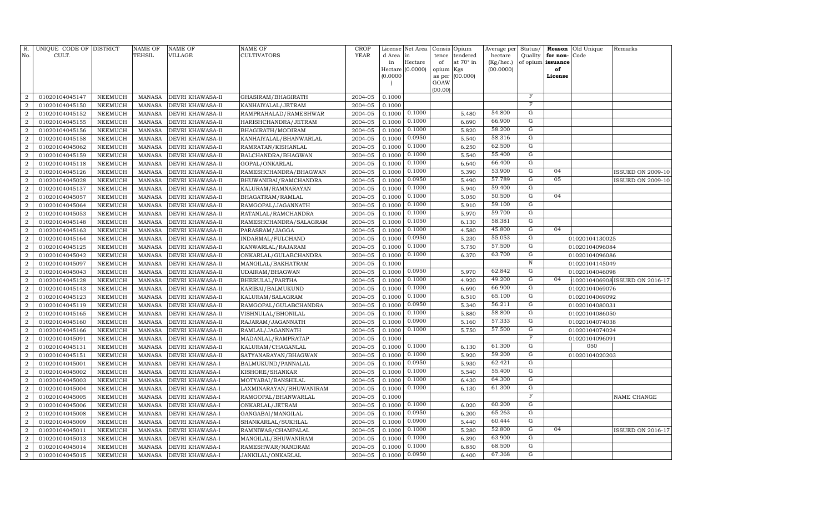| R.<br>No.        | UNIQUE CODE OF DISTRICT<br>CULT. |                | <b>NAME OF</b><br>TEHSIL | <b>NAME OF</b><br><b>VILLAGE</b> | NAME OF<br>CULTIVATORS  | <b>CROP</b><br>YEAR | License <sup>1</sup><br>d Area<br>in | Net Area<br>in<br>Hectare | Consis<br>tence<br>of | Opium<br>tendered<br>at 70° in | Average per<br>hectare<br>(Kg/hec.) | Status/<br>Quality<br>of opium | Reason<br>for non-<br>issuance | Old Unique<br>Code | Remarks                        |
|------------------|----------------------------------|----------------|--------------------------|----------------------------------|-------------------------|---------------------|--------------------------------------|---------------------------|-----------------------|--------------------------------|-------------------------------------|--------------------------------|--------------------------------|--------------------|--------------------------------|
|                  |                                  |                |                          |                                  |                         |                     | Hectare                              | (0.0000)                  | opium                 | Kgs                            | (00.0000)                           |                                | of                             |                    |                                |
|                  |                                  |                |                          |                                  |                         |                     | (0.0000)                             |                           | as per                | (00.000)                       |                                     |                                | License                        |                    |                                |
|                  |                                  |                |                          |                                  |                         |                     |                                      |                           | GOAW<br>(00.00)       |                                |                                     |                                |                                |                    |                                |
| $\overline{2}$   | 01020104045147                   | <b>NEEMUCH</b> | <b>MANASA</b>            | DEVRI KHAWASA-II                 | GHASIRAM/BHAGIRATH      | 2004-05             | 0.1000                               |                           |                       |                                |                                     | $\mathbf F$                    |                                |                    |                                |
| $\overline{2}$   | 01020104045150                   | <b>NEEMUCH</b> | <b>MANASA</b>            | DEVRI KHAWASA-II                 | KANHAIYALAL/JETRAM      | 2004-05             | 0.1000                               |                           |                       |                                |                                     | $\mathbf F$                    |                                |                    |                                |
| $\overline{2}$   | 01020104045152                   | <b>NEEMUCH</b> | <b>MANASA</b>            | DEVRI KHAWASA-II                 | RAMPRAHALAD/RAMESHWAR   | 2004-05             | 0.1000                               | 0.1000                    |                       | 5.480                          | 54.800                              | ${\rm G}$                      |                                |                    |                                |
| $\overline{2}$   | 01020104045155                   | NEEMUCH        | <b>MANASA</b>            | DEVRI KHAWASA-II                 | HARISHCHANDRA/JETRAM    | 2004-05             | 0.1000                               | 0.1000                    |                       | 6.690                          | 66.900                              | G                              |                                |                    |                                |
| $\overline{a}$   | 01020104045156                   | <b>NEEMUCH</b> | <b>MANASA</b>            | DEVRI KHAWASA-II                 | BHAGIRATH/MODIRAM       | 2004-05             | 0.1000                               | 0.1000                    |                       | 5.820                          | 58.200                              | G                              |                                |                    |                                |
| $\overline{a}$   | 01020104045158                   | <b>NEEMUCH</b> | <b>MANASA</b>            | DEVRI KHAWASA-II                 | KANHAIYALAL/BHANWARLAL  | 2004-05             | 0.1000                               | 0.0950                    |                       | 5.540                          | 58.316                              | G                              |                                |                    |                                |
| 2                | 01020104045062                   | <b>NEEMUCH</b> | <b>MANASA</b>            | DEVRI KHAWASA-II                 | RAMRATAN/KISHANLAL      | 2004-05             | 0.1000                               | 0.1000                    |                       | 6.250                          | 62.500                              | G                              |                                |                    |                                |
| $\overline{2}$   | 01020104045159                   | <b>NEEMUCH</b> | <b>MANASA</b>            | DEVRI KHAWASA-II                 | BALCHANDRA/BHAGWAN      | 2004-05             | 0.1000                               | 0.1000                    |                       | 5.540                          | 55.400                              | G                              |                                |                    |                                |
| $\overline{2}$   | 01020104045118                   | <b>NEEMUCH</b> | <b>MANASA</b>            | DEVRI KHAWASA-II                 | GOPAL/ONKARLAL          | 2004-05             | 0.1000                               | 0.1000                    |                       | 6.640                          | 66.400                              | $\mathbf G$                    |                                |                    |                                |
| $\overline{2}$   | 01020104045126                   | <b>NEEMUCH</b> | <b>MANASA</b>            | DEVRI KHAWASA-II                 | RAMESHCHANDRA/BHAGWAN   | 2004-05             | 0.1000                               | 0.1000                    |                       | 5.390                          | 53.900                              | $\mathbf G$                    | 04                             |                    | <b>ISSUED ON 2009-10</b>       |
| $\overline{a}$   | 01020104045028                   | <b>NEEMUCH</b> | <b>MANASA</b>            | DEVRI KHAWASA-II                 | BHUWANIBAI/RAMCHANDRA   | 2004-05             | 0.1000                               | 0.0950                    |                       | 5.490                          | 57.789                              | $\overline{G}$                 | 05                             |                    | <b>ISSUED ON 2009-10</b>       |
| $\overline{2}$   | 01020104045137                   | <b>NEEMUCH</b> | <b>MANASA</b>            | DEVRI KHAWASA-II                 | KALURAM/RAMNARAYAN      | 2004-05             | 0.1000                               | 0.1000                    |                       | 5.940                          | 59.400                              | $\mathbf G$                    |                                |                    |                                |
| $\overline{2}$   | 01020104045057                   | <b>NEEMUCH</b> | <b>MANASA</b>            | DEVRI KHAWASA-II                 | BHAGATRAM/RAMLAL        | 2004-05             | 0.1000                               | 0.1000                    |                       | 5.050                          | 50.500                              | G                              | 04                             |                    |                                |
| $\overline{a}$   | 01020104045064                   | <b>NEEMUCH</b> | <b>MANASA</b>            | DEVRI KHAWASA-II                 | RAMGOPAL/JAGANNATH      | 2004-05             | 0.1000                               | 0.1000                    |                       | 5.910                          | 59.100                              | G                              |                                |                    |                                |
| $\overline{a}$   | 01020104045053                   | <b>NEEMUCH</b> | <b>MANASA</b>            | DEVRI KHAWASA-II                 | RATANLAL/RAMCHANDRA     | 2004-05             | 0.1000                               | 0.1000                    |                       | 5.970                          | 59.700                              | G                              |                                |                    |                                |
| $\overline{a}$   | 01020104045148                   | <b>NEEMUCH</b> | <b>MANASA</b>            | DEVRI KHAWASA-II                 | RAMESHCHANDRA/SALAGRAM  | 2004-05             | 0.1000                               | 0.1050                    |                       | 6.130                          | 58.381                              | G                              |                                |                    |                                |
| $\overline{2}$   | 01020104045163                   | <b>NEEMUCH</b> | <b>MANASA</b>            | DEVRI KHAWASA-II                 | PARASRAM/JAGGA          | 2004-05             | 0.1000                               | 0.1000                    |                       | 4.580                          | 45.800                              | G                              | 04                             |                    |                                |
| $\overline{2}$   | 01020104045164                   | <b>NEEMUCH</b> | <b>MANASA</b>            | DEVRI KHAWASA-II                 | INDARMAL/FULCHAND       | 2004-05             | 0.1000                               | 0.0950                    |                       | 5.230                          | 55.053                              | $\mathbf G$                    |                                | 01020104130025     |                                |
| $\overline{a}$   | 01020104045125                   | NEEMUCH        | <b>MANASA</b>            | DEVRI KHAWASA-II                 | KANWARLAL/RAJARAM       | 2004-05             | 0.1000                               | 0.1000                    |                       | 5.750                          | 57.500                              | $\overline{G}$                 |                                | 01020104096084     |                                |
| $\boldsymbol{2}$ | 01020104045042                   | <b>NEEMUCH</b> | <b>MANASA</b>            | DEVRI KHAWASA-II                 | ONKARLAL/GULABCHANDRA   | 2004-05             | 0.1000                               | 0.1000                    |                       | 6.370                          | 63.700                              | $\overline{G}$                 |                                | 01020104096086     |                                |
| $\overline{2}$   | 01020104045097                   | NEEMUCH        | <b>MANASA</b>            | DEVRI KHAWASA-II                 | MANGILAL/BAKHATRAM      | 2004-05             | 0.1000                               |                           |                       |                                |                                     | $\, {\bf N}$                   |                                | 01020104145049     |                                |
| $\overline{2}$   | 01020104045043                   | <b>NEEMUCH</b> | <b>MANASA</b>            | DEVRI KHAWASA-II                 | UDAIRAM/BHAGWAN         | 2004-05             | 0.1000                               | 0.0950                    |                       | 5.970                          | 62.842                              | G                              |                                | 01020104046098     |                                |
| $\overline{2}$   | 01020104045128                   | NEEMUCH        | <b>MANASA</b>            | DEVRI KHAWASA-II                 | BHERULAL/PARTHA         | 2004-05             | 0.1000                               | 0.1000                    |                       | 4.920                          | 49.200                              | G                              | 04                             |                    | 102010406908 ISSUED ON 2016-17 |
| $\overline{2}$   | 01020104045143                   | <b>NEEMUCH</b> | <b>MANASA</b>            | DEVRI KHAWASA-II                 | KARIBAI/BALMUKUND       | 2004-05             | 0.1000                               | 0.1000                    |                       | 6.690                          | 66.900                              | G                              |                                | 01020104069076     |                                |
| $\overline{2}$   | 01020104045123                   | <b>NEEMUCH</b> | <b>MANASA</b>            | DEVRI KHAWASA-II                 | KALURAM/SALAGRAM        | 2004-05             | 0.1000                               | 0.1000                    |                       | 6.510                          | 65.100                              | G                              |                                | 01020104069092     |                                |
| $\overline{2}$   | 01020104045119                   | <b>NEEMUCH</b> | <b>MANASA</b>            | DEVRI KHAWASA-II                 | RAMGOPAL/GULABCHANDRA   | 2004-05             | 0.1000                               | 0.0950                    |                       | 5.340                          | 56.211                              | G                              |                                | 01020104080031     |                                |
| $\overline{2}$   | 01020104045165                   | <b>NEEMUCH</b> | <b>MANASA</b>            | DEVRI KHAWASA-II                 | VISHNULAL/BHONILAL      | 2004-05             | 0.1000                               | 0.1000                    |                       | 5.880                          | 58.800                              | ${\rm G}$                      |                                | 01020104086050     |                                |
| $\overline{2}$   | 01020104045160                   | <b>NEEMUCH</b> | <b>MANASA</b>            | DEVRI KHAWASA-II                 | RAJARAM/JAGANNATH       | 2004-05             | 0.1000                               | 0.0900                    |                       | 5.160                          | 57.333                              | ${\rm G}$                      |                                | 01020104074038     |                                |
| $\overline{2}$   | 01020104045166                   | <b>NEEMUCH</b> | <b>MANASA</b>            | DEVRI KHAWASA-II                 | RAMLAL/JAGANNATH        | 2004-05             | 0.1000                               | 0.1000                    |                       | 5.750                          | 57.500                              | $\mathbf G$                    |                                | 01020104074024     |                                |
| $\boldsymbol{2}$ | 01020104045091                   | <b>NEEMUCH</b> | <b>MANASA</b>            | DEVRI KHAWASA-II                 | MADANLAL/RAMPRATAP      | 2004-05             | 0.1000                               |                           |                       |                                |                                     | $\mathbf F$                    |                                | 01020104096091     |                                |
| $\overline{2}$   | 01020104045131                   | <b>NEEMUCH</b> | <b>MANASA</b>            | DEVRI KHAWASA-II                 | KALURAM/CHAGANLAL       | 2004-05             | 0.1000                               | 0.1000                    |                       | 6.130                          | 61.300                              | G                              |                                | 050                |                                |
| $\overline{2}$   | 01020104045151                   | NEEMUCH        | <b>MANASA</b>            | DEVRI KHAWASA-II                 | SATYANARAYAN/BHAGWAN    | 2004-05             | 0.1000                               | 0.1000                    |                       | 5.920                          | 59.200                              | G                              |                                | 01020104020203     |                                |
| $\overline{2}$   | 01020104045001                   | NEEMUCH        | <b>MANASA</b>            | DEVRI KHAWASA-I                  | BALMUKUND/PANNALAL      | 2004-05             | 0.1000                               | 0.0950                    |                       | 5.930                          | 62.421                              | G                              |                                |                    |                                |
| $\overline{2}$   | 01020104045002                   | <b>NEEMUCH</b> | <b>MANASA</b>            | DEVRI KHAWASA-I                  | KISHORE/SHANKAR         | 2004-05             | 0.1000                               | 0.1000                    |                       | 5.540                          | 55.400                              | G                              |                                |                    |                                |
| $\overline{2}$   | 01020104045003                   | <b>NEEMUCH</b> | <b>MANASA</b>            | DEVRI KHAWASA-I                  | MOTYABAI/BANSHILAL      | 2004-05             | 0.1000                               | 0.1000                    |                       | 6.430                          | 64.300                              | G                              |                                |                    |                                |
| $\overline{2}$   | 01020104045004                   | <b>NEEMUCH</b> | <b>MANASA</b>            | DEVRI KHAWASA-I                  | LAXMINARAYAN/BHUWANIRAM | 2004-05             | 0.1000                               | 0.1000                    |                       | 6.130                          | 61.300                              | $\mathbf G$                    |                                |                    |                                |
| $\overline{2}$   | 01020104045005                   | <b>NEEMUCH</b> | <b>MANASA</b>            | DEVRI KHAWASA-I                  | RAMGOPAL/BHANWARLAL     | 2004-05             | 0.1000                               |                           |                       |                                |                                     | $\mathbf{F}$                   |                                |                    | NAME CHANGE                    |
| $\boldsymbol{2}$ | 01020104045006                   | <b>NEEMUCH</b> | <b>MANASA</b>            | DEVRI KHAWASA-I                  | ONKARLAL/JETRAM         | 2004-05             | 0.1000                               | 0.1000                    |                       | 6.020                          | 60.200                              | G<br>$\mathbf G$               |                                |                    |                                |
| $\overline{2}$   | 01020104045008                   | <b>NEEMUCH</b> | <b>MANASA</b>            | DEVRI KHAWASA-I                  | GANGABAI/MANGILAL       | 2004-05             | 0.1000                               | 0.0950                    |                       | 6.200                          | 65.263<br>60.444                    | G                              |                                |                    |                                |
| $\boldsymbol{2}$ | 01020104045009                   | <b>NEEMUCH</b> | <b>MANASA</b>            | DEVRI KHAWASA-I                  | SHANKARLAL/SUKHLAL      | 2004-05             | 0.1000                               | 0.0900                    |                       | 5.440                          |                                     | G                              | 04                             |                    |                                |
| $\boldsymbol{2}$ | 01020104045011                   | <b>NEEMUCH</b> | <b>MANASA</b>            | DEVRI KHAWASA-I                  | RAMNIWAS/CHAMPALAL      | 2004-05             | 0.1000                               | 0.1000<br>0.1000          |                       | 5.280                          | 52.800<br>63.900                    | G                              |                                |                    | <b>ISSUED ON 2016-17</b>       |
| $\boldsymbol{2}$ | 01020104045013                   | <b>NEEMUCH</b> | <b>MANASA</b>            | DEVRI KHAWASA-I                  | MANGILAL/BHUWANIRAM     | 2004-05             | 0.1000                               | 0.1000                    |                       | 6.390                          | 68.500                              | G                              |                                |                    |                                |
| $\boldsymbol{2}$ | 01020104045014                   | <b>NEEMUCH</b> | <b>MANASA</b>            | DEVRI KHAWASA-I                  | RAMESHWAR/NANDRAM       | 2004-05             | 0.1000                               | 0.0950                    |                       | 6.850                          | 67.368                              | $\mathbf G$                    |                                |                    |                                |
| $\overline{a}$   | 01020104045015                   | NEEMUCH        | <b>MANASA</b>            | DEVRI KHAWASA-I                  | JANKILAL/ONKARLAL       | 2004-05             | 0.1000                               |                           |                       | 6.400                          |                                     |                                |                                |                    |                                |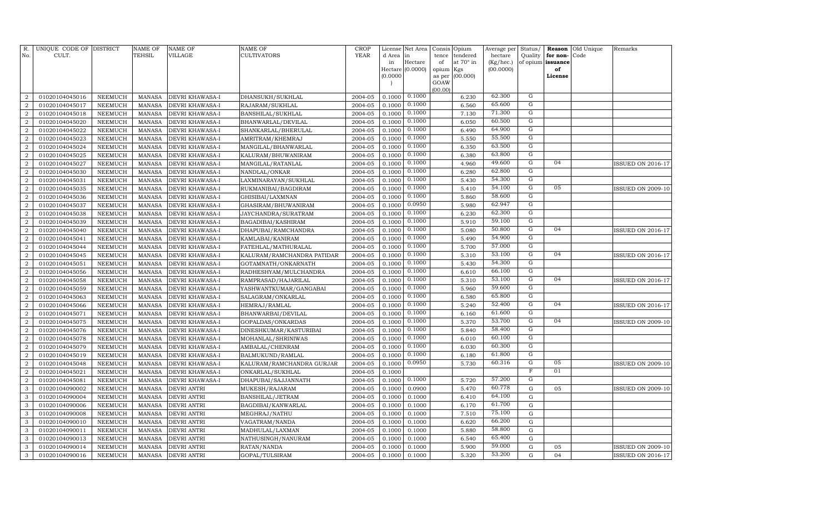| R.<br>No.        | UNIQUE CODE OF DISTRICT<br>CULT. |                                  | <b>NAME OF</b><br>TEHSIL       | <b>NAME OF</b><br><b>VILLAGE</b> | <b>NAME OF</b><br><b>CULTIVATORS</b> | CROP<br>YEAR       | License<br>d Area        | Net Area<br>in   | Consis Opium<br>tence | tendered       | Average per Status/<br>hectare | Quality          | for non-          | Reason Old Unique<br>Code | Remarks                  |
|------------------|----------------------------------|----------------------------------|--------------------------------|----------------------------------|--------------------------------------|--------------------|--------------------------|------------------|-----------------------|----------------|--------------------------------|------------------|-------------------|---------------------------|--------------------------|
|                  |                                  |                                  |                                |                                  |                                      |                    | in                       | Hectare          | of                    | at 70° in      | (Kg/hec.)                      |                  | of opium issuance |                           |                          |
|                  |                                  |                                  |                                |                                  |                                      |                    |                          | Hectare (0.0000) | opium Kgs             |                | (00.0000)                      |                  | of                |                           |                          |
|                  |                                  |                                  |                                |                                  |                                      |                    | (0.0000)                 |                  | as per                | (00.000)       |                                |                  | License           |                           |                          |
|                  |                                  |                                  |                                |                                  |                                      |                    | $\overline{\phantom{a}}$ |                  | GOAW<br>(00.00)       |                |                                |                  |                   |                           |                          |
| $\overline{2}$   | 01020104045016                   | <b>NEEMUCH</b>                   | <b>MANASA</b>                  | DEVRI KHAWASA-I                  | DHANSUKH/SUKHLAL                     | 2004-05            | 0.1000                   | 0.1000           |                       | 6.230          | 62.300                         | G                |                   |                           |                          |
| $\overline{2}$   | 01020104045017                   | <b>NEEMUCH</b>                   | <b>MANASA</b>                  | <b>DEVRI KHAWASA-I</b>           | RAJARAM/SUKHLAL                      | 2004-05            | 0.1000                   | 0.1000           |                       | 6.560          | 65.600                         | G                |                   |                           |                          |
| $\overline{2}$   | 01020104045018                   | <b>NEEMUCH</b>                   | <b>MANASA</b>                  | DEVRI KHAWASA-I                  | BANSHILAL/SUKHLAL                    | 2004-05            | 0.1000                   | 0.1000           |                       | 7.130          | 71.300                         | $\overline{G}$   |                   |                           |                          |
| $\overline{2}$   | 01020104045020                   | <b>NEEMUCH</b>                   | <b>MANASA</b>                  | DEVRI KHAWASA-I                  | BHANWARLAL/DEVILAL                   | 2004-05            | 0.1000                   | 0.1000           |                       | 6.050          | 60.500                         | G                |                   |                           |                          |
| $\overline{a}$   | 01020104045022                   | <b>NEEMUCH</b>                   | <b>MANASA</b>                  | DEVRI KHAWASA-I                  | SHANKARLAL/BHERULAL                  | 2004-05            | 0.1000                   | 0.1000           |                       | 6.490          | 64.900                         | G                |                   |                           |                          |
| $\boldsymbol{2}$ | 01020104045023                   | <b>NEEMUCH</b>                   | <b>MANASA</b>                  | DEVRI KHAWASA-I                  | AMRITRAM/KHEMRAJ                     | 2004-05            | 0.1000                   | 0.1000           |                       | 5.550          | 55.500                         | G                |                   |                           |                          |
| $\overline{2}$   | 01020104045024                   | <b>NEEMUCH</b>                   | <b>MANASA</b>                  | DEVRI KHAWASA-I                  | MANGILAL/BHANWARLAL                  | 2004-05            | 0.1000                   | 0.1000           |                       | 6.350          | 63.500                         | G                |                   |                           |                          |
| $\overline{2}$   | 01020104045025                   | <b>NEEMUCH</b>                   | <b>MANASA</b>                  | DEVRI KHAWASA-I                  | KALURAM/BHUWANIRAM                   | 2004-05            | 0.1000                   | 0.1000           |                       | 6.380          | 63.800                         | G                |                   |                           |                          |
| $\overline{2}$   | 01020104045027                   | <b>NEEMUCH</b>                   | <b>MANASA</b>                  | DEVRI KHAWASA-I                  | MANGILAL/RATANLAL                    | 2004-05            | 0.1000                   | 0.1000           |                       | 4.960          | 49.600                         | G                | 04                |                           | <b>ISSUED ON 2016-17</b> |
| $\boldsymbol{2}$ | 01020104045030                   | <b>NEEMUCH</b>                   | <b>MANASA</b>                  | DEVRI KHAWASA-I                  | NANDLAL/ONKAR                        | 2004-05            | 0.1000                   | 0.1000           |                       | 6.280          | 62.800                         | G                |                   |                           |                          |
| $\overline{2}$   | 01020104045031                   | <b>NEEMUCH</b>                   | <b>MANASA</b>                  | DEVRI KHAWASA-I                  | LAXMINARAYAN/SUKHLAL                 | 2004-05            | 0.1000                   | 0.1000           |                       | 5.430          | 54.300                         | G                |                   |                           |                          |
| $\boldsymbol{2}$ | 01020104045035                   | <b>NEEMUCH</b>                   | <b>MANASA</b>                  | DEVRI KHAWASA-I                  | RUKMANIBAI/BAGDIRAM                  | 2004-05            | 0.1000                   | 0.1000           |                       | 5.410          | 54.100                         | G                | 05                |                           | ISSUED ON 2009-10        |
| $\overline{2}$   | 01020104045036                   | NEEMUCH                          | <b>MANASA</b>                  | DEVRI KHAWASA-I                  | GHISIBAI/LAXMNAN                     | 2004-05            | 0.1000                   | 0.1000           |                       | 5.860          | 58.600                         | G                |                   |                           |                          |
| $\boldsymbol{2}$ | 01020104045037                   | <b>NEEMUCH</b>                   | <b>MANASA</b>                  | DEVRI KHAWASA-I                  | GHASIRAM/BHUWANIRAM                  | 2004-05            | 0.1000                   | 0.0950           |                       | 5.980          | 62.947                         | G                |                   |                           |                          |
| $\overline{2}$   | 01020104045038                   | NEEMUCH                          | <b>MANASA</b>                  | DEVRI KHAWASA-I                  | JAYCHANDRA/SURATRAM                  | 2004-05            | 0.1000                   | 0.1000           |                       | 6.230          | 62.300                         | G                |                   |                           |                          |
| $\boldsymbol{2}$ | 01020104045039                   | <b>NEEMUCH</b>                   | <b>MANASA</b>                  | DEVRI KHAWASA-I                  | BAGADIBAI/KASHIRAM                   | 2004-05            | 0.1000                   | 0.1000           |                       | 5.910          | 59.100                         | G                |                   |                           |                          |
| $\overline{2}$   | 01020104045040                   | NEEMUCH                          | <b>MANASA</b>                  | DEVRI KHAWASA-I                  | DHAPUBAI/RAMCHANDRA                  | 2004-05            | 0.1000                   | 0.1000           |                       | 5.080          | 50.800                         | G                | 04                |                           | ISSUED ON 2016-17        |
| $\overline{2}$   | 01020104045041                   | NEEMUCH                          | <b>MANASA</b>                  | DEVRI KHAWASA-I                  | KAMLABAI/KANIRAM                     | 2004-05            | 0.1000                   | 0.1000           |                       | 5.490          | 54.900                         | $\mathbf G$      |                   |                           |                          |
| $\overline{2}$   | 01020104045044                   | NEEMUCH                          | <b>MANASA</b>                  | DEVRI KHAWASA-I                  | FATEHLAL/MATHURALAL                  | 2004-05            | 0.1000                   | 0.1000           |                       | 5.700          | 57.000                         | $\mathbf G$      |                   |                           |                          |
| $\overline{2}$   | 01020104045045                   | <b>NEEMUCH</b>                   | <b>MANASA</b>                  | DEVRI KHAWASA-I                  | KALURAM/RAMCHANDRA PATIDAR           | 2004-05            | 0.1000                   | 0.1000           |                       | 5.310          | 53.100                         | $\mathbf G$      | 04                |                           | ISSUED ON 2016-17        |
| $\overline{2}$   | 01020104045051                   | NEEMUCH                          | <b>MANASA</b>                  | DEVRI KHAWASA-I                  | GOTAMNATH/ONKARNATH                  | 2004-05            | 0.1000                   | 0.1000           |                       | 5.430          | 54.300                         | $\mathbf G$      |                   |                           |                          |
| $\overline{2}$   | 01020104045056                   | <b>NEEMUCH</b>                   | <b>MANASA</b>                  | DEVRI KHAWASA-I                  | RADHESHYAM/MULCHANDRA                | 2004-05            | 0.1000                   | 0.1000           |                       | 6.610          | 66.100                         | G                |                   |                           |                          |
| $\overline{2}$   | 01020104045058                   | NEEMUCH                          | <b>MANASA</b>                  | DEVRI KHAWASA-I                  | RAMPRASAD/HAJARILAL                  | 2004-05            | 0.1000                   | 0.1000           |                       | 5.310          | 53.100                         | G                | 04                |                           | <b>ISSUED ON 2016-17</b> |
| $\overline{2}$   | 01020104045059                   | <b>NEEMUCH</b>                   | <b>MANASA</b>                  | DEVRI KHAWASA-I                  | YASHWANTKUMAR/GANGABAI               | 2004-05            | 0.1000                   | 0.1000           |                       | 5.960          | 59.600                         | G                |                   |                           |                          |
| 2                | 01020104045063                   | <b>NEEMUCH</b>                   | <b>MANASA</b>                  | DEVRI KHAWASA-I                  | SALAGRAM/ONKARLAL                    | 2004-05            | 0.1000                   | 0.1000           |                       | 6.580          | 65.800                         | G                |                   |                           |                          |
| $\overline{2}$   | 01020104045066                   | <b>NEEMUCH</b>                   | <b>MANASA</b>                  | DEVRI KHAWASA-I                  | HEMRAJ/RAMLAL                        | 2004-05            | 0.1000                   | 0.1000           |                       | 5.240          | 52.400                         | G                | 04                |                           | ISSUED ON 2016-17        |
| $\overline{2}$   | 01020104045071                   | <b>NEEMUCH</b>                   | <b>MANASA</b>                  | DEVRI KHAWASA-I                  | BHANWARBAI/DEVILAL                   | 2004-05            | 0.1000                   | 0.1000           |                       | 6.160          | 61.600                         | G                |                   |                           |                          |
| $\overline{2}$   | 01020104045075                   | <b>NEEMUCH</b>                   | <b>MANASA</b>                  | DEVRI KHAWASA-I                  | GOPALDAS/ONKARDAS                    | 2004-05            | 0.1000                   | 0.1000           |                       | 5.370          | 53.700                         | $\mathbf G$      | 04                |                           | <b>ISSUED ON 2009-10</b> |
| $\overline{2}$   | 01020104045076                   | <b>NEEMUCH</b>                   | <b>MANASA</b>                  | DEVRI KHAWASA-I                  | DINESHKUMAR/KASTURIBAI               | 2004-05            | 0.1000                   | 0.1000           |                       | 5.840          | 58.400                         | G                |                   |                           |                          |
| $\overline{2}$   | 01020104045078                   | <b>NEEMUCH</b>                   | <b>MANASA</b>                  | DEVRI KHAWASA-I                  | MOHANLAL/SHRINIWAS                   | 2004-05            | 0.1000                   | 0.1000           |                       | 6.010          | 60.100                         | G                |                   |                           |                          |
| $\overline{2}$   | 01020104045079                   | <b>NEEMUCH</b>                   | <b>MANASA</b>                  | DEVRI KHAWASA-I                  | AMBALAL/CHENRAM                      | 2004-05            | 0.1000                   | 0.1000           |                       | 6.030          | 60.300                         | G                |                   |                           |                          |
| $\boldsymbol{2}$ | 01020104045019                   | <b>NEEMUCH</b>                   | <b>MANASA</b>                  | DEVRI KHAWASA-I                  | BALMUKUND/RAMLAL                     | 2004-05            | 0.1000                   | 0.1000           |                       | 6.180          | 61.800                         | G                |                   |                           |                          |
| $\overline{2}$   | 01020104045048                   | <b>NEEMUCH</b>                   | MANASA                         | DEVRI KHAWASA-I                  | KALURAM/RAMCHANDRA GURJAR            | 2004-05            | 0.1000                   | 0.0950           |                       | 5.730          | 60.316                         | G<br>F           | 05<br>01          |                           | <b>ISSUED ON 2009-10</b> |
| $\overline{2}$   | 01020104045021                   | <b>NEEMUCH</b>                   | <b>MANASA</b>                  | DEVRI KHAWASA-I                  | ONKARLAL/SUKHLAL                     | 2004-05            | 0.1000                   |                  |                       |                |                                | G                |                   |                           |                          |
| $\overline{2}$   | 01020104045081                   | <b>NEEMUCH</b>                   | <b>MANASA</b>                  | DEVRI KHAWASA-I                  | DHAPUBAI/SAJJANNATH                  | 2004-05            | 0.1000                   | 0.1000           |                       | 5.720          | 57.200<br>60.778               |                  |                   |                           |                          |
| 3                | 01020104090002                   | <b>NEEMUCH</b>                   | <b>MANASA</b>                  | DEVRI ANTRI                      | MUKESH/RAJARAM                       | 2004-05            | 0.1000                   | 0.0900           |                       | 5.470          | 64.100                         | ${\rm G}$        | 05                |                           | <b>ISSUED ON 2009-10</b> |
| 3                | 01020104090004                   | <b>NEEMUCH</b>                   | <b>MANASA</b>                  | DEVRI ANTRI                      | BANSHILAL/JETRAM                     | 2004-05            | 0.1000                   | 0.1000           |                       | 6.410          | 61.700                         | $\mathbf G$      |                   |                           |                          |
| 3                | 01020104090006                   | <b>NEEMUCH</b>                   | <b>MANASA</b>                  | DEVRI ANTRI                      | BAGDIBAI/KANWARLAL                   | 2004-05            | 0.1000                   | 0.1000           |                       | 6.170          | 75.100                         | $\mathbf G$      |                   |                           |                          |
| 3<br>3           | 01020104090008                   | <b>NEEMUCH</b>                   | <b>MANASA</b>                  | DEVRI ANTRI                      | MEGHRAJ/NATHU                        | 2004-05            | 0.1000                   | 0.1000           |                       | 7.510          | 66.200                         | $\mathbf G$<br>G |                   |                           |                          |
| 3                | 01020104090010                   | <b>NEEMUCH</b>                   | <b>MANASA</b>                  | DEVRI ANTRI                      | VAGATRAM/NANDA                       | 2004-05            | 0.1000                   | 0.1000           |                       | 6.620          | 58.800                         |                  |                   |                           |                          |
| 3                | 01020104090011<br>01020104090013 | <b>NEEMUCH</b><br><b>NEEMUCH</b> | <b>MANASA</b><br><b>MANASA</b> | DEVRI ANTRI                      | MADHULAL/LAXMAN                      | 2004-05<br>2004-05 | 0.1000                   | 0.1000<br>0.1000 |                       | 5.880<br>6.540 | 65.400                         | G<br>G           |                   |                           |                          |
| 3                |                                  |                                  | <b>MANASA</b>                  | DEVRI ANTRI<br>DEVRI ANTRI       | NATHUSINGH/NANURAM<br>RATAN/NANDA    | 2004-05            | 0.1000<br>0.1000         |                  |                       | 5.900          | 59.000                         | G                | 05                |                           | ISSUED ON 2009-10        |
| $\mathbf{3}$     | 01020104090014<br>01020104090016 | <b>NEEMUCH</b><br><b>NEEMUCH</b> | <b>MANASA</b>                  |                                  |                                      | 2004-05            | 0.1000                   | 0.1000<br>0.1000 |                       | 5.320          | 53.200                         | $\mathbf G$      | 04                |                           | <b>ISSUED ON 2016-17</b> |
|                  |                                  |                                  |                                | <b>DEVRI ANTRI</b>               | GOPAL/TULSIRAM                       |                    |                          |                  |                       |                |                                |                  |                   |                           |                          |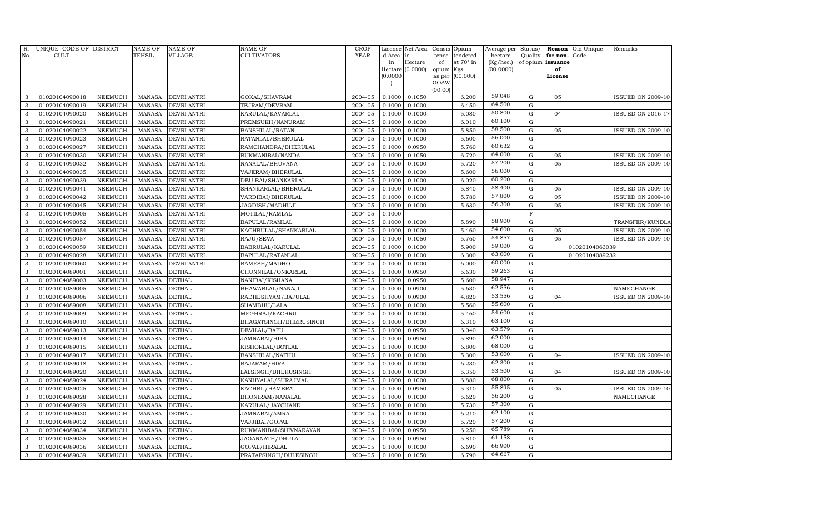| R.<br>No.    | UNIQUE CODE OF DISTRICT<br>CULT. |                    | <b>NAME OF</b><br>TEHSIL       | NAME OF<br>VILLAGE         | NAME OF<br>CULTIVATORS              | <b>CROP</b><br><b>YEAR</b> | d Area in        | License Net Area            | Consis<br>tence | Opium<br>tendered | Average per<br>hectare | Status/<br>Quality | Reason<br>for non- | Old Unique<br>Code | Remarks                  |
|--------------|----------------------------------|--------------------|--------------------------------|----------------------------|-------------------------------------|----------------------------|------------------|-----------------------------|-----------------|-------------------|------------------------|--------------------|--------------------|--------------------|--------------------------|
|              |                                  |                    |                                |                            |                                     |                            | in               | Hectare<br>Hectare (0.0000) | of<br>opium     | at 70° in<br>Kgs  | (Kg/hec.)<br>(00.0000) | of opium           | issuance<br>of     |                    |                          |
|              |                                  |                    |                                |                            |                                     |                            | (0.0000)         |                             | as per          | (00.000)          |                        |                    | License            |                    |                          |
|              |                                  |                    |                                |                            |                                     |                            |                  |                             | GOAW            |                   |                        |                    |                    |                    |                          |
|              |                                  |                    |                                |                            |                                     |                            |                  |                             | (00.00)         |                   |                        |                    |                    |                    |                          |
| 3            | 01020104090018                   | NEEMUCH            | <b>MANASA</b>                  | <b>DEVRI ANTRI</b>         | GOKAL/SHAVRAM                       | 2004-05                    | 0.1000           | 0.1050                      |                 | 6.200             | 59.048                 | $\mathbf G$        | 05                 |                    | <b>ISSUED ON 2009-10</b> |
| 3            | 01020104090019                   | <b>NEEMUCH</b>     | <b>MANASA</b>                  | <b>DEVRI ANTRI</b>         | TEJRAM/DEVRAM                       | 2004-05                    | 0.1000           | 0.1000                      |                 | 6.450             | 64.500                 | $\mathbf G$        |                    |                    |                          |
| 3            | 01020104090020                   | NEEMUCH            | MANASA                         | DEVRI ANTRI                | KARULAL/KAVARLAL                    | 2004-05                    | 0.1000           | 0.1000                      |                 | 5.080             | 50.800<br>60.100       | G                  | 04                 |                    | <b>ISSUED ON 2016-17</b> |
| 3            | 01020104090021                   | NEEMUCH            | <b>MANASA</b>                  | <b>DEVRI ANTRI</b>         | PREMSUKH/NANURAM                    | 2004-05                    | 0.1000           | 0.1000                      |                 | 6.010             | 58.500                 | G                  |                    |                    |                          |
| 3<br>3       | 01020104090022<br>01020104090023 | NEEMUCH<br>NEEMUCH | <b>MANASA</b><br><b>MANASA</b> | DEVRI ANTRI<br>DEVRI ANTRI | BANSHILAL/RATAN                     | 2004-05<br>2004-05         | 0.1000<br>0.1000 | 0.1000                      |                 | 5.850<br>5.600    | 56.000                 | ${\rm G}$<br>G     | 05                 |                    | <b>ISSUED ON 2009-10</b> |
| 3            | 01020104090027                   | NEEMUCH            | <b>MANASA</b>                  | <b>DEVRI ANTRI</b>         | RATANLAL/BHERULAL                   | 2004-05                    | 0.1000           | 0.1000                      |                 | 5.760             | 60.632                 | ${\rm G}$          |                    |                    |                          |
| 3            | 01020104090030                   | NEEMUCH            | <b>MANASA</b>                  | <b>DEVRI ANTRI</b>         | RAMCHANDRA/BHERULAL                 | 2004-05                    | 0.1000           | 0.0950<br>0.1050            |                 | 6.720             | 64.000                 | G                  | 05                 |                    | ISSUED ON 2009-10        |
| 3            | 01020104090032                   | <b>NEEMUCH</b>     | <b>MANASA</b>                  | DEVRI ANTRI                | RUKMANIBAI/NANDA<br>NANALAL/BHUVANA | 2004-05                    | 0.1000           | 0.1000                      |                 | 5.720             | 57.200                 | $\mathbf G$        | 05                 |                    | <b>ISSUED ON 2009-10</b> |
| 3            | 01020104090035                   | NEEMUCH            | <b>MANASA</b>                  | DEVRI ANTRI                | VAJERAM/BHERULAL                    | 2004-05                    | 0.1000           | 0.1000                      |                 | 5.600             | 56.000                 | G                  |                    |                    |                          |
| 3            | 01020104090039                   | NEEMUCH            | <b>MANASA</b>                  | <b>DEVRI ANTRI</b>         | DEU BAI/SHANKARLAL                  | 2004-05                    | 0.1000           | 0.1000                      |                 | 6.020             | 60.200                 | ${\rm G}$          |                    |                    |                          |
| 3            | 01020104090041                   | NEEMUCH            | <b>MANASA</b>                  | DEVRI ANTRI                | SHANKARLAL/BHERULAL                 | 2004-05                    | 0.1000           | 0.1000                      |                 | 5.840             | 58.400                 | $\mathbf G$        | 05                 |                    | <b>ISSUED ON 2009-10</b> |
| 3            | 01020104090042                   | NEEMUCH            | <b>MANASA</b>                  | DEVRI ANTRI                | VARDIBAI/BHERULAL                   | 2004-05                    | 0.1000           | 0.1000                      |                 | 5.780             | 57.800                 | ${\rm G}$          | 05                 |                    | <b>ISSUED ON 2009-10</b> |
| 3            | 01020104090045                   | NEEMUCH            | <b>MANASA</b>                  | <b>DEVRI ANTRI</b>         | JAGDISH/MADHUJI                     | 2004-05                    | 0.1000           | 0.1000                      |                 | 5.630             | 56.300                 | $\mathbf G$        | 05                 |                    | <b>ISSUED ON 2009-10</b> |
| 3            | 01020104090005                   | NEEMUCH            | <b>MANASA</b>                  | DEVRI ANTRI                | MOTILAL/RAMLAL                      | 2004-05                    | 0.1000           |                             |                 |                   |                        | $\mathbf F$        |                    |                    |                          |
| 3            | 01020104090052                   | NEEMUCH            | <b>MANASA</b>                  | DEVRI ANTRI                | BAPULAL/RAMLAL                      | 2004-05                    | 0.1000           | 0.1000                      |                 | 5.890             | 58.900                 | ${\rm G}$          |                    |                    | TRANSFER/KUNDLA          |
| 3            | 01020104090054                   | NEEMUCH            | <b>MANASA</b>                  | DEVRI ANTRI                | KACHRULAL/SHANKARLAL                | 2004-05                    | 0.1000           | 0.1000                      |                 | 5.460             | 54.600                 | ${\rm G}$          | 05                 |                    | <b>ISSUED ON 2009-10</b> |
| $\mathbf{3}$ | 01020104090057                   | <b>NEEMUCH</b>     | <b>MANASA</b>                  | DEVRI ANTRI                | RAJU/SEVA                           | 2004-05                    | 0.1000           | 0.1050                      |                 | 5.760             | 54.857                 | G                  | 05                 |                    | <b>ISSUED ON 2009-10</b> |
| 3            | 01020104090059                   | NEEMUCH            | <b>MANASA</b>                  | <b>DEVRI ANTRI</b>         | BABRULAL/KARULAL                    | 2004-05                    | 0.1000           | 0.1000                      |                 | 5.900             | 59.000                 | ${\rm G}$          |                    | 01020104063039     |                          |
| $\mathbf{3}$ | 01020104090028                   | NEEMUCH            | <b>MANASA</b>                  | <b>DEVRI ANTRI</b>         | BAPULAL/RATANLAL                    | 2004-05                    | 0.1000           | 0.1000                      |                 | 6.300             | 63.000                 | ${\rm G}$          |                    | 01020104089232     |                          |
| 3            | 01020104090060                   | NEEMUCH            | <b>MANASA</b>                  | <b>DEVRI ANTRI</b>         | RAMESH/MADHO                        | 2004-05                    | 0.1000           | 0.1000                      |                 | 6.000             | 60.000                 | ${\rm G}$          |                    |                    |                          |
| 3            | 01020104089001                   | <b>NEEMUCH</b>     | <b>MANASA</b>                  | <b>DETHAL</b>              | CHUNNILAL/ONKARLAL                  | 2004-05                    | 0.1000           | 0.0950                      |                 | 5.630             | 59.263                 | ${\rm G}$          |                    |                    |                          |
| 3            | 01020104089003                   | NEEMUCH            | <b>MANASA</b>                  | <b>DETHAL</b>              | NANIBAI/KISHANA                     | 2004-05                    | 0.1000           | 0.0950                      |                 | 5.600             | 58.947                 | ${\rm G}$          |                    |                    |                          |
| 3            | 01020104089005                   | NEEMUCH            | <b>MANASA</b>                  | <b>DETHAL</b>              | BHAWARLAL/NANAJI                    | 2004-05                    | 0.1000           | 0.0900                      |                 | 5.630             | 62.556                 | $\mathbf G$        |                    |                    | NAMECHANGE               |
| 3            | 01020104089006                   | NEEMUCH            | <b>MANASA</b>                  | <b>DETHAL</b>              | RADHESHYAM/BAPULAL                  | 2004-05                    | 0.1000           | 0.0900                      |                 | 4.820             | 53.556                 | $\mathbf G$        | 04                 |                    | <b>ISSUED ON 2009-10</b> |
| 3            | 01020104089008                   | <b>NEEMUCH</b>     | <b>MANASA</b>                  | <b>DETHAL</b>              | SHAMBHU/LALA                        | 2004-05                    | 0.1000           | 0.1000                      |                 | 5.560             | 55.600                 | ${\rm G}$          |                    |                    |                          |
| 3            | 01020104089009                   | <b>NEEMUCH</b>     | <b>MANASA</b>                  | <b>DETHAL</b>              | MEGHRAJ/KACHRU                      | 2004-05                    | 0.1000           | 0.1000                      |                 | 5.460             | 54.600                 | $\mathbf G$        |                    |                    |                          |
| $\mathbf{3}$ | 01020104089010                   | <b>NEEMUCH</b>     | <b>MANASA</b>                  | <b>DETHAL</b>              | BHAGATSINGH/BHERUSINGH              | 2004-05                    | 0.1000           | 0.1000                      |                 | 6.310             | 63.100                 | ${\rm G}$          |                    |                    |                          |
| 3            | 01020104089013                   | NEEMUCH            | <b>MANASA</b>                  | <b>DETHAL</b>              | DEVILAL/BAPU                        | 2004-05                    | 0.1000           | 0.0950                      |                 | 6.040             | 63.579                 | ${\bf G}$          |                    |                    |                          |
| $\mathbf{3}$ | 01020104089014                   | NEEMUCH            | MANASA                         | DETHAL                     | JAMNABAI/HIRA                       | 2004-05                    | 0.1000           | 0.0950                      |                 | 5.890             | 62.000                 | ${\rm G}$          |                    |                    |                          |
| 3            | 01020104089015                   | NEEMUCH            | MANASA                         | <b>DETHAL</b>              | KISHORLAL/BOTLAL                    | 2004-05                    | 0.1000           | 0.1000                      |                 | 6.800             | 68.000                 | ${\rm G}$          |                    |                    |                          |
| 3            | 01020104089017                   | <b>NEEMUCH</b>     | <b>MANASA</b>                  | <b>DETHAL</b>              | BANSHILAL/NATHU                     | 2004-05                    | 0.1000           | 0.1000                      |                 | 5.300             | 53.000                 | $\mathbf G$        | 04                 |                    | <b>ISSUED ON 2009-10</b> |
| 3            | 01020104089018                   | NEEMUCH            | MANASA                         | DETHAL                     | RAJARAM/HIRA                        | 2004-05                    | 0.1000           | 0.1000                      |                 | 6.230             | 62.300                 | ${\rm G}$          |                    |                    |                          |
| 3            | 01020104089020                   | <b>NEEMUCH</b>     | <b>MANASA</b>                  | <b>DETHAL</b>              | LALSINGH/BHERUSINGH                 | 2004-05                    | 0.1000           | 0.1000                      |                 | 5.350             | 53.500                 | $\mathbf G$        | 04                 |                    | ISSUED ON 2009-10        |
| 3            | 01020104089024                   | <b>NEEMUCH</b>     | <b>MANASA</b>                  | DETHAL                     | KANHYALAL/SURAJMAL                  | 2004-05                    | 0.1000           | 0.1000                      |                 | 6.880             | 68.800                 | $\mathbf G$        |                    |                    |                          |
| 3            | 01020104089025                   | <b>NEEMUCH</b>     | <b>MANASA</b>                  | <b>DETHAL</b>              | KACHRU/HAMERA                       | 2004-05                    | 0.1000           | 0.0950                      |                 | 5.310             | 55.895                 | $\mathbf G$        | 05                 |                    | <b>ISSUED ON 2009-10</b> |
| 3            | 01020104089028                   | <b>NEEMUCH</b>     | <b>MANASA</b>                  | <b>DETHAL</b>              | BHONIRAM/NANALAL                    | 2004-05                    | 0.1000           | 0.1000                      |                 | 5.620             | 56.200                 | ${\rm G}$          |                    |                    | NAMECHANGE               |
| 3            | 01020104089029                   | <b>NEEMUCH</b>     | <b>MANASA</b>                  | <b>DETHAL</b>              | KARULAL/JAYCHAND                    | 2004-05                    | 0.1000           | 0.1000                      |                 | 5.730             | 57.300                 | $\mathbf G$        |                    |                    |                          |
| 3            | 01020104089030                   | <b>NEEMUCH</b>     | <b>MANASA</b>                  | <b>DETHAL</b>              | JAMNABAI/AMRA                       | 2004-05                    | 0.1000           | 0.1000                      |                 | 6.210             | 62.100                 | $\mathbf G$        |                    |                    |                          |
| 3            | 01020104089032                   | <b>NEEMUCH</b>     | <b>MANASA</b>                  | <b>DETHAL</b>              | VAJJIBAI/GOPAL                      | 2004-05                    | 0.1000           | 0.1000                      |                 | 5.720             | 57.200                 | $\mathbf G$        |                    |                    |                          |
| 3            | 01020104089034                   | NEEMUCH            | MANASA                         | DETHAL                     | RUKMANIBAI/SHIVNARAYAN              | 2004-05                    | 0.1000           | 0.0950                      |                 | 6.250             | 65.789                 | ${\rm G}$          |                    |                    |                          |
| $\mathbf{3}$ | 01020104089035                   | <b>NEEMUCH</b>     | <b>MANASA</b>                  | <b>DETHAL</b>              | JAGANNATH/DHULA                     | 2004-05                    | 0.1000           | 0.0950                      |                 | 5.810             | 61.158                 | $\mathbf G$        |                    |                    |                          |
| $\mathbf{3}$ | 01020104089036                   | <b>NEEMUCH</b>     | <b>MANASA</b>                  | <b>DETHAL</b>              | GOPAL/HIRALAL                       | 2004-05                    | 0.1000           | 0.1000                      |                 | 6.690             | 66.900                 | $\mathbf G$        |                    |                    |                          |
| $\mathbf{3}$ | 01020104089039                   | <b>NEEMUCH</b>     | <b>MANASA</b>                  | <b>DETHAL</b>              | PRATAPSINGH/DULESINGH               | 2004-05                    | 0.1000           | 0.1050                      |                 | 6.790             | 64.667                 | G                  |                    |                    |                          |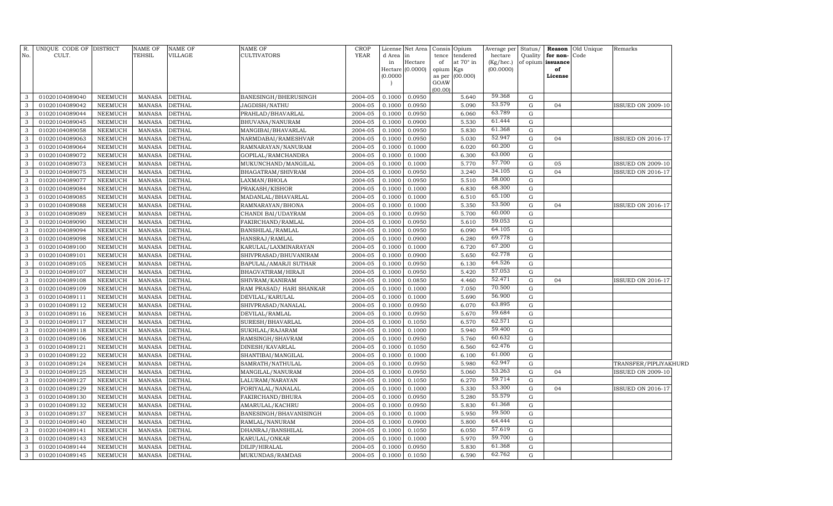| R.<br>No.         | UNIQUE CODE OF DISTRICT<br>CULT. |                                  | NAME OF<br>TEHSIL              | <b>NAME OF</b><br>VILLAGE      | NAME OF<br><b>CULTIVATORS</b>       | <b>CROP</b><br>YEAR | d Area in<br>in<br>(0.0000) | License Net Area<br>Hectare<br>Hectare (0.0000) | Consis<br>tence<br>of<br>opium Kgs<br>as per<br>GOAW | Opium<br>tendered<br>at 70° in<br>(00.000) | Average per<br>hectare<br>$(Kg/$ hec.)<br>(00.0000) | Status/<br>Quality<br>of opium | for non-Code<br>issuance<br>of<br>License | Reason Old Unique | Remarks                  |  |
|-------------------|----------------------------------|----------------------------------|--------------------------------|--------------------------------|-------------------------------------|---------------------|-----------------------------|-------------------------------------------------|------------------------------------------------------|--------------------------------------------|-----------------------------------------------------|--------------------------------|-------------------------------------------|-------------------|--------------------------|--|
|                   |                                  |                                  |                                |                                |                                     |                     |                             |                                                 | (00.00)                                              |                                            |                                                     |                                |                                           |                   |                          |  |
| 3                 | 01020104089040                   | <b>NEEMUCH</b>                   | MANASA                         | <b>DETHAL</b>                  | BANESINGH/BHERUSINGH                | 2004-05             | 0.1000                      | 0.0950                                          |                                                      | 5.640                                      | 59.368                                              | $\mathbf G$                    |                                           |                   |                          |  |
| 3                 | 01020104089042                   | <b>NEEMUCH</b>                   | MANASA                         | <b>DETHAL</b>                  | JAGDISH/NATHU                       | 2004-05             | 0.1000                      | 0.0950                                          |                                                      | 5.090                                      | 53.579                                              | $\mathbf G$                    | 04                                        |                   | <b>ISSUED ON 2009-10</b> |  |
| 3                 | 01020104089044                   | NEEMUCH                          | <b>MANASA</b>                  | <b>DETHAL</b>                  | PRAHLAD/BHAVARLAL                   | 2004-05             | 0.1000                      | 0.0950                                          |                                                      | 6.060                                      | 63.789<br>61.444                                    | $\mathbf G$                    |                                           |                   |                          |  |
| 3                 | 01020104089045                   | <b>NEEMUCH</b>                   | MANASA                         | <b>DETHAL</b>                  | BHUVANA/NANURAM                     | 2004-05             | 0.1000                      | 0.0900                                          |                                                      | 5.530                                      |                                                     | $\mathbf G$                    |                                           |                   |                          |  |
| 3                 | 01020104089058                   | NEEMUCH                          | <b>MANASA</b>                  | <b>DETHAL</b>                  | MANGIBAI/BHAVARLAL                  | 2004-05             | 0.1000                      | 0.0950                                          |                                                      | 5.830                                      | 61.368<br>52.947                                    | $\mathbf G$                    |                                           |                   |                          |  |
| 3                 | 01020104089063                   | NEEMUCH                          | <b>MANASA</b>                  | <b>DETHAL</b>                  | NARMDABAI/RAMESHVAR                 | 2004-05             | 0.1000                      | 0.0950                                          |                                                      | 5.030                                      | 60.200                                              | G                              | 04                                        |                   | ISSUED ON 2016-17        |  |
| 3                 | 01020104089064                   | NEEMUCH                          | <b>MANASA</b>                  | <b>DETHAL</b>                  | RAMNARAYAN/NANURAM                  | 2004-05             | 0.1000                      | 0.1000                                          |                                                      | 6.020                                      | 63.000                                              | G                              |                                           |                   |                          |  |
| 3                 | 01020104089072                   | <b>NEEMUCH</b>                   | <b>MANASA</b>                  | <b>DETHAL</b>                  | GOPILAL/RAMCHANDRA                  | 2004-05             | 0.1000                      | 0.1000                                          |                                                      | 6.300                                      | 57.700                                              | G                              |                                           |                   |                          |  |
| 3                 | 01020104089073                   | NEEMUCH                          | <b>MANASA</b>                  | <b>DETHAL</b>                  | MUKUNCHAND/MANGILAL                 | 2004-05             | 0.1000                      | 0.1000                                          |                                                      | 5.770                                      | 34.105                                              | G                              | 05                                        |                   | <b>ISSUED ON 2009-10</b> |  |
| 3                 | 01020104089075                   | <b>NEEMUCH</b>                   | <b>MANASA</b>                  | <b>DETHAL</b>                  | BHAGATRAM/SHIVRAM                   | 2004-05             | 0.1000                      | 0.0950                                          |                                                      | 3.240                                      | 58.000                                              | G                              | 04                                        |                   | <b>ISSUED ON 2016-17</b> |  |
| 3                 | 01020104089077                   | <b>NEEMUCH</b>                   | <b>MANASA</b>                  | <b>DETHAL</b>                  | LAXMAN/BHOLA                        | 2004-05             | 0.1000                      | 0.0950                                          |                                                      | 5.510                                      | 68.300                                              | G                              |                                           |                   |                          |  |
| 3                 | 01020104089084                   | NEEMUCH                          | MANASA                         | <b>DETHAL</b>                  | PRAKASH/KISHOR                      | 2004-05             | 0.1000                      | 0.1000                                          |                                                      | 6.830                                      | 65.100                                              | G                              |                                           |                   |                          |  |
| 3                 | 01020104089085                   | NEEMUCH                          | MANASA                         | <b>DETHAL</b>                  | MADANLAL/BHAVARLAL                  | 2004-05             | 0.1000                      | 0.1000                                          |                                                      | 6.510<br>5.350                             | 53.500                                              | G<br>$\mathbf G$               |                                           |                   |                          |  |
| 3<br>3            | 01020104089088<br>01020104089089 | <b>NEEMUCH</b><br><b>NEEMUCH</b> | <b>MANASA</b>                  | <b>DETHAL</b><br><b>DETHAL</b> | RAMNARAYAN/BHONA                    | 2004-05<br>2004-05  | 0.1000<br>0.1000            | 0.1000<br>0.0950                                |                                                      | 5.700                                      | 60.000                                              | $\mathbf G$                    | 04                                        |                   | <b>ISSUED ON 2016-17</b> |  |
| 3                 |                                  |                                  | MANASA                         | <b>DETHAL</b>                  | CHANDI BAI/UDAYRAM                  | 2004-05             |                             | 0.0950                                          |                                                      | 5.610                                      | 59.053                                              | $\mathbf G$                    |                                           |                   |                          |  |
|                   | 01020104089090                   | <b>NEEMUCH</b>                   | <b>MANASA</b>                  |                                | FAKIRCHAND/RAMLAL                   |                     | 0.1000                      |                                                 |                                                      |                                            | 64.105                                              | $\mathbf G$                    |                                           |                   |                          |  |
| 3                 | 01020104089094                   | <b>NEEMUCH</b>                   | <b>MANASA</b>                  | <b>DETHAL</b>                  | BANSHILAL/RAMLAL                    | 2004-05             | 0.1000                      | 0.0950                                          |                                                      | 6.090                                      | 69.778                                              |                                |                                           |                   |                          |  |
| $\mathbf{3}$      | 01020104089098                   | <b>NEEMUCH</b>                   | <b>MANASA</b>                  | <b>DETHAL</b>                  | HANSRAJ/RAMLAL                      | 2004-05             | 0.1000                      | 0.0900                                          |                                                      | 6.280                                      | 67.200                                              | G                              |                                           |                   |                          |  |
| 3                 | 01020104089100                   | <b>NEEMUCH</b>                   | <b>MANASA</b>                  | <b>DETHAL</b>                  | KARULAL/LAXMINARAYAN                | 2004-05             | 0.1000                      | 0.1000                                          |                                                      | 6.720                                      | 62.778                                              | $\mathbf G$                    |                                           |                   |                          |  |
| $\mathbf{3}$<br>3 | 01020104089101                   | <b>NEEMUCH</b>                   | <b>MANASA</b>                  | <b>DETHAL</b>                  | SHIVPRASAD/BHUVANIRAM               | 2004-05             | 0.1000                      | 0.0900                                          |                                                      | 5.650                                      | 64.526                                              | G<br>G                         |                                           |                   |                          |  |
|                   | 01020104089105                   | NEEMUCH                          | <b>MANASA</b>                  | <b>DETHAL</b>                  | BAPULAL/AMARJI SUTHAR               | 2004-05             | 0.1000                      | 0.0950                                          |                                                      | 6.130                                      | 57.053                                              | G                              |                                           |                   |                          |  |
| 3                 | 01020104089107                   | <b>NEEMUCH</b>                   | <b>MANASA</b>                  | <b>DETHAL</b>                  | BHAGVATIRAM/HIRAJI                  | 2004-05             | 0.1000                      | 0.0950                                          |                                                      | 5.420                                      | 52.471                                              |                                |                                           |                   |                          |  |
| 3                 | 01020104089108                   | NEEMUCH                          | <b>MANASA</b>                  | <b>DETHAL</b>                  | SHIVRAM/KANIRAM                     | 2004-05             | 0.1000                      | 0.0850                                          |                                                      | 4.460<br>7.050                             | 70.500                                              | G<br>G                         | 04                                        |                   | ISSUED ON 2016-17        |  |
| 3<br>3            | 01020104089109<br>01020104089111 | NEEMUCH                          | <b>MANASA</b>                  | <b>DETHAL</b>                  | RAM PRASAD/ HARI SHANKAR            | 2004-05<br>2004-05  | 0.1000<br>0.1000            | 0.1000                                          |                                                      | 5.690                                      | 56.900                                              | G                              |                                           |                   |                          |  |
| 3                 | 01020104089112                   | NEEMUCH                          | <b>MANASA</b>                  | <b>DETHAL</b>                  | DEVILAL/KARULAL                     |                     | 0.1000                      | 0.1000                                          |                                                      | 6.070                                      | 63.895                                              | G                              |                                           |                   |                          |  |
| 3                 | 01020104089116                   | NEEMUCH                          | <b>MANASA</b>                  | <b>DETHAL</b>                  | SHIVPRASAD/NANALAL                  | 2004-05             |                             | 0.0950                                          |                                                      |                                            | 59.684                                              | G                              |                                           |                   |                          |  |
| 3                 |                                  | NEEMUCH                          | <b>MANASA</b><br><b>MANASA</b> | <b>DETHAL</b>                  | DEVILAL/RAMLAL                      | 2004-05<br>2004-05  | 0.1000<br>0.1000            | 0.0950                                          |                                                      | 5.670<br>6.570                             | 62.571                                              | G                              |                                           |                   |                          |  |
| 3                 | 01020104089117<br>01020104089118 | NEEMUCH                          | <b>MANASA</b>                  | <b>DETHAL</b>                  | SURESH/BHAVARLAL                    | 2004-05             | 0.1000                      | 0.1050                                          |                                                      | 5.940                                      | 59.400                                              | G                              |                                           |                   |                          |  |
| 3                 | 01020104089106                   | NEEMUCH<br><b>NEEMUCH</b>        | <b>MANASA</b>                  | <b>DETHAL</b><br><b>DETHAL</b> | SUKHLAL/RAJARAM<br>RAMSINGH/SHAVRAM | 2004-05             | 0.1000                      | 0.1000<br>0.0950                                |                                                      | 5.760                                      | 60.632                                              | $\mathbf G$                    |                                           |                   |                          |  |
| 3                 | 01020104089121                   | <b>NEEMUCH</b>                   | <b>MANASA</b>                  | <b>DETHAL</b>                  | DINESH/KAVARLAL                     | 2004-05             | 0.1000                      | 0.1050                                          |                                                      | 6.560                                      | 62.476                                              | $\mathbf G$                    |                                           |                   |                          |  |
| 3                 | 01020104089122                   | <b>NEEMUCH</b>                   | <b>MANASA</b>                  | <b>DETHAL</b>                  | SHANTIBAI/MANGILAL                  | 2004-05             | 0.1000                      | 0.1000                                          |                                                      | 6.100                                      | 61.000                                              | $\mathbf G$                    |                                           |                   |                          |  |
| 3                 | 01020104089124                   | <b>NEEMUCH</b>                   | <b>MANASA</b>                  | <b>DETHAL</b>                  | SAMRATH/NATHULAL                    | 2004-05             | 0.1000                      | 0.0950                                          |                                                      | 5.980                                      | 62.947                                              | G                              |                                           |                   | TRANSFER/PIPLIYAKHURD    |  |
| $\mathbf{3}$      | 01020104089125                   | <b>NEEMUCH</b>                   | <b>MANASA</b>                  | <b>DETHAL</b>                  | MANGILAL/NANURAM                    | 2004-05             | 0.1000                      | 0.0950                                          |                                                      | 5.060                                      | 53.263                                              | $\mathbf G$                    | 04                                        |                   | <b>ISSUED ON 2009-10</b> |  |
| 3                 | 01020104089127                   | <b>NEEMUCH</b>                   | <b>MANASA</b>                  | <b>DETHAL</b>                  | LALURAM/NARAYAN                     | 2004-05             | 0.1000                      | 0.1050                                          |                                                      | 6.270                                      | 59.714                                              | G                              |                                           |                   |                          |  |
| $\mathbf{3}$      | 01020104089129                   | <b>NEEMUCH</b>                   | <b>MANASA</b>                  | <b>DETHAL</b>                  | FORIYALAL/NANALAL                   | 2004-05             | 0.1000                      | 0.1000                                          |                                                      | 5.330                                      | 53.300                                              | $\mathbf G$                    | 04                                        |                   | <b>ISSUED ON 2016-17</b> |  |
| 3                 | 01020104089130                   | <b>NEEMUCH</b>                   | <b>MANASA</b>                  | <b>DETHAL</b>                  | FAKIRCHAND/BHURA                    | 2004-05             | 0.1000                      | 0.0950                                          |                                                      | 5.280                                      | 55.579                                              | $\mathbf G$                    |                                           |                   |                          |  |
| 3                 | 01020104089132                   | <b>NEEMUCH</b>                   | <b>MANASA</b>                  | <b>DETHAL</b>                  | AMARULAL/KACHRU                     | 2004-05             | 0.1000                      | 0.0950                                          |                                                      | 5.830                                      | 61.368                                              | $\mathbf G$                    |                                           |                   |                          |  |
| 3                 | 01020104089137                   | <b>NEEMUCH</b>                   | <b>MANASA</b>                  | <b>DETHAL</b>                  | BANESINGH/BHAVANISINGH              | 2004-05             | 0.1000                      | 0.1000                                          |                                                      | 5.950                                      | 59.500                                              | $\mathbf G$                    |                                           |                   |                          |  |
| 3                 | 01020104089140                   | <b>NEEMUCH</b>                   | <b>MANASA</b>                  | <b>DETHAL</b>                  | RAMLAL/NANURAM                      | 2004-05             | 0.1000                      | 0.0900                                          |                                                      | 5.800                                      | 64.444                                              | G                              |                                           |                   |                          |  |
| 3                 | 01020104089141                   | <b>NEEMUCH</b>                   | <b>MANASA</b>                  | <b>DETHAL</b>                  | DHANRAJ/BANSHILAL                   | 2004-05             | 0.1000                      | 0.1050                                          |                                                      | 6.050                                      | 57.619                                              | G                              |                                           |                   |                          |  |
| 3                 | 01020104089143                   | <b>NEEMUCH</b>                   | <b>MANASA</b>                  | <b>DETHAL</b>                  | KARULAL/ONKAR                       | 2004-05             | 0.1000                      | 0.1000                                          |                                                      | 5.970                                      | 59.700                                              | G                              |                                           |                   |                          |  |
| 3                 | 01020104089144                   | <b>NEEMUCH</b>                   | <b>MANASA</b>                  | <b>DETHAL</b>                  | DILIP/HIRALAL                       | 2004-05             | 0.1000                      | 0.0950                                          |                                                      | 5.830                                      | 61.368                                              | G                              |                                           |                   |                          |  |
| $\mathbf{3}$      | 01020104089145                   | <b>NEEMUCH</b>                   | MANASA                         | <b>DETHAL</b>                  | MUKUNDAS/RAMDAS                     | 2004-05             | 0.1000                      | 0.1050                                          |                                                      | 6.590                                      | 62.762                                              | G                              |                                           |                   |                          |  |
|                   |                                  |                                  |                                |                                |                                     |                     |                             |                                                 |                                                      |                                            |                                                     |                                |                                           |                   |                          |  |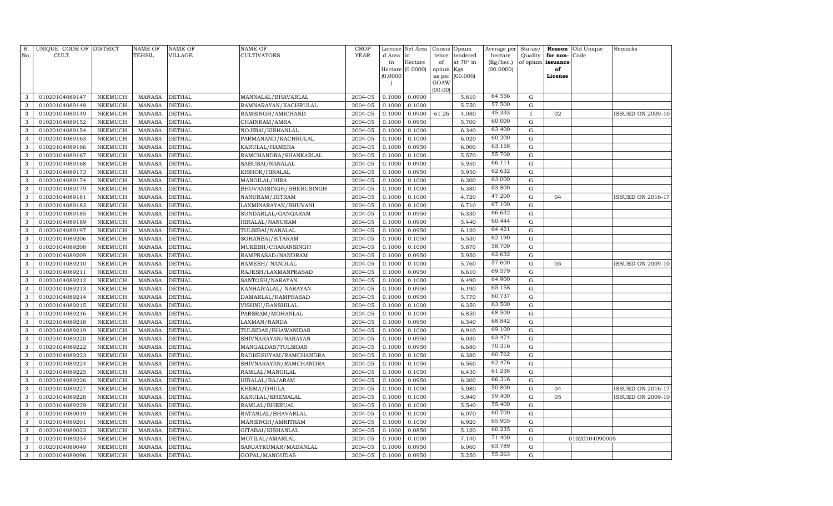| R.<br>No.    | UNIQUE CODE OF DISTRICT<br>CULT. |                | <b>NAME OF</b><br>TEHSIL | <b>NAME OF</b><br><b>VILLAGE</b> | NAME OF<br>CULTIVATORS  | CROP<br><b>YEAR</b> | d Area<br>in | License Net Area<br>lin<br>Hectare | Consis<br>tence<br>of | Opium<br>tendered<br>at $70^\circ$ in | Average per<br>hectare<br>(Kg/hec.) | Status/<br>Quality | for non-<br>of opium issuance | <b>Reason</b> Old Unique<br>Code | Remarks                  |
|--------------|----------------------------------|----------------|--------------------------|----------------------------------|-------------------------|---------------------|--------------|------------------------------------|-----------------------|---------------------------------------|-------------------------------------|--------------------|-------------------------------|----------------------------------|--------------------------|
|              |                                  |                |                          |                                  |                         |                     |              | Hectare (0.0000)                   | opium                 | Kgs                                   | (00.0000)                           |                    | of                            |                                  |                          |
|              |                                  |                |                          |                                  |                         |                     | (0.0000)     |                                    | as per                | (00.000)                              |                                     |                    | License                       |                                  |                          |
|              |                                  |                |                          |                                  |                         |                     |              |                                    | GOAW                  |                                       |                                     |                    |                               |                                  |                          |
| 3            | 01020104089147                   | <b>NEEMUCH</b> | <b>MANASA</b>            | <b>DETHAL</b>                    | MANNALAL/BHAVARLAL      | 2004-05             | 0.1000       | 0.0900                             | (00.00)               | 5.810                                 | 64.556                              | $\mathbf G$        |                               |                                  |                          |
| 3            | 01020104089148                   | NEEMUCH        | <b>MANASA</b>            | <b>DETHAL</b>                    | RAMNARAYAN/KACHRULAL    | 2004-05             | 0.1000       | 0.1000                             |                       | 5.750                                 | 57.500                              | $\mathbf G$        |                               |                                  |                          |
| 3            | 01020104089149                   | <b>NEEMUCH</b> | <b>MANASA</b>            | <b>DETHAL</b>                    | RAMSINGH/AMICHAND       | 2004-05             | 0.1000       | 0.0900                             | 61.26                 | 4.080                                 | 45.333                              | $\mathbf{I}$       | 02                            |                                  | <b>ISSUED ON 2009-10</b> |
| $\mathbf{3}$ | 01020104089152                   | <b>NEEMUCH</b> | <b>MANASA</b>            | <b>DETHAL</b>                    | CHAINRAM/AMRA           | 2004-05             | 0.1000       | 0.0950                             |                       | 5.700                                 | 60.000                              | G                  |                               |                                  |                          |
| 3            | 01020104089154                   | <b>NEEMUCH</b> | <b>MANASA</b>            | <b>DETHAL</b>                    | NOJIBAI/KISHANLAL       | 2004-05             | 0.1000       | 0.1000                             |                       | 6.340                                 | 63.400                              | $\mathbf G$        |                               |                                  |                          |
| 3            | 01020104089163                   | NEEMUCH        | <b>MANASA</b>            | <b>DETHAL</b>                    | PARMANAND/KACHRULAL     | 2004-05             | 0.1000       | 0.1000                             |                       | 6.020                                 | 60.200                              | G                  |                               |                                  |                          |
| 3            | 01020104089166                   | <b>NEEMUCH</b> | <b>MANASA</b>            | <b>DETHAL</b>                    | KARULAL/HAMERA          | 2004-05             | 0.1000       | 0.0950                             |                       | 6.000                                 | 63.158                              | G                  |                               |                                  |                          |
| 3            | 01020104089167                   | NEEMUCH        | <b>MANASA</b>            | <b>DETHAL</b>                    | RAMCHANDRA/SHANKARLAL   | 2004-05             | 0.1000       | 0.1000                             |                       | 5.570                                 | 55.700                              | ${\rm G}$          |                               |                                  |                          |
| 3            | 01020104089168                   | NEEMUCH        | <b>MANASA</b>            | DETHAL                           | SABUBAI/NANALAL         | 2004-05             | 0.1000       | 0.0900                             |                       | 5.950                                 | 66.111                              | $\mathbf G$        |                               |                                  |                          |
| 3            | 01020104089173                   | NEEMUCH        | <b>MANASA</b>            | <b>DETHAL</b>                    | KISHOR/HIRALAL          | 2004-05             | 0.1000       | 0.0950                             |                       | 5.950                                 | 62.632                              | ${\rm G}$          |                               |                                  |                          |
| 3            | 01020104089174                   | <b>NEEMUCH</b> | <b>MANASA</b>            | <b>DETHAL</b>                    | MANGILAL/HIRA           | 2004-05             | 0.1000       | 0.1000                             |                       | 6.300                                 | 63.000                              | ${\rm G}$          |                               |                                  |                          |
| $\mathbf{3}$ | 01020104089179                   | <b>NEEMUCH</b> | <b>MANASA</b>            | <b>DETHAL</b>                    | BHUVANISINGH/BHERUSINGH | 2004-05             | 0.1000       | 0.1000                             |                       | 6.380                                 | 63.800                              | $\mathbf G$        |                               |                                  |                          |
| 3            | 01020104089181                   | <b>NEEMUCH</b> | <b>MANASA</b>            | <b>DETHAL</b>                    | NANURAM/JETRAM          | 2004-05             | 0.1000       | 0.1000                             |                       | 4.720                                 | 47.200                              | ${\rm G}$          | 04                            |                                  | <b>ISSUED ON 2016-17</b> |
| 3            | 01020104089183                   | NEEMUCH        | <b>MANASA</b>            | <b>DETHAL</b>                    | LAXMINARAYAN/BHUVANI    | 2004-05             | 0.1000       | 0.1000                             |                       | 6.710                                 | 67.100                              | $\mathbf G$        |                               |                                  |                          |
| 3            | 01020104089185                   | <b>NEEMUCH</b> | <b>MANASA</b>            | <b>DETHAL</b>                    | SUNDARLAL/GANGARAM      | 2004-05             | 0.1000       | 0.0950                             |                       | 6.330                                 | 66.632                              | $\mathbf G$        |                               |                                  |                          |
| 3            | 01020104089189                   | NEEMUCH        | <b>MANASA</b>            | <b>DETHAL</b>                    | HIRALAL/NANURAM         | 2004-05             | 0.1000       | 0.0900                             |                       | 5.440                                 | 60.444                              | ${\rm G}$          |                               |                                  |                          |
| 3            | 01020104089197                   | <b>NEEMUCH</b> | <b>MANASA</b>            | <b>DETHAL</b>                    | TULSIBAI/NANALAL        | 2004-05             | 0.1000       | 0.0950                             |                       | 6.120                                 | 64.421                              | ${\rm G}$          |                               |                                  |                          |
| 3            | 01020104089206                   | <b>NEEMUCH</b> | <b>MANASA</b>            | DETHAL                           | SOHANBAI/SITARAM        | 2004-05             | 0.1000       | 0.1050                             |                       | 6.530                                 | 62.190                              | ${\rm G}$          |                               |                                  |                          |
| 3            | 01020104089208                   | NEEMUCH        | <b>MANASA</b>            | <b>DETHAL</b>                    | MUKESH/CHARANSINGH      | 2004-05             | 0.1000       | 0.1000                             |                       | 5.870                                 | 58.700                              | $\mathbf G$        |                               |                                  |                          |
| 3            | 01020104089209                   | <b>NEEMUCH</b> | <b>MANASA</b>            | <b>DETHAL</b>                    | RAMPRASAD/NANDRAM       | 2004-05             | 0.1000       | 0.0950                             |                       | 5.950                                 | 62.632                              | ${\rm G}$          |                               |                                  |                          |
| 3            | 01020104089210                   | NEEMUCH        | <b>MANASA</b>            | <b>DETHAL</b>                    | RAMESH / NANDLAL        | 2004-05             | 0.1000       | 0.1000                             |                       | 5.760                                 | 57.600                              | ${\rm G}$          | 05                            |                                  | <b>ISSUED ON 2009-10</b> |
| 3            | 01020104089211                   | NEEMUCH        | <b>MANASA</b>            | DETHAL                           | RAJESH/LAXMANPRASAD     | 2004-05             | 0.1000       | 0.0950                             |                       | 6.610                                 | 69.579                              | $\mathbf G$        |                               |                                  |                          |
| 3            | 01020104089212                   | <b>NEEMUCH</b> | <b>MANASA</b>            | <b>DETHAL</b>                    | SANTOSH/NARAYAN         | 2004-05             | 0.1000       | 0.1000                             |                       | 6.490                                 | 64.900                              | ${\rm G}$          |                               |                                  |                          |
| 3            | 01020104089213                   | <b>NEEMUCH</b> | <b>MANASA</b>            | <b>DETHAL</b>                    | KANHAIYALAL/ NARAYAN    | 2004-05             | 0.1000       | 0.0950                             |                       | 6.190                                 | 65.158                              | $\mathbf G$        |                               |                                  |                          |
| 3            | 01020104089214                   | <b>NEEMUCH</b> | <b>MANASA</b>            | <b>DETHAL</b>                    | DAMARLAL/RAMPRASAD      | 2004-05             | 0.1000       | 0.0950                             |                       | 5.770                                 | 60.737                              | $\mathbf G$        |                               |                                  |                          |
| 3            | 01020104089215                   | <b>NEEMUCH</b> | <b>MANASA</b>            | <b>DETHAL</b>                    | VISHNU/BANSHILAL        | 2004-05             | 0.1000       | 0.1000                             |                       | 6.350                                 | 63.500                              | ${\rm G}$          |                               |                                  |                          |
| 3            | 01020104089216                   | <b>NEEMUCH</b> | <b>MANASA</b>            | <b>DETHAL</b>                    | PARSRAM/MOHANLAL        | 2004-05             | 0.1000       | 0.1000                             |                       | 6.850                                 | 68.500                              | $\mathbf G$        |                               |                                  |                          |
| 3            | 01020104089218                   | <b>NEEMUCH</b> | <b>MANASA</b>            | <b>DETHAL</b>                    | LAXMAN/NANDA            | 2004-05             | 0.1000       | 0.0950                             |                       | 6.540                                 | 68.842                              | $\mathbf G$        |                               |                                  |                          |
| 3            | 01020104089219                   | <b>NEEMUCH</b> | <b>MANASA</b>            | <b>DETHAL</b>                    | TULSIDAS/BHAWANIDAS     | 2004-05             | 0.1000       | 0.1000                             |                       | 6.910                                 | 69.100                              | ${\rm G}$          |                               |                                  |                          |
| 3            | 01020104089220                   | <b>NEEMUCH</b> | <b>MANASA</b>            | DETHAL                           | SHIVNARAYAN/NARAYAN     | 2004-05             | 0.1000       | 0.0950                             |                       | 6.030                                 | 63.474                              | $\mathbf G$        |                               |                                  |                          |
| 3            | 01020104089222                   | NEEMUCH        | <b>MANASA</b>            | DETHAL                           | MANGALDAS/TULSIDAS      | 2004-05             | 0.1000       | 0.0950                             |                       | 6.680                                 | 70.316                              | ${\rm G}$          |                               |                                  |                          |
| 3            | 01020104089223                   | NEEMUCH        | <b>MANASA</b>            | <b>DETHAL</b>                    | RADHESHYAM/RAMCHANDRA   | 2004-05             | 0.1000       | 0.1050                             |                       | 6.380                                 | 60.762                              | $\mathbf G$        |                               |                                  |                          |
| 3            | 01020104089224                   | NEEMUCH        | <b>MANASA</b>            | DETHAL                           | SHIVNARAYAN/RAMCHANDRA  | 2004-05             | 0.1000       | 0.1050                             |                       | 6.560                                 | 62.476                              | ${\rm G}$          |                               |                                  |                          |
| 3            | 01020104089225                   | NEEMUCH        | <b>MANASA</b>            | DETHAL                           | RAMLAL/MANGILAL         | 2004-05             | 0.1000       | 0.1050                             |                       | 6.430                                 | 61.238                              | ${\rm G}$          |                               |                                  |                          |
| 3            | 01020104089226                   | <b>NEEMUCH</b> | <b>MANASA</b>            | DETHAL                           | HIRALAL/RAJARAM         | 2004-05             | 0.1000       | 0.0950                             |                       | 6.300                                 | 66.316                              | $\mathbf G$        |                               |                                  |                          |
| 3            | 01020104089227                   | <b>NEEMUCH</b> | <b>MANASA</b>            | <b>DETHAL</b>                    | KHEMA/DHULA             | 2004-05             | 0.1000       | 0.1000                             |                       | 5.080                                 | 50.800                              | $\mathbf G$        | 04                            |                                  | <b>ISSUED ON 2016-17</b> |
| 3            | 01020104089228                   | <b>NEEMUCH</b> | <b>MANASA</b>            | <b>DETHAL</b>                    | KARULAL/KHEMALAL        | 2004-05             | 0.1000       | 0.1000                             |                       | 5.940                                 | 59.400                              | ${\rm G}$          | 05                            |                                  | <b>ISSUED ON 2009-10</b> |
| 3            | 01020104089229                   | <b>NEEMUCH</b> | <b>MANASA</b>            | <b>DETHAL</b>                    | RAMLAL/BHERUAL          | 2004-05             | 0.1000       | 0.1000                             |                       | 5.540                                 | 55.400                              | $\mathbf G$        |                               |                                  |                          |
| 3            | 01020104089019                   | NEEMUCH        | MANASA                   | DETHAL                           | RATANLAL/BHAVARLAL      | 2004-05             | 0.1000       | 0.1000                             |                       | 6.070                                 | 60.700                              | $\mathbf G$        |                               |                                  |                          |
| 3            | 01020104089201                   | <b>NEEMUCH</b> | <b>MANASA</b>            | DETHAL                           | MANSINGH/AMRITRAM       | 2004-05             | 0.1000       | 0.1050                             |                       | 6.920                                 | 65.905                              | $\mathbf G$        |                               |                                  |                          |
| 3            | 01020104089023                   | NEEMUCH        | <b>MANASA</b>            | DETHAL                           | GITABAI/KISHANLAL       | 2004-05             | 0.1000       | 0.0850                             |                       | 5.120                                 | 60.235<br>71.400                    | ${\rm G}$          |                               |                                  |                          |
| 3            | 01020104089234                   | NEEMUCH        | <b>MANASA</b>            | DETHAL                           | MOTILAL/AMARLAL         | 2004-05             | 0.1000       | 0.1000                             |                       | 7.140                                 | 63.789                              | $\mathbf G$        |                               | 01020104090005                   |                          |
| 3            | 01020104089049                   | NEEMUCH        | <b>MANASA</b>            | <b>DETHAL</b>                    | SANJAYKUMAR/MADANLAL    | 2004-05             | 0.1000       | 0.0950                             |                       | 6.060                                 | 55.263                              | $\mathbf G$        |                               |                                  |                          |
| $\mathbf{3}$ | 01020104089096                   | NEEMUCH        | <b>MANASA</b>            | DETHAL                           | GOPAL/MANGUDAS          | 2004-05             | 0.1000       | 0.0950                             |                       | 5.250                                 |                                     | G                  |                               |                                  |                          |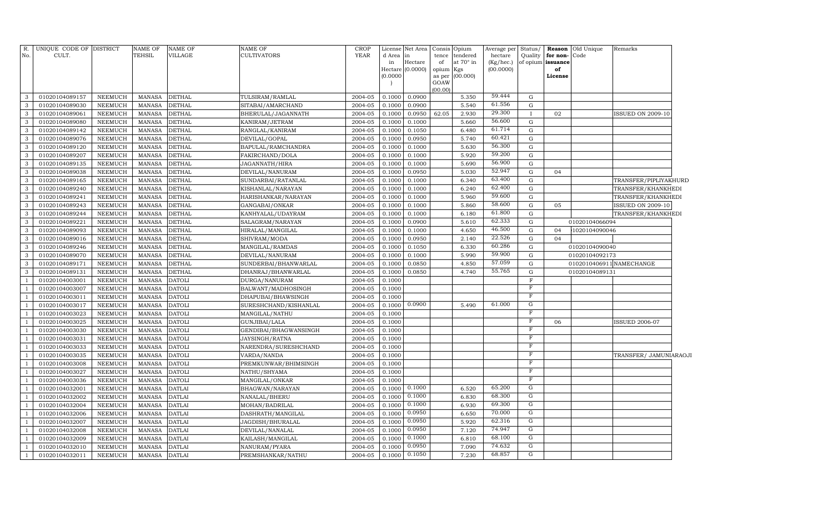| R.<br>No.      | UNIQUE CODE OF DISTRICT<br>CULT. |                | <b>NAME OF</b><br><b>TEHSIL</b> | <b>NAME OF</b><br><b>VILLAGE</b> | <b>NAME OF</b><br><b>CULTIVATORS</b> | <b>CROP</b><br><b>YEAR</b> | License<br>d Area | Net Area<br>in      | Consis<br>tence | Opium<br>tendered | Average per<br>hectare | Status/<br>Quality | for non-       | <b>Reason</b> Old Unique<br>Code | Remarks                  |
|----------------|----------------------------------|----------------|---------------------------------|----------------------------------|--------------------------------------|----------------------------|-------------------|---------------------|-----------------|-------------------|------------------------|--------------------|----------------|----------------------------------|--------------------------|
|                |                                  |                |                                 |                                  |                                      |                            | in<br>Hectare     | Hectare<br>(0.0000) | of<br>opium     | at 70° in<br>Kgs  | (Kg/hec.)<br>(00.0000) | of opium           | issuance<br>of |                                  |                          |
|                |                                  |                |                                 |                                  |                                      |                            | (0.0000)          |                     | as per          | (00.000)          |                        |                    | License        |                                  |                          |
|                |                                  |                |                                 |                                  |                                      |                            |                   |                     | GOAW            |                   |                        |                    |                |                                  |                          |
|                |                                  |                |                                 |                                  |                                      |                            |                   |                     | (00.00)         |                   |                        |                    |                |                                  |                          |
| 3              | 01020104089157                   | NEEMUCH        | <b>MANASA</b>                   | <b>DETHAL</b>                    | TULSIRAM/RAMLAL                      | 2004-05                    | 0.1000            | 0.0900              |                 | 5.350             | 59.444                 | G                  |                |                                  |                          |
| 3              | 01020104089030                   | NEEMUCH        | <b>MANASA</b>                   | <b>DETHAL</b>                    | SITABAI/AMARCHAND                    | 2004-05                    | 0.1000            | 0.0900              |                 | 5.540             | 61.556                 | $\mathbf G$        |                |                                  |                          |
| 3              | 01020104089061                   | NEEMUCH        | <b>MANASA</b>                   | <b>DETHAL</b>                    | BHERULAL/JAGANNATH                   | 2004-05                    | 0.1000            | 0.0950              | 62.05           | 2.930             | 29.300                 | $\mathbf{I}$       | 02             |                                  | <b>ISSUED ON 2009-10</b> |
| $\mathbf{3}$   | 01020104089080                   | NEEMUCH        | <b>MANASA</b>                   | <b>DETHAL</b>                    | KANIRAM/JETRAM                       | 2004-05                    | 0.1000            | 0.1000              |                 | 5.660             | 56.600                 | G                  |                |                                  |                          |
| 3              | 01020104089142                   | <b>NEEMUCH</b> | <b>MANASA</b>                   | <b>DETHAL</b>                    | RANGLAL/KANIRAM                      | 2004-05                    | 0.1000            | 0.1050              |                 | 6.480             | 61.714                 | G                  |                |                                  |                          |
| $\mathbf{3}$   | 01020104089076                   | <b>NEEMUCH</b> | <b>MANASA</b>                   | <b>DETHAL</b>                    | DEVILAL/GOPAL                        | 2004-05                    | 0.1000            | 0.0950              |                 | 5.740             | 60.421                 | G                  |                |                                  |                          |
| $\mathbf{3}$   | 01020104089120                   | <b>NEEMUCH</b> | <b>MANASA</b>                   | <b>DETHAL</b>                    | BAPULAL/RAMCHANDRA                   | 2004-05                    | 0.1000            | 0.1000              |                 | 5.630             | 56.300                 | G                  |                |                                  |                          |
| $\mathbf{3}$   | 01020104089207                   | NEEMUCH        | <b>MANASA</b>                   | <b>DETHAL</b>                    | FAKIRCHAND/DOLA                      | 2004-05                    | 0.1000            | 0.1000              |                 | 5.920             | 59.200                 | G                  |                |                                  |                          |
| 3              | 01020104089135                   | NEEMUCH        | <b>MANASA</b>                   | <b>DETHAL</b>                    | JAGANNATH/HIRA                       | 2004-05                    | 0.1000            | 0.1000              |                 | 5.690             | 56.900                 | G                  |                |                                  |                          |
| 3              | 01020104089038                   | <b>NEEMUCH</b> | <b>MANASA</b>                   | <b>DETHAL</b>                    | DEVILAL/NANURAM                      | 2004-05                    | 0.1000            | 0.0950              |                 | 5.030             | 52.947                 | G                  | 04             |                                  |                          |
| 3              | 01020104089165                   | <b>NEEMUCH</b> | <b>MANASA</b>                   | <b>DETHAL</b>                    | SUNDARBAI/RATANLAL                   | 2004-05                    | 0.1000            | 0.1000              |                 | 6.340             | 63.400                 | $\mathbf G$        |                |                                  | TRANSFER/PIPLIYAKHURD    |
| $\mathbf{3}$   | 01020104089240                   | <b>NEEMUCH</b> | <b>MANASA</b>                   | <b>DETHAL</b>                    | KISHANLAL/NARAYAN                    | 2004-05                    | 0.1000            | 0.1000              |                 | 6.240             | 62.400                 | ${\rm G}$          |                |                                  | TRANSFER/KHANKHEDI       |
| 3              | 01020104089241                   | <b>NEEMUCH</b> | <b>MANASA</b>                   | <b>DETHAL</b>                    | HARISHANKAR/NARAYAN                  | 2004-05                    | 0.1000            | 0.1000              |                 | 5.960             | 59.600                 | $\mathbf G$        |                |                                  | TRANSFER/KHANKHEDI       |
| $\mathbf{3}$   | 01020104089243                   | <b>NEEMUCH</b> | <b>MANASA</b>                   | <b>DETHAL</b>                    | GANGABAI/ONKAR                       | 2004-05                    | 0.1000            | 0.1000              |                 | 5.860             | 58.600                 | ${\rm G}$          | 05             |                                  | <b>ISSUED ON 2009-10</b> |
| 3              | 01020104089244                   | <b>NEEMUCH</b> | <b>MANASA</b>                   | <b>DETHAL</b>                    | KANHYALAL/UDAYRAM                    | 2004-05                    | 0.1000            | 0.1000              |                 | 6.180             | 61.800                 | G                  |                |                                  | TRANSFER/KHANKHEDI       |
| $\mathbf{3}$   | 01020104089221                   | <b>NEEMUCH</b> | <b>MANASA</b>                   | <b>DETHAL</b>                    | SALAGRAM / NARAYAN                   | 2004-05                    | 0.1000            | 0.0900              |                 | 5.610             | 62.333                 | G                  |                | 01020104066094                   |                          |
| 3              | 01020104089093                   | <b>NEEMUCH</b> | <b>MANASA</b>                   | <b>DETHAL</b>                    | HIRALAL/MANGILAL                     | 2004-05                    | 0.1000            | 0.1000              |                 | 4.650             | 46.500                 | G                  | 04             | 1020104090046                    |                          |
| $\mathbf{3}$   | 01020104089016                   | <b>NEEMUCH</b> | <b>MANASA</b>                   | <b>DETHAL</b>                    | SHIVRAM/MODA                         | 2004-05                    | 0.1000            | 0.0950              |                 | 2.140             | 22.526                 | ${\rm G}$          | 04             |                                  |                          |
| $\mathbf{3}$   | 01020104089246                   | NEEMUCH        | <b>MANASA</b>                   | <b>DETHAL</b>                    | MANGILAL/RAMDAS                      | 2004-05                    | 0.1000            | 0.1050              |                 | 6.330             | 60.286                 | ${\rm G}$          |                | 01020104090040                   |                          |
| $\mathbf{3}$   | 01020104089070                   | NEEMUCH        | <b>MANASA</b>                   | <b>DETHAL</b>                    | DEVILAL/NANURAM                      | 2004-05                    | 0.1000            | 0.1000              |                 | 5.990             | 59.900                 | ${\rm G}$          |                | 01020104092173                   |                          |
| 3              | 01020104089171                   | <b>NEEMUCH</b> | <b>MANASA</b>                   | <b>DETHAL</b>                    | SUNDERBAI/BHANWARLAL                 | 2004-05                    | 0.100             | 0.0850              |                 | 4.850             | 57.059                 | G                  |                |                                  | 0102010406911 NAMECHANGE |
| 3              | 01020104089131                   | <b>NEEMUCH</b> | <b>MANASA</b>                   | <b>DETHAL</b>                    | DHANRAJ/BHANWARLAL                   | 2004-05                    | 0.1000            | 0.0850              |                 | 4.740             | 55.765                 | ${\rm G}$          |                | 01020104089131                   |                          |
| $\overline{1}$ | 01020104003001                   | <b>NEEMUCH</b> | <b>MANASA</b>                   | <b>DATOLI</b>                    | DURGA/NANURAM                        | 2004-05                    | 0.1000            |                     |                 |                   |                        | $\overline{F}$     |                |                                  |                          |
| -1             | 01020104003007                   | <b>NEEMUCH</b> | <b>MANASA</b>                   | <b>DATOLI</b>                    | BALWANT/MADHOSINGH                   | 2004-05                    | 0.1000            |                     |                 |                   |                        | $\overline{F}$     |                |                                  |                          |
|                | 01020104003011                   | <b>NEEMUCH</b> | <b>MANASA</b>                   | <b>DATOLI</b>                    | DHAPUBAI/BHAWSINGH                   | 2004-05                    | 0.1000            |                     |                 |                   |                        | $\overline{F}$     |                |                                  |                          |
|                | 01020104003017                   | <b>NEEMUCH</b> | <b>MANASA</b>                   | <b>DATOLI</b>                    | SURESHCHAND/KISHANLAL                | 2004-05                    | 0.1000            | 0.0900              |                 | 5.490             | 61.000                 | G                  |                |                                  |                          |
|                | 01020104003023                   | <b>NEEMUCH</b> | <b>MANASA</b>                   | <b>DATOLI</b>                    | MANGILAL/NATHU                       | 2004-05                    | 0.1000            |                     |                 |                   |                        | F                  |                |                                  |                          |
| -1             | 01020104003025                   | <b>NEEMUCH</b> | <b>MANASA</b>                   | <b>DATOLI</b>                    | GUNJIBAI/LALA                        | 2004-05                    | 0.1000            |                     |                 |                   |                        | $\mathbf F$        | 06             |                                  | <b>ISSUED 2006-07</b>    |
|                | 01020104003030                   | <b>NEEMUCH</b> | <b>MANASA</b>                   | <b>DATOLI</b>                    | GENDIBAI/BHAGWANSINGH                | 2004-05                    | 0.1000            |                     |                 |                   |                        | $\mathbf F$        |                |                                  |                          |
|                | 01020104003031                   | <b>NEEMUCH</b> | <b>MANASA</b>                   | <b>DATOLI</b>                    | JAYSINGH/RATNA                       | 2004-05                    | 0.1000            |                     |                 |                   |                        | $\mathbf F$        |                |                                  |                          |
|                | 01020104003033                   | <b>NEEMUCH</b> | <b>MANASA</b>                   | <b>DATOLI</b>                    | NARENDRA/SURESHCHAND                 | 2004-05                    | 0.1000            |                     |                 |                   |                        | $_{\rm F}$         |                |                                  |                          |
| $\overline{1}$ | 01020104003035                   | <b>NEEMUCH</b> | <b>MANASA</b>                   | <b>DATOLI</b>                    | VARDA/NANDA                          | 2004-05                    | 0.1000            |                     |                 |                   |                        | $\overline{F}$     |                |                                  | TRANSFER/ JAMUNIARAOJI   |
|                | 01020104003008                   | NEEMUCH        | MANASA                          | <b>DATOLI</b>                    | PREMKUNWAR/BHIMSINGH                 | 2004-05                    | 0.1000            |                     |                 |                   |                        | $\overline{F}$     |                |                                  |                          |
|                | 01020104003027                   | <b>NEEMUCH</b> | <b>MANASA</b>                   | <b>DATOLI</b>                    | NATHU/SHYAMA                         | 2004-05                    | 0.1000            |                     |                 |                   |                        | $\overline{F}$     |                |                                  |                          |
|                | 01020104003036                   | <b>NEEMUCH</b> | <b>MANASA</b>                   | <b>DATOLI</b>                    | MANGILAL/ONKAR                       | 2004-05                    | 0.1000            |                     |                 |                   |                        | $\overline{F}$     |                |                                  |                          |
|                | 01020104032001                   | <b>NEEMUCH</b> | <b>MANASA</b>                   | <b>DATLAI</b>                    | BHAGWAN/NARAYAN                      | 2004-05                    | 0.100C            | 0.1000              |                 | 6.520             | 65.200                 | G                  |                |                                  |                          |
|                | 01020104032002                   | <b>NEEMUCH</b> | <b>MANASA</b>                   | <b>DATLAI</b>                    | NANALAL/BHERU                        | 2004-05                    | 0.100             | 0.1000              |                 | 6.830             | 68.300                 | G                  |                |                                  |                          |
|                | 01020104032004                   | <b>NEEMUCH</b> | <b>MANASA</b>                   | <b>DATLAI</b>                    | MOHAN/BADRILAL                       | 2004-05                    | 0.100             | 0.1000              |                 | 6.930             | 69.300                 | G                  |                |                                  |                          |
|                | 01020104032006                   | <b>NEEMUCH</b> | <b>MANASA</b>                   | <b>DATLAI</b>                    | DASHRATH / MANGILAL                  | 2004-05                    | 0.100             | 0.0950              |                 | 6.650             | 70.000                 | G                  |                |                                  |                          |
|                | 01020104032007                   | <b>NEEMUCH</b> | <b>MANASA</b>                   | <b>DATLAI</b>                    | JAGDISH/BHURALAL                     | 2004-05                    | 0.100             | 0.0950              |                 | 5.920             | 62.316                 | G                  |                |                                  |                          |
|                | 01020104032008                   | <b>NEEMUCH</b> | <b>MANASA</b>                   | <b>DATLAI</b>                    | DEVILAL/NANALAL                      | 2004-05                    | 0.100             | 0.0950              |                 | 7.120             | 74.947                 | G                  |                |                                  |                          |
|                | 01020104032009                   | <b>NEEMUCH</b> | <b>MANASA</b>                   | <b>DATLAI</b>                    | KAILASH/MANGILAL                     | 2004-05                    | 0.100(            | 0.1000              |                 | 6.810             | 68.100                 | G                  |                |                                  |                          |
|                | 01020104032010                   | <b>NEEMUCH</b> | <b>MANASA</b>                   | <b>DATLAI</b>                    | NANURAM/PYARA                        | 2004-05                    | 0.100(            | 0.0950              |                 | 7.090             | 74.632                 | G                  |                |                                  |                          |
| -1             | 01020104032011                   | NEEMUCH        | MANASA                          | <b>DATLAI</b>                    | PREMSHANKAR/NATHU                    | 2004-05                    | 0.1000            | 0.1050              |                 | 7.230             | 68.857                 | G                  |                |                                  |                          |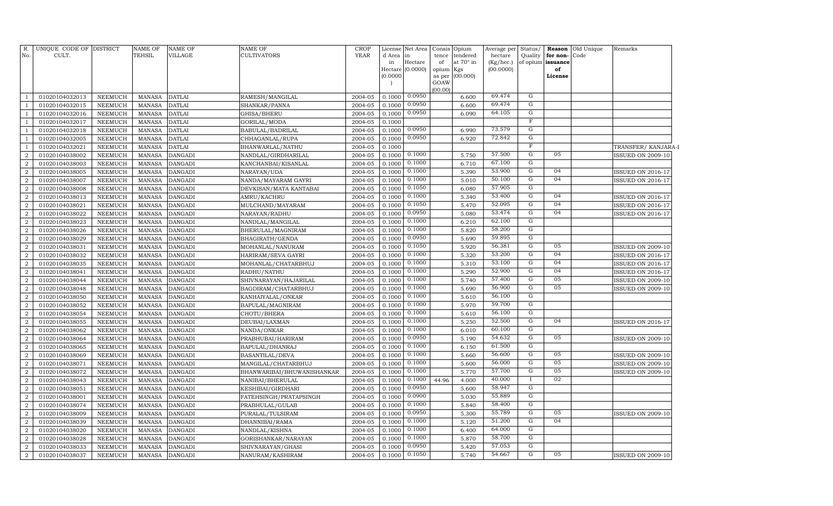| R.<br>No.                        | UNIQUE CODE OF DISTRICT<br>CULT. |                                  | <b>NAME OF</b><br><b>TEHSIL</b> | <b>NAME OF</b><br><b>VILLAGE</b> | <b>NAME OF</b><br><b>CULTIVATORS</b> | <b>CROP</b><br><b>YEAR</b> | d Area<br>in<br>(0.0000) | License Net Area<br>lin<br>Hectare<br>Hectare (0.0000) | Consis<br>tence<br>of<br>opium<br>as per<br>GOAW<br>(00.00) | Opium<br>tendered<br>at 70° in<br>Kgs<br>(00.000) | Average per<br>hectare<br>(Kg/hec.)<br>(00.0000) | Status/<br>Quality               | for non-<br>of opium issuance<br>of<br>License | <b>Reason</b> Old Unique<br>Code | Remarks                  |
|----------------------------------|----------------------------------|----------------------------------|---------------------------------|----------------------------------|--------------------------------------|----------------------------|--------------------------|--------------------------------------------------------|-------------------------------------------------------------|---------------------------------------------------|--------------------------------------------------|----------------------------------|------------------------------------------------|----------------------------------|--------------------------|
| -1                               | 01020104032013                   | NEEMUCH                          | <b>MANASA</b>                   | <b>DATLAI</b>                    | RAMESH/MANGILAL                      | 2004-05                    | 0.1000                   | 0.0950                                                 |                                                             | 6.600                                             | 69.474                                           | $\mathbf G$                      |                                                |                                  |                          |
| $\mathbf{1}$                     | 01020104032015                   | NEEMUCH                          | <b>MANASA</b>                   | <b>DATLAI</b>                    | SHANKAR/PANNA                        | 2004-05                    | 0.1000                   | 0.0950                                                 |                                                             | 6.600                                             | 69.474                                           | ${\rm G}$                        |                                                |                                  |                          |
| $\mathbf{1}$                     | 01020104032016                   | NEEMUCH                          | <b>MANASA</b>                   | <b>DATLAI</b>                    | GHISA/BHERU                          | 2004-05                    | 0.1000                   | 0.0950                                                 |                                                             | 6.090                                             | 64.105                                           | ${\rm G}$                        |                                                |                                  |                          |
| $\mathbf{1}$                     | 01020104032017                   | <b>NEEMUCH</b>                   | <b>MANASA</b>                   | <b>DATLAI</b>                    | GORILAL/MODA                         | 2004-05                    | 0.1000                   |                                                        |                                                             |                                                   |                                                  | $\overline{\mathrm{F}}$          |                                                |                                  |                          |
| -1                               | 01020104032018                   | NEEMUCH                          | <b>MANASA</b>                   | <b>DATLAI</b>                    | BABULAL/BADRILAL                     | 2004-05                    | 0.1000                   | 0.0950                                                 |                                                             | 6.990                                             | 73.579                                           | $\overline{G}$                   |                                                |                                  |                          |
| $\mathbf{1}$                     | 01020104032005                   | NEEMUCH                          | <b>MANASA</b>                   | <b>DATLAI</b>                    | CHHAGANLAL/RUPA                      | 2004-05                    | 0.1000                   | 0.0950                                                 |                                                             | 6.920                                             | 72.842                                           | $\overline{G}$                   |                                                |                                  |                          |
| $\overline{1}$                   | 01020104032021                   | NEEMUCH                          | <b>MANASA</b>                   | <b>DATLAI</b>                    | BHANWARLAL/NATHU                     | 2004-05                    | 0.1000                   |                                                        |                                                             |                                                   |                                                  | F                                |                                                |                                  | TRANSFER/KANJARA-I       |
| $\overline{2}$                   | 01020104038002                   | NEEMUCH                          | <b>MANASA</b>                   | <b>DANGADI</b>                   | NANDLAL/GIRDHARILAL                  | 2004-05                    | 0.1000                   | 0.1000                                                 |                                                             | 5.750                                             | 57.500                                           | $\overline{G}$                   | 05                                             |                                  | <b>ISSUED ON 2009-10</b> |
| 2                                | 01020104038003                   | NEEMUCH                          | <b>MANASA</b>                   | <b>DANGADI</b>                   | KANCHANBAI/KISANLAL                  | 2004-05                    | 0.1000                   | 0.1000                                                 |                                                             | 6.710                                             | 67.100                                           | $\overline{G}$                   |                                                |                                  |                          |
| $\overline{a}$                   | 01020104038005                   | NEEMUCH                          | <b>MANASA</b>                   | <b>DANGADI</b>                   | NARAYAN/UDA                          | 2004-05                    | 0.1000                   | 0.1000                                                 |                                                             | 5.390                                             | 53.900                                           | $\overline{G}$                   | 04                                             |                                  | ISSUED ON 2016-17        |
| $\overline{2}$                   | 01020104038007                   | NEEMUCH                          | <b>MANASA</b>                   | <b>DANGADI</b>                   | NANDA/MAYARAM GAYRI                  | 2004-05                    | 0.1000                   | 0.1000                                                 |                                                             | 5.010                                             | 50.100                                           | $\overline{G}$                   | 04                                             |                                  | <b>ISSUED ON 2016-17</b> |
| $\overline{a}$                   | 01020104038008                   | <b>NEEMUCH</b>                   | <b>MANASA</b>                   | <b>DANGADI</b>                   | DEVKISAN/MATA KANTABAI               | 2004-05                    | 0.1000                   | 0.1050                                                 |                                                             | 6.080                                             | 57.905                                           | $\overline{G}$                   |                                                |                                  |                          |
| $\overline{a}$                   | 01020104038013                   | NEEMUCH                          | <b>MANASA</b>                   | <b>DANGADI</b>                   | AMRU/KACHRU                          | 2004-05                    | 0.1000                   | 0.1000                                                 |                                                             | 5.340                                             | 53.400                                           | G                                | 04                                             |                                  | <b>ISSUED ON 2016-17</b> |
| $\overline{a}$                   | 01020104038021                   | NEEMUCH                          | <b>MANASA</b>                   | <b>DANGADI</b>                   | MULCHAND/MAYARAM                     | 2004-05                    | 0.1000                   | 0.1050                                                 |                                                             | 5.470                                             | 52.095                                           | G                                | 04                                             |                                  | <b>ISSUED ON 2016-17</b> |
| $\overline{a}$                   | 01020104038022                   | NEEMUCH                          | <b>MANASA</b>                   | <b>DANGADI</b>                   | NARAYAN/RADHU                        | 2004-05                    | 0.1000                   | 0.0950                                                 |                                                             | 5.080                                             | 53.474                                           | G                                | 04                                             |                                  | <b>ISSUED ON 2016-17</b> |
| $\overline{2}$                   | 01020104038023                   | NEEMUCH                          | <b>MANASA</b>                   | <b>DANGADI</b>                   | NANDLAL/MANGILAL                     | 2004-05                    | 0.1000                   | 0.1000                                                 |                                                             | 6.210                                             | 62.100                                           | G                                |                                                |                                  |                          |
| 2                                | 01020104038026                   | NEEMUCH                          | <b>MANASA</b>                   | <b>DANGADI</b>                   | BHERULAL/MAGNIRAM                    | 2004-05                    | 0.1000                   | 0.1000                                                 |                                                             | 5.820                                             | 58.200                                           | $\overline{G}$                   |                                                |                                  |                          |
| $\overline{2}$                   | 01020104038029                   | NEEMUCH                          | <b>MANASA</b>                   | <b>DANGADI</b>                   | BHAGIRATH/GENDA                      | 2004-05                    | 0.1000                   | 0.0950                                                 |                                                             | 5.690                                             | 59.895                                           | $\mathbf G$                      |                                                |                                  |                          |
| $\overline{a}$                   | 01020104038031                   | NEEMUCH                          | <b>MANASA</b>                   | <b>DANGADI</b>                   | MOHANLAL/NANURAM                     | 2004-05                    | 0.1000                   | 0.1050                                                 |                                                             | 5.920                                             | 56.381                                           | $\overline{G}$                   | 05                                             |                                  | <b>ISSUED ON 2009-10</b> |
| $\boldsymbol{2}$                 | 01020104038032                   | NEEMUCH                          | <b>MANASA</b>                   | <b>DANGADI</b>                   | HARIRAM/SEVA GAYRI                   | 2004-05                    | 0.1000                   | 0.1000                                                 |                                                             | 5.320                                             | 53.200                                           | $\overline{G}$                   | 04                                             |                                  | <b>ISSUED ON 2016-17</b> |
| 2                                | 01020104038035                   | NEEMUCH                          | <b>MANASA</b>                   | <b>DANGADI</b>                   | MOHANLAL/CHATARBHUJ                  | 2004-05                    | 0.1000                   | 0.1000                                                 |                                                             | 5.310                                             | 53.100                                           | $\overline{G}$                   | 04                                             |                                  | <b>ISSUED ON 2016-17</b> |
| $\overline{2}$                   | 01020104038041                   | <b>NEEMUCH</b>                   | <b>MANASA</b>                   | <b>DANGADI</b>                   | RADHU/NATHU                          | 2004-05                    | 0.1000                   | 0.1000                                                 |                                                             | 5.290                                             | 52.900                                           | G                                | 04                                             |                                  | <b>ISSUED ON 2016-17</b> |
| $\overline{2}$                   | 01020104038044                   | <b>NEEMUCH</b>                   | MANASA                          | <b>DANGADI</b>                   | SHIVNARAYAN/HAJARILAL                | 2004-05                    | 0.1000                   | 0.1000                                                 |                                                             | 5.740                                             | 57.400                                           | G                                | 05                                             |                                  | <b>ISSUED ON 2009-10</b> |
| $\overline{a}$                   | 01020104038048                   | <b>NEEMUCH</b>                   | <b>MANASA</b>                   | <b>DANGADI</b>                   | BAGDIRAM/CHATARBHUJ                  | 2004-05                    | 0.1000                   | 0.1000                                                 |                                                             | 5.690                                             | 56.900                                           | G                                | 05                                             |                                  | <b>ISSUED ON 2009-10</b> |
| 2                                | 01020104038050                   | NEEMUCH                          | <b>MANASA</b>                   | <b>DANGADI</b>                   | KANHAIYALAL/ONKAR                    | 2004-05                    | 0.1000                   | 0.1000                                                 |                                                             | 5.610                                             | 56.100                                           | G                                |                                                |                                  |                          |
| $\overline{2}$                   | 01020104038052                   | NEEMUCH                          | <b>MANASA</b>                   | <b>DANGADI</b>                   | BAPULAL/MAGNIRAM                     | 2004-05                    | 0.1000                   | 0.1000                                                 |                                                             | 5.970                                             | 59.700                                           | G                                |                                                |                                  |                          |
| $\overline{2}$                   | 01020104038054                   | NEEMUCH                          | <b>MANASA</b>                   | <b>DANGADI</b>                   | CHOTU/BHERA                          | 2004-05                    | 0.1000                   | 0.1000                                                 |                                                             | 5.610                                             | 56.100                                           | ${\rm G}$                        |                                                |                                  |                          |
| $\overline{a}$                   | 01020104038055                   | NEEMUCH                          | <b>MANASA</b>                   | <b>DANGADI</b>                   | DEUBAI/LAXMAN                        | 2004-05                    | 0.1000                   | 0.1000                                                 |                                                             | 5.250                                             | 52.500                                           | ${\rm G}$                        | 04                                             |                                  | <b>ISSUED ON 2016-17</b> |
| $\overline{a}$                   | 01020104038062                   | NEEMUCH                          | <b>MANASA</b>                   | <b>DANGADI</b>                   | NANDA/ONKAR                          | 2004-05                    | 0.1000                   | 0.1000                                                 |                                                             | 6.010                                             | 60.100                                           | $\mathbf G$                      |                                                |                                  |                          |
| $\overline{2}$                   | 01020104038064                   | <b>NEEMUCH</b>                   | <b>MANASA</b>                   | <b>DANGADI</b>                   | PRABHUBAI/HARIRAM                    | 2004-05                    | 0.1000                   | 0.0950                                                 |                                                             | 5.190                                             | 54.632                                           | $\mathbf G$                      | 05                                             |                                  | <b>ISSUED ON 2009-10</b> |
| 2                                | 01020104038065                   | NEEMUCH                          | <b>MANASA</b>                   | <b>DANGADI</b>                   | BAPULAL/DHANRAJ                      | 2004-05                    | 0.1000                   | 0.1000                                                 |                                                             | 6.150                                             | 61.500<br>56.600                                 | $\overline{G}$<br>$\overline{G}$ | 05                                             |                                  |                          |
| $\overline{2}$                   | 01020104038069                   | NEEMUCH                          | <b>MANASA</b>                   | <b>DANGADI</b>                   | BASANTILAL/DEVA                      | 2004-05                    | 0.1000                   | 0.1000                                                 |                                                             | 5.660                                             | 56.000                                           | $\overline{G}$                   | 05                                             |                                  | <b>ISSUED ON 2009-10</b> |
| $\overline{2}$                   | 01020104038071                   | NEEMUCH                          | <b>MANASA</b>                   | <b>DANGADI</b>                   | MANGILAL/CHATARBHUJ                  | 2004-05                    | 0.1000                   | 0.1000<br>0.1000                                       |                                                             | 5.600                                             | 57.700                                           | $\overline{G}$                   | 05                                             |                                  | <b>ISSUED ON 2009-10</b> |
| $\overline{2}$                   | 01020104038072                   | NEEMUCH                          | <b>MANASA</b>                   | <b>DANGADI</b>                   | BHANWARIBAI/BHUWANISHANKAR           | 2004-05                    | 0.1000                   | 0.1000                                                 |                                                             | 5.770                                             | 40.000                                           | $\bf{I}$                         | 02                                             |                                  | <b>ISSUED ON 2009-10</b> |
| $\overline{2}$                   | 01020104038043                   | NEEMUCH                          | <b>MANASA</b>                   | <b>DANGADI</b>                   | NANIBAI/BHERULAL                     | 2004-05                    | 0.1000                   | 0.0950                                                 | 44.96                                                       | 4.000                                             | 58.947                                           | G                                |                                                |                                  |                          |
| $\overline{2}$                   | 01020104038051                   | NEEMUCH                          | <b>MANASA</b>                   | <b>DANGADI</b>                   | KESHIBAI/GIRDHARI                    | 2004-05                    | 0.1000                   | 0.0900                                                 |                                                             | 5.600                                             | 55.889                                           | ${\rm G}$                        |                                                |                                  |                          |
| $\overline{2}$<br>$\overline{2}$ | 01020104038001<br>01020104038074 | <b>NEEMUCH</b><br><b>NEEMUCH</b> | <b>MANASA</b><br><b>MANASA</b>  | <b>DANGADI</b><br><b>DANGADI</b> | FATEHSINGH/PRATAPSINGH               | 2004-05<br>2004-05         | 0.1000<br>0.1000         | 0.1000                                                 |                                                             | 5.030<br>5.840                                    | 58.400                                           | ${\rm G}$                        |                                                |                                  |                          |
| 2                                | 01020104038009                   | NEEMUCH                          | <b>MANASA</b>                   | <b>DANGADI</b>                   | PRABHULAL/GULAB<br>PURALAL/TULSIRAM  | 2004-05                    | 0.1000                   | 0.0950                                                 |                                                             | 5.300                                             | 55.789                                           | ${\rm G}$                        | 05                                             |                                  | <b>ISSUED ON 2009-10</b> |
| $\overline{2}$                   | 01020104038039                   | NEEMUCH                          | <b>MANASA</b>                   | <b>DANGADI</b>                   | DHANNIBAI/RAMA                       | 2004-05                    | 0.1000                   | 0.1000                                                 |                                                             | 5.120                                             | 51.200                                           | G                                | 04                                             |                                  |                          |
| $\overline{2}$                   | 01020104038020                   | <b>NEEMUCH</b>                   | <b>MANASA</b>                   | <b>DANGADI</b>                   | NANDLAL/KISHNA                       | 2004-05                    | 0.1000                   | 0.1000                                                 |                                                             | 6.400                                             | 64.000                                           | G                                |                                                |                                  |                          |
| $\overline{2}$                   | 01020104038028                   | NEEMUCH                          | <b>MANASA</b>                   | <b>DANGADI</b>                   | GORISHANKAR/NARAYAN                  | 2004-05                    | 0.1000                   | 0.1000                                                 |                                                             | 5.870                                             | 58.700                                           | G                                |                                                |                                  |                          |
| $\overline{a}$                   | 01020104038033                   | <b>NEEMUCH</b>                   | <b>MANASA</b>                   | <b>DANGADI</b>                   | SHIVNARAYAN/GHASI                    | 2004-05                    | 0.1000                   | 0.0950                                                 |                                                             | 5.420                                             | 57.053                                           | G                                |                                                |                                  |                          |
| $\boldsymbol{2}$                 | 01020104038037                   | NEEMUCH                          | MANASA                          | <b>DANGADI</b>                   | NANURAM/KASHIRAM                     | 2004-05                    | 0.1000                   | 0.1050                                                 |                                                             | 5.740                                             | 54.667                                           | $\overline{G}$                   | 05                                             |                                  | <b>ISSUED ON 2009-10</b> |
|                                  |                                  |                                  |                                 |                                  |                                      |                            |                          |                                                        |                                                             |                                                   |                                                  |                                  |                                                |                                  |                          |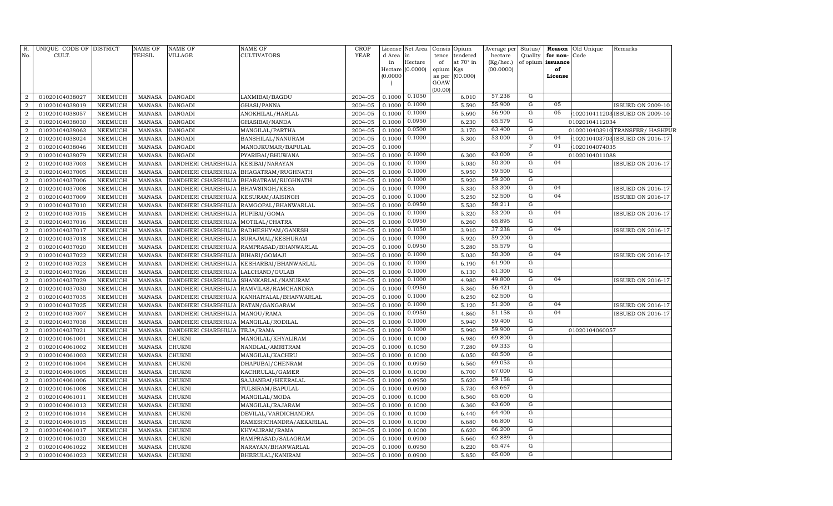| R.<br>No.        | UNIQUE CODE OF DISTRICT<br>CULT. |                | NAME OF<br>TEHSIL | NAME OF<br>VILLAGE                    | <b>NAME OF</b><br><b>CULTIVATORS</b>      | <b>CROP</b><br><b>YEAR</b> | License<br>d Area<br>in<br>(0.0000) | Net Area<br>in<br>Hectare<br>Hectare (0.0000) | tence<br>of<br>opium<br>as per<br>GOAW | Consis Opium<br>tendered<br>at 70° in<br>Kgs<br>(00.000) | Average per<br>hectare<br>(Kg/hec.)<br>(00.0000) | Status/<br>Quality | for non-<br>of opium issuance<br>of<br>License | <b>Reason</b> Old Unique<br>Code | Remarks                         |
|------------------|----------------------------------|----------------|-------------------|---------------------------------------|-------------------------------------------|----------------------------|-------------------------------------|-----------------------------------------------|----------------------------------------|----------------------------------------------------------|--------------------------------------------------|--------------------|------------------------------------------------|----------------------------------|---------------------------------|
|                  |                                  |                |                   |                                       |                                           |                            |                                     |                                               | (00.00)                                |                                                          |                                                  |                    |                                                |                                  |                                 |
| $\overline{2}$   | 01020104038027                   | <b>NEEMUCH</b> | <b>MANASA</b>     | <b>DANGADI</b>                        | LAXMIBAI/BAGDU                            | 2004-05                    | 0.1000                              | 0.1050                                        |                                        | 6.010                                                    | 57.238                                           | $\overline{G}$     |                                                |                                  |                                 |
| $\overline{2}$   | 01020104038019                   | <b>NEEMUCH</b> | <b>MANASA</b>     | <b>DANGADI</b>                        | GHASI/PANNA                               | 2004-05                    | 0.1000                              | 0.1000                                        |                                        | 5.590                                                    | 55.900                                           | $\overline{G}$     | 05                                             |                                  | <b>ISSUED ON 2009-10</b>        |
| $\overline{2}$   | 01020104038057                   | NEEMUCH        | <b>MANASA</b>     | <b>DANGADI</b>                        | ANOKHILAL/HARLAL                          | 2004-05                    | 0.1000                              | 0.1000                                        |                                        | 5.690                                                    | 56.900                                           | G                  | 05                                             |                                  | 102010411203 ISSUED ON 2009-10  |
| $\overline{2}$   | 01020104038030                   | <b>NEEMUCH</b> | <b>MANASA</b>     | <b>DANGADI</b>                        | GHASIBAI/NANDA                            | 2004-05                    | 0.1000                              | 0.0950                                        |                                        | 6.230                                                    | 65.579                                           | G                  |                                                | 01020104112034                   |                                 |
| $\overline{2}$   | 01020104038063                   | <b>NEEMUCH</b> | <b>MANASA</b>     | <b>DANGADI</b>                        | MANGILAL/PARTHA                           | 2004-05                    | 0.1000                              | 0.0500                                        |                                        | 3.170                                                    | 63.400                                           | $\overline{G}$     |                                                |                                  | 0102010403910 TRANSFER/ HASHPUR |
| $\overline{2}$   | 01020104038024                   | <b>NEEMUCH</b> | <b>MANASA</b>     | <b>DANGADI</b>                        | BANSHILAL/NANURAM                         | 2004-05                    | 0.1000                              | 0.1000                                        |                                        | 5.300                                                    | 53.000                                           | $\overline{G}$     | 04                                             |                                  | 102010403703 ISSUED ON 2016-17  |
| $\overline{2}$   | 01020104038046                   | <b>NEEMUCH</b> | <b>MANASA</b>     | <b>DANGADI</b>                        | MANOJKUMAR/BAPULAL                        | 2004-05                    | 0.1000                              |                                               |                                        |                                                          |                                                  | $\, {\rm F}$       | 01                                             | 1020104074035                    |                                 |
| $\overline{2}$   | 01020104038079                   | NEEMUCH        | MANASA            | <b>DANGADI</b>                        | PYARIBAI/BHUWANA                          | 2004-05                    | 0.1000                              | 0.1000                                        |                                        | 6.300                                                    | 63.000                                           | G                  |                                                | 01020104011088                   |                                 |
| $\overline{2}$   | 01020104037003                   | <b>NEEMUCH</b> | <b>MANASA</b>     | DANDHERI CHARBHUJA KESIBAI/NARAYAN    |                                           | 2004-05                    | 0.1000                              | 0.1000                                        |                                        | 5.030                                                    | 50.300                                           | $\overline{G}$     | 04                                             |                                  | <b>ISSUED ON 2016-17</b>        |
| $\overline{2}$   | 01020104037005                   | <b>NEEMUCH</b> | <b>MANASA</b>     |                                       | DANDHERI CHARBHUJA   BHAGATRAM / RUGHNATH | 2004-05                    | 0.1000                              | 0.1000                                        |                                        | 5.950                                                    | 59.500                                           | G                  |                                                |                                  |                                 |
| $\overline{2}$   | 01020104037006                   | <b>NEEMUCH</b> | <b>MANASA</b>     |                                       | DANDHERI CHARBHUJA BHARATRAM/RUGHNATH     | 2004-05                    | 0.1000                              | 0.1000                                        |                                        | 5.920                                                    | 59.200                                           | $\overline{G}$     |                                                |                                  |                                 |
| $\boldsymbol{2}$ | 01020104037008                   | <b>NEEMUCH</b> | <b>MANASA</b>     | DANDHERI CHARBHUJA BHAWSINGH/KESA     |                                           | 2004-05                    | 0.1000                              | 0.1000                                        |                                        | 5.330                                                    | 53.300                                           | $\overline{G}$     | 04                                             |                                  | <b>ISSUED ON 2016-17</b>        |
| $\overline{2}$   | 01020104037009                   | <b>NEEMUCH</b> | <b>MANASA</b>     | DANDHERI CHARBHUJA KESURAM/JAISINGH   |                                           | 2004-05                    | 0.1000                              | 0.1000                                        |                                        | 5.250                                                    | 52.500                                           | G                  | 04                                             |                                  | <b>ISSUED ON 2016-17</b>        |
| $\overline{2}$   | 01020104037010                   | <b>NEEMUCH</b> | <b>MANASA</b>     |                                       | DANDHERI CHARBHUJA RAMGOPAL/BHANWARLAL    | 2004-05                    | 0.1000                              | 0.0950                                        |                                        | 5.530                                                    | 58.211                                           | $\overline{G}$     |                                                |                                  |                                 |
| $\overline{2}$   | 01020104037015                   | <b>NEEMUCH</b> | <b>MANASA</b>     | DANDHERI CHARBHUJA RUPIBAI/GOMA       |                                           | 2004-05                    | 0.1000                              | 0.1000                                        |                                        | 5.320                                                    | 53.200                                           | $\overline{G}$     | 04                                             |                                  | <b>ISSUED ON 2016-17</b>        |
| $\overline{2}$   | 01020104037016                   | <b>NEEMUCH</b> | <b>MANASA</b>     | DANDHERI CHARBHUJA MOTILAL/CHATRA     |                                           | 2004-05                    | 0.1000                              | 0.0950                                        |                                        | 6.260                                                    | 65.895                                           | $\overline{G}$     |                                                |                                  |                                 |
| $\overline{2}$   | 01020104037017                   | <b>NEEMUCH</b> | <b>MANASA</b>     | DANDHERI CHARBHUJA RADHESHYAM/GANESH  |                                           | 2004-05                    | 0.1000                              | 0.1050                                        |                                        | 3.910                                                    | 37.238                                           | G                  | 04                                             |                                  | <b>ISSUED ON 2016-17</b>        |
| $\overline{2}$   | 01020104037018                   | <b>NEEMUCH</b> | <b>MANASA</b>     | DANDHERI CHARBHUJA SURAJMAL/KESHURAM  |                                           | 2004-05                    | 0.1000                              | 0.1000                                        |                                        | 5.920                                                    | 59.200                                           | $\overline{G}$     |                                                |                                  |                                 |
| $\overline{2}$   | 01020104037020                   | <b>NEEMUCH</b> | <b>MANASA</b>     |                                       | DANDHERI CHARBHUJA RAMPRASAD/BHANWARLAL   | 2004-05                    | 0.1000                              | 0.0950                                        |                                        | 5.280                                                    | 55.579                                           | $\overline{G}$     |                                                |                                  |                                 |
| $\overline{2}$   | 01020104037022                   | <b>NEEMUCH</b> | <b>MANASA</b>     | DANDHERI CHARBHUJA BIHARI/GOMAJI      |                                           | 2004-05                    | 0.1000                              | 0.1000                                        |                                        | 5.030                                                    | 50.300                                           | $\overline{G}$     | 04                                             |                                  | <b>ISSUED ON 2016-17</b>        |
| $\overline{2}$   | 01020104037023                   | <b>NEEMUCH</b> | <b>MANASA</b>     |                                       | DANDHERI CHARBHUJA KESHARBAI/BHANWARLAL   | 2004-05                    | 0.1000                              | 0.1000                                        |                                        | 6.190                                                    | 61.900                                           | G                  |                                                |                                  |                                 |
| $\boldsymbol{2}$ | 01020104037026                   | <b>NEEMUCH</b> | <b>MANASA</b>     | DANDHERI CHARBHUJA LALCHAND/GULAB     |                                           | 2004-05                    | 0.1000                              | 0.1000                                        |                                        | 6.130                                                    | 61.300                                           | G                  |                                                |                                  |                                 |
| $\overline{2}$   | 01020104037029                   | <b>NEEMUCH</b> | <b>MANASA</b>     | DANDHERI CHARBHUJA SHANKARLAL/NANURAM |                                           | 2004-05                    | 0.1000                              | 0.1000                                        |                                        | 4.980                                                    | 49.800                                           | G                  | 04                                             |                                  | <b>ISSUED ON 2016-17</b>        |
| $\boldsymbol{2}$ | 01020104037030                   | <b>NEEMUCH</b> | <b>MANASA</b>     |                                       | DANDHERI CHARBHUJA RAMVILAS/RAMCHANDRA    | 2004-05                    | 0.1000                              | 0.0950                                        |                                        | 5.360                                                    | 56.421                                           | $\overline{G}$     |                                                |                                  |                                 |
| $\overline{2}$   | 01020104037035                   | <b>NEEMUCH</b> | <b>MANASA</b>     |                                       | DANDHERI CHARBHUJA KANHAIYALAL/BHANWARLAL | 2004-05                    | 0.1000                              | 0.1000                                        |                                        | 6.250                                                    | 62.500                                           | $\overline{G}$     |                                                |                                  |                                 |
| $\overline{2}$   | 01020104037025                   | <b>NEEMUCH</b> | MANASA            | DANDHERI CHARBHUJA RATAN/GANGARAM     |                                           | 2004-05                    | 0.1000                              | 0.1000                                        |                                        | 5.120                                                    | 51.200                                           | G                  | 04                                             |                                  | <b>ISSUED ON 2016-17</b>        |
| $\overline{2}$   | 01020104037007                   | NEEMUCH        | <b>MANASA</b>     | DANDHERI CHARBHUJA MANGU/RAMA         |                                           | 2004-05                    | 0.1000                              | 0.0950                                        |                                        | 4.860                                                    | 51.158                                           | $\overline{G}$     | 04                                             |                                  | <b>ISSUED ON 2016-17</b>        |
| $\overline{2}$   | 01020104037038                   | <b>NEEMUCH</b> | <b>MANASA</b>     | DANDHERI CHARBHUJA   MANGILAL/RODILAL |                                           | 2004-05                    | 0.1000                              | 0.1000                                        |                                        | 5.940                                                    | 59.400                                           | G                  |                                                |                                  |                                 |
| $\overline{2}$   | 01020104037021                   | <b>NEEMUCH</b> | <b>MANASA</b>     | DANDHERI CHARBHUJA TEJA/RAMA          |                                           | 2004-05                    | 0.1000                              | 0.1000                                        |                                        | 5.990                                                    | 59.900                                           | $\overline{G}$     |                                                | 01020104060057                   |                                 |
| $\boldsymbol{2}$ | 01020104061001                   | <b>NEEMUCH</b> | <b>MANASA</b>     | CHUKNI                                | MANGILAL/KHYALIRAM                        | 2004-05                    | 0.1000                              | 0.1000                                        |                                        | 6.980                                                    | 69.800                                           | $\overline{G}$     |                                                |                                  |                                 |
| $\overline{2}$   | 01020104061002                   | <b>NEEMUCH</b> | <b>MANASA</b>     | <b>CHUKNI</b>                         | NANDLAL/AMRITRAM                          | 2004-05                    | 0.1000                              | 0.1050                                        |                                        | 7.280                                                    | 69.333                                           | G                  |                                                |                                  |                                 |
| $\overline{2}$   | 01020104061003                   | <b>NEEMUCH</b> | <b>MANASA</b>     | CHUKNI                                | MANGILAL/KACHRU                           | 2004-05                    | 0.1000                              | 0.1000                                        |                                        | 6.050                                                    | 60.500                                           | G                  |                                                |                                  |                                 |
| $\overline{2}$   | 01020104061004                   | <b>NEEMUCH</b> | <b>MANASA</b>     | CHUKNI                                | DHAPUBAI/CHENRAM                          | 2004-05                    | 0.1000                              | 0.0950                                        |                                        | 6.560                                                    | 69.053                                           | G                  |                                                |                                  |                                 |
| $\boldsymbol{2}$ | 01020104061005                   | <b>NEEMUCH</b> | <b>MANASA</b>     | CHUKNI                                | KACHRULAL/GAMER                           | 2004-05                    | 0.1000                              | 0.1000                                        |                                        | 6.700                                                    | 67.000                                           | $\overline{G}$     |                                                |                                  |                                 |
| $\overline{2}$   | 01020104061006                   | <b>NEEMUCH</b> | <b>MANASA</b>     | CHUKNI                                | SAJJANBAI/HEERALAL                        | 2004-05                    | 0.1000                              | 0.0950                                        |                                        | 5.620                                                    | 59.158                                           | G                  |                                                |                                  |                                 |
| $\overline{2}$   | 01020104061008                   | <b>NEEMUCH</b> | <b>MANASA</b>     | CHUKNI                                | TULSIRAM/BAPULAL                          | 2004-05                    | 0.1000                              | 0.0900                                        |                                        | 5.730                                                    | 63.667                                           | $\overline{G}$     |                                                |                                  |                                 |
| $\overline{2}$   | 01020104061011                   | <b>NEEMUCH</b> | <b>MANASA</b>     | CHUKNI                                | MANGILAL/MODA                             | 2004-05                    | 0.1000                              | 0.1000                                        |                                        | 6.560                                                    | 65.600                                           | $\overline{G}$     |                                                |                                  |                                 |
| $\overline{2}$   | 01020104061013                   | <b>NEEMUCH</b> | <b>MANASA</b>     | CHUKNI                                | MANGILAL/RAJARAM                          | 2004-05                    | 0.1000                              | 0.1000                                        |                                        | 6.360                                                    | 63.600                                           | $\mathbf G$        |                                                |                                  |                                 |
| $\overline{2}$   | 01020104061014                   | <b>NEEMUCH</b> | <b>MANASA</b>     | CHUKNI                                | DEVILAL/VARDICHANDRA                      | 2004-05                    | 0.1000                              | 0.1000                                        |                                        | 6.440                                                    | 64.400                                           | G                  |                                                |                                  |                                 |
| $\overline{2}$   | 01020104061015                   | <b>NEEMUCH</b> | <b>MANASA</b>     | CHUKNI                                | RAMESHCHANDRA/AEKARILAL                   | 2004-05                    | 0.1000                              | 0.1000                                        |                                        | 6.680                                                    | 66.800                                           | G                  |                                                |                                  |                                 |
| $\overline{2}$   | 01020104061017                   | <b>NEEMUCH</b> | <b>MANASA</b>     | CHUKNI                                | KHYALIRAM/RAMA                            | 2004-05                    | 0.1000                              | 0.1000                                        |                                        | 6.620                                                    | 66.200                                           | G                  |                                                |                                  |                                 |
| $\overline{2}$   | 01020104061020                   | <b>NEEMUCH</b> | <b>MANASA</b>     | CHUKNI                                | RAMPRASAD/SALAGRAM                        | 2004-05                    | 0.1000                              | 0.0900                                        |                                        | 5.660                                                    | 62.889                                           | G                  |                                                |                                  |                                 |
| $\overline{2}$   | 01020104061022                   | <b>NEEMUCH</b> | <b>MANASA</b>     | CHUKNI                                | NARAYAN/BHANWARLAL                        | 2004-05                    | 0.1000                              | 0.0950                                        |                                        | 6.220                                                    | 65.474                                           | G                  |                                                |                                  |                                 |
| $\overline{a}$   | 01020104061023                   | NEEMUCH        | <b>MANASA</b>     | <b>CHUKNI</b>                         | BHERULAL/KANIRAM                          | 2004-05                    | 0.1000                              | 0.0900                                        |                                        | 5.850                                                    | 65.000                                           | $\overline{G}$     |                                                |                                  |                                 |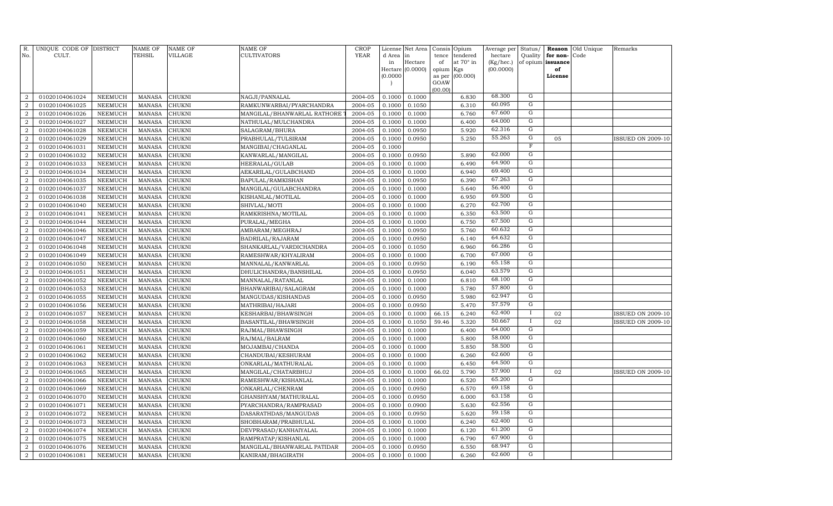| R.<br>No.      | UNIQUE CODE OF DISTRICT<br>CULT. |                | <b>NAME OF</b><br>TEHSIL | <b>NAME OF</b><br>VILLAGE | NAME OF<br>CULTIVATORS      | <b>CROP</b><br><b>YEAR</b> | d Area in | License Net Area | Consis<br>tence | Opium<br>tendered | Average per<br>hectare | Status/<br>Quality | for non-          | <b>Reason</b> Old Unique<br>Code | Remarks                  |
|----------------|----------------------------------|----------------|--------------------------|---------------------------|-----------------------------|----------------------------|-----------|------------------|-----------------|-------------------|------------------------|--------------------|-------------------|----------------------------------|--------------------------|
|                |                                  |                |                          |                           |                             |                            | in        | Hectare          | of              | at 70° in         | (Kg/hec.)              |                    | of opium issuance |                                  |                          |
|                |                                  |                |                          |                           |                             |                            |           | Hectare (0.0000) | opium           | Kgs               | (00.0000)              |                    | of                |                                  |                          |
|                |                                  |                |                          |                           |                             |                            | (0.0000)  |                  | as per<br>GOAW  | (00.000)          |                        |                    | License           |                                  |                          |
|                |                                  |                |                          |                           |                             |                            |           |                  | (00.00)         |                   |                        |                    |                   |                                  |                          |
| $\overline{2}$ | 01020104061024                   | NEEMUCH        | <b>MANASA</b>            | <b>CHUKNI</b>             | NAGJI/PANNALAL              | 2004-05                    | 0.1000    | 0.1000           |                 | 6.830             | 68.300                 | G                  |                   |                                  |                          |
| $\overline{2}$ | 01020104061025                   | NEEMUCH        | <b>MANASA</b>            | <b>CHUKNI</b>             | RAMKUNWARBAI/PYARCHANDRA    | 2004-05                    | 0.1000    | 0.1050           |                 | 6.310             | 60.095                 | G                  |                   |                                  |                          |
| 2              | 01020104061026                   | NEEMUCH        | <b>MANASA</b>            | <b>CHUKNI</b>             | MANGILAL/BHANWARLAL RATHORE | 2004-05                    | 0.1000    | 0.1000           |                 | 6.760             | 67.600                 | G                  |                   |                                  |                          |
| $\overline{2}$ | 01020104061027                   | NEEMUCH        | <b>MANASA</b>            | <b>CHUKNI</b>             | NATHULAL/MULCHANDRA         | 2004-05                    | 0.1000    | 0.1000           |                 | 6.400             | 64.000                 | G                  |                   |                                  |                          |
| $\overline{2}$ | 01020104061028                   | NEEMUCH        | <b>MANASA</b>            | <b>CHUKNI</b>             | SALAGRAM/BHURA              | 2004-05                    | 0.1000    | 0.0950           |                 | 5.920             | 62.316                 | G                  |                   |                                  |                          |
| $\overline{2}$ | 01020104061029                   | <b>NEEMUCH</b> | <b>MANASA</b>            | CHUKNI                    | PRABHULAL/TULSIRAM          | 2004-05                    | 0.1000    | 0.0950           |                 | 5.250             | 55.263                 | G                  | 05                |                                  | ISSUED ON 2009-10        |
| $\overline{a}$ | 01020104061031                   | NEEMUCH        | <b>MANASA</b>            | CHUKNI                    | MANGIBAI/CHAGANLAL          | 2004-05                    | 0.1000    |                  |                 |                   |                        | $\overline{F}$     |                   |                                  |                          |
| $\overline{a}$ | 01020104061032                   | NEEMUCH        | <b>MANASA</b>            | CHUKNI                    | KANWARLAL/MANGILAL          | 2004-05                    | 0.1000    | 0.0950           |                 | 5.890             | 62.000                 | G                  |                   |                                  |                          |
| $\overline{a}$ | 01020104061033                   | NEEMUCH        | <b>MANASA</b>            | <b>CHUKNI</b>             | HEERALAL/GULAB              | 2004-05                    | 0.1000    | 0.1000           |                 | 6.490             | 64.900                 | ${\rm G}$          |                   |                                  |                          |
| $\overline{a}$ | 01020104061034                   | NEEMUCH        | <b>MANASA</b>            | <b>CHUKNI</b>             | AEKARILAL/GULABCHAND        | 2004-05                    | 0.1000    | 0.1000           |                 | 6.940             | 69.400                 | G                  |                   |                                  |                          |
| $\overline{a}$ | 01020104061035                   | NEEMUCH        | <b>MANASA</b>            | CHUKNI                    | BAPULAL/RAMKISHAN           | 2004-05                    | 0.1000    | 0.0950           |                 | 6.390             | 67.263                 | G                  |                   |                                  |                          |
| $\overline{2}$ | 01020104061037                   | NEEMUCH        | <b>MANASA</b>            | CHUKNI                    | MANGILAL/GULABCHANDRA       | 2004-05                    | 0.1000    | 0.1000           |                 | 5.640             | 56.400                 | $\overline{G}$     |                   |                                  |                          |
| 2              | 01020104061038                   | NEEMUCH        | <b>MANASA</b>            | <b>CHUKNI</b>             | KISHANLAL/MOTILAL           | 2004-05                    | 0.1000    | 0.1000           |                 | 6.950             | 69.500                 | G                  |                   |                                  |                          |
| $\overline{2}$ | 01020104061040                   | <b>NEEMUCH</b> | <b>MANASA</b>            | CHUKNI                    | SHIVLAL/MOTI                | 2004-05                    | 0.1000    | 0.1000           |                 | 6.270             | 62.700                 | G                  |                   |                                  |                          |
| $\overline{a}$ | 01020104061041                   | <b>NEEMUCH</b> | <b>MANASA</b>            | CHUKNI                    | RAMKRISHNA/MOTILAL          | 2004-05                    | 0.1000    | 0.1000           |                 | 6.350             | 63.500                 | G                  |                   |                                  |                          |
| $\overline{2}$ | 01020104061044                   | NEEMUCH        | <b>MANASA</b>            | CHUKNI                    | PURALAL/MEGHA               | 2004-05                    | 0.1000    | 0.1000           |                 | 6.750             | 67.500                 | G                  |                   |                                  |                          |
| $\overline{a}$ | 01020104061046                   | NEEMUCH        | <b>MANASA</b>            | CHUKNI                    | AMBARAM/MEGHRAJ             | 2004-05                    | 0.1000    | 0.0950           |                 | 5.760             | 60.632                 | G                  |                   |                                  |                          |
| $\overline{a}$ | 01020104061047                   | NEEMUCH        | <b>MANASA</b>            | CHUKNI                    | BADRILAL/RAJARAM            | 2004-05                    | 0.1000    | 0.0950           |                 | 6.140             | 64.632                 | G                  |                   |                                  |                          |
| $\overline{a}$ | 01020104061048                   | NEEMUCH        | <b>MANASA</b>            | CHUKNI                    | SHANKARLAL/VARDICHANDRA     | 2004-05                    | 0.1000    | 0.1050           |                 | 6.960             | 66.286                 | G                  |                   |                                  |                          |
| $\overline{a}$ | 01020104061049                   | NEEMUCH        | <b>MANASA</b>            | CHUKNI                    | RAMESHWAR/KHYALIRAM         | 2004-05                    | 0.1000    | 0.1000           |                 | 6.700             | 67.000                 | G                  |                   |                                  |                          |
| 2              | 01020104061050                   | <b>NEEMUCH</b> | <b>MANASA</b>            | <b>CHUKNI</b>             | MANNALAL/KANWARLAL          | 2004-05                    | 0.1000    | 0.0950           |                 | 6.190             | 65.158                 | G                  |                   |                                  |                          |
| $\overline{2}$ | 01020104061051                   | <b>NEEMUCH</b> | <b>MANASA</b>            | CHUKNI                    | DHULICHANDRA/BANSHILAL      | 2004-05                    | 0.1000    | 0.0950           |                 | 6.040             | 63.579                 | G                  |                   |                                  |                          |
| $\overline{2}$ | 01020104061052                   | <b>NEEMUCH</b> | <b>MANASA</b>            | CHUKNI                    | MANNALAL/RATANLAL           | 2004-05                    | 0.1000    | 0.1000           |                 | 6.810             | 68.100                 | G                  |                   |                                  |                          |
| $\overline{2}$ | 01020104061053                   | <b>NEEMUCH</b> | <b>MANASA</b>            | CHUKNI                    | BHANWARIBAI/SALAGRAM        | 2004-05                    | 0.1000    | 0.1000           |                 | 5.780             | 57.800                 | G                  |                   |                                  |                          |
| $\overline{a}$ | 01020104061055                   | NEEMUCH        | <b>MANASA</b>            | CHUKNI                    | MANGUDAS/KISHANDAS          | 2004-05                    | 0.1000    | 0.0950           |                 | 5.980             | 62.947                 | G                  |                   |                                  |                          |
| $\overline{a}$ | 01020104061056                   | NEEMUCH        | <b>MANASA</b>            | <b>CHUKNI</b>             | MATHRIBAI/HAJARI            | 2004-05                    | 0.1000    | 0.0950           |                 | 5.470             | 57.579                 | G                  |                   |                                  |                          |
| $\overline{a}$ | 01020104061057                   | NEEMUCH        | <b>MANASA</b>            | CHUKNI                    | KESHARBAI/BHAWSINGH         | 2004-05                    | 0.1000    | 0.1000           | 66.15           | 6.240             | 62.400                 |                    | 02                |                                  | <b>ISSUED ON 2009-10</b> |
| $\overline{a}$ | 01020104061058                   | NEEMUCH        | <b>MANASA</b>            | CHUKNI                    | BASANTILAL/BHAWSINGH        | 2004-05                    | 0.1000    | 0.1050           | 59.46           | 5.320             | 50.667                 | $\mathbf{I}$       | 02                |                                  | <b>ISSUED ON 2009-10</b> |
| 2              | 01020104061059                   | NEEMUCH        | <b>MANASA</b>            | CHUKNI                    | RAJMAL/BHAWSINGH            | 2004-05                    | 0.1000    | 0.1000           |                 | 6.400             | 64.000                 | $\overline{G}$     |                   |                                  |                          |
| $\overline{2}$ | 01020104061060                   | <b>NEEMUCH</b> | <b>MANASA</b>            | CHUKNI                    | RAJMAL/BALRAM               | 2004-05                    | 0.1000    | 0.1000           |                 | 5.800             | 58.000                 | $\overline{G}$     |                   |                                  |                          |
| 2              | 01020104061061                   | NEEMUCH        | <b>MANASA</b>            | <b>CHUKNI</b>             | MOJAMBAI/CHANDA             | 2004-05                    | 0.1000    | 0.1000           |                 | 5.850             | 58.500                 | G                  |                   |                                  |                          |
| $\overline{2}$ | 01020104061062                   | <b>NEEMUCH</b> | <b>MANASA</b>            | CHUKNI                    | CHANDUBAI/KESHURAM          | 2004-05                    | 0.1000    | 0.1000           |                 | 6.260             | 62.600                 | G                  |                   |                                  |                          |
| $\overline{a}$ | 01020104061063                   | NEEMUCH        | <b>MANASA</b>            | CHUKNI                    | ONKARLAL/MATHURALAL         | 2004-05                    | 0.1000    | 0.1000           |                 | 6.450             | 64.500                 | G                  |                   |                                  |                          |
| $\overline{2}$ | 01020104061065                   | NEEMUCH        | <b>MANASA</b>            | CHUKNI                    | MANGILAL/CHATARBHUJ         | 2004-05                    | 0.1000    | 0.1000           | 66.02           | 5.790             | 57.900                 | $\mathbf{I}$       | 02                |                                  | <b>ISSUED ON 2009-10</b> |
| $\overline{a}$ | 01020104061066                   | NEEMUCH        | <b>MANASA</b>            | CHUKNI                    | RAMESHWAR/KISHANLAL         | 2004-05                    | 0.1000    | 0.1000           |                 | 6.520             | 65.200                 | G                  |                   |                                  |                          |
| $\overline{2}$ | 01020104061069                   | NEEMUCH        | <b>MANASA</b>            | CHUKNI                    | ONKARLAL/CHENRAM            | 2004-05                    | 0.1000    | 0.0950           |                 | 6.570             | 69.158                 | G                  |                   |                                  |                          |
| $\overline{a}$ | 01020104061070                   | NEEMUCH        | <b>MANASA</b>            | CHUKNI                    | GHANSHYAM/MATHURALAL        | 2004-05                    | 0.1000    | 0.0950           |                 | 6.000             | 63.158                 | $\overline{G}$     |                   |                                  |                          |
| $\overline{2}$ | 01020104061071                   | <b>NEEMUCH</b> | <b>MANASA</b>            | CHUKNI                    | PYARCHANDRA/RAMPRASAD       | 2004-05                    | 0.1000    | 0.0900           |                 | 5.630             | 62.556                 | G                  |                   |                                  |                          |
| $\overline{2}$ | 01020104061072                   | NEEMUCH        | <b>MANASA</b>            | CHUKNI                    | DASARATHDAS/MANGUDAS        | 2004-05                    | 0.1000    | 0.0950           |                 | 5.620             | 59.158                 | G                  |                   |                                  |                          |
| $\overline{2}$ | 01020104061073                   | <b>NEEMUCH</b> | <b>MANASA</b>            | CHUKNI                    | SHOBHARAM/PRABHULAL         | 2004-05                    | 0.1000    | 0.1000           |                 | 6.240             | 62.400                 | G                  |                   |                                  |                          |
| $\overline{a}$ | 01020104061074                   | NEEMUCH        | <b>MANASA</b>            | <b>CHUKNI</b>             | DEVPRASAD/KANHAIYALAL       | 2004-05                    | 0.1000    | 0.1000           |                 | 6.120             | 61.200                 | G                  |                   |                                  |                          |
| $\overline{2}$ | 01020104061075                   | <b>NEEMUCH</b> | <b>MANASA</b>            | CHUKNI                    | RAMPRATAP/KISHANLAL         | 2004-05                    | 0.1000    | 0.1000           |                 | 6.790             | 67.900                 | G                  |                   |                                  |                          |
| $\overline{a}$ | 01020104061076                   | NEEMUCH        | <b>MANASA</b>            | <b>CHUKNI</b>             | MANGILAL/BHANWARLAL PATIDAR | 2004-05                    | 0.1000    | 0.0950           |                 | 6.550             | 68.947                 | G                  |                   |                                  |                          |
| $\overline{a}$ | 01020104061081                   | NEEMUCH        | MANASA                   | <b>CHUKNI</b>             | KANIRAM/BHAGIRATH           | 2004-05                    | 0.1000    | 0.1000           |                 | 6.260             | 62.600                 | G                  |                   |                                  |                          |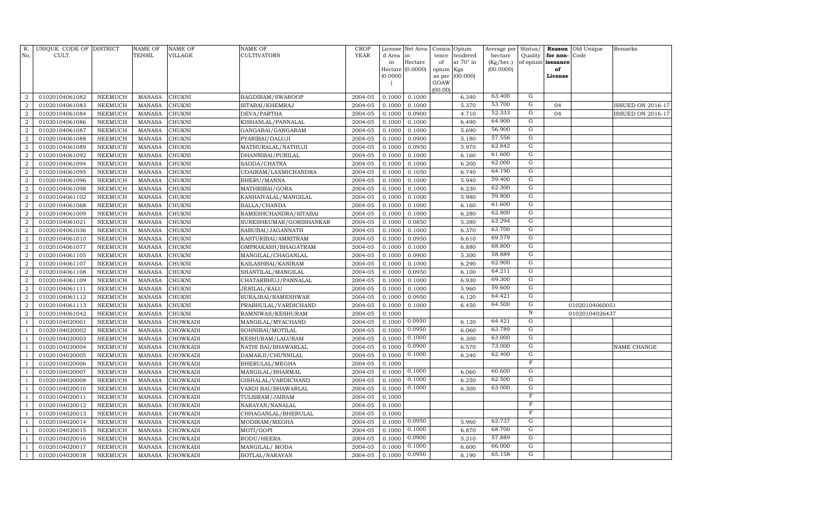| R.<br>No.      | UNIQUE CODE OF DISTRICT<br>CULT. |                | <b>NAME OF</b><br>TEHSIL | <b>NAME OF</b><br>VILLAGE | NAME OF<br>CULTIVATORS  | <b>CROP</b><br><b>YEAR</b> | d Area in<br>in | License Net Area<br>Hectare | Consis<br>tence<br>of | Opium<br>tendered<br>at 70° in | Average per<br>hectare<br>(Kg/hec.) | Status/<br>Quality<br>of opium | for non-<br>issuance | <b>Reason</b> Old Unique<br>Code | Remarks                  |
|----------------|----------------------------------|----------------|--------------------------|---------------------------|-------------------------|----------------------------|-----------------|-----------------------------|-----------------------|--------------------------------|-------------------------------------|--------------------------------|----------------------|----------------------------------|--------------------------|
|                |                                  |                |                          |                           |                         |                            |                 | Hectare (0.0000)            | opium                 | Kgs                            | (00.0000)                           |                                | of                   |                                  |                          |
|                |                                  |                |                          |                           |                         |                            | (0.0000)        |                             | as per                | (00.000)                       |                                     |                                | License              |                                  |                          |
|                |                                  |                |                          |                           |                         |                            |                 |                             | GOAW<br>(00.00)       |                                |                                     |                                |                      |                                  |                          |
| $\overline{2}$ | 01020104061082                   | NEEMUCH        | <b>MANASA</b>            | <b>CHUKNI</b>             | BAGDIRAM/SWAROOP        | 2004-05                    | 0.1000          | 0.1000                      |                       | 6.340                          | 63.400                              | G                              |                      |                                  |                          |
| $\overline{2}$ | 01020104061083                   | NEEMUCH        | <b>MANASA</b>            | <b>CHUKNI</b>             | SITABAI/KHEMRAJ         | 2004-05                    | 0.1000          | 0.1000                      |                       | 5.370                          | 53.700                              | G                              | 04                   |                                  | <b>ISSUED ON 2016-17</b> |
| 2              | 01020104061084                   | NEEMUCH        | <b>MANASA</b>            | <b>CHUKNI</b>             | DEVA/PARTHA             | 2004-05                    | 0.1000          | 0.0900                      |                       | 4.710                          | 52.333                              | G                              | 04                   |                                  | <b>ISSUED ON 2016-17</b> |
| $\overline{2}$ | 01020104061086                   | <b>NEEMUCH</b> | <b>MANASA</b>            | <b>CHUKNI</b>             | KISHANLAL/PANNALAL      | 2004-05                    | 0.1000          | 0.1000                      |                       | 6.490                          | 64.900                              | G                              |                      |                                  |                          |
| $\overline{2}$ | 01020104061087                   | NEEMUCH        | <b>MANASA</b>            | <b>CHUKNI</b>             | GANGABAI/GANGARAM       | 2004-05                    | 0.1000          | 0.1000                      |                       | 5.690                          | 56.900                              | G                              |                      |                                  |                          |
| $\overline{2}$ | 01020104061088                   | <b>NEEMUCH</b> | <b>MANASA</b>            | CHUKNI                    | PYARIBAI/DALUJI         | 2004-05                    | 0.1000          | 0.0900                      |                       | 5.180                          | 57.556                              | G                              |                      |                                  |                          |
| $\overline{a}$ | 01020104061089                   | <b>NEEMUCH</b> | <b>MANASA</b>            | CHUKNI                    | MATHURALAL/NATHUJI      | 2004-05                    | 0.1000          | 0.0950                      |                       | 5.970                          | 62.842                              | G                              |                      |                                  |                          |
| $\overline{2}$ | 01020104061092                   | <b>NEEMUCH</b> | <b>MANASA</b>            | CHUKNI                    | DHANNIBAI/PURILAL       | 2004-05                    | 0.1000          | 0.1000                      |                       | 6.160                          | 61.600                              | G                              |                      |                                  |                          |
| $\overline{a}$ | 01020104061094                   | NEEMUCH        | <b>MANASA</b>            | CHUKNI                    | SADDA/CHATRA            | 2004-05                    | 0.1000          | 0.1000                      |                       | 6.200                          | 62.000                              | ${\rm G}$                      |                      |                                  |                          |
| $\overline{a}$ | 01020104061095                   | <b>NEEMUCH</b> | <b>MANASA</b>            | CHUKNI                    | UDAIRAM/LAXMICHANDRA    | 2004-05                    | 0.1000          | 0.1050                      |                       | 6.740                          | 64.190                              | G                              |                      |                                  |                          |
| $\overline{a}$ | 01020104061096                   | NEEMUCH        | <b>MANASA</b>            | CHUKNI                    | BHERU/MANNA             | 2004-05                    | 0.1000          | 0.1000                      |                       | 5.940                          | 59.400                              | G                              |                      |                                  |                          |
| $\overline{2}$ | 01020104061098                   | NEEMUCH        | <b>MANASA</b>            | CHUKNI                    | MATHRIBAI/GORA          | 2004-05                    | 0.1000          | 0.1000                      |                       | 6.230                          | 62.300                              | $\overline{G}$                 |                      |                                  |                          |
| 2              | 01020104061102                   | NEEMUCH        | <b>MANASA</b>            | <b>CHUKNI</b>             | KANHAIYALAL/MANGILAL    | 2004-05                    | 0.1000          | 0.1000                      |                       | 5.980                          | 59.800                              | G                              |                      |                                  |                          |
| $\overline{2}$ | 01020104061068                   | <b>NEEMUCH</b> | <b>MANASA</b>            | CHUKNI                    | BALLA/CHANDA            | 2004-05                    | 0.1000          | 0.1000                      |                       | 6.160                          | 61.600                              | G                              |                      |                                  |                          |
| $\overline{a}$ | 01020104061009                   | <b>NEEMUCH</b> | <b>MANASA</b>            | CHUKNI                    | RAMESHCHANDRA/SITABAI   | 2004-05                    | 0.1000          | 0.1000                      |                       | 6.280                          | 62.800                              | G                              |                      |                                  |                          |
| $\overline{2}$ | 01020104061021                   | <b>NEEMUCH</b> | <b>MANASA</b>            | CHUKNI                    | SURESHKUMAR/GORISHANKAR | 2004-05                    | 0.1000          | 0.0850                      |                       | 5.380                          | 63.294                              | G                              |                      |                                  |                          |
| $\overline{2}$ | 01020104061036                   | <b>NEEMUCH</b> | <b>MANASA</b>            | CHUKNI                    | SABUBAI/JAGANNATH       | 2004-05                    | 0.1000          | 0.1000                      |                       | 6.370                          | 63.700                              | G                              |                      |                                  |                          |
| $\overline{2}$ | 01020104061010                   | <b>NEEMUCH</b> | <b>MANASA</b>            | CHUKNI                    | KASTURIBAI/AMRITRAM     | 2004-05                    | 0.1000          | 0.0950                      |                       | 6.610                          | 69.579                              | G                              |                      |                                  |                          |
| $\overline{a}$ | 01020104061077                   | NEEMUCH        | <b>MANASA</b>            | CHUKNI                    | OMPRAKASH/BHAGATRAM     | 2004-05                    | 0.1000          | 0.1000                      |                       | 6.880                          | 68.800                              | G                              |                      |                                  |                          |
| $\overline{2}$ | 01020104061105                   | <b>NEEMUCH</b> | <b>MANASA</b>            | CHUKNI                    | MANGILAL/CHAGANLAL      | 2004-05                    | 0.1000          | 0.0900                      |                       | 5.300                          | 58.889                              | G                              |                      |                                  |                          |
| 2              | 01020104061107                   | <b>NEEMUCH</b> | <b>MANASA</b>            | <b>CHUKNI</b>             | KAILASHBAI/KANIRAM      | 2004-05                    | 0.1000          | 0.1000                      |                       | 6.290                          | 62.900                              | G                              |                      |                                  |                          |
| $\overline{2}$ | 01020104061108                   | <b>NEEMUCH</b> | <b>MANASA</b>            | CHUKNI                    | SHANTILAL/MANGILAL      | 2004-05                    | 0.1000          | 0.0950                      |                       | 6.100                          | 64.211                              | G                              |                      |                                  |                          |
| $\overline{2}$ | 01020104061109                   | <b>NEEMUCH</b> | <b>MANASA</b>            | CHUKNI                    | CHATARBHUJ/PANNALAL     | 2004-05                    | 0.1000          | 0.1000                      |                       | 6.930                          | 69.300                              | G                              |                      |                                  |                          |
| $\overline{2}$ | 01020104061111                   | <b>NEEMUCH</b> | <b>MANASA</b>            | CHUKNI                    | JERILAL/KALU            | 2004-05                    | 0.1000          | 0.1000                      |                       | 5.960                          | 59.600                              | G                              |                      |                                  |                          |
| $\overline{2}$ | 01020104061112                   | <b>NEEMUCH</b> | <b>MANASA</b>            | CHUKNI                    | SURAJBAI/RAMESHWAR      | 2004-05                    | 0.1000          | 0.0950                      |                       | 6.120                          | 64.421                              | G                              |                      |                                  |                          |
| $\overline{2}$ | 01020104061113                   | <b>NEEMUCH</b> | <b>MANASA</b>            | CHUKNI                    | PRABHULAL/VARDICHAND    | 2004-05                    | 0.1000          | 0.1000                      |                       | 6.450                          | 64.500                              | G                              |                      | 01020104060051                   |                          |
| $\overline{a}$ | 01020104061042                   | <b>NEEMUCH</b> | <b>MANASA</b>            | <b>CHUKNI</b>             | RAMNIWAS/KESHURAM       | 2004-05                    | 0.1000          |                             |                       |                                |                                     | $\, {\bf N}$                   |                      | 01020104026437                   |                          |
| $\mathbf{1}$   | 01020104020001                   | <b>NEEMUCH</b> | <b>MANASA</b>            | CHOWKADI                  | MANGILAL/MYACHAND       | 2004-05                    | 0.1000          | 0.0950                      |                       | 6.120                          | 64.421                              | G                              |                      |                                  |                          |
| $\overline{1}$ | 01020104020002                   | <b>NEEMUCH</b> | <b>MANASA</b>            | CHOWKADI                  | SOHNIBAI/MOTILAL        | 2004-05                    | 0.1000          | 0.0950                      |                       | 6.060                          | 63.789                              | $\overline{G}$                 |                      |                                  |                          |
| $\mathbf{1}$   | 01020104020003                   | <b>NEEMUCH</b> | <b>MANASA</b>            | CHOWKADI                  | KESHURAM/LALURAM        | 2004-05                    | 0.1000          | 0.1000                      |                       | 6.300                          | 63.000                              | $\overline{G}$                 |                      |                                  |                          |
| $\mathbf{1}$   | 01020104020004                   | <b>NEEMUCH</b> | <b>MANASA</b>            | <b>CHOWKADI</b>           | NATHI BAI/BHAWARLAL     | 2004-05                    | 0.1000          | 0.0900                      |                       | 6.570                          | 73.000                              | G                              |                      |                                  | NAME CHANGE              |
| $\mathbf{1}$   | 01020104020005                   | <b>NEEMUCH</b> | <b>MANASA</b>            | CHOWKADI                  | DAMARJI/CHUNNILAL       | 2004-05                    | 0.1000          | 0.1000                      |                       | 6.240                          | 62.400                              | G                              |                      |                                  |                          |
| $\mathbf{1}$   | 01020104020006                   | <b>NEEMUCH</b> | <b>MANASA</b>            | CHOWKADI                  | BHERULAL/MEGHA          | 2004-05                    | 0.1000          |                             |                       |                                |                                     | $\overline{\mathrm{F}}$        |                      |                                  |                          |
| $\mathbf{1}$   | 01020104020007                   | <b>NEEMUCH</b> | <b>MANASA</b>            | CHOWKADI                  | MANGILAL/BHARMAL        | 2004-05                    | 0.1000          | 0.1000                      |                       | 6.060                          | 60.600                              | G                              |                      |                                  |                          |
| $\mathbf{1}$   | 01020104020008                   | <b>NEEMUCH</b> | <b>MANASA</b>            | CHOWKADI                  | GISHALAL/VARDICHAND     | 2004-05                    | 0.1000          | 0.1000                      |                       | 6.250                          | 62.500                              | G                              |                      |                                  |                          |
| $\mathbf{1}$   | 01020104020010                   | <b>NEEMUCH</b> | <b>MANASA</b>            | CHOWKADI                  | VARDI BAI/BHAWARLAL     | 2004-05                    | 0.1000          | 0.1000                      |                       | 6.300                          | 63.000                              | G                              |                      |                                  |                          |
| $\overline{1}$ | 01020104020011                   | <b>NEEMUCH</b> | <b>MANASA</b>            | CHOWKADI                  | TULSIRAM/JAIRAM         | 2004-05                    | 0.1000          |                             |                       |                                |                                     | $\overline{\mathrm{F}}$        |                      |                                  |                          |
| $\mathbf{1}$   | 01020104020012                   | <b>NEEMUCH</b> | <b>MANASA</b>            | CHOWKADI                  | NARAYAN/NANALAL         | 2004-05                    | 0.1000          |                             |                       |                                |                                     | $\mathbf F$                    |                      |                                  |                          |
| $\mathbf{1}$   | 01020104020013                   | <b>NEEMUCH</b> | <b>MANASA</b>            | <b>CHOWKADI</b>           | CHHAGANLAL/BHERULAL     | 2004-05                    | 0.1000          |                             |                       |                                |                                     | $\mathbf F$                    |                      |                                  |                          |
| 1              | 01020104020014                   | <b>NEEMUCH</b> | <b>MANASA</b>            | CHOWKADI                  | MODIRAM/MEGHA           | 2004-05                    | 0.1000          | 0.0950                      |                       | 5.960                          | 62.737                              | G                              |                      |                                  |                          |
| $\mathbf{1}$   | 01020104020015                   | <b>NEEMUCH</b> | <b>MANASA</b>            | CHOWKADI                  | MOTI/GOPI               | 2004-05                    | 0.1000          | 0.1000                      |                       | 6.870                          | 68.700                              | G                              |                      |                                  |                          |
| $\mathbf{1}$   | 01020104020016                   | <b>NEEMUCH</b> | <b>MANASA</b>            | CHOWKADI                  | RODU/HEERA              | 2004-05                    | 0.1000          | 0.0900                      |                       | 5.210                          | 57.889                              | G                              |                      |                                  |                          |
| $\mathbf{1}$   | 01020104020017                   | <b>NEEMUCH</b> | <b>MANASA</b>            | CHOWKADI                  | MANGILAL/ MODA          | 2004-05                    | 0.1000          | 0.1000                      |                       | 6.600                          | 66.000                              | G                              |                      |                                  |                          |
| $\mathbf{1}$   | 01020104020018                   | NEEMUCH        | MANASA                   | <b>CHOWKADI</b>           | BOTLAL/NARAYAN          | 2004-05                    | 0.1000          | 0.0950                      |                       | 6.190                          | 65.158                              | G                              |                      |                                  |                          |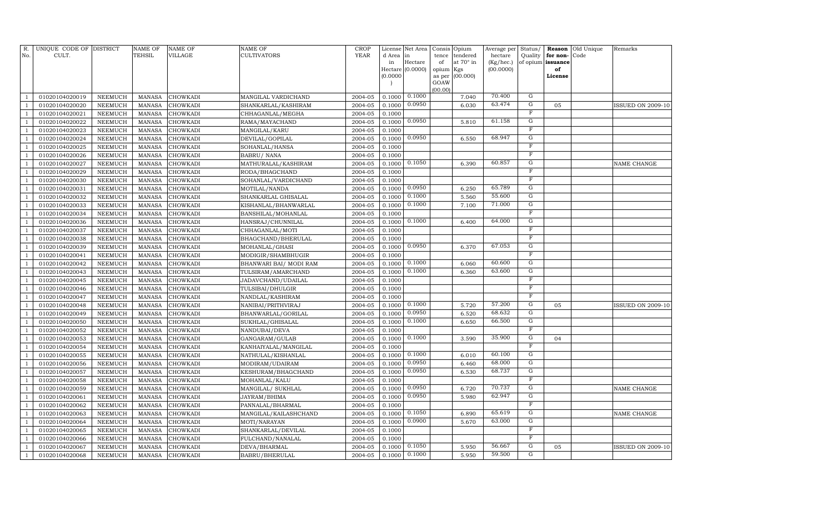| R.<br>No.      | UNIQUE CODE OF DISTRICT<br>CULT. |                                  | <b>NAME OF</b><br>TEHSIL       | <b>NAME OF</b><br>VILLAGE | NAME OF<br><b>CULTIVATORS</b>              | <b>CROP</b><br><b>YEAR</b> | License<br>d Area | Net Area<br>in   | tence           | Consis Opium<br>tendered | Average per<br>hectare | Status/<br>Quality           | for non-          | Reason Old Unique<br>Code | Remarks                  |
|----------------|----------------------------------|----------------------------------|--------------------------------|---------------------------|--------------------------------------------|----------------------------|-------------------|------------------|-----------------|--------------------------|------------------------|------------------------------|-------------------|---------------------------|--------------------------|
|                |                                  |                                  |                                |                           |                                            |                            | in                | Hectare          | of              | at 70° in                | (Kg/hec.)              |                              | of opium issuance |                           |                          |
|                |                                  |                                  |                                |                           |                                            |                            |                   | Hectare (0.0000) | opium Kgs       |                          | (00.0000)              |                              | of                |                           |                          |
|                |                                  |                                  |                                |                           |                                            |                            | (0.0000)          |                  | as per          | (00.000)                 |                        |                              | License           |                           |                          |
|                |                                  |                                  |                                |                           |                                            |                            |                   |                  | GOAW<br>(00.00) |                          |                        |                              |                   |                           |                          |
|                | 01020104020019                   | NEEMUCH                          | <b>MANASA</b>                  | <b>CHOWKADI</b>           | MANGILAL VARDICHAND                        | 2004-05                    | 0.1000            | 0.1000           |                 | 7.040                    | 70.400                 | $\mathbf G$                  |                   |                           |                          |
|                | 01020104020020                   | NEEMUCH                          | <b>MANASA</b>                  | CHOWKADI                  | SHANKARLAL/KASHIRAM                        | 2004-05                    | 0.1000            | 0.0950           |                 | 6.030                    | 63.474                 | ${\rm G}$                    | 05                |                           | <b>ISSUED ON 2009-10</b> |
|                | 01020104020021                   | <b>NEEMUCH</b>                   | <b>MANASA</b>                  | CHOWKADI                  | CHHAGANLAL/MEGHA                           | 2004-05                    | 0.1000            |                  |                 |                          |                        | F                            |                   |                           |                          |
| $\mathbf{1}$   | 01020104020022                   | NEEMUCH                          | <b>MANASA</b>                  | <b>CHOWKADI</b>           | RAMA/MAYACHAND                             | 2004-05                    | 0.1000            | 0.0950           |                 | 5.810                    | 61.158                 | G                            |                   |                           |                          |
| $\overline{1}$ | 01020104020023                   | NEEMUCH                          | <b>MANASA</b>                  | CHOWKADI                  | MANGILAL/KARU                              | 2004-05                    | 0.1000            |                  |                 |                          |                        | $\overline{\mathrm{F}}$      |                   |                           |                          |
|                | 01020104020024                   | <b>NEEMUCH</b>                   | <b>MANASA</b>                  | CHOWKADI                  | DEVILAL/GOPILAL                            | 2004-05                    | 0.1000            | 0.0950           |                 | 6.550                    | 68.947                 | G                            |                   |                           |                          |
|                | 01020104020025                   | <b>NEEMUCH</b>                   | <b>MANASA</b>                  | CHOWKADI                  | SOHANLAL/HANSA                             | 2004-05                    | 0.1000            |                  |                 |                          |                        | $\mathbf F$                  |                   |                           |                          |
|                | 01020104020026                   | <b>NEEMUCH</b>                   | <b>MANASA</b>                  | CHOWKADI                  | <b>BABRU/ NANA</b>                         | 2004-05                    | 0.1000            |                  |                 |                          |                        | $\overline{\mathrm{F}}$      |                   |                           |                          |
|                | 01020104020027                   | NEEMUCH                          | <b>MANASA</b>                  | CHOWKADI                  | MATHURALAL/KASHIRAM                        | 2004-05                    | 0.1000            | 0.1050           |                 | 6.390                    | 60.857                 | $\overline{G}$               |                   |                           | NAME CHANGE              |
|                | 01020104020029                   | <b>NEEMUCH</b>                   | MANASA                         | CHOWKADI                  | RODA/BHAGCHAND                             | 2004-05                    | 0.1000            |                  |                 |                          |                        | $\overline{\mathrm{F}}$      |                   |                           |                          |
| $\overline{1}$ | 01020104020030                   | <b>NEEMUCH</b>                   | <b>MANASA</b>                  | <b>CHOWKADI</b>           | SOHANLAL/VARDICHAND                        | 2004-05                    | 0.1000            |                  |                 |                          |                        | $\overline{\mathrm{F}}$      |                   |                           |                          |
| -1             | 01020104020031                   | <b>NEEMUCH</b>                   | <b>MANASA</b>                  | <b>CHOWKADI</b>           | MOTILAL/NANDA                              | 2004-05                    | 0.1000            | 0.0950           |                 | 6.250                    | 65.789                 | $\overline{G}$               |                   |                           |                          |
| $\mathbf{1}$   | 01020104020032                   | <b>NEEMUCH</b>                   | <b>MANASA</b>                  | CHOWKADI                  | SHANKARLAL GHISALAL                        | 2004-05                    | 0.1000            | 0.1000           |                 | 5.560                    | 55.600                 | G                            |                   |                           |                          |
|                | 01020104020033                   | <b>NEEMUCH</b>                   | <b>MANASA</b>                  | CHOWKADI                  | KISHANLAL/BHANWARLAL                       | 2004-05                    | 0.1000            | 0.1000           |                 | 7.100                    | 71.000                 | G                            |                   |                           |                          |
|                | 01020104020034                   | <b>NEEMUCH</b>                   | <b>MANASA</b>                  | CHOWKADI                  | BANSHILAL/MOHANLAL                         | 2004-05                    | 0.1000            |                  |                 |                          |                        | $\overline{F}$               |                   |                           |                          |
| -1             | 01020104020036                   | <b>NEEMUCH</b>                   | <b>MANASA</b>                  | CHOWKADI                  | HANSRAJ/CHUNNILAL                          | 2004-05                    | 0.1000            | 0.1000           |                 | 6.400                    | 64.000                 | G                            |                   |                           |                          |
|                | 01020104020037                   | <b>NEEMUCH</b>                   | <b>MANASA</b>                  | CHOWKADI                  | CHHAGANLAL/MOTI                            | 2004-05                    | 0.1000            |                  |                 |                          |                        | $\overline{\mathrm{F}}$      |                   |                           |                          |
|                | 01020104020038                   | <b>NEEMUCH</b>                   | <b>MANASA</b>                  | CHOWKADI                  | BHAGCHAND/BHERULAL                         | 2004-05                    | 0.1000            |                  |                 |                          |                        | $\mathbf F$                  |                   |                           |                          |
|                | 01020104020039                   | <b>NEEMUCH</b>                   | <b>MANASA</b>                  | CHOWKADI                  | MOHANLAL/GHASI                             | 2004-05                    | 0.1000            | 0.0950           |                 | 6.370                    | 67.053                 | $\overline{G}$               |                   |                           |                          |
|                | 01020104020041                   | <b>NEEMUCH</b>                   | <b>MANASA</b>                  | CHOWKADI                  | MODIGIR/SHAMBHUGIR                         | 2004-05                    | 0.1000            |                  |                 |                          |                        | $\overline{F}$               |                   |                           |                          |
|                | 01020104020042                   | <b>NEEMUCH</b>                   | <b>MANASA</b>                  | CHOWKADI                  | BHANWARI BAI/ MODI RAM                     | 2004-05                    | 0.1000            | 0.1000           |                 | 6.060                    | 60.600                 | $\overline{G}$               |                   |                           |                          |
|                | 01020104020043                   | <b>NEEMUCH</b>                   | MANASA                         | <b>CHOWKADI</b>           | TULSIRAM/AMARCHAND                         | 2004-05                    | 0.1000            | 0.1000           |                 | 6.360                    | 63.600                 | G                            |                   |                           |                          |
|                | 01020104020045                   | <b>NEEMUCH</b>                   | <b>MANASA</b>                  | <b>CHOWKADI</b>           | JADAVCHAND/UDAILAL                         | 2004-05                    | 0.1000            |                  |                 |                          |                        | $\overline{\mathrm{F}}$      |                   |                           |                          |
| -1             | 01020104020046                   | <b>NEEMUCH</b>                   | <b>MANASA</b>                  | <b>CHOWKADI</b>           | TULSIBAI/DHULGIR                           | 2004-05                    | 0.1000            |                  |                 |                          |                        | $\overline{\mathrm{F}}$      |                   |                           |                          |
|                | 01020104020047                   | <b>NEEMUCH</b>                   | <b>MANASA</b>                  | CHOWKADI                  | NANDLAL/KASHIRAM                           | 2004-05                    | 0.1000            |                  |                 |                          |                        | $\overline{\mathrm{F}}$<br>G |                   |                           |                          |
|                | 01020104020048                   | <b>NEEMUCH</b>                   | <b>MANASA</b>                  | CHOWKADI                  | NANIBAI/PRITHVIRAJ                         | 2004-05                    | 0.1000            | 0.1000<br>0.0950 |                 | 5.720                    | 57.200<br>68.632       | $\mathbf G$                  | 05                |                           | <b>ISSUED ON 2009-10</b> |
|                | 01020104020049                   | <b>NEEMUCH</b>                   | <b>MANASA</b>                  | CHOWKADI                  | BHANWARLAL/GORILAL                         | 2004-05                    | 0.1000            | 0.1000           |                 | 6.520                    | 66.500                 | ${\rm G}$                    |                   |                           |                          |
|                | 01020104020050                   | <b>NEEMUCH</b>                   | <b>MANASA</b>                  | CHOWKADI                  | SUKHLAL/GHISALAL                           | 2004-05                    | 0.1000            |                  |                 | 6.650                    |                        | $\mathbf F$                  |                   |                           |                          |
|                | 01020104020052<br>01020104020053 | <b>NEEMUCH</b><br><b>NEEMUCH</b> | <b>MANASA</b><br><b>MANASA</b> | CHOWKADI<br>CHOWKADI      | NANDUBAI/DEVA                              | 2004-05<br>2004-05         | 0.1000<br>0.1000  | 0.1000           |                 | 3.590                    | 35.900                 | G                            | 04                |                           |                          |
|                |                                  |                                  |                                |                           | GANGARAM/GULAB                             |                            | 0.1000            |                  |                 |                          |                        | $\overline{F}$               |                   |                           |                          |
|                | 01020104020054<br>01020104020055 | NEEMUCH<br><b>NEEMUCH</b>        | <b>MANASA</b><br><b>MANASA</b> | CHOWKADI<br>CHOWKADI      | KANHAIYALAL/MANGILAL<br>NATHULAL/KISHANLAL | 2004-05<br>2004-05         | 0.1000            | 0.1000           |                 | 6.010                    | 60.100                 | $\overline{G}$               |                   |                           |                          |
|                | 01020104020056                   | NEEMUCH                          | <b>MANASA</b>                  | <b>CHOWKADI</b>           | MODIRAM/UDAIRAM                            | 2004-05                    | 0.1000            | 0.0950           |                 | 6.460                    | 68.000                 | G                            |                   |                           |                          |
|                | 01020104020057                   | <b>NEEMUCH</b>                   | MANASA                         | CHOWKADI                  | KESHURAM/BHAGCHAND                         | 2004-05                    | 0.1000            | 0.0950           |                 | 6.530                    | 68.737                 | G                            |                   |                           |                          |
|                | 01020104020058                   | <b>NEEMUCH</b>                   | <b>MANASA</b>                  | <b>CHOWKADI</b>           | MOHANLAL/KALU                              | 2004-05                    | 0.1000            |                  |                 |                          |                        | $\overline{\mathrm{F}}$      |                   |                           |                          |
|                | 01020104020059                   | <b>NEEMUCH</b>                   | <b>MANASA</b>                  | CHOWKADI                  | MANGILAL/ SUKHLAL                          | 2004-05                    | 0.1000            | 0.0950           |                 | 6.720                    | 70.737                 | $\mathbf G$                  |                   |                           | NAME CHANGE              |
|                | 01020104020061                   | <b>NEEMUCH</b>                   | <b>MANASA</b>                  | CHOWKADI                  | JAYRAM/BHIMA                               | 2004-05                    | 0.1000            | 0.0950           |                 | 5.980                    | 62.947                 | $\mathbf G$                  |                   |                           |                          |
|                | 01020104020062                   | <b>NEEMUCH</b>                   | <b>MANASA</b>                  | CHOWKADI                  | PANNALAL/BHARMAL                           | 2004-05                    | 0.1000            |                  |                 |                          |                        | $\mathbf{F}$                 |                   |                           |                          |
|                | 01020104020063                   | <b>NEEMUCH</b>                   | <b>MANASA</b>                  | CHOWKADI                  | MANGILAL/KAILASHCHAND                      | 2004-05                    | 0.1000            | 0.1050           |                 | 6.890                    | 65.619                 | $\mathbf G$                  |                   |                           | NAME CHANGE              |
|                | 01020104020064                   | <b>NEEMUCH</b>                   | <b>MANASA</b>                  | CHOWKADI                  | MOTI/NARAYAN                               | 2004-05                    | 0.1000            | 0.0900           |                 | 5.670                    | 63.000                 | G                            |                   |                           |                          |
|                | 01020104020065                   | <b>NEEMUCH</b>                   | <b>MANASA</b>                  | CHOWKADI                  | SHANKARLAL/DEVILAL                         | 2004-05                    | 0.1000            |                  |                 |                          |                        | $\rm F$                      |                   |                           |                          |
|                | 01020104020066                   | <b>NEEMUCH</b>                   | <b>MANASA</b>                  | CHOWKADI                  | FULCHAND/NANALAL                           | 2004-05                    | 0.1000            |                  |                 |                          |                        | $\mathbf F$                  |                   |                           |                          |
|                | 01020104020067                   | <b>NEEMUCH</b>                   | <b>MANASA</b>                  | CHOWKADI                  | DEVA/BHARMAL                               | 2004-05                    | 0.1000            | 0.1050           |                 | 5.950                    | 56.667                 | G                            | 05                |                           | <b>ISSUED ON 2009-10</b> |
|                | 01020104020068                   | <b>NEEMUCH</b>                   | MANASA                         | CHOWKADI                  | BABRU/BHERULAL                             | 2004-05                    | 0.1000            | 0.1000           |                 | 5.950                    | 59.500                 | $\overline{G}$               |                   |                           |                          |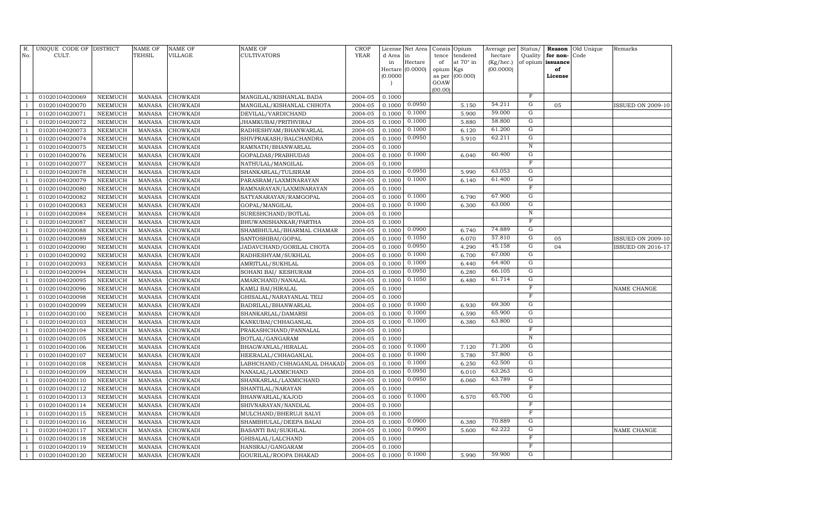| R.<br>No.      | UNIQUE CODE OF DISTRICT<br>CULT. |                | <b>NAME OF</b><br>TEHSIL | <b>NAME OF</b><br><b>VILLAGE</b> | <b>NAME OF</b><br><b>CULTIVATORS</b> | <b>CROP</b><br>YEAR | License<br>d Area | Net Area<br>in            | Consis<br>tence | Opium<br>tendered | Average per<br>hectare | Status/<br>Quality | Reason<br>for non- | Old Unique<br>Code | Remarks                  |
|----------------|----------------------------------|----------------|--------------------------|----------------------------------|--------------------------------------|---------------------|-------------------|---------------------------|-----------------|-------------------|------------------------|--------------------|--------------------|--------------------|--------------------------|
|                |                                  |                |                          |                                  |                                      |                     | in                | Hectare                   | of              | at 70° in         | (Kg/hec.)              |                    | of opium issuance  |                    |                          |
|                |                                  |                |                          |                                  |                                      |                     |                   | Hectare (0.0000)          | opium Kgs       |                   | (00.0000)              |                    | of                 |                    |                          |
|                |                                  |                |                          |                                  |                                      |                     | (0.0000)          |                           | as per          | (00.000)          |                        |                    | License            |                    |                          |
|                |                                  |                |                          |                                  |                                      |                     |                   |                           | GOAW<br>(00.00) |                   |                        |                    |                    |                    |                          |
| $\mathbf{1}$   | 01020104020069                   | <b>NEEMUCH</b> | <b>MANASA</b>            | <b>CHOWKADI</b>                  | MANGILAL/KISHANLAL BADA              | 2004-05             | 0.1000            |                           |                 |                   |                        | $_{\rm F}$         |                    |                    |                          |
| $\mathbf{1}$   | 01020104020070                   | <b>NEEMUCH</b> | <b>MANASA</b>            | CHOWKADI                         | MANGILAL/KISHANLAL CHHOTA            | 2004-05             | 0.1000            | 0.0950                    |                 | 5.150             | 54.211                 | G                  | 05                 |                    | <b>ISSUED ON 2009-10</b> |
| $\mathbf{1}$   | 01020104020071                   | NEEMUCH        | <b>MANASA</b>            | CHOWKADI                         | DEVILAL/VARDICHAND                   | 2004-05             | 0.1000            | 0.1000                    |                 | 5.900             | 59.000                 | $\mathbf G$        |                    |                    |                          |
| $\mathbf{1}$   | 01020104020072                   | <b>NEEMUCH</b> | <b>MANASA</b>            | <b>CHOWKADI</b>                  | JHAMKUBAI/PRITHVIRAJ                 | 2004-05             | 0.1000            | 0.1000                    |                 | 5.880             | 58.800                 | $\overline{G}$     |                    |                    |                          |
| 1              | 01020104020073                   | <b>NEEMUCH</b> | <b>MANASA</b>            | <b>CHOWKADI</b>                  | RADHESHYAM/BHANWARLAL                | 2004-05             | 0.1000            | 0.1000                    |                 | 6.120             | 61.200                 | $\overline{G}$     |                    |                    |                          |
| 1              | 01020104020074                   | <b>NEEMUCH</b> | <b>MANASA</b>            | <b>CHOWKADI</b>                  | SHIVPRAKASH/BALCHANDRA               | 2004-05             | 0.1000            | 0.0950                    |                 | 5.910             | 62.211                 | G                  |                    |                    |                          |
| $\mathbf{1}$   | 01020104020075                   | <b>NEEMUCH</b> | <b>MANASA</b>            | <b>CHOWKADI</b>                  | RAMNATH/BHANWARLAL                   | 2004-05             | 0.1000            |                           |                 |                   |                        | $\overline{N}$     |                    |                    |                          |
| $\mathbf{1}$   | 01020104020076                   | <b>NEEMUCH</b> | <b>MANASA</b>            | CHOWKADI                         | GOPALDAS/PRABHUDAS                   | 2004-05             |                   | $0.1000$ $\boxed{0.1000}$ |                 | 6.040             | 60.400                 | G                  |                    |                    |                          |
| $\mathbf{1}$   | 01020104020077                   | <b>NEEMUCH</b> | <b>MANASA</b>            | CHOWKADI                         | NATHULAL/MANGILAL                    | 2004-05             | 0.1000            |                           |                 |                   |                        | $\mathbf F$        |                    |                    |                          |
| $\mathbf{1}$   | 01020104020078                   | <b>NEEMUCH</b> | <b>MANASA</b>            | CHOWKADI                         | SHANKARLAL/TULSIRAM                  | 2004-05             | 0.1000            | 0.0950                    |                 | 5.990             | 63.053                 | G                  |                    |                    |                          |
| $\mathbf{1}$   | 01020104020079                   | NEEMUCH        | <b>MANASA</b>            | CHOWKADI                         | PARASRAM/LAXMINARAYAN                | 2004-05             | 0.1000            | 0.1000                    |                 | 6.140             | 61.400                 | ${\rm G}$          |                    |                    |                          |
| $\mathbf{1}$   | 01020104020080                   | <b>NEEMUCH</b> | <b>MANASA</b>            | CHOWKADI                         | RAMNARAYAN/LAXMINARAYAN              | 2004-05             | 0.1000            |                           |                 |                   |                        | $_{\rm F}$         |                    |                    |                          |
| $\mathbf{1}$   | 01020104020082                   | <b>NEEMUCH</b> | <b>MANASA</b>            | <b>CHOWKADI</b>                  | SATYANARAYAN/RAMGOPAL                | 2004-05             | 0.1000            | 0.1000                    |                 | 6.790             | 67.900                 | G                  |                    |                    |                          |
| 1              | 01020104020083                   | <b>NEEMUCH</b> | <b>MANASA</b>            | <b>CHOWKADI</b>                  | GOPAL/MANGILAL                       | 2004-05             | 0.1000            | 0.1000                    |                 | 6.300             | 63.000                 | G                  |                    |                    |                          |
| $\mathbf{1}$   | 01020104020084                   | <b>NEEMUCH</b> | <b>MANASA</b>            | CHOWKADI                         | SURESHCHAND/BOTLAL                   | 2004-05             | 0.1000            |                           |                 |                   |                        | $\overline{N}$     |                    |                    |                          |
| $\mathbf{1}$   | 01020104020087                   | <b>NEEMUCH</b> | <b>MANASA</b>            | CHOWKADI                         | BHUWANISHANKAR/PARTHA                | 2004-05             | 0.1000            |                           |                 |                   |                        | $\mathbf F$        |                    |                    |                          |
| $\mathbf{1}$   | 01020104020088                   | <b>NEEMUCH</b> | <b>MANASA</b>            | CHOWKADI                         | SHAMBHULAL/BHARMAL CHAMAR            | 2004-05             | 0.1000            | 0.0900                    |                 | 6.740             | 74.889                 | G                  |                    |                    |                          |
| $\mathbf{1}$   | 01020104020089                   | <b>NEEMUCH</b> | <b>MANASA</b>            | CHOWKADI                         | SANTOSHIBAI/GOPAL                    | 2004-05             | 0.1000            | 0.1050                    |                 | 6.070             | 57.810                 | $\mathbf G$        | 05                 |                    | <b>ISSUED ON 2009-10</b> |
| $\mathbf{1}$   | 01020104020090                   | <b>NEEMUCH</b> | <b>MANASA</b>            | CHOWKADI                         | JADAVCHAND/GORILAL CHOTA             | 2004-05             | 0.1000            | 0.0950                    |                 | 4.290             | 45.158                 | ${\rm G}$          | 04                 |                    | <b>ISSUED ON 2016-17</b> |
| $\mathbf{1}$   | 01020104020092                   | <b>NEEMUCH</b> | <b>MANASA</b>            | CHOWKADI                         | RADHESHYAM/SUKHLAL                   | 2004-05             | 0.1000            | 0.1000                    |                 | 6.700             | 67.000                 | $\mathbf G$        |                    |                    |                          |
| $\mathbf{1}$   | 01020104020093                   | <b>NEEMUCH</b> | <b>MANASA</b>            | <b>CHOWKADI</b>                  | AMRITLAL/SUKHLAL                     | 2004-05             | 0.1000            | 0.1000                    |                 | 6.440             | 64.400                 | $\overline{G}$     |                    |                    |                          |
| 1              | 01020104020094                   | <b>NEEMUCH</b> | <b>MANASA</b>            | <b>CHOWKADI</b>                  | SOHANI BAI/ KESHURAM                 | 2004-05             | 0.1000            | 0.0950                    |                 | 6.280             | 66.105                 | G                  |                    |                    |                          |
| $\overline{1}$ | 01020104020095                   | NEEMUCH        | <b>MANASA</b>            | CHOWKADI                         | AMARCHAND/NANALAL                    | 2004-05             | 0.1000            | 0.1050                    |                 | 6.480             | 61.714                 | G                  |                    |                    |                          |
| $\mathbf{1}$   | 01020104020096                   | <b>NEEMUCH</b> | <b>MANASA</b>            | CHOWKADI                         | KAMLI BAI/HIRALAL                    | 2004-05             | 0.1000            |                           |                 |                   |                        | $\mathbf F$        |                    |                    | NAME CHANGE              |
| $\mathbf{1}$   | 01020104020098                   | <b>NEEMUCH</b> | <b>MANASA</b>            | CHOWKADI                         | GHISALAL/NARAYANLAL TELI             | 2004-05             | 0.1000            |                           |                 |                   |                        | $_{\rm F}$         |                    |                    |                          |
| $\mathbf{1}$   | 01020104020099                   | <b>NEEMUCH</b> | <b>MANASA</b>            | CHOWKADI                         | BADRILAL/BHANWARLAL                  | 2004-05             | 0.1000            | 0.1000                    |                 | 6.930             | 69.300                 | G                  |                    |                    |                          |
| $\mathbf{1}$   | 01020104020100                   | <b>NEEMUCH</b> | <b>MANASA</b>            | CHOWKADI                         | SHANKARLAL/DAMARSI                   | 2004-05             | 0.1000            | 0.1000                    |                 | 6.590             | 65.900                 | $\mathbf G$        |                    |                    |                          |
| $\mathbf{1}$   | 01020104020103                   | <b>NEEMUCH</b> | <b>MANASA</b>            | CHOWKADI                         | KANKUBAI/CHHAGANLAL                  | 2004-05             | 0.1000            | 0.1000                    |                 | 6.380             | 63.800                 | $\mathbf G$        |                    |                    |                          |
| $\overline{1}$ | 01020104020104                   | NEEMUCH        | <b>MANASA</b>            | CHOWKADI                         | PRAKASHCHAND/PANNALAL                | 2004-05             | 0.1000            |                           |                 |                   |                        | $_{\rm F}$         |                    |                    |                          |
| $\mathbf{1}$   | 01020104020105                   | <b>NEEMUCH</b> | <b>MANASA</b>            | CHOWKADI                         | BOTLAL/GANGARAM                      | 2004-05             | 0.1000            |                           |                 |                   |                        | N                  |                    |                    |                          |
| $\overline{1}$ | 01020104020106                   | <b>NEEMUCH</b> | <b>MANASA</b>            | <b>CHOWKADI</b>                  | BHAGWANLAL/HIRALAL                   | 2004-05             | 0.1000            | 0.1000                    |                 | 7.120             | 71.200                 | G                  |                    |                    |                          |
| $\mathbf{1}$   | 01020104020107                   | <b>NEEMUCH</b> | <b>MANASA</b>            | CHOWKADI                         | HEERALAL/CHHAGANLAL                  | 2004-05             | 0.1000            | 0.1000                    |                 | 5.780             | 57.800                 | G                  |                    |                    |                          |
| $\mathbf{1}$   | 01020104020108                   | <b>NEEMUCH</b> | <b>MANASA</b>            | CHOWKADI                         | LABHCHAND/CHHAGANLAL DHAKAD          | 2004-05             | 0.1000            | 0.1000                    |                 | 6.250             | 62.500                 | G                  |                    |                    |                          |
| $\mathbf{1}$   | 01020104020109                   | <b>NEEMUCH</b> | <b>MANASA</b>            | CHOWKADI                         | NANALAL/LAXMICHAND                   | 2004-05             | 0.1000            | 0.0950                    |                 | 6.010             | 63.263                 | G                  |                    |                    |                          |
| $\mathbf{1}$   | 01020104020110                   | <b>NEEMUCH</b> | <b>MANASA</b>            | CHOWKADI                         | SHANKARLAL/LAXMICHAND                | 2004-05             | 0.1000            | 0.0950                    |                 | 6.060             | 63.789                 | G                  |                    |                    |                          |
| $\mathbf{1}$   | 01020104020112                   | <b>NEEMUCH</b> | <b>MANASA</b>            | CHOWKADI                         | SHANTILAL/NARAYAN                    | 2004-05             | 0.1000            |                           |                 |                   |                        | $\mathbf F$        |                    |                    |                          |
| $\overline{1}$ | 01020104020113                   | NEEMUCH        | <b>MANASA</b>            | CHOWKADI                         | BHANWARLAL/KAJOD                     | 2004-05             | 0.1000            | 0.1000                    |                 | 6.570             | 65.700                 | $\overline{G}$     |                    |                    |                          |
| $\mathbf{1}$   | 01020104020114                   | <b>NEEMUCH</b> | <b>MANASA</b>            | CHOWKADI                         | SHIVNARAYAN/NANDLAL                  | 2004-05             | 0.1000            |                           |                 |                   |                        | F                  |                    |                    |                          |
| $\mathbf{1}$   | 01020104020115                   | NEEMUCH        | <b>MANASA</b>            | CHOWKADI                         | MULCHAND/BHERUJI SALVI               | 2004-05             | 0.1000            |                           |                 |                   |                        | $\mathbf F$        |                    |                    |                          |
| $\mathbf{1}$   | 01020104020116                   | <b>NEEMUCH</b> | <b>MANASA</b>            | CHOWKADI                         | SHAMBHULAL/DEEPA BALAI               | 2004-05             | 0.1000            | 0.0900                    |                 | 6.380             | 70.889                 | G                  |                    |                    |                          |
| $\mathbf{1}$   | 01020104020117                   | <b>NEEMUCH</b> | <b>MANASA</b>            | CHOWKADI                         | <b>BASANTI BAI/SUKHLAL</b>           | 2004-05             | 0.1000            | 0.0900                    |                 | 5.600             | 62.222                 | G                  |                    |                    | NAME CHANGE              |
| $\mathbf{1}$   | 01020104020118                   | <b>NEEMUCH</b> | <b>MANASA</b>            | CHOWKADI                         | GHISALAL/LALCHAND                    | 2004-05             | 0.1000            |                           |                 |                   |                        | F<br>F             |                    |                    |                          |
| $\mathbf{1}$   | 01020104020119                   | <b>NEEMUCH</b> | <b>MANASA</b>            | CHOWKADI                         | HANSRAJ/GANGARAM                     | 2004-05             | 0.1000            |                           |                 |                   | 59.900                 | G                  |                    |                    |                          |
| $\mathbf{1}$   | 01020104020120                   | NEEMUCH        | MANASA                   | <b>CHOWKADI</b>                  | GOURILAL/ROOPA DHAKAD                | 2004-05             |                   | $0.1000 \quad 0.1000$     |                 | 5.990             |                        |                    |                    |                    |                          |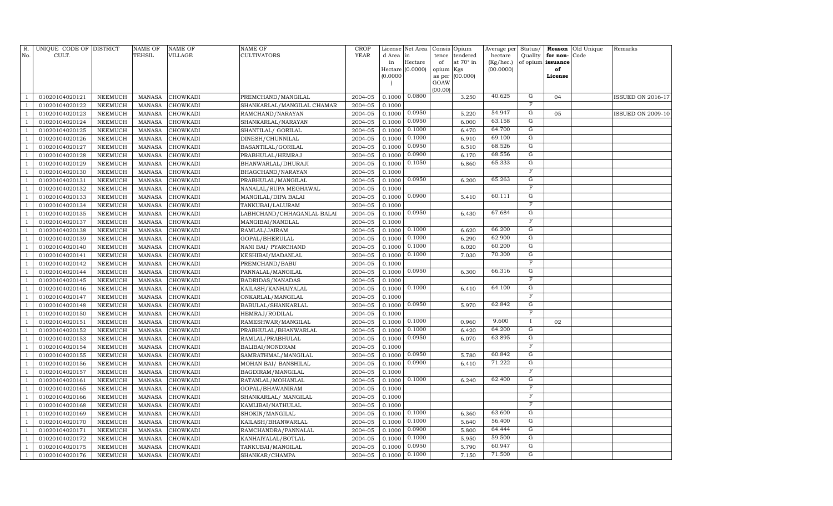| R.             | UNIQUE CODE OF DISTRICT          |                           | <b>NAME OF</b>                 | <b>NAME OF</b>       | <b>NAME OF</b>                            | CROP               |                  | License Net Area |             | Consis Opium          | Average per          | Status/             |                      | <b>Reason</b> Old Unique | Remarks                  |
|----------------|----------------------------------|---------------------------|--------------------------------|----------------------|-------------------------------------------|--------------------|------------------|------------------|-------------|-----------------------|----------------------|---------------------|----------------------|--------------------------|--------------------------|
| No.            | CULT.                            |                           | <b>TEHSIL</b>                  | VILLAGE              | CULTIVATORS                               | <b>YEAR</b>        | d Area<br>in     | in<br>Hectare    | tence<br>of | tendered<br>at 70° in | hectare<br>(Kg/hec.) | Quality<br>of opium | for non-<br>issuance | Code                     |                          |
|                |                                  |                           |                                |                      |                                           |                    |                  | Hectare (0.0000) | opium Kgs   |                       | (00.0000)            |                     | of                   |                          |                          |
|                |                                  |                           |                                |                      |                                           |                    | (0.0000)         |                  | as per      | (00.000)              |                      |                     | License              |                          |                          |
|                |                                  |                           |                                |                      |                                           |                    |                  |                  | GOAW        |                       |                      |                     |                      |                          |                          |
|                | 01020104020121                   | NEEMUCH                   | <b>MANASA</b>                  | <b>CHOWKADI</b>      | PREMCHAND/MANGILAL                        | 2004-05            | 0.1000           | 0.0800           | (00.00)     | 3.250                 | 40.625               | G                   | 04                   |                          | <b>ISSUED ON 2016-17</b> |
|                | 01020104020122                   | <b>NEEMUCH</b>            | <b>MANASA</b>                  | CHOWKADI             | SHANKARLAL/MANGILAL CHAMAR                | 2004-05            | 0.1000           |                  |             |                       |                      | $\mathbf F$         |                      |                          |                          |
|                | 01020104020123                   | NEEMUCH                   | <b>MANASA</b>                  | CHOWKADI             | RAMCHAND/NARAYAN                          | 2004-05            | 0.1000           | 0.0950           |             | 5.220                 | 54.947               | ${\rm G}$           | 05                   |                          | <b>ISSUED ON 2009-10</b> |
| -1             | 01020104020124                   | NEEMUCH                   | <b>MANASA</b>                  | CHOWKADI             | SHANKARLAL/NARAYAN                        | 2004-05            | 0.1000           | 0.0950           |             | 6.000                 | 63.158               | $\overline{G}$      |                      |                          |                          |
|                | 01020104020125                   | <b>NEEMUCH</b>            | <b>MANASA</b>                  | CHOWKADI             | SHANTILAL/ GORILAL                        | 2004-05            | 0.1000           | 0.1000           |             | 6.470                 | 64.700               | $\overline{G}$      |                      |                          |                          |
|                | 01020104020126                   | <b>NEEMUCH</b>            | <b>MANASA</b>                  | CHOWKADI             | DINESH/CHUNNILAL                          | 2004-05            | 0.1000           | 0.1000           |             | 6.910                 | 69.100               | G                   |                      |                          |                          |
|                | 01020104020127                   | <b>NEEMUCH</b>            | <b>MANASA</b>                  | CHOWKADI             | BASANTILAL/GORILAL                        | 2004-05            | 0.1000           | 0.0950           |             | 6.510                 | 68.526               | G                   |                      |                          |                          |
|                | 01020104020128                   | <b>NEEMUCH</b>            | <b>MANASA</b>                  | CHOWKADI             | PRABHULAL/HEMRAJ                          | 2004-05            | 0.1000           | 0.0900           |             | 6.170                 | 68.556               | $\overline{G}$      |                      |                          |                          |
|                | 01020104020129                   | NEEMUCH                   | <b>MANASA</b>                  | CHOWKADI             | BHANWARLAL/DHURAJI                        | 2004-05            | 0.1000           | 0.1050           |             | 6.860                 | 65.333               | ${\rm G}$           |                      |                          |                          |
|                | 01020104020130                   | <b>NEEMUCH</b>            | <b>MANASA</b>                  | CHOWKADI             | BHAGCHAND/NARAYAN                         | 2004-05            | 0.1000           |                  |             |                       |                      | $\overline{F}$      |                      |                          |                          |
|                | 01020104020131                   | NEEMUCH                   | <b>MANASA</b>                  | CHOWKADI             | PRABHULAL/MANGILAL                        | 2004-05            | 0.1000           | 0.0950           |             | 6.200                 | 65.263               | ${\rm G}$           |                      |                          |                          |
| $\overline{1}$ | 01020104020132                   | <b>NEEMUCH</b>            | <b>MANASA</b>                  | CHOWKADI             | NANALAL/RUPA MEGHAWAL                     | 2004-05            | 0.1000           |                  |             |                       |                      | $\mathbf F$         |                      |                          |                          |
|                | 01020104020133                   | <b>NEEMUCH</b>            | <b>MANASA</b>                  | CHOWKADI             | MANGILAL/DIPA BALAI                       | 2004-05            | 0.1000           | 0.0900           |             | 5.410                 | 60.111               | G                   |                      |                          |                          |
| -1             | 01020104020134                   | <b>NEEMUCH</b>            | <b>MANASA</b>                  | CHOWKADI             | TANKUBAI/LALURAM                          | 2004-05            | 0.1000           |                  |             |                       |                      | $\overline{F}$      |                      |                          |                          |
|                | 01020104020135                   | <b>NEEMUCH</b>            | <b>MANASA</b>                  | CHOWKADI             | LABHCHAND/CHHAGANLAL BALAI                | 2004-05            | 0.1000           | 0.0950           |             | 6.430                 | 67.684               | $\overline{G}$      |                      |                          |                          |
|                | 01020104020137                   | <b>NEEMUCH</b>            | <b>MANASA</b>                  | CHOWKADI             | MANGIBAI/NANDLAL                          | 2004-05            | 0.1000           |                  |             |                       |                      | $\overline{F}$      |                      |                          |                          |
|                | 01020104020138                   | NEEMUCH                   | <b>MANASA</b>                  | CHOWKADI             | RAMLAL/JAIRAM                             | 2004-05            | 0.1000           | 0.1000           |             | 6.620                 | 66.200               | G                   |                      |                          |                          |
|                | 01020104020139                   | <b>NEEMUCH</b>            | <b>MANASA</b>                  | CHOWKADI             | GOPAL/BHERULAL                            | 2004-05            | 0.1000           | 0.1000           |             | 6.290                 | 62.900               | $\overline{G}$      |                      |                          |                          |
|                | 01020104020140                   | NEEMUCH                   | <b>MANASA</b>                  | CHOWKADI             | NANI BAI/ PYARCHAND                       | 2004-05            | 0.1000           | 0.1000           |             | 6.020                 | 60.200               | ${\rm G}$           |                      |                          |                          |
| -1             | 01020104020141                   | <b>NEEMUCH</b>            | <b>MANASA</b>                  | CHOWKADI             | KESHIBAI/MADANLAL                         | 2004-05            | 0.1000           | 0.1000           |             | 7.030                 | 70.300               | ${\rm G}$           |                      |                          |                          |
|                | 01020104020142                   | NEEMUCH                   | <b>MANASA</b>                  | CHOWKADI             | PREMCHAND/BABU                            | 2004-05            | 0.1000           |                  |             |                       |                      | $\overline{F}$      |                      |                          |                          |
| $\overline{1}$ | 01020104020144                   | NEEMUCH                   | <b>MANASA</b>                  | CHOWKADI             | PANNALAL/MANGILAL                         | 2004-05            | 0.1000           | 0.0950           |             | 6.300                 | 66.316               | G                   |                      |                          |                          |
|                | 01020104020145                   | <b>NEEMUCH</b>            | <b>MANASA</b>                  | CHOWKADI             | BADRIDAS/NANADAS                          | 2004-05            | 0.1000           |                  |             |                       |                      | $\overline{F}$      |                      |                          |                          |
| -1             | 01020104020146                   | <b>NEEMUCH</b>            | <b>MANASA</b>                  | CHOWKADI             | KAILASH/KANHAIYALAL                       | 2004-05            | 0.1000           | 0.1000           |             | 6.410                 | 64.100               | G                   |                      |                          |                          |
|                | 01020104020147                   | <b>NEEMUCH</b>            | <b>MANASA</b>                  | CHOWKADI             | ONKARLAL/MANGILAL                         | 2004-05            | 0.1000           |                  |             |                       |                      | $\overline{F}$      |                      |                          |                          |
|                | 01020104020148                   | <b>NEEMUCH</b>            | <b>MANASA</b>                  | CHOWKADI             | BABULAL/SHANKARLAL                        | 2004-05            | 0.1000           | 0.0950           |             | 5.970                 | 62.842               | G                   |                      |                          |                          |
|                | 01020104020150                   | NEEMUCH                   | <b>MANASA</b>                  | CHOWKADI             | HEMRAJ/RODILAL                            | 2004-05            | 0.1000           |                  |             |                       |                      | $\overline{F}$      |                      |                          |                          |
|                | 01020104020151                   | <b>NEEMUCH</b>            | <b>MANASA</b>                  | CHOWKADI             | RAMESHWAR/MANGILAL                        | 2004-05            | 0.1000           | 0.1000           |             | 0.960                 | 9.600                |                     | 02                   |                          |                          |
|                | 01020104020152                   | <b>NEEMUCH</b>            | <b>MANASA</b>                  | CHOWKADI             | PRABHULAL/BHANWARLAL                      | 2004-05            | 0.1000           | 0.1000<br>0.0950 |             | 6.420                 | 64.200<br>63.895     | ${\rm G}$<br>G      |                      |                          |                          |
| $\overline{1}$ | 01020104020153                   | <b>NEEMUCH</b>            | <b>MANASA</b>                  | CHOWKADI             | RAMLAL/PRABHULAL                          | 2004-05            | 0.1000           |                  |             | 6.070                 |                      | $\overline{F}$      |                      |                          |                          |
| -1             | 01020104020154                   | <b>NEEMUCH</b><br>NEEMUCH | <b>MANASA</b><br><b>MANASA</b> | CHOWKADI             | BALIBAI/NONDRAM                           | 2004-05            | 0.1000           | 0.0950           |             |                       | 60.842               | G                   |                      |                          |                          |
| $\overline{1}$ | 01020104020155<br>01020104020156 | NEEMUCH                   | <b>MANASA</b>                  | CHOWKADI<br>CHOWKADI | SAMRATHMAL/MANGILAL                       | 2004-05<br>2004-05 | 0.1000<br>0.1000 | 0.0900           |             | 5.780<br>6.410        | 71.222               | G                   |                      |                          |                          |
|                | 01020104020157                   | <b>NEEMUCH</b>            | <b>MANASA</b>                  | CHOWKADI             | MOHAN BAI/ BANSHILAL<br>BAGDIRAM/MANGILAL | 2004-05            | 0.1000           |                  |             |                       |                      | $\overline{F}$      |                      |                          |                          |
|                | 01020104020161                   | NEEMUCH                   | <b>MANASA</b>                  | CHOWKADI             | RATANLAL/MOHANLAL                         | 2004-05            | 0.1000           | 0.1000           |             | 6.240                 | 62.400               | G                   |                      |                          |                          |
|                | 01020104020165                   | NEEMUCH                   | MANASA                         | CHOWKADI             | GOPAL/BHAWANIRAM                          | 2004-05            | 0.1000           |                  |             |                       |                      | $\overline{F}$      |                      |                          |                          |
|                | 01020104020166                   | <b>NEEMUCH</b>            | <b>MANASA</b>                  | CHOWKADI             | SHANKARLAL/ MANGILAL                      | 2004-05            | 0.1000           |                  |             |                       |                      | $\overline{F}$      |                      |                          |                          |
| $\overline{1}$ | 01020104020168                   | <b>NEEMUCH</b>            | <b>MANASA</b>                  | CHOWKADI             | KAMLIBAI/NATHULAL                         | 2004-05            | 0.1000           |                  |             |                       |                      | $\mathbf F$         |                      |                          |                          |
|                | 01020104020169                   | <b>NEEMUCH</b>            | <b>MANASA</b>                  | CHOWKADI             | SHOKIN/MANGILAL                           | 2004-05            | 0.1000           | 0.1000           |             | 6.360                 | 63.600               | $\overline{G}$      |                      |                          |                          |
| $\overline{1}$ | 01020104020170                   | <b>NEEMUCH</b>            | <b>MANASA</b>                  | CHOWKADI             | KAILASH/BHANWARLAL                        | 2004-05            | 0.1000           | 0.1000           |             | 5.640                 | 56.400               | G                   |                      |                          |                          |
|                | 01020104020171                   | <b>NEEMUCH</b>            | <b>MANASA</b>                  | CHOWKADI             | RAMCHANDRA/PANNALAL                       | 2004-05            | 0.1000           | 0.0900           |             | 5.800                 | 64.444               | G                   |                      |                          |                          |
|                | 01020104020172                   | <b>NEEMUCH</b>            | <b>MANASA</b>                  | CHOWKADI             | KANHAIYALAL/BOTLAL                        | 2004-05            | 0.1000           | 0.1000           |             | 5.950                 | 59.500               | G                   |                      |                          |                          |
|                | 01020104020175                   | <b>NEEMUCH</b>            | <b>MANASA</b>                  | CHOWKADI             | TANKUBAI/MANGILAL                         | 2004-05            | 0.1000           | 0.0950           |             | 5.790                 | 60.947               | G                   |                      |                          |                          |
| $\overline{1}$ | 01020104020176                   | NEEMUCH                   | <b>MANASA</b>                  | CHOWKADI             | SHANKAR/CHAMPA                            | 2004-05            | 0.1000           | 0.1000           |             | 7.150                 | 71.500               | $\overline{G}$      |                      |                          |                          |
|                |                                  |                           |                                |                      |                                           |                    |                  |                  |             |                       |                      |                     |                      |                          |                          |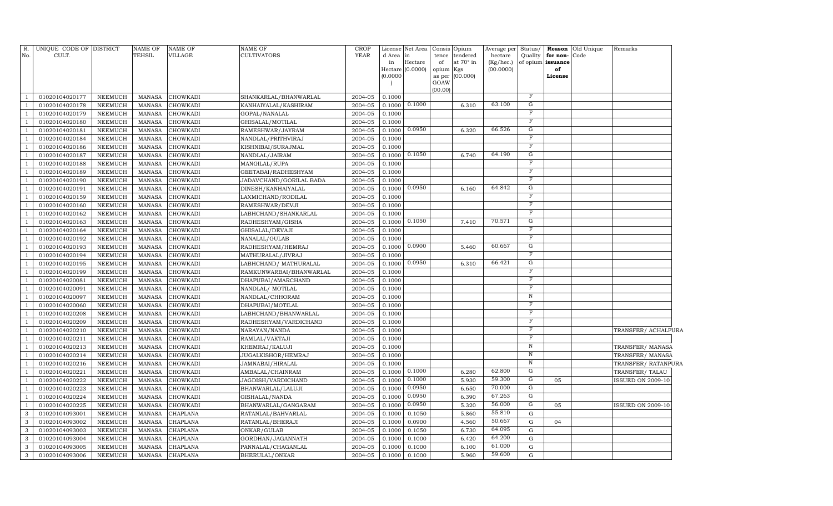| No.            | R. UNIQUE CODE OF DISTRICT<br>CULT. |                | NAME OF<br>TEHSIL | <b>NAME OF</b><br>VILLAGE | <b>NAME OF</b><br><b>CULTIVATORS</b> | <b>CROP</b><br><b>YEAR</b> | d Area in<br>in<br>(0.0000) | License Net Area<br>Hectare<br>Hectare (0.0000) | Consis Opium<br>of<br>opium Kgs<br>GOAW | tence tendered<br>at 70° in<br>as per (00.000) | Average per<br>hectare<br>(Kg/hec.)<br>(00.0000) | Status/<br>Quality<br>of opium | Reason<br>for non-<br>issuance<br>of<br>License | Old Unique<br>Code | Remarks                  |
|----------------|-------------------------------------|----------------|-------------------|---------------------------|--------------------------------------|----------------------------|-----------------------------|-------------------------------------------------|-----------------------------------------|------------------------------------------------|--------------------------------------------------|--------------------------------|-------------------------------------------------|--------------------|--------------------------|
| $\overline{1}$ | 01020104020177                      | NEEMUCH        | <b>MANASA</b>     | <b>CHOWKADI</b>           | SHANKARLAL/BHANWARLAL                | 2004-05                    | 0.1000                      |                                                 | (00.00)                                 |                                                |                                                  | $\mathbf F$                    |                                                 |                    |                          |
| -1             | 01020104020178                      | NEEMUCH        | <b>MANASA</b>     | <b>CHOWKADI</b>           | KANHAIYALAL/KASHIRAM                 | $2004 - 05$                | 0.1000                      | 0.1000                                          |                                         | 6.310                                          | 63.100                                           | G                              |                                                 |                    |                          |
| -1             | 01020104020179                      | <b>NEEMUCH</b> | <b>MANASA</b>     | CHOWKADI                  | GOPAL/NANALAL                        | 2004-05                    | 0.1000                      |                                                 |                                         |                                                |                                                  | $\mathbf F$                    |                                                 |                    |                          |
| -1             | 01020104020180                      | <b>NEEMUCH</b> | <b>MANASA</b>     | CHOWKADI                  | GHISALAL/MOTILAL                     | 2004-05                    | 0.1000                      |                                                 |                                         |                                                |                                                  | $\overline{F}$                 |                                                 |                    |                          |
| -1             | 01020104020181                      | <b>NEEMUCH</b> | <b>MANASA</b>     | CHOWKADI                  | RAMESHWAR/JAYRAM                     | 2004-05                    | 0.1000                      | 0.0950                                          |                                         | 6.320                                          | 66.526                                           | G                              |                                                 |                    |                          |
| $\mathbf{1}$   | 01020104020184                      | <b>NEEMUCH</b> | <b>MANASA</b>     | CHOWKADI                  | NANDLAL/PRITHVIRAJ                   | 2004-05                    | 0.1000                      |                                                 |                                         |                                                |                                                  | $_{\rm F}$                     |                                                 |                    |                          |
| $\overline{1}$ | 01020104020186                      | <b>NEEMUCH</b> | <b>MANASA</b>     | CHOWKADI                  | KISHNIBAI/SURAJMAL                   | 2004-05                    | 0.1000                      |                                                 |                                         |                                                |                                                  | $\mathbf F$                    |                                                 |                    |                          |
| $\overline{1}$ | 01020104020187                      | <b>NEEMUCH</b> | <b>MANASA</b>     | CHOWKADI                  | NANDLAL/JAIRAM                       | 2004-05                    | 0.1000                      | 0.1050                                          |                                         | 6.740                                          | 64.190                                           | G                              |                                                 |                    |                          |
| $\overline{1}$ | 01020104020188                      | NEEMUCH        | <b>MANASA</b>     | CHOWKADI                  | MANGILAL/RUPA                        | 2004-05                    | 0.1000                      |                                                 |                                         |                                                |                                                  | $\mathbf F$                    |                                                 |                    |                          |
| -1             | 01020104020189                      | <b>NEEMUCH</b> | <b>MANASA</b>     | CHOWKADI                  | GEETABAI/RADHESHYAM                  | 2004-05                    | 0.1000                      |                                                 |                                         |                                                |                                                  | $\mathbf F$                    |                                                 |                    |                          |
| $\overline{1}$ | 01020104020190                      | <b>NEEMUCH</b> | <b>MANASA</b>     | <b>CHOWKADI</b>           | JADAVCHAND/GORILAL BADA              | 2004-05                    | 0.1000                      |                                                 |                                         |                                                |                                                  | $\mathbf F$                    |                                                 |                    |                          |
| -1             | 01020104020191                      | <b>NEEMUCH</b> | <b>MANASA</b>     | <b>CHOWKADI</b>           | DINESH/KANHAIYALAL                   | 2004-05                    | 0.1000                      | 0.0950                                          |                                         | 6.160                                          | 64.842                                           | $\mathbf G$                    |                                                 |                    |                          |
| $\overline{1}$ | 01020104020159                      | <b>NEEMUCH</b> | <b>MANASA</b>     | CHOWKADI                  | LAXMICHAND/RODILAL                   | 2004-05                    | 0.1000                      |                                                 |                                         |                                                |                                                  | $\overline{F}$                 |                                                 |                    |                          |
| -1             | 01020104020160                      | <b>NEEMUCH</b> | <b>MANASA</b>     | CHOWKADI                  | RAMESHWAR/DEVJI                      | 2004-05                    | 0.1000                      |                                                 |                                         |                                                |                                                  | $\mathbf F$                    |                                                 |                    |                          |
| $\mathbf{1}$   | 01020104020162                      | <b>NEEMUCH</b> | <b>MANASA</b>     | CHOWKADI                  | LABHCHAND/SHANKARLAL                 | 2004-05                    | 0.1000                      |                                                 |                                         |                                                |                                                  | $\overline{F}$                 |                                                 |                    |                          |
| -1             | 01020104020163                      | <b>NEEMUCH</b> | <b>MANASA</b>     | CHOWKADI                  | RADHESHYAM/GISHA                     | 2004-05                    | 0.1000                      | 0.1050                                          |                                         | 7.410                                          | 70.571                                           | G                              |                                                 |                    |                          |
|                | 01020104020164                      | <b>NEEMUCH</b> | <b>MANASA</b>     | CHOWKADI                  | GHISALAL/DEVAJI                      | 2004-05                    | 0.1000                      |                                                 |                                         |                                                |                                                  | $_{\rm F}$                     |                                                 |                    |                          |
| $\overline{1}$ | 01020104020192                      | <b>NEEMUCH</b> | <b>MANASA</b>     | CHOWKADI                  | NANALAL/GULAB                        | 2004-05                    | 0.1000                      |                                                 |                                         |                                                |                                                  | $\mathbf F$                    |                                                 |                    |                          |
| $\overline{1}$ | 01020104020193                      | NEEMUCH        | <b>MANASA</b>     | CHOWKADI                  | RADHESHYAM/HEMRAJ                    | 2004-05                    | 0.1000                      | 0.0900                                          |                                         | 5.460                                          | 60.667                                           | G                              |                                                 |                    |                          |
| $\overline{1}$ | 01020104020194                      | NEEMUCH        | <b>MANASA</b>     | CHOWKADI                  | MATHURALAL/JIVRAJ                    | 2004-05                    | 0.1000                      |                                                 |                                         |                                                |                                                  | $\overline{F}$                 |                                                 |                    |                          |
| $\overline{1}$ | 01020104020195                      | <b>NEEMUCH</b> | <b>MANASA</b>     | CHOWKADI                  | LABHCHAND/ MATHURALAL                | 2004-05                    | 0.1000                      | 0.0950                                          |                                         | 6.310                                          | 66.421                                           | $\mathbf G$                    |                                                 |                    |                          |
| $\overline{1}$ | 01020104020199                      | <b>NEEMUCH</b> | <b>MANASA</b>     | <b>CHOWKADI</b>           | RAMKUNWARBAI/BHANWARLAL              | 2004-05                    | 0.1000                      |                                                 |                                         |                                                |                                                  | $\overline{F}$                 |                                                 |                    |                          |
| $\overline{1}$ | 01020104020081                      | <b>NEEMUCH</b> | <b>MANASA</b>     | <b>CHOWKADI</b>           | DHAPUBAI/AMARCHAND                   | 2004-05                    | 0.1000                      |                                                 |                                         |                                                |                                                  | $\overline{F}$                 |                                                 |                    |                          |
| -1             | 01020104020091                      | <b>NEEMUCH</b> | <b>MANASA</b>     | <b>CHOWKADI</b>           | NANDLAL/ MOTILAL                     | 2004-05                    | 0.1000                      |                                                 |                                         |                                                |                                                  | $\overline{F}$                 |                                                 |                    |                          |
|                | 01020104020097                      | NEEMUCH        | <b>MANASA</b>     | CHOWKADI                  | NANDLAL/CHHORAM                      | 2004-05                    | 0.1000                      |                                                 |                                         |                                                |                                                  | $\overline{N}$                 |                                                 |                    |                          |
|                | 01020104020060                      | <b>NEEMUCH</b> | <b>MANASA</b>     | CHOWKADI                  | DHAPUBAI/MOTILAL                     | 2004-05                    | 0.1000                      |                                                 |                                         |                                                |                                                  | $\overline{F}$                 |                                                 |                    |                          |
|                | 01020104020208                      | NEEMUCH        | <b>MANASA</b>     | CHOWKADI                  | LABHCHAND/BHANWARLAL                 | 2004-05                    | 0.1000                      |                                                 |                                         |                                                |                                                  | $\mathbf F$                    |                                                 |                    |                          |
| $\overline{1}$ | 01020104020209                      | NEEMUCH        | <b>MANASA</b>     | CHOWKADI                  | RADHESHYAM/VARDICHAND                | 2004-05                    | 0.1000                      |                                                 |                                         |                                                |                                                  | $\mathbf F$                    |                                                 |                    |                          |
|                | 01020104020210                      | NEEMUCH        | <b>MANASA</b>     | CHOWKADI                  | NARAYAN/NANDA                        | 2004-05                    | 0.1000                      |                                                 |                                         |                                                |                                                  | $\mathbf F$                    |                                                 |                    | TRANSFER/ACHALPURA       |
|                | 01020104020211                      | NEEMUCH        | <b>MANASA</b>     | CHOWKADI                  | RAMLAL/VAKTAJI                       | 2004-05                    | 0.1000                      |                                                 |                                         |                                                |                                                  | $\mathbf F$                    |                                                 |                    |                          |
|                | 01020104020213                      | NEEMUCH        | <b>MANASA</b>     | CHOWKADI                  | KHEMRAJ/KALUJI                       | 2004-05                    | 0.1000                      |                                                 |                                         |                                                |                                                  | $\overline{N}$                 |                                                 |                    | TRANSFER/MANASA          |
|                | 01020104020214                      | <b>NEEMUCH</b> | <b>MANASA</b>     | CHOWKADI                  | JUGALKISHOR/HEMRAJ                   | 2004-05                    | 0.1000                      |                                                 |                                         |                                                |                                                  | $\overline{N}$                 |                                                 |                    | TRANSFER/MANASA          |
|                | 01020104020216                      | NEEMUCH        | <b>MANASA</b>     | CHOWKADI                  | JAMNABAI/HIRALAL                     | 2004-05                    | 0.1000                      |                                                 |                                         |                                                |                                                  | $\overline{N}$                 |                                                 |                    | TRANSFER/RATANPURA       |
| -1             | 01020104020221                      | NEEMUCH        | <b>MANASA</b>     | CHOWKADI                  | AMBALAL/CHAINRAM                     | 2004-05                    | 0.1000                      | 0.1000                                          |                                         | 6.280                                          | 62.800                                           | G                              |                                                 |                    | TRANSFER/TALAU           |
|                | 01020104020222                      | <b>NEEMUCH</b> | <b>MANASA</b>     | <b>CHOWKADI</b>           | JAGDISH/VARDICHAND                   | 2004-05                    | 0.1000                      | 0.1000                                          |                                         | 5.930                                          | 59.300                                           | G                              | 05                                              |                    | <b>ISSUED ON 2009-10</b> |
|                | 01020104020223                      | NEEMUCH        | <b>MANASA</b>     | CHOWKADI                  | BHANWARLAL/LALUJI                    | 2004-05                    | 0.1000                      | 0.0950                                          |                                         | 6.650                                          | 70.000                                           | $\mathbf G$                    |                                                 |                    |                          |
|                | 01020104020224                      | NEEMUCH        | <b>MANASA</b>     | CHOWKADI                  | GISHALAL/NANDA                       | 2004-05                    | 0.1000                      | 0.0950                                          |                                         | 6.390                                          | 67.263                                           | $\mathbf G$                    |                                                 |                    |                          |
|                | 01020104020225                      | NEEMUCH        | <b>MANASA</b>     | CHOWKADI                  | BHANWARLAL/GANGARAM                  | 2004-05                    | 0.1000                      | 0.0950                                          |                                         | 5.320                                          | 56.000                                           | ${\rm G}$                      | 05                                              |                    | <b>ISSUED ON 2009-10</b> |
| 3              | 01020104093001                      | NEEMUCH        | <b>MANASA</b>     | CHAPLANA                  | RATANLAL/BAHVARLAL                   | 2004-05                    | 0.1000                      | 0.1050                                          |                                         | 5.860                                          | 55.810                                           | G                              |                                                 |                    |                          |
| 3              | 01020104093002                      | NEEMUCH        | <b>MANASA</b>     | CHAPLANA                  | RATANLAL/BHERAJI                     | 2004-05                    | 0.1000                      | 0.0900                                          |                                         | 4.560                                          | 50.667                                           | ${\rm G}$                      | 04                                              |                    |                          |
| $\mathcal{R}$  | 01020104093003                      | NEEMUCH        | <b>MANASA</b>     | CHAPLANA                  | ONKAR/GULAB                          | 2004-05                    | 0.1000                      | 0.1050                                          |                                         | 6.730                                          | 64.095                                           | G                              |                                                 |                    |                          |
| 3              | 01020104093004                      | NEEMUCH        | <b>MANASA</b>     | CHAPLANA                  | GORDHAN/JAGANNATH                    | 2004-05                    | 0.1000                      | 0.1000                                          |                                         | 6.420                                          | 64.200                                           | G                              |                                                 |                    |                          |
| 3              | 01020104093005                      | NEEMUCH        | <b>MANASA</b>     | CHAPLANA                  | PANNALAL/CHAGANLAL                   | 2004-05                    | 0.1000                      | 0.1000                                          |                                         | 6.100                                          | 61.000                                           | G                              |                                                 |                    |                          |
| 3              | 01020104093006                      | NEEMUCH        | <b>MANASA</b>     | CHAPLANA                  | BHERULAL/ONKAR                       | 2004-05                    | 0.1000                      | 0.1000                                          |                                         | 5.960                                          | 59.600                                           | G                              |                                                 |                    |                          |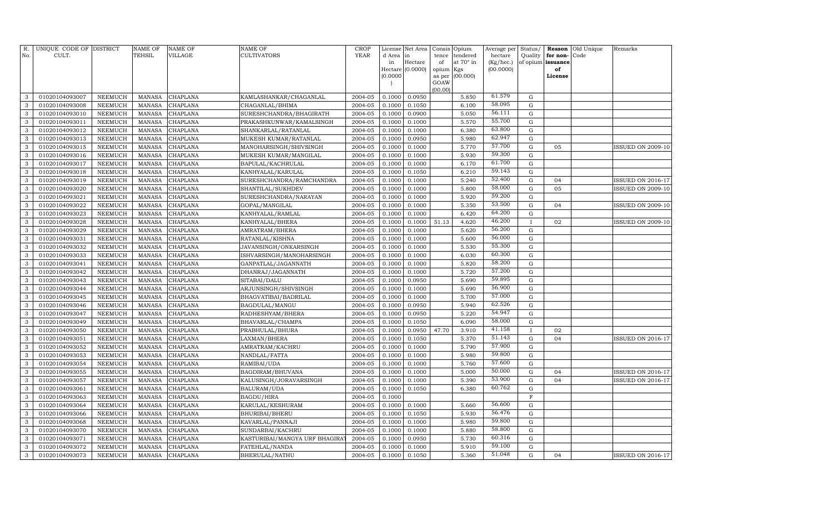| R.<br>No.    | UNIQUE CODE OF DISTRICT<br>CULT. |                | <b>NAME OF</b><br>TEHSIL | <b>NAME OF</b><br><b>VILLAGE</b> | <b>NAME OF</b><br>CULTIVATORS | <b>CROP</b><br>YEAR | License<br>d Area | Net Area<br>in   | Consis<br>tence | Opium<br>tendered | Average per<br>hectare | Status/<br>Quality | Reason<br>for non- | Old Unique<br>Code | Remarks                  |
|--------------|----------------------------------|----------------|--------------------------|----------------------------------|-------------------------------|---------------------|-------------------|------------------|-----------------|-------------------|------------------------|--------------------|--------------------|--------------------|--------------------------|
|              |                                  |                |                          |                                  |                               |                     | in                | Hectare          | of              | at 70° in         | $(Kg/$ hec. $)$        |                    | of opium issuance  |                    |                          |
|              |                                  |                |                          |                                  |                               |                     |                   | Hectare (0.0000) | opium Kgs       |                   | (00.0000)              |                    | of                 |                    |                          |
|              |                                  |                |                          |                                  |                               |                     | (0.0000)          |                  | as per<br>GOAW  | (00.000)          |                        |                    | License            |                    |                          |
|              |                                  |                |                          |                                  |                               |                     |                   |                  | (00.00)         |                   |                        |                    |                    |                    |                          |
| 3            | 01020104093007                   | <b>NEEMUCH</b> | <b>MANASA</b>            | <b>CHAPLANA</b>                  | KAMLASHANKAR/CHAGANLAL        | 2004-05             | 0.1000            | 0.0950           |                 | 5.850             | 61.579                 | ${\rm G}$          |                    |                    |                          |
| 3            | 01020104093008                   | <b>NEEMUCH</b> | <b>MANASA</b>            | CHAPLANA                         | CHAGANLAL/BHIMA               | 2004-05             | 0.1000            | 0.1050           |                 | 6.100             | 58.095                 | ${\rm G}$          |                    |                    |                          |
| 3            | 01020104093010                   | <b>NEEMUCH</b> | <b>MANASA</b>            | CHAPLANA                         | SURESHCHANDRA/BHAGIRATH       | 2004-05             | 0.1000            | 0.0900           |                 | 5.050             | 56.111                 | ${\rm G}$          |                    |                    |                          |
| 3            | 01020104093011                   | <b>NEEMUCH</b> | <b>MANASA</b>            | <b>CHAPLANA</b>                  | PRAKASHKUNWAR/KAMALSINGH      | 2004-05             | 0.1000            | 0.1000           |                 | 5.570             | 55.700                 | ${\rm G}$          |                    |                    |                          |
| 3            | 01020104093012                   | <b>NEEMUCH</b> | <b>MANASA</b>            | CHAPLANA                         | SHANKARLAL/RATANLAL           | 2004-05             | 0.1000            | 0.1000           |                 | 6.380             | 63.800                 | ${\bf G}$          |                    |                    |                          |
| 3            | 01020104093013                   | <b>NEEMUCH</b> | <b>MANASA</b>            | CHAPLANA                         | MUKESH KUMAR/RATANLAL         | 2004-05             | 0.1000            | 0.0950           |                 | 5.980             | 62.947                 | ${\rm G}$          |                    |                    |                          |
| 3            | 01020104093015                   | <b>NEEMUCH</b> | <b>MANASA</b>            | CHAPLANA                         | MANOHARSINGH/SHIVSINGH        | 2004-05             | 0.1000            | 0.1000           |                 | 5.770             | 57.700                 | ${\rm G}$          | 05                 |                    | <b>ISSUED ON 2009-10</b> |
| 3            | 01020104093016                   | <b>NEEMUCH</b> | <b>MANASA</b>            | CHAPLANA                         | MUKESH KUMAR/MANGILAL         | 2004-05             | 0.1000            | 0.1000           |                 | 5.930             | 59.300                 | ${\rm G}$          |                    |                    |                          |
| 3            | 01020104093017                   | <b>NEEMUCH</b> | <b>MANASA</b>            | CHAPLANA                         | BAPULAL/KACHRULAL             | 2004-05             | 0.1000            | 0.1000           |                 | 6.170             | 61.700                 | ${\rm G}$          |                    |                    |                          |
| $\mathbf{3}$ | 01020104093018                   | <b>NEEMUCH</b> | <b>MANASA</b>            | CHAPLANA                         | KANHYALAL/KARULAL             | 2004-05             | 0.1000            | 0.1050           |                 | 6.210             | 59.143                 | ${\rm G}$          |                    |                    |                          |
| 3            | 01020104093019                   | <b>NEEMUCH</b> | <b>MANASA</b>            | CHAPLANA                         | SURESHCHANDRA/RAMCHANDRA      | 2004-05             | 0.1000            | 0.1000           |                 | 5.240             | 52.400                 | ${\bf G}$          | 04                 |                    | ISSUED ON 2016-17        |
| 3            | 01020104093020                   | <b>NEEMUCH</b> | <b>MANASA</b>            | CHAPLANA                         | SHANTILAL/SUKHDEV             | 2004-05             | 0.1000            | 0.1000           |                 | 5.800             | 58.000                 | $\mathbf G$        | 05                 |                    | <b>ISSUED ON 2009-10</b> |
| 3            | 01020104093021                   | NEEMUCH        | <b>MANASA</b>            | CHAPLANA                         | SURESHCHANDRA/NARAYAN         | 2004-05             | 0.1000            | 0.1000           |                 | 5.920             | 59.200                 | $\mathbf G$        |                    |                    |                          |
| 3            | 01020104093022                   | NEEMUCH        | <b>MANASA</b>            | CHAPLANA                         | GOPAL/MANGILAL                | 2004-05             | 0.1000            | 0.1000           |                 | 5.350             | 53.500                 | ${\bf G}$          | 04                 |                    | <b>ISSUED ON 2009-10</b> |
| 3            | 01020104093023                   | NEEMUCH        | <b>MANASA</b>            | CHAPLANA                         | KANHYALAL/RAMLAL              | 2004-05             | 0.1000            | 0.1000           |                 | 6.420             | 64.200                 | ${\bf G}$          |                    |                    |                          |
| 3            | 01020104093028                   | <b>NEEMUCH</b> | <b>MANASA</b>            | CHAPLANA                         | KANHYALAL/BHERA               | 2004-05             | 0.1000            | 0.1000           | 51.13           | 4.620             | 46.200                 | $\mathbf{I}$       | 02                 |                    | <b>ISSUED ON 2009-10</b> |
| 3            | 01020104093029                   | <b>NEEMUCH</b> | <b>MANASA</b>            | CHAPLANA                         | AMRATRAM/BHERA                | 2004-05             | 0.1000            | 0.1000           |                 | 5.620             | 56.200                 | ${\bf G}$          |                    |                    |                          |
| 3            | 01020104093031                   | <b>NEEMUCH</b> | <b>MANASA</b>            | CHAPLANA                         | RATANLAL/KISHNA               | 2004-05             | 0.1000            | 0.1000           |                 | 5.600             | 56.000                 | $\mathbf G$        |                    |                    |                          |
| 3            | 01020104093032                   | <b>NEEMUCH</b> | <b>MANASA</b>            | CHAPLANA                         | JAVANSINGH/ONKARSINGH         | 2004-05             | 0.1000            | 0.1000           |                 | 5.530             | 55.300                 | ${\bf G}$          |                    |                    |                          |
| 3            | 01020104093033                   | <b>NEEMUCH</b> | <b>MANASA</b>            | CHAPLANA                         | ISHVARSINGH/MANOHARSINGH      | 2004-05             | 0.1000            | 0.1000           |                 | 6.030             | 60.300                 | ${\rm G}$          |                    |                    |                          |
| 3            | 01020104093041                   | <b>NEEMUCH</b> | <b>MANASA</b>            | CHAPLANA                         | GANPATLAL/JAGANNATH           | 2004-05             | 0.1000            | 0.1000           |                 | 5.820             | 58.200                 | ${\bf G}$          |                    |                    |                          |
| 3            | 01020104093042                   | <b>NEEMUCH</b> | <b>MANASA</b>            | CHAPLANA                         | DHANRAJ/JAGANNATH             | 2004-05             | 0.1000            | 0.1000           |                 | 5.720             | 57.200                 | ${\bf G}$          |                    |                    |                          |
| 3            | 01020104093043                   | NEEMUCH        | <b>MANASA</b>            | CHAPLANA                         | SITABAI/DALU                  | 2004-05             | 0.1000            | 0.0950           |                 | 5.690             | 59.895                 | ${\bf G}$          |                    |                    |                          |
| 3            | 01020104093044                   | <b>NEEMUCH</b> | <b>MANASA</b>            | CHAPLANA                         | ARJUNSINGH/SHIVSINGH          | 2004-05             | 0.1000            | 0.1000           |                 | 5.690             | 56.900                 | $\mathbf G$        |                    |                    |                          |
| 3            | 01020104093045                   | NEEMUCH        | MANASA                   | CHAPLANA                         | BHAGVATIBAI/BADRILAL          | 2004-05             | 0.1000            | 0.1000           |                 | 5.700             | 57.000                 | ${\bf G}$          |                    |                    |                          |
| 3            | 01020104093046                   | <b>NEEMUCH</b> | <b>MANASA</b>            | CHAPLANA                         | BAGDULAL/MANGU                | 2004-05             | 0.1000            | 0.0950           |                 | 5.940             | 62.526                 | ${\bf G}$          |                    |                    |                          |
| 3            | 01020104093047                   | NEEMUCH        | <b>MANASA</b>            | CHAPLANA                         | RADHESHYAM/BHERA              | 2004-05             | 0.1000            | 0.0950           |                 | 5.220             | 54.947                 | ${\bf G}$          |                    |                    |                          |
| 3            | 01020104093049                   | NEEMUCH        | <b>MANASA</b>            | CHAPLANA                         | BHAVARLAL/CHAMPA              | 2004-05             | 0.1000            | 0.1050           |                 | 6.090             | 58.000                 | $\mathbf G$        |                    |                    |                          |
| 3            | 01020104093050                   | NEEMUCH        | <b>MANASA</b>            | CHAPLANA                         | PRABHULAL/BHURA               | 2004-05             | 0.1000            | 0.0950           | 47.70           | 3.910             | 41.158                 |                    | 02                 |                    |                          |
| 3            | 01020104093051                   | NEEMUCH        | <b>MANASA</b>            | CHAPLANA                         | LAXMAN/BHERA                  | 2004-05             | 0.1000            | 0.1050           |                 | 5.370             | 51.143                 | $\mathbf G$        | 04                 |                    | <b>ISSUED ON 2016-17</b> |
| 3            | 01020104093052                   | <b>NEEMUCH</b> | <b>MANASA</b>            | CHAPLANA                         | AMRATRAM/KACHRU               | 2004-05             | 0.1000            | 0.1000           |                 | 5.790             | 57.900                 | $\mathbf G$        |                    |                    |                          |
| 3            | 01020104093053                   | <b>NEEMUCH</b> | <b>MANASA</b>            | CHAPLANA                         | NANDLAL/FATTA                 | 2004-05             | 0.1000            | 0.1000           |                 | 5.980             | 59.800                 | G                  |                    |                    |                          |
| 3            | 01020104093054                   | <b>NEEMUCH</b> | <b>MANASA</b>            | CHAPLANA                         | RAMIBAI/UDA                   | 2004-05             | 0.1000            | 0.1000           |                 | 5.760             | 57.600                 | $\mathbf G$        |                    |                    |                          |
| 3            | 01020104093055                   | <b>NEEMUCH</b> | <b>MANASA</b>            | CHAPLANA                         | BAGDIRAM/BHUVANA              | 2004-05             | 0.1000            | 0.1000           |                 | 5.000             | 50.000                 | $\mathbf G$        | 04                 |                    | <b>ISSUED ON 2016-17</b> |
| 3            | 01020104093057                   | <b>NEEMUCH</b> | <b>MANASA</b>            | CHAPLANA                         | KALUSINGH/JORAVARSINGH        | 2004-05             | 0.1000            | 0.1000           |                 | 5.390             | 53.900                 | $\mathbf G$        | 04                 |                    | <b>ISSUED ON 2016-17</b> |
| 3            | 01020104093061                   | <b>NEEMUCH</b> | <b>MANASA</b>            | CHAPLANA                         | BALURAM/UDA                   | 2004-05             | 0.1000            | 0.1050           |                 | 6.380             | 60.762                 | $\mathbf G$        |                    |                    |                          |
| 3            | 01020104093063                   | <b>NEEMUCH</b> | <b>MANASA</b>            | CHAPLANA                         | BAGDU/HIRA                    | 2004-05             | 0.1000            |                  |                 |                   |                        | $\overline{F}$     |                    |                    |                          |
| 3            | 01020104093064                   | NEEMUCH        | <b>MANASA</b>            | CHAPLANA                         | KARULAL/KESHURAM              | 2004-05             | 0.1000            | 0.1000           |                 | 5.660             | 56.600                 | $\mathbf G$        |                    |                    |                          |
| 3            | 01020104093066                   | <b>NEEMUCH</b> | <b>MANASA</b>            | CHAPLANA                         | BHURIBAI/BHERU                | 2004-05             | 0.1000            | 0.1050           |                 | 5.930             | 56.476                 | $\mathbf G$        |                    |                    |                          |
| 3            | 01020104093068                   | <b>NEEMUCH</b> | <b>MANASA</b>            | CHAPLANA                         | KAVARLAL/PANNAJI              | 2004-05             | 0.1000            | 0.1000           |                 | 5.980             | 59.800                 | $\mathbf G$        |                    |                    |                          |
| 3            | 01020104093070                   | NEEMUCH        | <b>MANASA</b>            | CHAPLANA                         | SUNDARBAI/KACHRU              | 2004-05             | 0.1000            | 0.1000           |                 | 5.880             | 58.800                 | G                  |                    |                    |                          |
| 3            | 01020104093071                   | <b>NEEMUCH</b> | <b>MANASA</b>            | CHAPLANA                         | KASTURIBAI/MANGYA URF BHAGIRA | 2004-05             | 0.1000            | 0.0950           |                 | 5.730             | 60.316                 | G                  |                    |                    |                          |
| 3            | 01020104093072                   | <b>NEEMUCH</b> | <b>MANASA</b>            | CHAPLANA                         | FATEHLAL/NANDA                | 2004-05             | 0.1000            | 0.1000           |                 | 5.910             | 59.100                 | G                  |                    |                    |                          |
| $\mathbf{3}$ | 01020104093073                   | <b>NEEMUCH</b> | <b>MANASA</b>            | <b>CHAPLANA</b>                  | BHERULAL/NATHU                | 2004-05             | 0.1000            | 0.1050           |                 | 5.360             | 51.048                 | G                  | 04                 |                    | <b>ISSUED ON 2016-17</b> |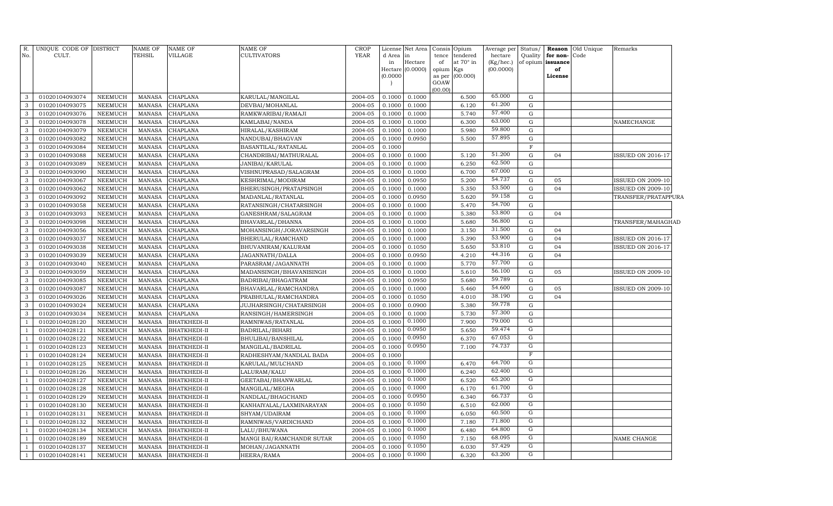| 65.000<br>2004-05<br>0.1000<br>01020104093074<br>NEEMUCH<br><b>MANASA</b><br><b>CHAPLANA</b><br>KARULAL/MANGILAL<br>0.1000<br>6.500<br>G<br>3<br>61.200<br>01020104093075<br>0.1000<br>0.1000<br>6.120<br>$\mathbf G$<br>3<br>NEEMUCH<br><b>MANASA</b><br><b>CHAPLANA</b><br>DEVBAI/MOHANLAL<br>2004-05<br>57.400<br><b>CHAPLANA</b><br>2004-05<br>0.1000<br>5.740<br>G<br>3<br>01020104093076<br><b>NEEMUCH</b><br><b>MANASA</b><br>RAMKWARIBAI/RAMAJI<br>0.1000<br>63.000<br>0.1000<br>6.300<br>$\mathbf G$<br>3<br>01020104093078<br>NEEMUCH<br><b>MANASA</b><br><b>CHAPLANA</b><br>KAMLABAI/NANDA<br>2004-05<br>0.1000<br>NAMECHANGE<br>59.800<br>0.1000<br>5.980<br>G<br>3<br>01020104093079<br><b>NEEMUCH</b><br><b>MANASA</b><br><b>CHAPLANA</b><br>HIRALAL/KASHIRAM<br>2004-05<br>0.1000<br>57.895<br>$\mathbf G$<br>01020104093082<br>NEEMUCH<br><b>MANASA</b><br><b>CHAPLANA</b><br>NANDUBAI/BHAGVAN<br>2004-05<br>0.1000<br>0.0950<br>5.500<br>3<br>3<br>01020104093084<br><b>NEEMUCH</b><br><b>MANASA</b><br><b>CHAPLANA</b><br>BASANTILAL/RATANLAL<br>2004-05<br>0.1000<br>$\mathbf F$<br>51.200<br>01020104093088<br>NEEMUCH<br>MANASA<br>CHAPLANA<br>CHANDRIBAI/MATHURALAL<br>2004-05<br>0.1000<br>0.1000<br>5.120<br>${\rm G}$<br>3<br>04<br><b>ISSUED ON 2016-17</b><br>62.500<br>6.250<br>${\rm G}$<br>3<br>01020104093089<br><b>MANASA</b><br>CHAPLANA<br>2004-05<br>0.1000<br>0.1000<br>NEEMUCH<br>JANIBAI/KARULAL<br>67.000<br>01020104093090<br><b>CHAPLANA</b><br>VISHNUPRASAD/SALAGRAM<br>2004-05<br>0.1000<br>0.1000<br>6.700<br>$\mathbf G$<br>3<br>NEEMUCH<br><b>MANASA</b><br>54.737<br>3<br>01020104093067<br><b>CHAPLANA</b><br>KESHRIMAL/MODIRAM<br>2004-05<br>0.1000<br>0.0950<br>5.200<br>${\rm G}$<br>05<br>NEEMUCH<br><b>MANASA</b><br><b>ISSUED ON 2009-10</b><br>53.500<br>0.1000<br>0.1000<br>5.350<br>${\rm G}$<br>04<br><b>ISSUED ON 2009-10</b><br>3<br>01020104093062<br>NEEMUCH<br><b>MANASA</b><br><b>CHAPLANA</b><br>BHERUSINGH/PRATAPSINGH<br>2004-05<br>59.158<br>01020104093092<br><b>CHAPLANA</b><br>$2004 - 05$<br>0.1000<br>0.0950<br>5.620<br>${\rm G}$<br>3<br><b>NEEMUCH</b><br><b>MANASA</b><br>MADANLAL/RATANLAL<br>TRANSFER/PRATAPPURA<br>54.700<br>0.1000<br>0.1000<br>5.470<br>${\rm G}$<br>3<br>01020104093058<br><b>NEEMUCH</b><br><b>MANASA</b><br><b>CHAPLANA</b><br>RATANSINGH/CHATARSINGH<br>2004-05<br>53.800<br><b>CHAPLANA</b><br>2004-05<br>0.1000<br>5.380<br>${\rm G}$<br>3<br>01020104093093<br><b>NEEMUCH</b><br><b>MANASA</b><br>GANESHRAM/SALAGRAM<br>0.1000<br>04<br>56.800<br>0.1000<br>5.680<br>${\rm G}$<br>3<br>01020104093098<br>NEEMUCH<br><b>MANASA</b><br><b>CHAPLANA</b><br>BHAVARLAL/DHANNA<br>2004-05<br>0.1000<br>TRANSFER/MAHAGHAD<br>31.500<br>01020104093056<br>2004-05<br>0.1000<br>3.150<br>3<br><b>NEEMUCH</b><br><b>MANASA</b><br>CHAPLANA<br>MOHANSINGH/JORAVARSINGH<br>0.1000<br>${\rm G}$<br>04<br>53.900<br>0.1000<br>04<br>3<br>01020104093037<br><b>NEEMUCH</b><br>MANASA<br>CHAPLANA<br>BHERULAL/RAMCHAND<br>2004-05<br>0.1000<br>5.390<br>${\rm G}$<br><b>ISSUED ON 2016-17</b><br>53.810<br>0.1050<br>5.650<br>${\rm G}$<br>04<br>3<br>01020104093038<br>NEEMUCH<br>MANASA<br>CHAPLANA<br>BHUVANIRAM/KALURAM<br>2004-05<br>0.1000<br>ISSUED ON 2016-17<br>44.316<br>0.0950<br>3<br>01020104093039<br><b>NEEMUCH</b><br>MANASA<br>CHAPLANA<br>JAGANNATH/DALLA<br>2004-05<br>0.1000<br>4.210<br>${\rm G}$<br>04<br>57.700<br>5.770<br>${\rm G}$<br>3<br>01020104093040<br><b>NEEMUCH</b><br><b>MANASA</b><br><b>CHAPLANA</b><br>PARASRAM/JAGANNATH<br>2004-05<br>0.1000<br>0.1000<br>56.100<br>01020104093059<br><b>NEEMUCH</b><br><b>CHAPLANA</b><br>0.1000<br>0.1000<br>5.610<br>$\mathbf G$<br>05<br>3<br><b>MANASA</b><br>MADANSINGH/BHAVANISINGH<br>2004-05<br><b>ISSUED ON 2009-10</b><br>59.789<br>01020104093085<br>MANASA<br><b>CHAPLANA</b><br>2004-05<br>0.1000<br>0.0950<br>5.680<br>${\rm G}$<br>3<br>NEEMUCH<br>BADRIBAI/BHAGATRAM<br>54.600<br><b>CHAPLANA</b><br>0.1000<br>0.1000<br>$\mathbf G$<br>3<br>01020104093087<br><b>NEEMUCH</b><br><b>MANASA</b><br>BHAVARLAL/RAMCHANDRA<br>2004-05<br>5.460<br>05<br><b>ISSUED ON 2009-10</b><br>38.190<br>01020104093026<br><b>CHAPLANA</b><br>2004-05<br>0.1000<br>0.1050<br>4.010<br>${\rm G}$<br>04<br>3<br><b>NEEMUCH</b><br><b>MANASA</b><br>PRABHULAL/RAMCHANDRA<br>59.778<br>0.1000<br>0.0900<br>5.380<br>${\rm G}$<br>3<br>01020104093024<br><b>NEEMUCH</b><br><b>MANASA</b><br><b>CHAPLANA</b><br>JUJHARSINGH/CHATARSINGH<br>2004-05<br>57.300<br>0.1000<br>5.730<br>${\rm G}$<br>3<br>01020104093034<br><b>NEEMUCH</b><br><b>MANASA</b><br><b>CHAPLANA</b><br>RANSINGH/HAMERSINGH<br>2004-05<br>0.1000<br>79.000<br>G<br>0.1000<br>0.1000<br>7.900<br>01020104028120<br><b>NEEMUCH</b><br><b>MANASA</b><br>BHATKHEDI-II<br>RAMNIWAS/RATANLAL<br>2004-05<br>59.474<br>G<br>0.0950<br>01020104028121<br>2004-05<br>0.1000<br>5.650<br><b>NEEMUCH</b><br><b>MANASA</b><br>BHATKHEDI-II<br>BADRILAL/BIHARI<br>0.0950<br>67.053<br>G<br>0.1000<br>6.370<br>01020104028122<br><b>NEEMUCH</b><br><b>MANASA</b><br>BHATKHEDI-II<br>BHULIBAI/BANSHILAL<br>2004-05<br>0.0950<br>74.737<br>G<br>7.100<br>01020104028123<br>NEEMUCH<br><b>MANASA</b><br>BHATKHEDI-II<br>MANGILAL/BADRILAL<br>2004-05<br>0.1000<br>$\overline{F}$<br>0.1000<br>01020104028124<br><b>NEEMUCH</b><br><b>MANASA</b><br>BHATKHEDI-II<br>RADHESHYAM/NANDLAL BADA<br>2004-05<br>-1<br>0.1000<br>64.700<br>G<br>01020104028125<br>NEEMUCH<br><b>MANASA</b><br>BHATKHEDI-II<br>KARULAL/MULCHAND<br>2004-05<br>0.1000<br>6.470<br>$\mathbf{1}$<br>0.1000<br>62.400<br>G<br>0.1000<br>01020104028126<br><b>NEEMUCH</b><br><b>MANASA</b><br><b>BHATKHEDI-II</b><br>6.240<br>LALURAM/KALU<br>2004-05<br>-1<br>0.1000<br>65.200<br>G<br>01020104028127<br><b>NEEMUCH</b><br><b>MANASA</b><br><b>BHATKHEDI-II</b><br>2004-05<br>0.1000<br>6.520<br>GEETABAI/BHANWARLAL<br>0.1000<br>61.700<br>$\mathbf G$<br>0.1000<br>6.170<br>01020104028128<br><b>NEEMUCH</b><br><b>MANASA</b><br><b>BHATKHEDI-II</b><br>MANGILAL/MEGHA<br>2004-05<br>0.0950<br>66.737<br>$\mathbf G$<br>01020104028129<br>2004-05<br>0.1000<br>6.340<br><b>NEEMUCH</b><br><b>MANASA</b><br><b>BHATKHEDI-II</b><br>NANDLAL/BHAGCHAND<br>0.1050<br>62.000<br>$\mathbf G$<br>0.1000<br>6.510<br>01020104028130<br><b>NEEMUCH</b><br><b>MANASA</b><br><b>BHATKHEDI-II</b><br>KANHAIYALAL/LAXMINARAYAN<br>2004-05<br>$\mathbf G$<br>0.1000<br>60.500<br>01020104028131<br><b>NEEMUCH</b><br><b>MANASA</b><br><b>BHATKHEDI-II</b><br>SHYAM/UDAIRAM<br>2004-05<br>0.1000<br>6.050<br>0.1000<br>71.800<br>G<br>0.1000<br>01020104028132<br><b>NEEMUCH</b><br><b>MANASA</b><br>BHATKHEDI-II<br>RAMNIWAS/VARDICHAND<br>2004-05<br>7.180<br>0.1000<br>64.800<br>G<br>01020104028134<br>NEEMUCH<br><b>MANASA</b><br>BHATKHEDI-II<br>LALU/BHUWANA<br>2004-05<br>0.1000<br>6.480<br>0.1050<br>68.095<br>G<br>0.1000<br>01020104028189<br><b>NEEMUCH</b><br><b>MANASA</b><br>BHATKHEDI-II<br>MANGI BAI/RAMCHANDR SUTAR<br>7.150<br>2004-05<br><b>NAME CHANGE</b><br>0.1050<br>57.429<br>G<br>01020104028137<br><b>NEEMUCH</b><br><b>MANASA</b><br>MOHAN/JAGANNATH<br>2004-05<br>0.1000<br>6.030<br><b>BHATKHEDI-II</b><br>$\overline{G}$<br>0.1000<br>63.200<br>2004-05<br>0.1000<br>6.320<br>01020104028141<br>NEEMUCH<br>MANASA<br><b>BHATKHEDI-II</b><br>HEERA/RAMA<br>$\overline{1}$ | R.<br>No. | UNIQUE CODE OF DISTRICT<br>CULT. | <b>NAME OF</b><br><b>TEHSIL</b> | <b>NAME OF</b><br>VILLAGE | NAME OF<br>CULTIVATORS | <b>CROP</b><br><b>YEAR</b> | d Area<br>in<br>Hectare<br>(0.0000) | License Net Area<br>1n<br>Hectare<br>(0.0000) | tence<br>of<br>opium Kgs<br>GOAW<br>(00.00) | Consis Opium<br>tendered<br>at 70° in<br>as per (00.000) | Average per<br>hectare<br>(Kg/hec.)<br>(00.0000) | Status/<br>Quality | for non-<br>of opium issuance<br>of<br>License | Reason Old Unique<br>Code | Remarks |  |
|--------------------------------------------------------------------------------------------------------------------------------------------------------------------------------------------------------------------------------------------------------------------------------------------------------------------------------------------------------------------------------------------------------------------------------------------------------------------------------------------------------------------------------------------------------------------------------------------------------------------------------------------------------------------------------------------------------------------------------------------------------------------------------------------------------------------------------------------------------------------------------------------------------------------------------------------------------------------------------------------------------------------------------------------------------------------------------------------------------------------------------------------------------------------------------------------------------------------------------------------------------------------------------------------------------------------------------------------------------------------------------------------------------------------------------------------------------------------------------------------------------------------------------------------------------------------------------------------------------------------------------------------------------------------------------------------------------------------------------------------------------------------------------------------------------------------------------------------------------------------------------------------------------------------------------------------------------------------------------------------------------------------------------------------------------------------------------------------------------------------------------------------------------------------------------------------------------------------------------------------------------------------------------------------------------------------------------------------------------------------------------------------------------------------------------------------------------------------------------------------------------------------------------------------------------------------------------------------------------------------------------------------------------------------------------------------------------------------------------------------------------------------------------------------------------------------------------------------------------------------------------------------------------------------------------------------------------------------------------------------------------------------------------------------------------------------------------------------------------------------------------------------------------------------------------------------------------------------------------------------------------------------------------------------------------------------------------------------------------------------------------------------------------------------------------------------------------------------------------------------------------------------------------------------------------------------------------------------------------------------------------------------------------------------------------------------------------------------------------------------------------------------------------------------------------------------------------------------------------------------------------------------------------------------------------------------------------------------------------------------------------------------------------------------------------------------------------------------------------------------------------------------------------------------------------------------------------------------------------------------------------------------------------------------------------------------------------------------------------------------------------------------------------------------------------------------------------------------------------------------------------------------------------------------------------------------------------------------------------------------------------------------------------------------------------------------------------------------------------------------------------------------------------------------------------------------------------------------------------------------------------------------------------------------------------------------------------------------------------------------------------------------------------------------------------------------------------------------------------------------------------------------------------------------------------------------------------------------------------------------------------------------------------------------------------------------------------------------------------------------------------------------------------------------------------------------------------------------------------------------------------------------------------------------------------------------------------------------------------------------------------------------------------------------------------------------------------------------------------------------------------------------------------------------------------------------------------------------------------------------------------------------------------------------------------------------------------------------------------------------------------------------------------------------------------------------------------------------------------------------------------------------------------------------------------------------------------------------------------------------------------------------------------------------------------------------------------------------------------------------------------------------------------------------------------------------------------------------------------------------------------------------------------------------------------------------------------------------------------------------------------------------------------------------------------------------------------------------------------------------------------------------------------------------------------------------------------------------------------------------------------------------------------------------------------------------------------------------------------------------------------------------------------------------------------------------------------------------------------------------------------------------------------------------------------------------------------------------------------------------------------------------------------------------------------------------------------------------------------------------------------|-----------|----------------------------------|---------------------------------|---------------------------|------------------------|----------------------------|-------------------------------------|-----------------------------------------------|---------------------------------------------|----------------------------------------------------------|--------------------------------------------------|--------------------|------------------------------------------------|---------------------------|---------|--|
|                                                                                                                                                                                                                                                                                                                                                                                                                                                                                                                                                                                                                                                                                                                                                                                                                                                                                                                                                                                                                                                                                                                                                                                                                                                                                                                                                                                                                                                                                                                                                                                                                                                                                                                                                                                                                                                                                                                                                                                                                                                                                                                                                                                                                                                                                                                                                                                                                                                                                                                                                                                                                                                                                                                                                                                                                                                                                                                                                                                                                                                                                                                                                                                                                                                                                                                                                                                                                                                                                                                                                                                                                                                                                                                                                                                                                                                                                                                                                                                                                                                                                                                                                                                                                                                                                                                                                                                                                                                                                                                                                                                                                                                                                                                                                                                                                                                                                                                                                                                                                                                                                                                                                                                                                                                                                                                                                                                                                                                                                                                                                                                                                                                                                                                                                                                                                                                                                                                                                                                                                                                                                                                                                                                                                                                                                                                                                                                                                                                                                                                                                                                                                                                                                                                                                                                                                                                                                                                                                                                                                                                                                                                                                                                                                                                                                                                                                                                |           |                                  |                                 |                           |                        |                            |                                     |                                               |                                             |                                                          |                                                  |                    |                                                |                           |         |  |
|                                                                                                                                                                                                                                                                                                                                                                                                                                                                                                                                                                                                                                                                                                                                                                                                                                                                                                                                                                                                                                                                                                                                                                                                                                                                                                                                                                                                                                                                                                                                                                                                                                                                                                                                                                                                                                                                                                                                                                                                                                                                                                                                                                                                                                                                                                                                                                                                                                                                                                                                                                                                                                                                                                                                                                                                                                                                                                                                                                                                                                                                                                                                                                                                                                                                                                                                                                                                                                                                                                                                                                                                                                                                                                                                                                                                                                                                                                                                                                                                                                                                                                                                                                                                                                                                                                                                                                                                                                                                                                                                                                                                                                                                                                                                                                                                                                                                                                                                                                                                                                                                                                                                                                                                                                                                                                                                                                                                                                                                                                                                                                                                                                                                                                                                                                                                                                                                                                                                                                                                                                                                                                                                                                                                                                                                                                                                                                                                                                                                                                                                                                                                                                                                                                                                                                                                                                                                                                                                                                                                                                                                                                                                                                                                                                                                                                                                                                                |           |                                  |                                 |                           |                        |                            |                                     |                                               |                                             |                                                          |                                                  |                    |                                                |                           |         |  |
|                                                                                                                                                                                                                                                                                                                                                                                                                                                                                                                                                                                                                                                                                                                                                                                                                                                                                                                                                                                                                                                                                                                                                                                                                                                                                                                                                                                                                                                                                                                                                                                                                                                                                                                                                                                                                                                                                                                                                                                                                                                                                                                                                                                                                                                                                                                                                                                                                                                                                                                                                                                                                                                                                                                                                                                                                                                                                                                                                                                                                                                                                                                                                                                                                                                                                                                                                                                                                                                                                                                                                                                                                                                                                                                                                                                                                                                                                                                                                                                                                                                                                                                                                                                                                                                                                                                                                                                                                                                                                                                                                                                                                                                                                                                                                                                                                                                                                                                                                                                                                                                                                                                                                                                                                                                                                                                                                                                                                                                                                                                                                                                                                                                                                                                                                                                                                                                                                                                                                                                                                                                                                                                                                                                                                                                                                                                                                                                                                                                                                                                                                                                                                                                                                                                                                                                                                                                                                                                                                                                                                                                                                                                                                                                                                                                                                                                                                                                |           |                                  |                                 |                           |                        |                            |                                     |                                               |                                             |                                                          |                                                  |                    |                                                |                           |         |  |
|                                                                                                                                                                                                                                                                                                                                                                                                                                                                                                                                                                                                                                                                                                                                                                                                                                                                                                                                                                                                                                                                                                                                                                                                                                                                                                                                                                                                                                                                                                                                                                                                                                                                                                                                                                                                                                                                                                                                                                                                                                                                                                                                                                                                                                                                                                                                                                                                                                                                                                                                                                                                                                                                                                                                                                                                                                                                                                                                                                                                                                                                                                                                                                                                                                                                                                                                                                                                                                                                                                                                                                                                                                                                                                                                                                                                                                                                                                                                                                                                                                                                                                                                                                                                                                                                                                                                                                                                                                                                                                                                                                                                                                                                                                                                                                                                                                                                                                                                                                                                                                                                                                                                                                                                                                                                                                                                                                                                                                                                                                                                                                                                                                                                                                                                                                                                                                                                                                                                                                                                                                                                                                                                                                                                                                                                                                                                                                                                                                                                                                                                                                                                                                                                                                                                                                                                                                                                                                                                                                                                                                                                                                                                                                                                                                                                                                                                                                                |           |                                  |                                 |                           |                        |                            |                                     |                                               |                                             |                                                          |                                                  |                    |                                                |                           |         |  |
|                                                                                                                                                                                                                                                                                                                                                                                                                                                                                                                                                                                                                                                                                                                                                                                                                                                                                                                                                                                                                                                                                                                                                                                                                                                                                                                                                                                                                                                                                                                                                                                                                                                                                                                                                                                                                                                                                                                                                                                                                                                                                                                                                                                                                                                                                                                                                                                                                                                                                                                                                                                                                                                                                                                                                                                                                                                                                                                                                                                                                                                                                                                                                                                                                                                                                                                                                                                                                                                                                                                                                                                                                                                                                                                                                                                                                                                                                                                                                                                                                                                                                                                                                                                                                                                                                                                                                                                                                                                                                                                                                                                                                                                                                                                                                                                                                                                                                                                                                                                                                                                                                                                                                                                                                                                                                                                                                                                                                                                                                                                                                                                                                                                                                                                                                                                                                                                                                                                                                                                                                                                                                                                                                                                                                                                                                                                                                                                                                                                                                                                                                                                                                                                                                                                                                                                                                                                                                                                                                                                                                                                                                                                                                                                                                                                                                                                                                                                |           |                                  |                                 |                           |                        |                            |                                     |                                               |                                             |                                                          |                                                  |                    |                                                |                           |         |  |
|                                                                                                                                                                                                                                                                                                                                                                                                                                                                                                                                                                                                                                                                                                                                                                                                                                                                                                                                                                                                                                                                                                                                                                                                                                                                                                                                                                                                                                                                                                                                                                                                                                                                                                                                                                                                                                                                                                                                                                                                                                                                                                                                                                                                                                                                                                                                                                                                                                                                                                                                                                                                                                                                                                                                                                                                                                                                                                                                                                                                                                                                                                                                                                                                                                                                                                                                                                                                                                                                                                                                                                                                                                                                                                                                                                                                                                                                                                                                                                                                                                                                                                                                                                                                                                                                                                                                                                                                                                                                                                                                                                                                                                                                                                                                                                                                                                                                                                                                                                                                                                                                                                                                                                                                                                                                                                                                                                                                                                                                                                                                                                                                                                                                                                                                                                                                                                                                                                                                                                                                                                                                                                                                                                                                                                                                                                                                                                                                                                                                                                                                                                                                                                                                                                                                                                                                                                                                                                                                                                                                                                                                                                                                                                                                                                                                                                                                                                                |           |                                  |                                 |                           |                        |                            |                                     |                                               |                                             |                                                          |                                                  |                    |                                                |                           |         |  |
|                                                                                                                                                                                                                                                                                                                                                                                                                                                                                                                                                                                                                                                                                                                                                                                                                                                                                                                                                                                                                                                                                                                                                                                                                                                                                                                                                                                                                                                                                                                                                                                                                                                                                                                                                                                                                                                                                                                                                                                                                                                                                                                                                                                                                                                                                                                                                                                                                                                                                                                                                                                                                                                                                                                                                                                                                                                                                                                                                                                                                                                                                                                                                                                                                                                                                                                                                                                                                                                                                                                                                                                                                                                                                                                                                                                                                                                                                                                                                                                                                                                                                                                                                                                                                                                                                                                                                                                                                                                                                                                                                                                                                                                                                                                                                                                                                                                                                                                                                                                                                                                                                                                                                                                                                                                                                                                                                                                                                                                                                                                                                                                                                                                                                                                                                                                                                                                                                                                                                                                                                                                                                                                                                                                                                                                                                                                                                                                                                                                                                                                                                                                                                                                                                                                                                                                                                                                                                                                                                                                                                                                                                                                                                                                                                                                                                                                                                                                |           |                                  |                                 |                           |                        |                            |                                     |                                               |                                             |                                                          |                                                  |                    |                                                |                           |         |  |
|                                                                                                                                                                                                                                                                                                                                                                                                                                                                                                                                                                                                                                                                                                                                                                                                                                                                                                                                                                                                                                                                                                                                                                                                                                                                                                                                                                                                                                                                                                                                                                                                                                                                                                                                                                                                                                                                                                                                                                                                                                                                                                                                                                                                                                                                                                                                                                                                                                                                                                                                                                                                                                                                                                                                                                                                                                                                                                                                                                                                                                                                                                                                                                                                                                                                                                                                                                                                                                                                                                                                                                                                                                                                                                                                                                                                                                                                                                                                                                                                                                                                                                                                                                                                                                                                                                                                                                                                                                                                                                                                                                                                                                                                                                                                                                                                                                                                                                                                                                                                                                                                                                                                                                                                                                                                                                                                                                                                                                                                                                                                                                                                                                                                                                                                                                                                                                                                                                                                                                                                                                                                                                                                                                                                                                                                                                                                                                                                                                                                                                                                                                                                                                                                                                                                                                                                                                                                                                                                                                                                                                                                                                                                                                                                                                                                                                                                                                                |           |                                  |                                 |                           |                        |                            |                                     |                                               |                                             |                                                          |                                                  |                    |                                                |                           |         |  |
|                                                                                                                                                                                                                                                                                                                                                                                                                                                                                                                                                                                                                                                                                                                                                                                                                                                                                                                                                                                                                                                                                                                                                                                                                                                                                                                                                                                                                                                                                                                                                                                                                                                                                                                                                                                                                                                                                                                                                                                                                                                                                                                                                                                                                                                                                                                                                                                                                                                                                                                                                                                                                                                                                                                                                                                                                                                                                                                                                                                                                                                                                                                                                                                                                                                                                                                                                                                                                                                                                                                                                                                                                                                                                                                                                                                                                                                                                                                                                                                                                                                                                                                                                                                                                                                                                                                                                                                                                                                                                                                                                                                                                                                                                                                                                                                                                                                                                                                                                                                                                                                                                                                                                                                                                                                                                                                                                                                                                                                                                                                                                                                                                                                                                                                                                                                                                                                                                                                                                                                                                                                                                                                                                                                                                                                                                                                                                                                                                                                                                                                                                                                                                                                                                                                                                                                                                                                                                                                                                                                                                                                                                                                                                                                                                                                                                                                                                                                |           |                                  |                                 |                           |                        |                            |                                     |                                               |                                             |                                                          |                                                  |                    |                                                |                           |         |  |
|                                                                                                                                                                                                                                                                                                                                                                                                                                                                                                                                                                                                                                                                                                                                                                                                                                                                                                                                                                                                                                                                                                                                                                                                                                                                                                                                                                                                                                                                                                                                                                                                                                                                                                                                                                                                                                                                                                                                                                                                                                                                                                                                                                                                                                                                                                                                                                                                                                                                                                                                                                                                                                                                                                                                                                                                                                                                                                                                                                                                                                                                                                                                                                                                                                                                                                                                                                                                                                                                                                                                                                                                                                                                                                                                                                                                                                                                                                                                                                                                                                                                                                                                                                                                                                                                                                                                                                                                                                                                                                                                                                                                                                                                                                                                                                                                                                                                                                                                                                                                                                                                                                                                                                                                                                                                                                                                                                                                                                                                                                                                                                                                                                                                                                                                                                                                                                                                                                                                                                                                                                                                                                                                                                                                                                                                                                                                                                                                                                                                                                                                                                                                                                                                                                                                                                                                                                                                                                                                                                                                                                                                                                                                                                                                                                                                                                                                                                                |           |                                  |                                 |                           |                        |                            |                                     |                                               |                                             |                                                          |                                                  |                    |                                                |                           |         |  |
|                                                                                                                                                                                                                                                                                                                                                                                                                                                                                                                                                                                                                                                                                                                                                                                                                                                                                                                                                                                                                                                                                                                                                                                                                                                                                                                                                                                                                                                                                                                                                                                                                                                                                                                                                                                                                                                                                                                                                                                                                                                                                                                                                                                                                                                                                                                                                                                                                                                                                                                                                                                                                                                                                                                                                                                                                                                                                                                                                                                                                                                                                                                                                                                                                                                                                                                                                                                                                                                                                                                                                                                                                                                                                                                                                                                                                                                                                                                                                                                                                                                                                                                                                                                                                                                                                                                                                                                                                                                                                                                                                                                                                                                                                                                                                                                                                                                                                                                                                                                                                                                                                                                                                                                                                                                                                                                                                                                                                                                                                                                                                                                                                                                                                                                                                                                                                                                                                                                                                                                                                                                                                                                                                                                                                                                                                                                                                                                                                                                                                                                                                                                                                                                                                                                                                                                                                                                                                                                                                                                                                                                                                                                                                                                                                                                                                                                                                                                |           |                                  |                                 |                           |                        |                            |                                     |                                               |                                             |                                                          |                                                  |                    |                                                |                           |         |  |
|                                                                                                                                                                                                                                                                                                                                                                                                                                                                                                                                                                                                                                                                                                                                                                                                                                                                                                                                                                                                                                                                                                                                                                                                                                                                                                                                                                                                                                                                                                                                                                                                                                                                                                                                                                                                                                                                                                                                                                                                                                                                                                                                                                                                                                                                                                                                                                                                                                                                                                                                                                                                                                                                                                                                                                                                                                                                                                                                                                                                                                                                                                                                                                                                                                                                                                                                                                                                                                                                                                                                                                                                                                                                                                                                                                                                                                                                                                                                                                                                                                                                                                                                                                                                                                                                                                                                                                                                                                                                                                                                                                                                                                                                                                                                                                                                                                                                                                                                                                                                                                                                                                                                                                                                                                                                                                                                                                                                                                                                                                                                                                                                                                                                                                                                                                                                                                                                                                                                                                                                                                                                                                                                                                                                                                                                                                                                                                                                                                                                                                                                                                                                                                                                                                                                                                                                                                                                                                                                                                                                                                                                                                                                                                                                                                                                                                                                                                                |           |                                  |                                 |                           |                        |                            |                                     |                                               |                                             |                                                          |                                                  |                    |                                                |                           |         |  |
|                                                                                                                                                                                                                                                                                                                                                                                                                                                                                                                                                                                                                                                                                                                                                                                                                                                                                                                                                                                                                                                                                                                                                                                                                                                                                                                                                                                                                                                                                                                                                                                                                                                                                                                                                                                                                                                                                                                                                                                                                                                                                                                                                                                                                                                                                                                                                                                                                                                                                                                                                                                                                                                                                                                                                                                                                                                                                                                                                                                                                                                                                                                                                                                                                                                                                                                                                                                                                                                                                                                                                                                                                                                                                                                                                                                                                                                                                                                                                                                                                                                                                                                                                                                                                                                                                                                                                                                                                                                                                                                                                                                                                                                                                                                                                                                                                                                                                                                                                                                                                                                                                                                                                                                                                                                                                                                                                                                                                                                                                                                                                                                                                                                                                                                                                                                                                                                                                                                                                                                                                                                                                                                                                                                                                                                                                                                                                                                                                                                                                                                                                                                                                                                                                                                                                                                                                                                                                                                                                                                                                                                                                                                                                                                                                                                                                                                                                                                |           |                                  |                                 |                           |                        |                            |                                     |                                               |                                             |                                                          |                                                  |                    |                                                |                           |         |  |
|                                                                                                                                                                                                                                                                                                                                                                                                                                                                                                                                                                                                                                                                                                                                                                                                                                                                                                                                                                                                                                                                                                                                                                                                                                                                                                                                                                                                                                                                                                                                                                                                                                                                                                                                                                                                                                                                                                                                                                                                                                                                                                                                                                                                                                                                                                                                                                                                                                                                                                                                                                                                                                                                                                                                                                                                                                                                                                                                                                                                                                                                                                                                                                                                                                                                                                                                                                                                                                                                                                                                                                                                                                                                                                                                                                                                                                                                                                                                                                                                                                                                                                                                                                                                                                                                                                                                                                                                                                                                                                                                                                                                                                                                                                                                                                                                                                                                                                                                                                                                                                                                                                                                                                                                                                                                                                                                                                                                                                                                                                                                                                                                                                                                                                                                                                                                                                                                                                                                                                                                                                                                                                                                                                                                                                                                                                                                                                                                                                                                                                                                                                                                                                                                                                                                                                                                                                                                                                                                                                                                                                                                                                                                                                                                                                                                                                                                                                                |           |                                  |                                 |                           |                        |                            |                                     |                                               |                                             |                                                          |                                                  |                    |                                                |                           |         |  |
|                                                                                                                                                                                                                                                                                                                                                                                                                                                                                                                                                                                                                                                                                                                                                                                                                                                                                                                                                                                                                                                                                                                                                                                                                                                                                                                                                                                                                                                                                                                                                                                                                                                                                                                                                                                                                                                                                                                                                                                                                                                                                                                                                                                                                                                                                                                                                                                                                                                                                                                                                                                                                                                                                                                                                                                                                                                                                                                                                                                                                                                                                                                                                                                                                                                                                                                                                                                                                                                                                                                                                                                                                                                                                                                                                                                                                                                                                                                                                                                                                                                                                                                                                                                                                                                                                                                                                                                                                                                                                                                                                                                                                                                                                                                                                                                                                                                                                                                                                                                                                                                                                                                                                                                                                                                                                                                                                                                                                                                                                                                                                                                                                                                                                                                                                                                                                                                                                                                                                                                                                                                                                                                                                                                                                                                                                                                                                                                                                                                                                                                                                                                                                                                                                                                                                                                                                                                                                                                                                                                                                                                                                                                                                                                                                                                                                                                                                                                |           |                                  |                                 |                           |                        |                            |                                     |                                               |                                             |                                                          |                                                  |                    |                                                |                           |         |  |
|                                                                                                                                                                                                                                                                                                                                                                                                                                                                                                                                                                                                                                                                                                                                                                                                                                                                                                                                                                                                                                                                                                                                                                                                                                                                                                                                                                                                                                                                                                                                                                                                                                                                                                                                                                                                                                                                                                                                                                                                                                                                                                                                                                                                                                                                                                                                                                                                                                                                                                                                                                                                                                                                                                                                                                                                                                                                                                                                                                                                                                                                                                                                                                                                                                                                                                                                                                                                                                                                                                                                                                                                                                                                                                                                                                                                                                                                                                                                                                                                                                                                                                                                                                                                                                                                                                                                                                                                                                                                                                                                                                                                                                                                                                                                                                                                                                                                                                                                                                                                                                                                                                                                                                                                                                                                                                                                                                                                                                                                                                                                                                                                                                                                                                                                                                                                                                                                                                                                                                                                                                                                                                                                                                                                                                                                                                                                                                                                                                                                                                                                                                                                                                                                                                                                                                                                                                                                                                                                                                                                                                                                                                                                                                                                                                                                                                                                                                                |           |                                  |                                 |                           |                        |                            |                                     |                                               |                                             |                                                          |                                                  |                    |                                                |                           |         |  |
|                                                                                                                                                                                                                                                                                                                                                                                                                                                                                                                                                                                                                                                                                                                                                                                                                                                                                                                                                                                                                                                                                                                                                                                                                                                                                                                                                                                                                                                                                                                                                                                                                                                                                                                                                                                                                                                                                                                                                                                                                                                                                                                                                                                                                                                                                                                                                                                                                                                                                                                                                                                                                                                                                                                                                                                                                                                                                                                                                                                                                                                                                                                                                                                                                                                                                                                                                                                                                                                                                                                                                                                                                                                                                                                                                                                                                                                                                                                                                                                                                                                                                                                                                                                                                                                                                                                                                                                                                                                                                                                                                                                                                                                                                                                                                                                                                                                                                                                                                                                                                                                                                                                                                                                                                                                                                                                                                                                                                                                                                                                                                                                                                                                                                                                                                                                                                                                                                                                                                                                                                                                                                                                                                                                                                                                                                                                                                                                                                                                                                                                                                                                                                                                                                                                                                                                                                                                                                                                                                                                                                                                                                                                                                                                                                                                                                                                                                                                |           |                                  |                                 |                           |                        |                            |                                     |                                               |                                             |                                                          |                                                  |                    |                                                |                           |         |  |
|                                                                                                                                                                                                                                                                                                                                                                                                                                                                                                                                                                                                                                                                                                                                                                                                                                                                                                                                                                                                                                                                                                                                                                                                                                                                                                                                                                                                                                                                                                                                                                                                                                                                                                                                                                                                                                                                                                                                                                                                                                                                                                                                                                                                                                                                                                                                                                                                                                                                                                                                                                                                                                                                                                                                                                                                                                                                                                                                                                                                                                                                                                                                                                                                                                                                                                                                                                                                                                                                                                                                                                                                                                                                                                                                                                                                                                                                                                                                                                                                                                                                                                                                                                                                                                                                                                                                                                                                                                                                                                                                                                                                                                                                                                                                                                                                                                                                                                                                                                                                                                                                                                                                                                                                                                                                                                                                                                                                                                                                                                                                                                                                                                                                                                                                                                                                                                                                                                                                                                                                                                                                                                                                                                                                                                                                                                                                                                                                                                                                                                                                                                                                                                                                                                                                                                                                                                                                                                                                                                                                                                                                                                                                                                                                                                                                                                                                                                                |           |                                  |                                 |                           |                        |                            |                                     |                                               |                                             |                                                          |                                                  |                    |                                                |                           |         |  |
|                                                                                                                                                                                                                                                                                                                                                                                                                                                                                                                                                                                                                                                                                                                                                                                                                                                                                                                                                                                                                                                                                                                                                                                                                                                                                                                                                                                                                                                                                                                                                                                                                                                                                                                                                                                                                                                                                                                                                                                                                                                                                                                                                                                                                                                                                                                                                                                                                                                                                                                                                                                                                                                                                                                                                                                                                                                                                                                                                                                                                                                                                                                                                                                                                                                                                                                                                                                                                                                                                                                                                                                                                                                                                                                                                                                                                                                                                                                                                                                                                                                                                                                                                                                                                                                                                                                                                                                                                                                                                                                                                                                                                                                                                                                                                                                                                                                                                                                                                                                                                                                                                                                                                                                                                                                                                                                                                                                                                                                                                                                                                                                                                                                                                                                                                                                                                                                                                                                                                                                                                                                                                                                                                                                                                                                                                                                                                                                                                                                                                                                                                                                                                                                                                                                                                                                                                                                                                                                                                                                                                                                                                                                                                                                                                                                                                                                                                                                |           |                                  |                                 |                           |                        |                            |                                     |                                               |                                             |                                                          |                                                  |                    |                                                |                           |         |  |
|                                                                                                                                                                                                                                                                                                                                                                                                                                                                                                                                                                                                                                                                                                                                                                                                                                                                                                                                                                                                                                                                                                                                                                                                                                                                                                                                                                                                                                                                                                                                                                                                                                                                                                                                                                                                                                                                                                                                                                                                                                                                                                                                                                                                                                                                                                                                                                                                                                                                                                                                                                                                                                                                                                                                                                                                                                                                                                                                                                                                                                                                                                                                                                                                                                                                                                                                                                                                                                                                                                                                                                                                                                                                                                                                                                                                                                                                                                                                                                                                                                                                                                                                                                                                                                                                                                                                                                                                                                                                                                                                                                                                                                                                                                                                                                                                                                                                                                                                                                                                                                                                                                                                                                                                                                                                                                                                                                                                                                                                                                                                                                                                                                                                                                                                                                                                                                                                                                                                                                                                                                                                                                                                                                                                                                                                                                                                                                                                                                                                                                                                                                                                                                                                                                                                                                                                                                                                                                                                                                                                                                                                                                                                                                                                                                                                                                                                                                                |           |                                  |                                 |                           |                        |                            |                                     |                                               |                                             |                                                          |                                                  |                    |                                                |                           |         |  |
|                                                                                                                                                                                                                                                                                                                                                                                                                                                                                                                                                                                                                                                                                                                                                                                                                                                                                                                                                                                                                                                                                                                                                                                                                                                                                                                                                                                                                                                                                                                                                                                                                                                                                                                                                                                                                                                                                                                                                                                                                                                                                                                                                                                                                                                                                                                                                                                                                                                                                                                                                                                                                                                                                                                                                                                                                                                                                                                                                                                                                                                                                                                                                                                                                                                                                                                                                                                                                                                                                                                                                                                                                                                                                                                                                                                                                                                                                                                                                                                                                                                                                                                                                                                                                                                                                                                                                                                                                                                                                                                                                                                                                                                                                                                                                                                                                                                                                                                                                                                                                                                                                                                                                                                                                                                                                                                                                                                                                                                                                                                                                                                                                                                                                                                                                                                                                                                                                                                                                                                                                                                                                                                                                                                                                                                                                                                                                                                                                                                                                                                                                                                                                                                                                                                                                                                                                                                                                                                                                                                                                                                                                                                                                                                                                                                                                                                                                                                |           |                                  |                                 |                           |                        |                            |                                     |                                               |                                             |                                                          |                                                  |                    |                                                |                           |         |  |
|                                                                                                                                                                                                                                                                                                                                                                                                                                                                                                                                                                                                                                                                                                                                                                                                                                                                                                                                                                                                                                                                                                                                                                                                                                                                                                                                                                                                                                                                                                                                                                                                                                                                                                                                                                                                                                                                                                                                                                                                                                                                                                                                                                                                                                                                                                                                                                                                                                                                                                                                                                                                                                                                                                                                                                                                                                                                                                                                                                                                                                                                                                                                                                                                                                                                                                                                                                                                                                                                                                                                                                                                                                                                                                                                                                                                                                                                                                                                                                                                                                                                                                                                                                                                                                                                                                                                                                                                                                                                                                                                                                                                                                                                                                                                                                                                                                                                                                                                                                                                                                                                                                                                                                                                                                                                                                                                                                                                                                                                                                                                                                                                                                                                                                                                                                                                                                                                                                                                                                                                                                                                                                                                                                                                                                                                                                                                                                                                                                                                                                                                                                                                                                                                                                                                                                                                                                                                                                                                                                                                                                                                                                                                                                                                                                                                                                                                                                                |           |                                  |                                 |                           |                        |                            |                                     |                                               |                                             |                                                          |                                                  |                    |                                                |                           |         |  |
|                                                                                                                                                                                                                                                                                                                                                                                                                                                                                                                                                                                                                                                                                                                                                                                                                                                                                                                                                                                                                                                                                                                                                                                                                                                                                                                                                                                                                                                                                                                                                                                                                                                                                                                                                                                                                                                                                                                                                                                                                                                                                                                                                                                                                                                                                                                                                                                                                                                                                                                                                                                                                                                                                                                                                                                                                                                                                                                                                                                                                                                                                                                                                                                                                                                                                                                                                                                                                                                                                                                                                                                                                                                                                                                                                                                                                                                                                                                                                                                                                                                                                                                                                                                                                                                                                                                                                                                                                                                                                                                                                                                                                                                                                                                                                                                                                                                                                                                                                                                                                                                                                                                                                                                                                                                                                                                                                                                                                                                                                                                                                                                                                                                                                                                                                                                                                                                                                                                                                                                                                                                                                                                                                                                                                                                                                                                                                                                                                                                                                                                                                                                                                                                                                                                                                                                                                                                                                                                                                                                                                                                                                                                                                                                                                                                                                                                                                                                |           |                                  |                                 |                           |                        |                            |                                     |                                               |                                             |                                                          |                                                  |                    |                                                |                           |         |  |
|                                                                                                                                                                                                                                                                                                                                                                                                                                                                                                                                                                                                                                                                                                                                                                                                                                                                                                                                                                                                                                                                                                                                                                                                                                                                                                                                                                                                                                                                                                                                                                                                                                                                                                                                                                                                                                                                                                                                                                                                                                                                                                                                                                                                                                                                                                                                                                                                                                                                                                                                                                                                                                                                                                                                                                                                                                                                                                                                                                                                                                                                                                                                                                                                                                                                                                                                                                                                                                                                                                                                                                                                                                                                                                                                                                                                                                                                                                                                                                                                                                                                                                                                                                                                                                                                                                                                                                                                                                                                                                                                                                                                                                                                                                                                                                                                                                                                                                                                                                                                                                                                                                                                                                                                                                                                                                                                                                                                                                                                                                                                                                                                                                                                                                                                                                                                                                                                                                                                                                                                                                                                                                                                                                                                                                                                                                                                                                                                                                                                                                                                                                                                                                                                                                                                                                                                                                                                                                                                                                                                                                                                                                                                                                                                                                                                                                                                                                                |           |                                  |                                 |                           |                        |                            |                                     |                                               |                                             |                                                          |                                                  |                    |                                                |                           |         |  |
|                                                                                                                                                                                                                                                                                                                                                                                                                                                                                                                                                                                                                                                                                                                                                                                                                                                                                                                                                                                                                                                                                                                                                                                                                                                                                                                                                                                                                                                                                                                                                                                                                                                                                                                                                                                                                                                                                                                                                                                                                                                                                                                                                                                                                                                                                                                                                                                                                                                                                                                                                                                                                                                                                                                                                                                                                                                                                                                                                                                                                                                                                                                                                                                                                                                                                                                                                                                                                                                                                                                                                                                                                                                                                                                                                                                                                                                                                                                                                                                                                                                                                                                                                                                                                                                                                                                                                                                                                                                                                                                                                                                                                                                                                                                                                                                                                                                                                                                                                                                                                                                                                                                                                                                                                                                                                                                                                                                                                                                                                                                                                                                                                                                                                                                                                                                                                                                                                                                                                                                                                                                                                                                                                                                                                                                                                                                                                                                                                                                                                                                                                                                                                                                                                                                                                                                                                                                                                                                                                                                                                                                                                                                                                                                                                                                                                                                                                                                |           |                                  |                                 |                           |                        |                            |                                     |                                               |                                             |                                                          |                                                  |                    |                                                |                           |         |  |
|                                                                                                                                                                                                                                                                                                                                                                                                                                                                                                                                                                                                                                                                                                                                                                                                                                                                                                                                                                                                                                                                                                                                                                                                                                                                                                                                                                                                                                                                                                                                                                                                                                                                                                                                                                                                                                                                                                                                                                                                                                                                                                                                                                                                                                                                                                                                                                                                                                                                                                                                                                                                                                                                                                                                                                                                                                                                                                                                                                                                                                                                                                                                                                                                                                                                                                                                                                                                                                                                                                                                                                                                                                                                                                                                                                                                                                                                                                                                                                                                                                                                                                                                                                                                                                                                                                                                                                                                                                                                                                                                                                                                                                                                                                                                                                                                                                                                                                                                                                                                                                                                                                                                                                                                                                                                                                                                                                                                                                                                                                                                                                                                                                                                                                                                                                                                                                                                                                                                                                                                                                                                                                                                                                                                                                                                                                                                                                                                                                                                                                                                                                                                                                                                                                                                                                                                                                                                                                                                                                                                                                                                                                                                                                                                                                                                                                                                                                                |           |                                  |                                 |                           |                        |                            |                                     |                                               |                                             |                                                          |                                                  |                    |                                                |                           |         |  |
|                                                                                                                                                                                                                                                                                                                                                                                                                                                                                                                                                                                                                                                                                                                                                                                                                                                                                                                                                                                                                                                                                                                                                                                                                                                                                                                                                                                                                                                                                                                                                                                                                                                                                                                                                                                                                                                                                                                                                                                                                                                                                                                                                                                                                                                                                                                                                                                                                                                                                                                                                                                                                                                                                                                                                                                                                                                                                                                                                                                                                                                                                                                                                                                                                                                                                                                                                                                                                                                                                                                                                                                                                                                                                                                                                                                                                                                                                                                                                                                                                                                                                                                                                                                                                                                                                                                                                                                                                                                                                                                                                                                                                                                                                                                                                                                                                                                                                                                                                                                                                                                                                                                                                                                                                                                                                                                                                                                                                                                                                                                                                                                                                                                                                                                                                                                                                                                                                                                                                                                                                                                                                                                                                                                                                                                                                                                                                                                                                                                                                                                                                                                                                                                                                                                                                                                                                                                                                                                                                                                                                                                                                                                                                                                                                                                                                                                                                                                |           |                                  |                                 |                           |                        |                            |                                     |                                               |                                             |                                                          |                                                  |                    |                                                |                           |         |  |
|                                                                                                                                                                                                                                                                                                                                                                                                                                                                                                                                                                                                                                                                                                                                                                                                                                                                                                                                                                                                                                                                                                                                                                                                                                                                                                                                                                                                                                                                                                                                                                                                                                                                                                                                                                                                                                                                                                                                                                                                                                                                                                                                                                                                                                                                                                                                                                                                                                                                                                                                                                                                                                                                                                                                                                                                                                                                                                                                                                                                                                                                                                                                                                                                                                                                                                                                                                                                                                                                                                                                                                                                                                                                                                                                                                                                                                                                                                                                                                                                                                                                                                                                                                                                                                                                                                                                                                                                                                                                                                                                                                                                                                                                                                                                                                                                                                                                                                                                                                                                                                                                                                                                                                                                                                                                                                                                                                                                                                                                                                                                                                                                                                                                                                                                                                                                                                                                                                                                                                                                                                                                                                                                                                                                                                                                                                                                                                                                                                                                                                                                                                                                                                                                                                                                                                                                                                                                                                                                                                                                                                                                                                                                                                                                                                                                                                                                                                                |           |                                  |                                 |                           |                        |                            |                                     |                                               |                                             |                                                          |                                                  |                    |                                                |                           |         |  |
|                                                                                                                                                                                                                                                                                                                                                                                                                                                                                                                                                                                                                                                                                                                                                                                                                                                                                                                                                                                                                                                                                                                                                                                                                                                                                                                                                                                                                                                                                                                                                                                                                                                                                                                                                                                                                                                                                                                                                                                                                                                                                                                                                                                                                                                                                                                                                                                                                                                                                                                                                                                                                                                                                                                                                                                                                                                                                                                                                                                                                                                                                                                                                                                                                                                                                                                                                                                                                                                                                                                                                                                                                                                                                                                                                                                                                                                                                                                                                                                                                                                                                                                                                                                                                                                                                                                                                                                                                                                                                                                                                                                                                                                                                                                                                                                                                                                                                                                                                                                                                                                                                                                                                                                                                                                                                                                                                                                                                                                                                                                                                                                                                                                                                                                                                                                                                                                                                                                                                                                                                                                                                                                                                                                                                                                                                                                                                                                                                                                                                                                                                                                                                                                                                                                                                                                                                                                                                                                                                                                                                                                                                                                                                                                                                                                                                                                                                                                |           |                                  |                                 |                           |                        |                            |                                     |                                               |                                             |                                                          |                                                  |                    |                                                |                           |         |  |
|                                                                                                                                                                                                                                                                                                                                                                                                                                                                                                                                                                                                                                                                                                                                                                                                                                                                                                                                                                                                                                                                                                                                                                                                                                                                                                                                                                                                                                                                                                                                                                                                                                                                                                                                                                                                                                                                                                                                                                                                                                                                                                                                                                                                                                                                                                                                                                                                                                                                                                                                                                                                                                                                                                                                                                                                                                                                                                                                                                                                                                                                                                                                                                                                                                                                                                                                                                                                                                                                                                                                                                                                                                                                                                                                                                                                                                                                                                                                                                                                                                                                                                                                                                                                                                                                                                                                                                                                                                                                                                                                                                                                                                                                                                                                                                                                                                                                                                                                                                                                                                                                                                                                                                                                                                                                                                                                                                                                                                                                                                                                                                                                                                                                                                                                                                                                                                                                                                                                                                                                                                                                                                                                                                                                                                                                                                                                                                                                                                                                                                                                                                                                                                                                                                                                                                                                                                                                                                                                                                                                                                                                                                                                                                                                                                                                                                                                                                                |           |                                  |                                 |                           |                        |                            |                                     |                                               |                                             |                                                          |                                                  |                    |                                                |                           |         |  |
|                                                                                                                                                                                                                                                                                                                                                                                                                                                                                                                                                                                                                                                                                                                                                                                                                                                                                                                                                                                                                                                                                                                                                                                                                                                                                                                                                                                                                                                                                                                                                                                                                                                                                                                                                                                                                                                                                                                                                                                                                                                                                                                                                                                                                                                                                                                                                                                                                                                                                                                                                                                                                                                                                                                                                                                                                                                                                                                                                                                                                                                                                                                                                                                                                                                                                                                                                                                                                                                                                                                                                                                                                                                                                                                                                                                                                                                                                                                                                                                                                                                                                                                                                                                                                                                                                                                                                                                                                                                                                                                                                                                                                                                                                                                                                                                                                                                                                                                                                                                                                                                                                                                                                                                                                                                                                                                                                                                                                                                                                                                                                                                                                                                                                                                                                                                                                                                                                                                                                                                                                                                                                                                                                                                                                                                                                                                                                                                                                                                                                                                                                                                                                                                                                                                                                                                                                                                                                                                                                                                                                                                                                                                                                                                                                                                                                                                                                                                |           |                                  |                                 |                           |                        |                            |                                     |                                               |                                             |                                                          |                                                  |                    |                                                |                           |         |  |
|                                                                                                                                                                                                                                                                                                                                                                                                                                                                                                                                                                                                                                                                                                                                                                                                                                                                                                                                                                                                                                                                                                                                                                                                                                                                                                                                                                                                                                                                                                                                                                                                                                                                                                                                                                                                                                                                                                                                                                                                                                                                                                                                                                                                                                                                                                                                                                                                                                                                                                                                                                                                                                                                                                                                                                                                                                                                                                                                                                                                                                                                                                                                                                                                                                                                                                                                                                                                                                                                                                                                                                                                                                                                                                                                                                                                                                                                                                                                                                                                                                                                                                                                                                                                                                                                                                                                                                                                                                                                                                                                                                                                                                                                                                                                                                                                                                                                                                                                                                                                                                                                                                                                                                                                                                                                                                                                                                                                                                                                                                                                                                                                                                                                                                                                                                                                                                                                                                                                                                                                                                                                                                                                                                                                                                                                                                                                                                                                                                                                                                                                                                                                                                                                                                                                                                                                                                                                                                                                                                                                                                                                                                                                                                                                                                                                                                                                                                                |           |                                  |                                 |                           |                        |                            |                                     |                                               |                                             |                                                          |                                                  |                    |                                                |                           |         |  |
|                                                                                                                                                                                                                                                                                                                                                                                                                                                                                                                                                                                                                                                                                                                                                                                                                                                                                                                                                                                                                                                                                                                                                                                                                                                                                                                                                                                                                                                                                                                                                                                                                                                                                                                                                                                                                                                                                                                                                                                                                                                                                                                                                                                                                                                                                                                                                                                                                                                                                                                                                                                                                                                                                                                                                                                                                                                                                                                                                                                                                                                                                                                                                                                                                                                                                                                                                                                                                                                                                                                                                                                                                                                                                                                                                                                                                                                                                                                                                                                                                                                                                                                                                                                                                                                                                                                                                                                                                                                                                                                                                                                                                                                                                                                                                                                                                                                                                                                                                                                                                                                                                                                                                                                                                                                                                                                                                                                                                                                                                                                                                                                                                                                                                                                                                                                                                                                                                                                                                                                                                                                                                                                                                                                                                                                                                                                                                                                                                                                                                                                                                                                                                                                                                                                                                                                                                                                                                                                                                                                                                                                                                                                                                                                                                                                                                                                                                                                |           |                                  |                                 |                           |                        |                            |                                     |                                               |                                             |                                                          |                                                  |                    |                                                |                           |         |  |
|                                                                                                                                                                                                                                                                                                                                                                                                                                                                                                                                                                                                                                                                                                                                                                                                                                                                                                                                                                                                                                                                                                                                                                                                                                                                                                                                                                                                                                                                                                                                                                                                                                                                                                                                                                                                                                                                                                                                                                                                                                                                                                                                                                                                                                                                                                                                                                                                                                                                                                                                                                                                                                                                                                                                                                                                                                                                                                                                                                                                                                                                                                                                                                                                                                                                                                                                                                                                                                                                                                                                                                                                                                                                                                                                                                                                                                                                                                                                                                                                                                                                                                                                                                                                                                                                                                                                                                                                                                                                                                                                                                                                                                                                                                                                                                                                                                                                                                                                                                                                                                                                                                                                                                                                                                                                                                                                                                                                                                                                                                                                                                                                                                                                                                                                                                                                                                                                                                                                                                                                                                                                                                                                                                                                                                                                                                                                                                                                                                                                                                                                                                                                                                                                                                                                                                                                                                                                                                                                                                                                                                                                                                                                                                                                                                                                                                                                                                                |           |                                  |                                 |                           |                        |                            |                                     |                                               |                                             |                                                          |                                                  |                    |                                                |                           |         |  |
|                                                                                                                                                                                                                                                                                                                                                                                                                                                                                                                                                                                                                                                                                                                                                                                                                                                                                                                                                                                                                                                                                                                                                                                                                                                                                                                                                                                                                                                                                                                                                                                                                                                                                                                                                                                                                                                                                                                                                                                                                                                                                                                                                                                                                                                                                                                                                                                                                                                                                                                                                                                                                                                                                                                                                                                                                                                                                                                                                                                                                                                                                                                                                                                                                                                                                                                                                                                                                                                                                                                                                                                                                                                                                                                                                                                                                                                                                                                                                                                                                                                                                                                                                                                                                                                                                                                                                                                                                                                                                                                                                                                                                                                                                                                                                                                                                                                                                                                                                                                                                                                                                                                                                                                                                                                                                                                                                                                                                                                                                                                                                                                                                                                                                                                                                                                                                                                                                                                                                                                                                                                                                                                                                                                                                                                                                                                                                                                                                                                                                                                                                                                                                                                                                                                                                                                                                                                                                                                                                                                                                                                                                                                                                                                                                                                                                                                                                                                |           |                                  |                                 |                           |                        |                            |                                     |                                               |                                             |                                                          |                                                  |                    |                                                |                           |         |  |
|                                                                                                                                                                                                                                                                                                                                                                                                                                                                                                                                                                                                                                                                                                                                                                                                                                                                                                                                                                                                                                                                                                                                                                                                                                                                                                                                                                                                                                                                                                                                                                                                                                                                                                                                                                                                                                                                                                                                                                                                                                                                                                                                                                                                                                                                                                                                                                                                                                                                                                                                                                                                                                                                                                                                                                                                                                                                                                                                                                                                                                                                                                                                                                                                                                                                                                                                                                                                                                                                                                                                                                                                                                                                                                                                                                                                                                                                                                                                                                                                                                                                                                                                                                                                                                                                                                                                                                                                                                                                                                                                                                                                                                                                                                                                                                                                                                                                                                                                                                                                                                                                                                                                                                                                                                                                                                                                                                                                                                                                                                                                                                                                                                                                                                                                                                                                                                                                                                                                                                                                                                                                                                                                                                                                                                                                                                                                                                                                                                                                                                                                                                                                                                                                                                                                                                                                                                                                                                                                                                                                                                                                                                                                                                                                                                                                                                                                                                                |           |                                  |                                 |                           |                        |                            |                                     |                                               |                                             |                                                          |                                                  |                    |                                                |                           |         |  |
|                                                                                                                                                                                                                                                                                                                                                                                                                                                                                                                                                                                                                                                                                                                                                                                                                                                                                                                                                                                                                                                                                                                                                                                                                                                                                                                                                                                                                                                                                                                                                                                                                                                                                                                                                                                                                                                                                                                                                                                                                                                                                                                                                                                                                                                                                                                                                                                                                                                                                                                                                                                                                                                                                                                                                                                                                                                                                                                                                                                                                                                                                                                                                                                                                                                                                                                                                                                                                                                                                                                                                                                                                                                                                                                                                                                                                                                                                                                                                                                                                                                                                                                                                                                                                                                                                                                                                                                                                                                                                                                                                                                                                                                                                                                                                                                                                                                                                                                                                                                                                                                                                                                                                                                                                                                                                                                                                                                                                                                                                                                                                                                                                                                                                                                                                                                                                                                                                                                                                                                                                                                                                                                                                                                                                                                                                                                                                                                                                                                                                                                                                                                                                                                                                                                                                                                                                                                                                                                                                                                                                                                                                                                                                                                                                                                                                                                                                                                |           |                                  |                                 |                           |                        |                            |                                     |                                               |                                             |                                                          |                                                  |                    |                                                |                           |         |  |
|                                                                                                                                                                                                                                                                                                                                                                                                                                                                                                                                                                                                                                                                                                                                                                                                                                                                                                                                                                                                                                                                                                                                                                                                                                                                                                                                                                                                                                                                                                                                                                                                                                                                                                                                                                                                                                                                                                                                                                                                                                                                                                                                                                                                                                                                                                                                                                                                                                                                                                                                                                                                                                                                                                                                                                                                                                                                                                                                                                                                                                                                                                                                                                                                                                                                                                                                                                                                                                                                                                                                                                                                                                                                                                                                                                                                                                                                                                                                                                                                                                                                                                                                                                                                                                                                                                                                                                                                                                                                                                                                                                                                                                                                                                                                                                                                                                                                                                                                                                                                                                                                                                                                                                                                                                                                                                                                                                                                                                                                                                                                                                                                                                                                                                                                                                                                                                                                                                                                                                                                                                                                                                                                                                                                                                                                                                                                                                                                                                                                                                                                                                                                                                                                                                                                                                                                                                                                                                                                                                                                                                                                                                                                                                                                                                                                                                                                                                                |           |                                  |                                 |                           |                        |                            |                                     |                                               |                                             |                                                          |                                                  |                    |                                                |                           |         |  |
|                                                                                                                                                                                                                                                                                                                                                                                                                                                                                                                                                                                                                                                                                                                                                                                                                                                                                                                                                                                                                                                                                                                                                                                                                                                                                                                                                                                                                                                                                                                                                                                                                                                                                                                                                                                                                                                                                                                                                                                                                                                                                                                                                                                                                                                                                                                                                                                                                                                                                                                                                                                                                                                                                                                                                                                                                                                                                                                                                                                                                                                                                                                                                                                                                                                                                                                                                                                                                                                                                                                                                                                                                                                                                                                                                                                                                                                                                                                                                                                                                                                                                                                                                                                                                                                                                                                                                                                                                                                                                                                                                                                                                                                                                                                                                                                                                                                                                                                                                                                                                                                                                                                                                                                                                                                                                                                                                                                                                                                                                                                                                                                                                                                                                                                                                                                                                                                                                                                                                                                                                                                                                                                                                                                                                                                                                                                                                                                                                                                                                                                                                                                                                                                                                                                                                                                                                                                                                                                                                                                                                                                                                                                                                                                                                                                                                                                                                                                |           |                                  |                                 |                           |                        |                            |                                     |                                               |                                             |                                                          |                                                  |                    |                                                |                           |         |  |
|                                                                                                                                                                                                                                                                                                                                                                                                                                                                                                                                                                                                                                                                                                                                                                                                                                                                                                                                                                                                                                                                                                                                                                                                                                                                                                                                                                                                                                                                                                                                                                                                                                                                                                                                                                                                                                                                                                                                                                                                                                                                                                                                                                                                                                                                                                                                                                                                                                                                                                                                                                                                                                                                                                                                                                                                                                                                                                                                                                                                                                                                                                                                                                                                                                                                                                                                                                                                                                                                                                                                                                                                                                                                                                                                                                                                                                                                                                                                                                                                                                                                                                                                                                                                                                                                                                                                                                                                                                                                                                                                                                                                                                                                                                                                                                                                                                                                                                                                                                                                                                                                                                                                                                                                                                                                                                                                                                                                                                                                                                                                                                                                                                                                                                                                                                                                                                                                                                                                                                                                                                                                                                                                                                                                                                                                                                                                                                                                                                                                                                                                                                                                                                                                                                                                                                                                                                                                                                                                                                                                                                                                                                                                                                                                                                                                                                                                                                                |           |                                  |                                 |                           |                        |                            |                                     |                                               |                                             |                                                          |                                                  |                    |                                                |                           |         |  |
|                                                                                                                                                                                                                                                                                                                                                                                                                                                                                                                                                                                                                                                                                                                                                                                                                                                                                                                                                                                                                                                                                                                                                                                                                                                                                                                                                                                                                                                                                                                                                                                                                                                                                                                                                                                                                                                                                                                                                                                                                                                                                                                                                                                                                                                                                                                                                                                                                                                                                                                                                                                                                                                                                                                                                                                                                                                                                                                                                                                                                                                                                                                                                                                                                                                                                                                                                                                                                                                                                                                                                                                                                                                                                                                                                                                                                                                                                                                                                                                                                                                                                                                                                                                                                                                                                                                                                                                                                                                                                                                                                                                                                                                                                                                                                                                                                                                                                                                                                                                                                                                                                                                                                                                                                                                                                                                                                                                                                                                                                                                                                                                                                                                                                                                                                                                                                                                                                                                                                                                                                                                                                                                                                                                                                                                                                                                                                                                                                                                                                                                                                                                                                                                                                                                                                                                                                                                                                                                                                                                                                                                                                                                                                                                                                                                                                                                                                                                |           |                                  |                                 |                           |                        |                            |                                     |                                               |                                             |                                                          |                                                  |                    |                                                |                           |         |  |
|                                                                                                                                                                                                                                                                                                                                                                                                                                                                                                                                                                                                                                                                                                                                                                                                                                                                                                                                                                                                                                                                                                                                                                                                                                                                                                                                                                                                                                                                                                                                                                                                                                                                                                                                                                                                                                                                                                                                                                                                                                                                                                                                                                                                                                                                                                                                                                                                                                                                                                                                                                                                                                                                                                                                                                                                                                                                                                                                                                                                                                                                                                                                                                                                                                                                                                                                                                                                                                                                                                                                                                                                                                                                                                                                                                                                                                                                                                                                                                                                                                                                                                                                                                                                                                                                                                                                                                                                                                                                                                                                                                                                                                                                                                                                                                                                                                                                                                                                                                                                                                                                                                                                                                                                                                                                                                                                                                                                                                                                                                                                                                                                                                                                                                                                                                                                                                                                                                                                                                                                                                                                                                                                                                                                                                                                                                                                                                                                                                                                                                                                                                                                                                                                                                                                                                                                                                                                                                                                                                                                                                                                                                                                                                                                                                                                                                                                                                                |           |                                  |                                 |                           |                        |                            |                                     |                                               |                                             |                                                          |                                                  |                    |                                                |                           |         |  |
|                                                                                                                                                                                                                                                                                                                                                                                                                                                                                                                                                                                                                                                                                                                                                                                                                                                                                                                                                                                                                                                                                                                                                                                                                                                                                                                                                                                                                                                                                                                                                                                                                                                                                                                                                                                                                                                                                                                                                                                                                                                                                                                                                                                                                                                                                                                                                                                                                                                                                                                                                                                                                                                                                                                                                                                                                                                                                                                                                                                                                                                                                                                                                                                                                                                                                                                                                                                                                                                                                                                                                                                                                                                                                                                                                                                                                                                                                                                                                                                                                                                                                                                                                                                                                                                                                                                                                                                                                                                                                                                                                                                                                                                                                                                                                                                                                                                                                                                                                                                                                                                                                                                                                                                                                                                                                                                                                                                                                                                                                                                                                                                                                                                                                                                                                                                                                                                                                                                                                                                                                                                                                                                                                                                                                                                                                                                                                                                                                                                                                                                                                                                                                                                                                                                                                                                                                                                                                                                                                                                                                                                                                                                                                                                                                                                                                                                                                                                |           |                                  |                                 |                           |                        |                            |                                     |                                               |                                             |                                                          |                                                  |                    |                                                |                           |         |  |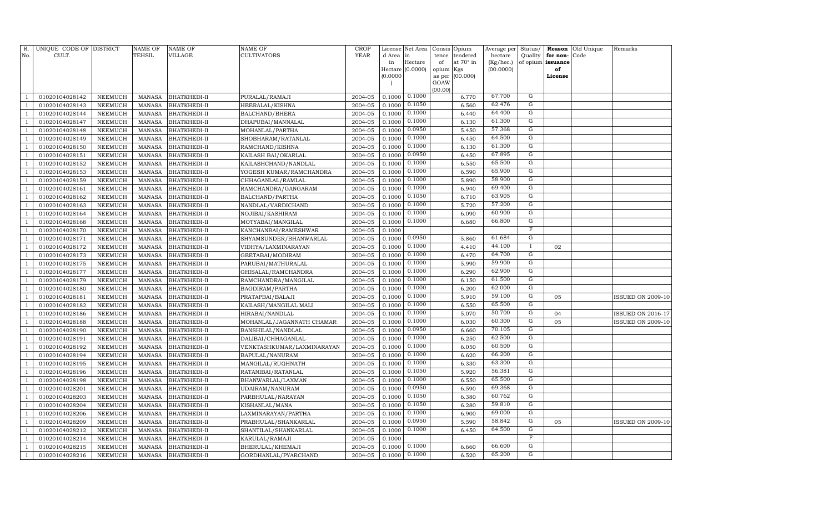| R.             | UNIQUE CODE OF DISTRICT          |                           | NAME OF                        | <b>NAME OF</b>               | <b>NAME OF</b>                              | CROP               |                  | License Net Area |             | Consis Opium          | Average per          | Status/                 |                               | <b>Reason</b> Old Unique | Remarks                  |
|----------------|----------------------------------|---------------------------|--------------------------------|------------------------------|---------------------------------------------|--------------------|------------------|------------------|-------------|-----------------------|----------------------|-------------------------|-------------------------------|--------------------------|--------------------------|
| No.            | CULT.                            |                           | <b>TEHSIL</b>                  | VILLAGE                      | CULTIVATORS                                 | <b>YEAR</b>        | d Area<br>in     | in<br>Hectare    | tence<br>of | tendered<br>at 70° in | hectare<br>(Kg/hec.) | Quality                 | for non-<br>of opium issuance | Code                     |                          |
|                |                                  |                           |                                |                              |                                             |                    |                  | Hectare (0.0000) | opium Kgs   |                       | (00.0000)            |                         | of                            |                          |                          |
|                |                                  |                           |                                |                              |                                             |                    | (0.0000)         |                  | as per      | (00.000)              |                      |                         | License                       |                          |                          |
|                |                                  |                           |                                |                              |                                             |                    |                  |                  | GOAW        |                       |                      |                         |                               |                          |                          |
|                | 01020104028142                   | NEEMUCH                   | <b>MANASA</b>                  | <b>BHATKHEDI-II</b>          | PURALAL/RAMAJI                              | 2004-05            | 0.1000           | 0.1000           | (00.00)     | 6.770                 | 67.700               | G                       |                               |                          |                          |
|                | 01020104028143                   | NEEMUCH                   | <b>MANASA</b>                  | <b>BHATKHEDI-II</b>          | HEERALAL/KISHNA                             | 2004-05            | 0.1000           | 0.1050           |             | 6.560                 | 62.476               | G                       |                               |                          |                          |
|                | 01020104028144                   | NEEMUCH                   | <b>MANASA</b>                  | <b>BHATKHEDI-II</b>          | BALCHAND/BHERA                              | 2004-05            | 0.1000           | 0.1000           |             | 6.440                 | 64.400               | G                       |                               |                          |                          |
|                | 01020104028147                   | <b>NEEMUCH</b>            | <b>MANASA</b>                  | <b>BHATKHEDI-II</b>          | DHAPUBAI/MANNALAL                           | 2004-05            | 0.1000           | 0.1000           |             | 6.130                 | 61.300               | G                       |                               |                          |                          |
|                | 01020104028148                   | <b>NEEMUCH</b>            | <b>MANASA</b>                  | BHATKHEDI-II                 | MOHANLAL/PARTHA                             | 2004-05            | 0.1000           | 0.0950           |             | 5.450                 | 57.368               | G                       |                               |                          |                          |
|                | 01020104028149                   | <b>NEEMUCH</b>            | <b>MANASA</b>                  | <b>BHATKHEDI-II</b>          | SHOBHARAM/RATANLAL                          | 2004-05            | 0.1000           | 0.1000           |             | 6.450                 | 64.500               | G                       |                               |                          |                          |
|                | 01020104028150                   | <b>NEEMUCH</b>            | <b>MANASA</b>                  | <b>BHATKHEDI-II</b>          | RAMCHAND/KISHNA                             | 2004-05            | 0.1000           | 0.1000           |             | 6.130                 | 61.300               | G                       |                               |                          |                          |
|                | 01020104028151                   | <b>NEEMUCH</b>            | <b>MANASA</b>                  | <b>BHATKHEDI-II</b>          | KAILASH BAI/OKARLAL                         | 2004-05            | 0.1000           | 0.0950           |             | 6.450                 | 67.895               | G                       |                               |                          |                          |
|                | 01020104028152                   | NEEMUCH                   | <b>MANASA</b>                  | <b>BHATKHEDI-II</b>          | KAILASHCHAND/NANDLAL                        | 2004-05            | 0.1000           | 0.1000           |             | 6.550                 | 65.500               | ${\rm G}$               |                               |                          |                          |
| $\overline{1}$ | 01020104028153                   | <b>NEEMUCH</b>            | <b>MANASA</b>                  | BHATKHEDI-II                 | YOGESH KUMAR/RAMCHANDRA                     | 2004-05            | 0.1000           | 0.1000           |             | 6.590                 | 65.900               | G                       |                               |                          |                          |
|                | 01020104028159                   | <b>NEEMUCH</b>            | <b>MANASA</b>                  | BHATKHEDI-II                 | CHHAGANLAL/RAMLAL                           | 2004-05            | 0.1000           | 0.1000           |             | 5.890                 | 58.900               | G                       |                               |                          |                          |
|                | 01020104028161                   | <b>NEEMUCH</b>            | <b>MANASA</b>                  | BHATKHEDI-II                 | RAMCHANDRA/GANGARAM                         | 2004-05            | 0.1000           | 0.1000           |             | 6.940                 | 69.400               | G                       |                               |                          |                          |
|                | 01020104028162                   | <b>NEEMUCH</b>            | <b>MANASA</b>                  | BHATKHEDI-II                 | BALCHAND/PARTHA                             | 2004-05            | 0.1000           | 0.1050           |             | 6.710                 | 63.905               | G                       |                               |                          |                          |
|                | 01020104028163                   | <b>NEEMUCH</b>            | MANASA                         | <b>BHATKHEDI-II</b>          | NANDLAL/VARDICHAND                          | 2004-05            | 0.1000           | 0.1000           |             | 5.720                 | 57.200               | G                       |                               |                          |                          |
|                | 01020104028164                   | <b>NEEMUCH</b>            | <b>MANASA</b>                  | BHATKHEDI-II                 | NOJIBAI/KASHIRAM                            | 2004-05            | 0.1000           | 0.1000           |             | 6.090                 | 60.900               | G                       |                               |                          |                          |
|                | 01020104028168                   | <b>NEEMUCH</b>            | <b>MANASA</b>                  | BHATKHEDI-II                 | MOTYABAI/MANGILAL                           | 2004-05            | 0.1000           | 0.1000           |             | 6.680                 | 66.800               | G                       |                               |                          |                          |
|                | 01020104028170                   | NEEMUCH                   | <b>MANASA</b>                  | <b>BHATKHEDI-II</b>          | KANCHANBAI/RAMESHWAR                        | 2004-05            | 0.1000           |                  |             |                       |                      | $\overline{\mathrm{F}}$ |                               |                          |                          |
|                | 01020104028171                   | <b>NEEMUCH</b>            | <b>MANASA</b>                  | BHATKHEDI-II                 | SHYAMSUNDER/BHANWARLAL                      | 2004-05            | 0.1000           | 0.0950           |             | 5.860                 | 61.684               | G                       |                               |                          |                          |
|                | 01020104028172                   | <b>NEEMUCH</b>            | <b>MANASA</b>                  | <b>BHATKHEDI-II</b>          | VIDHYA/LAXMINARAYAN                         | 2004-05            | 0.1000           | 0.1000           |             | 4.410                 | 44.100               | $\mathbf I$             | 02                            |                          |                          |
|                | 01020104028173                   | <b>NEEMUCH</b>            | <b>MANASA</b>                  | <b>BHATKHEDI-II</b>          | GEETABAI/MODIRAM                            | 2004-05            | 0.1000           | 0.1000           |             | 6.470                 | 64.700               | G                       |                               |                          |                          |
|                | 01020104028175                   | <b>NEEMUCH</b>            | <b>MANASA</b>                  | BHATKHEDI-II                 | PARUBAI/MATHURALAL                          | 2004-05            | 0.1000           | 0.1000           |             | 5.990                 | 59.900               | $\overline{G}$          |                               |                          |                          |
|                | 01020104028177                   | <b>NEEMUCH</b>            | MANASA                         | <b>BHATKHEDI-II</b>          | GHISALAL/RAMCHANDRA                         | 2004-05            | 0.1000           | 0.1000           |             | 6.290                 | 62.900               | G                       |                               |                          |                          |
|                | 01020104028179                   | <b>NEEMUCH</b>            | <b>MANASA</b>                  | BHATKHEDI-II                 | RAMCHANDRA/MANGILAL                         | 2004-05            | 0.1000           | 0.1000           |             | 6.150                 | 61.500               | G                       |                               |                          |                          |
|                | 01020104028180                   | <b>NEEMUCH</b>            | <b>MANASA</b>                  | BHATKHEDI-II                 | BAGDIRAM/PARTHA                             | 2004-05            | 0.1000           | 0.1000           |             | 6.200                 | 62.000               | G                       |                               |                          |                          |
|                | 01020104028181                   | <b>NEEMUCH</b>            | <b>MANASA</b>                  | <b>BHATKHEDI-II</b>          | PRATAPBAI/BALAJI                            | 2004-05            | 0.1000           | 0.1000           |             | 5.910                 | 59.100               | G                       | 05                            |                          | <b>ISSUED ON 2009-10</b> |
|                | 01020104028182                   | <b>NEEMUCH</b>            | <b>MANASA</b>                  | <b>BHATKHEDI-II</b>          | KAILASH/MANGILAL MALI                       | 2004-05            | 0.1000           | 0.1000           |             | 6.550                 | 65.500               | G                       |                               |                          |                          |
|                | 01020104028186                   | <b>NEEMUCH</b>            | <b>MANASA</b>                  | <b>BHATKHEDI-II</b>          | HIRABAI/NANDLAL                             | 2004-05            | 0.1000           | 0.1000           |             | 5.070                 | 50.700               | G                       | 04                            |                          | <b>ISSUED ON 2016-17</b> |
|                | 01020104028188                   | <b>NEEMUCH</b>            | <b>MANASA</b>                  | <b>BHATKHEDI-II</b>          | MOHANLAL/JAGANNATH CHAMAR                   | 2004-05            | 0.1000           | 0.1000           |             | 6.030                 | 60.300               | G                       | 05                            |                          | ISSUED ON 2009-10        |
|                | 01020104028190                   | NEEMUCH                   | <b>MANASA</b>                  | <b>BHATKHEDI-II</b>          | BANSHILAL/NANDLAL                           | 2004-05            | 0.1000           | 0.0950           |             | 6.660                 | 70.105               | $\overline{G}$          |                               |                          |                          |
|                | 01020104028191                   | <b>NEEMUCH</b>            | MANASA                         | <b>BHATKHEDI-II</b>          | DALIBAI/CHHAGANLAL                          | 2004-05            | 0.1000           | 0.1000           |             | 6.250                 | 62.500               | G                       |                               |                          |                          |
|                | 01020104028192                   | <b>NEEMUCH</b>            | <b>MANASA</b>                  | BHATKHEDI-II                 | VENKTASHKUMAR/LAXMINARAYAN                  | 2004-05            | 0.1000           | 0.1000           |             | 6.050                 | 60.500               | G                       |                               |                          |                          |
|                | 01020104028194                   | <b>NEEMUCH</b>            | <b>MANASA</b>                  | BHATKHEDI-II                 | BAPULAL/NANURAM                             | 2004-05            | 0.1000           | 0.1000           |             | 6.620                 | 66.200               | G                       |                               |                          |                          |
|                | 01020104028195                   | <b>NEEMUCH</b>            | <b>MANASA</b>                  | <b>BHATKHEDI-II</b>          | MANGILAL/RUGHNATH                           | 2004-05            | 0.1000           | 0.1000           |             | 6.330                 | 63.300               | G                       |                               |                          |                          |
|                | 01020104028196                   | <b>NEEMUCH</b>            | <b>MANASA</b>                  | BHATKHEDI-II                 | RATANIBAI/RATANLAL                          | 2004-05            | 0.1000           | 0.1050           |             | 5.920                 | 56.381               | G                       |                               |                          |                          |
|                | 01020104028198                   | <b>NEEMUCH</b>            | <b>MANASA</b>                  | <b>BHATKHEDI-II</b>          | BHANWARLAL/LAXMAN                           | 2004-05            | 0.1000           | 0.1000<br>0.0950 |             | 6.550                 | 65.500<br>69.368     | G<br>G                  |                               |                          |                          |
|                | 01020104028201                   | <b>NEEMUCH</b>            | <b>MANASA</b>                  | <b>BHATKHEDI-II</b>          | UDAIRAM/NANURAM                             | 2004-05            | 0.1000           | 0.1050           |             | 6.590                 | 60.762               | $\overline{G}$          |                               |                          |                          |
|                | 01020104028203                   | <b>NEEMUCH</b>            | <b>MANASA</b>                  | <b>BHATKHEDI-II</b>          | PARBHULAL/NARAYAN                           | 2004-05            | 0.1000           | 0.1050           |             | 6.380                 | 59.810               | G                       |                               |                          |                          |
|                | 01020104028204<br>01020104028206 | <b>NEEMUCH</b>            | <b>MANASA</b><br><b>MANASA</b> | BHATKHEDI-II                 | KISHANLAL/MANA                              | 2004-05<br>2004-05 | 0.1000<br>0.1000 | 0.1000           |             | 6.280<br>6.900        | 69.000               | G                       |                               |                          |                          |
|                | 01020104028209                   | NEEMUCH<br><b>NEEMUCH</b> | <b>MANASA</b>                  | BHATKHEDI-II<br>BHATKHEDI-II | LAXMINARAYAN/PARTHA<br>PRABHULAL/SHANKARLAL | 2004-05            | 0.1000           | 0.0950           |             | 5.590                 | 58.842               | $\overline{G}$          | 05                            |                          | <b>ISSUED ON 2009-10</b> |
|                | 01020104028212                   | <b>NEEMUCH</b>            | <b>MANASA</b>                  | BHATKHEDI-II                 | SHANTILAL/SHANKARLAL                        | 2004-05            | 0.1000           | 0.1000           |             | 6.450                 | 64.500               | G                       |                               |                          |                          |
|                | 01020104028214                   | <b>NEEMUCH</b>            | <b>MANASA</b>                  | BHATKHEDI-II                 | KARULAL/RAMAJI                              | 2004-05            | 0.1000           |                  |             |                       |                      | $\overline{\mathrm{F}}$ |                               |                          |                          |
|                | 01020104028215                   | NEEMUCH                   | <b>MANASA</b>                  | <b>BHATKHEDI-II</b>          | BHERULAL/KHEMAJI                            | 2004-05            | 0.1000           | 0.1000           |             | 6.660                 | 66.600               | G                       |                               |                          |                          |
| $\mathbf{1}$   | 01020104028216                   | NEEMUCH                   | MANASA                         | BHATKHEDI-II                 | GORDHANLAL/PYARCHAND                        | 2004-05            | 0.1000           | 0.1000           |             | 6.520                 | 65.200               | $\mathbf G$             |                               |                          |                          |
|                |                                  |                           |                                |                              |                                             |                    |                  |                  |             |                       |                      |                         |                               |                          |                          |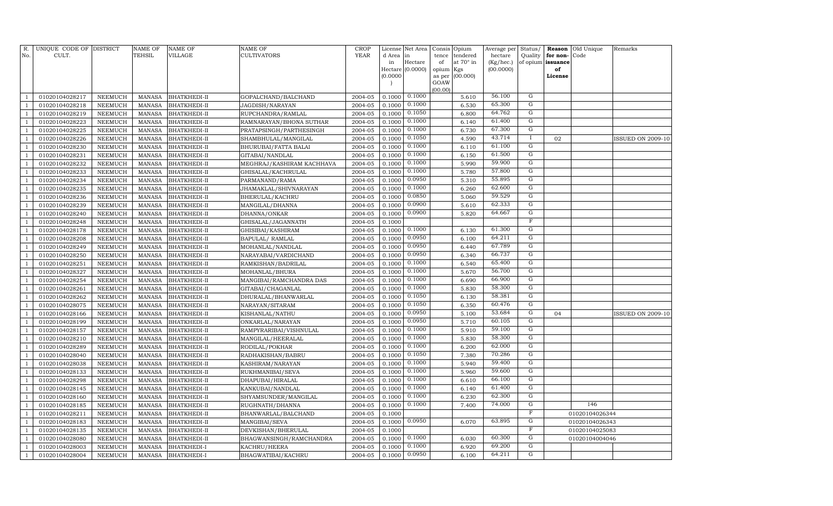| R.<br>No.      | UNIQUE CODE OF DISTRICT<br>CULT. |                | NAME OF<br><b>TEHSIL</b> | <b>NAME OF</b><br>VILLAGE | NAME OF<br>CULTIVATORS    | <b>CROP</b><br><b>YEAR</b> | d Area   | License Net Area<br>in | Consis<br>tence | Opium<br>tendered | Average per<br>hectare | Status/<br>Quality | Reason<br>for non- | Old Unique<br>Code | Remarks                  |
|----------------|----------------------------------|----------------|--------------------------|---------------------------|---------------------------|----------------------------|----------|------------------------|-----------------|-------------------|------------------------|--------------------|--------------------|--------------------|--------------------------|
|                |                                  |                |                          |                           |                           |                            | in       | Hectare                | of              | at $70^\circ$ in  | (Kg/hec.)              | of opium           | issuance           |                    |                          |
|                |                                  |                |                          |                           |                           |                            | Hectare  | (0.0000)               | opium           | Kgs               | (00.0000)              |                    | of                 |                    |                          |
|                |                                  |                |                          |                           |                           |                            | (0.0000) |                        | as per          | (00.000)          |                        |                    | License            |                    |                          |
|                |                                  |                |                          |                           |                           |                            |          |                        | GOAW<br>(00.00) |                   |                        |                    |                    |                    |                          |
|                | 01020104028217                   | <b>NEEMUCH</b> | <b>MANASA</b>            | <b>BHATKHEDI-II</b>       | GOPALCHAND/BALCHAND       | 2004-05                    | 0.1000   | 0.1000                 |                 | 5.610             | 56.100                 | G                  |                    |                    |                          |
|                | 01020104028218                   | <b>NEEMUCH</b> | <b>MANASA</b>            | BHATKHEDI-II              | JAGDISH/NARAYAN           | 2004-05                    | 0.1000   | 0.1000                 |                 | 6.530             | 65.300                 | ${\rm G}$          |                    |                    |                          |
|                | 01020104028219                   | <b>NEEMUCH</b> | <b>MANASA</b>            | <b>BHATKHEDI-II</b>       | RUPCHANDRA/RAMLAL         | 2004-05                    | 0.1000   | 0.1050                 |                 | 6.800             | 64.762                 | ${\rm G}$          |                    |                    |                          |
| $\mathbf{1}$   | 01020104028223                   | <b>NEEMUCH</b> | MANASA                   | <b>BHATKHEDI-II</b>       | RAMNARAYAN/BHONA SUTHAR   | 2004-05                    | 0.1000   | 0.1000                 |                 | 6.140             | 61.400                 | G                  |                    |                    |                          |
|                | 01020104028225                   | <b>NEEMUCH</b> | <b>MANASA</b>            | <b>BHATKHEDI-II</b>       | PRATAPSINGH/PARTHESINGH   | 2004-05                    | 0.1000   | 0.1000                 |                 | 6.730             | 67.300                 | G                  |                    |                    |                          |
|                | 01020104028226                   | <b>NEEMUCH</b> | <b>MANASA</b>            | BHATKHEDI-II              | SHAMBHULAL/MANGILAL       | 2004-05                    | 0.1000   | 0.1050                 |                 | 4.590             | 43.714                 |                    | 02                 |                    | <b>ISSUED ON 2009-10</b> |
|                | 01020104028230                   | <b>NEEMUCH</b> | <b>MANASA</b>            | <b>BHATKHEDI-II</b>       | BHURUBAI/FATTA BALAI      | 2004-05                    | 0.1000   | 0.1000                 |                 | 6.110             | 61.100                 | G                  |                    |                    |                          |
|                | 01020104028231                   | <b>NEEMUCH</b> | <b>MANASA</b>            | BHATKHEDI-II              | GITABAI/NANDLAL           | 2004-05                    | 0.1000   | 0.1000                 |                 | 6.150             | 61.500                 | G                  |                    |                    |                          |
|                | 01020104028232                   | <b>NEEMUCH</b> | <b>MANASA</b>            | <b>BHATKHEDI-II</b>       | MEGHRAJ/KASHIRAM KACHHAVA | 2004-05                    | 0.1000   | 0.1000                 |                 | 5.990             | 59.900                 | $\overline{G}$     |                    |                    |                          |
| -1             | 01020104028233                   | <b>NEEMUCH</b> | <b>MANASA</b>            | BHATKHEDI-II              | GHISALAL/KACHRULAL        | 2004-05                    | 0.1000   | 0.1000                 |                 | 5.780             | 57.800                 | ${\rm G}$          |                    |                    |                          |
|                | 01020104028234                   | <b>NEEMUCH</b> | <b>MANASA</b>            | <b>BHATKHEDI-II</b>       | PARMANAND/RAMA            | 2004-05                    | 0.1000   | 0.0950                 |                 | 5.310             | 55.895                 | $\overline{G}$     |                    |                    |                          |
| $\mathbf{1}$   | 01020104028235                   | <b>NEEMUCH</b> | MANASA                   | <b>BHATKHEDI-II</b>       | JHAMAKLAL/SHIVNARAYAN     | 2004-05                    | 0.1000   | 0.1000                 |                 | 6.260             | 62.600                 | ${\rm G}$          |                    |                    |                          |
| $\overline{1}$ | 01020104028236                   | <b>NEEMUCH</b> | <b>MANASA</b>            | <b>BHATKHEDI-II</b>       | BHERULAL/KACHRU           | 2004-05                    | 0.1000   | 0.0850                 |                 | 5.060             | 59.529                 | G                  |                    |                    |                          |
|                | 01020104028239                   | <b>NEEMUCH</b> | <b>MANASA</b>            | BHATKHEDI-II              | MANGILAL/DHANNA           | 2004-05                    | 0.1000   | 0.0900                 |                 | 5.610             | 62.333                 | G                  |                    |                    |                          |
|                | 01020104028240                   | <b>NEEMUCH</b> | <b>MANASA</b>            | <b>BHATKHEDI-II</b>       | DHANNA/ONKAR              | 2004-05                    | 0.1000   | 0.0900                 |                 | 5.820             | 64.667                 | G                  |                    |                    |                          |
|                | 01020104028248                   | <b>NEEMUCH</b> | <b>MANASA</b>            | BHATKHEDI-II              | GHISALAL/JAGANNATH        | 2004-05                    | 0.1000   |                        |                 |                   |                        | $\overline{F}$     |                    |                    |                          |
|                | 01020104028178                   | <b>NEEMUCH</b> | MANASA                   | BHATKHEDI-II              | GHISIBAI/KASHIRAM         | 2004-05                    | 0.1000   | 0.1000                 |                 | 6.130             | 61.300                 | G                  |                    |                    |                          |
| -1             | 01020104028208                   | <b>NEEMUCH</b> | MANASA                   | BHATKHEDI-II              | BAPULAL/ RAMLAL           | 2004-05                    | 0.1000   | 0.0950                 |                 | 6.100             | 64.211                 | $\mathbf G$        |                    |                    |                          |
|                | 01020104028249                   | <b>NEEMUCH</b> | <b>MANASA</b>            | <b>BHATKHEDI-II</b>       | MOHANLAL/NANDLAL          | 2004-05                    | 0.1000   | 0.0950                 |                 | 6.440             | 67.789                 | $\overline{G}$     |                    |                    |                          |
|                | 01020104028250                   | <b>NEEMUCH</b> | <b>MANASA</b>            | <b>BHATKHEDI-II</b>       | NARAYABAI/VARDICHAND      | 2004-05                    | 0.1000   | 0.0950                 |                 | 6.340             | 66.737                 | ${\rm G}$          |                    |                    |                          |
| $\overline{1}$ | 01020104028251                   | <b>NEEMUCH</b> | <b>MANASA</b>            | <b>BHATKHEDI-II</b>       | RAMKISHAN/BADRILAL        | 2004-05                    | 0.1000   | 0.1000                 |                 | 6.540             | 65.400                 | ${\rm G}$          |                    |                    |                          |
|                | 01020104028327                   | <b>NEEMUCH</b> | <b>MANASA</b>            | BHATKHEDI-II              | MOHANLAL/BHURA            | 2004-05                    | 0.1000   | 0.1000                 |                 | 5.670             | 56.700                 | G                  |                    |                    |                          |
| -1             | 01020104028254                   | <b>NEEMUCH</b> | <b>MANASA</b>            | <b>BHATKHEDI-II</b>       | MANGIBAI/RAMCHANDRA DAS   | 2004-05                    | 0.1000   | 0.1000                 |                 | 6.690             | 66.900                 | G                  |                    |                    |                          |
| $\mathbf{1}$   | 01020104028261                   | <b>NEEMUCH</b> | <b>MANASA</b>            | <b>BHATKHEDI-II</b>       | GITABAI/CHAGANLAL         | 2004-05                    | 0.1000   | 0.1000                 |                 | 5.830             | 58.300                 | G                  |                    |                    |                          |
|                | 01020104028262                   | <b>NEEMUCH</b> | <b>MANASA</b>            | BHATKHEDI-II              | DHURALAL/BHANWARLAL       | 2004-05                    | 0.1000   | 0.1050                 |                 | 6.130             | 58.381                 | G                  |                    |                    |                          |
|                | 01020104028075                   | <b>NEEMUCH</b> | <b>MANASA</b>            | <b>BHATKHEDI-II</b>       | NARAYAN/SITARAM           | 2004-05                    | 0.1000   | 0.1050                 |                 | 6.350             | 60.476                 | G                  |                    |                    |                          |
|                | 01020104028166                   | <b>NEEMUCH</b> | <b>MANASA</b>            | <b>BHATKHEDI-II</b>       | KISHANLAL/NATHU           | 2004-05                    | 0.1000   | 0.0950                 |                 | 5.100             | 53.684                 | $\overline{G}$     | 04                 |                    | <b>ISSUED ON 2009-10</b> |
|                | 01020104028199                   | <b>NEEMUCH</b> | <b>MANASA</b>            | <b>BHATKHEDI-II</b>       | ONKARLAL/NARAYAN          | 2004-05                    | 0.1000   | 0.0950                 |                 | 5.710             | 60.105                 | $\mathbf G$        |                    |                    |                          |
|                | 01020104028157                   | <b>NEEMUCH</b> | <b>MANASA</b>            | <b>BHATKHEDI-II</b>       | RAMPYRARIBAI/VISHNULAL    | 2004-05                    | 0.1000   | 0.1000                 |                 | 5.910             | 59.100                 | $\mathbf G$        |                    |                    |                          |
|                | 01020104028210                   | <b>NEEMUCH</b> | <b>MANASA</b>            | BHATKHEDI-II              | MANGILAL/HEERALAL         | 2004-05                    | 0.1000   | 0.1000                 |                 | 5.830             | 58.300                 | ${\rm G}$          |                    |                    |                          |
| -1             | 01020104028289                   | <b>NEEMUCH</b> | <b>MANASA</b>            | <b>BHATKHEDI-II</b>       | RODILAL/POKHAR            | 2004-05                    | 0.1000   | 0.1000                 |                 | 6.200             | 62.000                 | G                  |                    |                    |                          |
| $\overline{1}$ | 01020104028040                   | <b>NEEMUCH</b> | <b>MANASA</b>            | <b>BHATKHEDI-II</b>       | RADHAKISHAN/BABRU         | 2004-05                    | 0.1000   | 0.1050                 |                 | 7.380             | 70.286                 | G                  |                    |                    |                          |
|                | 01020104028038                   | <b>NEEMUCH</b> | <b>MANASA</b>            | BHATKHEDI-II              | KASHIRAM/NARAYAN          | 2004-05                    | 0.1000   | 0.1000                 |                 | 5.940             | 59.400                 | G<br>G             |                    |                    |                          |
| -1             | 01020104028133                   | <b>NEEMUCH</b> | <b>MANASA</b>            | <b>BHATKHEDI-II</b>       | RUKHMANIBAI/SEVA          | 2004-05                    | 0.1000   | 0.1000                 |                 | 5.960             | 59.600                 |                    |                    |                    |                          |
|                | 01020104028298                   | <b>NEEMUCH</b> | <b>MANASA</b>            | <b>BHATKHEDI-II</b>       | DHAPUBAI/HIRALAL          | 2004-05                    | 0.1000   | 0.1000                 |                 | 6.610             | 66.100                 | G                  |                    |                    |                          |
|                | 01020104028145                   | NEEMUCH        | <b>MANASA</b>            | BHATKHEDI-II              | KANKUBAI/NANDLAL          | 2004-05                    | 0.1000   | 0.1000                 |                 | 6.140             | 61.400                 | $\overline{G}$     |                    |                    |                          |
|                | 01020104028160                   | <b>NEEMUCH</b> | <b>MANASA</b>            | <b>BHATKHEDI-II</b>       | SHYAMSUNDER/MANGILAL      | 2004-05                    | 0.1000   | 0.1000                 |                 | 6.230             | 62.300                 | $\overline{G}$     |                    |                    |                          |
| -1             | 01020104028185                   | <b>NEEMUCH</b> | <b>MANASA</b>            | BHATKHEDI-II              | RUGHNATH/DHANNA           | 2004-05                    | 0.1000   | 0.1000                 |                 | 7.400             | 74.000                 | ${\rm G}$          |                    | 146                |                          |
| -1             | 01020104028211                   | <b>NEEMUCH</b> | <b>MANASA</b>            | <b>BHATKHEDI-II</b>       | BHANWARLAL/BALCHAND       | 2004-05                    | 0.1000   |                        |                 |                   |                        | $\mathbf{F}$       |                    | 01020104026344     |                          |
| $\overline{1}$ | 01020104028183                   | <b>NEEMUCH</b> | <b>MANASA</b>            | <b>BHATKHEDI-II</b>       | MANGIBAI/SEVA             | 2004-05                    | 0.1000   | 0.0950                 |                 | 6.070             | 63.895                 | G                  |                    | 01020104026343     |                          |
|                | 01020104028135                   | <b>NEEMUCH</b> | <b>MANASA</b>            | <b>BHATKHEDI-II</b>       | DEVKISHAN/BHERULAL        | 2004-05                    | 0.1000   |                        |                 |                   |                        | $\mathbf F$        |                    | 01020104025083     |                          |
| -1             | 01020104028080                   | <b>NEEMUCH</b> | <b>MANASA</b>            | BHATKHEDI-II              | BHAGWANSINGH/RAMCHANDRA   | 2004-05                    | 0.1000   | 0.1000                 |                 | 6.030             | 60.300                 | G                  |                    | 01020104004046     |                          |
|                | 01020104028003                   | <b>NEEMUCH</b> | <b>MANASA</b>            | BHATKHEDI-I               | KACHRU/HEERA              | 2004-05                    | 0.1000   | 0.1000                 |                 | 6.920             | 69.200                 | G                  |                    |                    |                          |
| $\mathbf{1}$   | 01020104028004                   | <b>NEEMUCH</b> | MANASA                   | BHATKHEDI-I               | BHAGWATIBAI/KACHRU        | 2004-05                    | 0.1000   | 0.0950                 |                 | 6.100             | 64.211                 | $\overline{G}$     |                    |                    |                          |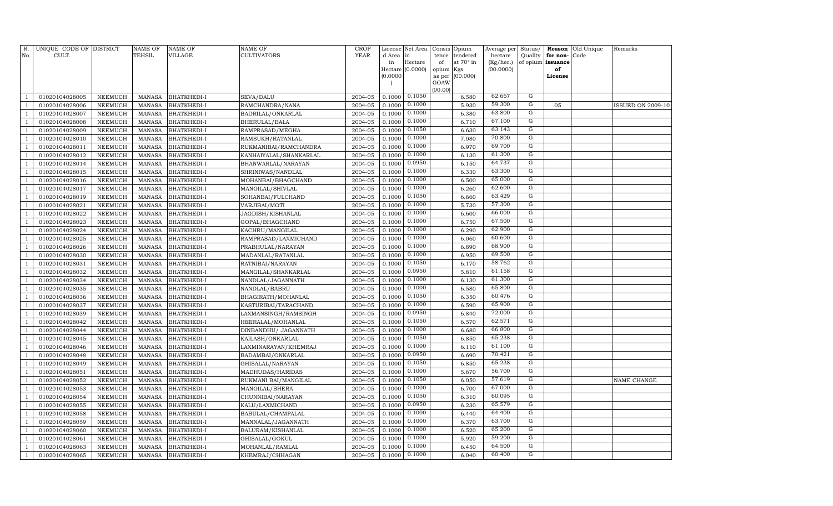| R.           | UNIQUE CODE OF DISTRICT          |                                  | NAME OF                        | <b>NAME OF</b>                           | <b>NAME OF</b>                    | CROP               |                  | License Net Area |             | Consis Opium          | Average per          | Status/             |                               | <b>Reason</b> Old Unique | Remarks           |
|--------------|----------------------------------|----------------------------------|--------------------------------|------------------------------------------|-----------------------------------|--------------------|------------------|------------------|-------------|-----------------------|----------------------|---------------------|-------------------------------|--------------------------|-------------------|
| No.          | CULT.                            |                                  | <b>TEHSIL</b>                  | VILLAGE                                  | CULTIVATORS                       | <b>YEAR</b>        | d Area<br>in     | in<br>Hectare    | tence<br>of | tendered<br>at 70° in | hectare<br>(Kg/hec.) | Quality             | for non-<br>of opium issuance | Code                     |                   |
|              |                                  |                                  |                                |                                          |                                   |                    |                  | Hectare (0.0000) | opium Kgs   |                       | (00.0000)            |                     | of                            |                          |                   |
|              |                                  |                                  |                                |                                          |                                   |                    | (0.0000)         |                  | as per      | (00.000)              |                      |                     | License                       |                          |                   |
|              |                                  |                                  |                                |                                          |                                   |                    |                  |                  | GOAW        |                       |                      |                     |                               |                          |                   |
|              | 01020104028005                   | NEEMUCH                          | <b>MANASA</b>                  | <b>BHATKHEDI-I</b>                       | SEVA/DALU                         | 2004-05            | 0.1000           | 0.1050           | (00.00)     | 6.580                 | 62.667               | G                   |                               |                          |                   |
|              | 01020104028006                   | NEEMUCH                          | <b>MANASA</b>                  | <b>BHATKHEDI-I</b>                       | RAMCHANDRA/NANA                   | 2004-05            | 0.1000           | 0.1000           |             | 5.930                 | 59.300               | G                   | 05                            |                          | ISSUED ON 2009-10 |
|              | 01020104028007                   | NEEMUCH                          | <b>MANASA</b>                  | <b>BHATKHEDI-I</b>                       | BADRILAL/ONKARLAL                 | 2004-05            | 0.1000           | 0.1000           |             | 6.380                 | 63.800               | G                   |                               |                          |                   |
|              | 01020104028008                   | <b>NEEMUCH</b>                   | <b>MANASA</b>                  | <b>BHATKHEDI-I</b>                       | BHERULAL/BALA                     | 2004-05            | 0.1000           | 0.1000           |             | 6.710                 | 67.100               | G                   |                               |                          |                   |
|              | 01020104028009                   | <b>NEEMUCH</b>                   | <b>MANASA</b>                  | <b>BHATKHEDI-I</b>                       | RAMPRASAD/MEGHA                   | 2004-05            | 0.1000           | 0.1050           |             | 6.630                 | 63.143               | G                   |                               |                          |                   |
|              | 01020104028010                   | <b>NEEMUCH</b>                   | <b>MANASA</b>                  | <b>BHATKHEDI-I</b>                       | RAMSUKH/RATANLAL                  | 2004-05            | 0.1000           | 0.1000           |             | 7.080                 | 70.800               | G                   |                               |                          |                   |
|              | 01020104028011                   | <b>NEEMUCH</b>                   | <b>MANASA</b>                  | <b>BHATKHEDI-I</b>                       | RUKMANIBAI/RAMCHANDRA             | 2004-05            | 0.1000           | 0.1000           |             | 6.970                 | 69.700               | G                   |                               |                          |                   |
|              | 01020104028012                   | <b>NEEMUCH</b>                   | <b>MANASA</b>                  | <b>BHATKHEDI-I</b>                       | KANHAIYALAL/SHANKARLAL            | 2004-05            | 0.1000           | 0.1000           |             | 6.130                 | 61.300               | G                   |                               |                          |                   |
|              | 01020104028014                   | NEEMUCH                          | <b>MANASA</b>                  | <b>BHATKHEDI-I</b>                       | BHANWARLAL/NARAYAN                | 2004-05            | 0.1000           | 0.0950           |             | 6.150                 | 64.737               | ${\rm G}$           |                               |                          |                   |
|              | 01020104028015                   | <b>NEEMUCH</b>                   | <b>MANASA</b>                  | <b>BHATKHEDI-I</b>                       | SHRINIWAS/NANDLAL                 | 2004-05            | 0.1000           | 0.1000           |             | 6.330                 | 63.300               | G                   |                               |                          |                   |
|              | 01020104028016                   | <b>NEEMUCH</b>                   | <b>MANASA</b>                  | <b>BHATKHEDI-I</b>                       | MOHANBAI/BHAGCHAND                | 2004-05            | 0.1000           | 0.1000           |             | 6.500                 | 65.000               | G                   |                               |                          |                   |
|              | 01020104028017                   | <b>NEEMUCH</b>                   | <b>MANASA</b>                  | BHATKHEDI-I                              | MANGILAL/SHIVLAL                  | 2004-05            | 0.1000           | 0.1000           |             | 6.260                 | 62.600               | G                   |                               |                          |                   |
|              | 01020104028019                   | <b>NEEMUCH</b>                   | <b>MANASA</b>                  | <b>BHATKHEDI-I</b>                       | SOHANBAI/FULCHAND                 | 2004-05            | 0.1000           | 0.1050           |             | 6.660                 | 63.429               | G                   |                               |                          |                   |
|              | 01020104028021                   | <b>NEEMUCH</b>                   | MANASA                         | <b>BHATKHEDI-I</b>                       | VARJIBAI/MOTI                     | 2004-05            | 0.1000           | 0.1000           |             | 5.730                 | 57.300               | G                   |                               |                          |                   |
|              | 01020104028022                   | <b>NEEMUCH</b>                   | <b>MANASA</b>                  | <b>BHATKHEDI-I</b>                       | JAGDISH/KISHANLAL                 | 2004-05            | 0.1000           | 0.1000           |             | 6.600                 | 66.000               | G                   |                               |                          |                   |
|              | 01020104028023                   | <b>NEEMUCH</b>                   | <b>MANASA</b>                  | <b>BHATKHEDI-I</b>                       | GOPAL/BHAGCHAND                   | 2004-05            | 0.1000           | 0.1000           |             | 6.750                 | 67.500               | G                   |                               |                          |                   |
|              | 01020104028024                   | NEEMUCH                          | <b>MANASA</b>                  | <b>BHATKHEDI-I</b>                       | KACHRU/MANGILAL                   | 2004-05            | 0.1000           | 0.1000           |             | 6.290                 | 62.900               | G                   |                               |                          |                   |
|              | 01020104028025                   | <b>NEEMUCH</b>                   | <b>MANASA</b>                  | <b>BHATKHEDI-I</b>                       | RAMPRASAD/LAXMICHAND              | 2004-05            | 0.1000           | 0.1000           |             | 6.060                 | 60.600               | G                   |                               |                          |                   |
|              | 01020104028026                   | <b>NEEMUCH</b>                   | <b>MANASA</b>                  | <b>BHATKHEDI-I</b>                       | PRABHULAL/NARAYAN                 | 2004-05            | 0.1000           | 0.1000           |             | 6.890                 | 68.900               | G                   |                               |                          |                   |
|              | 01020104028030                   | <b>NEEMUCH</b>                   | <b>MANASA</b>                  | <b>BHATKHEDI-I</b>                       | MADANLAL/RATANLAL                 | 2004-05            | 0.1000           | 0.1000           |             | 6.950                 | 69.500               | G                   |                               |                          |                   |
|              | 01020104028031                   | <b>NEEMUCH</b>                   | <b>MANASA</b>                  | <b>BHATKHEDI-I</b>                       | RATNIBAI/NARAYAN                  | 2004-05            | 0.1000           | 0.1050           |             | 6.170                 | 58.762               | $\overline{G}$      |                               |                          |                   |
|              | 01020104028032                   | <b>NEEMUCH</b>                   | MANASA                         | <b>BHATKHEDI-I</b>                       | MANGILAL/SHANKARLAL               | 2004-05            | 0.1000           | 0.0950           |             | 5.810                 | 61.158               | G                   |                               |                          |                   |
|              | 01020104028034                   | <b>NEEMUCH</b>                   | <b>MANASA</b>                  | BHATKHEDI-I                              | NANDLAL/JAGANNATH                 | 2004-05            | 0.1000           | 0.1000           |             | 6.130                 | 61.300               | G                   |                               |                          |                   |
|              | 01020104028035                   | <b>NEEMUCH</b>                   | <b>MANASA</b>                  | <b>BHATKHEDI-I</b>                       | NANDLAL/BABRU                     | 2004-05            | 0.1000           | 0.1000           |             | 6.580                 | 65.800               | G                   |                               |                          |                   |
|              | 01020104028036                   | <b>NEEMUCH</b>                   | <b>MANASA</b>                  | <b>BHATKHEDI-I</b>                       | BHAGIRATH/MOHANLAL                | 2004-05            | 0.1000           | 0.1050           |             | 6.350                 | 60.476               | G                   |                               |                          |                   |
|              | 01020104028037                   | <b>NEEMUCH</b>                   | <b>MANASA</b>                  | <b>BHATKHEDI-I</b>                       | KASTURIBAI/TARACHAND              | 2004-05            | 0.1000           | 0.1000           |             | 6.590                 | 65.900               | G                   |                               |                          |                   |
|              | 01020104028039                   | <b>NEEMUCH</b>                   | <b>MANASA</b>                  | <b>BHATKHEDI-I</b>                       | LAXMANSINGH/RAMSINGH              | 2004-05            | 0.1000           | 0.0950           |             | 6.840                 | 72.000               | G                   |                               |                          |                   |
|              | 01020104028042                   | <b>NEEMUCH</b>                   | <b>MANASA</b>                  | <b>BHATKHEDI-I</b>                       | HEERALAL/MOHANLAL                 | 2004-05            | 0.1000           | 0.1050           |             | 6.570                 | 62.571               | G                   |                               |                          |                   |
|              | 01020104028044                   | NEEMUCH                          | <b>MANASA</b>                  | <b>BHATKHEDI-I</b>                       | DINBANDHU/ JAGANNATH              | 2004-05            | 0.1000           | 0.1000           |             | 6.680                 | 66.800               | $\overline{G}$      |                               |                          |                   |
|              | 01020104028045                   | <b>NEEMUCH</b>                   | MANASA                         | <b>BHATKHEDI-I</b>                       | KAILASH/ONKARLAL                  | 2004-05            | 0.1000           | 0.1050           |             | 6.850                 | 65.238               | G                   |                               |                          |                   |
|              | 01020104028046                   | NEEMUCH                          | <b>MANASA</b>                  | BHATKHEDI-I                              | LAXMINARAYAN/KHEMRAJ              | 2004-05            | 0.1000           | 0.1000           |             | 6.110                 | 61.100               | G                   |                               |                          |                   |
|              | 01020104028048                   | <b>NEEMUCH</b>                   | <b>MANASA</b>                  | <b>BHATKHEDI-I</b>                       | BADAMBAI/ONKARLAL                 | 2004-05            | 0.1000           | 0.0950           |             | 6.690                 | 70.421               | G                   |                               |                          |                   |
|              | 01020104028049                   | <b>NEEMUCH</b>                   | <b>MANASA</b>                  | <b>BHATKHEDI-I</b>                       | GHISALAL/NARAYAN                  | 2004-05            | 0.1000           | 0.1050           |             | 6.850                 | 65.238               | G                   |                               |                          |                   |
|              | 01020104028051                   | <b>NEEMUCH</b>                   | <b>MANASA</b>                  | <b>BHATKHEDI-I</b>                       | MADHUDAS/HARIDAS                  | 2004-05            | 0.1000           | 0.1000           |             | 5.670                 | 56.700               | G                   |                               |                          |                   |
|              | 01020104028052                   | <b>NEEMUCH</b>                   | <b>MANASA</b>                  | <b>BHATKHEDI-I</b>                       | RUKMANI BAI/MANGILAL              | 2004-05            | 0.1000           | 0.1050           |             | 6.050                 | 57.619               | G                   |                               |                          | NAME CHANGE       |
|              | 01020104028053                   | <b>NEEMUCH</b>                   | <b>MANASA</b>                  | BHATKHEDI-I                              | MANGILAL/BHERA                    | 2004-05            | 0.1000           | 0.1000           |             | 6.700                 | 67.000               | G                   |                               |                          |                   |
|              | 01020104028054                   | <b>NEEMUCH</b>                   | <b>MANASA</b>                  | <b>BHATKHEDI-I</b>                       | CHUNNIBAI/NARAYAN                 | 2004-05            | 0.1000           | 0.1050           |             | 6.310                 | 60.095               | $\overline{G}$<br>G |                               |                          |                   |
|              | 01020104028055                   | <b>NEEMUCH</b>                   | <b>MANASA</b>                  | BHATKHEDI-I                              | KALU/LAXMICHAND                   | 2004-05            | 0.1000           | 0.0950<br>0.1000 |             | 6.230                 | 65.579<br>64.400     | G                   |                               |                          |                   |
|              | 01020104028058                   | NEEMUCH                          | <b>MANASA</b>                  | BHATKHEDI-I                              | BABULAL/CHAMPALAL                 | 2004-05            | 0.1000           | 0.1000           |             | 6.440                 | 63.700               | G                   |                               |                          |                   |
|              | 01020104028059                   | <b>NEEMUCH</b>                   | <b>MANASA</b>                  | <b>BHATKHEDI-I</b>                       | MANNALAL/JAGANNATH                | 2004-05            | 0.1000<br>0.1000 | 0.1000           |             | 6.370                 | 65.200               | G                   |                               |                          |                   |
|              | 01020104028060                   | <b>NEEMUCH</b>                   | <b>MANASA</b>                  | <b>BHATKHEDI-I</b>                       | BALURAM/KISHANLAL                 | 2004-05            | 0.1000           | 0.1000           |             | 6.520<br>5.920        | 59.200               | G                   |                               |                          |                   |
|              | 01020104028061<br>01020104028063 | <b>NEEMUCH</b><br><b>NEEMUCH</b> | <b>MANASA</b><br><b>MANASA</b> | <b>BHATKHEDI-I</b><br><b>BHATKHEDI-I</b> | GHISALAL/GOKUL<br>MOHANLAL/RAMLAL | 2004-05<br>2004-05 | 0.1000           | 0.1000           |             | 6.450                 | 64.500               | G                   |                               |                          |                   |
| $\mathbf{1}$ | 01020104028065                   | NEEMUCH                          | MANASA                         |                                          | KHEMRAJ/CHHAGAN                   | 2004-05            | 0.1000           | 0.1000           |             | 6.040                 | 60.400               | $\mathbf G$         |                               |                          |                   |
|              |                                  |                                  |                                | <b>BHATKHEDI-I</b>                       |                                   |                    |                  |                  |             |                       |                      |                     |                               |                          |                   |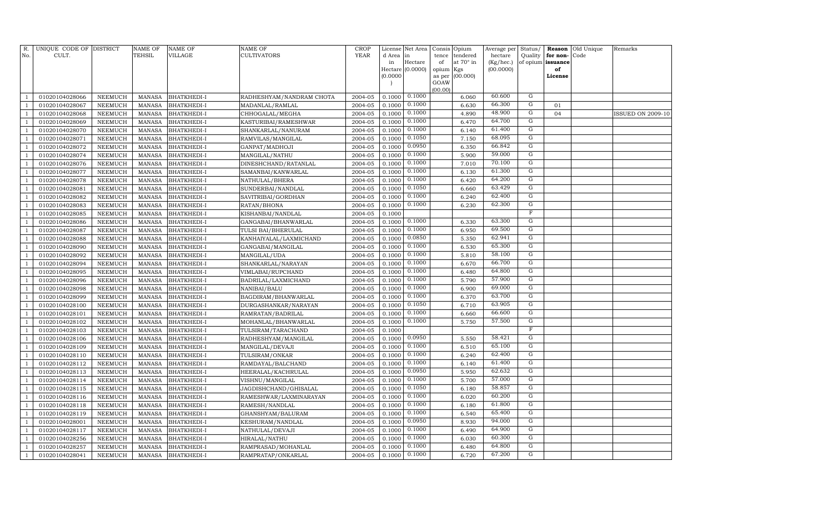| R.<br>No.    | UNIQUE CODE OF DISTRICT<br>CULT. |                    | <b>NAME OF</b><br>TEHSIL       | <b>NAME OF</b><br><b>VILLAGE</b>         | <b>NAME OF</b><br><b>CULTIVATORS</b> | <b>CROP</b><br><b>YEAR</b> | License<br>d Area | Net Area<br>in   | Consis<br>tence | Opium<br>tendered | Average per<br>hectare | Status/<br>Quality | for non- | Reason Old Unique<br>Code | Remarks                  |
|--------------|----------------------------------|--------------------|--------------------------------|------------------------------------------|--------------------------------------|----------------------------|-------------------|------------------|-----------------|-------------------|------------------------|--------------------|----------|---------------------------|--------------------------|
|              |                                  |                    |                                |                                          |                                      |                            | in                | Hectare          | of              | at 70° in         | (Kg/hec.)              | of opium           | issuance |                           |                          |
|              |                                  |                    |                                |                                          |                                      |                            |                   | Hectare (0.0000) | opium           | Kgs               | (00.0000)              |                    | of       |                           |                          |
|              |                                  |                    |                                |                                          |                                      |                            | (0.0000)          |                  | as per          | (00.000)          |                        |                    | License  |                           |                          |
|              |                                  |                    |                                |                                          |                                      |                            |                   |                  | GOAW<br>(00.00) |                   |                        |                    |          |                           |                          |
|              | 01020104028066                   | NEEMUCH            | <b>MANASA</b>                  | <b>BHATKHEDI-I</b>                       | RADHESHYAM/NANDRAM CHOTA             | 2004-05                    | 0.1000            | 0.1000           |                 | 6.060             | 60.600                 | G                  |          |                           |                          |
|              | 01020104028067                   | NEEMUCH            | <b>MANASA</b>                  | <b>BHATKHEDI-I</b>                       | MADANLAL/RAMLAL                      | 2004-05                    | 0.1000            | 0.1000           |                 | 6.630             | 66.300                 | G                  | 01       |                           |                          |
|              | 01020104028068                   | NEEMUCH            | <b>MANASA</b>                  | <b>BHATKHEDI-I</b>                       | CHHOGALAL/MEGHA                      | 2004-05                    | 0.1000            | 0.1000           |                 | 4.890             | 48.900                 | G                  | 04       |                           | <b>ISSUED ON 2009-10</b> |
|              | 01020104028069                   | NEEMUCH            | MANASA                         | <b>BHATKHEDI-I</b>                       | KASTURIBAI/RAMESHWAR                 | 2004-05                    | 0.1000            | 0.1000           |                 | 6.470             | 64.700                 | $\overline{G}$     |          |                           |                          |
|              | 01020104028070                   | NEEMUCH            | <b>MANASA</b>                  | <b>BHATKHEDI-I</b>                       | SHANKARLAL/NANURAM                   | 2004-05                    | 0.1000            | 0.1000           |                 | 6.140             | 61.400                 | $\overline{G}$     |          |                           |                          |
|              | 01020104028071                   | <b>NEEMUCH</b>     | <b>MANASA</b>                  | <b>BHATKHEDI-I</b>                       | RAMVILAS/MANGILAL                    | 2004-05                    | 0.1000            | 0.1050           |                 | 7.150             | 68.095                 | G                  |          |                           |                          |
|              | 01020104028072                   | NEEMUCH            | <b>MANASA</b>                  | <b>BHATKHEDI-I</b>                       | GANPAT/MADHOJI                       | 2004-05                    | 0.1000            | 0.0950           |                 | 6.350             | 66.842                 | G                  |          |                           |                          |
|              | 01020104028074                   | NEEMUCH            | <b>MANASA</b>                  | <b>BHATKHEDI-I</b>                       | MANGILAL/NATHU                       | 2004-05                    | 0.1000            | 0.1000           |                 | 5.900             | 59.000                 | G                  |          |                           |                          |
|              | 01020104028076                   | NEEMUCH            | <b>MANASA</b>                  | <b>BHATKHEDI-I</b>                       | DINESHCHAND/RATANLAL                 | 2004-05                    | 0.1000            | 0.1000           |                 | 7.010             | 70.100                 | G                  |          |                           |                          |
|              | 01020104028077                   | NEEMUCH            | <b>MANASA</b>                  | <b>BHATKHEDI-I</b>                       | SAMANBAI/KANWARLAL                   | 2004-05                    | 0.1000            | 0.1000           |                 | 6.130             | 61.300                 | G                  |          |                           |                          |
|              | 01020104028078                   | NEEMUCH            | <b>MANASA</b>                  | <b>BHATKHEDI-I</b>                       | NATHULAL/BHERA                       | 2004-05                    | 0.1000            | 0.1000           |                 | 6.420             | 64.200                 | G                  |          |                           |                          |
|              | 01020104028081                   | NEEMUCH            | <b>MANASA</b>                  | <b>BHATKHEDI-I</b>                       | SUNDERBAI/NANDLAL                    | 2004-05                    | 0.1000            | 0.1050           |                 | 6.660             | 63.429                 | $\overline{G}$     |          |                           |                          |
|              | 01020104028082                   | NEEMUCH            | MANASA                         | <b>BHATKHEDI-I</b>                       | SAVITRIBAI/GORDHAN                   | 2004-05                    | 0.1000            | 0.1000           |                 | 6.240             | 62.400                 | G                  |          |                           |                          |
|              | 01020104028083                   | <b>NEEMUCH</b>     | <b>MANASA</b>                  | <b>BHATKHEDI-I</b>                       | RATAN/BHONA                          | 2004-05                    | 0.1000            | 0.1000           |                 | 6.230             | 62.300                 | $\overline{G}$     |          |                           |                          |
|              | 01020104028085                   | NEEMUCH            | <b>MANASA</b>                  | <b>BHATKHEDI-I</b>                       | KISHANBAI/NANDLAL                    | 2004-05                    | 0.1000            |                  |                 |                   |                        | $\mathbb F$        |          |                           |                          |
|              | 01020104028086                   | NEEMUCH            | <b>MANASA</b>                  | <b>BHATKHEDI-I</b>                       | GANGABAI/BHANWARLAL                  | 2004-05                    | 0.1000            | 0.1000           |                 | 6.330             | 63.300                 | G                  |          |                           |                          |
|              | 01020104028087                   | NEEMUCH            | <b>MANASA</b>                  | <b>BHATKHEDI-I</b>                       | TULSI BAI/BHERULAL                   | 2004-05                    | 0.1000            | 0.1000           |                 | 6.950             | 69.500                 | G                  |          |                           |                          |
|              | 01020104028088                   | NEEMUCH            | <b>MANASA</b>                  | <b>BHATKHEDI-I</b>                       | KANHAIYALAL/LAXMICHAND               | 2004-05                    | 0.1000            | 0.0850           |                 | 5.350             | 62.941                 | G                  |          |                           |                          |
|              | 01020104028090                   | NEEMUCH            | <b>MANASA</b>                  | <b>BHATKHEDI-I</b>                       | GANGABAI/MANGILAL                    | 2004-05                    | 0.1000            | 0.1000           |                 | 6.530             | 65.300                 | G                  |          |                           |                          |
|              | 01020104028092                   | NEEMUCH            | <b>MANASA</b>                  | <b>BHATKHEDI-I</b>                       | MANGILAL/UDA                         | 2004-05                    | 0.1000            | 0.1000           |                 | 5.810             | 58.100                 | G                  |          |                           |                          |
|              | 01020104028094                   | NEEMUCH            | MANASA                         | <b>BHATKHEDI-I</b>                       | SHANKARLAL/NARAYAN                   | 2004-05                    | 0.1000            | 0.1000           |                 | 6.670             | 66.700                 | G                  |          |                           |                          |
|              | 01020104028095                   | <b>NEEMUCH</b>     | <b>MANASA</b>                  | <b>BHATKHEDI-I</b>                       | VIMLABAI/RUPCHAND                    | 2004-05                    | 0.1000            | 0.1000           |                 | 6.480             | 64.800                 | $\overline{G}$     |          |                           |                          |
|              | 01020104028096                   | NEEMUCH            | <b>MANASA</b>                  | <b>BHATKHEDI-I</b>                       | BADRILAL/LAXMICHAND                  | 2004-05                    | 0.1000            | 0.1000           |                 | 5.790             | 57.900                 | G                  |          |                           |                          |
|              | 01020104028098                   | NEEMUCH            | <b>MANASA</b>                  | <b>BHATKHEDI-I</b>                       | NANIBAI/BALU                         | 2004-05                    | 0.1000            | 0.1000           |                 | 6.900             | 69.000                 | $\overline{G}$     |          |                           |                          |
|              | 01020104028099                   | NEEMUCH            | <b>MANASA</b>                  | <b>BHATKHEDI-I</b>                       | BAGDIRAM/BHANWARLAL                  | 2004-05                    | 0.1000            | 0.1000           |                 | 6.370             | 63.700                 | G                  |          |                           |                          |
|              | 01020104028100                   | NEEMUCH            | <b>MANASA</b>                  | <b>BHATKHEDI-I</b>                       | DURGASHANKAR/NARAYAN                 | 2004-05                    | 0.1000            | 0.1050           |                 | 6.710             | 63.905                 | G                  |          |                           |                          |
|              | 01020104028101                   | NEEMUCH            | <b>MANASA</b>                  | <b>BHATKHEDI-I</b>                       | RAMRATAN/BADRILAL                    | 2004-05                    | 0.1000            | 0.1000           |                 | 6.660             | 66.600                 | G                  |          |                           |                          |
|              | 01020104028102                   | NEEMUCH            | <b>MANASA</b>                  | <b>BHATKHEDI-I</b>                       | MOHANLAL/BHANWARLAL                  | 2004-05                    | 0.1000            | 0.1000           |                 | 5.750             | 57.500                 | G<br>$\mathbb F$   |          |                           |                          |
|              | 01020104028103                   | NEEMUCH            | <b>MANASA</b>                  | <b>BHATKHEDI-I</b>                       | TULSIRAM/TARACHAND                   | 2004-05                    | 0.1000            | 0.0950           |                 |                   | 58.421                 | G                  |          |                           |                          |
|              | 01020104028106<br>01020104028109 | <b>NEEMUCH</b>     | <b>MANASA</b>                  | <b>BHATKHEDI-I</b>                       | RADHESHYAM/MANGILAL                  | 2004-05<br>2004-05         | 0.1000<br>0.1000  | 0.1000           |                 | 5.550<br>6.510    | 65.100                 | G                  |          |                           |                          |
|              |                                  | NEEMUCH<br>NEEMUCH | MANASA                         | <b>BHATKHEDI-I</b>                       | MANGILAL/DEVAJI                      | 2004-05                    | 0.1000            | 0.1000           |                 | 6.240             | 62.400                 | $\overline{G}$     |          |                           |                          |
|              | 01020104028110<br>01020104028112 | NEEMUCH            | <b>MANASA</b><br><b>MANASA</b> | <b>BHATKHEDI-I</b><br><b>BHATKHEDI-I</b> | TULSIRAM/ONKAR<br>RAMDAYAL/BALCHAND  | 2004-05                    | 0.1000            | 0.1000           |                 | 6.140             | 61.400                 | G                  |          |                           |                          |
|              | 01020104028113                   | <b>NEEMUCH</b>     | <b>MANASA</b>                  | <b>BHATKHEDI-I</b>                       | HEERALAL/KACHRULAL                   | 2004-05                    | 0.1000            | 0.0950           |                 | 5.950             | 62.632                 | G                  |          |                           |                          |
|              | 01020104028114                   | NEEMUCH            | <b>MANASA</b>                  | <b>BHATKHEDI-I</b>                       | VISHNU/MANGILAL                      | 2004-05                    | 0.1000            | 0.1000           |                 | 5.700             | 57.000                 | G                  |          |                           |                          |
|              | 01020104028115                   | NEEMUCH            | <b>MANASA</b>                  | <b>BHATKHEDI-I</b>                       | JAGDISHCHAND/GHISALAL                | 2004-05                    | 0.1000            | 0.1050           |                 | 6.180             | 58.857                 | G                  |          |                           |                          |
|              | 01020104028116                   | NEEMUCH            | <b>MANASA</b>                  | <b>BHATKHEDI-I</b>                       | RAMESHWAR/LAXMINARAYAN               | 2004-05                    | 0.1000            | 0.1000           |                 | 6.020             | 60.200                 | $\overline{G}$     |          |                           |                          |
|              | 01020104028118                   | NEEMUCH            | <b>MANASA</b>                  | <b>BHATKHEDI-I</b>                       | RAMESH/NANDLAL                       | 2004-05                    | 0.1000            | 0.1000           |                 | 6.180             | 61.800                 | G                  |          |                           |                          |
|              | 01020104028119                   | NEEMUCH            | <b>MANASA</b>                  | <b>BHATKHEDI-I</b>                       | GHANSHYAM/BALURAM                    | 2004-05                    | 0.1000            | 0.1000           |                 | 6.540             | 65.400                 | G                  |          |                           |                          |
|              | 01020104028001                   | <b>NEEMUCH</b>     | <b>MANASA</b>                  | <b>BHATKHEDI-I</b>                       | KESHURAM/NANDLAL                     | 2004-05                    | 0.1000            | 0.0950           |                 | 8.930             | 94.000                 | $\overline{G}$     |          |                           |                          |
|              | 01020104028117                   | NEEMUCH            | <b>MANASA</b>                  | <b>BHATKHEDI-I</b>                       | NATHULAL/DEVAJI                      | 2004-05                    | 0.1000            | 0.1000           |                 | 6.490             | 64.900                 | G                  |          |                           |                          |
|              | 01020104028256                   | NEEMUCH            | <b>MANASA</b>                  | <b>BHATKHEDI-I</b>                       | HIRALAL/NATHU                        | 2004-05                    | 0.1000            | 0.1000           |                 | 6.030             | 60.300                 | G                  |          |                           |                          |
|              | 01020104028257                   | NEEMUCH            | <b>MANASA</b>                  | <b>BHATKHEDI-I</b>                       | RAMPRASAD/MOHANLAL                   | 2004-05                    | 0.1000            | 0.1000           |                 | 6.480             | 64.800                 | G                  |          |                           |                          |
| $\mathbf{1}$ | 01020104028041                   | NEEMUCH            | MANASA                         | <b>BHATKHEDI-I</b>                       | RAMPRATAP/ONKARLAL                   | 2004-05                    | 0.1000            | 0.1000           |                 | 6.720             | 67.200                 | G                  |          |                           |                          |
|              |                                  |                    |                                |                                          |                                      |                            |                   |                  |                 |                   |                        |                    |          |                           |                          |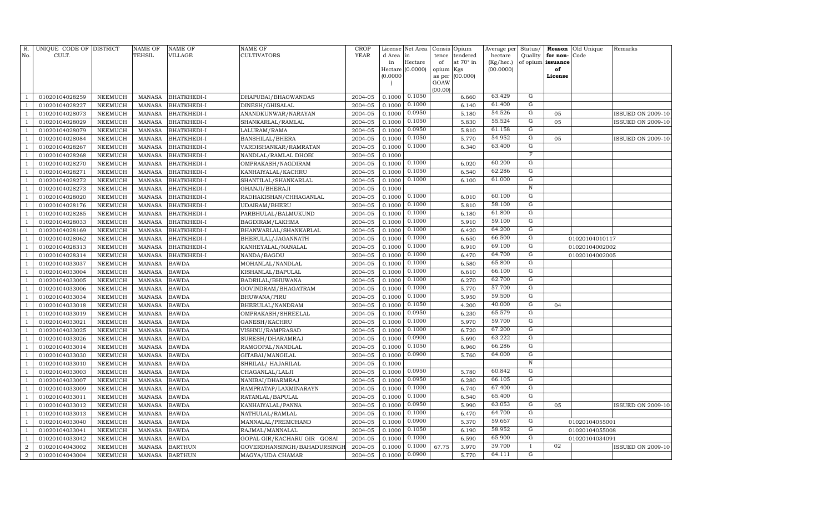| R.<br>No.      | UNIQUE CODE OF DISTRICT<br>CULT. |                | <b>NAME OF</b><br>TEHSIL | <b>NAME OF</b><br><b>VILLAGE</b> | NAME OF<br><b>CULTIVATORS</b> | <b>CROP</b><br>YEAR | License<br>d Area | Net Area<br>in              | Consis<br>tence | Opium<br>tendered | Average per<br>hectare | Status/<br>Quality        | Reason<br>for non-      | Old Unique<br>Code | Remarks                  |
|----------------|----------------------------------|----------------|--------------------------|----------------------------------|-------------------------------|---------------------|-------------------|-----------------------------|-----------------|-------------------|------------------------|---------------------------|-------------------------|--------------------|--------------------------|
|                |                                  |                |                          |                                  |                               |                     | in                | Hectare<br>Hectare (0.0000) | of<br>opium     | at 70° in<br>Kgs  | (Kg/hec.)<br>(00.0000) |                           | of opium issuance<br>of |                    |                          |
|                |                                  |                |                          |                                  |                               |                     | (0.0000)          |                             | as per          | (00.000)          |                        |                           | License                 |                    |                          |
|                |                                  |                |                          |                                  |                               |                     |                   |                             | GOAW<br>(00.00) |                   |                        |                           |                         |                    |                          |
| $\mathbf{1}$   | 01020104028259                   | <b>NEEMUCH</b> | <b>MANASA</b>            | <b>BHATKHEDI-I</b>               | DHAPUBAI/BHAGWANDAS           | 2004-05             | 0.1000            | 0.1050                      |                 | 6.660             | 63.429                 | G                         |                         |                    |                          |
| $\mathbf{1}$   | 01020104028227                   | <b>NEEMUCH</b> | <b>MANASA</b>            | <b>BHATKHEDI-I</b>               | DINESH/GHISALAL               | 2004-05             | 0.1000            | 0.1000                      |                 | 6.140             | 61.400                 | G                         |                         |                    |                          |
| $\mathbf{1}$   | 01020104028073                   | <b>NEEMUCH</b> | <b>MANASA</b>            | <b>BHATKHEDI-I</b>               | ANANDKUNWAR/NARAYAN           | 2004-05             | 0.1000            | 0.0950                      |                 | 5.180             | 54.526                 | ${\rm G}$                 | 05                      |                    | <b>ISSUED ON 2009-10</b> |
| $\mathbf{1}$   | 01020104028029                   | <b>NEEMUCH</b> | <b>MANASA</b>            | BHATKHEDI-I                      | SHANKARLAL/RAMLAL             | 2004-05             | 0.1000            | 0.1050                      |                 | 5.830             | 55.524                 | G                         | 05                      |                    | <b>ISSUED ON 2009-10</b> |
| $\overline{1}$ | 01020104028079                   | <b>NEEMUCH</b> | <b>MANASA</b>            | <b>BHATKHEDI-I</b>               | LALURAM/RAMA                  | 2004-05             | 0.1000            | 0.0950                      |                 | 5.810             | 61.158                 | $\overline{G}$            |                         |                    |                          |
| $\mathbf{1}$   | 01020104028084                   | <b>NEEMUCH</b> | <b>MANASA</b>            | BHATKHEDI-I                      | BANSHILAL/BHERA               | 2004-05             | 0.1000            | 0.1050                      |                 | 5.770             | 54.952                 | G                         | 05                      |                    | <b>ISSUED ON 2009-10</b> |
| $\overline{1}$ | 01020104028267                   | <b>NEEMUCH</b> | <b>MANASA</b>            | BHATKHEDI-I                      | VARDISHANKAR/RAMRATAN         | 2004-05             | 0.1000            | 0.1000                      |                 | 6.340             | 63.400                 | G                         |                         |                    |                          |
| $\mathbf{1}$   | 01020104028268                   | <b>NEEMUCH</b> | <b>MANASA</b>            | BHATKHEDI-I                      | NANDLAL/RAMLAL DHOBI          | 2004-05             | 0.1000            |                             |                 |                   |                        | $\boldsymbol{\mathrm{F}}$ |                         |                    |                          |
| $\mathbf{1}$   | 01020104028270                   | <b>NEEMUCH</b> | <b>MANASA</b>            | <b>BHATKHEDI-I</b>               | OMPRAKASH/NAGDIRAM            | 2004-05             | 0.1000            | 0.1000                      |                 | 6.020             | 60.200                 | ${\rm G}$                 |                         |                    |                          |
| $\mathbf{1}$   | 01020104028271                   | <b>NEEMUCH</b> | <b>MANASA</b>            | <b>BHATKHEDI-I</b>               | KANHAIYALAL/KACHRU            | 2004-05             | 0.1000            | 0.1050                      |                 | 6.540             | 62.286                 | ${\rm G}$                 |                         |                    |                          |
| $\mathbf{1}$   | 01020104028272                   | <b>NEEMUCH</b> | <b>MANASA</b>            | <b>BHATKHEDI-I</b>               | SHANTILAL/SHANKARLAL          | 2004-05             | 0.1000            | 0.1000                      |                 | 6.100             | 61.000                 | $\overline{G}$            |                         |                    |                          |
| $\mathbf{1}$   | 01020104028273                   | <b>NEEMUCH</b> | <b>MANASA</b>            | BHATKHEDI-I                      | GHANJI/BHERAJI                | 2004-05             | 0.1000            |                             |                 |                   |                        | $\, {\bf N}$              |                         |                    |                          |
| $\mathbf{1}$   | 01020104028020                   | <b>NEEMUCH</b> | <b>MANASA</b>            | <b>BHATKHEDI-I</b>               | RADHAKISHAN/CHHAGANLAL        | 2004-05             | 0.1000            | 0.1000                      |                 | 6.010             | 60.100                 | G                         |                         |                    |                          |
| $\mathbf{1}$   | 01020104028176                   | <b>NEEMUCH</b> | <b>MANASA</b>            | BHATKHEDI-I                      | UDAIRAM/BHERU                 | 2004-05             | 0.1000            | 0.1000                      |                 | 5.810             | 58.100                 | $\overline{G}$            |                         |                    |                          |
| $\overline{1}$ | 01020104028285                   | <b>NEEMUCH</b> | <b>MANASA</b>            | <b>BHATKHEDI-I</b>               | PARBHULAL/BALMUKUND           | 2004-05             | 0.1000            | 0.1000                      |                 | 6.180             | 61.800                 | $\overline{G}$            |                         |                    |                          |
| $\mathbf{1}$   | 01020104028033                   | <b>NEEMUCH</b> | <b>MANASA</b>            | <b>BHATKHEDI-I</b>               | BAGDIRAM/LAKHMA               | 2004-05             | 0.1000            | 0.1000                      |                 | 5.910             | 59.100                 | $\overline{G}$            |                         |                    |                          |
| $\overline{1}$ | 01020104028169                   | <b>NEEMUCH</b> | <b>MANASA</b>            | BHATKHEDI-I                      | BHANWARLAL/SHANKARLAL         | 2004-05             | 0.1000            | 0.1000                      |                 | 6.420             | 64.200                 | $\overline{G}$            |                         |                    |                          |
| $\mathbf{1}$   | 01020104028062                   | <b>NEEMUCH</b> | <b>MANASA</b>            | <b>BHATKHEDI-I</b>               | BHERULAL/JAGANNATH            | 2004-05             | 0.1000            | 0.1000                      |                 | 6.650             | 66.500                 | ${\rm G}$                 |                         | 01020104010117     |                          |
| $\mathbf{1}$   | 01020104028313                   | <b>NEEMUCH</b> | <b>MANASA</b>            | <b>BHATKHEDI-I</b>               | KANHEYALAL/NANALAL            | 2004-05             | 0.1000            | 0.1000                      |                 | 6.910             | 69.100                 | $\overline{G}$            |                         | 01020104002002     |                          |
| $\mathbf{1}$   | 01020104028314                   | <b>NEEMUCH</b> | <b>MANASA</b>            | BHATKHEDI-I                      | NANDA/BAGDU                   | 2004-05             | 0.1000            | 0.1000                      |                 | 6.470             | 64.700                 | ${\rm G}$                 |                         | 01020104002005     |                          |
| $\mathbf{1}$   | 01020104033037                   | <b>NEEMUCH</b> | <b>MANASA</b>            | <b>BAWDA</b>                     | MOHANLAL/NANDLAL              | 2004-05             | 0.1000            | 0.1000                      |                 | 6.580             | 65.800                 | ${\rm G}$                 |                         |                    |                          |
| $\mathbf{1}$   | 01020104033004                   | <b>NEEMUCH</b> | <b>MANASA</b>            | <b>BAWDA</b>                     | KISHANLAL/BAPULAL             | 2004-05             | 0.1000            | 0.1000                      |                 | 6.610             | 66.100                 | G                         |                         |                    |                          |
| $\mathbf{1}$   | 01020104033005                   | <b>NEEMUCH</b> | <b>MANASA</b>            | <b>BAWDA</b>                     | BADRILAL/BHUWANA              | 2004-05             | 0.1000            | 0.1000                      |                 | 6.270             | 62.700                 | G                         |                         |                    |                          |
| $\mathbf{1}$   | 01020104033006                   | <b>NEEMUCH</b> | <b>MANASA</b>            | <b>BAWDA</b>                     | GOVINDRAM/BHAGATRAM           | 2004-05             | 0.1000            | 0.1000                      |                 | 5.770             | 57.700                 | $\overline{G}$            |                         |                    |                          |
| $\overline{1}$ | 01020104033034                   | <b>NEEMUCH</b> | <b>MANASA</b>            | <b>BAWDA</b>                     | BHUWANA/PIRU                  | 2004-05             | 0.1000            | 0.1000                      |                 | 5.950             | 59.500                 | $\overline{G}$            |                         |                    |                          |
| $\mathbf{1}$   | 01020104033018                   | <b>NEEMUCH</b> | <b>MANASA</b>            | <b>BAWDA</b>                     | BHERULAL/NANDRAM              | 2004-05             | 0.1000            | 0.1050                      |                 | 4.200             | 40.000                 | G                         | 04                      |                    |                          |
| $\overline{1}$ | 01020104033019                   | <b>NEEMUCH</b> | <b>MANASA</b>            | <b>BAWDA</b>                     | OMPRAKASH/SHREELAL            | 2004-05             | 0.1000            | 0.0950                      |                 | 6.230             | 65.579                 | $\overline{G}$            |                         |                    |                          |
| $\mathbf{1}$   | 01020104033021                   | <b>NEEMUCH</b> | <b>MANASA</b>            | <b>BAWDA</b>                     | GANESH/KACHRU                 | 2004-05             | 0.1000            | 0.1000                      |                 | 5.970             | 59.700                 | $\overline{G}$            |                         |                    |                          |
| $\mathbf{1}$   | 01020104033025                   | <b>NEEMUCH</b> | <b>MANASA</b>            | <b>BAWDA</b>                     | VISHNU/RAMPRASAD              | 2004-05             | 0.1000            | 0.1000                      |                 | 6.720             | 67.200                 | $\overline{G}$            |                         |                    |                          |
| $\mathbf{1}$   | 01020104033026                   | <b>NEEMUCH</b> | <b>MANASA</b>            | <b>BAWDA</b>                     | SURESH/DHARAMRAJ              | 2004-05             | 0.1000            | 0.0900                      |                 | 5.690             | 63.222                 | ${\rm G}$                 |                         |                    |                          |
| $\mathbf{1}$   | 01020104033014                   | <b>NEEMUCH</b> | <b>MANASA</b>            | <b>BAWDA</b>                     | RAMGOPAL/NANDLAL              | 2004-05             | 0.1000            | 0.1050                      |                 | 6.960             | 66.286                 | G                         |                         |                    |                          |
| $\mathbf{1}$   | 01020104033030                   | <b>NEEMUCH</b> | <b>MANASA</b>            | <b>BAWDA</b>                     | GITABAI/MANGILAL              | 2004-05             | 0.1000            | 0.0900                      |                 | 5.760             | 64.000                 | $\overline{G}$            |                         |                    |                          |
| $\mathbf{1}$   | 01020104033010                   | <b>NEEMUCH</b> | <b>MANASA</b>            | <b>BAWDA</b>                     | SHRILAL/ HAJARILAL            | 2004-05             | 0.1000            |                             |                 |                   |                        | $\overline{N}$            |                         |                    |                          |
| $\mathbf{1}$   | 01020104033003                   | <b>NEEMUCH</b> | <b>MANASA</b>            | <b>BAWDA</b>                     | CHAGANLAL/LALJI               | 2004-05             | 0.1000            | 0.0950                      |                 | 5.780             | 60.842                 | G                         |                         |                    |                          |
| $\overline{1}$ | 01020104033007                   | <b>NEEMUCH</b> | <b>MANASA</b>            | <b>BAWDA</b>                     | NANIBAI/DHARMRAJ              | 2004-05             | 0.1000            | 0.0950                      |                 | 6.280             | 66.105                 | $\overline{G}$            |                         |                    |                          |
| $\mathbf{1}$   | 01020104033009                   | NEEMUCH        | <b>MANASA</b>            | <b>BAWDA</b>                     | RAMPRATAP/LAXMINARAYN         | 2004-05             | 0.1000            | 0.1000                      |                 | 6.740             | 67.400                 | $\overline{G}$            |                         |                    |                          |
| $\mathbf{1}$   | 01020104033011                   | NEEMUCH        | <b>MANASA</b>            | <b>BAWDA</b>                     | RATANLAL/BAPULAL              | 2004-05             | 0.1000            | 0.1000                      |                 | 6.540             | 65.400                 | $\overline{G}$            |                         |                    |                          |
| $\mathbf{1}$   | 01020104033012                   | <b>NEEMUCH</b> | <b>MANASA</b>            | <b>BAWDA</b>                     | KANHAIYALAL/PANNA             | 2004-05             | 0.1000            | 0.0950                      |                 | 5.990             | 63.053                 | ${\rm G}$                 | 05                      |                    | <b>ISSUED ON 2009-10</b> |
| $\mathbf{1}$   | 01020104033013                   | <b>NEEMUCH</b> | <b>MANASA</b>            | <b>BAWDA</b>                     | NATHULAL/RAMLAL               | 2004-05             | 0.1000            | 0.1000                      |                 | 6.470             | 64.700                 | $\overline{G}$<br>G       |                         |                    |                          |
| $\mathbf{1}$   | 01020104033040                   | <b>NEEMUCH</b> | <b>MANASA</b>            | <b>BAWDA</b>                     | MANNALAL/PREMCHAND            | 2004-05             | 0.1000            | 0.0900                      |                 | 5.370             | 59.667                 | G                         |                         | 01020104055001     |                          |
| $\mathbf{1}$   | 01020104033041                   | <b>NEEMUCH</b> | <b>MANASA</b>            | <b>BAWDA</b>                     | RAJMAL/MANNALAL               | 2004-05             | 0.1000            | 0.1050<br>0.1000            |                 | 6.190             | 58.952<br>65.900       | $\overline{G}$            |                         | 01020104055008     |                          |
| $\mathbf{1}$   | 01020104033042                   | <b>NEEMUCH</b> | <b>MANASA</b>            | <b>BAWDA</b>                     | GOPAL GIR/KACHARU GIR GOSAI   | 2004-05             | 0.1000            | 0.1000                      |                 | 6.590             | 39.700                 | $\mathbf{I}$              | 02                      | 01020104034091     |                          |
| $\overline{2}$ | 01020104043002                   | <b>NEEMUCH</b> | <b>MANASA</b>            | <b>BARTHUN</b>                   | GOVERDHANSINGH/BAHADURSINGI   | 2004-05             | 0.1000            | 0.0900                      | 67.75           | 3.970             | 64.111                 | G                         |                         |                    | <b>ISSUED ON 2009-10</b> |
| $\overline{a}$ | 01020104043004                   | <b>NEEMUCH</b> | <b>MANASA</b>            | <b>BARTHUN</b>                   | MAGYA/UDA CHAMAR              | 2004-05             | 0.1000            |                             |                 | 5.770             |                        |                           |                         |                    |                          |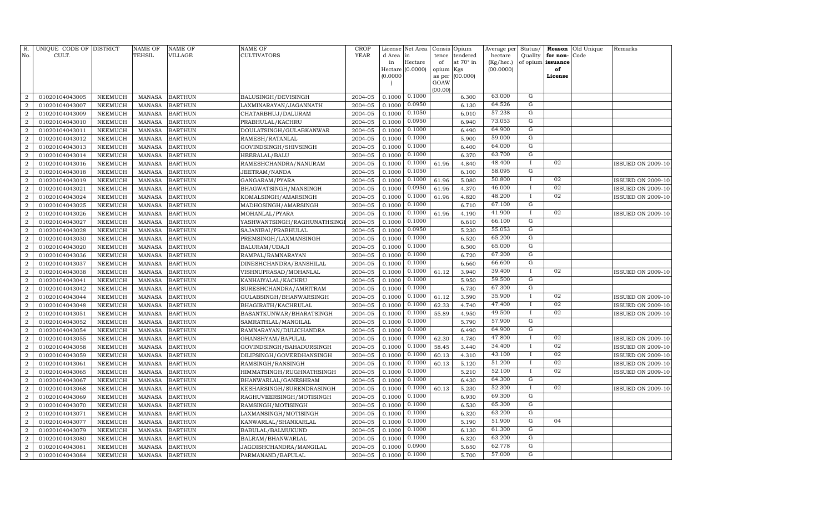| R.<br>No.                        | UNIQUE CODE OF DISTRICT<br>CULT. |                                  | <b>NAME OF</b><br>TEHSIL       | <b>NAME OF</b><br><b>VILLAGE</b> | NAME OF<br><b>CULTIVATORS</b>             | <b>CROP</b><br>YEAR | License<br>d Area | Net Area<br>in   | Consis      | Opium<br>tendered | Average per<br>hectare | Status/<br>Quality | Reason<br>for non- | Old Unique<br>Code | Remarks                  |
|----------------------------------|----------------------------------|----------------------------------|--------------------------------|----------------------------------|-------------------------------------------|---------------------|-------------------|------------------|-------------|-------------------|------------------------|--------------------|--------------------|--------------------|--------------------------|
|                                  |                                  |                                  |                                |                                  |                                           |                     | in                | Hectare          | tence<br>of | at 70° in         | (Kg/hec.)              |                    | of opium issuance  |                    |                          |
|                                  |                                  |                                  |                                |                                  |                                           |                     |                   | Hectare (0.0000) | opium       | Kgs               | (00.0000)              |                    | of                 |                    |                          |
|                                  |                                  |                                  |                                |                                  |                                           |                     | (0.0000)          |                  | as per      | (00.000)          |                        |                    | License            |                    |                          |
|                                  |                                  |                                  |                                |                                  |                                           |                     |                   |                  | GOAW        |                   |                        |                    |                    |                    |                          |
| $\overline{2}$                   | 01020104043005                   | <b>NEEMUCH</b>                   | <b>MANASA</b>                  | <b>BARTHUN</b>                   | BALUSINGH/DEVISINGH                       | 2004-05             | 0.1000            | 0.1000           | (00.00)     | 6.300             | 63.000                 | G                  |                    |                    |                          |
| $\overline{2}$                   | 01020104043007                   | <b>NEEMUCH</b>                   | <b>MANASA</b>                  | <b>BARTHUN</b>                   | LAXMINARAYAN/JAGANNATH                    | 2004-05             | 0.1000            | 0.0950           |             | 6.130             | 64.526                 | G                  |                    |                    |                          |
| $\overline{2}$                   | 01020104043009                   | <b>NEEMUCH</b>                   | <b>MANASA</b>                  | <b>BARTHUN</b>                   | CHATARBHUJ/DALURAM                        | 2004-05             | 0.1000            | 0.1050           |             | 6.010             | 57.238                 | $\mathbf G$        |                    |                    |                          |
| $\overline{2}$                   | 01020104043010                   | <b>NEEMUCH</b>                   | <b>MANASA</b>                  | <b>BARTHUN</b>                   | PRABHULAL/KACHRU                          | 2004-05             | 0.1000            | 0.0950           |             | 6.940             | 73.053                 | $\overline{G}$     |                    |                    |                          |
| $\overline{2}$                   | 01020104043011                   | <b>NEEMUCH</b>                   | <b>MANASA</b>                  | <b>BARTHUN</b>                   | DOULATSINGH/GULABKANWAR                   | 2004-05             | 0.1000            | 0.1000           |             | 6.490             | 64.900                 | $\overline{G}$     |                    |                    |                          |
| $\overline{2}$                   | 01020104043012                   | <b>NEEMUCH</b>                   | <b>MANASA</b>                  | <b>BARTHUN</b>                   | RAMESH/RATANLAL                           | 2004-05             | 0.1000            | 0.1000           |             | 5.900             | 59.000                 | G                  |                    |                    |                          |
| $\overline{2}$                   | 01020104043013                   | <b>NEEMUCH</b>                   | <b>MANASA</b>                  | <b>BARTHUN</b>                   | GOVINDSINGH/SHIVSINGH                     | 2004-05             | 0.1000            | 0.1000           |             | 6.400             | 64.000                 | G                  |                    |                    |                          |
| $\overline{2}$                   | 01020104043014                   | <b>NEEMUCH</b>                   | <b>MANASA</b>                  | <b>BARTHUN</b>                   | HEERALAL/BALU                             | 2004-05             | 0.1000            | 0.1000           |             | 6.370             | 63.700                 | G                  |                    |                    |                          |
| $\overline{a}$                   | 01020104043016                   | <b>NEEMUCH</b>                   | <b>MANASA</b>                  | <b>BARTHUN</b>                   | RAMESHCHANDRA/NANURAM                     | 2004-05             | 0.1000            | 0.1000           | 61.96       | 4.840             | 48.400                 | $\mathbf{I}$       | 02                 |                    | <b>ISSUED ON 2009-10</b> |
| $\overline{2}$                   | 01020104043018                   | <b>NEEMUCH</b>                   | <b>MANASA</b>                  | <b>BARTHUN</b>                   | JEETRAM/NANDA                             | 2004-05             | 0.1000            | 0.1050           |             | 6.100             | 58.095                 | ${\rm G}$          |                    |                    |                          |
| $\overline{a}$                   | 01020104043019                   | <b>NEEMUCH</b>                   | <b>MANASA</b>                  | <b>BARTHUN</b>                   | GANGARAM/PYARA                            | 2004-05             | 0.1000            | 0.1000           | 61.96       | 5.080             | 50.800                 | $\bf{I}$           | 02                 |                    | <b>ISSUED ON 2009-10</b> |
| $\overline{2}$                   | 01020104043021                   | <b>NEEMUCH</b>                   | <b>MANASA</b>                  | <b>BARTHUN</b>                   | BHAGWATSINGH/MANSINGH                     | 2004-05             | 0.1000            | 0.0950           | 61.96       | 4.370             | 46.000                 | $\bf{I}$           | 02                 |                    | <b>ISSUED ON 2009-10</b> |
| $\overline{2}$                   | 01020104043024                   | <b>NEEMUCH</b>                   | <b>MANASA</b>                  | <b>BARTHUN</b>                   | KOMALSINGH/AMARSINGH                      | 2004-05             | 0.1000            | 0.1000           | 61.96       | 4.820             | 48.200                 | $\mathbf{I}$       | 02                 |                    | <b>ISSUED ON 2009-10</b> |
| $\overline{2}$                   | 01020104043025                   | <b>NEEMUCH</b>                   | <b>MANASA</b>                  | <b>BARTHUN</b>                   | MADHOSINGH/AMARSINGH                      | 2004-05             | 0.1000            | 0.1000           |             | 6.710             | 67.100                 | G                  |                    |                    |                          |
| $\overline{2}$                   | 01020104043026                   | <b>NEEMUCH</b>                   | <b>MANASA</b>                  | <b>BARTHUN</b>                   | MOHANLAL/PYARA                            | 2004-05             | 0.1000            | 0.1000           | 61.96       | 4.190             | 41.900                 | $\mathbf I$        | 02                 |                    | <b>ISSUED ON 2009-10</b> |
| $\overline{2}$                   | 01020104043027                   | <b>NEEMUCH</b>                   | <b>MANASA</b>                  | <b>BARTHUN</b>                   | YASHWANTSINGH/RAGHUNATHSING               | 2004-05             | 0.1000            | 0.1000           |             | 6.610             | 66.100                 | G                  |                    |                    |                          |
| $\overline{a}$                   | 01020104043028                   | <b>NEEMUCH</b>                   | <b>MANASA</b>                  | <b>BARTHUN</b>                   | SAJANIBAI/PRABHULAL                       | 2004-05             | 0.1000            | 0.0950           |             | 5.230             | 55.053                 | G                  |                    |                    |                          |
| $\overline{2}$                   | 01020104043030                   | <b>NEEMUCH</b>                   | <b>MANASA</b>                  | <b>BARTHUN</b>                   | PREMSINGH/LAXMANSINGH                     | 2004-05             | 0.1000            | 0.1000           |             | 6.520             | 65.200                 | ${\rm G}$          |                    |                    |                          |
| $\overline{a}$                   | 01020104043020                   | <b>NEEMUCH</b>                   | <b>MANASA</b>                  | <b>BARTHUN</b>                   | BALURAM/UDAJI                             | 2004-05             | 0.1000            | 0.1000           |             | 6.500             | 65.000                 | $\mathbf G$        |                    |                    |                          |
| $\overline{a}$                   | 01020104043036                   | <b>NEEMUCH</b>                   | <b>MANASA</b>                  | <b>BARTHUN</b>                   | RAMPAL/RAMNARAYAN                         | 2004-05             | 0.1000            | 0.1000           |             | 6.720             | 67.200                 | $\mathbf G$        |                    |                    |                          |
| $\overline{2}$                   | 01020104043037                   | <b>NEEMUCH</b>                   | <b>MANASA</b>                  | <b>BARTHUN</b>                   | DINESHCHANDRA/BANSHILAL                   | 2004-05             | 0.1000            | 0.1000           |             | 6.660             | 66.600                 | $\overline{G}$     |                    |                    |                          |
| $\overline{2}$                   | 01020104043038                   | <b>NEEMUCH</b>                   | <b>MANASA</b>                  | <b>BARTHUN</b>                   | VISHNUPRASAD/MOHANLAL                     | 2004-05             | 0.1000            | 0.1000           | 61.12       | 3.940             | 39.400                 | $\bf{I}$           | 02                 |                    | <b>ISSUED ON 2009-10</b> |
| 2                                | 01020104043041                   | <b>NEEMUCH</b>                   | <b>MANASA</b>                  | <b>BARTHUN</b>                   | KANHAIYALAL/KACHRU                        | 2004-05             | 0.1000            | 0.1000           |             | 5.950             | 59.500                 | G                  |                    |                    |                          |
| $\overline{2}$                   | 01020104043042                   | <b>NEEMUCH</b>                   | <b>MANASA</b>                  | <b>BARTHUN</b>                   | SURESHCHANDRA/AMRITRAM                    | 2004-05             | 0.1000            | 0.1000           |             | 6.730             | 67.300                 | G                  |                    |                    |                          |
| $\overline{2}$                   | 01020104043044                   | <b>NEEMUCH</b>                   | <b>MANASA</b>                  | <b>BARTHUN</b>                   | GULABSINGH/BHANWARSINGH                   | 2004-05             | 0.1000            | 0.1000           | 61.12       | 3.590             | 35.900                 | $\bf{I}$           | 02                 |                    | <b>ISSUED ON 2009-10</b> |
| $\overline{2}$                   | 01020104043048                   | <b>NEEMUCH</b>                   | <b>MANASA</b>                  | <b>BARTHUN</b>                   | BHAGIRATH/KACHRULAL                       | $2004 - 05$         | 0.1000            | 0.1000           | 62.33       | 4.740             | 47.400                 | $\bf{I}$           | 02                 |                    | <b>ISSUED ON 2009-10</b> |
| $\overline{a}$                   | 01020104043051                   | <b>NEEMUCH</b>                   | <b>MANASA</b>                  | <b>BARTHUN</b>                   | BASANTKUNWAR/BHARATSINGH                  | 2004-05             | 0.1000            | 0.1000           | 55.89       | 4.950             | 49.500                 | $\bf{I}$           | 02                 |                    | <b>ISSUED ON 2009-10</b> |
| $\overline{2}$                   | 01020104043052                   | <b>NEEMUCH</b>                   | <b>MANASA</b>                  | <b>BARTHUN</b>                   | SAMRATHLAL/MANGILAL                       | 2004-05             | 0.1000            | 0.1000           |             | 5.790             | 57.900                 | G                  |                    |                    |                          |
| 2                                | 01020104043054                   | <b>NEEMUCH</b>                   | <b>MANASA</b>                  | <b>BARTHUN</b>                   | RAMNARAYAN/DULICHANDRA                    | 2004-05             | 0.1000            | 0.1000           |             | 6.490             | 64.900                 | $\overline{G}$     |                    |                    |                          |
| $\overline{2}$                   | 01020104043055                   | <b>NEEMUCH</b>                   | <b>MANASA</b>                  | <b>BARTHUN</b>                   | GHANSHYAM/BAPULAL                         | 2004-05             | 0.1000            | 0.1000           | 62.30       | 4.780             | 47.800                 | -1                 | 02                 |                    | <b>ISSUED ON 2009-10</b> |
| $\overline{2}$                   | 01020104043058                   | <b>NEEMUCH</b>                   | <b>MANASA</b>                  | <b>BARTHUN</b>                   | GOVINDSINGH/BAHADURSINGH                  | 2004-05             | 0.1000            | 0.1000           | 58.45       | 3.440             | 34.400                 | $\mathbf I$        | 02                 |                    | <b>ISSUED ON 2009-10</b> |
| $\overline{2}$                   | 01020104043059                   | <b>NEEMUCH</b>                   | <b>MANASA</b>                  | <b>BARTHUN</b>                   | DILIPSINGH/GOVERDHANSINGH                 | $2004 - 05$         | 0.1000            | 0.1000           | 60.13       | 4.310             | 43.100                 | $\bf{I}$           | 02                 |                    | <b>ISSUED ON 2009-10</b> |
| $\overline{2}$                   | 01020104043061                   | <b>NEEMUCH</b>                   | <b>MANASA</b>                  | <b>BARTHUN</b>                   | RAMSINGH/RANSINGH                         | 2004-05             | 0.1000            | 0.1000           | 60.13       | 5.120             | 51.200                 | $\bf{I}$           | 02<br>02           |                    | <b>ISSUED ON 2009-10</b> |
| $\overline{2}$                   | 01020104043065                   | <b>NEEMUCH</b>                   | <b>MANASA</b>                  | <b>BARTHUN</b>                   | HIMMATSINGH/RUGHNATHSINGH                 | 2004-05             | 0.1000            | 0.1000           |             | 5.210             | 52.100                 | $\bf{I}$<br>G      |                    |                    | <b>ISSUED ON 2009-10</b> |
| $\overline{a}$                   | 01020104043067                   | <b>NEEMUCH</b>                   | <b>MANASA</b>                  | <b>BARTHUN</b>                   | BHANWARLAL/GANESHRAM                      | 2004-05             | 0.1000            | 0.1000           |             | 6.430             | 64.300<br>52.300       | $\bf{I}$           | 02                 |                    |                          |
| $\overline{2}$                   | 01020104043068                   | <b>NEEMUCH</b>                   | <b>MANASA</b>                  | <b>BARTHUN</b>                   | KESHARSINGH/SURENDRASINGH                 | 2004-05             | 0.1000            | 0.1000<br>0.1000 | 60.13       | 5.230             | 69.300                 | $\overline{G}$     |                    |                    | <b>ISSUED ON 2009-10</b> |
| $\overline{a}$                   | 01020104043069                   | <b>NEEMUCH</b>                   | <b>MANASA</b>                  | <b>BARTHUN</b>                   | RAGHUVEERSINGH/MOTISINGH                  | 2004-05             | 0.1000            | 0.1000           |             | 6.930             | 65.300                 | $\mathbf G$        |                    |                    |                          |
| $\overline{a}$<br>$\overline{a}$ | 01020104043070                   | <b>NEEMUCH</b>                   | <b>MANASA</b>                  | <b>BARTHUN</b>                   | RAMSINGH/MOTISINGH                        | 2004-05<br>2004-05  | 0.1000            | 0.1000           |             | 6.530<br>6.320    | 63.200                 | $\overline{G}$     |                    |                    |                          |
| $\overline{2}$                   | 01020104043071                   | <b>NEEMUCH</b>                   | <b>MANASA</b>                  | <b>BARTHUN</b>                   | LAXMANSINGH/MOTISINGH                     | 2004-05             | 0.1000<br>0.1000  | 0.1000           |             |                   | 51.900                 | G                  | 04                 |                    |                          |
| $\overline{2}$                   | 01020104043077<br>01020104043079 | <b>NEEMUCH</b><br><b>NEEMUCH</b> | <b>MANASA</b><br><b>MANASA</b> | <b>BARTHUN</b><br><b>BARTHUN</b> | KANWARLAL/SHANKARLAL<br>BABULAL/BALMUKUND | 2004-05             | 0.1000            | 0.1000           |             | 5.190<br>6.130    | 61.300                 | G                  |                    |                    |                          |
| $\overline{2}$                   | 01020104043080                   | <b>NEEMUCH</b>                   | <b>MANASA</b>                  | <b>BARTHUN</b>                   | BALRAM/BHANWARLAL                         | 2004-05             | 0.1000            | 0.1000           |             | 6.320             | 63.200                 | G                  |                    |                    |                          |
| $\overline{2}$                   | 01020104043081                   | <b>NEEMUCH</b>                   | <b>MANASA</b>                  | <b>BARTHUN</b>                   | JAGDISHCHANDRA/MANGILAL                   | 2004-05             | 0.1000            | 0.0900           |             | 5.650             | 62.778                 | G                  |                    |                    |                          |
| $\overline{a}$                   | 01020104043084                   | NEEMUCH                          | MANASA                         | <b>BARTHUN</b>                   | PARMANAND/BAPULAL                         | 2004-05             | 0.1000            | 0.1000           |             | 5.700             | 57.000                 | G                  |                    |                    |                          |
|                                  |                                  |                                  |                                |                                  |                                           |                     |                   |                  |             |                   |                        |                    |                    |                    |                          |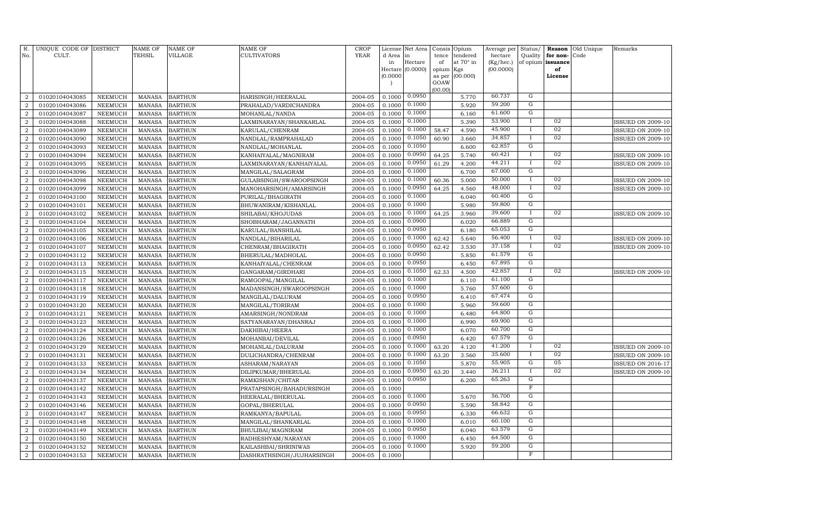| R.<br>No.      | UNIQUE CODE OF DISTRICT<br>CULT. |                | <b>NAME OF</b><br>TEHSIL | NAME OF<br>VILLAGE | NAME OF<br>CULTIVATORS    | <b>CROP</b><br><b>YEAR</b> | d Area in<br>in | License Net Area<br>Hectare | Consis<br>tence<br>of | Opium<br>tendered<br>at 70° in | Average per<br>hectare<br>(Kg/hec.) | Status/<br>Quality<br>of opium | Reason<br>for non-<br>issuance | Old Unique<br>Code | Remarks                  |
|----------------|----------------------------------|----------------|--------------------------|--------------------|---------------------------|----------------------------|-----------------|-----------------------------|-----------------------|--------------------------------|-------------------------------------|--------------------------------|--------------------------------|--------------------|--------------------------|
|                |                                  |                |                          |                    |                           |                            |                 | Hectare (0.0000)            | opium                 | Kgs                            | (00.0000)                           |                                | of                             |                    |                          |
|                |                                  |                |                          |                    |                           |                            | (0.0000)        |                             | as per                | (00.000)                       |                                     |                                | License                        |                    |                          |
|                |                                  |                |                          |                    |                           |                            |                 |                             | GOAW<br>(00.00)       |                                |                                     |                                |                                |                    |                          |
| $\overline{2}$ | 01020104043085                   | NEEMUCH        | <b>MANASA</b>            | <b>BARTHUN</b>     | HARISINGH/HEERALAL        | 2004-05                    | 0.1000          | 0.0950                      |                       | 5.770                          | 60.737                              | G                              |                                |                    |                          |
| $\overline{2}$ | 01020104043086                   | <b>NEEMUCH</b> | <b>MANASA</b>            | <b>BARTHUN</b>     | PRAHALAD/VARDICHANDRA     | 2004-05                    | 0.1000          | 0.1000                      |                       | 5.920                          | 59.200                              | ${\rm G}$                      |                                |                    |                          |
| $\overline{2}$ | 01020104043087                   | NEEMUCH        | <b>MANASA</b>            | <b>BARTHUN</b>     | MOHANLAL/NANDA            | 2004-05                    | 0.1000          | 0.1000                      |                       | 6.160                          | 61.600                              | ${\rm G}$                      |                                |                    |                          |
| $\overline{2}$ | 01020104043088                   | <b>NEEMUCH</b> | MANASA                   | <b>BARTHUN</b>     | LAXMINARAYAN/SHANKARLAL   | 2004-05                    | 0.1000          | 0.1000                      |                       | 5.390                          | 53.900                              |                                | 02                             |                    | ISSUED ON 2009-10        |
| $\overline{a}$ | 01020104043089                   | <b>NEEMUCH</b> | <b>MANASA</b>            | <b>BARTHUN</b>     | KARULAL/CHENRAM           | 2004-05                    | 0.1000          | 0.1000                      | 58.47                 | 4.590                          | 45.900                              | $\mathbf{I}$                   | 02                             |                    | <b>ISSUED ON 2009-10</b> |
| $\overline{2}$ | 01020104043090                   | <b>NEEMUCH</b> | <b>MANASA</b>            | <b>BARTHUN</b>     | NANDLAL/RAMPRAHALAD       | 2004-05                    | 0.1000          | 0.1050                      | 60.90                 | 3.660                          | 34.857                              | $\mathbf{I}$                   | 02                             |                    | ISSUED ON 2009-10        |
| $\overline{2}$ | 01020104043093                   | <b>NEEMUCH</b> | <b>MANASA</b>            | <b>BARTHUN</b>     | NANDLAL/MOHANLAL          | 2004-05                    | 0.1000          | 0.1050                      |                       | 6.600                          | 62.857                              | G                              |                                |                    |                          |
| $\overline{2}$ | 01020104043094                   | <b>NEEMUCH</b> | <b>MANASA</b>            | <b>BARTHUN</b>     | KANHAIYALAL/MAGNIRAM      | 2004-05                    | 0.1000          | 0.0950                      | 64.25                 | 5.740                          | 60.421                              | $\mathbf{I}$                   | 02                             |                    | ISSUED ON 2009-10        |
| $\overline{a}$ | 01020104043095                   | <b>NEEMUCH</b> | <b>MANASA</b>            | <b>BARTHUN</b>     | LAXMINARAYAN/KANHAIYALAL  | 2004-05                    | 0.1000          | 0.0950                      | 61.29                 | 4.200                          | 44.211                              | $\mathbf{I}$                   | 02                             |                    | <b>ISSUED ON 2009-10</b> |
| $\overline{2}$ | 01020104043096                   | <b>NEEMUCH</b> | <b>MANASA</b>            | <b>BARTHUN</b>     | MANGILAL/SALAGRAM         | 2004-05                    | 0.1000          | 0.1000                      |                       | 6.700                          | 67.000                              | ${\rm G}$                      |                                |                    |                          |
| $\overline{a}$ | 01020104043098                   | <b>NEEMUCH</b> | <b>MANASA</b>            | <b>BARTHUN</b>     | GULABSINGH/SWAROOPSINGH   | 2004-05                    | 0.1000          | 0.1000                      | 60.36                 | 5.000                          | 50.000                              | $\mathbf{I}$                   | 02                             |                    | <b>ISSUED ON 2009-10</b> |
| $\overline{a}$ | 01020104043099                   | <b>NEEMUCH</b> | <b>MANASA</b>            | <b>BARTHUN</b>     | MANOHARSINGH/AMARSINGH    | 2004-05                    | 0.1000          | 0.0950                      | 64.25                 | 4.560                          | 48.000                              | $\mathbf{I}$                   | 02                             |                    | <b>ISSUED ON 2009-10</b> |
| $\overline{2}$ | 01020104043100                   | <b>NEEMUCH</b> | <b>MANASA</b>            | <b>BARTHUN</b>     | PURILAL/BHAGIRATH         | 2004-05                    | 0.1000          | 0.1000                      |                       | 6.040                          | 60.400                              | G                              |                                |                    |                          |
| $\overline{2}$ | 01020104043101                   | <b>NEEMUCH</b> | <b>MANASA</b>            | <b>BARTHUN</b>     | BHUWANIRAM/KISHANLAL      | 2004-05                    | 0.1000          | 0.1000                      |                       | 5.980                          | 59.800                              | G                              |                                |                    |                          |
| 2              | 01020104043102                   | <b>NEEMUCH</b> | <b>MANASA</b>            | <b>BARTHUN</b>     | SHILABAI/KHOJUDAS         | 2004-05                    | 0.1000          | 0.1000                      | 64.25                 | 3.960                          | 39.600                              | $\mathbf{I}$                   | 02                             |                    | <b>ISSUED ON 2009-10</b> |
| $\overline{2}$ | 01020104043104                   | <b>NEEMUCH</b> | <b>MANASA</b>            | <b>BARTHUN</b>     | SHOBHARAM/JAGANNATH       | 2004-05                    | 0.1000          | 0.0900                      |                       | 6.020                          | 66.889                              | G                              |                                |                    |                          |
| 2              | 01020104043105                   | <b>NEEMUCH</b> | <b>MANASA</b>            | <b>BARTHUN</b>     | KARULAL/BANSHILAL         | 2004-05                    | 0.1000          | 0.0950                      |                       | 6.180                          | 65.053                              | G                              |                                |                    |                          |
| $\overline{2}$ | 01020104043106                   | <b>NEEMUCH</b> | <b>MANASA</b>            | <b>BARTHUN</b>     | NANDLAL/BIHARILAL         | 2004-05                    | 0.1000          | 0.1000                      | 62.42                 | 5.640                          | 56.400                              |                                | 02                             |                    | ISSUED ON 2009-10        |
| $\overline{a}$ | 01020104043107                   | <b>NEEMUCH</b> | <b>MANASA</b>            | <b>BARTHUN</b>     | CHENRAM/BHAGIRATH         | 2004-05                    | 0.1000          | 0.0950                      | 62.42                 | 3.530                          | 37.158                              | $\mathbf{I}$                   | 02                             |                    | <b>ISSUED ON 2009-10</b> |
| $\overline{2}$ | 01020104043112                   | <b>NEEMUCH</b> | <b>MANASA</b>            | <b>BARTHUN</b>     | BHERULAL/MADHOLAL         | 2004-05                    | 0.1000          | 0.0950                      |                       | 5.850                          | 61.579                              | G                              |                                |                    |                          |
| $\overline{2}$ | 01020104043113                   | <b>NEEMUCH</b> | <b>MANASA</b>            | <b>BARTHUN</b>     | KANHAIYALAL/CHENRAM       | 2004-05                    | 0.1000          | 0.0950                      |                       | 6.450                          | 67.895                              | ${\rm G}$                      |                                |                    |                          |
| $\overline{2}$ | 01020104043115                   | <b>NEEMUCH</b> | <b>MANASA</b>            | <b>BARTHUN</b>     | GANGARAM/GIRDHARI         | 2004-05                    | 0.1000          | 0.1050                      | 62.33                 | 4.500                          | 42.857                              |                                | 02                             |                    | <b>ISSUED ON 2009-10</b> |
| $\overline{2}$ | 01020104043117                   | <b>NEEMUCH</b> | <b>MANASA</b>            | <b>BARTHUN</b>     | RAMGOPAL/MANGILAL         | 2004-05                    | 0.1000          | 0.1000                      |                       | 6.110                          | 61.100                              | $\overline{G}$                 |                                |                    |                          |
| $\overline{2}$ | 01020104043118                   | <b>NEEMUCH</b> | <b>MANASA</b>            | <b>BARTHUN</b>     | MADANSINGH/SWAROOPSINGH   | 2004-05                    | 0.1000          | 0.1000                      |                       | 5.760                          | 57.600                              | G                              |                                |                    |                          |
| $\overline{2}$ | 01020104043119                   | <b>NEEMUCH</b> | <b>MANASA</b>            | <b>BARTHUN</b>     | MANGILAL/DALURAM          | 2004-05                    | 0.1000          | 0.0950                      |                       | 6.410                          | 67.474                              | G                              |                                |                    |                          |
| $\overline{2}$ | 01020104043120                   | <b>NEEMUCH</b> | <b>MANASA</b>            | <b>BARTHUN</b>     | MANGILAL/TORIRAM          | 2004-05                    | 0.1000          | 0.1000                      |                       | 5.960                          | 59.600                              | G                              |                                |                    |                          |
| $\overline{2}$ | 01020104043121                   | <b>NEEMUCH</b> | <b>MANASA</b>            | <b>BARTHUN</b>     | AMARSINGH/NONDRAM         | 2004-05                    | 0.1000          | 0.1000                      |                       | 6.480                          | 64.800                              | $\mathbf G$                    |                                |                    |                          |
| $\overline{2}$ | 01020104043123                   | <b>NEEMUCH</b> | <b>MANASA</b>            | <b>BARTHUN</b>     | SATYANARAYAN/DHANRAJ      | 2004-05                    | 0.1000          | 0.1000                      |                       | 6.990                          | 69.900                              | G                              |                                |                    |                          |
| $\overline{2}$ | 01020104043124                   | <b>NEEMUCH</b> | <b>MANASA</b>            | <b>BARTHUN</b>     | DAKHIBAI/HEERA            | 2004-05                    | 0.1000          | 0.1000                      |                       | 6.070                          | 60.700                              | ${\rm G}$                      |                                |                    |                          |
| $\overline{2}$ | 01020104043126                   | NEEMUCH        | <b>MANASA</b>            | <b>BARTHUN</b>     | MOHANBAI/DEVILAL          | 2004-05                    | 0.1000          | 0.0950                      |                       | 6.420                          | 67.579                              | G                              |                                |                    |                          |
| $\overline{2}$ | 01020104043129                   | NEEMUCH        | <b>MANASA</b>            | <b>BARTHUN</b>     | MOHANLAL/DALURAM          | 2004-05                    | 0.1000          | 0.1000                      | 63.20                 | 4.120                          | 41.200                              | $\mathbf{I}$                   | 02                             |                    | <b>ISSUED ON 2009-10</b> |
| $\overline{2}$ | 01020104043131                   | NEEMUCH        | <b>MANASA</b>            | <b>BARTHUN</b>     | DULICHANDRA/CHENRAM       | 2004-05                    | 0.1000          | 0.1000                      | 63.20                 | 3.560                          | 35.600                              | $\mathbf{I}$                   | 02                             |                    | <b>ISSUED ON 2009-10</b> |
| $\overline{2}$ | 01020104043133                   | NEEMUCH        | <b>MANASA</b>            | <b>BARTHUN</b>     | ASHARAM/NARAYAN           | 2004-05                    | 0.1000          | 0.1050                      |                       | 5.870                          | 55.905                              | G                              | 05                             |                    | <b>ISSUED ON 2016-17</b> |
| $\overline{a}$ | 01020104043134                   | NEEMUCH        | <b>MANASA</b>            | <b>BARTHUN</b>     | DILIPKUMAR/BHERULAL       | 2004-05                    | 0.1000          | 0.0950                      | 63.20                 | 3.440                          | 36.211                              | $\mathbf{I}$                   | 02                             |                    | <b>ISSUED ON 2009-10</b> |
| $\overline{2}$ | 01020104043137                   | NEEMUCH        | <b>MANASA</b>            | <b>BARTHUN</b>     | RAMKISHAN/CHITAR          | 2004-05                    | 0.1000          | 0.0950                      |                       | 6.200                          | 65.263                              | G                              |                                |                    |                          |
| $\overline{2}$ | 01020104043142                   | <b>NEEMUCH</b> | <b>MANASA</b>            | <b>BARTHUN</b>     | PRATAPSINGH/BAHADURSINGH  | 2004-05                    | 0.1000          |                             |                       |                                |                                     | $\overline{F}$                 |                                |                    |                          |
| $\overline{2}$ | 01020104043143                   | NEEMUCH        | <b>MANASA</b>            | <b>BARTHUN</b>     | HEERALAL/BHERULAL         | 2004-05                    | 0.1000          | 0.1000                      |                       | 5.670                          | 56.700<br>58.842                    | $\mathbf G$<br>$\mathbf G$     |                                |                    |                          |
| $\overline{2}$ | 01020104043146                   | <b>NEEMUCH</b> | <b>MANASA</b>            | <b>BARTHUN</b>     | GOPAL/BHERULAL            | 2004-05                    | 0.1000          | 0.0950                      |                       | 5.590                          |                                     |                                |                                |                    |                          |
| $\overline{2}$ | 01020104043147                   | NEEMUCH        | <b>MANASA</b>            | <b>BARTHUN</b>     | RAMKANYA/BAPULAL          | 2004-05                    | 0.1000          | 0.0950                      |                       | 6.330                          | 66.632<br>60.100                    | $\overline{G}$<br>G            |                                |                    |                          |
| $\overline{2}$ | 01020104043148                   | NEEMUCH        | <b>MANASA</b>            | <b>BARTHUN</b>     | MANGILAL/SHANKARLAL       | 2004-05                    | 0.1000          | 0.1000                      |                       | 6.010                          | 63.579                              | G                              |                                |                    |                          |
| $\overline{2}$ | 01020104043149                   | NEEMUCH        | <b>MANASA</b>            | <b>BARTHUN</b>     | BHULIBAI/MAGNIRAM         | 2004-05                    | 0.1000          | 0.0950<br>0.1000            |                       | 6.040                          | 64.500                              | G                              |                                |                    |                          |
| $\overline{a}$ | 01020104043150                   | <b>NEEMUCH</b> | <b>MANASA</b>            | <b>BARTHUN</b>     | RADHESHYAM/NARAYAN        | 2004-05                    | 0.1000          | 0.1000                      |                       | 6.450                          | 59.200                              | G                              |                                |                    |                          |
| $\overline{2}$ | 01020104043152                   | NEEMUCH        | <b>MANASA</b>            | <b>BARTHUN</b>     | KAILASHBAI/SHRINIWAS      | 2004-05                    | 0.1000          |                             |                       | 5.920                          |                                     | $\overline{F}$                 |                                |                    |                          |
| $\overline{2}$ | 01020104043153                   | NEEMUCH        | MANASA                   | <b>BARTHUN</b>     | DASHRATHSINGH/JUJHARSINGH | 2004-05                    | 0.1000          |                             |                       |                                |                                     |                                |                                |                    |                          |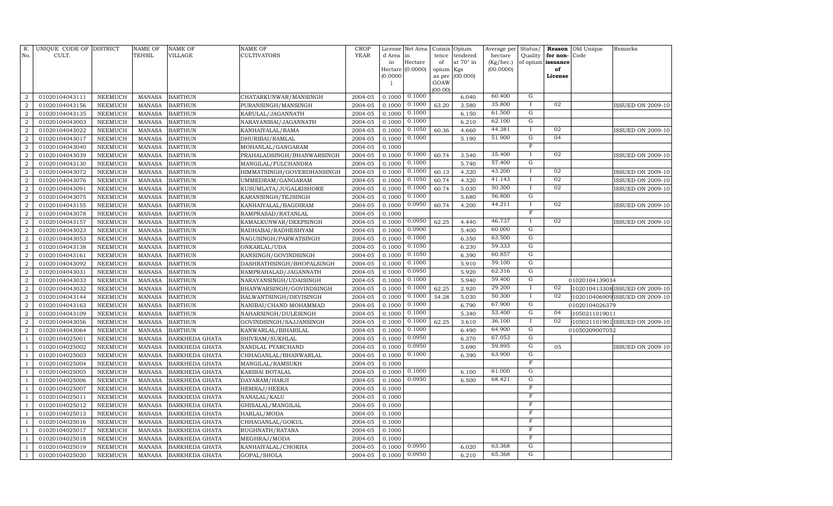| R.<br>No.        | UNIQUE CODE OF DISTRICT<br>CULT. |                | <b>NAME OF</b><br><b>TEHSIL</b> | <b>NAME OF</b><br>VILLAGE | <b>NAME OF</b><br>CULTIVATORS | <b>CROP</b><br><b>YEAR</b> |              | License Net Area | Consis      | Opium                 | Average per          | Status/             | Reason               | Old Unique     | Remarks                        |
|------------------|----------------------------------|----------------|---------------------------------|---------------------------|-------------------------------|----------------------------|--------------|------------------|-------------|-----------------------|----------------------|---------------------|----------------------|----------------|--------------------------------|
|                  |                                  |                |                                 |                           |                               |                            | d Area<br>in | in<br>Hectare    | tence<br>of | tendered<br>at 70° in | hectare<br>(Kg/hec.) | Quality<br>of opium | for non-<br>issuance | Code           |                                |
|                  |                                  |                |                                 |                           |                               |                            | Hectare      | (0.0000)         | opium       | Kgs                   | (00.0000)            |                     | of                   |                |                                |
|                  |                                  |                |                                 |                           |                               |                            | (0.0000)     |                  | as per      | (00.000)              |                      |                     | License              |                |                                |
|                  |                                  |                |                                 |                           |                               |                            |              |                  | GOAW        |                       |                      |                     |                      |                |                                |
| $\overline{2}$   | 01020104043111                   | NEEMUCH        | <b>MANASA</b>                   | <b>BARTHUN</b>            | CHATARKUNWAR/MANSINGH         | 2004-05                    | 0.1000       | 0.1000           | (00.00)     | 6.040                 | 60.400               | G                   |                      |                |                                |
| $\overline{a}$   | 01020104043156                   | NEEMUCH        | <b>MANASA</b>                   | <b>BARTHUN</b>            | PURANSINGH/MANSINGH           | 2004-05                    | 0.1000       | 0.1000           | 63.20       | 3.580                 | 35.800               | $\mathbf{I}$        | 02                   |                | <b>ISSUED ON 2009-10</b>       |
| $\boldsymbol{2}$ | 01020104043135                   | NEEMUCH        | <b>MANASA</b>                   | <b>BARTHUN</b>            | KARULAL/JAGANNATH             | 2004-05                    | 0.1000       | 0.1000           |             | 6.150                 | 61.500               | $\mathbf G$         |                      |                |                                |
| $\overline{2}$   | 01020104043003                   | NEEMUCH        | <b>MANASA</b>                   | <b>BARTHUN</b>            | NARAYANIBAI/JAGANNATH         | 2004-05                    | 0.1000       | 0.1000           |             | 6.210                 | 62.100               | G                   |                      |                |                                |
| $\overline{2}$   | 01020104043022                   | NEEMUCH        | <b>MANASA</b>                   | <b>BARTHUN</b>            | KANHAIYALAL/RAMA              | 2004-05                    | 0.1000       | 0.1050           | 60.36       | 4.660                 | 44.381               | Ι                   | 02                   |                | <b>ISSUED ON 2009-10</b>       |
| $\boldsymbol{2}$ | 01020104043017                   | <b>NEEMUCH</b> | <b>MANASA</b>                   | <b>BARTHUN</b>            | DHURIBAI/RAMLAL               | 2004-05                    | 0.1000       | 0.1000           |             | 5.190                 | 51.900               | G                   | 04                   |                |                                |
| $\overline{2}$   | 01020104043040                   | NEEMUCH        | <b>MANASA</b>                   | <b>BARTHUN</b>            | MOHANLAL/GANGARAM             | 2004-05                    | 0.1000       |                  |             |                       |                      | $\mathbf F$         |                      |                |                                |
| $\boldsymbol{2}$ | 01020104043039                   | NEEMUCH        | <b>MANASA</b>                   | <b>BARTHUN</b>            | PRAHALADSINGH/BHANWARSINGH    | 2004-05                    | 0.1000       | 0.1000           | 60.74       | 3.540                 | 35.400               | Ι                   | 02                   |                | <b>ISSUED ON 2009-10</b>       |
| $\boldsymbol{2}$ | 01020104043130                   | NEEMUCH        | <b>MANASA</b>                   | <b>BARTHUN</b>            | MANGILAL/FULCHANDRA           | 2004-05                    | 0.1000       | 0.1000           |             | 5.740                 | 57.400               | ${\rm G}$           |                      |                |                                |
| $\boldsymbol{2}$ | 01020104043072                   | NEEMUCH        | <b>MANASA</b>                   | <b>BARTHUN</b>            | HIMMATSINGH/GOVERDHANSINGH    | 2004-05                    | 0.1000       | 0.1000           | 60.13       | 4.320                 | 43.200               | $\mathbf{I}$        | 02                   |                | <b>ISSUED ON 2009-10</b>       |
| $\boldsymbol{2}$ | 01020104043076                   | NEEMUCH        | <b>MANASA</b>                   | <b>BARTHUN</b>            | UMMEDRAM/GANGARAM             | 2004-05                    | 0.1000       | 0.1050           | 60.74       | 4.320                 | 41.143               | $\mathbf I$         | 02                   |                | <b>ISSUED ON 2009-10</b>       |
| $\overline{a}$   | 01020104043091                   | NEEMUCH        | <b>MANASA</b>                   | <b>BARTHUN</b>            | KUSUMLATA/JUGALKISHORE        | 2004-05                    | 0.1000       | 0.1000           | 60.74       | 5.030                 | 50.300               | $\bf{I}$            | 02                   |                | <b>ISSUED ON 2009-10</b>       |
| $\overline{2}$   | 01020104043075                   | NEEMUCH        | <b>MANASA</b>                   | <b>BARTHUN</b>            | KARANSINGH/TEJSINGH           | 2004-05                    | 0.1000       | 0.1000           |             | 5.680                 | 56.800               | G                   |                      |                |                                |
| $\overline{2}$   | 01020104043155                   | <b>NEEMUCH</b> | <b>MANASA</b>                   | <b>BARTHUN</b>            | KANHAIYALAL/BAGDIRAM          | 2004-05                    | 0.1000       | 0.0950           | 60.74       | 4.200                 | 44.211               | $\mathbf I$         | 02                   |                | <b>ISSUED ON 2009-10</b>       |
| $\boldsymbol{2}$ | 01020104043078                   | NEEMUCH        | <b>MANASA</b>                   | <b>BARTHUN</b>            | RAMPRASAD/RATANLAL            | 2004-05                    | 0.1000       |                  |             |                       |                      | $\mathbb F$         |                      |                |                                |
| $\overline{2}$   | 01020104043157                   | <b>NEEMUCH</b> | <b>MANASA</b>                   | <b>BARTHUN</b>            | KAMALKUNWAR/DEEPSINGH         | 2004-05                    | 0.1000       | 0.0950           | 62.25       | 4.440                 | 46.737               | $\bf{I}$            | 02                   |                | <b>ISSUED ON 2009-10</b>       |
| $\boldsymbol{2}$ | 01020104043023                   | NEEMUCH        | <b>MANASA</b>                   | <b>BARTHUN</b>            | RADHABAI/RADHESHYAM           | 2004-05                    | 0.1000       | 0.0900           |             | 5.400                 | 60.000               | G                   |                      |                |                                |
| $\boldsymbol{2}$ | 01020104043053                   | <b>NEEMUCH</b> | <b>MANASA</b>                   | <b>BARTHUN</b>            | NAGUSINGH/PARWATSINGH         | 2004-05                    | 0.1000       | 0.1000           |             | 6.350                 | 63.500               | G                   |                      |                |                                |
| $\boldsymbol{2}$ | 01020104043138                   | NEEMUCH        | <b>MANASA</b>                   | <b>BARTHUN</b>            | ONKARLAL/UDA                  | 2004-05                    | 0.1000       | 0.1050           |             | 6.230                 | 59.333               | $\mathbf G$         |                      |                |                                |
| $\boldsymbol{2}$ | 01020104043161                   | NEEMUCH        | <b>MANASA</b>                   | <b>BARTHUN</b>            | RANSINGH/GOVINDSINGH          | 2004-05                    | 0.1000       | 0.1050           |             | 6.390                 | 60.857               | G                   |                      |                |                                |
| $\overline{2}$   | 01020104043092                   | NEEMUCH        | <b>MANASA</b>                   | <b>BARTHUN</b>            | DASHRATHSINGH/BHOPALSINGH     | 2004-05                    | 0.1000       | 0.1000           |             | 5.910                 | 59.100               | G                   |                      |                |                                |
| $\overline{2}$   | 01020104043031                   | <b>NEEMUCH</b> | <b>MANASA</b>                   | <b>BARTHUN</b>            | RAMPRAHALAD/JAGANNATH         | 2004-05                    | 0.1000       | 0.0950           |             | 5.920                 | 62.316               | G                   |                      |                |                                |
| $\boldsymbol{2}$ | 01020104043033                   | NEEMUCH        | <b>MANASA</b>                   | <b>BARTHUN</b>            | NARAYANSINGH/UDAISINGH        | 2004-05                    | 0.1000       | 0.1000           |             | 5.940                 | 59.400               | G                   |                      | 01020104139034 |                                |
| $\overline{2}$   | 01020104043032                   | <b>NEEMUCH</b> | <b>MANASA</b>                   | <b>BARTHUN</b>            | BHANWARSINGH/GOVINDSINGH      | 2004-05                    | 0.1000       | 0.1000           | 62.25       | 2.920                 | 29.200               | <b>I</b>            | 02                   |                | 102010413308ISSUED ON 2009-10  |
| $\overline{2}$   | 01020104043144                   | <b>NEEMUCH</b> | <b>MANASA</b>                   | <b>BARTHUN</b>            | BALWANTSINGH/DEVISINGH        | 2004-05                    | 0.1000       | 0.1000           | 54.28       | 5.030                 | 50.300               | $\bf{I}$            | 02                   |                | 102010406909 ISSUED ON 2009-10 |
| $\overline{2}$   | 01020104043163                   | NEEMUCH        | <b>MANASA</b>                   | <b>BARTHUN</b>            | NANIBAI/CHAND MOHAMMAD        | 2004-05                    | 0.1000       | 0.1000           |             | 6.790                 | 67.900               | G                   |                      | 01020104026379 |                                |
| $\boldsymbol{2}$ | 01020104043109                   | NEEMUCH        | <b>MANASA</b>                   | <b>BARTHUN</b>            | NAHARSINGH/DULESINGH          | 2004-05                    | 0.1000       | 0.1000           |             | 5.340                 | 53.400               | $\mathbf G$         | 04                   | 1050211019011  |                                |
| $\boldsymbol{2}$ | 01020104043056                   | NEEMUCH        | <b>MANASA</b>                   | <b>BARTHUN</b>            | GOVINDSINGH/SAJJANSINGH       | 2004-05                    | 0.1000       | 0.1000           | 62.25       | 3.610                 | 36.100               | $\bf{I}$            | 02                   |                | 105021101901 ISSUED ON 2009-10 |
| $\boldsymbol{2}$ | 01020104043064                   | NEEMUCH        | <b>MANASA</b>                   | <b>BARTHUN</b>            | KANWARLAL/BIHARILAL           | 2004-05                    | 0.1000       | 0.1000           |             | 6.490                 | 64.900               | G                   |                      | 01050209007052 |                                |
| $\overline{1}$   | 01020104025001                   | <b>NEEMUCH</b> | <b>MANASA</b>                   | <b>BARKHEDA GHATA</b>     | SHIVRAM/SUKHLAL               | 2004-05                    | 0.1000       | 0.0950           |             | 6.370                 | 67.053               | $\overline{G}$      |                      |                |                                |
| -1               | 01020104025002                   | <b>NEEMUCH</b> | <b>MANASA</b>                   | <b>BARKHEDA GHATA</b>     | NANDLAL PYARCHAND             | 2004-05                    | 0.1000       | 0.0950           |             | 5.690                 | 59.895               | G                   | 05                   |                | <b>ISSUED ON 2009-10</b>       |
| -1               | 01020104025003                   | <b>NEEMUCH</b> | <b>MANASA</b>                   | <b>BARKHEDA GHATA</b>     | CHHAGANLAL/BHANWARLAL         | 2004-05                    | 0.1000       | 0.1000           |             | 6.390                 | 63.900               | G                   |                      |                |                                |
| $\overline{1}$   | 01020104025004                   | <b>NEEMUCH</b> | <b>MANASA</b>                   | <b>BARKHEDA GHATA</b>     | MANGILAL/RAMSUKH              | 2004-05                    | 0.1000       |                  |             |                       |                      | F                   |                      |                |                                |
|                  | 01020104025005                   | <b>NEEMUCH</b> | <b>MANASA</b>                   | <b>BARKHEDA GHATA</b>     | KARIBAI BOTALAL               | 2004-05                    | 0.1000       | 0.1000           |             | 6.100                 | 61.000               | G                   |                      |                |                                |
| $\overline{1}$   | 01020104025006                   | NEEMUCH        | <b>MANASA</b>                   | <b>BARKHEDA GHATA</b>     | DAYARAM/HARJI                 | 2004-05                    | 0.1000       | 0.0950           |             | 6.500                 | 68.421               | G                   |                      |                |                                |
| $\overline{1}$   | 01020104025007                   | <b>NEEMUCH</b> | <b>MANASA</b>                   | <b>BARKHEDA GHATA</b>     | HEMRAJ/HEERA                  | 2004-05                    | 0.1000       |                  |             |                       |                      | $\mathbf F$         |                      |                |                                |
|                  | 01020104025011                   | NEEMUCH        | <b>MANASA</b>                   | BARKHEDA GHATA            | NANALAL/KALU                  | 2004-05                    | 0.1000       |                  |             |                       |                      | F                   |                      |                |                                |
|                  | 01020104025012                   | <b>NEEMUCH</b> | MANASA                          | BARKHEDA GHATA            | GHISALAL/MANGILAL             | 2004-05                    | 0.1000       |                  |             |                       |                      | F                   |                      |                |                                |
| $\overline{1}$   | 01020104025013                   | NEEMUCH        | <b>MANASA</b>                   | <b>BARKHEDA GHATA</b>     | HARLAL/MODA                   | 2004-05                    | 0.1000       |                  |             |                       |                      | $\mathbf F$         |                      |                |                                |
| -1               | 01020104025016                   | <b>NEEMUCH</b> | <b>MANASA</b>                   | <b>BARKHEDA GHATA</b>     | CHHAGANLAL/GOKUL              | 2004-05                    | 0.1000       |                  |             |                       |                      | $\mathbb F$         |                      |                |                                |
| -1               | 01020104025017                   | <b>NEEMUCH</b> | <b>MANASA</b>                   | <b>BARKHEDA GHATA</b>     | RUGHNATH/RATANA               | 2004-05                    | 0.1000       |                  |             |                       |                      | F                   |                      |                |                                |
|                  | 01020104025018                   | <b>NEEMUCH</b> | <b>MANASA</b>                   | <b>BARKHEDA GHATA</b>     | MEGHRAJ/MODA                  | 2004-05                    | 0.1000       |                  |             |                       | 63.368               | F<br>G              |                      |                |                                |
| $\overline{1}$   | 01020104025019                   | NEEMUCH        | <b>MANASA</b>                   | <b>BARKHEDA GHATA</b>     | KANHAIYALAL/CHOKHA            | 2004-05                    | 0.1000       | 0.0950<br>0.0950 |             | 6.020                 | 65.368               | G                   |                      |                |                                |
| $\mathbf{1}$     | 01020104025020                   | NEEMUCH        | <b>MANASA</b>                   | <b>BARKHEDA GHATA</b>     | GOPAL/SHOLA                   | 2004-05                    | 0.1000       |                  |             | 6.210                 |                      |                     |                      |                |                                |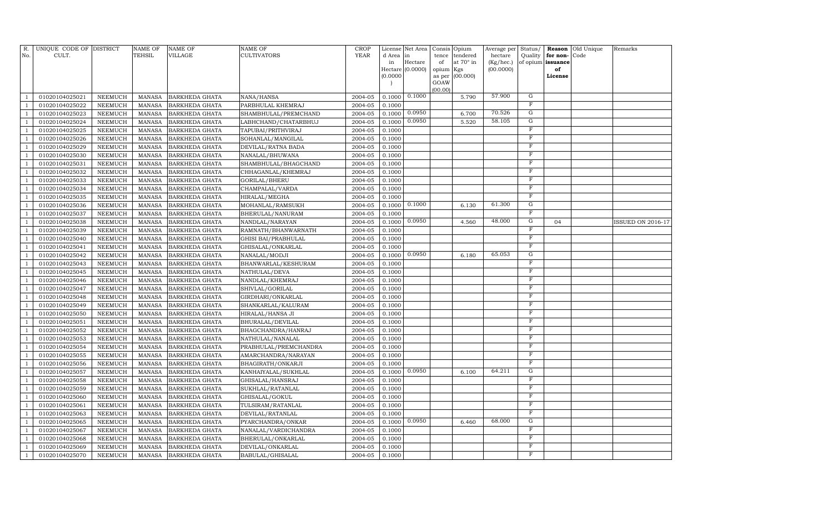| R.             | UNIQUE CODE OF DISTRICT          |                                  | <b>NAME OF</b>                 | <b>NAME OF</b>                                 | <b>NAME OF</b>                        | <b>CROP</b>        | License          | Net Area         |             | Consis Opium                 | Average per          | Status/                          | Reason                        | Old Unique | Remarks                  |
|----------------|----------------------------------|----------------------------------|--------------------------------|------------------------------------------------|---------------------------------------|--------------------|------------------|------------------|-------------|------------------------------|----------------------|----------------------------------|-------------------------------|------------|--------------------------|
| No.            | CULT.                            |                                  | TEHSIL                         | VILLAGE                                        | CULTIVATORS                           | <b>YEAR</b>        | d Area<br>in     | in<br>Hectare    | tence<br>of | tendered<br>at $70^\circ$ in | hectare<br>(Kg/hec.) | Quality                          | for non-<br>of opium issuance | Code       |                          |
|                |                                  |                                  |                                |                                                |                                       |                    |                  | Hectare (0.0000) | opium       | Kgs                          | (00.0000)            |                                  | of                            |            |                          |
|                |                                  |                                  |                                |                                                |                                       |                    | (0.0000)         |                  | as per      | (00.000)                     |                      |                                  | License                       |            |                          |
|                |                                  |                                  |                                |                                                |                                       |                    |                  |                  | GOAW        |                              |                      |                                  |                               |            |                          |
|                | 01020104025021                   | NEEMUCH                          | <b>MANASA</b>                  | <b>BARKHEDA GHATA</b>                          | NANA/HANSA                            | 2004-05            | 0.1000           | 0.1000           | (00.00)     | 5.790                        | 57.900               | G                                |                               |            |                          |
|                | 01020104025022                   | <b>NEEMUCH</b>                   | <b>MANASA</b>                  | <b>BARKHEDA GHATA</b>                          | PARBHULAL KHEMRAJ                     | 2004-05            | 0.1000           |                  |             |                              |                      | $\overline{\mathrm{F}}$          |                               |            |                          |
| $\overline{1}$ | 01020104025023                   | NEEMUCH                          | <b>MANASA</b>                  | <b>BARKHEDA GHATA</b>                          | SHAMBHULAL/PREMCHAND                  | 2004-05            | 0.1000           | 0.0950           |             | 6.700                        | 70.526               | G                                |                               |            |                          |
| $\overline{1}$ | 01020104025024                   | NEEMUCH                          | <b>MANASA</b>                  | <b>BARKHEDA GHATA</b>                          | LABHCHAND/CHATARBHUJ                  | 2004-05            | 0.1000           | 0.0950           |             | 5.520                        | 58.105               | $\overline{G}$                   |                               |            |                          |
|                | 01020104025025                   | NEEMUCH                          | <b>MANASA</b>                  | <b>BARKHEDA GHATA</b>                          | TAPUBAI/PRITHVIRAJ                    | 2004-05            | 0.1000           |                  |             |                              |                      | $\boldsymbol{\mathrm{F}}$        |                               |            |                          |
| $\overline{1}$ | 01020104025026                   | NEEMUCH                          | <b>MANASA</b>                  | <b>BARKHEDA GHATA</b>                          | SOHANLAL/MANGILAL                     | 2004-05            | 0.1000           |                  |             |                              |                      | $\mathbf{F}$                     |                               |            |                          |
| $\overline{1}$ | 01020104025029                   | NEEMUCH                          | <b>MANASA</b>                  | <b>BARKHEDA GHATA</b>                          | DEVILAL/RATNA BADA                    | 2004-05            | 0.1000           |                  |             |                              |                      | F                                |                               |            |                          |
|                | 01020104025030                   | NEEMUCH                          | <b>MANASA</b>                  | <b>BARKHEDA GHATA</b>                          | NANALAL/BHUWANA                       | 2004-05            | 0.1000           |                  |             |                              |                      | $\overline{F}$                   |                               |            |                          |
| $\overline{1}$ | 01020104025031                   | NEEMUCH                          | <b>MANASA</b>                  | <b>BARKHEDA GHATA</b>                          | SHAMBHULAL/BHAGCHAND                  | 2004-05            | 0.1000           |                  |             |                              |                      | $\mathbf F$                      |                               |            |                          |
|                | 01020104025032                   | NEEMUCH                          | <b>MANASA</b>                  | <b>BARKHEDA GHATA</b>                          | CHHAGANLAL/KHEMRAJ                    | 2004-05            | 0.1000           |                  |             |                              |                      | $\mathbf F$                      |                               |            |                          |
|                | 01020104025033                   | NEEMUCH                          | <b>MANASA</b>                  | <b>BARKHEDA GHATA</b>                          | GORILAL/BHERU                         | 2004-05            | 0.1000           |                  |             |                              |                      | $\mathbf F$                      |                               |            |                          |
|                | 01020104025034                   | <b>NEEMUCH</b>                   | <b>MANASA</b>                  | <b>BARKHEDA GHATA</b>                          | CHAMPALAL/VARDA                       | 2004-05            | 0.1000           |                  |             |                              |                      | $\mathbf F$                      |                               |            |                          |
| -1             | 01020104025035                   | NEEMUCH                          | <b>MANASA</b>                  | <b>BARKHEDA GHATA</b>                          | HIRALAL/MEGHA                         | 2004-05            | 0.1000           |                  |             |                              |                      | $\boldsymbol{\mathrm{F}}$        |                               |            |                          |
| $\overline{1}$ | 01020104025036                   | NEEMUCH                          | <b>MANASA</b>                  | <b>BARKHEDA GHATA</b>                          | MOHANLAL/RAMSUKH                      | 2004-05            | 0.1000           | 0.1000           |             | 6.130                        | 61.300               | G                                |                               |            |                          |
|                | 01020104025037                   | <b>NEEMUCH</b>                   | <b>MANASA</b>                  | <b>BARKHEDA GHATA</b>                          | BHERULAL/NANURAM                      | 2004-05            | 0.1000           |                  |             |                              |                      | $\overline{F}$                   |                               |            |                          |
| -1             | 01020104025038                   | NEEMUCH                          | <b>MANASA</b>                  | <b>BARKHEDA GHATA</b>                          | NANDLAL/NARAYAN                       | 2004-05            | 0.1000           | 0.0950           |             | 4.560                        | 48.000               | G                                | 04                            |            | <b>ISSUED ON 2016-17</b> |
|                | 01020104025039                   | NEEMUCH                          | <b>MANASA</b>                  | <b>BARKHEDA GHATA</b>                          | RAMNATH/BHANWARNATH                   | 2004-05            | 0.1000           |                  |             |                              |                      | $_{\rm F}$                       |                               |            |                          |
|                | 01020104025040                   | <b>NEEMUCH</b>                   | <b>MANASA</b>                  | <b>BARKHEDA GHATA</b>                          | GHISI BAI/PRABHULAL                   | 2004-05            | 0.1000           |                  |             |                              |                      | F                                |                               |            |                          |
|                | 01020104025041                   | NEEMUCH                          | <b>MANASA</b>                  | <b>BARKHEDA GHATA</b>                          | GHISALAL/ONKARLAL                     | 2004-05            | 0.1000           |                  |             |                              |                      | $\overline{F}$                   |                               |            |                          |
|                | 01020104025042                   | NEEMUCH                          | <b>MANASA</b>                  | <b>BARKHEDA GHATA</b>                          | NANALAL/MODJI                         | 2004-05            | 0.1000           | 0.0950           |             | 6.180                        | 65.053               | $\overline{G}$                   |                               |            |                          |
| -1             | 01020104025043                   | NEEMUCH                          | <b>MANASA</b>                  | <b>BARKHEDA GHATA</b>                          | BHANWARLAL/KESHURAM                   | 2004-05            | 0.1000           |                  |             |                              |                      | $\mathbf F$                      |                               |            |                          |
|                | 01020104025045                   | <b>NEEMUCH</b>                   | <b>MANASA</b>                  | <b>BARKHEDA GHATA</b>                          | NATHULAL/DEVA                         | 2004-05            | 0.1000           |                  |             |                              |                      | $\boldsymbol{\mathrm{F}}$        |                               |            |                          |
|                | 01020104025046                   | NEEMUCH                          | <b>MANASA</b>                  | <b>BARKHEDA GHATA</b>                          | NANDLAL/KHEMRAJ                       | 2004-05            | 0.1000           |                  |             |                              |                      | $\boldsymbol{\mathrm{F}}$        |                               |            |                          |
| -1             | 01020104025047                   | <b>NEEMUCH</b>                   | <b>MANASA</b>                  | <b>BARKHEDA GHATA</b>                          | SHIVLAL/GORILAL                       | 2004-05            | 0.1000           |                  |             |                              |                      | $\boldsymbol{\mathrm{F}}$        |                               |            |                          |
|                | 01020104025048                   | <b>NEEMUCH</b>                   | <b>MANASA</b>                  | <b>BARKHEDA GHATA</b>                          | GIRDHARI/ONKARLAL                     | 2004-05            | 0.1000           |                  |             |                              |                      | $\mathbf F$                      |                               |            |                          |
|                | 01020104025049                   | <b>NEEMUCH</b>                   | <b>MANASA</b>                  | <b>BARKHEDA GHATA</b>                          | SHANKARLAL/KALURAM                    | 2004-05            | 0.1000           |                  |             |                              |                      | $\boldsymbol{\mathrm{F}}$        |                               |            |                          |
|                | 01020104025050                   | <b>NEEMUCH</b>                   | <b>MANASA</b>                  | <b>BARKHEDA GHATA</b>                          | HIRALAL/HANSA JI                      | 2004-05            | 0.1000           |                  |             |                              |                      | $\mathbf F$                      |                               |            |                          |
|                | 01020104025051                   | <b>NEEMUCH</b>                   | <b>MANASA</b>                  | <b>BARKHEDA GHATA</b>                          | BHURALAL/DEVILAL                      | 2004-05            | 0.1000           |                  |             |                              |                      | $\mathbf F$                      |                               |            |                          |
|                | 01020104025052                   | <b>NEEMUCH</b>                   | <b>MANASA</b>                  | <b>BARKHEDA GHATA</b>                          | BHAGCHANDRA/HANRAJ                    | 2004-05            | 0.1000           |                  |             |                              |                      | $\mathbf F$                      |                               |            |                          |
|                | 01020104025053                   | <b>NEEMUCH</b>                   | <b>MANASA</b>                  | <b>BARKHEDA GHATA</b>                          | NATHULAL/NANALAL                      | 2004-05            | 0.1000           |                  |             |                              |                      | F                                |                               |            |                          |
|                | 01020104025054                   | <b>NEEMUCH</b>                   | <b>MANASA</b>                  | <b>BARKHEDA GHATA</b>                          | PRABHULAL/PREMCHANDRA                 | 2004-05            | 0.1000           |                  |             |                              |                      | $\overline{F}$<br>$\overline{F}$ |                               |            |                          |
|                | 01020104025055                   | <b>NEEMUCH</b>                   | <b>MANASA</b>                  | <b>BARKHEDA GHATA</b>                          | AMARCHANDRA/NARAYAN                   | 2004-05            | 0.1000           |                  |             |                              |                      | $\overline{F}$                   |                               |            |                          |
|                | 01020104025056                   | NEEMUCH                          | MANASA                         | <b>BARKHEDA GHATA</b>                          | BHAGIRATH/ONKARJI                     | 2004-05            | 0.1000           | 0.0950           |             |                              | 64.211               | G                                |                               |            |                          |
|                | 01020104025057                   | NEEMUCH                          | <b>MANASA</b>                  | <b>BARKHEDA GHATA</b>                          | KANHAIYALAL/SUKHLAL                   | 2004-05            | 0.1000           |                  |             | 6.100                        |                      | $\boldsymbol{\mathrm{F}}$        |                               |            |                          |
|                | 01020104025058                   | NEEMUCH                          | <b>MANASA</b>                  | <b>BARKHEDA GHATA</b>                          | GHISALAL/HANSRAJ                      | 2004-05            | 0.1000           |                  |             |                              |                      | $\mathbf F$                      |                               |            |                          |
|                | 01020104025059                   | NEEMUCH                          | <b>MANASA</b>                  | <b>BARKHEDA GHATA</b>                          | SUKHLAL/RATANLAL                      | 2004-05            | 0.1000           |                  |             |                              |                      | $\mathbf F$                      |                               |            |                          |
|                | 01020104025060                   | <b>NEEMUCH</b>                   | <b>MANASA</b>                  | <b>BARKHEDA GHATA</b>                          | GHISALAL/GOKUL                        | 2004-05            | 0.1000           |                  |             |                              |                      | $\mathbf F$                      |                               |            |                          |
|                | 01020104025061<br>01020104025063 | <b>NEEMUCH</b><br><b>NEEMUCH</b> | <b>MANASA</b><br><b>MANASA</b> | <b>BARKHEDA GHATA</b><br><b>BARKHEDA GHATA</b> | TULSIRAM/RATANLAL<br>DEVILAL/RATANLAL | 2004-05<br>2004-05 | 0.1000<br>0.1000 |                  |             |                              |                      | $\mathbf F$                      |                               |            |                          |
|                | 01020104025065                   | <b>NEEMUCH</b>                   | <b>MANASA</b>                  | <b>BARKHEDA GHATA</b>                          | PYARCHANDRA/ONKAR                     | 2004-05            | 0.1000           | 0.0950           |             | 6.460                        | 68.000               | G                                |                               |            |                          |
|                | 01020104025067                   | <b>NEEMUCH</b>                   | MANASA                         | <b>BARKHEDA GHATA</b>                          | NANALAL/VARDICHANDRA                  | 2004-05            | 0.1000           |                  |             |                              |                      | $_{\rm F}$                       |                               |            |                          |
|                | 01020104025068                   | NEEMUCH                          | <b>MANASA</b>                  | BARKHEDA GHATA                                 | BHERULAL/ONKARLAL                     | 2004-05            | 0.1000           |                  |             |                              |                      | F                                |                               |            |                          |
|                | 01020104025069                   | <b>NEEMUCH</b>                   | <b>MANASA</b>                  | <b>BARKHEDA GHATA</b>                          | DEVILAL/ONKARLAL                      | 2004-05            | 0.1000           |                  |             |                              |                      | $_{\rm F}$                       |                               |            |                          |
|                | 01020104025070                   | NEEMUCH                          | MANASA                         | <b>BARKHEDA GHATA</b>                          | BABULAL/GHISALAL                      | 2004-05            | 0.1000           |                  |             |                              |                      | $\mathbf F$                      |                               |            |                          |
|                |                                  |                                  |                                |                                                |                                       |                    |                  |                  |             |                              |                      |                                  |                               |            |                          |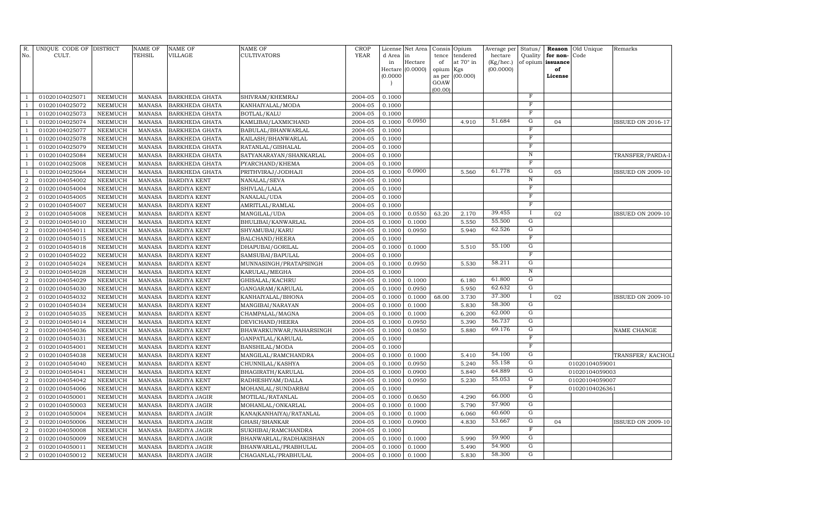| R.             | UNIQUE CODE OF DISTRICT |                 | NAME OF       | NAME OF               | NAME OF                 | <b>CROP</b> | License      | Net Area      | Consis          | Opium                 | Average per          | Status/                 | Reason               | Old Unique     | Remarks                  |
|----------------|-------------------------|-----------------|---------------|-----------------------|-------------------------|-------------|--------------|---------------|-----------------|-----------------------|----------------------|-------------------------|----------------------|----------------|--------------------------|
| No.            | CULT.                   |                 | TEHSIL        | VILLAGE               | CULTIVATORS             | <b>YEAR</b> | d Area<br>in | in<br>Hectare | tence<br>of     | tendered<br>at 70° in | hectare<br>(Kg/hec.) | Quality<br>of opium     | for non-<br>issuance | Code           |                          |
|                |                         |                 |               |                       |                         |             | Hectare      | (0.0000)      | opium           | Kgs                   | (00.0000)            |                         | of                   |                |                          |
|                |                         |                 |               |                       |                         |             | (0.0000)     |               | as per          | (00.000)              |                      |                         | License              |                |                          |
|                |                         |                 |               |                       |                         |             |              |               | GOAW<br>(00.00) |                       |                      |                         |                      |                |                          |
| -1             | 01020104025071          | NEEMUCH         | MANASA        | <b>BARKHEDA GHATA</b> | SHIVRAM/KHEMRAJ         | 2004-05     | 0.1000       |               |                 |                       |                      | $\mathbf F$             |                      |                |                          |
| -1             | 01020104025072          | NEEMUCH         | <b>MANASA</b> | BARKHEDA GHATA        | KANHAIYALAL/MODA        | 2004-05     | 0.1000       |               |                 |                       |                      | $_{\rm F}$              |                      |                |                          |
| -1             | 01020104025073          | NEEMUCH         | <b>MANASA</b> | <b>BARKHEDA GHATA</b> | BOTLAL/KALU             | 2004-05     | 0.1000       |               |                 |                       |                      | F                       |                      |                |                          |
| 1              | 01020104025074          | NEEMUCH         | <b>MANASA</b> | <b>BARKHEDA GHATA</b> | KAMLIBAI/LAXMICHAND     | 2004-05     | 0.1000       | 0.0950        |                 | 4.910                 | 51.684               | G                       | 04                   |                | <b>ISSUED ON 2016-17</b> |
| -1             | 01020104025077          | NEEMUCH         | <b>MANASA</b> | BARKHEDA GHATA        | BABULAL/BHANWARLAL      | 2004-05     | 0.1000       |               |                 |                       |                      | F                       |                      |                |                          |
| -1             | 01020104025078          | NEEMUCH         | <b>MANASA</b> | <b>BARKHEDA GHATA</b> | KAILASH/BHANWARLAL      | 2004-05     | 0.1000       |               |                 |                       |                      | $\overline{\mathrm{F}}$ |                      |                |                          |
| -1             | 01020104025079          | NEEMUCH         | <b>MANASA</b> | BARKHEDA GHATA        | RATANLAL/GISHALAL       | 2004-05     | 0.1000       |               |                 |                       |                      | $_{\rm F}$              |                      |                |                          |
| <sup>1</sup>   | 01020104025084          | <b>NEEMUCH</b>  | <b>MANASA</b> | BARKHEDA GHATA        | SATYANARAYAN/SHANKARLAL | 2004-05     | 0.1000       |               |                 |                       |                      | $\overline{N}$          |                      |                | TRANSFER/PARDA-1         |
| $\mathbf{1}$   | 01020104025008          | <b>NEEMUCH</b>  | <b>MANASA</b> | BARKHEDA GHATA        | PYARCHAND/KHEMA         | 2004-05     | 0.1000       |               |                 |                       |                      | $\mathbf F$             |                      |                |                          |
| <sup>1</sup>   | 01020104025064          | <b>NEEMUCH</b>  | <b>MANASA</b> | BARKHEDA GHATA        | PRITHVIRAJ/JODHAJI      | 2004-05     | 0.1000       | 0.0900        |                 | 5.560                 | 61.778               | G                       | 05                   |                | <b>ISSUED ON 2009-10</b> |
| 2              | 01020104054002          | NEEMUCH         | <b>MANASA</b> | <b>BARDIYA KENT</b>   | NANALAL/SEVA            | 2004-05     | 0.1000       |               |                 |                       |                      | $\,$ N                  |                      |                |                          |
| $\overline{2}$ | 01020104054004          | NEEMUCH         | <b>MANASA</b> | <b>BARDIYA KENT</b>   | SHIVLAL/LALA            | 2004-05     | 0.1000       |               |                 |                       |                      | $_{\rm F}$              |                      |                |                          |
| $\overline{a}$ | 01020104054005          | NEEMUCH         | <b>MANASA</b> | <b>BARDIYA KENT</b>   | NANALAL/UDA             | 2004-05     | 0.1000       |               |                 |                       |                      | $\mathbf F$             |                      |                |                          |
| $\overline{a}$ | 01020104054007          | NEEMUCH         | <b>MANASA</b> | <b>BARDIYA KENT</b>   | AMRITLAL/RAMLAL         | 2004-05     | 0.1000       |               |                 |                       |                      | $\mathbf F$             |                      |                |                          |
| $\overline{a}$ | 01020104054008          | NEEMUCH         | <b>MANASA</b> | <b>BARDIYA KENT</b>   | MANGILAL/UDA            | 2004-05     | 0.1000       | 0.0550        | 63.20           | 2.170                 | 39.455               | <b>I</b>                | 02                   |                | <b>ISSUED ON 2009-10</b> |
| 2              | 01020104054010          | NEEMUCH         | <b>MANASA</b> | <b>BARDIYA KENT</b>   | BHULIBAI/KANWARLAL      | 2004-05     | 0.1000       | 0.1000        |                 | 5.550                 | 55.500               | G                       |                      |                |                          |
| 2              | 01020104054011          | NEEMUCH         | <b>MANASA</b> | <b>BARDIYA KENT</b>   | SHYAMUBAI/KARU          | 2004-05     | 0.1000       | 0.0950        |                 | 5.940                 | 62.526               | G                       |                      |                |                          |
| $\overline{2}$ | 01020104054015          | NEEMUCH         | <b>MANASA</b> | <b>BARDIYA KENT</b>   | BALCHAND/HEERA          | 2004-05     | 0.1000       |               |                 |                       |                      | $\mathbf F$             |                      |                |                          |
| 2              | 01020104054018          | NEEMUCH         | <b>MANASA</b> | <b>BARDIYA KENT</b>   | DHAPUBAI/GORILAL        | 2004-05     | 0.1000       | 0.1000        |                 | 5.510                 | 55.100               | G                       |                      |                |                          |
| $\overline{2}$ | 01020104054022          | NEEMUCH         | <b>MANASA</b> | <b>BARDIYA KENT</b>   | SAMSUBAI/BAPULAL        | 2004-05     | 0.1000       |               |                 |                       |                      | $\mathbf F$             |                      |                |                          |
| $\overline{a}$ | 01020104054024          | NEEMUCH         | <b>MANASA</b> | <b>BARDIYA KENT</b>   | MUNNASINGH/PRATAPSINGH  | 2004-05     | 0.1000       | 0.0950        |                 | 5.530                 | 58.211               | G                       |                      |                |                          |
| $\overline{a}$ | 01020104054028          | NEEMUCH         | <b>MANASA</b> | <b>BARDIYA KENT</b>   | KARULAL/MEGHA           | 2004-05     | 0.1000       |               |                 |                       |                      | $\overline{N}$          |                      |                |                          |
| $\overline{2}$ | 01020104054029          | NEEMUCH         | <b>MANASA</b> | <b>BARDIYA KENT</b>   | GHISALAL/KACHRU         | 2004-05     | 0.1000       | 0.1000        |                 | 6.180                 | 61.800               | G                       |                      |                |                          |
| $\overline{2}$ | 01020104054030          | NEEMUCH         | <b>MANASA</b> | <b>BARDIYA KENT</b>   | GANGARAM/KARULAL        | 2004-05     | 0.1000       | 0.0950        |                 | 5.950                 | 62.632               | G                       |                      |                |                          |
| $\overline{a}$ | 01020104054032          | NEEMUCH         | <b>MANASA</b> | <b>BARDIYA KENT</b>   | KANHAIYALAL/BHONA       | 2004-05     | 0.1000       | 0.1000        | 68.00           | 3.730                 | 37.300               | Ι.                      | 02                   |                | <b>ISSUED ON 2009-10</b> |
| $\overline{2}$ | 01020104054034          | NEEMUCH         | MANASA        | <b>BARDIYA KENT</b>   | MANGIBAI/NARAYAN        | 2004-05     | 0.1000       | 0.1000        |                 | 5.830                 | 58.300               | G                       |                      |                |                          |
| $\overline{2}$ | 01020104054035          | NEEMUCH         | <b>MANASA</b> | <b>BARDIYA KENT</b>   | CHAMPALAL/MAGNA         | 2004-05     | 0.1000       | 0.1000        |                 | 6.200                 | 62.000               | G                       |                      |                |                          |
| $\overline{2}$ | 01020104054014          | ${\tt NEEMUCH}$ | <b>MANASA</b> | <b>BARDIYA KENT</b>   | DEVICHAND/HEERA         | 2004-05     | 0.1000       | 0.0950        |                 | 5.390                 | 56.737               | G                       |                      |                |                          |
| $\overline{2}$ | 01020104054036          | NEEMUCH         | <b>MANASA</b> | <b>BARDIYA KENT</b>   | BHAWARKUNWAR/NAHARSINGH | 2004-05     | 0.1000       | 0.0850        |                 | 5.880                 | 69.176               | G                       |                      |                | NAME CHANGE              |
| $\overline{a}$ | 01020104054031          | <b>NEEMUCH</b>  | <b>MANASA</b> | <b>BARDIYA KENT</b>   | GANPATLAL/KARULAL       | 2004-05     | 0.1000       |               |                 |                       |                      | $\mathbf F$             |                      |                |                          |
| $\overline{2}$ | 01020104054001          | NEEMUCH         | <b>MANASA</b> | <b>BARDIYA KENT</b>   | BANSHILAL/MODA          | 2004-05     | 0.1000       |               |                 |                       |                      | $_{\rm F}$              |                      |                |                          |
| $\overline{2}$ | 01020104054038          | <b>NEEMUCH</b>  | <b>MANASA</b> | <b>BARDIYA KENT</b>   | MANGILAL/RAMCHANDRA     | 2004-05     | 0.1000       | 0.1000        |                 | 5.410                 | 54.100               | G                       |                      |                | TRANSFER/KACHOLI         |
| $\overline{a}$ | 01020104054040          | NEEMUCH         | <b>MANASA</b> | <b>BARDIYA KENT</b>   | CHUNNILAL/KASHYA        | 2004-05     | 0.1000       | 0.0950        |                 | 5.240                 | 55.158               | G                       |                      | 01020104059001 |                          |
| $\overline{a}$ | 01020104054041          | NEEMUCH         | <b>MANASA</b> | <b>BARDIYA KENT</b>   | BHAGIRATH/KARULAL       | 2004-05     | 0.1000       | 0.0900        |                 | 5.840                 | 64.889               | G                       |                      | 01020104059003 |                          |
| $\overline{a}$ | 01020104054042          | NEEMUCH         | MANASA        | <b>BARDIYA KENT</b>   | RADHESHYAM/DALLA        | 2004-05     | 0.1000       | 0.0950        |                 | 5.230                 | 55.053               | G<br>$\mathbf F$        |                      | 01020104059007 |                          |
| 2              | 01020104054006          | NEEMUCH         | MANASA        | <b>BARDIYA KENT</b>   | MOHANLAL/SUNDARBAI      | 2004-05     | 0.1000       |               |                 |                       | 66.000               | G                       |                      | 01020104026361 |                          |
| 2              | 01020104050001          | NEEMUCH         | <b>MANASA</b> | <b>BARDIYA JAGIR</b>  | MOTILAL/RATANLAL        | 2004-05     | 0.1000       | 0.0650        |                 | 4.290                 | 57.900               | G                       |                      |                |                          |
| $\overline{a}$ | 01020104050003          | <b>NEEMUCH</b>  | <b>MANASA</b> | <b>BARDIYA JAGIR</b>  | MOHANLAL/ONKARLAL       | 2004-05     | 0.1000       | 0.1000        |                 | 5.790<br>6.060        | 60.600               | G                       |                      |                |                          |
| $\overline{2}$ | 01020104050004          | NEEMUCH         | <b>MANASA</b> | <b>BARDIYA JAGIR</b>  | KANA(KANHAIYA)/RATANLAL | 2004-05     | 0.1000       | 0.1000        |                 |                       | 53.667               | G                       | 04                   |                |                          |
| $\overline{a}$ | 01020104050006          | <b>NEEMUCH</b>  | <b>MANASA</b> | <b>BARDIYA JAGIR</b>  | GHASI/SHANKAR           | 2004-05     | 0.1000       | 0.0900        |                 | 4.830                 |                      | F                       |                      |                | <b>ISSUED ON 2009-10</b> |
| $\overline{a}$ | 01020104050008          | NEEMUCH         | <b>MANASA</b> | <b>BARDIYA JAGIR</b>  | SUKHIBAI/RAMCHANDRA     | 2004-05     | 0.1000       |               |                 |                       | 59.900               | G                       |                      |                |                          |
| $\overline{2}$ | 01020104050009          | NEEMUCH         | <b>MANASA</b> | <b>BARDIYA JAGIR</b>  | BHANWARLAL/RADHAKISHAN  | 2004-05     | 0.1000       | 0.1000        |                 | 5.990                 | 54.900               | G                       |                      |                |                          |
| $\overline{2}$ | 01020104050011          | NEEMUCH         | <b>MANASA</b> | BARDIYA JAGIR         | BHANWARLAL/PRABHULAL    | 2004-05     | 0.1000       | 0.1000        |                 | 5.490                 | 58.300               | G                       |                      |                |                          |
| $\overline{a}$ | 01020104050012          | NEEMUCH         | <b>MANASA</b> | <b>BARDIYA JAGIR</b>  | CHAGANLAL/PRABHULAL     | 2004-05     | 0.1000       | 0.1000        |                 | 5.830                 |                      |                         |                      |                |                          |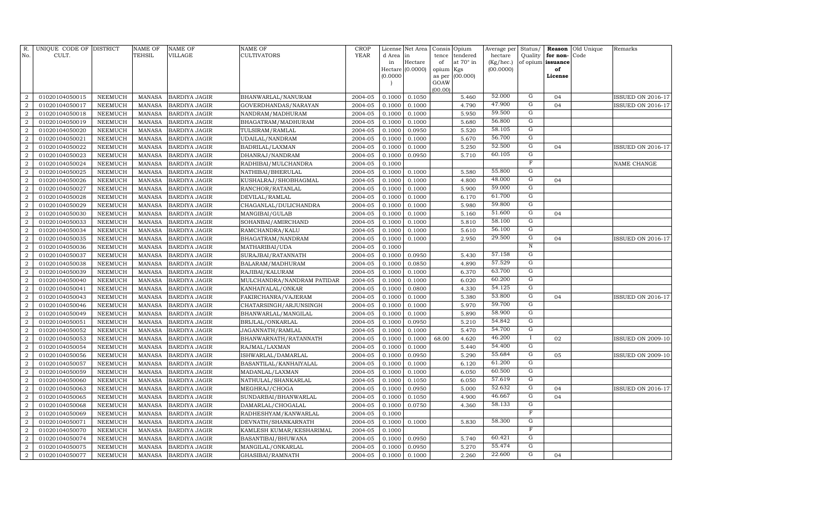| R.<br>No.        | UNIQUE CODE OF DISTRICT<br>CULT. |                | <b>NAME OF</b><br>TEHSIL | <b>NAME OF</b><br><b>VILLAGE</b> | NAME OF<br><b>CULTIVATORS</b> | <b>CROP</b><br><b>YEAR</b> | License<br>d Area | Net Area<br>in   | Consis<br>tence | Opium<br>tendered | Average per<br>hectare | Status/<br>Quality | Reason<br>for non- | Old Unique<br>Code | Remarks                  |
|------------------|----------------------------------|----------------|--------------------------|----------------------------------|-------------------------------|----------------------------|-------------------|------------------|-----------------|-------------------|------------------------|--------------------|--------------------|--------------------|--------------------------|
|                  |                                  |                |                          |                                  |                               |                            | in                | Hectare          | of              | at 70° in         | (Kg/hec.)              |                    | of opium issuance  |                    |                          |
|                  |                                  |                |                          |                                  |                               |                            |                   | Hectare (0.0000) | opium           | Kgs               | (00.0000)              |                    | of                 |                    |                          |
|                  |                                  |                |                          |                                  |                               |                            | (0.0000)          |                  | as per          | (00.000)          |                        |                    | License            |                    |                          |
|                  |                                  |                |                          |                                  |                               |                            |                   |                  | GOAW<br>(00.00) |                   |                        |                    |                    |                    |                          |
| $\overline{a}$   | 01020104050015                   | NEEMUCH        | <b>MANASA</b>            | <b>BARDIYA JAGIR</b>             | BHANWARLAL/NANURAM            | 2004-05                    | 0.1000            | 0.1050           |                 | 5.460             | 52.000                 | G                  | 04                 |                    | <b>ISSUED ON 2016-17</b> |
| $\overline{2}$   | 01020104050017                   | <b>NEEMUCH</b> | <b>MANASA</b>            | <b>BARDIYA JAGIR</b>             | GOVERDHANDAS/NARAYAN          | 2004-05                    | 0.1000            | 0.1000           |                 | 4.790             | 47.900                 | G                  | 04                 |                    | <b>ISSUED ON 2016-17</b> |
| $\overline{2}$   | 01020104050018                   | <b>NEEMUCH</b> | <b>MANASA</b>            | <b>BARDIYA JAGIR</b>             | NANDRAM/MADHURAM              | 2004-05                    | 0.1000            | 0.1000           |                 | 5.950             | 59.500                 | $\overline{G}$     |                    |                    |                          |
| $\overline{2}$   | 01020104050019                   | <b>NEEMUCH</b> | <b>MANASA</b>            | <b>BARDIYA JAGIR</b>             | BHAGATRAM / MADHURAM          | 2004-05                    | 0.1000            | 0.1000           |                 | 5.680             | 56.800                 | $\overline{G}$     |                    |                    |                          |
| $\overline{a}$   | 01020104050020                   | <b>NEEMUCH</b> | <b>MANASA</b>            | <b>BARDIYA JAGIR</b>             | TULSIRAM/RAMLAL               | 2004-05                    | 0.1000            | 0.0950           |                 | 5.520             | 58.105                 | G                  |                    |                    |                          |
| $\overline{a}$   | 01020104050021                   | <b>NEEMUCH</b> | <b>MANASA</b>            | <b>BARDIYA JAGIR</b>             | UDAILAL/NANDRAM               | 2004-05                    | 0.1000            | 0.1000           |                 | 5.670             | 56.700                 | $\overline{G}$     |                    |                    |                          |
| 2                | 01020104050022                   | <b>NEEMUCH</b> | <b>MANASA</b>            | <b>BARDIYA JAGIR</b>             | BADRILAL/LAXMAN               | 2004-05                    | 0.1000            | 0.1000           |                 | 5.250             | 52.500                 | $\overline{G}$     | 04                 |                    | ISSUED ON 2016-17        |
| $\overline{a}$   | 01020104050023                   | <b>NEEMUCH</b> | <b>MANASA</b>            | <b>BARDIYA JAGIR</b>             | DHANRAJ/NANDRAM               | 2004-05                    | 0.1000            | 0.0950           |                 | 5.710             | 60.105                 | $\overline{G}$     |                    |                    |                          |
| $\overline{2}$   | 01020104050024                   | <b>NEEMUCH</b> | <b>MANASA</b>            | <b>BARDIYA JAGIR</b>             | RADHIBAI/MULCHANDRA           | 2004-05                    | 0.1000            |                  |                 |                   |                        | $\mathbf F$        |                    |                    | NAME CHANGE              |
| $\overline{2}$   | 01020104050025                   | <b>NEEMUCH</b> | <b>MANASA</b>            | <b>BARDIYA JAGIR</b>             | NATHIBAI/BHERULAL             | 2004-05                    | 0.1000            | 0.1000           |                 | 5.580             | 55.800                 | $\mathbf G$        |                    |                    |                          |
| $\overline{a}$   | 01020104050026                   | <b>NEEMUCH</b> | <b>MANASA</b>            | <b>BARDIYA JAGIR</b>             | KUSHALRAJ/SHOBHAGMAL          | 2004-05                    | 0.1000            | 0.1000           |                 | 4.800             | 48.000                 | $\overline{G}$     | 04                 |                    |                          |
| $\overline{2}$   | 01020104050027                   | <b>NEEMUCH</b> | <b>MANASA</b>            | <b>BARDIYA JAGIR</b>             | RANCHOR/RATANLAL              | 2004-05                    | 0.1000            | 0.1000           |                 | 5.900             | 59.000                 | $\mathbf G$        |                    |                    |                          |
| $\overline{2}$   | 01020104050028                   | <b>NEEMUCH</b> | <b>MANASA</b>            | <b>BARDIYA JAGIR</b>             | DEVILAL/RAMLAL                | 2004-05                    | 0.1000            | 0.1000           |                 | 6.170             | 61.700                 | G                  |                    |                    |                          |
| $\overline{a}$   | 01020104050029                   | <b>NEEMUCH</b> | <b>MANASA</b>            | <b>BARDIYA JAGIR</b>             | CHAGANLAL/DULICHANDRA         | 2004-05                    | 0.1000            | 0.1000           |                 | 5.980             | 59.800                 | G                  |                    |                    |                          |
| $\overline{a}$   | 01020104050030                   | <b>NEEMUCH</b> | <b>MANASA</b>            | <b>BARDIYA JAGIR</b>             | MANGIBAI/GULAB                | 2004-05                    | 0.1000            | 0.1000           |                 | 5.160             | 51.600                 | G                  | 04                 |                    |                          |
| $\overline{a}$   | 01020104050033                   | <b>NEEMUCH</b> | <b>MANASA</b>            | <b>BARDIYA JAGIR</b>             | SOHANBAI/AMIRCHAND            | 2004-05                    | 0.1000            | 0.1000           |                 | 5.810             | 58.100                 | G                  |                    |                    |                          |
| $\overline{2}$   | 01020104050034                   | <b>NEEMUCH</b> | <b>MANASA</b>            | <b>BARDIYA JAGIR</b>             | RAMCHANDRA/KALU               | 2004-05                    | 0.1000            | 0.1000           |                 | 5.610             | 56.100                 | G                  |                    |                    |                          |
| $\overline{2}$   | 01020104050035                   | <b>NEEMUCH</b> | <b>MANASA</b>            | <b>BARDIYA JAGIR</b>             | BHAGATRAM/NANDRAM             | 2004-05                    | 0.1000            | 0.1000           |                 | 2.950             | 29.500                 | G                  | 04                 |                    | ISSUED ON 2016-17        |
| $\overline{a}$   | 01020104050036                   | <b>NEEMUCH</b> | <b>MANASA</b>            | <b>BARDIYA JAGIR</b>             | MATHARIBAI/UDA                | 2004-05                    | 0.1000            |                  |                 |                   |                        | $\overline{N}$     |                    |                    |                          |
| $\boldsymbol{2}$ | 01020104050037                   | <b>NEEMUCH</b> | <b>MANASA</b>            | <b>BARDIYA JAGIR</b>             | SURAJBAI/RATANNATH            | 2004-05                    | 0.1000            | 0.0950           |                 | 5.430             | 57.158                 | $\overline{G}$     |                    |                    |                          |
| $\overline{2}$   | 01020104050038                   | NEEMUCH        | <b>MANASA</b>            | <b>BARDIYA JAGIR</b>             | BALARAM/MADHURAM              | 2004-05                    | 0.1000            | 0.0850           |                 | 4.890             | 57.529                 | $\overline{G}$     |                    |                    |                          |
| $\overline{2}$   | 01020104050039                   | NEEMUCH        | <b>MANASA</b>            | <b>BARDIYA JAGIR</b>             | RAJIBAI/KALURAM               | 2004-05                    | 0.1000            | 0.1000           |                 | 6.370             | 63.700                 | G                  |                    |                    |                          |
| $\overline{2}$   | 01020104050040                   | NEEMUCH        | <b>MANASA</b>            | <b>BARDIYA JAGIR</b>             | MULCHANDRA/NANDRAM PATIDAR    | 2004-05                    | 0.1000            | 0.1000           |                 | 6.020             | 60.200                 | G                  |                    |                    |                          |
| $\boldsymbol{2}$ | 01020104050041                   | <b>NEEMUCH</b> | <b>MANASA</b>            | <b>BARDIYA JAGIR</b>             | KANHAIYALAL/ONKAR             | 2004-05                    | 0.1000            | 0.0800           |                 | 4.330             | 54.125                 | G                  |                    |                    |                          |
| $\overline{2}$   | 01020104050043                   | <b>NEEMUCH</b> | <b>MANASA</b>            | <b>BARDIYA JAGIR</b>             | FAKIRCHANRA/VAJERAM           | 2004-05                    | 0.1000            | 0.1000           |                 | 5.380             | 53.800                 | G                  | 04                 |                    | <b>ISSUED ON 2016-17</b> |
| $\overline{2}$   | 01020104050046                   | <b>NEEMUCH</b> | <b>MANASA</b>            | <b>BARDIYA JAGIR</b>             | CHATARSINGH/ARJUNSINGH        | 2004-05                    | 0.1000            | 0.1000           |                 | 5.970             | 59.700                 | G                  |                    |                    |                          |
| $\overline{2}$   | 01020104050049                   | <b>NEEMUCH</b> | <b>MANASA</b>            | <b>BARDIYA JAGIR</b>             | BHANWARLAL/MANGILAL           | 2004-05                    | 0.1000            | 0.1000           |                 | 5.890             | 58.900                 | $\mathbf G$        |                    |                    |                          |
| $\boldsymbol{2}$ | 01020104050051                   | <b>NEEMUCH</b> | <b>MANASA</b>            | <b>BARDIYA JAGIR</b>             | BRIJLAL/ONKARLAL              | 2004-05                    | 0.1000            | 0.0950           |                 | 5.210             | 54.842                 | G                  |                    |                    |                          |
| $\overline{2}$   | 01020104050052                   | <b>NEEMUCH</b> | <b>MANASA</b>            | <b>BARDIYA JAGIR</b>             | JAGANNATH/RAMLAL              | 2004-05                    | 0.1000            | 0.1000           |                 | 5.470             | 54.700                 | $\mathbf G$        |                    |                    |                          |
| $\boldsymbol{2}$ | 01020104050053                   | <b>NEEMUCH</b> | <b>MANASA</b>            | <b>BARDIYA JAGIR</b>             | BHANWARNATH/RATANNATH         | 2004-05                    | 0.1000            | 0.1000           | 68.00           | 4.620             | 46.200                 | $\mathbf I$        | 02                 |                    | <b>ISSUED ON 2009-10</b> |
| $\overline{2}$   | 01020104050054                   | <b>NEEMUCH</b> | <b>MANASA</b>            | <b>BARDIYA JAGIR</b>             | RAJMAL/LAXMAN                 | 2004-05                    | 0.1000            | 0.1000           |                 | 5.440             | 54.400                 | G                  |                    |                    |                          |
| $\overline{2}$   | 01020104050056                   | NEEMUCH        | <b>MANASA</b>            | <b>BARDIYA JAGIR</b>             | ISHWARLAL/DAMARLAL            | 2004-05                    | 0.1000            | 0.0950           |                 | 5.290             | 55.684                 | G                  | 05                 |                    | <b>ISSUED ON 2009-10</b> |
| $\overline{2}$   | 01020104050057                   | NEEMUCH        | <b>MANASA</b>            | <b>BARDIYA JAGIR</b>             | BASANTILAL/KANHAIYALAL        | 2004-05                    | 0.1000            | 0.1000           |                 | 6.120             | 61.200                 | G                  |                    |                    |                          |
| $\overline{2}$   | 01020104050059                   | <b>NEEMUCH</b> | <b>MANASA</b>            | <b>BARDIYA JAGIR</b>             | MADANLAL/LAXMAN               | 2004-05                    | 0.1000            | 0.1000           |                 | 6.050             | 60.500                 | G                  |                    |                    |                          |
| $\overline{2}$   | 01020104050060                   | <b>NEEMUCH</b> | <b>MANASA</b>            | <b>BARDIYA JAGIR</b>             | NATHULAL/SHANKARLAL           | 2004-05                    | 0.1000            | 0.1050           |                 | 6.050             | 57.619                 | G                  |                    |                    |                          |
| $\overline{2}$   | 01020104050063                   | <b>NEEMUCH</b> | <b>MANASA</b>            | <b>BARDIYA JAGIR</b>             | MEGHRAJ/CHOGA                 | 2004-05                    | 0.1000            | 0.0950           |                 | 5.000             | 52.632                 | G                  | 04                 |                    | <b>ISSUED ON 2016-17</b> |
| $\overline{2}$   | 01020104050065                   | <b>NEEMUCH</b> | <b>MANASA</b>            | <b>BARDIYA JAGIR</b>             | SUNDARBAI/BHANWARLAL          | 2004-05                    | 0.1000            | 0.1050           |                 | 4.900             | 46.667                 | $\mathbf G$        | 04                 |                    |                          |
| $\boldsymbol{2}$ | 01020104050068                   | <b>NEEMUCH</b> | <b>MANASA</b>            | <b>BARDIYA JAGIR</b>             | DAMARLAL/CHOGALAL             | 2004-05                    | 0.1000            | 0.0750           |                 | 4.360             | 58.133                 | G                  |                    |                    |                          |
| $\overline{2}$   | 01020104050069                   | <b>NEEMUCH</b> | <b>MANASA</b>            | <b>BARDIYA JAGIR</b>             | RADHESHYAM/KANWARLAL          | 2004-05                    | 0.1000            |                  |                 |                   |                        | F                  |                    |                    |                          |
| $\boldsymbol{2}$ | 01020104050071                   | <b>NEEMUCH</b> | <b>MANASA</b>            | <b>BARDIYA JAGIR</b>             | DEVNATH/SHANKARNATH           | 2004-05                    | 0.1000            | 0.1000           |                 | 5.830             | 58.300                 | G                  |                    |                    |                          |
| $\boldsymbol{2}$ | 01020104050070                   | <b>NEEMUCH</b> | <b>MANASA</b>            | <b>BARDIYA JAGIR</b>             | KAMLESH KUMAR/KESHARIMAL      | 2004-05                    | 0.1000            |                  |                 |                   |                        | $_{\rm F}$         |                    |                    |                          |
| $\boldsymbol{2}$ | 01020104050074                   | <b>NEEMUCH</b> | <b>MANASA</b>            | <b>BARDIYA JAGIR</b>             | BASANTIBAI/BHUWANA            | 2004-05                    | 0.1000            | 0.0950           |                 | 5.740             | 60.421                 | G                  |                    |                    |                          |
| $\boldsymbol{2}$ | 01020104050075                   | NEEMUCH        | <b>MANASA</b>            | BARDIYA JAGIR                    | MANGILAL/ONKARLAL             | 2004-05                    | 0.1000            | 0.0950           |                 | 5.270             | 55.474                 | G                  |                    |                    |                          |
| $\overline{a}$   | 01020104050077                   | NEEMUCH        | <b>MANASA</b>            | <b>BARDIYA JAGIR</b>             | GHASIBAI/RAMNATH              | 2004-05                    | 0.1000            | 0.1000           |                 | 2.260             | 22.600                 | $\mathbf G$        | 04                 |                    |                          |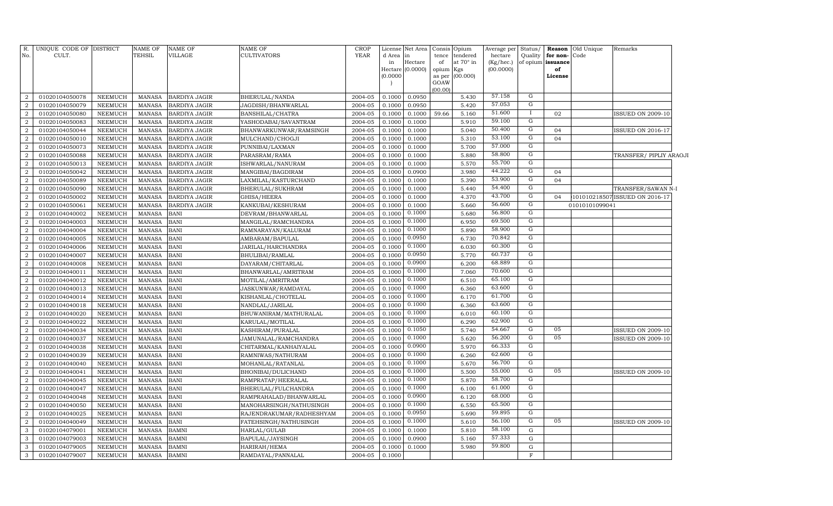| R.<br>No.                        | UNIQUE CODE OF DISTRICT<br>CULT. |                                  | NAME OF<br>TEHSIL              | <b>NAME OF</b><br>VILLAGE  | NAME OF<br><b>CULTIVATORS</b>                       | <b>CROP</b><br><b>YEAR</b> | d Area in<br>in<br>(0.0000) | License Net Area<br>Hectare<br>Hectare (0.0000) | Consis<br>tence<br>of<br>opium Kgs<br>as per<br>GOAW<br>(00.00) | Opium<br>tendered<br>at 70° in<br>(00.000) | Average per<br>hectare<br>$(Kg/$ hec.)<br>(00.0000) | Status/<br>Quality<br>of opium | for non-Code<br>issuance<br>of<br>License | Reason Old Unique | Remarks                        |  |
|----------------------------------|----------------------------------|----------------------------------|--------------------------------|----------------------------|-----------------------------------------------------|----------------------------|-----------------------------|-------------------------------------------------|-----------------------------------------------------------------|--------------------------------------------|-----------------------------------------------------|--------------------------------|-------------------------------------------|-------------------|--------------------------------|--|
| $\overline{a}$                   | 01020104050078                   | <b>NEEMUCH</b>                   | MANASA                         | <b>BARDIYA JAGIR</b>       | BHERULAL/NANDA                                      | 2004-05                    | 0.1000                      | 0.0950                                          |                                                                 | 5.430                                      | 57.158                                              | G                              |                                           |                   |                                |  |
| $\overline{2}$                   | 01020104050079                   | <b>NEEMUCH</b>                   | MANASA                         | <b>BARDIYA JAGIR</b>       | JAGDISH/BHANWARLAL                                  | 2004-05                    | 0.1000                      | 0.0950                                          |                                                                 | 5.420                                      | 57.053                                              | G                              |                                           |                   |                                |  |
| $\boldsymbol{2}$                 | 01020104050080                   | <b>NEEMUCH</b>                   | MANASA                         | <b>BARDIYA JAGIR</b>       | BANSHILAL/CHATRA                                    | 2004-05                    | 0.1000                      | 0.1000                                          | 59.66                                                           | 5.160                                      | 51.600                                              | $\mathbf{I}$                   | 02                                        |                   | <b>ISSUED ON 2009-10</b>       |  |
| $\boldsymbol{2}$                 | 01020104050083                   | <b>NEEMUCH</b>                   | MANASA                         | <b>BARDIYA JAGIR</b>       | YASHODABAI/SAVANTRAM                                | 2004-05                    | 0.1000                      | 0.1000                                          |                                                                 | 5.910                                      | 59.100                                              | G                              |                                           |                   |                                |  |
| $\boldsymbol{2}$                 | 01020104050044                   | <b>NEEMUCH</b>                   | MANASA                         | <b>BARDIYA JAGIR</b>       | BHANWARKUNWAR/RAMSINGH                              | 2004-05                    | 0.1000                      | 0.1000                                          |                                                                 | 5.040                                      | 50.400                                              | G                              | 04                                        |                   | <b>ISSUED ON 2016-17</b>       |  |
| $\boldsymbol{2}$                 | 01020104050010                   | <b>NEEMUCH</b>                   | MANASA                         | <b>BARDIYA JAGIR</b>       | MULCHAND/CHOGJI                                     | 2004-05                    | 0.1000                      | 0.1000                                          |                                                                 | 5.310                                      | 53.100                                              | G                              | 04                                        |                   |                                |  |
| $\overline{2}$                   | 01020104050073                   | <b>NEEMUCH</b>                   | <b>MANASA</b>                  | <b>BARDIYA JAGIR</b>       | PUNNIBAI/LAXMAN                                     | 2004-05                    | 0.1000                      | 0.1000                                          |                                                                 | 5.700                                      | 57.000                                              | G                              |                                           |                   |                                |  |
| $\boldsymbol{2}$                 | 01020104050088                   | <b>NEEMUCH</b>                   | <b>MANASA</b>                  | <b>BARDIYA JAGIR</b>       | PARASRAM/RAMA                                       | 2004-05                    | 0.1000                      | 0.1000                                          |                                                                 | 5.880                                      | 58.800                                              | G                              |                                           |                   | TRANSFER/ PIPLIY ARAOJI        |  |
| $\overline{2}$                   | 01020104050013                   | NEEMUCH                          | <b>MANASA</b>                  | BARDIYA JAGIR              | ISHWARLAL/NANURAM                                   | 2004-05                    | 0.1000                      | 0.1000                                          |                                                                 | 5.570                                      | 55.700                                              | ${\rm G}$                      |                                           |                   |                                |  |
| $\overline{2}$                   | 01020104050042                   | <b>NEEMUCH</b>                   | MANASA                         | <b>BARDIYA JAGIR</b>       | MANGIBAI/BAGDIRAM                                   | 2004-05                    | 0.1000                      | 0.0900                                          |                                                                 | 3.980                                      | 44.222                                              | G                              | 04                                        |                   |                                |  |
| $\overline{2}$                   | 01020104050089                   | <b>NEEMUCH</b>                   | MANASA                         | <b>BARDIYA JAGIR</b>       | LAXMILAL/KASTURCHAND                                | 2004-05                    | 0.1000                      | 0.1000                                          |                                                                 | 5.390                                      | 53.900                                              | G                              | 04                                        |                   |                                |  |
| $\boldsymbol{2}$                 | 01020104050090                   | <b>NEEMUCH</b>                   | MANASA                         | <b>BARDIYA JAGIR</b>       | BHERULAL/SUKHRAM                                    | 2004-05                    | 0.1000                      | 0.1000                                          |                                                                 | 5.440                                      | 54.400                                              | ${\rm G}$                      |                                           |                   | TRANSFER/SAWAN N-I             |  |
| $\overline{a}$                   | 01020104050002                   | <b>NEEMUCH</b>                   | <b>MANASA</b>                  | <b>BARDIYA JAGIR</b>       | GHISA/HEERA                                         | 2004-05                    | 0.1000                      | 0.1000                                          |                                                                 | 4.370                                      | 43.700                                              | G                              | 04                                        |                   | 101010218507 ISSUED ON 2016-17 |  |
| $\boldsymbol{2}$                 | 01020104050061                   | <b>NEEMUCH</b>                   | <b>MANASA</b>                  | <b>BARDIYA JAGIR</b>       | KANKUBAI/KESHURAM                                   | 2004-05                    | 0.1000                      | 0.1000                                          |                                                                 | 5.660                                      | 56.600                                              | G                              |                                           | 01010101099041    |                                |  |
| $\boldsymbol{2}$                 | 01020104040002                   | <b>NEEMUCH</b>                   | <b>MANASA</b>                  | <b>BANI</b>                | DEVRAM/BHANWARLAL                                   | 2004-05                    | 0.1000                      | 0.1000                                          |                                                                 | 5.680                                      | 56.800                                              | G                              |                                           |                   |                                |  |
| $\overline{2}$                   | 01020104040003                   | <b>NEEMUCH</b>                   | <b>MANASA</b>                  | <b>BANI</b>                | MANGILAL/RAMCHANDRA                                 | 2004-05                    | 0.1000                      | 0.1000                                          |                                                                 | 6.950                                      | 69.500                                              | G                              |                                           |                   |                                |  |
| $\overline{a}$                   | 01020104040004                   | <b>NEEMUCH</b>                   | <b>MANASA</b>                  | <b>BANI</b>                | RAMNARAYAN/KALURAM                                  | 2004-05                    | 0.1000                      | 0.1000                                          |                                                                 | 5.890                                      | 58.900                                              | G                              |                                           |                   |                                |  |
| $\boldsymbol{2}$                 | 01020104040005                   | <b>NEEMUCH</b>                   | <b>MANASA</b>                  | <b>BANI</b>                | AMBARAM/BAPULAL                                     | 2004-05                    | 0.1000                      | 0.0950                                          |                                                                 | 6.730                                      | 70.842                                              | G                              |                                           |                   |                                |  |
| $\boldsymbol{2}$                 | 01020104040006                   | <b>NEEMUCH</b>                   | <b>MANASA</b>                  | <b>BANI</b>                | JARILAL/HARCHANDRA                                  | 2004-05                    | 0.1000                      | 0.1000                                          |                                                                 | 6.030                                      | 60.300                                              | G                              |                                           |                   |                                |  |
| $\boldsymbol{2}$                 | 01020104040007                   | <b>NEEMUCH</b>                   | <b>MANASA</b>                  | <b>BANI</b>                | BHULIBAI/RAMLAL                                     | 2004-05                    | 0.1000                      | 0.0950                                          |                                                                 | 5.770                                      | 60.737                                              | G                              |                                           |                   |                                |  |
| $\overline{a}$                   | 01020104040008                   | <b>NEEMUCH</b>                   | <b>MANASA</b>                  | <b>BANI</b>                | DAYARAM / CHITARLAL                                 | 2004-05                    | 0.1000                      | 0.0900                                          |                                                                 | 6.200                                      | 68.889                                              | ${\rm G}$                      |                                           |                   |                                |  |
| $\boldsymbol{2}$                 | 01020104040011                   | <b>NEEMUCH</b>                   | <b>MANASA</b>                  | <b>BANI</b>                | BHANWARLAL/AMRITRAM                                 | 2004-05                    | 0.1000                      | 0.1000                                          |                                                                 | 7.060                                      | 70.600                                              | G                              |                                           |                   |                                |  |
| $\overline{a}$                   | 01020104040012                   | <b>NEEMUCH</b>                   | <b>MANASA</b>                  | <b>BANI</b>                | MOTILAL/AMRITRAM                                    | 2004-05                    | 0.1000                      | 0.1000                                          |                                                                 | 6.510                                      | 65.100                                              | G                              |                                           |                   |                                |  |
| $\boldsymbol{2}$                 | 01020104040013                   | <b>NEEMUCH</b>                   | <b>MANASA</b>                  | <b>BANI</b>                | JASKUNWAR/RAMDAYAL                                  | 2004-05                    | 0.1000                      | 0.1000                                          |                                                                 | 6.360                                      | 63.600                                              | G                              |                                           |                   |                                |  |
| $\overline{a}$                   | 01020104040014                   | <b>NEEMUCH</b>                   | <b>MANASA</b>                  | <b>BANI</b>                | KISHANLAL/CHOTELAL                                  | 2004-05                    | 0.1000                      | 0.1000                                          |                                                                 | 6.170                                      | 61.700                                              | G                              |                                           |                   |                                |  |
| $\boldsymbol{2}$                 | 01020104040018                   | <b>NEEMUCH</b>                   | <b>MANASA</b>                  | <b>BANI</b>                | NANDLAL/JARILAL                                     | 2004-05                    | 0.1000                      | 0.1000                                          |                                                                 | 6.360                                      | 63.600                                              | G                              |                                           |                   |                                |  |
| $\overline{2}$                   | 01020104040020                   | <b>NEEMUCH</b>                   | <b>MANASA</b>                  | <b>BANI</b>                | BHUWANIRAM/MATHURALAL                               | 2004-05                    | 0.1000                      | 0.1000                                          |                                                                 | 6.010                                      | 60.100                                              | G                              |                                           |                   |                                |  |
| $\boldsymbol{2}$                 | 01020104040022                   | <b>NEEMUCH</b>                   | <b>MANASA</b>                  | <b>BANI</b>                | KARULAL/MOTILAL                                     | 2004-05                    | 0.1000                      | 0.1000                                          |                                                                 | 6.290                                      | 62.900                                              | G                              |                                           |                   |                                |  |
| $\overline{2}$                   | 01020104040034                   | <b>NEEMUCH</b>                   | <b>MANASA</b>                  | <b>BANI</b>                | KASHIRAM/PURALAL                                    | 2004-05                    | 0.1000                      | 0.1050                                          |                                                                 | 5.740                                      | 54.667                                              | G                              | 05                                        |                   | ISSUED ON 2009-10              |  |
| $\boldsymbol{2}$                 | 01020104040037                   | <b>NEEMUCH</b>                   | <b>MANASA</b>                  | <b>BANI</b>                | JAMUNALAL/RAMCHANDRA                                | 2004-05                    | 0.1000                      | 0.1000                                          |                                                                 | 5.620                                      | 56.200                                              | G                              | 05                                        |                   | ISSUED ON 2009-10              |  |
| $\boldsymbol{2}$                 | 01020104040038                   | <b>NEEMUCH</b>                   | <b>MANASA</b>                  | <b>BANI</b>                | CHITARMAL/KANHAIYALAL                               | 2004-05                    | 0.1000                      | 0.0900                                          |                                                                 | 5.970                                      | 66.333                                              | G                              |                                           |                   |                                |  |
| $\overline{a}$                   | 01020104040039                   | <b>NEEMUCH</b>                   | <b>MANASA</b>                  | <b>BANI</b>                | RAMNIWAS/NATHURAM                                   | 2004-05                    | 0.1000                      | 0.1000                                          |                                                                 | 6.260                                      | 62.600                                              | G                              |                                           |                   |                                |  |
| $\overline{a}$                   | 01020104040040                   | NEEMUCH                          | <b>MANASA</b>                  | <b>BANI</b>                | MOHANLAL/RATANLAL                                   | 2004-05                    | 0.1000                      | 0.1000<br>0.1000                                |                                                                 | 5.670                                      | 56.700<br>55.000                                    | G<br>G                         | 05                                        |                   |                                |  |
| $\overline{2}$                   | 01020104040041                   | <b>NEEMUCH</b>                   | <b>MANASA</b>                  | <b>BANI</b>                | BHONIBAI/DULICHAND                                  | 2004-05                    | 0.1000                      | 0.1000                                          |                                                                 | 5.500                                      | 58.700                                              | G                              |                                           |                   | <b>ISSUED ON 2009-10</b>       |  |
| $\overline{a}$                   | 01020104040045                   | <b>NEEMUCH</b>                   | <b>MANASA</b>                  | <b>BANI</b>                | RAMPRATAP/HEERALAL                                  | 2004-05                    | 0.1000                      | 0.1000                                          |                                                                 | 5.870                                      | 61.000                                              | G                              |                                           |                   |                                |  |
| $\overline{2}$                   | 01020104040047                   | <b>NEEMUCH</b>                   | <b>MANASA</b>                  | <b>BANI</b>                | BHERULAL/FULCHANDRA                                 | 2004-05                    | 0.1000                      | 0.0900                                          |                                                                 | 6.100                                      | 68.000                                              | ${\rm G}$                      |                                           |                   |                                |  |
| $\overline{2}$                   | 01020104040048                   | <b>NEEMUCH</b>                   | <b>MANASA</b>                  | <b>BANI</b>                | RAMPRAHALAD/BHANWARLAL                              | 2004-05<br>2004-05         | 0.1000<br>0.1000            | 0.1000                                          |                                                                 | 6.120                                      | 65.500                                              | ${\rm G}$                      |                                           |                   |                                |  |
| $\overline{2}$<br>$\overline{a}$ | 01020104040050<br>01020104040025 | <b>NEEMUCH</b><br><b>NEEMUCH</b> | <b>MANASA</b><br><b>MANASA</b> | <b>BANI</b><br><b>BANI</b> | MANOHARSINGH/NATHUSINGH<br>RAJENDRAKUMAR/RADHESHYAM | 2004-05                    | 0.1000                      | 0.0950                                          |                                                                 | 6.550<br>5.690                             | 59.895                                              | ${\rm G}$                      |                                           |                   |                                |  |
| $\boldsymbol{2}$                 | 01020104040049                   | <b>NEEMUCH</b>                   | <b>MANASA</b>                  | <b>BANI</b>                | FATEHSINGH/NATHUSINGH                               | 2004-05                    | 0.1000                      | 0.1000                                          |                                                                 | 5.610                                      | 56.100                                              | G                              | 05                                        |                   | <b>ISSUED ON 2009-10</b>       |  |
| 3                                | 01020104079001                   | <b>NEEMUCH</b>                   | <b>MANASA</b>                  | <b>BAMNI</b>               | HARLAL/GULAB                                        | 2004-05                    | 0.1000                      | 0.1000                                          |                                                                 | 5.810                                      | 58.100                                              | G                              |                                           |                   |                                |  |
| 3                                | 01020104079003                   | <b>NEEMUCH</b>                   | <b>MANASA</b>                  | <b>BAMNI</b>               | BAPULAL/JAYSINGH                                    | 2004-05                    | 0.1000                      | 0.0900                                          |                                                                 | 5.160                                      | 57.333                                              | $\mathbf G$                    |                                           |                   |                                |  |
| 3                                | 01020104079005                   | <b>NEEMUCH</b>                   | <b>MANASA</b>                  | <b>BAMNI</b>               | HARIRAH/HEMA                                        | 2004-05                    | 0.1000                      | 0.1000                                          |                                                                 | 5.980                                      | 59.800                                              | $\mathbf G$                    |                                           |                   |                                |  |
| $\mathbf{3}$                     | 01020104079007                   | NEEMUCH                          | MANASA                         | <b>BAMNI</b>               | RAMDAYAL/PANNALAL                                   | 2004-05                    | 0.1000                      |                                                 |                                                                 |                                            |                                                     | F                              |                                           |                   |                                |  |
|                                  |                                  |                                  |                                |                            |                                                     |                            |                             |                                                 |                                                                 |                                            |                                                     |                                |                                           |                   |                                |  |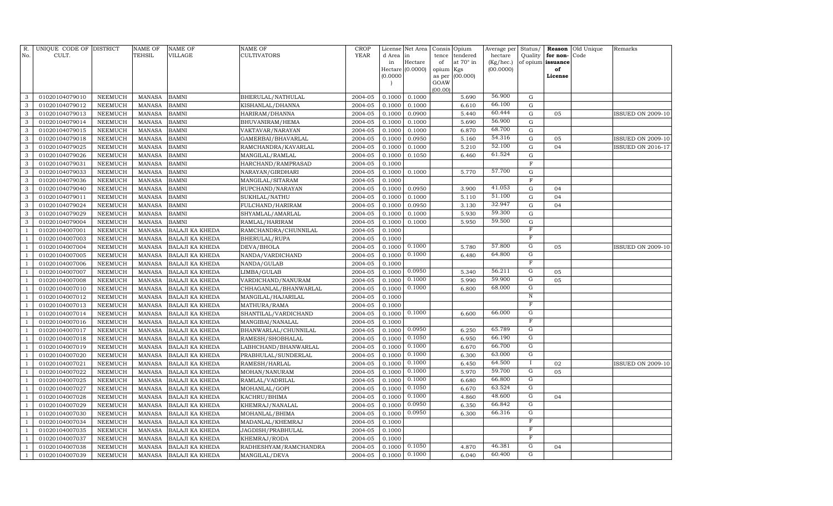| R.           | UNIQUE CODE OF DISTRICT<br>CULT. |                                  | NAME OF<br><b>TEHSIL</b>       | <b>NAME OF</b><br>VILLAGE                        | <b>NAME OF</b><br>CULTIVATORS | CROP<br><b>YEAR</b> |                  | License Net Area |             | Consis Opium          | Average per          | Status/                   |                               | <b>Reason</b> Old Unique | Remarks                  |
|--------------|----------------------------------|----------------------------------|--------------------------------|--------------------------------------------------|-------------------------------|---------------------|------------------|------------------|-------------|-----------------------|----------------------|---------------------------|-------------------------------|--------------------------|--------------------------|
| No.          |                                  |                                  |                                |                                                  |                               |                     | d Area<br>in     | in<br>Hectare    | tence<br>of | tendered<br>at 70° in | hectare<br>(Kg/hec.) | Quality                   | for non-<br>of opium issuance | Code                     |                          |
|              |                                  |                                  |                                |                                                  |                               |                     |                  | Hectare (0.0000) | opium Kgs   |                       | (00.0000)            |                           | of                            |                          |                          |
|              |                                  |                                  |                                |                                                  |                               |                     | (0.0000)         |                  | as per      | (00.000)              |                      |                           | License                       |                          |                          |
|              |                                  |                                  |                                |                                                  |                               |                     |                  |                  | GOAW        |                       |                      |                           |                               |                          |                          |
| 3            | 01020104079010                   | NEEMUCH                          | <b>MANASA</b>                  | <b>BAMNI</b>                                     | BHERULAL/NATHULAL             | 2004-05             | 0.1000           | 0.1000           | (00.00)     | 5.690                 | 56.900               | G                         |                               |                          |                          |
| 3            | 01020104079012                   | NEEMUCH                          | <b>MANASA</b>                  | <b>BAMNI</b>                                     | KISHANLAL/DHANNA              | 2004-05             | 0.1000           | 0.1000           |             | 6.610                 | 66.100               | G                         |                               |                          |                          |
| 3            | 01020104079013                   | NEEMUCH                          | <b>MANASA</b>                  | <b>BAMNI</b>                                     | HARIRAM/DHANNA                | 2004-05             | 0.1000           | 0.0900           |             | 5.440                 | 60.444               | G                         | 05                            |                          | ISSUED ON 2009-10        |
| 3            | 01020104079014                   | NEEMUCH                          | <b>MANASA</b>                  | <b>BAMNI</b>                                     | BHUVANIRAM/HEMA               | 2004-05             | 0.1000           | 0.1000           |             | 5.690                 | 56.900               | G                         |                               |                          |                          |
| 3            | 01020104079015                   | NEEMUCH                          | <b>MANASA</b>                  | <b>BAMNI</b>                                     | VAKTAVAR/NARAYAN              | 2004-05             | 0.1000           | 0.1000           |             | 6.870                 | 68.700               | G                         |                               |                          |                          |
| 3            | 01020104079018                   | <b>NEEMUCH</b>                   | MANASA                         | <b>BAMNI</b>                                     | GAMERBAI/BHAVARLAL            | 2004-05             | 0.1000           | 0.0950           |             | 5.160                 | 54.316               | $\mathbf G$               | 05                            |                          | ISSUED ON 2009-10        |
| 3            | 01020104079025                   | <b>NEEMUCH</b>                   | <b>MANASA</b>                  | <b>BAMNI</b>                                     | RAMCHANDRA/KAVARLAL           | 2004-05             | 0.1000           | 0.1000           |             | 5.210                 | 52.100               | $\mathbf G$               | 04                            |                          | <b>ISSUED ON 2016-17</b> |
| 3            | 01020104079026                   | <b>NEEMUCH</b>                   | <b>MANASA</b>                  | <b>BAMNI</b>                                     | MANGILAL/RAMLAL               | 2004-05             | 0.1000           | 0.1050           |             | 6.460                 | 61.524               | $\mathbf G$               |                               |                          |                          |
| 3            | 01020104079031                   | NEEMUCH                          | <b>MANASA</b>                  | <b>BAMNI</b>                                     | HARCHAND/RAMPRASAD            | 2004-05             | 0.1000           |                  |             |                       |                      | $\mathbf F$               |                               |                          |                          |
| 3            | 01020104079033                   | <b>NEEMUCH</b>                   | <b>MANASA</b>                  | <b>BAMNI</b>                                     | NARAYAN/GIRDHARI              | 2004-05             | 0.1000           | 0.1000           |             | 5.770                 | 57.700               | G                         |                               |                          |                          |
| 3            | 01020104079036                   | <b>NEEMUCH</b>                   | <b>MANASA</b>                  | <b>BAMNI</b>                                     | MANGILAL/SITARAM              | 2004-05             | 0.1000           |                  |             |                       |                      | $\mathbf F$               |                               |                          |                          |
| 3            | 01020104079040                   | <b>NEEMUCH</b>                   | <b>MANASA</b>                  | <b>BAMNI</b>                                     | RUPCHAND/NARAYAN              | 2004-05             | 0.1000           | 0.0950           |             | 3.900                 | 41.053               | G                         | 04                            |                          |                          |
| 3            | 01020104079011                   | NEEMUCH                          | <b>MANASA</b>                  | <b>BAMNI</b>                                     | SUKHLAL/NATHU                 | 2004-05             | 0.1000           | 0.1000           |             | 5.110                 | 51.100               | G                         | 04                            |                          |                          |
| 3            | 01020104079024                   | <b>NEEMUCH</b>                   | MANASA                         | <b>BAMNI</b>                                     | FULCHAND/HARIRAM              | 2004-05             | 0.1000           | 0.0950           |             | 3.130                 | 32.947               | $\mathbf G$               | 04                            |                          |                          |
| 3            | 01020104079029                   | <b>NEEMUCH</b>                   | <b>MANASA</b>                  | <b>BAMNI</b>                                     | SHYAMLAL/AMARLAL              | 2004-05             | 0.1000           | 0.1000           |             | 5.930                 | 59.300               | $\mathbf G$               |                               |                          |                          |
| 3            | 01020104079004                   | <b>NEEMUCH</b>                   | <b>MANASA</b>                  | <b>BAMNI</b>                                     | RAMLAL/HARIRAM                | 2004-05             | 0.1000           | 0.1000           |             | 5.950                 | 59.500               | $\mathbf G$               |                               |                          |                          |
|              | 01020104007001                   | NEEMUCH                          | <b>MANASA</b>                  | <b>BALAJI KA KHEDA</b>                           | RAMCHANDRA/CHUNNILAL          | 2004-05             | 0.1000           |                  |             |                       |                      | $\boldsymbol{\mathrm{F}}$ |                               |                          |                          |
|              | 01020104007003                   | <b>NEEMUCH</b>                   | <b>MANASA</b>                  | <b>BALAJI KA KHEDA</b>                           | BHERULAL/RUPA                 | 2004-05             | 0.1000           |                  |             |                       |                      | $\mathbf F$               |                               |                          |                          |
|              | 01020104007004                   | <b>NEEMUCH</b>                   | <b>MANASA</b>                  | <b>BALAJI KA KHEDA</b>                           | DEVA/BHOLA                    | 2004-05             | 0.1000           | 0.1000           |             | 5.780                 | 57.800               | ${\rm G}$                 | 05                            |                          | <b>ISSUED ON 2009-10</b> |
|              | 01020104007005                   | <b>NEEMUCH</b>                   | <b>MANASA</b>                  | <b>BALAJI KA KHEDA</b>                           | NANDA/VARDICHAND              | 2004-05             | 0.1000           | 0.1000           |             | 6.480                 | 64.800               | G                         |                               |                          |                          |
|              | 01020104007006                   | <b>NEEMUCH</b>                   | <b>MANASA</b>                  | BALAJI KA KHEDA                                  | NANDA/GULAB                   | 2004-05             | 0.1000           |                  |             |                       |                      | $\overline{\mathrm{F}}$   |                               |                          |                          |
|              | 01020104007007                   | <b>NEEMUCH</b>                   | MANASA                         | <b>BALAJI KA KHEDA</b>                           | LIMBA/GULAB                   | 2004-05             | 0.1000           | 0.0950           |             | 5.340                 | 56.211               | G                         | 05                            |                          |                          |
|              | 01020104007008                   | <b>NEEMUCH</b>                   | <b>MANASA</b>                  | <b>BALAJI KA KHEDA</b>                           | VARDICHAND/NANURAM            | 2004-05             | 0.1000           | 0.1000           |             | 5.990                 | 59.900               | G                         | 05                            |                          |                          |
|              | 01020104007010                   | <b>NEEMUCH</b>                   | <b>MANASA</b>                  | <b>BALAJI KA KHEDA</b>                           | CHHAGANLAL/BHANWARLAL         | 2004-05             | 0.1000           | 0.1000           |             | 6.800                 | 68.000               | G                         |                               |                          |                          |
|              | 01020104007012                   | <b>NEEMUCH</b>                   | <b>MANASA</b>                  | <b>BALAJI KA KHEDA</b>                           | MANGILAL/HAJARILAL            | 2004-05             | 0.1000           |                  |             |                       |                      | $\overline{\text{N}}$     |                               |                          |                          |
|              | 01020104007013                   | <b>NEEMUCH</b>                   | <b>MANASA</b>                  | <b>BALAJI KA KHEDA</b>                           | MATHURA/RAMA                  | 2004-05             | 0.1000           |                  |             |                       |                      | $\mathbf F$               |                               |                          |                          |
|              | 01020104007014                   | <b>NEEMUCH</b>                   | <b>MANASA</b>                  | <b>BALAJI KA KHEDA</b>                           | SHANTILAL/VARDICHAND          | 2004-05             | 0.1000           | 0.1000           |             | 6.600                 | 66.000               | G                         |                               |                          |                          |
|              | 01020104007016                   | <b>NEEMUCH</b>                   | <b>MANASA</b>                  | <b>BALAJI KA KHEDA</b>                           | MANGIBAI/NANALAL              | 2004-05             | 0.1000           |                  |             |                       |                      | $\mathbf F$               |                               |                          |                          |
|              | 01020104007017                   | NEEMUCH                          | <b>MANASA</b>                  | <b>BALAJI KA KHEDA</b>                           | BHANWARLAL/CHUNNILAL          | 2004-05             | 0.1000           | 0.0950<br>0.1050 |             | 6.250                 | 65.789<br>66.190     | $\overline{G}$<br>G       |                               |                          |                          |
|              | 01020104007018                   | <b>NEEMUCH</b>                   | MANASA                         | <b>BALAJI KA KHEDA</b>                           | RAMESH/SHOBHALAL              | 2004-05             | 0.1000           | 0.1000           |             | 6.950                 | 66.700               | G                         |                               |                          |                          |
|              | 01020104007019                   | <b>NEEMUCH</b>                   | <b>MANASA</b>                  | <b>BALAJI KA KHEDA</b>                           | LABHCHAND/BHANWARLAL          | 2004-05             | 0.1000           | 0.1000           |             | 6.670                 | 63.000               | G                         |                               |                          |                          |
|              | 01020104007020                   | <b>NEEMUCH</b>                   | <b>MANASA</b>                  | <b>BALAJI KA KHEDA</b>                           | PRABHULAL/SUNDERLAL           | 2004-05             | 0.1000           | 0.1000           |             | 6.300                 | 64.500               | $\bf{I}$                  |                               |                          |                          |
|              | 01020104007021                   | <b>NEEMUCH</b><br><b>NEEMUCH</b> | <b>MANASA</b>                  | <b>BALAJI KA KHEDA</b>                           | RAMESH/HARLAL                 | 2004-05             | 0.1000<br>0.1000 | 0.1000           |             | 6.450<br>5.970        | 59.700               | G                         | 02<br>05                      |                          | <b>ISSUED ON 2009-10</b> |
|              | 01020104007022<br>01020104007025 | <b>NEEMUCH</b>                   | <b>MANASA</b><br><b>MANASA</b> | <b>BALAJI KA KHEDA</b>                           | MOHAN/NANURAM                 | 2004-05<br>2004-05  | 0.1000           | 0.1000           |             | 6.680                 | 66.800               | G                         |                               |                          |                          |
|              | 01020104007027                   | <b>NEEMUCH</b>                   | <b>MANASA</b>                  | <b>BALAJI KA KHEDA</b><br><b>BALAJI KA KHEDA</b> | RAMLAL/VADRILAL               | 2004-05             | 0.1000           | 0.1050           |             | 6.670                 | 63.524               | G                         |                               |                          |                          |
|              | 01020104007028                   | NEEMUCH                          | <b>MANASA</b>                  |                                                  | MOHANLAL/GOPI<br>KACHRU/BHIMA | 2004-05             | 0.1000           | 0.1000           |             | 4.860                 | 48.600               | $\overline{G}$            | 04                            |                          |                          |
|              | 01020104007029                   | <b>NEEMUCH</b>                   | <b>MANASA</b>                  | <b>BALAJI KA KHEDA</b><br><b>BALAJI KA KHEDA</b> | KHEMRAJ/NANALAL               | 2004-05             | 0.1000           | 0.0950           |             | 6.350                 | 66.842               | G                         |                               |                          |                          |
|              | 01020104007030                   | NEEMUCH                          | <b>MANASA</b>                  | <b>BALAJI KA KHEDA</b>                           | MOHANLAL/BHIMA                | 2004-05             | 0.1000           | 0.0950           |             | 6.300                 | 66.316               | G                         |                               |                          |                          |
|              | 01020104007034                   | <b>NEEMUCH</b>                   | <b>MANASA</b>                  | <b>BALAJI KA KHEDA</b>                           | MADANLAL/KHEMRAJ              | 2004-05             | 0.1000           |                  |             |                       |                      | $\overline{F}$            |                               |                          |                          |
|              | 01020104007035                   | <b>NEEMUCH</b>                   | <b>MANASA</b>                  | <b>BALAJI KA KHEDA</b>                           | JAGDISH/PRABHULAL             | 2004-05             | 0.1000           |                  |             |                       |                      | $\mathbf F$               |                               |                          |                          |
|              | 01020104007037                   | <b>NEEMUCH</b>                   | <b>MANASA</b>                  | <b>BALAJI KA KHEDA</b>                           | KHEMRAJ/RODA                  | 2004-05             | 0.1000           |                  |             |                       |                      | $\mathbf F$               |                               |                          |                          |
|              | 01020104007038                   | <b>NEEMUCH</b>                   | <b>MANASA</b>                  | <b>BALAJI KA KHEDA</b>                           | RADHESHYAM/RAMCHANDRA         | 2004-05             | 0.1000           | 0.1050           |             | 4.870                 | 46.381               | G                         | 04                            |                          |                          |
| $\mathbf{1}$ | 01020104007039                   | NEEMUCH                          | <b>MANASA</b>                  | <b>BALAJI KA KHEDA</b>                           | MANGILAL/DEVA                 | 2004-05             | 0.1000           | 0.1000           |             | 6.040                 | 60.400               | G                         |                               |                          |                          |
|              |                                  |                                  |                                |                                                  |                               |                     |                  |                  |             |                       |                      |                           |                               |                          |                          |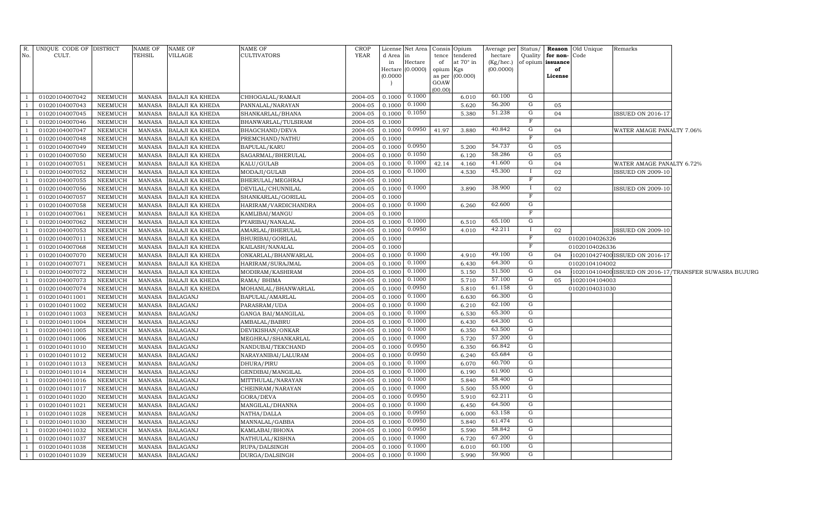|                                | R. UNIQUE CODE OF DISTRICT       |                    | NAME OF                 | NAME OF                                          | NAME OF                                 | CROP               |                  | License Net Area Consis Opium |                 |                  | Average per            | Status/        |                | <b>Reason</b> Old Unique | Remarks                        |                                                        |
|--------------------------------|----------------------------------|--------------------|-------------------------|--------------------------------------------------|-----------------------------------------|--------------------|------------------|-------------------------------|-----------------|------------------|------------------------|----------------|----------------|--------------------------|--------------------------------|--------------------------------------------------------|
| No.                            | CULT.                            |                    | TEHSIL                  | VILLAGE                                          | CULTIVATORS                             | YEAR               | d Area in        |                               | tence           | tendered         | hectare                | Quality        | for non-Code   |                          |                                |                                                        |
|                                |                                  |                    |                         |                                                  |                                         |                    | in               | Hectare<br>Hectare (0.0000)   | of<br>opium Kgs | at $70^\circ$ in | (Kg/hec.)<br>(00.0000) | of opium       | issuance<br>of |                          |                                |                                                        |
|                                |                                  |                    |                         |                                                  |                                         |                    | 0.0000           |                               |                 | as per (00.000)  |                        |                | License        |                          |                                |                                                        |
|                                |                                  |                    |                         |                                                  |                                         |                    |                  |                               | GOAW            |                  |                        |                |                |                          |                                |                                                        |
|                                |                                  |                    |                         |                                                  |                                         |                    |                  | 0.1000                        | (00.00)         |                  | 60.100                 | G              |                |                          |                                |                                                        |
| $\overline{1}$                 | 01020104007042                   | NEEMUCH            | MANASA                  | <b>BALAJI KA KHEDA</b>                           | CHHOGALAL/RAMAJI                        | 2004-05            | 0.1000           | 0.1000                        |                 | 6.010<br>5.620   | 56.200                 | G              |                |                          |                                |                                                        |
| <sup>1</sup><br>-1             | 01020104007043                   | NEEMUCH<br>NEEMUCH | MANASA<br>MANASA        | <b>BALAJI KA KHEDA</b>                           | PANNALAL/NARAYAN                        | 2004-05<br>2004-05 | 0.1000<br>0.1000 | 0.1050                        |                 | 5.380            | 51.238                 | G              | 05<br>04       |                          | <b>ISSUED ON 2016-17</b>       |                                                        |
| $\overline{1}$                 | 01020104007045<br>01020104007046 | NEEMUCH            | MANASA                  | <b>BALAJI KA KHEDA</b><br><b>BALAJI KA KHEDA</b> | SHANKARLAL/BHANA<br>BHANWARLAL/TULSIRAM | 2004-05            | 0.1000           |                               |                 |                  |                        | F              |                |                          |                                |                                                        |
| $\overline{1}$                 | 01020104007047                   | <b>NEEMUCH</b>     | MANASA                  | <b>BALAJI KA KHEDA</b>                           | BHAGCHAND/DEVA                          | 2004-05            | 0.1000           | 0.0950                        | 41.97           | 3.880            | 40.842                 | G              | 04             |                          | WATER AMAGE PANALTY 7.06%      |                                                        |
| $\overline{1}$                 | 01020104007048                   | <b>NEEMUCH</b>     | MANASA                  | <b>BALAJI KA KHEDA</b>                           | PREMCHAND/NATHU                         | 2004-05            | 0.1000           |                               |                 |                  |                        | F              |                |                          |                                |                                                        |
| $\overline{1}$                 | 01020104007049                   | <b>NEEMUCH</b>     | MANASA                  | <b>BALAJI KA KHEDA</b>                           | BAPULAL/KARU                            | 2004-05            | 0.1000           | 0.0950                        |                 | 5.200            | 54.737                 | G              | 05             |                          |                                |                                                        |
| $\overline{1}$                 | 01020104007050                   | <b>NEEMUCH</b>     | MANASA                  | BALAJI KA KHEDA                                  | SAGARMAL/BHERULAL                       | $2004 - 05$        | 0.1000           | 0.1050                        |                 | 6.120            | 58.286                 | G              | 05             |                          |                                |                                                        |
| <sup>1</sup>                   | 01020104007051                   | NEEMUCH            | MANASA                  | <b>BALAJI KA KHEDA</b>                           | KALU/GULAB                              | 2004-05            | 0.1000           | 0.1000                        | 42.14           | 4.160            | 41.600                 | G              | 04             |                          | WATER AMAGE PANALTY 6.72%      |                                                        |
| $\overline{1}$                 | 01020104007052                   | NEEMUCH            | MANASA                  | <b>BALAJI KA KHEDA</b>                           | MODAJI/GULAB                            | 2004-05            | 0.1000           | 0.1000                        |                 | 4.530            | 45.300                 | Ι              | 02             |                          | ISSUED ON 2009-10              |                                                        |
| <sup>1</sup>                   | 01020104007055                   | NEEMUCH            | MANASA                  | <b>BALAJI KA KHEDA</b>                           | BHERULAL/MEGHRAJ                        | 2004-05            | 0.1000           |                               |                 |                  |                        | F              |                |                          |                                |                                                        |
| $\overline{1}$                 | 01020104007056                   | NEEMUCH            | MANASA                  | <b>BALAJI KA KHEDA</b>                           | DEVILAL/CHUNNILAL                       | 2004-05            | 0.1000           | 0.1000                        |                 | 3.890            | 38.900                 | П              | 02             |                          | <b>ISSUED ON 2009-10</b>       |                                                        |
| $\overline{1}$                 | 01020104007057                   | NEEMUCH            | MANASA                  | <b>BALAJI KA KHEDA</b>                           | SHANKARLAL/GORILAL                      | 2004-05            | 0.1000           |                               |                 |                  |                        | F              |                |                          |                                |                                                        |
| $\overline{1}$                 | 01020104007058                   | NEEMUCH            | MANASA                  | <b>BALAJI KA KHEDA</b>                           | HARIRAM/VARDICHANDRA                    | 2004-05            | 0.1000           | 0.1000                        |                 | 6.260            | 62.600                 | G              |                |                          |                                |                                                        |
| $\overline{1}$                 | 01020104007061                   | NEEMUCH            | MANASA                  | <b>BALAJI KA KHEDA</b>                           | KAMLIBAI/MANGU                          | 2004-05            | 0.1000           |                               |                 |                  |                        | F              |                |                          |                                |                                                        |
| $\overline{1}$                 | 01020104007062                   | NEEMUCH            | MANASA                  | <b>BALAJI KA KHEDA</b>                           | PYARIBAI/NANALAL                        | 2004-05            | 0.1000           | 0.1000                        |                 | 6.510            | 65.100                 | G              |                |                          |                                |                                                        |
| $\overline{1}$                 | 01020104007053                   | NEEMUCH            | MANASA                  | <b>BALAJI KA KHEDA</b>                           | AMARLAL/BHERULAL                        | 2004-05            | 0.1000           | 0.0950                        |                 | 4.010            | 42.211                 |                | 02             |                          | <b>ISSUED ON 2009-10</b>       |                                                        |
| $\overline{1}$                 | 01020104007011                   | NEEMUCH            | MANASA                  | <b>BALAJI KA KHEDA</b>                           | BHURIBAI/GORILAL                        | 2004-05            | 0.1000           |                               |                 |                  |                        | $\mathbf F$    |                | 01020104026326           |                                |                                                        |
| $\mathbf{1}$                   | 01020104007068                   | NEEMUCH            | MANASA                  | <b>BALAJI KA KHEDA</b>                           | KAILASH/NANALAL                         | 2004-05            | 0.1000           |                               |                 |                  |                        | F              |                | 01020104026336           |                                |                                                        |
| <sup>1</sup>                   | 01020104007070                   | NEEMUCH            | MANASA                  | <b>BALAJI KA KHEDA</b>                           | ONKARLAL/BHANWARLAL                     | 2004-05            | 0.1000           | 0.1000                        |                 | 4.910            | 49.100                 | G              | 04             |                          | 102010427400 ISSUED ON 2016-17 |                                                        |
| -1                             | 01020104007071                   | NEEMUCH            | MANASA                  | <b>BALAJI KA KHEDA</b>                           | HARIRAM/SURAJMAL                        | 2004-05            | 0.1000           | 0.1000                        |                 | 6.430            | 64.300                 | G              |                | 01020104104002           |                                |                                                        |
| $\overline{1}$                 | 01020104007072                   | NEEMUCH            | MANASA                  | <b>BALAJI KA KHEDA</b>                           | MODIRAM/KASHIRAM                        | 2004-05            | 0.1000           | 0.1000                        |                 | 5.150            | 51.500                 | $\overline{G}$ | 04             |                          |                                | 102010410400 ISSUED ON 2016-17/TRANSFER SUWASRA BUJURG |
| - 1                            | 01020104007073                   | NEEMUCH            | MANASA                  | <b>BALAJI KA KHEDA</b>                           | RAMA/BHIMA                              | 2004-05            | 0.1000           | 0.1000                        |                 | 5.710            | 57.100                 | G              | 05             | 1020104104003            |                                |                                                        |
| $\overline{1}$                 | 01020104007074                   | NEEMUCH            | MANASA                  | <b>BALAJI KA KHEDA</b>                           | MOHANLAL/BHANWARLAL                     | 2004-05            | 0.1000           | 0.0950                        |                 | 5.810            | 61.158                 | $\overline{G}$ |                | 01020104031030           |                                |                                                        |
| - 1                            | 01020104011001                   | NEEMUCH            | MANASA                  | <b>BALAGANJ</b>                                  | BAPULAL/AMARLAL                         | 2004-05            | 0.1000           | 0.1000                        |                 | 6.630            | 66.300                 | G              |                |                          |                                |                                                        |
| <sup>1</sup>                   | 01020104011002                   | NEEMUCH            | MANASA                  | <b>BALAGANJ</b>                                  | PARASRAM/UDA                            | 2004-05            | 0.1000           | 0.1000                        |                 | 6.210            | 62.100                 | $\overline{G}$ |                |                          |                                |                                                        |
| $\overline{1}$                 | 01020104011003                   | NEEMUCH            | <b>MANASA</b>           | <b>BALAGANJ</b>                                  | GANGA BAI/MANGILAL                      | 2004-05            | 0.1000           | 0.1000                        |                 | 6.530            | 65.300                 | G              |                |                          |                                |                                                        |
| <sup>1</sup>                   | 01020104011004                   | <b>NEEMUCH</b>     | MANASA                  | <b>BALAGANJ</b>                                  | AMBALAL/BABRU                           | 2004-05            | 0.1000           | 0.1000                        |                 | 6.430            | 64.300<br>63.500       | G<br>G         |                |                          |                                |                                                        |
| <sup>1</sup>                   | 01020104011005<br>01020104011006 | <b>NEEMUCH</b>     | <b>MANASA</b>           | <b>BALAGANJ</b><br><b>BALAGANJ</b>               | DEVIKISHAN/ONKAR<br>MEGHRAJ/SHANKARLAL  | 2004-05            | 0.1000           | 0.1000<br>0.1000              |                 | 6.350<br>5.720   | 57.200                 | G              |                |                          |                                |                                                        |
| <sup>1</sup><br>$\overline{1}$ | 01020104011010                   | NEEMUCH<br>NEEMUCH | MANASA<br><b>MANASA</b> | <b>BALAGANJ</b>                                  | NANDUBAI/TEKCHAND                       | 2004-05<br>2004-05 | 0.1000<br>0.1000 | 0.0950                        |                 | 6.350            | 66.842                 | G              |                |                          |                                |                                                        |
| <sup>1</sup>                   | 01020104011012                   | NEEMUCH            | MANASA                  | <b>BALAGANJ</b>                                  | NARAYANIBAI/LALURAM                     | 2004-05            | 0.1000           | 0.0950                        |                 | 6.240            | 65.684                 | G              |                |                          |                                |                                                        |
| <sup>1</sup>                   | 01020104011013                   | NEEMUCH            | MANASA                  | <b>BALAGANJ</b>                                  | DHURA/PIRU                              | 2004-05            | 0.1000           | 0.1000                        |                 | 6.070            | 60.700                 | G              |                |                          |                                |                                                        |
| <sup>1</sup>                   | 01020104011014                   | NEEMUCH            | MANASA                  | <b>BALAGANJ</b>                                  | GENDIBAI/MANGILAL                       | 2004-05            | 0.1000           | 0.1000                        |                 | 6.190            | 61.900                 | G              |                |                          |                                |                                                        |
| <sup>1</sup>                   | 01020104011016                   | NEEMUCH            | <b>MANASA</b>           | <b>BALAGANJ</b>                                  | MITTHULAL/NARAYAN                       | 2004-05            | 0.1000           | 0.1000                        |                 | 5.840            | 58.400                 | G              |                |                          |                                |                                                        |
| <sup>1</sup>                   | 01020104011017                   | NEEMUCH            | MANASA                  | <b>BALAGANJ</b>                                  | CHEINRAM/NARAYAN                        | 2004-05            | 0.1000           | 0.1000                        |                 | 5.500            | 55.000                 | G              |                |                          |                                |                                                        |
| $\overline{1}$                 | 01020104011020                   | <b>NEEMUCH</b>     | MANASA                  | <b>BALAGANJ</b>                                  | GORA/DEVA                               | 2004-05            | 0.1000           | 0.0950                        |                 | 5.910            | 62.211                 | G              |                |                          |                                |                                                        |
| <sup>1</sup>                   | 01020104011021                   | NEEMUCH            | MANASA                  | <b>BALAGANJ</b>                                  | MANGILAL/DHANNA                         | 2004-05            | 0.1000           | 0.1000                        |                 | 6.450            | 64.500                 | G              |                |                          |                                |                                                        |
| <sup>1</sup>                   | 01020104011028                   | <b>NEEMUCH</b>     | MANASA                  | <b>BALAGANJ</b>                                  | NATHA/DALLA                             | 2004-05            | 0.1000           | 0.0950                        |                 | 6.000            | 63.158                 | G              |                |                          |                                |                                                        |
| $\mathbf{1}$                   | 01020104011030                   | NEEMUCH            | MANASA                  | <b>BALAGANJ</b>                                  | MANNALAL/GABBA                          | 2004-05            | 0.1000           | 0.0950                        |                 | 5.840            | 61.474                 | G              |                |                          |                                |                                                        |
| <sup>1</sup>                   | 01020104011032                   | NEEMUCH            | <b>MANASA</b>           | <b>BALAGANJ</b>                                  | KAMLABAI/BHONA                          | 2004-05            | 0.1000           | 0.0950                        |                 | 5.590            | 58.842                 | G              |                |                          |                                |                                                        |
| <sup>1</sup>                   | 01020104011037                   | NEEMUCH            | MANASA                  | <b>BALAGANJ</b>                                  | NATHULAL/KISHNA                         | 2004-05            | 0.1000           | 0.1000                        |                 | 6.720            | 67.200                 | G              |                |                          |                                |                                                        |
| <sup>1</sup>                   | 01020104011038                   | NEEMUCH            | MANASA                  | <b>BALAGANJ</b>                                  | RUPA/DALSINGH                           | 2004-05            | 0.1000           | 0.1000                        |                 | 6.010            | 60.100                 | G              |                |                          |                                |                                                        |
| $\overline{1}$                 | 01020104011039                   | NEEMUCH            |                         | MANASA BALAGANJ                                  | DURGA/DALSINGH                          | 2004-05            | 0.1000           | 0.1000                        |                 | 5.990            | 59.900                 | $\mathbf G$    |                |                          |                                |                                                        |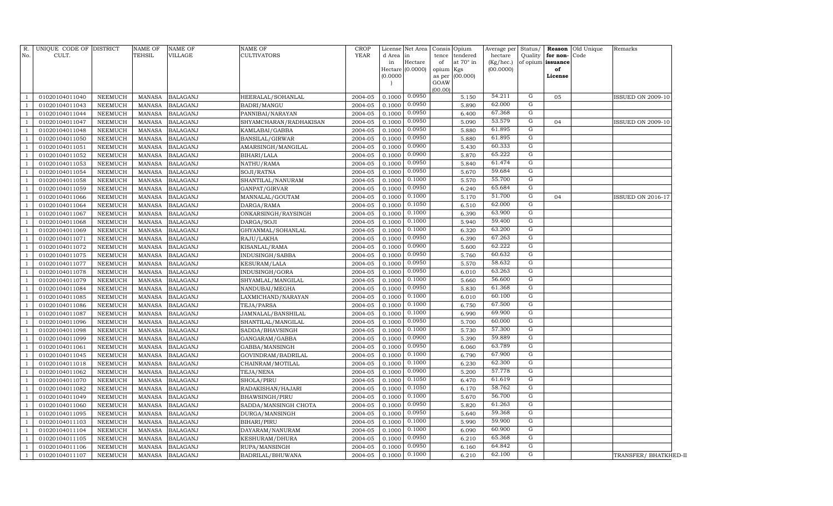| R.<br>No.      | UNIQUE CODE OF DISTRICT<br>CULT. |                | <b>NAME OF</b><br>TEHSIL | NAME OF<br>VILLAGE | <b>NAME OF</b><br>CULTIVATORS | <b>CROP</b><br><b>YEAR</b> | d Area in<br>in  | License Net Area<br>Hectare<br>Hectare (0.0000) | Consis<br>Opium<br>tendered<br>tence<br>at 70° in<br>of<br>opium<br>Kgs | Average per<br>hectare<br>(Kg/hec.)<br>(00.0000) | Status/<br>Quality         | for non-Code<br>of opium issuance<br>of | Reason Old Unique | Remarks                  |
|----------------|----------------------------------|----------------|--------------------------|--------------------|-------------------------------|----------------------------|------------------|-------------------------------------------------|-------------------------------------------------------------------------|--------------------------------------------------|----------------------------|-----------------------------------------|-------------------|--------------------------|
|                |                                  |                |                          |                    |                               |                            | (0.0000)         |                                                 | (00.000)<br>as per<br>GOAW<br>(00.00)                                   |                                                  |                            | License                                 |                   |                          |
| -1             | 01020104011040                   | <b>NEEMUCH</b> | <b>MANASA</b>            | <b>BALAGANJ</b>    | HEERALAL/SOHANLAL             | 2004-05                    | 0.1000           | 0.0950                                          | 5.150                                                                   | 54.211                                           | G                          | 05                                      |                   | <b>ISSUED ON 2009-10</b> |
| -1             | 01020104011043                   | <b>NEEMUCH</b> | <b>MANASA</b>            | <b>BALAGANJ</b>    | BADRI/MANGU                   | 2004-05                    | 0.1000           | 0.0950                                          | 5.890                                                                   | 62.000                                           | $\mathbf G$                |                                         |                   |                          |
| -1             | 01020104011044                   | <b>NEEMUCH</b> | <b>MANASA</b>            | <b>BALAGANJ</b>    | PANNIBAI/NARAYAN              | 2004-05                    | 0.1000           | 0.0950                                          | 6.400                                                                   | 67.368                                           | G                          |                                         |                   |                          |
| -1             | 01020104011047                   | <b>NEEMUCH</b> | <b>MANASA</b>            | <b>BALAGANJ</b>    | SHYAMCHARAN/RADHAKISAN        | 2004-05                    | 0.1000           | 0.0950                                          | 5.090                                                                   | 53.579                                           | G                          | 04                                      |                   | <b>ISSUED ON 2009-10</b> |
|                | 01020104011048                   | <b>NEEMUCH</b> | <b>MANASA</b>            | <b>BALAGANJ</b>    | KAMLABAI/GABBA                | 2004-05                    | 0.1000           | 0.0950                                          | 5.880                                                                   | 61.895                                           | G                          |                                         |                   |                          |
| $\overline{1}$ | 01020104011050                   | <b>NEEMUCH</b> | <b>MANASA</b>            | <b>BALAGANJ</b>    | BANSILAL/GIRWAR               | 2004-05                    | 0.1000           | 0.0950                                          | 5.880                                                                   | 61.895                                           | G                          |                                         |                   |                          |
| $\overline{1}$ | 01020104011051                   | <b>NEEMUCH</b> | <b>MANASA</b>            | <b>BALAGANJ</b>    | AMARSINGH/MANGILAL            | 2004-05                    | 0.1000           | 0.0900                                          | 5.430                                                                   | 60.333                                           | G                          |                                         |                   |                          |
| -1             | 01020104011052                   | <b>NEEMUCH</b> | <b>MANASA</b>            | <b>BALAGANJ</b>    | BIHARI/LALA                   | 2004-05                    | 0.1000           | 0.0900                                          | 5.870                                                                   | 65.222                                           | G                          |                                         |                   |                          |
|                | 01020104011053                   | <b>NEEMUCH</b> | <b>MANASA</b>            | <b>BALAGANJ</b>    | NATHU/RAMA                    | 2004-05                    | 0.1000           | 0.0950                                          | 5.840                                                                   | 61.474                                           | G                          |                                         |                   |                          |
| $\overline{1}$ | 01020104011054                   | <b>NEEMUCH</b> | <b>MANASA</b>            | <b>BALAGANJ</b>    | SOJI/RATNA                    | 2004-05                    | 0.1000           | 0.0950                                          | 5.670                                                                   | 59.684                                           | G                          |                                         |                   |                          |
|                | 01020104011058                   | <b>NEEMUCH</b> | <b>MANASA</b>            | <b>BALAGANJ</b>    | SHANTILAL/NANURAM             | 2004-05                    | 0.1000           | 0.1000                                          | 5.570                                                                   | 55.700                                           | G                          |                                         |                   |                          |
| $\overline{1}$ | 01020104011059                   | <b>NEEMUCH</b> | <b>MANASA</b>            | <b>BALAGANJ</b>    | GANPAT/GIRVAR                 | 2004-05                    | 0.1000           | 0.0950                                          | 6.240                                                                   | 65.684                                           | G                          |                                         |                   |                          |
| $\overline{1}$ | 01020104011066                   | <b>NEEMUCH</b> | <b>MANASA</b>            | <b>BALAGANJ</b>    | MANNALAL/GOUTAM               | 2004-05                    | 0.1000           | 0.1000                                          | 5.170                                                                   | 51.700                                           | G                          | 04                                      |                   | ISSUED ON 2016-17        |
| $\overline{1}$ | 01020104011064                   | <b>NEEMUCH</b> | <b>MANASA</b>            | <b>BALAGANJ</b>    | DARGA/RAMA                    | 2004-05                    | 0.1000           | 0.1050                                          | 6.510                                                                   | 62.000                                           | G                          |                                         |                   |                          |
| $\overline{1}$ | 01020104011067                   | <b>NEEMUCH</b> | <b>MANASA</b>            | <b>BALAGANJ</b>    | ONKARSINGH/RAYSINGH           | 2004-05                    | 0.1000           | 0.1000                                          | 6.390                                                                   | 63.900                                           | G                          |                                         |                   |                          |
| $\overline{1}$ | 01020104011068                   | <b>NEEMUCH</b> | <b>MANASA</b>            | <b>BALAGANJ</b>    | DARGA/SOJI                    | 2004-05                    | 0.1000           | 0.1000                                          | 5.940                                                                   | 59.400                                           | G                          |                                         |                   |                          |
|                | 01020104011069                   | <b>NEEMUCH</b> | MANASA                   | <b>BALAGANJ</b>    | GHYANMAL/SOHANLAL             | 2004-05                    | 0.1000           | 0.1000                                          | 6.320                                                                   | 63.200                                           | G                          |                                         |                   |                          |
| $\overline{1}$ | 01020104011071                   | <b>NEEMUCH</b> | <b>MANASA</b>            | <b>BALAGANJ</b>    | RAJU/LAKHA                    | 2004-05                    | 0.1000           | 0.0950                                          | 6.390                                                                   | 67.263                                           | $\mathbf G$                |                                         |                   |                          |
| $\overline{1}$ | 01020104011072                   | <b>NEEMUCH</b> | <b>MANASA</b>            | <b>BALAGANJ</b>    | KISANLAL/RAMA                 | 2004-05                    | 0.1000           | 0.0900                                          | 5.600                                                                   | 62.222                                           | $\mathbf G$                |                                         |                   |                          |
| $\mathbf{1}$   | 01020104011075                   | <b>NEEMUCH</b> | <b>MANASA</b>            | <b>BALAGANJ</b>    | INDUSINGH/SABBA               | 2004-05                    | 0.1000           | 0.0950                                          | 5.760                                                                   | 60.632                                           | $\mathbf G$                |                                         |                   |                          |
| $\mathbf{1}$   | 01020104011077                   | <b>NEEMUCH</b> | MANASA                   | <b>BALAGANJ</b>    | <b>KESURAM/LALA</b>           | 2004-05                    | 0.1000           | 0.0950                                          | 5.570                                                                   | 58.632                                           | $\mathbf G$                |                                         |                   |                          |
| $\mathbf{1}$   | 01020104011078                   | <b>NEEMUCH</b> | MANASA                   | <b>BALAGANJ</b>    | INDUSINGH/GORA                | 2004-05                    | 0.1000           | 0.0950                                          | 6.010                                                                   | 63.263                                           | G                          |                                         |                   |                          |
| $\mathbf{1}$   | 01020104011079                   | <b>NEEMUCH</b> | MANASA                   | <b>BALAGANJ</b>    | SHYAMLAL/MANGILAL             | 2004-05                    | 0.1000           | 0.1000                                          | 5.660                                                                   | 56.600                                           | G                          |                                         |                   |                          |
| $\mathbf{1}$   | 01020104011084                   | <b>NEEMUCH</b> | MANASA                   | <b>BALAGANJ</b>    | NANDUBAI/MEGHA                | 2004-05                    | 0.1000           | 0.0950                                          | 5.830                                                                   | 61.368                                           | G                          |                                         |                   |                          |
| $\mathbf{1}$   | 01020104011085                   | <b>NEEMUCH</b> | MANASA                   | <b>BALAGANJ</b>    | LAXMICHAND/NARAYAN            | 2004-05                    | 0.1000           | 0.1000                                          | 6.010                                                                   | 60.100                                           | G                          |                                         |                   |                          |
| $\overline{1}$ | 01020104011086                   | <b>NEEMUCH</b> | MANASA                   | <b>BALAGANJ</b>    | TEJA/PARSA                    | 2004-05                    | 0.1000           | 0.1000                                          | 6.750                                                                   | 67.500                                           | G                          |                                         |                   |                          |
| $\overline{1}$ | 01020104011087                   | <b>NEEMUCH</b> | MANASA                   | <b>BALAGANJ</b>    | JAMNALAL/BANSHILAL            | 2004-05                    | 0.1000           | 0.1000                                          | 6.990                                                                   | 69.900                                           | G                          |                                         |                   |                          |
| $\overline{1}$ | 01020104011096                   | <b>NEEMUCH</b> | MANASA                   | <b>BALAGANJ</b>    | SHANTILAL/MANGILAL            | 2004-05                    | 0.1000           | 0.0950                                          | 5.700                                                                   | 60.000                                           | G                          |                                         |                   |                          |
| $\overline{1}$ | 01020104011098                   | NEEMUCH        | MANASA                   | <b>BALAGANJ</b>    | SADDA/BHAVSINGH               | 2004-05                    | 0.1000           | 0.1000                                          | 5.730                                                                   | 57.300                                           | $\overline{G}$             |                                         |                   |                          |
| -1             | 01020104011099                   | <b>NEEMUCH</b> | MANASA                   | <b>BALAGANJ</b>    | GANGARAM/GABBA                | 2004-05                    | 0.1000           | 0.0900                                          | 5.390                                                                   | 59.889                                           | $\mathbf G$                |                                         |                   |                          |
| $\overline{1}$ | 01020104011061                   | <b>NEEMUCH</b> | <b>MANASA</b>            | <b>BALAGANJ</b>    | GABBA/MANSINGH                | 2004-05                    | 0.1000           | 0.0950                                          | 6.060                                                                   | 63.789                                           | G                          |                                         |                   |                          |
| -1             | 01020104011045                   | <b>NEEMUCH</b> | <b>MANASA</b>            | <b>BALAGANJ</b>    | GOVINDRAM/BADRILAL            | 2004-05                    | 0.1000           | 0.1000                                          | 6.790                                                                   | 67.900                                           | G                          |                                         |                   |                          |
|                | 01020104011018                   | <b>NEEMUCH</b> | <b>MANASA</b>            | <b>BALAGANJ</b>    | CHAINRAM/MOTILAL              | 2004-05                    | 0.1000           | 0.1000                                          | 6.230                                                                   | 62.300                                           | G                          |                                         |                   |                          |
| -1             | 01020104011062                   | <b>NEEMUCH</b> | <b>MANASA</b>            | <b>BALAGANJ</b>    | TEJA/NENA                     | 2004-05                    | 0.1000           | 0.0900                                          | 5.200                                                                   | 57.778                                           | G                          |                                         |                   |                          |
|                | 01020104011070                   | <b>NEEMUCH</b> | <b>MANASA</b>            | <b>BALAGANJ</b>    | SHOLA/PIRU                    | 2004-05                    | 0.1000           | 0.1050                                          | 6.470                                                                   | 61.619                                           | G                          |                                         |                   |                          |
|                | 01020104011082                   | NEEMUCH        | <b>MANASA</b>            | <b>BALAGANJ</b>    | RADAKISHAN/HAJARI             | 2004-05                    | 0.1000           | 0.1050                                          | 6.170                                                                   | 58.762                                           | $\mathbf G$                |                                         |                   |                          |
|                | 01020104011049                   | <b>NEEMUCH</b> | <b>MANASA</b>            | <b>BALAGANJ</b>    | BHAWSINGH/PIRU                | 2004-05                    | 0.1000           | 0.1000                                          | 5.670                                                                   | 56.700                                           | $\mathbf G$<br>$\mathbf G$ |                                         |                   |                          |
|                | 01020104011060                   | NEEMUCH        | <b>MANASA</b>            | <b>BALAGANJ</b>    | SADDA/MANSINGH CHOTA          | 2004-05                    | 0.1000           | 0.0950<br>0.0950                                | 5.820                                                                   | 61.263                                           | G                          |                                         |                   |                          |
|                | 01020104011095                   | <b>NEEMUCH</b> | <b>MANASA</b>            | <b>BALAGANJ</b>    | DURGA/MANSINGH                | 2004-05                    | 0.1000           | 0.1000                                          | 5.640                                                                   | 59.368<br>59.900                                 | G                          |                                         |                   |                          |
|                | 01020104011103                   | NEEMUCH        | <b>MANASA</b>            | <b>BALAGANJ</b>    | BIHARI/PIRU                   | 2004-05                    | 0.1000           | 0.1000                                          | 5.990                                                                   | 60.900                                           | G                          |                                         |                   |                          |
|                | 01020104011104                   | <b>NEEMUCH</b> | <b>MANASA</b>            | <b>BALAGANJ</b>    | DAYARAM/NANURAM               | 2004-05                    | 0.1000           | 0.0950                                          | 6.090                                                                   | 65.368                                           | G                          |                                         |                   |                          |
|                | 01020104011105                   | NEEMUCH        | <b>MANASA</b>            | <b>BALAGANJ</b>    | KESHURAM/DHURA                | 2004-05<br>2004-05         | 0.1000<br>0.1000 | 0.0950                                          | 6.210<br>6.160                                                          | 64.842                                           | G                          |                                         |                   |                          |
|                | 01020104011106                   | NEEMUCH        | <b>MANASA</b>            | <b>BALAGANJ</b>    | RUPA/MANSINGH                 |                            |                  | 0.1000                                          |                                                                         | 62.100                                           | G                          |                                         |                   |                          |
| <sup>1</sup>   | 01020104011107                   | NEEMUCH        | MANASA                   | <b>BALAGANJ</b>    | BADRILAL/BHUWANA              | 2004-05                    | 0.1000           |                                                 | 6.210                                                                   |                                                  |                            |                                         |                   | TRANSFER/ BHATKHED-II    |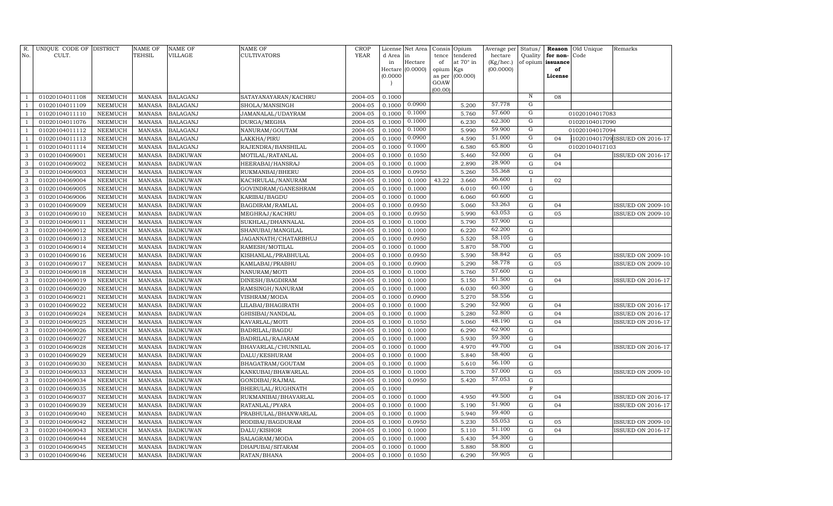| $R$ .<br>No. | UNIQUE CODE OF DISTRICT<br>CULT. |                                  | NAME OF<br>TEHSIL              | NAME OF<br>VILLAGE                 | <b>NAME OF</b><br><b>CULTIVATORS</b> | <b>CROP</b><br>YEAR | License<br>d Area | Net Area<br>in   | Consis<br>tence     | Opium<br>tendered | Average per<br>hectare | Status/<br>Quality               | Reason<br>for non- | Old Unique<br>Code | Remarks                        |
|--------------|----------------------------------|----------------------------------|--------------------------------|------------------------------------|--------------------------------------|---------------------|-------------------|------------------|---------------------|-------------------|------------------------|----------------------------------|--------------------|--------------------|--------------------------------|
|              |                                  |                                  |                                |                                    |                                      |                     | in                | Hectare          | of                  | at 70° in         | (Kg/hec.)              |                                  | of opium issuance  |                    |                                |
|              |                                  |                                  |                                |                                    |                                      |                     | (0.0000)          | Hectare (0.0000) | opium Kgs<br>as per | (00.000)          | (00.0000)              |                                  | of<br>License      |                    |                                |
|              |                                  |                                  |                                |                                    |                                      |                     |                   |                  | GOAW                |                   |                        |                                  |                    |                    |                                |
|              |                                  |                                  |                                |                                    |                                      |                     |                   |                  | (00.00)             |                   |                        |                                  |                    |                    |                                |
|              | 01020104011108                   | <b>NEEMUCH</b>                   | <b>MANASA</b>                  | <b>BALAGANJ</b>                    | SATAYANAYARAN/KACHRU                 | 2004-05             | 0.1000            |                  |                     |                   |                        | $\,$ N                           | 08                 |                    |                                |
|              | 01020104011109                   | <b>NEEMUCH</b>                   | <b>MANASA</b>                  | <b>BALAGANJ</b>                    | SHOLA/MANSINGH                       | 2004-05             | 0.1000            | 0.0900           |                     | 5.200             | 57.778                 | ${\rm G}$                        |                    |                    |                                |
|              | 01020104011110                   | <b>NEEMUCH</b>                   | <b>MANASA</b>                  | <b>BALAGANJ</b>                    | JAMANALAL/UDAYRAM                    | 2004-05             | 0.1000            | 0.1000           |                     | 5.760             | 57.600                 | $\overline{G}$                   |                    | 01020104017083     |                                |
| -1           | 01020104011076                   | <b>NEEMUCH</b>                   | <b>MANASA</b>                  | <b>BALAGANJ</b>                    | DURGA/MEGHA                          | 2004-05             | 0.1000            | 0.1000           |                     | 6.230             | 62.300                 | G                                |                    | 01020104017090     |                                |
|              | 01020104011112                   | <b>NEEMUCH</b>                   | <b>MANASA</b>                  | <b>BALAGANJ</b>                    | NANURAM/GOUTAM                       | 2004-05             | 0.1000            | 0.1000           |                     | 5.990             | 59.900                 | G                                |                    | 01020104017094     |                                |
| - 1          | 01020104011113                   | <b>NEEMUCH</b>                   | <b>MANASA</b>                  | <b>BALAGANJ</b>                    | LAKKHA/PIRU                          | 2004-05             | 0.1000            | 0.0900           |                     | 4.590             | 51.000                 | $\overline{G}$<br>$\overline{G}$ | 04                 |                    | 102010401709 ISSUED ON 2016-17 |
| -1           | 01020104011114                   | <b>NEEMUCH</b>                   | <b>MANASA</b>                  | <b>BALAGANJ</b>                    | RAJENDRA/BANSHILAL                   | 2004-05             | 0.1000            | 0.1000           |                     | 6.580             | 65.800<br>52.000       |                                  |                    | 01020104017103     |                                |
| 3            | 01020104069001                   | <b>NEEMUCH</b>                   | <b>MANASA</b>                  | <b>BADKUWAN</b>                    | MOTILAL/RATANLAL                     | 2004-05             | 0.1000            | 0.1050           |                     | 5.460             | 28.900                 | ${\rm G}$                        | 04                 |                    | <b>ISSUED ON 2016-17</b>       |
| 3            | 01020104069002                   | <b>NEEMUCH</b>                   | <b>MANASA</b>                  | <b>BADKUWAN</b>                    | HEERABAI/HANSRAJ                     | 2004-05             | 0.1000            | 0.1000           |                     | 2.890             | 55.368                 | $\mathbf G$                      | 04                 |                    |                                |
| 3            | 01020104069003                   | <b>NEEMUCH</b>                   | <b>MANASA</b>                  | <b>BADKUWAN</b>                    | RUKMANBAI/BHERU                      | 2004-05             | 0.1000            | 0.0950           |                     | 5.260             | 36.600                 | $\mathbf G$                      |                    |                    |                                |
| 3<br>3       | 01020104069004<br>01020104069005 | <b>NEEMUCH</b><br><b>NEEMUCH</b> | <b>MANASA</b><br><b>MANASA</b> | <b>BADKUWAN</b><br><b>BADKUWAN</b> | KACHRULAL/NANURAM                    | 2004-05<br>2004-05  | 0.1000<br>0.1000  | 0.1000<br>0.1000 | 43.22               | 3.660<br>6.010    | 60.100                 | $\mathbf{I}$<br>$\mathbf G$      | 02                 |                    |                                |
| 3            | 01020104069006                   | <b>NEEMUCH</b>                   | <b>MANASA</b>                  | <b>BADKUWAN</b>                    | GOVINDRAM/GANESHRAM<br>KARIBAI/BAGDU | 2004-05             | 0.1000            | 0.1000           |                     | 6.060             | 60.600                 | $\mathbf G$                      |                    |                    |                                |
| 3            | 01020104069009                   | <b>NEEMUCH</b>                   | <b>MANASA</b>                  | <b>BADKUWAN</b>                    | BAGDIRAM/RAMLAL                      | 2004-05             | 0.1000            | 0.0950           |                     | 5.060             | 53.263                 | ${\bf G}$                        | 04                 |                    | <b>ISSUED ON 2009-10</b>       |
| 3            | 01020104069010                   | <b>NEEMUCH</b>                   | <b>MANASA</b>                  | <b>BADKUWAN</b>                    | MEGHRAJ/KACHRU                       | 2004-05             | 0.1000            | 0.0950           |                     | 5.990             | 63.053                 | ${\bf G}$                        | 05                 |                    | <b>ISSUED ON 2009-10</b>       |
| $\mathbf{3}$ | 01020104069011                   | <b>NEEMUCH</b>                   | <b>MANASA</b>                  | <b>BADKUWAN</b>                    | SUKHLAL/DHANNALAL                    | 2004-05             | 0.1000            | 0.1000           |                     | 5.790             | 57.900                 | ${\bf G}$                        |                    |                    |                                |
| 3            | 01020104069012                   | <b>NEEMUCH</b>                   | <b>MANASA</b>                  | <b>BADKUWAN</b>                    | SHANUBAI/MANGILAL                    | 2004-05             | 0.1000            | 0.1000           |                     | 6.220             | 62.200                 | ${\bf G}$                        |                    |                    |                                |
| 3            | 01020104069013                   | <b>NEEMUCH</b>                   | <b>MANASA</b>                  | <b>BADKUWAN</b>                    | JAGANNATH/CHATARBHUJ                 | 2004-05             | 0.1000            | 0.0950           |                     | 5.520             | 58.105                 | ${\bf G}$                        |                    |                    |                                |
| 3            | 01020104069014                   | NEEMUCH                          | <b>MANASA</b>                  | <b>BADKUWAN</b>                    | RAMESH/MOTILAL                       | 2004-05             | 0.1000            | 0.1000           |                     | 5.870             | 58.700                 | ${\bf G}$                        |                    |                    |                                |
| $\mathbf{3}$ | 01020104069016                   | <b>NEEMUCH</b>                   | <b>MANASA</b>                  | <b>BADKUWAN</b>                    | KISHANLAL/PRABHULAL                  | 2004-05             | 0.1000            | 0.0950           |                     | 5.590             | 58.842                 | ${\bf G}$                        | 05                 |                    | <b>ISSUED ON 2009-10</b>       |
| 3            | 01020104069017                   | <b>NEEMUCH</b>                   | <b>MANASA</b>                  | <b>BADKUWAN</b>                    | KAMLABAI/PRABHU                      | 2004-05             | 0.1000            | 0.0900           |                     | 5.290             | 58.778                 | $\mathbf G$                      | 05                 |                    | <b>ISSUED ON 2009-10</b>       |
| 3            | 01020104069018                   | <b>NEEMUCH</b>                   | <b>MANASA</b>                  | <b>BADKUWAN</b>                    | NANURAM/MOTI                         | 2004-05             | 0.1000            | 0.1000           |                     | 5.760             | 57.600                 | ${\bf G}$                        |                    |                    |                                |
| 3            | 01020104069019                   | NEEMUCH                          | <b>MANASA</b>                  | <b>BADKUWAN</b>                    | DINESH/BAGDIRAM                      | 2004-05             | 0.1000            | 0.1000           |                     | 5.150             | 51.500                 | $\mathbf G$                      | 04                 |                    | <b>ISSUED ON 2016-17</b>       |
| $\mathbf{3}$ | 01020104069020                   | <b>NEEMUCH</b>                   | <b>MANASA</b>                  | <b>BADKUWAN</b>                    | RAMSINGH/NANURAM                     | 2004-05             | 0.1000            | 0.1000           |                     | 6.030             | 60.300                 | $\mathbf G$                      |                    |                    |                                |
| 3            | 01020104069021                   | <b>NEEMUCH</b>                   | <b>MANASA</b>                  | <b>BADKUWAN</b>                    | VISHRAM/MODA                         | 2004-05             | 0.1000            | 0.0900           |                     | 5.270             | 58.556                 | ${\bf G}$                        |                    |                    |                                |
| 3            | 01020104069022                   | <b>NEEMUCH</b>                   | <b>MANASA</b>                  | <b>BADKUWAN</b>                    | LILABAI/BHAGIRATH                    | 2004-05             | 0.1000            | 0.1000           |                     | 5.290             | 52.900                 | ${\bf G}$                        | 04                 |                    | <b>ISSUED ON 2016-17</b>       |
| 3            | 01020104069024                   | <b>NEEMUCH</b>                   | <b>MANASA</b>                  | <b>BADKUWAN</b>                    | GHISIBAI/NANDLAL                     | 2004-05             | 0.1000            | 0.1000           |                     | 5.280             | 52.800                 | ${\bf G}$                        | 04                 |                    | ISSUED ON 2016-17              |
| $\mathbf{3}$ | 01020104069025                   | <b>NEEMUCH</b>                   | <b>MANASA</b>                  | <b>BADKUWAN</b>                    | KAVARLAL/MOTI                        | 2004-05             | 0.1000            | 0.1050           |                     | 5.060             | 48.190                 | ${\bf G}$                        | 04                 |                    | ISSUED ON 2016-17              |
| 3            | 01020104069026                   | <b>NEEMUCH</b>                   | <b>MANASA</b>                  | <b>BADKUWAN</b>                    | BADRILAL/BAGDU                       | 2004-05             | 0.1000            | 0.1000           |                     | 6.290             | 62.900                 | ${\bf G}$                        |                    |                    |                                |
| 3            | 01020104069027                   | <b>NEEMUCH</b>                   | <b>MANASA</b>                  | <b>BADKUWAN</b>                    | BADRILAL/RAJARAM                     | 2004-05             | 0.1000            | 0.1000           |                     | 5.930             | 59.300                 | ${\bf G}$                        |                    |                    |                                |
| 3            | 01020104069028                   | NEEMUCH                          | <b>MANASA</b>                  | <b>BADKUWAN</b>                    | BHAVARLAL/CHUNNILAL                  | 2004-05             | 0.1000            | 0.1000           |                     | 4.970             | 49.700                 | ${\bf G}$                        | 04                 |                    | <b>ISSUED ON 2016-17</b>       |
| 3            | 01020104069029                   | NEEMUCH                          | <b>MANASA</b>                  | <b>BADKUWAN</b>                    | DALU/KESHURAM                        | 2004-05             | 0.1000            | 0.1000           |                     | 5.840             | 58.400                 | $\mathbf G$                      |                    |                    |                                |
| 3            | 01020104069030                   | NEEMUCH                          | <b>MANASA</b>                  | <b>BADKUWAN</b>                    | BHAGATRAM/GOUTAM                     | 2004-05             | 0.1000            | 0.1000           |                     | 5.610             | 56.100                 | $\mathbf G$                      |                    |                    |                                |
| 3            | 01020104069033                   | <b>NEEMUCH</b>                   | <b>MANASA</b>                  | <b>BADKUWAN</b>                    | KANKUBAI/BHAWARLAL                   | 2004-05             | 0.1000            | 0.1000           |                     | 5.700             | 57.000                 | $\mathbf G$                      | 05                 |                    | <b>ISSUED ON 2009-10</b>       |
| 3            | 01020104069034                   | NEEMUCH                          | <b>MANASA</b>                  | <b>BADKUWAN</b>                    | GONDIBAI/RAJMAL                      | 2004-05             | 0.1000            | 0.0950           |                     | 5.420             | 57.053                 | $\mathbf G$                      |                    |                    |                                |
| 3            | 01020104069035                   | <b>NEEMUCH</b>                   | <b>MANASA</b>                  | <b>BADKUWAN</b>                    | BHERULAL/RUGHNATH                    | 2004-05             | 0.1000            |                  |                     |                   |                        | $\overline{F}$                   |                    |                    |                                |
| 3            | 01020104069037                   | <b>NEEMUCH</b>                   | <b>MANASA</b>                  | <b>BADKUWAN</b>                    | RUKMANIBAI/BHAVARLAL                 | 2004-05             | 0.1000            | 0.1000           |                     | 4.950             | 49.500                 | $\mathbf G$                      | 04                 |                    | <b>ISSUED ON 2016-17</b>       |
| 3            | 01020104069039                   | <b>NEEMUCH</b>                   | <b>MANASA</b>                  | <b>BADKUWAN</b>                    | RATANLAL/PYARA                       | 2004-05             | 0.1000            | 0.1000           |                     | 5.190             | 51.900                 | ${\bf G}$                        | 04                 |                    | ISSUED ON 2016-17              |
| 3            | 01020104069040                   | <b>NEEMUCH</b>                   | <b>MANASA</b>                  | <b>BADKUWAN</b>                    | PRABHULAL/BHANWARLAL                 | 2004-05             | 0.1000            | 0.1000           |                     | 5.940             | 59.400                 | $\mathbf G$                      |                    |                    |                                |
| 3            | 01020104069042                   | <b>NEEMUCH</b>                   | <b>MANASA</b>                  | <b>BADKUWAN</b>                    | RODIBAI/BAGDURAM                     | 2004-05             | 0.1000            | 0.0950           |                     | 5.230             | 55.053                 | ${\bf G}$                        | 05                 |                    | <b>ISSUED ON 2009-10</b>       |
| 3            | 01020104069043                   | NEEMUCH                          | <b>MANASA</b>                  | <b>BADKUWAN</b>                    | DALU/KISHOR                          | 2004-05             | 0.1000            | 0.1000           |                     | 5.110             | 51.100<br>54.300       | ${\bf G}$                        | 04                 |                    | <b>ISSUED ON 2016-17</b>       |
| 3            | 01020104069044                   | <b>NEEMUCH</b>                   | <b>MANASA</b>                  | <b>BADKUWAN</b>                    | SALAGRAM/MODA                        | 2004-05             | 0.1000            | 0.1000           |                     | 5.430             | 58.800                 | $\mathbf G$                      |                    |                    |                                |
| $\mathbf{3}$ | 01020104069045                   | NEEMUCH                          | <b>MANASA</b>                  | <b>BADKUWAN</b>                    | DHAPUBAI/SITARAM                     | 2004-05             | 0.1000            | 0.1000           |                     | 5.880             | 59.905                 | G<br>G                           |                    |                    |                                |
| $\sqrt{3}$   | 01020104069046                   | NEEMUCH                          | MANASA                         | <b>BADKUWAN</b>                    | RATAN/BHANA                          | 2004-05             | 0.1000            | 0.1050           |                     | 6.290             |                        |                                  |                    |                    |                                |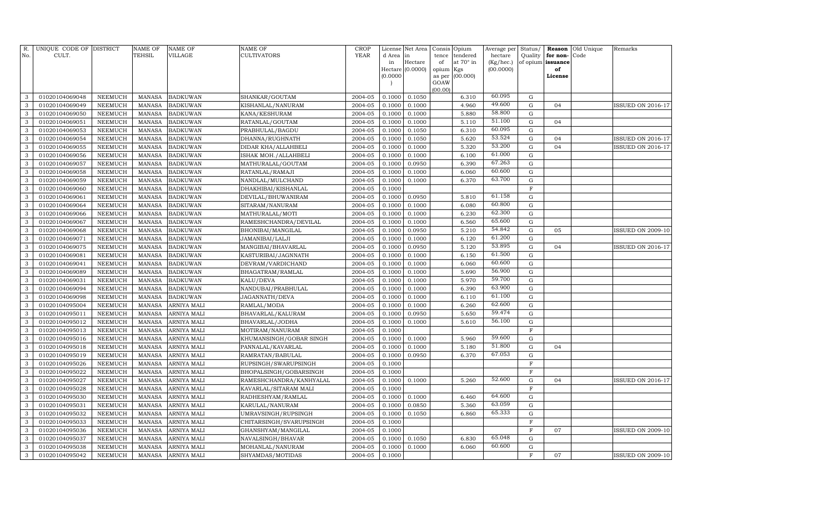| R.<br>No. | UNIQUE CODE OF DISTRICT<br>CULT. |                | <b>NAME OF</b><br><b>TEHSIL</b> | <b>NAME OF</b><br>VILLAGE | NAME OF<br>CULTIVATORS  | <b>CROP</b><br><b>YEAR</b> | d Area in<br>in            | License Net Area<br>Hectare<br>Hectare (0.0000) | Consis<br>tence<br>of<br>opium | Opium<br>tendered<br>at $70^\circ$ in<br>Kgs | Average per<br>hectare<br>(Kg/hec.)<br>(00.0000) | Status/<br>Quality<br>of opium issuance | for non-<br>of | <b>Reason</b> Old Unique<br>Code | Remarks                  |
|-----------|----------------------------------|----------------|---------------------------------|---------------------------|-------------------------|----------------------------|----------------------------|-------------------------------------------------|--------------------------------|----------------------------------------------|--------------------------------------------------|-----------------------------------------|----------------|----------------------------------|--------------------------|
|           |                                  |                |                                 |                           |                         |                            | (0.0000)<br>$\overline{ }$ |                                                 | as per<br>GOAW<br>(00.00)      | (00.000)                                     |                                                  |                                         | License        |                                  |                          |
| 3         | 01020104069048                   | NEEMUCH        | <b>MANASA</b>                   | <b>BADKUWAN</b>           | SHANKAR/GOUTAM          | 2004-05                    | 0.1000                     | 0.1050                                          |                                | 6.310                                        | 60.095                                           | G                                       |                |                                  |                          |
| 3         | 01020104069049                   | <b>NEEMUCH</b> | <b>MANASA</b>                   | <b>BADKUWAN</b>           | KISHANLAL/NANURAM       | 2004-05                    | 0.1000                     | 0.1000                                          |                                | 4.960                                        | 49.600                                           | G                                       | 04             |                                  | <b>ISSUED ON 2016-17</b> |
| 3         | 01020104069050                   | <b>NEEMUCH</b> | <b>MANASA</b>                   | <b>BADKUWAN</b>           | KANA/KESHURAM           | 2004-05                    | 0.1000                     | 0.1000                                          |                                | 5.880                                        | 58.800                                           | $\mathbf G$                             |                |                                  |                          |
| 3         | 01020104069051                   | <b>NEEMUCH</b> | <b>MANASA</b>                   | <b>BADKUWAN</b>           | RATANLAL/GOUTAM         | 2004-05                    | 0.1000                     | 0.1000                                          |                                | 5.110                                        | 51.100                                           | G                                       | 04             |                                  |                          |
| 3         | 01020104069053                   | <b>NEEMUCH</b> | <b>MANASA</b>                   | <b>BADKUWAN</b>           | PRABHULAL/BAGDU         | 2004-05                    | 0.1000                     | 0.1050                                          |                                | 6.310                                        | 60.095                                           | $\mathbf G$                             |                |                                  |                          |
| 3         | 01020104069054                   | <b>NEEMUCH</b> | <b>MANASA</b>                   | <b>BADKUWAN</b>           | DHANNA/RUGHNATH         | 2004-05                    | 0.1000                     | 0.1050                                          |                                | 5.620                                        | 53.524                                           | $\mathbf G$                             | 04             |                                  | <b>ISSUED ON 2016-17</b> |
| 3         | 01020104069055                   | <b>NEEMUCH</b> | <b>MANASA</b>                   | <b>BADKUWAN</b>           | DIDAR KHA/ALLAHBELI     | 2004-05                    | 0.1000                     | 0.1000                                          |                                | 5.320                                        | 53.200                                           | ${\bf G}$                               | 04             |                                  | <b>ISSUED ON 2016-17</b> |
| 3         | 01020104069056                   | <b>NEEMUCH</b> | <b>MANASA</b>                   | <b>BADKUWAN</b>           | ISHAK MOH./ALLAHBELI    | 2004-05                    | 0.1000                     | 0.1000                                          |                                | 6.100                                        | 61.000                                           | G                                       |                |                                  |                          |
| 3         | 01020104069057                   | <b>NEEMUCH</b> | <b>MANASA</b>                   | <b>BADKUWAN</b>           | MATHURALAL/GOUTAM       | 2004-05                    | 0.1000                     | 0.0950                                          |                                | 6.390                                        | 67.263                                           | $\mathbf G$                             |                |                                  |                          |
| 3         | 01020104069058                   | <b>NEEMUCH</b> | <b>MANASA</b>                   | <b>BADKUWAN</b>           | RATANLAL/RAMAJI         | 2004-05                    | 0.1000                     | 0.1000                                          |                                | 6.060                                        | 60.600                                           | $\mathbf G$                             |                |                                  |                          |
| 3         | 01020104069059                   | <b>NEEMUCH</b> | <b>MANASA</b>                   | <b>BADKUWAN</b>           | NANDLAL/MULCHAND        | 2004-05                    | 0.1000                     | 0.1000                                          |                                | 6.370                                        | 63.700                                           | $\mathbf G$                             |                |                                  |                          |
| 3         | 01020104069060                   | <b>NEEMUCH</b> | <b>MANASA</b>                   | <b>BADKUWAN</b>           | DHAKHIBAI/KISHANLAL     | 2004-05                    | 0.1000                     |                                                 |                                |                                              |                                                  | $\overline{F}$                          |                |                                  |                          |
| 3         | 01020104069061                   | NEEMUCH        | <b>MANASA</b>                   | <b>BADKUWAN</b>           | DEVILAL/BHUWANIRAM      | 2004-05                    | 0.1000                     | 0.0950                                          |                                | 5.810                                        | 61.158                                           | $\mathbf G$                             |                |                                  |                          |
| 3         | 01020104069064                   | NEEMUCH        | <b>MANASA</b>                   | <b>BADKUWAN</b>           | SITARAM/NANURAM         | 2004-05                    | 0.1000                     | 0.1000                                          |                                | 6.080                                        | 60.800                                           | $\mathbf G$                             |                |                                  |                          |
| 3         | 01020104069066                   | NEEMUCH        | <b>MANASA</b>                   | <b>BADKUWAN</b>           | MATHURALAL/MOTI         | 2004-05                    | 0.1000                     | 0.1000                                          |                                | 6.230                                        | 62.300                                           | ${\bf G}$                               |                |                                  |                          |
| 3         | 01020104069067                   | NEEMUCH        | <b>MANASA</b>                   | <b>BADKUWAN</b>           | RAMESHCHANDRA/DEVILAL   | 2004-05                    | 0.1000                     | 0.1000                                          |                                | 6.560                                        | 65.600                                           | $\mathbf G$                             |                |                                  |                          |
| 3         | 01020104069068                   | NEEMUCH        | <b>MANASA</b>                   | <b>BADKUWAN</b>           | BHONIBAI/MANGILAL       | 2004-05                    | 0.1000                     | 0.0950                                          |                                | 5.210                                        | 54.842                                           | ${\bf G}$                               | 05             |                                  | <b>ISSUED ON 2009-10</b> |
| 3         | 01020104069071                   | NEEMUCH        | <b>MANASA</b>                   | <b>BADKUWAN</b>           | JAMANIBAI/LALJI         | 2004-05                    | 0.1000                     | 0.1000                                          |                                | 6.120                                        | 61.200                                           | G                                       |                |                                  |                          |
| 3         | 01020104069075                   | NEEMUCH        | <b>MANASA</b>                   | <b>BADKUWAN</b>           | MANGIBAI/BHAVARLAL      | 2004-05                    | 0.1000                     | 0.0950                                          |                                | 5.120                                        | 53.895                                           | G                                       | 04             |                                  | SSUED ON 2016-17         |
| 3         | 01020104069081                   | <b>NEEMUCH</b> | <b>MANASA</b>                   | <b>BADKUWAN</b>           | KASTURIBAI/JAGNNATH     | 2004-05                    | 0.1000                     | 0.1000                                          |                                | 6.150                                        | 61.500                                           | G                                       |                |                                  |                          |
| 3         | 01020104069041                   | NEEMUCH        | <b>MANASA</b>                   | <b>BADKUWAN</b>           | DEVRAM/VARDICHAND       | 2004-05                    | 0.1000                     | 0.1000                                          |                                | 6.060                                        | 60.600                                           | G                                       |                |                                  |                          |
| 3         | 01020104069089                   | <b>NEEMUCH</b> | <b>MANASA</b>                   | <b>BADKUWAN</b>           | BHAGATRAM/RAMLAL        | 2004-05                    | 0.1000                     | 0.1000                                          |                                | 5.690                                        | 56.900                                           | G                                       |                |                                  |                          |
| 3         | 01020104069031                   | <b>NEEMUCH</b> | <b>MANASA</b>                   | <b>BADKUWAN</b>           | KALU/DEVA               | 2004-05                    | 0.1000                     | 0.1000                                          |                                | 5.970                                        | 59.700                                           | $\mathbf G$                             |                |                                  |                          |
| 3         | 01020104069094                   | NEEMUCH        | <b>MANASA</b>                   | <b>BADKUWAN</b>           | NANDUBAI/PRABHULAL      | 2004-05                    | 0.1000                     | 0.1000                                          |                                | 6.390                                        | 63.900                                           | G                                       |                |                                  |                          |
| 3         | 01020104069098                   | <b>NEEMUCH</b> | <b>MANASA</b>                   | <b>BADKUWAN</b>           | JAGANNATH/DEVA          | 2004-05                    | 0.1000                     | 0.1000                                          |                                | 6.110                                        | 61.100                                           | G                                       |                |                                  |                          |
| 3         | 01020104095004                   | <b>NEEMUCH</b> | <b>MANASA</b>                   | ARNIYA MALI               | RAMLAL/MODA             | 2004-05                    | 0.1000                     | 0.1000                                          |                                | 6.260                                        | 62.600                                           | G                                       |                |                                  |                          |
| 3         | 01020104095011                   | <b>NEEMUCH</b> | <b>MANASA</b>                   | ARNIYA MALI               | BHAVARLAL/KALURAM       | 2004-05                    | 0.1000                     | 0.0950                                          |                                | 5.650                                        | 59.474                                           | $\mathbf G$                             |                |                                  |                          |
| 3         | 01020104095012                   | <b>NEEMUCH</b> | <b>MANASA</b>                   | ARNIYA MALI               | BHAVARLAL/JODHA         | 2004-05                    | 0.1000                     | 0.1000                                          |                                | 5.610                                        | 56.100                                           | G                                       |                |                                  |                          |
| 3         | 01020104095013                   | <b>NEEMUCH</b> | <b>MANASA</b>                   | ARNIYA MALI               | MOTIRAM/NANURAM         | 2004-05                    | 0.1000                     |                                                 |                                |                                              |                                                  | F                                       |                |                                  |                          |
| 3         | 01020104095016                   | <b>NEEMUCH</b> | <b>MANASA</b>                   | ARNIYA MALI               | KHUMANSINGH/GOBAR SINGH | 2004-05                    | 0.1000                     | 0.1000                                          |                                | 5.960                                        | 59.600                                           | $\mathbf G$                             |                |                                  |                          |
| 3         | 01020104095018                   | <b>NEEMUCH</b> | <b>MANASA</b>                   | ARNIYA MALI               | PANNALAL/KAVARLAL       | 2004-05                    | 0.1000                     | 0.1000                                          |                                | 5.180                                        | 51.800                                           | $\mathbf G$                             | 04             |                                  |                          |
| 3         | 01020104095019                   | <b>NEEMUCH</b> | <b>MANASA</b>                   | ARNIYA MALI               | RAMRATAN/BABULAL        | 2004-05                    | 0.1000                     | 0.0950                                          |                                | 6.370                                        | 67.053                                           | $\mathbf G$                             |                |                                  |                          |
| 3         | 01020104095026                   | <b>NEEMUCH</b> | <b>MANASA</b>                   | ARNIYA MALI               | RUPSINGH/SWARUPSINGH    | 2004-05                    | 0.1000                     |                                                 |                                |                                              |                                                  | $\mathbf F$                             |                |                                  |                          |
| 3         | 01020104095022                   | <b>NEEMUCH</b> | <b>MANASA</b>                   | ARNIYA MALI               | BHOPALSINGH/GOBARSINGH  | 2004-05                    | 0.1000                     |                                                 |                                |                                              |                                                  | F                                       |                |                                  |                          |
| 3         | 01020104095027                   | <b>NEEMUCH</b> | <b>MANASA</b>                   | ARNIYA MALI               | RAMESHCHANDRA/KANHYALAL | 2004-05                    | 0.1000                     | 0.1000                                          |                                | 5.260                                        | 52.600                                           | $\mathbf G$                             | 04             |                                  | <b>ISSUED ON 2016-17</b> |
| 3         | 01020104095028                   | <b>NEEMUCH</b> | <b>MANASA</b>                   | ARNIYA MALI               | KAVARLAL/SITARAM MALI   | 2004-05                    | 0.1000                     |                                                 |                                |                                              |                                                  | $\mathbf F$                             |                |                                  |                          |
| 3         | 01020104095030                   | <b>NEEMUCH</b> | <b>MANASA</b>                   | ARNIYA MALI               | RADHESHYAM/RAMLAL       | 2004-05                    | 0.1000                     | 0.1000                                          |                                | 6.460                                        | 64.600                                           | $\mathbf G$                             |                |                                  |                          |
| 3         | 01020104095031                   | <b>NEEMUCH</b> | <b>MANASA</b>                   | ARNIYA MALI               | KARULAL/NANURAM         | 2004-05                    | 0.1000                     | 0.0850                                          |                                | 5.360                                        | 63.059                                           | $\mathbf G$                             |                |                                  |                          |
| 3         | 01020104095032                   | <b>NEEMUCH</b> | <b>MANASA</b>                   | ARNIYA MALI               | UMRAVSINGH/RUPSINGH     | 2004-05                    | 0.1000                     | 0.1050                                          |                                | 6.860                                        | 65.333                                           | G                                       |                |                                  |                          |
| 3         | 01020104095033                   | <b>NEEMUCH</b> | <b>MANASA</b>                   | ARNIYA MALI               | CHITARSINGH/SVARUPSINGH | 2004-05                    | 0.1000                     |                                                 |                                |                                              |                                                  | F                                       |                |                                  |                          |
| 3         | 01020104095036                   | NEEMUCH        | <b>MANASA</b>                   | ARNIYA MALI               | GHANSHYAM/MANGILAL      | 2004-05                    | 0.1000                     |                                                 |                                |                                              |                                                  | $\mathbf F$                             | 07             |                                  | <b>ISSUED ON 2009-10</b> |
| 3         | 01020104095037                   | <b>NEEMUCH</b> | <b>MANASA</b>                   | <b>ARNIYA MALI</b>        | NAVALSINGH/BHAVAR       | 2004-05                    | 0.1000                     | 0.1050                                          |                                | 6.830                                        | 65.048                                           | G                                       |                |                                  |                          |
| 3         | 01020104095038                   | <b>NEEMUCH</b> | <b>MANASA</b>                   | ARNIYA MALI               | MOHANLAL/NANURAM        | 2004-05                    | 0.1000                     | 0.1000                                          |                                | 6.060                                        | 60.600                                           | G                                       |                |                                  |                          |
| 3         | 01020104095042                   | <b>NEEMUCH</b> | MANASA                          | <b>ARNIYA MALI</b>        | SHYAMDAS/MOTIDAS        | 2004-05                    | 0.1000                     |                                                 |                                |                                              |                                                  | F                                       | 07             |                                  | <b>ISSUED ON 2009-10</b> |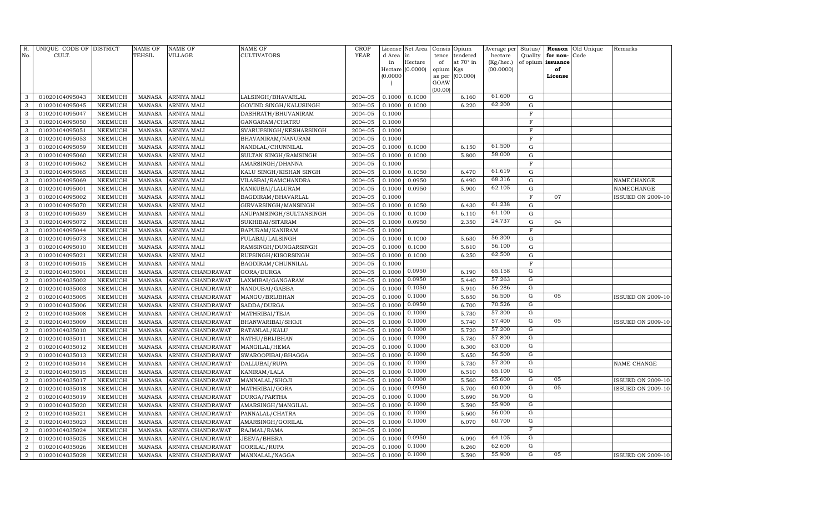| <b>YEAR</b><br>No.<br>CULT.<br>TEHSIL<br><b>VILLAGE</b><br><b>CULTIVATORS</b><br>d Area<br>tendered<br>hectare<br>Quality<br>for non-<br>Code<br>in<br>tence<br>Hectare<br>at 70° in<br>(Kg/hec.)<br>of opium issuance<br>in<br>of<br>Hectare (0.0000)<br>(00.0000)<br>opium<br>of<br>Kgs<br>(0.0000)<br>(00.000)<br>as per<br>License<br>GOAW<br>(00.00)<br>61.600<br>2004-05<br>0.1000<br>${\rm G}$<br>3<br>01020104095043<br><b>NEEMUCH</b><br><b>MANASA</b><br>ARNIYA MALI<br>LALSINGH/BHAVARLAL<br>0.1000<br>6.160<br>62.200<br>2004-05<br>0.1000<br>6.220<br>${\rm G}$<br>3<br>01020104095045<br><b>NEEMUCH</b><br><b>MANASA</b><br>ARNIYA MALI<br>GOVIND SINGH/KALUSINGH<br>0.1000<br>2004-05<br>3<br>01020104095047<br><b>NEEMUCH</b><br><b>MANASA</b><br>ARNIYA MALI<br>DASHRATH/BHUVANIRAM<br>0.1000<br>$\mathbf F$<br>3<br>01020104095050<br><b>NEEMUCH</b><br><b>MANASA</b><br>ARNIYA MALI<br>GANGARAM/CHATRU<br>2004-05<br>0.1000<br>$\mathbf F$<br>3<br>01020104095051<br><b>NEEMUCH</b><br><b>MANASA</b><br>ARNIYA MALI<br>SVARUPSINGH/KESHARSINGH<br>2004-05<br>0.1000<br>$\mathbf F$ |                          |
|-------------------------------------------------------------------------------------------------------------------------------------------------------------------------------------------------------------------------------------------------------------------------------------------------------------------------------------------------------------------------------------------------------------------------------------------------------------------------------------------------------------------------------------------------------------------------------------------------------------------------------------------------------------------------------------------------------------------------------------------------------------------------------------------------------------------------------------------------------------------------------------------------------------------------------------------------------------------------------------------------------------------------------------------------------------------------------------------------------|--------------------------|
|                                                                                                                                                                                                                                                                                                                                                                                                                                                                                                                                                                                                                                                                                                                                                                                                                                                                                                                                                                                                                                                                                                       |                          |
|                                                                                                                                                                                                                                                                                                                                                                                                                                                                                                                                                                                                                                                                                                                                                                                                                                                                                                                                                                                                                                                                                                       |                          |
|                                                                                                                                                                                                                                                                                                                                                                                                                                                                                                                                                                                                                                                                                                                                                                                                                                                                                                                                                                                                                                                                                                       |                          |
|                                                                                                                                                                                                                                                                                                                                                                                                                                                                                                                                                                                                                                                                                                                                                                                                                                                                                                                                                                                                                                                                                                       |                          |
|                                                                                                                                                                                                                                                                                                                                                                                                                                                                                                                                                                                                                                                                                                                                                                                                                                                                                                                                                                                                                                                                                                       |                          |
|                                                                                                                                                                                                                                                                                                                                                                                                                                                                                                                                                                                                                                                                                                                                                                                                                                                                                                                                                                                                                                                                                                       |                          |
|                                                                                                                                                                                                                                                                                                                                                                                                                                                                                                                                                                                                                                                                                                                                                                                                                                                                                                                                                                                                                                                                                                       |                          |
|                                                                                                                                                                                                                                                                                                                                                                                                                                                                                                                                                                                                                                                                                                                                                                                                                                                                                                                                                                                                                                                                                                       |                          |
|                                                                                                                                                                                                                                                                                                                                                                                                                                                                                                                                                                                                                                                                                                                                                                                                                                                                                                                                                                                                                                                                                                       |                          |
| 3<br>01020104095053<br><b>NEEMUCH</b><br><b>MANASA</b><br>ARNIYA MALI<br>BHAVANIRAM/NANURAM<br>2004-05<br>0.1000<br>$\mathbf F$                                                                                                                                                                                                                                                                                                                                                                                                                                                                                                                                                                                                                                                                                                                                                                                                                                                                                                                                                                       |                          |
| 61.500<br>3<br>01020104095059<br><b>NEEMUCH</b><br><b>MANASA</b><br>ARNIYA MALI<br>NANDLAL/CHUNNILAL<br>2004-05<br>0.1000<br>0.1000<br>6.150<br>${\rm G}$                                                                                                                                                                                                                                                                                                                                                                                                                                                                                                                                                                                                                                                                                                                                                                                                                                                                                                                                             |                          |
| 58.000<br>${\bf G}$<br>3<br>01020104095060<br><b>NEEMUCH</b><br><b>MANASA</b><br>2004-05<br>0.1000<br>0.1000<br>5.800<br>ARNIYA MALI<br>SULTAN SINGH/RAMSINGH                                                                                                                                                                                                                                                                                                                                                                                                                                                                                                                                                                                                                                                                                                                                                                                                                                                                                                                                         |                          |
| 3<br>01020104095062<br><b>NEEMUCH</b><br><b>MANASA</b><br>ARNIYA MALI<br>2004-05<br>0.1000<br>$\mathbf F$<br>AMARSINGH/DHANNA                                                                                                                                                                                                                                                                                                                                                                                                                                                                                                                                                                                                                                                                                                                                                                                                                                                                                                                                                                         |                          |
| 61.619<br>3<br>01020104095065<br><b>NEEMUCH</b><br>2004-05<br>0.1000<br>0.1050<br>6.470<br>$\mathbf G$<br><b>MANASA</b><br>ARNIYA MALI<br>KALU SINGH/KISHAN SINGH                                                                                                                                                                                                                                                                                                                                                                                                                                                                                                                                                                                                                                                                                                                                                                                                                                                                                                                                     |                          |
| 68.316<br>3<br>01020104095069<br><b>NEEMUCH</b><br><b>MANASA</b><br><b>ARNIYA MALI</b><br>2004-05<br>0.1000<br>0.0950<br>6.490<br>${\rm G}$<br>VILASBAI/RAMCHANDRA                                                                                                                                                                                                                                                                                                                                                                                                                                                                                                                                                                                                                                                                                                                                                                                                                                                                                                                                    | NAMECHANGE               |
| 62.105<br>0.0950<br>5.900<br>${\bf G}$<br>3<br>01020104095001<br><b>NEEMUCH</b><br><b>MANASA</b><br>ARNIYA MALI<br>KANKUBAI/LALURAM<br>2004-05<br>0.1000                                                                                                                                                                                                                                                                                                                                                                                                                                                                                                                                                                                                                                                                                                                                                                                                                                                                                                                                              | NAMECHANGE               |
| 3<br>2004-05<br>0.1000<br>$\mathbf F$<br>01020104095002<br><b>NEEMUCH</b><br><b>MANASA</b><br>ARNIYA MALI<br>BAGDIRAM/BHAVARLAL<br>07                                                                                                                                                                                                                                                                                                                                                                                                                                                                                                                                                                                                                                                                                                                                                                                                                                                                                                                                                                 | <b>ISSUED ON 2009-10</b> |
| 61.238<br>${\rm G}$<br>3<br>01020104095070<br><b>NEEMUCH</b><br><b>MANASA</b><br>ARNIYA MALI<br>GIRVARSINGH/MANSINGH<br>2004-05<br>0.1000<br>0.1050<br>6.430                                                                                                                                                                                                                                                                                                                                                                                                                                                                                                                                                                                                                                                                                                                                                                                                                                                                                                                                          |                          |
| 61.100<br>0.1000<br>${\bf G}$<br>3<br>01020104095039<br><b>NEEMUCH</b><br><b>MANASA</b><br>ARNIYA MALI<br>ANUPAMSINGH/SULTANSINGH<br>2004-05<br>0.1000<br>6.110                                                                                                                                                                                                                                                                                                                                                                                                                                                                                                                                                                                                                                                                                                                                                                                                                                                                                                                                       |                          |
| 24.737<br>2.350<br>${\rm G}$<br>3<br>01020104095072<br><b>NEEMUCH</b><br><b>MANASA</b><br>ARNIYA MALI<br>SUKHIBAI/SITARAM<br>2004-05<br>0.1000<br>0.0950<br>04                                                                                                                                                                                                                                                                                                                                                                                                                                                                                                                                                                                                                                                                                                                                                                                                                                                                                                                                        |                          |
| 2004-05<br>3<br>01020104095044<br><b>NEEMUCH</b><br><b>MANASA</b><br>ARNIYA MALI<br>BAPURAM/KANIRAM<br>0.1000<br>$\mathbf F$                                                                                                                                                                                                                                                                                                                                                                                                                                                                                                                                                                                                                                                                                                                                                                                                                                                                                                                                                                          |                          |
| 56.300<br>$\mathbf{3}$<br>01020104095073<br><b>NEEMUCH</b><br><b>MANASA</b><br>FULABAI/LALSINGH<br>2004-05<br>0.1000<br>0.1000<br>5.630<br>${\rm G}$<br>ARNIYA MALI                                                                                                                                                                                                                                                                                                                                                                                                                                                                                                                                                                                                                                                                                                                                                                                                                                                                                                                                   |                          |
| 56.100<br>${\bf G}$<br>3<br>01020104095010<br><b>NEEMUCH</b><br><b>MANASA</b><br>ARNIYA MALI<br>RAMSINGH/DUNGARSINGH<br>2004-05<br>0.1000<br>0.1000<br>5.610                                                                                                                                                                                                                                                                                                                                                                                                                                                                                                                                                                                                                                                                                                                                                                                                                                                                                                                                          |                          |
| 62.500<br>6.250<br>${\bf G}$<br>$\mathbf{3}$<br>01020104095021<br><b>NEEMUCH</b><br><b>MANASA</b><br>RUPSINGH/KISORSINGH<br>2004-05<br>0.1000<br>0.1000<br>ARNIYA MALI                                                                                                                                                                                                                                                                                                                                                                                                                                                                                                                                                                                                                                                                                                                                                                                                                                                                                                                                |                          |
| $\overline{F}$<br>3<br><b>MANASA</b><br>2004-05<br>0.1000<br>01020104095015<br>NEEMUCH<br>ARNIYA MALI<br>BAGDIRAM/CHUNNILAL                                                                                                                                                                                                                                                                                                                                                                                                                                                                                                                                                                                                                                                                                                                                                                                                                                                                                                                                                                           |                          |
| 0.0950<br>65.158<br>$\overline{G}$<br><b>NEEMUCH</b><br>2004-05<br>0.1000<br>$\overline{2}$<br>01020104035001<br><b>MANASA</b><br>ARNIYA CHANDRAWAT<br>GORA/DURGA<br>6.190                                                                                                                                                                                                                                                                                                                                                                                                                                                                                                                                                                                                                                                                                                                                                                                                                                                                                                                            |                          |
| 0.0950<br>57.263<br>G<br>$\overline{2}$<br><b>MANASA</b><br>2004-05<br>0.1000<br>5.440<br>01020104035002<br>NEEMUCH<br>ARNIYA CHANDRAWAT<br>LAXMIBAI/GANGARAM                                                                                                                                                                                                                                                                                                                                                                                                                                                                                                                                                                                                                                                                                                                                                                                                                                                                                                                                         |                          |
| 0.1050<br>56.286<br>$\overline{G}$<br><b>NEEMUCH</b><br>2004-05<br>0.1000<br>5.910<br>$\overline{2}$<br>01020104035003<br><b>MANASA</b><br>ARNIYA CHANDRAWAT<br>NANDUBAI/GABBA                                                                                                                                                                                                                                                                                                                                                                                                                                                                                                                                                                                                                                                                                                                                                                                                                                                                                                                        |                          |
| 56.500<br>G<br>05<br>0.1000<br>2004-05<br>0.1000<br>5.650<br>$\overline{2}$<br>01020104035005<br><b>NEEMUCH</b><br><b>MANASA</b><br>ARNIYA CHANDRAWAT<br>MANGU/BRIJBHAN                                                                                                                                                                                                                                                                                                                                                                                                                                                                                                                                                                                                                                                                                                                                                                                                                                                                                                                               | <b>ISSUED ON 2009-10</b> |
| 0.0950<br>70.526<br>$\overline{G}$<br>6.700<br>$\overline{2}$<br>01020104035006<br><b>NEEMUCH</b><br><b>MANASA</b><br>ARNIYA CHANDRAWAT<br>SADDA/DURGA<br>2004-05<br>0.1000                                                                                                                                                                                                                                                                                                                                                                                                                                                                                                                                                                                                                                                                                                                                                                                                                                                                                                                           |                          |
| 57.300<br>$\mathbf G$<br>0.1000<br>5.730<br>$\overline{2}$<br>01020104035008<br><b>NEEMUCH</b><br><b>MANASA</b><br>ARNIYA CHANDRAWAT<br>MATHRIBAI/TEJA<br>2004-05<br>0.1000                                                                                                                                                                                                                                                                                                                                                                                                                                                                                                                                                                                                                                                                                                                                                                                                                                                                                                                           |                          |
| 0.1000<br>57.400<br>G<br>05<br>5.740<br>$\overline{2}$<br>01020104035009<br><b>NEEMUCH</b><br><b>MANASA</b><br>ARNIYA CHANDRAWAT<br>BHANWARIBAI/SHOJI<br>2004-05<br>0.1000                                                                                                                                                                                                                                                                                                                                                                                                                                                                                                                                                                                                                                                                                                                                                                                                                                                                                                                            | <b>ISSUED ON 2009-10</b> |
| 57.200<br>$\mathbf G$<br>0.1000<br>$\overline{2}$<br>5.720<br>01020104035010<br><b>NEEMUCH</b><br><b>MANASA</b><br>ARNIYA CHANDRAWAT<br>RATANLAL/KALU<br>2004-05<br>0.1000                                                                                                                                                                                                                                                                                                                                                                                                                                                                                                                                                                                                                                                                                                                                                                                                                                                                                                                            |                          |
| 57.800<br>$\mathbf G$<br>0.1000<br>5.780<br>01020104035011<br><b>NEEMUCH</b><br>2004-05<br>0.1000<br>$\boldsymbol{2}$<br><b>MANASA</b><br>ARNIYA CHANDRAWAT<br>NATHU/BRIJBHAN<br>$\overline{G}$<br>0.1000<br>63.000                                                                                                                                                                                                                                                                                                                                                                                                                                                                                                                                                                                                                                                                                                                                                                                                                                                                                   |                          |
| 6.300<br>$\overline{2}$<br>01020104035012<br><b>NEEMUCH</b><br><b>MANASA</b><br>ARNIYA CHANDRAWAT<br>MANGILAL/HEMA<br>2004-05<br>0.1000<br>0.1000<br>56.500<br>$\overline{G}$                                                                                                                                                                                                                                                                                                                                                                                                                                                                                                                                                                                                                                                                                                                                                                                                                                                                                                                         |                          |
| 5.650<br>$\overline{2}$<br>NEEMUCH<br>2004-05<br>0.1000<br>01020104035013<br><b>MANASA</b><br>ARNIYA CHANDRAWAT<br>SWAROOPIBAI/BHAGGA<br>0.1000<br>57.300<br>G                                                                                                                                                                                                                                                                                                                                                                                                                                                                                                                                                                                                                                                                                                                                                                                                                                                                                                                                        |                          |
| 5.730<br>$\overline{2}$<br>01020104035014<br><b>MANASA</b><br>DALLUBAI/RUPA<br>2004-05<br>0.1000<br>NEEMUCH<br>ARNIYA CHANDRAWAT<br>0.1000<br>65.100<br>$\overline{G}$<br><b>NEEMUCH</b><br>0.1000                                                                                                                                                                                                                                                                                                                                                                                                                                                                                                                                                                                                                                                                                                                                                                                                                                                                                                    | NAME CHANGE              |
| 6.510<br>$\overline{2}$<br>01020104035015<br><b>MANASA</b><br>ARNIYA CHANDRAWAT<br>KANIRAM/LALA<br>2004-05<br>55.600<br>$\overline{G}$<br>05<br>0.1000<br>$\overline{2}$<br><b>MANASA</b><br>2004-05<br>0.1000<br>5.560                                                                                                                                                                                                                                                                                                                                                                                                                                                                                                                                                                                                                                                                                                                                                                                                                                                                               | <b>ISSUED ON 2009-10</b> |
| 01020104035017<br><b>NEEMUCH</b><br>ARNIYA CHANDRAWAT<br>MANNALAL/SHOJI<br>0.0950<br>60.000<br>G<br>05<br>$\overline{2}$<br>5.700<br>01020104035018<br><b>NEEMUCH</b><br><b>MANASA</b><br>ARNIYA CHANDRAWAT<br>MATHRIBAI/GORA<br>2004-05<br>0.1000                                                                                                                                                                                                                                                                                                                                                                                                                                                                                                                                                                                                                                                                                                                                                                                                                                                    | <b>ISSUED ON 2009-10</b> |
| 0.1000<br>56.900<br>$\mathbf G$<br>0.1000<br>5.690<br>$\overline{2}$<br>01020104035019<br><b>NEEMUCH</b><br><b>MANASA</b><br>ARNIYA CHANDRAWAT<br>DURGA/PARTHA<br>2004-05                                                                                                                                                                                                                                                                                                                                                                                                                                                                                                                                                                                                                                                                                                                                                                                                                                                                                                                             |                          |
| 0.1000<br>55.900<br>G<br>0.1000<br>5.590<br>$\overline{2}$<br>01020104035020<br><b>NEEMUCH</b><br><b>MANASA</b><br>ARNIYA CHANDRAWAT<br>AMARSINGH/MANGILAL<br>2004-05                                                                                                                                                                                                                                                                                                                                                                                                                                                                                                                                                                                                                                                                                                                                                                                                                                                                                                                                 |                          |
| 56.000<br>G<br>$\overline{2}$<br>0.1000<br>5.600<br>01020104035021<br><b>NEEMUCH</b><br><b>MANASA</b><br>ARNIYA CHANDRAWAT<br>PANNALAL/CHATRA<br>2004-05<br>0.1000                                                                                                                                                                                                                                                                                                                                                                                                                                                                                                                                                                                                                                                                                                                                                                                                                                                                                                                                    |                          |
| G<br>0.1000<br>60.700<br>6.070<br>$\boldsymbol{2}$<br>01020104035023<br><b>NEEMUCH</b><br><b>MANASA</b><br>AMARSINGH/GORILAL<br>2004-05<br>0.1000<br>ARNIYA CHANDRAWAT                                                                                                                                                                                                                                                                                                                                                                                                                                                                                                                                                                                                                                                                                                                                                                                                                                                                                                                                |                          |
| $_{\rm F}$<br>$\overline{2}$<br>01020104035024<br><b>NEEMUCH</b><br><b>MANASA</b><br>2004-05<br>0.1000<br>ARNIYA CHANDRAWAT<br>RAJMAL/RAMA                                                                                                                                                                                                                                                                                                                                                                                                                                                                                                                                                                                                                                                                                                                                                                                                                                                                                                                                                            |                          |
| 0.0950<br>64.105<br>G<br>$\boldsymbol{2}$<br>01020104035025<br><b>NEEMUCH</b><br><b>MANASA</b><br>ARNIYA CHANDRAWAT<br>2004-05<br>0.1000<br>JEEVA/BHERA<br>6.090                                                                                                                                                                                                                                                                                                                                                                                                                                                                                                                                                                                                                                                                                                                                                                                                                                                                                                                                      |                          |
| 0.1000<br>62.600<br>G<br>6.260<br>$\boldsymbol{2}$<br><b>MANASA</b><br>2004-05<br>0.1000<br>01020104035026<br>NEEMUCH<br>ARNIYA CHANDRAWAT<br>GORILAL/RUPA                                                                                                                                                                                                                                                                                                                                                                                                                                                                                                                                                                                                                                                                                                                                                                                                                                                                                                                                            |                          |
| $\overline{G}$<br>0.1000<br>55.900<br>05<br>5.590<br>$\overline{a}$<br>2004-05<br>0.1000<br>01020104035028<br>NEEMUCH<br><b>MANASA</b><br>ARNIYA CHANDRAWAT<br>MANNALAL/NAGGA                                                                                                                                                                                                                                                                                                                                                                                                                                                                                                                                                                                                                                                                                                                                                                                                                                                                                                                         | <b>ISSUED ON 2009-10</b> |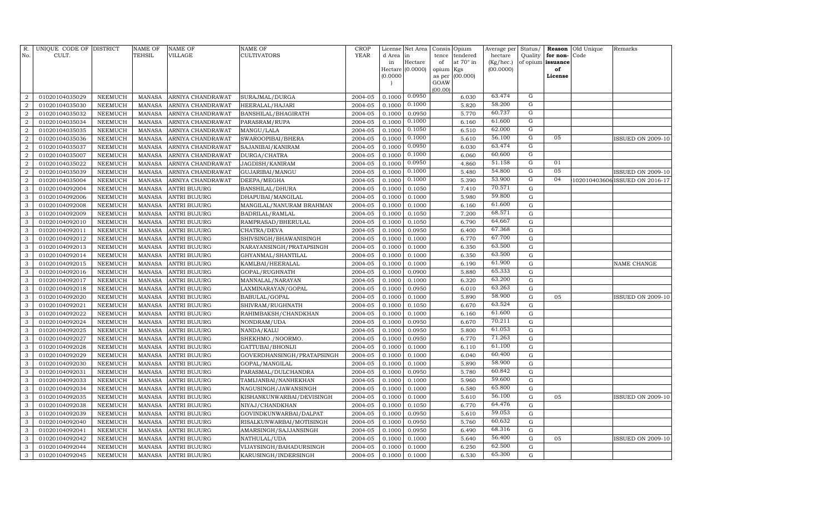| Hectare<br>at 70° in<br>(Kg/hec.)<br>of opium issuance<br>in<br>of<br>Hectare (0.0000)<br>(00.0000)<br>opium Kgs<br>of<br>(0.0000)<br>(00.000)<br>as per<br>License<br>GOAW<br>(00.00)<br>63.474<br>0.0950<br>G<br>2004-05<br>0.1000<br>$\overline{2}$<br>01020104035029<br><b>NEEMUCH</b><br><b>MANASA</b><br>ARNIYA CHANDRAWAT<br>SURAJMAL/DURGA<br>6.030<br>0.1000<br>58.200<br>G<br>01020104035030<br>2004-05<br>5.820<br>$\overline{2}$<br><b>NEEMUCH</b><br><b>MANASA</b><br>ARNIYA CHANDRAWAT<br>HEERALAL/HAJARI<br>0.1000<br>60.737<br>$\overline{G}$<br>5.770<br>$\overline{2}$<br>01020104035032<br><b>NEEMUCH</b><br><b>MANASA</b><br>ARNIYA CHANDRAWAT<br>BANSHILAL/BHAGIRATH<br>2004-05<br>0.1000<br>0.0950<br>61.600<br>G<br>0.1000<br>$\overline{2}$<br>01020104035034<br><b>NEEMUCH</b><br><b>MANASA</b><br>ARNIYA CHANDRAWAT<br>PARASRAM/RUPA<br>2004-05<br>0.1000<br>6.160<br>G<br>0.1050<br>62.000<br>$\overline{a}$<br>01020104035035<br><b>NEEMUCH</b><br><b>MANASA</b><br>ARNIYA CHANDRAWAT<br>MANGU/LALA<br>2004-05<br>0.1000<br>6.510<br>G<br>0.1000<br>56.100<br>05<br>$\overline{a}$<br>01020104035036<br><b>NEEMUCH</b><br><b>MANASA</b><br>ARNIYA CHANDRAWAT<br>SWAROOPIBAI/BHERA<br>2004-05<br>0.1000<br>5.610<br>63.474<br>G<br>0.0950<br>6.030<br>$\overline{a}$<br>01020104035037<br><b>NEEMUCH</b><br><b>MANASA</b><br>ARNIYA CHANDRAWAT<br>SAJANIBAI/KANIRAM<br>2004-05<br>0.1000<br>G<br>0.1000<br>60.600<br>$\overline{a}$<br>01020104035007<br><b>NEEMUCH</b><br><b>MANASA</b><br>ARNIYA CHANDRAWAT<br>DURGA/CHATRA<br>2004-05<br>0.1000<br>6.060<br>G<br>0.0950<br>51.158<br>01<br>$\overline{2}$<br>01020104035022<br><b>NEEMUCH</b><br><b>MANASA</b><br>JAGDISH/KANIRAM<br>2004-05<br>0.1000<br>4.860<br>ARNIYA CHANDRAWAT<br>$\overline{G}$<br>05<br>0.1000<br>54.800<br>$\boldsymbol{2}$<br>01020104035039<br><b>NEEMUCH</b><br>ARNIYA CHANDRAWAT<br>GUJARIBAI/MANGU<br>2004-05<br>0.1000<br>5.480<br><b>MANASA</b><br>53.900<br>$\overline{G}$<br>0.1000<br>04<br>$\overline{2}$<br>01020104035004<br><b>NEEMUCH</b><br><b>MANASA</b><br>2004-05<br>0.1000<br>5.390<br>102010403606 ISSUED ON 2016-17<br>ARNIYA CHANDRAWAT<br>DEEPA/MEGHA<br>70.571<br><b>NEEMUCH</b><br>2004-05<br>0.1000<br>0.1050<br>7.410<br>G<br>3<br>01020104092004<br><b>MANASA</b><br><b>ANTRI BUJURG</b><br>BANSHILAL/DHURA<br>59.800<br>5.980<br>$\mathbf G$<br>3<br><b>MANASA</b><br>ANTRI BUJURG<br>DHAPUBAI/MANGILAL<br>2004-05<br>0.1000<br>0.1000<br>01020104092006<br>NEEMUCH<br>61.600<br>$\mathbf G$<br>0.1000<br>6.160<br>3<br>01020104092008<br>NEEMUCH<br><b>MANASA</b><br><b>ANTRI BUJURG</b><br>MANGILAL/NANURAM BRAHMAN<br>2004-05<br>0.1000<br>68.571<br>7.200<br>${\bf G}$<br><b>MANASA</b><br>2004-05<br>0.1050<br>3<br>01020104092009<br>NEEMUCH<br><b>ANTRI BUJURG</b><br>BADRILAL/RAMLAL<br>0.1000<br>64.667<br>0.1050<br>6.790<br>$\mathbf G$<br>3<br>01020104092010<br><b>NEEMUCH</b><br><b>MANASA</b><br><b>ANTRI BUJURG</b><br>RAMPRASAD/BHERULAL<br>2004-05<br>0.1000<br>67.368<br>3<br>2004-05<br>0.0950<br>6.400<br>${\bf G}$<br>01020104092011<br><b>NEEMUCH</b><br><b>MANASA</b><br><b>ANTRI BUJURG</b><br>CHATRA/DEVA<br>0.1000<br>67.700<br>3<br>6.770<br>$\mathbf G$<br>01020104092012<br><b>NEEMUCH</b><br><b>MANASA</b><br>SHIVSINGH/BHAWANISINGH<br>2004-05<br>0.1000<br>0.1000<br><b>ANTRI BUJURG</b><br>63.500<br>6.350<br>${\bf G}$<br>3<br>01020104092013<br><b>NEEMUCH</b><br><b>MANASA</b><br><b>ANTRI BUJURG</b><br>NARAYANSINGH/PRATAPSINGH<br>2004-05<br>0.1000<br>0.1000<br>63.500<br>6.350<br>${\rm G}$<br>3<br>01020104092014<br><b>NEEMUCH</b><br><b>MANASA</b><br><b>ANTRI BUJURG</b><br>GHYANMAL/SHANTILAL<br>2004-05<br>0.1000<br>0.1000<br>3<br>2004-05<br>0.1000<br>6.190<br>61.900<br>${\bf G}$<br>01020104092015<br><b>NEEMUCH</b><br><b>MANASA</b><br><b>ANTRI BUJURG</b><br>KAMLBAI/HEERALAL<br>0.1000<br>NAME CHANGE<br>65.333<br>5.880<br>${\bf G}$<br>3<br>01020104092016<br><b>NEEMUCH</b><br>2004-05<br>0.1000<br>0.0900<br><b>MANASA</b><br>ANTRI BUJURG<br>GOPAL/RUGHNATH<br>63.200<br>6.320<br>${\bf G}$<br>3<br>01020104092017<br><b>NEEMUCH</b><br><b>MANASA</b><br>MANNALAL/NARAYAN<br>2004-05<br>0.1000<br>0.1000<br><b>ANTRI BUJURG</b><br>63.263<br>6.010<br>$\mathbf G$<br>3<br>01020104092018<br><b>NEEMUCH</b><br><b>MANASA</b><br>LAXMINARAYAN/GOPAL<br>2004-05<br>0.1000<br>0.0950<br><b>ANTRI BUJURG</b><br>58.900<br>5.890<br>${\bf G}$<br>3<br>01020104092020<br>NEEMUCH<br><b>MANASA</b><br>ANTRI BUJURG<br>2004-05<br>0.1000<br>0.1000<br>05<br>BABULAL/GOPAL<br><b>ISSUED ON 2009-10</b><br>63.524<br>6.670<br>${\bf G}$<br>01020104092021<br><b>NEEMUCH</b><br>2004-05<br>0.1000<br>0.1050<br>3<br><b>MANASA</b><br>ANTRI BUJURG<br>SHIVRAM/RUGHNATH<br>61.600<br>G<br>3<br>01020104092022<br>2004-05<br>0.1000<br>0.1000<br>6.160<br>NEEMUCH<br><b>MANASA</b><br><b>ANTRI BUJURG</b><br>RAHIMBAKSH/CHANDKHAN<br>70.211<br>${\rm G}$<br>0.0950<br>6.670<br>3<br>01020104092024<br>NEEMUCH<br><b>MANASA</b><br>ANTRI BUJURG<br>NONDRAM/UDA<br>2004-05<br>0.1000<br>61.053<br>3<br>$\mathbf G$<br>2004-05<br>0.1000<br>5.800<br>01020104092025<br>NEEMUCH<br><b>MANASA</b><br>ANTRI BUJURG<br>NANDA/KALU<br>0.0950<br>71.263<br>$\mathbf G$<br>3<br>2004-05<br>0.0950<br>6.770<br>01020104092027<br>NEEMUCH<br><b>MANASA</b><br>ANTRI BUJURG<br>SHEKHMO./NOORMO.<br>0.1000<br>61.100<br>2004-05<br>$\mathbf G$<br>3<br>01020104092028<br><b>NEEMUCH</b><br><b>MANASA</b><br><b>ANTRI BUJURG</b><br>GATTUBAI/BHONIJI<br>0.1000<br>0.1000<br>6.110<br>60.400<br>3<br>0.1000<br>6.040<br>G<br>01020104092029<br><b>NEEMUCH</b><br><b>MANASA</b><br>GOVERDHANSINGH/PRATAPSINGH<br>2004-05<br>0.1000<br>ANTRI BUJURG<br>58.900<br>$\mathbf G$<br>3<br>2004-05<br>5.890<br>01020104092030<br><b>NEEMUCH</b><br><b>MANASA</b><br>ANTRI BUJURG<br>GOPAL/MANGILAL<br>0.1000<br>0.1000<br>60.842<br>0.0950<br>5.780<br>${\rm G}$<br>3<br>01020104092031<br><b>NEEMUCH</b><br>2004-05<br>0.1000<br><b>MANASA</b><br><b>ANTRI BUJURG</b><br>PARASMAL/DULCHANDRA<br>59.600<br>2004-05<br>5.960<br>$\mathbf G$<br>3<br>01020104092033<br><b>NEEMUCH</b><br><b>MANASA</b><br><b>ANTRI BUJURG</b><br>TAMIJANBAI/NANHEKHAN<br>0.1000<br>0.1000<br>65.800<br>6.580<br>$\mathbf G$<br>3<br>01020104092034<br><b>NEEMUCH</b><br><b>MANASA</b><br><b>ANTRI BUJURG</b><br>2004-05<br>0.1000<br>0.1000<br>NAGUSINGH/JAWANSINGH<br>56.100<br>3<br>5.610<br>${\bf G}$<br>01020104092035<br><b>NEEMUCH</b><br><b>MANASA</b><br>ANTRI BUJURG<br>KISHANKUNWARBAI/DEVISINGH<br>2004-05<br>0.1000<br>0.1000<br>05<br><b>ISSUED ON 2009-10</b><br>64.476<br>6.770<br>$\mathbf G$<br>3<br>01020104092038<br><b>NEEMUCH</b><br>2004-05<br>0.1000<br>0.1050<br><b>MANASA</b><br><b>ANTRI BUJURG</b><br>NIYAJ/CHANDKHAN<br>5.610<br>59.053<br>$\mathbf G$<br>3<br>01020104092039<br><b>NEEMUCH</b><br><b>MANASA</b><br>2004-05<br>0.1000<br>0.0950<br><b>ANTRI BUJURG</b><br>GOVINDKUNWARBAI/DALPAT<br>60.632<br>3<br>01020104092040<br><b>NEEMUCH</b><br>2004-05<br>0.1000<br>0.0950<br>5.760<br>$\mathbf G$<br><b>MANASA</b><br><b>ANTRI BUJURG</b><br>RISALKUNWARBAI/MOTISINGH<br>68.316<br>G<br>3<br>01020104092041<br><b>NEEMUCH</b><br>AMARSINGH/SAJJANSINGH<br>2004-05<br>0.1000<br>0.0950<br>6.490<br><b>MANASA</b><br><b>ANTRI BUJURG</b><br>56.400<br>3<br>2004-05<br>0.1000<br>5.640<br>G<br>01020104092042<br>NEEMUCH<br><b>MANASA</b><br>ANTRI BUJURG<br>NATHULAL/UDA<br>0.1000<br>05<br>62.500<br>3<br>2004-05<br>6.250<br>G<br>01020104092044<br><b>NEEMUCH</b><br><b>MANASA</b><br><b>ANTRI BUJURG</b><br>VIJAYSINGH/BAHADURSINGH<br>0.1000<br>0.1000<br>65.300<br>$\mathbf{3}$<br><b>NEEMUCH</b><br>MANASA<br>2004-05<br>0.1000<br>0.1000<br>6.530<br>G<br>01020104092045<br><b>ANTRI BUJURG</b><br>KARUSINGH/INDERSINGH | R.<br>No. | UNIQUE CODE OF DISTRICT<br>CULT. | <b>NAME OF</b><br>TEHSIL | <b>NAME OF</b><br><b>VILLAGE</b> | <b>NAME OF</b><br><b>CULTIVATORS</b> | <b>CROP</b><br>YEAR | License<br>d Area | Net Area<br>l in | Consis<br>tence | Opium<br>tendered | Average per<br>hectare | Status/<br>Quality | Reason<br>for non- | Old Unique<br>Code | Remarks                  |
|--------------------------------------------------------------------------------------------------------------------------------------------------------------------------------------------------------------------------------------------------------------------------------------------------------------------------------------------------------------------------------------------------------------------------------------------------------------------------------------------------------------------------------------------------------------------------------------------------------------------------------------------------------------------------------------------------------------------------------------------------------------------------------------------------------------------------------------------------------------------------------------------------------------------------------------------------------------------------------------------------------------------------------------------------------------------------------------------------------------------------------------------------------------------------------------------------------------------------------------------------------------------------------------------------------------------------------------------------------------------------------------------------------------------------------------------------------------------------------------------------------------------------------------------------------------------------------------------------------------------------------------------------------------------------------------------------------------------------------------------------------------------------------------------------------------------------------------------------------------------------------------------------------------------------------------------------------------------------------------------------------------------------------------------------------------------------------------------------------------------------------------------------------------------------------------------------------------------------------------------------------------------------------------------------------------------------------------------------------------------------------------------------------------------------------------------------------------------------------------------------------------------------------------------------------------------------------------------------------------------------------------------------------------------------------------------------------------------------------------------------------------------------------------------------------------------------------------------------------------------------------------------------------------------------------------------------------------------------------------------------------------------------------------------------------------------------------------------------------------------------------------------------------------------------------------------------------------------------------------------------------------------------------------------------------------------------------------------------------------------------------------------------------------------------------------------------------------------------------------------------------------------------------------------------------------------------------------------------------------------------------------------------------------------------------------------------------------------------------------------------------------------------------------------------------------------------------------------------------------------------------------------------------------------------------------------------------------------------------------------------------------------------------------------------------------------------------------------------------------------------------------------------------------------------------------------------------------------------------------------------------------------------------------------------------------------------------------------------------------------------------------------------------------------------------------------------------------------------------------------------------------------------------------------------------------------------------------------------------------------------------------------------------------------------------------------------------------------------------------------------------------------------------------------------------------------------------------------------------------------------------------------------------------------------------------------------------------------------------------------------------------------------------------------------------------------------------------------------------------------------------------------------------------------------------------------------------------------------------------------------------------------------------------------------------------------------------------------------------------------------------------------------------------------------------------------------------------------------------------------------------------------------------------------------------------------------------------------------------------------------------------------------------------------------------------------------------------------------------------------------------------------------------------------------------------------------------------------------------------------------------------------------------------------------------------------------------------------------------------------------------------------------------------------------------------------------------------------------------------------------------------------------------------------------------------------------------------------------------------------------------------------------------------------------------------------------------------------------------------------------------------------------------------------------------------------------------------------------------------------------------------------------------------------------------------------------------------------------------------------------------------------------------------------------------------------------------------------------------------------------------------------------------------------------------------------------------------------------------------------------------------------------------------------------------------------------------------------------------------------------------------------------------------------------------------------------------------------------------------------------------------------------------------------------------------------------------------------------------------------------------------------------------------------------------------------------------------------------------------------------------------------------------------------------------------------------------------------------------------------------------------------------------------------------------------------------------------------------------------------------------------------------------------------------------------------------------------------------------------------------------------------------------------------------------------|-----------|----------------------------------|--------------------------|----------------------------------|--------------------------------------|---------------------|-------------------|------------------|-----------------|-------------------|------------------------|--------------------|--------------------|--------------------|--------------------------|
|                                                                                                                                                                                                                                                                                                                                                                                                                                                                                                                                                                                                                                                                                                                                                                                                                                                                                                                                                                                                                                                                                                                                                                                                                                                                                                                                                                                                                                                                                                                                                                                                                                                                                                                                                                                                                                                                                                                                                                                                                                                                                                                                                                                                                                                                                                                                                                                                                                                                                                                                                                                                                                                                                                                                                                                                                                                                                                                                                                                                                                                                                                                                                                                                                                                                                                                                                                                                                                                                                                                                                                                                                                                                                                                                                                                                                                                                                                                                                                                                                                                                                                                                                                                                                                                                                                                                                                                                                                                                                                                                                                                                                                                                                                                                                                                                                                                                                                                                                                                                                                                                                                                                                                                                                                                                                                                                                                                                                                                                                                                                                                                                                                                                                                                                                                                                                                                                                                                                                                                                                                                                                                                                                                                                                                                                                                                                                                                                                                                                                                                                                                                                                                                                                                                                                                                                                                                                                                                                                                                                                                                                                                                                                                                                                                                                                                                                                                                                                                                                                                                                                                                                                                                                                                                                                                                                              |           |                                  |                          |                                  |                                      |                     |                   |                  |                 |                   |                        |                    |                    |                    |                          |
|                                                                                                                                                                                                                                                                                                                                                                                                                                                                                                                                                                                                                                                                                                                                                                                                                                                                                                                                                                                                                                                                                                                                                                                                                                                                                                                                                                                                                                                                                                                                                                                                                                                                                                                                                                                                                                                                                                                                                                                                                                                                                                                                                                                                                                                                                                                                                                                                                                                                                                                                                                                                                                                                                                                                                                                                                                                                                                                                                                                                                                                                                                                                                                                                                                                                                                                                                                                                                                                                                                                                                                                                                                                                                                                                                                                                                                                                                                                                                                                                                                                                                                                                                                                                                                                                                                                                                                                                                                                                                                                                                                                                                                                                                                                                                                                                                                                                                                                                                                                                                                                                                                                                                                                                                                                                                                                                                                                                                                                                                                                                                                                                                                                                                                                                                                                                                                                                                                                                                                                                                                                                                                                                                                                                                                                                                                                                                                                                                                                                                                                                                                                                                                                                                                                                                                                                                                                                                                                                                                                                                                                                                                                                                                                                                                                                                                                                                                                                                                                                                                                                                                                                                                                                                                                                                                                                              |           |                                  |                          |                                  |                                      |                     |                   |                  |                 |                   |                        |                    |                    |                    |                          |
|                                                                                                                                                                                                                                                                                                                                                                                                                                                                                                                                                                                                                                                                                                                                                                                                                                                                                                                                                                                                                                                                                                                                                                                                                                                                                                                                                                                                                                                                                                                                                                                                                                                                                                                                                                                                                                                                                                                                                                                                                                                                                                                                                                                                                                                                                                                                                                                                                                                                                                                                                                                                                                                                                                                                                                                                                                                                                                                                                                                                                                                                                                                                                                                                                                                                                                                                                                                                                                                                                                                                                                                                                                                                                                                                                                                                                                                                                                                                                                                                                                                                                                                                                                                                                                                                                                                                                                                                                                                                                                                                                                                                                                                                                                                                                                                                                                                                                                                                                                                                                                                                                                                                                                                                                                                                                                                                                                                                                                                                                                                                                                                                                                                                                                                                                                                                                                                                                                                                                                                                                                                                                                                                                                                                                                                                                                                                                                                                                                                                                                                                                                                                                                                                                                                                                                                                                                                                                                                                                                                                                                                                                                                                                                                                                                                                                                                                                                                                                                                                                                                                                                                                                                                                                                                                                                                                              |           |                                  |                          |                                  |                                      |                     |                   |                  |                 |                   |                        |                    |                    |                    |                          |
|                                                                                                                                                                                                                                                                                                                                                                                                                                                                                                                                                                                                                                                                                                                                                                                                                                                                                                                                                                                                                                                                                                                                                                                                                                                                                                                                                                                                                                                                                                                                                                                                                                                                                                                                                                                                                                                                                                                                                                                                                                                                                                                                                                                                                                                                                                                                                                                                                                                                                                                                                                                                                                                                                                                                                                                                                                                                                                                                                                                                                                                                                                                                                                                                                                                                                                                                                                                                                                                                                                                                                                                                                                                                                                                                                                                                                                                                                                                                                                                                                                                                                                                                                                                                                                                                                                                                                                                                                                                                                                                                                                                                                                                                                                                                                                                                                                                                                                                                                                                                                                                                                                                                                                                                                                                                                                                                                                                                                                                                                                                                                                                                                                                                                                                                                                                                                                                                                                                                                                                                                                                                                                                                                                                                                                                                                                                                                                                                                                                                                                                                                                                                                                                                                                                                                                                                                                                                                                                                                                                                                                                                                                                                                                                                                                                                                                                                                                                                                                                                                                                                                                                                                                                                                                                                                                                                              |           |                                  |                          |                                  |                                      |                     |                   |                  |                 |                   |                        |                    |                    |                    |                          |
|                                                                                                                                                                                                                                                                                                                                                                                                                                                                                                                                                                                                                                                                                                                                                                                                                                                                                                                                                                                                                                                                                                                                                                                                                                                                                                                                                                                                                                                                                                                                                                                                                                                                                                                                                                                                                                                                                                                                                                                                                                                                                                                                                                                                                                                                                                                                                                                                                                                                                                                                                                                                                                                                                                                                                                                                                                                                                                                                                                                                                                                                                                                                                                                                                                                                                                                                                                                                                                                                                                                                                                                                                                                                                                                                                                                                                                                                                                                                                                                                                                                                                                                                                                                                                                                                                                                                                                                                                                                                                                                                                                                                                                                                                                                                                                                                                                                                                                                                                                                                                                                                                                                                                                                                                                                                                                                                                                                                                                                                                                                                                                                                                                                                                                                                                                                                                                                                                                                                                                                                                                                                                                                                                                                                                                                                                                                                                                                                                                                                                                                                                                                                                                                                                                                                                                                                                                                                                                                                                                                                                                                                                                                                                                                                                                                                                                                                                                                                                                                                                                                                                                                                                                                                                                                                                                                                              |           |                                  |                          |                                  |                                      |                     |                   |                  |                 |                   |                        |                    |                    |                    |                          |
|                                                                                                                                                                                                                                                                                                                                                                                                                                                                                                                                                                                                                                                                                                                                                                                                                                                                                                                                                                                                                                                                                                                                                                                                                                                                                                                                                                                                                                                                                                                                                                                                                                                                                                                                                                                                                                                                                                                                                                                                                                                                                                                                                                                                                                                                                                                                                                                                                                                                                                                                                                                                                                                                                                                                                                                                                                                                                                                                                                                                                                                                                                                                                                                                                                                                                                                                                                                                                                                                                                                                                                                                                                                                                                                                                                                                                                                                                                                                                                                                                                                                                                                                                                                                                                                                                                                                                                                                                                                                                                                                                                                                                                                                                                                                                                                                                                                                                                                                                                                                                                                                                                                                                                                                                                                                                                                                                                                                                                                                                                                                                                                                                                                                                                                                                                                                                                                                                                                                                                                                                                                                                                                                                                                                                                                                                                                                                                                                                                                                                                                                                                                                                                                                                                                                                                                                                                                                                                                                                                                                                                                                                                                                                                                                                                                                                                                                                                                                                                                                                                                                                                                                                                                                                                                                                                                                              |           |                                  |                          |                                  |                                      |                     |                   |                  |                 |                   |                        |                    |                    |                    |                          |
|                                                                                                                                                                                                                                                                                                                                                                                                                                                                                                                                                                                                                                                                                                                                                                                                                                                                                                                                                                                                                                                                                                                                                                                                                                                                                                                                                                                                                                                                                                                                                                                                                                                                                                                                                                                                                                                                                                                                                                                                                                                                                                                                                                                                                                                                                                                                                                                                                                                                                                                                                                                                                                                                                                                                                                                                                                                                                                                                                                                                                                                                                                                                                                                                                                                                                                                                                                                                                                                                                                                                                                                                                                                                                                                                                                                                                                                                                                                                                                                                                                                                                                                                                                                                                                                                                                                                                                                                                                                                                                                                                                                                                                                                                                                                                                                                                                                                                                                                                                                                                                                                                                                                                                                                                                                                                                                                                                                                                                                                                                                                                                                                                                                                                                                                                                                                                                                                                                                                                                                                                                                                                                                                                                                                                                                                                                                                                                                                                                                                                                                                                                                                                                                                                                                                                                                                                                                                                                                                                                                                                                                                                                                                                                                                                                                                                                                                                                                                                                                                                                                                                                                                                                                                                                                                                                                                              |           |                                  |                          |                                  |                                      |                     |                   |                  |                 |                   |                        |                    |                    |                    |                          |
|                                                                                                                                                                                                                                                                                                                                                                                                                                                                                                                                                                                                                                                                                                                                                                                                                                                                                                                                                                                                                                                                                                                                                                                                                                                                                                                                                                                                                                                                                                                                                                                                                                                                                                                                                                                                                                                                                                                                                                                                                                                                                                                                                                                                                                                                                                                                                                                                                                                                                                                                                                                                                                                                                                                                                                                                                                                                                                                                                                                                                                                                                                                                                                                                                                                                                                                                                                                                                                                                                                                                                                                                                                                                                                                                                                                                                                                                                                                                                                                                                                                                                                                                                                                                                                                                                                                                                                                                                                                                                                                                                                                                                                                                                                                                                                                                                                                                                                                                                                                                                                                                                                                                                                                                                                                                                                                                                                                                                                                                                                                                                                                                                                                                                                                                                                                                                                                                                                                                                                                                                                                                                                                                                                                                                                                                                                                                                                                                                                                                                                                                                                                                                                                                                                                                                                                                                                                                                                                                                                                                                                                                                                                                                                                                                                                                                                                                                                                                                                                                                                                                                                                                                                                                                                                                                                                                              |           |                                  |                          |                                  |                                      |                     |                   |                  |                 |                   |                        |                    |                    |                    |                          |
|                                                                                                                                                                                                                                                                                                                                                                                                                                                                                                                                                                                                                                                                                                                                                                                                                                                                                                                                                                                                                                                                                                                                                                                                                                                                                                                                                                                                                                                                                                                                                                                                                                                                                                                                                                                                                                                                                                                                                                                                                                                                                                                                                                                                                                                                                                                                                                                                                                                                                                                                                                                                                                                                                                                                                                                                                                                                                                                                                                                                                                                                                                                                                                                                                                                                                                                                                                                                                                                                                                                                                                                                                                                                                                                                                                                                                                                                                                                                                                                                                                                                                                                                                                                                                                                                                                                                                                                                                                                                                                                                                                                                                                                                                                                                                                                                                                                                                                                                                                                                                                                                                                                                                                                                                                                                                                                                                                                                                                                                                                                                                                                                                                                                                                                                                                                                                                                                                                                                                                                                                                                                                                                                                                                                                                                                                                                                                                                                                                                                                                                                                                                                                                                                                                                                                                                                                                                                                                                                                                                                                                                                                                                                                                                                                                                                                                                                                                                                                                                                                                                                                                                                                                                                                                                                                                                                              |           |                                  |                          |                                  |                                      |                     |                   |                  |                 |                   |                        |                    |                    |                    |                          |
|                                                                                                                                                                                                                                                                                                                                                                                                                                                                                                                                                                                                                                                                                                                                                                                                                                                                                                                                                                                                                                                                                                                                                                                                                                                                                                                                                                                                                                                                                                                                                                                                                                                                                                                                                                                                                                                                                                                                                                                                                                                                                                                                                                                                                                                                                                                                                                                                                                                                                                                                                                                                                                                                                                                                                                                                                                                                                                                                                                                                                                                                                                                                                                                                                                                                                                                                                                                                                                                                                                                                                                                                                                                                                                                                                                                                                                                                                                                                                                                                                                                                                                                                                                                                                                                                                                                                                                                                                                                                                                                                                                                                                                                                                                                                                                                                                                                                                                                                                                                                                                                                                                                                                                                                                                                                                                                                                                                                                                                                                                                                                                                                                                                                                                                                                                                                                                                                                                                                                                                                                                                                                                                                                                                                                                                                                                                                                                                                                                                                                                                                                                                                                                                                                                                                                                                                                                                                                                                                                                                                                                                                                                                                                                                                                                                                                                                                                                                                                                                                                                                                                                                                                                                                                                                                                                                                              |           |                                  |                          |                                  |                                      |                     |                   |                  |                 |                   |                        |                    |                    |                    | <b>ISSUED ON 2009-10</b> |
|                                                                                                                                                                                                                                                                                                                                                                                                                                                                                                                                                                                                                                                                                                                                                                                                                                                                                                                                                                                                                                                                                                                                                                                                                                                                                                                                                                                                                                                                                                                                                                                                                                                                                                                                                                                                                                                                                                                                                                                                                                                                                                                                                                                                                                                                                                                                                                                                                                                                                                                                                                                                                                                                                                                                                                                                                                                                                                                                                                                                                                                                                                                                                                                                                                                                                                                                                                                                                                                                                                                                                                                                                                                                                                                                                                                                                                                                                                                                                                                                                                                                                                                                                                                                                                                                                                                                                                                                                                                                                                                                                                                                                                                                                                                                                                                                                                                                                                                                                                                                                                                                                                                                                                                                                                                                                                                                                                                                                                                                                                                                                                                                                                                                                                                                                                                                                                                                                                                                                                                                                                                                                                                                                                                                                                                                                                                                                                                                                                                                                                                                                                                                                                                                                                                                                                                                                                                                                                                                                                                                                                                                                                                                                                                                                                                                                                                                                                                                                                                                                                                                                                                                                                                                                                                                                                                                              |           |                                  |                          |                                  |                                      |                     |                   |                  |                 |                   |                        |                    |                    |                    |                          |
|                                                                                                                                                                                                                                                                                                                                                                                                                                                                                                                                                                                                                                                                                                                                                                                                                                                                                                                                                                                                                                                                                                                                                                                                                                                                                                                                                                                                                                                                                                                                                                                                                                                                                                                                                                                                                                                                                                                                                                                                                                                                                                                                                                                                                                                                                                                                                                                                                                                                                                                                                                                                                                                                                                                                                                                                                                                                                                                                                                                                                                                                                                                                                                                                                                                                                                                                                                                                                                                                                                                                                                                                                                                                                                                                                                                                                                                                                                                                                                                                                                                                                                                                                                                                                                                                                                                                                                                                                                                                                                                                                                                                                                                                                                                                                                                                                                                                                                                                                                                                                                                                                                                                                                                                                                                                                                                                                                                                                                                                                                                                                                                                                                                                                                                                                                                                                                                                                                                                                                                                                                                                                                                                                                                                                                                                                                                                                                                                                                                                                                                                                                                                                                                                                                                                                                                                                                                                                                                                                                                                                                                                                                                                                                                                                                                                                                                                                                                                                                                                                                                                                                                                                                                                                                                                                                                                              |           |                                  |                          |                                  |                                      |                     |                   |                  |                 |                   |                        |                    |                    |                    |                          |
|                                                                                                                                                                                                                                                                                                                                                                                                                                                                                                                                                                                                                                                                                                                                                                                                                                                                                                                                                                                                                                                                                                                                                                                                                                                                                                                                                                                                                                                                                                                                                                                                                                                                                                                                                                                                                                                                                                                                                                                                                                                                                                                                                                                                                                                                                                                                                                                                                                                                                                                                                                                                                                                                                                                                                                                                                                                                                                                                                                                                                                                                                                                                                                                                                                                                                                                                                                                                                                                                                                                                                                                                                                                                                                                                                                                                                                                                                                                                                                                                                                                                                                                                                                                                                                                                                                                                                                                                                                                                                                                                                                                                                                                                                                                                                                                                                                                                                                                                                                                                                                                                                                                                                                                                                                                                                                                                                                                                                                                                                                                                                                                                                                                                                                                                                                                                                                                                                                                                                                                                                                                                                                                                                                                                                                                                                                                                                                                                                                                                                                                                                                                                                                                                                                                                                                                                                                                                                                                                                                                                                                                                                                                                                                                                                                                                                                                                                                                                                                                                                                                                                                                                                                                                                                                                                                                                              |           |                                  |                          |                                  |                                      |                     |                   |                  |                 |                   |                        |                    |                    |                    |                          |
|                                                                                                                                                                                                                                                                                                                                                                                                                                                                                                                                                                                                                                                                                                                                                                                                                                                                                                                                                                                                                                                                                                                                                                                                                                                                                                                                                                                                                                                                                                                                                                                                                                                                                                                                                                                                                                                                                                                                                                                                                                                                                                                                                                                                                                                                                                                                                                                                                                                                                                                                                                                                                                                                                                                                                                                                                                                                                                                                                                                                                                                                                                                                                                                                                                                                                                                                                                                                                                                                                                                                                                                                                                                                                                                                                                                                                                                                                                                                                                                                                                                                                                                                                                                                                                                                                                                                                                                                                                                                                                                                                                                                                                                                                                                                                                                                                                                                                                                                                                                                                                                                                                                                                                                                                                                                                                                                                                                                                                                                                                                                                                                                                                                                                                                                                                                                                                                                                                                                                                                                                                                                                                                                                                                                                                                                                                                                                                                                                                                                                                                                                                                                                                                                                                                                                                                                                                                                                                                                                                                                                                                                                                                                                                                                                                                                                                                                                                                                                                                                                                                                                                                                                                                                                                                                                                                                              |           |                                  |                          |                                  |                                      |                     |                   |                  |                 |                   |                        |                    |                    |                    | ISSUED ON 2009-10        |
|                                                                                                                                                                                                                                                                                                                                                                                                                                                                                                                                                                                                                                                                                                                                                                                                                                                                                                                                                                                                                                                                                                                                                                                                                                                                                                                                                                                                                                                                                                                                                                                                                                                                                                                                                                                                                                                                                                                                                                                                                                                                                                                                                                                                                                                                                                                                                                                                                                                                                                                                                                                                                                                                                                                                                                                                                                                                                                                                                                                                                                                                                                                                                                                                                                                                                                                                                                                                                                                                                                                                                                                                                                                                                                                                                                                                                                                                                                                                                                                                                                                                                                                                                                                                                                                                                                                                                                                                                                                                                                                                                                                                                                                                                                                                                                                                                                                                                                                                                                                                                                                                                                                                                                                                                                                                                                                                                                                                                                                                                                                                                                                                                                                                                                                                                                                                                                                                                                                                                                                                                                                                                                                                                                                                                                                                                                                                                                                                                                                                                                                                                                                                                                                                                                                                                                                                                                                                                                                                                                                                                                                                                                                                                                                                                                                                                                                                                                                                                                                                                                                                                                                                                                                                                                                                                                                                              |           |                                  |                          |                                  |                                      |                     |                   |                  |                 |                   |                        |                    |                    |                    |                          |
|                                                                                                                                                                                                                                                                                                                                                                                                                                                                                                                                                                                                                                                                                                                                                                                                                                                                                                                                                                                                                                                                                                                                                                                                                                                                                                                                                                                                                                                                                                                                                                                                                                                                                                                                                                                                                                                                                                                                                                                                                                                                                                                                                                                                                                                                                                                                                                                                                                                                                                                                                                                                                                                                                                                                                                                                                                                                                                                                                                                                                                                                                                                                                                                                                                                                                                                                                                                                                                                                                                                                                                                                                                                                                                                                                                                                                                                                                                                                                                                                                                                                                                                                                                                                                                                                                                                                                                                                                                                                                                                                                                                                                                                                                                                                                                                                                                                                                                                                                                                                                                                                                                                                                                                                                                                                                                                                                                                                                                                                                                                                                                                                                                                                                                                                                                                                                                                                                                                                                                                                                                                                                                                                                                                                                                                                                                                                                                                                                                                                                                                                                                                                                                                                                                                                                                                                                                                                                                                                                                                                                                                                                                                                                                                                                                                                                                                                                                                                                                                                                                                                                                                                                                                                                                                                                                                                              |           |                                  |                          |                                  |                                      |                     |                   |                  |                 |                   |                        |                    |                    |                    |                          |
|                                                                                                                                                                                                                                                                                                                                                                                                                                                                                                                                                                                                                                                                                                                                                                                                                                                                                                                                                                                                                                                                                                                                                                                                                                                                                                                                                                                                                                                                                                                                                                                                                                                                                                                                                                                                                                                                                                                                                                                                                                                                                                                                                                                                                                                                                                                                                                                                                                                                                                                                                                                                                                                                                                                                                                                                                                                                                                                                                                                                                                                                                                                                                                                                                                                                                                                                                                                                                                                                                                                                                                                                                                                                                                                                                                                                                                                                                                                                                                                                                                                                                                                                                                                                                                                                                                                                                                                                                                                                                                                                                                                                                                                                                                                                                                                                                                                                                                                                                                                                                                                                                                                                                                                                                                                                                                                                                                                                                                                                                                                                                                                                                                                                                                                                                                                                                                                                                                                                                                                                                                                                                                                                                                                                                                                                                                                                                                                                                                                                                                                                                                                                                                                                                                                                                                                                                                                                                                                                                                                                                                                                                                                                                                                                                                                                                                                                                                                                                                                                                                                                                                                                                                                                                                                                                                                                              |           |                                  |                          |                                  |                                      |                     |                   |                  |                 |                   |                        |                    |                    |                    |                          |
|                                                                                                                                                                                                                                                                                                                                                                                                                                                                                                                                                                                                                                                                                                                                                                                                                                                                                                                                                                                                                                                                                                                                                                                                                                                                                                                                                                                                                                                                                                                                                                                                                                                                                                                                                                                                                                                                                                                                                                                                                                                                                                                                                                                                                                                                                                                                                                                                                                                                                                                                                                                                                                                                                                                                                                                                                                                                                                                                                                                                                                                                                                                                                                                                                                                                                                                                                                                                                                                                                                                                                                                                                                                                                                                                                                                                                                                                                                                                                                                                                                                                                                                                                                                                                                                                                                                                                                                                                                                                                                                                                                                                                                                                                                                                                                                                                                                                                                                                                                                                                                                                                                                                                                                                                                                                                                                                                                                                                                                                                                                                                                                                                                                                                                                                                                                                                                                                                                                                                                                                                                                                                                                                                                                                                                                                                                                                                                                                                                                                                                                                                                                                                                                                                                                                                                                                                                                                                                                                                                                                                                                                                                                                                                                                                                                                                                                                                                                                                                                                                                                                                                                                                                                                                                                                                                                                              |           |                                  |                          |                                  |                                      |                     |                   |                  |                 |                   |                        |                    |                    |                    |                          |
|                                                                                                                                                                                                                                                                                                                                                                                                                                                                                                                                                                                                                                                                                                                                                                                                                                                                                                                                                                                                                                                                                                                                                                                                                                                                                                                                                                                                                                                                                                                                                                                                                                                                                                                                                                                                                                                                                                                                                                                                                                                                                                                                                                                                                                                                                                                                                                                                                                                                                                                                                                                                                                                                                                                                                                                                                                                                                                                                                                                                                                                                                                                                                                                                                                                                                                                                                                                                                                                                                                                                                                                                                                                                                                                                                                                                                                                                                                                                                                                                                                                                                                                                                                                                                                                                                                                                                                                                                                                                                                                                                                                                                                                                                                                                                                                                                                                                                                                                                                                                                                                                                                                                                                                                                                                                                                                                                                                                                                                                                                                                                                                                                                                                                                                                                                                                                                                                                                                                                                                                                                                                                                                                                                                                                                                                                                                                                                                                                                                                                                                                                                                                                                                                                                                                                                                                                                                                                                                                                                                                                                                                                                                                                                                                                                                                                                                                                                                                                                                                                                                                                                                                                                                                                                                                                                                                              |           |                                  |                          |                                  |                                      |                     |                   |                  |                 |                   |                        |                    |                    |                    |                          |
|                                                                                                                                                                                                                                                                                                                                                                                                                                                                                                                                                                                                                                                                                                                                                                                                                                                                                                                                                                                                                                                                                                                                                                                                                                                                                                                                                                                                                                                                                                                                                                                                                                                                                                                                                                                                                                                                                                                                                                                                                                                                                                                                                                                                                                                                                                                                                                                                                                                                                                                                                                                                                                                                                                                                                                                                                                                                                                                                                                                                                                                                                                                                                                                                                                                                                                                                                                                                                                                                                                                                                                                                                                                                                                                                                                                                                                                                                                                                                                                                                                                                                                                                                                                                                                                                                                                                                                                                                                                                                                                                                                                                                                                                                                                                                                                                                                                                                                                                                                                                                                                                                                                                                                                                                                                                                                                                                                                                                                                                                                                                                                                                                                                                                                                                                                                                                                                                                                                                                                                                                                                                                                                                                                                                                                                                                                                                                                                                                                                                                                                                                                                                                                                                                                                                                                                                                                                                                                                                                                                                                                                                                                                                                                                                                                                                                                                                                                                                                                                                                                                                                                                                                                                                                                                                                                                                              |           |                                  |                          |                                  |                                      |                     |                   |                  |                 |                   |                        |                    |                    |                    |                          |
|                                                                                                                                                                                                                                                                                                                                                                                                                                                                                                                                                                                                                                                                                                                                                                                                                                                                                                                                                                                                                                                                                                                                                                                                                                                                                                                                                                                                                                                                                                                                                                                                                                                                                                                                                                                                                                                                                                                                                                                                                                                                                                                                                                                                                                                                                                                                                                                                                                                                                                                                                                                                                                                                                                                                                                                                                                                                                                                                                                                                                                                                                                                                                                                                                                                                                                                                                                                                                                                                                                                                                                                                                                                                                                                                                                                                                                                                                                                                                                                                                                                                                                                                                                                                                                                                                                                                                                                                                                                                                                                                                                                                                                                                                                                                                                                                                                                                                                                                                                                                                                                                                                                                                                                                                                                                                                                                                                                                                                                                                                                                                                                                                                                                                                                                                                                                                                                                                                                                                                                                                                                                                                                                                                                                                                                                                                                                                                                                                                                                                                                                                                                                                                                                                                                                                                                                                                                                                                                                                                                                                                                                                                                                                                                                                                                                                                                                                                                                                                                                                                                                                                                                                                                                                                                                                                                                              |           |                                  |                          |                                  |                                      |                     |                   |                  |                 |                   |                        |                    |                    |                    |                          |
|                                                                                                                                                                                                                                                                                                                                                                                                                                                                                                                                                                                                                                                                                                                                                                                                                                                                                                                                                                                                                                                                                                                                                                                                                                                                                                                                                                                                                                                                                                                                                                                                                                                                                                                                                                                                                                                                                                                                                                                                                                                                                                                                                                                                                                                                                                                                                                                                                                                                                                                                                                                                                                                                                                                                                                                                                                                                                                                                                                                                                                                                                                                                                                                                                                                                                                                                                                                                                                                                                                                                                                                                                                                                                                                                                                                                                                                                                                                                                                                                                                                                                                                                                                                                                                                                                                                                                                                                                                                                                                                                                                                                                                                                                                                                                                                                                                                                                                                                                                                                                                                                                                                                                                                                                                                                                                                                                                                                                                                                                                                                                                                                                                                                                                                                                                                                                                                                                                                                                                                                                                                                                                                                                                                                                                                                                                                                                                                                                                                                                                                                                                                                                                                                                                                                                                                                                                                                                                                                                                                                                                                                                                                                                                                                                                                                                                                                                                                                                                                                                                                                                                                                                                                                                                                                                                                                              |           |                                  |                          |                                  |                                      |                     |                   |                  |                 |                   |                        |                    |                    |                    |                          |
|                                                                                                                                                                                                                                                                                                                                                                                                                                                                                                                                                                                                                                                                                                                                                                                                                                                                                                                                                                                                                                                                                                                                                                                                                                                                                                                                                                                                                                                                                                                                                                                                                                                                                                                                                                                                                                                                                                                                                                                                                                                                                                                                                                                                                                                                                                                                                                                                                                                                                                                                                                                                                                                                                                                                                                                                                                                                                                                                                                                                                                                                                                                                                                                                                                                                                                                                                                                                                                                                                                                                                                                                                                                                                                                                                                                                                                                                                                                                                                                                                                                                                                                                                                                                                                                                                                                                                                                                                                                                                                                                                                                                                                                                                                                                                                                                                                                                                                                                                                                                                                                                                                                                                                                                                                                                                                                                                                                                                                                                                                                                                                                                                                                                                                                                                                                                                                                                                                                                                                                                                                                                                                                                                                                                                                                                                                                                                                                                                                                                                                                                                                                                                                                                                                                                                                                                                                                                                                                                                                                                                                                                                                                                                                                                                                                                                                                                                                                                                                                                                                                                                                                                                                                                                                                                                                                                              |           |                                  |                          |                                  |                                      |                     |                   |                  |                 |                   |                        |                    |                    |                    |                          |
|                                                                                                                                                                                                                                                                                                                                                                                                                                                                                                                                                                                                                                                                                                                                                                                                                                                                                                                                                                                                                                                                                                                                                                                                                                                                                                                                                                                                                                                                                                                                                                                                                                                                                                                                                                                                                                                                                                                                                                                                                                                                                                                                                                                                                                                                                                                                                                                                                                                                                                                                                                                                                                                                                                                                                                                                                                                                                                                                                                                                                                                                                                                                                                                                                                                                                                                                                                                                                                                                                                                                                                                                                                                                                                                                                                                                                                                                                                                                                                                                                                                                                                                                                                                                                                                                                                                                                                                                                                                                                                                                                                                                                                                                                                                                                                                                                                                                                                                                                                                                                                                                                                                                                                                                                                                                                                                                                                                                                                                                                                                                                                                                                                                                                                                                                                                                                                                                                                                                                                                                                                                                                                                                                                                                                                                                                                                                                                                                                                                                                                                                                                                                                                                                                                                                                                                                                                                                                                                                                                                                                                                                                                                                                                                                                                                                                                                                                                                                                                                                                                                                                                                                                                                                                                                                                                                                              |           |                                  |                          |                                  |                                      |                     |                   |                  |                 |                   |                        |                    |                    |                    |                          |
|                                                                                                                                                                                                                                                                                                                                                                                                                                                                                                                                                                                                                                                                                                                                                                                                                                                                                                                                                                                                                                                                                                                                                                                                                                                                                                                                                                                                                                                                                                                                                                                                                                                                                                                                                                                                                                                                                                                                                                                                                                                                                                                                                                                                                                                                                                                                                                                                                                                                                                                                                                                                                                                                                                                                                                                                                                                                                                                                                                                                                                                                                                                                                                                                                                                                                                                                                                                                                                                                                                                                                                                                                                                                                                                                                                                                                                                                                                                                                                                                                                                                                                                                                                                                                                                                                                                                                                                                                                                                                                                                                                                                                                                                                                                                                                                                                                                                                                                                                                                                                                                                                                                                                                                                                                                                                                                                                                                                                                                                                                                                                                                                                                                                                                                                                                                                                                                                                                                                                                                                                                                                                                                                                                                                                                                                                                                                                                                                                                                                                                                                                                                                                                                                                                                                                                                                                                                                                                                                                                                                                                                                                                                                                                                                                                                                                                                                                                                                                                                                                                                                                                                                                                                                                                                                                                                                              |           |                                  |                          |                                  |                                      |                     |                   |                  |                 |                   |                        |                    |                    |                    |                          |
|                                                                                                                                                                                                                                                                                                                                                                                                                                                                                                                                                                                                                                                                                                                                                                                                                                                                                                                                                                                                                                                                                                                                                                                                                                                                                                                                                                                                                                                                                                                                                                                                                                                                                                                                                                                                                                                                                                                                                                                                                                                                                                                                                                                                                                                                                                                                                                                                                                                                                                                                                                                                                                                                                                                                                                                                                                                                                                                                                                                                                                                                                                                                                                                                                                                                                                                                                                                                                                                                                                                                                                                                                                                                                                                                                                                                                                                                                                                                                                                                                                                                                                                                                                                                                                                                                                                                                                                                                                                                                                                                                                                                                                                                                                                                                                                                                                                                                                                                                                                                                                                                                                                                                                                                                                                                                                                                                                                                                                                                                                                                                                                                                                                                                                                                                                                                                                                                                                                                                                                                                                                                                                                                                                                                                                                                                                                                                                                                                                                                                                                                                                                                                                                                                                                                                                                                                                                                                                                                                                                                                                                                                                                                                                                                                                                                                                                                                                                                                                                                                                                                                                                                                                                                                                                                                                                                              |           |                                  |                          |                                  |                                      |                     |                   |                  |                 |                   |                        |                    |                    |                    |                          |
|                                                                                                                                                                                                                                                                                                                                                                                                                                                                                                                                                                                                                                                                                                                                                                                                                                                                                                                                                                                                                                                                                                                                                                                                                                                                                                                                                                                                                                                                                                                                                                                                                                                                                                                                                                                                                                                                                                                                                                                                                                                                                                                                                                                                                                                                                                                                                                                                                                                                                                                                                                                                                                                                                                                                                                                                                                                                                                                                                                                                                                                                                                                                                                                                                                                                                                                                                                                                                                                                                                                                                                                                                                                                                                                                                                                                                                                                                                                                                                                                                                                                                                                                                                                                                                                                                                                                                                                                                                                                                                                                                                                                                                                                                                                                                                                                                                                                                                                                                                                                                                                                                                                                                                                                                                                                                                                                                                                                                                                                                                                                                                                                                                                                                                                                                                                                                                                                                                                                                                                                                                                                                                                                                                                                                                                                                                                                                                                                                                                                                                                                                                                                                                                                                                                                                                                                                                                                                                                                                                                                                                                                                                                                                                                                                                                                                                                                                                                                                                                                                                                                                                                                                                                                                                                                                                                                              |           |                                  |                          |                                  |                                      |                     |                   |                  |                 |                   |                        |                    |                    |                    |                          |
|                                                                                                                                                                                                                                                                                                                                                                                                                                                                                                                                                                                                                                                                                                                                                                                                                                                                                                                                                                                                                                                                                                                                                                                                                                                                                                                                                                                                                                                                                                                                                                                                                                                                                                                                                                                                                                                                                                                                                                                                                                                                                                                                                                                                                                                                                                                                                                                                                                                                                                                                                                                                                                                                                                                                                                                                                                                                                                                                                                                                                                                                                                                                                                                                                                                                                                                                                                                                                                                                                                                                                                                                                                                                                                                                                                                                                                                                                                                                                                                                                                                                                                                                                                                                                                                                                                                                                                                                                                                                                                                                                                                                                                                                                                                                                                                                                                                                                                                                                                                                                                                                                                                                                                                                                                                                                                                                                                                                                                                                                                                                                                                                                                                                                                                                                                                                                                                                                                                                                                                                                                                                                                                                                                                                                                                                                                                                                                                                                                                                                                                                                                                                                                                                                                                                                                                                                                                                                                                                                                                                                                                                                                                                                                                                                                                                                                                                                                                                                                                                                                                                                                                                                                                                                                                                                                                                              |           |                                  |                          |                                  |                                      |                     |                   |                  |                 |                   |                        |                    |                    |                    |                          |
|                                                                                                                                                                                                                                                                                                                                                                                                                                                                                                                                                                                                                                                                                                                                                                                                                                                                                                                                                                                                                                                                                                                                                                                                                                                                                                                                                                                                                                                                                                                                                                                                                                                                                                                                                                                                                                                                                                                                                                                                                                                                                                                                                                                                                                                                                                                                                                                                                                                                                                                                                                                                                                                                                                                                                                                                                                                                                                                                                                                                                                                                                                                                                                                                                                                                                                                                                                                                                                                                                                                                                                                                                                                                                                                                                                                                                                                                                                                                                                                                                                                                                                                                                                                                                                                                                                                                                                                                                                                                                                                                                                                                                                                                                                                                                                                                                                                                                                                                                                                                                                                                                                                                                                                                                                                                                                                                                                                                                                                                                                                                                                                                                                                                                                                                                                                                                                                                                                                                                                                                                                                                                                                                                                                                                                                                                                                                                                                                                                                                                                                                                                                                                                                                                                                                                                                                                                                                                                                                                                                                                                                                                                                                                                                                                                                                                                                                                                                                                                                                                                                                                                                                                                                                                                                                                                                                              |           |                                  |                          |                                  |                                      |                     |                   |                  |                 |                   |                        |                    |                    |                    |                          |
|                                                                                                                                                                                                                                                                                                                                                                                                                                                                                                                                                                                                                                                                                                                                                                                                                                                                                                                                                                                                                                                                                                                                                                                                                                                                                                                                                                                                                                                                                                                                                                                                                                                                                                                                                                                                                                                                                                                                                                                                                                                                                                                                                                                                                                                                                                                                                                                                                                                                                                                                                                                                                                                                                                                                                                                                                                                                                                                                                                                                                                                                                                                                                                                                                                                                                                                                                                                                                                                                                                                                                                                                                                                                                                                                                                                                                                                                                                                                                                                                                                                                                                                                                                                                                                                                                                                                                                                                                                                                                                                                                                                                                                                                                                                                                                                                                                                                                                                                                                                                                                                                                                                                                                                                                                                                                                                                                                                                                                                                                                                                                                                                                                                                                                                                                                                                                                                                                                                                                                                                                                                                                                                                                                                                                                                                                                                                                                                                                                                                                                                                                                                                                                                                                                                                                                                                                                                                                                                                                                                                                                                                                                                                                                                                                                                                                                                                                                                                                                                                                                                                                                                                                                                                                                                                                                                                              |           |                                  |                          |                                  |                                      |                     |                   |                  |                 |                   |                        |                    |                    |                    |                          |
|                                                                                                                                                                                                                                                                                                                                                                                                                                                                                                                                                                                                                                                                                                                                                                                                                                                                                                                                                                                                                                                                                                                                                                                                                                                                                                                                                                                                                                                                                                                                                                                                                                                                                                                                                                                                                                                                                                                                                                                                                                                                                                                                                                                                                                                                                                                                                                                                                                                                                                                                                                                                                                                                                                                                                                                                                                                                                                                                                                                                                                                                                                                                                                                                                                                                                                                                                                                                                                                                                                                                                                                                                                                                                                                                                                                                                                                                                                                                                                                                                                                                                                                                                                                                                                                                                                                                                                                                                                                                                                                                                                                                                                                                                                                                                                                                                                                                                                                                                                                                                                                                                                                                                                                                                                                                                                                                                                                                                                                                                                                                                                                                                                                                                                                                                                                                                                                                                                                                                                                                                                                                                                                                                                                                                                                                                                                                                                                                                                                                                                                                                                                                                                                                                                                                                                                                                                                                                                                                                                                                                                                                                                                                                                                                                                                                                                                                                                                                                                                                                                                                                                                                                                                                                                                                                                                                              |           |                                  |                          |                                  |                                      |                     |                   |                  |                 |                   |                        |                    |                    |                    |                          |
|                                                                                                                                                                                                                                                                                                                                                                                                                                                                                                                                                                                                                                                                                                                                                                                                                                                                                                                                                                                                                                                                                                                                                                                                                                                                                                                                                                                                                                                                                                                                                                                                                                                                                                                                                                                                                                                                                                                                                                                                                                                                                                                                                                                                                                                                                                                                                                                                                                                                                                                                                                                                                                                                                                                                                                                                                                                                                                                                                                                                                                                                                                                                                                                                                                                                                                                                                                                                                                                                                                                                                                                                                                                                                                                                                                                                                                                                                                                                                                                                                                                                                                                                                                                                                                                                                                                                                                                                                                                                                                                                                                                                                                                                                                                                                                                                                                                                                                                                                                                                                                                                                                                                                                                                                                                                                                                                                                                                                                                                                                                                                                                                                                                                                                                                                                                                                                                                                                                                                                                                                                                                                                                                                                                                                                                                                                                                                                                                                                                                                                                                                                                                                                                                                                                                                                                                                                                                                                                                                                                                                                                                                                                                                                                                                                                                                                                                                                                                                                                                                                                                                                                                                                                                                                                                                                                                              |           |                                  |                          |                                  |                                      |                     |                   |                  |                 |                   |                        |                    |                    |                    |                          |
|                                                                                                                                                                                                                                                                                                                                                                                                                                                                                                                                                                                                                                                                                                                                                                                                                                                                                                                                                                                                                                                                                                                                                                                                                                                                                                                                                                                                                                                                                                                                                                                                                                                                                                                                                                                                                                                                                                                                                                                                                                                                                                                                                                                                                                                                                                                                                                                                                                                                                                                                                                                                                                                                                                                                                                                                                                                                                                                                                                                                                                                                                                                                                                                                                                                                                                                                                                                                                                                                                                                                                                                                                                                                                                                                                                                                                                                                                                                                                                                                                                                                                                                                                                                                                                                                                                                                                                                                                                                                                                                                                                                                                                                                                                                                                                                                                                                                                                                                                                                                                                                                                                                                                                                                                                                                                                                                                                                                                                                                                                                                                                                                                                                                                                                                                                                                                                                                                                                                                                                                                                                                                                                                                                                                                                                                                                                                                                                                                                                                                                                                                                                                                                                                                                                                                                                                                                                                                                                                                                                                                                                                                                                                                                                                                                                                                                                                                                                                                                                                                                                                                                                                                                                                                                                                                                                                              |           |                                  |                          |                                  |                                      |                     |                   |                  |                 |                   |                        |                    |                    |                    |                          |
|                                                                                                                                                                                                                                                                                                                                                                                                                                                                                                                                                                                                                                                                                                                                                                                                                                                                                                                                                                                                                                                                                                                                                                                                                                                                                                                                                                                                                                                                                                                                                                                                                                                                                                                                                                                                                                                                                                                                                                                                                                                                                                                                                                                                                                                                                                                                                                                                                                                                                                                                                                                                                                                                                                                                                                                                                                                                                                                                                                                                                                                                                                                                                                                                                                                                                                                                                                                                                                                                                                                                                                                                                                                                                                                                                                                                                                                                                                                                                                                                                                                                                                                                                                                                                                                                                                                                                                                                                                                                                                                                                                                                                                                                                                                                                                                                                                                                                                                                                                                                                                                                                                                                                                                                                                                                                                                                                                                                                                                                                                                                                                                                                                                                                                                                                                                                                                                                                                                                                                                                                                                                                                                                                                                                                                                                                                                                                                                                                                                                                                                                                                                                                                                                                                                                                                                                                                                                                                                                                                                                                                                                                                                                                                                                                                                                                                                                                                                                                                                                                                                                                                                                                                                                                                                                                                                                              |           |                                  |                          |                                  |                                      |                     |                   |                  |                 |                   |                        |                    |                    |                    |                          |
|                                                                                                                                                                                                                                                                                                                                                                                                                                                                                                                                                                                                                                                                                                                                                                                                                                                                                                                                                                                                                                                                                                                                                                                                                                                                                                                                                                                                                                                                                                                                                                                                                                                                                                                                                                                                                                                                                                                                                                                                                                                                                                                                                                                                                                                                                                                                                                                                                                                                                                                                                                                                                                                                                                                                                                                                                                                                                                                                                                                                                                                                                                                                                                                                                                                                                                                                                                                                                                                                                                                                                                                                                                                                                                                                                                                                                                                                                                                                                                                                                                                                                                                                                                                                                                                                                                                                                                                                                                                                                                                                                                                                                                                                                                                                                                                                                                                                                                                                                                                                                                                                                                                                                                                                                                                                                                                                                                                                                                                                                                                                                                                                                                                                                                                                                                                                                                                                                                                                                                                                                                                                                                                                                                                                                                                                                                                                                                                                                                                                                                                                                                                                                                                                                                                                                                                                                                                                                                                                                                                                                                                                                                                                                                                                                                                                                                                                                                                                                                                                                                                                                                                                                                                                                                                                                                                                              |           |                                  |                          |                                  |                                      |                     |                   |                  |                 |                   |                        |                    |                    |                    |                          |
|                                                                                                                                                                                                                                                                                                                                                                                                                                                                                                                                                                                                                                                                                                                                                                                                                                                                                                                                                                                                                                                                                                                                                                                                                                                                                                                                                                                                                                                                                                                                                                                                                                                                                                                                                                                                                                                                                                                                                                                                                                                                                                                                                                                                                                                                                                                                                                                                                                                                                                                                                                                                                                                                                                                                                                                                                                                                                                                                                                                                                                                                                                                                                                                                                                                                                                                                                                                                                                                                                                                                                                                                                                                                                                                                                                                                                                                                                                                                                                                                                                                                                                                                                                                                                                                                                                                                                                                                                                                                                                                                                                                                                                                                                                                                                                                                                                                                                                                                                                                                                                                                                                                                                                                                                                                                                                                                                                                                                                                                                                                                                                                                                                                                                                                                                                                                                                                                                                                                                                                                                                                                                                                                                                                                                                                                                                                                                                                                                                                                                                                                                                                                                                                                                                                                                                                                                                                                                                                                                                                                                                                                                                                                                                                                                                                                                                                                                                                                                                                                                                                                                                                                                                                                                                                                                                                                              |           |                                  |                          |                                  |                                      |                     |                   |                  |                 |                   |                        |                    |                    |                    |                          |
|                                                                                                                                                                                                                                                                                                                                                                                                                                                                                                                                                                                                                                                                                                                                                                                                                                                                                                                                                                                                                                                                                                                                                                                                                                                                                                                                                                                                                                                                                                                                                                                                                                                                                                                                                                                                                                                                                                                                                                                                                                                                                                                                                                                                                                                                                                                                                                                                                                                                                                                                                                                                                                                                                                                                                                                                                                                                                                                                                                                                                                                                                                                                                                                                                                                                                                                                                                                                                                                                                                                                                                                                                                                                                                                                                                                                                                                                                                                                                                                                                                                                                                                                                                                                                                                                                                                                                                                                                                                                                                                                                                                                                                                                                                                                                                                                                                                                                                                                                                                                                                                                                                                                                                                                                                                                                                                                                                                                                                                                                                                                                                                                                                                                                                                                                                                                                                                                                                                                                                                                                                                                                                                                                                                                                                                                                                                                                                                                                                                                                                                                                                                                                                                                                                                                                                                                                                                                                                                                                                                                                                                                                                                                                                                                                                                                                                                                                                                                                                                                                                                                                                                                                                                                                                                                                                                                              |           |                                  |                          |                                  |                                      |                     |                   |                  |                 |                   |                        |                    |                    |                    |                          |
|                                                                                                                                                                                                                                                                                                                                                                                                                                                                                                                                                                                                                                                                                                                                                                                                                                                                                                                                                                                                                                                                                                                                                                                                                                                                                                                                                                                                                                                                                                                                                                                                                                                                                                                                                                                                                                                                                                                                                                                                                                                                                                                                                                                                                                                                                                                                                                                                                                                                                                                                                                                                                                                                                                                                                                                                                                                                                                                                                                                                                                                                                                                                                                                                                                                                                                                                                                                                                                                                                                                                                                                                                                                                                                                                                                                                                                                                                                                                                                                                                                                                                                                                                                                                                                                                                                                                                                                                                                                                                                                                                                                                                                                                                                                                                                                                                                                                                                                                                                                                                                                                                                                                                                                                                                                                                                                                                                                                                                                                                                                                                                                                                                                                                                                                                                                                                                                                                                                                                                                                                                                                                                                                                                                                                                                                                                                                                                                                                                                                                                                                                                                                                                                                                                                                                                                                                                                                                                                                                                                                                                                                                                                                                                                                                                                                                                                                                                                                                                                                                                                                                                                                                                                                                                                                                                                                              |           |                                  |                          |                                  |                                      |                     |                   |                  |                 |                   |                        |                    |                    |                    |                          |
|                                                                                                                                                                                                                                                                                                                                                                                                                                                                                                                                                                                                                                                                                                                                                                                                                                                                                                                                                                                                                                                                                                                                                                                                                                                                                                                                                                                                                                                                                                                                                                                                                                                                                                                                                                                                                                                                                                                                                                                                                                                                                                                                                                                                                                                                                                                                                                                                                                                                                                                                                                                                                                                                                                                                                                                                                                                                                                                                                                                                                                                                                                                                                                                                                                                                                                                                                                                                                                                                                                                                                                                                                                                                                                                                                                                                                                                                                                                                                                                                                                                                                                                                                                                                                                                                                                                                                                                                                                                                                                                                                                                                                                                                                                                                                                                                                                                                                                                                                                                                                                                                                                                                                                                                                                                                                                                                                                                                                                                                                                                                                                                                                                                                                                                                                                                                                                                                                                                                                                                                                                                                                                                                                                                                                                                                                                                                                                                                                                                                                                                                                                                                                                                                                                                                                                                                                                                                                                                                                                                                                                                                                                                                                                                                                                                                                                                                                                                                                                                                                                                                                                                                                                                                                                                                                                                                              |           |                                  |                          |                                  |                                      |                     |                   |                  |                 |                   |                        |                    |                    |                    |                          |
|                                                                                                                                                                                                                                                                                                                                                                                                                                                                                                                                                                                                                                                                                                                                                                                                                                                                                                                                                                                                                                                                                                                                                                                                                                                                                                                                                                                                                                                                                                                                                                                                                                                                                                                                                                                                                                                                                                                                                                                                                                                                                                                                                                                                                                                                                                                                                                                                                                                                                                                                                                                                                                                                                                                                                                                                                                                                                                                                                                                                                                                                                                                                                                                                                                                                                                                                                                                                                                                                                                                                                                                                                                                                                                                                                                                                                                                                                                                                                                                                                                                                                                                                                                                                                                                                                                                                                                                                                                                                                                                                                                                                                                                                                                                                                                                                                                                                                                                                                                                                                                                                                                                                                                                                                                                                                                                                                                                                                                                                                                                                                                                                                                                                                                                                                                                                                                                                                                                                                                                                                                                                                                                                                                                                                                                                                                                                                                                                                                                                                                                                                                                                                                                                                                                                                                                                                                                                                                                                                                                                                                                                                                                                                                                                                                                                                                                                                                                                                                                                                                                                                                                                                                                                                                                                                                                                              |           |                                  |                          |                                  |                                      |                     |                   |                  |                 |                   |                        |                    |                    |                    |                          |
|                                                                                                                                                                                                                                                                                                                                                                                                                                                                                                                                                                                                                                                                                                                                                                                                                                                                                                                                                                                                                                                                                                                                                                                                                                                                                                                                                                                                                                                                                                                                                                                                                                                                                                                                                                                                                                                                                                                                                                                                                                                                                                                                                                                                                                                                                                                                                                                                                                                                                                                                                                                                                                                                                                                                                                                                                                                                                                                                                                                                                                                                                                                                                                                                                                                                                                                                                                                                                                                                                                                                                                                                                                                                                                                                                                                                                                                                                                                                                                                                                                                                                                                                                                                                                                                                                                                                                                                                                                                                                                                                                                                                                                                                                                                                                                                                                                                                                                                                                                                                                                                                                                                                                                                                                                                                                                                                                                                                                                                                                                                                                                                                                                                                                                                                                                                                                                                                                                                                                                                                                                                                                                                                                                                                                                                                                                                                                                                                                                                                                                                                                                                                                                                                                                                                                                                                                                                                                                                                                                                                                                                                                                                                                                                                                                                                                                                                                                                                                                                                                                                                                                                                                                                                                                                                                                                                              |           |                                  |                          |                                  |                                      |                     |                   |                  |                 |                   |                        |                    |                    |                    |                          |
|                                                                                                                                                                                                                                                                                                                                                                                                                                                                                                                                                                                                                                                                                                                                                                                                                                                                                                                                                                                                                                                                                                                                                                                                                                                                                                                                                                                                                                                                                                                                                                                                                                                                                                                                                                                                                                                                                                                                                                                                                                                                                                                                                                                                                                                                                                                                                                                                                                                                                                                                                                                                                                                                                                                                                                                                                                                                                                                                                                                                                                                                                                                                                                                                                                                                                                                                                                                                                                                                                                                                                                                                                                                                                                                                                                                                                                                                                                                                                                                                                                                                                                                                                                                                                                                                                                                                                                                                                                                                                                                                                                                                                                                                                                                                                                                                                                                                                                                                                                                                                                                                                                                                                                                                                                                                                                                                                                                                                                                                                                                                                                                                                                                                                                                                                                                                                                                                                                                                                                                                                                                                                                                                                                                                                                                                                                                                                                                                                                                                                                                                                                                                                                                                                                                                                                                                                                                                                                                                                                                                                                                                                                                                                                                                                                                                                                                                                                                                                                                                                                                                                                                                                                                                                                                                                                                                              |           |                                  |                          |                                  |                                      |                     |                   |                  |                 |                   |                        |                    |                    |                    |                          |
|                                                                                                                                                                                                                                                                                                                                                                                                                                                                                                                                                                                                                                                                                                                                                                                                                                                                                                                                                                                                                                                                                                                                                                                                                                                                                                                                                                                                                                                                                                                                                                                                                                                                                                                                                                                                                                                                                                                                                                                                                                                                                                                                                                                                                                                                                                                                                                                                                                                                                                                                                                                                                                                                                                                                                                                                                                                                                                                                                                                                                                                                                                                                                                                                                                                                                                                                                                                                                                                                                                                                                                                                                                                                                                                                                                                                                                                                                                                                                                                                                                                                                                                                                                                                                                                                                                                                                                                                                                                                                                                                                                                                                                                                                                                                                                                                                                                                                                                                                                                                                                                                                                                                                                                                                                                                                                                                                                                                                                                                                                                                                                                                                                                                                                                                                                                                                                                                                                                                                                                                                                                                                                                                                                                                                                                                                                                                                                                                                                                                                                                                                                                                                                                                                                                                                                                                                                                                                                                                                                                                                                                                                                                                                                                                                                                                                                                                                                                                                                                                                                                                                                                                                                                                                                                                                                                                              |           |                                  |                          |                                  |                                      |                     |                   |                  |                 |                   |                        |                    |                    |                    |                          |
|                                                                                                                                                                                                                                                                                                                                                                                                                                                                                                                                                                                                                                                                                                                                                                                                                                                                                                                                                                                                                                                                                                                                                                                                                                                                                                                                                                                                                                                                                                                                                                                                                                                                                                                                                                                                                                                                                                                                                                                                                                                                                                                                                                                                                                                                                                                                                                                                                                                                                                                                                                                                                                                                                                                                                                                                                                                                                                                                                                                                                                                                                                                                                                                                                                                                                                                                                                                                                                                                                                                                                                                                                                                                                                                                                                                                                                                                                                                                                                                                                                                                                                                                                                                                                                                                                                                                                                                                                                                                                                                                                                                                                                                                                                                                                                                                                                                                                                                                                                                                                                                                                                                                                                                                                                                                                                                                                                                                                                                                                                                                                                                                                                                                                                                                                                                                                                                                                                                                                                                                                                                                                                                                                                                                                                                                                                                                                                                                                                                                                                                                                                                                                                                                                                                                                                                                                                                                                                                                                                                                                                                                                                                                                                                                                                                                                                                                                                                                                                                                                                                                                                                                                                                                                                                                                                                                              |           |                                  |                          |                                  |                                      |                     |                   |                  |                 |                   |                        |                    |                    |                    |                          |
|                                                                                                                                                                                                                                                                                                                                                                                                                                                                                                                                                                                                                                                                                                                                                                                                                                                                                                                                                                                                                                                                                                                                                                                                                                                                                                                                                                                                                                                                                                                                                                                                                                                                                                                                                                                                                                                                                                                                                                                                                                                                                                                                                                                                                                                                                                                                                                                                                                                                                                                                                                                                                                                                                                                                                                                                                                                                                                                                                                                                                                                                                                                                                                                                                                                                                                                                                                                                                                                                                                                                                                                                                                                                                                                                                                                                                                                                                                                                                                                                                                                                                                                                                                                                                                                                                                                                                                                                                                                                                                                                                                                                                                                                                                                                                                                                                                                                                                                                                                                                                                                                                                                                                                                                                                                                                                                                                                                                                                                                                                                                                                                                                                                                                                                                                                                                                                                                                                                                                                                                                                                                                                                                                                                                                                                                                                                                                                                                                                                                                                                                                                                                                                                                                                                                                                                                                                                                                                                                                                                                                                                                                                                                                                                                                                                                                                                                                                                                                                                                                                                                                                                                                                                                                                                                                                                                              |           |                                  |                          |                                  |                                      |                     |                   |                  |                 |                   |                        |                    |                    |                    | <b>ISSUED ON 2009-10</b> |
|                                                                                                                                                                                                                                                                                                                                                                                                                                                                                                                                                                                                                                                                                                                                                                                                                                                                                                                                                                                                                                                                                                                                                                                                                                                                                                                                                                                                                                                                                                                                                                                                                                                                                                                                                                                                                                                                                                                                                                                                                                                                                                                                                                                                                                                                                                                                                                                                                                                                                                                                                                                                                                                                                                                                                                                                                                                                                                                                                                                                                                                                                                                                                                                                                                                                                                                                                                                                                                                                                                                                                                                                                                                                                                                                                                                                                                                                                                                                                                                                                                                                                                                                                                                                                                                                                                                                                                                                                                                                                                                                                                                                                                                                                                                                                                                                                                                                                                                                                                                                                                                                                                                                                                                                                                                                                                                                                                                                                                                                                                                                                                                                                                                                                                                                                                                                                                                                                                                                                                                                                                                                                                                                                                                                                                                                                                                                                                                                                                                                                                                                                                                                                                                                                                                                                                                                                                                                                                                                                                                                                                                                                                                                                                                                                                                                                                                                                                                                                                                                                                                                                                                                                                                                                                                                                                                                              |           |                                  |                          |                                  |                                      |                     |                   |                  |                 |                   |                        |                    |                    |                    |                          |
|                                                                                                                                                                                                                                                                                                                                                                                                                                                                                                                                                                                                                                                                                                                                                                                                                                                                                                                                                                                                                                                                                                                                                                                                                                                                                                                                                                                                                                                                                                                                                                                                                                                                                                                                                                                                                                                                                                                                                                                                                                                                                                                                                                                                                                                                                                                                                                                                                                                                                                                                                                                                                                                                                                                                                                                                                                                                                                                                                                                                                                                                                                                                                                                                                                                                                                                                                                                                                                                                                                                                                                                                                                                                                                                                                                                                                                                                                                                                                                                                                                                                                                                                                                                                                                                                                                                                                                                                                                                                                                                                                                                                                                                                                                                                                                                                                                                                                                                                                                                                                                                                                                                                                                                                                                                                                                                                                                                                                                                                                                                                                                                                                                                                                                                                                                                                                                                                                                                                                                                                                                                                                                                                                                                                                                                                                                                                                                                                                                                                                                                                                                                                                                                                                                                                                                                                                                                                                                                                                                                                                                                                                                                                                                                                                                                                                                                                                                                                                                                                                                                                                                                                                                                                                                                                                                                                              |           |                                  |                          |                                  |                                      |                     |                   |                  |                 |                   |                        |                    |                    |                    |                          |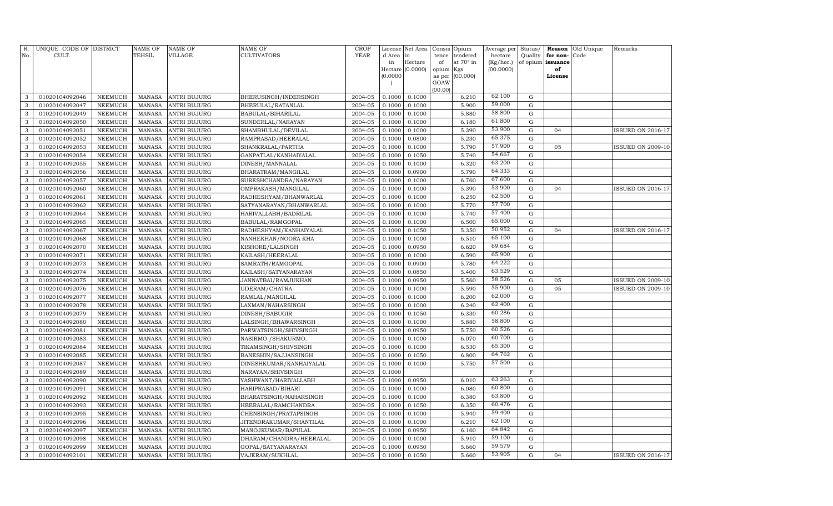| R.<br>No.    | UNIQUE CODE OF DISTRICT<br>CULT. |                | <b>NAME OF</b><br>TEHSIL | <b>NAME OF</b><br><b>VILLAGE</b> | NAME OF<br><b>CULTIVATORS</b> | <b>CROP</b><br>YEAR | License<br>d Area | Net Area<br>in   | Consis<br>tence | Opium<br>tendered | Average per<br>hectare | Status/<br>Quality | Reason<br>for non- | Old Unique<br>Code | Remarks                  |
|--------------|----------------------------------|----------------|--------------------------|----------------------------------|-------------------------------|---------------------|-------------------|------------------|-----------------|-------------------|------------------------|--------------------|--------------------|--------------------|--------------------------|
|              |                                  |                |                          |                                  |                               |                     | in                | Hectare          | of              | at 70° in         | (Kg/hec.)              |                    | of opium issuance  |                    |                          |
|              |                                  |                |                          |                                  |                               |                     |                   | Hectare (0.0000) | opium           | Kgs               | (00.0000)              |                    | of                 |                    |                          |
|              |                                  |                |                          |                                  |                               |                     | (0.0000)          |                  | as per          | (00.000)          |                        |                    | License            |                    |                          |
|              |                                  |                |                          |                                  |                               |                     |                   |                  | GOAW<br>(00.00) |                   |                        |                    |                    |                    |                          |
| 3            | 01020104092046                   | <b>NEEMUCH</b> | <b>MANASA</b>            | <b>ANTRI BUJURG</b>              | BHERUSINGH/INDERSINGH         | 2004-05             | 0.1000            | 0.1000           |                 | 6.210             | 62.100                 | ${\rm G}$          |                    |                    |                          |
| 3            | 01020104092047                   | <b>NEEMUCH</b> | <b>MANASA</b>            | <b>ANTRI BUJURG</b>              | BHERULAL/RATANLAL             | 2004-05             | 0.1000            | 0.1000           |                 | 5.900             | 59.000                 | ${\rm G}$          |                    |                    |                          |
| 3            | 01020104092049                   | <b>NEEMUCH</b> | <b>MANASA</b>            | <b>ANTRI BUJURG</b>              | BABULAL/BIHARILAL             | 2004-05             | 0.1000            | 0.1000           |                 | 5.880             | 58.800                 | ${\rm G}$          |                    |                    |                          |
| 3            | 01020104092050                   | <b>NEEMUCH</b> | <b>MANASA</b>            | <b>ANTRI BUJURG</b>              | SUNDERLAL/NARAYAN             | 2004-05             | 0.1000            | 0.1000           |                 | 6.180             | 61.800                 | ${\rm G}$          |                    |                    |                          |
| 3            | 01020104092051                   | <b>NEEMUCH</b> | <b>MANASA</b>            | <b>ANTRI BUJURG</b>              | SHAMBHULAL/DEVILAL            | 2004-05             | 0.1000            | 0.1000           |                 | 5.390             | 53.900                 | ${\bf G}$          | 04                 |                    | <b>ISSUED ON 2016-17</b> |
| 3            | 01020104092052                   | <b>NEEMUCH</b> | <b>MANASA</b>            | <b>ANTRI BUJURG</b>              | RAMPRASAD/HEERALAL            | 2004-05             | 0.1000            | 0.0800           |                 | 5.230             | 65.375                 | ${\rm G}$          |                    |                    |                          |
| 3            | 01020104092053                   | <b>NEEMUCH</b> | <b>MANASA</b>            | <b>ANTRI BUJURG</b>              | SHANKRALAL/PARTHA             | 2004-05             | 0.1000            | 0.1000           |                 | 5.790             | 57.900                 | ${\rm G}$          | 05                 |                    | <b>ISSUED ON 2009-10</b> |
| 3            | 01020104092054                   | <b>NEEMUCH</b> | MANASA                   | ANTRI BUJURG                     | GANPATLAL/KANHAIYALAL         | 2004-05             | 0.1000            | 0.1050           |                 | 5.740             | 54.667                 | ${\rm G}$          |                    |                    |                          |
| 3            | 01020104092055                   | <b>NEEMUCH</b> | <b>MANASA</b>            | ANTRI BUJURG                     | DINESH/MANNALAL               | 2004-05             | 0.1000            | 0.1000           |                 | 6.320             | 63.200                 | $\mathbf G$        |                    |                    |                          |
| 3            | 01020104092056                   | <b>NEEMUCH</b> | <b>MANASA</b>            | <b>ANTRI BUJURG</b>              | BHARATRAM/MANGILAL            | 2004-05             | 0.1000            | 0.0900           |                 | 5.790             | 64.333                 | $\mathbf G$        |                    |                    |                          |
| 3            | 01020104092057                   | <b>NEEMUCH</b> | <b>MANASA</b>            | <b>ANTRI BUJURG</b>              | SURESHCHANDRA/NARAYAN         | 2004-05             | 0.1000            | 0.1000           |                 | 6.760             | 67.600                 | ${\bf G}$          |                    |                    |                          |
| 3            | 01020104092060                   | <b>NEEMUCH</b> | <b>MANASA</b>            | <b>ANTRI BUJURG</b>              | OMPRAKASH/MANGILAL            | 2004-05             | 0.1000            | 0.1000           |                 | 5.390             | 53.900                 | ${\bf G}$          | 04                 |                    | ISSUED ON 2016-17        |
| 3            | 01020104092061                   | <b>NEEMUCH</b> | <b>MANASA</b>            | <b>ANTRI BUJURG</b>              | RADHESHYAM/BHANWARLAL         | 2004-05             | 0.1000            | 0.1000           |                 | 6.250             | 62.500                 | $\mathbf G$        |                    |                    |                          |
| 3            | 01020104092062                   | <b>NEEMUCH</b> | <b>MANASA</b>            | <b>ANTRI BUJURG</b>              | SATYANARAYAN/BHANWARLAL       | 2004-05             | 0.1000            | 0.1000           |                 | 5.770             | 57.700                 | ${\rm G}$          |                    |                    |                          |
| 3            | 01020104092064                   | <b>NEEMUCH</b> | <b>MANASA</b>            | <b>ANTRI BUJURG</b>              | HARIVALLABH/BADRILAL          | 2004-05             | 0.1000            | 0.1000           |                 | 5.740             | 57.400                 | ${\rm G}$          |                    |                    |                          |
| 3            | 01020104092065                   | <b>NEEMUCH</b> | <b>MANASA</b>            | <b>ANTRI BUJURG</b>              | BABULAL/RAMGOPAL              | 2004-05             | 0.1000            | 0.1000           |                 | 6.500             | 65.000                 | ${\bf G}$          |                    |                    |                          |
| 3            | 01020104092067                   | <b>NEEMUCH</b> | <b>MANASA</b>            | <b>ANTRI BUJURG</b>              | RADHESHYAM/KANHAIYALAL        | 2004-05             | 0.1000            | 0.1050           |                 | 5.350             | 50.952                 | ${\rm G}$          | 04                 |                    | ISSUED ON 2016-17        |
| $\mathbf{3}$ | 01020104092068                   | <b>NEEMUCH</b> | <b>MANASA</b>            | ANTRI BUJURG                     | NANHEKHAN/NOORA KHA           | 2004-05             | 0.1000            | 0.1000           |                 | 6.510             | 65.100                 | ${\bf G}$          |                    |                    |                          |
| 3            | 01020104092070                   | <b>NEEMUCH</b> | <b>MANASA</b>            | ANTRI BUJURG                     | KISHORE/LALSINGH              | 2004-05             | 0.1000            | 0.0950           |                 | 6.620             | 69.684                 | ${\bf G}$          |                    |                    |                          |
| $\mathbf{3}$ | 01020104092071                   | <b>NEEMUCH</b> | <b>MANASA</b>            | <b>ANTRI BUJURG</b>              | KAILASH/HEERALAL              | 2004-05             | 0.1000            | 0.1000           |                 | 6.590             | 65.900                 | ${\bf G}$          |                    |                    |                          |
| 3            | 01020104092073                   | NEEMUCH        | <b>MANASA</b>            | <b>ANTRI BUJURG</b>              | SAMRATH/RAMGOPAL              | 2004-05             | 0.1000            | 0.0900           |                 | 5.780             | 64.222                 | $\mathbf G$        |                    |                    |                          |
| 3            | 01020104092074                   | <b>NEEMUCH</b> | <b>MANASA</b>            | <b>ANTRI BUJURG</b>              | KAILASH/SATYANARAYAN          | 2004-05             | 0.1000            | 0.0850           |                 | 5.400             | 63.529                 | ${\bf G}$          |                    |                    |                          |
| 3            | 01020104092075                   | NEEMUCH        | <b>MANASA</b>            | <b>ANTRI BUJURG</b>              | JANNATBAI/RAMJUKHAN           | 2004-05             | 0.1000            | 0.0950           |                 | 5.560             | 58.526                 | $\mathbf G$        | 05                 |                    | <b>ISSUED ON 2009-10</b> |
| 3            | 01020104092076                   | <b>NEEMUCH</b> | <b>MANASA</b>            | <b>ANTRI BUJURG</b>              | UDERAM/CHATRA                 | 2004-05             | 0.1000            | 0.1000           |                 | 5.590             | 55.900                 | ${\bf G}$          | 05                 |                    | <b>ISSUED ON 2009-10</b> |
| 3            | 01020104092077                   | <b>NEEMUCH</b> | <b>MANASA</b>            | <b>ANTRI BUJURG</b>              | RAMLAL/MANGILAL               | 2004-05             | 0.1000            | 0.1000           |                 | 6.200             | 62.000                 | ${\rm G}$          |                    |                    |                          |
| 3            | 01020104092078                   | <b>NEEMUCH</b> | <b>MANASA</b>            | <b>ANTRI BUJURG</b>              | LAXMAN/NAHARSINGH             | 2004-05             | 0.1000            | 0.1000           |                 | 6.240             | 62.400                 | ${\bf G}$          |                    |                    |                          |
| 3            | 01020104092079                   | <b>NEEMUCH</b> | <b>MANASA</b>            | <b>ANTRI BUJURG</b>              | DINESH/BABUGIR                | 2004-05             | 0.1000            | 0.1050           |                 | 6.330             | 60.286                 | ${\bf G}$          |                    |                    |                          |
| 3            | 01020104092080                   | <b>NEEMUCH</b> | <b>MANASA</b>            | <b>ANTRI BUJURG</b>              | LALSINGH/BHAWARSINGH          | 2004-05             | 0.1000            | 0.1000           |                 | 5.880             | 58.800                 | ${\bf G}$          |                    |                    |                          |
| 3            | 01020104092081                   | <b>NEEMUCH</b> | <b>MANASA</b>            | <b>ANTRI BUJURG</b>              | PARWATSINGH/SHIVSINGH         | 2004-05             | 0.1000            | 0.0950           |                 | 5.750             | 60.526                 | ${\bf G}$          |                    |                    |                          |
| 3            | 01020104092083                   | <b>NEEMUCH</b> | <b>MANASA</b>            | ANTRI BUJURG                     | NASIRMO./SHAKURMO.            | 2004-05             | 0.1000            | 0.1000           |                 | 6.070             | 60.700                 | ${\bf G}$          |                    |                    |                          |
| 3            | 01020104092084                   | <b>NEEMUCH</b> | <b>MANASA</b>            | <b>ANTRI BUJURG</b>              | TIKAMSINGH/SHIVSINGH          | 2004-05             | 0.1000            | 0.1000           |                 | 6.530             | 65.300                 | ${\bf G}$          |                    |                    |                          |
| 3            | 01020104092085                   | NEEMUCH        | <b>MANASA</b>            | ANTRI BUJURG                     | BANESHIN/SAJJANSINGH          | 2004-05             | 0.1000            | 0.1050           |                 | 6.800             | 64.762                 | $\mathbf G$        |                    |                    |                          |
| 3            | 01020104092087                   | NEEMUCH        | <b>MANASA</b>            | ANTRI BUJURG                     | DINESHKUMAR/KANHAIYALAL       | 2004-05             | 0.1000            | 0.1000           |                 | 5.750             | 57.500                 | ${\bf G}$          |                    |                    |                          |
| 3            | 01020104092089                   | <b>NEEMUCH</b> | <b>MANASA</b>            | <b>ANTRI BUJURG</b>              | NARAYAN/SHIVSINGH             | 2004-05             | 0.1000            |                  |                 |                   |                        | $\mathbf F$        |                    |                    |                          |
| 3            | 01020104092090                   | <b>NEEMUCH</b> | <b>MANASA</b>            | <b>ANTRI BUJURG</b>              | YASHWANT/HARIVALLABH          | 2004-05             | 0.1000            | 0.0950           |                 | 6.010             | 63.263                 | $\mathbf G$        |                    |                    |                          |
| 3            | 01020104092091                   | <b>NEEMUCH</b> | <b>MANASA</b>            | ANTRI BUJURG                     | HARIPRASAD/BIHARI             | 2004-05             | 0.1000            | 0.1000           |                 | 6.080             | 60.800                 | $\mathbf G$        |                    |                    |                          |
| 3            | 01020104092092                   | <b>NEEMUCH</b> | <b>MANASA</b>            | <b>ANTRI BUJURG</b>              | BHARATSINGH/NAHARSINGH        | 2004-05             | 0.1000            | 0.1000           |                 | 6.380             | 63.800                 | ${\bf G}$          |                    |                    |                          |
| 3            | 01020104092093                   | <b>NEEMUCH</b> | <b>MANASA</b>            | <b>ANTRI BUJURG</b>              | HEERALAL/RAMCHANDRA           | 2004-05             | 0.1000            | 0.1050           |                 | 6.350             | 60.476                 | ${\bf G}$          |                    |                    |                          |
| 3            | 01020104092095                   | <b>NEEMUCH</b> | <b>MANASA</b>            | <b>ANTRI BUJURG</b>              | CHENSINGH/PRATAPSINGH         | 2004-05             | 0.1000            | 0.1000           |                 | 5.940             | 59.400                 | $\mathbf G$        |                    |                    |                          |
| 3            | 01020104092096                   | <b>NEEMUCH</b> | <b>MANASA</b>            | ANTRI BUJURG                     | JITENDRAKUMAR/SHANTILAL       | 2004-05             | 0.1000            | 0.1000           |                 | 6.210             | 62.100                 | ${\bf G}$          |                    |                    |                          |
| 3            | 01020104092097                   | <b>NEEMUCH</b> | <b>MANASA</b>            | <b>ANTRI BUJURG</b>              | MANOJKUMAR/BAPULAL            | 2004-05             | 0.1000            | 0.0950           |                 | 6.160             | 64.842                 | ${\bf G}$          |                    |                    |                          |
| 3            | 01020104092098                   | <b>NEEMUCH</b> | <b>MANASA</b>            | ANTRI BUJURG                     | DHARAM/CHANDRA/HEERALAL       | 2004-05             | 0.1000            | 0.1000           |                 | 5.910             | 59.100                 | $\mathbf G$        |                    |                    |                          |
| 3            | 01020104092099                   | NEEMUCH        | <b>MANASA</b>            | ANTRI BUJURG                     | GOPAL/SATYANARAYAN            | 2004-05             | 0.1000            | 0.0950           |                 | 5.660             | 59.579                 | ${\bf G}$          |                    |                    |                          |
| $\mathbf{3}$ | 01020104092101                   | NEEMUCH        | MANASA                   | <b>ANTRI BUJURG</b>              | VAJERAM/SUKHLAL               | 2004-05             | 0.1000            | 0.1050           |                 | 5.660             | 53.905                 | G                  | 04                 |                    | <b>ISSUED ON 2016-17</b> |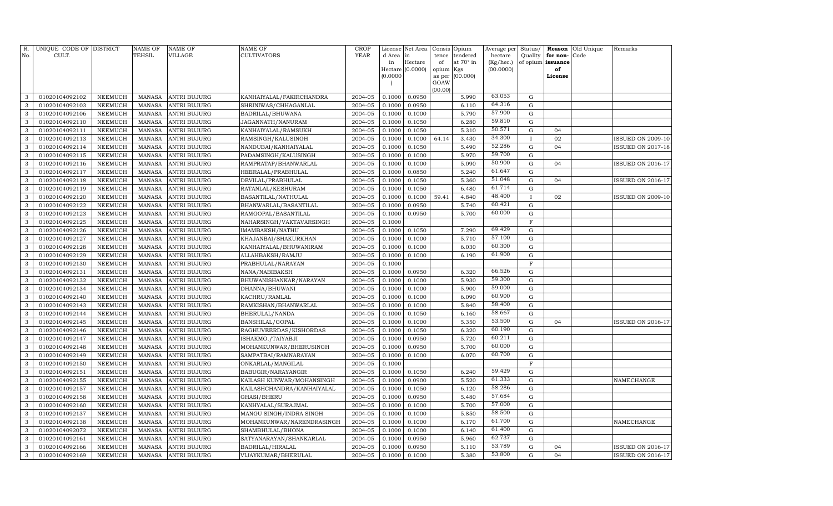| R.<br>No.         | UNIQUE CODE OF DISTRICT<br>CULT. |                | <b>NAME OF</b><br>TEHSIL | <b>NAME OF</b><br><b>VILLAGE</b> | <b>NAME OF</b><br><b>CULTIVATORS</b> | <b>CROP</b><br>YEAR |              | License Net Area<br>l in | Consis          | Opium<br>tendered | Average per          | Status/      | Reason                        | Old Unique<br>Code | Remarks                  |
|-------------------|----------------------------------|----------------|--------------------------|----------------------------------|--------------------------------------|---------------------|--------------|--------------------------|-----------------|-------------------|----------------------|--------------|-------------------------------|--------------------|--------------------------|
|                   |                                  |                |                          |                                  |                                      |                     | d Area<br>in | Hectare                  | tence<br>of     | at 70° in         | hectare<br>(Kg/hec.) | Quality      | for non-<br>of opium issuance |                    |                          |
|                   |                                  |                |                          |                                  |                                      |                     |              | Hectare (0.0000)         | opium Kgs       |                   | (00.0000)            |              | of                            |                    |                          |
|                   |                                  |                |                          |                                  |                                      |                     | (0.0000)     |                          | as per          | (00.000)          |                      |              | License                       |                    |                          |
|                   |                                  |                |                          |                                  |                                      |                     |              |                          | GOAW<br>(00.00) |                   |                      |              |                               |                    |                          |
| 3                 | 01020104092102                   | <b>NEEMUCH</b> | MANASA                   | <b>ANTRI BUJURG</b>              | KANHAIYALAL/FAKIRCHANDRA             | 2004-05             | 0.1000       | 0.0950                   |                 | 5.990             | 63.053               | ${\rm G}$    |                               |                    |                          |
| 3                 | 01020104092103                   | <b>NEEMUCH</b> | <b>MANASA</b>            | <b>ANTRI BUJURG</b>              | SHRINIWAS/CHHAGANLAL                 | 2004-05             | 0.1000       | 0.0950                   |                 | 6.110             | 64.316               | ${\rm G}$    |                               |                    |                          |
| 3                 | 01020104092106                   | <b>NEEMUCH</b> | <b>MANASA</b>            | <b>ANTRI BUJURG</b>              | BADRILAL/BHUWANA                     | 2004-05             | 0.1000       | 0.1000                   |                 | 5.790             | 57.900               | ${\rm G}$    |                               |                    |                          |
| 3                 | 01020104092110                   | NEEMUCH        | <b>MANASA</b>            | <b>ANTRI BUJURG</b>              | JAGANNATH/NANURAM                    | 2004-05             | 0.1000       | 0.1050                   |                 | 6.280             | 59.810               | ${\rm G}$    |                               |                    |                          |
| 3                 | 01020104092111                   | <b>NEEMUCH</b> | <b>MANASA</b>            | <b>ANTRI BUJURG</b>              | KANHAIYALAL/RAMSUKH                  | 2004-05             | 0.1000       | 0.1050                   |                 | 5.310             | 50.571               | ${\bf G}$    | 04                            |                    |                          |
| 3                 | 01020104092113                   | <b>NEEMUCH</b> | <b>MANASA</b>            | <b>ANTRI BUJURG</b>              | RAMSINGH/KALUSINGH                   | 2004-05             | 0.1000       | 0.1000                   | 64.14           | 3.430             | 34.300               | $\mathbf I$  | 02                            |                    | <b>ISSUED ON 2009-10</b> |
| 3                 | 01020104092114                   | <b>NEEMUCH</b> | <b>MANASA</b>            | <b>ANTRI BUJURG</b>              | NANDUBAI/KANHAIYALAL                 | 2004-05             | 0.1000       | 0.1050                   |                 | 5.490             | 52.286               | ${\rm G}$    | 04                            |                    | <b>ISSUED ON 2017-18</b> |
| 3                 | 01020104092115                   | <b>NEEMUCH</b> | <b>MANASA</b>            | ANTRI BUJURG                     | PADAMSINGH/KALUSINGH                 | 2004-05             | 0.1000       | 0.1000                   |                 | 5.970             | 59.700               | ${\rm G}$    |                               |                    |                          |
| 3                 | 01020104092116                   | <b>NEEMUCH</b> | <b>MANASA</b>            | ANTRI BUJURG                     | RAMPRATAP/BHANWARLAL                 | 2004-05             | 0.1000       | 0.1000                   |                 | 5.090             | 50.900               | ${\rm G}$    | 04                            |                    | <b>ISSUED ON 2016-17</b> |
| 3                 | 01020104092117                   | <b>NEEMUCH</b> | <b>MANASA</b>            | ANTRI BUJURG                     | HEERALAL/PRABHULAL                   | 2004-05             | 0.1000       | 0.0850                   |                 | 5.240             | 61.647               | ${\rm G}$    |                               |                    |                          |
| 3                 | 01020104092118                   | <b>NEEMUCH</b> | <b>MANASA</b>            | ANTRI BUJURG                     | DEVILAL/PRABHULAL                    | 2004-05             | 0.1000       | 0.1050                   |                 | 5.360             | 51.048               | ${\bf G}$    | 04                            |                    | <b>ISSUED ON 2016-17</b> |
| 3                 | 01020104092119                   | <b>NEEMUCH</b> | <b>MANASA</b>            | ANTRI BUJURG                     | RATANLAL/KESHURAM                    | 2004-05             | 0.1000       | 0.1050                   |                 | 6.480             | 61.714               | $\mathbf G$  |                               |                    |                          |
| 3                 | 01020104092120                   | NEEMUCH        | <b>MANASA</b>            | ANTRI BUJURG                     | BASANTILAL/NATHULAL                  | 2004-05             | 0.1000       | 0.1000                   | 59.41           | 4.840             | 48.400               | $\mathbf{I}$ | 02                            |                    | <b>ISSUED ON 2009-10</b> |
| 3                 | 01020104092122                   | NEEMUCH        | <b>MANASA</b>            | <b>ANTRI BUJURG</b>              | BHANWARLAL/BASANTILAL                | 2004-05             | 0.1000       | 0.0950                   |                 | 5.740             | 60.421               | $\mathbf G$  |                               |                    |                          |
| 3                 | 01020104092123                   | NEEMUCH        | <b>MANASA</b>            | <b>ANTRI BUJURG</b>              | RAMGOPAL/BASANTILAL                  | 2004-05             | 0.1000       | 0.0950                   |                 | 5.700             | 60.000               | ${\bf G}$    |                               |                    |                          |
| 3                 | 01020104092125                   | <b>NEEMUCH</b> | <b>MANASA</b>            | <b>ANTRI BUJURG</b>              | NAHARSINGH/VAKTAVARSINGH             | 2004-05             | 0.1000       |                          |                 |                   |                      | $\mathbf F$  |                               |                    |                          |
| 3                 | 01020104092126                   | <b>NEEMUCH</b> | <b>MANASA</b>            | <b>ANTRI BUJURG</b>              | IMAMBAKSH/NATHU                      | 2004-05             | 0.1000       | 0.1050                   |                 | 7.290             | 69.429               | ${\bf G}$    |                               |                    |                          |
| 3                 | 01020104092127                   | <b>NEEMUCH</b> | <b>MANASA</b>            | <b>ANTRI BUJURG</b>              | KHAJANBAI/SHAKURKHAN                 | 2004-05             | 0.1000       | 0.1000                   |                 | 5.710             | 57.100               | $\mathbf G$  |                               |                    |                          |
| 3                 | 01020104092128                   | <b>NEEMUCH</b> | <b>MANASA</b>            | <b>ANTRI BUJURG</b>              | KANHAIYALAL/BHUWANIRAM               | 2004-05             | 0.1000       | 0.1000                   |                 | 6.030             | 60.300               | ${\bf G}$    |                               |                    |                          |
| 3                 | 01020104092129                   | <b>NEEMUCH</b> | <b>MANASA</b>            | <b>ANTRI BUJURG</b>              | ALLAHBAKSH/RAMJU                     | 2004-05             | 0.1000       | 0.1000                   |                 | 6.190             | 61.900               | ${\bf G}$    |                               |                    |                          |
| 3                 | 01020104092130                   | <b>NEEMUCH</b> | <b>MANASA</b>            | <b>ANTRI BUJURG</b>              | PRABHULAL/NARAYAN                    | 2004-05             | 0.1000       |                          |                 |                   |                      | $\mathbf F$  |                               |                    |                          |
| 3                 | 01020104092131                   | <b>NEEMUCH</b> | <b>MANASA</b>            | ANTRI BUJURG                     | NANA/NABIBAKSH                       | 2004-05             | 0.1000       | 0.0950                   |                 | 6.320             | 66.526               | ${\bf G}$    |                               |                    |                          |
| 3                 | 01020104092132                   | NEEMUCH        | <b>MANASA</b>            | <b>ANTRI BUJURG</b>              | BHUWANISHANKAR/NARAYAN               | 2004-05             | 0.1000       | 0.1000                   |                 | 5.930             | 59.300               | ${\bf G}$    |                               |                    |                          |
| $\mathbf{3}$      | 01020104092134                   | <b>NEEMUCH</b> | <b>MANASA</b>            | <b>ANTRI BUJURG</b>              | DHANNA/BHUWANI                       | 2004-05             | 0.1000       | 0.1000                   |                 | 5.900             | 59.000               | $\mathbf G$  |                               |                    |                          |
| 3                 | 01020104092140                   | NEEMUCH        | <b>MANASA</b>            | ANTRI BUJURG                     | KACHRU/RAMLAL                        | 2004-05             | 0.1000       | 0.1000                   |                 | 6.090             | 60.900               | ${\bf G}$    |                               |                    |                          |
| 3                 | 01020104092143                   | <b>NEEMUCH</b> | <b>MANASA</b>            | ANTRI BUJURG                     | RAMKISHAN/BHANWARLAL                 | 2004-05             | 0.1000       | 0.1000                   |                 | 5.840             | 58.400               | ${\bf G}$    |                               |                    |                          |
| 3                 | 01020104092144                   | NEEMUCH        | <b>MANASA</b>            | <b>ANTRI BUJURG</b>              | BHERULAL/NANDA                       | 2004-05             | 0.1000       | 0.1050                   |                 | 6.160             | 58.667               | ${\bf G}$    |                               |                    |                          |
| 3                 | 01020104092145                   | NEEMUCH        | <b>MANASA</b>            | ANTRI BUJURG                     | BANSHILAL/GOPAL                      | 2004-05             | 0.1000       | 0.1000                   |                 | 5.350             | 53.500               | G            | 04                            |                    | <b>ISSUED ON 2016-17</b> |
| 3                 | 01020104092146                   | NEEMUCH        | <b>MANASA</b>            | ANTRI BUJURG                     | RAGHUVEERDAS/KISHORDAS               | 2004-05             | 0.1000       | 0.1050                   |                 | 6.320             | 60.190               | $\mathbf G$  |                               |                    |                          |
| 3                 | 01020104092147                   | NEEMUCH        | <b>MANASA</b>            | ANTRI BUJURG                     | ISHAKMO./TAIYABJI                    | 2004-05             | 0.1000       | 0.0950                   |                 | 5.720             | 60.211               | $\mathbf G$  |                               |                    |                          |
| 3                 | 01020104092148                   | <b>NEEMUCH</b> | <b>MANASA</b>            | <b>ANTRI BUJURG</b>              | MOHANKUNWAR/BHERUSINGH               | 2004-05             | 0.1000       | 0.0950                   |                 | 5.700             | 60.000               | $\mathbf G$  |                               |                    |                          |
| 3                 | 01020104092149                   | <b>NEEMUCH</b> | <b>MANASA</b>            | ANTRI BUJURG                     | SAMPATBAI/RAMNARAYAN                 | 2004-05             | 0.1000       | 0.1000                   |                 | 6.070             | 60.700               | $\mathbf G$  |                               |                    |                          |
| 3                 | 01020104092150                   | <b>NEEMUCH</b> | <b>MANASA</b>            | <b>ANTRI BUJURG</b>              | ONKARLAL/MANGILAL                    | 2004-05             | 0.1000       |                          |                 |                   |                      | $\mathbf F$  |                               |                    |                          |
| 3                 | 01020104092151                   | <b>NEEMUCH</b> | <b>MANASA</b>            | <b>ANTRI BUJURG</b>              | BABUGIR/NARAYANGIR                   | 2004-05             | 0.1000       | 0.1050                   |                 | 6.240             | 59.429               | $\mathbf G$  |                               |                    |                          |
| 3                 | 01020104092155                   | <b>NEEMUCH</b> | <b>MANASA</b>            | ANTRI BUJURG                     | KAILASH KUNWAR/MOHANSINGH            | 2004-05             | 0.1000       | 0.0900                   |                 | 5.520             | 61.333               | $\mathbf G$  |                               |                    | NAMECHANGE               |
| 3                 | 01020104092157                   | <b>NEEMUCH</b> | <b>MANASA</b>            | <b>ANTRI BUJURG</b>              | KAILASHCHANDRA/KANHAIYALAL           | 2004-05             | 0.1000       | 0.1050                   |                 | 6.120             | 58.286               | $\mathbf G$  |                               |                    |                          |
| 3                 | 01020104092158                   | <b>NEEMUCH</b> | <b>MANASA</b>            | ANTRI BUJURG                     | GHASI/BHERU                          | 2004-05             | 0.1000       | 0.0950                   |                 | 5.480             | 57.684               | ${\bf G}$    |                               |                    |                          |
| 3                 | 01020104092160                   | <b>NEEMUCH</b> | <b>MANASA</b>            | <b>ANTRI BUJURG</b>              | KANHYALAL/SURAJMAL                   | 2004-05             | 0.1000       | 0.1000                   |                 | 5.700             | 57.000               | $\mathbf G$  |                               |                    |                          |
| 3                 | 01020104092137                   | <b>NEEMUCH</b> | <b>MANASA</b>            | <b>ANTRI BUJURG</b>              | MANGU SINGH/INDRA SINGH              | 2004-05             | 0.1000       | 0.1000                   |                 | 5.850             | 58.500<br>61.700     | $\mathbf G$  |                               |                    |                          |
| 3                 | 01020104092138                   | <b>NEEMUCH</b> | <b>MANASA</b>            | <b>ANTRI BUJURG</b>              | MOHANKUNWAR/NARENDRASINGH            | 2004-05             | 0.1000       | 0.1000                   |                 | 6.170             | 61.400               | $\mathbf G$  |                               |                    | NAMECHANGE               |
| 3                 | 01020104092072                   | NEEMUCH        | <b>MANASA</b>            | <b>ANTRI BUJURG</b>              | SHAMBHULAL/BHONA                     | 2004-05             | 0.1000       | 0.1000                   |                 | 6.140             | 62.737               | G            |                               |                    |                          |
| $\mathbf{3}$<br>3 | 01020104092161                   | NEEMUCH        | <b>MANASA</b>            | ANTRI BUJURG                     | SATYANARAYAN/SHANKARLAL              | 2004-05             | 0.1000       | 0.0950                   |                 | 5.960             | 53.789               | G<br>G       |                               |                    |                          |
|                   | 01020104092166                   | <b>NEEMUCH</b> | <b>MANASA</b>            | <b>ANTRI BUJURG</b>              | BADRILAL/HIRALAL                     | 2004-05             | 0.1000       | 0.0950                   |                 | 5.110             | 53.800               |              | 04                            |                    | <b>ISSUED ON 2016-17</b> |
| $\mathbf{3}$      | 01020104092169                   | <b>NEEMUCH</b> | MANASA                   | <b>ANTRI BUJURG</b>              | VIJAYKUMAR/BHERULAL                  | 2004-05             | 0.1000       | 0.1000                   |                 | 5.380             |                      | G            | 04                            |                    | <b>ISSUED ON 2016-17</b> |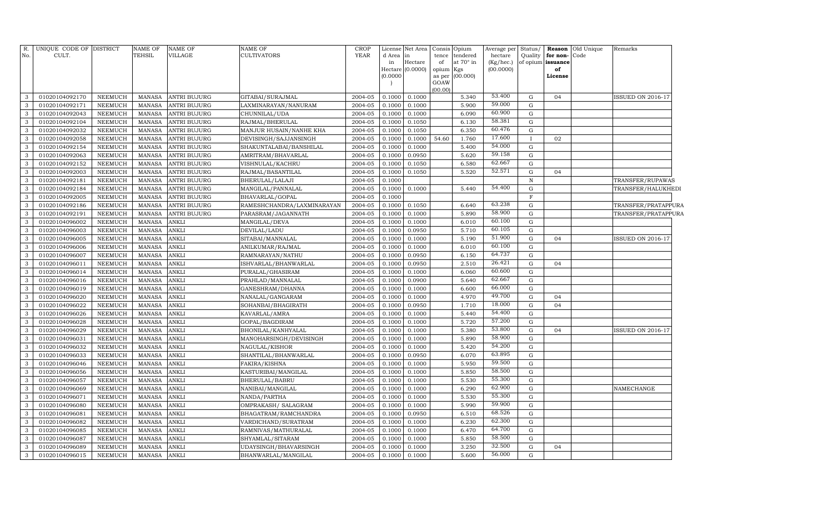| $R_{\cdot}$<br>No. | UNIQUE CODE OF DISTRICT<br>CULT. |                                  | <b>NAME OF</b><br>TEHSIL       | <b>NAME OF</b><br>VILLAGE | <b>NAME OF</b><br><b>CULTIVATORS</b>         | <b>CROP</b><br>YEAR | License<br>d Area<br>in<br>Hectare<br>(0.0000) | Net Area<br>Hectare<br>(0.0000) | Consis<br>tence<br>of<br>opium Kgs<br>as per<br>GOAW<br>(00.00) | Opium<br>tendered<br>at 70° in<br>(00.000) | Average per<br>hectare<br>(Kg/hec.)<br>(00.0000) | Status/<br>Quality | for non-<br>of opium issuance<br>of<br>License | Reason Old Unique<br>Code | Remarks                  |
|--------------------|----------------------------------|----------------------------------|--------------------------------|---------------------------|----------------------------------------------|---------------------|------------------------------------------------|---------------------------------|-----------------------------------------------------------------|--------------------------------------------|--------------------------------------------------|--------------------|------------------------------------------------|---------------------------|--------------------------|
| 3                  | 01020104092170                   | NEEMUCH                          | <b>MANASA</b>                  | <b>ANTRI BUJURG</b>       | GITABAI/SURAJMAL                             | 2004-05             | 0.1000                                         | 0.1000                          |                                                                 | 5.340                                      | 53.400                                           | $\mathbf G$        | 04                                             |                           | <b>ISSUED ON 2016-17</b> |
| 3                  | 01020104092171                   | <b>NEEMUCH</b>                   | <b>MANASA</b>                  | <b>ANTRI BUJURG</b>       | LAXMINARAYAN/NANURAM                         | 2004-05             | 0.1000                                         | 0.1000                          |                                                                 | 5.900                                      | 59.000                                           | $\mathbf G$        |                                                |                           |                          |
| $\mathbf{3}$       | 01020104092043                   | <b>NEEMUCH</b>                   | <b>MANASA</b>                  | <b>ANTRI BUJURG</b>       | CHUNNILAL/UDA                                | 2004-05             | 0.1000                                         | 0.1000                          |                                                                 | 6.090                                      | 60.900                                           | ${\rm G}$          |                                                |                           |                          |
| 3                  | 01020104092104                   | <b>NEEMUCH</b>                   | <b>MANASA</b>                  | <b>ANTRI BUJURG</b>       | RAJMAL/BHERULAL                              | 2004-05             | 0.1000                                         | 0.1050                          |                                                                 | 6.130                                      | 58.381                                           | G                  |                                                |                           |                          |
| 3                  | 01020104092032                   | <b>NEEMUCH</b>                   | <b>MANASA</b>                  | <b>ANTRI BUJURG</b>       | MANJUR HUSAIN/NANHE KHA                      | 2004-05             | 0.1000                                         | 0.1050                          |                                                                 | 6.350                                      | 60.476                                           | G                  |                                                |                           |                          |
| 3                  | 01020104092058                   | <b>NEEMUCH</b>                   | <b>MANASA</b>                  | <b>ANTRI BUJURG</b>       | DEVISINGH/SAJJANSINGH                        | 2004-05             | 0.1000                                         | 0.1000                          | 54.60                                                           | 1.760                                      | 17.600                                           | $\mathbf{I}$       | 02                                             |                           |                          |
| 3                  | 01020104092154                   | <b>NEEMUCH</b>                   | <b>MANASA</b>                  | <b>ANTRI BUJURG</b>       | SHAKUNTALABAI/BANSHILAL                      | 2004-05             | 0.1000                                         | 0.1000                          |                                                                 | 5.400                                      | 54.000                                           | G                  |                                                |                           |                          |
| $\mathbf{3}$       | 01020104092063                   | <b>NEEMUCH</b>                   | <b>MANASA</b>                  | <b>ANTRI BUJURG</b>       | AMRITRAM/BHAVARLAL                           | 2004-05             | 0.1000                                         | 0.0950                          |                                                                 | 5.620                                      | 59.158                                           | G                  |                                                |                           |                          |
| 3                  | 01020104092152                   | <b>NEEMUCH</b>                   | <b>MANASA</b>                  | <b>ANTRI BUJURG</b>       | VISHNULAL/KACHRU                             | 2004-05             | 0.1000                                         | 0.1050                          |                                                                 | 6.580                                      | 62.667                                           | ${\rm G}$          |                                                |                           |                          |
| $\mathbf{3}$       | 01020104092003                   | <b>NEEMUCH</b>                   | <b>MANASA</b>                  | <b>ANTRI BUJURG</b>       | RAJMAL/BASANTILAL                            | 2004-05             | 0.1000                                         | 0.1050                          |                                                                 | 5.520                                      | 52.571                                           | $\mathbf G$        | 04                                             |                           |                          |
| 3                  | 01020104092181                   | <b>NEEMUCH</b>                   | <b>MANASA</b>                  | <b>ANTRI BUJURG</b>       | BHERULAL/LALAJI                              | 2004-05             | 0.1000                                         |                                 |                                                                 |                                            |                                                  | $\, {\bf N}$       |                                                |                           | TRANSFER/RUPAWAS         |
| 3                  | 01020104092184                   | NEEMUCH                          | <b>MANASA</b>                  | <b>ANTRI BUJURG</b>       | MANGILAL/PANNALAL                            | 2004-05             | 0.1000                                         | 0.1000                          |                                                                 | 5.440                                      | 54.400                                           | G                  |                                                |                           | TRANSFER/HALUKHEDI       |
| 3                  | 01020104092005                   | <b>NEEMUCH</b>                   | <b>MANASA</b>                  | <b>ANTRI BUJURG</b>       | BHAVARLAL/GOPAL                              | 2004-05             | 0.1000                                         |                                 |                                                                 |                                            |                                                  | $\mathbf F$        |                                                |                           |                          |
| 3                  | 01020104092186                   | <b>NEEMUCH</b>                   | <b>MANASA</b>                  | <b>ANTRI BUJURG</b>       | RAMESHCHANDRA/LAXMINARAYAN                   | 2004-05             | 0.1000                                         | 0.1050                          |                                                                 | 6.640                                      | 63.238                                           | G                  |                                                |                           | TRANSFER/PRATAPPURA      |
| 3                  | 01020104092191                   | <b>NEEMUCH</b>                   | <b>MANASA</b>                  | <b>ANTRI BUJURG</b>       | PARASRAM/JAGANNATH                           | 2004-05             | 0.1000                                         | 0.1000                          |                                                                 | 5.890                                      | 58.900                                           | G                  |                                                |                           | TRANSFER/PRATAPPURA      |
| 3                  | 01020104096002                   | <b>NEEMUCH</b>                   | <b>MANASA</b>                  | ANKLI                     | MANGILAL/DEVA                                | 2004-05             | 0.1000                                         | 0.1000                          |                                                                 | 6.010                                      | 60.100                                           | G                  |                                                |                           |                          |
| 3                  | 01020104096003                   | <b>NEEMUCH</b>                   | <b>MANASA</b>                  | <b>ANKLI</b>              | DEVILAL/LADU                                 | 2004-05             | 0.1000                                         | 0.0950                          |                                                                 | 5.710                                      | 60.105                                           | G                  |                                                |                           |                          |
| $\mathbf{3}$       | 01020104096005                   | <b>NEEMUCH</b>                   | <b>MANASA</b>                  | <b>ANKLI</b>              | SITABAI/MANNALAL                             | 2004-05             | 0.1000                                         | 0.1000                          |                                                                 | 5.190                                      | 51.900                                           | ${\rm G}$          | 04                                             |                           | <b>ISSUED ON 2016-17</b> |
| 3                  | 01020104096006                   | <b>NEEMUCH</b>                   | <b>MANASA</b>                  | <b>ANKLI</b>              | ANILKUMAR/RAJMAL                             | 2004-05             | 0.1000                                         | 0.1000                          |                                                                 | 6.010                                      | 60.100                                           | ${\rm G}$          |                                                |                           |                          |
| 3                  | 01020104096007                   | NEEMUCH                          | <b>MANASA</b>                  | <b>ANKLI</b>              | RAMNARAYAN/NATHU                             | 2004-05             | 0.1000                                         | 0.0950                          |                                                                 | 6.150                                      | 64.737                                           | ${\rm G}$          |                                                |                           |                          |
| 3                  | 01020104096011                   | <b>NEEMUCH</b>                   | <b>MANASA</b>                  | <b>ANKLI</b>              | ISHVARLAL/BHANWARLAL                         | 2004-05             | 0.1000                                         | 0.0950                          |                                                                 | 2.510                                      | 26.421                                           | G                  | 04                                             |                           |                          |
| 3                  | 01020104096014                   | <b>NEEMUCH</b>                   | <b>MANASA</b>                  | <b>ANKLI</b>              | PURALAL/GHASIRAM                             | 2004-05             | 0.1000                                         | 0.1000                          |                                                                 | 6.060                                      | 60.600                                           | G                  |                                                |                           |                          |
| 3                  | 01020104096016                   | NEEMUCH                          | <b>MANASA</b>                  | <b>ANKLI</b>              | PRAHLAD/MANNALAL                             | 2004-05             | 0.1000                                         | 0.0900                          |                                                                 | 5.640                                      | 62.667                                           | ${\rm G}$          |                                                |                           |                          |
| 3                  | 01020104096019                   | NEEMUCH                          | <b>MANASA</b>                  | <b>ANKLI</b>              | GANESHRAM/DHANNA                             | 2004-05             | 0.1000                                         | 0.1000                          |                                                                 | 6.600                                      | 66.000                                           | G                  |                                                |                           |                          |
| 3                  | 01020104096020                   | <b>NEEMUCH</b>                   | <b>MANASA</b>                  | <b>ANKLI</b>              | NANALAL/GANGARAM                             | 2004-05             | 0.1000                                         | 0.1000                          |                                                                 | 4.970                                      | 49.700                                           | ${\rm G}$          | 04                                             |                           |                          |
| 3                  | 01020104096022                   | <b>NEEMUCH</b>                   | <b>MANASA</b>                  | <b>ANKLI</b>              | SOHANBAI/BHAGIRATH                           | 2004-05             | 0.1000                                         | 0.0950                          |                                                                 | 1.710                                      | 18.000                                           | G                  | 04                                             |                           |                          |
| 3                  | 01020104096026                   | <b>NEEMUCH</b>                   | <b>MANASA</b>                  | <b>ANKLI</b>              | KAVARLAL/AMRA                                | 2004-05             | 0.1000                                         | 0.1000                          |                                                                 | 5.440                                      | 54.400                                           | G                  |                                                |                           |                          |
| $\mathbf{3}$       | 01020104096028                   | <b>NEEMUCH</b>                   | <b>MANASA</b>                  | ANKLI                     | GOPAL/BAGDIRAM                               | 2004-05             | 0.1000                                         | 0.1000                          |                                                                 | 5.720                                      | 57.200                                           | G                  |                                                |                           |                          |
| 3                  | 01020104096029                   | <b>NEEMUCH</b>                   | <b>MANASA</b>                  | <b>ANKLI</b>              | BHONILAL/KANHYALAL                           | 2004-05             | 0.1000                                         | 0.1000                          |                                                                 | 5.380                                      | 53.800                                           | ${\rm G}$          | 04                                             |                           | <b>ISSUED ON 2016-17</b> |
| 3                  | 01020104096031                   | NEEMUCH                          | <b>MANASA</b>                  | <b>ANKLI</b>              | MANOHARSINGH/DEVISINGH                       | 2004-05             | 0.1000                                         | 0.1000                          |                                                                 | 5.890                                      | 58.900                                           | G                  |                                                |                           |                          |
| 3                  | 01020104096032                   | NEEMUCH                          | <b>MANASA</b>                  | <b>ANKLI</b>              | NAGULAL/KISHOR                               | 2004-05             | 0.1000                                         | 0.1000                          |                                                                 | 5.420                                      | 54.200                                           | ${\rm G}$          |                                                |                           |                          |
| 3                  | 01020104096033                   | NEEMUCH                          | <b>MANASA</b>                  | <b>ANKLI</b>              | SHANTILAL/BHANWARLAL                         | 2004-05             | 0.1000                                         | 0.0950                          |                                                                 | 6.070                                      | 63.895                                           | G                  |                                                |                           |                          |
| 3                  | 01020104096046                   | NEEMUCH                          | <b>MANASA</b>                  | <b>ANKLI</b>              | FAKIRA/KISHNA                                | 2004-05             | 0.1000                                         | 0.1000                          |                                                                 | 5.950                                      | 59.500                                           | ${\rm G}$          |                                                |                           |                          |
| 3                  | 01020104096056                   | <b>NEEMUCH</b>                   | <b>MANASA</b>                  | <b>ANKLI</b>              | KASTURIBAI/MANGILAL                          | 2004-05             | 0.1000                                         | 0.1000                          |                                                                 | 5.850                                      | 58.500                                           | G                  |                                                |                           |                          |
| 3                  | 01020104096057                   | <b>NEEMUCH</b>                   | <b>MANASA</b>                  | <b>ANKLI</b>              | BHERULAL/BABRU                               | 2004-05             | 0.1000                                         | 0.1000                          |                                                                 | 5.530                                      | 55.300<br>62.900                                 | G                  |                                                |                           |                          |
| $\mathbf{3}$       | 01020104096069                   | <b>NEEMUCH</b>                   | <b>MANASA</b>                  | <b>ANKLI</b>              | NANIBAI/MANGILAL                             | 2004-05             | 0.1000                                         | 0.1000                          |                                                                 | 6.290                                      | 55.300                                           | G                  |                                                |                           | NAMECHANGE               |
| 3                  | 01020104096071                   | <b>NEEMUCH</b>                   | <b>MANASA</b>                  | <b>ANKLI</b>              | NANDA/PARTHA                                 | 2004-05             | 0.1000                                         | 0.1000                          |                                                                 | 5.530                                      | 59.900                                           | G                  |                                                |                           |                          |
| $\mathbf{3}$<br>3  | 01020104096080<br>01020104096081 | <b>NEEMUCH</b><br><b>NEEMUCH</b> | <b>MANASA</b><br><b>MANASA</b> | ANKLI<br><b>ANKLI</b>     | OMPRAKASH / SALAGRAM<br>BHAGATRAM/RAMCHANDRA | 2004-05<br>2004-05  | 0.1000<br>0.1000                               | 0.1000<br>0.0950                |                                                                 | 5.990<br>6.510                             | 68.526                                           | G<br>G             |                                                |                           |                          |
| 3                  | 01020104096082                   | <b>NEEMUCH</b>                   | <b>MANASA</b>                  | <b>ANKLI</b>              | VARDICHAND/SURATRAM                          | 2004-05             | 0.1000                                         | 0.1000                          |                                                                 | 6.230                                      | 62.300                                           | G                  |                                                |                           |                          |
| 3                  | 01020104096085                   | <b>NEEMUCH</b>                   | <b>MANASA</b>                  | <b>ANKLI</b>              | RAMNIVAS/MATHURALAL                          | $2004 - 05$         | 0.1000                                         | 0.1000                          |                                                                 | 6.470                                      | 64.700                                           | G                  |                                                |                           |                          |
| 3                  | 01020104096087                   | NEEMUCH                          | <b>MANASA</b>                  | <b>ANKLI</b>              | SHYAMLAL/SITARAM                             | 2004-05             | 0.1000                                         | 0.1000                          |                                                                 | 5.850                                      | 58.500                                           | G                  |                                                |                           |                          |
| 3                  | 01020104096089                   | <b>NEEMUCH</b>                   | <b>MANASA</b>                  | <b>ANKLI</b>              | UDAYSINGH/BHAVARSINGH                        | 2004-05             | 0.1000                                         | 0.1000                          |                                                                 | 3.250                                      | 32.500                                           | ${\rm G}$          | 04                                             |                           |                          |
| $\mathbf{3}$       | 01020104096015                   | NEEMUCH                          | <b>MANASA</b>                  | <b>ANKLI</b>              | BHANWARLAL/MANGILAL                          | 2004-05             | 0.1000                                         | 0.1000                          |                                                                 | 5.600                                      | 56.000                                           | $\mathbf G$        |                                                |                           |                          |
|                    |                                  |                                  |                                |                           |                                              |                     |                                                |                                 |                                                                 |                                            |                                                  |                    |                                                |                           |                          |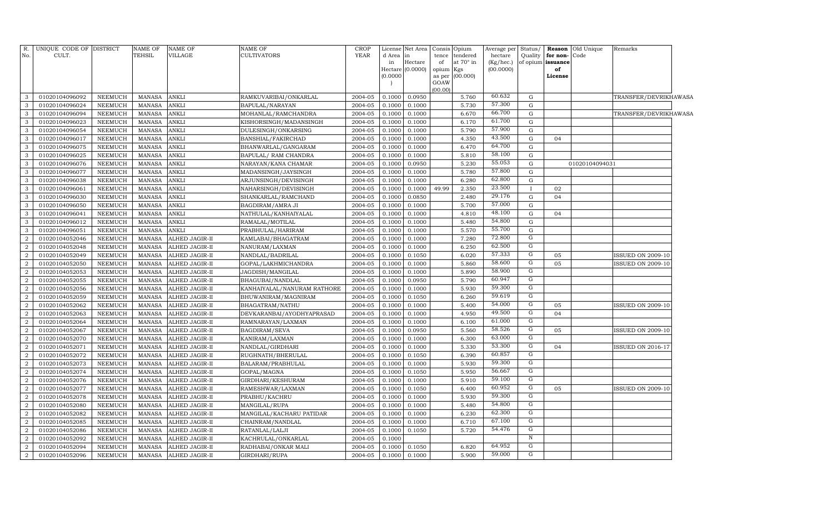| <b>YEAR</b><br>No.<br>CULT.<br>TEHSIL<br>VILLAGE<br>CULTIVATORS<br>tendered<br>Quality<br>for non-<br>d Area<br>tence<br>hectare<br>Code<br>in<br>at 70° in<br>of opium<br>in<br>Hectare<br>of<br>(Kg/hec.)<br>issuance<br>(0.0000)<br>(00.0000)<br>Hectare<br>opium<br>Kgs<br>of<br>(0.0000)<br>(00.000)<br>as per<br>License<br>GOAW<br>(00.00)<br>60.632<br>0.0950<br>5.760<br>3<br>01020104096092<br><b>NEEMUCH</b><br><b>MANASA</b><br><b>ANKLI</b><br>RAMKUVARIBAI/ONKARLAL<br>2004-05<br>0.1000<br>G<br>57.300<br><b>ANKLI</b><br>5.730<br>$\mathbf G$<br>3<br>01020104096024<br><b>NEEMUCH</b><br>MANASA<br>BAPULAL/NARAYAN<br>2004-05<br>0.1000<br>0.1000<br>66.700<br>3<br>01020104096094<br><b>NEEMUCH</b><br>MANASA<br><b>ANKLI</b><br>MOHANLAL/RAMCHANDRA<br>2004-05<br>0.1000<br>6.670<br>0.1000<br>G<br>61.700<br><b>ANKLI</b><br>3<br>01020104096023<br><b>NEEMUCH</b><br><b>MANASA</b><br>KISHORSINGH/MADANSINGH<br>0.1000<br>6.170<br>$\mathbf G$<br>2004-05<br>0.1000<br>57.900<br>3<br><b>ANKLI</b><br>5.790<br>01020104096054<br><b>NEEMUCH</b><br><b>MANASA</b><br>DULESINGH/ONKARSING<br>2004-05<br>0.1000<br>$\mathbf G$<br>0.1000<br>43.500<br><b>ANKLI</b><br>4.350<br>3<br>01020104096017<br><b>NEEMUCH</b><br><b>MANASA</b><br>2004-05<br>0.1000<br>${\rm G}$<br>BANSHIAL/FAKIRCHAD<br>0.1000<br>04<br>64.700<br>3<br>01020104096075<br>NEEMUCH<br><b>MANASA</b><br>ANKLI<br>2004-05<br>0.1000<br>6.470<br>$\mathbf G$<br>BHANWARLAL/GANGARAM<br>0.1000<br>58.100<br>ANKLI<br>0.1000<br>5.810<br>$\mathbf G$<br>3<br>01020104096025<br>NEEMUCH<br><b>MANASA</b><br>BAPULAL/ RAM CHANDRA<br>2004-05<br>0.1000<br>55.053<br>3<br><b>ANKLI</b><br>5.230<br>01020104096076<br><b>NEEMUCH</b><br><b>MANASA</b><br>NARAYAN/KANA CHAMAR<br>2004-05<br>0.1000<br>0.0950<br>$\mathbf G$<br>01020104094031<br>57.800<br><b>ANKLI</b><br>5.780<br>3<br>01020104096077<br><b>NEEMUCH</b><br><b>MANASA</b><br>MADANSINGH/JAYSINGH<br>2004-05<br>0.1000<br>0.1000<br>$\mathbf G$<br>62.800<br>3<br>01020104096038<br><b>NEEMUCH</b><br><b>MANASA</b><br>ANKLI<br>ARJUNSINGH/DEVISINGH<br>2004-05<br>0.1000<br>0.1000<br>6.280<br>$\mathbf G$<br>23.500<br><b>ANKLI</b><br>2.350<br>3<br>01020104096061<br><b>NEEMUCH</b><br><b>MANASA</b><br>2004-05<br>0.1000<br>49.99<br>02<br>NAHARSINGH/DEVISINGH<br>0.1000<br>29.176<br>3<br>01020104096030<br><b>NEEMUCH</b><br><b>MANASA</b><br>ANKLI<br>2004-05<br>0.1000<br>0.0850<br>2.480<br>${\rm G}$<br>SHANKARLAL/RAMCHAND<br>04<br>57.000<br>01020104096050<br>NEEMUCH<br>ANKLI<br>0.1000<br>5.700<br>3<br>MANASA<br>BAGDIRAM/AMRA JI<br>2004-05<br>0.1000<br>G<br>48.100<br>3<br><b>ANKLI</b><br>01020104096041<br>NEEMUCH<br><b>MANASA</b><br>NATHULAL/KANHAIYALAL<br>2004-05<br>0.1000<br>0.1000<br>4.810<br>G<br>04<br>54.800<br><b>ANKLI</b><br>5.480<br>3<br>01020104096012<br><b>NEEMUCH</b><br><b>MANASA</b><br>RAMALAL/MOTILAL<br>2004-05<br>0.1000<br>0.1000<br>$\mathbf G$<br>55.700<br>3<br>0.1000<br>5.570<br>01020104096051<br><b>NEEMUCH</b><br><b>MANASA</b><br>ANKLI<br>PRABHULAL/HARIRAM<br>2004-05<br>0.1000<br>${\rm G}$<br>72.800<br>G<br>$\overline{2}$<br>01020104052046<br><b>NEEMUCH</b><br><b>MANASA</b><br>ALHED JAGIR-II<br>KAMLABAI/BHAGATRAM<br>2004-05<br>0.1000<br>0.1000<br>7.280<br>62.500<br>G<br>$\overline{2}$<br>01020104052048<br><b>NEEMUCH</b><br><b>MANASA</b><br>ALHED JAGIR-II<br>NANURAM/LAXMAN<br>2004-05<br>0.1000<br>0.1000<br>6.250<br>57.333<br>G<br>01020104052049<br><b>NEEMUCH</b><br><b>MANASA</b><br>NANDLAL/BADRILAL<br>2004-05<br>0.1050<br>6.020<br>2<br>ALHED JAGIR-II<br>0.1000<br>05<br><b>ISSUED ON 2009-10</b><br>58.600<br>G<br>$\overline{a}$<br>01020104052050<br><b>NEEMUCH</b><br><b>MANASA</b><br>2004-05<br>0.1000<br>5.860<br>05<br><b>ISSUED ON 2009-10</b><br>ALHED JAGIR-II<br>GOPAL/LAKHMICHANDRA<br>0.1000<br>58.900<br>G<br>$\overline{2}$<br>01020104052053<br><b>NEEMUCH</b><br><b>MANASA</b><br>ALHED JAGIR-II<br>JAGDISH/MANGILAL<br>2004-05<br>0.1000<br>0.1000<br>5.890<br>60.947<br>G<br>$\overline{2}$<br>01020104052055<br><b>NEEMUCH</b><br><b>MANASA</b><br>ALHED JAGIR-II<br>BHAGUBAI/NANDLAL<br>2004-05<br>0.1000<br>0.0950<br>5.790<br>59.300<br>G<br>$\overline{2}$<br>01020104052056<br><b>NEEMUCH</b><br><b>MANASA</b><br>KANHAIYALAL/NANURAM RATHORE<br>2004-05<br>0.1000<br>0.1000<br>5.930<br>ALHED JAGIR-II<br>59.619<br>G<br>$\overline{2}$<br>01020104052059<br><b>NEEMUCH</b><br><b>MANASA</b><br>ALHED JAGIR-II<br>BHUWANIRAM/MAGNIRAM<br>2004-05<br>0.1000<br>0.1050<br>6.260<br>54.000<br>G<br>01020104052062<br><b>NEEMUCH</b><br><b>MANASA</b><br>BHAGATRAM/NATHU<br>2004-05<br>0.1000<br>5.400<br>05<br>SSUED ON 2009-10<br>$\overline{2}$<br>ALHED JAGIR-II<br>0.1000<br>49.500<br>G<br>2<br>01020104052063<br><b>NEEMUCH</b><br><b>MANASA</b><br>ALHED JAGIR-II<br>DEVKARANBAI/AYODHYAPRASAD<br>2004-05<br>0.1000<br>0.1000<br>4.950<br>04<br>61.000<br>G<br>01020104052064<br><b>NEEMUCH</b><br><b>MANASA</b><br>RAMNARAYAN/LAXMAN<br>2004-05<br>0.1000<br>6.100<br>$\overline{2}$<br>ALHED JAGIR-II<br>0.1000<br>58.526<br>${\rm G}$<br>$\overline{2}$<br>01020104052067<br>2004-05<br>0.0950<br>5.560<br><b>NEEMUCH</b><br><b>MANASA</b><br>ALHED JAGIR-II<br>BAGDIRAM/SEVA<br>0.1000<br>05<br><b>ISSUED ON 2009-10</b><br>63.000<br>G<br>$\overline{2}$<br>01020104052070<br>NEEMUCH<br>MANASA<br>ALHED JAGIR-II<br>KANIRAM/LAXMAN<br>2004-05<br>0.1000<br>0.1000<br>6.300<br>53.300<br>G<br>$\overline{2}$<br>01020104052071<br><b>NEEMUCH</b><br><b>MANASA</b><br>ALHED JAGIR-II<br>NANDLAL/GIRDHARI<br>2004-05<br>0.1000<br>0.1000<br>5.330<br>ISSUED ON 2016-17<br>04<br>60.857<br>G<br>01020104052072<br><b>NEEMUCH</b><br><b>MANASA</b><br>RUGHNATH/BHERULAL<br>2004-05<br>0.1050<br>6.390<br>2<br>ALHED JAGIR-II<br>0.1000<br>59.300<br>G<br>2<br>01020104052073<br><b>NEEMUCH</b><br><b>MANASA</b><br>2004-05<br>0.1000<br>0.1000<br>5.930<br>ALHED JAGIR-II<br>BALARAM/PRABHULAL<br>G<br>56.667<br>01020104052074<br><b>NEEMUCH</b><br>0.1050<br>5.950<br>$\overline{2}$<br>MANASA<br>ALHED JAGIR-II<br>GOPAL/MAGNA<br>2004-05<br>0.1000<br>59.100<br>G<br>01020104052076<br><b>NEEMUCH</b><br><b>MANASA</b><br>2004-05<br>0.1000<br>5.910<br>$\overline{2}$<br>ALHED JAGIR-II<br>GIRDHARI/KESHURAM<br>0.1000<br>${\rm G}$<br>60.952<br>$\overline{2}$<br>01020104052077<br>NEEMUCH<br><b>MANASA</b><br>ALHED JAGIR-II<br>RAMESHWAR/LAXMAN<br>2004-05<br>0.1000<br>0.1050<br>6.400<br>05<br><b>ISSUED ON 2009-10</b><br>59.300<br>${\rm G}$<br>01020104052078<br>$\overline{2}$<br><b>NEEMUCH</b><br><b>MANASA</b><br>ALHED JAGIR-II<br>PRABHU/KACHRU<br>2004-05<br>0.1000<br>0.1000<br>5.930<br>54.800<br>G<br>$\overline{2}$<br>01020104052080<br><b>NEEMUCH</b><br><b>MANASA</b><br>MANGILAL/RUPA<br>2004-05<br>0.1000<br>5.480<br>ALHED JAGIR-II<br>0.1000<br>62.300<br>G<br>2<br>01020104052082<br><b>NEEMUCH</b><br><b>MANASA</b><br>2004-05<br>0.1000<br>6.230<br>ALHED JAGIR-II<br>MANGILAL/KACHARU PATIDAR<br>0.1000<br>67.100<br>G<br>$\overline{2}$<br>01020104052085<br>NEEMUCH<br>MANASA<br>ALHED JAGIR-II<br>CHAINRAM/NANDLAL<br>2004-05<br>0.1000<br>0.1000<br>6.710<br>54.476<br>G<br>$\overline{2}$<br>01020104052086<br><b>NEEMUCH</b><br><b>MANASA</b><br>ALHED JAGIR-II<br>RATANLAL/LALJI<br>2004-05<br>0.1000<br>0.1050<br>5.720<br>N<br>$\overline{2}$<br>01020104052092<br><b>NEEMUCH</b><br><b>MANASA</b><br>ALHED JAGIR-II<br>KACHRULAL/ONKARLAL<br>2004-05<br>0.1000<br>64.952<br>G<br>$\overline{2}$<br>01020104052094<br><b>NEEMUCH</b><br><b>MANASA</b><br>ALHED JAGIR-II<br>RADHABAI/ONKAR MALI<br>2004-05<br>0.1000<br>0.1050<br>6.820<br>59.000<br>G<br>$\overline{2}$<br>NEEMUCH<br>0.1000<br>5.900<br>01020104052096<br>MANASA<br>ALHED JAGIR-II<br>GIRDHARI/RUPA<br>2004-05<br>0.1000 | R. | UNIQUE CODE OF DISTRICT | NAME OF | NAME OF | NAME OF | CROP | License | Net Area | Consis | Opium | Average per | Status/ | Reason | Old Unique | Remarks               |
|-----------------------------------------------------------------------------------------------------------------------------------------------------------------------------------------------------------------------------------------------------------------------------------------------------------------------------------------------------------------------------------------------------------------------------------------------------------------------------------------------------------------------------------------------------------------------------------------------------------------------------------------------------------------------------------------------------------------------------------------------------------------------------------------------------------------------------------------------------------------------------------------------------------------------------------------------------------------------------------------------------------------------------------------------------------------------------------------------------------------------------------------------------------------------------------------------------------------------------------------------------------------------------------------------------------------------------------------------------------------------------------------------------------------------------------------------------------------------------------------------------------------------------------------------------------------------------------------------------------------------------------------------------------------------------------------------------------------------------------------------------------------------------------------------------------------------------------------------------------------------------------------------------------------------------------------------------------------------------------------------------------------------------------------------------------------------------------------------------------------------------------------------------------------------------------------------------------------------------------------------------------------------------------------------------------------------------------------------------------------------------------------------------------------------------------------------------------------------------------------------------------------------------------------------------------------------------------------------------------------------------------------------------------------------------------------------------------------------------------------------------------------------------------------------------------------------------------------------------------------------------------------------------------------------------------------------------------------------------------------------------------------------------------------------------------------------------------------------------------------------------------------------------------------------------------------------------------------------------------------------------------------------------------------------------------------------------------------------------------------------------------------------------------------------------------------------------------------------------------------------------------------------------------------------------------------------------------------------------------------------------------------------------------------------------------------------------------------------------------------------------------------------------------------------------------------------------------------------------------------------------------------------------------------------------------------------------------------------------------------------------------------------------------------------------------------------------------------------------------------------------------------------------------------------------------------------------------------------------------------------------------------------------------------------------------------------------------------------------------------------------------------------------------------------------------------------------------------------------------------------------------------------------------------------------------------------------------------------------------------------------------------------------------------------------------------------------------------------------------------------------------------------------------------------------------------------------------------------------------------------------------------------------------------------------------------------------------------------------------------------------------------------------------------------------------------------------------------------------------------------------------------------------------------------------------------------------------------------------------------------------------------------------------------------------------------------------------------------------------------------------------------------------------------------------------------------------------------------------------------------------------------------------------------------------------------------------------------------------------------------------------------------------------------------------------------------------------------------------------------------------------------------------------------------------------------------------------------------------------------------------------------------------------------------------------------------------------------------------------------------------------------------------------------------------------------------------------------------------------------------------------------------------------------------------------------------------------------------------------------------------------------------------------------------------------------------------------------------------------------------------------------------------------------------------------------------------------------------------------------------------------------------------------------------------------------------------------------------------------------------------------------------------------------------------------------------------------------------------------------------------------------------------------------------------------------------------------------------------------------------------------------------------------------------------------------------------------------------------------------------------------------------------------------------------------------------------------------------------------------------------------------------------------------------------------------------------------------------------------------------------------------------------------------------------------------------------------------------------------------------------------------------------------------------------------------------------------------------------------------------------------------------------------------------------------------------------------------------------------------------------------------------------------------------------------------------------------------------------------------------------------------------------------------------------------------|----|-------------------------|---------|---------|---------|------|---------|----------|--------|-------|-------------|---------|--------|------------|-----------------------|
|                                                                                                                                                                                                                                                                                                                                                                                                                                                                                                                                                                                                                                                                                                                                                                                                                                                                                                                                                                                                                                                                                                                                                                                                                                                                                                                                                                                                                                                                                                                                                                                                                                                                                                                                                                                                                                                                                                                                                                                                                                                                                                                                                                                                                                                                                                                                                                                                                                                                                                                                                                                                                                                                                                                                                                                                                                                                                                                                                                                                                                                                                                                                                                                                                                                                                                                                                                                                                                                                                                                                                                                                                                                                                                                                                                                                                                                                                                                                                                                                                                                                                                                                                                                                                                                                                                                                                                                                                                                                                                                                                                                                                                                                                                                                                                                                                                                                                                                                                                                                                                                                                                                                                                                                                                                                                                                                                                                                                                                                                                                                                                                                                                                                                                                                                                                                                                                                                                                                                                                                                                                                                                                                                                                                                                                                                                                                                                                                                                                                                                                                                                                                                                                                                                                                                                                                                                                                                                                                                                                                                                                                                                                                                                                                                                                                                                                                                                                                                                                                                                                                                                                                                                                                                                                                                                                                                 |    |                         |         |         |         |      |         |          |        |       |             |         |        |            |                       |
|                                                                                                                                                                                                                                                                                                                                                                                                                                                                                                                                                                                                                                                                                                                                                                                                                                                                                                                                                                                                                                                                                                                                                                                                                                                                                                                                                                                                                                                                                                                                                                                                                                                                                                                                                                                                                                                                                                                                                                                                                                                                                                                                                                                                                                                                                                                                                                                                                                                                                                                                                                                                                                                                                                                                                                                                                                                                                                                                                                                                                                                                                                                                                                                                                                                                                                                                                                                                                                                                                                                                                                                                                                                                                                                                                                                                                                                                                                                                                                                                                                                                                                                                                                                                                                                                                                                                                                                                                                                                                                                                                                                                                                                                                                                                                                                                                                                                                                                                                                                                                                                                                                                                                                                                                                                                                                                                                                                                                                                                                                                                                                                                                                                                                                                                                                                                                                                                                                                                                                                                                                                                                                                                                                                                                                                                                                                                                                                                                                                                                                                                                                                                                                                                                                                                                                                                                                                                                                                                                                                                                                                                                                                                                                                                                                                                                                                                                                                                                                                                                                                                                                                                                                                                                                                                                                                                                 |    |                         |         |         |         |      |         |          |        |       |             |         |        |            |                       |
|                                                                                                                                                                                                                                                                                                                                                                                                                                                                                                                                                                                                                                                                                                                                                                                                                                                                                                                                                                                                                                                                                                                                                                                                                                                                                                                                                                                                                                                                                                                                                                                                                                                                                                                                                                                                                                                                                                                                                                                                                                                                                                                                                                                                                                                                                                                                                                                                                                                                                                                                                                                                                                                                                                                                                                                                                                                                                                                                                                                                                                                                                                                                                                                                                                                                                                                                                                                                                                                                                                                                                                                                                                                                                                                                                                                                                                                                                                                                                                                                                                                                                                                                                                                                                                                                                                                                                                                                                                                                                                                                                                                                                                                                                                                                                                                                                                                                                                                                                                                                                                                                                                                                                                                                                                                                                                                                                                                                                                                                                                                                                                                                                                                                                                                                                                                                                                                                                                                                                                                                                                                                                                                                                                                                                                                                                                                                                                                                                                                                                                                                                                                                                                                                                                                                                                                                                                                                                                                                                                                                                                                                                                                                                                                                                                                                                                                                                                                                                                                                                                                                                                                                                                                                                                                                                                                                                 |    |                         |         |         |         |      |         |          |        |       |             |         |        |            |                       |
|                                                                                                                                                                                                                                                                                                                                                                                                                                                                                                                                                                                                                                                                                                                                                                                                                                                                                                                                                                                                                                                                                                                                                                                                                                                                                                                                                                                                                                                                                                                                                                                                                                                                                                                                                                                                                                                                                                                                                                                                                                                                                                                                                                                                                                                                                                                                                                                                                                                                                                                                                                                                                                                                                                                                                                                                                                                                                                                                                                                                                                                                                                                                                                                                                                                                                                                                                                                                                                                                                                                                                                                                                                                                                                                                                                                                                                                                                                                                                                                                                                                                                                                                                                                                                                                                                                                                                                                                                                                                                                                                                                                                                                                                                                                                                                                                                                                                                                                                                                                                                                                                                                                                                                                                                                                                                                                                                                                                                                                                                                                                                                                                                                                                                                                                                                                                                                                                                                                                                                                                                                                                                                                                                                                                                                                                                                                                                                                                                                                                                                                                                                                                                                                                                                                                                                                                                                                                                                                                                                                                                                                                                                                                                                                                                                                                                                                                                                                                                                                                                                                                                                                                                                                                                                                                                                                                                 |    |                         |         |         |         |      |         |          |        |       |             |         |        |            |                       |
|                                                                                                                                                                                                                                                                                                                                                                                                                                                                                                                                                                                                                                                                                                                                                                                                                                                                                                                                                                                                                                                                                                                                                                                                                                                                                                                                                                                                                                                                                                                                                                                                                                                                                                                                                                                                                                                                                                                                                                                                                                                                                                                                                                                                                                                                                                                                                                                                                                                                                                                                                                                                                                                                                                                                                                                                                                                                                                                                                                                                                                                                                                                                                                                                                                                                                                                                                                                                                                                                                                                                                                                                                                                                                                                                                                                                                                                                                                                                                                                                                                                                                                                                                                                                                                                                                                                                                                                                                                                                                                                                                                                                                                                                                                                                                                                                                                                                                                                                                                                                                                                                                                                                                                                                                                                                                                                                                                                                                                                                                                                                                                                                                                                                                                                                                                                                                                                                                                                                                                                                                                                                                                                                                                                                                                                                                                                                                                                                                                                                                                                                                                                                                                                                                                                                                                                                                                                                                                                                                                                                                                                                                                                                                                                                                                                                                                                                                                                                                                                                                                                                                                                                                                                                                                                                                                                                                 |    |                         |         |         |         |      |         |          |        |       |             |         |        |            |                       |
|                                                                                                                                                                                                                                                                                                                                                                                                                                                                                                                                                                                                                                                                                                                                                                                                                                                                                                                                                                                                                                                                                                                                                                                                                                                                                                                                                                                                                                                                                                                                                                                                                                                                                                                                                                                                                                                                                                                                                                                                                                                                                                                                                                                                                                                                                                                                                                                                                                                                                                                                                                                                                                                                                                                                                                                                                                                                                                                                                                                                                                                                                                                                                                                                                                                                                                                                                                                                                                                                                                                                                                                                                                                                                                                                                                                                                                                                                                                                                                                                                                                                                                                                                                                                                                                                                                                                                                                                                                                                                                                                                                                                                                                                                                                                                                                                                                                                                                                                                                                                                                                                                                                                                                                                                                                                                                                                                                                                                                                                                                                                                                                                                                                                                                                                                                                                                                                                                                                                                                                                                                                                                                                                                                                                                                                                                                                                                                                                                                                                                                                                                                                                                                                                                                                                                                                                                                                                                                                                                                                                                                                                                                                                                                                                                                                                                                                                                                                                                                                                                                                                                                                                                                                                                                                                                                                                                 |    |                         |         |         |         |      |         |          |        |       |             |         |        |            | TRANSFER/DEVRIKHAWASA |
|                                                                                                                                                                                                                                                                                                                                                                                                                                                                                                                                                                                                                                                                                                                                                                                                                                                                                                                                                                                                                                                                                                                                                                                                                                                                                                                                                                                                                                                                                                                                                                                                                                                                                                                                                                                                                                                                                                                                                                                                                                                                                                                                                                                                                                                                                                                                                                                                                                                                                                                                                                                                                                                                                                                                                                                                                                                                                                                                                                                                                                                                                                                                                                                                                                                                                                                                                                                                                                                                                                                                                                                                                                                                                                                                                                                                                                                                                                                                                                                                                                                                                                                                                                                                                                                                                                                                                                                                                                                                                                                                                                                                                                                                                                                                                                                                                                                                                                                                                                                                                                                                                                                                                                                                                                                                                                                                                                                                                                                                                                                                                                                                                                                                                                                                                                                                                                                                                                                                                                                                                                                                                                                                                                                                                                                                                                                                                                                                                                                                                                                                                                                                                                                                                                                                                                                                                                                                                                                                                                                                                                                                                                                                                                                                                                                                                                                                                                                                                                                                                                                                                                                                                                                                                                                                                                                                                 |    |                         |         |         |         |      |         |          |        |       |             |         |        |            |                       |
|                                                                                                                                                                                                                                                                                                                                                                                                                                                                                                                                                                                                                                                                                                                                                                                                                                                                                                                                                                                                                                                                                                                                                                                                                                                                                                                                                                                                                                                                                                                                                                                                                                                                                                                                                                                                                                                                                                                                                                                                                                                                                                                                                                                                                                                                                                                                                                                                                                                                                                                                                                                                                                                                                                                                                                                                                                                                                                                                                                                                                                                                                                                                                                                                                                                                                                                                                                                                                                                                                                                                                                                                                                                                                                                                                                                                                                                                                                                                                                                                                                                                                                                                                                                                                                                                                                                                                                                                                                                                                                                                                                                                                                                                                                                                                                                                                                                                                                                                                                                                                                                                                                                                                                                                                                                                                                                                                                                                                                                                                                                                                                                                                                                                                                                                                                                                                                                                                                                                                                                                                                                                                                                                                                                                                                                                                                                                                                                                                                                                                                                                                                                                                                                                                                                                                                                                                                                                                                                                                                                                                                                                                                                                                                                                                                                                                                                                                                                                                                                                                                                                                                                                                                                                                                                                                                                                                 |    |                         |         |         |         |      |         |          |        |       |             |         |        |            | TRANSFER/DEVRIKHAWASA |
|                                                                                                                                                                                                                                                                                                                                                                                                                                                                                                                                                                                                                                                                                                                                                                                                                                                                                                                                                                                                                                                                                                                                                                                                                                                                                                                                                                                                                                                                                                                                                                                                                                                                                                                                                                                                                                                                                                                                                                                                                                                                                                                                                                                                                                                                                                                                                                                                                                                                                                                                                                                                                                                                                                                                                                                                                                                                                                                                                                                                                                                                                                                                                                                                                                                                                                                                                                                                                                                                                                                                                                                                                                                                                                                                                                                                                                                                                                                                                                                                                                                                                                                                                                                                                                                                                                                                                                                                                                                                                                                                                                                                                                                                                                                                                                                                                                                                                                                                                                                                                                                                                                                                                                                                                                                                                                                                                                                                                                                                                                                                                                                                                                                                                                                                                                                                                                                                                                                                                                                                                                                                                                                                                                                                                                                                                                                                                                                                                                                                                                                                                                                                                                                                                                                                                                                                                                                                                                                                                                                                                                                                                                                                                                                                                                                                                                                                                                                                                                                                                                                                                                                                                                                                                                                                                                                                                 |    |                         |         |         |         |      |         |          |        |       |             |         |        |            |                       |
|                                                                                                                                                                                                                                                                                                                                                                                                                                                                                                                                                                                                                                                                                                                                                                                                                                                                                                                                                                                                                                                                                                                                                                                                                                                                                                                                                                                                                                                                                                                                                                                                                                                                                                                                                                                                                                                                                                                                                                                                                                                                                                                                                                                                                                                                                                                                                                                                                                                                                                                                                                                                                                                                                                                                                                                                                                                                                                                                                                                                                                                                                                                                                                                                                                                                                                                                                                                                                                                                                                                                                                                                                                                                                                                                                                                                                                                                                                                                                                                                                                                                                                                                                                                                                                                                                                                                                                                                                                                                                                                                                                                                                                                                                                                                                                                                                                                                                                                                                                                                                                                                                                                                                                                                                                                                                                                                                                                                                                                                                                                                                                                                                                                                                                                                                                                                                                                                                                                                                                                                                                                                                                                                                                                                                                                                                                                                                                                                                                                                                                                                                                                                                                                                                                                                                                                                                                                                                                                                                                                                                                                                                                                                                                                                                                                                                                                                                                                                                                                                                                                                                                                                                                                                                                                                                                                                                 |    |                         |         |         |         |      |         |          |        |       |             |         |        |            |                       |
|                                                                                                                                                                                                                                                                                                                                                                                                                                                                                                                                                                                                                                                                                                                                                                                                                                                                                                                                                                                                                                                                                                                                                                                                                                                                                                                                                                                                                                                                                                                                                                                                                                                                                                                                                                                                                                                                                                                                                                                                                                                                                                                                                                                                                                                                                                                                                                                                                                                                                                                                                                                                                                                                                                                                                                                                                                                                                                                                                                                                                                                                                                                                                                                                                                                                                                                                                                                                                                                                                                                                                                                                                                                                                                                                                                                                                                                                                                                                                                                                                                                                                                                                                                                                                                                                                                                                                                                                                                                                                                                                                                                                                                                                                                                                                                                                                                                                                                                                                                                                                                                                                                                                                                                                                                                                                                                                                                                                                                                                                                                                                                                                                                                                                                                                                                                                                                                                                                                                                                                                                                                                                                                                                                                                                                                                                                                                                                                                                                                                                                                                                                                                                                                                                                                                                                                                                                                                                                                                                                                                                                                                                                                                                                                                                                                                                                                                                                                                                                                                                                                                                                                                                                                                                                                                                                                                                 |    |                         |         |         |         |      |         |          |        |       |             |         |        |            |                       |
|                                                                                                                                                                                                                                                                                                                                                                                                                                                                                                                                                                                                                                                                                                                                                                                                                                                                                                                                                                                                                                                                                                                                                                                                                                                                                                                                                                                                                                                                                                                                                                                                                                                                                                                                                                                                                                                                                                                                                                                                                                                                                                                                                                                                                                                                                                                                                                                                                                                                                                                                                                                                                                                                                                                                                                                                                                                                                                                                                                                                                                                                                                                                                                                                                                                                                                                                                                                                                                                                                                                                                                                                                                                                                                                                                                                                                                                                                                                                                                                                                                                                                                                                                                                                                                                                                                                                                                                                                                                                                                                                                                                                                                                                                                                                                                                                                                                                                                                                                                                                                                                                                                                                                                                                                                                                                                                                                                                                                                                                                                                                                                                                                                                                                                                                                                                                                                                                                                                                                                                                                                                                                                                                                                                                                                                                                                                                                                                                                                                                                                                                                                                                                                                                                                                                                                                                                                                                                                                                                                                                                                                                                                                                                                                                                                                                                                                                                                                                                                                                                                                                                                                                                                                                                                                                                                                                                 |    |                         |         |         |         |      |         |          |        |       |             |         |        |            |                       |
|                                                                                                                                                                                                                                                                                                                                                                                                                                                                                                                                                                                                                                                                                                                                                                                                                                                                                                                                                                                                                                                                                                                                                                                                                                                                                                                                                                                                                                                                                                                                                                                                                                                                                                                                                                                                                                                                                                                                                                                                                                                                                                                                                                                                                                                                                                                                                                                                                                                                                                                                                                                                                                                                                                                                                                                                                                                                                                                                                                                                                                                                                                                                                                                                                                                                                                                                                                                                                                                                                                                                                                                                                                                                                                                                                                                                                                                                                                                                                                                                                                                                                                                                                                                                                                                                                                                                                                                                                                                                                                                                                                                                                                                                                                                                                                                                                                                                                                                                                                                                                                                                                                                                                                                                                                                                                                                                                                                                                                                                                                                                                                                                                                                                                                                                                                                                                                                                                                                                                                                                                                                                                                                                                                                                                                                                                                                                                                                                                                                                                                                                                                                                                                                                                                                                                                                                                                                                                                                                                                                                                                                                                                                                                                                                                                                                                                                                                                                                                                                                                                                                                                                                                                                                                                                                                                                                                 |    |                         |         |         |         |      |         |          |        |       |             |         |        |            |                       |
|                                                                                                                                                                                                                                                                                                                                                                                                                                                                                                                                                                                                                                                                                                                                                                                                                                                                                                                                                                                                                                                                                                                                                                                                                                                                                                                                                                                                                                                                                                                                                                                                                                                                                                                                                                                                                                                                                                                                                                                                                                                                                                                                                                                                                                                                                                                                                                                                                                                                                                                                                                                                                                                                                                                                                                                                                                                                                                                                                                                                                                                                                                                                                                                                                                                                                                                                                                                                                                                                                                                                                                                                                                                                                                                                                                                                                                                                                                                                                                                                                                                                                                                                                                                                                                                                                                                                                                                                                                                                                                                                                                                                                                                                                                                                                                                                                                                                                                                                                                                                                                                                                                                                                                                                                                                                                                                                                                                                                                                                                                                                                                                                                                                                                                                                                                                                                                                                                                                                                                                                                                                                                                                                                                                                                                                                                                                                                                                                                                                                                                                                                                                                                                                                                                                                                                                                                                                                                                                                                                                                                                                                                                                                                                                                                                                                                                                                                                                                                                                                                                                                                                                                                                                                                                                                                                                                                 |    |                         |         |         |         |      |         |          |        |       |             |         |        |            |                       |
|                                                                                                                                                                                                                                                                                                                                                                                                                                                                                                                                                                                                                                                                                                                                                                                                                                                                                                                                                                                                                                                                                                                                                                                                                                                                                                                                                                                                                                                                                                                                                                                                                                                                                                                                                                                                                                                                                                                                                                                                                                                                                                                                                                                                                                                                                                                                                                                                                                                                                                                                                                                                                                                                                                                                                                                                                                                                                                                                                                                                                                                                                                                                                                                                                                                                                                                                                                                                                                                                                                                                                                                                                                                                                                                                                                                                                                                                                                                                                                                                                                                                                                                                                                                                                                                                                                                                                                                                                                                                                                                                                                                                                                                                                                                                                                                                                                                                                                                                                                                                                                                                                                                                                                                                                                                                                                                                                                                                                                                                                                                                                                                                                                                                                                                                                                                                                                                                                                                                                                                                                                                                                                                                                                                                                                                                                                                                                                                                                                                                                                                                                                                                                                                                                                                                                                                                                                                                                                                                                                                                                                                                                                                                                                                                                                                                                                                                                                                                                                                                                                                                                                                                                                                                                                                                                                                                                 |    |                         |         |         |         |      |         |          |        |       |             |         |        |            |                       |
|                                                                                                                                                                                                                                                                                                                                                                                                                                                                                                                                                                                                                                                                                                                                                                                                                                                                                                                                                                                                                                                                                                                                                                                                                                                                                                                                                                                                                                                                                                                                                                                                                                                                                                                                                                                                                                                                                                                                                                                                                                                                                                                                                                                                                                                                                                                                                                                                                                                                                                                                                                                                                                                                                                                                                                                                                                                                                                                                                                                                                                                                                                                                                                                                                                                                                                                                                                                                                                                                                                                                                                                                                                                                                                                                                                                                                                                                                                                                                                                                                                                                                                                                                                                                                                                                                                                                                                                                                                                                                                                                                                                                                                                                                                                                                                                                                                                                                                                                                                                                                                                                                                                                                                                                                                                                                                                                                                                                                                                                                                                                                                                                                                                                                                                                                                                                                                                                                                                                                                                                                                                                                                                                                                                                                                                                                                                                                                                                                                                                                                                                                                                                                                                                                                                                                                                                                                                                                                                                                                                                                                                                                                                                                                                                                                                                                                                                                                                                                                                                                                                                                                                                                                                                                                                                                                                                                 |    |                         |         |         |         |      |         |          |        |       |             |         |        |            |                       |
|                                                                                                                                                                                                                                                                                                                                                                                                                                                                                                                                                                                                                                                                                                                                                                                                                                                                                                                                                                                                                                                                                                                                                                                                                                                                                                                                                                                                                                                                                                                                                                                                                                                                                                                                                                                                                                                                                                                                                                                                                                                                                                                                                                                                                                                                                                                                                                                                                                                                                                                                                                                                                                                                                                                                                                                                                                                                                                                                                                                                                                                                                                                                                                                                                                                                                                                                                                                                                                                                                                                                                                                                                                                                                                                                                                                                                                                                                                                                                                                                                                                                                                                                                                                                                                                                                                                                                                                                                                                                                                                                                                                                                                                                                                                                                                                                                                                                                                                                                                                                                                                                                                                                                                                                                                                                                                                                                                                                                                                                                                                                                                                                                                                                                                                                                                                                                                                                                                                                                                                                                                                                                                                                                                                                                                                                                                                                                                                                                                                                                                                                                                                                                                                                                                                                                                                                                                                                                                                                                                                                                                                                                                                                                                                                                                                                                                                                                                                                                                                                                                                                                                                                                                                                                                                                                                                                                 |    |                         |         |         |         |      |         |          |        |       |             |         |        |            |                       |
|                                                                                                                                                                                                                                                                                                                                                                                                                                                                                                                                                                                                                                                                                                                                                                                                                                                                                                                                                                                                                                                                                                                                                                                                                                                                                                                                                                                                                                                                                                                                                                                                                                                                                                                                                                                                                                                                                                                                                                                                                                                                                                                                                                                                                                                                                                                                                                                                                                                                                                                                                                                                                                                                                                                                                                                                                                                                                                                                                                                                                                                                                                                                                                                                                                                                                                                                                                                                                                                                                                                                                                                                                                                                                                                                                                                                                                                                                                                                                                                                                                                                                                                                                                                                                                                                                                                                                                                                                                                                                                                                                                                                                                                                                                                                                                                                                                                                                                                                                                                                                                                                                                                                                                                                                                                                                                                                                                                                                                                                                                                                                                                                                                                                                                                                                                                                                                                                                                                                                                                                                                                                                                                                                                                                                                                                                                                                                                                                                                                                                                                                                                                                                                                                                                                                                                                                                                                                                                                                                                                                                                                                                                                                                                                                                                                                                                                                                                                                                                                                                                                                                                                                                                                                                                                                                                                                                 |    |                         |         |         |         |      |         |          |        |       |             |         |        |            |                       |
|                                                                                                                                                                                                                                                                                                                                                                                                                                                                                                                                                                                                                                                                                                                                                                                                                                                                                                                                                                                                                                                                                                                                                                                                                                                                                                                                                                                                                                                                                                                                                                                                                                                                                                                                                                                                                                                                                                                                                                                                                                                                                                                                                                                                                                                                                                                                                                                                                                                                                                                                                                                                                                                                                                                                                                                                                                                                                                                                                                                                                                                                                                                                                                                                                                                                                                                                                                                                                                                                                                                                                                                                                                                                                                                                                                                                                                                                                                                                                                                                                                                                                                                                                                                                                                                                                                                                                                                                                                                                                                                                                                                                                                                                                                                                                                                                                                                                                                                                                                                                                                                                                                                                                                                                                                                                                                                                                                                                                                                                                                                                                                                                                                                                                                                                                                                                                                                                                                                                                                                                                                                                                                                                                                                                                                                                                                                                                                                                                                                                                                                                                                                                                                                                                                                                                                                                                                                                                                                                                                                                                                                                                                                                                                                                                                                                                                                                                                                                                                                                                                                                                                                                                                                                                                                                                                                                                 |    |                         |         |         |         |      |         |          |        |       |             |         |        |            |                       |
|                                                                                                                                                                                                                                                                                                                                                                                                                                                                                                                                                                                                                                                                                                                                                                                                                                                                                                                                                                                                                                                                                                                                                                                                                                                                                                                                                                                                                                                                                                                                                                                                                                                                                                                                                                                                                                                                                                                                                                                                                                                                                                                                                                                                                                                                                                                                                                                                                                                                                                                                                                                                                                                                                                                                                                                                                                                                                                                                                                                                                                                                                                                                                                                                                                                                                                                                                                                                                                                                                                                                                                                                                                                                                                                                                                                                                                                                                                                                                                                                                                                                                                                                                                                                                                                                                                                                                                                                                                                                                                                                                                                                                                                                                                                                                                                                                                                                                                                                                                                                                                                                                                                                                                                                                                                                                                                                                                                                                                                                                                                                                                                                                                                                                                                                                                                                                                                                                                                                                                                                                                                                                                                                                                                                                                                                                                                                                                                                                                                                                                                                                                                                                                                                                                                                                                                                                                                                                                                                                                                                                                                                                                                                                                                                                                                                                                                                                                                                                                                                                                                                                                                                                                                                                                                                                                                                                 |    |                         |         |         |         |      |         |          |        |       |             |         |        |            |                       |
|                                                                                                                                                                                                                                                                                                                                                                                                                                                                                                                                                                                                                                                                                                                                                                                                                                                                                                                                                                                                                                                                                                                                                                                                                                                                                                                                                                                                                                                                                                                                                                                                                                                                                                                                                                                                                                                                                                                                                                                                                                                                                                                                                                                                                                                                                                                                                                                                                                                                                                                                                                                                                                                                                                                                                                                                                                                                                                                                                                                                                                                                                                                                                                                                                                                                                                                                                                                                                                                                                                                                                                                                                                                                                                                                                                                                                                                                                                                                                                                                                                                                                                                                                                                                                                                                                                                                                                                                                                                                                                                                                                                                                                                                                                                                                                                                                                                                                                                                                                                                                                                                                                                                                                                                                                                                                                                                                                                                                                                                                                                                                                                                                                                                                                                                                                                                                                                                                                                                                                                                                                                                                                                                                                                                                                                                                                                                                                                                                                                                                                                                                                                                                                                                                                                                                                                                                                                                                                                                                                                                                                                                                                                                                                                                                                                                                                                                                                                                                                                                                                                                                                                                                                                                                                                                                                                                                 |    |                         |         |         |         |      |         |          |        |       |             |         |        |            |                       |
|                                                                                                                                                                                                                                                                                                                                                                                                                                                                                                                                                                                                                                                                                                                                                                                                                                                                                                                                                                                                                                                                                                                                                                                                                                                                                                                                                                                                                                                                                                                                                                                                                                                                                                                                                                                                                                                                                                                                                                                                                                                                                                                                                                                                                                                                                                                                                                                                                                                                                                                                                                                                                                                                                                                                                                                                                                                                                                                                                                                                                                                                                                                                                                                                                                                                                                                                                                                                                                                                                                                                                                                                                                                                                                                                                                                                                                                                                                                                                                                                                                                                                                                                                                                                                                                                                                                                                                                                                                                                                                                                                                                                                                                                                                                                                                                                                                                                                                                                                                                                                                                                                                                                                                                                                                                                                                                                                                                                                                                                                                                                                                                                                                                                                                                                                                                                                                                                                                                                                                                                                                                                                                                                                                                                                                                                                                                                                                                                                                                                                                                                                                                                                                                                                                                                                                                                                                                                                                                                                                                                                                                                                                                                                                                                                                                                                                                                                                                                                                                                                                                                                                                                                                                                                                                                                                                                                 |    |                         |         |         |         |      |         |          |        |       |             |         |        |            |                       |
|                                                                                                                                                                                                                                                                                                                                                                                                                                                                                                                                                                                                                                                                                                                                                                                                                                                                                                                                                                                                                                                                                                                                                                                                                                                                                                                                                                                                                                                                                                                                                                                                                                                                                                                                                                                                                                                                                                                                                                                                                                                                                                                                                                                                                                                                                                                                                                                                                                                                                                                                                                                                                                                                                                                                                                                                                                                                                                                                                                                                                                                                                                                                                                                                                                                                                                                                                                                                                                                                                                                                                                                                                                                                                                                                                                                                                                                                                                                                                                                                                                                                                                                                                                                                                                                                                                                                                                                                                                                                                                                                                                                                                                                                                                                                                                                                                                                                                                                                                                                                                                                                                                                                                                                                                                                                                                                                                                                                                                                                                                                                                                                                                                                                                                                                                                                                                                                                                                                                                                                                                                                                                                                                                                                                                                                                                                                                                                                                                                                                                                                                                                                                                                                                                                                                                                                                                                                                                                                                                                                                                                                                                                                                                                                                                                                                                                                                                                                                                                                                                                                                                                                                                                                                                                                                                                                                                 |    |                         |         |         |         |      |         |          |        |       |             |         |        |            |                       |
|                                                                                                                                                                                                                                                                                                                                                                                                                                                                                                                                                                                                                                                                                                                                                                                                                                                                                                                                                                                                                                                                                                                                                                                                                                                                                                                                                                                                                                                                                                                                                                                                                                                                                                                                                                                                                                                                                                                                                                                                                                                                                                                                                                                                                                                                                                                                                                                                                                                                                                                                                                                                                                                                                                                                                                                                                                                                                                                                                                                                                                                                                                                                                                                                                                                                                                                                                                                                                                                                                                                                                                                                                                                                                                                                                                                                                                                                                                                                                                                                                                                                                                                                                                                                                                                                                                                                                                                                                                                                                                                                                                                                                                                                                                                                                                                                                                                                                                                                                                                                                                                                                                                                                                                                                                                                                                                                                                                                                                                                                                                                                                                                                                                                                                                                                                                                                                                                                                                                                                                                                                                                                                                                                                                                                                                                                                                                                                                                                                                                                                                                                                                                                                                                                                                                                                                                                                                                                                                                                                                                                                                                                                                                                                                                                                                                                                                                                                                                                                                                                                                                                                                                                                                                                                                                                                                                                 |    |                         |         |         |         |      |         |          |        |       |             |         |        |            |                       |
|                                                                                                                                                                                                                                                                                                                                                                                                                                                                                                                                                                                                                                                                                                                                                                                                                                                                                                                                                                                                                                                                                                                                                                                                                                                                                                                                                                                                                                                                                                                                                                                                                                                                                                                                                                                                                                                                                                                                                                                                                                                                                                                                                                                                                                                                                                                                                                                                                                                                                                                                                                                                                                                                                                                                                                                                                                                                                                                                                                                                                                                                                                                                                                                                                                                                                                                                                                                                                                                                                                                                                                                                                                                                                                                                                                                                                                                                                                                                                                                                                                                                                                                                                                                                                                                                                                                                                                                                                                                                                                                                                                                                                                                                                                                                                                                                                                                                                                                                                                                                                                                                                                                                                                                                                                                                                                                                                                                                                                                                                                                                                                                                                                                                                                                                                                                                                                                                                                                                                                                                                                                                                                                                                                                                                                                                                                                                                                                                                                                                                                                                                                                                                                                                                                                                                                                                                                                                                                                                                                                                                                                                                                                                                                                                                                                                                                                                                                                                                                                                                                                                                                                                                                                                                                                                                                                                                 |    |                         |         |         |         |      |         |          |        |       |             |         |        |            |                       |
|                                                                                                                                                                                                                                                                                                                                                                                                                                                                                                                                                                                                                                                                                                                                                                                                                                                                                                                                                                                                                                                                                                                                                                                                                                                                                                                                                                                                                                                                                                                                                                                                                                                                                                                                                                                                                                                                                                                                                                                                                                                                                                                                                                                                                                                                                                                                                                                                                                                                                                                                                                                                                                                                                                                                                                                                                                                                                                                                                                                                                                                                                                                                                                                                                                                                                                                                                                                                                                                                                                                                                                                                                                                                                                                                                                                                                                                                                                                                                                                                                                                                                                                                                                                                                                                                                                                                                                                                                                                                                                                                                                                                                                                                                                                                                                                                                                                                                                                                                                                                                                                                                                                                                                                                                                                                                                                                                                                                                                                                                                                                                                                                                                                                                                                                                                                                                                                                                                                                                                                                                                                                                                                                                                                                                                                                                                                                                                                                                                                                                                                                                                                                                                                                                                                                                                                                                                                                                                                                                                                                                                                                                                                                                                                                                                                                                                                                                                                                                                                                                                                                                                                                                                                                                                                                                                                                                 |    |                         |         |         |         |      |         |          |        |       |             |         |        |            |                       |
|                                                                                                                                                                                                                                                                                                                                                                                                                                                                                                                                                                                                                                                                                                                                                                                                                                                                                                                                                                                                                                                                                                                                                                                                                                                                                                                                                                                                                                                                                                                                                                                                                                                                                                                                                                                                                                                                                                                                                                                                                                                                                                                                                                                                                                                                                                                                                                                                                                                                                                                                                                                                                                                                                                                                                                                                                                                                                                                                                                                                                                                                                                                                                                                                                                                                                                                                                                                                                                                                                                                                                                                                                                                                                                                                                                                                                                                                                                                                                                                                                                                                                                                                                                                                                                                                                                                                                                                                                                                                                                                                                                                                                                                                                                                                                                                                                                                                                                                                                                                                                                                                                                                                                                                                                                                                                                                                                                                                                                                                                                                                                                                                                                                                                                                                                                                                                                                                                                                                                                                                                                                                                                                                                                                                                                                                                                                                                                                                                                                                                                                                                                                                                                                                                                                                                                                                                                                                                                                                                                                                                                                                                                                                                                                                                                                                                                                                                                                                                                                                                                                                                                                                                                                                                                                                                                                                                 |    |                         |         |         |         |      |         |          |        |       |             |         |        |            |                       |
|                                                                                                                                                                                                                                                                                                                                                                                                                                                                                                                                                                                                                                                                                                                                                                                                                                                                                                                                                                                                                                                                                                                                                                                                                                                                                                                                                                                                                                                                                                                                                                                                                                                                                                                                                                                                                                                                                                                                                                                                                                                                                                                                                                                                                                                                                                                                                                                                                                                                                                                                                                                                                                                                                                                                                                                                                                                                                                                                                                                                                                                                                                                                                                                                                                                                                                                                                                                                                                                                                                                                                                                                                                                                                                                                                                                                                                                                                                                                                                                                                                                                                                                                                                                                                                                                                                                                                                                                                                                                                                                                                                                                                                                                                                                                                                                                                                                                                                                                                                                                                                                                                                                                                                                                                                                                                                                                                                                                                                                                                                                                                                                                                                                                                                                                                                                                                                                                                                                                                                                                                                                                                                                                                                                                                                                                                                                                                                                                                                                                                                                                                                                                                                                                                                                                                                                                                                                                                                                                                                                                                                                                                                                                                                                                                                                                                                                                                                                                                                                                                                                                                                                                                                                                                                                                                                                                                 |    |                         |         |         |         |      |         |          |        |       |             |         |        |            |                       |
|                                                                                                                                                                                                                                                                                                                                                                                                                                                                                                                                                                                                                                                                                                                                                                                                                                                                                                                                                                                                                                                                                                                                                                                                                                                                                                                                                                                                                                                                                                                                                                                                                                                                                                                                                                                                                                                                                                                                                                                                                                                                                                                                                                                                                                                                                                                                                                                                                                                                                                                                                                                                                                                                                                                                                                                                                                                                                                                                                                                                                                                                                                                                                                                                                                                                                                                                                                                                                                                                                                                                                                                                                                                                                                                                                                                                                                                                                                                                                                                                                                                                                                                                                                                                                                                                                                                                                                                                                                                                                                                                                                                                                                                                                                                                                                                                                                                                                                                                                                                                                                                                                                                                                                                                                                                                                                                                                                                                                                                                                                                                                                                                                                                                                                                                                                                                                                                                                                                                                                                                                                                                                                                                                                                                                                                                                                                                                                                                                                                                                                                                                                                                                                                                                                                                                                                                                                                                                                                                                                                                                                                                                                                                                                                                                                                                                                                                                                                                                                                                                                                                                                                                                                                                                                                                                                                                                 |    |                         |         |         |         |      |         |          |        |       |             |         |        |            |                       |
|                                                                                                                                                                                                                                                                                                                                                                                                                                                                                                                                                                                                                                                                                                                                                                                                                                                                                                                                                                                                                                                                                                                                                                                                                                                                                                                                                                                                                                                                                                                                                                                                                                                                                                                                                                                                                                                                                                                                                                                                                                                                                                                                                                                                                                                                                                                                                                                                                                                                                                                                                                                                                                                                                                                                                                                                                                                                                                                                                                                                                                                                                                                                                                                                                                                                                                                                                                                                                                                                                                                                                                                                                                                                                                                                                                                                                                                                                                                                                                                                                                                                                                                                                                                                                                                                                                                                                                                                                                                                                                                                                                                                                                                                                                                                                                                                                                                                                                                                                                                                                                                                                                                                                                                                                                                                                                                                                                                                                                                                                                                                                                                                                                                                                                                                                                                                                                                                                                                                                                                                                                                                                                                                                                                                                                                                                                                                                                                                                                                                                                                                                                                                                                                                                                                                                                                                                                                                                                                                                                                                                                                                                                                                                                                                                                                                                                                                                                                                                                                                                                                                                                                                                                                                                                                                                                                                                 |    |                         |         |         |         |      |         |          |        |       |             |         |        |            |                       |
|                                                                                                                                                                                                                                                                                                                                                                                                                                                                                                                                                                                                                                                                                                                                                                                                                                                                                                                                                                                                                                                                                                                                                                                                                                                                                                                                                                                                                                                                                                                                                                                                                                                                                                                                                                                                                                                                                                                                                                                                                                                                                                                                                                                                                                                                                                                                                                                                                                                                                                                                                                                                                                                                                                                                                                                                                                                                                                                                                                                                                                                                                                                                                                                                                                                                                                                                                                                                                                                                                                                                                                                                                                                                                                                                                                                                                                                                                                                                                                                                                                                                                                                                                                                                                                                                                                                                                                                                                                                                                                                                                                                                                                                                                                                                                                                                                                                                                                                                                                                                                                                                                                                                                                                                                                                                                                                                                                                                                                                                                                                                                                                                                                                                                                                                                                                                                                                                                                                                                                                                                                                                                                                                                                                                                                                                                                                                                                                                                                                                                                                                                                                                                                                                                                                                                                                                                                                                                                                                                                                                                                                                                                                                                                                                                                                                                                                                                                                                                                                                                                                                                                                                                                                                                                                                                                                                                 |    |                         |         |         |         |      |         |          |        |       |             |         |        |            |                       |
|                                                                                                                                                                                                                                                                                                                                                                                                                                                                                                                                                                                                                                                                                                                                                                                                                                                                                                                                                                                                                                                                                                                                                                                                                                                                                                                                                                                                                                                                                                                                                                                                                                                                                                                                                                                                                                                                                                                                                                                                                                                                                                                                                                                                                                                                                                                                                                                                                                                                                                                                                                                                                                                                                                                                                                                                                                                                                                                                                                                                                                                                                                                                                                                                                                                                                                                                                                                                                                                                                                                                                                                                                                                                                                                                                                                                                                                                                                                                                                                                                                                                                                                                                                                                                                                                                                                                                                                                                                                                                                                                                                                                                                                                                                                                                                                                                                                                                                                                                                                                                                                                                                                                                                                                                                                                                                                                                                                                                                                                                                                                                                                                                                                                                                                                                                                                                                                                                                                                                                                                                                                                                                                                                                                                                                                                                                                                                                                                                                                                                                                                                                                                                                                                                                                                                                                                                                                                                                                                                                                                                                                                                                                                                                                                                                                                                                                                                                                                                                                                                                                                                                                                                                                                                                                                                                                                                 |    |                         |         |         |         |      |         |          |        |       |             |         |        |            |                       |
|                                                                                                                                                                                                                                                                                                                                                                                                                                                                                                                                                                                                                                                                                                                                                                                                                                                                                                                                                                                                                                                                                                                                                                                                                                                                                                                                                                                                                                                                                                                                                                                                                                                                                                                                                                                                                                                                                                                                                                                                                                                                                                                                                                                                                                                                                                                                                                                                                                                                                                                                                                                                                                                                                                                                                                                                                                                                                                                                                                                                                                                                                                                                                                                                                                                                                                                                                                                                                                                                                                                                                                                                                                                                                                                                                                                                                                                                                                                                                                                                                                                                                                                                                                                                                                                                                                                                                                                                                                                                                                                                                                                                                                                                                                                                                                                                                                                                                                                                                                                                                                                                                                                                                                                                                                                                                                                                                                                                                                                                                                                                                                                                                                                                                                                                                                                                                                                                                                                                                                                                                                                                                                                                                                                                                                                                                                                                                                                                                                                                                                                                                                                                                                                                                                                                                                                                                                                                                                                                                                                                                                                                                                                                                                                                                                                                                                                                                                                                                                                                                                                                                                                                                                                                                                                                                                                                                 |    |                         |         |         |         |      |         |          |        |       |             |         |        |            |                       |
|                                                                                                                                                                                                                                                                                                                                                                                                                                                                                                                                                                                                                                                                                                                                                                                                                                                                                                                                                                                                                                                                                                                                                                                                                                                                                                                                                                                                                                                                                                                                                                                                                                                                                                                                                                                                                                                                                                                                                                                                                                                                                                                                                                                                                                                                                                                                                                                                                                                                                                                                                                                                                                                                                                                                                                                                                                                                                                                                                                                                                                                                                                                                                                                                                                                                                                                                                                                                                                                                                                                                                                                                                                                                                                                                                                                                                                                                                                                                                                                                                                                                                                                                                                                                                                                                                                                                                                                                                                                                                                                                                                                                                                                                                                                                                                                                                                                                                                                                                                                                                                                                                                                                                                                                                                                                                                                                                                                                                                                                                                                                                                                                                                                                                                                                                                                                                                                                                                                                                                                                                                                                                                                                                                                                                                                                                                                                                                                                                                                                                                                                                                                                                                                                                                                                                                                                                                                                                                                                                                                                                                                                                                                                                                                                                                                                                                                                                                                                                                                                                                                                                                                                                                                                                                                                                                                                                 |    |                         |         |         |         |      |         |          |        |       |             |         |        |            |                       |
|                                                                                                                                                                                                                                                                                                                                                                                                                                                                                                                                                                                                                                                                                                                                                                                                                                                                                                                                                                                                                                                                                                                                                                                                                                                                                                                                                                                                                                                                                                                                                                                                                                                                                                                                                                                                                                                                                                                                                                                                                                                                                                                                                                                                                                                                                                                                                                                                                                                                                                                                                                                                                                                                                                                                                                                                                                                                                                                                                                                                                                                                                                                                                                                                                                                                                                                                                                                                                                                                                                                                                                                                                                                                                                                                                                                                                                                                                                                                                                                                                                                                                                                                                                                                                                                                                                                                                                                                                                                                                                                                                                                                                                                                                                                                                                                                                                                                                                                                                                                                                                                                                                                                                                                                                                                                                                                                                                                                                                                                                                                                                                                                                                                                                                                                                                                                                                                                                                                                                                                                                                                                                                                                                                                                                                                                                                                                                                                                                                                                                                                                                                                                                                                                                                                                                                                                                                                                                                                                                                                                                                                                                                                                                                                                                                                                                                                                                                                                                                                                                                                                                                                                                                                                                                                                                                                                                 |    |                         |         |         |         |      |         |          |        |       |             |         |        |            |                       |
|                                                                                                                                                                                                                                                                                                                                                                                                                                                                                                                                                                                                                                                                                                                                                                                                                                                                                                                                                                                                                                                                                                                                                                                                                                                                                                                                                                                                                                                                                                                                                                                                                                                                                                                                                                                                                                                                                                                                                                                                                                                                                                                                                                                                                                                                                                                                                                                                                                                                                                                                                                                                                                                                                                                                                                                                                                                                                                                                                                                                                                                                                                                                                                                                                                                                                                                                                                                                                                                                                                                                                                                                                                                                                                                                                                                                                                                                                                                                                                                                                                                                                                                                                                                                                                                                                                                                                                                                                                                                                                                                                                                                                                                                                                                                                                                                                                                                                                                                                                                                                                                                                                                                                                                                                                                                                                                                                                                                                                                                                                                                                                                                                                                                                                                                                                                                                                                                                                                                                                                                                                                                                                                                                                                                                                                                                                                                                                                                                                                                                                                                                                                                                                                                                                                                                                                                                                                                                                                                                                                                                                                                                                                                                                                                                                                                                                                                                                                                                                                                                                                                                                                                                                                                                                                                                                                                                 |    |                         |         |         |         |      |         |          |        |       |             |         |        |            |                       |
|                                                                                                                                                                                                                                                                                                                                                                                                                                                                                                                                                                                                                                                                                                                                                                                                                                                                                                                                                                                                                                                                                                                                                                                                                                                                                                                                                                                                                                                                                                                                                                                                                                                                                                                                                                                                                                                                                                                                                                                                                                                                                                                                                                                                                                                                                                                                                                                                                                                                                                                                                                                                                                                                                                                                                                                                                                                                                                                                                                                                                                                                                                                                                                                                                                                                                                                                                                                                                                                                                                                                                                                                                                                                                                                                                                                                                                                                                                                                                                                                                                                                                                                                                                                                                                                                                                                                                                                                                                                                                                                                                                                                                                                                                                                                                                                                                                                                                                                                                                                                                                                                                                                                                                                                                                                                                                                                                                                                                                                                                                                                                                                                                                                                                                                                                                                                                                                                                                                                                                                                                                                                                                                                                                                                                                                                                                                                                                                                                                                                                                                                                                                                                                                                                                                                                                                                                                                                                                                                                                                                                                                                                                                                                                                                                                                                                                                                                                                                                                                                                                                                                                                                                                                                                                                                                                                                                 |    |                         |         |         |         |      |         |          |        |       |             |         |        |            |                       |
|                                                                                                                                                                                                                                                                                                                                                                                                                                                                                                                                                                                                                                                                                                                                                                                                                                                                                                                                                                                                                                                                                                                                                                                                                                                                                                                                                                                                                                                                                                                                                                                                                                                                                                                                                                                                                                                                                                                                                                                                                                                                                                                                                                                                                                                                                                                                                                                                                                                                                                                                                                                                                                                                                                                                                                                                                                                                                                                                                                                                                                                                                                                                                                                                                                                                                                                                                                                                                                                                                                                                                                                                                                                                                                                                                                                                                                                                                                                                                                                                                                                                                                                                                                                                                                                                                                                                                                                                                                                                                                                                                                                                                                                                                                                                                                                                                                                                                                                                                                                                                                                                                                                                                                                                                                                                                                                                                                                                                                                                                                                                                                                                                                                                                                                                                                                                                                                                                                                                                                                                                                                                                                                                                                                                                                                                                                                                                                                                                                                                                                                                                                                                                                                                                                                                                                                                                                                                                                                                                                                                                                                                                                                                                                                                                                                                                                                                                                                                                                                                                                                                                                                                                                                                                                                                                                                                                 |    |                         |         |         |         |      |         |          |        |       |             |         |        |            |                       |
|                                                                                                                                                                                                                                                                                                                                                                                                                                                                                                                                                                                                                                                                                                                                                                                                                                                                                                                                                                                                                                                                                                                                                                                                                                                                                                                                                                                                                                                                                                                                                                                                                                                                                                                                                                                                                                                                                                                                                                                                                                                                                                                                                                                                                                                                                                                                                                                                                                                                                                                                                                                                                                                                                                                                                                                                                                                                                                                                                                                                                                                                                                                                                                                                                                                                                                                                                                                                                                                                                                                                                                                                                                                                                                                                                                                                                                                                                                                                                                                                                                                                                                                                                                                                                                                                                                                                                                                                                                                                                                                                                                                                                                                                                                                                                                                                                                                                                                                                                                                                                                                                                                                                                                                                                                                                                                                                                                                                                                                                                                                                                                                                                                                                                                                                                                                                                                                                                                                                                                                                                                                                                                                                                                                                                                                                                                                                                                                                                                                                                                                                                                                                                                                                                                                                                                                                                                                                                                                                                                                                                                                                                                                                                                                                                                                                                                                                                                                                                                                                                                                                                                                                                                                                                                                                                                                                                 |    |                         |         |         |         |      |         |          |        |       |             |         |        |            |                       |
|                                                                                                                                                                                                                                                                                                                                                                                                                                                                                                                                                                                                                                                                                                                                                                                                                                                                                                                                                                                                                                                                                                                                                                                                                                                                                                                                                                                                                                                                                                                                                                                                                                                                                                                                                                                                                                                                                                                                                                                                                                                                                                                                                                                                                                                                                                                                                                                                                                                                                                                                                                                                                                                                                                                                                                                                                                                                                                                                                                                                                                                                                                                                                                                                                                                                                                                                                                                                                                                                                                                                                                                                                                                                                                                                                                                                                                                                                                                                                                                                                                                                                                                                                                                                                                                                                                                                                                                                                                                                                                                                                                                                                                                                                                                                                                                                                                                                                                                                                                                                                                                                                                                                                                                                                                                                                                                                                                                                                                                                                                                                                                                                                                                                                                                                                                                                                                                                                                                                                                                                                                                                                                                                                                                                                                                                                                                                                                                                                                                                                                                                                                                                                                                                                                                                                                                                                                                                                                                                                                                                                                                                                                                                                                                                                                                                                                                                                                                                                                                                                                                                                                                                                                                                                                                                                                                                                 |    |                         |         |         |         |      |         |          |        |       |             |         |        |            |                       |
|                                                                                                                                                                                                                                                                                                                                                                                                                                                                                                                                                                                                                                                                                                                                                                                                                                                                                                                                                                                                                                                                                                                                                                                                                                                                                                                                                                                                                                                                                                                                                                                                                                                                                                                                                                                                                                                                                                                                                                                                                                                                                                                                                                                                                                                                                                                                                                                                                                                                                                                                                                                                                                                                                                                                                                                                                                                                                                                                                                                                                                                                                                                                                                                                                                                                                                                                                                                                                                                                                                                                                                                                                                                                                                                                                                                                                                                                                                                                                                                                                                                                                                                                                                                                                                                                                                                                                                                                                                                                                                                                                                                                                                                                                                                                                                                                                                                                                                                                                                                                                                                                                                                                                                                                                                                                                                                                                                                                                                                                                                                                                                                                                                                                                                                                                                                                                                                                                                                                                                                                                                                                                                                                                                                                                                                                                                                                                                                                                                                                                                                                                                                                                                                                                                                                                                                                                                                                                                                                                                                                                                                                                                                                                                                                                                                                                                                                                                                                                                                                                                                                                                                                                                                                                                                                                                                                                 |    |                         |         |         |         |      |         |          |        |       |             |         |        |            |                       |
|                                                                                                                                                                                                                                                                                                                                                                                                                                                                                                                                                                                                                                                                                                                                                                                                                                                                                                                                                                                                                                                                                                                                                                                                                                                                                                                                                                                                                                                                                                                                                                                                                                                                                                                                                                                                                                                                                                                                                                                                                                                                                                                                                                                                                                                                                                                                                                                                                                                                                                                                                                                                                                                                                                                                                                                                                                                                                                                                                                                                                                                                                                                                                                                                                                                                                                                                                                                                                                                                                                                                                                                                                                                                                                                                                                                                                                                                                                                                                                                                                                                                                                                                                                                                                                                                                                                                                                                                                                                                                                                                                                                                                                                                                                                                                                                                                                                                                                                                                                                                                                                                                                                                                                                                                                                                                                                                                                                                                                                                                                                                                                                                                                                                                                                                                                                                                                                                                                                                                                                                                                                                                                                                                                                                                                                                                                                                                                                                                                                                                                                                                                                                                                                                                                                                                                                                                                                                                                                                                                                                                                                                                                                                                                                                                                                                                                                                                                                                                                                                                                                                                                                                                                                                                                                                                                                                                 |    |                         |         |         |         |      |         |          |        |       |             |         |        |            |                       |
|                                                                                                                                                                                                                                                                                                                                                                                                                                                                                                                                                                                                                                                                                                                                                                                                                                                                                                                                                                                                                                                                                                                                                                                                                                                                                                                                                                                                                                                                                                                                                                                                                                                                                                                                                                                                                                                                                                                                                                                                                                                                                                                                                                                                                                                                                                                                                                                                                                                                                                                                                                                                                                                                                                                                                                                                                                                                                                                                                                                                                                                                                                                                                                                                                                                                                                                                                                                                                                                                                                                                                                                                                                                                                                                                                                                                                                                                                                                                                                                                                                                                                                                                                                                                                                                                                                                                                                                                                                                                                                                                                                                                                                                                                                                                                                                                                                                                                                                                                                                                                                                                                                                                                                                                                                                                                                                                                                                                                                                                                                                                                                                                                                                                                                                                                                                                                                                                                                                                                                                                                                                                                                                                                                                                                                                                                                                                                                                                                                                                                                                                                                                                                                                                                                                                                                                                                                                                                                                                                                                                                                                                                                                                                                                                                                                                                                                                                                                                                                                                                                                                                                                                                                                                                                                                                                                                                 |    |                         |         |         |         |      |         |          |        |       |             |         |        |            |                       |
|                                                                                                                                                                                                                                                                                                                                                                                                                                                                                                                                                                                                                                                                                                                                                                                                                                                                                                                                                                                                                                                                                                                                                                                                                                                                                                                                                                                                                                                                                                                                                                                                                                                                                                                                                                                                                                                                                                                                                                                                                                                                                                                                                                                                                                                                                                                                                                                                                                                                                                                                                                                                                                                                                                                                                                                                                                                                                                                                                                                                                                                                                                                                                                                                                                                                                                                                                                                                                                                                                                                                                                                                                                                                                                                                                                                                                                                                                                                                                                                                                                                                                                                                                                                                                                                                                                                                                                                                                                                                                                                                                                                                                                                                                                                                                                                                                                                                                                                                                                                                                                                                                                                                                                                                                                                                                                                                                                                                                                                                                                                                                                                                                                                                                                                                                                                                                                                                                                                                                                                                                                                                                                                                                                                                                                                                                                                                                                                                                                                                                                                                                                                                                                                                                                                                                                                                                                                                                                                                                                                                                                                                                                                                                                                                                                                                                                                                                                                                                                                                                                                                                                                                                                                                                                                                                                                                                 |    |                         |         |         |         |      |         |          |        |       |             |         |        |            |                       |
|                                                                                                                                                                                                                                                                                                                                                                                                                                                                                                                                                                                                                                                                                                                                                                                                                                                                                                                                                                                                                                                                                                                                                                                                                                                                                                                                                                                                                                                                                                                                                                                                                                                                                                                                                                                                                                                                                                                                                                                                                                                                                                                                                                                                                                                                                                                                                                                                                                                                                                                                                                                                                                                                                                                                                                                                                                                                                                                                                                                                                                                                                                                                                                                                                                                                                                                                                                                                                                                                                                                                                                                                                                                                                                                                                                                                                                                                                                                                                                                                                                                                                                                                                                                                                                                                                                                                                                                                                                                                                                                                                                                                                                                                                                                                                                                                                                                                                                                                                                                                                                                                                                                                                                                                                                                                                                                                                                                                                                                                                                                                                                                                                                                                                                                                                                                                                                                                                                                                                                                                                                                                                                                                                                                                                                                                                                                                                                                                                                                                                                                                                                                                                                                                                                                                                                                                                                                                                                                                                                                                                                                                                                                                                                                                                                                                                                                                                                                                                                                                                                                                                                                                                                                                                                                                                                                                                 |    |                         |         |         |         |      |         |          |        |       |             |         |        |            |                       |
|                                                                                                                                                                                                                                                                                                                                                                                                                                                                                                                                                                                                                                                                                                                                                                                                                                                                                                                                                                                                                                                                                                                                                                                                                                                                                                                                                                                                                                                                                                                                                                                                                                                                                                                                                                                                                                                                                                                                                                                                                                                                                                                                                                                                                                                                                                                                                                                                                                                                                                                                                                                                                                                                                                                                                                                                                                                                                                                                                                                                                                                                                                                                                                                                                                                                                                                                                                                                                                                                                                                                                                                                                                                                                                                                                                                                                                                                                                                                                                                                                                                                                                                                                                                                                                                                                                                                                                                                                                                                                                                                                                                                                                                                                                                                                                                                                                                                                                                                                                                                                                                                                                                                                                                                                                                                                                                                                                                                                                                                                                                                                                                                                                                                                                                                                                                                                                                                                                                                                                                                                                                                                                                                                                                                                                                                                                                                                                                                                                                                                                                                                                                                                                                                                                                                                                                                                                                                                                                                                                                                                                                                                                                                                                                                                                                                                                                                                                                                                                                                                                                                                                                                                                                                                                                                                                                                                 |    |                         |         |         |         |      |         |          |        |       |             |         |        |            |                       |
|                                                                                                                                                                                                                                                                                                                                                                                                                                                                                                                                                                                                                                                                                                                                                                                                                                                                                                                                                                                                                                                                                                                                                                                                                                                                                                                                                                                                                                                                                                                                                                                                                                                                                                                                                                                                                                                                                                                                                                                                                                                                                                                                                                                                                                                                                                                                                                                                                                                                                                                                                                                                                                                                                                                                                                                                                                                                                                                                                                                                                                                                                                                                                                                                                                                                                                                                                                                                                                                                                                                                                                                                                                                                                                                                                                                                                                                                                                                                                                                                                                                                                                                                                                                                                                                                                                                                                                                                                                                                                                                                                                                                                                                                                                                                                                                                                                                                                                                                                                                                                                                                                                                                                                                                                                                                                                                                                                                                                                                                                                                                                                                                                                                                                                                                                                                                                                                                                                                                                                                                                                                                                                                                                                                                                                                                                                                                                                                                                                                                                                                                                                                                                                                                                                                                                                                                                                                                                                                                                                                                                                                                                                                                                                                                                                                                                                                                                                                                                                                                                                                                                                                                                                                                                                                                                                                                                 |    |                         |         |         |         |      |         |          |        |       |             |         |        |            |                       |
|                                                                                                                                                                                                                                                                                                                                                                                                                                                                                                                                                                                                                                                                                                                                                                                                                                                                                                                                                                                                                                                                                                                                                                                                                                                                                                                                                                                                                                                                                                                                                                                                                                                                                                                                                                                                                                                                                                                                                                                                                                                                                                                                                                                                                                                                                                                                                                                                                                                                                                                                                                                                                                                                                                                                                                                                                                                                                                                                                                                                                                                                                                                                                                                                                                                                                                                                                                                                                                                                                                                                                                                                                                                                                                                                                                                                                                                                                                                                                                                                                                                                                                                                                                                                                                                                                                                                                                                                                                                                                                                                                                                                                                                                                                                                                                                                                                                                                                                                                                                                                                                                                                                                                                                                                                                                                                                                                                                                                                                                                                                                                                                                                                                                                                                                                                                                                                                                                                                                                                                                                                                                                                                                                                                                                                                                                                                                                                                                                                                                                                                                                                                                                                                                                                                                                                                                                                                                                                                                                                                                                                                                                                                                                                                                                                                                                                                                                                                                                                                                                                                                                                                                                                                                                                                                                                                                                 |    |                         |         |         |         |      |         |          |        |       |             |         |        |            |                       |
|                                                                                                                                                                                                                                                                                                                                                                                                                                                                                                                                                                                                                                                                                                                                                                                                                                                                                                                                                                                                                                                                                                                                                                                                                                                                                                                                                                                                                                                                                                                                                                                                                                                                                                                                                                                                                                                                                                                                                                                                                                                                                                                                                                                                                                                                                                                                                                                                                                                                                                                                                                                                                                                                                                                                                                                                                                                                                                                                                                                                                                                                                                                                                                                                                                                                                                                                                                                                                                                                                                                                                                                                                                                                                                                                                                                                                                                                                                                                                                                                                                                                                                                                                                                                                                                                                                                                                                                                                                                                                                                                                                                                                                                                                                                                                                                                                                                                                                                                                                                                                                                                                                                                                                                                                                                                                                                                                                                                                                                                                                                                                                                                                                                                                                                                                                                                                                                                                                                                                                                                                                                                                                                                                                                                                                                                                                                                                                                                                                                                                                                                                                                                                                                                                                                                                                                                                                                                                                                                                                                                                                                                                                                                                                                                                                                                                                                                                                                                                                                                                                                                                                                                                                                                                                                                                                                                                 |    |                         |         |         |         |      |         |          |        |       |             |         |        |            |                       |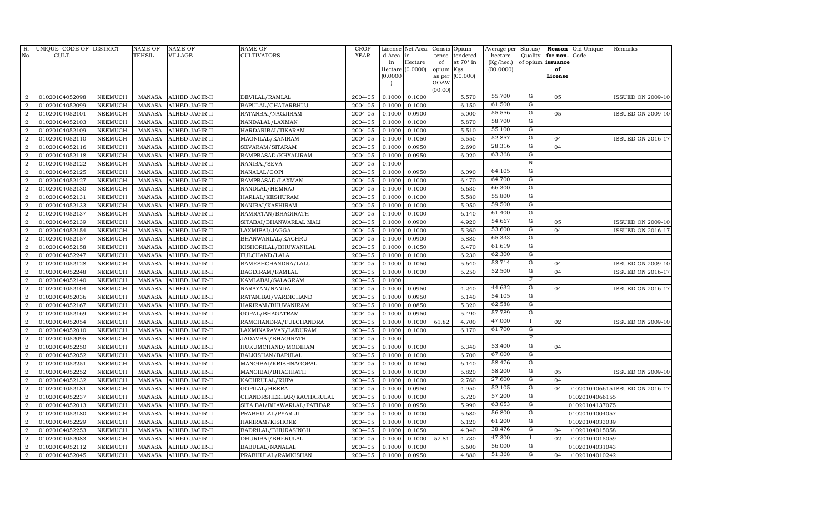| R.<br>No.                        | UNIQUE CODE OF DISTRICT<br>CULT. |                                  | <b>NAME OF</b><br>TEHSIL       | <b>NAME OF</b><br>VILLAGE        | NAME OF<br><b>CULTIVATORS</b> | <b>CROP</b><br>YEAR | License<br>d Area | Net Area<br>in   | Consis<br>tence     | Opium<br>tendered | Average per<br>hectare | Status/<br>Quality      | for non-          | Reason Old Unique<br>Code | Remarks                        |
|----------------------------------|----------------------------------|----------------------------------|--------------------------------|----------------------------------|-------------------------------|---------------------|-------------------|------------------|---------------------|-------------------|------------------------|-------------------------|-------------------|---------------------------|--------------------------------|
|                                  |                                  |                                  |                                |                                  |                               |                     | in                | Hectare          | of                  | at 70° in         | (Kg/hec.)              |                         | of opium issuance |                           |                                |
|                                  |                                  |                                  |                                |                                  |                               |                     | (0.0000)          | Hectare (0.0000) | opium Kgs<br>as per | (00.000)          | (00.0000)              |                         | of<br>License     |                           |                                |
|                                  |                                  |                                  |                                |                                  |                               |                     |                   |                  | GOAW                |                   |                        |                         |                   |                           |                                |
|                                  |                                  |                                  |                                |                                  |                               |                     |                   |                  | (00.00)             |                   |                        |                         |                   |                           |                                |
| 2                                | 01020104052098                   | NEEMUCH                          | <b>MANASA</b>                  | ALHED JAGIR-II                   | DEVILAL/RAMLAL                | 2004-05             | 0.1000            | 0.1000           |                     | 5.570             | 55.700                 | G                       | 05                |                           | <b>ISSUED ON 2009-10</b>       |
| $\overline{a}$                   | 01020104052099                   | <b>NEEMUCH</b>                   | <b>MANASA</b>                  | ALHED JAGIR-II                   | BAPULAL/CHATARBHUJ            | 2004-05             | 0.1000            | 0.1000           |                     | 6.150             | 61.500                 | G                       |                   |                           |                                |
| $\overline{2}$                   | 01020104052101                   | <b>NEEMUCH</b>                   | <b>MANASA</b>                  | ALHED JAGIR-II                   | RATANBAI/NAGJIRAM             | 2004-05             | 0.1000            | 0.0900           |                     | 5.000             | 55.556                 | ${\rm G}$               | 05                |                           | <b>ISSUED ON 2009-10</b>       |
| $\overline{a}$                   | 01020104052103                   | <b>NEEMUCH</b>                   | <b>MANASA</b>                  | ALHED JAGIR-II                   | NANDALAL/LAXMAN               | 2004-05             | 0.1000            | 0.1000           |                     | 5.870             | 58.700                 | G<br>$\overline{G}$     |                   |                           |                                |
| $\overline{2}$                   | 01020104052109                   | <b>NEEMUCH</b>                   | <b>MANASA</b>                  | ALHED JAGIR-II                   | HARDARIBAI/TIKARAM            | 2004-05             | 0.1000            | 0.1000           |                     | 5.510             | 55.100<br>52.857       | G                       |                   |                           |                                |
| $\boldsymbol{2}$<br>2            | 01020104052110                   | <b>NEEMUCH</b>                   | <b>MANASA</b>                  | ALHED JAGIR-II                   | MAGNILAL/KANIRAM              | 2004-05             | 0.1000            | 0.1050           |                     | 5.550             | 28.316                 | G                       | 04<br>04          |                           | ISSUED ON 2016-17              |
|                                  | 01020104052116<br>01020104052118 | <b>NEEMUCH</b><br><b>NEEMUCH</b> | <b>MANASA</b><br><b>MANASA</b> | ALHED JAGIR-II                   | SEVARAM/SITARAM               | 2004-05<br>2004-05  | 0.1000<br>0.1000  | 0.0950           |                     | 2.690<br>6.020    | 63.368                 | G                       |                   |                           |                                |
| $\overline{2}$<br>$\overline{2}$ | 01020104052122                   | NEEMUCH                          | <b>MANASA</b>                  | ALHED JAGIR-II                   | RAMPRASAD/KHYALIRAM           | 2004-05             | 0.1000            | 0.0950           |                     |                   |                        | $\overline{\text{N}}$   |                   |                           |                                |
| $\overline{2}$                   | 01020104052125                   | <b>NEEMUCH</b>                   | <b>MANASA</b>                  | ALHED JAGIR-II<br>ALHED JAGIR-II | NANIBAI/SEVA<br>NANALAL/GOPI  | 2004-05             | 0.1000            | 0.0950           |                     | 6.090             | 64.105                 | $\mathbf G$             |                   |                           |                                |
| $\overline{2}$                   | 01020104052127                   | <b>NEEMUCH</b>                   | <b>MANASA</b>                  | ALHED JAGIR-II                   | RAMPRASAD/LAXMAN              | 2004-05             | 0.1000            | 0.1000           |                     | 6.470             | 64.700                 | $\overline{G}$          |                   |                           |                                |
| $\overline{2}$                   | 01020104052130                   | <b>NEEMUCH</b>                   | <b>MANASA</b>                  | ALHED JAGIR-II                   | NANDLAL/HEMRAJ                | 2004-05             | 0.1000            | 0.1000           |                     | 6.630             | 66.300                 | ${\rm G}$               |                   |                           |                                |
| $\overline{2}$                   | 01020104052131                   | <b>NEEMUCH</b>                   | <b>MANASA</b>                  | ALHED JAGIR-II                   | HARLAL/KESHURAM               | 2004-05             | 0.1000            | 0.1000           |                     | 5.580             | 55.800                 | G                       |                   |                           |                                |
| $\overline{2}$                   | 01020104052133                   | <b>NEEMUCH</b>                   | <b>MANASA</b>                  | ALHED JAGIR-II                   | NANIBAI/KASHIRAM              | 2004-05             | 0.1000            | 0.1000           |                     | 5.950             | 59.500                 | G                       |                   |                           |                                |
| $\overline{2}$                   | 01020104052137                   | <b>NEEMUCH</b>                   | <b>MANASA</b>                  | ALHED JAGIR-II                   | RAMRATAN/BHAGIRATH            | 2004-05             | 0.1000            | 0.1000           |                     | 6.140             | 61.400                 | G                       |                   |                           |                                |
| $\overline{2}$                   | 01020104052139                   | <b>NEEMUCH</b>                   | <b>MANASA</b>                  | ALHED JAGIR-II                   | SITABAI/BHANWARLAL MALI       | 2004-05             | 0.1000            | 0.0900           |                     | 4.920             | 54.667                 | G                       | 05                |                           | <b>ISSUED ON 2009-10</b>       |
| $\overline{a}$                   | 01020104052154                   | <b>NEEMUCH</b>                   | <b>MANASA</b>                  | ALHED JAGIR-II                   | LAXMIBAI/JAGGA                | 2004-05             | 0.1000            | 0.1000           |                     | 5.360             | 53.600                 | $\overline{G}$          | 04                |                           | ISSUED ON 2016-17              |
| $\overline{2}$                   | 01020104052157                   | <b>NEEMUCH</b>                   | <b>MANASA</b>                  | ALHED JAGIR-II                   | BHANWARLAL/KACHRU             | 2004-05             | 0.1000            | 0.0900           |                     | 5.880             | 65.333                 | G                       |                   |                           |                                |
| $\overline{2}$                   | 01020104052158                   | <b>NEEMUCH</b>                   | <b>MANASA</b>                  | ALHED JAGIR-II                   | KISHORILAL/BHUWANILAL         | 2004-05             | 0.1000            | 0.1050           |                     | 6.470             | 61.619                 | $\overline{G}$          |                   |                           |                                |
| $\overline{2}$                   | 01020104052247                   | <b>NEEMUCH</b>                   | <b>MANASA</b>                  | ALHED JAGIR-II                   | FULCHAND/LALA                 | 2004-05             | 0.1000            | 0.1000           |                     | 6.230             | 62.300                 | $\overline{G}$          |                   |                           |                                |
| $\overline{2}$                   | 01020104052128                   | <b>NEEMUCH</b>                   | <b>MANASA</b>                  | ALHED JAGIR-II                   | RAMESHCHANDRA/LALU            | 2004-05             | 0.1000            | 0.1050           |                     | 5.640             | 53.714                 | $\overline{G}$          | 04                |                           | <b>ISSUED ON 2009-10</b>       |
| $\overline{2}$                   | 01020104052248                   | <b>NEEMUCH</b>                   | <b>MANASA</b>                  | ALHED JAGIR-II                   | BAGDIRAM/RAMLAL               | 2004-05             | 0.1000            | 0.1000           |                     | 5.250             | 52.500                 | G                       | 04                |                           | ISSUED ON 2016-17              |
| $\overline{2}$                   | 01020104052140                   | <b>NEEMUCH</b>                   | <b>MANASA</b>                  | ALHED JAGIR-II                   | KAMLABAI/SALAGRAM             | 2004-05             | 0.1000            |                  |                     |                   |                        | $\overline{\mathrm{F}}$ |                   |                           |                                |
| $\overline{2}$                   | 01020104052104                   | <b>NEEMUCH</b>                   | <b>MANASA</b>                  | ALHED JAGIR-II                   | NARAYAN/NANDA                 | 2004-05             | 0.1000            | 0.0950           |                     | 4.240             | 44.632                 | G                       | 04                |                           | <b>ISSUED ON 2016-17</b>       |
| $\overline{2}$                   | 01020104052036                   | <b>NEEMUCH</b>                   | <b>MANASA</b>                  | ALHED JAGIR-II                   | RATANIBAI/VARDICHAND          | 2004-05             | 0.1000            | 0.0950           |                     | 5.140             | 54.105                 | G                       |                   |                           |                                |
| $\overline{2}$                   | 01020104052167                   | <b>NEEMUCH</b>                   | <b>MANASA</b>                  | ALHED JAGIR-II                   | HARIRAM/BHUVANIRAM            | 2004-05             | 0.1000            | 0.0850           |                     | 5.320             | 62.588                 | G                       |                   |                           |                                |
| $\overline{2}$                   | 01020104052169                   | <b>NEEMUCH</b>                   | <b>MANASA</b>                  | ALHED JAGIR-II                   | GOPAL/BHAGATRAM               | 2004-05             | 0.1000            | 0.0950           |                     | 5.490             | 57.789                 | G                       |                   |                           |                                |
| $\overline{2}$                   | 01020104052054                   | <b>NEEMUCH</b>                   | <b>MANASA</b>                  | ALHED JAGIR-II                   | RAMCHANDRA/FULCHANDRA         | 2004-05             | 0.1000            | 0.1000           | 61.82               | 4.700             | 47.000                 | $\mathbf{I}$            | 02                |                           | ISSUED ON 2009-10              |
| $\overline{2}$                   | 01020104052010                   | <b>NEEMUCH</b>                   | <b>MANASA</b>                  | ALHED JAGIR-II                   | LAXMINARAYAN/LADURAM          | 2004-05             | 0.1000            | 0.1000           |                     | 6.170             | 61.700                 | $\mathbf G$             |                   |                           |                                |
| $\overline{2}$                   | 01020104052095                   | <b>NEEMUCH</b>                   | <b>MANASA</b>                  | ALHED JAGIR-II                   | JADAVBAI/BHAGIRATH            | 2004-05             | 0.1000            |                  |                     |                   |                        | $\mathbf F$             |                   |                           |                                |
| $\overline{2}$                   | 01020104052250                   | NEEMUCH                          | <b>MANASA</b>                  | ALHED JAGIR-II                   | HUKUMCHAND/MODIRAM            | 2004-05             | 0.1000            | 0.1000           |                     | 5.340             | 53.400                 | $\overline{G}$          | 04                |                           |                                |
| $\overline{2}$                   | 01020104052052                   | <b>NEEMUCH</b>                   | <b>MANASA</b>                  | ALHED JAGIR-II                   | BALKISHAN/BAPULAL             | 2004-05             | 0.1000            | 0.1000           |                     | 6.700             | 67.000                 | $\overline{G}$          |                   |                           |                                |
| $\overline{2}$                   | 01020104052251                   | NEEMUCH                          | <b>MANASA</b>                  | ALHED JAGIR-II                   | MANGIBAI/KRISHNAGOPAL         | 2004-05             | 0.1000            | 0.1050           |                     | 6.140             | 58.476                 | $\overline{G}$          |                   |                           |                                |
| $\overline{2}$                   | 01020104052252                   | <b>NEEMUCH</b>                   | <b>MANASA</b>                  | ALHED JAGIR-II                   | MANGIBAI/BHAGIRATH            | 2004-05             | 0.1000            | 0.1000           |                     | 5.820             | 58.200                 | G                       | 05                |                           | ISSUED ON 2009-10              |
| $\overline{2}$                   | 01020104052132                   | <b>NEEMUCH</b>                   | <b>MANASA</b>                  | ALHED JAGIR-II                   | KACHRULAL/RUPA                | 2004-05             | 0.1000            | 0.1000           |                     | 2.760             | 27.600                 | G                       | 04                |                           |                                |
| $\overline{2}$                   | 01020104052181                   | <b>NEEMUCH</b>                   | <b>MANASA</b>                  | ALHED JAGIR-II                   | GOPILAL/HEERA                 | 2004-05             | 0.1000            | 0.0950           |                     | 4.950             | 52.105                 | $\mathbf G$             | 04                |                           | 102010406615 ISSUED ON 2016-17 |
| $\overline{2}$                   | 01020104052237                   | <b>NEEMUCH</b>                   | <b>MANASA</b>                  | ALHED JAGIR-II                   | CHANDRSHEKHAR/KACHARULAL      | 2004-05             | 0.1000            | 0.1000           |                     | 5.720             | 57.200                 | $\mathbf G$             |                   | 01020104066155            |                                |
| $\overline{2}$                   | 01020104052013                   | <b>NEEMUCH</b>                   | <b>MANASA</b>                  | ALHED JAGIR-II                   | SITA BAI/BHAWARLAL/PATIDAR    | 2004-05             | 0.1000            | 0.0950           |                     | 5.990             | 63.053                 | G                       |                   | 01020104137075            |                                |
| $\overline{2}$                   | 01020104052180                   | <b>NEEMUCH</b>                   | <b>MANASA</b>                  | ALHED JAGIR-II                   | PRABHULAL/PYAR JI             | 2004-05             | 0.1000            | 0.1000           |                     | 5.680             | 56.800                 | ${\rm G}$               |                   | 01020104004057            |                                |
| $\overline{2}$                   | 01020104052229                   | <b>NEEMUCH</b>                   | <b>MANASA</b>                  | ALHED JAGIR-II                   | HARIRAM/KISHORE               | 2004-05             | 0.1000            | 0.1000           |                     | 6.120             | 61.200                 | G                       |                   | 01020104033039            |                                |
| $\overline{2}$                   | 01020104052253                   | <b>NEEMUCH</b>                   | <b>MANASA</b>                  | ALHED JAGIR-II                   | BADRILAL/BHURASINGH           | 2004-05             | 0.1000            | 0.1050           |                     | 4.040             | 38.476                 | G                       | 04                | 1020104015058             |                                |
| $\overline{2}$                   | 01020104052083                   | <b>NEEMUCH</b>                   | <b>MANASA</b>                  | ALHED JAGIR-II                   | DHURIBAI/BHERULAL             | 2004-05             | 0.1000            | 0.1000           | 52.81               | 4.730             | 47.300                 |                         | 02                | 1020104015059             |                                |
| $\overline{2}$                   | 01020104052112                   | <b>NEEMUCH</b>                   | <b>MANASA</b>                  | ALHED JAGIR-II                   | BABULAL/NANALAL               | 2004-05             | 0.1000            | 0.1000           |                     | 5.600             | 56.000                 | G                       |                   | 01020104031043            |                                |
| $\overline{2}$                   | 01020104052045                   | <b>NEEMUCH</b>                   | MANASA                         | ALHED JAGIR-II                   | PRABHULAL/RAMKISHAN           | 2004-05             | 0.1000            | 0.0950           |                     | 4.880             | 51.368                 | G                       | 04                | 1020104010242             |                                |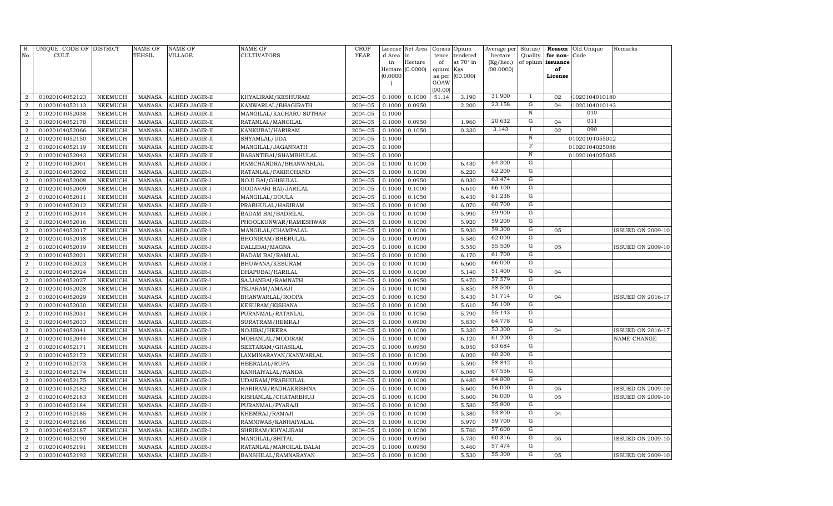| R.<br>No.                          | UNIQUE CODE OF DISTRICT<br>CULT. |                                  | <b>NAME OF</b><br><b>TEHSIL</b> | <b>NAME OF</b><br><b>VILLAGE</b> | <b>NAME OF</b><br><b>CULTIVATORS</b> | <b>CROP</b><br>YEAR | License<br>d Area<br>in<br>(0.0000)<br>$\overline{ }$ | Net Area<br>in<br>Hectare<br>Hectare (0.0000) | Consis Opium<br>tence<br>of<br>opium Kgs<br>as per<br>GOAW | tendered<br>at 70° in<br>(00.000) | Average per Status/<br>hectare<br>(Kg/hec.)<br>(00.0000) | Quality                 | for non-<br>of opium issuance<br>of<br>License | Reason Old Unique<br>Code | Remarks                  |
|------------------------------------|----------------------------------|----------------------------------|---------------------------------|----------------------------------|--------------------------------------|---------------------|-------------------------------------------------------|-----------------------------------------------|------------------------------------------------------------|-----------------------------------|----------------------------------------------------------|-------------------------|------------------------------------------------|---------------------------|--------------------------|
|                                    |                                  |                                  |                                 |                                  |                                      |                     |                                                       |                                               | (00.00)                                                    |                                   | 31.900                                                   |                         |                                                |                           |                          |
| $\overline{2}$                     | 01020104052123                   | <b>NEEMUCH</b>                   | <b>MANASA</b>                   | ALHED JAGIR-II                   | KHYALIRAM/KESHURAM                   | 2004-05             | 0.1000                                                | 0.1000                                        | 51.14                                                      | 3.190                             | 23.158                                                   | $\bf{I}$<br>G           | 02                                             | 1020104010180             |                          |
| $\overline{2}$                     | 01020104052113                   | <b>NEEMUCH</b>                   | <b>MANASA</b>                   | ALHED JAGIR-II                   | KANWARLAL/BHAGIRATH                  | 2004-05             | 0.1000                                                | 0.0950                                        |                                                            | 2.200                             |                                                          | $\overline{\text{N}}$   | 04                                             | 1020104010143<br>010      |                          |
| $\overline{2}$                     | 01020104052038                   | <b>NEEMUCH</b>                   | <b>MANASA</b>                   | ALHED JAGIR-II                   | MANGILAL/KACHARU SUTHAR              | 2004-05             | 0.1000                                                |                                               |                                                            |                                   | 20.632                                                   | G                       | 04                                             | 011                       |                          |
| $\overline{2}$                     | 01020104052178                   | <b>NEEMUCH</b>                   | <b>MANASA</b>                   | ALHED JAGIR-II                   | RATANLAL/MANGILAL                    | 2004-05             | 0.1000                                                | 0.0950                                        |                                                            | 1.960                             | 3.143                                                    | $\mathbf I$             | 02                                             | 090                       |                          |
| $\overline{a}$<br>$\boldsymbol{2}$ | 01020104052066<br>01020104052150 | <b>NEEMUCH</b><br><b>NEEMUCH</b> | <b>MANASA</b><br><b>MANASA</b>  | ALHED JAGIR-II<br>ALHED JAGIR-II | KANKUBAI/HARIRAM                     | 2004-05<br>2004-05  | 0.1000<br>0.1000                                      | 0.1050                                        |                                                            | 0.330                             |                                                          | $\overline{N}$          |                                                | 01020104055012            |                          |
| $\overline{2}$                     | 01020104052119                   | <b>NEEMUCH</b>                   | <b>MANASA</b>                   | ALHED JAGIR-II                   | SHYAMLAL/UDA<br>MANGILAL/JAGANNATH   | 2004-05             | 0.1000                                                |                                               |                                                            |                                   |                                                          | $\overline{\mathrm{F}}$ |                                                | 01020104025088            |                          |
| $\overline{2}$                     | 01020104052043                   | <b>NEEMUCH</b>                   | <b>MANASA</b>                   | ALHED JAGIR-II                   | BASANTIBAI/SHAMBHULAL                | 2004-05             | 0.1000                                                |                                               |                                                            |                                   |                                                          | $\, {\rm N}$            |                                                | 01020104025085            |                          |
| $\overline{2}$                     | 01020104052001                   | <b>NEEMUCH</b>                   | <b>MANASA</b>                   | ALHED JAGIR-I                    | RAMCHANDRA/BHANWARLAL                | 2004-05             | 0.1000                                                | 0.1000                                        |                                                            | 6.430                             | 64.300                                                   | G                       |                                                |                           |                          |
| $\overline{2}$                     | 01020104052002                   | <b>NEEMUCH</b>                   | <b>MANASA</b>                   | ALHED JAGIR-I                    | RATANLAL/FAKIRCHAND                  | 2004-05             | 0.1000                                                | 0.1000                                        |                                                            | 6.220                             | 62.200                                                   | G                       |                                                |                           |                          |
| $\overline{2}$                     | 01020104052008                   | <b>NEEMUCH</b>                   | <b>MANASA</b>                   | ALHED JAGIR-I                    | NOJI BAI/GHISULAL                    | 2004-05             | 0.1000                                                | 0.0950                                        |                                                            | 6.030                             | 63.474                                                   | G                       |                                                |                           |                          |
| $\boldsymbol{2}$                   | 01020104052009                   | <b>NEEMUCH</b>                   | <b>MANASA</b>                   | ALHED JAGIR-I                    | GODAVARI BAI/JARILAL                 | 2004-05             | 0.1000                                                | 0.1000                                        |                                                            | 6.610                             | 66.100                                                   | G                       |                                                |                           |                          |
| $\overline{2}$                     | 01020104052011                   | <b>NEEMUCH</b>                   | <b>MANASA</b>                   | ALHED JAGIR-I                    | MANGILAL/DOULA                       | 2004-05             | 0.1000                                                | 0.1050                                        |                                                            | 6.430                             | 61.238                                                   | G                       |                                                |                           |                          |
| $\boldsymbol{2}$                   | 01020104052012                   | <b>NEEMUCH</b>                   | <b>MANASA</b>                   | ALHED JAGIR-I                    | PRABHULAL/HARIRAM                    | 2004-05             | 0.1000                                                | 0.1000                                        |                                                            | 6.070                             | 60.700                                                   | G                       |                                                |                           |                          |
| $\overline{2}$                     | 01020104052014                   | NEEMUCH                          | <b>MANASA</b>                   | ALHED JAGIR-I                    | <b>BADAM BAI/BADRILAL</b>            | 2004-05             | 0.1000                                                | 0.1000                                        |                                                            | 5.990                             | 59.900                                                   | G                       |                                                |                           |                          |
| $\boldsymbol{2}$                   | 01020104052016                   | <b>NEEMUCH</b>                   | <b>MANASA</b>                   | ALHED JAGIR-I                    | PHOOLKUNWAR/RAMESHWAR                | 2004-05             | 0.1000                                                | 0.1000                                        |                                                            | 5.920                             | 59.200                                                   | G                       |                                                |                           |                          |
| $\overline{2}$                     | 01020104052017                   | NEEMUCH                          | <b>MANASA</b>                   | ALHED JAGIR-I                    | MANGILAL/CHAMPALAL                   | 2004-05             | 0.1000                                                | 0.1000                                        |                                                            | 5.930                             | 59.300                                                   | G                       | 05                                             |                           | <b>ISSUED ON 2009-10</b> |
| $\overline{2}$                     | 01020104052018                   | NEEMUCH                          | <b>MANASA</b>                   | ALHED JAGIR-I                    | BHONIRAM/BHERULAL                    | 2004-05             | 0.1000                                                | 0.0900                                        |                                                            | 5.580                             | 62.000                                                   | $\mathbf G$             |                                                |                           |                          |
| $\overline{2}$                     | 01020104052019                   | NEEMUCH                          | <b>MANASA</b>                   | ALHED JAGIR-I                    | DALLIBAI/MAGNA                       | 2004-05             | 0.1000                                                | 0.1000                                        |                                                            | 5.550                             | 55.500                                                   | $\mathbf G$             | 05                                             |                           | ISSUED ON 2009-10        |
| $\overline{2}$                     | 01020104052021                   | <b>NEEMUCH</b>                   | <b>MANASA</b>                   | ALHED JAGIR-I                    | <b>BADAM BAI/RAMLAL</b>              | 2004-05             | 0.1000                                                | 0.1000                                        |                                                            | 6.170                             | 61.700                                                   | $\mathbf G$             |                                                |                           |                          |
| $\overline{2}$                     | 01020104052023                   | NEEMUCH                          | <b>MANASA</b>                   | ALHED JAGIR-I                    | BHUWANA/KESURAM                      | 2004-05             | 0.1000                                                | 0.1000                                        |                                                            | 6.600                             | 66.000                                                   | $\mathbf G$             |                                                |                           |                          |
| $\overline{2}$                     | 01020104052024                   | <b>NEEMUCH</b>                   | <b>MANASA</b>                   | ALHED JAGIR-I                    | DHAPUBAI/HARILAL                     | 2004-05             | 0.1000                                                | 0.1000                                        |                                                            | 5.140                             | 51.400                                                   | G                       | 04                                             |                           |                          |
| $\overline{2}$                     | 01020104052027                   | NEEMUCH                          | <b>MANASA</b>                   | ALHED JAGIR-I                    | SAJJANBAI/RAMNATH                    | 2004-05             | 0.1000                                                | 0.0950                                        |                                                            | 5.470                             | 57.579                                                   | G                       |                                                |                           |                          |
| $\overline{2}$                     | 01020104052028                   | <b>NEEMUCH</b>                   | <b>MANASA</b>                   | ALHED JAGIR-I                    | TEJARAM/AMARJI                       | 2004-05             | 0.1000                                                | 0.1000                                        |                                                            | 5.850                             | 58.500                                                   | G                       |                                                |                           |                          |
| $\overline{2}$                     | 01020104052029                   | <b>NEEMUCH</b>                   | <b>MANASA</b>                   | ALHED JAGIR-I                    | BHANWARLAL/ROOPA                     | 2004-05             | 0.1000                                                | 0.1050                                        |                                                            | 5.430                             | 51.714                                                   | G                       | 04                                             |                           | <b>ISSUED ON 2016-17</b> |
| $\overline{2}$                     | 01020104052030                   | <b>NEEMUCH</b>                   | <b>MANASA</b>                   | ALHED JAGIR-I                    | KESURAM/KISHANA                      | 2004-05             | 0.1000                                                | 0.1000                                        |                                                            | 5.610                             | 56.100                                                   | G                       |                                                |                           |                          |
| $\overline{2}$                     | 01020104052031                   | <b>NEEMUCH</b>                   | <b>MANASA</b>                   | ALHED JAGIR-I                    | PURANMAL/RATANLAL                    | 2004-05             | 0.1000                                                | 0.1050                                        |                                                            | 5.790                             | 55.143                                                   | $\mathbf G$             |                                                |                           |                          |
| $\overline{2}$                     | 01020104052033                   | <b>NEEMUCH</b>                   | <b>MANASA</b>                   | ALHED JAGIR-I                    | SURATRAM/HEMRAJ                      | 2004-05             | 0.1000                                                | 0.0900                                        |                                                            | 5.830                             | 64.778                                                   | $\mathbf G$             |                                                |                           |                          |
| $\overline{2}$                     | 01020104052041                   | <b>NEEMUCH</b>                   | <b>MANASA</b>                   | ALHED JAGIR-I                    | NOJIBAI/HEERA                        | 2004-05             | 0.1000                                                | 0.1000                                        |                                                            | 5.330                             | 53.300                                                   | G                       | 04                                             |                           | <b>ISSUED ON 2016-17</b> |
| $\overline{2}$                     | 01020104052044                   | <b>NEEMUCH</b>                   | <b>MANASA</b>                   | ALHED JAGIR-I                    | MOHANLAL/MODIRAM                     | 2004-05             | 0.1000                                                | 0.1000                                        |                                                            | 6.120                             | 61.200                                                   | G                       |                                                |                           | NAME CHANGE              |
| $\overline{2}$                     | 01020104052171                   | <b>NEEMUCH</b>                   | <b>MANASA</b>                   | ALHED JAGIR-I                    | SEETARAM/GHASILAL                    | 2004-05             | 0.1000                                                | 0.0950                                        |                                                            | 6.050                             | 63.684                                                   | G                       |                                                |                           |                          |
| $\boldsymbol{2}$                   | 01020104052172                   | <b>NEEMUCH</b>                   | <b>MANASA</b>                   | ALHED JAGIR-I                    | LAXMINARAYAN / KANWARLAL             | 2004-05             | 0.1000                                                | 0.1000                                        |                                                            | 6.020                             | 60.200                                                   | G                       |                                                |                           |                          |
| $\overline{2}$                     | 01020104052173                   | <b>NEEMUCH</b>                   | <b>MANASA</b>                   | ALHED JAGIR-I                    | HEERALAL/RUPA                        | 2004-05             | 0.1000                                                | 0.0950                                        |                                                            | 5.590                             | 58.842                                                   | G                       |                                                |                           |                          |
| $\overline{2}$                     | 01020104052174                   | <b>NEEMUCH</b>                   | <b>MANASA</b>                   | ALHED JAGIR-I                    | KANHAIYALAL/NANDA                    | 2004-05             | 0.1000                                                | 0.0900                                        |                                                            | 6.080                             | 67.556                                                   | G                       |                                                |                           |                          |
| $\overline{2}$                     | 01020104052175                   | <b>NEEMUCH</b>                   | <b>MANASA</b>                   | ALHED JAGIR-I                    | UDAIRAM/PRABHULAL                    | 2004-05             | 0.1000                                                | 0.1000                                        |                                                            | 6.480                             | 64.800                                                   | G                       |                                                |                           |                          |
| $\overline{2}$                     | 01020104052182                   | <b>NEEMUCH</b>                   | <b>MANASA</b>                   | ALHED JAGIR-I                    | HARIRAM/RADHAKRISHNA                 | 2004-05             | 0.1000                                                | 0.1000                                        |                                                            | 5.600                             | 56.000                                                   | G                       | 05                                             |                           | <b>ISSUED ON 2009-10</b> |
| $\overline{2}$                     | 01020104052183                   | <b>NEEMUCH</b>                   | <b>MANASA</b>                   | ALHED JAGIR-I                    | KISHANLAL/CHATARBHUJ                 | 2004-05             | 0.1000                                                | 0.1000                                        |                                                            | 5.600                             | 56.000                                                   | G                       | 05                                             |                           | <b>ISSUED ON 2009-10</b> |
| $\boldsymbol{2}$                   | 01020104052184                   | <b>NEEMUCH</b>                   | <b>MANASA</b>                   | ALHED JAGIR-I                    | PURANMAL/PYARAJI                     | 2004-05             | 0.1000                                                | 0.1000                                        |                                                            | 5.580                             | 55.800                                                   | G                       |                                                |                           |                          |
| $\overline{2}$                     | 01020104052185                   | <b>NEEMUCH</b>                   | <b>MANASA</b>                   | ALHED JAGIR-I                    | KHEMRAJ/RAMAJI                       | 2004-05             | 0.1000                                                | 0.1000                                        |                                                            | 5.380                             | 53.800                                                   | $\mathbf G$             | 04                                             |                           |                          |
| $\overline{2}$                     | 01020104052186                   | <b>NEEMUCH</b>                   | <b>MANASA</b>                   | ALHED JAGIR-I                    | RAMNIWAS/KANHAIYALAL                 | 2004-05             | 0.1000                                                | 0.1000                                        |                                                            | 5.970                             | 59.700                                                   | G                       |                                                |                           |                          |
| $\overline{2}$                     | 01020104052187                   | <b>NEEMUCH</b>                   | <b>MANASA</b>                   | ALHED JAGIR-I                    | SHRIRAM/KHYALIRAM                    | 2004-05             | 0.1000                                                | 0.1000                                        |                                                            | 5.760                             | 57.600                                                   | G                       |                                                |                           |                          |
| $\overline{2}$                     | 01020104052190                   | <b>NEEMUCH</b>                   | <b>MANASA</b>                   | ALHED JAGIR-I                    | MANGILAL/SHITAL                      | 2004-05             | 0.1000                                                | 0.0950                                        |                                                            | 5.730                             | 60.316                                                   | G                       | 05                                             |                           | ISSUED ON 2009-10        |
| $\overline{2}$                     | 01020104052191                   | <b>NEEMUCH</b>                   | <b>MANASA</b>                   | ALHED JAGIR-I                    | RATANLAL/MANGILAL BALAI              | 2004-05             | 0.1000                                                | 0.0950                                        |                                                            | 5.460                             | 57.474                                                   | G                       |                                                |                           |                          |
| $\boldsymbol{2}$                   | 01020104052192                   | <b>NEEMUCH</b>                   | <b>MANASA</b>                   | ALHED JAGIR-I                    | BANSHILAL/RAMNARAYAN                 | 2004-05             | 0.1000                                                | 0.1000                                        |                                                            | 5.530                             | 55.300                                                   | G                       | 05                                             |                           | <b>ISSUED ON 2009-10</b> |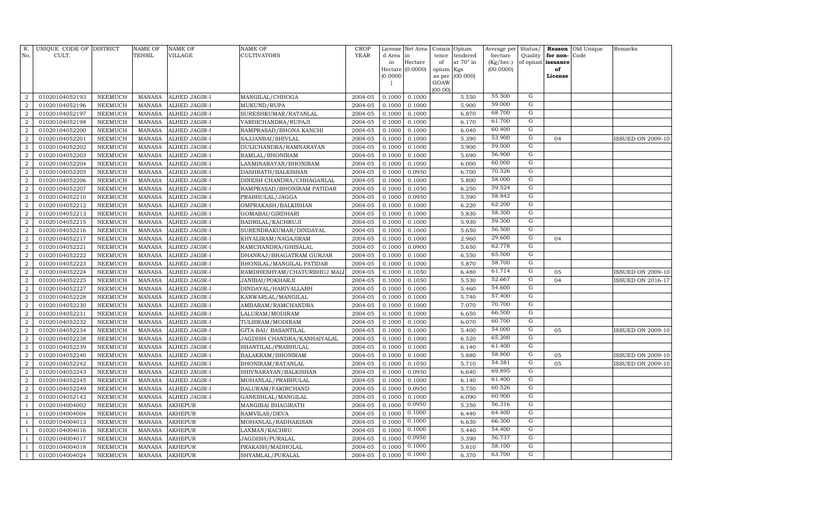| R.               | UNIQUE CODE OF DISTRICT<br>CULT. |                | NAME OF<br><b>TEHSIL</b> | <b>NAME OF</b><br>VILLAGE | <b>NAME OF</b><br>CULTIVATORS | CROP<br><b>YEAR</b> |              | License Net Area |             | Consis Opium          | Average per          | Status/             |                      | <b>Reason</b> Old Unique | Remarks                  |
|------------------|----------------------------------|----------------|--------------------------|---------------------------|-------------------------------|---------------------|--------------|------------------|-------------|-----------------------|----------------------|---------------------|----------------------|--------------------------|--------------------------|
| No.              |                                  |                |                          |                           |                               |                     | d Area<br>in | in<br>Hectare    | tence<br>of | tendered<br>at 70° in | hectare<br>(Kg/hec.) | Quality<br>of opium | for non-<br>issuance | Code                     |                          |
|                  |                                  |                |                          |                           |                               |                     |              | Hectare (0.0000) | opium Kgs   |                       | (00.0000)            |                     | of                   |                          |                          |
|                  |                                  |                |                          |                           |                               |                     | (0.0000)     |                  | as per      | (00.000)              |                      |                     | License              |                          |                          |
|                  |                                  |                |                          |                           |                               |                     |              |                  | GOAW        |                       |                      |                     |                      |                          |                          |
| $\overline{2}$   | 01020104052193                   | NEEMUCH        | <b>MANASA</b>            | ALHED JAGIR-I             | MANGILAL/CHHOGA               | 2004-05             | 0.1000       | 0.1000           | (00.00)     | 5.550                 | 55.500               | G                   |                      |                          |                          |
| $\overline{2}$   | 01020104052196                   | NEEMUCH        | <b>MANASA</b>            | ALHED JAGIR-I             | MUKUND/RUPA                   | 2004-05             | 0.1000       | 0.1000           |             | 5.900                 | 59.000               | G                   |                      |                          |                          |
| $\overline{2}$   | 01020104052197                   | NEEMUCH        | <b>MANASA</b>            | ALHED JAGIR-I             | SURESHKUMAR/RATANLAL          | 2004-05             | 0.1000       | 0.1000           |             | 6.870                 | 68.700               | G                   |                      |                          |                          |
| $\overline{2}$   | 01020104052198                   | <b>NEEMUCH</b> | <b>MANASA</b>            | ALHED JAGIR-I             | VARDICHANDRA/RUPAJI           | 2004-05             | 0.1000       | 0.1000           |             | 6.170                 | 61.700               | G                   |                      |                          |                          |
| $\overline{2}$   | 01020104052200                   | <b>NEEMUCH</b> | <b>MANASA</b>            | ALHED JAGIR-I             | RAMPRASAD/BHONA KANCHI        | 2004-05             | 0.1000       | 0.1000           |             | 6.040                 | 60.400               | G                   |                      |                          |                          |
| $\overline{2}$   | 01020104052201                   | <b>NEEMUCH</b> | <b>MANASA</b>            | ALHED JAGIR-I             | SAJJANBAI/SHIVLAL             | 2004-05             | 0.1000       | 0.1000           |             | 5.390                 | 53.900               | $\overline{G}$      | 04                   |                          | ISSUED ON 2009-10        |
| $\overline{2}$   | 01020104052202                   | <b>NEEMUCH</b> | <b>MANASA</b>            | ALHED JAGIR-I             | DULICHANDRA/RAMNARAYAN        | 2004-05             | 0.1000       | 0.1000           |             | 5.900                 | 59.000               | G                   |                      |                          |                          |
| $\overline{2}$   | 01020104052203                   | <b>NEEMUCH</b> | <b>MANASA</b>            | ALHED JAGIR-I             | RAMLAL/BHONIRAM               | 2004-05             | 0.1000       | 0.1000           |             | 5.690                 | 56.900               | G                   |                      |                          |                          |
| $\overline{a}$   | 01020104052204                   | NEEMUCH        | <b>MANASA</b>            | ALHED JAGIR-I             | LAXMINARAYAN/BHONIRAM         | 2004-05             | 0.1000       | 0.1000           |             | 6.000                 | 60.000               | ${\rm G}$           |                      |                          |                          |
| $\overline{2}$   | 01020104052205                   | <b>NEEMUCH</b> | <b>MANASA</b>            | ALHED JAGIR-I             | DASHRATH/BALKISHAN            | 2004-05             | 0.1000       | 0.0950           |             | 6.700                 | 70.526               | G                   |                      |                          |                          |
| $\overline{2}$   | 01020104052206                   | <b>NEEMUCH</b> | <b>MANASA</b>            | ALHED JAGIR-I             | DINESH CHANDRA/CHHAGANLAL     | 2004-05             | 0.1000       | 0.1000           |             | 5.800                 | 58.000               | G                   |                      |                          |                          |
| $\overline{2}$   | 01020104052207                   | <b>NEEMUCH</b> | <b>MANASA</b>            | ALHED JAGIR-I             | RAMPRASAD/BHONIRAM PATIDAR    | 2004-05             | 0.1000       | 0.1050           |             | 6.250                 | 59.524               | G                   |                      |                          |                          |
| $\overline{a}$   | 01020104052210                   | <b>NEEMUCH</b> | <b>MANASA</b>            | ALHED JAGIR-I             | PRABHULAL/JAGGA               | 2004-05             | 0.1000       | 0.0950           |             | 5.590                 | 58.842               | G                   |                      |                          |                          |
| $\overline{2}$   | 01020104052212                   | <b>NEEMUCH</b> | <b>MANASA</b>            | ALHED JAGIR-I             | OMPRAKASH/BALKISHAN           | 2004-05             | 0.1000       | 0.1000           |             | 6.220                 | 62.200               | G                   |                      |                          |                          |
| 2                | 01020104052213                   | <b>NEEMUCH</b> | <b>MANASA</b>            | ALHED JAGIR-I             | GOMABAI/GIRDHARI              | 2004-05             | 0.1000       | 0.1000           |             | 5.830                 | 58.300               | G                   |                      |                          |                          |
| $\overline{2}$   | 01020104052215                   | <b>NEEMUCH</b> | <b>MANASA</b>            | ALHED JAGIR-I             | BADRILAL/KACHRUJI             | 2004-05             | 0.1000       | 0.1000           |             | 5.930                 | 59.300               | G                   |                      |                          |                          |
| $\overline{a}$   | 01020104052216                   | NEEMUCH        | <b>MANASA</b>            | ALHED JAGIR-I             | SURENDRAKUMAR/DINDAYAL        | 2004-05             | 0.1000       | 0.1000           |             | 5.650                 | 56.500               | G                   |                      |                          |                          |
| $\overline{2}$   | 01020104052217                   | <b>NEEMUCH</b> | <b>MANASA</b>            | ALHED JAGIR-I             | KHYALIRAM/NAGAJIRAM           | 2004-05             | 0.1000       | 0.1000           |             | 2.960                 | 29.600               | G                   | 04                   |                          |                          |
| $\boldsymbol{2}$ | 01020104052221                   | <b>NEEMUCH</b> | <b>MANASA</b>            | ALHED JAGIR-I             | RAMCHANDRA/GHISALAL           | 2004-05             | 0.1000       | 0.0900           |             | 5.650                 | 62.778               | G                   |                      |                          |                          |
| $\boldsymbol{2}$ | 01020104052222                   | <b>NEEMUCH</b> | <b>MANASA</b>            | ALHED JAGIR-I             | DHANRAJ/BHAGATRAM GURJAR      | 2004-05             | 0.1000       | 0.1000           |             | 6.550                 | 65.500               | G                   |                      |                          |                          |
| $\overline{a}$   | 01020104052223                   | <b>NEEMUCH</b> | <b>MANASA</b>            | ALHED JAGIR-I             | BHONILAL/MANGILAL PATIDAR     | 2004-05             | 0.1000       | 0.1000           |             | 5.870                 | 58.700               | $\overline{G}$      |                      |                          |                          |
| $\overline{2}$   | 01020104052224                   | <b>NEEMUCH</b> | MANASA                   | ALHED JAGIR-I             | RAMDHESHYAM/CHATURBHUJ MALI   | 2004-05             | 0.1000       | 0.1050           |             | 6.480                 | 61.714               | G                   | 05                   |                          | <b>ISSUED ON 2009-10</b> |
| $\overline{2}$   | 01020104052225                   | NEEMUCH        | <b>MANASA</b>            | ALHED JAGIR-I             | JANIBAI/POKHARJI              | 2004-05             | 0.1000       | 0.1050           |             | 5.530                 | 52.667               | G                   | 04                   |                          | <b>ISSUED ON 2016-17</b> |
| $\overline{2}$   | 01020104052227                   | <b>NEEMUCH</b> | <b>MANASA</b>            | ALHED JAGIR-I             | DINDAYAL/HARIVALLABH          | 2004-05             | 0.1000       | 0.1000           |             | 5.460                 | 54.600               | G                   |                      |                          |                          |
| $\overline{2}$   | 01020104052228                   | <b>NEEMUCH</b> | <b>MANASA</b>            | ALHED JAGIR-I             | KANWARLAL/MANGILAL            | 2004-05             | 0.1000       | 0.1000           |             | 5.740                 | 57.400               | G                   |                      |                          |                          |
| $\boldsymbol{2}$ | 01020104052230                   | <b>NEEMUCH</b> | <b>MANASA</b>            | ALHED JAGIR-I             | AMBARAM/RAMCHANDRA            | 2004-05             | 0.1000       | 0.1000           |             | 7.070                 | 70.700               | G                   |                      |                          |                          |
| $\boldsymbol{2}$ | 01020104052231                   | <b>NEEMUCH</b> | <b>MANASA</b>            | ALHED JAGIR-I             | LALURAM/MODIRAM               | 2004-05             | 0.1000       | 0.1000           |             | 6.650                 | 66.500               | G                   |                      |                          |                          |
| $\boldsymbol{2}$ | 01020104052232                   | <b>NEEMUCH</b> | <b>MANASA</b>            | ALHED JAGIR-I             | TULSIRAM/MODIRAM              | 2004-05             | 0.1000       | 0.1000           |             | 6.070                 | 60.700               | G                   |                      |                          |                          |
| $\boldsymbol{2}$ | 01020104052234                   | NEEMUCH        | <b>MANASA</b>            | ALHED JAGIR-I             | <b>GITA BAI/ BASANTILAL</b>   | 2004-05             | 0.1000       | 0.1000           |             | 5.400                 | 54.000               | $\overline{G}$      | 05                   |                          | <b>ISSUED ON 2009-10</b> |
| $\overline{2}$   | 01020104052238                   | <b>NEEMUCH</b> | <b>MANASA</b>            | ALHED JAGIR-I             | JAGDISH CHANDRA/KANHAIYALAL   | 2004-05             | 0.1000       | 0.1000           |             | 6.520                 | 65.200               | G                   |                      |                          |                          |
| $\overline{2}$   | 01020104052239                   | <b>NEEMUCH</b> | <b>MANASA</b>            | ALHED JAGIR-I             | SHANTILAL/PRABHULAL           | 2004-05             | 0.1000       | 0.1000           |             | 6.140                 | 61.400               | G                   |                      |                          |                          |
| $\overline{2}$   | 01020104052240                   | <b>NEEMUCH</b> | <b>MANASA</b>            | ALHED JAGIR-I             | BALAKRAM/BHONIRAM             | 2004-05             | 0.1000       | 0.1000           |             | 5.880                 | 58.800               | $\overline{G}$      | 05                   |                          | <b>ISSUED ON 2009-10</b> |
| $\overline{2}$   | 01020104052242                   | <b>NEEMUCH</b> | <b>MANASA</b>            | ALHED JAGIR-I             | BHONIRAM/RATANLAL             | 2004-05             | 0.1000       | 0.1050           |             | 5.710                 | 54.381               | G                   | 05                   |                          | <b>ISSUED ON 2009-10</b> |
| $\overline{2}$   | 01020104052243                   | <b>NEEMUCH</b> | <b>MANASA</b>            | ALHED JAGIR-I             | SHIVNARAYAN/BALKISHAN         | 2004-05             | 0.1000       | 0.0950           |             | 6.640                 | 69.895               | G                   |                      |                          |                          |
| $\boldsymbol{2}$ | 01020104052245                   | <b>NEEMUCH</b> | <b>MANASA</b>            | ALHED JAGIR-I             | MOHANLAL/PRABHULAL            | 2004-05             | 0.1000       | 0.1000           |             | 6.140                 | 61.400               | G                   |                      |                          |                          |
| $\boldsymbol{2}$ | 01020104052249                   | <b>NEEMUCH</b> | <b>MANASA</b>            | ALHED JAGIR-I             | BALURAM/FAKIRCHAND            | 2004-05             | 0.1000       | 0.0950           |             | 5.750                 | 60.526               | G                   |                      |                          |                          |
| $\overline{2}$   | 01020104052142                   | <b>NEEMUCH</b> | <b>MANASA</b>            | ALHED JAGIR-I             | GANESHLAL/MANGILAL            | 2004-05             | 0.1000       | 0.1000           |             | 6.090                 | 60.900               | $\overline{G}$      |                      |                          |                          |
|                  | 01020104004002                   | <b>NEEMUCH</b> | MANASA                   | AKHEPUR                   | MANGIBAI BHAGIRATH            | 2004-05             | 0.1000       | 0.0950           |             | 5.350                 | 56.316               | G                   |                      |                          |                          |
|                  | 01020104004004                   | NEEMUCH        | <b>MANASA</b>            | <b>AKHEPUR</b>            | RAMVILAS/DEVA                 | 2004-05             | 0.1000       | 0.1000           |             | 6.440                 | 64.400               | G                   |                      |                          |                          |
|                  | 01020104004013                   | <b>NEEMUCH</b> | <b>MANASA</b>            | AKHEPUR                   | MOHANLAL/RADHAKISAN           | 2004-05             | 0.1000       | 0.1000           |             | 6.630                 | 66.300               | G                   |                      |                          |                          |
|                  | 01020104004016                   | <b>NEEMUCH</b> | <b>MANASA</b>            | AKHEPUR                   | LAXMAN/KACHRU                 | 2004-05             | 0.1000       | 0.1000           |             | 5.440                 | 54.400               | G                   |                      |                          |                          |
|                  | 01020104004017                   | <b>NEEMUCH</b> | <b>MANASA</b>            | AKHEPUR                   | JAGDISH/PURALAL               | 2004-05             | 0.1000       | 0.0950           |             | 5.390                 | 56.737               | G                   |                      |                          |                          |
|                  | 01020104004018                   | <b>NEEMUCH</b> | <b>MANASA</b>            | AKHEPUR                   | PRAKASH/MADHOLAL              | 2004-05             | 0.1000       | 0.1000           |             | 5.810                 | 58.100               | G                   |                      |                          |                          |
| $\mathbf{1}$     | 01020104004024                   | NEEMUCH        | <b>MANASA</b>            | <b>AKHEPUR</b>            | SHYAMLAL/PURALAL              | 2004-05             | 0.1000       | 0.1000           |             | 6.370                 | 63.700               | $\mathbf G$         |                      |                          |                          |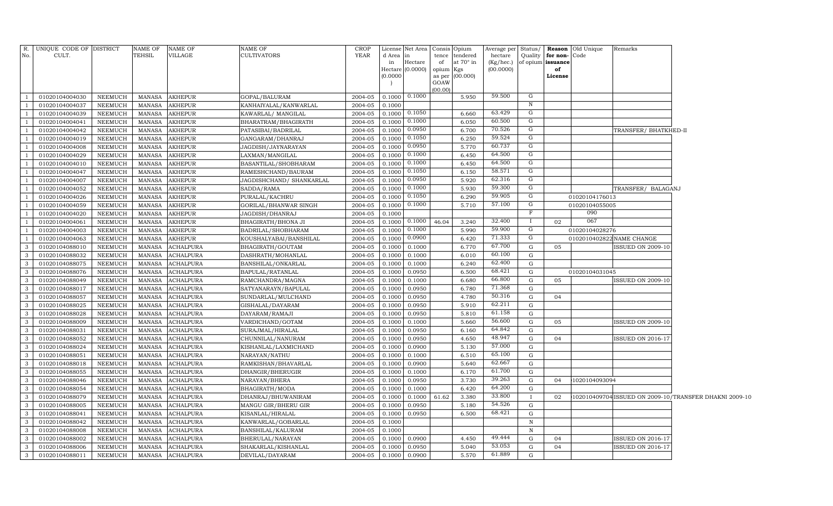| TEHSIL<br><b>YEAR</b><br>No.<br>CULT.<br>VILLAGE<br><b>CULTIVATORS</b><br>d Area<br>tendered<br>hectare<br>Quality<br>for non-Code<br>tence<br>in<br>Hectare<br>at $70^\circ$ in<br>(Kg/hec.)<br>of opium issuance<br>of<br>in<br>(00.0000)<br>$Hectare$ (0.0000)<br>opium<br>of<br>Kgs<br>(0.0000)<br>(00.000)<br>as per<br>License<br>GOAW<br>(00.00)<br>59.500<br>G<br>2004-05<br>0.1000<br>0.1000<br>01020104004030<br>NEEMUCH<br><b>MANASA</b><br><b>AKHEPUR</b><br>GOPAL/BALURAM<br>5.950<br>$\overline{1}$<br>N<br>01020104004037<br>NEEMUCH<br><b>MANASA</b><br>AKHEPUR<br>2004-05<br>0.1000<br>$\overline{1}$<br>KANHAIYALAL/KANWARLAL<br>0.1050<br>63.429<br>01020104004039<br>NEEMUCH<br><b>MANASA</b><br><b>AKHEPUR</b><br>2004-05<br>0.1000<br>6.660<br>G<br>KAWARLAL/ MANGILAL<br>- 1<br>60.500<br>0.1000<br>G<br>01020104004041<br>NEEMUCH<br><b>MANASA</b><br><b>AKHEPUR</b><br>2004-05<br>0.1000<br>6.050<br>$\overline{1}$<br>BHARATRAM/BHAGIRATH<br>70.526<br>0.0950<br>G<br>01020104004042<br>NEEMUCH<br><b>MANASA</b><br><b>AKHEPUR</b><br>2004-05<br>0.1000<br>6.700<br>$\overline{1}$<br>PATASIBAI/BADRILAL<br>TRANSFER/BHATKHED-II<br>59.524<br>0.1050<br>G<br>01020104004019<br>NEEMUCH<br><b>MANASA</b><br><b>AKHEPUR</b><br>2004-05<br>0.1000<br>6.250<br>$\overline{1}$<br>GANGARAM/DHANRAJ<br>60.737<br>0.0950<br>G<br>01020104004008<br>NEEMUCH<br><b>MANASA</b><br><b>AKHEPUR</b><br>JAGDISH/JAYNARAYAN<br>2004-05<br>0.1000<br>5.770<br>$\overline{1}$<br>64.500<br>0.1000<br>G<br>01020104004029<br>NEEMUCH<br><b>MANASA</b><br><b>AKHEPUR</b><br>2004-05<br>0.1000<br>6.450<br>$\overline{1}$<br>LAXMAN/MANGILAL<br>64.500<br>G<br>0.1000<br>01020104004010<br>NEEMUCH<br><b>MANASA</b><br><b>AKHEPUR</b><br>2004-05<br>0.1000<br>6.450<br>$\overline{1}$<br>BASANTILAL/SHOBHARAM<br>58.571<br>0.1050<br>G<br>01020104004047<br>NEEMUCH<br><b>MANASA</b><br>RAMESHCHAND/BAURAM<br>2004-05<br>0.1000<br>6.150<br>$\overline{1}$<br>AKHEPUR<br>62.316<br>G<br>0.0950<br>01020104004007<br>NEEMUCH<br><b>MANASA</b><br><b>AKHEPUR</b><br>JAGDISHCHAND/ SHANKARLAL<br>2004-05<br>0.1000<br>5.920<br><sup>1</sup><br>0.1000<br>59.300<br>G<br>NEEMUCH<br>2004-05<br>0.1000<br>5.930<br>$\overline{1}$<br>01020104004052<br>MANASA<br>AKHEPUR<br>SADDA/RAMA<br>TRANSFER/ BALAGANJ<br>59.905<br>0.1050<br>G<br>01020104004026<br>NEEMUCH<br><b>MANASA</b><br><b>AKHEPUR</b><br>PURALAL/KACHRU<br>2004-05<br>0.1000<br>6.290<br>$\overline{1}$<br>01020104176013<br>57.100<br>0.1000<br>G<br>NEEMUCH<br>MANASA<br>2004-05<br>0.1000<br>5.710<br>01020104055005<br>$\overline{1}$<br>01020104004059<br>AKHEPUR<br>GORILAL/BHANWAR SINGH<br>F<br>090<br>01020104004020<br>NEEMUCH<br><b>MANASA</b><br><b>AKHEPUR</b><br>JAGDISH/DHANRAJ<br>2004-05<br>0.1000<br>$\overline{1}$<br>0.1000<br>32.400<br>067<br>NEEMUCH<br><b>MANASA</b><br>2004-05<br>0.1000<br>46.04<br>3.240<br>Ι.<br>02<br>$\overline{1}$<br>01020104004061<br><b>AKHEPUR</b><br>BHAGIRATH/BHONA JI<br>59.900<br>G<br>0.1000<br>01020104004003<br>NEEMUCH<br>MANASA<br>AKHEPUR<br>BADRILAL/SHOBHARAM<br>2004-05<br>0.1000<br>5.990<br>01020104028276<br>$\overline{1}$<br>0.0900<br>71.333<br>G<br>01020104004063<br>NEEMUCH<br><b>MANASA</b><br>2004-05<br>0.1000<br>6.420<br>0102010402822 NAME CHANGE<br>$\overline{1}$<br>AKHEPUR<br>KOUSHALYABAI/BANSHILAL<br>67.700<br>$\mathbf{3}$<br>01020104088010<br>NEEMUCH<br><b>MANASA</b><br><b>ACHALPURA</b><br>2004-05<br>0.1000<br>6.770<br>G<br>05<br><b>ISSUED ON 2009-10</b><br>BHAGIRATH/GOUTAM<br>0.1000<br>$\mathbf{3}$<br>60.100<br>NEEMUCH<br><b>MANASA</b><br>ACHALPURA<br>2004-05<br>0.1000<br>6.010<br>01020104088032<br>DASHRATH/MOHANLAL<br>0.1000<br>G<br>62.400<br>$\mathbf{3}$<br>01020104088075<br>NEEMUCH<br>MANASA<br><b>ACHALPURA</b><br>BANSHILAL/ONKARLAL<br>2004-05<br>6.240<br>G<br>0.1000<br>0.1000<br>68.421<br>$\mathbf{3}$<br>NEEMUCH<br>MANASA<br><b>ACHALPURA</b><br>BAPULAL/RATANLAL<br>2004-05<br>0.1000<br>0.0950<br>6.500<br>01020104088076<br>G<br>01020104031045<br>66.800<br>$\mathbf{3}$<br><b>MANASA</b><br><b>ACHALPURA</b><br>2004-05<br>6.680<br>G<br>01020104088049<br>NEEMUCH<br>RAMCHANDRA/MAGNA<br>0.1000<br>0.1000<br>05<br><b>ISSUED ON 2009-10</b><br>71.368<br>$\mathbf{3}$<br>NEEMUCH<br><b>MANASA</b><br><b>ACHALPURA</b><br>0.1000<br>0.0950<br>6.780<br>G<br>01020104088017<br>SATYANARAYN/BAPULAL<br>2004-05<br>50.316<br>$\mathbf{3}$<br>01020104088057<br><b>MANASA</b><br>ACHALPURA<br>SUNDARLAL/MULCHAND<br>2004-05<br>4.780<br>NEEMUCH<br>0.1000<br>0.0950<br>G<br>04<br>62.211<br>$\mathbf{3}$<br>5.910<br>01020104088025<br>NEEMUCH<br><b>MANASA</b><br>ACHALPURA<br>GISHALAL/DAYARAM<br>2004-05<br>0.1000<br>0.0950<br>G<br>61.158<br>$\mathbf{3}$<br>2004-05<br>01020104088028<br>NEEMUCH<br>MANASA<br>ACHALPURA<br>DAYARAM/RAMAJI<br>0.1000<br>0.0950<br>5.810<br>G<br>56.600<br>$\overline{\mathbf{3}}$<br>5.660<br>05<br>01020104088009<br>NEEMUCH<br><b>MANASA</b><br><b>ACHALPURA</b><br>VARDICHAND/GOTAM<br>2004-05<br>0.1000<br>0.1000<br>G<br><b>ISSUED ON 2009-10</b><br>64.842<br>$\mathbf{3}$<br>2004-05<br>01020104088031<br>NEEMUCH<br>MANASA<br>ACHALPURA<br>SURAJMAL/HIRALAL<br>0.1000<br>0.0950<br>6.160<br>G<br>48.947<br>$\mathbf{3}$<br>4.650<br>01020104088052<br>NEEMUCH<br><b>MANASA</b><br><b>ACHALPURA</b><br>CHUNNILAL/NANURAM<br>2004-05<br>0.1000<br>0.0950<br>G<br>04<br>ISSUED ON 2016-17<br>57.000<br>$\mathbf{3}$<br>G<br>01020104088024<br>NEEMUCH<br><b>MANASA</b><br><b>ACHALPURA</b><br>KISHANLAL/LAXMICHAND<br>2004-05<br>0.1000<br>0.0900<br>5.130<br>65.100<br>$\mathbf{3}$<br>01020104088051<br>NEEMUCH<br><b>MANASA</b><br>ACHALPURA<br>NARAYAN/NATHU<br>2004-05<br>0.1000<br>0.1000<br>6.510<br>G<br>62.667<br>$\mathbf{3}$<br>01020104088018<br>NEEMUCH<br><b>MANASA</b><br><b>ACHALPURA</b><br>RAMKISHAN/BHAVARLAL<br>2004-05<br>0.1000<br>0.0900<br>5.640<br>G<br>61.700<br>$\mathbf{3}$<br>6.170<br>G<br>01020104088055<br>NEEMUCH<br><b>MANASA</b><br><b>ACHALPURA</b><br>DHANGIR/BHERUGIR<br>2004-05<br>0.1000<br>0.1000<br>39.263<br>$\mathbf{3}$<br>G<br>01020104088046<br>NEEMUCH<br>MANASA<br>ACHALPURA<br>NARAYAN/BHERA<br>2004-05<br>0.1000<br>0.0950<br>3.730<br>04<br>1020104093094<br>64.200<br>$\mathbf{3}$<br>NEEMUCH<br><b>MANASA</b><br>0.1000<br>6.420<br>G<br>01020104088054<br><b>ACHALPURA</b><br>BHAGIRATH/MODA<br>2004-05<br>0.1000<br>33.800<br>$\mathbf{3}$<br>01020104088079<br>NEEMUCH<br><b>MANASA</b><br><b>ACHALPURA</b><br>DHANRAJ/BHUWANIRAM<br>2004-05<br>61.62<br>3.380<br>102010409704 ISSUED ON 2009-10/TRANSFER DHAKNI 2009-10<br>0.1000<br>0.1000<br>$\mathbf{I}$<br>02<br>54.526<br>$\mathbf{3}$<br>NEEMUCH<br><b>MANASA</b><br><b>ACHALPURA</b><br>MANGU GIR/BHERU GIR<br>5.180<br>G<br>01020104088005<br>2004-05<br>0.1000<br>0.0950<br>68.421<br>$\overline{\mathbf{3}}$<br><b>MANASA</b><br><b>ACHALPURA</b><br>2004-05<br>$\mathbf G$<br>01020104088041<br>NEEMUCH<br>KISANLAL/HIRALAL<br>0.1000<br>0.0950<br>6.500<br>$\mathbf{3}$<br><b>NEEMUCH</b><br><b>MANASA</b><br><b>ACHALPURA</b><br>KANWARLAL/GOBARLAL<br>2004-05<br>0.1000<br>01020104088042<br>N<br>$\mathbf{3}$<br><b>MANASA</b><br><b>ACHALPURA</b><br>BANSHILAL/KALURAM<br>2004-05<br>01020104088008<br><b>NEEMUCH</b><br>0.1000<br>$\, {\bf N}$<br>49.444<br>$\mathbf{3}$<br><b>MANASA</b><br>ACHALPURA<br>4.450<br>01020104088002<br>NEEMUCH<br>BHERULAL/NARAYAN<br>2004-05<br>0.1000<br>0.0900<br>G<br>04<br>ISSUED ON 2016-17<br>53.053<br>$\overline{\mathbf{3}}$<br><b>MANASA</b><br><b>ACHALPURA</b><br>5.040<br>$\mathbf G$<br>ISSUED ON 2016-17<br>01020104088006<br>NEEMUCH<br>SHAKARLAL/KISHANLAL<br>2004-05<br>0.1000<br>0.0950<br>04<br>61.889<br>$\mathbf{3}$<br>NEEMUCH<br><b>MANASA</b><br><b>ACHALPURA</b><br>2004-05<br>0.1000<br>5.570<br>G<br>01020104088011<br>DEVILAL/DAYARAM<br>0.0900 | R. UNIQUE CODE OF DISTRICT | <b>NAME OF</b> | NAME OF | NAME OF | <b>CROP</b> | License Net Area | Consis | Opium | Average per Status/ |  | <b>Reason</b> Old Unique | Remarks |  |
|-------------------------------------------------------------------------------------------------------------------------------------------------------------------------------------------------------------------------------------------------------------------------------------------------------------------------------------------------------------------------------------------------------------------------------------------------------------------------------------------------------------------------------------------------------------------------------------------------------------------------------------------------------------------------------------------------------------------------------------------------------------------------------------------------------------------------------------------------------------------------------------------------------------------------------------------------------------------------------------------------------------------------------------------------------------------------------------------------------------------------------------------------------------------------------------------------------------------------------------------------------------------------------------------------------------------------------------------------------------------------------------------------------------------------------------------------------------------------------------------------------------------------------------------------------------------------------------------------------------------------------------------------------------------------------------------------------------------------------------------------------------------------------------------------------------------------------------------------------------------------------------------------------------------------------------------------------------------------------------------------------------------------------------------------------------------------------------------------------------------------------------------------------------------------------------------------------------------------------------------------------------------------------------------------------------------------------------------------------------------------------------------------------------------------------------------------------------------------------------------------------------------------------------------------------------------------------------------------------------------------------------------------------------------------------------------------------------------------------------------------------------------------------------------------------------------------------------------------------------------------------------------------------------------------------------------------------------------------------------------------------------------------------------------------------------------------------------------------------------------------------------------------------------------------------------------------------------------------------------------------------------------------------------------------------------------------------------------------------------------------------------------------------------------------------------------------------------------------------------------------------------------------------------------------------------------------------------------------------------------------------------------------------------------------------------------------------------------------------------------------------------------------------------------------------------------------------------------------------------------------------------------------------------------------------------------------------------------------------------------------------------------------------------------------------------------------------------------------------------------------------------------------------------------------------------------------------------------------------------------------------------------------------------------------------------------------------------------------------------------------------------------------------------------------------------------------------------------------------------------------------------------------------------------------------------------------------------------------------------------------------------------------------------------------------------------------------------------------------------------------------------------------------------------------------------------------------------------------------------------------------------------------------------------------------------------------------------------------------------------------------------------------------------------------------------------------------------------------------------------------------------------------------------------------------------------------------------------------------------------------------------------------------------------------------------------------------------------------------------------------------------------------------------------------------------------------------------------------------------------------------------------------------------------------------------------------------------------------------------------------------------------------------------------------------------------------------------------------------------------------------------------------------------------------------------------------------------------------------------------------------------------------------------------------------------------------------------------------------------------------------------------------------------------------------------------------------------------------------------------------------------------------------------------------------------------------------------------------------------------------------------------------------------------------------------------------------------------------------------------------------------------------------------------------------------------------------------------------------------------------------------------------------------------------------------------------------------------------------------------------------------------------------------------------------------------------------------------------------------------------------------------------------------------------------------------------------------------------------------------------------------------------------------------------------------------------------------------------------------------------------------------------------------------------------------------------------------------------------------------------------------------------------------------------------------------------------------------------------------------------------------------------------------------------------------------------------------------------------------------------------------------------------------------------------------------------------------------------------------------------------------------------------------------------------------------------------------------------------------------------------------------------------------------------------------------------------------------------------------------------------------------------------------------------------------------------------------------------------------------------------|----------------------------|----------------|---------|---------|-------------|------------------|--------|-------|---------------------|--|--------------------------|---------|--|
|                                                                                                                                                                                                                                                                                                                                                                                                                                                                                                                                                                                                                                                                                                                                                                                                                                                                                                                                                                                                                                                                                                                                                                                                                                                                                                                                                                                                                                                                                                                                                                                                                                                                                                                                                                                                                                                                                                                                                                                                                                                                                                                                                                                                                                                                                                                                                                                                                                                                                                                                                                                                                                                                                                                                                                                                                                                                                                                                                                                                                                                                                                                                                                                                                                                                                                                                                                                                                                                                                                                                                                                                                                                                                                                                                                                                                                                                                                                                                                                                                                                                                                                                                                                                                                                                                                                                                                                                                                                                                                                                                                                                                                                                                                                                                                                                                                                                                                                                                                                                                                                                                                                                                                                                                                                                                                                                                                                                                                                                                                                                                                                                                                                                                                                                                                                                                                                                                                                                                                                                                                                                                                                                                                                                                                                                                                                                                                                                                                                                                                                                                                                                                                                                                                                                                                                                                                                                                                                                                                                                                                                                                                                                                                                                                                                                                                                                                                                                                                                                                                                                                                                                                                                                                                                                                                                                                                                                               |                            |                |         |         |             |                  |        |       |                     |  |                          |         |  |
|                                                                                                                                                                                                                                                                                                                                                                                                                                                                                                                                                                                                                                                                                                                                                                                                                                                                                                                                                                                                                                                                                                                                                                                                                                                                                                                                                                                                                                                                                                                                                                                                                                                                                                                                                                                                                                                                                                                                                                                                                                                                                                                                                                                                                                                                                                                                                                                                                                                                                                                                                                                                                                                                                                                                                                                                                                                                                                                                                                                                                                                                                                                                                                                                                                                                                                                                                                                                                                                                                                                                                                                                                                                                                                                                                                                                                                                                                                                                                                                                                                                                                                                                                                                                                                                                                                                                                                                                                                                                                                                                                                                                                                                                                                                                                                                                                                                                                                                                                                                                                                                                                                                                                                                                                                                                                                                                                                                                                                                                                                                                                                                                                                                                                                                                                                                                                                                                                                                                                                                                                                                                                                                                                                                                                                                                                                                                                                                                                                                                                                                                                                                                                                                                                                                                                                                                                                                                                                                                                                                                                                                                                                                                                                                                                                                                                                                                                                                                                                                                                                                                                                                                                                                                                                                                                                                                                                                                               |                            |                |         |         |             |                  |        |       |                     |  |                          |         |  |
|                                                                                                                                                                                                                                                                                                                                                                                                                                                                                                                                                                                                                                                                                                                                                                                                                                                                                                                                                                                                                                                                                                                                                                                                                                                                                                                                                                                                                                                                                                                                                                                                                                                                                                                                                                                                                                                                                                                                                                                                                                                                                                                                                                                                                                                                                                                                                                                                                                                                                                                                                                                                                                                                                                                                                                                                                                                                                                                                                                                                                                                                                                                                                                                                                                                                                                                                                                                                                                                                                                                                                                                                                                                                                                                                                                                                                                                                                                                                                                                                                                                                                                                                                                                                                                                                                                                                                                                                                                                                                                                                                                                                                                                                                                                                                                                                                                                                                                                                                                                                                                                                                                                                                                                                                                                                                                                                                                                                                                                                                                                                                                                                                                                                                                                                                                                                                                                                                                                                                                                                                                                                                                                                                                                                                                                                                                                                                                                                                                                                                                                                                                                                                                                                                                                                                                                                                                                                                                                                                                                                                                                                                                                                                                                                                                                                                                                                                                                                                                                                                                                                                                                                                                                                                                                                                                                                                                                                               |                            |                |         |         |             |                  |        |       |                     |  |                          |         |  |
|                                                                                                                                                                                                                                                                                                                                                                                                                                                                                                                                                                                                                                                                                                                                                                                                                                                                                                                                                                                                                                                                                                                                                                                                                                                                                                                                                                                                                                                                                                                                                                                                                                                                                                                                                                                                                                                                                                                                                                                                                                                                                                                                                                                                                                                                                                                                                                                                                                                                                                                                                                                                                                                                                                                                                                                                                                                                                                                                                                                                                                                                                                                                                                                                                                                                                                                                                                                                                                                                                                                                                                                                                                                                                                                                                                                                                                                                                                                                                                                                                                                                                                                                                                                                                                                                                                                                                                                                                                                                                                                                                                                                                                                                                                                                                                                                                                                                                                                                                                                                                                                                                                                                                                                                                                                                                                                                                                                                                                                                                                                                                                                                                                                                                                                                                                                                                                                                                                                                                                                                                                                                                                                                                                                                                                                                                                                                                                                                                                                                                                                                                                                                                                                                                                                                                                                                                                                                                                                                                                                                                                                                                                                                                                                                                                                                                                                                                                                                                                                                                                                                                                                                                                                                                                                                                                                                                                                                               |                            |                |         |         |             |                  |        |       |                     |  |                          |         |  |
|                                                                                                                                                                                                                                                                                                                                                                                                                                                                                                                                                                                                                                                                                                                                                                                                                                                                                                                                                                                                                                                                                                                                                                                                                                                                                                                                                                                                                                                                                                                                                                                                                                                                                                                                                                                                                                                                                                                                                                                                                                                                                                                                                                                                                                                                                                                                                                                                                                                                                                                                                                                                                                                                                                                                                                                                                                                                                                                                                                                                                                                                                                                                                                                                                                                                                                                                                                                                                                                                                                                                                                                                                                                                                                                                                                                                                                                                                                                                                                                                                                                                                                                                                                                                                                                                                                                                                                                                                                                                                                                                                                                                                                                                                                                                                                                                                                                                                                                                                                                                                                                                                                                                                                                                                                                                                                                                                                                                                                                                                                                                                                                                                                                                                                                                                                                                                                                                                                                                                                                                                                                                                                                                                                                                                                                                                                                                                                                                                                                                                                                                                                                                                                                                                                                                                                                                                                                                                                                                                                                                                                                                                                                                                                                                                                                                                                                                                                                                                                                                                                                                                                                                                                                                                                                                                                                                                                                                               |                            |                |         |         |             |                  |        |       |                     |  |                          |         |  |
|                                                                                                                                                                                                                                                                                                                                                                                                                                                                                                                                                                                                                                                                                                                                                                                                                                                                                                                                                                                                                                                                                                                                                                                                                                                                                                                                                                                                                                                                                                                                                                                                                                                                                                                                                                                                                                                                                                                                                                                                                                                                                                                                                                                                                                                                                                                                                                                                                                                                                                                                                                                                                                                                                                                                                                                                                                                                                                                                                                                                                                                                                                                                                                                                                                                                                                                                                                                                                                                                                                                                                                                                                                                                                                                                                                                                                                                                                                                                                                                                                                                                                                                                                                                                                                                                                                                                                                                                                                                                                                                                                                                                                                                                                                                                                                                                                                                                                                                                                                                                                                                                                                                                                                                                                                                                                                                                                                                                                                                                                                                                                                                                                                                                                                                                                                                                                                                                                                                                                                                                                                                                                                                                                                                                                                                                                                                                                                                                                                                                                                                                                                                                                                                                                                                                                                                                                                                                                                                                                                                                                                                                                                                                                                                                                                                                                                                                                                                                                                                                                                                                                                                                                                                                                                                                                                                                                                                                               |                            |                |         |         |             |                  |        |       |                     |  |                          |         |  |
|                                                                                                                                                                                                                                                                                                                                                                                                                                                                                                                                                                                                                                                                                                                                                                                                                                                                                                                                                                                                                                                                                                                                                                                                                                                                                                                                                                                                                                                                                                                                                                                                                                                                                                                                                                                                                                                                                                                                                                                                                                                                                                                                                                                                                                                                                                                                                                                                                                                                                                                                                                                                                                                                                                                                                                                                                                                                                                                                                                                                                                                                                                                                                                                                                                                                                                                                                                                                                                                                                                                                                                                                                                                                                                                                                                                                                                                                                                                                                                                                                                                                                                                                                                                                                                                                                                                                                                                                                                                                                                                                                                                                                                                                                                                                                                                                                                                                                                                                                                                                                                                                                                                                                                                                                                                                                                                                                                                                                                                                                                                                                                                                                                                                                                                                                                                                                                                                                                                                                                                                                                                                                                                                                                                                                                                                                                                                                                                                                                                                                                                                                                                                                                                                                                                                                                                                                                                                                                                                                                                                                                                                                                                                                                                                                                                                                                                                                                                                                                                                                                                                                                                                                                                                                                                                                                                                                                                                               |                            |                |         |         |             |                  |        |       |                     |  |                          |         |  |
|                                                                                                                                                                                                                                                                                                                                                                                                                                                                                                                                                                                                                                                                                                                                                                                                                                                                                                                                                                                                                                                                                                                                                                                                                                                                                                                                                                                                                                                                                                                                                                                                                                                                                                                                                                                                                                                                                                                                                                                                                                                                                                                                                                                                                                                                                                                                                                                                                                                                                                                                                                                                                                                                                                                                                                                                                                                                                                                                                                                                                                                                                                                                                                                                                                                                                                                                                                                                                                                                                                                                                                                                                                                                                                                                                                                                                                                                                                                                                                                                                                                                                                                                                                                                                                                                                                                                                                                                                                                                                                                                                                                                                                                                                                                                                                                                                                                                                                                                                                                                                                                                                                                                                                                                                                                                                                                                                                                                                                                                                                                                                                                                                                                                                                                                                                                                                                                                                                                                                                                                                                                                                                                                                                                                                                                                                                                                                                                                                                                                                                                                                                                                                                                                                                                                                                                                                                                                                                                                                                                                                                                                                                                                                                                                                                                                                                                                                                                                                                                                                                                                                                                                                                                                                                                                                                                                                                                                               |                            |                |         |         |             |                  |        |       |                     |  |                          |         |  |
|                                                                                                                                                                                                                                                                                                                                                                                                                                                                                                                                                                                                                                                                                                                                                                                                                                                                                                                                                                                                                                                                                                                                                                                                                                                                                                                                                                                                                                                                                                                                                                                                                                                                                                                                                                                                                                                                                                                                                                                                                                                                                                                                                                                                                                                                                                                                                                                                                                                                                                                                                                                                                                                                                                                                                                                                                                                                                                                                                                                                                                                                                                                                                                                                                                                                                                                                                                                                                                                                                                                                                                                                                                                                                                                                                                                                                                                                                                                                                                                                                                                                                                                                                                                                                                                                                                                                                                                                                                                                                                                                                                                                                                                                                                                                                                                                                                                                                                                                                                                                                                                                                                                                                                                                                                                                                                                                                                                                                                                                                                                                                                                                                                                                                                                                                                                                                                                                                                                                                                                                                                                                                                                                                                                                                                                                                                                                                                                                                                                                                                                                                                                                                                                                                                                                                                                                                                                                                                                                                                                                                                                                                                                                                                                                                                                                                                                                                                                                                                                                                                                                                                                                                                                                                                                                                                                                                                                                               |                            |                |         |         |             |                  |        |       |                     |  |                          |         |  |
|                                                                                                                                                                                                                                                                                                                                                                                                                                                                                                                                                                                                                                                                                                                                                                                                                                                                                                                                                                                                                                                                                                                                                                                                                                                                                                                                                                                                                                                                                                                                                                                                                                                                                                                                                                                                                                                                                                                                                                                                                                                                                                                                                                                                                                                                                                                                                                                                                                                                                                                                                                                                                                                                                                                                                                                                                                                                                                                                                                                                                                                                                                                                                                                                                                                                                                                                                                                                                                                                                                                                                                                                                                                                                                                                                                                                                                                                                                                                                                                                                                                                                                                                                                                                                                                                                                                                                                                                                                                                                                                                                                                                                                                                                                                                                                                                                                                                                                                                                                                                                                                                                                                                                                                                                                                                                                                                                                                                                                                                                                                                                                                                                                                                                                                                                                                                                                                                                                                                                                                                                                                                                                                                                                                                                                                                                                                                                                                                                                                                                                                                                                                                                                                                                                                                                                                                                                                                                                                                                                                                                                                                                                                                                                                                                                                                                                                                                                                                                                                                                                                                                                                                                                                                                                                                                                                                                                                                               |                            |                |         |         |             |                  |        |       |                     |  |                          |         |  |
|                                                                                                                                                                                                                                                                                                                                                                                                                                                                                                                                                                                                                                                                                                                                                                                                                                                                                                                                                                                                                                                                                                                                                                                                                                                                                                                                                                                                                                                                                                                                                                                                                                                                                                                                                                                                                                                                                                                                                                                                                                                                                                                                                                                                                                                                                                                                                                                                                                                                                                                                                                                                                                                                                                                                                                                                                                                                                                                                                                                                                                                                                                                                                                                                                                                                                                                                                                                                                                                                                                                                                                                                                                                                                                                                                                                                                                                                                                                                                                                                                                                                                                                                                                                                                                                                                                                                                                                                                                                                                                                                                                                                                                                                                                                                                                                                                                                                                                                                                                                                                                                                                                                                                                                                                                                                                                                                                                                                                                                                                                                                                                                                                                                                                                                                                                                                                                                                                                                                                                                                                                                                                                                                                                                                                                                                                                                                                                                                                                                                                                                                                                                                                                                                                                                                                                                                                                                                                                                                                                                                                                                                                                                                                                                                                                                                                                                                                                                                                                                                                                                                                                                                                                                                                                                                                                                                                                                                               |                            |                |         |         |             |                  |        |       |                     |  |                          |         |  |
|                                                                                                                                                                                                                                                                                                                                                                                                                                                                                                                                                                                                                                                                                                                                                                                                                                                                                                                                                                                                                                                                                                                                                                                                                                                                                                                                                                                                                                                                                                                                                                                                                                                                                                                                                                                                                                                                                                                                                                                                                                                                                                                                                                                                                                                                                                                                                                                                                                                                                                                                                                                                                                                                                                                                                                                                                                                                                                                                                                                                                                                                                                                                                                                                                                                                                                                                                                                                                                                                                                                                                                                                                                                                                                                                                                                                                                                                                                                                                                                                                                                                                                                                                                                                                                                                                                                                                                                                                                                                                                                                                                                                                                                                                                                                                                                                                                                                                                                                                                                                                                                                                                                                                                                                                                                                                                                                                                                                                                                                                                                                                                                                                                                                                                                                                                                                                                                                                                                                                                                                                                                                                                                                                                                                                                                                                                                                                                                                                                                                                                                                                                                                                                                                                                                                                                                                                                                                                                                                                                                                                                                                                                                                                                                                                                                                                                                                                                                                                                                                                                                                                                                                                                                                                                                                                                                                                                                                               |                            |                |         |         |             |                  |        |       |                     |  |                          |         |  |
|                                                                                                                                                                                                                                                                                                                                                                                                                                                                                                                                                                                                                                                                                                                                                                                                                                                                                                                                                                                                                                                                                                                                                                                                                                                                                                                                                                                                                                                                                                                                                                                                                                                                                                                                                                                                                                                                                                                                                                                                                                                                                                                                                                                                                                                                                                                                                                                                                                                                                                                                                                                                                                                                                                                                                                                                                                                                                                                                                                                                                                                                                                                                                                                                                                                                                                                                                                                                                                                                                                                                                                                                                                                                                                                                                                                                                                                                                                                                                                                                                                                                                                                                                                                                                                                                                                                                                                                                                                                                                                                                                                                                                                                                                                                                                                                                                                                                                                                                                                                                                                                                                                                                                                                                                                                                                                                                                                                                                                                                                                                                                                                                                                                                                                                                                                                                                                                                                                                                                                                                                                                                                                                                                                                                                                                                                                                                                                                                                                                                                                                                                                                                                                                                                                                                                                                                                                                                                                                                                                                                                                                                                                                                                                                                                                                                                                                                                                                                                                                                                                                                                                                                                                                                                                                                                                                                                                                                               |                            |                |         |         |             |                  |        |       |                     |  |                          |         |  |
|                                                                                                                                                                                                                                                                                                                                                                                                                                                                                                                                                                                                                                                                                                                                                                                                                                                                                                                                                                                                                                                                                                                                                                                                                                                                                                                                                                                                                                                                                                                                                                                                                                                                                                                                                                                                                                                                                                                                                                                                                                                                                                                                                                                                                                                                                                                                                                                                                                                                                                                                                                                                                                                                                                                                                                                                                                                                                                                                                                                                                                                                                                                                                                                                                                                                                                                                                                                                                                                                                                                                                                                                                                                                                                                                                                                                                                                                                                                                                                                                                                                                                                                                                                                                                                                                                                                                                                                                                                                                                                                                                                                                                                                                                                                                                                                                                                                                                                                                                                                                                                                                                                                                                                                                                                                                                                                                                                                                                                                                                                                                                                                                                                                                                                                                                                                                                                                                                                                                                                                                                                                                                                                                                                                                                                                                                                                                                                                                                                                                                                                                                                                                                                                                                                                                                                                                                                                                                                                                                                                                                                                                                                                                                                                                                                                                                                                                                                                                                                                                                                                                                                                                                                                                                                                                                                                                                                                                               |                            |                |         |         |             |                  |        |       |                     |  |                          |         |  |
|                                                                                                                                                                                                                                                                                                                                                                                                                                                                                                                                                                                                                                                                                                                                                                                                                                                                                                                                                                                                                                                                                                                                                                                                                                                                                                                                                                                                                                                                                                                                                                                                                                                                                                                                                                                                                                                                                                                                                                                                                                                                                                                                                                                                                                                                                                                                                                                                                                                                                                                                                                                                                                                                                                                                                                                                                                                                                                                                                                                                                                                                                                                                                                                                                                                                                                                                                                                                                                                                                                                                                                                                                                                                                                                                                                                                                                                                                                                                                                                                                                                                                                                                                                                                                                                                                                                                                                                                                                                                                                                                                                                                                                                                                                                                                                                                                                                                                                                                                                                                                                                                                                                                                                                                                                                                                                                                                                                                                                                                                                                                                                                                                                                                                                                                                                                                                                                                                                                                                                                                                                                                                                                                                                                                                                                                                                                                                                                                                                                                                                                                                                                                                                                                                                                                                                                                                                                                                                                                                                                                                                                                                                                                                                                                                                                                                                                                                                                                                                                                                                                                                                                                                                                                                                                                                                                                                                                                               |                            |                |         |         |             |                  |        |       |                     |  |                          |         |  |
|                                                                                                                                                                                                                                                                                                                                                                                                                                                                                                                                                                                                                                                                                                                                                                                                                                                                                                                                                                                                                                                                                                                                                                                                                                                                                                                                                                                                                                                                                                                                                                                                                                                                                                                                                                                                                                                                                                                                                                                                                                                                                                                                                                                                                                                                                                                                                                                                                                                                                                                                                                                                                                                                                                                                                                                                                                                                                                                                                                                                                                                                                                                                                                                                                                                                                                                                                                                                                                                                                                                                                                                                                                                                                                                                                                                                                                                                                                                                                                                                                                                                                                                                                                                                                                                                                                                                                                                                                                                                                                                                                                                                                                                                                                                                                                                                                                                                                                                                                                                                                                                                                                                                                                                                                                                                                                                                                                                                                                                                                                                                                                                                                                                                                                                                                                                                                                                                                                                                                                                                                                                                                                                                                                                                                                                                                                                                                                                                                                                                                                                                                                                                                                                                                                                                                                                                                                                                                                                                                                                                                                                                                                                                                                                                                                                                                                                                                                                                                                                                                                                                                                                                                                                                                                                                                                                                                                                                               |                            |                |         |         |             |                  |        |       |                     |  |                          |         |  |
|                                                                                                                                                                                                                                                                                                                                                                                                                                                                                                                                                                                                                                                                                                                                                                                                                                                                                                                                                                                                                                                                                                                                                                                                                                                                                                                                                                                                                                                                                                                                                                                                                                                                                                                                                                                                                                                                                                                                                                                                                                                                                                                                                                                                                                                                                                                                                                                                                                                                                                                                                                                                                                                                                                                                                                                                                                                                                                                                                                                                                                                                                                                                                                                                                                                                                                                                                                                                                                                                                                                                                                                                                                                                                                                                                                                                                                                                                                                                                                                                                                                                                                                                                                                                                                                                                                                                                                                                                                                                                                                                                                                                                                                                                                                                                                                                                                                                                                                                                                                                                                                                                                                                                                                                                                                                                                                                                                                                                                                                                                                                                                                                                                                                                                                                                                                                                                                                                                                                                                                                                                                                                                                                                                                                                                                                                                                                                                                                                                                                                                                                                                                                                                                                                                                                                                                                                                                                                                                                                                                                                                                                                                                                                                                                                                                                                                                                                                                                                                                                                                                                                                                                                                                                                                                                                                                                                                                                               |                            |                |         |         |             |                  |        |       |                     |  |                          |         |  |
|                                                                                                                                                                                                                                                                                                                                                                                                                                                                                                                                                                                                                                                                                                                                                                                                                                                                                                                                                                                                                                                                                                                                                                                                                                                                                                                                                                                                                                                                                                                                                                                                                                                                                                                                                                                                                                                                                                                                                                                                                                                                                                                                                                                                                                                                                                                                                                                                                                                                                                                                                                                                                                                                                                                                                                                                                                                                                                                                                                                                                                                                                                                                                                                                                                                                                                                                                                                                                                                                                                                                                                                                                                                                                                                                                                                                                                                                                                                                                                                                                                                                                                                                                                                                                                                                                                                                                                                                                                                                                                                                                                                                                                                                                                                                                                                                                                                                                                                                                                                                                                                                                                                                                                                                                                                                                                                                                                                                                                                                                                                                                                                                                                                                                                                                                                                                                                                                                                                                                                                                                                                                                                                                                                                                                                                                                                                                                                                                                                                                                                                                                                                                                                                                                                                                                                                                                                                                                                                                                                                                                                                                                                                                                                                                                                                                                                                                                                                                                                                                                                                                                                                                                                                                                                                                                                                                                                                                               |                            |                |         |         |             |                  |        |       |                     |  |                          |         |  |
|                                                                                                                                                                                                                                                                                                                                                                                                                                                                                                                                                                                                                                                                                                                                                                                                                                                                                                                                                                                                                                                                                                                                                                                                                                                                                                                                                                                                                                                                                                                                                                                                                                                                                                                                                                                                                                                                                                                                                                                                                                                                                                                                                                                                                                                                                                                                                                                                                                                                                                                                                                                                                                                                                                                                                                                                                                                                                                                                                                                                                                                                                                                                                                                                                                                                                                                                                                                                                                                                                                                                                                                                                                                                                                                                                                                                                                                                                                                                                                                                                                                                                                                                                                                                                                                                                                                                                                                                                                                                                                                                                                                                                                                                                                                                                                                                                                                                                                                                                                                                                                                                                                                                                                                                                                                                                                                                                                                                                                                                                                                                                                                                                                                                                                                                                                                                                                                                                                                                                                                                                                                                                                                                                                                                                                                                                                                                                                                                                                                                                                                                                                                                                                                                                                                                                                                                                                                                                                                                                                                                                                                                                                                                                                                                                                                                                                                                                                                                                                                                                                                                                                                                                                                                                                                                                                                                                                                                               |                            |                |         |         |             |                  |        |       |                     |  |                          |         |  |
|                                                                                                                                                                                                                                                                                                                                                                                                                                                                                                                                                                                                                                                                                                                                                                                                                                                                                                                                                                                                                                                                                                                                                                                                                                                                                                                                                                                                                                                                                                                                                                                                                                                                                                                                                                                                                                                                                                                                                                                                                                                                                                                                                                                                                                                                                                                                                                                                                                                                                                                                                                                                                                                                                                                                                                                                                                                                                                                                                                                                                                                                                                                                                                                                                                                                                                                                                                                                                                                                                                                                                                                                                                                                                                                                                                                                                                                                                                                                                                                                                                                                                                                                                                                                                                                                                                                                                                                                                                                                                                                                                                                                                                                                                                                                                                                                                                                                                                                                                                                                                                                                                                                                                                                                                                                                                                                                                                                                                                                                                                                                                                                                                                                                                                                                                                                                                                                                                                                                                                                                                                                                                                                                                                                                                                                                                                                                                                                                                                                                                                                                                                                                                                                                                                                                                                                                                                                                                                                                                                                                                                                                                                                                                                                                                                                                                                                                                                                                                                                                                                                                                                                                                                                                                                                                                                                                                                                                               |                            |                |         |         |             |                  |        |       |                     |  |                          |         |  |
|                                                                                                                                                                                                                                                                                                                                                                                                                                                                                                                                                                                                                                                                                                                                                                                                                                                                                                                                                                                                                                                                                                                                                                                                                                                                                                                                                                                                                                                                                                                                                                                                                                                                                                                                                                                                                                                                                                                                                                                                                                                                                                                                                                                                                                                                                                                                                                                                                                                                                                                                                                                                                                                                                                                                                                                                                                                                                                                                                                                                                                                                                                                                                                                                                                                                                                                                                                                                                                                                                                                                                                                                                                                                                                                                                                                                                                                                                                                                                                                                                                                                                                                                                                                                                                                                                                                                                                                                                                                                                                                                                                                                                                                                                                                                                                                                                                                                                                                                                                                                                                                                                                                                                                                                                                                                                                                                                                                                                                                                                                                                                                                                                                                                                                                                                                                                                                                                                                                                                                                                                                                                                                                                                                                                                                                                                                                                                                                                                                                                                                                                                                                                                                                                                                                                                                                                                                                                                                                                                                                                                                                                                                                                                                                                                                                                                                                                                                                                                                                                                                                                                                                                                                                                                                                                                                                                                                                                               |                            |                |         |         |             |                  |        |       |                     |  |                          |         |  |
|                                                                                                                                                                                                                                                                                                                                                                                                                                                                                                                                                                                                                                                                                                                                                                                                                                                                                                                                                                                                                                                                                                                                                                                                                                                                                                                                                                                                                                                                                                                                                                                                                                                                                                                                                                                                                                                                                                                                                                                                                                                                                                                                                                                                                                                                                                                                                                                                                                                                                                                                                                                                                                                                                                                                                                                                                                                                                                                                                                                                                                                                                                                                                                                                                                                                                                                                                                                                                                                                                                                                                                                                                                                                                                                                                                                                                                                                                                                                                                                                                                                                                                                                                                                                                                                                                                                                                                                                                                                                                                                                                                                                                                                                                                                                                                                                                                                                                                                                                                                                                                                                                                                                                                                                                                                                                                                                                                                                                                                                                                                                                                                                                                                                                                                                                                                                                                                                                                                                                                                                                                                                                                                                                                                                                                                                                                                                                                                                                                                                                                                                                                                                                                                                                                                                                                                                                                                                                                                                                                                                                                                                                                                                                                                                                                                                                                                                                                                                                                                                                                                                                                                                                                                                                                                                                                                                                                                                               |                            |                |         |         |             |                  |        |       |                     |  |                          |         |  |
|                                                                                                                                                                                                                                                                                                                                                                                                                                                                                                                                                                                                                                                                                                                                                                                                                                                                                                                                                                                                                                                                                                                                                                                                                                                                                                                                                                                                                                                                                                                                                                                                                                                                                                                                                                                                                                                                                                                                                                                                                                                                                                                                                                                                                                                                                                                                                                                                                                                                                                                                                                                                                                                                                                                                                                                                                                                                                                                                                                                                                                                                                                                                                                                                                                                                                                                                                                                                                                                                                                                                                                                                                                                                                                                                                                                                                                                                                                                                                                                                                                                                                                                                                                                                                                                                                                                                                                                                                                                                                                                                                                                                                                                                                                                                                                                                                                                                                                                                                                                                                                                                                                                                                                                                                                                                                                                                                                                                                                                                                                                                                                                                                                                                                                                                                                                                                                                                                                                                                                                                                                                                                                                                                                                                                                                                                                                                                                                                                                                                                                                                                                                                                                                                                                                                                                                                                                                                                                                                                                                                                                                                                                                                                                                                                                                                                                                                                                                                                                                                                                                                                                                                                                                                                                                                                                                                                                                                               |                            |                |         |         |             |                  |        |       |                     |  |                          |         |  |
|                                                                                                                                                                                                                                                                                                                                                                                                                                                                                                                                                                                                                                                                                                                                                                                                                                                                                                                                                                                                                                                                                                                                                                                                                                                                                                                                                                                                                                                                                                                                                                                                                                                                                                                                                                                                                                                                                                                                                                                                                                                                                                                                                                                                                                                                                                                                                                                                                                                                                                                                                                                                                                                                                                                                                                                                                                                                                                                                                                                                                                                                                                                                                                                                                                                                                                                                                                                                                                                                                                                                                                                                                                                                                                                                                                                                                                                                                                                                                                                                                                                                                                                                                                                                                                                                                                                                                                                                                                                                                                                                                                                                                                                                                                                                                                                                                                                                                                                                                                                                                                                                                                                                                                                                                                                                                                                                                                                                                                                                                                                                                                                                                                                                                                                                                                                                                                                                                                                                                                                                                                                                                                                                                                                                                                                                                                                                                                                                                                                                                                                                                                                                                                                                                                                                                                                                                                                                                                                                                                                                                                                                                                                                                                                                                                                                                                                                                                                                                                                                                                                                                                                                                                                                                                                                                                                                                                                                               |                            |                |         |         |             |                  |        |       |                     |  |                          |         |  |
|                                                                                                                                                                                                                                                                                                                                                                                                                                                                                                                                                                                                                                                                                                                                                                                                                                                                                                                                                                                                                                                                                                                                                                                                                                                                                                                                                                                                                                                                                                                                                                                                                                                                                                                                                                                                                                                                                                                                                                                                                                                                                                                                                                                                                                                                                                                                                                                                                                                                                                                                                                                                                                                                                                                                                                                                                                                                                                                                                                                                                                                                                                                                                                                                                                                                                                                                                                                                                                                                                                                                                                                                                                                                                                                                                                                                                                                                                                                                                                                                                                                                                                                                                                                                                                                                                                                                                                                                                                                                                                                                                                                                                                                                                                                                                                                                                                                                                                                                                                                                                                                                                                                                                                                                                                                                                                                                                                                                                                                                                                                                                                                                                                                                                                                                                                                                                                                                                                                                                                                                                                                                                                                                                                                                                                                                                                                                                                                                                                                                                                                                                                                                                                                                                                                                                                                                                                                                                                                                                                                                                                                                                                                                                                                                                                                                                                                                                                                                                                                                                                                                                                                                                                                                                                                                                                                                                                                                               |                            |                |         |         |             |                  |        |       |                     |  |                          |         |  |
|                                                                                                                                                                                                                                                                                                                                                                                                                                                                                                                                                                                                                                                                                                                                                                                                                                                                                                                                                                                                                                                                                                                                                                                                                                                                                                                                                                                                                                                                                                                                                                                                                                                                                                                                                                                                                                                                                                                                                                                                                                                                                                                                                                                                                                                                                                                                                                                                                                                                                                                                                                                                                                                                                                                                                                                                                                                                                                                                                                                                                                                                                                                                                                                                                                                                                                                                                                                                                                                                                                                                                                                                                                                                                                                                                                                                                                                                                                                                                                                                                                                                                                                                                                                                                                                                                                                                                                                                                                                                                                                                                                                                                                                                                                                                                                                                                                                                                                                                                                                                                                                                                                                                                                                                                                                                                                                                                                                                                                                                                                                                                                                                                                                                                                                                                                                                                                                                                                                                                                                                                                                                                                                                                                                                                                                                                                                                                                                                                                                                                                                                                                                                                                                                                                                                                                                                                                                                                                                                                                                                                                                                                                                                                                                                                                                                                                                                                                                                                                                                                                                                                                                                                                                                                                                                                                                                                                                                               |                            |                |         |         |             |                  |        |       |                     |  |                          |         |  |
|                                                                                                                                                                                                                                                                                                                                                                                                                                                                                                                                                                                                                                                                                                                                                                                                                                                                                                                                                                                                                                                                                                                                                                                                                                                                                                                                                                                                                                                                                                                                                                                                                                                                                                                                                                                                                                                                                                                                                                                                                                                                                                                                                                                                                                                                                                                                                                                                                                                                                                                                                                                                                                                                                                                                                                                                                                                                                                                                                                                                                                                                                                                                                                                                                                                                                                                                                                                                                                                                                                                                                                                                                                                                                                                                                                                                                                                                                                                                                                                                                                                                                                                                                                                                                                                                                                                                                                                                                                                                                                                                                                                                                                                                                                                                                                                                                                                                                                                                                                                                                                                                                                                                                                                                                                                                                                                                                                                                                                                                                                                                                                                                                                                                                                                                                                                                                                                                                                                                                                                                                                                                                                                                                                                                                                                                                                                                                                                                                                                                                                                                                                                                                                                                                                                                                                                                                                                                                                                                                                                                                                                                                                                                                                                                                                                                                                                                                                                                                                                                                                                                                                                                                                                                                                                                                                                                                                                                               |                            |                |         |         |             |                  |        |       |                     |  |                          |         |  |
|                                                                                                                                                                                                                                                                                                                                                                                                                                                                                                                                                                                                                                                                                                                                                                                                                                                                                                                                                                                                                                                                                                                                                                                                                                                                                                                                                                                                                                                                                                                                                                                                                                                                                                                                                                                                                                                                                                                                                                                                                                                                                                                                                                                                                                                                                                                                                                                                                                                                                                                                                                                                                                                                                                                                                                                                                                                                                                                                                                                                                                                                                                                                                                                                                                                                                                                                                                                                                                                                                                                                                                                                                                                                                                                                                                                                                                                                                                                                                                                                                                                                                                                                                                                                                                                                                                                                                                                                                                                                                                                                                                                                                                                                                                                                                                                                                                                                                                                                                                                                                                                                                                                                                                                                                                                                                                                                                                                                                                                                                                                                                                                                                                                                                                                                                                                                                                                                                                                                                                                                                                                                                                                                                                                                                                                                                                                                                                                                                                                                                                                                                                                                                                                                                                                                                                                                                                                                                                                                                                                                                                                                                                                                                                                                                                                                                                                                                                                                                                                                                                                                                                                                                                                                                                                                                                                                                                                                               |                            |                |         |         |             |                  |        |       |                     |  |                          |         |  |
|                                                                                                                                                                                                                                                                                                                                                                                                                                                                                                                                                                                                                                                                                                                                                                                                                                                                                                                                                                                                                                                                                                                                                                                                                                                                                                                                                                                                                                                                                                                                                                                                                                                                                                                                                                                                                                                                                                                                                                                                                                                                                                                                                                                                                                                                                                                                                                                                                                                                                                                                                                                                                                                                                                                                                                                                                                                                                                                                                                                                                                                                                                                                                                                                                                                                                                                                                                                                                                                                                                                                                                                                                                                                                                                                                                                                                                                                                                                                                                                                                                                                                                                                                                                                                                                                                                                                                                                                                                                                                                                                                                                                                                                                                                                                                                                                                                                                                                                                                                                                                                                                                                                                                                                                                                                                                                                                                                                                                                                                                                                                                                                                                                                                                                                                                                                                                                                                                                                                                                                                                                                                                                                                                                                                                                                                                                                                                                                                                                                                                                                                                                                                                                                                                                                                                                                                                                                                                                                                                                                                                                                                                                                                                                                                                                                                                                                                                                                                                                                                                                                                                                                                                                                                                                                                                                                                                                                                               |                            |                |         |         |             |                  |        |       |                     |  |                          |         |  |
|                                                                                                                                                                                                                                                                                                                                                                                                                                                                                                                                                                                                                                                                                                                                                                                                                                                                                                                                                                                                                                                                                                                                                                                                                                                                                                                                                                                                                                                                                                                                                                                                                                                                                                                                                                                                                                                                                                                                                                                                                                                                                                                                                                                                                                                                                                                                                                                                                                                                                                                                                                                                                                                                                                                                                                                                                                                                                                                                                                                                                                                                                                                                                                                                                                                                                                                                                                                                                                                                                                                                                                                                                                                                                                                                                                                                                                                                                                                                                                                                                                                                                                                                                                                                                                                                                                                                                                                                                                                                                                                                                                                                                                                                                                                                                                                                                                                                                                                                                                                                                                                                                                                                                                                                                                                                                                                                                                                                                                                                                                                                                                                                                                                                                                                                                                                                                                                                                                                                                                                                                                                                                                                                                                                                                                                                                                                                                                                                                                                                                                                                                                                                                                                                                                                                                                                                                                                                                                                                                                                                                                                                                                                                                                                                                                                                                                                                                                                                                                                                                                                                                                                                                                                                                                                                                                                                                                                                               |                            |                |         |         |             |                  |        |       |                     |  |                          |         |  |
|                                                                                                                                                                                                                                                                                                                                                                                                                                                                                                                                                                                                                                                                                                                                                                                                                                                                                                                                                                                                                                                                                                                                                                                                                                                                                                                                                                                                                                                                                                                                                                                                                                                                                                                                                                                                                                                                                                                                                                                                                                                                                                                                                                                                                                                                                                                                                                                                                                                                                                                                                                                                                                                                                                                                                                                                                                                                                                                                                                                                                                                                                                                                                                                                                                                                                                                                                                                                                                                                                                                                                                                                                                                                                                                                                                                                                                                                                                                                                                                                                                                                                                                                                                                                                                                                                                                                                                                                                                                                                                                                                                                                                                                                                                                                                                                                                                                                                                                                                                                                                                                                                                                                                                                                                                                                                                                                                                                                                                                                                                                                                                                                                                                                                                                                                                                                                                                                                                                                                                                                                                                                                                                                                                                                                                                                                                                                                                                                                                                                                                                                                                                                                                                                                                                                                                                                                                                                                                                                                                                                                                                                                                                                                                                                                                                                                                                                                                                                                                                                                                                                                                                                                                                                                                                                                                                                                                                                               |                            |                |         |         |             |                  |        |       |                     |  |                          |         |  |
|                                                                                                                                                                                                                                                                                                                                                                                                                                                                                                                                                                                                                                                                                                                                                                                                                                                                                                                                                                                                                                                                                                                                                                                                                                                                                                                                                                                                                                                                                                                                                                                                                                                                                                                                                                                                                                                                                                                                                                                                                                                                                                                                                                                                                                                                                                                                                                                                                                                                                                                                                                                                                                                                                                                                                                                                                                                                                                                                                                                                                                                                                                                                                                                                                                                                                                                                                                                                                                                                                                                                                                                                                                                                                                                                                                                                                                                                                                                                                                                                                                                                                                                                                                                                                                                                                                                                                                                                                                                                                                                                                                                                                                                                                                                                                                                                                                                                                                                                                                                                                                                                                                                                                                                                                                                                                                                                                                                                                                                                                                                                                                                                                                                                                                                                                                                                                                                                                                                                                                                                                                                                                                                                                                                                                                                                                                                                                                                                                                                                                                                                                                                                                                                                                                                                                                                                                                                                                                                                                                                                                                                                                                                                                                                                                                                                                                                                                                                                                                                                                                                                                                                                                                                                                                                                                                                                                                                                               |                            |                |         |         |             |                  |        |       |                     |  |                          |         |  |
|                                                                                                                                                                                                                                                                                                                                                                                                                                                                                                                                                                                                                                                                                                                                                                                                                                                                                                                                                                                                                                                                                                                                                                                                                                                                                                                                                                                                                                                                                                                                                                                                                                                                                                                                                                                                                                                                                                                                                                                                                                                                                                                                                                                                                                                                                                                                                                                                                                                                                                                                                                                                                                                                                                                                                                                                                                                                                                                                                                                                                                                                                                                                                                                                                                                                                                                                                                                                                                                                                                                                                                                                                                                                                                                                                                                                                                                                                                                                                                                                                                                                                                                                                                                                                                                                                                                                                                                                                                                                                                                                                                                                                                                                                                                                                                                                                                                                                                                                                                                                                                                                                                                                                                                                                                                                                                                                                                                                                                                                                                                                                                                                                                                                                                                                                                                                                                                                                                                                                                                                                                                                                                                                                                                                                                                                                                                                                                                                                                                                                                                                                                                                                                                                                                                                                                                                                                                                                                                                                                                                                                                                                                                                                                                                                                                                                                                                                                                                                                                                                                                                                                                                                                                                                                                                                                                                                                                                               |                            |                |         |         |             |                  |        |       |                     |  |                          |         |  |
|                                                                                                                                                                                                                                                                                                                                                                                                                                                                                                                                                                                                                                                                                                                                                                                                                                                                                                                                                                                                                                                                                                                                                                                                                                                                                                                                                                                                                                                                                                                                                                                                                                                                                                                                                                                                                                                                                                                                                                                                                                                                                                                                                                                                                                                                                                                                                                                                                                                                                                                                                                                                                                                                                                                                                                                                                                                                                                                                                                                                                                                                                                                                                                                                                                                                                                                                                                                                                                                                                                                                                                                                                                                                                                                                                                                                                                                                                                                                                                                                                                                                                                                                                                                                                                                                                                                                                                                                                                                                                                                                                                                                                                                                                                                                                                                                                                                                                                                                                                                                                                                                                                                                                                                                                                                                                                                                                                                                                                                                                                                                                                                                                                                                                                                                                                                                                                                                                                                                                                                                                                                                                                                                                                                                                                                                                                                                                                                                                                                                                                                                                                                                                                                                                                                                                                                                                                                                                                                                                                                                                                                                                                                                                                                                                                                                                                                                                                                                                                                                                                                                                                                                                                                                                                                                                                                                                                                                               |                            |                |         |         |             |                  |        |       |                     |  |                          |         |  |
|                                                                                                                                                                                                                                                                                                                                                                                                                                                                                                                                                                                                                                                                                                                                                                                                                                                                                                                                                                                                                                                                                                                                                                                                                                                                                                                                                                                                                                                                                                                                                                                                                                                                                                                                                                                                                                                                                                                                                                                                                                                                                                                                                                                                                                                                                                                                                                                                                                                                                                                                                                                                                                                                                                                                                                                                                                                                                                                                                                                                                                                                                                                                                                                                                                                                                                                                                                                                                                                                                                                                                                                                                                                                                                                                                                                                                                                                                                                                                                                                                                                                                                                                                                                                                                                                                                                                                                                                                                                                                                                                                                                                                                                                                                                                                                                                                                                                                                                                                                                                                                                                                                                                                                                                                                                                                                                                                                                                                                                                                                                                                                                                                                                                                                                                                                                                                                                                                                                                                                                                                                                                                                                                                                                                                                                                                                                                                                                                                                                                                                                                                                                                                                                                                                                                                                                                                                                                                                                                                                                                                                                                                                                                                                                                                                                                                                                                                                                                                                                                                                                                                                                                                                                                                                                                                                                                                                                                               |                            |                |         |         |             |                  |        |       |                     |  |                          |         |  |
|                                                                                                                                                                                                                                                                                                                                                                                                                                                                                                                                                                                                                                                                                                                                                                                                                                                                                                                                                                                                                                                                                                                                                                                                                                                                                                                                                                                                                                                                                                                                                                                                                                                                                                                                                                                                                                                                                                                                                                                                                                                                                                                                                                                                                                                                                                                                                                                                                                                                                                                                                                                                                                                                                                                                                                                                                                                                                                                                                                                                                                                                                                                                                                                                                                                                                                                                                                                                                                                                                                                                                                                                                                                                                                                                                                                                                                                                                                                                                                                                                                                                                                                                                                                                                                                                                                                                                                                                                                                                                                                                                                                                                                                                                                                                                                                                                                                                                                                                                                                                                                                                                                                                                                                                                                                                                                                                                                                                                                                                                                                                                                                                                                                                                                                                                                                                                                                                                                                                                                                                                                                                                                                                                                                                                                                                                                                                                                                                                                                                                                                                                                                                                                                                                                                                                                                                                                                                                                                                                                                                                                                                                                                                                                                                                                                                                                                                                                                                                                                                                                                                                                                                                                                                                                                                                                                                                                                                               |                            |                |         |         |             |                  |        |       |                     |  |                          |         |  |
|                                                                                                                                                                                                                                                                                                                                                                                                                                                                                                                                                                                                                                                                                                                                                                                                                                                                                                                                                                                                                                                                                                                                                                                                                                                                                                                                                                                                                                                                                                                                                                                                                                                                                                                                                                                                                                                                                                                                                                                                                                                                                                                                                                                                                                                                                                                                                                                                                                                                                                                                                                                                                                                                                                                                                                                                                                                                                                                                                                                                                                                                                                                                                                                                                                                                                                                                                                                                                                                                                                                                                                                                                                                                                                                                                                                                                                                                                                                                                                                                                                                                                                                                                                                                                                                                                                                                                                                                                                                                                                                                                                                                                                                                                                                                                                                                                                                                                                                                                                                                                                                                                                                                                                                                                                                                                                                                                                                                                                                                                                                                                                                                                                                                                                                                                                                                                                                                                                                                                                                                                                                                                                                                                                                                                                                                                                                                                                                                                                                                                                                                                                                                                                                                                                                                                                                                                                                                                                                                                                                                                                                                                                                                                                                                                                                                                                                                                                                                                                                                                                                                                                                                                                                                                                                                                                                                                                                                               |                            |                |         |         |             |                  |        |       |                     |  |                          |         |  |
|                                                                                                                                                                                                                                                                                                                                                                                                                                                                                                                                                                                                                                                                                                                                                                                                                                                                                                                                                                                                                                                                                                                                                                                                                                                                                                                                                                                                                                                                                                                                                                                                                                                                                                                                                                                                                                                                                                                                                                                                                                                                                                                                                                                                                                                                                                                                                                                                                                                                                                                                                                                                                                                                                                                                                                                                                                                                                                                                                                                                                                                                                                                                                                                                                                                                                                                                                                                                                                                                                                                                                                                                                                                                                                                                                                                                                                                                                                                                                                                                                                                                                                                                                                                                                                                                                                                                                                                                                                                                                                                                                                                                                                                                                                                                                                                                                                                                                                                                                                                                                                                                                                                                                                                                                                                                                                                                                                                                                                                                                                                                                                                                                                                                                                                                                                                                                                                                                                                                                                                                                                                                                                                                                                                                                                                                                                                                                                                                                                                                                                                                                                                                                                                                                                                                                                                                                                                                                                                                                                                                                                                                                                                                                                                                                                                                                                                                                                                                                                                                                                                                                                                                                                                                                                                                                                                                                                                                               |                            |                |         |         |             |                  |        |       |                     |  |                          |         |  |
|                                                                                                                                                                                                                                                                                                                                                                                                                                                                                                                                                                                                                                                                                                                                                                                                                                                                                                                                                                                                                                                                                                                                                                                                                                                                                                                                                                                                                                                                                                                                                                                                                                                                                                                                                                                                                                                                                                                                                                                                                                                                                                                                                                                                                                                                                                                                                                                                                                                                                                                                                                                                                                                                                                                                                                                                                                                                                                                                                                                                                                                                                                                                                                                                                                                                                                                                                                                                                                                                                                                                                                                                                                                                                                                                                                                                                                                                                                                                                                                                                                                                                                                                                                                                                                                                                                                                                                                                                                                                                                                                                                                                                                                                                                                                                                                                                                                                                                                                                                                                                                                                                                                                                                                                                                                                                                                                                                                                                                                                                                                                                                                                                                                                                                                                                                                                                                                                                                                                                                                                                                                                                                                                                                                                                                                                                                                                                                                                                                                                                                                                                                                                                                                                                                                                                                                                                                                                                                                                                                                                                                                                                                                                                                                                                                                                                                                                                                                                                                                                                                                                                                                                                                                                                                                                                                                                                                                                               |                            |                |         |         |             |                  |        |       |                     |  |                          |         |  |
|                                                                                                                                                                                                                                                                                                                                                                                                                                                                                                                                                                                                                                                                                                                                                                                                                                                                                                                                                                                                                                                                                                                                                                                                                                                                                                                                                                                                                                                                                                                                                                                                                                                                                                                                                                                                                                                                                                                                                                                                                                                                                                                                                                                                                                                                                                                                                                                                                                                                                                                                                                                                                                                                                                                                                                                                                                                                                                                                                                                                                                                                                                                                                                                                                                                                                                                                                                                                                                                                                                                                                                                                                                                                                                                                                                                                                                                                                                                                                                                                                                                                                                                                                                                                                                                                                                                                                                                                                                                                                                                                                                                                                                                                                                                                                                                                                                                                                                                                                                                                                                                                                                                                                                                                                                                                                                                                                                                                                                                                                                                                                                                                                                                                                                                                                                                                                                                                                                                                                                                                                                                                                                                                                                                                                                                                                                                                                                                                                                                                                                                                                                                                                                                                                                                                                                                                                                                                                                                                                                                                                                                                                                                                                                                                                                                                                                                                                                                                                                                                                                                                                                                                                                                                                                                                                                                                                                                                               |                            |                |         |         |             |                  |        |       |                     |  |                          |         |  |
|                                                                                                                                                                                                                                                                                                                                                                                                                                                                                                                                                                                                                                                                                                                                                                                                                                                                                                                                                                                                                                                                                                                                                                                                                                                                                                                                                                                                                                                                                                                                                                                                                                                                                                                                                                                                                                                                                                                                                                                                                                                                                                                                                                                                                                                                                                                                                                                                                                                                                                                                                                                                                                                                                                                                                                                                                                                                                                                                                                                                                                                                                                                                                                                                                                                                                                                                                                                                                                                                                                                                                                                                                                                                                                                                                                                                                                                                                                                                                                                                                                                                                                                                                                                                                                                                                                                                                                                                                                                                                                                                                                                                                                                                                                                                                                                                                                                                                                                                                                                                                                                                                                                                                                                                                                                                                                                                                                                                                                                                                                                                                                                                                                                                                                                                                                                                                                                                                                                                                                                                                                                                                                                                                                                                                                                                                                                                                                                                                                                                                                                                                                                                                                                                                                                                                                                                                                                                                                                                                                                                                                                                                                                                                                                                                                                                                                                                                                                                                                                                                                                                                                                                                                                                                                                                                                                                                                                                               |                            |                |         |         |             |                  |        |       |                     |  |                          |         |  |
|                                                                                                                                                                                                                                                                                                                                                                                                                                                                                                                                                                                                                                                                                                                                                                                                                                                                                                                                                                                                                                                                                                                                                                                                                                                                                                                                                                                                                                                                                                                                                                                                                                                                                                                                                                                                                                                                                                                                                                                                                                                                                                                                                                                                                                                                                                                                                                                                                                                                                                                                                                                                                                                                                                                                                                                                                                                                                                                                                                                                                                                                                                                                                                                                                                                                                                                                                                                                                                                                                                                                                                                                                                                                                                                                                                                                                                                                                                                                                                                                                                                                                                                                                                                                                                                                                                                                                                                                                                                                                                                                                                                                                                                                                                                                                                                                                                                                                                                                                                                                                                                                                                                                                                                                                                                                                                                                                                                                                                                                                                                                                                                                                                                                                                                                                                                                                                                                                                                                                                                                                                                                                                                                                                                                                                                                                                                                                                                                                                                                                                                                                                                                                                                                                                                                                                                                                                                                                                                                                                                                                                                                                                                                                                                                                                                                                                                                                                                                                                                                                                                                                                                                                                                                                                                                                                                                                                                                               |                            |                |         |         |             |                  |        |       |                     |  |                          |         |  |
|                                                                                                                                                                                                                                                                                                                                                                                                                                                                                                                                                                                                                                                                                                                                                                                                                                                                                                                                                                                                                                                                                                                                                                                                                                                                                                                                                                                                                                                                                                                                                                                                                                                                                                                                                                                                                                                                                                                                                                                                                                                                                                                                                                                                                                                                                                                                                                                                                                                                                                                                                                                                                                                                                                                                                                                                                                                                                                                                                                                                                                                                                                                                                                                                                                                                                                                                                                                                                                                                                                                                                                                                                                                                                                                                                                                                                                                                                                                                                                                                                                                                                                                                                                                                                                                                                                                                                                                                                                                                                                                                                                                                                                                                                                                                                                                                                                                                                                                                                                                                                                                                                                                                                                                                                                                                                                                                                                                                                                                                                                                                                                                                                                                                                                                                                                                                                                                                                                                                                                                                                                                                                                                                                                                                                                                                                                                                                                                                                                                                                                                                                                                                                                                                                                                                                                                                                                                                                                                                                                                                                                                                                                                                                                                                                                                                                                                                                                                                                                                                                                                                                                                                                                                                                                                                                                                                                                                                               |                            |                |         |         |             |                  |        |       |                     |  |                          |         |  |
|                                                                                                                                                                                                                                                                                                                                                                                                                                                                                                                                                                                                                                                                                                                                                                                                                                                                                                                                                                                                                                                                                                                                                                                                                                                                                                                                                                                                                                                                                                                                                                                                                                                                                                                                                                                                                                                                                                                                                                                                                                                                                                                                                                                                                                                                                                                                                                                                                                                                                                                                                                                                                                                                                                                                                                                                                                                                                                                                                                                                                                                                                                                                                                                                                                                                                                                                                                                                                                                                                                                                                                                                                                                                                                                                                                                                                                                                                                                                                                                                                                                                                                                                                                                                                                                                                                                                                                                                                                                                                                                                                                                                                                                                                                                                                                                                                                                                                                                                                                                                                                                                                                                                                                                                                                                                                                                                                                                                                                                                                                                                                                                                                                                                                                                                                                                                                                                                                                                                                                                                                                                                                                                                                                                                                                                                                                                                                                                                                                                                                                                                                                                                                                                                                                                                                                                                                                                                                                                                                                                                                                                                                                                                                                                                                                                                                                                                                                                                                                                                                                                                                                                                                                                                                                                                                                                                                                                                               |                            |                |         |         |             |                  |        |       |                     |  |                          |         |  |
|                                                                                                                                                                                                                                                                                                                                                                                                                                                                                                                                                                                                                                                                                                                                                                                                                                                                                                                                                                                                                                                                                                                                                                                                                                                                                                                                                                                                                                                                                                                                                                                                                                                                                                                                                                                                                                                                                                                                                                                                                                                                                                                                                                                                                                                                                                                                                                                                                                                                                                                                                                                                                                                                                                                                                                                                                                                                                                                                                                                                                                                                                                                                                                                                                                                                                                                                                                                                                                                                                                                                                                                                                                                                                                                                                                                                                                                                                                                                                                                                                                                                                                                                                                                                                                                                                                                                                                                                                                                                                                                                                                                                                                                                                                                                                                                                                                                                                                                                                                                                                                                                                                                                                                                                                                                                                                                                                                                                                                                                                                                                                                                                                                                                                                                                                                                                                                                                                                                                                                                                                                                                                                                                                                                                                                                                                                                                                                                                                                                                                                                                                                                                                                                                                                                                                                                                                                                                                                                                                                                                                                                                                                                                                                                                                                                                                                                                                                                                                                                                                                                                                                                                                                                                                                                                                                                                                                                                               |                            |                |         |         |             |                  |        |       |                     |  |                          |         |  |
|                                                                                                                                                                                                                                                                                                                                                                                                                                                                                                                                                                                                                                                                                                                                                                                                                                                                                                                                                                                                                                                                                                                                                                                                                                                                                                                                                                                                                                                                                                                                                                                                                                                                                                                                                                                                                                                                                                                                                                                                                                                                                                                                                                                                                                                                                                                                                                                                                                                                                                                                                                                                                                                                                                                                                                                                                                                                                                                                                                                                                                                                                                                                                                                                                                                                                                                                                                                                                                                                                                                                                                                                                                                                                                                                                                                                                                                                                                                                                                                                                                                                                                                                                                                                                                                                                                                                                                                                                                                                                                                                                                                                                                                                                                                                                                                                                                                                                                                                                                                                                                                                                                                                                                                                                                                                                                                                                                                                                                                                                                                                                                                                                                                                                                                                                                                                                                                                                                                                                                                                                                                                                                                                                                                                                                                                                                                                                                                                                                                                                                                                                                                                                                                                                                                                                                                                                                                                                                                                                                                                                                                                                                                                                                                                                                                                                                                                                                                                                                                                                                                                                                                                                                                                                                                                                                                                                                                                               |                            |                |         |         |             |                  |        |       |                     |  |                          |         |  |
|                                                                                                                                                                                                                                                                                                                                                                                                                                                                                                                                                                                                                                                                                                                                                                                                                                                                                                                                                                                                                                                                                                                                                                                                                                                                                                                                                                                                                                                                                                                                                                                                                                                                                                                                                                                                                                                                                                                                                                                                                                                                                                                                                                                                                                                                                                                                                                                                                                                                                                                                                                                                                                                                                                                                                                                                                                                                                                                                                                                                                                                                                                                                                                                                                                                                                                                                                                                                                                                                                                                                                                                                                                                                                                                                                                                                                                                                                                                                                                                                                                                                                                                                                                                                                                                                                                                                                                                                                                                                                                                                                                                                                                                                                                                                                                                                                                                                                                                                                                                                                                                                                                                                                                                                                                                                                                                                                                                                                                                                                                                                                                                                                                                                                                                                                                                                                                                                                                                                                                                                                                                                                                                                                                                                                                                                                                                                                                                                                                                                                                                                                                                                                                                                                                                                                                                                                                                                                                                                                                                                                                                                                                                                                                                                                                                                                                                                                                                                                                                                                                                                                                                                                                                                                                                                                                                                                                                                               |                            |                |         |         |             |                  |        |       |                     |  |                          |         |  |
|                                                                                                                                                                                                                                                                                                                                                                                                                                                                                                                                                                                                                                                                                                                                                                                                                                                                                                                                                                                                                                                                                                                                                                                                                                                                                                                                                                                                                                                                                                                                                                                                                                                                                                                                                                                                                                                                                                                                                                                                                                                                                                                                                                                                                                                                                                                                                                                                                                                                                                                                                                                                                                                                                                                                                                                                                                                                                                                                                                                                                                                                                                                                                                                                                                                                                                                                                                                                                                                                                                                                                                                                                                                                                                                                                                                                                                                                                                                                                                                                                                                                                                                                                                                                                                                                                                                                                                                                                                                                                                                                                                                                                                                                                                                                                                                                                                                                                                                                                                                                                                                                                                                                                                                                                                                                                                                                                                                                                                                                                                                                                                                                                                                                                                                                                                                                                                                                                                                                                                                                                                                                                                                                                                                                                                                                                                                                                                                                                                                                                                                                                                                                                                                                                                                                                                                                                                                                                                                                                                                                                                                                                                                                                                                                                                                                                                                                                                                                                                                                                                                                                                                                                                                                                                                                                                                                                                                                               |                            |                |         |         |             |                  |        |       |                     |  |                          |         |  |
|                                                                                                                                                                                                                                                                                                                                                                                                                                                                                                                                                                                                                                                                                                                                                                                                                                                                                                                                                                                                                                                                                                                                                                                                                                                                                                                                                                                                                                                                                                                                                                                                                                                                                                                                                                                                                                                                                                                                                                                                                                                                                                                                                                                                                                                                                                                                                                                                                                                                                                                                                                                                                                                                                                                                                                                                                                                                                                                                                                                                                                                                                                                                                                                                                                                                                                                                                                                                                                                                                                                                                                                                                                                                                                                                                                                                                                                                                                                                                                                                                                                                                                                                                                                                                                                                                                                                                                                                                                                                                                                                                                                                                                                                                                                                                                                                                                                                                                                                                                                                                                                                                                                                                                                                                                                                                                                                                                                                                                                                                                                                                                                                                                                                                                                                                                                                                                                                                                                                                                                                                                                                                                                                                                                                                                                                                                                                                                                                                                                                                                                                                                                                                                                                                                                                                                                                                                                                                                                                                                                                                                                                                                                                                                                                                                                                                                                                                                                                                                                                                                                                                                                                                                                                                                                                                                                                                                                                               |                            |                |         |         |             |                  |        |       |                     |  |                          |         |  |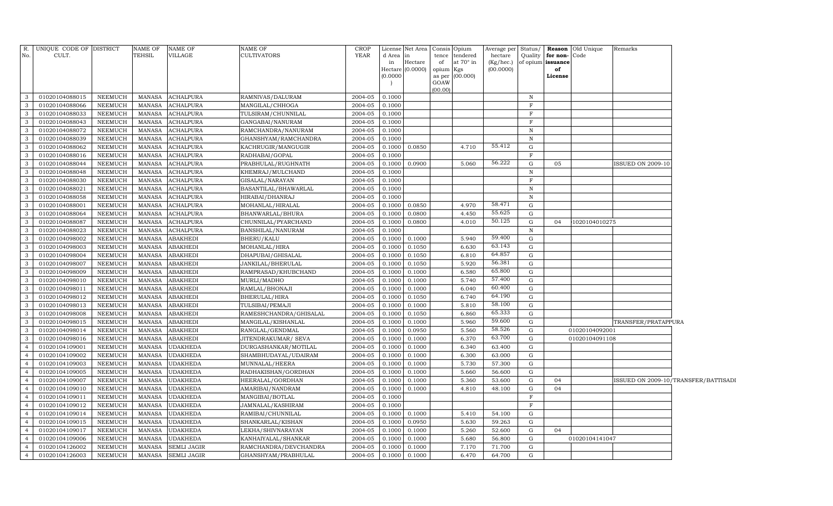| R.<br>No.      | UNIQUE CODE OF DISTRICT<br>CULT. |                | NAME OF<br>TEHSIL | <b>NAME OF</b><br>VILLAGE | <b>NAME OF</b><br><b>CULTIVATORS</b> | <b>CROP</b><br>YEAR | d Area<br>in | License Net Area<br>in<br>Hectare<br>Hectare (0.0000) | Consis<br>tence<br>of<br>opium | Opium<br>tendered<br>at 70° in<br>Kgs | Average per Status/<br>hectare<br>(Kg/hec.)<br>(00.0000) | Quality     | for non-Code<br>of opium issuance<br>of | <b>Reason</b> Old Unique | Remarks             |                                      |
|----------------|----------------------------------|----------------|-------------------|---------------------------|--------------------------------------|---------------------|--------------|-------------------------------------------------------|--------------------------------|---------------------------------------|----------------------------------------------------------|-------------|-----------------------------------------|--------------------------|---------------------|--------------------------------------|
|                |                                  |                |                   |                           |                                      |                     | (0.0000)     |                                                       | as per<br>GOAW<br>(00.00)      | (00.000)                              |                                                          |             | License                                 |                          |                     |                                      |
| 3              | 01020104088015                   | NEEMUCH        | MANASA            | <b>ACHALPURA</b>          | RAMNIVAS/DALURAM                     | 2004-05             | 0.1000       |                                                       |                                |                                       |                                                          | $\mathbb N$ |                                         |                          |                     |                                      |
| 3              | 01020104088066                   | NEEMUCH        | MANASA            | <b>ACHALPURA</b>          | MANGILAL/CHHOGA                      | 2004-05             | 0.1000       |                                                       |                                |                                       |                                                          | $_{\rm F}$  |                                         |                          |                     |                                      |
| 3              | 01020104088033                   | NEEMUCH        | <b>MANASA</b>     | <b>ACHALPURA</b>          | TULSIRAM/CHUNNILAL                   | 2004-05             | 0.1000       |                                                       |                                |                                       |                                                          | F           |                                         |                          |                     |                                      |
| 3              | 01020104088043                   | NEEMUCH        | <b>MANASA</b>     | <b>ACHALPURA</b>          | GANGABAI/NANURAM                     | 2004-05             | 0.1000       |                                                       |                                |                                       |                                                          | F           |                                         |                          |                     |                                      |
| 3              | 01020104088072                   | NEEMUCH        | <b>MANASA</b>     | <b>ACHALPURA</b>          | RAMCHANDRA/NANURAM                   | 2004-05             | 0.1000       |                                                       |                                |                                       |                                                          | $\mathbb N$ |                                         |                          |                     |                                      |
| 3              | 01020104088039                   | <b>NEEMUCH</b> | <b>MANASA</b>     | <b>ACHALPURA</b>          | GHANSHYAM/RAMCHANDRA                 | 2004-05             | 0.1000       |                                                       |                                |                                       |                                                          | $\mathbb N$ |                                         |                          |                     |                                      |
| 3              | 01020104088062                   | NEEMUCH        | <b>MANASA</b>     | ACHALPURA                 | KACHRUGIR/MANGUGIR                   | 2004-05             | 0.1000       | 0.0850                                                |                                | 4.710                                 | 55.412                                                   | G           |                                         |                          |                     |                                      |
| 3              | 01020104088016                   | <b>NEEMUCH</b> | <b>MANASA</b>     | ACHALPURA                 | RADHABAI/GOPAL                       | 2004-05             | 0.1000       |                                                       |                                |                                       |                                                          | F           |                                         |                          |                     |                                      |
| 3              | 01020104088044                   | <b>NEEMUCH</b> | <b>MANASA</b>     | <b>ACHALPURA</b>          | PRABHULAL/RUGHNATH                   | 2004-05             | 0.1000       | 0.0900                                                |                                | 5.060                                 | 56.222                                                   | G           | 05                                      |                          | ISSUED ON 2009-10   |                                      |
| 3              | 01020104088048                   | <b>NEEMUCH</b> | <b>MANASA</b>     | <b>ACHALPURA</b>          | KHEMRAJ/MULCHAND                     | 2004-05             | 0.1000       |                                                       |                                |                                       |                                                          | $\mathbf N$ |                                         |                          |                     |                                      |
| 3              | 01020104088030                   | <b>NEEMUCH</b> | <b>MANASA</b>     | <b>ACHALPURA</b>          | GISALAL/NARAYAN                      | 2004-05             | 0.1000       |                                                       |                                |                                       |                                                          | F           |                                         |                          |                     |                                      |
| 3              | 01020104088021                   | NEEMUCH        | <b>MANASA</b>     | ACHALPURA                 | BASANTILAL/BHAWARLAL                 | 2004-05             | 0.1000       |                                                       |                                |                                       |                                                          | $\mathbf N$ |                                         |                          |                     |                                      |
| 3              | 01020104088058                   | NEEMUCH        | MANASA            | ACHALPURA                 | HIRABAI/DHANRAJ                      | 2004-05             | 0.1000       |                                                       |                                |                                       |                                                          | $\mathbf N$ |                                         |                          |                     |                                      |
| 3              | 01020104088001                   | NEEMUCH        | <b>MANASA</b>     | ACHALPURA                 | MOHANLAL/HIRALAL                     | 2004-05             | 0.1000       | 0.0850                                                |                                | 4.970                                 | 58.471                                                   | G           |                                         |                          |                     |                                      |
| 3              | 01020104088064                   | NEEMUCH        | <b>MANASA</b>     | ACHALPURA                 | BHANWARLAL/BHURA                     | $2004 - 05$         | 0.1000       | 0.0800                                                |                                | 4.450                                 | 55.625                                                   | G           |                                         |                          |                     |                                      |
| 3              | 01020104088087                   | <b>NEEMUCH</b> | <b>MANASA</b>     | ACHALPURA                 | CHUNNILAL/PYARCHAND                  | 2004-05             | 0.1000       | 0.0800                                                |                                | 4.010                                 | 50.125                                                   | G           | 04                                      | 1020104010275            |                     |                                      |
| 3              | 01020104088023                   | NEEMUCH        | <b>MANASA</b>     | ACHALPURA                 | BANSHILAL/NANURAM                    | 2004-05             | 0.1000       |                                                       |                                |                                       |                                                          | $\mathbf N$ |                                         |                          |                     |                                      |
| 3              | 01020104098002                   | NEEMUCH        | <b>MANASA</b>     | ABAKHEDI                  | BHERU/KALU                           | 2004-05             | 0.1000       | 0.1000                                                |                                | 5.940                                 | 59.400                                                   | G           |                                         |                          |                     |                                      |
| 3              | 01020104098003                   | <b>NEEMUCH</b> | <b>MANASA</b>     | ABAKHEDI                  | MOHANLAL/HIRA                        | 2004-05             | 0.1000       | 0.1050                                                |                                | 6.630                                 | 63.143                                                   | G           |                                         |                          |                     |                                      |
| 3              | 01020104098004                   | <b>NEEMUCH</b> | <b>MANASA</b>     | ABAKHEDI                  | DHAPUBAI/GHISALAL                    | 2004-05             | 0.1000       | 0.1050                                                |                                | 6.810                                 | 64.857                                                   | G           |                                         |                          |                     |                                      |
| 3              | 01020104098007                   | <b>NEEMUCH</b> | <b>MANASA</b>     | ABAKHEDI                  | JANKILAL/BHERULAL                    | 2004-05             | 0.1000       | 0.1050                                                |                                | 5.920                                 | 56.381                                                   | G           |                                         |                          |                     |                                      |
| 3              | 01020104098009                   | <b>NEEMUCH</b> | <b>MANASA</b>     | <b>ABAKHEDI</b>           | RAMPRASAD/KHUBCHAND                  | 2004-05             | 0.1000       | 0.1000                                                |                                | 6.580                                 | 65.800                                                   | G           |                                         |                          |                     |                                      |
| 3              | 01020104098010                   | <b>NEEMUCH</b> | <b>MANASA</b>     | ABAKHEDI                  | MURLI/MADHO                          | 2004-05             | 0.1000       | 0.1000                                                |                                | 5.740                                 | 57.400                                                   | G           |                                         |                          |                     |                                      |
| 3              | 01020104098011                   | <b>NEEMUCH</b> | <b>MANASA</b>     | ABAKHEDI                  | RAMLAL/BHONAJI                       | 2004-05             | 0.1000       | 0.1000                                                |                                | 6.040                                 | 60.400                                                   | G           |                                         |                          |                     |                                      |
| 3              | 01020104098012                   | <b>NEEMUCH</b> | <b>MANASA</b>     | ABAKHEDI                  | BHERULAL/HIRA                        | 2004-05             | 0.1000       | 0.1050                                                |                                | 6.740                                 | 64.190                                                   | G           |                                         |                          |                     |                                      |
| 3              | 01020104098013                   | <b>NEEMUCH</b> | <b>MANASA</b>     | ABAKHEDI                  | TULSIBAI/PEMAJI                      | 2004-05             | 0.1000       | 0.1000                                                |                                | 5.810                                 | 58.100                                                   | G           |                                         |                          |                     |                                      |
| 3              | 01020104098008                   | <b>NEEMUCH</b> | MANASA            | ABAKHEDI                  | RAMESHCHANDRA/GHISALAL               | 2004-05             | 0.1000       | 0.1050                                                |                                | 6.860                                 | 65.333                                                   | G           |                                         |                          |                     |                                      |
| 3              | 01020104098015                   | <b>NEEMUCH</b> | <b>MANASA</b>     | ABAKHEDI                  | MANGILAL/KISHANLAL                   | 2004-05             | 0.1000       | 0.1000                                                |                                | 5.960                                 | 59.600                                                   | G           |                                         |                          | TRANSFER/PRATAPPURA |                                      |
| 3              | 01020104098014                   | <b>NEEMUCH</b> | <b>MANASA</b>     | ABAKHEDI                  | RANGLAL/GENDMAL                      | 2004-05             | 0.1000       | 0.0950                                                |                                | 5.560                                 | 58.526                                                   | G           |                                         | 01020104092001           |                     |                                      |
| 3              | 01020104098016                   | <b>NEEMUCH</b> | <b>MANASA</b>     | <b>ABAKHEDI</b>           | JITENDRAKUMAR/ SEVA                  | 2004-05             | 0.1000       | 0.1000                                                |                                | 6.370                                 | 63.700                                                   | G           |                                         | 01020104091108           |                     |                                      |
| $\overline{4}$ | 01020104109001                   | <b>NEEMUCH</b> | <b>MANASA</b>     | <b>UDAKHEDA</b>           | DURGASHANKAR/MOTILAL                 | 2004-05             | 0.1000       | 0.1000                                                |                                | 6.340                                 | 63.400                                                   | $\mathbf G$ |                                         |                          |                     |                                      |
| $\overline{4}$ | 01020104109002                   | <b>NEEMUCH</b> | <b>MANASA</b>     | <b>UDAKHEDA</b>           | SHAMBHUDAYAL/UDAIRAM                 | 2004-05             | 0.1000       | 0.1000                                                |                                | 6.300                                 | 63.000                                                   | G           |                                         |                          |                     |                                      |
| $\overline{4}$ | 01020104109003                   | <b>NEEMUCH</b> | <b>MANASA</b>     | <b>UDAKHEDA</b>           | MUNNALAL/HEERA                       | 2004-05             | 0.1000       | 0.1000                                                |                                | 5.730                                 | 57.300                                                   | $\mathbf G$ |                                         |                          |                     |                                      |
| $\overline{4}$ | 01020104109005                   | <b>NEEMUCH</b> | <b>MANASA</b>     | <b>UDAKHEDA</b>           | RADHAKISHAN/GORDHAN                  | 2004-05             | 0.1000       | 0.1000                                                |                                | 5.660                                 | 56.600                                                   | G           |                                         |                          |                     |                                      |
| $\overline{4}$ | 01020104109007                   | <b>NEEMUCH</b> | <b>MANASA</b>     | <b>UDAKHEDA</b>           | HEERALAL/GORDHAN                     | 2004-05             | 0.1000       | 0.1000                                                |                                | 5.360                                 | 53.600                                                   | G           | 04                                      |                          |                     | ISSUED ON 2009-10/TRANSFER/BATTISADI |
| $\overline{4}$ | 01020104109010                   | NEEMUCH        | <b>MANASA</b>     | <b>UDAKHEDA</b>           | AMARIBAI/NANDRAM                     | 2004-05             | 0.1000       | 0.1000                                                |                                | 4.810                                 | 48.100                                                   | G           | 04                                      |                          |                     |                                      |
| $\overline{4}$ | 01020104109011                   | NEEMUCH        | <b>MANASA</b>     | <b>UDAKHEDA</b>           | MANGIBAI/BOTLAL                      | 2004-05             | 0.1000       |                                                       |                                |                                       |                                                          | $\rm F$     |                                         |                          |                     |                                      |
| $\overline{4}$ | 01020104109012                   | <b>NEEMUCH</b> | <b>MANASA</b>     | <b>UDAKHEDA</b>           | JAMNALAL/KASHIRAM                    | 2004-05             | 0.1000       |                                                       |                                |                                       |                                                          | $_{\rm F}$  |                                         |                          |                     |                                      |
| $\overline{4}$ | 01020104109014                   | <b>NEEMUCH</b> | <b>MANASA</b>     | <b>UDAKHEDA</b>           | RAMIBAI/CHUNNILAL                    | 2004-05             | 0.1000       | 0.1000                                                |                                | 5.410                                 | 54.100                                                   | G           |                                         |                          |                     |                                      |
| $\overline{4}$ | 01020104109015                   | <b>NEEMUCH</b> | <b>MANASA</b>     | <b>UDAKHEDA</b>           | SHANKARLAL/KISHAN                    | 2004-05             | 0.1000       | 0.0950                                                |                                | 5.630                                 | 59.263                                                   | G           |                                         |                          |                     |                                      |
| $\overline{4}$ | 01020104109017                   | <b>NEEMUCH</b> | <b>MANASA</b>     | <b>UDAKHEDA</b>           | LEKHA/SHIVNARAYAN                    | 2004-05             | 0.1000       | 0.1000                                                |                                | 5.260                                 | 52.600                                                   | G           | 04                                      |                          |                     |                                      |
| $\overline{4}$ | 01020104109006                   | <b>NEEMUCH</b> | <b>MANASA</b>     | <b>UDAKHEDA</b>           | KANHAIYALAL/SHANKAR                  | 2004-05             | 0.1000       | 0.1000                                                |                                | 5.680                                 | 56.800                                                   | G           |                                         | 01020104141047           |                     |                                      |
| $\overline{4}$ | 01020104126002                   | <b>NEEMUCH</b> | <b>MANASA</b>     | <b>SEMLI JAGIR</b>        | RAMCHANDRA/DEVCHANDRA                | 2004-05             | 0.1000       | 0.1000                                                |                                | 7.170                                 | 71.700                                                   | G           |                                         |                          |                     |                                      |
| $\overline{4}$ | 01020104126003                   | <b>NEEMUCH</b> | <b>MANASA</b>     | <b>SEMLI JAGIR</b>        | GHANSHYAM/PRABHULAL                  | 2004-05             | 0.1000       | 0.1000                                                |                                | 6.470                                 | 64.700                                                   | G           |                                         |                          |                     |                                      |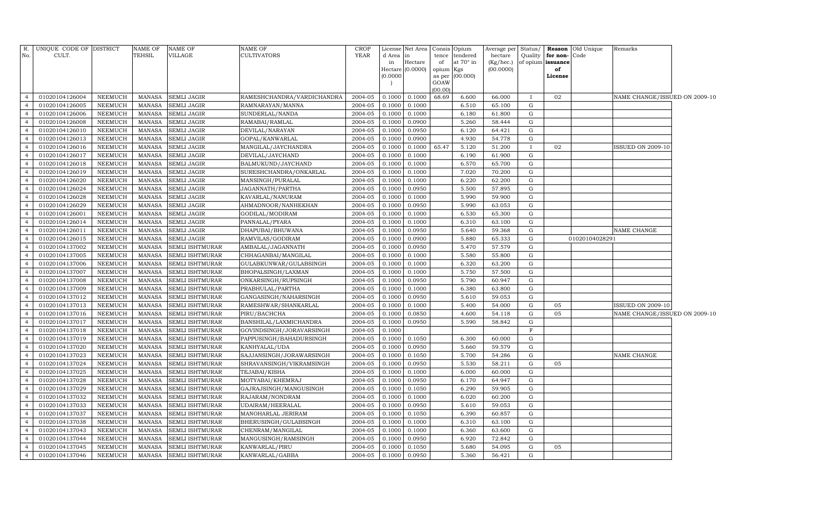| R.<br>No.                        | UNIQUE CODE OF DISTRICT<br>CULT. |                    | <b>NAME OF</b><br>TEHSIL       | <b>NAME OF</b><br><b>VILLAGE</b>          | <b>NAME OF</b><br>CULTIVATORS                | <b>CROP</b><br><b>YEAR</b> | d Area in              | License Net Area | Consis<br>tence | Opium<br>tendered | Average per Status/<br>hectare | Quality      | for non-Code      | <b>Reason</b> Old Unique | Remarks                       |  |
|----------------------------------|----------------------------------|--------------------|--------------------------------|-------------------------------------------|----------------------------------------------|----------------------------|------------------------|------------------|-----------------|-------------------|--------------------------------|--------------|-------------------|--------------------------|-------------------------------|--|
|                                  |                                  |                    |                                |                                           |                                              |                            | in<br>Hectare (0.0000) | Hectare          | of              | at 70° in         | (Kg/hec.)                      |              | of opium issuance |                          |                               |  |
|                                  |                                  |                    |                                |                                           |                                              |                            | (0.0000)               |                  | opium<br>as per | Kgs<br>(00.000)   | (00.0000)                      |              | of<br>License     |                          |                               |  |
|                                  |                                  |                    |                                |                                           |                                              |                            |                        |                  | GOAW            |                   |                                |              |                   |                          |                               |  |
|                                  |                                  |                    |                                |                                           |                                              |                            |                        |                  | (00.00)         |                   |                                |              |                   |                          |                               |  |
| $\overline{4}$                   | 01020104126004                   | NEEMUCH            | MANASA                         | <b>SEMLI JAGIR</b>                        | RAMESHCHANDRA/VARDICHANDRA                   | 2004-05                    | 0.1000                 | 0.1000           | 68.69           | 6.600             | 66.000                         | $\mathbf{I}$ | 02                |                          | NAME CHANGE/ISSUED ON 2009-10 |  |
| $\overline{4}$                   | 01020104126005                   | NEEMUCH            | <b>MANASA</b>                  | <b>SEMLI JAGIR</b>                        | RAMNARAYAN/MANNA                             | 2004-05                    | 0.1000                 | 0.1000           |                 | 6.510             | 65.100                         | G            |                   |                          |                               |  |
| $\overline{4}$                   | 01020104126006                   | NEEMUCH            | <b>MANASA</b>                  | SEMLI JAGIR                               | SUNDERLAL/NANDA                              | 2004-05                    | 0.1000                 | 0.1000           |                 | 6.180             | 61.800                         | G            |                   |                          |                               |  |
| $\overline{4}$                   | 01020104126008                   | NEEMUCH            | <b>MANASA</b>                  | <b>SEMLI JAGIR</b>                        | RAMABAI/RAMLAL                               | 2004-05                    | 0.1000                 | 0.0900           |                 | 5.260             | 58.444                         | G            |                   |                          |                               |  |
| $\overline{4}$                   | 01020104126010                   | NEEMUCH            | <b>MANASA</b>                  | <b>SEMLI JAGIR</b>                        | DEVILAL/NARAYAN                              | 2004-05                    | 0.1000                 | 0.0950           |                 | 6.120             | 64.421                         | G            |                   |                          |                               |  |
| $\overline{4}$                   | 01020104126013                   | <b>NEEMUCH</b>     | <b>MANASA</b>                  | <b>SEMLI JAGIR</b>                        | GOPAL/KANWARLAL                              | 2004-05                    | 0.1000                 | 0.0900           |                 | 4.930             | 54.778                         | G            |                   |                          |                               |  |
| $\overline{4}$                   | 01020104126016                   | NEEMUCH            | <b>MANASA</b>                  | <b>SEMLI JAGIR</b>                        | MANGILAL/JAYCHANDRA                          | 2004-05                    | 0.1000                 | 0.1000 65.47     |                 | 5.120             | 51.200                         | $\mathbf{I}$ | 02                |                          | <b>ISSUED ON 2009-10</b>      |  |
| $\overline{4}$                   | 01020104126017                   | NEEMUCH            | <b>MANASA</b>                  | <b>SEMLI JAGIR</b>                        | DEVILAL/JAYCHAND                             | 2004-05                    | 0.1000                 | 0.1000           |                 | 6.190             | 61.900                         | G            |                   |                          |                               |  |
| $\overline{4}$                   | 01020104126018                   | NEEMUCH            | <b>MANASA</b>                  | <b>SEMLI JAGIR</b>                        | BALMUKUND/JAYCHAND                           | 2004-05                    | 0.1000                 | 0.1000           |                 | 6.570             | 65.700                         | ${\rm G}$    |                   |                          |                               |  |
| $\overline{4}$                   | 01020104126019                   | NEEMUCH            | <b>MANASA</b>                  | <b>SEMLI JAGIR</b>                        | SURESHCHANDRA/ONKARLAL                       | 2004-05                    | 0.1000                 | 0.1000           |                 | 7.020             | 70.200                         | G            |                   |                          |                               |  |
| $\overline{4}$                   | 01020104126020                   | NEEMUCH            | <b>MANASA</b>                  | <b>SEMLI JAGIR</b>                        | MANSINGH/PURALAL                             | 2004-05                    | 0.1000                 | 0.1000           |                 | 6.220             | 62.200                         | ${\rm G}$    |                   |                          |                               |  |
| $\overline{4}$                   | 01020104126024                   | NEEMUCH            | <b>MANASA</b>                  | <b>SEMLI JAGIR</b>                        | JAGANNATH/PARTHA                             | 2004-05                    | 0.1000                 | 0.0950           |                 | 5.500             | 57.895                         | G            |                   |                          |                               |  |
| $\overline{4}$                   | 01020104126028                   | NEEMUCH            | <b>MANASA</b>                  | <b>SEMLI JAGIR</b>                        | KAVARLAL/NANURAM                             | 2004-05                    | 0.1000                 | 0.1000           |                 | 5.990             | 59.900                         | G            |                   |                          |                               |  |
| $\overline{4}$<br>$\overline{4}$ | 01020104126029                   | ${\tt NEEMUCH}$    | <b>MANASA</b>                  | <b>SEMLI JAGIR</b>                        | AHMADNOOR/NANHEKHAN                          | 2004-05                    | 0.1000                 | 0.0950           |                 | 5.990             | 63.053                         | G            |                   |                          |                               |  |
|                                  | 01020104126001                   | NEEMUCH            | <b>MANASA</b>                  | <b>SEMLI JAGIR</b>                        | GODILAL/MODIRAM                              | 2004-05                    | 0.1000                 | 0.1000           |                 | 6.530             | 65.300                         | G            |                   |                          |                               |  |
| $\overline{4}$<br>$\overline{4}$ | 01020104126014<br>01020104126011 | NEEMUCH            | <b>MANASA</b>                  | <b>SEMLI JAGIR</b>                        | PANNALAL/PYARA                               | 2004-05                    | 0.1000                 | 0.1000           |                 | 6.310             | 63.100                         | G            |                   |                          |                               |  |
| $\overline{4}$                   |                                  | NEEMUCH<br>NEEMUCH | <b>MANASA</b>                  | <b>SEMLI JAGIR</b>                        | DHAPUBAI/BHUWANA                             | 2004-05                    | 0.1000                 | 0.0950           |                 | 5.640             | 59.368                         | ${\rm G}$    |                   |                          | NAME CHANGE                   |  |
|                                  | 01020104126015                   |                    | <b>MANASA</b>                  | <b>SEMLI JAGIR</b>                        | RAMVILAS/GODIRAM                             | 2004-05                    | 0.1000                 | 0.0900           |                 | 5.880             | 65.333                         | G            |                   | 01020104028291           |                               |  |
| $\overline{4}$                   | 01020104137002                   | NEEMUCH            | <b>MANASA</b>                  | SEMLI ISHTMURAR                           | AMBALAL/JAGANNATH                            | 2004-05                    | 0.1000                 | 0.0950           |                 | 5.470             | 57.579                         | ${\rm G}$    |                   |                          |                               |  |
| $\overline{4}$<br>$\overline{4}$ | 01020104137005                   | NEEMUCH<br>NEEMUCH | <b>MANASA</b><br><b>MANASA</b> | <b>SEMLI ISHTMURAR</b>                    | CHHAGANBAI/MANGILAL                          | 2004-05<br>2004-05         | 0.1000<br>0.1000       | 0.1000           |                 | 5.580<br>6.320    | 55.800<br>63.200               | G<br>G       |                   |                          |                               |  |
| $\overline{4}$                   | 01020104137006<br>01020104137007 | NEEMUCH            | <b>MANASA</b>                  | SEMLI ISHTMURAR<br><b>SEMLI ISHTMURAR</b> | GULABKUNWAR/GULABSINGH<br>BHOPALSINGH/LAXMAN | 2004-05                    | 0.1000                 | 0.1000<br>0.1000 |                 | 5.750             | 57.500                         | G            |                   |                          |                               |  |
| $\overline{4}$                   | 01020104137008                   | NEEMUCH            | <b>MANASA</b>                  | <b>SEMLI ISHTMURAR</b>                    | ONKARSINGH/RUPSINGH                          | 2004-05                    | 0.1000                 | 0.0950           |                 | 5.790             | 60.947                         | G            |                   |                          |                               |  |
| $\overline{4}$                   | 01020104137009                   | NEEMUCH            | <b>MANASA</b>                  | <b>SEMLI ISHTMURAR</b>                    | PRABHULAL/PARTHA                             | 2004-05                    | 0.1000                 | 0.1000           |                 | 6.380             | 63.800                         | G            |                   |                          |                               |  |
| $\overline{4}$                   | 01020104137012                   | NEEMUCH            | <b>MANASA</b>                  | <b>SEMLI ISHTMURAR</b>                    | GANGASINGH/NAHARSINGH                        | 2004-05                    | 0.1000                 | 0.0950           |                 | 5.610             | 59.053                         | G            |                   |                          |                               |  |
| $\overline{4}$                   | 01020104137013                   | NEEMUCH            | <b>MANASA</b>                  | SEMLI ISHTMURAR                           | RAMESHWAR/SHANKARLAL                         | 2004-05                    | 0.1000                 | 0.1000           |                 | 5.400             | 54.000                         | G            | 05                |                          | <b>ISSUED ON 2009-10</b>      |  |
| $\overline{4}$                   | 01020104137016                   | NEEMUCH            | <b>MANASA</b>                  | SEMLI ISHTMURAR                           | PIRU/BACHCHA                                 | 2004-05                    | 0.1000                 | 0.0850           |                 | 4.600             | 54.118                         | ${\rm G}$    | 05                |                          | NAME CHANGE/ISSUED ON 2009-10 |  |
| $\overline{4}$                   | 01020104137017                   | NEEMUCH            | <b>MANASA</b>                  | <b>SEMLI ISHTMURAR</b>                    | BANSHILAL/LAXMICHANDRA                       | 2004-05                    | 0.1000                 | 0.0950           |                 | 5.590             | 58.842                         | ${\rm G}$    |                   |                          |                               |  |
| $\overline{4}$                   | 01020104137018                   | NEEMUCH            | <b>MANASA</b>                  | <b>SEMLI ISHTMURAR</b>                    | GOVINDSINGH/JORAVARSINGH                     | 2004-05                    | 0.1000                 |                  |                 |                   |                                | $\mathbf F$  |                   |                          |                               |  |
| $\overline{4}$                   | 01020104137019                   | NEEMUCH            | <b>MANASA</b>                  | <b>SEMLI ISHTMURAR</b>                    | PAPPUSINGH/BAHADURSINGH                      | 2004-05                    | 0.1000                 | 0.1050           |                 | 6.300             | 60.000                         | G            |                   |                          |                               |  |
| $\overline{4}$                   | 01020104137020                   | <b>NEEMUCH</b>     | <b>MANASA</b>                  | <b>SEMLI ISHTMURAR</b>                    | KANHYALAL/UDA                                | 2004-05                    | 0.1000                 | 0.0950           |                 | 5.660             | 59.579                         | G            |                   |                          |                               |  |
| $\overline{4}$                   | 01020104137023                   | NEEMUCH            | <b>MANASA</b>                  | <b>SEMLI ISHTMURAR</b>                    | SAJJANSINGH/JORAWARSINGH                     | 2004-05                    | 0.1000                 | 0.1050           |                 | 5.700             | 54.286                         | G            |                   |                          | NAME CHANGE                   |  |
| $\overline{4}$                   | 01020104137024                   | NEEMUCH            | <b>MANASA</b>                  | SEMLI ISHTMURAR                           | SHRAVANSINGH/VIKRAMSINGH                     | 2004-05                    | 0.1000                 | 0.0950           |                 | 5.530             | 58.211                         | ${\rm G}$    | 05                |                          |                               |  |
| $\overline{4}$                   | 01020104137025                   | NEEMUCH            | <b>MANASA</b>                  | SEMLI ISHTMURAR                           | TEJABAI/KISHA                                | 2004-05                    | 0.1000                 | 0.1000           |                 | 6.000             | 60.000                         | G            |                   |                          |                               |  |
| $\overline{4}$                   | 01020104137028                   | NEEMUCH            | <b>MANASA</b>                  | <b>SEMLI ISHTMURAR</b>                    | MOTYABAI/KHEMRAJ                             | 2004-05                    | 0.1000                 | 0.0950           |                 | 6.170             | 64.947                         | ${\rm G}$    |                   |                          |                               |  |
| $\overline{4}$                   | 01020104137029                   | NEEMUCH            | <b>MANASA</b>                  | <b>SEMLI ISHTMURAR</b>                    | GAJRAJSINGH/MANGUSINGH                       | 2004-05                    | 0.1000                 | 0.1050           |                 | 6.290             | 59.905                         | G            |                   |                          |                               |  |
| $\overline{4}$                   | 01020104137032                   | NEEMUCH            | <b>MANASA</b>                  | SEMLI ISHTMURAR                           | RAJARAM/NONDRAM                              | 2004-05                    | 0.1000                 | 0.1000           |                 | 6.020             | 60.200                         | ${\rm G}$    |                   |                          |                               |  |
| $\overline{4}$                   | 01020104137033                   | NEEMUCH            | <b>MANASA</b>                  | <b>SEMLI ISHTMURAR</b>                    | UDAIRAM/HEERALAL                             | 2004-05                    | 0.1000                 | 0.0950           |                 | 5.610             | 59.053                         | G            |                   |                          |                               |  |
| $\overline{4}$                   | 01020104137037                   | NEEMUCH            | <b>MANASA</b>                  | <b>SEMLI ISHTMURAR</b>                    | MANOHARLAL JERIRAM                           | 2004-05                    | 0.1000                 | 0.1050           |                 | 6.390             | 60.857                         | G            |                   |                          |                               |  |
| $\overline{4}$                   | 01020104137038                   | NEEMUCH            | <b>MANASA</b>                  | <b>SEMLI ISHTMURAR</b>                    | BHERUSINGH/GULABSINGH                        | 2004-05                    | 0.1000                 | 0.1000           |                 | 6.310             | 63.100                         | G            |                   |                          |                               |  |
| $\overline{4}$                   | 01020104137043                   | NEEMUCH            | <b>MANASA</b>                  | <b>SEMLI ISHTMURAR</b>                    | CHENRAM/MANGILAL                             | 2004-05                    | 0.1000                 | 0.1000           |                 | 6.360             | 63.600                         | G            |                   |                          |                               |  |
| $\overline{4}$                   | 01020104137044                   | NEEMUCH            | <b>MANASA</b>                  | <b>SEMLI ISHTMURAR</b>                    | MANGUSINGH/RAMSINGH                          | 2004-05                    | 0.1000                 | 0.0950           |                 | 6.920             | 72.842                         | G            |                   |                          |                               |  |
| $\overline{4}$                   | 01020104137045                   | NEEMUCH            | <b>MANASA</b>                  | <b>SEMLI ISHTMURAR</b>                    | KANWARLAL/PIRU                               | 2004-05                    | 0.1000                 | 0.1050           |                 | 5.680             | 54.095                         | G            | 05                |                          |                               |  |
| 4                                | 01020104137046                   | NEEMUCH            | MANASA                         | <b>SEMLI ISHTMURAR</b>                    | KANWARLAL/GABBA                              | 2004-05                    | 0.1000                 | 0.0950           |                 | 5.360             | 56.421                         | G            |                   |                          |                               |  |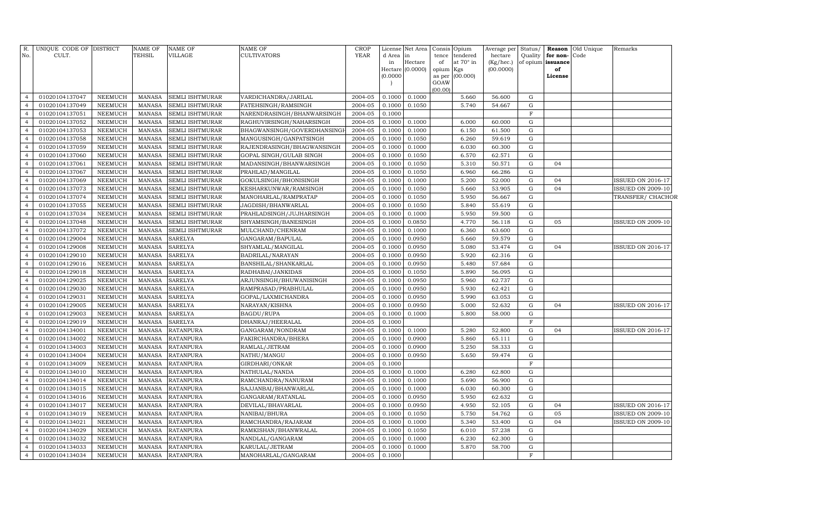| R.<br>No.                        | UNIQUE CODE OF DISTRICT<br>CULT. |                           | NAME OF<br>TEHSIL              | NAME OF<br>VILLAGE               | <b>NAME OF</b><br><b>CULTIVATORS</b>   | <b>CROP</b><br><b>YEAR</b> | License<br>d Area<br>in<br>Hectare (0.0000)<br>(0.0000) | Net Area<br>in<br>Hectare | Consis<br>tence<br>of<br>opium<br>as per<br>GOAW | Opium<br>tendered<br>at 70° in<br>Kgs<br>(00.000) | Average per<br>hectare<br>(Kg/hec.)<br>(00.0000) | Status/<br>Quality<br>of opium issuance | for non-<br>of<br>License | <b>Reason</b> Old Unique<br>Code | Remarks                  |
|----------------------------------|----------------------------------|---------------------------|--------------------------------|----------------------------------|----------------------------------------|----------------------------|---------------------------------------------------------|---------------------------|--------------------------------------------------|---------------------------------------------------|--------------------------------------------------|-----------------------------------------|---------------------------|----------------------------------|--------------------------|
|                                  |                                  |                           |                                |                                  |                                        |                            |                                                         |                           | (00.00)                                          |                                                   |                                                  |                                         |                           |                                  |                          |
| $\overline{4}$                   | 01020104137047                   | <b>NEEMUCH</b>            | <b>MANASA</b>                  | SEMLI ISHTMURAR                  | VARDICHANDRA/JARILAL                   | 2004-05                    | 0.1000                                                  | 0.1000                    |                                                  | 5.660                                             | 56.600                                           | G                                       |                           |                                  |                          |
| $\overline{4}$                   | 01020104137049                   | <b>NEEMUCH</b>            | <b>MANASA</b>                  | SEMLI ISHTMURAR                  | FATEHSINGH/RAMSINGH                    | 2004-05                    | 0.1000                                                  | 0.1050                    |                                                  | 5.740                                             | 54.667                                           | G                                       |                           |                                  |                          |
| $\overline{4}$                   | 01020104137051                   | <b>NEEMUCH</b>            | <b>MANASA</b>                  | SEMLI ISHTMURAR                  | NARENDRASINGH/BHANWARSINGH             | 2004-05                    | 0.1000                                                  |                           |                                                  |                                                   |                                                  | $\mathbf F$                             |                           |                                  |                          |
| $\overline{4}$                   | 01020104137052                   | NEEMUCH                   | <b>MANASA</b>                  | SEMLI ISHTMURAR                  | RAGHUVIRSINGH/NAHARSINGH               | 2004-05                    | 0.1000                                                  | 0.1000                    |                                                  | 6.000                                             | 60.000                                           | G                                       |                           |                                  |                          |
| $\overline{4}$                   | 01020104137053                   | <b>NEEMUCH</b>            | <b>MANASA</b>                  | SEMLI ISHTMURAR                  | BHAGWANSINGH/GOVERDHANSINGH            | 2004-05                    | 0.1000                                                  | 0.1000                    |                                                  | 6.150                                             | 61.500                                           | G                                       |                           |                                  |                          |
| $\overline{4}$                   | 01020104137058                   | <b>NEEMUCH</b>            | <b>MANASA</b>                  | SEMLI ISHTMURAR                  | MANGUSINGH/GANPATSINGH                 | 2004-05                    | 0.1000                                                  | 0.1050                    |                                                  | 6.260                                             | 59.619                                           | G                                       |                           |                                  |                          |
| $\overline{4}$                   | 01020104137059                   | NEEMUCH                   | <b>MANASA</b>                  | SEMLI ISHTMURAR                  | RAJENDRASINGH/BHAGWANSINGH             | 2004-05                    | 0.1000                                                  | 0.1000                    |                                                  | 6.030                                             | 60.300                                           | G                                       |                           |                                  |                          |
| $\overline{4}$                   | 01020104137060                   | <b>NEEMUCH</b>            | <b>MANASA</b>                  | SEMLI ISHTMURAR                  | GOPAL SINGH/GULAB SINGH                | 2004-05                    | 0.1000                                                  | 0.1050                    |                                                  | 6.570                                             | 62.571                                           | G                                       |                           |                                  |                          |
| $\overline{4}$                   | 01020104137061                   | <b>NEEMUCH</b>            | <b>MANASA</b>                  | SEMLI ISHTMURAR                  | MADANSINGH/BHANWARSINGH                | 2004-05                    | 0.1000                                                  | 0.1050                    |                                                  | 5.310                                             | 50.571                                           | G                                       | 04                        |                                  |                          |
| $\overline{4}$                   | 01020104137067                   | <b>NEEMUCH</b>            | <b>MANASA</b>                  | SEMLI ISHTMURAR                  | PRAHLAD/MANGILAL                       | 2004-05                    | 0.1000                                                  | 0.1050                    |                                                  | 6.960                                             | 66.286                                           | G                                       |                           |                                  |                          |
| $\overline{4}$                   | 01020104137069                   | <b>NEEMUCH</b>            | <b>MANASA</b>                  | SEMLI ISHTMURAR                  | GOKULSINGH/BHONISINGH                  | 2004-05                    | 0.1000                                                  | 0.1000                    |                                                  | 5.200                                             | 52.000                                           | G                                       | 04                        |                                  | <b>ISSUED ON 2016-17</b> |
| $\overline{4}$                   | 01020104137073                   | <b>NEEMUCH</b>            | <b>MANASA</b>                  | SEMLI ISHTMURAR                  | KESHARKUNWAR/RAMSINGH                  | 2004-05                    | 0.1000                                                  | 0.1050                    |                                                  | 5.660                                             | 53.905                                           | G                                       | 04                        |                                  | <b>ISSUED ON 2009-10</b> |
| $\overline{4}$                   | 01020104137074                   | <b>NEEMUCH</b>            | <b>MANASA</b>                  | SEMLI ISHTMURAR                  | MANOHARLAL/RAMPRATAP                   | 2004-05                    | 0.1000                                                  | 0.1050                    |                                                  | 5.950                                             | 56.667                                           | G                                       |                           |                                  | TRANSFER/CHACHOR         |
| $\overline{4}$                   | 01020104137055                   | <b>NEEMUCH</b>            | <b>MANASA</b>                  | SEMLI ISHTMURAR                  | JAGDISH/BHANWARLAL                     | 2004-05                    | 0.1000                                                  | 0.1050                    |                                                  | 5.840                                             | 55.619                                           | ${\rm G}$                               |                           |                                  |                          |
| $\overline{4}$                   | 01020104137034                   | <b>NEEMUCH</b>            | <b>MANASA</b>                  | SEMLI ISHTMURAR                  | PRAHLADSINGH/JUJHARSINGH               | 2004-05                    | 0.1000                                                  | 0.1000                    |                                                  | 5.950                                             | 59.500                                           | ${\rm G}$                               |                           |                                  |                          |
| $\overline{4}$                   | 01020104137048                   | <b>NEEMUCH</b>            | <b>MANASA</b>                  | SEMLI ISHTMURAR                  | SHYAMSINGH/BANESINGH                   | 2004-05                    | 0.1000                                                  | 0.0850                    |                                                  | 4.770                                             | 56.118                                           | ${\rm G}$                               | 05                        |                                  | <b>ISSUED ON 2009-10</b> |
| $\overline{4}$                   | 01020104137072                   | <b>NEEMUCH</b>            | <b>MANASA</b>                  | SEMLI ISHTMURAR                  | MULCHAND/CHENRAM                       | 2004-05                    | 0.1000                                                  | 0.1000                    |                                                  | 6.360                                             | 63.600                                           | G                                       |                           |                                  |                          |
| $\overline{4}$                   | 01020104129004                   | <b>NEEMUCH</b>            | <b>MANASA</b>                  | <b>SARELYA</b>                   | GANGARAM/BAPULAL                       | 2004-05                    | 0.1000                                                  | 0.0950                    |                                                  | 5.660                                             | 59.579                                           | G                                       |                           |                                  |                          |
| $\overline{4}$                   | 01020104129008                   | NEEMUCH                   | <b>MANASA</b>                  | <b>SARELYA</b>                   | SHYAMLAL/MANGILAL                      | 2004-05                    | 0.1000                                                  | 0.0950                    |                                                  | 5.080                                             | 53.474                                           | ${\rm G}$                               | 04                        |                                  | <b>ISSUED ON 2016-17</b> |
| $\overline{4}$<br>$\overline{4}$ | 01020104129010                   | <b>NEEMUCH</b>            | <b>MANASA</b>                  | <b>SARELYA</b>                   | BADRILAL/NARAYAN                       | 2004-05                    | 0.1000                                                  | 0.0950                    |                                                  | 5.920                                             | 62.316                                           | $\mathbf G$<br>${\rm G}$                |                           |                                  |                          |
|                                  | 01020104129016                   | NEEMUCH                   | <b>MANASA</b>                  | <b>SARELYA</b>                   | BANSHILAL/SHANKARLAL                   | 2004-05                    | 0.1000                                                  | 0.0950                    |                                                  | 5.480                                             | 57.684                                           | ${\rm G}$                               |                           |                                  |                          |
| $\overline{4}$                   | 01020104129018                   | <b>NEEMUCH</b>            | <b>MANASA</b>                  | <b>SARELYA</b>                   | RADHABAI/JANKIDAS                      | 2004-05                    | 0.1000                                                  | 0.1050<br>0.0950          |                                                  | 5.890                                             | 56.095                                           | ${\rm G}$                               |                           |                                  |                          |
| $\overline{4}$                   | 01020104129025                   | NEEMUCH                   | <b>MANASA</b>                  | <b>SARELYA</b><br><b>SARELYA</b> | ARJUNSINGH/BHUWANISINGH                | 2004-05                    | 0.1000                                                  | 0.0950                    |                                                  | 5.960                                             | 62.737<br>62.421                                 | G                                       |                           |                                  |                          |
| $\overline{4}$<br>$\overline{4}$ | 01020104129030                   | <b>NEEMUCH</b>            | <b>MANASA</b>                  | <b>SARELYA</b>                   | RAMPRASAD/PRABHULAL                    | 2004-05                    | 0.1000                                                  | 0.0950                    |                                                  | 5.930                                             |                                                  | G                                       |                           |                                  |                          |
| $\overline{4}$                   | 01020104129031                   | <b>NEEMUCH</b>            | <b>MANASA</b>                  |                                  | GOPAL/LAXMICHANDRA                     | 2004-05                    | 0.1000                                                  | 0.0950                    |                                                  | 5.990                                             | 63.053                                           | ${\rm G}$                               | 04                        |                                  |                          |
| $\overline{4}$                   | 01020104129005                   | <b>NEEMUCH</b>            | <b>MANASA</b>                  | <b>SARELYA</b>                   | NARAYAN/KISHNA                         | 2004-05                    | 0.1000                                                  | 0.1000                    |                                                  | 5.000                                             | 52.632                                           | ${\rm G}$                               |                           |                                  | <b>ISSUED ON 2016-17</b> |
| $\overline{4}$                   | 01020104129003<br>01020104129019 | <b>NEEMUCH</b><br>NEEMUCH | <b>MANASA</b><br><b>MANASA</b> | <b>SARELYA</b><br><b>SARELYA</b> | BAGDU/RUPA                             | 2004-05<br>2004-05         | 0.1000<br>0.1000                                        |                           |                                                  | 5.800                                             | 58.000                                           | $\rm F$                                 |                           |                                  |                          |
| $\overline{4}$                   | 01020104134001                   | <b>NEEMUCH</b>            | <b>MANASA</b>                  | <b>RATANPURA</b>                 | DHANRAJ/HEERALAL                       | 2004-05                    | 0.1000                                                  | 0.1000                    |                                                  | 5.280                                             | 52.800                                           | ${\rm G}$                               | 04                        |                                  | <b>ISSUED ON 2016-17</b> |
| $\overline{4}$                   | 01020104134002                   | <b>NEEMUCH</b>            | <b>MANASA</b>                  | <b>RATANPURA</b>                 | GANGARAM/NONDRAM<br>FAKIRCHANDRA/BHERA | 2004-05                    | 0.1000                                                  | 0.0900                    |                                                  | 5.860                                             | 65.111                                           | ${\rm G}$                               |                           |                                  |                          |
| $\overline{4}$                   | 01020104134003                   | NEEMUCH                   | <b>MANASA</b>                  | <b>RATANPURA</b>                 | RAMLAL/JETRAM                          | 2004-05                    | 0.1000                                                  | 0.0900                    |                                                  | 5.250                                             | 58.333                                           | ${\rm G}$                               |                           |                                  |                          |
| $\overline{4}$                   | 01020104134004                   | <b>NEEMUCH</b>            | <b>MANASA</b>                  | <b>RATANPURA</b>                 | NATHU/MANGU                            | 2004-05                    | 0.1000                                                  | 0.0950                    |                                                  | 5.650                                             | 59.474                                           | G                                       |                           |                                  |                          |
| $\overline{4}$                   | 01020104134009                   | NEEMUCH                   | <b>MANASA</b>                  | <b>RATANPURA</b>                 | GIRDHARI/ONKAR                         | 2004-05                    | 0.1000                                                  |                           |                                                  |                                                   |                                                  | $\mathbf F$                             |                           |                                  |                          |
| $\overline{4}$                   | 01020104134010                   | NEEMUCH                   | <b>MANASA</b>                  | <b>RATANPURA</b>                 | NATHULAL/NANDA                         | 2004-05                    | 0.1000                                                  | 0.1000                    |                                                  | 6.280                                             | 62.800                                           | G                                       |                           |                                  |                          |
| $\overline{4}$                   | 01020104134014                   | <b>NEEMUCH</b>            | <b>MANASA</b>                  | <b>RATANPURA</b>                 | RAMCHANDRA/NANURAM                     | 2004-05                    | 0.1000                                                  | 0.1000                    |                                                  | 5.690                                             | 56.900                                           | G                                       |                           |                                  |                          |
| $\overline{4}$                   | 01020104134015                   | NEEMUCH                   | <b>MANASA</b>                  | RATANPURA                        | SAJJANBAI/BHANWARLAL                   | 2004-05                    | 0.1000                                                  | 0.1000                    |                                                  | 6.030                                             | 60.300                                           | G                                       |                           |                                  |                          |
| $\overline{4}$                   | 01020104134016                   | <b>NEEMUCH</b>            | <b>MANASA</b>                  | <b>RATANPURA</b>                 | GANGARAM / RATANLAL                    | 2004-05                    | 0.1000                                                  | 0.0950                    |                                                  | 5.950                                             | 62.632                                           | G                                       |                           |                                  |                          |
| $\overline{a}$                   | 01020104134017                   | NEEMUCH                   | <b>MANASA</b>                  | <b>RATANPURA</b>                 | DEVILAL/BHAVARLAL                      | 2004-05                    | 0.1000                                                  | 0.0950                    |                                                  | 4.950                                             | 52.105                                           | G                                       | 04                        |                                  | <b>ISSUED ON 2016-17</b> |
| $\overline{4}$                   | 01020104134019                   | <b>NEEMUCH</b>            | <b>MANASA</b>                  | RATANPURA                        | NANIBAI/BHURA                          | 2004-05                    | 0.1000                                                  | 0.1050                    |                                                  | 5.750                                             | 54.762                                           | ${\rm G}$                               | 05                        |                                  | <b>ISSUED ON 2009-10</b> |
| $\overline{4}$                   | 01020104134021                   | NEEMUCH                   | <b>MANASA</b>                  | RATANPURA                        | RAMCHANDRA/RAJARAM                     | 2004-05                    | 0.1000                                                  | 0.1000                    |                                                  | 5.340                                             | 53.400                                           | G                                       | 04                        |                                  | <b>ISSUED ON 2009-10</b> |
| $\overline{4}$                   | 01020104134029                   | <b>NEEMUCH</b>            | <b>MANASA</b>                  | RATANPURA                        | RAMKISHAN/BHANWRALAL                   | 2004-05                    | 0.1000                                                  | 0.1050                    |                                                  | 6.010                                             | 57.238                                           | ${\rm G}$                               |                           |                                  |                          |
| $\overline{4}$                   | 01020104134032                   | NEEMUCH                   | <b>MANASA</b>                  | RATANPURA                        | NANDLAL/GANGARAM                       | 2004-05                    | 0.1000                                                  | 0.1000                    |                                                  | 6.230                                             | 62.300                                           | ${\rm G}$                               |                           |                                  |                          |
| $\overline{4}$                   |                                  | NEEMUCH                   | <b>MANASA</b>                  | RATANPURA                        | KARULAL/JETRAM                         | 2004-05                    | 0.1000                                                  | 0.1000                    |                                                  | 5.870                                             | 58.700                                           | ${\rm G}$                               |                           |                                  |                          |
|                                  | 01020104134033                   |                           |                                |                                  |                                        |                            |                                                         |                           |                                                  |                                                   |                                                  |                                         |                           |                                  |                          |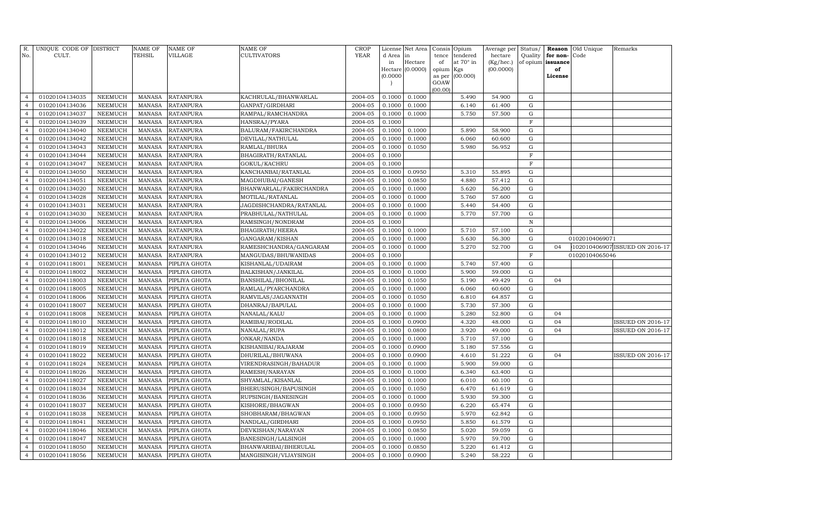| R.<br>No.                        | UNIQUE CODE OF DISTRICT<br>CULT. |                | NAME OF<br>TEHSIL | <b>NAME OF</b><br>VILLAGE | <b>NAME OF</b><br>CULTIVATORS | CROP<br><b>YEAR</b> | License<br>d Area<br>in | Net Area<br>in<br>Hectare | Consis<br>tence<br>of | Opium<br>tendered<br>at 70° in | Average per<br>hectare<br>(Kg/hec.) | Status/<br>Quality<br>of opium | Reason<br>for non-<br>issuance | Old Unique<br>Code | Remarks                        |
|----------------------------------|----------------------------------|----------------|-------------------|---------------------------|-------------------------------|---------------------|-------------------------|---------------------------|-----------------------|--------------------------------|-------------------------------------|--------------------------------|--------------------------------|--------------------|--------------------------------|
|                                  |                                  |                |                   |                           |                               |                     | Hectare<br>(0.0000)     | (0.0000)                  | opium<br>as per       | Kgs<br>(00.000)                | (00.0000)                           |                                | of<br>License                  |                    |                                |
|                                  |                                  |                |                   |                           |                               |                     |                         |                           | GOAW<br>(00.00)       |                                |                                     |                                |                                |                    |                                |
| $\overline{4}$                   | 01020104134035                   | NEEMUCH        | MANASA            | <b>RATANPURA</b>          | KACHRULAL/BHANWARLAL          | 2004-05             | 0.1000                  | 0.1000                    |                       | 5.490                          | 54.900                              | G                              |                                |                    |                                |
| $\overline{4}$                   | 01020104134036                   | <b>NEEMUCH</b> | <b>MANASA</b>     | <b>RATANPURA</b>          | GANPAT/GIRDHARI               | 2004-05             | 0.1000                  | 0.1000                    |                       | 6.140                          | 61.400                              | $\mathbf G$                    |                                |                    |                                |
| $\overline{4}$                   | 01020104134037                   | <b>NEEMUCH</b> | MANASA            | <b>RATANPURA</b>          | RAMPAL/RAMCHANDRA             | 2004-05             | 0.1000                  | 0.1000                    |                       | 5.750                          | 57.500                              | G                              |                                |                    |                                |
| $\overline{4}$                   | 01020104134039                   | <b>NEEMUCH</b> | MANASA            | <b>RATANPURA</b>          | HANSRAJ/PYARA                 | 2004-05             | 0.1000                  |                           |                       |                                |                                     | $\mathbf F$                    |                                |                    |                                |
| $\overline{4}$                   | 01020104134040                   | <b>NEEMUCH</b> | <b>MANASA</b>     | <b>RATANPURA</b>          | BALURAM/FAKIRCHANDRA          | 2004-05             | 0.1000                  | 0.1000                    |                       | 5.890                          | 58.900                              | G                              |                                |                    |                                |
| $\overline{4}$                   | 01020104134042                   | <b>NEEMUCH</b> | <b>MANASA</b>     | <b>RATANPURA</b>          | DEVILAL/NATHULAL              | 2004-05             | 0.1000                  | 0.1000                    |                       | 6.060                          | 60.600                              | G                              |                                |                    |                                |
| $\overline{4}$                   | 01020104134043                   | <b>NEEMUCH</b> | <b>MANASA</b>     | <b>RATANPURA</b>          | RAMLAL/BHURA                  | 2004-05             | 0.1000                  | 0.1050                    |                       | 5.980                          | 56.952                              | G                              |                                |                    |                                |
| $\overline{4}$                   | 01020104134044                   | <b>NEEMUCH</b> | <b>MANASA</b>     | <b>RATANPURA</b>          | BHAGIRATH/RATANLAL            | 2004-05             | 0.1000                  |                           |                       |                                |                                     | $\mathbf F$                    |                                |                    |                                |
| $\overline{4}$                   | 01020104134047                   | <b>NEEMUCH</b> | <b>MANASA</b>     | <b>RATANPURA</b>          | GOKUL/KACHRU                  | 2004-05             | 0.1000                  |                           |                       |                                |                                     | $\rm F$                        |                                |                    |                                |
| $\overline{4}$                   | 01020104134050                   | <b>NEEMUCH</b> | MANASA            | <b>RATANPURA</b>          | KANCHANBAI/RATANLAL           | 2004-05             | 0.1000                  | 0.0950                    |                       | 5.310                          | 55.895                              | ${\rm G}$                      |                                |                    |                                |
| $\overline{4}$                   | 01020104134051                   | <b>NEEMUCH</b> | <b>MANASA</b>     | <b>RATANPURA</b>          | MAGDHUBAI/GANESH              | 2004-05             | 0.1000                  | 0.0850                    |                       | 4.880                          | 57.412                              | $\mathbf G$                    |                                |                    |                                |
| $\overline{4}$                   | 01020104134020                   | <b>NEEMUCH</b> | <b>MANASA</b>     | <b>RATANPURA</b>          | BHANWARLAL/FAKIRCHANDRA       | 2004-05             | 0.1000                  | 0.1000                    |                       | 5.620                          | 56.200                              | G                              |                                |                    |                                |
| $\overline{4}$                   | 01020104134028                   | <b>NEEMUCH</b> | MANASA            | <b>RATANPURA</b>          | MOTILAL/RATANLAL              | 2004-05             | 0.1000                  | 0.1000                    |                       | 5.760                          | 57.600                              | G                              |                                |                    |                                |
| $\overline{4}$                   | 01020104134031                   | <b>NEEMUCH</b> | MANASA            | <b>RATANPURA</b>          | JAGDISHCHANDRA/RATANLAL       | 2004-05             | 0.1000                  | 0.1000                    |                       | 5.440                          | 54.400                              | G                              |                                |                    |                                |
| $\overline{4}$                   | 01020104134030                   | <b>NEEMUCH</b> | <b>MANASA</b>     | <b>RATANPURA</b>          | PRABHULAL/NATHULAL            | 2004-05             | 0.1000                  | 0.1000                    |                       | 5.770                          | 57.700                              | G                              |                                |                    |                                |
| $\overline{4}$                   | 01020104134006                   | <b>NEEMUCH</b> | <b>MANASA</b>     | <b>RATANPURA</b>          | RAMSINGH/NONDRAM              | 2004-05             | 0.1000                  |                           |                       |                                |                                     | $\,$ N                         |                                |                    |                                |
| $\overline{4}$                   | 01020104134022                   | <b>NEEMUCH</b> | MANASA            | <b>RATANPURA</b>          | BHAGIRATH/HEERA               | 2004-05             | 0.1000                  | 0.1000                    |                       | 5.710                          | 57.100                              | $\mathbf G$                    |                                |                    |                                |
| $\overline{4}$                   | 01020104134018                   | <b>NEEMUCH</b> | <b>MANASA</b>     | <b>RATANPURA</b>          | GANGARAM/KISHAN               | 2004-05             | 0.1000                  | 0.1000                    |                       | 5.630                          | 56.300                              | G                              |                                | 01020104069071     |                                |
| $\overline{4}$                   | 01020104134046                   | <b>NEEMUCH</b> | <b>MANASA</b>     | <b>RATANPURA</b>          | RAMESHCHANDRA/GANGARAM        | 2004-05             | 0.1000                  | 0.1000                    |                       | 5.270                          | 52.700                              | ${\rm G}$                      | 04                             |                    | 102010406907 ISSUED ON 2016-17 |
| $\overline{4}$                   | 01020104134012                   | <b>NEEMUCH</b> | <b>MANASA</b>     | <b>RATANPURA</b>          | MANGUDAS/BHUWANIDAS           | 2004-05             | 0.1000                  |                           |                       |                                |                                     | $\mathbf F$                    |                                | 01020104065046     |                                |
| $\overline{4}$                   | 01020104118001                   | NEEMUCH        | MANASA            | PIPLIYA GHOTA             | KISHANLAL/UDAIRAM             | 2004-05             | 0.1000                  | 0.1000                    |                       | 5.740                          | 57.400                              | G                              |                                |                    |                                |
| $\overline{4}$                   | 01020104118002                   | <b>NEEMUCH</b> | <b>MANASA</b>     | PIPLIYA GHOTA             | BALKISHAN/JANKILAL            | 2004-05             | 0.1000                  | 0.1000                    |                       | 5.900                          | 59.000                              | $\mathbf G$                    |                                |                    |                                |
| $\overline{4}$                   | 01020104118003                   | <b>NEEMUCH</b> | MANASA            | PIPLIYA GHOTA             | BANSHILAL/BHONILAL            | 2004-05             | 0.1000                  | 0.1050                    |                       | 5.190                          | 49.429                              | $\mathbf G$                    | 04                             |                    |                                |
| $\overline{4}$                   | 01020104118005                   | <b>NEEMUCH</b> | MANASA            | PIPLIYA GHOTA             | RAMLAL/PYARCHANDRA            | 2004-05             | 0.1000                  | 0.1000                    |                       | 6.060                          | 60.600                              | $\mathbf G$                    |                                |                    |                                |
| $\overline{4}$                   | 01020104118006                   | NEEMUCH        | MANASA            | PIPLIYA GHOTA             | RAMVILAS/JAGANNATH            | 2004-05             | 0.1000                  | 0.1050                    |                       | 6.810                          | 64.857                              | $\mathbf G$                    |                                |                    |                                |
| $\overline{4}$                   | 01020104118007                   | <b>NEEMUCH</b> | <b>MANASA</b>     | PIPLIYA GHOTA             | DHANRAJ/BAPULAL               | 2004-05             | 0.1000                  | 0.1000                    |                       | 5.730                          | 57.300                              | G                              |                                |                    |                                |
| $\overline{4}$                   | 01020104118008                   | <b>NEEMUCH</b> | MANASA            | PIPLIYA GHOTA             | NANALAL/KALU                  | 2004-05             | 0.1000                  | 0.1000                    |                       | 5.280                          | 52.800                              | G                              | 04                             |                    |                                |
| $\overline{4}$                   | 01020104118010                   | <b>NEEMUCH</b> | MANASA            | PIPLIYA GHOTA             | RAMIBAI/RODILAL               | 2004-05             | 0.1000                  | 0.0900                    |                       | 4.320                          | 48.000                              | $\mathbf G$                    | 04                             |                    | <b>ISSUED ON 2016-17</b>       |
| $\overline{4}$                   | 01020104118012                   | <b>NEEMUCH</b> | <b>MANASA</b>     | PIPLIYA GHOTA             | NANALAL/RUPA                  | 2004-05             | 0.1000                  | 0.0800                    |                       | 3.920                          | 49.000                              | $\mathbf G$                    | 04                             |                    | <b>ISSUED ON 2016-17</b>       |
| $\overline{4}$                   | 01020104118018                   | <b>NEEMUCH</b> | MANASA            | PIPLIYA GHOTA             | ONKAR/NANDA                   | 2004-05             | 0.1000                  | 0.1000                    |                       | 5.710                          | 57.100                              | $\mathbf G$                    |                                |                    |                                |
| $\overline{4}$                   | 01020104118019                   | <b>NEEMUCH</b> | <b>MANASA</b>     | PIPLIYA GHOTA             | KISHANIBAI/RAJARAM            | 2004-05             | 0.1000                  | 0.0900                    |                       | 5.180                          | 57.556                              | G                              |                                |                    |                                |
| $\overline{4}$                   | 01020104118022                   | <b>NEEMUCH</b> | <b>MANASA</b>     | PIPLIYA GHOTA             | DHURILAL/BHUWANA              | 2004-05             | 0.1000                  | 0.0900                    |                       | 4.610                          | 51.222                              | $\mathbf G$                    | 04                             |                    | <b>ISSUED ON 2016-17</b>       |
| $\overline{4}$                   | 01020104118024                   | <b>NEEMUCH</b> | MANASA            | PIPLIYA GHOTA             | VIRENDRASINGH/BAHADUR         | 2004-05             | 0.1000                  | 0.1000                    |                       | 5.900                          | 59.000                              | $\mathbf G$                    |                                |                    |                                |
| $\overline{4}$                   | 01020104118026                   | <b>NEEMUCH</b> | MANASA            | PIPLIYA GHOTA             | RAMESH/NARAYAN                | 2004-05             | 0.1000                  | 0.1000                    |                       | 6.340                          | 63.400                              | G                              |                                |                    |                                |
| $\overline{4}$                   | 01020104118027                   | <b>NEEMUCH</b> | MANASA            | PIPLIYA GHOTA             | SHYAMLAL/KISANLAL             | 2004-05             | 0.1000                  | 0.1000                    |                       | 6.010                          | 60.100                              | $\mathbf G$                    |                                |                    |                                |
| $\overline{4}$                   | 01020104118034                   | <b>NEEMUCH</b> | <b>MANASA</b>     | PIPLIYA GHOTA             | BHERUSINGH/BAPUSINGH          | 2004-05             | 0.1000                  | 0.1050                    |                       | 6.470                          | 61.619                              | G                              |                                |                    |                                |
| $\overline{4}$                   | 01020104118036                   | NEEMUCH        | MANASA            | PIPLIYA GHOTA             | RUPSINGH/BANESINGH            | 2004-05             | 0.1000                  | 0.1000                    |                       | 5.930                          | 59.300                              | G                              |                                |                    |                                |
| $\overline{4}$<br>$\overline{4}$ | 01020104118037                   | <b>NEEMUCH</b> | <b>MANASA</b>     | PIPLIYA GHOTA             | KISHORE/BHAGWAN               | 2004-05             | 0.1000                  | 0.0950                    |                       | 6.220                          | 65.474                              | $\mathbf G$                    |                                |                    |                                |
|                                  | 01020104118038                   | <b>NEEMUCH</b> | <b>MANASA</b>     | PIPLIYA GHOTA             | SHOBHARAM/BHAGWAN             | 2004-05             | 0.1000                  | 0.0950                    |                       | 5.970                          | 62.842                              | ${\rm G}$                      |                                |                    |                                |
| $\overline{4}$<br>$\overline{4}$ | 01020104118041                   | <b>NEEMUCH</b> | MANASA            | PIPLIYA GHOTA             | NANDLAL/GIRDHARI              | 2004-05             | 0.1000                  | 0.0950                    |                       | 5.850                          | 61.579                              | $\mathbf G$                    |                                |                    |                                |
|                                  | 01020104118046                   | NEEMUCH        | <b>MANASA</b>     | PIPLIYA GHOTA             | DEVKISHAN/NARAYAN             | 2004-05             | 0.1000                  | 0.0850                    |                       | 5.020                          | 59.059                              | G                              |                                |                    |                                |
| $\overline{4}$<br>$\overline{4}$ | 01020104118047                   | <b>NEEMUCH</b> | <b>MANASA</b>     | PIPLIYA GHOTA             | BANESINGH/LALSINGH            | 2004-05             | 0.1000                  | 0.1000                    |                       | 5.970<br>5.220                 | 59.700                              | $\mathbf G$                    |                                |                    |                                |
|                                  | 01020104118050                   | <b>NEEMUCH</b> | <b>MANASA</b>     | PIPLIYA GHOTA             | BHANWARIBAI/BHERULAL          | 2004-05             | 0.1000                  | 0.0850                    |                       | 5.240                          | 61.412                              | G                              |                                |                    |                                |
| $\overline{4}$                   | 01020104118056                   | NEEMUCH        | MANASA            | PIPLIYA GHOTA             | MANGISINGH/VIJAYSINGH         | 2004-05             | 0.1000                  | 0.0900                    |                       |                                | 58.222                              | G                              |                                |                    |                                |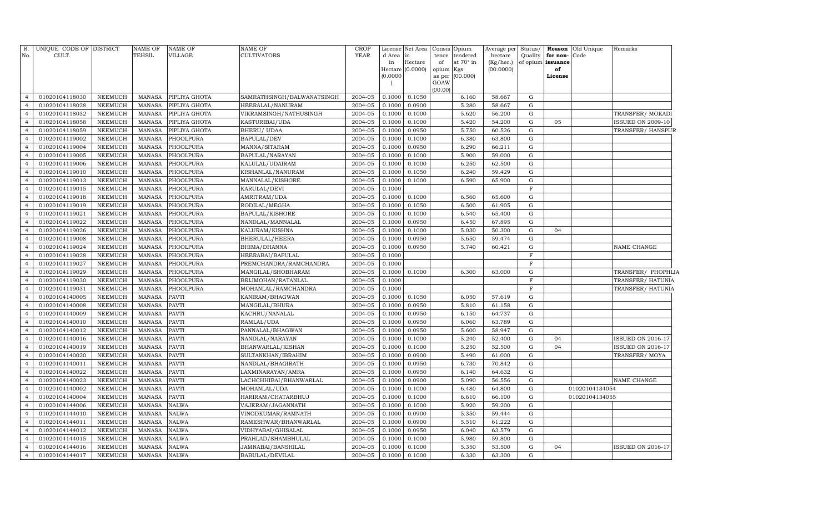| R.                               | UNIQUE CODE OF DISTRICT          |                    | NAME OF                        | <b>NAME OF</b>        | NAME OF                            | <b>CROP</b>        | License          | Net Area         | Consis      | Opium                 | Average per          | Status/     |                                   | <b>Reason</b> Old Unique         | Remarks                  |  |
|----------------------------------|----------------------------------|--------------------|--------------------------------|-----------------------|------------------------------------|--------------------|------------------|------------------|-------------|-----------------------|----------------------|-------------|-----------------------------------|----------------------------------|--------------------------|--|
| No.                              | CULT.                            |                    | TEHSIL                         | VILLAGE               | CULTIVATORS                        | <b>YEAR</b>        | d Area<br>in     | in<br>Hectare    | tence<br>of | tendered<br>at 70° in | hectare<br>(Kg/hec.) | Quality     | for non-Code<br>of opium issuance |                                  |                          |  |
|                                  |                                  |                    |                                |                       |                                    |                    |                  | Hectare (0.0000) | opium       | Kgs                   | (00.0000)            |             | of                                |                                  |                          |  |
|                                  |                                  |                    |                                |                       |                                    |                    | (0.0000)         |                  | as per      | (00.000)              |                      |             | License                           |                                  |                          |  |
|                                  |                                  |                    |                                |                       |                                    |                    |                  |                  | GOAW        |                       |                      |             |                                   |                                  |                          |  |
| $\overline{4}$                   | 01020104118030                   | NEEMUCH            | MANASA                         | PIPLIYA GHOTA         | SAMRATHSINGH/BALWANATSINGH         | 2004-05            | 0.1000           | 0.1050           | 00.00       | 6.160                 | 58.667               | G           |                                   |                                  |                          |  |
| $\overline{4}$                   | 01020104118028                   | NEEMUCH            | MANASA                         | PIPLIYA GHOTA         | HEERALAL/NANURAM                   | 2004-05            | 0.1000           | 0.0900           |             | 5.280                 | 58.667               | $\mathbf G$ |                                   |                                  |                          |  |
| $\overline{4}$                   | 01020104118032                   | NEEMUCH            | <b>MANASA</b>                  | PIPLIYA GHOTA         | VIKRAMSINGH/NATHUSINGH             | 2004-05            | 0.1000           | 0.1000           |             | 5.620                 | 56.200               | G           |                                   |                                  | TRANSFER/ MOKADI         |  |
| $\overline{4}$                   | 01020104118058                   | NEEMUCH            | <b>MANASA</b>                  | PIPLIYA GHOTA         | KASTURIBAI/UDA                     | 2004-05            | 0.1000           | 0.1000           |             | 5.420                 | 54.200               | G           | 05                                |                                  | <b>ISSUED ON 2009-10</b> |  |
| $\overline{4}$                   | 01020104118059                   | NEEMUCH            | MANASA                         | PIPLIYA GHOTA         | BHERU/ UDAA                        | 2004-05            | 0.1000           | 0.0950           |             | 5.750                 | 60.526               | $\mathbf G$ |                                   |                                  | TRANSFER/HANSPUR         |  |
| $\overline{4}$                   | 01020104119002                   | NEEMUCH            | MANASA                         | PHOOLPURA             | BAPULAL/DEV                        | 2004-05            | 0.1000           | 0.1000           |             | 6.380                 | 63.800               | G           |                                   |                                  |                          |  |
| $\overline{4}$                   | 01020104119004                   | NEEMUCH            | MANASA                         | PHOOLPURA             | MANNA/SITARAM                      | 2004-05            | 0.1000           | 0.0950           |             | 6.290                 | 66.211               | G           |                                   |                                  |                          |  |
| $\overline{4}$                   | 01020104119005                   | NEEMUCH            | <b>MANASA</b>                  | PHOOLPURA             | BAPULAL/NARAYAN                    | 2004-05            | 0.1000           | 0.1000           |             | 5.900                 | 59.000               | G           |                                   |                                  |                          |  |
| $\overline{4}$                   | 01020104119006                   | NEEMUCH            | <b>MANASA</b>                  | PHOOLPURA             | KALULAL/UDAIRAM                    | 2004-05            | 0.1000           | 0.1000           |             | 6.250                 | 62.500               | $\mathbf G$ |                                   |                                  |                          |  |
| $\overline{4}$                   | 01020104119010                   | NEEMUCH            | MANASA                         | PHOOLPURA             | KISHANLAL/NANURAM                  | 2004-05            | 0.1000           | 0.1050           |             | 6.240                 | 59.429               | G           |                                   |                                  |                          |  |
| $\overline{4}$                   | 01020104119013                   | NEEMUCH            | <b>MANASA</b>                  | PHOOLPURA             | MANNALAL/KISHORE                   | 2004-05            | 0.1000           | 0.1000           |             | 6.590                 | 65.900               | G           |                                   |                                  |                          |  |
| $\overline{4}$                   | 01020104119015                   | <b>NEEMUCH</b>     | MANASA                         | PHOOLPURA             | KARULAL/DEVI                       | 2004-05            | 0.1000           |                  |             |                       |                      | $\rm F$     |                                   |                                  |                          |  |
| $\overline{4}$                   | 01020104119018                   | NEEMUCH            | <b>MANASA</b>                  | PHOOLPURA             | AMRITRAM/UDA                       | 2004-05            | 0.1000           | 0.1000           |             | 6.560                 | 65.600               | G           |                                   |                                  |                          |  |
| $\overline{4}$                   | 01020104119019                   | <b>NEEMUCH</b>     | MANASA                         | PHOOLPURA             | RODILAL/MEGHA                      | 2004-05            | 0.1000           | 0.1050           |             | 6.500                 | 61.905               | G           |                                   |                                  |                          |  |
| $\overline{4}$                   | 01020104119021                   | NEEMUCH            | <b>MANASA</b>                  | PHOOLPURA             | BAPULAL/KISHORE                    | 2004-05            | 0.1000           | 0.1000           |             | 6.540                 | 65.400               | G           |                                   |                                  |                          |  |
| $\overline{4}$                   | 01020104119022                   | NEEMUCH            | <b>MANASA</b>                  | PHOOLPURA             | NANDLAL/MANNALAL                   | 2004-05            | 0.1000           | 0.0950           |             | 6.450                 | 67.895               | G           |                                   |                                  |                          |  |
| $\overline{4}$                   | 01020104119026                   | NEEMUCH            | <b>MANASA</b>                  | PHOOLPURA             | KALURAM/KISHNA                     | 2004-05            | 0.1000           | 0.1000           |             | 5.030                 | 50.300               | G           | 04                                |                                  |                          |  |
| $\overline{4}$                   | 01020104119008                   | <b>NEEMUCH</b>     | <b>MANASA</b>                  | PHOOLPURA             | BHERULAL/HEERA                     | 2004-05            | 0.1000           | 0.0950           |             | 5.650                 | 59.474               | G           |                                   |                                  |                          |  |
| $\overline{4}$                   | 01020104119024                   | NEEMUCH            | <b>MANASA</b>                  | PHOOLPURA             | BHIMA/DHANNA                       | 2004-05            | 0.1000           | 0.0950           |             | 5.740                 | 60.421               | G           |                                   |                                  | NAME CHANGE              |  |
| $\overline{4}$                   | 01020104119028                   | <b>NEEMUCH</b>     | MANASA                         | PHOOLPURA             | HEERABAI/BAPULAL                   | 2004-05            | 0.1000           |                  |             |                       |                      | F           |                                   |                                  |                          |  |
| $\overline{4}$                   | 01020104119027                   | <b>NEEMUCH</b>     | <b>MANASA</b>                  | PHOOLPURA             | PREMCHANDRA/RAMCHANDRA             | 2004-05            | 0.1000           |                  |             |                       |                      | F           |                                   |                                  |                          |  |
| $\overline{4}$                   | 01020104119029                   | <b>NEEMUCH</b>     | <b>MANASA</b>                  | PHOOLPURA             | MANGILAL/SHOBHARAM                 | 2004-05            | 0.1000           | 0.1000           |             | 6.300                 | 63.000               | G           |                                   |                                  | TRANSFER/ PHOPHLIA       |  |
| $\overline{4}$                   | 01020104119030                   | <b>NEEMUCH</b>     | <b>MANASA</b>                  | PHOOLPURA             | BRIJMOHAN/RATANLAL                 | 2004-05            | 0.1000           |                  |             |                       |                      | F           |                                   |                                  | TRANSFER/ HATUNIA        |  |
| $\overline{4}$                   | 01020104119031                   | <b>NEEMUCH</b>     | <b>MANASA</b>                  | PHOOLPURA             | MOHANLAL/RAMCHANDRA                | 2004-05            | 0.1000           |                  |             |                       |                      | F           |                                   |                                  | TRANSFER/ HATUNIA        |  |
| $\overline{4}$                   | 01020104140005                   | <b>NEEMUCH</b>     | <b>MANASA</b>                  | <b>PAVTI</b>          | KANIRAM/BHAGWAN                    | 2004-05            | 0.1000           | 0.1050           |             | 6.050                 | 57.619               | G           |                                   |                                  |                          |  |
| $\overline{4}$                   | 01020104140008                   | <b>NEEMUCH</b>     | <b>MANASA</b>                  | <b>PAVTI</b>          | MANGILAL/BHURA                     | 2004-05            | 0.1000           | 0.0950           |             | 5.810                 | 61.158               | $\mathbf G$ |                                   |                                  |                          |  |
| $\overline{4}$                   | 01020104140009                   | NEEMUCH            | <b>MANASA</b>                  | <b>PAVTI</b>          | KACHRU/NANALAL                     | 2004-05            | 0.1000           | 0.0950           |             | 6.150                 | 64.737               | G           |                                   |                                  |                          |  |
| $\overline{4}$                   | 01020104140010                   | <b>NEEMUCH</b>     | <b>MANASA</b>                  | <b>PAVTI</b>          | RAMLAL/UDA                         | 2004-05            | 0.1000           | 0.0950           |             | 6.060                 | 63.789               | $\mathbf G$ |                                   |                                  |                          |  |
| $\overline{4}$                   | 01020104140012                   | NEEMUCH            | <b>MANASA</b>                  | <b>PAVTI</b>          | PANNALAL/BHAGWAN                   | 2004-05            | 0.1000           | 0.0950           |             | 5.600                 | 58.947               | G           |                                   |                                  |                          |  |
| $\overline{4}$                   | 01020104140016                   | NEEMUCH            | <b>MANASA</b>                  | <b>PAVTI</b>          | NANDLAL/NARAYAN                    | 2004-05            | 0.1000           | 0.1000           |             | 5.240                 | 52.400               | G           | 04                                |                                  | <b>ISSUED ON 2016-17</b> |  |
| $\overline{4}$                   | 01020104140019                   | <b>NEEMUCH</b>     | <b>MANASA</b>                  | PAVTI                 | BHANWARLAL/KISHAN                  | 2004-05            | 0.1000           | 0.1000           |             | 5.250                 | 52.500               | G           | 04                                |                                  | <b>ISSUED ON 2016-17</b> |  |
| $\overline{4}$                   | 01020104140020                   | <b>NEEMUCH</b>     | <b>MANASA</b>                  | <b>PAVTI</b>          | SULTANKHAN/IBRAHIM                 | 2004-05            | 0.1000           | 0.0900           |             | 5.490                 | 61.000               | G           |                                   |                                  | TRANSFER/MOYA            |  |
| $\overline{4}$<br>$\overline{4}$ | 01020104140011                   | <b>NEEMUCH</b>     | <b>MANASA</b>                  | PAVTI                 | NANDLAL/BHAGIRATH                  | 2004-05            | 0.1000           | 0.0950           |             | 6.730                 | 70.842               | G           |                                   |                                  |                          |  |
| $\overline{4}$                   | 01020104140022                   | <b>NEEMUCH</b>     | <b>MANASA</b>                  | PAVTI                 | LAXMINARAYAN/AMRA                  | 2004-05            | 0.1000           | 0.0950           |             | 6.140                 | 64.632               | G<br>G      |                                   |                                  |                          |  |
| $\overline{4}$                   | 01020104140023                   | NEEMUCH            | <b>MANASA</b>                  | PAVTI                 | LACHCHHIBAI/BHANWARLAL             | 2004-05            | 0.1000           | 0.0900           |             | 5.090<br>6.480        | 56.556               | G           |                                   |                                  | NAME CHANGE              |  |
| $\overline{4}$                   | 01020104140002<br>01020104140004 | NEEMUCH<br>NEEMUCH | <b>MANASA</b><br><b>MANASA</b> | <b>PAVTI</b><br>PAVTI | MOHANLAL/UDA<br>HARIRAM/CHATARBHUJ | 2004-05<br>2004-05 | 0.1000<br>0.1000 | 0.1000<br>0.1000 |             | 6.610                 | 64.800<br>66.100     | G           |                                   | 01020104134054<br>01020104134055 |                          |  |
| $\overline{4}$                   | 01020104144006                   | NEEMUCH            | <b>MANASA</b>                  | <b>NALWA</b>          | VAJERAM/JAGANNATH                  | 2004-05            | 0.1000           | 0.1000           |             | 5.920                 | 59.200               | G           |                                   |                                  |                          |  |
| $\overline{4}$                   | 01020104144010                   | <b>NEEMUCH</b>     | <b>MANASA</b>                  | <b>NALWA</b>          | VINODKUMAR/RAMNATH                 | 2004-05            | 0.1000           | 0.0900           |             | 5.350                 | 59.444               | G           |                                   |                                  |                          |  |
| $\overline{4}$                   | 01020104144011                   | <b>NEEMUCH</b>     | <b>MANASA</b>                  | <b>NALWA</b>          | RAMESHWAR/BHANWARLAL               | 2004-05            | 0.1000           | 0.0900           |             | 5.510                 | 61.222               | G           |                                   |                                  |                          |  |
| $\overline{4}$                   | 01020104144012                   | NEEMUCH            | <b>MANASA</b>                  | NALWA                 | VIDHYABAI/GHISALAL                 | 2004-05            | 0.1000           | 0.0950           |             | 6.040                 | 63.579               | G           |                                   |                                  |                          |  |
| $\overline{4}$                   | 01020104144015                   | <b>NEEMUCH</b>     | <b>MANASA</b>                  | <b>NALWA</b>          | PRAHLAD/SHAMBHULAL                 | 2004-05            | 0.1000           | 0.1000           |             | 5.980                 | 59.800               | $\mathbf G$ |                                   |                                  |                          |  |
| $\overline{4}$                   | 01020104144016                   | NEEMUCH            | <b>MANASA</b>                  | <b>NALWA</b>          | JAMNABAI/BANSHILAL                 | 2004-05            | 0.1000           | 0.1000           |             | 5.350                 | 53.500               | $\mathbf G$ | 04                                |                                  | <b>ISSUED ON 2016-17</b> |  |
| $\overline{4}$                   | 01020104144017                   | NEEMUCH            | <b>MANASA</b>                  | <b>NALWA</b>          | BABULAL/DEVILAL                    | 2004-05            | 0.1000           | 0.1000           |             | 6.330                 | 63.300               | G           |                                   |                                  |                          |  |
|                                  |                                  |                    |                                |                       |                                    |                    |                  |                  |             |                       |                      |             |                                   |                                  |                          |  |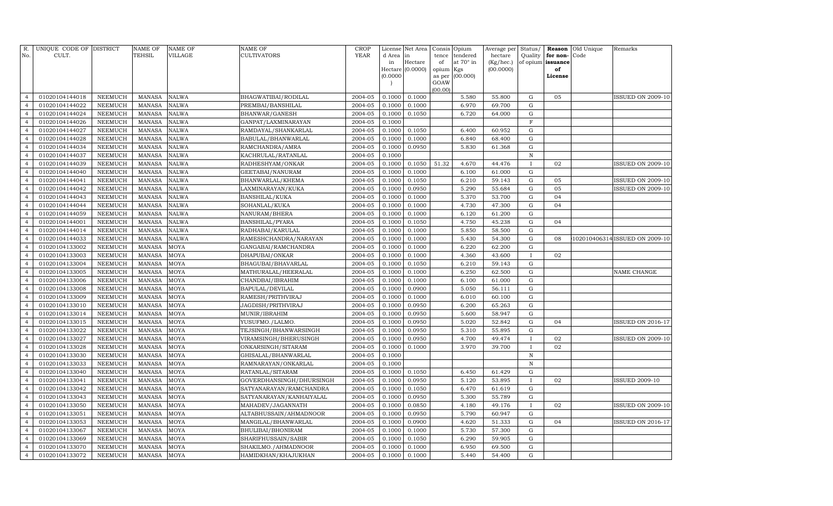| R.<br>No.      | UNIQUE CODE OF DISTRICT<br>CULT. |                | <b>NAME OF</b><br>TEHSIL | <b>NAME OF</b><br>VILLAGE | NAME OF<br>CULTIVATORS   | <b>CROP</b><br><b>YEAR</b> | d Area in<br>in | License Net Area<br>Hectare | Consis<br>tence<br>of     | Opium<br>tendered<br>at 70° in | Average per<br>hectare<br>(Kg/hec.) | Status/<br>Quality<br>of opium | Reason<br>for non-<br>issuance | Old Unique<br>Code | Remarks                       |
|----------------|----------------------------------|----------------|--------------------------|---------------------------|--------------------------|----------------------------|-----------------|-----------------------------|---------------------------|--------------------------------|-------------------------------------|--------------------------------|--------------------------------|--------------------|-------------------------------|
|                |                                  |                |                          |                           |                          |                            |                 | Hectare (0.0000)            | opium                     | Kgs                            | (00.0000)                           |                                | of                             |                    |                               |
|                |                                  |                |                          |                           |                          |                            | (0.0000)        |                             | as per<br>GOAW<br>(00.00) | (00.000)                       |                                     |                                | License                        |                    |                               |
| $\overline{4}$ | 01020104144018                   | <b>NEEMUCH</b> | <b>MANASA</b>            | <b>NALWA</b>              | BHAGWATIBAI/RODILAL      | 2004-05                    | 0.1000          | 0.1000                      |                           | 5.580                          | 55.800                              | G                              | 05                             |                    | <b>ISSUED ON 2009-10</b>      |
| $\overline{4}$ | 01020104144022                   | <b>NEEMUCH</b> | <b>MANASA</b>            | <b>NALWA</b>              | PREMBAI/BANSHILAL        | 2004-05                    | 0.1000          | 0.1000                      |                           | 6.970                          | 69.700                              | G                              |                                |                    |                               |
| $\overline{4}$ | 01020104144024                   | <b>NEEMUCH</b> | <b>MANASA</b>            | <b>NALWA</b>              | BHANWAR/GANESH           | 2004-05                    | 0.1000          | 0.1050                      |                           | 6.720                          | 64.000                              | ${\rm G}$                      |                                |                    |                               |
| $\overline{4}$ | 01020104144026                   | <b>NEEMUCH</b> | <b>MANASA</b>            | <b>NALWA</b>              | GANPAT/LAXMINARAYAN      | 2004-05                    | 0.1000          |                             |                           |                                |                                     | $\mathbf F$                    |                                |                    |                               |
| $\overline{4}$ | 01020104144027                   | <b>NEEMUCH</b> | <b>MANASA</b>            | <b>NALWA</b>              | RAMDAYAL/SHANKARLAL      | 2004-05                    | 0.1000          | 0.1050                      |                           | 6.400                          | 60.952                              | ${\rm G}$                      |                                |                    |                               |
| $\overline{4}$ | 01020104144028                   | <b>NEEMUCH</b> | <b>MANASA</b>            | <b>NALWA</b>              | BABULAL/BHANWARLAL       | 2004-05                    | 0.1000          | 0.1000                      |                           | 6.840                          | 68.400                              | G                              |                                |                    |                               |
| $\overline{4}$ | 01020104144034                   | <b>NEEMUCH</b> | <b>MANASA</b>            | <b>NALWA</b>              | RAMCHANDRA/AMRA          | 2004-05                    | 0.1000          | 0.0950                      |                           | 5.830                          | 61.368                              | G                              |                                |                    |                               |
| $\overline{4}$ | 01020104144037                   | <b>NEEMUCH</b> | <b>MANASA</b>            | <b>NALWA</b>              | KACHRULAL/RATANLAL       | 2004-05                    | 0.1000          |                             |                           |                                |                                     | N                              |                                |                    |                               |
| $\overline{4}$ | 01020104144039                   | <b>NEEMUCH</b> | <b>MANASA</b>            | <b>NALWA</b>              | RADHESHYAM/ONKAR         | 2004-05                    | 0.1000          | 0.1050                      | 51.32                     | 4.670                          | 44.476                              | $\mathbf{I}$                   | 02                             |                    | <b>ISSUED ON 2009-10</b>      |
| $\overline{4}$ | 01020104144040                   | <b>NEEMUCH</b> | <b>MANASA</b>            | <b>NALWA</b>              | GEETABAI/NANURAM         | 2004-05                    | 0.1000          | 0.1000                      |                           | 6.100                          | 61.000                              | G                              |                                |                    |                               |
| $\overline{4}$ | 01020104144041                   | <b>NEEMUCH</b> | <b>MANASA</b>            | <b>NALWA</b>              | BHANWARLAL/KHEMA         | 2004-05                    | 0.1000          | 0.1050                      |                           | 6.210                          | 59.143                              | $\mathbf G$                    | 05                             |                    | <b>ISSUED ON 2009-10</b>      |
| $\overline{4}$ | 01020104144042                   | <b>NEEMUCH</b> | <b>MANASA</b>            | <b>NALWA</b>              | LAXMINARAYAN/KUKA        | 2004-05                    | 0.1000          | 0.0950                      |                           | 5.290                          | 55.684                              | ${\rm G}$                      | 05                             |                    | <b>ISSUED ON 2009-10</b>      |
| $\overline{4}$ | 01020104144043                   | <b>NEEMUCH</b> | <b>MANASA</b>            | <b>NALWA</b>              | BANSHILAL/KUKA           | 2004-05                    | 0.1000          | 0.1000                      |                           | 5.370                          | 53.700                              | ${\rm G}$                      | 04                             |                    |                               |
| $\overline{4}$ | 01020104144044                   | <b>NEEMUCH</b> | <b>MANASA</b>            | <b>NALWA</b>              | SOHANLAL/KUKA            | 2004-05                    | 0.1000          | 0.1000                      |                           | 4.730                          | 47.300                              | G                              | 04                             |                    |                               |
| $\overline{4}$ | 01020104144059                   | <b>NEEMUCH</b> | <b>MANASA</b>            | <b>NALWA</b>              | NANURAM/BHERA            | 2004-05                    | 0.1000          | 0.1000                      |                           | 6.120                          | 61.200                              | ${\rm G}$                      |                                |                    |                               |
| $\overline{4}$ | 01020104144001                   | <b>NEEMUCH</b> | <b>MANASA</b>            | <b>NALWA</b>              | BANSHILAL/PYARA          | 2004-05                    | 0.1000          | 0.1050                      |                           | 4.750                          | 45.238                              | G                              | 04                             |                    |                               |
| $\overline{4}$ | 01020104144014                   | <b>NEEMUCH</b> | <b>MANASA</b>            | <b>NALWA</b>              | RADHABAI/KARULAL         | 2004-05                    | 0.1000          | 0.1000                      |                           | 5.850                          | 58.500                              | G                              |                                |                    |                               |
| $\overline{4}$ | 01020104144033                   | <b>NEEMUCH</b> | <b>MANASA</b>            | <b>NALWA</b>              | RAMESHCHANDRA/NARAYAN    | 2004-05                    | 0.1000          | 0.1000                      |                           | 5.430                          | 54.300                              | G                              | 08                             |                    | 102010406314ISSUED ON 2009-10 |
| $\overline{4}$ | 01020104133002                   | <b>NEEMUCH</b> | <b>MANASA</b>            | MOYA                      | GANGABAI/RAMCHANDRA      | 2004-05                    | 0.1000          | 0.1000                      |                           | 6.220                          | 62.200                              | ${\rm G}$                      |                                |                    |                               |
| $\overline{4}$ | 01020104133003                   | <b>NEEMUCH</b> | <b>MANASA</b>            | MOYA                      | DHAPUBAI/ONKAR           | 2004-05                    | 0.1000          | 0.1000                      |                           | 4.360                          | 43.600                              | $\mathbf{I}$                   | 02                             |                    |                               |
| $\overline{4}$ | 01020104133004                   | <b>NEEMUCH</b> | <b>MANASA</b>            | MOYA                      | BHAGUBAI/BHAVARLAL       | 2004-05                    | 0.1000          | 0.1050                      |                           | 6.210                          | 59.143                              | ${\bf G}$                      |                                |                    |                               |
| $\overline{4}$ | 01020104133005                   | <b>NEEMUCH</b> | <b>MANASA</b>            | MOYA                      | MATHURALAL/HEERALAL      | 2004-05                    | 0.1000          | 0.1000                      |                           | 6.250                          | 62.500                              | G                              |                                |                    | NAME CHANGE                   |
| $\overline{4}$ | 01020104133006                   | <b>NEEMUCH</b> | <b>MANASA</b>            | MOYA                      | CHANDBAI/IBRAHIM         | 2004-05                    | 0.1000          | 0.1000                      |                           | 6.100                          | 61.000                              | ${\rm G}$                      |                                |                    |                               |
| $\overline{4}$ | 01020104133008                   | <b>NEEMUCH</b> | <b>MANASA</b>            | MOYA                      | BAPULAL/DEVILAL          | 2004-05                    | 0.1000          | 0.0900                      |                           | 5.050                          | 56.111                              | G                              |                                |                    |                               |
| $\overline{4}$ | 01020104133009                   | <b>NEEMUCH</b> | <b>MANASA</b>            | MOYA                      | RAMESH/PRITHVIRAJ        | 2004-05                    | 0.1000          | 0.1000                      |                           | 6.010                          | 60.100                              | ${\rm G}$                      |                                |                    |                               |
| $\overline{4}$ | 01020104133010                   | <b>NEEMUCH</b> | <b>MANASA</b>            | MOYA                      | JAGDISH/PRITHVIRAJ       | 2004-05                    | 0.1000          | 0.0950                      |                           | 6.200                          | 65.263                              | G                              |                                |                    |                               |
| $\overline{4}$ | 01020104133014                   | <b>NEEMUCH</b> | <b>MANASA</b>            | MOYA                      | MUNIR/IBRAHIM            | 2004-05                    | 0.1000          | 0.0950                      |                           | 5.600                          | 58.947                              | $\mathbf G$                    |                                |                    |                               |
| $\overline{4}$ | 01020104133015                   | <b>NEEMUCH</b> | <b>MANASA</b>            | MOYA                      | YUSUFMO./LALMO.          | 2004-05                    | 0.1000          | 0.0950                      |                           | 5.020                          | 52.842                              | G                              | 04                             |                    | <b>ISSUED ON 2016-17</b>      |
| $\overline{4}$ | 01020104133022                   | <b>NEEMUCH</b> | <b>MANASA</b>            | MOYA                      | TEJSINGH/BHANWARSINGH    | 2004-05                    | 0.1000          | 0.0950                      |                           | 5.310                          | 55.895                              | $\mathbf G$                    |                                |                    |                               |
| $\overline{4}$ | 01020104133027                   | <b>NEEMUCH</b> | <b>MANASA</b>            | MOYA                      | VIRAMSINGH/BHERUSINGH    | 2004-05                    | 0.1000          | 0.0950                      |                           | 4.700                          | 49.474                              | $\mathbf{I}$                   | 02                             |                    | <b>ISSUED ON 2009-10</b>      |
| $\overline{4}$ | 01020104133028                   | <b>NEEMUCH</b> | <b>MANASA</b>            | MOYA                      | ONKARSINGH/SITARAM       | 2004-05                    | 0.1000          | 0.1000                      |                           | 3.970                          | 39.700                              | $\mathbf{I}$                   | 02                             |                    |                               |
| $\overline{4}$ | 01020104133030                   | <b>NEEMUCH</b> | <b>MANASA</b>            | MOYA                      | GHISALAL/BHANWARLAL      | 2004-05                    | 0.1000          |                             |                           |                                |                                     | $\mathbb N$                    |                                |                    |                               |
| $\overline{4}$ | 01020104133033                   | <b>NEEMUCH</b> | <b>MANASA</b>            | MOYA                      | RAMNARAYAN/ONKARLAL      | 2004-05                    | 0.1000          |                             |                           |                                |                                     | $\, {\bf N}$                   |                                |                    |                               |
| $\overline{4}$ | 01020104133040                   | <b>NEEMUCH</b> | <b>MANASA</b>            | MOYA                      | RATANLAL/SITARAM         | 2004-05                    | 0.1000          | 0.1050                      |                           | 6.450                          | 61.429                              | G                              |                                |                    |                               |
| $\overline{4}$ | 01020104133041                   | <b>NEEMUCH</b> | <b>MANASA</b>            | MOYA                      | GOVERDHANSINGH/DHURSINGH | 2004-05                    | 0.1000          | 0.0950                      |                           | 5.120                          | 53.895                              | $\mathbf{I}$                   | 02                             |                    | <b>ISSUED 2009-10</b>         |
| $\overline{4}$ | 01020104133042                   | <b>NEEMUCH</b> | <b>MANASA</b>            | MOYA                      | SATYANARAYAN/RAMCHANDRA  | 2004-05                    | 0.1000          | 0.1050                      |                           | 6.470                          | 61.619                              | G                              |                                |                    |                               |
| $\overline{4}$ | 01020104133043                   | <b>NEEMUCH</b> | <b>MANASA</b>            | MOYA                      | SATYANARAYAN/KANHAIYALAL | 2004-05                    | 0.1000          | 0.0950                      |                           | 5.300                          | 55.789                              | $\mathbf G$                    |                                |                    |                               |
| $\overline{4}$ | 01020104133050                   | <b>NEEMUCH</b> | <b>MANASA</b>            | MOYA                      | MAHADEV/JAGANNATH        | 2004-05                    | 0.1000          | 0.0850                      |                           | 4.180                          | 49.176                              | $\bf{I}$                       | 02                             |                    | <b>ISSUED ON 2009-10</b>      |
| $\overline{4}$ | 01020104133051                   | <b>NEEMUCH</b> | <b>MANASA</b>            | MOYA                      | ALTABHUSSAIN/AHMADNOOR   | 2004-05                    | 0.1000          | 0.0950                      |                           | 5.790                          | 60.947                              | ${\rm G}$                      |                                |                    |                               |
| $\overline{4}$ | 01020104133053                   | <b>NEEMUCH</b> | <b>MANASA</b>            | MOYA                      | MANGILAL/BHANWARLAL      | 2004-05                    | 0.1000          | 0.0900                      |                           | 4.620                          | 51.333                              | G                              | 04                             |                    | <b>ISSUED ON 2016-17</b>      |
| $\overline{4}$ | 01020104133067                   | <b>NEEMUCH</b> | <b>MANASA</b>            | MOYA                      | BHULIBAI/BHONIRAM        | 2004-05                    | 0.1000          | 0.1000                      |                           | 5.730                          | 57.300                              | $\mathbf G$                    |                                |                    |                               |
| $\overline{4}$ | 01020104133069                   | <b>NEEMUCH</b> | <b>MANASA</b>            | MOYA                      | SHARIFHUSSAIN/SABIR      | 2004-05                    | 0.1000          | 0.1050                      |                           | 6.290                          | 59.905                              | ${\rm G}$                      |                                |                    |                               |
| $\overline{4}$ | 01020104133070                   | <b>NEEMUCH</b> | <b>MANASA</b>            | MOYA                      | SHAKILMO./AHMADNOOR      | 2004-05                    | 0.1000          | 0.1000                      |                           | 6.950                          | 69.500                              | G                              |                                |                    |                               |
| $\overline{4}$ | 01020104133072                   | <b>NEEMUCH</b> | <b>MANASA</b>            | MOYA                      | HAMIDKHAN/KHAJUKHAN      | 2004-05                    | 0.1000          | 0.1000                      |                           | 5.440                          | 54.400                              | G                              |                                |                    |                               |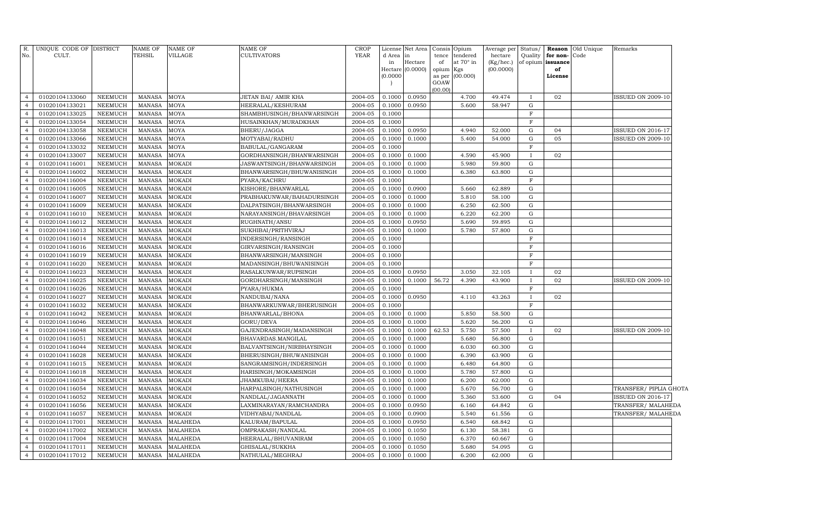| R.             | UNIQUE CODE OF DISTRICT |                | NAME OF       | <b>NAME OF</b>  | NAME OF                   | CROP        | License  | Net Area         | Consis Opium |                 | Average per  | Status/      |                   | Reason Old Unique | Remarks                  |
|----------------|-------------------------|----------------|---------------|-----------------|---------------------------|-------------|----------|------------------|--------------|-----------------|--------------|--------------|-------------------|-------------------|--------------------------|
| No.            | CULT.                   |                | TEHSIL        | <b>VILLAGE</b>  | CULTIVATORS               | <b>YEAR</b> | d Area   | in               | tence        | tendered        | hectare      | Quality      | for non-Code      |                   |                          |
|                |                         |                |               |                 |                           |             | in       | Hectare          | of           | at 70° in       | $(Kg/$ hec.) |              | of opium issuance |                   |                          |
|                |                         |                |               |                 |                           |             | (0.0000) | Hectare (0.0000) | opium Kgs    | as per (00.000) | (00.0000)    |              | of<br>License     |                   |                          |
|                |                         |                |               |                 |                           |             |          |                  | GOAW         |                 |              |              |                   |                   |                          |
|                |                         |                |               |                 |                           |             |          |                  | (00.00)      |                 |              |              |                   |                   |                          |
| $\overline{4}$ | 01020104133060          | NEEMUCH        | <b>MANASA</b> | <b>MOYA</b>     | JETAN BAI/ AMIR KHA       | 2004-05     | 0.1000   | 0.0950           |              | 4.700           | 49.474       |              | 02                |                   | <b>ISSUED ON 2009-10</b> |
| $\overline{4}$ | 01020104133021          | <b>NEEMUCH</b> | MANASA        | <b>MOYA</b>     | HEERALAL/KESHURAM         | 2004-05     | 0.1000   | 0.0950           |              | 5.600           | 58.947       | G            |                   |                   |                          |
| $\overline{4}$ | 01020104133025          | NEEMUCH        | MANASA        | <b>MOYA</b>     | SHAMBHUSINGH/BHANWARSINGH | 2004-05     | 0.1000   |                  |              |                 |              | F            |                   |                   |                          |
| $\overline{4}$ | 01020104133054          | <b>NEEMUCH</b> | <b>MANASA</b> | <b>MOYA</b>     | HUSAINKHAN/MURADKHAN      | 2004-05     | 0.1000   |                  |              |                 |              | F            |                   |                   |                          |
| $\overline{4}$ | 01020104133058          | NEEMUCH        | <b>MANASA</b> | <b>MOYA</b>     | BHERU/JAGGA               | 2004-05     | 0.1000   | 0.0950           |              | 4.940           | 52.000       | G            | 04                |                   | <b>ISSUED ON 2016-17</b> |
| $\overline{4}$ | 01020104133066          | <b>NEEMUCH</b> | <b>MANASA</b> | <b>MOYA</b>     | MOTYABAI/RADHU            | 2004-05     | 0.1000   | 0.1000           |              | 5.400           | 54.000       | G            | 05                |                   | <b>ISSUED ON 2009-10</b> |
| $\overline{4}$ | 01020104133032          | NEEMUCH        | <b>MANASA</b> | <b>MOYA</b>     | BABULAL/GANGARAM          | 2004-05     | 0.1000   |                  |              |                 |              | $_{\rm F}$   |                   |                   |                          |
| $\overline{4}$ | 01020104133007          | <b>NEEMUCH</b> | <b>MANASA</b> | <b>MOYA</b>     | GORDHANSINGH/BHANWARSINGH | 2004-05     | 0.1000   | 0.1000           |              | 4.590           | 45.900       |              | 02                |                   |                          |
| $\overline{4}$ | 01020104116001          | NEEMUCH        | MANASA        | <b>MOKADI</b>   | JASWANTSINGH/BHANWARSINGH | 2004-05     | 0.1000   | 0.1000           |              | 5.980           | 59.800       | G            |                   |                   |                          |
| $\overline{4}$ | 01020104116002          | <b>NEEMUCH</b> | MANASA        | <b>MOKADI</b>   | BHANWARSINGH/BHUWANISINGH | 2004-05     | 0.1000   | 0.1000           |              | 6.380           | 63.800       | G            |                   |                   |                          |
| $\overline{4}$ | 01020104116004          | NEEMUCH        | <b>MANASA</b> | <b>MOKADI</b>   | PYARA/KACHRU              | 2004-05     | 0.1000   |                  |              |                 |              | $\mathbf F$  |                   |                   |                          |
| $\overline{4}$ | 01020104116005          | <b>NEEMUCH</b> | <b>MANASA</b> | <b>MOKADI</b>   | KISHORE/BHANWARLAL        | 2004-05     | 0.1000   | 0.0900           |              | 5.660           | 62.889       | G            |                   |                   |                          |
| $\overline{4}$ | 01020104116007          | <b>NEEMUCH</b> | MANASA        | <b>MOKADI</b>   | PRABHAKUNWAR/BAHADURSINGH | 2004-05     | 0.1000   | 0.1000           |              | 5.810           | 58.100       | ${\rm G}$    |                   |                   |                          |
| $\overline{4}$ | 01020104116009          | <b>NEEMUCH</b> | <b>MANASA</b> | <b>MOKADI</b>   | DALPATSINGH/BHANWARSINGH  | 2004-05     | 0.1000   | 0.1000           |              | 6.250           | 62.500       | G            |                   |                   |                          |
| $\overline{4}$ | 01020104116010          | NEEMUCH        | <b>MANASA</b> | <b>MOKADI</b>   | NARAYANSINGH/BHAVARSINGH  | 2004-05     | 0.1000   | 0.1000           |              | 6.220           | 62.200       | G            |                   |                   |                          |
| $\overline{4}$ | 01020104116012          | <b>NEEMUCH</b> | <b>MANASA</b> | <b>MOKADI</b>   | RUGHNATH/ANSU             | 2004-05     | 0.1000   | 0.0950           |              | 5.690           | 59.895       | G            |                   |                   |                          |
| $\overline{4}$ | 01020104116013          | <b>NEEMUCH</b> | <b>MANASA</b> | <b>MOKADI</b>   | SUKHIBAI/PRITHVIRAJ       | 2004-05     | 0.1000   | 0.1000           |              | 5.780           | 57.800       | ${\rm G}$    |                   |                   |                          |
| $\overline{4}$ | 01020104116014          | <b>NEEMUCH</b> | MANASA        | <b>MOKADI</b>   | INDERSINGH/RANSINGH       | 2004-05     | 0.1000   |                  |              |                 |              | F            |                   |                   |                          |
| $\overline{4}$ | 01020104116016          | NEEMUCH        | MANASA        | <b>MOKADI</b>   | GIRVARSINGH/RANSINGH      | 2004-05     | 0.1000   |                  |              |                 |              | F            |                   |                   |                          |
| $\overline{4}$ | 01020104116019          | <b>NEEMUCH</b> | MANASA        | <b>MOKADI</b>   | BHANWARSINGH/MANSINGH     | 2004-05     | 0.1000   |                  |              |                 |              | F            |                   |                   |                          |
| $\overline{4}$ | 01020104116020          | NEEMUCH        | <b>MANASA</b> | <b>MOKADI</b>   | MADANSINGH/BHUWANISINGH   | 2004-05     | 0.1000   |                  |              |                 |              | $\mathbf F$  |                   |                   |                          |
| $\overline{4}$ | 01020104116023          | <b>NEEMUCH</b> | <b>MANASA</b> | <b>MOKADI</b>   | RASALKUNWAR/RUPSINGH      | 2004-05     | 0.1000   | 0.0950           |              | 3.050           | 32.105       | $\mathbf I$  | 02                |                   |                          |
| $\overline{4}$ | 01020104116025          | NEEMUCH        | MANASA        | <b>MOKADI</b>   | GORDHARSINGH/MANSINGH     | 2004-05     | 0.1000   | 0.1000           | 56.72        | 4.390           | 43.900       | $\mathbf{I}$ | 02                |                   | <b>ISSUED ON 2009-10</b> |
| $\overline{4}$ | 01020104116026          | NEEMUCH        | <b>MANASA</b> | <b>MOKADI</b>   | PYARA/HUKMA               | 2004-05     | 0.1000   |                  |              |                 |              | F            |                   |                   |                          |
| $\overline{4}$ | 01020104116027          | NEEMUCH        | MANASA        | <b>MOKADI</b>   | NANDUBAI/NANA             | 2004-05     | 0.1000   | 0.0950           |              | 4.110           | 43.263       | $\mathbf I$  | 02                |                   |                          |
| $\overline{4}$ | 01020104116032          | NEEMUCH        | <b>MANASA</b> | <b>MOKADI</b>   | BHANWARKUNWAR/BHERUSINGH  | 2004-05     | 0.1000   |                  |              |                 |              | F            |                   |                   |                          |
| $\overline{4}$ | 01020104116042          | NEEMUCH        | <b>MANASA</b> | <b>MOKADI</b>   | BHANWARLAL/BHONA          | 2004-05     | 0.1000   | 0.1000           |              | 5.850           | 58.500       | G            |                   |                   |                          |
| $\overline{4}$ | 01020104116046          | <b>NEEMUCH</b> | <b>MANASA</b> | <b>MOKADI</b>   | GORU/DEVA                 | 2004-05     | 0.1000   | 0.1000           |              | 5.620           | 56.200       | G            |                   |                   |                          |
| $\overline{4}$ | 01020104116048          | NEEMUCH        | <b>MANASA</b> | <b>MOKADI</b>   | GAJENDRASINGH/MADANSINGH  | 2004-05     | 0.1000   | 0.1000           | 62.53        | 5.750           | 57.500       |              | 02                |                   | <b>ISSUED ON 2009-10</b> |
| $\overline{4}$ | 01020104116051          | <b>NEEMUCH</b> | MANASA        | <b>MOKADI</b>   | BHAVARDAS.MANGILAL        | 2004-05     | 0.1000   | 0.1000           |              | 5.680           | 56.800       | G            |                   |                   |                          |
| $\overline{4}$ | 01020104116044          | <b>NEEMUCH</b> | MANASA        | <b>MOKADI</b>   | BALVANTSINGH/NIRBHAYSINGH | 2004-05     | 0.1000   | 0.1000           |              | 6.030           | 60.300       | G            |                   |                   |                          |
| $\overline{4}$ | 01020104116028          | <b>NEEMUCH</b> | <b>MANASA</b> | <b>MOKADI</b>   | BHERUSINGH/BHUWANISINGH   | 2004-05     | 0.1000   | 0.1000           |              | 6.390           | 63.900       | G            |                   |                   |                          |
| $\overline{4}$ | 01020104116015          | NEEMUCH        | <b>MANASA</b> | <b>MOKADI</b>   | SANGRAMSINGH/INDERSINGH   | 2004-05     | 0.1000   | 0.1000           |              | 6.480           | 64.800       | G            |                   |                   |                          |
| $\overline{4}$ | 01020104116018          | <b>NEEMUCH</b> | <b>MANASA</b> | <b>MOKADI</b>   | HARISINGH/MOKAMSINGH      | 2004-05     | 0.1000   | 0.1000           |              | 5.780           | 57.800       | G            |                   |                   |                          |
| $\overline{4}$ | 01020104116034          | <b>NEEMUCH</b> | MANASA        | MOKADI          | JHAMKUBAI/HEERA           | 2004-05     | 0.1000   | 0.1000           |              | 6.200           | 62.000       | G            |                   |                   |                          |
| $\overline{4}$ | 01020104116054          | <b>NEEMUCH</b> | <b>MANASA</b> | <b>MOKADI</b>   | HARPALSINGH/NATHUSINGH    | 2004-05     | 0.1000   | 0.1000           |              | 5.670           | 56.700       | G            |                   |                   | TRANSFER/ PIPLIA GHOTA   |
| $\overline{4}$ | 01020104116052          | NEEMUCH        | <b>MANASA</b> | <b>MOKADI</b>   | NANDLAL/JAGANNATH         | 2004-05     | 0.1000   | 0.1000           |              | 5.360           | 53.600       | ${\rm G}$    | 04                |                   | <b>ISSUED ON 2016-17</b> |
| $\overline{4}$ | 01020104116056          | <b>NEEMUCH</b> | <b>MANASA</b> | <b>MOKADI</b>   | LAXMINARAYAN/RAMCHANDRA   | 2004-05     | 0.1000   | 0.0950           |              | 6.160           | 64.842       | G            |                   |                   | TRANSFER/MALAHEDA        |
| $\overline{4}$ | 01020104116057          | <b>NEEMUCH</b> | <b>MANASA</b> | <b>MOKADI</b>   | VIDHYABAI/NANDLAL         | 2004-05     | 0.1000   | 0.0900           |              | 5.540           | 61.556       | ${\rm G}$    |                   |                   | TRANSFER/MALAHEDA        |
| $\overline{4}$ | 01020104117001          | <b>NEEMUCH</b> | <b>MANASA</b> | <b>MALAHEDA</b> | KALURAM/BAPULAL           | 2004-05     | 0.1000   | 0.0950           |              | 6.540           | 68.842       | G            |                   |                   |                          |
| $\overline{4}$ | 01020104117002          | <b>NEEMUCH</b> | <b>MANASA</b> | <b>MALAHEDA</b> | OMPRAKASH/NANDLAL         | 2004-05     | 0.1000   | 0.1050           |              | 6.130           | 58.381       | ${\rm G}$    |                   |                   |                          |
| $\overline{4}$ | 01020104117004          | <b>NEEMUCH</b> | <b>MANASA</b> | <b>MALAHEDA</b> | HEERALAL/BHUVANIRAM       | 2004-05     | 0.1000   | 0.1050           |              | 6.370           | 60.667       | G            |                   |                   |                          |
| $\overline{4}$ | 01020104117011          | <b>NEEMUCH</b> | <b>MANASA</b> | <b>MALAHEDA</b> | GHISALAL/SUKKHA           | 2004-05     | 0.1000   | 0.1050           |              | 5.680           | 54.095       | ${\rm G}$    |                   |                   |                          |
| 4              | 01020104117012          | NEEMUCH        | MANASA        | MALAHEDA        | NATHULAL/MEGHRAJ          | 2004-05     | 0.1000   | 0.1000           |              | 6.200           | 62.000       | G            |                   |                   |                          |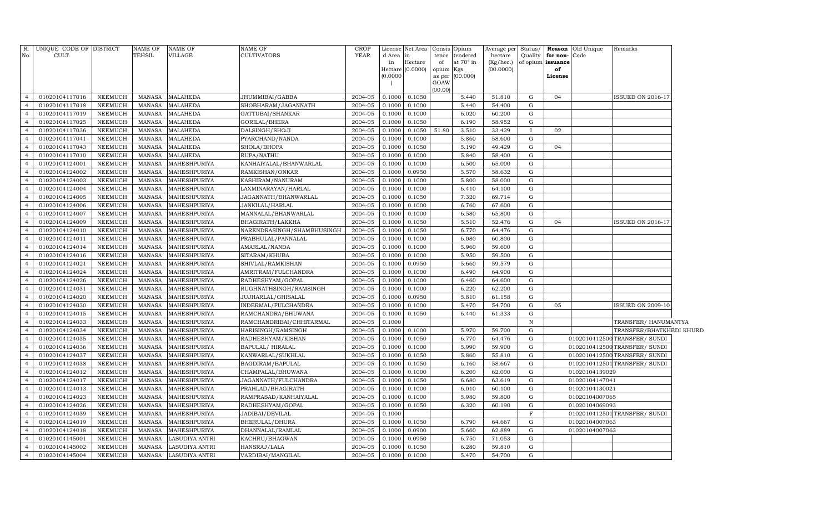| R.<br>No.                        | UNIQUE CODE OF DISTRICT<br>CULT. |                                  | <b>NAME OF</b><br>TEHSIL       | <b>NAME OF</b><br>VILLAGE    | NAME OF<br>CULTIVATORS                    | <b>CROP</b><br>YEAR | d Area           | License Net Area Consis<br>in | tence     | Opium<br>tendered | Average per<br>hectare | Status/<br>Quality | for non-          | <b>Reason</b> Old Unique<br>Code | Remarks                       |  |
|----------------------------------|----------------------------------|----------------------------------|--------------------------------|------------------------------|-------------------------------------------|---------------------|------------------|-------------------------------|-----------|-------------------|------------------------|--------------------|-------------------|----------------------------------|-------------------------------|--|
|                                  |                                  |                                  |                                |                              |                                           |                     | in               | Hectare                       | of        | at 70° in         | (Kg/hec.)              |                    | of opium issuance |                                  |                               |  |
|                                  |                                  |                                  |                                |                              |                                           |                     |                  | Hectare (0.0000)              | opium Kgs |                   | (00.0000)              |                    | of                |                                  |                               |  |
|                                  |                                  |                                  |                                |                              |                                           |                     | (0.0000)         |                               | as per    | (00.000)          |                        |                    | License           |                                  |                               |  |
|                                  |                                  |                                  |                                |                              |                                           |                     |                  |                               | GOAW      |                   |                        |                    |                   |                                  |                               |  |
| $\overline{4}$                   | 01020104117016                   | <b>NEEMUCH</b>                   | MANASA                         | MALAHEDA                     | JHUMMIBAI/GABBA                           | 2004-05             | 0.1000           | 0.1050                        | (00.00)   | 5.440             | 51.810                 | G                  | 04                |                                  | <b>ISSUED ON 2016-17</b>      |  |
| $\overline{4}$                   | 01020104117018                   | <b>NEEMUCH</b>                   | <b>MANASA</b>                  | <b>MALAHEDA</b>              | SHOBHARAM/JAGANNATH                       | 2004-05             | 0.1000           | 0.1000                        |           | 5.440             | 54.400                 | G                  |                   |                                  |                               |  |
| $\overline{4}$                   | 01020104117019                   | <b>NEEMUCH</b>                   | MANASA                         | <b>MALAHEDA</b>              | GATTUBAI/SHANKAR                          | 2004-05             | 0.1000           | 0.1000                        |           | 6.020             | 60.200                 | G                  |                   |                                  |                               |  |
| $\overline{4}$                   | 01020104117025                   | <b>NEEMUCH</b>                   | MANASA                         | <b>MALAHEDA</b>              | GORILAL/BHERA                             | 2004-05             | 0.1000           | 0.1050                        |           | 6.190             | 58.952                 | G                  |                   |                                  |                               |  |
| $\overline{4}$                   | 01020104117036                   | <b>NEEMUCH</b>                   | <b>MANASA</b>                  | <b>MALAHEDA</b>              | DALSINGH/SHOJI                            | 2004-05             | 0.1000           | 0.1050                        | 51.80     | 3.510             | 33.429                 | $\mathbf{I}$       | 02                |                                  |                               |  |
| $\overline{4}$                   | 01020104117041                   | <b>NEEMUCH</b>                   | <b>MANASA</b>                  | <b>MALAHEDA</b>              | PYARCHAND/NANDA                           | 2004-05             | 0.1000           | 0.1000                        |           | 5.860             | 58.600                 | G                  |                   |                                  |                               |  |
| $\overline{4}$                   | 01020104117043                   | <b>NEEMUCH</b>                   | MANASA                         | <b>MALAHEDA</b>              | SHOLA/BHOPA                               | 2004-05             | 0.1000           | 0.1050                        |           | 5.190             | 49.429                 | G                  | 04                |                                  |                               |  |
| $\overline{4}$                   | 01020104117010                   | <b>NEEMUCH</b>                   | <b>MANASA</b>                  | <b>MALAHEDA</b>              | RUPA/NATHU                                | 2004-05             | 0.1000           | 0.1000                        |           | 5.840             | 58.400                 | G                  |                   |                                  |                               |  |
| $\overline{4}$                   | 01020104124001                   | <b>NEEMUCH</b>                   | MANASA                         | MAHESHPURIYA                 | KANHAIYALAL/BHANWARLAL                    | 2004-05             | 0.1000           | 0.1000                        |           | 6.500             | 65.000                 | G                  |                   |                                  |                               |  |
| $\overline{4}$                   | 01020104124002                   | <b>NEEMUCH</b>                   | <b>MANASA</b>                  | MAHESHPURIYA                 | RAMKISHAN/ONKAR                           | 2004-05             | 0.1000           | 0.0950                        |           | 5.570             | 58.632                 | ${\rm G}$          |                   |                                  |                               |  |
| $\overline{4}$                   | 01020104124003                   | <b>NEEMUCH</b>                   | MANASA                         | MAHESHPURIYA                 | KASHIRAM/NANURAM                          | 2004-05             | 0.1000           | 0.1000                        |           | 5.800             | 58.000                 | ${\rm G}$          |                   |                                  |                               |  |
| $\overline{4}$                   | 01020104124004                   | <b>NEEMUCH</b>                   | <b>MANASA</b>                  | MAHESHPURIYA                 | LAXMINARAYAN/HARLAL                       | 2004-05             | 0.1000           | 0.1000                        |           | 6.410             | 64.100                 | ${\rm G}$          |                   |                                  |                               |  |
| $\overline{4}$                   | 01020104124005                   | <b>NEEMUCH</b>                   | MANASA                         | MAHESHPURIYA                 | JAGANNATH/BHANWARLAL                      | 2004-05             | 0.1000           | 0.1050                        |           | 7.320             | 69.714                 | ${\rm G}$          |                   |                                  |                               |  |
| $\overline{4}$                   | 01020104124006                   | <b>NEEMUCH</b>                   | MANASA                         | MAHESHPURIYA                 | JANKILAL/HARLAL                           | 2004-05             | 0.1000           | 0.1000                        |           | 6.760             | 67.600                 | ${\rm G}$          |                   |                                  |                               |  |
| $\overline{4}$                   | 01020104124007                   | <b>NEEMUCH</b>                   | MANASA                         | MAHESHPURIYA                 | MANNALAL/BHANWARLAL                       | 2004-05             | 0.1000           | 0.1000                        |           | 6.580             | 65.800                 | ${\rm G}$          |                   |                                  |                               |  |
| $\overline{4}$                   | 01020104124009                   | <b>NEEMUCH</b>                   | MANASA                         | MAHESHPURIYA                 | BHAGIRATH/LAKKHA                          | 2004-05             | 0.1000           | 0.1050                        |           | 5.510             | 52.476                 | ${\rm G}$          | 04                |                                  | ISSUED ON 2016-17             |  |
| $\overline{4}$                   | 01020104124010                   | <b>NEEMUCH</b>                   | MANASA                         | MAHESHPURIYA                 | NARENDRASINGH/SHAMBHUSINGH                | 2004-05             | 0.1000           | 0.1050                        |           | 6.770             | 64.476                 | $\mathbf G$        |                   |                                  |                               |  |
| $\overline{4}$                   | 01020104124011                   | <b>NEEMUCH</b>                   | MANASA                         | MAHESHPURIYA                 | PRABHULAL/PANNALAL                        | 2004-05             | 0.1000           | 0.1000                        |           | 6.080             | 60.800                 | ${\rm G}$          |                   |                                  |                               |  |
| $\overline{4}$                   | 01020104124014                   | <b>NEEMUCH</b>                   | MANASA                         | MAHESHPURIYA                 | AMARLAL/NANDA                             | 2004-05             | 0.1000           | 0.1000                        |           | 5.960             | 59.600                 | ${\rm G}$          |                   |                                  |                               |  |
| $\overline{4}$                   | 01020104124016                   | <b>NEEMUCH</b>                   | <b>MANASA</b>                  | MAHESHPURIYA                 | SITARAM/KHUBA                             | 2004-05             | 0.1000           | 0.1000                        |           | 5.950             | 59.500                 | ${\rm G}$          |                   |                                  |                               |  |
| $\overline{4}$                   | 01020104124021                   | NEEMUCH                          | MANASA                         | MAHESHPURIYA                 | SHIVLAL/RAMKISHAN                         | 2004-05             | 0.1000           | 0.0950                        |           | 5.660             | 59.579                 | ${\rm G}$          |                   |                                  |                               |  |
| $\overline{4}$                   | 01020104124024                   | <b>NEEMUCH</b>                   | <b>MANASA</b>                  | MAHESHPURIYA                 | AMRITRAM/FULCHANDRA                       | 2004-05             | 0.1000           | 0.1000                        |           | 6.490             | 64.900                 | ${\rm G}$          |                   |                                  |                               |  |
| $\overline{4}$                   | 01020104124026                   | <b>NEEMUCH</b>                   | <b>MANASA</b>                  | MAHESHPURIYA                 | RADHESHYAM/GOPAL                          | 2004-05             | 0.1000           | 0.1000                        |           | 6.460             | 64.600                 | G                  |                   |                                  |                               |  |
| $\overline{4}$                   | 01020104124031                   | <b>NEEMUCH</b>                   | <b>MANASA</b>                  | MAHESHPURIYA                 | RUGHNATHSINGH/RAMSINGH                    | 2004-05             | 0.1000           | 0.1000                        |           | 6.220             | 62.200                 | ${\rm G}$          |                   |                                  |                               |  |
| $\overline{4}$                   | 01020104124020                   | <b>NEEMUCH</b>                   | <b>MANASA</b>                  | MAHESHPURIYA                 | JUJHARLAL/GHISALAL                        | 2004-05             | 0.1000           | 0.0950                        |           | 5.810             | 61.158                 | ${\rm G}$          |                   |                                  |                               |  |
| $\overline{4}$                   | 01020104124030                   | <b>NEEMUCH</b>                   | <b>MANASA</b>                  | MAHESHPURIYA                 | INDERMAL/FULCHANDRA                       | 2004-05             | 0.1000           | 0.1000                        |           | 5.470             | 54.700                 | ${\rm G}$          | 05                |                                  | <b>ISSUED ON 2009-10</b>      |  |
| $\overline{4}$                   | 01020104124015                   | <b>NEEMUCH</b>                   | <b>MANASA</b>                  | MAHESHPURIYA                 | RAMCHANDRA/BHUWANA                        | 2004-05             | 0.1000           | 0.1050                        |           | 6.440             | 61.333                 | G                  |                   |                                  |                               |  |
| $\overline{4}$                   | 01020104124033                   | <b>NEEMUCH</b>                   | <b>MANASA</b>                  | MAHESHPURIYA                 | RAMCHANDRIBAI/CHHITARMAL                  | 2004-05             | 0.1000           |                               |           |                   |                        | $\, {\bf N}$       |                   |                                  | TRANSFER/ HANUMANTYA          |  |
| $\overline{4}$                   | 01020104124034                   | <b>NEEMUCH</b>                   | <b>MANASA</b>                  | MAHESHPURIYA                 | HARISINGH/RAMSINGH                        | 2004-05             | 0.1000           | 0.1000                        |           | 5.970             | 59.700                 | ${\rm G}$          |                   |                                  | TRANSFER/BHATKHEDI KHURD      |  |
| $\overline{4}$                   | 01020104124035                   | <b>NEEMUCH</b>                   | <b>MANASA</b>                  | MAHESHPURIYA                 | RADHESHYAM/KISHAN                         | 2004-05             | 0.1000           | 0.1050                        |           | 6.770             | 64.476                 | ${\rm G}$          |                   |                                  | 0102010412500 TRANSFER/ SUNDI |  |
| $\overline{4}$                   | 01020104124036                   | NEEMUCH                          | <b>MANASA</b>                  | MAHESHPURIYA                 | BAPULAL/HIRALAL                           | 2004-05             | 0.1000           | 0.1000                        |           | 5.990             | 59.900                 | ${\rm G}$          |                   |                                  | 0102010412500 TRANSFER/ SUNDI |  |
| $\overline{4}$                   | 01020104124037                   | <b>NEEMUCH</b>                   | <b>MANASA</b>                  | MAHESHPURIYA                 | KANWARLAL/SUKHLAL                         | 2004-05             | 0.1000           | 0.1050                        |           | 5.860             | 55.810                 | ${\rm G}$          |                   |                                  | 0102010412500 TRANSFER/ SUNDI |  |
| $\overline{4}$                   | 01020104124038                   | <b>NEEMUCH</b>                   | <b>MANASA</b>                  | MAHESHPURIYA                 | BAGDIRAM/BAPULAL                          | 2004-05             | 0.1000           | 0.1050                        |           | 6.160             | 58.667                 | ${\rm G}$          |                   |                                  | 0102010412501 TRANSFER/ SUNDI |  |
| $\overline{4}$                   | 01020104124012                   | <b>NEEMUCH</b>                   | <b>MANASA</b>                  | MAHESHPURIYA                 | CHAMPALAL/BHUWANA                         | 2004-05             | 0.1000           | 0.1000                        |           | 6.200             | 62.000                 | ${\rm G}$          |                   | 01020104139029                   |                               |  |
| $\overline{4}$<br>$\overline{4}$ | 01020104124017                   | <b>NEEMUCH</b>                   | <b>MANASA</b>                  | MAHESHPURIYA                 | JAGANNATH/FULCHANDRA                      | 2004-05             | 0.1000           | 0.1050                        |           | 6.680             | 63.619                 | G<br>${\rm G}$     |                   | 01020104147041                   |                               |  |
| $\overline{4}$                   | 01020104124013                   | NEEMUCH                          | <b>MANASA</b>                  | MAHESHPURIYA                 | PRAHLAD/BHAGIRATH                         | 2004-05             | 0.1000           | 0.1000                        |           | 6.010             | 60.100                 |                    |                   | 01020104130021                   |                               |  |
| $\overline{4}$                   | 01020104124023<br>01020104124026 | <b>NEEMUCH</b><br><b>NEEMUCH</b> | <b>MANASA</b>                  | MAHESHPURIYA<br>MAHESHPURIYA | RAMPRASAD/KANHAIYALAL<br>RADHESHYAM/GOPAL | 2004-05<br>2004-05  | 0.1000<br>0.1000 | 0.1000<br>0.1050              |           | 5.980<br>6.320    | 59.800<br>60.190       | G<br>${\rm G}$     |                   | 01020104007065<br>01020104069093 |                               |  |
| $\overline{4}$                   | 01020104124039                   | <b>NEEMUCH</b>                   | <b>MANASA</b><br><b>MANASA</b> | MAHESHPURIYA                 | JADIBAI/DEVILAL                           | 2004-05             | 0.1000           |                               |           |                   |                        | $\mathbf F$        |                   |                                  | 0102010412501 TRANSFER/ SUNDI |  |
| $\overline{4}$                   | 01020104124019                   | <b>NEEMUCH</b>                   | <b>MANASA</b>                  | MAHESHPURIYA                 | BHERULAL/DHURA                            | 2004-05             | 0.1000           | 0.1050                        |           | 6.790             | 64.667                 | G                  |                   | 01020104007063                   |                               |  |
| $\overline{4}$                   | 01020104124018                   | <b>NEEMUCH</b>                   | <b>MANASA</b>                  | MAHESHPURIYA                 | DHANNALAL/RAMLAL                          | 2004-05             | 0.1000           | 0.0900                        |           | 5.660             | 62.889                 | G                  |                   | 01020104007063                   |                               |  |
| $\overline{4}$                   | 01020104145001                   | <b>NEEMUCH</b>                   | <b>MANASA</b>                  | LASUDIYA ANTRI               | KACHRU/BHAGWAN                            | 2004-05             | 0.1000           | 0.0950                        |           | 6.750             | 71.053                 | G                  |                   |                                  |                               |  |
| $\overline{4}$                   | 01020104145002                   | <b>NEEMUCH</b>                   | <b>MANASA</b>                  | LASUDIYA ANTRI               | HANSRAJ/LALA                              | 2004-05             | 0.1000           | 0.1050                        |           | 6.280             | 59.810                 | G                  |                   |                                  |                               |  |
| $\overline{4}$                   | 01020104145004                   | NEEMUCH                          | MANASA                         | <b>LASUDIYA ANTRI</b>        | VARDIBAI/MANGILAL                         | 2004-05             | 0.1000           | 0.1000                        |           | 5.470             | 54.700                 | $\mathbf G$        |                   |                                  |                               |  |
|                                  |                                  |                                  |                                |                              |                                           |                     |                  |                               |           |                   |                        |                    |                   |                                  |                               |  |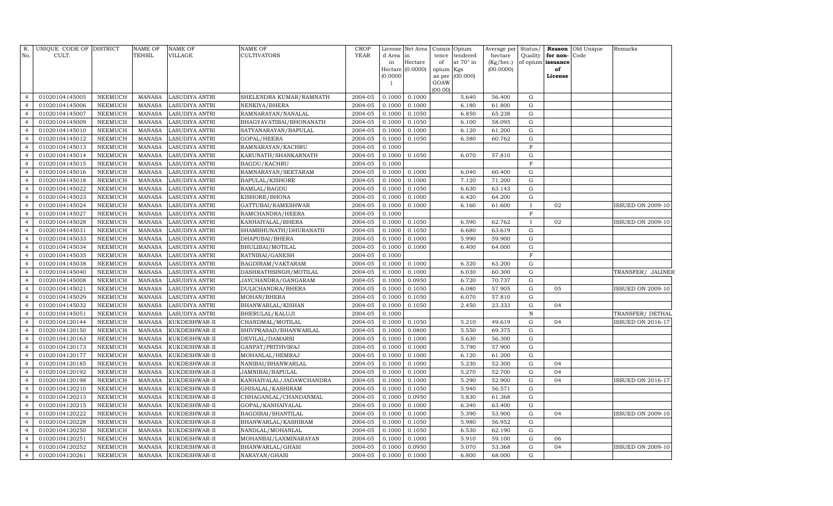|                                  | R. UNIQUE CODE OF DISTRICT       |                    | <b>NAME OF</b>   | <b>NAME OF</b>                 | NAME OF                                 | CROP               |                  | License Net Area Consis Opium |                 |                       | Average per          |                |                                           | Status/ Reason Old Unique | Remarks                  |
|----------------------------------|----------------------------------|--------------------|------------------|--------------------------------|-----------------------------------------|--------------------|------------------|-------------------------------|-----------------|-----------------------|----------------------|----------------|-------------------------------------------|---------------------------|--------------------------|
| No.                              | CULT.                            |                    | TEHSIL           | VILLAGE                        | <b>CULTIVATORS</b>                      | YEAR               | d Area in<br>in  | Hectare                       | tence<br>of     | tendered<br>at 70° in | hectare<br>(Kg/hec.) |                | Quality for non-Code<br>of opium issuance |                           |                          |
|                                  |                                  |                    |                  |                                |                                         |                    |                  | Hectare (0.0000)              | opium Kgs       |                       | (00.0000)            |                | of                                        |                           |                          |
|                                  |                                  |                    |                  |                                |                                         |                    | (0.0000)         |                               | as per          | (00.000)              |                      |                | License                                   |                           |                          |
|                                  |                                  |                    |                  |                                |                                         |                    | $\overline{1}$   |                               | GOAW<br>(00.00) |                       |                      |                |                                           |                           |                          |
| $\overline{4}$                   | 01020104145005                   | NEEMUCH            | MANASA           | <b>LASUDIYA ANTRI</b>          | SHELENDRA KUMAR/RAMNATH                 | 2004-05            | 0.1000           | 0.1000                        |                 | 5.640                 | 56.400               | $\mathbf G$    |                                           |                           |                          |
| $\overline{4}$                   | 01020104145006                   | <b>NEEMUCH</b>     | MANASA           | LASUDIYA ANTRI                 | NENKIYA/BHERA                           | 2004-05            | 0.1000           | 0.1000                        |                 | 6.180                 | 61.800               | $\mathbf G$    |                                           |                           |                          |
| $\overline{4}$                   | 01020104145007                   | NEEMUCH            | MANASA           | <b>LASUDIYA ANTRI</b>          | RAMNARAYAN/NANALAL                      | 2004-05            | 0.1000           | 0.1050                        |                 | 6.850                 | 65.238               | G              |                                           |                           |                          |
| $\overline{4}$                   | 01020104145009                   | NEEMUCH            | MANASA           | <b>LASUDIYA ANTRI</b>          | BHAGYAVATIBAI/BHONANATH                 | 2004-05            | 0.1000           | 0.1050                        |                 | 6.100                 | 58.095               | G              |                                           |                           |                          |
| $\overline{4}$                   | 01020104145010                   | NEEMUCH            | MANASA           | <b>LASUDIYA ANTRI</b>          | SATYANARAYAN/BAPULAL                    | 2004-05            | 0.1000           | 0.1000                        |                 | 6.120                 | 61.200               | ${\rm G}$      |                                           |                           |                          |
| $\overline{4}$                   | 01020104145012                   | NEEMUCH            | MANASA           | <b>LASUDIYA ANTRI</b>          | GOPAL/HEERA                             | 2004-05            | 0.1000           | 0.1050                        |                 | 6.380                 | 60.762               | G              |                                           |                           |                          |
| $\overline{4}$                   | 01020104145013                   | NEEMUCH            | MANASA           | <b>LASUDIYA ANTRI</b>          | RAMNARAYAN/KACHRU                       | 2004-05            | 0.1000           |                               |                 |                       |                      | $\mathbf F$    |                                           |                           |                          |
| $\overline{4}$                   | 01020104145014                   | NEEMUCH            | MANASA           | LASUDIYA ANTRI                 | KARUNATH/SHANKARNATH                    | 2004-05            |                  | $0.1000$ 0.1050               |                 | 6.070                 | 57.810               | ${\rm G}$      |                                           |                           |                          |
| $\overline{4}$                   | 01020104145015                   | NEEMUCH            | MANASA           | LASUDIYA ANTRI                 | BAGDU/KACHRU                            | 2004-05            | 0.1000           |                               |                 |                       |                      | $\mathbf F$    |                                           |                           |                          |
| $\overline{4}$                   | 01020104145016                   | NEEMUCH            | MANASA           | LASUDIYA ANTRI                 | RAMNARAYAN/SEETARAM                     | 2004-05            |                  | $0.1000 \quad 0.1000$         |                 | 6.040                 | 60.400               | $\mathbf G$    |                                           |                           |                          |
| $\overline{4}$                   | 01020104145018                   | NEEMUCH            | MANASA           | LASUDIYA ANTRI                 | BAPULAL/KISHORE                         | 2004-05            | 0.1000           | 0.1000                        |                 | 7.120                 | 71.200               | $\mathbf G$    |                                           |                           |                          |
| $\overline{4}$                   | 01020104145022                   | NEEMUCH            | <b>MANASA</b>    | LASUDIYA ANTRI                 | RAMLAL/BAGDU                            | 2004-05            | 0.1000           | 0.1050                        |                 | 6.630                 | 63.143               | G              |                                           |                           |                          |
| $\overline{4}$                   | 01020104145023                   | NEEMUCH            | MANASA           | LASUDIYA ANTRI                 | KISHORE/BHONA                           | 2004-05            | 0.1000           | 0.1000                        |                 | 6.420                 | 64.200               | G              |                                           |                           |                          |
| $\overline{4}$                   | 01020104145024                   | NEEMUCH            | <b>MANASA</b>    | <b>LASUDIYA ANTRI</b>          | GATTUBAI/RAMESHWAR                      | 2004-05            | 0.1000           | 0.1000                        |                 | 6.160                 | 61.600               |                | 02                                        |                           | ISSUED ON 2009-10        |
| $\overline{4}$                   | 01020104145027                   | NEEMUCH            | MANASA           | <b>LASUDIYA ANTRI</b>          | RAMCHANDRA/HEERA                        | 2004-05            | 0.1000           |                               |                 |                       |                      | $\mathbf{F}$   |                                           |                           |                          |
| $\overline{4}$                   | 01020104145028                   | NEEMUCH            | MANASA           | LASUDIYA ANTRI                 | KANHAIYALAL/BHERA                       | 2004-05            | 0.1000           | 0.1050                        |                 | 6.590                 | 62.762               |                | 02                                        |                           | <b>ISSUED ON 2009-10</b> |
| $\overline{4}$                   | 01020104145031                   | NEEMUCH            | MANASA           | <b>LASUDIYA ANTRI</b>          | SHAMBHUNATH/DHURANATH                   | 2004-05            | 0.1000           | 0.1050                        |                 | 6.680                 | 63.619               | ${\rm G}$      |                                           |                           |                          |
| $\overline{4}$                   | 01020104145033                   | NEEMUCH            | MANASA           | <b>LASUDIYA ANTRI</b>          | DHAPUBAI/BHERA                          | 2004-05            | 0.1000           | 0.1000                        |                 | 5.990                 | 59.900               | G              |                                           |                           |                          |
| $\overline{4}$                   | 01020104145034                   | NEEMUCH            | MANASA           | LASUDIYA ANTRI                 | BHULIBAI/MOTILAL                        | 2004-05            | 0.1000           | 0.1000                        |                 | 6.400                 | 64.000               | $\mathbf G$    |                                           |                           |                          |
| $\overline{4}$                   | 01020104145035                   | NEEMUCH            | MANASA           | <b>LASUDIYA ANTRI</b>          | RATNIBAI/GANESH                         | 2004-05            | 0.1000           |                               |                 |                       |                      | F              |                                           |                           |                          |
| $\overline{4}$                   | 01020104145038                   | NEEMUCH            | MANASA           | LASUDIYA ANTRI                 | BAGDIRAM/VAKTARAM                       | 2004-05            | 0.1000           | 0.1000                        |                 | 6.320                 | 63.200               | G              |                                           |                           |                          |
| $\overline{4}$                   | 01020104145040                   | NEEMUCH            | MANASA           | LASUDIYA ANTRI                 | DASHRATHSINGH/MOTILAL                   | 2004-05            | 0.1000           | 0.1000                        |                 | 6.030                 | 60.300               | $\mathbf G$    |                                           |                           | TRANSFER/ JALINER        |
| $\overline{4}$                   | 01020104145008                   | NEEMUCH            | MANASA           | LASUDIYA ANTRI                 | JAYCHANDRA/GANGARAM                     | 2004-05            | 0.1000           | 0.0950                        |                 | 6.720                 | 70.737               | ${\rm G}$      |                                           |                           |                          |
| $\overline{4}$                   | 01020104145021                   | NEEMUCH            | MANASA           | LASUDIYA ANTRI                 | DULICHANDRA/BHERA                       | 2004-05            | 0.1000           | 0.1050                        |                 | 6.080                 | 57.905               | ${\rm G}$      | 05                                        |                           | <b>ISSUED ON 2009-10</b> |
| $\overline{4}$                   | 01020104145029                   | NEEMUCH            | MANASA           | LASUDIYA ANTRI                 | MOHAN/BHERA                             | 2004-05            | 0.1000           | 0.1050                        |                 | 6.070                 | 57.810               | ${\rm G}$      |                                           |                           |                          |
| $\overline{4}$                   | 01020104145032                   | NEEMUCH            | MANASA           | LASUDIYA ANTRI                 | BHANWARLAL/KISHAN                       | 2004-05            | 0.1000           | 0.1050                        |                 | 2.450                 | 23.333               | ${\rm G}$      | 04                                        |                           |                          |
| $\overline{4}$                   | 01020104145051                   | NEEMUCH            | <b>MANASA</b>    | LASUDIYA ANTRI                 | BHERULAL/KALUJI                         | 2004-05            | 0.1000           |                               |                 |                       |                      | $\mathbb N$    |                                           |                           | TRANSFER/DETHAL          |
| $\overline{4}$                   | 01020104120144                   | NEEMUCH            | <b>MANASA</b>    | KUKDESHWAR-II                  | CHANDMAL/MOTILAL                        | 2004-05            | 0.1000           | 0.1050                        |                 | 5.210                 | 49.619               | G              | 04                                        |                           | <b>ISSUED ON 2016-17</b> |
| $\overline{4}$                   | 01020104120150                   | NEEMUCH            | MANASA           | KUKDESHWAR-II                  | SHIVPRASAD/BHANWARLAL                   | 2004-05            | 0.1000           | 0.0800                        |                 | 5.550                 | 69.375               | G              |                                           |                           |                          |
| $\overline{4}$                   | 01020104120163                   | NEEMUCH            | <b>MANASA</b>    | KUKDESHWAR-II                  | DEVILAL/DAMARSI                         | 2004-05            | 0.1000           | 0.1000                        |                 | 5.630                 | 56.300               | G              |                                           |                           |                          |
| $\overline{4}$                   | 01020104120173                   | <b>NEEMUCH</b>     | <b>MANASA</b>    | KUKDESHWAR-II                  | GANPAT/PRITHVIRAJ                       | 2004-05            | 0.1000           | 0.1000                        |                 | 5.790                 | 57.900               | ${\rm G}$      |                                           |                           |                          |
| $\overline{4}$                   | 01020104120177                   | NEEMUCH            | <b>MANASA</b>    | KUKDESHWAR-II                  | MOHANLAL/HEMRAJ                         | 2004-05            | 0.1000           | 0.1000                        |                 | 6.120                 | 61.200               | G              |                                           |                           |                          |
| $\overline{4}$                   | 01020104120185                   | <b>NEEMUCH</b>     | MANASA           | KUKDESHWAR-II                  | NANIBAI/BHANWARLAL                      | 2004-05            | 0.1000           | 0.1000                        |                 | 5.230                 | 52.300               | G              | 04                                        |                           |                          |
| $\overline{4}$                   | 01020104120192                   | NEEMUCH            | MANASA           | KUKDESHWAR-II                  | JAMNIBAI/BAPULAL                        | 2004-05            | 0.1000           | 0.1000                        |                 | 5.270                 | 52.700               | ${\rm G}$      | 04                                        |                           |                          |
| $\overline{4}$                   | 01020104120198                   | NEEMUCH            | MANASA           | KUKDESHWAR-II                  | KANHAIYALAL/JADAWCHANDRA                | 2004-05            | 0.1000           | 0.1000                        |                 | 5.290                 | 52.900               | G              | 04                                        |                           | <b>ISSUED ON 2016-17</b> |
| $\overline{4}$<br>$\overline{4}$ | 01020104120210<br>01020104120213 | NEEMUCH            | MANASA           | KUKDESHWAR-II                  | GHISALAL/KASHIRAM                       | 2004-05<br>2004-05 | 0.1000           | 0.1050<br>0.0950              |                 | 5.940<br>5.830        | 56.571               | G<br>${\rm G}$ |                                           |                           |                          |
| $\overline{4}$                   | 01020104120215                   | NEEMUCH<br>NEEMUCH | MANASA<br>MANASA | KUKDESHWAR-II<br>KUKDESHWAR-II | CHHAGANLAL/CHANDANMAL                   | 2004-05            | 0.1000<br>0.1000 | 0.1000                        |                 | 6.340                 | 61.368<br>63.400     | G              |                                           |                           |                          |
| $\overline{4}$                   | 01020104120222                   | NEEMUCH            | MANASA           | KUKDESHWAR-II                  | GOPAL/KANHAIYALAL<br>BAGDIBAI/SHANTILAL | 2004-05            | 0.1000           | 0.1000                        |                 | 5.390                 | 53.900               | G              | 04                                        |                           | <b>ISSUED ON 2009-10</b> |
| $\overline{4}$                   | 01020104120228                   | NEEMUCH            | MANASA           | KUKDESHWAR-II                  | BHANWARLAL/KASHIRAM                     | 2004-05            | 0.1000           | 0.1050                        |                 | 5.980                 | 56.952               | G              |                                           |                           |                          |
| $\overline{4}$                   | 01020104120250                   | NEEMUCH            | MANASA           | KUKDESHWAR-II                  | NANDLAL/MOHANLAL                        | 2004-05            | 0.1000           | 0.1050                        |                 | 6.530                 | 62.190               | G              |                                           |                           |                          |
| $\overline{4}$                   | 01020104120251                   | NEEMUCH            | <b>MANASA</b>    | KUKDESHWAR-II                  | MOHANBAI/LAXMINARAYAN                   | 2004-05            | 0.1000           | 0.1000                        |                 | 5.910                 | 59.100               | G              | 06                                        |                           |                          |
| $\overline{4}$                   | 01020104120252                   | <b>NEEMUCH</b>     | MANASA           | KUKDESHWAR-II                  | BHANWARLAL/GHASI                        | 2004-05            | 0.1000           | 0.0950                        |                 | 5.070                 | 53.368               | G              | 04                                        |                           | <b>ISSUED ON 2009-10</b> |
| $\overline{4}$                   | 01020104120261                   | NEEMUCH            | MANASA           | KUKDESHWAR-II                  | NARAYAN/GHASI                           | 2004-05            | 0.1000           | 0.1000                        |                 | 6.800                 | 68.000               | G              |                                           |                           |                          |
|                                  |                                  |                    |                  |                                |                                         |                    |                  |                               |                 |                       |                      |                |                                           |                           |                          |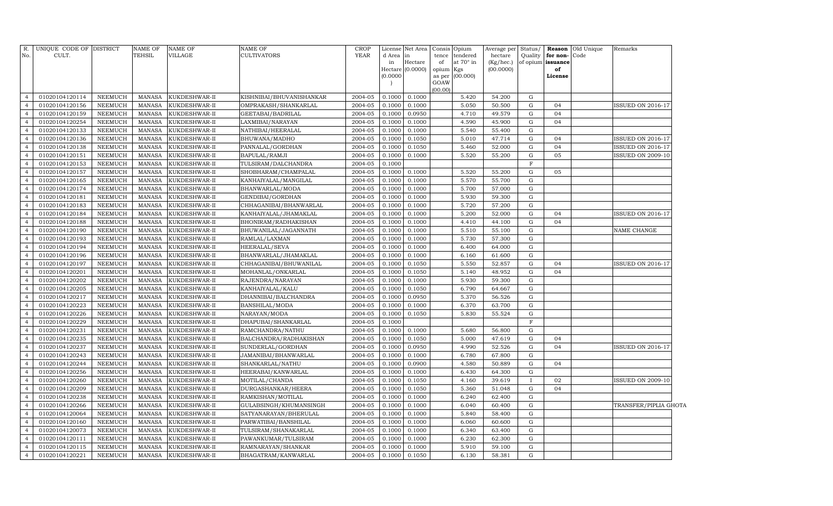| R.<br>No.      | UNIQUE CODE OF DISTRICT<br>CULT. |                | <b>NAME OF</b><br>TEHSIL | NAME OF<br>VILLAGE | <b>NAME OF</b><br><b>CULTIVATORS</b> | <b>CROP</b><br><b>YEAR</b> | d Area<br>in<br>(0.0000) | License Net Area<br>in<br>Hectare<br>Hectare (0.0000) | tence<br>of<br>opium Kgs<br>as per<br>GOAW | Consis Opium<br>tendered<br>at $70^\circ$ in<br>(00.000) | Average per<br>hectare<br>(Kg/hec.)<br>(00.0000) | Status/      | Quality for non-Code<br>of opium issuance<br>of<br>License | <b>Reason</b> Old Unique | Remarks                  |  |
|----------------|----------------------------------|----------------|--------------------------|--------------------|--------------------------------------|----------------------------|--------------------------|-------------------------------------------------------|--------------------------------------------|----------------------------------------------------------|--------------------------------------------------|--------------|------------------------------------------------------------|--------------------------|--------------------------|--|
|                |                                  |                |                          |                    |                                      |                            |                          |                                                       | (00.00)                                    |                                                          |                                                  |              |                                                            |                          |                          |  |
| $\overline{4}$ | 01020104120114                   | <b>NEEMUCH</b> | MANASA                   | KUKDESHWAR-II      | KISHNIBAI/BHUVANISHANKAR             | 2004-05                    | 0.1000                   | 0.1000                                                |                                            | 5.420                                                    | 54.200                                           | G            |                                                            |                          |                          |  |
| $\overline{4}$ | 01020104120156                   | <b>NEEMUCH</b> | <b>MANASA</b>            | KUKDESHWAR-II      | OMPRAKASH/SHANKARLAL                 | 2004-05                    | 0.1000                   | 0.1000                                                |                                            | 5.050                                                    | 50.500                                           | G            | 04                                                         |                          | <b>ISSUED ON 2016-17</b> |  |
| $\overline{4}$ | 01020104120159                   | <b>NEEMUCH</b> | MANASA                   | KUKDESHWAR-II      | GEETABAI/BADRILAL                    | 2004-05                    | 0.1000                   | 0.0950                                                |                                            | 4.710                                                    | 49.579                                           | G            | 04                                                         |                          |                          |  |
| $\overline{4}$ | 01020104120254                   | <b>NEEMUCH</b> | <b>MANASA</b>            | KUKDESHWAR-II      | LAXMIBAI/NARAYAN                     | 2004-05                    | 0.1000                   | 0.1000                                                |                                            | 4.590                                                    | 45.900                                           | G            | 04                                                         |                          |                          |  |
| $\overline{4}$ | 01020104120133                   | <b>NEEMUCH</b> | <b>MANASA</b>            | KUKDESHWAR-II      | NATHIBAI/HEERALAL                    | 2004-05                    | 0.1000                   | 0.1000                                                |                                            | 5.540                                                    | 55.400                                           | G            |                                                            |                          |                          |  |
| $\overline{4}$ | 01020104120136                   | <b>NEEMUCH</b> | <b>MANASA</b>            | KUKDESHWAR-II      | BHUWANA/MADHO                        | 2004-05                    | 0.1000                   | 0.1050                                                |                                            | 5.010                                                    | 47.714                                           | G            | 04                                                         |                          | <b>ISSUED ON 2016-17</b> |  |
| $\overline{4}$ | 01020104120138                   | <b>NEEMUCH</b> | <b>MANASA</b>            | KUKDESHWAR-II      | PANNALAL/GORDHAN                     | 2004-05                    | 0.1000                   | 0.1050                                                |                                            | 5.460                                                    | 52.000                                           | G            | 04                                                         |                          | <b>ISSUED ON 2016-17</b> |  |
| $\overline{4}$ | 01020104120151                   | <b>NEEMUCH</b> | <b>MANASA</b>            | KUKDESHWAR-II      | BAPULAL/RAMJI                        | 2004-05                    | 0.1000                   | 0.1000                                                |                                            | 5.520                                                    | 55.200                                           | G            | 05                                                         |                          | <b>ISSUED ON 2009-10</b> |  |
| $\overline{4}$ | 01020104120153                   | <b>NEEMUCH</b> | <b>MANASA</b>            | KUKDESHWAR-II      | TULSIRAM/DALCHANDRA                  | 2004-05                    | 0.1000                   |                                                       |                                            |                                                          |                                                  | $\mathbf F$  |                                                            |                          |                          |  |
| $\overline{4}$ | 01020104120157                   | <b>NEEMUCH</b> | <b>MANASA</b>            | KUKDESHWAR-II      | SHOBHARAM/CHAMPALAL                  | 2004-05                    | 0.1000                   | 0.1000                                                |                                            | 5.520                                                    | 55.200                                           | G            | 05                                                         |                          |                          |  |
| $\overline{4}$ | 01020104120165                   | <b>NEEMUCH</b> | <b>MANASA</b>            | KUKDESHWAR-II      | KANHAIYALAL/MANGILAL                 | 2004-05                    | 0.1000                   | 0.1000                                                |                                            | 5.570                                                    | 55.700                                           | G            |                                                            |                          |                          |  |
| $\overline{4}$ | 01020104120174                   | <b>NEEMUCH</b> | <b>MANASA</b>            | KUKDESHWAR-II      | BHANWARLAL/MODA                      | 2004-05                    | 0.1000                   | 0.1000                                                |                                            | 5.700                                                    | 57.000                                           | G            |                                                            |                          |                          |  |
| $\overline{4}$ | 01020104120181                   | <b>NEEMUCH</b> | <b>MANASA</b>            | KUKDESHWAR-II      | GENDIBAI/GORDHAN                     | 2004-05                    | 0.1000                   | 0.1000                                                |                                            | 5.930                                                    | 59.300                                           | G            |                                                            |                          |                          |  |
| $\overline{4}$ | 01020104120183                   | <b>NEEMUCH</b> | <b>MANASA</b>            | KUKDESHWAR-II      | CHHAGANIBAI/BHANWARLAL               | 2004-05                    | 0.1000                   | 0.1000                                                |                                            | 5.720                                                    | 57.200                                           | G            |                                                            |                          |                          |  |
| $\overline{4}$ | 01020104120184                   | <b>NEEMUCH</b> | <b>MANASA</b>            | KUKDESHWAR-II      | KANHAIYALAL/JHAMAKLAL                | 2004-05                    | 0.1000                   | 0.1000                                                |                                            | 5.200                                                    | 52.000                                           | ${\rm G}$    | 04                                                         |                          | <b>ISSUED ON 2016-17</b> |  |
| $\overline{4}$ | 01020104120188                   | <b>NEEMUCH</b> | <b>MANASA</b>            | KUKDESHWAR-II      | BHONIRAM/RADHAKISHAN                 | 2004-05                    | 0.1000                   | 0.1000                                                |                                            | 4.410                                                    | 44.100                                           | G            | 04                                                         |                          |                          |  |
| $\overline{4}$ | 01020104120190                   | <b>NEEMUCH</b> | <b>MANASA</b>            | KUKDESHWAR-II      | BHUWANILAL/JAGANNATH                 | 2004-05                    | 0.1000                   | 0.1000                                                |                                            | 5.510                                                    | 55.100                                           | G            |                                                            |                          | NAME CHANGE              |  |
| $\overline{4}$ | 01020104120193                   | <b>NEEMUCH</b> | <b>MANASA</b>            | KUKDESHWAR-II      | RAMLAL/LAXMAN                        | 2004-05                    | 0.1000                   | 0.1000                                                |                                            | 5.730                                                    | 57.300                                           | G            |                                                            |                          |                          |  |
| $\overline{4}$ | 01020104120194                   | <b>NEEMUCH</b> | <b>MANASA</b>            | KUKDESHWAR-II      | HEERALAL/SEVA                        | 2004-05                    | 0.1000                   | 0.1000                                                |                                            | 6.400                                                    | 64.000                                           | G            |                                                            |                          |                          |  |
| $\overline{4}$ | 01020104120196                   | <b>NEEMUCH</b> | <b>MANASA</b>            | KUKDESHWAR-II      | BHANWARLAL/JHAMAKLAL                 | 2004-05                    | 0.1000                   | 0.1000                                                |                                            | 6.160                                                    | 61.600                                           | G            |                                                            |                          |                          |  |
| $\overline{4}$ | 01020104120197                   | <b>NEEMUCH</b> | <b>MANASA</b>            | KUKDESHWAR-II      | CHHAGANIBAI/BHUWANILAL               | 2004-05                    | 0.1000                   | 0.1050                                                |                                            | 5.550                                                    | 52.857                                           | G            | 04                                                         |                          | <b>ISSUED ON 2016-17</b> |  |
| $\overline{4}$ | 01020104120201                   | <b>NEEMUCH</b> | <b>MANASA</b>            | KUKDESHWAR-II      | MOHANLAL/ONKARLAL                    | 2004-05                    | 0.1000                   | 0.1050                                                |                                            | 5.140                                                    | 48.952                                           | G            | 04                                                         |                          |                          |  |
| $\overline{4}$ | 01020104120202                   | <b>NEEMUCH</b> | <b>MANASA</b>            | KUKDESHWAR-II      | RAJENDRA/NARAYAN                     | 2004-05                    | 0.1000                   | 0.1000                                                |                                            | 5.930                                                    | 59.300                                           | G            |                                                            |                          |                          |  |
| $\overline{4}$ | 01020104120205                   | <b>NEEMUCH</b> | <b>MANASA</b>            | KUKDESHWAR-II      | KANHAIYALAL/KALU                     | 2004-05                    | 0.1000                   | 0.1050                                                |                                            | 6.790                                                    | 64.667                                           | G            |                                                            |                          |                          |  |
| $\overline{4}$ | 01020104120217                   | <b>NEEMUCH</b> | <b>MANASA</b>            | KUKDESHWAR-II      | DHANNIBAI/BALCHANDRA                 | 2004-05                    | 0.1000                   | 0.0950                                                |                                            | 5.370                                                    | 56.526                                           | G            |                                                            |                          |                          |  |
| $\overline{4}$ | 01020104120223                   | <b>NEEMUCH</b> | MANASA                   | KUKDESHWAR-II      | BANSHILAL/MODA                       | 2004-05                    | 0.1000                   | 0.1000                                                |                                            | 6.370                                                    | 63.700                                           | G            |                                                            |                          |                          |  |
| $\overline{4}$ | 01020104120226                   | <b>NEEMUCH</b> | <b>MANASA</b>            | KUKDESHWAR-II      | NARAYAN/MODA                         | 2004-05                    | 0.1000                   | 0.1050                                                |                                            | 5.830                                                    | 55.524                                           | G            |                                                            |                          |                          |  |
| $\overline{4}$ | 01020104120229                   | <b>NEEMUCH</b> | <b>MANASA</b>            | KUKDESHWAR-II      | DHAPUBAI/SHANKARLAL                  | 2004-05                    | 0.1000                   |                                                       |                                            |                                                          |                                                  | $_{\rm F}$   |                                                            |                          |                          |  |
| $\overline{4}$ | 01020104120231                   | <b>NEEMUCH</b> | <b>MANASA</b>            | KUKDESHWAR-II      | RAMCHANDRA/NATHU                     | 2004-05                    | 0.1000                   | 0.1000                                                |                                            | 5.680                                                    | 56.800                                           | G            |                                                            |                          |                          |  |
| $\overline{4}$ | 01020104120235                   | <b>NEEMUCH</b> | <b>MANASA</b>            | KUKDESHWAR-II      | BALCHANDRA/RADHAKISHAN               | 2004-05                    | 0.1000                   | 0.1050                                                |                                            | 5.000                                                    | 47.619                                           | G            | 04                                                         |                          |                          |  |
| $\overline{4}$ | 01020104120237                   | <b>NEEMUCH</b> | <b>MANASA</b>            | KUKDESHWAR-II      | SUNDERLAL/GORDHAN                    | 2004-05                    | 0.1000                   | 0.0950                                                |                                            | 4.990                                                    | 52.526                                           | G            | 04                                                         |                          | <b>ISSUED ON 2016-17</b> |  |
| $\overline{4}$ | 01020104120243                   | <b>NEEMUCH</b> | <b>MANASA</b>            | KUKDESHWAR-II      | JAMANIBAI/BHANWARLAL                 | 2004-05                    | 0.1000                   | 0.1000                                                |                                            | 6.780                                                    | 67.800                                           | G            |                                                            |                          |                          |  |
| $\overline{4}$ | 01020104120244                   | <b>NEEMUCH</b> | <b>MANASA</b>            | KUKDESHWAR-II      | SHANKARLAL/NATHU                     | 2004-05                    | 0.1000                   | 0.0900                                                |                                            | 4.580                                                    | 50.889                                           | G            | 04                                                         |                          |                          |  |
| $\overline{4}$ | 01020104120256                   | <b>NEEMUCH</b> | <b>MANASA</b>            | KUKDESHWAR-II      | HEERABAI/KANWARLAL                   | 2004-05                    | 0.1000                   | 0.1000                                                |                                            | 6.430                                                    | 64.300                                           | G            |                                                            |                          |                          |  |
| $\overline{4}$ | 01020104120260                   | <b>NEEMUCH</b> | <b>MANASA</b>            | KUKDESHWAR-II      | MOTILAL/CHANDA                       | 2004-05                    | 0.1000                   | 0.1050                                                |                                            | 4.160                                                    | 39.619                                           | $\mathbf{I}$ | 02                                                         |                          | <b>ISSUED ON 2009-10</b> |  |
| $\overline{4}$ | 01020104120209                   | <b>NEEMUCH</b> | <b>MANASA</b>            | KUKDESHWAR-II      | DURGASHANKAR/HEERA                   | 2004-05                    | 0.1000                   | 0.1050                                                |                                            | 5.360                                                    | 51.048                                           | G            | 04                                                         |                          |                          |  |
| $\overline{4}$ | 01020104120238                   | <b>NEEMUCH</b> | <b>MANASA</b>            | KUKDESHWAR-II      | RAMKISHAN/MOTILAL                    | 2004-05                    | 0.1000                   | 0.1000                                                |                                            | 6.240                                                    | 62.400                                           | G            |                                                            |                          |                          |  |
| $\overline{4}$ | 01020104120266                   | <b>NEEMUCH</b> | <b>MANASA</b>            | KUKDESHWAR-II      | GULABSINGH/KHUMANSINGH               | 2004-05                    | 0.1000                   | 0.1000                                                |                                            | 6.040                                                    | 60.400                                           | G            |                                                            |                          | TRANSFER/PIPLIA GHOTA    |  |
| $\overline{4}$ | 01020104120064                   | <b>NEEMUCH</b> | <b>MANASA</b>            | KUKDESHWAR-II      | SATYANARAYAN/BHERULAL                | 2004-05                    | 0.1000                   | 0.1000                                                |                                            | 5.840                                                    | 58.400                                           | G            |                                                            |                          |                          |  |
| $\overline{4}$ | 01020104120160                   | <b>NEEMUCH</b> | <b>MANASA</b>            | KUKDESHWAR-II      | PARWATIBAI/BANSHILAL                 | 2004-05                    | 0.1000                   | 0.1000                                                |                                            | 6.060                                                    | 60.600                                           | G            |                                                            |                          |                          |  |
| $\overline{4}$ | 01020104120073                   | <b>NEEMUCH</b> | <b>MANASA</b>            | KUKDESHWAR-II      | TULSIRAM/SHANAKARLAL                 | 2004-05                    | 0.1000                   | 0.1000                                                |                                            | 6.340                                                    | 63.400                                           | G            |                                                            |                          |                          |  |
| $\overline{4}$ | 01020104120111                   | <b>NEEMUCH</b> | <b>MANASA</b>            | KUKDESHWAR-II      | PAWANKUMAR/TULSIRAM                  | 2004-05                    | 0.1000                   | 0.1000                                                |                                            | 6.230                                                    | 62.300                                           | G            |                                                            |                          |                          |  |
| $\overline{4}$ | 01020104120115                   | <b>NEEMUCH</b> | <b>MANASA</b>            | KUKDESHWAR-II      | RAMNARAYAN/SHANKAR                   | 2004-05                    | 0.1000                   | 0.1000                                                |                                            | 5.910                                                    | 59.100                                           | G            |                                                            |                          |                          |  |
| $\overline{4}$ | 01020104120221                   | <b>NEEMUCH</b> | MANASA                   | KUKDESHWAR-II      | BHAGATRAM / KANWARLAL                | 2004-05                    | 0.1000                   | 0.1050                                                |                                            | 6.130                                                    | 58.381                                           | G            |                                                            |                          |                          |  |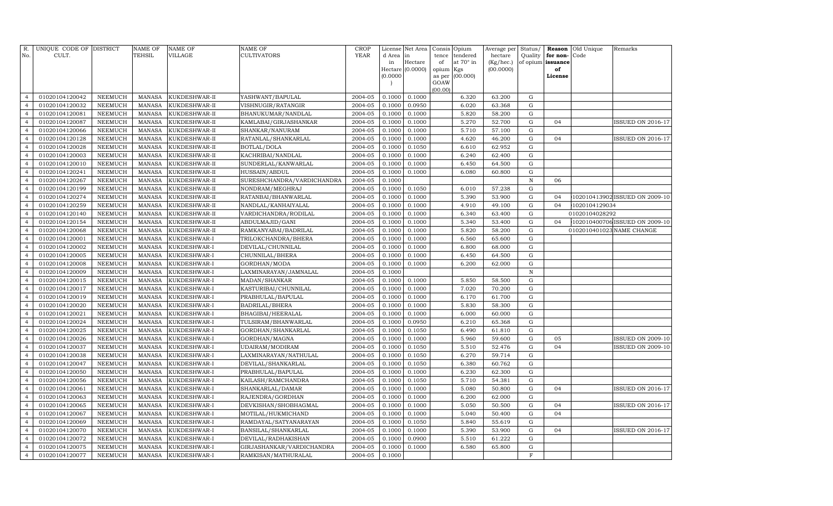| R.<br>No.                        | UNIQUE CODE OF DISTRICT<br>CULT. |                                  | <b>NAME OF</b><br>TEHSIL       | <b>NAME OF</b><br><b>VILLAGE</b> | NAME OF<br><b>CULTIVATORS</b>        | <b>CROP</b><br>YEAR | License<br>d Area | Net Area<br>in   | Consis      | Opium<br>tendered | Average per          | Status/                | Reason                        | Old Unique<br>Code | Remarks                        |
|----------------------------------|----------------------------------|----------------------------------|--------------------------------|----------------------------------|--------------------------------------|---------------------|-------------------|------------------|-------------|-------------------|----------------------|------------------------|-------------------------------|--------------------|--------------------------------|
|                                  |                                  |                                  |                                |                                  |                                      |                     | in                | Hectare          | tence<br>of | at 70° in         | hectare<br>(Kg/hec.) | Quality                | for non-<br>of opium issuance |                    |                                |
|                                  |                                  |                                  |                                |                                  |                                      |                     |                   | Hectare (0.0000) | opium       | Kgs               | (00.0000)            |                        | of                            |                    |                                |
|                                  |                                  |                                  |                                |                                  |                                      |                     | (0.0000)          |                  | as per      | (00.000)          |                      |                        | License                       |                    |                                |
|                                  |                                  |                                  |                                |                                  |                                      |                     |                   |                  | GOAW        |                   |                      |                        |                               |                    |                                |
| $\overline{4}$                   | 01020104120042                   | <b>NEEMUCH</b>                   | <b>MANASA</b>                  | KUKDESHWAR-II                    | YASHWANT/BAPULAL                     | 2004-05             | 0.1000            | 0.1000           | (00.00)     | 6.320             | 63.200               | ${\rm G}$              |                               |                    |                                |
| $\overline{4}$                   | 01020104120032                   | <b>NEEMUCH</b>                   | <b>MANASA</b>                  | KUKDESHWAR-II                    | VISHNUGIR/RATANGIR                   | 2004-05             | 0.1000            | 0.0950           |             | 6.020             | 63.368               | G                      |                               |                    |                                |
| $\overline{4}$                   | 01020104120081                   | <b>NEEMUCH</b>                   | <b>MANASA</b>                  | KUKDESHWAR-II                    | BHANUKUMAR/NANDLAL                   | 2004-05             | 0.1000            | 0.1000           |             | 5.820             | 58.200               | ${\rm G}$              |                               |                    |                                |
| $\overline{4}$                   | 01020104120087                   | <b>NEEMUCH</b>                   | <b>MANASA</b>                  | KUKDESHWAR-II                    | KAMLABAI/GIRJASHANKAR                | 2004-05             | 0.1000            | 0.1000           |             | 5.270             | 52.700               | ${\rm G}$              | 04                            |                    | <b>ISSUED ON 2016-17</b>       |
| $\overline{4}$                   | 01020104120066                   | <b>NEEMUCH</b>                   | <b>MANASA</b>                  | KUKDESHWAR-II                    | SHANKAR/NANURAM                      | 2004-05             | 0.1000            | 0.1000           |             | 5.710             | 57.100               | ${\rm G}$              |                               |                    |                                |
| $\overline{4}$                   | 01020104120128                   | <b>NEEMUCH</b>                   | <b>MANASA</b>                  | KUKDESHWAR-II                    | RATANLAL/SHANKARLAL                  | 2004-05             | 0.1000            | 0.1000           |             | 4.620             | 46.200               | ${\rm G}$              | 04                            |                    | ISSUED ON 2016-17              |
| $\overline{4}$                   | 01020104120028                   | <b>NEEMUCH</b>                   | <b>MANASA</b>                  | KUKDESHWAR-II                    | BOTLAL/DOLA                          | 2004-05             | 0.1000            | 0.1050           |             | 6.610             | 62.952               | ${\rm G}$              |                               |                    |                                |
| $\overline{4}$                   | 01020104120003                   | <b>NEEMUCH</b>                   | <b>MANASA</b>                  | KUKDESHWAR-II                    | KACHRIBAI/NANDLAL                    | 2004-05             | 0.1000            | 0.1000           |             | 6.240             | 62.400               | ${\rm G}$              |                               |                    |                                |
| $\overline{4}$                   | 01020104120010                   | <b>NEEMUCH</b>                   | <b>MANASA</b>                  | KUKDESHWAR-II                    | SUNDERLAL/KANWARLAL                  | 2004-05             | 0.1000            | 0.1000           |             | 6.450             | 64.500               | $\mathbf G$            |                               |                    |                                |
| $\overline{4}$                   | 01020104120241                   | <b>NEEMUCH</b>                   | <b>MANASA</b>                  | KUKDESHWAR-II                    | HUSSAIN/ABDUL                        | 2004-05             | 0.1000            | 0.1000           |             | 6.080             | 60.800               | $\mathbf G$            |                               |                    |                                |
| $\overline{4}$                   | 01020104120267                   | <b>NEEMUCH</b>                   | <b>MANASA</b>                  | KUKDESHWAR-II                    | SURESHCHANDRA/VARDICHANDRA           | 2004-05             | 0.1000            |                  |             |                   |                      | $\mathbf N$            | 06                            |                    |                                |
| $\overline{4}$                   | 01020104120199                   | <b>NEEMUCH</b>                   | <b>MANASA</b>                  | KUKDESHWAR-II                    | NONDRAM/MEGHRAJ                      | 2004-05             | 0.1000            | 0.1050           |             | 6.010             | 57.238               | ${\rm G}$              |                               |                    |                                |
| $\overline{4}$                   | 01020104120274                   | <b>NEEMUCH</b>                   | <b>MANASA</b>                  | KUKDESHWAR-II                    | RATANBAI/BHANWARLAL                  | 2004-05             | 0.1000            | 0.1000           |             | 5.390             | 53.900               | ${\bf G}$              | 04                            |                    | 102010413902 ISSUED ON 2009-10 |
| $\overline{4}$                   | 01020104120259                   | <b>NEEMUCH</b>                   | <b>MANASA</b>                  | KUKDESHWAR-II                    | NANDLAL/KANHAIYALAL                  | 2004-05             | 0.1000            | 0.1000           |             | 4.910             | 49.100               | ${\rm G}$              | 04                            | 1020104129034      |                                |
| $\overline{4}$                   | 01020104120140                   | <b>NEEMUCH</b>                   | <b>MANASA</b>                  | KUKDESHWAR-II                    | VARDICHANDRA/RODILAL                 | 2004-05             | 0.1000            | 0.1000           |             | 6.340             | 63.400               | ${\bf G}$              |                               | 01020104028292     |                                |
| $\overline{4}$                   | 01020104120154                   | <b>NEEMUCH</b>                   | <b>MANASA</b>                  | KUKDESHWAR-II                    | ABDULMAJID/GANI                      | 2004-05             | 0.1000            | 0.1000           |             | 5.340             | 53.400               | ${\rm G}$              | 04                            |                    | 102010400706 ISSUED ON 2009-10 |
| $\overline{4}$                   | 01020104120068                   | <b>NEEMUCH</b>                   | <b>MANASA</b>                  | KUKDESHWAR-II                    | RAMKANYABAI/BADRILAL                 | 2004-05             | 0.1000            | 0.1000           |             | 5.820             | 58.200               | ${\rm G}$              |                               |                    | 0102010401023 NAME CHANGE      |
| $\overline{4}$                   | 01020104120001                   | <b>NEEMUCH</b>                   | <b>MANASA</b>                  | KUKDESHWAR-I                     | TRILOKCHANDRA/BHERA                  | 2004-05             | 0.1000            | 0.1000           |             | 6.560             | 65.600               | ${\rm G}$              |                               |                    |                                |
| $\overline{4}$                   | 01020104120002                   | <b>NEEMUCH</b>                   | <b>MANASA</b>                  | KUKDESHWAR-I                     | DEVILAL/CHUNNILAL                    | 2004-05             | 0.1000            | 0.1000           |             | 6.800             | 68.000               | ${\rm G}$              |                               |                    |                                |
| $\overline{4}$                   | 01020104120005                   | <b>NEEMUCH</b>                   | <b>MANASA</b>                  | KUKDESHWAR-I                     | CHUNNILAL/BHERA                      | 2004-05             | 0.1000            | 0.1000           |             | 6.450             | 64.500               | ${\bf G}$              |                               |                    |                                |
| $\overline{4}$                   | 01020104120008                   | NEEMUCH                          | <b>MANASA</b>                  | KUKDESHWAR-I                     | GORDHAN/MODA                         | 2004-05             | 0.1000            | 0.1000           |             | 6.200             | 62.000               | $\mathbf G$            |                               |                    |                                |
| $\overline{4}$                   | 01020104120009                   | NEEMUCH                          | <b>MANASA</b>                  | KUKDESHWAR-I                     | LAXMINARAYAN/JAMNALAL                | 2004-05             | 0.1000            |                  |             |                   |                      | $\mathbf N$            |                               |                    |                                |
| $\overline{4}$                   | 01020104120015                   | NEEMUCH                          | <b>MANASA</b>                  | KUKDESHWAR-I                     | MADAN/SHANKAR                        | 2004-05             | 0.1000            | 0.1000           |             | 5.850             | 58.500               | $\mathbf G$            |                               |                    |                                |
| $\overline{4}$                   | 01020104120017                   | <b>NEEMUCH</b>                   | <b>MANASA</b>                  | KUKDESHWAR-I                     | KASTURIBAI/CHUNNILAL                 | 2004-05             | 0.1000            | 0.1000           |             | 7.020             | 70.200               | ${\bf G}$              |                               |                    |                                |
| $\overline{4}$                   | 01020104120019                   | <b>NEEMUCH</b>                   | <b>MANASA</b>                  | KUKDESHWAR-I                     | PRABHULAL/BAPULAL                    | 2004-05             | 0.1000            | 0.1000           |             | 6.170             | 61.700               | ${\rm G}$              |                               |                    |                                |
| $\overline{4}$                   | 01020104120020                   | <b>NEEMUCH</b>                   | <b>MANASA</b>                  | KUKDESHWAR-I                     | <b>BADRILAL/BHERA</b>                | 2004-05             | 0.1000            | 0.1000           |             | 5.830             | 58.300               | ${\rm G}$              |                               |                    |                                |
| $\overline{4}$                   | 01020104120021                   | <b>NEEMUCH</b>                   | <b>MANASA</b>                  | KUKDESHWAR-I                     | BHAGIBAI/HEERALAL                    | 2004-05             | 0.1000            | 0.1000           |             | 6.000             | 60.000               | ${\bf G}$              |                               |                    |                                |
| $\overline{4}$                   | 01020104120024                   | <b>NEEMUCH</b>                   | <b>MANASA</b>                  | KUKDESHWAR-I                     | TULSIRAM/BHANWARLAL                  | 2004-05             | 0.1000            | 0.0950           |             | 6.210             | 65.368               | ${\rm G}$              |                               |                    |                                |
| $\overline{4}$                   | 01020104120025                   | <b>NEEMUCH</b>                   | <b>MANASA</b>                  | KUKDESHWAR-I                     | GORDHAN/SHANKARLAL                   | 2004-05             | 0.1000            | 0.1050           |             | 6.490             | 61.810               | ${\bf G}$              |                               |                    |                                |
| $\overline{4}$                   | 01020104120026                   | <b>NEEMUCH</b>                   | <b>MANASA</b>                  | KUKDESHWAR-I                     | GORDHAN/MAGNA                        | 2004-05             | 0.1000            | 0.1000           |             | 5.960             | 59.600               | ${\rm G}$              | 05                            |                    | <b>ISSUED ON 2009-10</b>       |
| $\overline{4}$                   | 01020104120037                   | <b>NEEMUCH</b>                   | <b>MANASA</b>                  | KUKDESHWAR-I                     | UDAIRAM/MODIRAM                      | 2004-05             | 0.1000            | 0.1050           |             | 5.510             | 52.476               | ${\bf G}$              | 04                            |                    | <b>ISSUED ON 2009-10</b>       |
| $\overline{4}$                   | 01020104120038                   | NEEMUCH                          | <b>MANASA</b>                  | KUKDESHWAR-I                     | LAXMINARAYAN/NATHULAL                | 2004-05             | 0.1000            | 0.1050           |             | 6.270             | 59.714               | ${\rm G}$              |                               |                    |                                |
| $\overline{4}$                   | 01020104120047                   | NEEMUCH                          | <b>MANASA</b>                  | KUKDESHWAR-I                     | DEVILAL/SHANKARLAL                   | 2004-05             | 0.1000            | 0.1050           |             | 6.380             | 60.762               | ${\bf G}$              |                               |                    |                                |
| $\overline{4}$<br>$\overline{4}$ | 01020104120050                   | <b>NEEMUCH</b>                   | <b>MANASA</b>                  | KUKDESHWAR-I                     | PRABHULAL/BAPULAL                    | 2004-05             | 0.1000            | 0.1000           |             | 6.230             | 62.300               | $\mathbf G$            |                               |                    |                                |
| $\overline{4}$                   | 01020104120056                   | <b>NEEMUCH</b>                   | <b>MANASA</b>                  | KUKDESHWAR-I                     | KAILASH/RAMCHANDRA                   | 2004-05<br>2004-05  | 0.1000<br>0.1000  | 0.1050           |             | 5.710<br>5.080    | 54.381<br>50.800     | ${\bf G}$<br>${\bf G}$ | 04                            |                    | <b>ISSUED ON 2016-17</b>       |
| $\overline{4}$                   | 01020104120061<br>01020104120063 | <b>NEEMUCH</b><br><b>NEEMUCH</b> | <b>MANASA</b><br><b>MANASA</b> | KUKDESHWAR-I<br>KUKDESHWAR-I     | SHANKARLAL/DAMAR<br>RAJENDRA/GORDHAN | 2004-05             | 0.1000            | 0.1000<br>0.1000 |             | 6.200             | 62.000               | ${\bf G}$              |                               |                    |                                |
| $\overline{4}$                   | 01020104120065                   | <b>NEEMUCH</b>                   | <b>MANASA</b>                  | KUKDESHWAR-I                     | DEVKISHAN/SHOBHAGMAL                 | 2004-05             | 0.1000            | 0.1000           |             | 5.050             | 50.500               | ${\rm G}$              | 04                            |                    | ISSUED ON 2016-17              |
| $\overline{4}$                   | 01020104120067                   | <b>NEEMUCH</b>                   | <b>MANASA</b>                  | KUKDESHWAR-I                     | MOTILAL/HUKMICHAND                   | 2004-05             | 0.1000            | 0.1000           |             | 5.040             | 50.400               | $\mathbf G$            | 04                            |                    |                                |
| $\overline{4}$                   | 01020104120069                   | <b>NEEMUCH</b>                   | <b>MANASA</b>                  | KUKDESHWAR-I                     | RAMDAYAL/SATYANARAYAN                | 2004-05             | 0.1000            | 0.1050           |             | 5.840             | 55.619               | ${\bf G}$              |                               |                    |                                |
| $\overline{4}$                   | 01020104120070                   | <b>NEEMUCH</b>                   | <b>MANASA</b>                  | KUKDESHWAR-I                     | BANSILAL/SHANKARLAL                  | 2004-05             | 0.1000            | 0.1000           |             | 5.390             | 53.900               | ${\bf G}$              | 04                            |                    | <b>ISSUED ON 2016-17</b>       |
| $\overline{4}$                   | 01020104120072                   | <b>NEEMUCH</b>                   | <b>MANASA</b>                  | KUKDESHWAR-I                     | DEVILAL/RADHAKISHAN                  | 2004-05             | 0.1000            | 0.0900           |             | 5.510             | 61.222               | ${\bf G}$              |                               |                    |                                |
| $\overline{4}$                   | 01020104120075                   | NEEMUCH                          | <b>MANASA</b>                  | KUKDESHWAR-I                     | GIRJASHANKAR/VARDICHANDRA            | 2004-05             | 0.1000            | 0.1000           |             | 6.580             | 65.800               | ${\bf G}$              |                               |                    |                                |
| $\overline{4}$                   | 01020104120077                   | NEEMUCH                          | <b>MANASA</b>                  | KUKDESHWAR-I                     | RAMKISAN/MATHURALAL                  | 2004-05             | 0.1000            |                  |             |                   |                      | F                      |                               |                    |                                |
|                                  |                                  |                                  |                                |                                  |                                      |                     |                   |                  |             |                   |                      |                        |                               |                    |                                |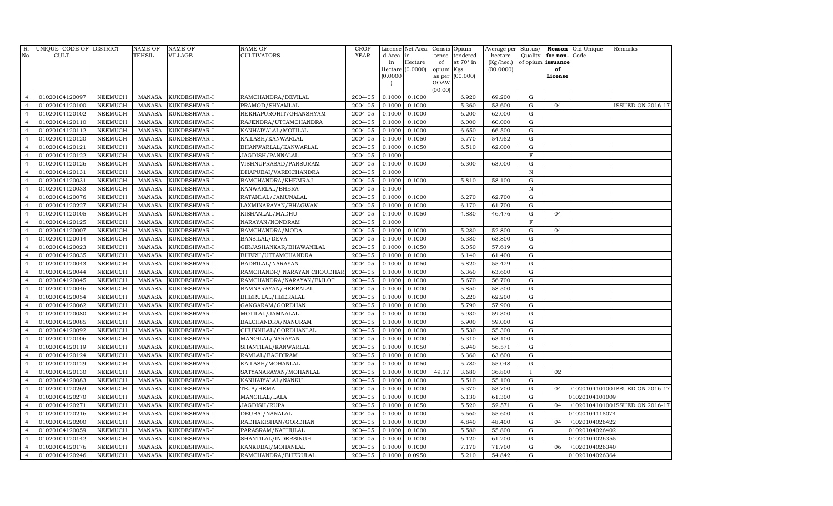|                                  | R. UNIQUE CODE OF DISTRICT       |                                  | <b>NAME OF</b>                 | <b>NAME OF</b>               | <b>NAME OF</b>                | <b>CROP</b>        | License          | Net Area         | Consis Opium |                       | Average per          |                          | Status/ Reason                        | Old Unique     | Remarks                        |
|----------------------------------|----------------------------------|----------------------------------|--------------------------------|------------------------------|-------------------------------|--------------------|------------------|------------------|--------------|-----------------------|----------------------|--------------------------|---------------------------------------|----------------|--------------------------------|
| No.                              | CULT.                            |                                  | TEHSIL                         | VILLAGE                      | <b>CULTIVATORS</b>            | YEAR               | d Area<br>in     | in<br>Hectare    | tence<br>of  | tendered<br>at 70° in | hectare<br>(Kg/hec.) |                          | Quality for non-<br>of opium issuance | Code           |                                |
|                                  |                                  |                                  |                                |                              |                               |                    |                  | Hectare (0.0000) | opium Kgs    |                       | (00.0000)            |                          | of                                    |                |                                |
|                                  |                                  |                                  |                                |                              |                               |                    | (0.0000)         |                  | as per       | (00.000)              |                      |                          | License                               |                |                                |
|                                  |                                  |                                  |                                |                              |                               |                    |                  |                  | GOAW         |                       |                      |                          |                                       |                |                                |
| $\overline{a}$                   | 01020104120097                   | <b>NEEMUCH</b>                   | <b>MANASA</b>                  | KUKDESHWAR-I                 | RAMCHANDRA/DEVILAL            | 2004-05            | 0.1000           | 0.1000           | (00.00)      | 6.920                 | 69.200               | G                        |                                       |                |                                |
| $\overline{4}$                   | 01020104120100                   | <b>NEEMUCH</b>                   | <b>MANASA</b>                  | KUKDESHWAR-I                 | PRAMOD/SHYAMLAL               | 2004-05            | 0.1000           | 0.1000           |              | 5.360                 | 53.600               | G                        | 04                                    |                | <b>ISSUED ON 2016-17</b>       |
| $\overline{4}$                   | 01020104120102                   | <b>NEEMUCH</b>                   | <b>MANASA</b>                  | KUKDESHWAR-I                 | REKHAPUROHIT/GHANSHYAM        | 2004-05            | 0.1000           | 0.1000           |              | 6.200                 | 62.000               | ${\rm G}$                |                                       |                |                                |
| $\overline{4}$                   | 01020104120110                   | <b>NEEMUCH</b>                   | MANASA                         | KUKDESHWAR-I                 | RAJENDRA/UTTAMCHANDRA         | 2004-05            | 0.1000           | 0.1000           |              | 6.000                 | 60.000               | ${\rm G}$                |                                       |                |                                |
| $\overline{4}$                   | 01020104120112                   | <b>NEEMUCH</b>                   | <b>MANASA</b>                  | KUKDESHWAR-I                 | KANHAIYALAL/MOTILAL           | 2004-05            | 0.1000           | 0.1000           |              | 6.650                 | 66.500               | ${\rm G}$                |                                       |                |                                |
| $\overline{4}$                   | 01020104120120                   | <b>NEEMUCH</b>                   | <b>MANASA</b>                  | KUKDESHWAR-I                 | KAILASH/KANWARLAL             | 2004-05            | 0.1000           | 0.1050           |              | 5.770                 | 54.952               | ${\rm G}$                |                                       |                |                                |
| $\overline{4}$                   | 01020104120121                   | <b>NEEMUCH</b>                   | <b>MANASA</b>                  | KUKDESHWAR-I                 | BHANWARLAL/KANWARLAL          | 2004-05            | 0.1000           | 0.1050           |              | 6.510                 | 62.000               | ${\rm G}$                |                                       |                |                                |
| $\overline{4}$                   | 01020104120122                   | <b>NEEMUCH</b>                   | <b>MANASA</b>                  | KUKDESHWAR-I                 | JAGDISH/PANNALAL              | 2004-05            | 0.1000           |                  |              |                       |                      | $\mathbf F$              |                                       |                |                                |
| $\overline{4}$                   | 01020104120126                   | <b>NEEMUCH</b>                   | <b>MANASA</b>                  | KUKDESHWAR-I                 | VISHNUPRASAD/PARSURAM         | 2004-05            | 0.1000           | 0.1000           |              | 6.300                 | 63.000               | $\mathbf G$              |                                       |                |                                |
| $\overline{4}$                   | 01020104120131                   | <b>NEEMUCH</b>                   | <b>MANASA</b>                  | KUKDESHWAR-I                 | DHAPUBAI/VARDICHANDRA         | 2004-05            | 0.1000           |                  |              |                       |                      | $\, {\bf N}$             |                                       |                |                                |
| $\overline{4}$                   | 01020104120031                   | <b>NEEMUCH</b>                   | <b>MANASA</b>                  | KUKDESHWAR-I                 | RAMCHANDRA/KHEMRAJ            | 2004-05            | 0.1000           | 0.1000           |              | 5.810                 | 58.100               | ${\bf G}$                |                                       |                |                                |
| $\overline{4}$                   | 01020104120033                   | <b>NEEMUCH</b>                   | <b>MANASA</b>                  | KUKDESHWAR-I                 | KANWARLAL/BHERA               | 2004-05            | 0.1000           |                  |              |                       |                      | $\, {\bf N}$             |                                       |                |                                |
| $\overline{4}$                   | 01020104120076                   | <b>NEEMUCH</b>                   | <b>MANASA</b>                  | KUKDESHWAR-I                 | RATANLAL/JAMUNALAL            | 2004-05            | 0.1000           | 0.1000           |              | 6.270                 | 62.700               | $\mathbf G$              |                                       |                |                                |
| $\overline{4}$                   | 01020104120227                   | <b>NEEMUCH</b>                   | <b>MANASA</b>                  | KUKDESHWAR-I                 | LAXMINARAYAN/BHAGWAN          | 2004-05            | 0.1000           | 0.1000           |              | 6.170                 | 61.700               | ${\rm G}$                |                                       |                |                                |
| $\overline{4}$                   | 01020104120105                   | <b>NEEMUCH</b>                   | <b>MANASA</b>                  | KUKDESHWAR-I                 | KISHANLAL/MADHU               | 2004-05            | 0.1000           | 0.1050           |              | 4.880                 | 46.476               | ${\rm G}$                | 04                                    |                |                                |
| $\overline{4}$                   | 01020104120125                   | <b>NEEMUCH</b>                   | <b>MANASA</b>                  | KUKDESHWAR-I                 | NARAYAN/NONDRAM               | 2004-05            | 0.1000           |                  |              |                       |                      | $\mathbf F$              |                                       |                |                                |
| $\overline{4}$                   | 01020104120007                   | <b>NEEMUCH</b>                   | <b>MANASA</b>                  | KUKDESHWAR-I                 | RAMCHANDRA/MODA               | 2004-05            | 0.1000           | 0.1000           |              | 5.280                 | 52.800               | ${\rm G}$                | 04                                    |                |                                |
| $\overline{4}$                   | 01020104120014                   | <b>NEEMUCH</b>                   | <b>MANASA</b>                  | KUKDESHWAR-I                 | BANSILAL/DEVA                 | 2004-05            | 0.1000           | 0.1000           |              | 6.380                 | 63.800               | ${\rm G}$                |                                       |                |                                |
| $\overline{4}$                   | 01020104120023                   | NEEMUCH                          | <b>MANASA</b>                  | KUKDESHWAR-I                 | GIRJASHANKAR/BHAWANILAL       | 2004-05            | 0.1000           | 0.1050           |              | 6.050                 | 57.619               | ${\rm G}$                |                                       |                |                                |
| $\overline{4}$                   | 01020104120035                   | <b>NEEMUCH</b>                   | <b>MANASA</b>                  | KUKDESHWAR-I                 | BHERU/UTTAMCHANDRA            | 2004-05            | 0.1000           | 0.1000           |              | 6.140                 | 61.400               | ${\rm G}$                |                                       |                |                                |
| $\overline{4}$                   | 01020104120043                   | <b>NEEMUCH</b>                   | <b>MANASA</b>                  | KUKDESHWAR-I                 | BADRILAL/NARAYAN              | 2004-05            | 0.1000           | 0.1050           |              | 5.820                 | 55.429               | $\mathbf G$              |                                       |                |                                |
| $\overline{4}$                   | 01020104120044                   | <b>NEEMUCH</b>                   | <b>MANASA</b>                  | KUKDESHWAR-I                 | RAMCHANDR/ NARAYAN CHOUDHAR   | 2004-05            | 0.1000           | 0.1000           |              | 6.360                 | 63.600               | ${\bf G}$                |                                       |                |                                |
| $\overline{4}$                   | 01020104120045                   | <b>NEEMUCH</b>                   | <b>MANASA</b>                  | KUKDESHWAR-I                 | RAMCHANDRA/NARAYAN/BIJLOT     | 2004-05            | 0.1000           | 0.1000           |              | 5.670                 | 56.700               | $\mathbf G$              |                                       |                |                                |
| $\overline{4}$                   | 01020104120046                   | <b>NEEMUCH</b>                   | <b>MANASA</b>                  | KUKDESHWAR-I                 | RAMNARAYAN/HEERALAL           | 2004-05            | 0.1000           | 0.1000           |              | 5.850                 | 58.500               | $\mathbf G$              |                                       |                |                                |
| $\overline{4}$                   | 01020104120054                   | <b>NEEMUCH</b>                   | <b>MANASA</b>                  | KUKDESHWAR-I                 | BHERULAL/HEERALAL             | 2004-05            | 0.1000           | 0.1000           |              | 6.220                 | 62.200               | ${\bf G}$                |                                       |                |                                |
| $\overline{4}$                   | 01020104120062                   | <b>NEEMUCH</b>                   | <b>MANASA</b>                  | KUKDESHWAR-I                 | GANGARAM/GORDHAN              | 2004-05            | 0.1000           | 0.1000           |              | 5.790                 | 57.900               | ${\rm G}$                |                                       |                |                                |
| $\overline{4}$                   | 01020104120080                   | <b>NEEMUCH</b>                   | <b>MANASA</b>                  | KUKDESHWAR-I                 | MOTILAL/JAMNALAL              | 2004-05            | 0.1000           | 0.1000           |              | 5.930                 | 59.300               | ${\rm G}$                |                                       |                |                                |
| $\overline{4}$                   | 01020104120085                   | <b>NEEMUCH</b>                   | <b>MANASA</b>                  | KUKDESHWAR-I                 | BALCHANDRA/NANURAM            | 2004-05            | 0.1000           | 0.1000           |              | 5.900                 | 59.000               | ${\bf G}$                |                                       |                |                                |
| $\overline{4}$                   | 01020104120092                   | <b>NEEMUCH</b>                   | <b>MANASA</b>                  | KUKDESHWAR-I                 | CHUNNILAL/GORDHANLAL          | 2004-05            | 0.1000           | 0.1000           |              | 5.530                 | 55.300               | ${\bf G}$                |                                       |                |                                |
| $\overline{4}$                   | 01020104120106                   | <b>NEEMUCH</b>                   | <b>MANASA</b>                  | KUKDESHWAR-I                 | MANGILAL/NARAYAN              | 2004-05            | 0.1000           | 0.1000           |              | 6.310                 | 63.100               | ${\rm G}$                |                                       |                |                                |
| $\overline{4}$                   | 01020104120119                   | NEEMUCH                          | <b>MANASA</b>                  | KUKDESHWAR-I                 | SHANTILAL/KANWARLAL           | 2004-05            | 0.1000           | 0.1050           |              | 5.940                 | 56.571               | ${\bf G}$                |                                       |                |                                |
| $\overline{4}$                   | 01020104120124                   | NEEMUCH                          | <b>MANASA</b>                  | KUKDESHWAR-I                 | RAMLAL/BAGDIRAM               | 2004-05            | 0.1000           | 0.1000           |              | 6.360                 | 63.600               | $\mathbf G$              |                                       |                |                                |
| $\overline{4}$<br>$\overline{4}$ | 01020104120129                   | NEEMUCH                          | <b>MANASA</b>                  | KUKDESHWAR-I                 | KAILASH/MOHANLAL              | 2004-05            | 0.1000           | 0.1050           |              | 5.780                 | 55.048               | ${\rm G}$                |                                       |                |                                |
| $\overline{4}$                   | 01020104120130                   | <b>NEEMUCH</b>                   | <b>MANASA</b>                  | KUKDESHWAR-I                 | SATYANARAYAN/MOHANLAL         | 2004-05            | 0.1000           | 0.1000           | 49.17        | 3.680                 | 36.800               | $\mathbf{I}$             | 02                                    |                |                                |
| $\overline{4}$                   | 01020104120083                   | NEEMUCH                          | <b>MANASA</b>                  | KUKDESHWAR-1                 | KANHAIYALAL/NANKU             | 2004-05            | 0.1000           | 0.1000           |              | 5.510<br>5.370        | 55.100               | ${\bf G}$<br>$\mathbf G$ |                                       |                |                                |
| $\overline{4}$                   | 01020104120269<br>01020104120270 | <b>NEEMUCH</b>                   | <b>MANASA</b>                  | KUKDESHWAR-I                 | TEJA/HEMA                     | 2004-05            | 0.1000           | 0.1000           |              |                       | 53.700               | $\mathbf G$              | 04                                    | 01020104101009 | 102010410100 ISSUED ON 2016-17 |
| $\overline{4}$                   | 01020104120271                   | <b>NEEMUCH</b><br><b>NEEMUCH</b> | <b>MANASA</b><br><b>MANASA</b> | KUKDESHWAR-I<br>KUKDESHWAR-I | MANGILAL/LALA<br>JAGDISH/RUPA | 2004-05<br>2004-05 | 0.1000<br>0.1000 | 0.1000<br>0.1050 |              | 6.130<br>5.520        | 61.300<br>52.571     | ${\bf G}$                | 04                                    |                | 102010410100 ISSUED ON 2016-17 |
| $\overline{4}$                   | 01020104120216                   | <b>NEEMUCH</b>                   | <b>MANASA</b>                  | KUKDESHWAR-I                 | DEUBAI/NANALAL                | 2004-05            | 0.1000           | 0.1000           |              | 5.560                 | 55.600               | $\mathbf G$              |                                       | 01020104115074 |                                |
| $\overline{4}$                   | 01020104120200                   | <b>NEEMUCH</b>                   | <b>MANASA</b>                  | KUKDESHWAR-I                 | RADHAKISHAN/GORDHAN           | 2004-05            | 0.1000           | 0.1000           |              | 4.840                 | 48.400               | ${\bf G}$                | 04                                    | 1020104026422  |                                |
| $\overline{4}$                   | 01020104120059                   | NEEMUCH                          | <b>MANASA</b>                  | KUKDESHWAR-I                 | PARASRAM/NATHULAL             | 2004-05            | 0.1000           | 0.1000           |              | 5.580                 | 55.800               | ${\bf G}$                |                                       | 01020104026402 |                                |
| $\overline{4}$                   | 01020104120142                   | <b>NEEMUCH</b>                   | <b>MANASA</b>                  | KUKDESHWAR-I                 | SHANTILAL/INDERSINGH          | 2004-05            | 0.1000           | 0.1000           |              | 6.120                 | 61.200               | ${\rm G}$                |                                       | 01020104026355 |                                |
| $\overline{4}$                   | 01020104120176                   | NEEMUCH                          | <b>MANASA</b>                  | KUKDESHWAR-I                 | KANKUBAI/MOHANLAL             | 2004-05            | 0.1000           | 0.1000           |              | 7.170                 | 71.700               | G                        | 06                                    | 1020104026340  |                                |
| $\overline{4}$                   | 01020104120246                   | NEEMUCH                          | MANASA                         | KUKDESHWAR-I                 | RAMCHANDRA/BHERULAL           | 2004-05            | 0.1000           | 0.0950           |              | 5.210                 | 54.842               | G                        |                                       | 01020104026364 |                                |
|                                  |                                  |                                  |                                |                              |                               |                    |                  |                  |              |                       |                      |                          |                                       |                |                                |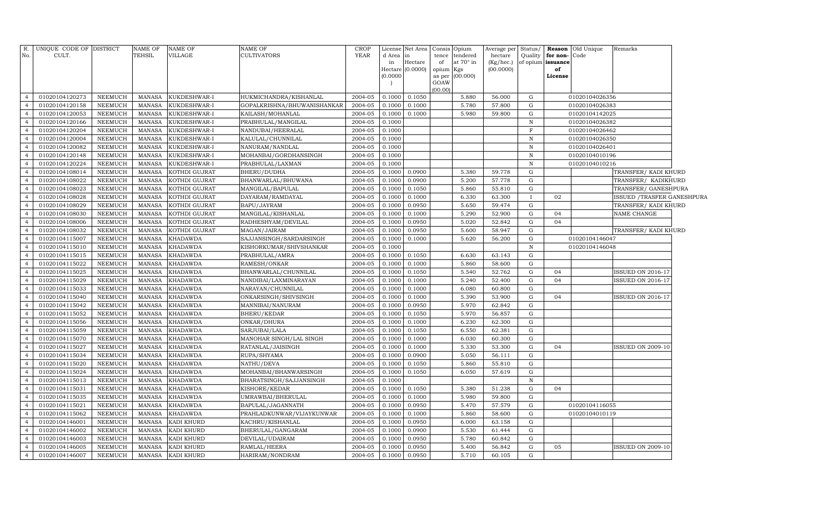| No.            | R. UNIQUE CODE OF DISTRICT<br>CULT. |                | NAME OF<br>TEHSIL | <b>NAME OF</b><br>VILLAGE | <b>NAME OF</b><br><b>CULTIVATORS</b> | CROP<br>YEAR | d Area in | License Net Area Consis | tence           | Opium<br>tendered | Average per<br>hectare | Quality      | for non-          | Status/ Reason Old Unique<br>Code | Remarks                           |
|----------------|-------------------------------------|----------------|-------------------|---------------------------|--------------------------------------|--------------|-----------|-------------------------|-----------------|-------------------|------------------------|--------------|-------------------|-----------------------------------|-----------------------------------|
|                |                                     |                |                   |                           |                                      |              | in        | Hectare                 | of              | at 70° in         | (Kg/hec.)              |              | of opium issuance |                                   |                                   |
|                |                                     |                |                   |                           |                                      |              | (0.0000)  | Hectare (0.0000)        | opium<br>as per | Kgs<br>(00.000)   | (00.0000)              |              | of<br>License     |                                   |                                   |
|                |                                     |                |                   |                           |                                      |              |           |                         | GOAW            |                   |                        |              |                   |                                   |                                   |
|                |                                     |                |                   |                           |                                      |              |           |                         | (00.00)         |                   |                        |              |                   |                                   |                                   |
| $\overline{4}$ | 01020104120273                      | NEEMUCH        | MANASA            | KUKDESHWAR-I              | HUKMICHANDRA/KISHANLAL               | 2004-05      | 0.1000    | 0.1050                  |                 | 5.880             | 56.000                 | G            |                   | 01020104026356                    |                                   |
| $\overline{4}$ | 01020104120158                      | <b>NEEMUCH</b> | MANASA            | KUKDESHWAR-I              | GOPALKRISHNA/BHUWANISHANKAR          | 2004-05      | 0.1000    | 0.1000                  |                 | 5.780             | 57.800                 | ${\rm G}$    |                   | 01020104026383                    |                                   |
| $\overline{4}$ | 01020104120053                      | NEEMUCH        | MANASA            | KUKDESHWAR-I              | KAILASH/MOHANLAL                     | 2004-05      | 0.1000    | 0.1000                  |                 | 5.980             | 59.800                 | ${\rm G}$    |                   | 01020104142025                    |                                   |
| $\overline{4}$ | 01020104120166                      | NEEMUCH        | MANASA            | KUKDESHWAR-I              | PRABHULAL/MANGILAL                   | 2004-05      | 0.1000    |                         |                 |                   |                        | $\, {\rm N}$ |                   | 01020104026382                    |                                   |
| $\overline{4}$ | 01020104120204                      | NEEMUCH        | MANASA            | KUKDESHWAR-I              | NANDUBAI/HEERALAL                    | 2004-05      | 0.1000    |                         |                 |                   |                        | $\mathbf F$  |                   | 01020104026462                    |                                   |
| $\overline{4}$ | 01020104120004                      | NEEMUCH        | <b>MANASA</b>     | KUKDESHWAR-I              | KALULAL/CHUNNILAL                    | 2004-05      | 0.1000    |                         |                 |                   |                        | $\,$ N       |                   | 01020104026350                    |                                   |
| $\overline{4}$ | 01020104120082                      | NEEMUCH        | MANASA            | KUKDESHWAR-I              | NANURAM/NANDLAL                      | 2004-05      | 0.1000    |                         |                 |                   |                        | ${\bf N}$    |                   | 01020104026401                    |                                   |
| $\overline{4}$ | 01020104120148                      | <b>NEEMUCH</b> | <b>MANASA</b>     | KUKDESHWAR-I              | MOHANBAI/GORDHANSINGH                | 2004-05      | 0.1000    |                         |                 |                   |                        | $\, {\bf N}$ |                   | 01020104010196                    |                                   |
| $\overline{4}$ | 01020104120224                      | NEEMUCH        | <b>MANASA</b>     | KUKDESHWAR-I              | PRABHULAL/LAXMAN                     | 2004-05      | 0.1000    |                         |                 |                   |                        | $\, {\bf N}$ |                   | 01020104010216                    |                                   |
| $\overline{4}$ | 01020104108014                      | <b>NEEMUCH</b> | <b>MANASA</b>     | KOTHDI GUJRAT             | BHERU/DUDHA                          | 2004-05      | 0.1000    | 0.0900                  |                 | 5.380             | 59.778                 | ${\rm G}$    |                   |                                   | TRANSFER/ KADI KHURD              |
| $\overline{4}$ | 01020104108022                      | NEEMUCH        | <b>MANASA</b>     | KOTHDI GUJRAT             | BHANWARLAL/BHUWANA                   | 2004-05      | 0.1000    | 0.0900                  |                 | 5.200             | 57.778                 | ${\rm G}$    |                   |                                   | TRANSFER/ KADIKHURD               |
| $\overline{4}$ | 01020104108023                      | NEEMUCH        | <b>MANASA</b>     | KOTHDI GUJRAT             | MANGILAL/BAPULAL                     | 2004-05      | 0.1000    | 0.1050                  |                 | 5.860             | 55.810                 | ${\rm G}$    |                   |                                   | TRANSFER/ GANESHPURA              |
| $\overline{4}$ | 01020104108028                      | NEEMUCH        | <b>MANASA</b>     | KOTHDI GUJRAT             | DAYARAM/RAMDAYAL                     | 2004-05      | 0.1000    | 0.1000                  |                 | 6.330             | 63.300                 |              | 02                |                                   | <b>ISSUED /TRASFER GANESHPURA</b> |
| $\overline{4}$ | 01020104108029                      | NEEMUCH        | <b>MANASA</b>     | KOTHDI GUJRAT             | BAPU/JAYRAM                          | 2004-05      | 0.1000    | 0.0950                  |                 | 5.650             | 59.474                 | ${\rm G}$    |                   |                                   | TRANSFER/KADI KHURD               |
| $\overline{4}$ | 01020104108030                      | NEEMUCH        | MANASA            | KOTHDI GUJRAT             | MANGILAL/KISHANLAL                   | 2004-05      | 0.1000    | 0.1000                  |                 | 5.290             | 52.900                 | ${\rm G}$    | 04                |                                   | NAME CHANGE                       |
| $\overline{4}$ | 01020104108006                      | NEEMUCH        | MANASA            | KOTHDI GUJRAT             | RADHESHYAM/DEVILAL                   | 2004-05      | 0.1000    | 0.0950                  |                 | 5.020             | 52.842                 | ${\rm G}$    | 04                |                                   |                                   |
| $\overline{4}$ | 01020104108032                      | NEEMUCH        | <b>MANASA</b>     | KOTHDI GUJRAT             | MAGAN/JAIRAM                         | 2004-05      | 0.1000    | 0.0950                  |                 | 5.600             | 58.947                 | G            |                   |                                   | TRANSFER/ KADI KHURD              |
| $\overline{4}$ | 01020104115007                      | NEEMUCH        | MANASA            | KHADAWDA                  | SAJJANSINGH/SARDARSINGH              | 2004-05      | 0.1000    | 0.1000                  |                 | 5.620             | 56.200                 | G            |                   | 01020104146047                    |                                   |
| $\overline{4}$ | 01020104115010                      | NEEMUCH        | MANASA            | <b>KHADAWDA</b>           | KISHORKUMAR/SHIVSHANKAR              | 2004-05      | 0.1000    |                         |                 |                   |                        | $\, {\rm N}$ |                   | 01020104146048                    |                                   |
| $\overline{4}$ | 01020104115015                      | NEEMUCH        | MANASA            | KHADAWDA                  | PRABHULAL/AMRA                       | 2004-05      | 0.1000    | 0.1050                  |                 | 6.630             | 63.143                 | G            |                   |                                   |                                   |
| $\overline{4}$ | 01020104115022                      | <b>NEEMUCH</b> | <b>MANASA</b>     | <b>KHADAWDA</b>           | RAMESH/ONKAR                         | 2004-05      | 0.1000    | 0.1000                  |                 | 5.860             | 58.600                 | G            |                   |                                   |                                   |
| $\overline{4}$ | 01020104115025                      | <b>NEEMUCH</b> | MANASA            | <b>KHADAWDA</b>           | BHANWARLAL/CHUNNILAL                 | 2004-05      | 0.1000    | 0.1050                  |                 | 5.540             | 52.762                 | G            | 04                |                                   | <b>SSUED ON 2016-17</b>           |
| $\overline{4}$ | 01020104115029                      | <b>NEEMUCH</b> | MANASA            | <b>KHADAWDA</b>           | NANDIBAI/LAXMINARAYAN                | 2004-05      | 0.100     | 0.1000                  |                 | 5.240             | 52.400                 | G            | 04                |                                   | SSUED ON 2016-17                  |
| $\overline{4}$ | 01020104115033                      | <b>NEEMUCH</b> | <b>MANASA</b>     | <b>KHADAWDA</b>           | NARAYAN/CHUNNILAL                    | 2004-05      | 0.1000    | 0.1000                  |                 | 6.080             | 60.800                 | G            |                   |                                   |                                   |
| $\overline{4}$ | 01020104115040                      | <b>NEEMUCH</b> | <b>MANASA</b>     | <b>KHADAWDA</b>           | ONKARSINGH/SHIVSINGH                 | 2004-05      | 0.100     | 0.1000                  |                 | 5.390             | 53.900                 | G            | 04                |                                   | SSUED ON 2016-17                  |
| $\overline{4}$ | 01020104115042                      | <b>NEEMUCH</b> | <b>MANASA</b>     | <b>KHADAWDA</b>           | MANNIBAI/NANURAM                     | 2004-05      | 0.1000    | 0.0950                  |                 | 5.970             | 62.842                 | G            |                   |                                   |                                   |
| $\overline{4}$ | 01020104115052                      | <b>NEEMUCH</b> | <b>MANASA</b>     | <b>KHADAWDA</b>           | <b>BHERU/KEDAR</b>                   | 2004-05      | 0.1000    | 0.1050                  |                 | 5.970             | 56.857                 | G            |                   |                                   |                                   |
| $\overline{4}$ | 01020104115056                      | <b>NEEMUCH</b> | <b>MANASA</b>     | <b>KHADAWDA</b>           | ONKAR/DHURA                          | 2004-05      | 0.1000    | 0.1000                  |                 | 6.230             | 62.300                 | G            |                   |                                   |                                   |
| $\overline{4}$ | 01020104115059                      | <b>NEEMUCH</b> | <b>MANASA</b>     | <b>KHADAWDA</b>           | SARJUBAI/LALA                        | 2004-05      | 0.1000    | 0.1050                  |                 | 6.550             | 62.381                 | G            |                   |                                   |                                   |
| $\overline{4}$ | 01020104115070                      | <b>NEEMUCH</b> | <b>MANASA</b>     | <b>KHADAWDA</b>           | MANOHAR SINGH/LAL SINGH              | 2004-05      | 0.1000    | 0.1000                  |                 | 6.030             | 60.300                 | G            |                   |                                   |                                   |
| $\overline{4}$ | 01020104115027                      | NEEMUCH        | <b>MANASA</b>     | <b>KHADAWDA</b>           | RATANLAL/JAISINGH                    | 2004-05      | 0.100     | 0.1000                  |                 | 5.330             | 53.300                 | G            | 04                |                                   | <b>SSUED ON 2009-10</b>           |
| $\overline{4}$ | 01020104115034                      | <b>NEEMUCH</b> | <b>MANASA</b>     | <b>KHADAWDA</b>           | RUPA/SHYAMA                          | 2004-05      | 0.1000    | 0.0900                  |                 | 5.050             | 56.111                 | G            |                   |                                   |                                   |
| $\overline{4}$ | 01020104115020                      | NEEMUCH        | <b>MANASA</b>     | <b>KHADAWDA</b>           | NATHU/DEVA                           | 2004-05      | 0.100     | 0.1050                  |                 | 5.860             | 55.810                 | G            |                   |                                   |                                   |
| $\overline{4}$ | 01020104115024                      | <b>NEEMUCH</b> | <b>MANASA</b>     | <b>KHADAWDA</b>           | MOHANBAI/BHANWARSINGH                | 2004-05      | 0.1000    | 0.1050                  |                 | 6.050             | 57.619                 | G            |                   |                                   |                                   |
| $\overline{4}$ | 01020104115013                      | NEEMUCH        | <b>MANASA</b>     | <b>KHADAWDA</b>           | BHARATSINGH/SAJJANSINGH              | 2004-05      | 0.1000    |                         |                 |                   |                        | $\mathbf N$  |                   |                                   |                                   |
| $\overline{4}$ | 01020104115031                      | NEEMUCH        | <b>MANASA</b>     | <b>KHADAWDA</b>           | KISHORE/KEDAR                        | 2004-05      | 0.1000    | 0.1050                  |                 | 5.380             | 51.238                 | G            | 04                |                                   |                                   |
| $\overline{4}$ | 01020104115035                      | NEEMUCH        | <b>MANASA</b>     | <b>KHADAWDA</b>           | UMRAWBAI/BHERULAL                    | 2004-05      | 0.1000    | 0.1000                  |                 | 5.980             | 59.800                 | G            |                   |                                   |                                   |
| $\overline{4}$ | 01020104115021                      | NEEMUCH        | <b>MANASA</b>     | <b>KHADAWDA</b>           | BAPULAL/JAGANNATH                    | 2004-05      | 0.1000    | 0.0950                  |                 | 5.470             | 57.579                 | G            |                   | 01020104116055                    |                                   |
| $\overline{4}$ | 01020104115062                      | NEEMUCH        | <b>MANASA</b>     | <b>KHADAWDA</b>           | PRAHLADKUNWAR/VIJAYKUNWAR            | 2004-05      | 0.1000    | 0.1000                  |                 | 5.860             | 58.600                 | G            |                   | 01020104010119                    |                                   |
| $\overline{4}$ | 01020104146001                      | NEEMUCH        | <b>MANASA</b>     | KADI KHURD                | KACHRU/KISHANLAL                     | 2004-05      | 0.1000    | 0.0950                  |                 | 6.000             | 63.158                 | G            |                   |                                   |                                   |
| $\overline{4}$ | 01020104146002                      | NEEMUCH        | <b>MANASA</b>     | KADI KHURD                | BHERULAL/GANGARAM                    | 2004-05      | 0.1000    | 0.0900                  |                 | 5.530             | 61.444                 | G            |                   |                                   |                                   |
| $\overline{4}$ | 01020104146003                      | <b>NEEMUCH</b> | <b>MANASA</b>     | KADI KHURD                | DEVILAL/UDAIRAM                      | 2004-05      | 0.1000    | 0.0950                  |                 | 5.780             | 60.842                 | $\mathbf G$  |                   |                                   |                                   |
| $\overline{4}$ | 01020104146005                      | NEEMUCH        | MANASA            | KADI KHURD                | RAMLAL/HEERA                         | 2004-05      | 0.1000    | 0.0950                  |                 | 5.400             | 56.842                 | $\mathbf G$  | 05                |                                   | <b>SSUED ON 2009-10</b>           |
| $\overline{4}$ | 01020104146007                      | <b>NEEMUCH</b> | MANASA            | <b>KADI KHURD</b>         | HARIRAM/NONDRAM                      | 2004-05      | 0.1000    | 0.0950                  |                 | 5.710             | 60.105                 | ${\rm G}$    |                   |                                   |                                   |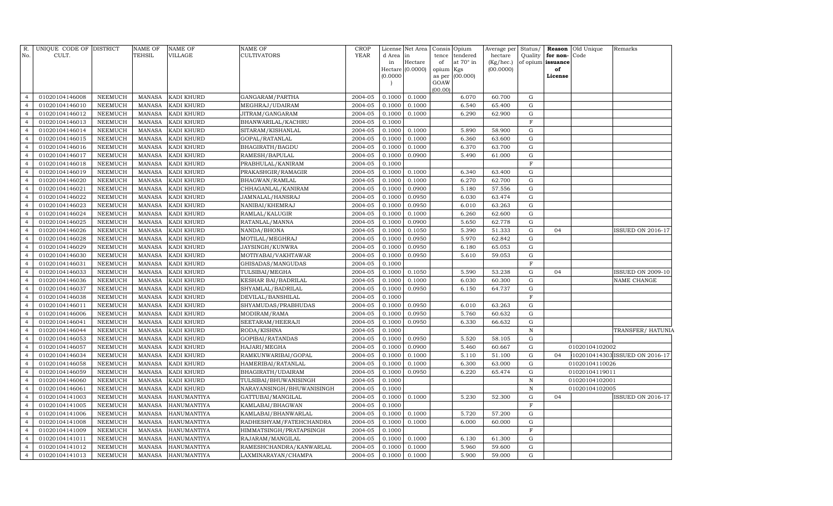| R.<br>No.                        | UNIQUE CODE OF DISTRICT<br>CULT. |                                  | <b>NAME OF</b><br>TEHSIL       | <b>NAME OF</b><br>VILLAGE        | NAME OF<br><b>CULTIVATORS</b>         | <b>CROP</b><br><b>YEAR</b> | d Area<br>in<br>(0.0000) | License Net Area<br>in<br>Hectare<br>Hectare (0.0000) | Consis<br>tence<br>of<br>opium<br>as per | Opium<br>tendered<br>at 70° in<br>Kgs<br>(00.000) | Average per<br>hectare<br>(Kg/hec.)<br>(00.0000) | Status/             | Quality for non-Code<br>of opium issuance<br>of<br>License | <b>Reason</b> Old Unique | Remarks                        |
|----------------------------------|----------------------------------|----------------------------------|--------------------------------|----------------------------------|---------------------------------------|----------------------------|--------------------------|-------------------------------------------------------|------------------------------------------|---------------------------------------------------|--------------------------------------------------|---------------------|------------------------------------------------------------|--------------------------|--------------------------------|
|                                  |                                  |                                  |                                |                                  |                                       |                            |                          |                                                       | GOAW<br>(00.00)                          |                                                   |                                                  |                     |                                                            |                          |                                |
| $\overline{4}$                   | 01020104146008                   | <b>NEEMUCH</b>                   | <b>MANASA</b>                  | KADI KHURD                       | GANGARAM / PARTHA                     | 2004-05                    | 0.1000                   | 0.1000                                                |                                          | 6.070                                             | 60.700                                           | G                   |                                                            |                          |                                |
| $\overline{4}$                   | 01020104146010                   | <b>NEEMUCH</b>                   | <b>MANASA</b>                  | KADI KHURD                       | MEGHRAJ/UDAIRAM                       | 2004-05                    | 0.1000                   | 0.1000                                                |                                          | 6.540                                             | 65.400                                           | G                   |                                                            |                          |                                |
| $\overline{4}$                   | 01020104146012                   | <b>NEEMUCH</b>                   | <b>MANASA</b>                  | KADI KHURD                       | JITRAM/GANGARAM                       | 2004-05                    | 0.1000                   | 0.1000                                                |                                          | 6.290                                             | 62.900                                           | ${\rm G}$           |                                                            |                          |                                |
| $\overline{4}$                   | 01020104146013                   | <b>NEEMUCH</b>                   | <b>MANASA</b>                  | KADI KHURD                       | BHANWARILAL/KACHRU                    | 2004-05                    | 0.1000                   |                                                       |                                          |                                                   |                                                  | $\mathbf F$         |                                                            |                          |                                |
| $\overline{4}$                   | 01020104146014                   | <b>NEEMUCH</b>                   | <b>MANASA</b>                  | KADI KHURD                       | SITARAM/KISHANLAL                     | 2004-05                    | 0.1000                   | 0.1000                                                |                                          | 5.890                                             | 58.900                                           | ${\rm G}$           |                                                            |                          |                                |
| $\overline{4}$                   | 01020104146015                   | <b>NEEMUCH</b>                   | <b>MANASA</b>                  | KADI KHURD                       | GOPAL/RATANLAL                        | 2004-05                    | 0.1000                   | 0.1000                                                |                                          | 6.360                                             | 63.600                                           | ${\rm G}$           |                                                            |                          |                                |
| $\overline{4}$                   | 01020104146016                   | <b>NEEMUCH</b>                   | <b>MANASA</b>                  | KADI KHURD                       | BHAGIRATH/BAGDU                       | 2004-05                    | 0.1000                   | 0.1000                                                |                                          | 6.370                                             | 63.700                                           | ${\rm G}$           |                                                            |                          |                                |
| $\overline{4}$                   | 01020104146017                   | <b>NEEMUCH</b>                   | <b>MANASA</b>                  | KADI KHURD                       | RAMESH/BAPULAL                        | 2004-05                    | 0.1000                   | 0.0900                                                |                                          | 5.490                                             | 61.000                                           | G                   |                                                            |                          |                                |
| $\overline{4}$                   | 01020104146018                   | NEEMUCH                          | <b>MANASA</b>                  | KADI KHURD                       | PRABHULAL/KANIRAM                     | 2004-05                    | 0.1000                   |                                                       |                                          |                                                   |                                                  | $\mathbf F$         |                                                            |                          |                                |
| $\overline{4}$                   | 01020104146019                   | <b>NEEMUCH</b>                   | <b>MANASA</b>                  | KADI KHURD                       | PRAKASHGIR/RAMAGIR                    | 2004-05                    | 0.1000                   | 0.1000                                                |                                          | 6.340                                             | 63.400                                           | G                   |                                                            |                          |                                |
| $\overline{4}$                   | 01020104146020                   | <b>NEEMUCH</b>                   | <b>MANASA</b>                  | KADI KHURD                       | BHAGWAN/RAMLAL                        | 2004-05                    | 0.1000                   | 0.1000                                                |                                          | 6.270                                             | 62.700                                           | ${\rm G}$           |                                                            |                          |                                |
| $\overline{4}$                   | 01020104146021                   | <b>NEEMUCH</b>                   | <b>MANASA</b>                  | KADI KHURD                       | CHHAGANLAL/KANIRAM                    | 2004-05                    | 0.1000                   | 0.0900                                                |                                          | 5.180                                             | 57.556                                           | G                   |                                                            |                          |                                |
| $\overline{4}$                   | 01020104146022                   | <b>NEEMUCH</b>                   | <b>MANASA</b>                  | KADI KHURD                       | JAMNALAL/HANSRAJ                      | 2004-05                    | 0.1000                   | 0.0950                                                |                                          | 6.030                                             | 63.474                                           | ${\rm G}$           |                                                            |                          |                                |
| $\overline{4}$                   | 01020104146023                   | <b>NEEMUCH</b>                   | <b>MANASA</b>                  | KADI KHURD                       | NANIBAI/KHEMRAJ                       | 2004-05                    | 0.1000                   | 0.0950                                                |                                          | 6.010                                             | 63.263                                           | G                   |                                                            |                          |                                |
| $\overline{4}$                   | 01020104146024                   | <b>NEEMUCH</b>                   | <b>MANASA</b>                  | KADI KHURD                       | RAMLAL/KALUGIR                        | 2004-05                    | 0.1000                   | 0.1000                                                |                                          | 6.260                                             | 62.600                                           | ${\rm G}$           |                                                            |                          |                                |
| $\overline{4}$                   | 01020104146025                   | <b>NEEMUCH</b>                   | <b>MANASA</b>                  | KADI KHURD                       | RATANLAL/MANNA                        | 2004-05                    | 0.1000                   | 0.0900                                                |                                          | 5.650                                             | 62.778                                           | G                   |                                                            |                          |                                |
| $\overline{4}$                   | 01020104146026                   | <b>NEEMUCH</b>                   | <b>MANASA</b>                  | KADI KHURD                       | NANDA/BHONA                           | 2004-05                    | 0.1000                   | 0.1050                                                |                                          | 5.390                                             | 51.333                                           | ${\rm G}$           | 04                                                         |                          | <b>ISSUED ON 2016-17</b>       |
| $\overline{4}$                   | 01020104146028                   | <b>NEEMUCH</b>                   | <b>MANASA</b>                  | KADI KHURD                       | MOTILAL/MEGHRAJ                       | 2004-05                    | 0.1000                   | 0.0950                                                |                                          | 5.970                                             | 62.842                                           | G                   |                                                            |                          |                                |
| $\overline{4}$                   | 01020104146029                   | NEEMUCH                          | <b>MANASA</b>                  | KADI KHURD                       | JAYSINGH/KUNWRA                       | 2004-05                    | 0.1000                   | 0.0950                                                |                                          | 6.180                                             | 65.053                                           | ${\rm G}$           |                                                            |                          |                                |
| $\overline{4}$                   | 01020104146030                   | <b>NEEMUCH</b>                   | <b>MANASA</b>                  | KADI KHURD                       | MOTIYABAI/VAKHTAWAR                   | 2004-05                    | 0.1000                   | 0.0950                                                |                                          | 5.610                                             | 59.053                                           | ${\rm G}$           |                                                            |                          |                                |
| $\overline{4}$                   | 01020104146031                   | <b>NEEMUCH</b>                   | <b>MANASA</b>                  | KADI KHURD                       | GHISADAS/MANGUDAS                     | 2004-05                    | 0.1000                   |                                                       |                                          |                                                   |                                                  | $\mathbf F$         |                                                            |                          |                                |
| $\overline{4}$                   | 01020104146033                   | <b>NEEMUCH</b>                   | <b>MANASA</b>                  | KADI KHURD                       | TULSIBAI/MEGHA                        | 2004-05                    | 0.1000                   | 0.1050                                                |                                          | 5.590                                             | 53.238                                           | ${\rm G}$           | 04                                                         |                          | <b>ISSUED ON 2009-10</b>       |
| $\overline{4}$                   | 01020104146036                   | <b>NEEMUCH</b>                   | <b>MANASA</b>                  | KADI KHURD                       | <b>KESHAR BAI/BADRILAL</b>            | 2004-05                    | 0.1000                   | 0.1000                                                |                                          | 6.030                                             | 60.300                                           | ${\rm G}$           |                                                            |                          | NAME CHANGE                    |
| $\overline{4}$                   | 01020104146037                   | <b>NEEMUCH</b>                   | <b>MANASA</b>                  | KADI KHURD                       | SHYAMLAL/BADRILAL                     | 2004-05                    | 0.1000                   | 0.0950                                                |                                          | 6.150                                             | 64.737                                           | G                   |                                                            |                          |                                |
| $\overline{4}$                   | 01020104146038                   | <b>NEEMUCH</b>                   | <b>MANASA</b>                  | KADI KHURD                       | DEVILAL/BANSHILAL                     | 2004-05                    | 0.1000                   |                                                       |                                          |                                                   |                                                  | $\mathbf F$         |                                                            |                          |                                |
| $\overline{4}$                   | 01020104146011                   | <b>NEEMUCH</b>                   | <b>MANASA</b>                  | KADI KHURD                       | SHYAMUDAS/PRABHUDAS                   | 2004-05                    | 0.1000                   | 0.0950                                                |                                          | 6.010                                             | 63.263                                           | G                   |                                                            |                          |                                |
| $\overline{4}$                   | 01020104146006                   | <b>NEEMUCH</b>                   | <b>MANASA</b>                  | KADI KHURD                       | MODIRAM/RAMA                          | 2004-05                    | 0.1000                   | 0.0950                                                |                                          | 5.760                                             | 60.632                                           | ${\rm G}$           |                                                            |                          |                                |
| $\overline{4}$                   | 01020104146041                   | <b>NEEMUCH</b>                   | <b>MANASA</b>                  | KADI KHURD                       | SEETARAM/HEERAJI                      | 2004-05                    | 0.1000                   | 0.0950                                                |                                          | 6.330                                             | 66.632                                           | G                   |                                                            |                          |                                |
| $\overline{4}$                   | 01020104146044                   | <b>NEEMUCH</b>                   | <b>MANASA</b>                  | KADI KHURD                       | RODA/KISHNA                           | 2004-05                    | 0.1000                   |                                                       |                                          |                                                   |                                                  | $\, {\bf N}$        |                                                            |                          | TRANSFER/ HATUNIA              |
| $\overline{4}$                   | 01020104146053                   | NEEMUCH                          | <b>MANASA</b>                  | KADI KHURD                       | GOPIBAI/RATANDAS                      | 2004-05                    | 0.1000                   | 0.0950                                                |                                          | 5.520                                             | 58.105                                           | G                   |                                                            |                          |                                |
| $\overline{4}$                   | 01020104146057                   | NEEMUCH                          | MANASA                         | KADI KHURD                       | HAJARI/MEGHA                          | 2004-05                    | 0.1000                   | 0.0900                                                |                                          | 5.460                                             | 60.667                                           | ${\rm G}$           |                                                            | 01020104102002           |                                |
| $\overline{4}$<br>$\overline{4}$ | 01020104146034                   | <b>NEEMUCH</b>                   | <b>MANASA</b>                  | KADI KHURD                       | RAMKUNWARIBAI/GOPAL                   | 2004-05<br>2004-05         | 0.1000                   | 0.1000                                                |                                          | 5.110                                             | 51.100                                           | G<br>${\rm G}$      | 04                                                         |                          | 102010414303 ISSUED ON 2016-17 |
|                                  | 01020104146058                   | NEEMUCH                          | <b>MANASA</b>                  | KADI KHURD                       | HAMERIBAI/RATANLAL                    |                            | 0.1000                   | 0.1000                                                |                                          | 6.300                                             | 63.000                                           |                     |                                                            | 01020104110026           |                                |
| $\overline{4}$<br>$\overline{4}$ | 01020104146059                   | <b>NEEMUCH</b>                   | <b>MANASA</b>                  | KADI KHURD                       | BHAGIRATH/UDAIRAM                     | 2004-05<br>2004-05         | 0.1000                   | 0.0950                                                |                                          | 6.220                                             | 65.474                                           | G                   |                                                            | 01020104119011           |                                |
| $\overline{4}$                   | 01020104146060                   | <b>NEEMUCH</b>                   | <b>MANASA</b>                  | KADI KHURD                       | TULSIBAI/BHUWANISINGH                 |                            | 0.1000                   |                                                       |                                          |                                                   |                                                  | $\, {\rm N}$        |                                                            | 01020104102001           |                                |
| $\overline{4}$                   | 01020104146061<br>01020104141003 | <b>NEEMUCH</b><br><b>NEEMUCH</b> | <b>MANASA</b><br><b>MANASA</b> | KADI KHURD<br><b>HANUMANTIYA</b> | NARAYANSINGH/BHUWANISINGH             | 2004-05<br>2004-05         | 0.1000<br>0.1000         | 0.1000                                                |                                          | 5.230                                             | 52.300                                           | $\,$ N<br>${\rm G}$ | 04                                                         | 01020104102005           | <b>ISSUED ON 2016-17</b>       |
| $\overline{4}$                   | 01020104141005                   | <b>NEEMUCH</b>                   | <b>MANASA</b>                  | <b>HANUMANTIYA</b>               | GATTUBAI/MANGILAL<br>KAMLABAI/BHAGWAN | 2004-05                    | 0.1000                   |                                                       |                                          |                                                   |                                                  | $\mathbf F$         |                                                            |                          |                                |
| $\overline{4}$                   | 01020104141006                   | <b>NEEMUCH</b>                   | <b>MANASA</b>                  | HANUMANTIYA                      | KAMLABAI/BHANWARLAL                   | 2004-05                    | 0.1000                   | 0.1000                                                |                                          | 5.720                                             | 57.200                                           | ${\rm G}$           |                                                            |                          |                                |
| $\overline{4}$                   | 01020104141008                   | <b>NEEMUCH</b>                   | <b>MANASA</b>                  | HANUMANTIYA                      | RADHESHYAM/FATEHCHANDRA               | 2004-05                    | 0.1000                   | 0.1000                                                |                                          | 6.000                                             | 60.000                                           | ${\rm G}$           |                                                            |                          |                                |
| $\overline{4}$                   | 01020104141009                   | <b>NEEMUCH</b>                   | <b>MANASA</b>                  | <b>HANUMANTIYA</b>               | HIMMATSINGH/PRATAPSINGH               | 2004-05                    | 0.1000                   |                                                       |                                          |                                                   |                                                  | $\mathbf F$         |                                                            |                          |                                |
| $\overline{4}$                   | 01020104141011                   | <b>NEEMUCH</b>                   | <b>MANASA</b>                  | <b>HANUMANTIYA</b>               | RAJARAM/MANGILAL                      | 2004-05                    | 0.1000                   | 0.1000                                                |                                          | 6.130                                             | 61.300                                           | ${\rm G}$           |                                                            |                          |                                |
| $\overline{4}$                   | 01020104141012                   | <b>NEEMUCH</b>                   | <b>MANASA</b>                  | HANUMANTIYA                      | RAMESHCHANDRA/KANWARLAL               | 2004-05                    | 0.1000                   | 0.1000                                                |                                          | 5.960                                             | 59.600                                           | G                   |                                                            |                          |                                |
| $\overline{4}$                   | 01020104141013                   | NEEMUCH                          | MANASA                         | <b>HANUMANTIYA</b>               | LAXMINARAYAN/CHAMPA                   | 2004-05                    | 0.1000                   | 0.1000                                                |                                          | 5.900                                             | 59.000                                           | G                   |                                                            |                          |                                |
|                                  |                                  |                                  |                                |                                  |                                       |                            |                          |                                                       |                                          |                                                   |                                                  |                     |                                                            |                          |                                |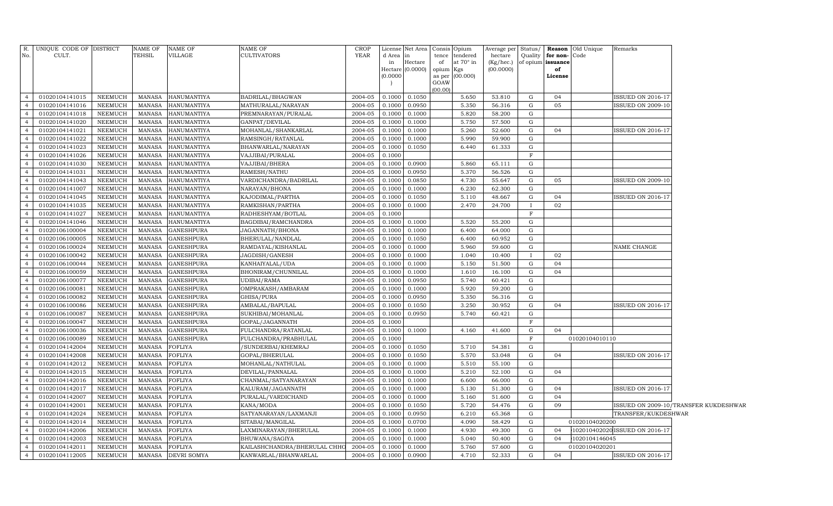|                | R. UNIQUE CODE OF DISTRICT |                | NAME OF       | <b>NAME OF</b>     | NAME OF                      | <b>CROP</b> |           | License Net Area              | Consis Opium    |                       | Average per            |              |                         | Status/ <b>Reason</b> Old Unique | Remarks                        |                                       |
|----------------|----------------------------|----------------|---------------|--------------------|------------------------------|-------------|-----------|-------------------------------|-----------------|-----------------------|------------------------|--------------|-------------------------|----------------------------------|--------------------------------|---------------------------------------|
| No.            | CULT.                      |                | <b>TEHSIL</b> | VILLAGE            | <b>CULTIVATORS</b>           | YEAR        | d Area in |                               | tence           | tendered<br>at 70° in | hectare                |              | Quality for non-Code    |                                  |                                |                                       |
|                |                            |                |               |                    |                              |             | in        | Hectare<br>Hectare $(0.0000)$ | of<br>opium Kgs |                       | (Kg/hec.)<br>(00.0000) |              | of opium issuance<br>of |                                  |                                |                                       |
|                |                            |                |               |                    |                              |             | (0.0000)  |                               | as per          | (00.000)              |                        |              | License                 |                                  |                                |                                       |
|                |                            |                |               |                    |                              |             |           |                               | GOAW            |                       |                        |              |                         |                                  |                                |                                       |
| $\overline{4}$ | 01020104141015             | NEEMUCH        | MANASA        | <b>HANUMANTIYA</b> | BADRILAL/BHAGWAN             | 2004-05     | 0.1000    | 0.1050                        | (00.00)         | 5.650                 | 53.810                 | G            | 04                      |                                  | <b>ISSUED ON 2016-17</b>       |                                       |
| $\overline{4}$ | 01020104141016             | <b>NEEMUCH</b> | MANASA        | <b>HANUMANTIYA</b> | MATHURALAL/NARAYAN           | 2004-05     | 0.1000    | 0.0950                        |                 | 5.350                 | 56.316                 | G            | 05                      |                                  | <b>ISSUED ON 2009-10</b>       |                                       |
| $\overline{4}$ | 01020104141018             | NEEMUCH        | MANASA        | <b>HANUMANTIYA</b> | PREMNARAYAN/PURALAL          | 2004-05     | 0.1000    | 0.1000                        |                 | 5.820                 | 58.200                 | G            |                         |                                  |                                |                                       |
| $\overline{4}$ | 01020104141020             | NEEMUCH        | MANASA        | HANUMANTIYA        | GANPAT/DEVILAL               | 2004-05     | 0.1000    | 0.1000                        |                 | 5.750                 | 57.500                 | G            |                         |                                  |                                |                                       |
| $\overline{4}$ | 01020104141021             | NEEMUCH        | <b>MANASA</b> | HANUMANTIYA        | MOHANLAL/SHANKARLAL          | 2004-05     | 0.1000    | 0.1000                        |                 | 5.260                 | 52.600                 | G            | 04                      |                                  | <b>ISSUED ON 2016-17</b>       |                                       |
| $\overline{4}$ | 01020104141022             | NEEMUCH        | MANASA        | HANUMANTIYA        | RAMSINGH/RATANLAL            | 2004-05     | 0.1000    | 0.1000                        |                 | 5.990                 | 59.900                 | G            |                         |                                  |                                |                                       |
| $\overline{4}$ | 01020104141023             | NEEMUCH        | <b>MANASA</b> | HANUMANTIYA        | BHANWARLAL/NARAYAN           | 2004-05     | 0.1000    | 0.1050                        |                 | 6.440                 | 61.333                 | G            |                         |                                  |                                |                                       |
| $\overline{4}$ | 01020104141026             | NEEMUCH        | MANASA        | <b>HANUMANTIYA</b> | VAJJIBAI/PURALAL             | 2004-05     | 0.1000    |                               |                 |                       |                        | $\mathbf F$  |                         |                                  |                                |                                       |
| $\overline{4}$ | 01020104141030             | NEEMUCH        | <b>MANASA</b> | HANUMANTIYA        | VAJJIBAI/BHERA               | 2004-05     | 0.1000    | 0.0900                        |                 | 5.860                 | 65.111                 | G            |                         |                                  |                                |                                       |
| $\overline{4}$ | 01020104141031             | <b>NEEMUCH</b> | MANASA        | <b>HANUMANTIYA</b> | RAMESH/NATHU                 | 2004-05     | 0.1000    | 0.0950                        |                 | 5.370                 | 56.526                 | G            |                         |                                  |                                |                                       |
| $\overline{4}$ | 01020104141043             | <b>NEEMUCH</b> | MANASA        | <b>HANUMANTIYA</b> | VARDICHANDRA/BADRILAL        | 2004-05     | 0.1000    | 0.0850                        |                 | 4.730                 | 55.647                 | G            | 05                      |                                  | <b>ISSUED ON 2009-10</b>       |                                       |
| $\overline{4}$ | 01020104141007             | <b>NEEMUCH</b> | MANASA        | <b>HANUMANTIYA</b> | NARAYAN/BHONA                | 2004-05     | 0.1000    | 0.1000                        |                 | 6.230                 | 62.300                 | G            |                         |                                  |                                |                                       |
| $\overline{4}$ | 01020104141045             | <b>NEEMUCH</b> | MANASA        | HANUMANTIYA        | KAJODIMAL/PARTHA             | 2004-05     | 0.1000    | 0.1050                        |                 | 5.110                 | 48.667                 | ${\rm G}$    | 04                      |                                  | <b>ISSUED ON 2016-17</b>       |                                       |
| $\overline{4}$ | 01020104141035             | <b>NEEMUCH</b> | MANASA        | <b>HANUMANTIYA</b> | RAMKISHAN/PARTHA             | 2004-05     | 0.1000    | 0.1000                        |                 | 2.470                 | 24.700                 | $\mathbf{I}$ | 02                      |                                  |                                |                                       |
| $\overline{4}$ | 01020104141027             | <b>NEEMUCH</b> | MANASA        | <b>HANUMANTIYA</b> | RADHESHYAM/BOTLAL            | 2004-05     | 0.1000    |                               |                 |                       |                        | $\mathbf F$  |                         |                                  |                                |                                       |
| $\overline{4}$ | 01020104141046             | <b>NEEMUCH</b> | <b>MANASA</b> | HANUMANTIYA        | BAGDIBAI/RAMCHANDRA          | 2004-05     | 0.1000    | 0.1000                        |                 | 5.520                 | 55.200                 | G            |                         |                                  |                                |                                       |
| $\overline{4}$ | 01020106100004             | <b>NEEMUCH</b> | <b>MANASA</b> | <b>GANESHPURA</b>  | JAGANNATH/BHONA              | 2004-05     | 0.1000    | 0.1000                        |                 | 6.400                 | 64.000                 | G            |                         |                                  |                                |                                       |
| $\overline{4}$ | 01020106100005             | <b>NEEMUCH</b> | <b>MANASA</b> | <b>GANESHPURA</b>  | BHERULAL/NANDLAL             | 2004-05     | 0.1000    | 0.1050                        |                 | 6.400                 | 60.952                 | G            |                         |                                  |                                |                                       |
| $\overline{4}$ | 01020106100024             | <b>NEEMUCH</b> | <b>MANASA</b> | <b>GANESHPURA</b>  | RAMDAYAL/KISHANLAL           | 2004-05     | 0.1000    | 0.1000                        |                 | 5.960                 | 59.600                 | ${\rm G}$    |                         |                                  | NAME CHANGE                    |                                       |
| $\overline{4}$ | 01020106100042             | <b>NEEMUCH</b> | <b>MANASA</b> | <b>GANESHPURA</b>  | JAGDISH/GANESH               | 2004-05     | 0.1000    | 0.1000                        |                 | 1.040                 | 10.400                 |              | 02                      |                                  |                                |                                       |
| $\overline{4}$ | 01020106100044             | <b>NEEMUCH</b> | <b>MANASA</b> | <b>GANESHPURA</b>  | KANHAIYALAL/UDA              | 2004-05     | 0.1000    | 0.1000                        |                 | 5.150                 | 51.500                 | ${\rm G}$    | 04                      |                                  |                                |                                       |
| $\overline{4}$ | 01020106100059             | <b>NEEMUCH</b> | <b>MANASA</b> | <b>GANESHPURA</b>  | BHONIRAM/CHUNNILAL           | 2004-05     | 0.1000    | 0.1000                        |                 | 1.610                 | 16.100                 | G            | 04                      |                                  |                                |                                       |
| $\overline{4}$ | 01020106100077             | <b>NEEMUCH</b> | <b>MANASA</b> | <b>GANESHPURA</b>  | UDIBAI/RAMA                  | 2004-05     | 0.1000    | 0.0950                        |                 | 5.740                 | 60.421                 | ${\rm G}$    |                         |                                  |                                |                                       |
| $\overline{4}$ | 01020106100081             | <b>NEEMUCH</b> | <b>MANASA</b> | <b>GANESHPURA</b>  | OMPRAKASH/AMBARAM            | 2004-05     | 0.1000    | 0.1000                        |                 | 5.920                 | 59.200                 | G            |                         |                                  |                                |                                       |
| $\overline{4}$ | 01020106100082             | <b>NEEMUCH</b> | <b>MANASA</b> | <b>GANESHPURA</b>  | GHISA/PURA                   | 2004-05     | 0.1000    | 0.0950                        |                 | 5.350                 | 56.316                 | $\mathbf G$  |                         |                                  |                                |                                       |
| $\overline{4}$ | 01020106100086             | <b>NEEMUCH</b> | <b>MANASA</b> | <b>GANESHPURA</b>  | AMBALAL/BAPULAL              | 2004-05     | 0.1000    | 0.1050                        |                 | 3.250                 | 30.952                 | G            | 04                      |                                  | <b>ISSUED ON 2016-17</b>       |                                       |
| $\overline{4}$ | 01020106100087             | <b>NEEMUCH</b> | <b>MANASA</b> | <b>GANESHPURA</b>  | SUKHIBAI/MOHANLAL            | 2004-05     | 0.1000    | 0.0950                        |                 | 5.740                 | 60.421                 | $\mathbf G$  |                         |                                  |                                |                                       |
| $\overline{4}$ | 01020106100047             | <b>NEEMUCH</b> | <b>MANASA</b> | <b>GANESHPURA</b>  | GOPAL/JAGANNATH              | 2004-05     | 0.1000    |                               |                 |                       |                        | $\mathbf F$  |                         |                                  |                                |                                       |
| $\overline{4}$ | 01020106100036             | <b>NEEMUCH</b> | <b>MANASA</b> | <b>GANESHPURA</b>  | FULCHANDRA/RATANLAL          | 2004-05     | 0.1000    | 0.1000                        |                 | 4.160                 | 41.600                 | ${\rm G}$    | 04                      |                                  |                                |                                       |
| $\overline{4}$ | 01020106100089             | <b>NEEMUCH</b> | MANASA        | <b>GANESHPURA</b>  | FULCHANDRA/PRABHULAL         | 2004-05     | 0.1000    |                               |                 |                       |                        | F            |                         | 01020104010110                   |                                |                                       |
| $\overline{4}$ | 01020104142004             | <b>NEEMUCH</b> | <b>MANASA</b> | <b>FOFLIYA</b>     | /SUNDERBAI/KHEMRAJ           | 2004-05     | 0.1000    | 0.1050                        |                 | 5.710                 | 54.381                 | $\mathbf G$  |                         |                                  |                                |                                       |
| $\overline{4}$ | 01020104142008             | <b>NEEMUCH</b> | <b>MANASA</b> | <b>FOFLIYA</b>     | GOPAL/BHERULAL               | 2004-05     | 0.1000    | 0.1050                        |                 | 5.570                 | 53.048                 | ${\rm G}$    | 04                      |                                  | <b>ISSUED ON 2016-17</b>       |                                       |
| $\overline{4}$ | 01020104142012             | <b>NEEMUCH</b> | <b>MANASA</b> | <b>FOFLIYA</b>     | MOHANLAL/NATHULAL            | 2004-05     | 0.1000    | 0.1000                        |                 | 5.510                 | 55.100                 | ${\rm G}$    |                         |                                  |                                |                                       |
| $\overline{4}$ | 01020104142015             | <b>NEEMUCH</b> | <b>MANASA</b> | <b>FOFLIYA</b>     | DEVILAL/PANNALAL             | 2004-05     | 0.1000    | 0.1000                        |                 | 5.210                 | 52.100                 | $\mathbf G$  | 04                      |                                  |                                |                                       |
| $\overline{4}$ | 01020104142016             | <b>NEEMUCH</b> | <b>MANASA</b> | <b>FOFLIYA</b>     | CHANMAL/SATYANARAYAN         | 2004-05     | 0.1000    | 0.1000                        |                 | 6.600                 | 66.000                 | $\mathbf G$  |                         |                                  |                                |                                       |
| $\overline{4}$ | 01020104142017             | <b>NEEMUCH</b> | MANASA        | <b>FOFLIYA</b>     | KALURAM/JAGANNATH            | 2004-05     | 0.1000    | 0.1000                        |                 | 5.130                 | 51.300                 | $\mathbf G$  | 04                      |                                  | ISSUED ON 2016-17              |                                       |
| $\overline{4}$ | 01020104142007             | <b>NEEMUCH</b> | <b>MANASA</b> | <b>FOFLIYA</b>     | PURALAL/VARDICHAND           | 2004-05     | 0.1000    | 0.1000                        |                 | 5.160                 | 51.600                 | ${\rm G}$    | 04                      |                                  |                                |                                       |
| $\overline{4}$ | 01020104142001             | <b>NEEMUCH</b> | <b>MANASA</b> | <b>FOFLIYA</b>     | KANA/MODA                    | 2004-05     | 0.1000    | 0.1050                        |                 | 5.720                 | 54.476                 | $\mathbf G$  | 09                      |                                  |                                | ISSUED ON 2009-10/TRANSFER KUKDESHWAR |
| $\overline{4}$ | 01020104142024             | <b>NEEMUCH</b> | <b>MANASA</b> | <b>FOFLIYA</b>     | SATYANARAYAN/LAXMANJI        | 2004-05     | 0.1000    | 0.0950                        |                 | 6.210                 | 65.368                 | $\mathbf G$  |                         |                                  | TRANSFER/KUKDESHWAR            |                                       |
| $\overline{4}$ | 01020104142014             | <b>NEEMUCH</b> | <b>MANASA</b> | <b>FOFLIYA</b>     | SITABAI/MANGILAL             | 2004-05     | 0.1000    | 0.0700                        |                 | 4.090                 | 58.429                 | $\mathbf G$  |                         | 01020104020200                   |                                |                                       |
| $\overline{4}$ | 01020104142006             | <b>NEEMUCH</b> | <b>MANASA</b> | <b>FOFLIYA</b>     | LAXMINARAYAN/BHERULAL        | 2004-05     | 0.1000    | 0.1000                        |                 | 4.930                 | 49.300                 | $\mathbf G$  | 04                      |                                  | 102010402020 ISSUED ON 2016-17 |                                       |
| $\overline{4}$ | 01020104142003             | <b>NEEMUCH</b> | <b>MANASA</b> | <b>FOFLIYA</b>     | BHUWANA/SAGIYA               | 2004-05     | 0.1000    | 0.1000                        |                 | 5.040                 | 50.400                 | $\mathbf G$  | 04                      | 1020104146045                    |                                |                                       |
| $\overline{4}$ | 01020104142011             | <b>NEEMUCH</b> | MANASA        | <b>FOFLIYA</b>     | KAILASHCHANDRA/BHERULAL CHHO | 2004-05     | 0.1000    | 0.1000                        |                 | 5.760                 | 57.600                 | $\mathbf G$  |                         | 01020104020201                   |                                |                                       |
| $\overline{4}$ | 01020104112005             | <b>NEEMUCH</b> | MANASA        | DEVRI SOMYA        | KANWARLAL/BHANWARLAL         | 2004-05     | 0.1000    | 0.0900                        |                 | 4.710                 | 52.333                 | $\mathbf G$  | 04                      |                                  | <b>ISSUED ON 2016-17</b>       |                                       |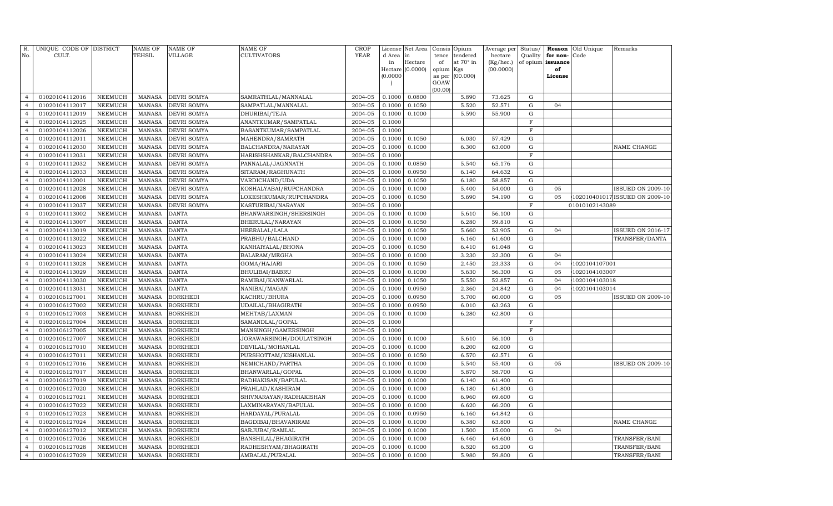| R.             | UNIQUE CODE OF DISTRICT |                | <b>NAME OF</b> | <b>NAME OF</b>     | NAME OF                  | <b>CROP</b> | License  | Net Area         | Consis              | Opium     | Average per | Status/        | Reason            | Old Unique     | Remarks                        |
|----------------|-------------------------|----------------|----------------|--------------------|--------------------------|-------------|----------|------------------|---------------------|-----------|-------------|----------------|-------------------|----------------|--------------------------------|
| No.            | CULT.                   |                | TEHSIL         | <b>VILLAGE</b>     | <b>CULTIVATORS</b>       | YEAR        | d Area   | in               | tence               | tendered  | hectare     | Quality        | for non-          | Code           |                                |
|                |                         |                |                |                    |                          |             | in       | Hectare          | of                  | at 70° in | (Kg/hec.)   |                | of opium issuance |                |                                |
|                |                         |                |                |                    |                          |             | (0.0000) | Hectare (0.0000) | opium Kgs<br>as per | (00.000)  | (00.0000)   |                | of<br>License     |                |                                |
|                |                         |                |                |                    |                          |             |          |                  | GOAW                |           |             |                |                   |                |                                |
|                |                         |                |                |                    |                          |             |          |                  | (00.00)             |           |             |                |                   |                |                                |
| $\overline{4}$ | 01020104112016          | <b>NEEMUCH</b> | <b>MANASA</b>  | <b>DEVRI SOMYA</b> | SAMRATHLAL/MANNALAL      | 2004-05     | 0.1000   | 0.0800           |                     | 5.890     | 73.625      | G              |                   |                |                                |
| $\overline{4}$ | 01020104112017          | <b>NEEMUCH</b> | <b>MANASA</b>  | <b>DEVRI SOMYA</b> | SAMPATLAL/MANNALAL       | 2004-05     | 0.1000   | 0.1050           |                     | 5.520     | 52.571      | ${\rm G}$      | 04                |                |                                |
| $\overline{4}$ | 01020104112019          | <b>NEEMUCH</b> | <b>MANASA</b>  | DEVRI SOMYA        | DHURIBAI/TEJA            | 2004-05     | 0.1000   | 0.1000           |                     | 5.590     | 55.900      | ${\bf G}$      |                   |                |                                |
| $\overline{4}$ | 01020104112025          | <b>NEEMUCH</b> | <b>MANASA</b>  | DEVRI SOMYA        | ANANTKUMAR/SAMPATLAL     | 2004-05     | 0.1000   |                  |                     |           |             | $\mathbf F$    |                   |                |                                |
| $\overline{4}$ | 01020104112026          | NEEMUCH        | <b>MANASA</b>  | DEVRI SOMYA        | BASANTKUMAR/SAMPATLAL    | 2004-05     | 0.1000   |                  |                     |           |             | $\mathbf F$    |                   |                |                                |
| $\overline{4}$ | 01020104112011          | <b>NEEMUCH</b> | <b>MANASA</b>  | DEVRI SOMYA        | MAHENDRA/SAMRATH         | 2004-05     | 0.1000   | 0.1050           |                     | 6.030     | 57.429      | ${\bf G}$      |                   |                |                                |
| $\overline{4}$ | 01020104112030          | NEEMUCH        | <b>MANASA</b>  | DEVRI SOMYA        | BALCHANDRA/NARAYAN       | 2004-05     | 0.1000   | 0.1000           |                     | 6.300     | 63.000      | ${\rm G}$      |                   |                | NAME CHANGE                    |
| $\overline{4}$ | 01020104112031          | <b>NEEMUCH</b> | <b>MANASA</b>  | DEVRI SOMYA        | HARISHSHANKAR/BALCHANDRA | 2004-05     | 0.1000   |                  |                     |           |             | $\mathbf F$    |                   |                |                                |
| $\overline{4}$ | 01020104112032          | NEEMUCH        | <b>MANASA</b>  | DEVRI SOMYA        | PANNALAL/JAGNNATH        | 2004-05     | 0.1000   | 0.0850           |                     | 5.540     | 65.176      | $\mathbf G$    |                   |                |                                |
| $\overline{4}$ | 01020104112033          | NEEMUCH        | <b>MANASA</b>  | DEVRI SOMYA        | SITARAM/RAGHUNATH        | 2004-05     | 0.1000   | 0.0950           |                     | 6.140     | 64.632      | ${\rm G}$      |                   |                |                                |
| $\overline{4}$ | 01020104112001          | <b>NEEMUCH</b> | <b>MANASA</b>  | DEVRI SOMYA        | VARDICHAND/UDA           | 2004-05     | 0.1000   | 0.1050           |                     | 6.180     | 58.857      | $\mathbf G$    |                   |                |                                |
| $\overline{4}$ | 01020104112028          | <b>NEEMUCH</b> | <b>MANASA</b>  | DEVRI SOMYA        | KOSHALYABAI/RUPCHANDRA   | 2004-05     | 0.1000   | 0.1000           |                     | 5.400     | 54.000      | ${\rm G}$      | 05                |                | <b>ISSUED ON 2009-10</b>       |
| $\overline{4}$ | 01020104112008          | <b>NEEMUCH</b> | <b>MANASA</b>  | DEVRI SOMYA        | LOKESHKUMAR/RUPCHANDRA   | 2004-05     | 0.1000   | 0.1050           |                     | 5.690     | 54.190      | ${\bf G}$      | 05                |                | 102010401017 ISSUED ON 2009-10 |
| $\overline{4}$ | 01020104112037          | <b>NEEMUCH</b> | <b>MANASA</b>  | DEVRI SOMYA        | KASTURIBAI/NARAYAN       | 2004-05     | 0.1000   |                  |                     |           |             | $\mathbf F$    |                   | 01010102143089 |                                |
| $\overline{4}$ | 01020104113002          | NEEMUCH        | <b>MANASA</b>  | DANTA              | BHANWARSINGH/SHERSINGH   | 2004-05     | 0.1000   | 0.1000           |                     | 5.610     | 56.100      | ${\bf G}$      |                   |                |                                |
| $\overline{4}$ | 01020104113007          | <b>NEEMUCH</b> | <b>MANASA</b>  | <b>DANTA</b>       | BHERULAL/NARAYAN         | 2004-05     | 0.1000   | 0.1050           |                     | 6.280     | 59.810      | ${\rm G}$      |                   |                |                                |
| $\overline{4}$ | 01020104113019          | <b>NEEMUCH</b> | <b>MANASA</b>  | DANTA              | HEERALAL/LALA            | 2004-05     | 0.1000   | 0.1050           |                     | 5.660     | 53.905      | ${\bf G}$      | 04                |                | <b>ISSUED ON 2016-17</b>       |
| $\overline{4}$ | 01020104113022          | NEEMUCH        | <b>MANASA</b>  | DANTA              | PRABHU/BALCHAND          | 2004-05     | 0.1000   | 0.1000           |                     | 6.160     | 61.600      | ${\rm G}$      |                   |                | TRANSFER/DANTA                 |
| $\overline{4}$ | 01020104113023          | NEEMUCH        | <b>MANASA</b>  | DANTA              | KANHAIYALAL/BHONA        | 2004-05     | 0.1000   | 0.1050           |                     | 6.410     | 61.048      | ${\bf G}$      |                   |                |                                |
| $\overline{4}$ | 01020104113024          | <b>NEEMUCH</b> | <b>MANASA</b>  | DANTA              | BALARAM/MEGHA            | 2004-05     | 0.1000   | 0.1000           |                     | 3.230     | 32.300      | G              | 04                |                |                                |
| $\overline{4}$ | 01020104113028          | <b>NEEMUCH</b> | <b>MANASA</b>  | DANTA              | GOMA/HAJARI              | 2004-05     | 0.1000   | 0.1050           |                     | 2.450     | 23.333      | $\mathbf G$    | 04                | 1020104107001  |                                |
| $\overline{4}$ | 01020104113029          | <b>NEEMUCH</b> | <b>MANASA</b>  | <b>DANTA</b>       | BHULIBAI/BABRU           | 2004-05     | 0.1000   | 0.1000           |                     | 5.630     | 56.300      | $\mathbf G$    | 05                | 1020104103007  |                                |
| $\overline{4}$ | 01020104113030          | <b>NEEMUCH</b> | <b>MANASA</b>  | <b>DANTA</b>       | RAMIBAI/KANWARLAL        | 2004-05     | 0.1000   | 0.1050           |                     | 5.550     | 52.857      | $\mathbf G$    | 04                | 1020104103018  |                                |
| $\overline{4}$ | 01020104113031          | <b>NEEMUCH</b> | <b>MANASA</b>  | <b>DANTA</b>       | NANIBAI/MAGAN            | 2004-05     | 0.1000   | 0.0950           |                     | 2.360     | 24.842      | ${\rm G}$      | 04                | 1020104103014  |                                |
| $\overline{4}$ | 01020106127001          | <b>NEEMUCH</b> | <b>MANASA</b>  | BORKHEDI           | KACHRU/BHURA             | 2004-05     | 0.1000   | 0.0950           |                     | 5.700     | 60.000      | $\mathbf G$    | 05                |                | <b>ISSUED ON 2009-10</b>       |
| $\overline{4}$ | 01020106127002          | <b>NEEMUCH</b> | <b>MANASA</b>  | BORKHEDI           | UDAILAL/BHAGIRATH        | 2004-05     | 0.1000   | 0.0950           |                     | 6.010     | 63.263      | ${\rm G}$      |                   |                |                                |
| $\overline{4}$ | 01020106127003          | <b>NEEMUCH</b> | <b>MANASA</b>  | BORKHEDI           | MEHTAB/LAXMAN            | 2004-05     | 0.1000   | 0.1000           |                     | 6.280     | 62.800      | $\mathbf G$    |                   |                |                                |
| $\overline{4}$ | 01020106127004          | <b>NEEMUCH</b> | <b>MANASA</b>  | <b>BORKHEDI</b>    | SAMANDLAL/GOPAL          | 2004-05     | 0.1000   |                  |                     |           |             | $\mathbf F$    |                   |                |                                |
| $\overline{4}$ | 01020106127005          | <b>NEEMUCH</b> | <b>MANASA</b>  | BORKHEDI           | MANSINGH/GAMERSINGH      | 2004-05     | 0.1000   |                  |                     |           |             | $\overline{F}$ |                   |                |                                |
| $\overline{4}$ | 01020106127007          | <b>NEEMUCH</b> | <b>MANASA</b>  | BORKHEDI           | JORAWARSINGH/DOULATSINGH | 2004-05     | 0.1000   | 0.1000           |                     | 5.610     | 56.100      | ${\rm G}$      |                   |                |                                |
| $\overline{4}$ | 01020106127010          | <b>NEEMUCH</b> | <b>MANASA</b>  | BORKHEDI           | DEVILAL/MOHANLAL         | 2004-05     | 0.1000   | 0.1000           |                     | 6.200     | 62.000      | $\mathbf G$    |                   |                |                                |
| $\overline{4}$ | 01020106127011          | <b>NEEMUCH</b> | <b>MANASA</b>  | BORKHEDI           | PURSHOTTAM/KISHANLAL     | 2004-05     | 0.1000   | 0.1050           |                     | 6.570     | 62.571      | $\mathbf G$    |                   |                |                                |
| $\overline{4}$ | 01020106127016          | <b>NEEMUCH</b> | <b>MANASA</b>  | BORKHEDI           | NEMICHAND/PARTHA         | 2004-05     | 0.1000   | 0.1000           |                     | 5.540     | 55.400      | $\mathbf G$    | 05                |                | <b>ISSUED ON 2009-10</b>       |
| $\overline{4}$ | 01020106127017          | NEEMUCH        | <b>MANASA</b>  | BORKHEDI           | BHANWARLAL/GOPAL         | 2004-05     | 0.1000   | 0.1000           |                     | 5.870     | 58.700      | ${\rm G}$      |                   |                |                                |
| $\overline{4}$ | 01020106127019          | <b>NEEMUCH</b> | <b>MANASA</b>  | BORKHEDI           | RADHAKISAN/BAPULAL       | 2004-05     | 0.1000   | 0.1000           |                     | 6.140     | 61.400      | $\mathbf G$    |                   |                |                                |
| $\overline{4}$ | 01020106127020          | <b>NEEMUCH</b> | <b>MANASA</b>  | <b>BORKHEDI</b>    | PRAHLAD/KASHIRAM         | 2004-05     | 0.1000   | 0.1000           |                     | 6.180     | 61.800      | ${\rm G}$      |                   |                |                                |
| $\overline{4}$ | 01020106127021          | <b>NEEMUCH</b> | <b>MANASA</b>  | BORKHEDI           | SHIVNARAYAN/RADHAKISHAN  | 2004-05     | 0.1000   | 0.1000           |                     | 6.960     | 69.600      | ${\bf G}$      |                   |                |                                |
| $\overline{4}$ | 01020106127022          | <b>NEEMUCH</b> | <b>MANASA</b>  | BORKHEDI           | LAXMINARAYAN/BAPULAL     | 2004-05     | 0.1000   | 0.1000           |                     | 6.620     | 66.200      | $\mathbf G$    |                   |                |                                |
| $\overline{4}$ | 01020106127023          | <b>NEEMUCH</b> | <b>MANASA</b>  | BORKHEDI           | HARDAYAL/PURALAL         | 2004-05     | 0.1000   | 0.0950           |                     | 6.160     | 64.842      | $\mathbf G$    |                   |                |                                |
| $\overline{4}$ | 01020106127024          | <b>NEEMUCH</b> | <b>MANASA</b>  | <b>BORKHEDI</b>    | BAGDIBAI/BHAVANIRAM      | 2004-05     | 0.1000   | 0.1000           |                     | 6.380     | 63.800      | $\mathbf G$    |                   |                | NAME CHANGE                    |
| $\overline{4}$ | 01020106127012          | <b>NEEMUCH</b> | <b>MANASA</b>  | BORKHEDI           | SARJUBAI/RAMLAL          | 2004-05     | 0.1000   | 0.1000           |                     | 1.500     | 15.000      | $\mathbf G$    | 04                |                |                                |
| $\overline{4}$ | 01020106127026          | <b>NEEMUCH</b> | <b>MANASA</b>  | <b>BORKHEDI</b>    | BANSHILAL/BHAGIRATH      | 2004-05     | 0.1000   | 0.1000           |                     | 6.460     | 64.600      | G              |                   |                | TRANSFER/BANI                  |
| $\overline{4}$ | 01020106127028          | <b>NEEMUCH</b> | <b>MANASA</b>  | BORKHEDI           | RADHESHYAM/BHAGIRATH     | 2004-05     | 0.1000   | 0.1000           |                     | 6.520     | 65.200      | G              |                   |                | TRANSFER/BANI                  |
| $\overline{4}$ | 01020106127029          | <b>NEEMUCH</b> | MANASA         | <b>BORKHEDI</b>    | AMBALAL/PURALAL          | 2004-05     | 0.1000   | 0.1000           |                     | 5.980     | 59.800      | G              |                   |                | TRANSFER/BANI                  |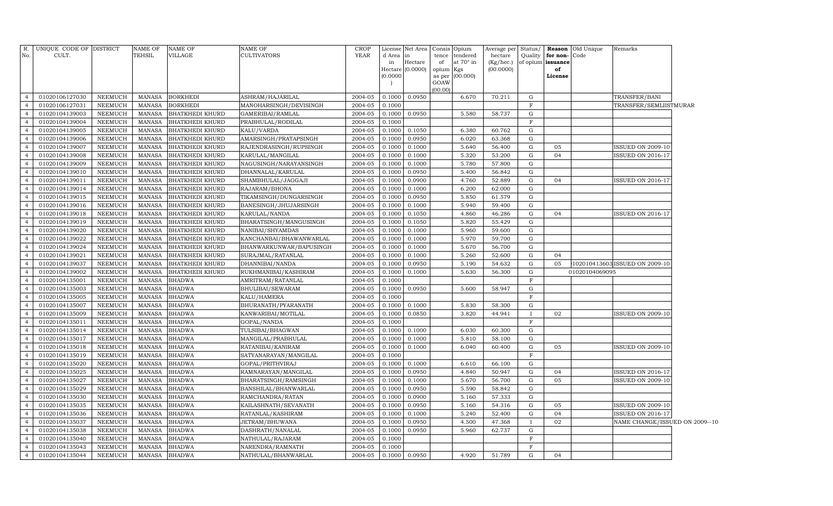| R.<br>No.      | UNIQUE CODE OF DISTRICT<br>CULT. |         | <b>NAME OF</b><br>TEHSIL | <b>NAME OF</b><br><b>VILLAGE</b> | NAME OF<br>CULTIVATORS  | CROP<br><b>YEAR</b> | License<br>d Area | Net Area<br>in     | Consis<br>tence | Opium<br>tendered | Average per<br>hectare | Status/<br>Quality | for non-          | <b>Reason</b> Old Unique<br>Code | Remarks                        |  |
|----------------|----------------------------------|---------|--------------------------|----------------------------------|-------------------------|---------------------|-------------------|--------------------|-----------------|-------------------|------------------------|--------------------|-------------------|----------------------------------|--------------------------------|--|
|                |                                  |         |                          |                                  |                         |                     | in                | Hectare            | of              | at 70° in         | (Kg/hec.)              |                    | of opium issuance |                                  |                                |  |
|                |                                  |         |                          |                                  |                         |                     |                   | Hectare $(0.0000)$ | opium           | Kgs               | (00.0000)              |                    | of                |                                  |                                |  |
|                |                                  |         |                          |                                  |                         |                     | (0.0000)          |                    | as per<br>GOAW  | (00.000)          |                        |                    | License           |                                  |                                |  |
|                |                                  |         |                          |                                  |                         |                     |                   |                    | (00.00)         |                   |                        |                    |                   |                                  |                                |  |
| $\overline{4}$ | 01020106127030                   | NEEMUCH | <b>MANASA</b>            | <b>BORKHEDI</b>                  | ASHRAM/HAJARILAL        | 2004-05             | 0.1000            | 0.0950             |                 | 6.670             | 70.211                 | G                  |                   |                                  | TRANSFER/BANI                  |  |
| $\overline{4}$ | 01020106127031                   | NEEMUCH | <b>MANASA</b>            | <b>BORKHEDI</b>                  | MANOHARSINGH/DEVISINGH  | 2004-05             | 0.1000            |                    |                 |                   |                        | $\mathbf F$        |                   |                                  | TRANSFER/SEMLIISTMURAR         |  |
| $\overline{4}$ | 01020104139003                   | NEEMUCH | <b>MANASA</b>            | <b>BHATKHEDI KHURD</b>           | GAMERIBAI/RAMLAL        | 2004-05             | 0.1000            | 0.0950             |                 | 5.580             | 58.737                 | G                  |                   |                                  |                                |  |
| $\overline{4}$ | 01020104139004                   | NEEMUCH | <b>MANASA</b>            | <b>BHATKHEDI KHURD</b>           | PRABHULAL/RODILAL       | 2004-05             | 0.1000            |                    |                 |                   |                        | $\mathbf F$        |                   |                                  |                                |  |
| $\overline{4}$ | 01020104139005                   | NEEMUCH | <b>MANASA</b>            | <b>BHATKHEDI KHURD</b>           | KALU/VARDA              | 2004-05             | 0.1000            | 0.1050             |                 | 6.380             | 60.762                 | G                  |                   |                                  |                                |  |
| $\overline{4}$ | 01020104139006                   | NEEMUCH | <b>MANASA</b>            | <b>BHATKHEDI KHURD</b>           | AMARSINGH/PRATAPSINGH   | 2004-05             | 0.1000            | 0.0950             |                 | 6.020             | 63.368                 | G                  |                   |                                  |                                |  |
| $\overline{4}$ | 01020104139007                   | NEEMUCH | <b>MANASA</b>            | <b>BHATKHEDI KHURD</b>           | RAJENDRASINGH/RUPSINGH  | 2004-05             | 0.1000            | 0.1000             |                 | 5.640             | 56.400                 | $\mathbf G$        | 05                |                                  | <b>ISSUED ON 2009-10</b>       |  |
| $\overline{4}$ | 01020104139008                   | NEEMUCH | <b>MANASA</b>            | <b>BHATKHEDI KHURD</b>           | KARULAL/MANGILAL        | 2004-05             | 0.1000            | 0.1000             |                 | 5.320             | 53.200                 | G                  | 04                |                                  | <b>ISSUED ON 2016-17</b>       |  |
| $\overline{4}$ | 01020104139009                   | NEEMUCH | <b>MANASA</b>            | <b>BHATKHEDI KHURD</b>           | NAGUSINGH/NARAYANSINGH  | 2004-05             | 0.1000            | 0.1000             |                 | 5.780             | 57.800                 | G                  |                   |                                  |                                |  |
| $\overline{4}$ | 01020104139010                   | NEEMUCH | MANASA                   | <b>BHATKHEDI KHURD</b>           | DHANNALAL/KARULAL       | 2004-05             | 0.1000            | 0.0950             |                 | 5.400             | 56.842                 | G                  |                   |                                  |                                |  |
| $\overline{4}$ | 01020104139011                   | NEEMUCH | <b>MANASA</b>            | <b>BHATKHEDI KHURD</b>           | SHAMBHULAL/JAGGAJI      | 2004-05             | 0.1000            | 0.0900             |                 | 4.760             | 52.889                 | G                  | 04                |                                  | <b>ISSUED ON 2016-17</b>       |  |
| $\overline{4}$ | 01020104139014                   | NEEMUCH | <b>MANASA</b>            | <b>BHATKHEDI KHURD</b>           | RAJARAM/BHONA           | 2004-05             | 0.1000            | 0.1000             |                 | 6.200             | 62.000                 | $\mathbf G$        |                   |                                  |                                |  |
| $\overline{4}$ | 01020104139015                   | NEEMUCH | <b>MANASA</b>            | <b>BHATKHEDI KHURD</b>           | TIKAMSINGH/DUNGARSINGH  | 2004-05             | 0.1000            | 0.0950             |                 | 5.850             | 61.579                 | $\mathbf G$        |                   |                                  |                                |  |
| $\overline{4}$ | 01020104139016                   | NEEMUCH | <b>MANASA</b>            | <b>BHATKHEDI KHURD</b>           | BANESINGH/JHUJARSINGH   | 2004-05             | 0.1000            | 0.1000             |                 | 5.940             | 59.400                 | G                  |                   |                                  |                                |  |
| $\overline{4}$ | 01020104139018                   | NEEMUCH | <b>MANASA</b>            | <b>BHATKHEDI KHURD</b>           | KARULAL/NANDA           | 2004-05             | 0.1000            | 0.1050             |                 | 4.860             | 46.286                 | G                  | 04                |                                  | ISSUED ON 2016-17              |  |
| $\overline{4}$ | 01020104139019                   | NEEMUCH | <b>MANASA</b>            | <b>BHATKHEDI KHURD</b>           | BHARATSINGH/MANGUSINGH  | 2004-05             | 0.1000            | 0.1050             |                 | 5.820             | 55.429                 | $\mathbf G$        |                   |                                  |                                |  |
| $\overline{4}$ | 01020104139020                   | NEEMUCH | <b>MANASA</b>            | <b>BHATKHEDI KHURD</b>           | NANIBAI/SHYAMDAS        | 2004-05             | 0.1000            | 0.1000             |                 | 5.960             | 59.600                 | G                  |                   |                                  |                                |  |
| $\overline{4}$ | 01020104139022                   | NEEMUCH | <b>MANASA</b>            | <b>BHATKHEDI KHURD</b>           | KANCHANBAI/BHAWANWARLAL | 2004-05             | 0.1000            | 0.1000             |                 | 5.970             | 59.700                 | G                  |                   |                                  |                                |  |
| $\overline{4}$ | 01020104139024                   | NEEMUCH | <b>MANASA</b>            | <b>BHATKHEDI KHURD</b>           | BHANWARKUNWAR/BAPUSINGH | 2004-05             | 0.1000            | 0.1000             |                 | 5.670             | 56.700                 | G                  |                   |                                  |                                |  |
| $\overline{4}$ | 01020104139021                   | NEEMUCH | <b>MANASA</b>            | <b>BHATKHEDI KHURD</b>           | SURAJMAL/RATANLAL       | 2004-05             | 0.1000            | 0.1000             |                 | 5.260             | 52.600                 | G                  | 04                |                                  |                                |  |
| $\overline{4}$ | 01020104139037                   | NEEMUCH | <b>MANASA</b>            | <b>BHATKHEDI KHURD</b>           | DHANNIBAI/NANDA         | 2004-05             | 0.1000            | 0.0950             |                 | 5.190             | 54.632                 | G                  | 05                |                                  | 102010413603 ISSUED ON 2009-10 |  |
| $\overline{4}$ | 01020104139002                   | NEEMUCH | MANASA                   | <b>BHATKHEDI KHURD</b>           | RUKHMANIBAI/KASHIRAM    | 2004-05             | 0.1000            | 0.1000             |                 | 5.630             | 56.300                 | G                  |                   | 01020104069095                   |                                |  |
| $\overline{4}$ | 01020104135001                   | NEEMUCH | <b>MANASA</b>            | <b>BHADWA</b>                    | AMRITRAM/RATANLAL       | 2004-05             | 0.1000            |                    |                 |                   |                        | $\mathbf F$        |                   |                                  |                                |  |
| $\overline{4}$ | 01020104135003                   | NEEMUCH | MANASA                   | <b>BHADWA</b>                    | BHULIBAI/SEWARAM        | 2004-05             | 0.1000            | 0.0950             |                 | 5.600             | 58.947                 | G                  |                   |                                  |                                |  |
| $\overline{4}$ | 01020104135005                   | NEEMUCH | <b>MANASA</b>            | <b>BHADWA</b>                    | KALU/HAMERA             | $2004 - 05$         | 0.1000            |                    |                 |                   |                        | $\mathbf F$        |                   |                                  |                                |  |
| $\overline{4}$ | 01020104135007                   | NEEMUCH | <b>MANASA</b>            | <b>BHADWA</b>                    | BHURANATH/PYARANATH     | 2004-05             | 0.1000            | 0.1000             |                 | 5.830             | 58.300                 | G                  |                   |                                  |                                |  |
| $\overline{4}$ | 01020104135009                   | NEEMUCH | <b>MANASA</b>            | <b>BHADWA</b>                    | KANWARIBAI/MOTILAL      | 2004-05             | 0.1000            | 0.0850             |                 | 3.820             | 44.941                 | $\mathbf{I}$       | 02                |                                  | <b>ISSUED ON 2009-10</b>       |  |
| $\overline{4}$ | 01020104135011                   | NEEMUCH | <b>MANASA</b>            | <b>BHADWA</b>                    | GOPAL/NANDA             | 2004-05             | 0.1000            |                    |                 |                   |                        | $\mathbf F$        |                   |                                  |                                |  |
| $\overline{4}$ | 01020104135014                   | NEEMUCH | <b>MANASA</b>            | <b>BHADWA</b>                    | TULSIBAI/BHAGWAN        | 2004-05             | 0.1000            | 0.1000             |                 | 6.030             | 60.300                 | G                  |                   |                                  |                                |  |
| $\overline{4}$ | 01020104135017                   | NEEMUCH | <b>MANASA</b>            | <b>BHADWA</b>                    | MANGILAL/PRABHULAL      | 2004-05             | 0.1000            | 0.1000             |                 | 5.810             | 58.100                 | G                  |                   |                                  |                                |  |
| $\overline{4}$ | 01020104135018                   | NEEMUCH | <b>MANASA</b>            | <b>BHADWA</b>                    | RATANIBAI/KANIRAM       | 2004-05             | 0.1000            | 0.1000             |                 | 6.040             | 60.400                 | G                  | 05                |                                  | <b>ISSUED ON 2009-10</b>       |  |
| $\overline{4}$ | 01020104135019                   | NEEMUCH | MANASA                   | <b>BHADWA</b>                    | SATYANARAYAN/MANGILAL   | 2004-05             | 0.1000            |                    |                 |                   |                        | $\mathbf F$        |                   |                                  |                                |  |
| $\overline{4}$ | 01020104135020                   | NEEMUCH | <b>MANASA</b>            | <b>BHADWA</b>                    | GOPAL/PRITHVIRAJ        | 2004-05             | 0.1000            | 0.1000             |                 | 6.610             | 66.100                 | G                  |                   |                                  |                                |  |
| $\overline{4}$ | 01020104135025                   | NEEMUCH | MANASA                   | <b>BHADWA</b>                    | RAMNARAYAN/MANGILAL     | 2004-05             | 0.1000            | 0.0950             |                 | 4.840             | 50.947                 | G                  | 04                |                                  | <b>ISSUED ON 2016-17</b>       |  |
| $\overline{4}$ | 01020104135027                   | NEEMUCH | <b>MANASA</b>            | <b>BHADWA</b>                    | BHARATSINGH/RAMSINGH    | 2004-05             | 0.1000            | 0.1000             |                 | 5.670             | 56.700                 | G                  | 05                |                                  | <b>ISSUED ON 2009-10</b>       |  |
| $\overline{4}$ | 01020104135029                   | NEEMUCH | <b>MANASA</b>            | <b>BHADWA</b>                    | BANSHILAL/BHANWARLAL    | 2004-05             | 0.1000            | 0.0950             |                 | 5.590             | 58.842                 | G                  |                   |                                  |                                |  |
| $\overline{4}$ | 01020104135030                   | NEEMUCH | <b>MANASA</b>            | <b>BHADWA</b>                    | RAMCHANDRA/RATAN        | 2004-05             | 0.1000            | 0.0900             |                 | 5.160             | 57.333                 | G                  |                   |                                  |                                |  |
| $\overline{4}$ | 01020104135035                   | NEEMUCH | <b>MANASA</b>            | <b>BHADWA</b>                    | KAILASHNATH/SEVANATH    | 2004-05             | 0.1000            | 0.0950             |                 | 5.160             | 54.316                 | G                  | 05                |                                  | <b>ISSUED ON 2009-10</b>       |  |
| $\overline{4}$ | 01020104135036                   | NEEMUCH | <b>MANASA</b>            | <b>BHADWA</b>                    | RATANLAL/KASHIRAM       | 2004-05             | 0.1000            | 0.1000             |                 | 5.240             | 52.400                 | G                  | 04                |                                  | ISSUED ON 2016-17              |  |
| $\overline{4}$ | 01020104135037                   | NEEMUCH | <b>MANASA</b>            | <b>BHADWA</b>                    | JETRAM/BHUWANA          | 2004-05             | 0.1000            | 0.0950             |                 | 4.500             | 47.368                 | $\mathbf{I}$       | 02                |                                  | NAME CHANGE/ISSUED ON 2009--10 |  |
| $\overline{4}$ | 01020104135038                   | NEEMUCH | <b>MANASA</b>            | <b>BHADWA</b>                    | DASHRATH/NANALAL        | 2004-05             | 0.1000            | 0.0950             |                 | 5.960             | 62.737                 | G                  |                   |                                  |                                |  |
| $\overline{4}$ | 01020104135040                   | NEEMUCH | <b>MANASA</b>            | <b>BHADWA</b>                    | NATHULAL/RAJARAM        | 2004-05             | 0.1000            |                    |                 |                   |                        | $\mathbf F$        |                   |                                  |                                |  |
| $\overline{4}$ | 01020104135043                   | NEEMUCH | <b>MANASA</b>            | <b>BHADWA</b>                    | NARENDRA/RAMNATH        | 2004-05             | 0.1000            |                    |                 |                   |                        | F                  |                   |                                  |                                |  |
| $\overline{4}$ | 01020104135044                   | NEEMUCH | MANASA                   | <b>BHADWA</b>                    | NATHULAL/BHANWARLAL     | 2004-05             | 0.1000            | 0.0950             |                 | 4.920             | 51.789                 | G                  | 04                |                                  |                                |  |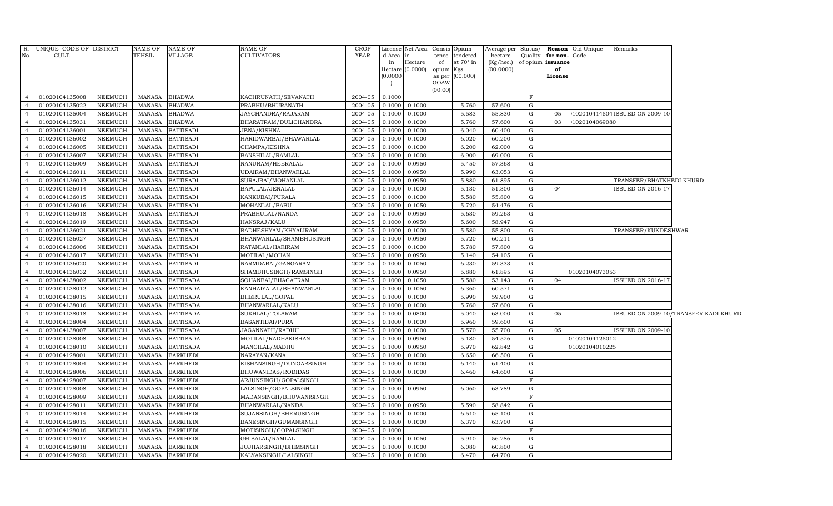| R.                               | UNIQUE CODE OF DISTRICT |                | <b>NAME OF</b>                 | NAME OF                            | NAME OF                 | <b>CROP</b>        |          | License Net Area   Consis   Opium |                 |                  | Average per            | Status/    | Reason         | Old Unique     | Remarks                        |                                       |
|----------------------------------|-------------------------|----------------|--------------------------------|------------------------------------|-------------------------|--------------------|----------|-----------------------------------|-----------------|------------------|------------------------|------------|----------------|----------------|--------------------------------|---------------------------------------|
| No.                              | CULT.                   |                | <b>TEHSIL</b>                  | VILLAGE                            | CULTIVATORS             | YEAR               | d Area   |                                   | tence           | tendered         | hectare                | Quality    | for non-       | Code           |                                |                                       |
|                                  |                         |                |                                |                                    |                         |                    | in       | Hectare<br>Hectare (0.0000)       | of<br>opium Kgs | at $70^\circ$ in | (Kg/hec.)<br>(00.0000) | of opium   | issuance<br>of |                |                                |                                       |
|                                  |                         |                |                                |                                    |                         |                    | (0.0000) |                                   |                 | as per (00.000)  |                        |            | License        |                |                                |                                       |
|                                  |                         |                |                                |                                    |                         |                    |          |                                   | GOAW            |                  |                        |            |                |                |                                |                                       |
| $\overline{4}$                   | 01020104135008          | NEEMUCH        | MANASA                         | <b>BHADWA</b>                      | KACHRUNATH/SEVANATH     | 2004-05            | 0.1000   |                                   | (00.00)         |                  |                        | $_{\rm F}$ |                |                |                                |                                       |
| $\overline{4}$                   | 01020104135022          | <b>NEEMUCH</b> | <b>MANASA</b>                  | <b>BHADWA</b>                      | PRABHU/BHURANATH        | 2004-05            | 0.1000   | 0.1000                            |                 | 5.760            | 57.600                 | G          |                |                |                                |                                       |
| $\overline{4}$                   | 01020104135004          | <b>NEEMUCH</b> | MANASA                         | <b>BHADWA</b>                      | JAYCHANDRA/RAJARAM      | 2004-05            | 0.1000   | 0.1000                            |                 | 5.583            | 55.830                 | G          | 05             |                | 102010414504 ISSUED ON 2009-10 |                                       |
| $\overline{4}$                   | 01020104135031          | <b>NEEMUCH</b> | <b>MANASA</b>                  | <b>BHADWA</b>                      | BHARATRAM/DULICHANDRA   | 2004-05            | 0.1000   | 0.1000                            |                 | 5.760            | 57.600                 | G          | 03             | 1020104069080  |                                |                                       |
| $\overline{4}$                   | 01020104136001          | NEEMUCH        | MANASA                         | <b>BATTISADI</b>                   | JENA/KISHNA             | 2004-05            | 0.1000   | 0.1000                            |                 | 6.040            | 60.400                 | G          |                |                |                                |                                       |
| $\overline{4}$                   | 01020104136002          | <b>NEEMUCH</b> | <b>MANASA</b>                  | <b>BATTISADI</b>                   | HARIDWARBAI/BHAWARLAL   | 2004-05            | 0.1000   | 0.1000                            |                 | 6.020            | 60.200                 | G          |                |                |                                |                                       |
| $\overline{4}$                   | 01020104136005          | NEEMUCH        | MANASA                         | <b>BATTISADI</b>                   | CHAMPA/KISHNA           | 2004-05            | 0.1000   | 0.1000                            |                 | 6.200            | 62.000                 | G          |                |                |                                |                                       |
| $\overline{4}$                   | 01020104136007          | NEEMUCH        | <b>MANASA</b>                  | <b>BATTISADI</b>                   | BANSHILAL/RAMLAL        | 2004-05            | 0.1000   | 0.1000                            |                 | 6.900            | 69.000                 | G          |                |                |                                |                                       |
| $\overline{4}$                   | 01020104136009          | NEEMUCH        | MANASA                         | <b>BATTISADI</b>                   | NANURAM/HEERALAL        | 2004-05            | 0.1000   | 0.0950                            |                 | 5.450            | 57.368                 | G          |                |                |                                |                                       |
| $\overline{4}$                   | 01020104136011          | NEEMUCH        | MANASA                         | <b>BATTISADI</b>                   | UDAIRAM/BHANWARLAL      | 2004-05            | 0.1000   | 0.0950                            |                 | 5.990            | 63.053                 | G          |                |                |                                |                                       |
| $\overline{4}$                   | 01020104136012          | NEEMUCH        | MANASA                         | <b>BATTISADI</b>                   | SURAJBAI/MOHANLAL       | 2004-05            | 0.1000   | 0.0950                            |                 | 5.880            | 61.895                 | G          |                |                | TRANSFER/BHATKHEDI KHURD       |                                       |
| $\overline{4}$                   | 01020104136014          | NEEMUCH        | <b>MANASA</b>                  | <b>BATTISADI</b>                   | BAPULAL/JENALAL         | 2004-05            | 0.1000   | 0.1000                            |                 | 5.130            | 51.300                 | G          | 04             |                | <b>ISSUED ON 2016-17</b>       |                                       |
| $\overline{4}$                   | 01020104136015          | NEEMUCH        | <b>MANASA</b>                  | <b>BATTISADI</b>                   | KANKUBAI/PURALA         | 2004-05            | 0.1000   | 0.1000                            |                 | 5.580            | 55.800                 | G          |                |                |                                |                                       |
| $\overline{4}$                   | 01020104136016          | <b>NEEMUCH</b> | <b>MANASA</b>                  | <b>BATTISADI</b>                   | MOHANLAL/BABU           | 2004-05            | 0.1000   | 0.1050                            |                 | 5.720            | 54.476                 | G          |                |                |                                |                                       |
| $\overline{4}$                   | 01020104136018          | NEEMUCH        | MANASA                         | <b>BATTISADI</b>                   | PRABHULAL/NANDA         | 2004-05            | 0.1000   | 0.0950                            |                 | 5.630            | 59.263                 | G          |                |                |                                |                                       |
| $\overline{4}$                   | 01020104136019          | NEEMUCH        | MANASA                         | <b>BATTISADI</b>                   | HANSRAJ/KALU            | 2004-05            | 0.1000   | 0.0950                            |                 | 5.600            | 58.947                 | G          |                |                |                                |                                       |
| $\overline{4}$                   | 01020104136021          | NEEMUCH        | MANASA                         | <b>BATTISADI</b>                   | RADHESHYAM/KHYALIRAM    | 2004-05            | 0.1000   | 0.1000                            |                 | 5.580            | 55.800                 | G          |                |                | TRANSFER/KUKDESHWAR            |                                       |
| $\overline{4}$                   | 01020104136027          | NEEMUCH        | <b>MANASA</b>                  | <b>BATTISADI</b>                   | BHANWARLAL/SHAMBHUSINGH | 2004-05            | 0.1000   | 0.0950                            |                 | 5.720            | 60.211                 | G          |                |                |                                |                                       |
| $\overline{4}$                   | 01020104136006          | NEEMUCH        | <b>MANASA</b>                  | <b>BATTISADI</b>                   | RATANLAL/HARIRAM        | 2004-05            | 0.1000   | 0.1000                            |                 | 5.780            | 57.800                 | G          |                |                |                                |                                       |
| $\overline{4}$                   | 01020104136017          | NEEMUCH        | <b>MANASA</b>                  | <b>BATTISADI</b>                   | MOTILAL/MOHAN           | 2004-05            | 0.1000   | 0.0950                            |                 | 5.140            | 54.105                 | G          |                |                |                                |                                       |
| $\overline{4}$                   | 01020104136020          | <b>NEEMUCH</b> | <b>MANASA</b>                  | <b>BATTISADI</b>                   | NARMDABAI/GANGARAM      | 2004-05            | 0.1000   | 0.1050                            |                 | 6.230            | 59.333                 | G          |                |                |                                |                                       |
| $\overline{4}$                   | 01020104136032          | NEEMUCH        | <b>MANASA</b>                  | <b>BATTISADI</b>                   | SHAMBHUSINGH/RAMSINGH   | 2004-05            | 0.1000   | 0.0950                            |                 | 5.880            | 61.895                 | G          |                | 01020104073053 |                                |                                       |
| $\overline{4}$                   | 01020104138002          | <b>NEEMUCH</b> | <b>MANASA</b>                  | <b>BATTISADA</b>                   | SOHANBAI/BHAGATRAM      | 2004-05            | 0.1000   | 0.1050                            |                 | 5.580            | 53.143                 | G          | 04             |                | ISSUED ON 2016-17              |                                       |
| $\overline{4}$                   | 01020104138012          | NEEMUCH        | <b>MANASA</b>                  | <b>BATTISADA</b>                   | KANHAIYALAL/BHANWARLAL  | 2004-05            | 0.1000   | 0.1050                            |                 | 6.360            | 60.571                 | ${\rm G}$  |                |                |                                |                                       |
| $\overline{4}$                   | 01020104138015          | NEEMUCH        | <b>MANASA</b>                  | <b>BATTISADA</b>                   | BHERULAL/GOPAL          | 2004-05            | 0.1000   | 0.1000                            |                 | 5.990            | 59.900                 | G          |                |                |                                |                                       |
| $\overline{4}$                   | 01020104138016          | NEEMUCH        | <b>MANASA</b>                  | <b>BATTISADA</b>                   | BHANWARLAL/KALU         | 2004-05            | 0.1000   | 0.1000                            |                 | 5.760            | 57.600                 | G          |                |                |                                |                                       |
| $\overline{4}$                   | 01020104138018          | NEEMUCH        | <b>MANASA</b>                  | <b>BATTISADA</b>                   | SUKHLAL/TOLARAM         | 2004-05            | 0.1000   | 0.0800                            |                 | 5.040            | 63.000                 | G          | 05             |                |                                | ISSUED ON 2009-10/TRANSFER KADI KHURD |
| $\overline{4}$                   | 01020104138004          | <b>NEEMUCH</b> | <b>MANASA</b>                  | <b>BATTISADA</b>                   | BASANTIBAI/PURA         | 2004-05            | 0.1000   | 0.1000                            |                 | 5.960            | 59.600                 | G          |                |                |                                |                                       |
| $\overline{4}$                   | 01020104138007          | <b>NEEMUCH</b> | <b>MANASA</b>                  | <b>BATTISADA</b>                   | JAGANNATH/RADHU         | 2004-05            | 0.1000   | 0.1000                            |                 | 5.570            | 55.700                 | G          | 05             |                | <b>ISSUED ON 2009-10</b>       |                                       |
| $\overline{4}$                   | 01020104138008          | <b>NEEMUCH</b> | <b>MANASA</b>                  | <b>BATTISADA</b>                   | MOTILAL/RADHAKISHAN     | 2004-05            | 0.1000   | 0.0950                            |                 | 5.180            | 54.526                 | G          |                | 01020104125012 |                                |                                       |
| $\overline{4}$                   | 01020104138010          | <b>NEEMUCH</b> | <b>MANASA</b>                  | <b>BATTISADA</b>                   | MANGILAL/MADHU          | 2004-05            | 0.1000   | 0.0950                            |                 | 5.970            | 62.842                 | G          |                | 01020104010225 |                                |                                       |
| $\overline{4}$                   | 01020104128001          | NEEMUCH        | <b>MANASA</b>                  | BARKHEDI                           | NARAYAN/KANA            | 2004-05            | 0.1000   | 0.1000                            |                 | 6.650            | 66.500                 | G          |                |                |                                |                                       |
| $\overline{4}$                   | 01020104128004          | <b>NEEMUCH</b> | <b>MANASA</b>                  | BARKHEDI                           | KISHANSINGH/DUNGARSINGH | 2004-05            | 0.100    | 0.1000                            |                 | 6.140            | 61.400                 | G          |                |                |                                |                                       |
|                                  | 01020104128006          | NEEMUCH        | <b>MANASA</b>                  | BARKHEDI                           | BHUWANIDAS/RODIDAS      | 2004-05            | 0.1000   | 0.1000                            |                 | 6.460            | 64.600                 | G          |                |                |                                |                                       |
| $\overline{4}$                   | 01020104128007          | <b>NEEMUCH</b> | <b>MANASA</b>                  | BARKHEDI                           | ARJUNSINGH/GOPALSINGH   | 2004-05            | 0.1000   |                                   |                 |                  |                        | $_{\rm F}$ |                |                |                                |                                       |
| $\overline{4}$                   | 01020104128008          | <b>NEEMUCH</b> | <b>MANASA</b>                  | <b>BARKHEDI</b>                    | LALSINGH/GOPALSINGH     | 2004-05            | 0.1000   | 0.0950                            |                 | 6.060            | 63.789                 | G          |                |                |                                |                                       |
| $\overline{4}$                   | 01020104128009          | NEEMUCH        | <b>MANASA</b>                  | <b>BARKHEDI</b>                    | MADANSINGH/BHUWANISINGH | 2004-05            | 0.1000   |                                   |                 |                  |                        | F          |                |                |                                |                                       |
|                                  | 01020104128011          | <b>NEEMUCH</b> | <b>MANASA</b>                  | <b>BARKHEDI</b>                    | BHANWARLAL/NANDA        | 2004-05            | 0.1000   | 0.0950                            |                 | 5.590            | 58.842                 | G          |                |                |                                |                                       |
| $\overline{4}$                   | 01020104128014          | <b>NEEMUCH</b> | <b>MANASA</b>                  | <b>BARKHEDI</b>                    | SUJANSINGH/BHERUSINGH   | 2004-05            | 0.1000   | 0.1000                            |                 | 6.510            | 65.100                 | G          |                |                |                                |                                       |
| $\overline{4}$<br>$\overline{4}$ | 01020104128015          | <b>NEEMUCH</b> | <b>MANASA</b>                  | <b>BARKHEDI</b>                    | BANESINGH/GUMANSINGH    | 2004-05            | 0.1000   | 0.1000                            |                 | 6.370            | 63.700                 | G<br>F     |                |                |                                |                                       |
| $\overline{4}$                   | 01020104128016          | <b>NEEMUCH</b> | <b>MANASA</b><br><b>MANASA</b> | <b>BARKHEDI</b><br><b>BARKHEDI</b> | MOTISINGH/GOPALSINGH    | 2004-05<br>2004-05 | 0.1000   |                                   |                 |                  |                        | G          |                |                |                                |                                       |
|                                  | 01020104128017          | <b>NEEMUCH</b> |                                |                                    | GHISALAL/RAMLAL         | 2004-05            | 0.1000   | 0.1050                            |                 | 5.910            | 56.286                 |            |                |                |                                |                                       |
| $\overline{4}$                   | 01020104128018          | NEEMUCH        | <b>MANASA</b><br><b>MANASA</b> | <b>BARKHEDI</b><br><b>BARKHEDI</b> | JUJHARSINGH/BHIMSINGH   |                    | 0.1000   | 0.1000                            |                 | 6.080            | 60.800                 | G          |                |                |                                |                                       |
| $\overline{4}$                   | 01020104128020          | NEEMUCH        |                                |                                    | KALYANSINGH/LALSINGH    | 2004-05            | 0.1000   | 0.1000                            |                 | 6.470            | 64.700                 | G          |                |                |                                |                                       |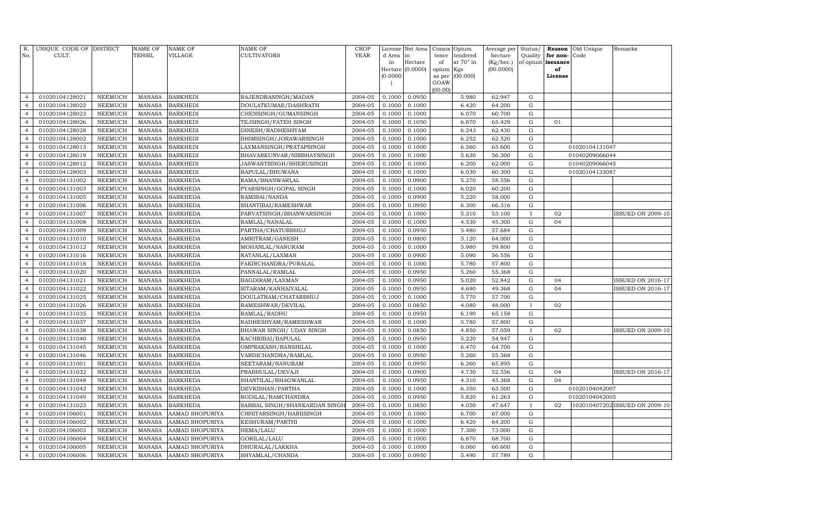| R.<br>No.      | UNIQUE CODE OF DISTRICT<br>CULT. |                | <b>NAME OF</b><br>TEHSIL | <b>NAME OF</b><br>VILLAGE | NAME OF<br>CULTIVATORS        | <b>CROP</b><br><b>YEAR</b> | d Area in | License Net Area | Consis<br>tence | Opium<br>tendered | Average per<br>hectare | Status/<br>Quality | Reason<br>for non- | Old Unique<br>Code | Remarks                        |
|----------------|----------------------------------|----------------|--------------------------|---------------------------|-------------------------------|----------------------------|-----------|------------------|-----------------|-------------------|------------------------|--------------------|--------------------|--------------------|--------------------------------|
|                |                                  |                |                          |                           |                               |                            | in        | Hectare          | of              | at 70° in         | (Kg/hec.)              |                    | of opium issuance  |                    |                                |
|                |                                  |                |                          |                           |                               |                            |           | Hectare (0.0000) | opium           | Kgs               | (00.0000)              |                    | of                 |                    |                                |
|                |                                  |                |                          |                           |                               |                            | (0.0000)  |                  | as per<br>GOAW  | (00.000)          |                        |                    | License            |                    |                                |
|                |                                  |                |                          |                           |                               |                            |           |                  | (00.00)         |                   |                        |                    |                    |                    |                                |
| $\overline{4}$ | 01020104128021                   | NEEMUCH        | <b>MANASA</b>            | <b>BARKHEDI</b>           | RAJENDRASINGH/MADAN           | 2004-05                    | 0.1000    | 0.0950           |                 | 5.980             | 62.947                 | G                  |                    |                    |                                |
| $\overline{4}$ | 01020104128022                   | NEEMUCH        | <b>MANASA</b>            | <b>BARKHEDI</b>           | DOULATKUMAR/DASHRATH          | 2004-05                    | 0.1000    | 0.1000           |                 | 6.420             | 64.200                 | G                  |                    |                    |                                |
| $\overline{4}$ | 01020104128023                   | NEEMUCH        | MANASA                   | <b>BARKHEDI</b>           | CHENSINGH/GUMANSINGH          | 2004-05                    | 0.1000    | 0.1000           |                 | 6.070             | 60.700                 | G                  |                    |                    |                                |
| $\overline{4}$ | 01020104128026                   | <b>NEEMUCH</b> | <b>MANASA</b>            | <b>BARKHEDI</b>           | TEJSINGH/FATEH SINGH          | 2004-05                    | 0.1000    | 0.1050           |                 | 6.870             | 65.429                 | G                  | 01                 |                    |                                |
| $\overline{4}$ | 01020104128028                   | NEEMUCH        | <b>MANASA</b>            | <b>BARKHEDI</b>           | DINESH/RADHESHYAM             | 2004-05                    | 0.1000    | 0.1000           |                 | 6.243             | 62.430                 | G                  |                    |                    |                                |
| $\overline{4}$ | 01020104128002                   | <b>NEEMUCH</b> | <b>MANASA</b>            | <b>BARKHEDI</b>           | BHIMSINGH/JORAWARSINGH        | 2004-05                    | 0.1000    | 0.1000           |                 | 6.252             | 62.520                 | G                  |                    |                    |                                |
| $\overline{4}$ | 01020104128013                   | NEEMUCH        | <b>MANASA</b>            | <b>BARKHEDI</b>           | LAXMANSINGH/PRATAPSINGH       | 2004-05                    | 0.1000    | 0.1000           |                 | 6.560             | 65.600                 | $\mathbf G$        |                    | 01020104131047     |                                |
| $\overline{4}$ | 01020104128019                   | NEEMUCH        | <b>MANASA</b>            | <b>BARKHEDI</b>           | BHAVARKUNVAR/NIRBHAYSINGH     | 2004-05                    | 0.1000    | 0.1000           |                 | 5.630             | 56.300                 | G                  |                    | 01040209066044     |                                |
| $\overline{4}$ | 01020104128012                   | NEEMUCH        | <b>MANASA</b>            | <b>BARKHEDI</b>           | JASWANTSINGH/BHERUSINGH       | 2004-05                    | 0.1000    | 0.1000           |                 | 6.200             | 62.000                 | $\mathbf G$        |                    | 01040209066045     |                                |
| $\overline{4}$ | 01020104128003                   | NEEMUCH        | <b>MANASA</b>            | <b>BARKHEDI</b>           | BAPULAL/BHUWANA               | 2004-05                    | 0.1000    | 0.1000           |                 | 6.030             | 60.300                 | G                  |                    | 01020104133087     |                                |
| $\overline{4}$ | 01020104131002                   | NEEMUCH        | <b>MANASA</b>            | <b>BARKHEDA</b>           | RAMA/BHANWARLAL               | 2004-05                    | 0.1000    | 0.0900           |                 | 5.270             | 58.556                 | G                  |                    |                    |                                |
| $\overline{4}$ | 01020104131003                   | NEEMUCH        | <b>MANASA</b>            | <b>BARKHEDA</b>           | PYARSINGH/GOPAL SINGH         | 2004-05                    | 0.1000    | 0.1000           |                 | 6.020             | 60.200                 | G                  |                    |                    |                                |
| $\overline{4}$ | 01020104131005                   | <b>NEEMUCH</b> | <b>MANASA</b>            | <b>BARKHEDA</b>           | RAMIBAI/NANDA                 | 2004-05                    | 0.1000    | 0.0900           |                 | 5.220             | 58.000                 | G                  |                    |                    |                                |
| $\overline{4}$ | 01020104131006                   | <b>NEEMUCH</b> | <b>MANASA</b>            | <b>BARKHEDA</b>           | SHANTIBAI/RAMESHWAR           | 2004-05                    | 0.1000    | 0.0950           |                 | 6.300             | 66.316                 | G                  |                    |                    |                                |
| $\overline{4}$ | 01020104131007                   | <b>NEEMUCH</b> | <b>MANASA</b>            | <b>BARKHEDA</b>           | PARVATSINGH/BHANWARSINGH      | 2004-05                    | 0.1000    | 0.1000           |                 | 5.310             | 53.100                 | $\mathbf{I}$       | 02                 |                    | <b>ISSUED ON 2009-10</b>       |
| $\overline{4}$ | 01020104131008                   | NEEMUCH        | <b>MANASA</b>            | <b>BARKHEDA</b>           | RAMLAL/NANALAL                | 2004-05                    | 0.1000    | 0.1000           |                 | 4.530             | 45.300                 | G                  | 04                 |                    |                                |
| $\overline{4}$ | 01020104131009                   | NEEMUCH        | <b>MANASA</b>            | <b>BARKHEDA</b>           | PARTHA/CHATURBHUJ             | 2004-05                    | 0.1000    | 0.0950           |                 | 5.480             | 57.684                 | $\mathbf G$        |                    |                    |                                |
| $\overline{4}$ | 01020104131010                   | NEEMUCH        | <b>MANASA</b>            | <b>BARKHEDA</b>           | AMRITRAM/GANESH               | 2004-05                    | 0.1000    | 0.0800           |                 | 5.120             | 64.000                 | G                  |                    |                    |                                |
| $\overline{4}$ | 01020104131012                   | NEEMUCH        | <b>MANASA</b>            | <b>BARKHEDA</b>           | MOHANLAL/NANURAM              | 2004-05                    | 0.1000    | 0.1000           |                 | 5.980             | 59.800                 | $\mathbf G$        |                    |                    |                                |
| $\overline{4}$ | 01020104131016                   | NEEMUCH        | <b>MANASA</b>            | <b>BARKHEDA</b>           | RATANLAL/LAXMAN               | 2004-05                    | 0.1000    | 0.0900           |                 | 5.090             | 56.556                 | G                  |                    |                    |                                |
| $\overline{4}$ | 01020104131018                   | <b>NEEMUCH</b> | <b>MANASA</b>            | <b>BARKHEDA</b>           | FAKIRCHANDRA/PURALAL          | 2004-05                    | 0.1000    | 0.1000           |                 | 5.780             | 57.800                 | G                  |                    |                    |                                |
| $\overline{4}$ | 01020104131020                   | <b>NEEMUCH</b> | <b>MANASA</b>            | <b>BARKHEDA</b>           | PANNALAL/RAMLAL               | 2004-05                    | 0.1000    | 0.0950           |                 | 5.260             | 55.368                 | G                  |                    |                    |                                |
| $\overline{4}$ | 01020104131021                   | <b>NEEMUCH</b> | <b>MANASA</b>            | <b>BARKHEDA</b>           | BAGDIRAM/LAXMAN               | 2004-05                    | 0.1000    | 0.0950           |                 | 5.020             | 52.842                 | G                  | 04                 |                    | <b>ISSUED ON 2016-17</b>       |
| $\overline{4}$ | 01020104131022                   | <b>NEEMUCH</b> | <b>MANASA</b>            | <b>BARKHEDA</b>           | SITARAM / KANHAIYALAL         | 2004-05                    | 0.1000    | 0.0950           |                 | 4.690             | 49.368                 | G                  | 04                 |                    | <b>ISSUED ON 2016-17</b>       |
| $\overline{4}$ | 01020104131025                   | NEEMUCH        | <b>MANASA</b>            | <b>BARKHEDA</b>           | DOULATRAM/CHATARBHUJ          | 2004-05                    | 0.1000    | 0.1000           |                 | 5.770             | 57.700                 | ${\rm G}$          |                    |                    |                                |
| $\overline{4}$ | 01020104131026                   | NEEMUCH        | <b>MANASA</b>            | <b>BARKHEDA</b>           | RAMESHWAR/DEVILAL             | 2004-05                    | 0.1000    | 0.0850           |                 | 4.080             | 48.000                 | $\mathbf{I}$       | 02                 |                    |                                |
| $\overline{4}$ | 01020104131035                   | NEEMUCH        | <b>MANASA</b>            | <b>BARKHEDA</b>           | RAMLAL/RADHU                  | 2004-05                    | 0.1000    | 0.0950           |                 | 6.190             | 65.158                 | G                  |                    |                    |                                |
| $\overline{4}$ | 01020104131037                   | NEEMUCH        | <b>MANASA</b>            | <b>BARKHEDA</b>           | RADHESHYAM/RAMESHWAR          | 2004-05                    | 0.1000    | 0.1000           |                 | 5.780             | 57.800                 | G                  |                    |                    |                                |
| $\overline{4}$ | 01020104131038                   | NEEMUCH        | <b>MANASA</b>            | <b>BARKHEDA</b>           | BHAWAR SINGH/ UDAY SINGH      | 2004-05                    | 0.1000    | 0.0850           |                 | 4.850             | 57.059                 | $\mathbf{I}$       | 02                 |                    | ISSUED ON 2009-10              |
| $\overline{4}$ | 01020104131040                   | <b>NEEMUCH</b> | <b>MANASA</b>            | <b>BARKHEDA</b>           | KACHRIBAI/BAPULAL             | 2004-05                    | 0.1000    | 0.0950           |                 | 5.220             | 54.947                 | G                  |                    |                    |                                |
| $\overline{4}$ | 01020104131045                   | NEEMUCH        | <b>MANASA</b>            | <b>BARKHEDA</b>           | OMPRAKASH/BANSHILAL           | 2004-05                    | 0.1000    | 0.1000           |                 | 6.470             | 64.700                 | $\mathbf G$        |                    |                    |                                |
| $\overline{4}$ | 01020104131046                   | <b>NEEMUCH</b> | <b>MANASA</b>            | <b>BARKHEDA</b>           | VARDICHANDRA/RAMLAL           | 2004-05                    | 0.1000    | 0.0950           |                 | 5.260             | 55.368                 | $\mathbf G$        |                    |                    |                                |
| $\overline{4}$ | 01020104131001                   | NEEMUCH        | <b>MANASA</b>            | <b>BARKHEDA</b>           | SEETARAM/NANURAM              | 2004-05                    | 0.1000    | 0.0950           |                 | 6.260             | 65.895                 | $\mathbf G$        |                    |                    |                                |
| $\overline{4}$ | 01020104131032                   | NEEMUCH        | <b>MANASA</b>            | <b>BARKHEDA</b>           | PRABHULAL/DEVAJI              | 2004-05                    | 0.1000    | 0.0900           |                 | 4.730             | 52.556                 | G                  | 04                 |                    | <b>ISSUED ON 2016-17</b>       |
| $\overline{4}$ | 01020104131048                   | NEEMUCH        | <b>MANASA</b>            | <b>BARKHEDA</b>           | SHANTILAL/BHAGWANLAL          | 2004-05                    | 0.1000    | 0.0950           |                 | 4.310             | 45.368                 | G                  | 04                 |                    |                                |
| $\overline{4}$ | 01020104131042                   | <b>NEEMUCH</b> | <b>MANASA</b>            | <b>BARKHEDA</b>           | DEVKISHAN/PARTHA              | 2004-05                    | 0.1000    | 0.1000           |                 | 6.350             | 63.500                 | G                  |                    | 01020104042007     |                                |
| $\overline{4}$ | 01020104131049                   | <b>NEEMUCH</b> | <b>MANASA</b>            | <b>BARKHEDA</b>           | RODILAL/RAMCHANDRA            | 2004-05                    | 0.1000    | 0.0950           |                 | 5.820             | 61.263                 | ${\rm G}$          |                    | 01020104042005     |                                |
| $\overline{4}$ | 01020104131023                   | <b>NEEMUCH</b> | <b>MANASA</b>            | <b>BARKHEDA</b>           | SABBAL SINGH/SHANKARDAN SINGF | 2004-05                    | 0.1000    | 0.0850           |                 | 4.050             | 47.647                 | $\mathbf{I}$       | 02                 |                    | 102010407202 ISSUED ON 2009-10 |
| $\overline{4}$ | 01020104106001                   | <b>NEEMUCH</b> | <b>MANASA</b>            | AAMAD SHOPURIYA           | CHHITARSINGH/HARIISINGH       | 2004-05                    | 0.1000    | 0.1000           |                 | 6.700             | 67.000                 | $\mathbf G$        |                    |                    |                                |
| $\overline{4}$ | 01020104106002                   | <b>NEEMUCH</b> | <b>MANASA</b>            | AAMAD SHOPURIYA           | KESHURAM/PARTHI               | 2004-05                    | 0.1000    | 0.1000           |                 | 6.420             | 64.200                 | $\mathbf G$        |                    |                    |                                |
| $\overline{4}$ | 01020104106003                   | <b>NEEMUCH</b> | <b>MANASA</b>            | AAMAD SHOPURIYA           | HEMA/LALU                     | 2004-05                    | 0.1000    | 0.1000           |                 | 7.300             | 73.000                 | G                  |                    |                    |                                |
| $\overline{4}$ | 01020104106004                   | <b>NEEMUCH</b> | <b>MANASA</b>            | AAMAD SHOPURIYA           | GORILAL/LALU                  | 2004-05                    | 0.1000    | 0.1000           |                 | 6.870             | 68.700                 | G                  |                    |                    |                                |
| 4              | 01020104106005                   | <b>NEEMUCH</b> | <b>MANASA</b>            | AAMAD SHOPURIYA           | DHURALAL/LAKKHA               | 2004-05                    | 0.1000    | 0.1000           |                 | 6.060             | 60.600                 | G                  |                    |                    |                                |
| 4              | 01020104106006                   | NEEMUCH        | MANASA                   | AAMAD SHOPURIYA           | SHYAMLAL/CHANDA               | 2004-05                    | 0.1000    | 0.0950           |                 | 5.490             | 57.789                 | $\mathbf G$        |                    |                    |                                |